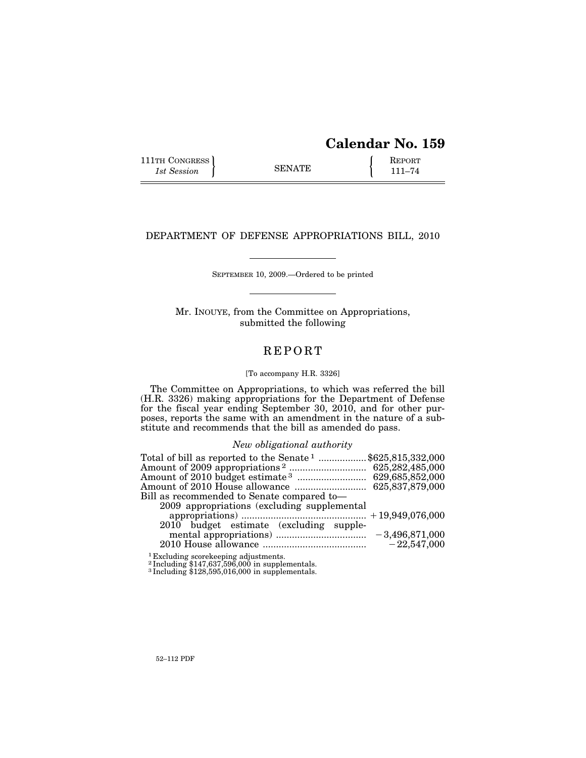| <b>Calendar No. 159</b> |  |  |
|-------------------------|--|--|
|-------------------------|--|--|

111TH CONGRESS **REPORT** 111TH CONGRESS **REPORT** SENATE **111–74** 

### DEPARTMENT OF DEFENSE APPROPRIATIONS BILL, 2010

SEPTEMBER 10, 2009.—Ordered to be printed

Mr. INOUYE, from the Committee on Appropriations, submitted the following

# **REPORT**

#### [To accompany H.R. 3326]

The Committee on Appropriations, to which was referred the bill (H.R. 3326) making appropriations for the Department of Defense for the fiscal year ending September 30, 2010, and for other purposes, reports the same with an amendment in the nature of a substitute and recommends that the bill as amended do pass.

### *New obligational authority*

| Total of bill as reported to the Senate <sup>1</sup> \$625,815,332,000 |
|------------------------------------------------------------------------|
|                                                                        |
|                                                                        |
|                                                                        |
| Bill as recommended to Senate compared to—                             |
| 2009 appropriations (excluding supplemental                            |
|                                                                        |
| 2010 budget estimate (excluding supple-                                |
|                                                                        |
|                                                                        |
| <sup>1</sup> Excluding scorekeeping adjustments.                       |

2 Including \$147,637,596,000 in supplementals. 3 Including \$128,595,016,000 in supplementals.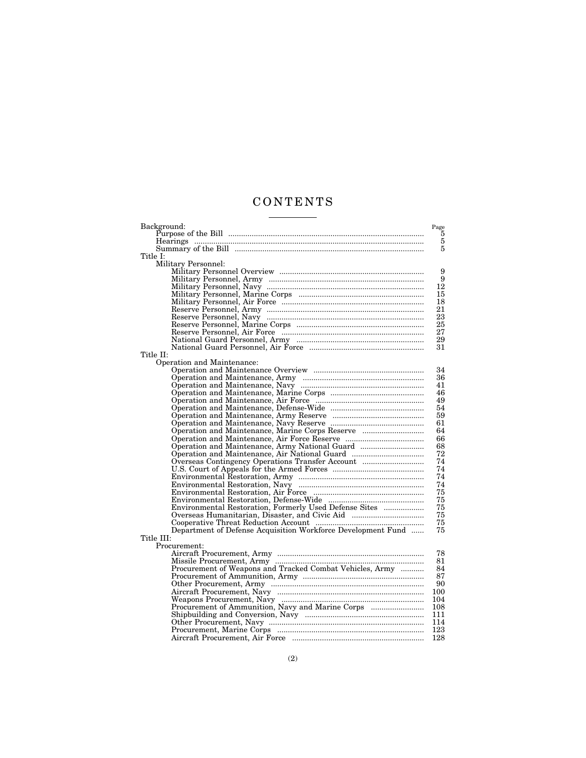# C O N T E N T S <u>and the state of the state</u>

| Background:                                                  | Page           |
|--------------------------------------------------------------|----------------|
|                                                              | $\overline{5}$ |
|                                                              | $\bf 5$        |
|                                                              | $\overline{5}$ |
| Title I:                                                     |                |
| Military Personnel:                                          |                |
|                                                              | 9              |
|                                                              | 9              |
|                                                              | 12             |
|                                                              | 15             |
|                                                              | 18             |
|                                                              | 21             |
|                                                              | 23             |
|                                                              | 25             |
|                                                              | 27             |
|                                                              | 29             |
|                                                              | 31             |
| Title II:                                                    |                |
| Operation and Maintenance:                                   |                |
|                                                              | 34             |
|                                                              | 36             |
|                                                              | 41             |
|                                                              | 46             |
|                                                              | 49             |
|                                                              | 54             |
|                                                              | 59             |
|                                                              | 61             |
|                                                              | 64             |
|                                                              | 66             |
|                                                              | 68             |
| Operation and Maintenance, Air National Guard                | 72             |
|                                                              | 74             |
|                                                              | 74             |
|                                                              | 74             |
|                                                              | 74             |
|                                                              | 75             |
|                                                              | 75             |
|                                                              | 75             |
| Overseas Humanitarian, Disaster, and Civic Aid               | 75             |
|                                                              | 75             |
| Department of Defense Acquisition Workforce Development Fund | 75             |
| Title III:                                                   |                |
| Procurement:                                                 |                |
|                                                              | 78             |
|                                                              | 81             |
| Procurement of Weapons and Tracked Combat Vehicles, Army     | 84             |
|                                                              | 87             |
|                                                              | 90             |
|                                                              | 100            |
|                                                              | 104            |
| Procurement of Ammunition, Navy and Marine Corps             | 108            |
|                                                              | 111            |
|                                                              | 114            |
|                                                              | 123            |
|                                                              | 128            |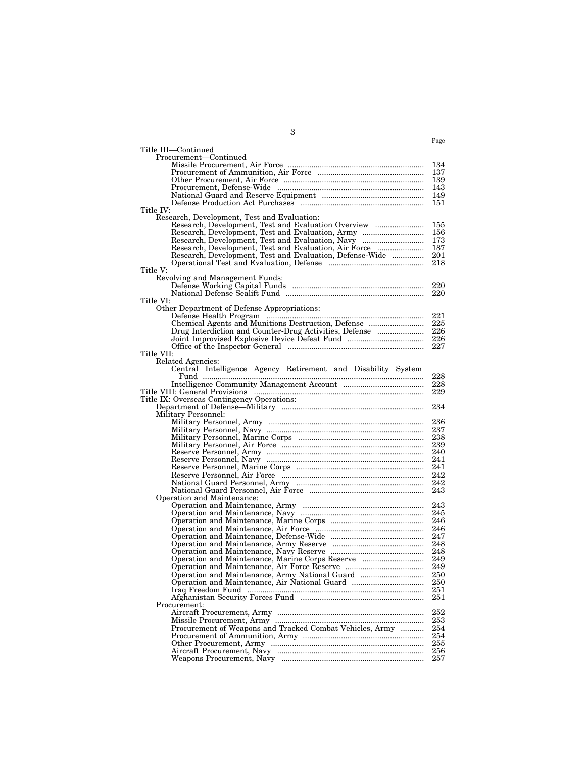| Title III-Continued                                           |            |
|---------------------------------------------------------------|------------|
| Procurement—Continued                                         |            |
|                                                               | 134        |
|                                                               | 137        |
|                                                               | 139        |
|                                                               |            |
|                                                               |            |
|                                                               |            |
| Title IV:<br>Research, Development, Test and Evaluation:      |            |
| Research, Development, Test and Evaluation Overview           | 155        |
| Research, Development, Test and Evaluation, Army              | 156        |
| Research, Development, Test and Evaluation, Navy              | 173        |
|                                                               |            |
| Research, Development, Test and Evaluation, Defense-Wide  201 |            |
|                                                               | 218        |
| Title V:                                                      |            |
| Revolving and Management Funds:                               |            |
|                                                               | 220        |
|                                                               | 220        |
| Title VI:                                                     |            |
| Other Department of Defense Appropriations:                   |            |
|                                                               | 221        |
|                                                               |            |
|                                                               |            |
|                                                               | 227        |
| Title VII:                                                    |            |
| Related Agencies:                                             |            |
| Central Intelligence Agency Retirement and Disability System  |            |
|                                                               | 228        |
|                                                               | 228        |
|                                                               | 229        |
| Title IX: Overseas Contingency Operations:                    |            |
|                                                               | 234        |
| Military Personnel:                                           | 236        |
|                                                               | 237        |
|                                                               | 238        |
|                                                               | 239        |
|                                                               |            |
|                                                               | 241        |
|                                                               |            |
|                                                               | 242        |
|                                                               | 242        |
|                                                               | 243        |
| Operation and Maintenance:                                    |            |
|                                                               | 243        |
|                                                               | 245        |
|                                                               | 246<br>246 |
|                                                               |            |
|                                                               |            |
|                                                               |            |
|                                                               |            |
|                                                               | 249        |
| Operation and Maintenance, Army National Guard                | 250        |
|                                                               | 250        |
|                                                               | 251        |
|                                                               | 251        |
| Procurement:                                                  |            |
|                                                               | 252        |
|                                                               | 253        |
| Procurement of Weapons and Tracked Combat Vehicles, Army      | 254        |
|                                                               | 254<br>255 |
|                                                               | 256        |
|                                                               | 257        |
|                                                               |            |

3

Page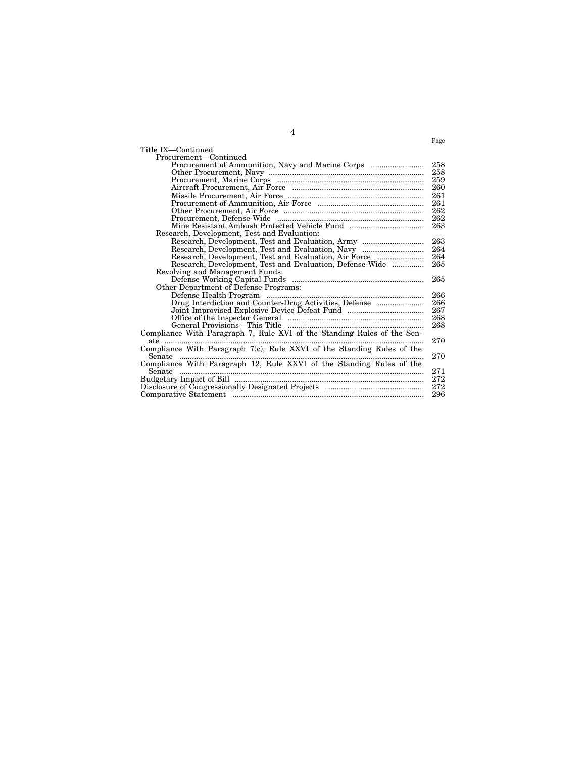|                                                                         | Page |
|-------------------------------------------------------------------------|------|
| Title IX—Continued                                                      |      |
| Procurement—Continued                                                   |      |
| Procurement of Ammunition, Navy and Marine Corps                        | 258  |
|                                                                         | 258  |
|                                                                         | 259  |
|                                                                         | 260  |
|                                                                         | 261  |
|                                                                         | 261  |
|                                                                         | 262  |
|                                                                         | 262  |
|                                                                         | 263  |
| Research, Development, Test and Evaluation:                             |      |
| Research, Development, Test and Evaluation, Army                        | 263  |
| Research, Development, Test and Evaluation, Navy                        | 264  |
| Research, Development, Test and Evaluation, Air Force                   | 264  |
| Research, Development, Test and Evaluation, Defense-Wide                | 265  |
| Revolving and Management Funds:                                         |      |
|                                                                         | 265  |
| Other Department of Defense Programs:                                   |      |
|                                                                         | 266  |
| Drug Interdiction and Counter-Drug Activities, Defense                  | 266  |
|                                                                         | 267  |
|                                                                         | 268  |
| General Provisions—This Title                                           | 268  |
| Compliance With Paragraph 7, Rule XVI of the Standing Rules of the Sen- |      |
| ate                                                                     | 270  |
| Compliance With Paragraph 7(c), Rule XXVI of the Standing Rules of the  |      |
| Senate                                                                  | 270  |
| Compliance With Paragraph 12, Rule XXVI of the Standing Rules of the    |      |
| Senate                                                                  | 271  |
|                                                                         | 272  |
|                                                                         | 272  |
|                                                                         | 296  |
|                                                                         |      |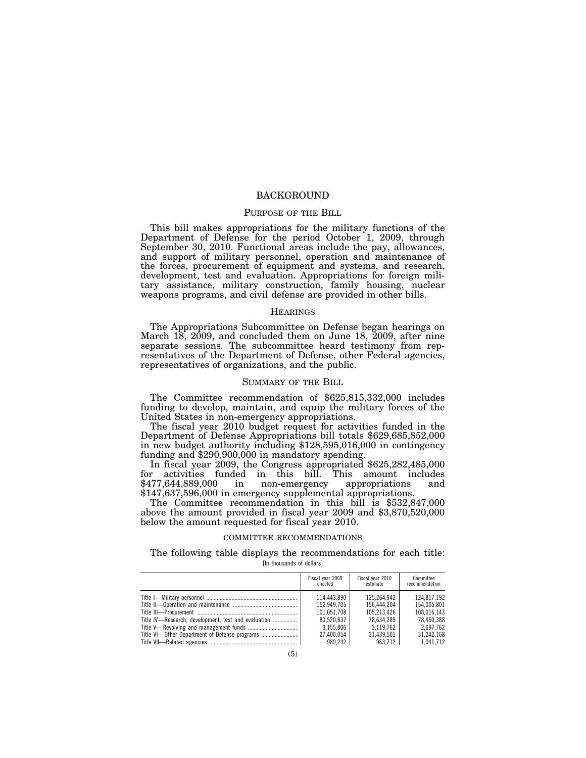### **BACKGROUND**

#### PURPOSE OF THE BILL

This bill makes appropriations for the military functions of the Department of Defense for the period October 1, 2009, through September 30, 2010. Functional areas include the pay, allowances, and support of military personnel, operation and maintenance of the forces, procurement of equipment and systems, and research, development, test and evaluation. Appropriations for foreign military assistance, military construction, family housing, nuclear weapons programs, and civil defense are provided in other bills.

#### **HEARINGS**

The Appropriations Subcommittee on Defense began hearings on March 18, 2009, and concluded them on June 18, 2009, after nine separate sessions. The subcommittee heard testimony from representatives of the Department of Defense, other Federal agencies, representatives of organizations, and the public.

#### SUMMARY OF THE BILL

The Committee recommendation of \$625,815,332,000 includes funding to develop, maintain, and equip the military forces of the United States in non-emergency appropriations.<br>The fiscal year 2010 budget request for activities funded in the

Department of Defense Appropriations bill totals \$629,685,852,000 in new budget authority including \$128,595,016,000 in contingency

In fiscal year 2009, the Congress appropriated \$625,282,485,000 for activities funded in this bill. This amount includes \$477,644,889,000 in non-emergency appropriations and

\$147,637,596,000 in emergency supplemental appropriations. The Committee recommendation in this bill is \$532,847,000 above the amount provided in fiscal year 2009 and \$3,870,520,000 below the amount requested for fiscal year 2010.

#### COMMITTEE RECOMMENDATIONS

The following table displays the recommendations for each title: [In thousands of dollars]

|                                                     | Fiscal year 2009<br>enacted | Fiscal year 2010<br>estimate | Committee<br>recommendation |
|-----------------------------------------------------|-----------------------------|------------------------------|-----------------------------|
|                                                     | 114.443.890                 | 125.264.942                  | 124.817.192                 |
|                                                     | 152.949.705                 | 156.444.204                  | 154.005.801                 |
|                                                     | 101.051.708                 | 105.213.426                  | 108.016.143                 |
| Title IV—Research, development, test and evaluation | 80.520.837                  | 78.634.289                   | 78.450.388                  |
|                                                     | 3.155.806                   | 3.119.762                    | 2.697.762                   |
| Title VI-Other Department of Defense programs       | 27.400.054                  | 31.439.501                   | 31.242.168                  |
|                                                     | 989.242                     | 963.712                      | 1.041.712                   |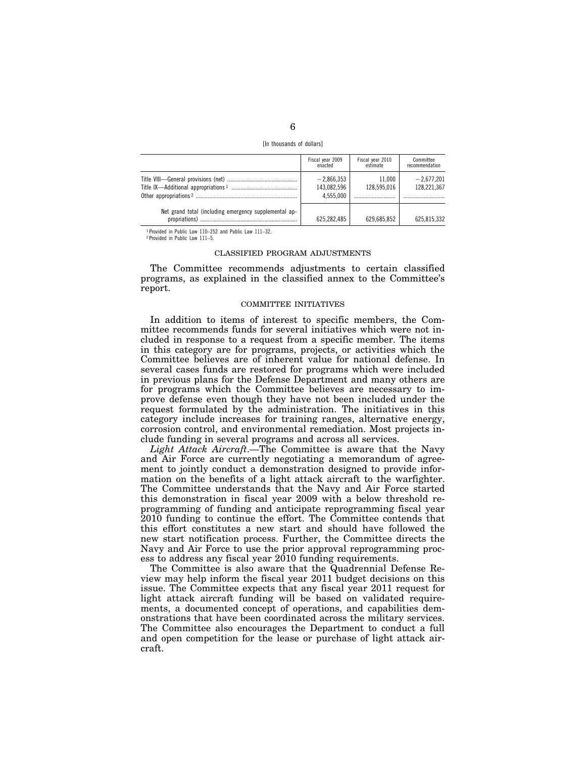| [In thousands of dollars] |  |  |
|---------------------------|--|--|
|---------------------------|--|--|

|                                                       | Fiscal year 2009<br>enacted              | Fiscal year 2010<br>estimate | Committee<br>recommendation |
|-------------------------------------------------------|------------------------------------------|------------------------------|-----------------------------|
|                                                       | $-2,866,353$<br>143,082,596<br>4.555.000 | 11.000<br>128,595,016        | $-2,677,201$<br>128,221,367 |
| Net grand total (including emergency supplemental ap- | 625,282,485                              | 629.685.852                  | 625,815,332                 |

1 Provided in Public Law 110–252 and Public Law 111–32.

2 Provided in Public Law 111–5.

### CLASSIFIED PROGRAM ADJUSTMENTS

The Committee recommends adjustments to certain classified programs, as explained in the classified annex to the Committee's report.

#### COMMITTEE INITIATIVES

In addition to items of interest to specific members, the Committee recommends funds for several initiatives which were not included in response to a request from a specific member. The items in this category are for programs, projects, or activities which the Committee believes are of inherent value for national defense. In several cases funds are restored for programs which were included in previous plans for the Defense Department and many others are for programs which the Committee believes are necessary to improve defense even though they have not been included under the request formulated by the administration. The initiatives in this category include increases for training ranges, alternative energy, corrosion control, and environmental remediation. Most projects include funding in several programs and across all services.

*Light Attack Aircraft*.—The Committee is aware that the Navy and Air Force are currently negotiating a memorandum of agreement to jointly conduct a demonstration designed to provide information on the benefits of a light attack aircraft to the warfighter. The Committee understands that the Navy and Air Force started this demonstration in fiscal year 2009 with a below threshold reprogramming of funding and anticipate reprogramming fiscal year 2010 funding to continue the effort. The Committee contends that this effort constitutes a new start and should have followed the new start notification process. Further, the Committee directs the Navy and Air Force to use the prior approval reprogramming process to address any fiscal year 2010 funding requirements.

The Committee is also aware that the Quadrennial Defense Review may help inform the fiscal year 2011 budget decisions on this issue. The Committee expects that any fiscal year 2011 request for light attack aircraft funding will be based on validated requirements, a documented concept of operations, and capabilities demonstrations that have been coordinated across the military services. The Committee also encourages the Department to conduct a full and open competition for the lease or purchase of light attack aircraft.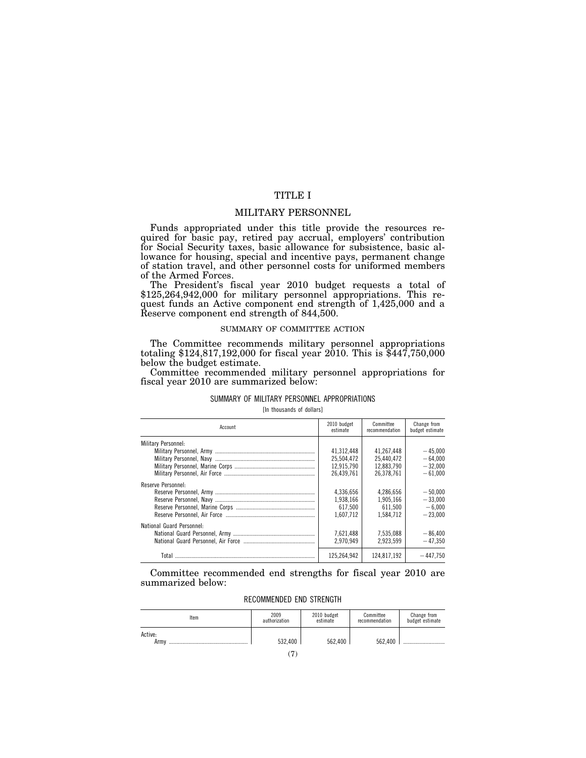# TITLE I

### MILITARY PERSONNEL

Funds appropriated under this title provide the resources required for basic pay, retired pay accrual, employers' contribution for Social Security taxes, basic allowance for subsistence, basic allowance for housing, special and incentive pays, permanent change of station travel, and other personnel costs for uniformed members of the Armed Forces.<br>The President's fiscal year 2010 budget requests a total of

\$125,264,942,000 for military personnel appropriations. This request funds an Active component end strength of 1,425,000 and a Reserve component end strength of 844,500.

#### SUMMARY OF COMMITTEE ACTION

The Committee recommends military personnel appropriations totaling \$124,817,192,000 for fiscal year 2010. This is \$447,750,000 below the budget estimate.

Committee recommended military personnel appropriations for fiscal year 2010 are summarized below:

#### SUMMARY OF MILITARY PERSONNEL APPROPRIATIONS

[In thousands of dollars]

| Account                   | 2010 budget<br>estimate | Committee<br>recommendation | Change from<br>budget estimate |
|---------------------------|-------------------------|-----------------------------|--------------------------------|
| Military Personnel:       |                         |                             |                                |
|                           | 41.312.448              | 41.267.448                  | $-45.000$                      |
|                           | 25.504.472              | 25.440.472                  | $-64.000$                      |
|                           | 12.915.790              | 12.883.790                  | $-32.000$                      |
|                           | 26.439.761              | 26.378.761                  | $-61.000$                      |
| Reserve Personnel:        |                         |                             |                                |
|                           | 4.336.656               | 4.286.656                   | $-50.000$                      |
|                           | 1.938.166               | 1.905.166                   | $-33,000$                      |
|                           | 617.500                 | 611.500                     | $-6.000$                       |
|                           | 1.607.712               | 1.584.712                   | $-23.000$                      |
| National Guard Personnel: |                         |                             |                                |
|                           | 7.621.488               | 7.535.088                   | $-86.400$                      |
|                           | 2.970.949               | 2.923.599                   | $-47.350$                      |
| Total                     | 125.264.942             | 124.817.192                 | $-447.750$                     |

Committee recommended end strengths for fiscal year 2010 are summarized below:

### RECOMMENDED END STRENGTH

| ltem            | 2009          | 2010 budget | Committee      | Change from     |
|-----------------|---------------|-------------|----------------|-----------------|
|                 | authorization | estimate    | recommendation | budget estimate |
| Active:<br>Army | 532.400       | 562.400     | 562.400        |                 |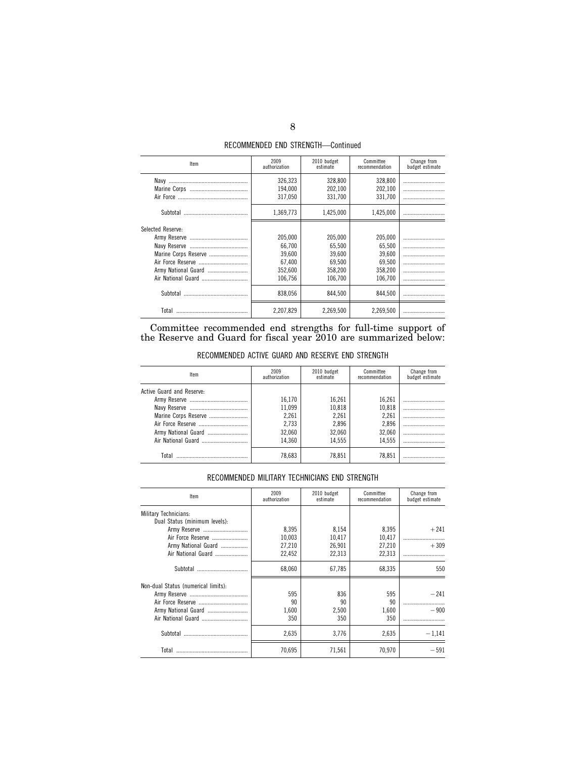| Item                 | 2009<br>authorization         | 2010 budget<br>estimate       | Committee<br>recommendation   | Change from<br>budget estimate |
|----------------------|-------------------------------|-------------------------------|-------------------------------|--------------------------------|
|                      | 326,323<br>194.000<br>317,050 | 328,800<br>202.100<br>331.700 | 328,800<br>202.100<br>331,700 |                                |
| Subtotal             | 1.369.773                     | 1,425,000                     | 1,425,000                     |                                |
| Selected Reserve:    |                               |                               |                               |                                |
|                      | 205,000<br>66,700             | 205,000<br>65.500             | 205,000<br>65.500             |                                |
| Marine Corps Reserve | 39,600                        | 39.600                        | 39.600                        |                                |
| Army National Guard  | 67.400<br>352.600             | 69.500<br>358.200             | 69.500<br>358.200             |                                |
|                      | 106.756                       | 106.700                       | 106.700                       |                                |
|                      | 838.056                       | 844.500                       | 844.500                       |                                |
| Total                | 2,207,829                     | 2,269,500                     | 2.269.500                     |                                |

Committee recommended end strengths for full-time support of the Reserve and Guard for fiscal year 2010 are summarized below:

RECOMMENDED ACTIVE GUARD AND RESERVE END STRENGTH

| Item                      | 2009<br>authorization | 2010 budget<br>estimate | Committee<br>recommendation | Change from<br>budget estimate |
|---------------------------|-----------------------|-------------------------|-----------------------------|--------------------------------|
| Active Guard and Reserve: |                       |                         |                             |                                |
|                           | 16.170                | 16,261                  | 16.261                      |                                |
|                           | 11.099                | 10,818                  | 10.818                      |                                |
| Marine Corps Reserve      | 2,261                 | 2,261                   | 2,261                       |                                |
|                           | 2.733                 | 2,896                   | 2.896                       |                                |
| Army National Guard       | 32.060                | 32,060                  | 32.060                      |                                |
| Air National Guard        | 14.360                | 14.555                  | 14.555                      |                                |
| Total                     | 78.683                | 78.851                  | 78.851                      |                                |

### RECOMMENDED MILITARY TECHNICIANS END STRENGTH

| Item                                | 2009<br>authorization | 2010 budget<br>estimate | Committee<br>recommendation | Change from<br>budget estimate |
|-------------------------------------|-----------------------|-------------------------|-----------------------------|--------------------------------|
| Military Technicians:               |                       |                         |                             |                                |
| Dual Status (minimum levels):       |                       |                         |                             |                                |
| Army Reserve                        | 8.395                 | 8.154                   | 8.395                       | $+241$                         |
| Air Force Reserve                   | 10,003                | 10,417                  | 10,417                      |                                |
| Army National Guard                 | 27,210                | 26,901                  | 27,210                      | $+309$                         |
| Air National Guard                  | 22,452                | 22,313                  | 22,313                      |                                |
|                                     | 68.060                | 67.785                  | 68.335                      | 550                            |
| Non-dual Status (numerical limits): |                       |                         |                             |                                |
|                                     | 595                   | 836                     | 595                         | $-241$                         |
|                                     | 90                    | 90                      | 90                          |                                |
| Armv National Guard                 | 1,600                 | 2,500                   | 1.600                       | $-900$                         |
|                                     | 350                   | 350                     | 350                         |                                |
|                                     | 2,635                 | 3.776                   | 2,635                       | $-1,141$                       |
| Total                               | 70.695                | 71.561                  | 70.970                      | $-591$                         |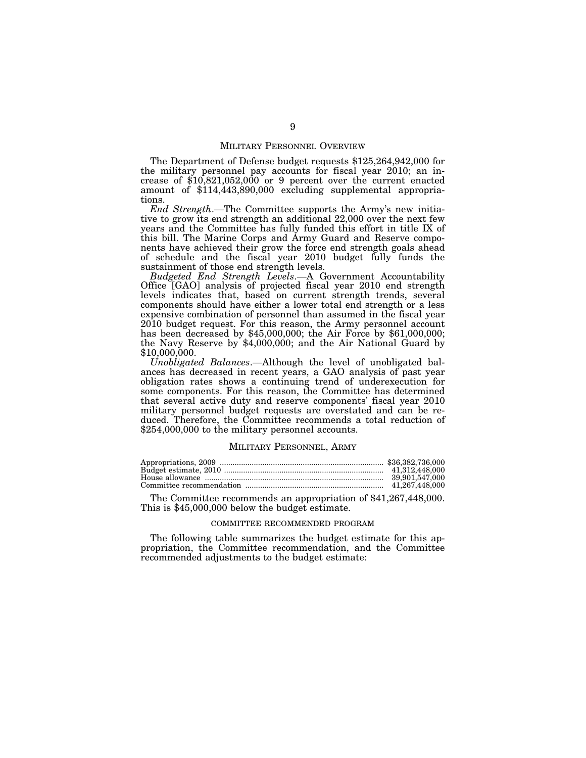#### MILITARY PERSONNEL OVERVIEW

The Department of Defense budget requests \$125,264,942,000 for the military personnel pay accounts for fiscal year 2010; an increase of \$10,821,052,000 or 9 percent over the current enacted amount of \$114,443,890,000 excluding supplemental appropriations.

*End Strength*.—The Committee supports the Army's new initiative to grow its end strength an additional 22,000 over the next few years and the Committee has fully funded this effort in title IX of this bill. The Marine Corps and Army Guard and Reserve components have achieved their grow the force end strength goals ahead of schedule and the fiscal year 2010 budget fully funds the sustainment of those end strength levels.

*Budgeted End Strength Levels*.—A Government Accountability Office [GAO] analysis of projected fiscal year 2010 end strength levels indicates that, based on current strength trends, several components should have either a lower total end strength or a less expensive combination of personnel than assumed in the fiscal year 2010 budget request. For this reason, the Army personnel account has been decreased by \$45,000,000; the Air Force by \$61,000,000; the Navy Reserve by \$4,000,000; and the Air National Guard by \$10,000,000.

*Unobligated Balances*.—Although the level of unobligated balances has decreased in recent years, a GAO analysis of past year obligation rates shows a continuing trend of underexecution for some components. For this reason, the Committee has determined that several active duty and reserve components' fiscal year 2010 military personnel budget requests are overstated and can be reduced. Therefore, the Committee recommends a total reduction of \$254,000,000 to the military personnel accounts.

#### MILITARY PERSONNEL, ARMY

| 39.901.547.000 |
|----------------|
|                |

The Committee recommends an appropriation of \$41,267,448,000. This is \$45,000,000 below the budget estimate.

#### COMMITTEE RECOMMENDED PROGRAM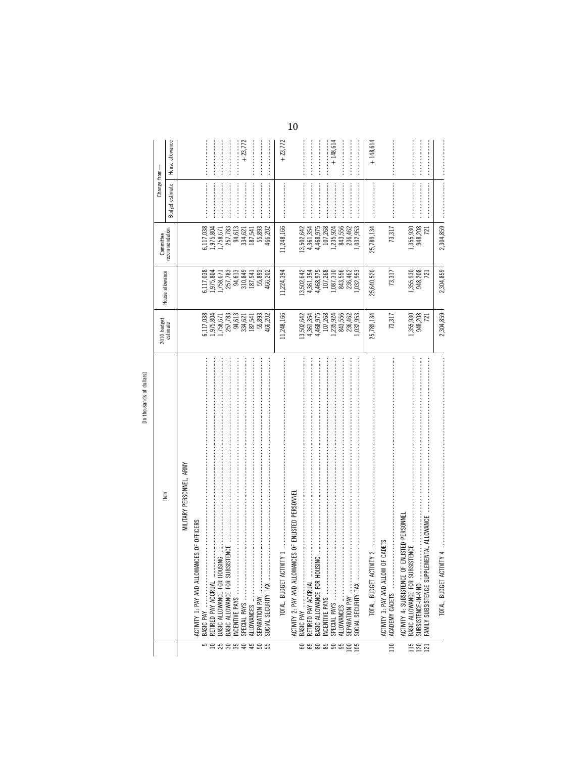| v            |
|--------------|
|              |
| <b>RSSID</b> |
|              |
|              |

|                  | In thousands of dollars]                                                                                                |                                                                                                                                                                      |                                                                                                                                                                           |                                      |                 |                 |
|------------------|-------------------------------------------------------------------------------------------------------------------------|----------------------------------------------------------------------------------------------------------------------------------------------------------------------|---------------------------------------------------------------------------------------------------------------------------------------------------------------------------|--------------------------------------|-----------------|-----------------|
|                  | tem                                                                                                                     | 2010 budget<br>estimate                                                                                                                                              | House allowance                                                                                                                                                           | Committee                            | Change from-    |                 |
|                  |                                                                                                                         |                                                                                                                                                                      |                                                                                                                                                                           | recommendation                       | Budget estimate | House allowance |
|                  | MILITARY PERSONNEL, ARMY                                                                                                |                                                                                                                                                                      |                                                                                                                                                                           |                                      |                 |                 |
| 5                | <b>INCES OF OFFICERS</b><br>ACTIVITY 1: PAY AND ALLOWA                                                                  |                                                                                                                                                                      |                                                                                                                                                                           | 5,117,038                            |                 |                 |
|                  | RETIRED PAY ACCRUAL                                                                                                     | $\begin{array}{l} 6, 117, 038 \\ 1, 975, 804 \\ 1, 758, 671 \\ 1, 758, 671 \\ 257, 783 \\ 94, 613 \\ 137, 621 \\ 187, 5441 \\ 187, 5441 \\ 187, 5441 \\ \end{array}$ | $\begin{array}{l} 6, 117, 038 \\ 1, 975, 804 \\ 1, 758, 671 \\ 257, 783 \\ 257, 783 \\ 94, 613 \\ 10, 849 \\ 187, 541 \\ 187, 541 \\ 187, 541 \\ 187, 893 \\ \end{array}$ | 1,975,804<br>1,758,671               |                 |                 |
|                  | :ING<br>BASIC ALLOWANCE FOR HOUS                                                                                        |                                                                                                                                                                      |                                                                                                                                                                           |                                      |                 |                 |
| <b>Examerado</b> | <b>ISTENCE</b><br>BASIC ALLOWANCE FOR SUBS<br>INCENTIVE PAYS                                                            |                                                                                                                                                                      |                                                                                                                                                                           | 257,783<br>94,613                    |                 |                 |
|                  |                                                                                                                         |                                                                                                                                                                      |                                                                                                                                                                           |                                      |                 | $+23,772$       |
|                  |                                                                                                                         |                                                                                                                                                                      |                                                                                                                                                                           | 334,621<br>187,541                   |                 |                 |
|                  |                                                                                                                         |                                                                                                                                                                      |                                                                                                                                                                           | 55,893                               |                 |                 |
|                  | SOCIAL SECURITY TAX                                                                                                     | 466,202                                                                                                                                                              | 466,202                                                                                                                                                                   | 466,202                              |                 |                 |
|                  | VITY <sub>1</sub><br>TOTAL, BUDGET ACTI                                                                                 | 11,248,166                                                                                                                                                           | 11,224,394                                                                                                                                                                | 11,248,166                           |                 | $+23,772$       |
|                  | ACTIVITY 2: PAY AND ALLOWANCES OF ENLISTED PERSONNEL                                                                    |                                                                                                                                                                      |                                                                                                                                                                           |                                      |                 |                 |
|                  |                                                                                                                         |                                                                                                                                                                      | 13,502,642<br>4,361,354                                                                                                                                                   | 13,502,642<br>4,361,354<br>4,468,975 |                 |                 |
|                  | RETIRED PAY ACCRUAL                                                                                                     |                                                                                                                                                                      |                                                                                                                                                                           |                                      |                 |                 |
|                  | $\frac{1}{2}$<br>BASIC ALLOWANCE FOR HOUS                                                                               |                                                                                                                                                                      |                                                                                                                                                                           |                                      |                 |                 |
| 888888           | $\mathsf{MCENINE}$ PAYS - интернетивности положительно положительно положительно положительно положительно положительно | $\begin{array}{l} 13,502,642\\ 4,361,354\\ 4,468,975\\ 107,268\\ 1435,924\\ 1,235,924\\ 843,556\\ 236,462 \end{array}$                                               | 4,468,975<br>107,268<br>1,087,310                                                                                                                                         | 107,268                              |                 | $+148,614$      |
|                  |                                                                                                                         |                                                                                                                                                                      | 843,556                                                                                                                                                                   | 1,235,924<br>843,556                 |                 |                 |
|                  |                                                                                                                         |                                                                                                                                                                      | 236,462                                                                                                                                                                   | 236,462                              |                 |                 |
| $\frac{25}{105}$ | SOCIAL SECURITY TAX                                                                                                     | ,032,953                                                                                                                                                             | ,032,953                                                                                                                                                                  | ,032,953                             |                 |                 |
|                  | $V\parallel$ $V$ $\ldots$<br>TOTAL, BUDGET ACTI                                                                         | 25,789,134                                                                                                                                                           | 25,640,520                                                                                                                                                                | 25,789,134                           |                 | $+148,614$      |
| $\overline{110}$ | OF CADETS<br>ACTIVITY 3: PAY AND ALLOW<br>ACADEMY CADETS                                                                | 73,317                                                                                                                                                               | 73,317                                                                                                                                                                    | 73,317                               |                 |                 |
|                  | ENLISTED PERSONNE<br>ACTIVITY 4: SUBSISTENCE OF                                                                         |                                                                                                                                                                      |                                                                                                                                                                           |                                      |                 |                 |
|                  | ISTENCE<br>BASIC ALLOWANCE FOR SUBS                                                                                     |                                                                                                                                                                      | 1,355,930                                                                                                                                                                 | 1,355,930                            |                 |                 |
| 11<br>12<br>11   | SUBSISTENCE-IN-KIND                                                                                                     | 1,355,930<br>948,208                                                                                                                                                 | 948,208<br>721                                                                                                                                                            | 948,208                              |                 |                 |
|                  | FAMILY SUBSISTENCE SUPPLE                                                                                               | 721                                                                                                                                                                  |                                                                                                                                                                           | 721                                  |                 |                 |
|                  | TOTAL, BUDGET ACTIVITY 4                                                                                                | 2,304,859                                                                                                                                                            | 2,304,859                                                                                                                                                                 | 2,304,859                            |                 |                 |

 $10\,$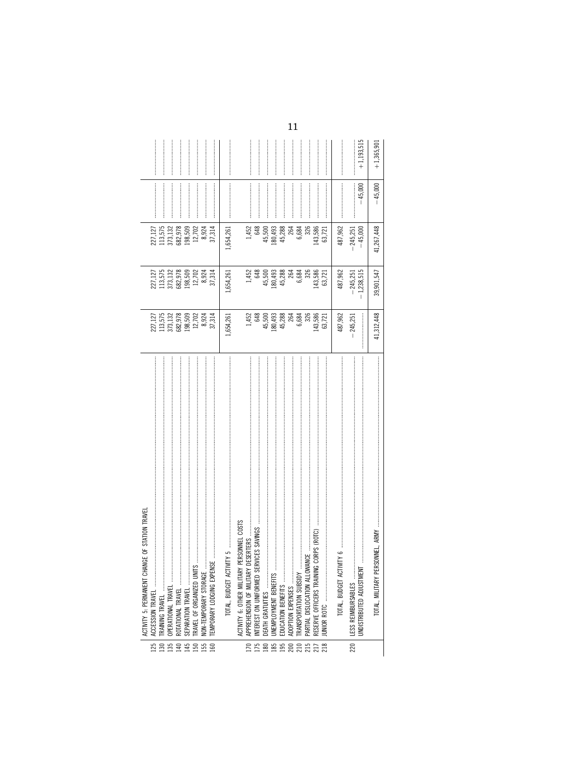|                  | ACTIVITY 5: PERMANENT CHANGE OF STATION TRAVEL                          |            |                                                                     |                    |           |              |
|------------------|-------------------------------------------------------------------------|------------|---------------------------------------------------------------------|--------------------|-----------|--------------|
| 125              | ACCESSION TRAVEL                                                        | 227,127    |                                                                     |                    |           |              |
|                  | TRAINING TRAVEL                                                         | 113,575    |                                                                     | 227,127<br>113,575 |           |              |
|                  |                                                                         | 373,132    |                                                                     | 373,132            |           |              |
|                  |                                                                         | 682,978    | 227, 127<br>113, 575<br>373, 132<br>682, 978<br>198, 509<br>12, 702 | 682,978            |           |              |
|                  |                                                                         | 198,509    |                                                                     | 198,509            |           |              |
|                  |                                                                         | 12,702     |                                                                     | 12,702             |           |              |
|                  | NON-TEMPORARY STORAGE                                                   | 8,924      | 8,924                                                               | 8,924              |           |              |
|                  | TEMPORARY LODGING EXPEN                                                 | 37,314     | 37,314                                                              | 37,314             |           |              |
|                  |                                                                         | 1,654,261  | 1,654,261                                                           | .,654,261          |           |              |
|                  | PERSONNEL COSTS<br>ACTIVITY 6: OTHER MILITARY                           |            |                                                                     |                    |           |              |
| $\approx$        | DESERTERS                                                               | 1,452      |                                                                     | 1,452              |           |              |
| 75               |                                                                         | 648        | 1,452<br>648                                                        | 648                |           |              |
|                  |                                                                         | 45,500     | 45,500                                                              | 45,500             |           |              |
| <b>885888858</b> |                                                                         | 180,493    | 180,493                                                             | 180,493            |           |              |
|                  |                                                                         | 45,288     | 45,288                                                              | 45,288             |           |              |
|                  | ADOPTION EXPENSES<br>TRANSPORTATION SUBSIDY                             | 264        | 264                                                                 | 264                |           |              |
|                  |                                                                         | 6,684      | 6,684                                                               | 6,684              |           |              |
|                  | MANCE                                                                   | 326        | 326                                                                 | 326                |           |              |
|                  | G CORPS (ROTC)<br>PARTIAL DISLOCATION ALLOW<br>RESERVE OFFICERS TRAININ | 143,586    | 143,586                                                             | 143,586            |           |              |
|                  |                                                                         | 63,721     | 63,721                                                              | 63,721             |           |              |
|                  |                                                                         | 487,962    | 487,962                                                             | 487,962            |           |              |
| 220              | LESS REIMBURSABLES                                                      | 245,251    | $-245,251$                                                          | $-245,251$         |           |              |
|                  | UNDISTRIBUTED ADJUSTMENT                                                |            | 1,238,515                                                           | $-45,000$          | $-45,000$ | $+1,193,515$ |
|                  | TOTAL, MILITARY PERSONNEL, ARMY                                         | 41,312,448 | 39,901,547                                                          | 41,267,448         | $-45,000$ | $+1,365,901$ |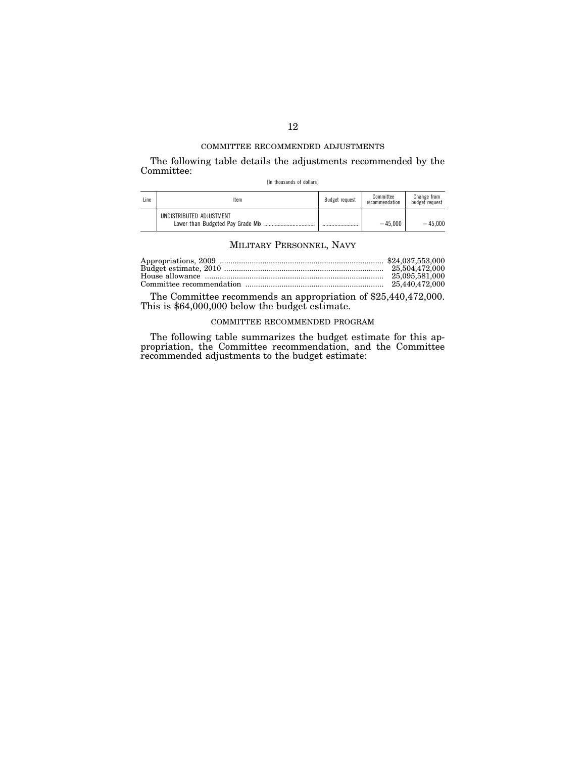The following table details the adjustments recommended by the Committee:

[In thousands of dollars]

| Line | Item                                                          | Budget request | Committee<br>recommendation | Change from<br>budget request |
|------|---------------------------------------------------------------|----------------|-----------------------------|-------------------------------|
|      | UNDISTRIBUTED ADJUSTMENT<br>Lower than Budgeted Pay Grade Mix |                | $-45.000$                   | $-45.000$                     |

## MILITARY PERSONNEL, NAVY

| 25.095.581.000 |
|----------------|
|                |

The Committee recommends an appropriation of \$25,440,472,000. This is \$64,000,000 below the budget estimate.

# COMMITTEE RECOMMENDED PROGRAM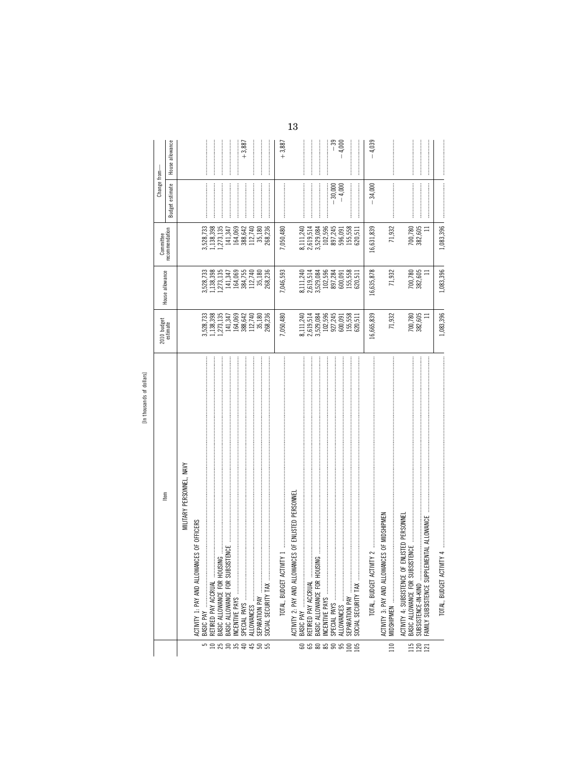|             | s           |
|-------------|-------------|
| ۱<br>è      |             |
| ś<br>ć<br>ć | s<br>ᇰ<br>۰ |
| J           |             |

|                   | [In thousands of dollars]                                                                                                                          |                                                                                                                           |                                                                                             |                                   |                                                                                                                                                                                                                                                                                                                                                                                                                                                                                                                                                   |                 |
|-------------------|----------------------------------------------------------------------------------------------------------------------------------------------------|---------------------------------------------------------------------------------------------------------------------------|---------------------------------------------------------------------------------------------|-----------------------------------|---------------------------------------------------------------------------------------------------------------------------------------------------------------------------------------------------------------------------------------------------------------------------------------------------------------------------------------------------------------------------------------------------------------------------------------------------------------------------------------------------------------------------------------------------|-----------------|
|                   | ltem                                                                                                                                               | 2010 budget<br>estimate                                                                                                   | House allowance                                                                             | Committee                         | Change from-                                                                                                                                                                                                                                                                                                                                                                                                                                                                                                                                      |                 |
|                   |                                                                                                                                                    |                                                                                                                           |                                                                                             | recommendation                    | Budget estimate                                                                                                                                                                                                                                                                                                                                                                                                                                                                                                                                   | House allowance |
|                   | MILITARY PERSONNEL, NAVY                                                                                                                           |                                                                                                                           |                                                                                             |                                   |                                                                                                                                                                                                                                                                                                                                                                                                                                                                                                                                                   |                 |
|                   | ACTIVITY 1: PAY AND ALLOWANCES OF OFFICERS                                                                                                         |                                                                                                                           |                                                                                             |                                   |                                                                                                                                                                                                                                                                                                                                                                                                                                                                                                                                                   |                 |
| 5                 | $\ddot{\phantom{a}}$<br>BASIC PAY<br>RETIRED PAY ACCRUAL                                                                                           | 3,528,733<br>1,138,398                                                                                                    | 3,528,733<br>1,138,398<br>1,273,135                                                         | 3,528,733<br>1,138,398            |                                                                                                                                                                                                                                                                                                                                                                                                                                                                                                                                                   |                 |
|                   | $\text{MS} \quad \  \  \, \text{The same number of times the same number of times the same number of times the time.}$<br>BASIC ALLOWANCE FOR HOUS | 1,273,135                                                                                                                 |                                                                                             | 1,273,135                         |                                                                                                                                                                                                                                                                                                                                                                                                                                                                                                                                                   |                 |
|                   | <b>ISTENCE</b><br>BASIC ALLOWANCE FOR SUBS                                                                                                         | 141,347<br>164,069                                                                                                        |                                                                                             | 141,347                           |                                                                                                                                                                                                                                                                                                                                                                                                                                                                                                                                                   |                 |
| n 3 3 3 4 5 5 5 5 |                                                                                                                                                    |                                                                                                                           | $\begin{array}{c} 141,347 \\ 164,069 \\ 384,755 \\ 112,740 \\ 35,180 \end{array}$           | 164,069<br>388,642                |                                                                                                                                                                                                                                                                                                                                                                                                                                                                                                                                                   | $+3,887$        |
|                   |                                                                                                                                                    | 388,642<br>112,740<br>35,180<br>268,236                                                                                   |                                                                                             | 112,740                           |                                                                                                                                                                                                                                                                                                                                                                                                                                                                                                                                                   |                 |
|                   | SEPARATION PAY                                                                                                                                     |                                                                                                                           |                                                                                             | 35,180                            |                                                                                                                                                                                                                                                                                                                                                                                                                                                                                                                                                   |                 |
|                   | SOCIAL SECURITY TAX                                                                                                                                |                                                                                                                           | 268,236                                                                                     | 268,236                           |                                                                                                                                                                                                                                                                                                                                                                                                                                                                                                                                                   |                 |
|                   |                                                                                                                                                    | 7,050,480                                                                                                                 | 7,046,593                                                                                   | 7,050,480                         |                                                                                                                                                                                                                                                                                                                                                                                                                                                                                                                                                   | $+3,887$        |
|                   | ACTIVITY 2: PAY AND ALLOWANCES OF ENLISTED PERSONNEL                                                                                               |                                                                                                                           |                                                                                             |                                   |                                                                                                                                                                                                                                                                                                                                                                                                                                                                                                                                                   |                 |
| 888888            |                                                                                                                                                    |                                                                                                                           | 8,111,240                                                                                   | 8,111,240                         |                                                                                                                                                                                                                                                                                                                                                                                                                                                                                                                                                   |                 |
|                   | $\begin{array}{c} \begin{array}{c} \bullet \\ \bullet \\ \bullet \end{array} \end{array}$<br>RETIRED PAY ACCRUAL                                   |                                                                                                                           |                                                                                             |                                   |                                                                                                                                                                                                                                                                                                                                                                                                                                                                                                                                                   |                 |
|                   | BASIC ALLOWANCE FOR HOUSING                                                                                                                        |                                                                                                                           |                                                                                             | 2,619,514<br>3,529,084<br>102,596 |                                                                                                                                                                                                                                                                                                                                                                                                                                                                                                                                                   |                 |
|                   |                                                                                                                                                    |                                                                                                                           |                                                                                             |                                   |                                                                                                                                                                                                                                                                                                                                                                                                                                                                                                                                                   |                 |
|                   |                                                                                                                                                    |                                                                                                                           |                                                                                             | 897,245                           | $-30,000$                                                                                                                                                                                                                                                                                                                                                                                                                                                                                                                                         | - 39            |
|                   |                                                                                                                                                    |                                                                                                                           | $2,619,514$<br>$3,529,084$<br>$102,596$<br>$102,596$<br>$897,284$<br>$800,091$<br>$155,558$ | 596,091                           | $-4,000$                                                                                                                                                                                                                                                                                                                                                                                                                                                                                                                                          | $-4,000$        |
| $\frac{8}{105}$   | SOCIAL SECURITY TAX                                                                                                                                | $\begin{array}{l} 8,111,240 \\ 2,619,514 \\ 3,529,084 \\ 102,596 \\ 927,245 \\ 600,091 \\ 155,558 \\ 155,558 \end{array}$ | 620,511                                                                                     | 155,558<br>620,511                |                                                                                                                                                                                                                                                                                                                                                                                                                                                                                                                                                   |                 |
|                   |                                                                                                                                                    | 16,665,839                                                                                                                | 16,635,878                                                                                  | 16,631,839                        | $-34,000$                                                                                                                                                                                                                                                                                                                                                                                                                                                                                                                                         | $-4,039$        |
| 110               | ACTIVITY 3: PAY AND ALLOWANCES OF MIDSHIPMEN                                                                                                       | 71,932                                                                                                                    | 71,932                                                                                      | 71,932                            | $\label{def:conformal} \begin{minipage}{0.9\linewidth} \begin{minipage}{0.9\linewidth} \begin{minipage}{0.9\linewidth} \begin{minipage}{0.9\linewidth} \end{minipage} \begin{minipage}{0.9\linewidth} \begin{minipage}{0.9\linewidth} \end{minipage} \begin{minipage}{0.9\linewidth} \begin{minipage}{0.9\linewidth} \end{minipage} \begin{minipage}{0.9\linewidth} \end{minipage} \begin{minipage}{0.9\linewidth} \begin{minipage}{0.9\linewidth} \end{minipage} \begin{minipage}{0.9\linewidth} \end{minipage} \begin{minipage}{0.9\linewidth}$ |                 |
| 115               | ENLISTED PERSONNEL<br><b>ISTENCE</b><br>BASIC ALLOWANCE FOR SUBSI<br>ACTIVITY 4: SUBSISTENCE OF                                                    |                                                                                                                           |                                                                                             |                                   |                                                                                                                                                                                                                                                                                                                                                                                                                                                                                                                                                   |                 |
| $\frac{121}{21}$  | MENTAL ALLOWANCE<br>SUBSISTENCE-IN-KIND<br>FAMILY SUBSISTENCE SUPPLE                                                                               | 700,780<br>382,605<br>$\equiv$                                                                                            | 700,780<br>382,605<br>Ξ                                                                     | 700,780<br>382,605<br>Ξ           |                                                                                                                                                                                                                                                                                                                                                                                                                                                                                                                                                   |                 |
|                   | TOTAL, BUDGET ACTIVITY 4                                                                                                                           | 1,083,396                                                                                                                 | 1,083,396                                                                                   | 1,083,396                         |                                                                                                                                                                                                                                                                                                                                                                                                                                                                                                                                                   |                 |

 $13\,$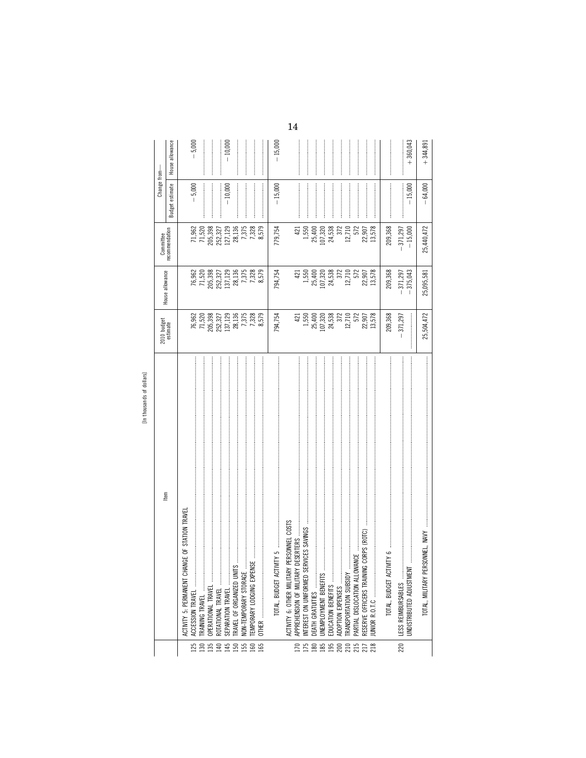| r                          |
|----------------------------|
| s<br>τ<br>ś<br>¢<br>c<br>٠ |
| A<br>ć                     |

|                                                     |                                                                                      |                                                                                      | Committee                     | Change from-           |                 |
|-----------------------------------------------------|--------------------------------------------------------------------------------------|--------------------------------------------------------------------------------------|-------------------------------|------------------------|-----------------|
| ltem                                                | 2010 budget<br>estimate                                                              | House allowance                                                                      | recommendation                | <b>Budget estimate</b> | House allowance |
| ANGE OF STATION TRAVEI<br>ACTIVITY 5: PERMANENT CH/ |                                                                                      |                                                                                      |                               |                        |                 |
| $\vdots$<br>ACCESSION TRAVEL                        |                                                                                      |                                                                                      |                               | $-5,000$               | $-5,000$        |
| <b>TRAINING TRAVEL</b>                              |                                                                                      |                                                                                      | 71,962<br>71,520              |                        |                 |
| OPERATIONAL TRAVEL                                  |                                                                                      |                                                                                      |                               |                        |                 |
| ROTATIONAL TRAVEL                                   |                                                                                      |                                                                                      |                               |                        |                 |
| SEPARATION TRAVEL                                   |                                                                                      |                                                                                      | 205,398<br>252,327<br>127,129 | $-10,000$              | $-10,000$       |
| RAVEL OF ORGANIZED UNIT                             | 76,962<br>71,520<br>205,332<br>205,327<br>137,129<br>28,136<br>7,375                 | 76,962<br>71,520<br>205,332 7<br>205,327 7,378<br>137,129<br>28,137,378              | 28,136                        |                        |                 |
| <br> <br> <br><b>VON-TEMPORARY STORAGE</b>          |                                                                                      |                                                                                      | 7,375                         |                        |                 |
| 5S<br>EMPORARY LODGING EXPET                        |                                                                                      |                                                                                      | 7,328                         |                        |                 |
|                                                     | 8,579                                                                                |                                                                                      | 8,579                         |                        |                 |
| TOTAL, BUDGET ACTIVITY 5                            | 794,754                                                                              | 794,754                                                                              | 779,754                       | $-15,000$              | $-15,000$       |
| PERSONNEL COSTS<br>ACTIVITY 6: OTHER MILITARY       |                                                                                      |                                                                                      |                               |                        |                 |
| DESERTERS.<br>APPREHENSION OF MILITARY              | 421                                                                                  | 421                                                                                  | 421                           |                        |                 |
| RVICES SAVINGS<br>NTEREST ON UNIFORMED SE           |                                                                                      |                                                                                      | 1,550                         |                        |                 |
| DEATH GRATUITIES                                    |                                                                                      |                                                                                      |                               |                        |                 |
| JNEMPLOYMENT BENEFITS                               |                                                                                      |                                                                                      | 25,400<br>107,320<br>24,538   |                        |                 |
| EDUCATION BENEFITS                                  |                                                                                      |                                                                                      |                               |                        |                 |
| <b>ADOPTION EXPENSES</b>                            |                                                                                      |                                                                                      | 372                           |                        |                 |
| <b>RANSPORTATION SUBSIDY</b>                        | $\begin{array}{c} 1,550 \\ 25,400 \\ 107,320 \\ 24,538 \\ 372 \\ 12,710 \end{array}$ | $\begin{array}{c} 1,550 \\ 25,400 \\ 107,320 \\ 24,538 \\ 372 \\ 12,710 \end{array}$ | 12,710                        |                        |                 |
| PARTIAL DISLOCATION ALLOW                           | 572<br>22,907                                                                        | 572                                                                                  | 572                           |                        |                 |
| G CORPS (ROTC)<br>RESERVE OFFICERS TRAININ          |                                                                                      | 22,907<br>13,578                                                                     | 22,907                        |                        |                 |
|                                                     | 13,578                                                                               |                                                                                      | 13,578                        |                        |                 |
| TOTAL, BUDGET ACT                                   | 209,368                                                                              | 209,368                                                                              | 209,368                       |                        |                 |
| LESS REIMBURSABLES                                  | 371,297                                                                              | 371,297                                                                              | $-371,297$                    |                        |                 |
| JNDISTRIBUTED ADJUSTMENT                            |                                                                                      | 375,043                                                                              | $-15,000$                     | $-15,000$              | $+360,043$      |
|                                                     | 25,504,472                                                                           | 25,095,581                                                                           | 25,440,472                    | $-64,000$              | $+344,891$      |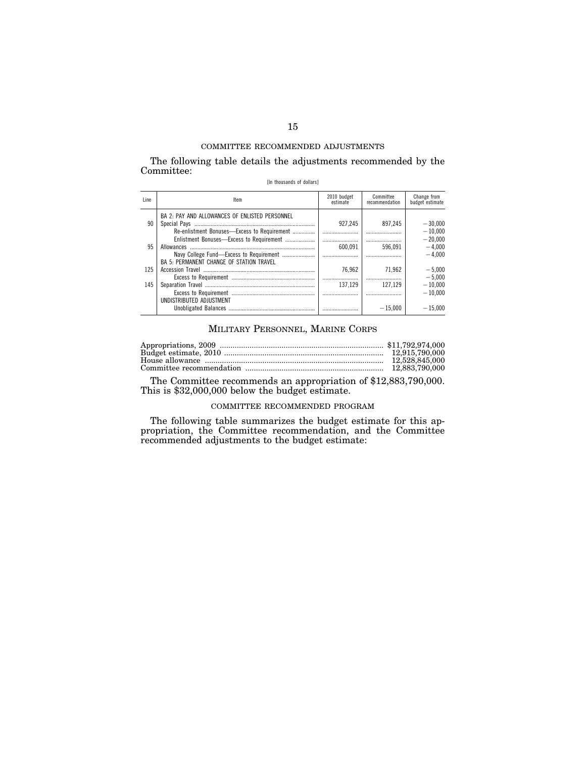The following table details the adjustments recommended by the Committee:

|  | [In thousands of dollars] |  |  |
|--|---------------------------|--|--|
|--|---------------------------|--|--|

| Line | Item                                                                                                      | 2010 budget<br>estimate | Committee<br>recommendation | Change from<br>budget estimate    |
|------|-----------------------------------------------------------------------------------------------------------|-------------------------|-----------------------------|-----------------------------------|
| 90   | BA 2: PAY AND ALLOWANCES OF ENLISTED PERSONNEL<br>Re-enlistment Bonuses—Excess to Requirement             | 927.245                 | 897.245                     | $-30.000$<br>$-10.000$            |
| 95   | Enlistment Bonuses-Excess to Requirement<br>Allowances<br><b>BA 5: PERMANENT CHANGE OF STATION TRAVEL</b> | <br>600.091             | <br>596.091                 | $-20.000$<br>$-4.000$<br>$-4.000$ |
| 125  |                                                                                                           | 76.962                  | 71.962                      | $-5.000$<br>$-5.000$              |
| 145  | UNDISTRIBUTED ADJUSTMENT                                                                                  | 137.129                 | 127.129                     | $-10.000$<br>$-10.000$            |
|      |                                                                                                           |                         | $-15.000$                   | $-15.000$                         |

## MILITARY PERSONNEL, MARINE CORPS

| 12.528.845.000 |
|----------------|
|                |

The Committee recommends an appropriation of \$12,883,790,000. This is \$32,000,000 below the budget estimate.

## COMMITTEE RECOMMENDED PROGRAM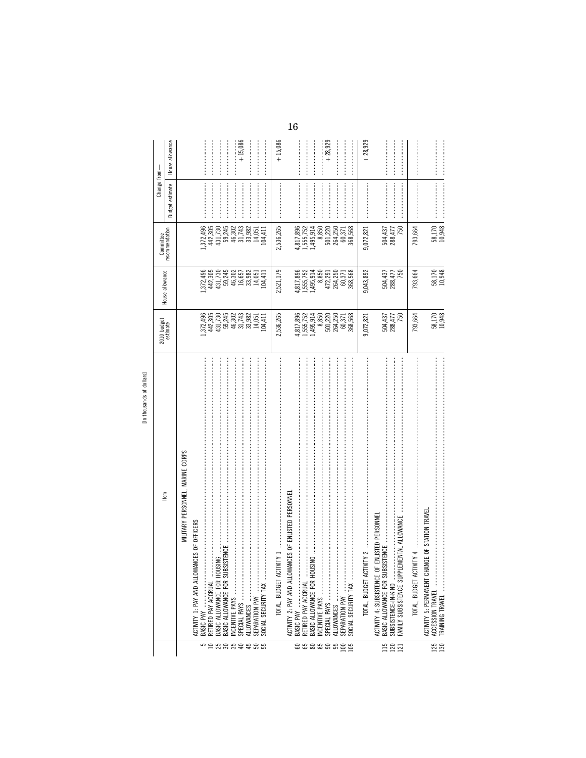|                  | [in thousands or dollars]                                                                                                           |                                                                                               |                                                                                 |                                                    |                                                                                                                                                                                                                                                                                                                                                                                                                                                                                                                                                         |                 |
|------------------|-------------------------------------------------------------------------------------------------------------------------------------|-----------------------------------------------------------------------------------------------|---------------------------------------------------------------------------------|----------------------------------------------------|---------------------------------------------------------------------------------------------------------------------------------------------------------------------------------------------------------------------------------------------------------------------------------------------------------------------------------------------------------------------------------------------------------------------------------------------------------------------------------------------------------------------------------------------------------|-----------------|
|                  | Item                                                                                                                                | 2010 budget<br>estimate                                                                       | House allowance                                                                 | Committee                                          | Change from-                                                                                                                                                                                                                                                                                                                                                                                                                                                                                                                                            |                 |
|                  |                                                                                                                                     |                                                                                               |                                                                                 | ecommendation                                      | Budget estimate                                                                                                                                                                                                                                                                                                                                                                                                                                                                                                                                         | House allowance |
|                  | MILITARY PERSONNEL, MARINE CORPS                                                                                                    |                                                                                               |                                                                                 |                                                    |                                                                                                                                                                                                                                                                                                                                                                                                                                                                                                                                                         |                 |
| 5                | ICES OF OFFICERS<br>ACTIVITY 1: PAY AND ALLOWAN<br>BASIC PAY                                                                        |                                                                                               |                                                                                 |                                                    |                                                                                                                                                                                                                                                                                                                                                                                                                                                                                                                                                         |                 |
|                  | RETIRED PAY ACCRUAL                                                                                                                 |                                                                                               | l, 372, 496<br>442, 305<br>431, 730                                             |                                                    |                                                                                                                                                                                                                                                                                                                                                                                                                                                                                                                                                         |                 |
|                  | BASIC ALLOWANCE FOR HOUS                                                                                                            |                                                                                               |                                                                                 |                                                    |                                                                                                                                                                                                                                                                                                                                                                                                                                                                                                                                                         |                 |
|                  | BASIC ALLOWANCE FOR SUBSISTENCE                                                                                                     | $[42, 305\n442, 305\n431, 730\n45, 745\n46, 302\n47, 303\n48, 302\n49, 303\n40, 305\n14, 051$ | 59225<br>5925<br>5957<br>59351                                                  | 372,496<br>442,305<br>4431,730<br>59,302<br>46,302 |                                                                                                                                                                                                                                                                                                                                                                                                                                                                                                                                                         |                 |
|                  |                                                                                                                                     |                                                                                               |                                                                                 |                                                    |                                                                                                                                                                                                                                                                                                                                                                                                                                                                                                                                                         | $+15,086$       |
|                  |                                                                                                                                     |                                                                                               |                                                                                 | 31,743<br>33,982                                   |                                                                                                                                                                                                                                                                                                                                                                                                                                                                                                                                                         |                 |
| <b>Examerace</b> | SOCIAL SECURITY TAX<br>SEPARATION PAY                                                                                               | .04, 411                                                                                      | .04, 411                                                                        | 14,051<br>04,411                                   |                                                                                                                                                                                                                                                                                                                                                                                                                                                                                                                                                         |                 |
|                  | TOTAL, BUDGET ACTIVITY 1                                                                                                            | 2,536,265                                                                                     | 2,521,179                                                                       | 2,536,265                                          |                                                                                                                                                                                                                                                                                                                                                                                                                                                                                                                                                         | $+15,086$       |
|                  | <b>VCES OF ENLISTED PERSONNE</b><br>ACTIVITY 2: PAY AND ALLOWAT                                                                     |                                                                                               |                                                                                 |                                                    |                                                                                                                                                                                                                                                                                                                                                                                                                                                                                                                                                         |                 |
|                  |                                                                                                                                     |                                                                                               | 1,817,896                                                                       |                                                    |                                                                                                                                                                                                                                                                                                                                                                                                                                                                                                                                                         |                 |
| 888888           | RETIRED PAY ACCRUAL                                                                                                                 |                                                                                               | 1,555,752<br>1,495,914                                                          | 4,817,896<br>1,555,752<br>1,495,914                |                                                                                                                                                                                                                                                                                                                                                                                                                                                                                                                                                         |                 |
|                  | $\mathbb{M}$ , and an intermediate construction of the construction of the construction of $\mathbb{M}$<br>BASIC ALLOWANCE FOR HOUS |                                                                                               |                                                                                 | 8,850                                              |                                                                                                                                                                                                                                                                                                                                                                                                                                                                                                                                                         |                 |
|                  |                                                                                                                                     |                                                                                               |                                                                                 | 501,220                                            |                                                                                                                                                                                                                                                                                                                                                                                                                                                                                                                                                         | $+28,929$       |
|                  |                                                                                                                                     |                                                                                               |                                                                                 | 264,250                                            |                                                                                                                                                                                                                                                                                                                                                                                                                                                                                                                                                         |                 |
| $\geq$<br>105    | SOCIAL SECURITY TAX                                                                                                                 | 4,817,896<br>1,555,752<br>1,495,914<br>60,371<br>564,250<br>60,371<br>60,371                  | $\begin{array}{r} 8,850 \\ 472,291 \\ 264,250 \\ 60,371 \\ 368,568 \end{array}$ | 368,568<br>60,371                                  |                                                                                                                                                                                                                                                                                                                                                                                                                                                                                                                                                         |                 |
|                  |                                                                                                                                     | 9,072,821                                                                                     | 9,043,892                                                                       | 9,072,821                                          |                                                                                                                                                                                                                                                                                                                                                                                                                                                                                                                                                         | $+28,929$       |
|                  | ENLISTED PERSONNE<br>BASIC ALLOWANCE FOR SUBSISTENCE<br>ACTIVITY 4: SUBSISTENCE OF                                                  |                                                                                               |                                                                                 |                                                    |                                                                                                                                                                                                                                                                                                                                                                                                                                                                                                                                                         |                 |
| 1581             | FAMILY SUBSISTENCE SUPPLEMENTAL ALLOWANCE<br>SUBSISTENCE-IN-KIND                                                                    | 504,437<br>288,477<br>750                                                                     | 504,437<br>288,477<br>750                                                       | 504,437<br>288,477<br>750                          |                                                                                                                                                                                                                                                                                                                                                                                                                                                                                                                                                         |                 |
|                  |                                                                                                                                     |                                                                                               |                                                                                 |                                                    |                                                                                                                                                                                                                                                                                                                                                                                                                                                                                                                                                         |                 |
|                  |                                                                                                                                     | 793,664                                                                                       | 793,664                                                                         | 793,664                                            |                                                                                                                                                                                                                                                                                                                                                                                                                                                                                                                                                         |                 |
|                  | ACTIVITY 5: PERMANENT CHANGE OF STATION TRAVEI                                                                                      |                                                                                               |                                                                                 |                                                    | $\label{def:conformal} \begin{minipage}{0.9\linewidth} \begin{minipage}{0.9\linewidth} \begin{minipage}{0.9\linewidth} \begin{minipage}{0.9\linewidth} \end{minipage} \begin{minipage}{0.9\linewidth} \begin{minipage}{0.9\linewidth} \end{minipage} \end{minipage} \begin{minipage}{0.9\linewidth} \begin{minipage}{0.9\linewidth} \begin{minipage}{0.9\linewidth} \end{minipage} \end{minipage} \begin{minipage}{0.9\linewidth} \begin{minipage}{0.9\linewidth} \end{minipage} \end{minipage} \begin{minipage}{0.9\linewidth} \begin{minipage$        |                 |
| 125<br>130       |                                                                                                                                     | 58,170<br>10,948                                                                              | 58,170<br>10,948                                                                | 58,170<br>10,948                                   | $\label{def:conformal} \begin{minipage}{0.9\textwidth} \centering \begin{minipage}{0.9\textwidth} \centering \end{minipage} \begin{minipage}{0.9\textwidth} \centering \begin{minipage}{0.9\textwidth} \centering \end{minipage} \begin{minipage}{0.9\textwidth} \centering \end{minipage} \begin{minipage}{0.9\textwidth} \centering \end{minipage} \begin{minipage}{0.9\textwidth} \centering \end{minipage} \begin{minipage}{0.9\textwidth} \centering \end{minipage} \begin{minipage}{0.9\textwidth} \centering \end{minipage} \begin{minipage}{0.$ |                 |

[In thousands of dollars]

 $16\,$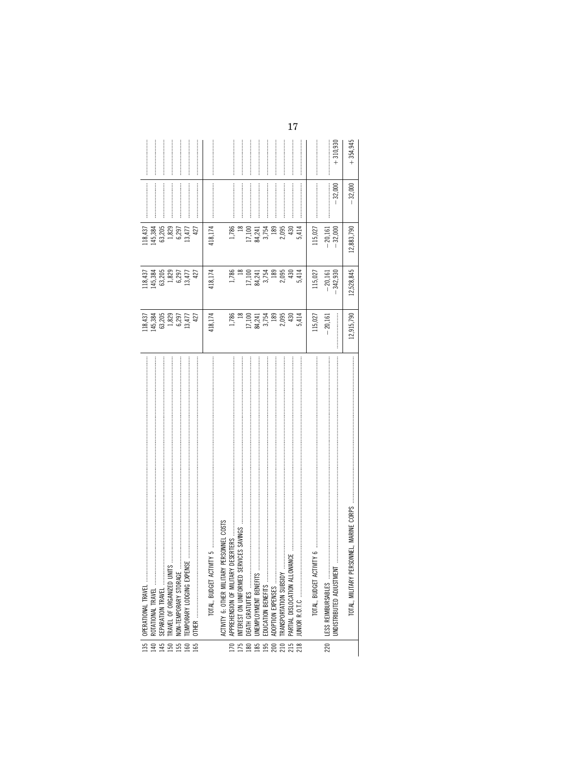| 135   OPERATIONAL TRAVEL<br>NON-TEMPORARY STORAGE<br>TEMPORARY LODGING EXPENS                            | $[18, 437\n45, 384\n63, 205\n1, 829\n6, 297\n13, 477$<br>427                                                                         | $[18, 437\n145, 384\n63, 205\n1, 829\n6, 297\n13, 477$<br>427                                    | 63,205<br>1,829<br>6,297<br>13,477<br>118,437<br>145,384<br>427          |           |                |
|----------------------------------------------------------------------------------------------------------|--------------------------------------------------------------------------------------------------------------------------------------|--------------------------------------------------------------------------------------------------|--------------------------------------------------------------------------|-----------|----------------|
|                                                                                                          | 418,174                                                                                                                              | 418,174                                                                                          | 418,174                                                                  |           |                |
|                                                                                                          |                                                                                                                                      |                                                                                                  | 1,786<br>$\frac{18}{2}$                                                  |           |                |
|                                                                                                          |                                                                                                                                      |                                                                                                  |                                                                          |           |                |
|                                                                                                          | $\begin{array}{r} 1,786 \\ 18 \\ 12,741 \\ 17,741 \\ 84,754 \\ 189 \\ 2,095 \\ 2,040 \\ 141 \\ 2,095 \\ 2,095 \\ 430 \\ \end{array}$ | $\begin{array}{r} 1,786 \\ 18 \\ 12 \\ 17,100 \\ 13,741 \\ 3,754 \\ 189 \\ 2,095 \\ \end{array}$ | $\begin{array}{c} 17,100 \\ 84,241 \\ 3,754 \\ 189 \\ 2,095 \end{array}$ |           |                |
|                                                                                                          |                                                                                                                                      |                                                                                                  |                                                                          |           |                |
| ANCE<br>EDUCATION BENEFITS<br>ADOPTION EXPENSES<br>TRANSPORTATION SUBSIDY<br>PARTIAL DISLOCATION ALLOWAI |                                                                                                                                      | 430                                                                                              | 430                                                                      |           |                |
|                                                                                                          | 5,414                                                                                                                                | 5,414                                                                                            | 5,414                                                                    |           |                |
| G<br>TOTAL, BUDGET ACTIVITY                                                                              | 115,027                                                                                                                              | 115,027                                                                                          | 115,027                                                                  |           |                |
| JNDISTRIBUTED ADJUSTMENT<br>LESS REIMBURSABLES                                                           | 20,161                                                                                                                               | $-20,161$<br>$-342,930$                                                                          | $-20,161$<br>$-32,000$                                                   | $-32,000$ | $+310,930$<br> |
| <b>ISONNEL, MARINE CORPS</b><br>TOTAL, MILITARY PER                                                      | 12,915,790                                                                                                                           | 12,528,845                                                                                       | 12,883,790                                                               | $-32,000$ | $+354,945$     |

 $17\,$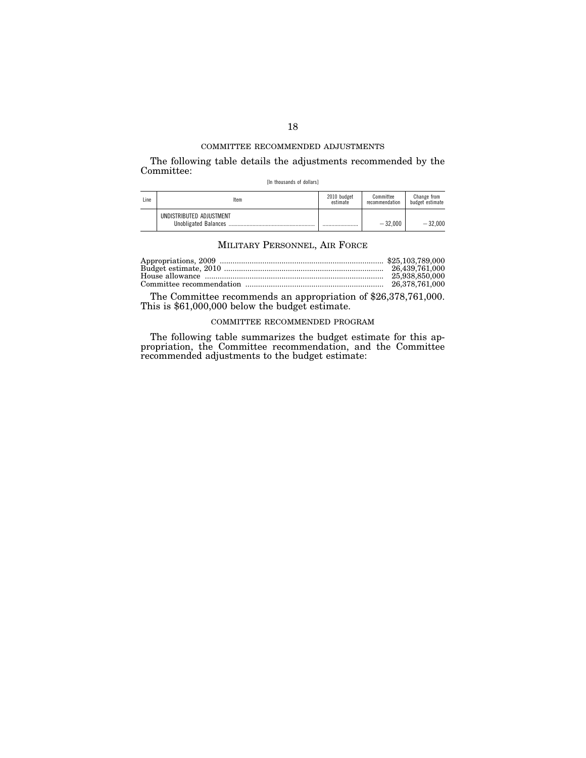The following table details the adjustments recommended by the Committee:

[In thousands of dollars]

| Line | Item                     | 2010 budget<br>estimate | Committee<br>recommendation | Change from<br>budget estimate |
|------|--------------------------|-------------------------|-----------------------------|--------------------------------|
|      | UNDISTRIBUTED ADJUSTMENT |                         | $-32.000$                   | $-32.000$                      |

## MILITARY PERSONNEL, AIR FORCE

| 25.938.850.000 |
|----------------|
|                |

The Committee recommends an appropriation of \$26,378,761,000. This is \$61,000,000 below the budget estimate.

# COMMITTEE RECOMMENDED PROGRAM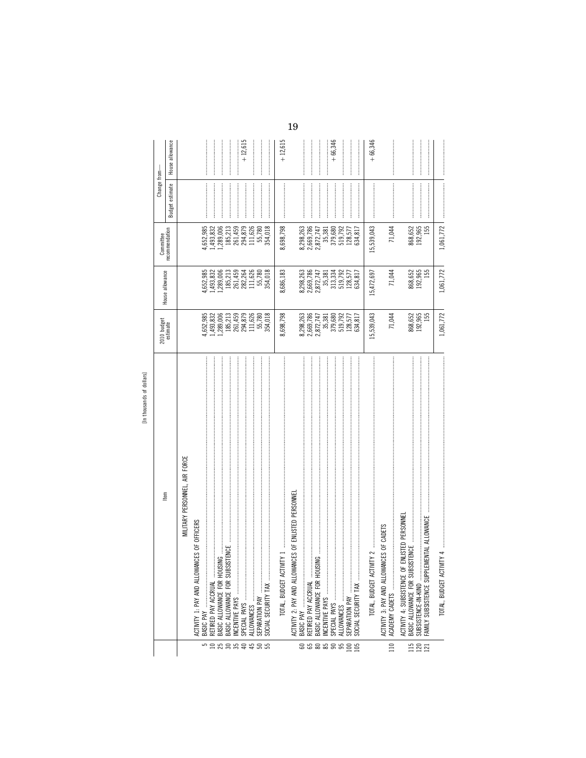|                   |                                                                                                                                                                                                                                |                                                                                                                          |                                     | Committee                           | Change from-                                                                                                                                                                                                                                                                                                                                                                                                                                                                                                                                      |                 |
|-------------------|--------------------------------------------------------------------------------------------------------------------------------------------------------------------------------------------------------------------------------|--------------------------------------------------------------------------------------------------------------------------|-------------------------------------|-------------------------------------|---------------------------------------------------------------------------------------------------------------------------------------------------------------------------------------------------------------------------------------------------------------------------------------------------------------------------------------------------------------------------------------------------------------------------------------------------------------------------------------------------------------------------------------------------|-----------------|
|                   | ltem                                                                                                                                                                                                                           | 2010 budget<br>estimate                                                                                                  | House allowance                     | recommendation                      | estimate<br>Budget                                                                                                                                                                                                                                                                                                                                                                                                                                                                                                                                | House allowance |
|                   | MILITARY PERSONNEL, AIR FORCE                                                                                                                                                                                                  |                                                                                                                          |                                     |                                     |                                                                                                                                                                                                                                                                                                                                                                                                                                                                                                                                                   |                 |
|                   | ACTIVITY 1: PAY AND ALLOWANCES OF OFFICERS                                                                                                                                                                                     |                                                                                                                          |                                     |                                     |                                                                                                                                                                                                                                                                                                                                                                                                                                                                                                                                                   |                 |
| 5                 | BASIC PAY                                                                                                                                                                                                                      |                                                                                                                          |                                     |                                     |                                                                                                                                                                                                                                                                                                                                                                                                                                                                                                                                                   |                 |
|                   | RETIRED PAY ACCRUAL                                                                                                                                                                                                            |                                                                                                                          |                                     | 4,652,985<br>1,493,832              |                                                                                                                                                                                                                                                                                                                                                                                                                                                                                                                                                   |                 |
|                   | NG<br>BASIC ALLOWANCE FOR HOUS                                                                                                                                                                                                 |                                                                                                                          | 4,652,985<br>1,493,832<br>1,289,006 | .,289,006                           |                                                                                                                                                                                                                                                                                                                                                                                                                                                                                                                                                   |                 |
|                   | BASIC ALLOWANCE FOR SUBSISTENCE                                                                                                                                                                                                |                                                                                                                          | 185,213<br>261,459                  | 185,213                             |                                                                                                                                                                                                                                                                                                                                                                                                                                                                                                                                                   |                 |
|                   |                                                                                                                                                                                                                                |                                                                                                                          |                                     | 261,459                             |                                                                                                                                                                                                                                                                                                                                                                                                                                                                                                                                                   |                 |
| <b>nasasasa</b>   |                                                                                                                                                                                                                                | 4,652,985<br>1,493,832<br>1,493,006<br>185,213<br>261,459<br>294,879<br>111,626<br>155,780                               | 111,626<br>282,264                  | 294,879<br>111,626                  |                                                                                                                                                                                                                                                                                                                                                                                                                                                                                                                                                   | $+12,615$       |
|                   | SEPARATION PAY                                                                                                                                                                                                                 |                                                                                                                          | 55,780                              | 55,780                              |                                                                                                                                                                                                                                                                                                                                                                                                                                                                                                                                                   |                 |
|                   | SOCIAL SECURITY TAX                                                                                                                                                                                                            | 354,018                                                                                                                  | 354,018                             | 354,018                             |                                                                                                                                                                                                                                                                                                                                                                                                                                                                                                                                                   |                 |
|                   | TOTAL, BUDGET ACTIVITY 1                                                                                                                                                                                                       | 8,698,798                                                                                                                | 8,686,183                           | 8,698,798                           |                                                                                                                                                                                                                                                                                                                                                                                                                                                                                                                                                   | $+12,615$       |
|                   | ACTIVITY 2: PAY AND ALLOWANCES OF ENLISTED PERSONNE                                                                                                                                                                            |                                                                                                                          |                                     |                                     |                                                                                                                                                                                                                                                                                                                                                                                                                                                                                                                                                   |                 |
|                   |                                                                                                                                                                                                                                |                                                                                                                          | 8,298,263<br>2,669,786<br>2,872,747 | 8,298,263<br>2,669,786<br>2,872,747 |                                                                                                                                                                                                                                                                                                                                                                                                                                                                                                                                                   |                 |
|                   |                                                                                                                                                                                                                                |                                                                                                                          |                                     |                                     |                                                                                                                                                                                                                                                                                                                                                                                                                                                                                                                                                   |                 |
| 888888            | ≧<br>BASIC ALLOWANCE FOR HOUSI                                                                                                                                                                                                 | $\begin{array}{r} 8,298,263 \\ 2,669,786 \\ 2,872,747 \\ 35,381 \\ 379,680 \\ 519,792 \\ 519,792 \\ 128,577 \end{array}$ |                                     |                                     |                                                                                                                                                                                                                                                                                                                                                                                                                                                                                                                                                   |                 |
|                   |                                                                                                                                                                                                                                |                                                                                                                          | 35,381<br>313,334<br>519,792        | 35,381                              |                                                                                                                                                                                                                                                                                                                                                                                                                                                                                                                                                   |                 |
|                   |                                                                                                                                                                                                                                |                                                                                                                          |                                     | 379,680<br>519,792                  |                                                                                                                                                                                                                                                                                                                                                                                                                                                                                                                                                   | $+66,346$       |
|                   |                                                                                                                                                                                                                                |                                                                                                                          | 128,577                             | 128,577                             |                                                                                                                                                                                                                                                                                                                                                                                                                                                                                                                                                   |                 |
| $\frac{105}{105}$ | SOOAL SEOURITY TAX warranteering and an accompany and account the contract of the SCO RIV of the Contract of the Contract of the Contract of the Contract of the Contract of the Contract of the Contract of the Contract of t | 634,817                                                                                                                  | 634,817                             | 634,817                             |                                                                                                                                                                                                                                                                                                                                                                                                                                                                                                                                                   |                 |
|                   | TOTAL, BUDGET ACTIVITY 2                                                                                                                                                                                                       | 15,539,043                                                                                                               | 15,472,697                          | 15,539,043                          |                                                                                                                                                                                                                                                                                                                                                                                                                                                                                                                                                   | $+66,346$       |
| 110               | ACTIVITY 3: PAY AND ALLOWANCES OF CADETS                                                                                                                                                                                       | 71,044                                                                                                                   | 71,044                              | 71,044                              |                                                                                                                                                                                                                                                                                                                                                                                                                                                                                                                                                   |                 |
|                   |                                                                                                                                                                                                                                |                                                                                                                          |                                     |                                     | $\label{def:conformal} \begin{minipage}{0.9\linewidth} \begin{minipage}{0.9\linewidth} \begin{minipage}{0.9\linewidth} \begin{minipage}{0.9\linewidth} \end{minipage} \begin{minipage}{0.9\linewidth} \begin{minipage}{0.9\linewidth} \end{minipage} \begin{minipage}{0.9\linewidth} \begin{minipage}{0.9\linewidth} \end{minipage} \begin{minipage}{0.9\linewidth} \end{minipage} \begin{minipage}{0.9\linewidth} \begin{minipage}{0.9\linewidth} \end{minipage} \begin{minipage}{0.9\linewidth} \end{minipage} \begin{minipage}{0.9\linewidth}$ |                 |
| 115               | ENLISTED PERSONNEI<br>BASIC ALLOWANCE FOR SUBSI<br>ACTIVITY 4: SUBSISTENCE OF                                                                                                                                                  |                                                                                                                          |                                     |                                     |                                                                                                                                                                                                                                                                                                                                                                                                                                                                                                                                                   |                 |
| $\frac{120}{121}$ | SUBSISTENCE-IN-KIND                                                                                                                                                                                                            | 868,652<br>192,965<br>155                                                                                                | 868,652<br>192,965                  | 868,652<br>192,965                  |                                                                                                                                                                                                                                                                                                                                                                                                                                                                                                                                                   |                 |
|                   | FAMILY SUBSISTENCE SUPPLEMENTAL ALLOWANCE                                                                                                                                                                                      |                                                                                                                          | 155                                 | 155                                 |                                                                                                                                                                                                                                                                                                                                                                                                                                                                                                                                                   |                 |
|                   |                                                                                                                                                                                                                                | 1,061,772                                                                                                                | 1,061,772                           | 1,061,772                           |                                                                                                                                                                                                                                                                                                                                                                                                                                                                                                                                                   |                 |

[In thousands of dollars]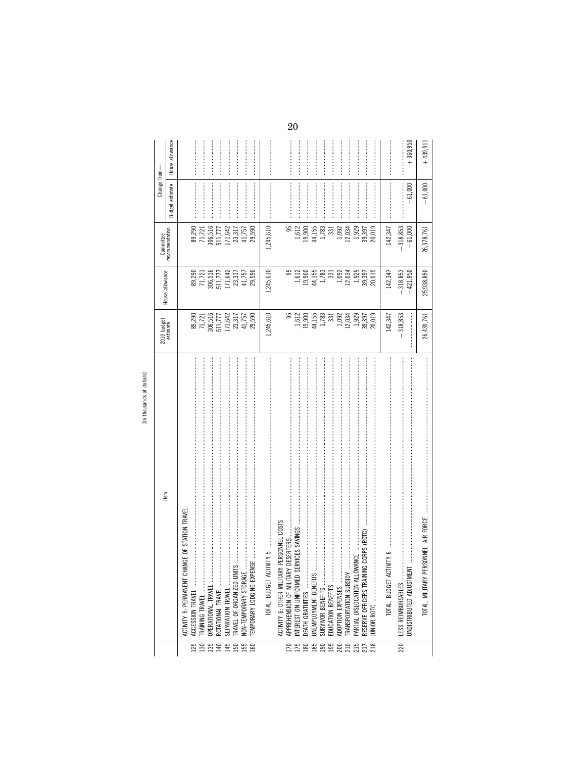|                   | [in thius of the chinesen and a                                                                                                                                                                                                                                                                                                                                                                                                               |                                                                                                                                                                                                                                                                                                             |                                                                                                                |                                                    |                                                                                                                                                                                                                                                                                                                                                                                                                                                                                                                                                                                     |                 |
|-------------------|-----------------------------------------------------------------------------------------------------------------------------------------------------------------------------------------------------------------------------------------------------------------------------------------------------------------------------------------------------------------------------------------------------------------------------------------------|-------------------------------------------------------------------------------------------------------------------------------------------------------------------------------------------------------------------------------------------------------------------------------------------------------------|----------------------------------------------------------------------------------------------------------------|----------------------------------------------------|-------------------------------------------------------------------------------------------------------------------------------------------------------------------------------------------------------------------------------------------------------------------------------------------------------------------------------------------------------------------------------------------------------------------------------------------------------------------------------------------------------------------------------------------------------------------------------------|-----------------|
|                   |                                                                                                                                                                                                                                                                                                                                                                                                                                               | 2010 budget<br>estimate                                                                                                                                                                                                                                                                                     |                                                                                                                | Committee                                          | Change from-                                                                                                                                                                                                                                                                                                                                                                                                                                                                                                                                                                        |                 |
|                   | ltem                                                                                                                                                                                                                                                                                                                                                                                                                                          |                                                                                                                                                                                                                                                                                                             | House allowance                                                                                                | ecommendation                                      | Budget estimate                                                                                                                                                                                                                                                                                                                                                                                                                                                                                                                                                                     | House allowance |
|                   | GE OF STATION TRAVEI<br>ACTIVITY 5: PERMANENT CHAN                                                                                                                                                                                                                                                                                                                                                                                            |                                                                                                                                                                                                                                                                                                             |                                                                                                                |                                                    |                                                                                                                                                                                                                                                                                                                                                                                                                                                                                                                                                                                     |                 |
|                   | ACCESSION TRAVEL                                                                                                                                                                                                                                                                                                                                                                                                                              |                                                                                                                                                                                                                                                                                                             |                                                                                                                |                                                    |                                                                                                                                                                                                                                                                                                                                                                                                                                                                                                                                                                                     |                 |
| 125               | $\begin{minipage}{0.9\linewidth} \begin{tabular}{l} \hline \textbf{1} & \textbf{2} & \textbf{3} & \textbf{5} & \textbf{6} & \textbf{7} & \textbf{8} & \textbf{9} & \textbf{10} & \textbf{10} & \textbf{10} & \textbf{10} & \textbf{10} & \textbf{10} & \textbf{10} & \textbf{10} & \textbf{10} & \textbf{10} & \textbf{10} & \textbf{10} & \textbf{10} & \textbf{10} & \textbf{10} & \textbf{10} & \textbf{10} & \textbf{$<br>TRAINING TRAVEL |                                                                                                                                                                                                                                                                                                             |                                                                                                                |                                                    |                                                                                                                                                                                                                                                                                                                                                                                                                                                                                                                                                                                     |                 |
| 135               | OPERATIONAL TRAVEL                                                                                                                                                                                                                                                                                                                                                                                                                            |                                                                                                                                                                                                                                                                                                             |                                                                                                                |                                                    |                                                                                                                                                                                                                                                                                                                                                                                                                                                                                                                                                                                     |                 |
| 140               | ROTATIONAL TRAVEL<br>SEPARATION TRAVEL                                                                                                                                                                                                                                                                                                                                                                                                        | $\begin{array}{c} 89,290 \\ 71,721 \\ 306,516 \\ 511,777 \\ 171,642 \\ 23,317 \\ 23,317 \\ 41,757 \end{array}$                                                                                                                                                                                              | $\begin{array}{c} 89,290 \\ 71,721 \\ 306,516 \\ 511,777 \\ 171,642 \\ 23,317 \\ 23,317 \\ 41,757 \end{array}$ | 89,290<br>71,721<br>306,516<br>511,777<br>171,642  |                                                                                                                                                                                                                                                                                                                                                                                                                                                                                                                                                                                     |                 |
| 145               |                                                                                                                                                                                                                                                                                                                                                                                                                                               |                                                                                                                                                                                                                                                                                                             |                                                                                                                |                                                    |                                                                                                                                                                                                                                                                                                                                                                                                                                                                                                                                                                                     |                 |
| <b>150</b><br>155 | TRAVEL OF ORGANIZED UNITS                                                                                                                                                                                                                                                                                                                                                                                                                     |                                                                                                                                                                                                                                                                                                             |                                                                                                                | 23,317                                             |                                                                                                                                                                                                                                                                                                                                                                                                                                                                                                                                                                                     |                 |
|                   | NON-TEMPORARY STORAGE                                                                                                                                                                                                                                                                                                                                                                                                                         |                                                                                                                                                                                                                                                                                                             |                                                                                                                | 41,757                                             |                                                                                                                                                                                                                                                                                                                                                                                                                                                                                                                                                                                     |                 |
| 160               | TEMPORARY LODGING EXPENSE                                                                                                                                                                                                                                                                                                                                                                                                                     | 29,590                                                                                                                                                                                                                                                                                                      | 29,590                                                                                                         | 29,590                                             |                                                                                                                                                                                                                                                                                                                                                                                                                                                                                                                                                                                     |                 |
|                   | TOTAL, BUDGET ACTIVITY 5                                                                                                                                                                                                                                                                                                                                                                                                                      | 1,245,610                                                                                                                                                                                                                                                                                                   | 1,245,610                                                                                                      | 1,245,610                                          |                                                                                                                                                                                                                                                                                                                                                                                                                                                                                                                                                                                     |                 |
|                   | PERSONNEL COSTS<br>ACTIVITY 6: OTHER MILITARY                                                                                                                                                                                                                                                                                                                                                                                                 |                                                                                                                                                                                                                                                                                                             |                                                                                                                |                                                    |                                                                                                                                                                                                                                                                                                                                                                                                                                                                                                                                                                                     |                 |
| 170               | <b>ESERTERS</b><br>APPREHENSION OF MILITARY D                                                                                                                                                                                                                                                                                                                                                                                                 | 95                                                                                                                                                                                                                                                                                                          | 95                                                                                                             | 95                                                 |                                                                                                                                                                                                                                                                                                                                                                                                                                                                                                                                                                                     |                 |
| 175               | VICES SAVINGS<br>INTEREST ON UNIFORMED SER                                                                                                                                                                                                                                                                                                                                                                                                    |                                                                                                                                                                                                                                                                                                             |                                                                                                                | 1,612                                              |                                                                                                                                                                                                                                                                                                                                                                                                                                                                                                                                                                                     |                 |
| 180               |                                                                                                                                                                                                                                                                                                                                                                                                                                               |                                                                                                                                                                                                                                                                                                             | $\begin{array}{c} 1,612 \\ 1.900 \\ 1.900 \\ 1.783 \\ 1.783 \\ \end{array}$                                    | 19,900                                             |                                                                                                                                                                                                                                                                                                                                                                                                                                                                                                                                                                                     |                 |
|                   | UNEMPLOYMENT BENEFITS                                                                                                                                                                                                                                                                                                                                                                                                                         |                                                                                                                                                                                                                                                                                                             |                                                                                                                | 44,155                                             |                                                                                                                                                                                                                                                                                                                                                                                                                                                                                                                                                                                     |                 |
|                   | SURVIVOR BENEFITS                                                                                                                                                                                                                                                                                                                                                                                                                             |                                                                                                                                                                                                                                                                                                             |                                                                                                                | 1,783                                              |                                                                                                                                                                                                                                                                                                                                                                                                                                                                                                                                                                                     |                 |
|                   | EDUCATION BENEFITS                                                                                                                                                                                                                                                                                                                                                                                                                            |                                                                                                                                                                                                                                                                                                             |                                                                                                                | 331                                                |                                                                                                                                                                                                                                                                                                                                                                                                                                                                                                                                                                                     |                 |
|                   | ADOPTION EXPENSES                                                                                                                                                                                                                                                                                                                                                                                                                             |                                                                                                                                                                                                                                                                                                             |                                                                                                                |                                                    |                                                                                                                                                                                                                                                                                                                                                                                                                                                                                                                                                                                     |                 |
|                   | TRANSPORTATION SUBSIDY                                                                                                                                                                                                                                                                                                                                                                                                                        |                                                                                                                                                                                                                                                                                                             |                                                                                                                |                                                    |                                                                                                                                                                                                                                                                                                                                                                                                                                                                                                                                                                                     |                 |
|                   | y<br>N<br>PARTIAL DISLOCATION ALLOWA                                                                                                                                                                                                                                                                                                                                                                                                          |                                                                                                                                                                                                                                                                                                             |                                                                                                                | $1,092$<br>$12,034$<br>$1,929$<br>$1,397$<br>$397$ |                                                                                                                                                                                                                                                                                                                                                                                                                                                                                                                                                                                     |                 |
| <b>路吻哆奶奶好奶</b>    | CORPS (ROTC)<br>RESERVE OFFICERS TRAINING                                                                                                                                                                                                                                                                                                                                                                                                     | $\begin{array}{c} 1.612 \\ 1.900 \\ 1.900 \\ 1.55 \\ 1.783 \\ 3.31 \\ 1.032 \\ 1.034 \\ 1.333 \\ 2.039 \\ 3.97 \\ 3.97 \\ 3.97 \\ 3.97 \\ 3.97 \\ 3.97 \\ 3.97 \\ 3.97 \\ 3.97 \\ 3.97 \\ 3.97 \\ 3.97 \\ 3.97 \\ 3.97 \\ 3.97 \\ 3.97 \\ 3.98 \\ 3.99 \\ 3.99 \\ 3.99 \\ 3.99 \\ 3.99 \\ 3.99 \\ 3.99 \\ $ | $\begin{array}{c} 1,092 \\ 12,034 \\ 1,929 \\ 39,397 \\ 20,019 \end{array}$                                    |                                                    |                                                                                                                                                                                                                                                                                                                                                                                                                                                                                                                                                                                     |                 |
|                   |                                                                                                                                                                                                                                                                                                                                                                                                                                               |                                                                                                                                                                                                                                                                                                             |                                                                                                                | 20,019                                             |                                                                                                                                                                                                                                                                                                                                                                                                                                                                                                                                                                                     |                 |
|                   | م<br>TOTAL, BUDGET ACTIVITY                                                                                                                                                                                                                                                                                                                                                                                                                   | 142,347                                                                                                                                                                                                                                                                                                     | 142,347                                                                                                        | 142,347                                            | $\label{def:1} \centering \begin{minipage}{0.9\linewidth} \centering \begin{minipage}{0.9\linewidth} \centering \end{minipage} \begin{minipage}{0.9\linewidth} \centering \begin{minipage}{0.9\linewidth} \centering \end{minipage} \begin{minipage}{0.9\linewidth} \centering \end{minipage} \begin{minipage}{0.9\linewidth} \centering \end{minipage} \begin{minipage}{0.9\linewidth} \centering \end{minipage} \begin{minipage}{0.9\linewidth} \centering \end{minipage} \begin{minipage}{0.9\linewidth} \centering \end{minipage} \begin{minipage}{0.9\linewidth} \centering \$ |                 |
| 220               | LESS REIMBURSABLES                                                                                                                                                                                                                                                                                                                                                                                                                            | 318,853                                                                                                                                                                                                                                                                                                     | 318,853                                                                                                        | 318,853                                            |                                                                                                                                                                                                                                                                                                                                                                                                                                                                                                                                                                                     |                 |
|                   | UNDISTRIBUTED ADJUSTMENT                                                                                                                                                                                                                                                                                                                                                                                                                      |                                                                                                                                                                                                                                                                                                             | 421,950                                                                                                        | $-61,000$                                          | $-61,000$                                                                                                                                                                                                                                                                                                                                                                                                                                                                                                                                                                           | $+360,950$      |
|                   | SONNEL, AIR FORCE<br>TOTAL, MILITARY PERS                                                                                                                                                                                                                                                                                                                                                                                                     | 26,439,761                                                                                                                                                                                                                                                                                                  | 25,938,850                                                                                                     | 26,378,761                                         | 61,000                                                                                                                                                                                                                                                                                                                                                                                                                                                                                                                                                                              | $+439,91$       |
|                   |                                                                                                                                                                                                                                                                                                                                                                                                                                               |                                                                                                                                                                                                                                                                                                             |                                                                                                                |                                                    |                                                                                                                                                                                                                                                                                                                                                                                                                                                                                                                                                                                     |                 |

[In thousands of dollars]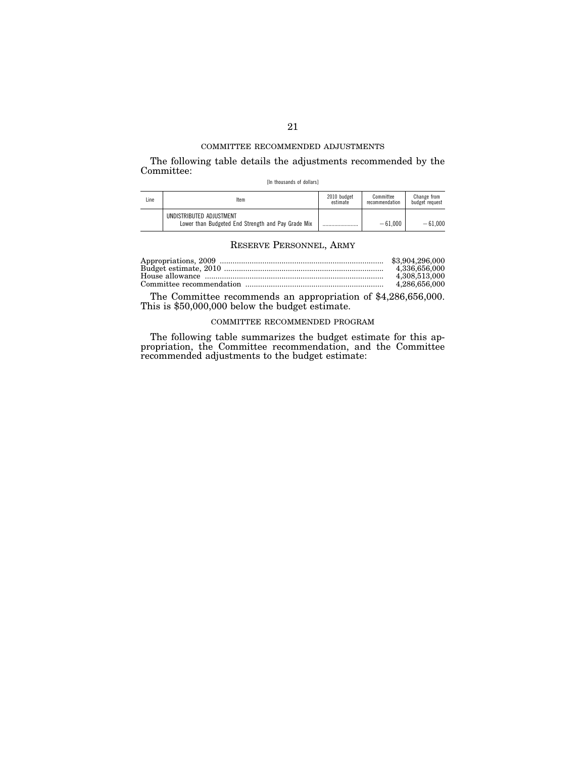The following table details the adjustments recommended by the Committee:

[In thousands of dollars]

| Line | Item                                                                           | 2010 budget<br>estimate | Committee<br>recommendation | Change from<br>budget request |
|------|--------------------------------------------------------------------------------|-------------------------|-----------------------------|-------------------------------|
|      | UNDISTRIBUTED ADJUSTMENT<br>Lower than Budgeted End Strength and Pay Grade Mix |                         | $-61.000$                   | $-61.000$                     |

## RESERVE PERSONNEL, ARMY

| 4.336.656.000 |
|---------------|
| 4.308.513.000 |
| 4.286.656.000 |

The Committee recommends an appropriation of \$4,286,656,000. This is \$50,000,000 below the budget estimate.

# COMMITTEE RECOMMENDED PROGRAM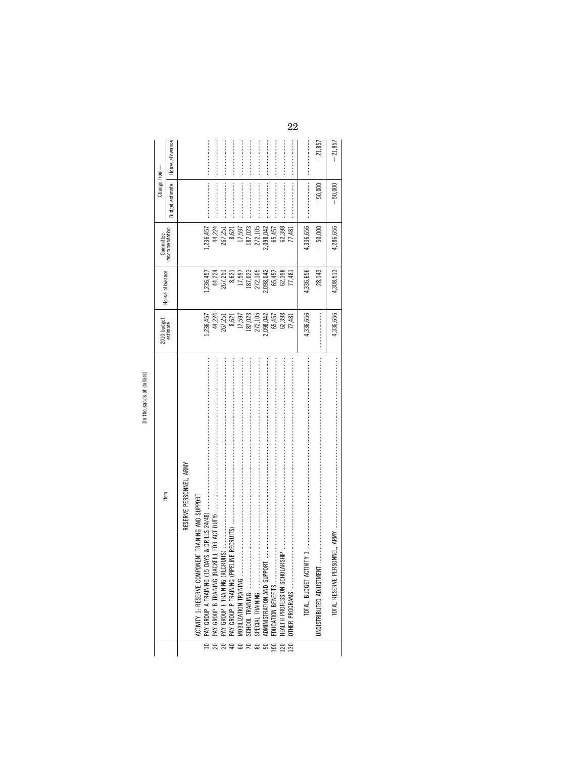| 2<br>rell of       |  |
|--------------------|--|
| ち<br>ande<br>anner |  |
| t                  |  |

|                                                         |                                                                                                                            |                                    | Committee          | Change from-                                                                                                                                                                                                                                                                                                                                                                                                                                                                                                                                      |                 |
|---------------------------------------------------------|----------------------------------------------------------------------------------------------------------------------------|------------------------------------|--------------------|---------------------------------------------------------------------------------------------------------------------------------------------------------------------------------------------------------------------------------------------------------------------------------------------------------------------------------------------------------------------------------------------------------------------------------------------------------------------------------------------------------------------------------------------------|-----------------|
| ltem                                                    | 2010 budget<br>estimate                                                                                                    | House allowance                    | ecommendation      | Budget estimate                                                                                                                                                                                                                                                                                                                                                                                                                                                                                                                                   | House allowance |
| RESERVE PERSONNEL, ARMY                                 |                                                                                                                            |                                    |                    |                                                                                                                                                                                                                                                                                                                                                                                                                                                                                                                                                   |                 |
| ONENT TRAINING AND SUPPORT<br>ACTIVITY 1: RESERVE COMPO |                                                                                                                            |                                    | ,236,457           |                                                                                                                                                                                                                                                                                                                                                                                                                                                                                                                                                   |                 |
|                                                         | l,236,457<br>44,224<br>267,251                                                                                             | l, 236, 457<br>44, 224<br>267, 251 | 44,224             |                                                                                                                                                                                                                                                                                                                                                                                                                                                                                                                                                   |                 |
|                                                         |                                                                                                                            |                                    | 267,251            |                                                                                                                                                                                                                                                                                                                                                                                                                                                                                                                                                   |                 |
|                                                         |                                                                                                                            | 8,621                              | 8,621              |                                                                                                                                                                                                                                                                                                                                                                                                                                                                                                                                                   |                 |
|                                                         |                                                                                                                            | 17,597                             | 17,597             |                                                                                                                                                                                                                                                                                                                                                                                                                                                                                                                                                   |                 |
|                                                         |                                                                                                                            |                                    |                    |                                                                                                                                                                                                                                                                                                                                                                                                                                                                                                                                                   |                 |
|                                                         |                                                                                                                            | 187,023<br>272,105                 | 187,023<br>272,105 |                                                                                                                                                                                                                                                                                                                                                                                                                                                                                                                                                   |                 |
|                                                         |                                                                                                                            | 2,098,042<br>65,457                | 2,098,042          |                                                                                                                                                                                                                                                                                                                                                                                                                                                                                                                                                   |                 |
|                                                         |                                                                                                                            |                                    | 65,457             |                                                                                                                                                                                                                                                                                                                                                                                                                                                                                                                                                   |                 |
| 120                                                     | $\begin{array}{r} 8,621 \\ 17,597 \\ 187,023 \\ 2,105 \\ 2,098,042 \\ 65,457 \\ 65,457 \\ 65,457 \\ 62,398 \\ \end{array}$ | 62,398                             | 62,398             |                                                                                                                                                                                                                                                                                                                                                                                                                                                                                                                                                   |                 |
| OTHER PROGRAMS<br>130                                   | 77,481                                                                                                                     | 77,481                             | 77,481             |                                                                                                                                                                                                                                                                                                                                                                                                                                                                                                                                                   |                 |
|                                                         | 4,336,656                                                                                                                  | 4,336,656                          | 4,336,656          | $\label{def:conformal} \begin{minipage}{0.9\linewidth} \begin{minipage}{0.9\linewidth} \begin{minipage}{0.9\linewidth} \begin{minipage}{0.9\linewidth} \end{minipage} \begin{minipage}{0.9\linewidth} \begin{minipage}{0.9\linewidth} \end{minipage} \begin{minipage}{0.9\linewidth} \begin{minipage}{0.9\linewidth} \end{minipage} \begin{minipage}{0.9\linewidth} \end{minipage} \begin{minipage}{0.9\linewidth} \begin{minipage}{0.9\linewidth} \end{minipage} \begin{minipage}{0.9\linewidth} \end{minipage} \begin{minipage}{0.9\linewidth}$ |                 |
| UNDISTRIBUTED ADJUSTMENT                                |                                                                                                                            | $-28,143$                          | $-50,000$          | $-50,000$                                                                                                                                                                                                                                                                                                                                                                                                                                                                                                                                         | $-21,85$        |
|                                                         | 4,336,656                                                                                                                  | 4,308,513                          | 4,286,656          | $-50,000$                                                                                                                                                                                                                                                                                                                                                                                                                                                                                                                                         | $-21,857$       |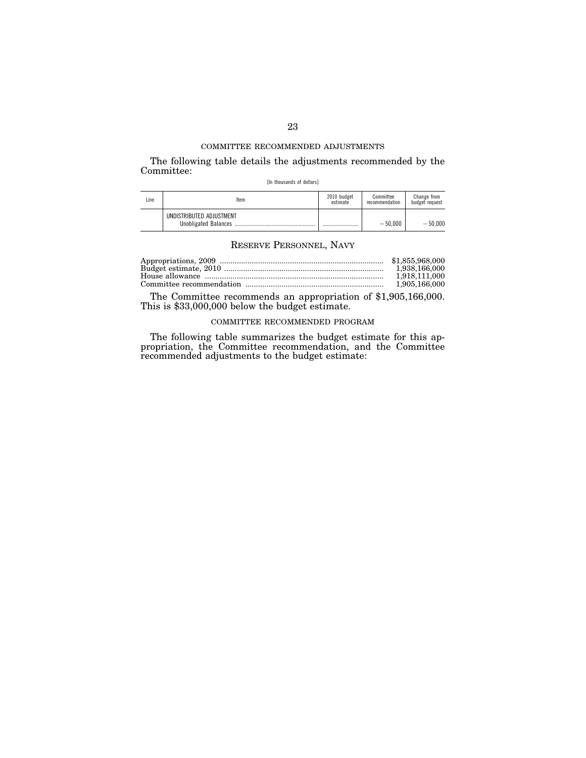The following table details the adjustments recommended by the Committee:

[In thousands of dollars]

| Line | Item                     | 2010 budget<br>estimate | Committee<br>recommendation | Change from<br>budget request |
|------|--------------------------|-------------------------|-----------------------------|-------------------------------|
|      | UNDISTRIBUTED ADJUSTMENT |                         | $-50.000$                   | $-50.000$                     |

## RESERVE PERSONNEL, NAVY

| 1.918.111.000 |
|---------------|
| 1,905,166,000 |

The Committee recommends an appropriation of \$1,905,166,000. This is \$33,000,000 below the budget estimate.

# COMMITTEE RECOMMENDED PROGRAM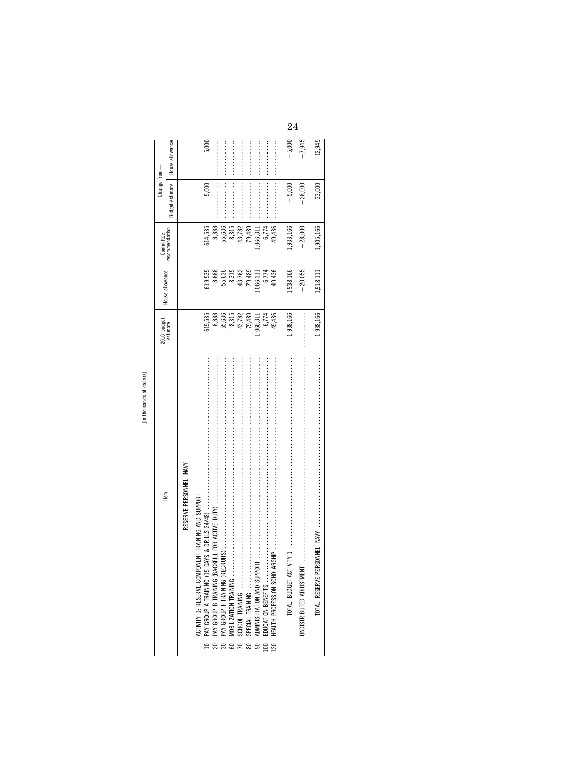| s<br>î<br>τ                      |
|----------------------------------|
| č                                |
| s<br>ᇰ<br>¢<br>᠊ᢆ<br>c<br>۰<br>٠ |
| ٠                                |

|                                                    | $2010$ budget                                                                                                                  |                                                                       | Committee                                                                                         | Change from-           |                 |
|----------------------------------------------------|--------------------------------------------------------------------------------------------------------------------------------|-----------------------------------------------------------------------|---------------------------------------------------------------------------------------------------|------------------------|-----------------|
| ltem                                               | estimate                                                                                                                       | House allowance                                                       | ecommendation                                                                                     | <b>Budget estimate</b> | House allowance |
| RESERVE PERSONNEL, NAVY                            |                                                                                                                                |                                                                       |                                                                                                   |                        |                 |
| ACTIVITY 1: RESERVE COMPONENT TRAINING AND SUPPORT |                                                                                                                                |                                                                       | 514,535                                                                                           | $-5,000$               | $-5,000$        |
|                                                    |                                                                                                                                | 619,535<br>8,888                                                      |                                                                                                   |                        |                 |
|                                                    |                                                                                                                                |                                                                       |                                                                                                   |                        |                 |
|                                                    |                                                                                                                                |                                                                       |                                                                                                   |                        |                 |
|                                                    |                                                                                                                                |                                                                       |                                                                                                   |                        |                 |
|                                                    |                                                                                                                                |                                                                       |                                                                                                   |                        |                 |
|                                                    | $\begin{array}{r} 619,535 \\ 8,888 \\ 8,636 \\ 55,636 \\ 8,3,15 \\ 15,782 \\ 79,489 \\ 6,774 \\ 6,774 \\ 6,774 \\ \end{array}$ | 55, 636<br>8, 315<br>8, 782<br>43, 782<br>79, 489<br>6, 774<br>6, 774 | $\begin{array}{r} 8,888 \\ 55,636 \\ 8,315 \\ 43,782 \\ 79,489 \\ 79,311 \\ 6,774 \\ \end{array}$ |                        |                 |
|                                                    |                                                                                                                                |                                                                       |                                                                                                   |                        |                 |
|                                                    |                                                                                                                                | 49,436                                                                | 49,436                                                                                            |                        |                 |
|                                                    | 1,938,166                                                                                                                      | 1,938,166                                                             | 1,933,166                                                                                         | $-5,000$               | $-5,000$        |
| UNDISTRIBUTED ADJUSTMENT                           |                                                                                                                                | $-20,055$                                                             | $-28,000$                                                                                         | $-28,000$              | $-7,945$        |
|                                                    | 1,938,166                                                                                                                      | 1,918,111                                                             | .,905,166                                                                                         | $-33,000$              | $-12,945$       |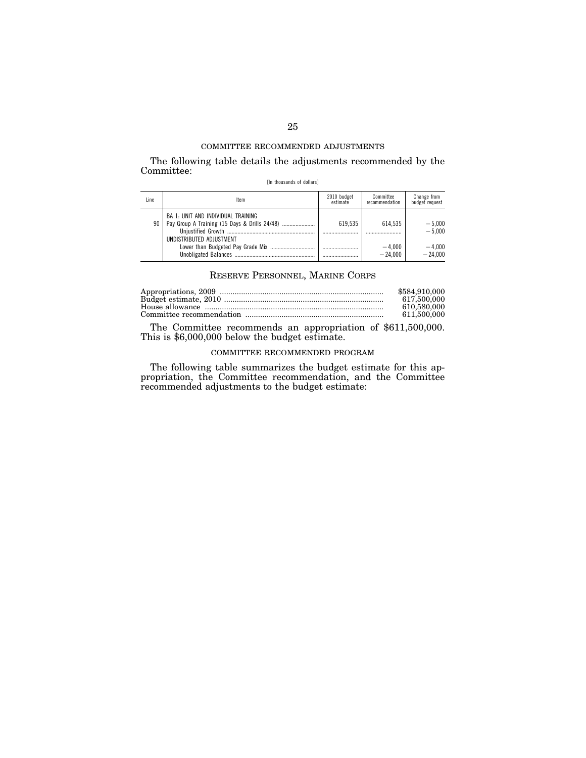The following table details the adjustments recommended by the Committee:

| [In thousands of dollars] |  |
|---------------------------|--|
|---------------------------|--|

| Line | ltem                                                                                                            | 2010 budget<br>estimate | Committee<br>recommendation          | Change from<br>budget request                 |
|------|-----------------------------------------------------------------------------------------------------------------|-------------------------|--------------------------------------|-----------------------------------------------|
| 90   | BA 1: UNIT AND INDIVIDUAL TRAINING<br>Pay Group A Training (15 Days & Drills 24/48)<br>UNDISTRIBUTED ADJUSTMENT | 619.535<br>             | 614.535<br><br>$-4.000$<br>$-24.000$ | $-5,000$<br>$-5.000$<br>$-4.000$<br>$-24.000$ |

# RESERVE PERSONNEL, MARINE CORPS

| \$584,910,000 |
|---------------|
| 617.500.000   |
| 610.580.000   |
| 611.500.000   |
|               |

The Committee recommends an appropriation of \$611,500,000. This is \$6,000,000 below the budget estimate.

## COMMITTEE RECOMMENDED PROGRAM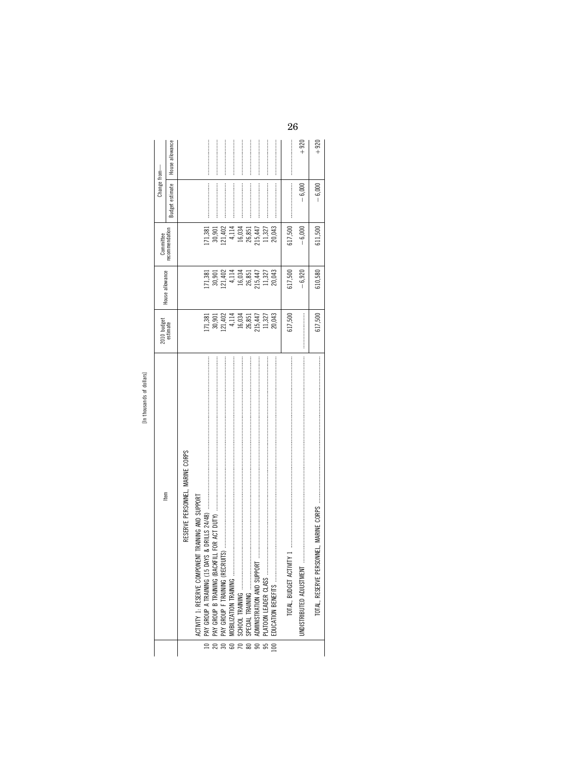| ltem                                               | 2010 budget<br>estimate                                                                                                                 |                                                                                                                                             | Committee                                                                                                                                                             | Change from—           |                 |
|----------------------------------------------------|-----------------------------------------------------------------------------------------------------------------------------------------|---------------------------------------------------------------------------------------------------------------------------------------------|-----------------------------------------------------------------------------------------------------------------------------------------------------------------------|------------------------|-----------------|
|                                                    |                                                                                                                                         | House allowance                                                                                                                             | recommendation                                                                                                                                                        | <b>Budget estimate</b> | House allowance |
| RESERVE PERSONNEL, MARINE CORPS                    |                                                                                                                                         |                                                                                                                                             |                                                                                                                                                                       |                        |                 |
| ACTIVITY 1: RESERVE COMPONENT TRAINING AND SUPPORT |                                                                                                                                         |                                                                                                                                             |                                                                                                                                                                       |                        |                 |
|                                                    |                                                                                                                                         |                                                                                                                                             | 71,381                                                                                                                                                                |                        |                 |
|                                                    | $\begin{array}{l} 171,381\\ 30,901\\ 21,402\\ 4,114\\ 16,034\\ 26,851\\ 215,447\\ 11,327\\ 20,043\\ 21\\ 11,327\\ 20,043\\ \end{array}$ | $\begin{array}{l} 171, 381 \\ 30, 901 \\ 121, 402 \\ 4, 114 \\ 16, 034 \\ 26, 851 \\ 11, 327 \\ 215, 447 \\ 11, 327 \\ 20, 043 \end{array}$ |                                                                                                                                                                       |                        |                 |
|                                                    |                                                                                                                                         |                                                                                                                                             |                                                                                                                                                                       |                        |                 |
|                                                    |                                                                                                                                         |                                                                                                                                             |                                                                                                                                                                       |                        |                 |
|                                                    |                                                                                                                                         |                                                                                                                                             |                                                                                                                                                                       |                        |                 |
|                                                    |                                                                                                                                         |                                                                                                                                             |                                                                                                                                                                       |                        |                 |
| ADMINISTRATION AND SUPPORT                         |                                                                                                                                         |                                                                                                                                             | $\begin{array}{r} 30,901 \\[-4pt] 121,402 \\[-4pt] 4,114 \\[-4pt] 16,034 \\[-4pt] 26,851 \\[-4pt] 21,327 \\[-4pt] 11,327 \\[-4pt] 11,327 \\[-4pt] 20,043 \end{array}$ |                        |                 |
|                                                    |                                                                                                                                         |                                                                                                                                             |                                                                                                                                                                       |                        |                 |
|                                                    |                                                                                                                                         |                                                                                                                                             |                                                                                                                                                                       |                        |                 |
| TOTAL, BUDGET ACTIVITY                             | 617,500                                                                                                                                 | 617,500                                                                                                                                     | 617,500                                                                                                                                                               |                        |                 |
| <b>JNDISTRIBUTED ADJUSTMENT</b>                    |                                                                                                                                         | $-6,920$                                                                                                                                    | $-6,000$                                                                                                                                                              | $-6,000$               | $+920$          |
|                                                    | 617,500                                                                                                                                 | 610,580                                                                                                                                     | 611,500                                                                                                                                                               | $-6,000$               | $+920$          |

[In thousands of dollars]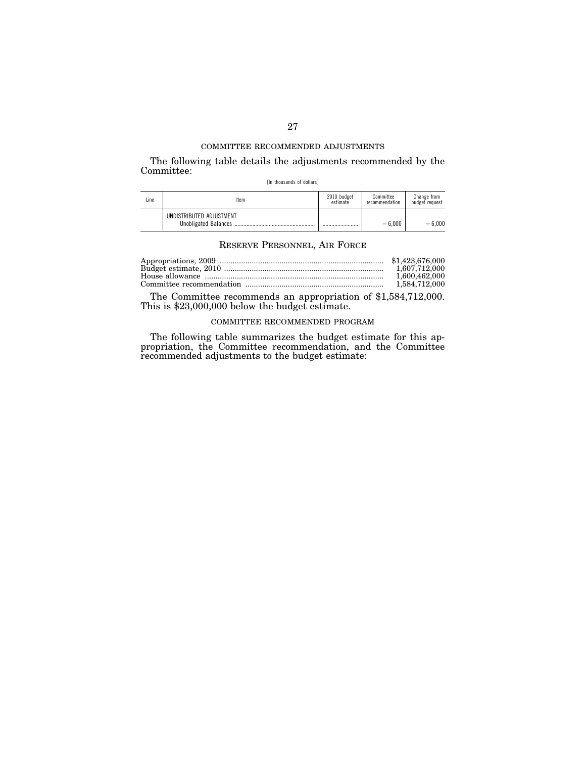The following table details the adjustments recommended by the Committee:

[In thousands of dollars]

| Line | ltem                     | 2010 budget<br>estimate | Committee<br>recommendation | Change from<br>budget request |
|------|--------------------------|-------------------------|-----------------------------|-------------------------------|
|      | UNDISTRIBUTED ADJUSTMENT |                         | $-6.000$                    | $-6.000$                      |

## RESERVE PERSONNEL, AIR FORCE

| 1.607.712.000 |
|---------------|
| 1.600.462.000 |
| 1.584.712.000 |

The Committee recommends an appropriation of \$1,584,712,000. This is \$23,000,000 below the budget estimate.

# COMMITTEE RECOMMENDED PROGRAM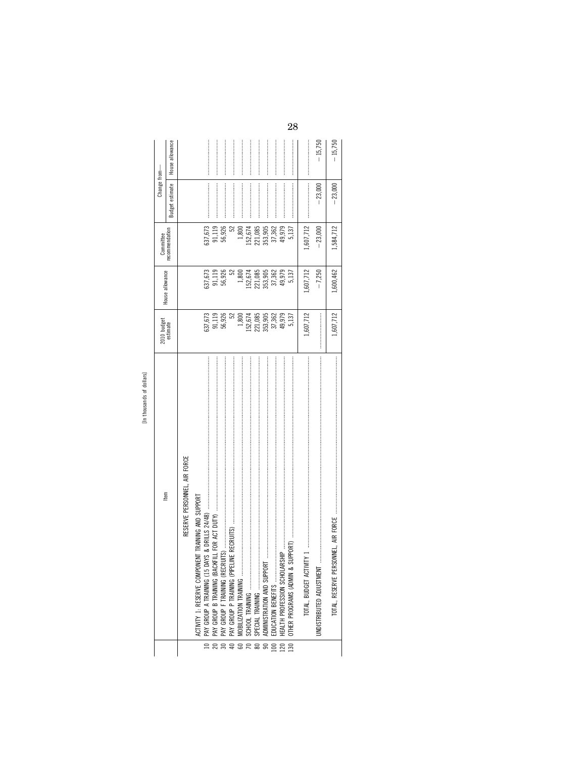|                                                                                                                                                                                                                                                                                                                                                                                                                                                                                                                                                                                                                                               | [In thousands of dollars]                               |                                                                                           |                               |                |                                                                                                                                                                                                                                                                                                                                                                                                                                          |                 |
|-----------------------------------------------------------------------------------------------------------------------------------------------------------------------------------------------------------------------------------------------------------------------------------------------------------------------------------------------------------------------------------------------------------------------------------------------------------------------------------------------------------------------------------------------------------------------------------------------------------------------------------------------|---------------------------------------------------------|-------------------------------------------------------------------------------------------|-------------------------------|----------------|------------------------------------------------------------------------------------------------------------------------------------------------------------------------------------------------------------------------------------------------------------------------------------------------------------------------------------------------------------------------------------------------------------------------------------------|-----------------|
|                                                                                                                                                                                                                                                                                                                                                                                                                                                                                                                                                                                                                                               | ltem                                                    | 2010 budget<br>estimate                                                                   | House allowance               | Committee      | Change from-                                                                                                                                                                                                                                                                                                                                                                                                                             |                 |
|                                                                                                                                                                                                                                                                                                                                                                                                                                                                                                                                                                                                                                               |                                                         |                                                                                           |                               | recommendation | Budget estimate                                                                                                                                                                                                                                                                                                                                                                                                                          | House allowance |
|                                                                                                                                                                                                                                                                                                                                                                                                                                                                                                                                                                                                                                               | RESERVE PERSONNEL, AIR FORCE                            |                                                                                           |                               |                |                                                                                                                                                                                                                                                                                                                                                                                                                                          |                 |
|                                                                                                                                                                                                                                                                                                                                                                                                                                                                                                                                                                                                                                               | NENT TRAINING AND SUPPORT<br>ACTIVITY 1: RESERVE COMPON |                                                                                           |                               |                |                                                                                                                                                                                                                                                                                                                                                                                                                                          |                 |
|                                                                                                                                                                                                                                                                                                                                                                                                                                                                                                                                                                                                                                               |                                                         | 637,673                                                                                   | 637,673                       | 637,673        |                                                                                                                                                                                                                                                                                                                                                                                                                                          |                 |
|                                                                                                                                                                                                                                                                                                                                                                                                                                                                                                                                                                                                                                               |                                                         | 91,119<br>56,926<br>52                                                                    | 91,119<br>56,926              | 91,119         |                                                                                                                                                                                                                                                                                                                                                                                                                                          |                 |
|                                                                                                                                                                                                                                                                                                                                                                                                                                                                                                                                                                                                                                               |                                                         |                                                                                           |                               | 56,926         |                                                                                                                                                                                                                                                                                                                                                                                                                                          |                 |
|                                                                                                                                                                                                                                                                                                                                                                                                                                                                                                                                                                                                                                               |                                                         |                                                                                           | 52                            | 52             |                                                                                                                                                                                                                                                                                                                                                                                                                                          |                 |
| $\begin{array}{c c} \hline \quad \quad & \quad \quad & \quad \quad \\ \hline \quad \quad & \quad \quad & \quad \quad \\ \quad \quad & \quad \quad & \quad \quad \\ \quad \quad & \quad \quad & \quad \quad \\ \quad \quad & \quad \quad & \quad \quad \\ \quad \quad & \quad \quad & \quad \quad \\ \quad \quad & \quad \quad & \quad \quad \\ \quad \quad & \quad \quad & \quad \quad \\ \quad \quad & \quad \quad & \quad \quad \\ \quad \quad & \quad \quad & \quad \quad \\ \quad \quad & \quad \quad & \quad \quad \\ \quad \quad & \quad \quad & \quad \quad \\ \quad \quad & \quad \quad & \quad \quad \\ \quad \quad & \quad \quad &$ |                                                         |                                                                                           | 1,800                         | 1,800          |                                                                                                                                                                                                                                                                                                                                                                                                                                          |                 |
|                                                                                                                                                                                                                                                                                                                                                                                                                                                                                                                                                                                                                                               |                                                         |                                                                                           |                               | 152,674        |                                                                                                                                                                                                                                                                                                                                                                                                                                          |                 |
|                                                                                                                                                                                                                                                                                                                                                                                                                                                                                                                                                                                                                                               |                                                         | $\begin{array}{c} 1,800 \\ 152,674 \\ 221,085 \\ 353,905 \\ 37,362 \\ 49,979 \end{array}$ | 152,674<br>221,085<br>353,905 | 221,085        |                                                                                                                                                                                                                                                                                                                                                                                                                                          |                 |
|                                                                                                                                                                                                                                                                                                                                                                                                                                                                                                                                                                                                                                               | ADMINISTRATION AND SUPPORT                              |                                                                                           |                               | 353,905        |                                                                                                                                                                                                                                                                                                                                                                                                                                          |                 |
|                                                                                                                                                                                                                                                                                                                                                                                                                                                                                                                                                                                                                                               |                                                         |                                                                                           | 37,362                        | 37,362         |                                                                                                                                                                                                                                                                                                                                                                                                                                          |                 |
| $\begin{array}{c}\n18 \\ 28\n\end{array}$                                                                                                                                                                                                                                                                                                                                                                                                                                                                                                                                                                                                     |                                                         |                                                                                           | 49,979                        | 49,979         |                                                                                                                                                                                                                                                                                                                                                                                                                                          |                 |
| $\frac{130}{ }$                                                                                                                                                                                                                                                                                                                                                                                                                                                                                                                                                                                                                               | DTHER PROGRAMS (ADMIN &                                 | 5,137                                                                                     | 5,137                         | 5,137          |                                                                                                                                                                                                                                                                                                                                                                                                                                          |                 |
|                                                                                                                                                                                                                                                                                                                                                                                                                                                                                                                                                                                                                                               |                                                         | 1,607,712                                                                                 | 1,607,712                     | 1,607,712      | $\begin{minipage}{0.9\linewidth} \begin{tabular}{l} \textbf{1} & \textbf{2} & \textbf{3} & \textbf{4} & \textbf{5} & \textbf{6} & \textbf{6} & \textbf{6} & \textbf{6} & \textbf{6} & \textbf{6} & \textbf{6} & \textbf{6} & \textbf{6} & \textbf{6} & \textbf{6} & \textbf{6} & \textbf{6} & \textbf{6} & \textbf{6} & \textbf{6} & \textbf{6} & \textbf{6} & \textbf{6} & \textbf{6} & \textbf{6} & \textbf{6} & \textbf{6} & \textbf$ |                 |
|                                                                                                                                                                                                                                                                                                                                                                                                                                                                                                                                                                                                                                               | <b>UNDISTRIBUTED ADJUSTMENT</b>                         |                                                                                           | $-7,250$                      | $-23,000$      | $-23,000$                                                                                                                                                                                                                                                                                                                                                                                                                                | $-15,750$       |
|                                                                                                                                                                                                                                                                                                                                                                                                                                                                                                                                                                                                                                               | TOTAL, RESERVE PERSONNEL, AIR FORCE                     | 1,607,712                                                                                 | ,600,462                      | 1,584,712      | $-23,000$                                                                                                                                                                                                                                                                                                                                                                                                                                | $-15,750$       |
|                                                                                                                                                                                                                                                                                                                                                                                                                                                                                                                                                                                                                                               |                                                         |                                                                                           |                               |                |                                                                                                                                                                                                                                                                                                                                                                                                                                          |                 |
|                                                                                                                                                                                                                                                                                                                                                                                                                                                                                                                                                                                                                                               |                                                         |                                                                                           |                               |                |                                                                                                                                                                                                                                                                                                                                                                                                                                          |                 |

[In thousands of dollars]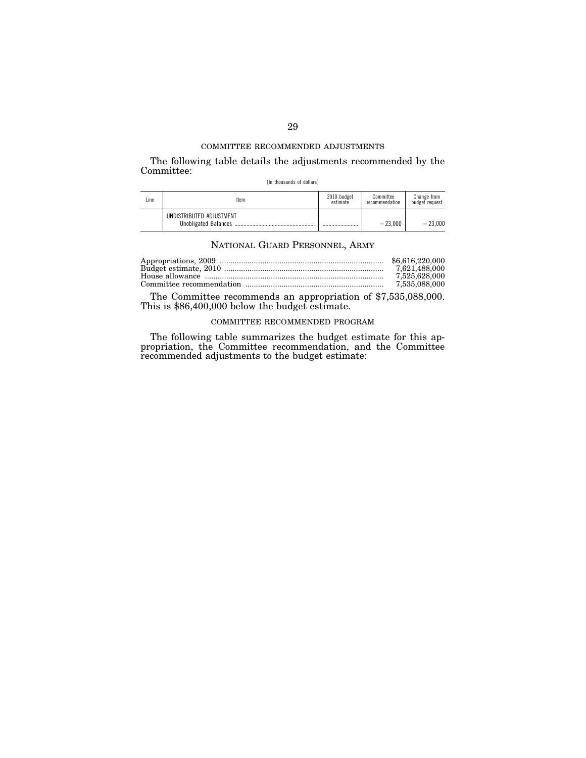The following table details the adjustments recommended by the Committee:

[In thousands of dollars]

| Line | ltem                     | 2010 budget<br>estimate | Committee<br>recommendation | Change from<br>budget request |
|------|--------------------------|-------------------------|-----------------------------|-------------------------------|
|      | UNDISTRIBUTED ADJUSTMENT |                         | $-23.000$                   | $-23.000$                     |

## NATIONAL GUARD PERSONNEL, ARMY

| \$6.616.220,000 |
|-----------------|
|                 |
| 7.525.628.000   |
| 7.535.088.000   |

The Committee recommends an appropriation of \$7,535,088,000. This is \$86,400,000 below the budget estimate.

## COMMITTEE RECOMMENDED PROGRAM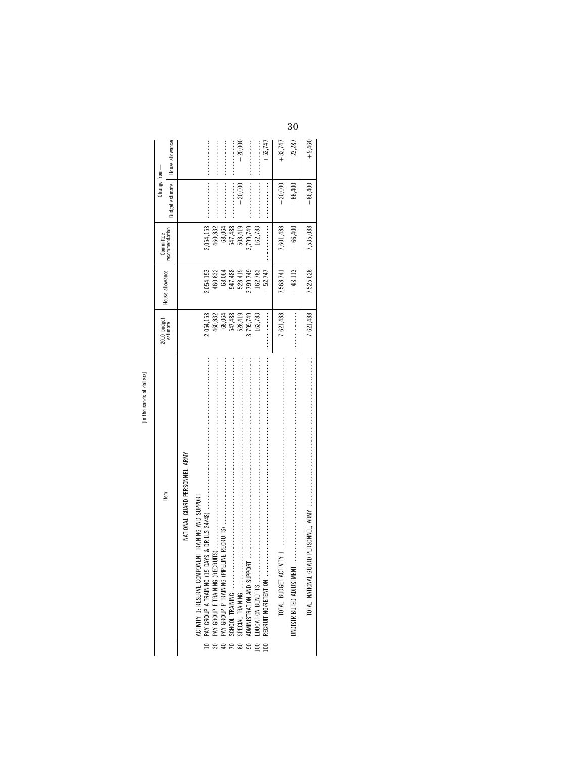| ċ,                |  |
|-------------------|--|
| ×                 |  |
| τ<br>¢<br>œ<br>c. |  |
| r.                |  |

|                 |                                                    |                              |                              |                    | Change from—    |                 |
|-----------------|----------------------------------------------------|------------------------------|------------------------------|--------------------|-----------------|-----------------|
|                 | tem                                                | 2010 budget<br>estimate      | House allowance              | Committee          |                 |                 |
|                 |                                                    |                              |                              | recommendation     | Budget estimate | House allowance |
|                 | NATIONAL GUARD PERSONNEL, ARMY                     |                              |                              |                    |                 |                 |
|                 | ACTIVITY 1: RESERVE COMPONENT TRAINING AND SUPPORT |                              |                              |                    |                 |                 |
| $\frac{1}{2}$   |                                                    | 2,054,153                    | 2,054,153                    | 2,054,153          |                 |                 |
| $\frac{1}{20}$  |                                                    | 460,832                      | 460,832                      | 460,832            |                 |                 |
|                 |                                                    |                              |                              | 68,064             |                 |                 |
|                 |                                                    |                              |                              |                    |                 |                 |
|                 |                                                    | 68,064<br>547,488<br>528,419 | 68,064<br>547,488<br>528,419 | 547,488<br>508,419 | $-20,000$       | $-20,000$       |
|                 |                                                    | 3,799,749                    | 8,799,749                    | 3,799,749          |                 |                 |
|                 | EDUCATION BENEFITS                                 | 162,783                      | 162,783                      | 162,783            |                 |                 |
| $\frac{100}{2}$ |                                                    |                              | $-52,747$                    |                    |                 | $+52,747$       |
|                 |                                                    | 7,621,488                    | 7,568,741                    | 7,601,488          | $-20,000$       | $+32,747$       |
|                 | JNDISTRIBUTED ADJUSTMENT                           |                              | $-43,113$                    | $-66,400$          | $-66,400$       | $-23,287$       |
|                 |                                                    | 7,621,488                    | 7,525,628                    | 535,088            | $-86,400$       | $+9,460$        |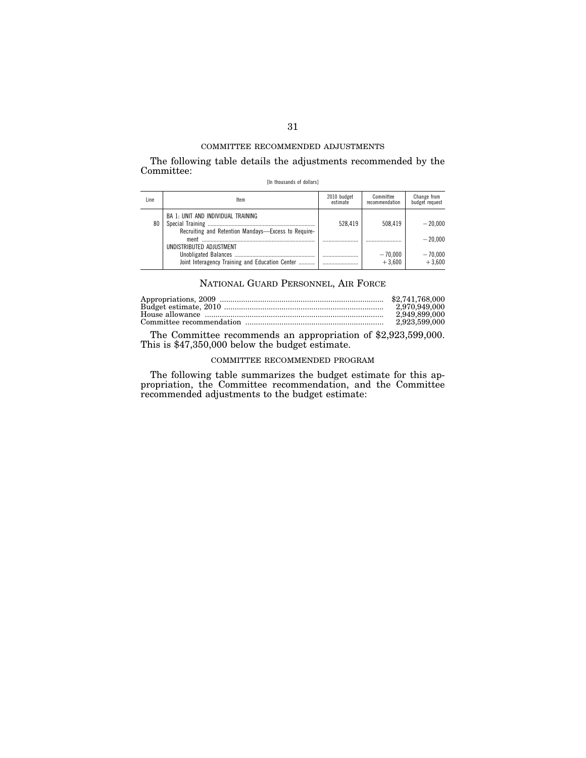The following table details the adjustments recommended by the Committee:

| [In thousands of dollars] |  |
|---------------------------|--|
|---------------------------|--|

| Line | Item                                                                                      | 2010 budget<br>estimate | Committee<br>recommendation | Change from<br>budget request |
|------|-------------------------------------------------------------------------------------------|-------------------------|-----------------------------|-------------------------------|
| 80   | BA 1: UNIT AND INDIVIDUAL TRAINING<br>Recruiting and Retention Mandays-Excess to Require- | 528.419                 | 508.419                     | $-20.000$<br>$-20.000$        |
|      | UNDISTRIBUTED ADJUSTMENT<br>Joint Interagency Training and Education Center               |                         | $-70,000$<br>$+3.600$       | $-70,000$<br>$+3.600$         |

## NATIONAL GUARD PERSONNEL, AIR FORCE

| 2.970.949.000 |
|---------------|
| 2.949.899.000 |
| 2.923.599.000 |
|               |

The Committee recommends an appropriation of \$2,923,599,000. This is \$47,350,000 below the budget estimate.

# COMMITTEE RECOMMENDED PROGRAM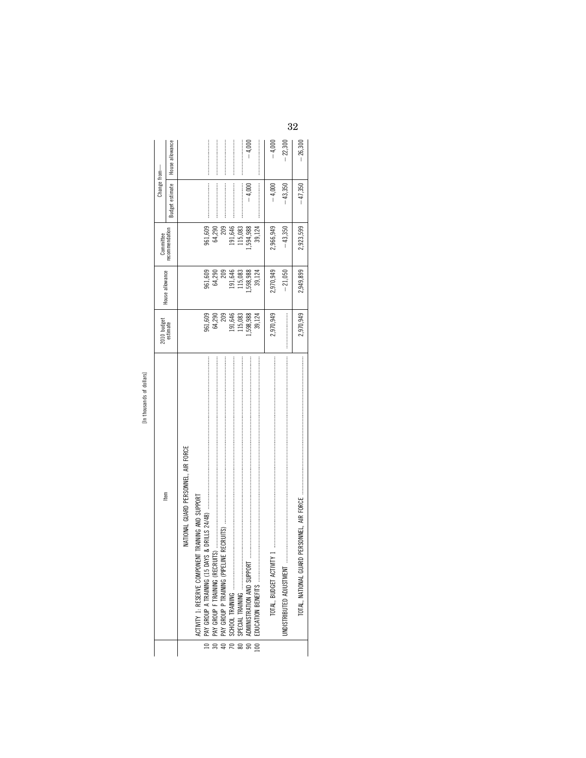| $\overline{S}$ |
|----------------|
|                |
| Ξ<br>nusai     |
|                |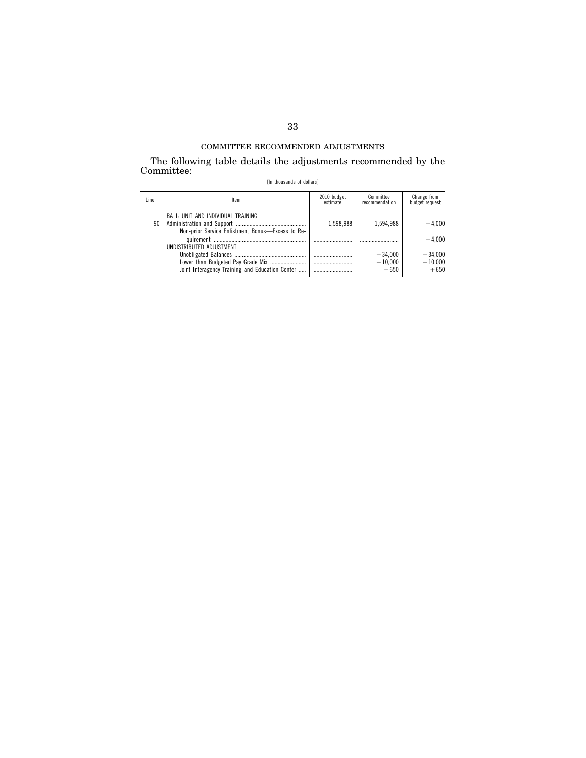The following table details the adjustments recommended by the Committee:

|  | [In thousands of dollars] |  |  |
|--|---------------------------|--|--|
|--|---------------------------|--|--|

| Line | Item                                                                                   | 2010 budget<br>estimate | Committee<br>recommendation      | Change from<br>budget request    |
|------|----------------------------------------------------------------------------------------|-------------------------|----------------------------------|----------------------------------|
| 90   | BA 1: UNIT AND INDIVIDUAL TRAINING<br>Non-prior Service Enlistment Bonus-Excess to Re- | 1.598.988               | 1.594.988                        | $-4.000$                         |
|      | UNDISTRIBUTED ADJUSTMENT                                                               |                         |                                  | $-4.000$                         |
|      | Lower than Budgeted Pay Grade Mix<br>Joint Interagency Training and Education Center   |                         | $-34,000$<br>$-10.000$<br>$+650$ | $-34.000$<br>$-10,000$<br>$+650$ |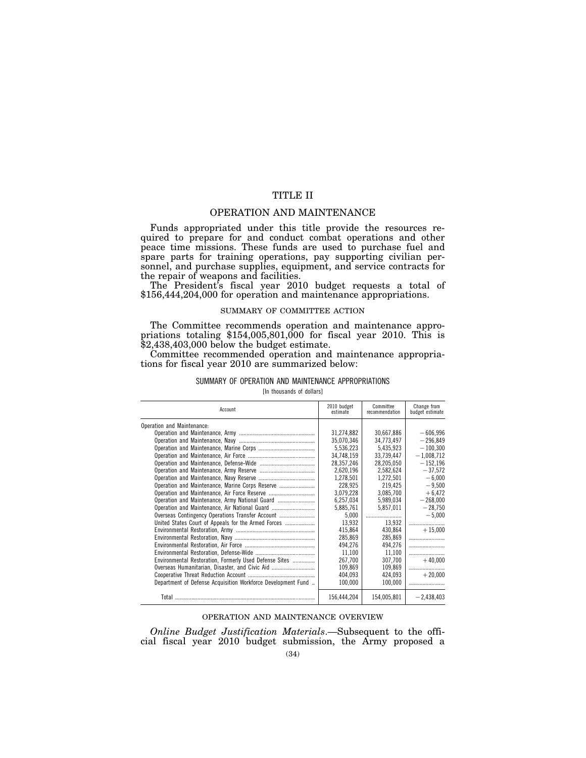# TITLE II

### OPERATION AND MAINTENANCE

Funds appropriated under this title provide the resources required to prepare for and conduct combat operations and other peace time missions. These funds are used to purchase fuel and spare parts for training operations, pay supporting civilian personnel, and purchase supplies, equipment, and service contracts for the repair of weapons and facilities.

The President's fiscal year 2010 budget requests a total of \$156,444,204,000 for operation and maintenance appropriations.

#### SUMMARY OF COMMITTEE ACTION

The Committee recommends operation and maintenance appro-<br>priations totaling \$154,005,801,000 for fiscal year 2010. This is \$2,438,403,000 below the budget estimate.

Committee recommended operation and maintenance appropriations for fiscal year 2010 are summarized below:

#### SUMMARY OF OPERATION AND MAINTENANCE APPROPRIATIONS

[In thousands of dollars]

| Account                                                      | 2010 budget<br>estimate | Committee<br>recommendation | Change from<br>budget estimate |
|--------------------------------------------------------------|-------------------------|-----------------------------|--------------------------------|
| Operation and Maintenance:                                   |                         |                             |                                |
|                                                              | 31.274.882              | 30.667.886                  | $-606.996$                     |
|                                                              | 35.070.346              | 34,773,497                  | $-296.849$                     |
|                                                              | 5.536.223               | 5.435.923                   | $-100.300$                     |
|                                                              | 34,748,159              | 33.739.447                  | $-1,008,712$                   |
|                                                              | 28.357.246              | 28.205.050                  | $-152.196$                     |
|                                                              | 2.620.196               | 2.582.624                   | $-37.572$                      |
|                                                              | 1,278,501               | 1,272,501                   | $-6,000$                       |
| Operation and Maintenance, Marine Corps Reserve              | 228,925                 | 219,425                     | $-9,500$                       |
|                                                              | 3.079.228               | 3.085.700                   | $+6.472$                       |
|                                                              | 6.257.034               | 5,989,034                   | $-268,000$                     |
| Operation and Maintenance, Air National Guard                | 5,885,761               | 5,857,011                   | $-28.750$                      |
| Overseas Contingency Operations Transfer Account             | 5.000                   |                             | $-5,000$                       |
| United States Court of Appeals for the Armed Forces          | 13.932                  | 13.932                      |                                |
|                                                              | 415,864                 | 430.864                     | $+15.000$                      |
|                                                              | 285,869                 | 285,869                     |                                |
|                                                              | 494,276                 | 494,276                     |                                |
|                                                              | 11,100                  | 11,100                      |                                |
| Environmental Restoration, Formerly Used Defense Sites       | 267.700                 | 307.700                     | $+40.000$                      |
| Overseas Humanitarian, Disaster, and Civic Aid               | 109.869                 | 109.869                     |                                |
|                                                              | 404.093                 | 424.093                     | $+20.000$                      |
| Department of Defense Acquisition Workforce Development Fund | 100,000                 | 100.000                     |                                |
| Total                                                        | 156,444,204             | 154,005,801                 | $-2,438,403$                   |

#### OPERATION AND MAINTENANCE OVERVIEW

*Online Budget Justification Materials*.—Subsequent to the official fiscal year 2010 budget submission, the Army proposed a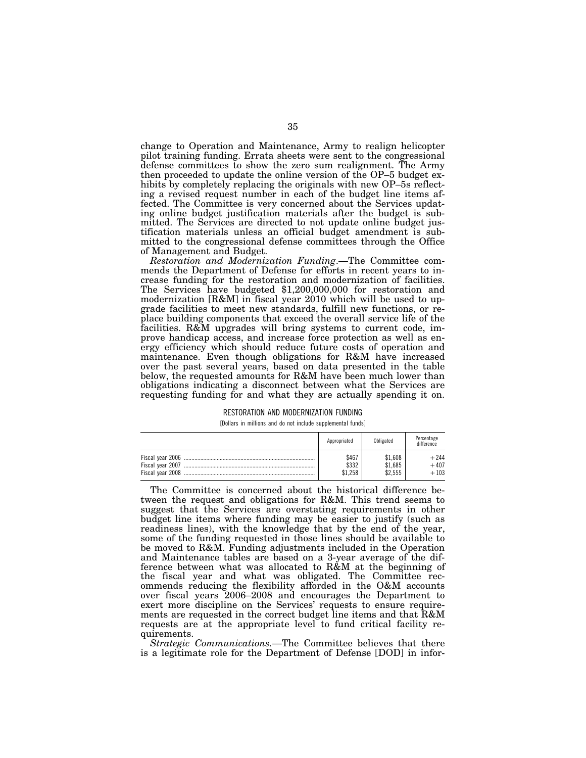change to Operation and Maintenance, Army to realign helicopter pilot training funding. Errata sheets were sent to the congressional defense committees to show the zero sum realignment. The Army then proceeded to update the online version of the OP–5 budget exhibits by completely replacing the originals with new OP–5s reflecting a revised request number in each of the budget line items affected. The Committee is very concerned about the Services updating online budget justification materials after the budget is submitted. The Services are directed to not update online budget justification materials unless an official budget amendment is submitted to the congressional defense committees through the Office of Management and Budget.

*Restoration and Modernization Funding*.—The Committee commends the Department of Defense for efforts in recent years to increase funding for the restoration and modernization of facilities. The Services have budgeted \$1,200,000,000 for restoration and modernization [R&M] in fiscal year 2010 which will be used to upgrade facilities to meet new standards, fulfill new functions, or replace building components that exceed the overall service life of the facilities. R&M upgrades will bring systems to current code, improve handicap access, and increase force protection as well as energy efficiency which should reduce future costs of operation and maintenance. Even though obligations for R&M have increased over the past several years, based on data presented in the table below, the requested amounts for R&M have been much lower than obligations indicating a disconnect between what the Services are requesting funding for and what they are actually spending it on.

#### RESTORATION AND MODERNIZATION FUNDING

[Dollars in millions and do not include supplemental funds]

|                                       | Appropriated              | Obligated                     | Percentage<br>difference   |
|---------------------------------------|---------------------------|-------------------------------|----------------------------|
| Fiscal year 2007<br>Fiscal year 2008. | \$467<br>\$332<br>\$1,258 | \$1.608<br>\$1.685<br>\$2,555 | $+244$<br>$+407$<br>$+103$ |

The Committee is concerned about the historical difference between the request and obligations for R&M. This trend seems to suggest that the Services are overstating requirements in other budget line items where funding may be easier to justify (such as readiness lines), with the knowledge that by the end of the year, some of the funding requested in those lines should be available to be moved to R&M. Funding adjustments included in the Operation and Maintenance tables are based on a 3-year average of the difference between what was allocated to R&M at the beginning of the fiscal year and what was obligated. The Committee recommends reducing the flexibility afforded in the O&M accounts over fiscal years 2006–2008 and encourages the Department to exert more discipline on the Services' requests to ensure requirements are requested in the correct budget line items and that R&M requests are at the appropriate level to fund critical facility requirements.

*Strategic Communications.*—The Committee believes that there is a legitimate role for the Department of Defense [DOD] in infor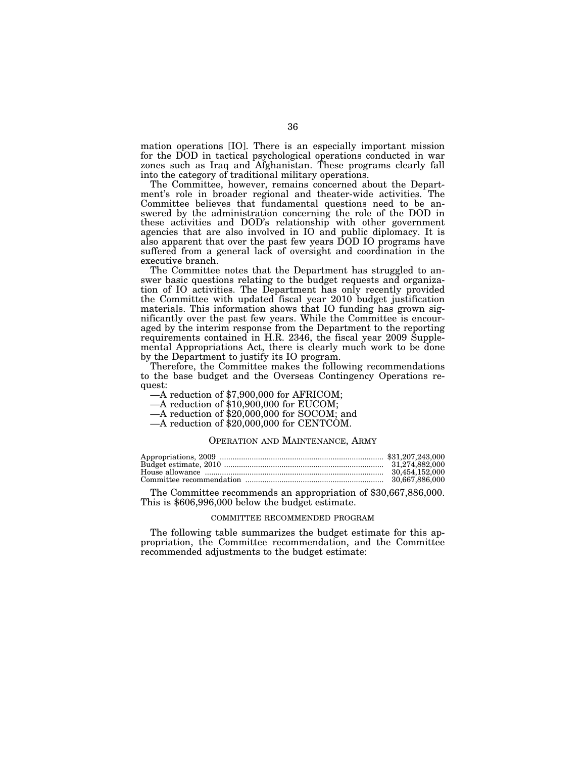mation operations [IO]. There is an especially important mission for the DOD in tactical psychological operations conducted in war zones such as Iraq and Afghanistan. These programs clearly fall into the category of traditional military operations.

The Committee, however, remains concerned about the Department's role in broader regional and theater-wide activities. The Committee believes that fundamental questions need to be answered by the administration concerning the role of the DOD in these activities and DOD's relationship with other government agencies that are also involved in IO and public diplomacy. It is also apparent that over the past few years DOD IO programs have suffered from a general lack of oversight and coordination in the executive branch.

The Committee notes that the Department has struggled to answer basic questions relating to the budget requests and organization of IO activities. The Department has only recently provided the Committee with updated fiscal year 2010 budget justification materials. This information shows that IO funding has grown significantly over the past few years. While the Committee is encouraged by the interim response from the Department to the reporting requirements contained in H.R. 2346, the fiscal year 2009 Supplemental Appropriations Act, there is clearly much work to be done by the Department to justify its IO program.

Therefore, the Committee makes the following recommendations to the base budget and the Overseas Contingency Operations request:<br>
—A reduction of \$7,900,000 for AFRICOM;

—A reduction of \$10,900,000 for EUCOM;

—A reduction of \$20,000,000 for SOCOM; and

—A reduction of \$20,000,000 for CENTCOM.

### OPERATION AND MAINTENANCE, ARMY

The Committee recommends an appropriation of \$30,667,886,000. This is \$606,996,000 below the budget estimate.

#### COMMITTEE RECOMMENDED PROGRAM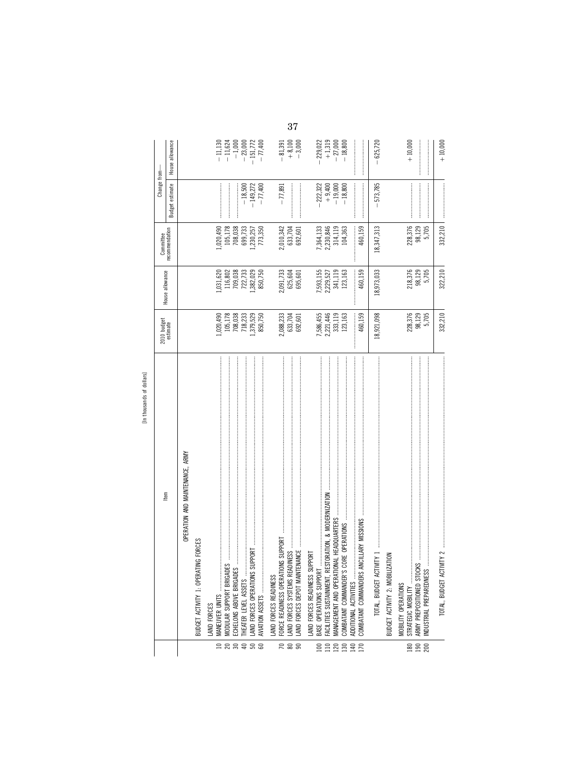|                   | [In thousands of dollars]                                                                                                                                                                                                                                                                                                                                                                                                                                                                                                                                                                                                                                |                                              |                                                    |                                                                                                                                                                                                                                                                                                                                                                                                                                                    |                                                                                                                                                                                                                                                                                                                                                                                                                                         |                         |
|-------------------|----------------------------------------------------------------------------------------------------------------------------------------------------------------------------------------------------------------------------------------------------------------------------------------------------------------------------------------------------------------------------------------------------------------------------------------------------------------------------------------------------------------------------------------------------------------------------------------------------------------------------------------------------------|----------------------------------------------|----------------------------------------------------|----------------------------------------------------------------------------------------------------------------------------------------------------------------------------------------------------------------------------------------------------------------------------------------------------------------------------------------------------------------------------------------------------------------------------------------------------|-----------------------------------------------------------------------------------------------------------------------------------------------------------------------------------------------------------------------------------------------------------------------------------------------------------------------------------------------------------------------------------------------------------------------------------------|-------------------------|
|                   |                                                                                                                                                                                                                                                                                                                                                                                                                                                                                                                                                                                                                                                          | 2010 budget<br>estimate                      |                                                    | Committee                                                                                                                                                                                                                                                                                                                                                                                                                                          | Change from-                                                                                                                                                                                                                                                                                                                                                                                                                            |                         |
|                   | Item                                                                                                                                                                                                                                                                                                                                                                                                                                                                                                                                                                                                                                                     |                                              | House allowance                                    | recommendation                                                                                                                                                                                                                                                                                                                                                                                                                                     | <b>Budget estimate</b>                                                                                                                                                                                                                                                                                                                                                                                                                  | House allowance         |
|                   | OPERATION AND MAINTENANCE, ARMY                                                                                                                                                                                                                                                                                                                                                                                                                                                                                                                                                                                                                          |                                              |                                                    |                                                                                                                                                                                                                                                                                                                                                                                                                                                    |                                                                                                                                                                                                                                                                                                                                                                                                                                         |                         |
|                   | BUDGET ACTIVITY 1: OPERATING FORCES                                                                                                                                                                                                                                                                                                                                                                                                                                                                                                                                                                                                                      |                                              |                                                    |                                                                                                                                                                                                                                                                                                                                                                                                                                                    |                                                                                                                                                                                                                                                                                                                                                                                                                                         |                         |
|                   | LAND FORCES                                                                                                                                                                                                                                                                                                                                                                                                                                                                                                                                                                                                                                              |                                              |                                                    |                                                                                                                                                                                                                                                                                                                                                                                                                                                    |                                                                                                                                                                                                                                                                                                                                                                                                                                         |                         |
|                   | MANEUVER UNITS                                                                                                                                                                                                                                                                                                                                                                                                                                                                                                                                                                                                                                           | ,020,490                                     |                                                    |                                                                                                                                                                                                                                                                                                                                                                                                                                                    |                                                                                                                                                                                                                                                                                                                                                                                                                                         | $-11,130$               |
|                   |                                                                                                                                                                                                                                                                                                                                                                                                                                                                                                                                                                                                                                                          |                                              |                                                    |                                                                                                                                                                                                                                                                                                                                                                                                                                                    |                                                                                                                                                                                                                                                                                                                                                                                                                                         | $-11,624$               |
|                   |                                                                                                                                                                                                                                                                                                                                                                                                                                                                                                                                                                                                                                                          | 105,178<br>708,038<br>718,233                | 1,031,620<br>116,802<br>709,038<br>722,733         | $1,020,490$<br>$105,178$<br>$708,038$<br>$699,733$<br>$1,230,257$                                                                                                                                                                                                                                                                                                                                                                                  |                                                                                                                                                                                                                                                                                                                                                                                                                                         | $-1,000$                |
|                   | SUPPORT<br>THEATER LEVEL ASSETS<br>LAND FORCES OPERATIONS                                                                                                                                                                                                                                                                                                                                                                                                                                                                                                                                                                                                | ,379,529                                     | ,382,029                                           |                                                                                                                                                                                                                                                                                                                                                                                                                                                    | $-149,272$<br>$-18,500$                                                                                                                                                                                                                                                                                                                                                                                                                 | $-23,000$<br>$-151,772$ |
| <b>ERRQ 5 5 5</b> | AVIATION ASSETS                                                                                                                                                                                                                                                                                                                                                                                                                                                                                                                                                                                                                                          | 850,750                                      | 850,750                                            | 773,350                                                                                                                                                                                                                                                                                                                                                                                                                                            | $-77,400$                                                                                                                                                                                                                                                                                                                                                                                                                               | $-77,400$               |
|                   | AND FORCES READINESS                                                                                                                                                                                                                                                                                                                                                                                                                                                                                                                                                                                                                                     |                                              |                                                    |                                                                                                                                                                                                                                                                                                                                                                                                                                                    |                                                                                                                                                                                                                                                                                                                                                                                                                                         |                         |
|                   | FORCE READINESS OPERATIONS SUPPORT                                                                                                                                                                                                                                                                                                                                                                                                                                                                                                                                                                                                                       | 2,088,233                                    |                                                    |                                                                                                                                                                                                                                                                                                                                                                                                                                                    | $-77,891$                                                                                                                                                                                                                                                                                                                                                                                                                               | $-81,391$               |
| $R$ $\approx$ $S$ | ADINESS<br>AND FORCES SYSTEMS RE                                                                                                                                                                                                                                                                                                                                                                                                                                                                                                                                                                                                                         | 633,704<br>692,601                           | 2,091,733<br>625,604<br>695,601                    | 2,010,342<br>633,704<br>692,601                                                                                                                                                                                                                                                                                                                                                                                                                    |                                                                                                                                                                                                                                                                                                                                                                                                                                         | $+8,100$<br>$-3,000$    |
|                   | LAND FORCES DEPOT MAINT                                                                                                                                                                                                                                                                                                                                                                                                                                                                                                                                                                                                                                  |                                              |                                                    |                                                                                                                                                                                                                                                                                                                                                                                                                                                    |                                                                                                                                                                                                                                                                                                                                                                                                                                         |                         |
|                   | LAND FORCES READINESS SUPPORT                                                                                                                                                                                                                                                                                                                                                                                                                                                                                                                                                                                                                            |                                              |                                                    |                                                                                                                                                                                                                                                                                                                                                                                                                                                    |                                                                                                                                                                                                                                                                                                                                                                                                                                         |                         |
| $\approx$         | BASE OPERATIONS SUPPORT                                                                                                                                                                                                                                                                                                                                                                                                                                                                                                                                                                                                                                  |                                              |                                                    |                                                                                                                                                                                                                                                                                                                                                                                                                                                    |                                                                                                                                                                                                                                                                                                                                                                                                                                         | 229,022                 |
| 110               | FACILITIES SUSTAINMENT, RESTORATION, & MODERNIZATION                                                                                                                                                                                                                                                                                                                                                                                                                                                                                                                                                                                                     | 7,586,455<br>2,221,446<br>333,119<br>123,163 | 7, 593, 155<br>2, 229, 527<br>341, 119<br>123, 163 | 7,364,133<br>2,230,846<br>314,119                                                                                                                                                                                                                                                                                                                                                                                                                  | $-222,322$<br>$+9,400$<br>$-19,000$<br>$-18,800$                                                                                                                                                                                                                                                                                                                                                                                        | $+1,319$<br>$-27,000$   |
| 120               | MANAGEMENT AND OPERATI                                                                                                                                                                                                                                                                                                                                                                                                                                                                                                                                                                                                                                   |                                              |                                                    |                                                                                                                                                                                                                                                                                                                                                                                                                                                    |                                                                                                                                                                                                                                                                                                                                                                                                                                         |                         |
| 130               | COMBATANT COMMANDER'S                                                                                                                                                                                                                                                                                                                                                                                                                                                                                                                                                                                                                                    |                                              |                                                    | 104,363                                                                                                                                                                                                                                                                                                                                                                                                                                            |                                                                                                                                                                                                                                                                                                                                                                                                                                         | $-18,800$               |
| $\frac{140}{170}$ | COMBATANT COMMANDERS<br>ADDITIONAL ACTIVITIES                                                                                                                                                                                                                                                                                                                                                                                                                                                                                                                                                                                                            | 460,159                                      | 460,159                                            | $\begin{minipage}{0.9\linewidth} \begin{tabular}{l} \hline \textbf{1} & \textbf{1} & \textbf{1} & \textbf{1} & \textbf{1} & \textbf{1} & \textbf{1} & \textbf{1} & \textbf{1} & \textbf{1} & \textbf{1} & \textbf{1} & \textbf{1} & \textbf{1} & \textbf{1} & \textbf{1} & \textbf{1} & \textbf{1} & \textbf{1} & \textbf{1} & \textbf{1} & \textbf{1} & \textbf{1} & \textbf{1} & \textbf{1} & \textbf{1} & \textbf{1} & \textbf{1} &$<br>460,159 | $\begin{minipage}{0.9\linewidth} \begin{tabular}{l} \hline \textbf{1} & \textbf{1} & \textbf{1} & \textbf{1} & \textbf{1} & \textbf{1} & \textbf{1} & \textbf{1} & \textbf{1} & \textbf{1} & \textbf{1} & \textbf{1} & \textbf{1} & \textbf{1} & \textbf{1} & \textbf{1} & \textbf{1} & \textbf{1} & \textbf{1} & \textbf{1} & \textbf{1} & \textbf{1} & \textbf{1} & \textbf{1} & \textbf{1} & \textbf{1} & \textbf{1} & \textbf{1} &$ |                         |
|                   | $\textbf{HWP11} \quad \textcolor{red}{\bullet} \quad \textcolor{red}{\bullet} \quad \textcolor{red}{\bullet} \quad \textcolor{red}{\bullet} \quad \textcolor{red}{\bullet} \quad \textcolor{red}{\bullet} \quad \textcolor{red}{\bullet} \quad \textcolor{red}{\bullet} \quad \textcolor{red}{\bullet} \quad \textcolor{red}{\bullet} \quad \textcolor{red}{\bullet} \quad \textcolor{red}{\bullet} \quad \textcolor{red}{\bullet} \quad \textcolor{red}{\bullet} \quad \textcolor{red}{\bullet} \quad \textcolor{red}{\bullet} \quad \textcolor{red}{\bullet} \quad \textcolor{red}{\bullet} \quad \textcolor{red}{\bullet} \quad$<br>TOTAL, BUDGET ACT | 18,921,098                                   | 18,973,033                                         | 18,347,313                                                                                                                                                                                                                                                                                                                                                                                                                                         | $-573,785$                                                                                                                                                                                                                                                                                                                                                                                                                              | $-625,720$              |
|                   | <b>IZATION</b><br>BUDGET ACTIVITY 2: MOBIL                                                                                                                                                                                                                                                                                                                                                                                                                                                                                                                                                                                                               |                                              |                                                    |                                                                                                                                                                                                                                                                                                                                                                                                                                                    |                                                                                                                                                                                                                                                                                                                                                                                                                                         |                         |
| 180               | MOBILITY OPERATIONS                                                                                                                                                                                                                                                                                                                                                                                                                                                                                                                                                                                                                                      |                                              |                                                    |                                                                                                                                                                                                                                                                                                                                                                                                                                                    |                                                                                                                                                                                                                                                                                                                                                                                                                                         |                         |
|                   | STRATEGIC MOBILITY                                                                                                                                                                                                                                                                                                                                                                                                                                                                                                                                                                                                                                       | 228,376<br>98,129                            | 218,376                                            | 228,376                                                                                                                                                                                                                                                                                                                                                                                                                                            |                                                                                                                                                                                                                                                                                                                                                                                                                                         | $+10,000$               |
| 190<br>200        | INDUSTRIAL PREPAREDNESS                                                                                                                                                                                                                                                                                                                                                                                                                                                                                                                                                                                                                                  | 5,705                                        | 98,129<br>5,705                                    | 98,129<br>5,705                                                                                                                                                                                                                                                                                                                                                                                                                                    |                                                                                                                                                                                                                                                                                                                                                                                                                                         |                         |
|                   | $TWITY$ 2<br>TOTAL, BUDGET ACT                                                                                                                                                                                                                                                                                                                                                                                                                                                                                                                                                                                                                           | 332,210                                      | 322,210                                            | 332,210                                                                                                                                                                                                                                                                                                                                                                                                                                            |                                                                                                                                                                                                                                                                                                                                                                                                                                         | $+10,000$               |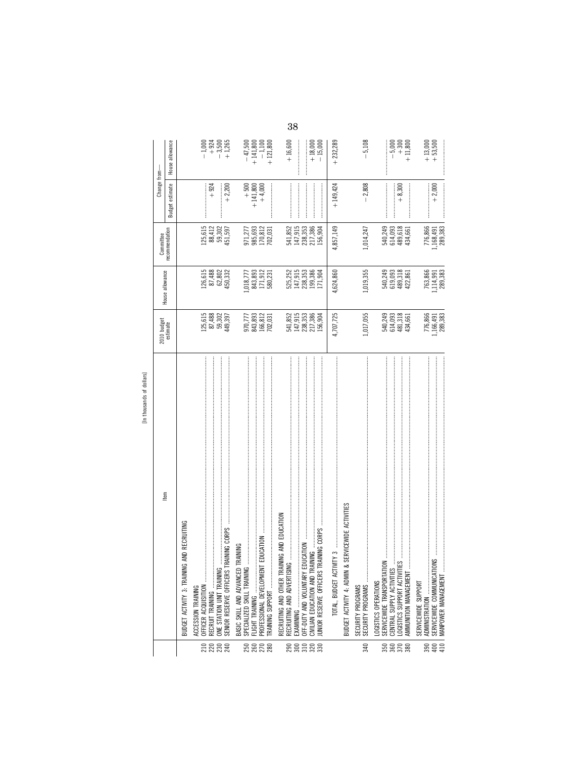| ¢<br>î                       |  |
|------------------------------|--|
| ቱ<br>5                       |  |
| s<br>×<br>$\sigma$<br>Ě<br>٠ |  |
|                              |  |

|             | [In thousands of dollars]                                                                                                      |                                                                            |                                                                               |                                          |                                 |                        |
|-------------|--------------------------------------------------------------------------------------------------------------------------------|----------------------------------------------------------------------------|-------------------------------------------------------------------------------|------------------------------------------|---------------------------------|------------------------|
|             | Item                                                                                                                           | 2010 budget<br>estimate                                                    | House allowance                                                               | Committee                                | Change from-                    |                        |
|             |                                                                                                                                |                                                                            |                                                                               | recommendation                           | estimate<br>Budget <sub>1</sub> | House allowance        |
|             | <b>VG AND RECRUITING</b><br>BUDGET ACTIVITY 3: TRAINI                                                                          |                                                                            |                                                                               |                                          |                                 |                        |
|             | ACCESSION TRAINING                                                                                                             |                                                                            |                                                                               |                                          |                                 |                        |
|             | OFFICER ACQUISITION                                                                                                            |                                                                            |                                                                               | 125,615<br>88,412                        |                                 | $-1,000$               |
|             | RECRUIT TRAINING                                                                                                               |                                                                            |                                                                               |                                          | $+924$                          | $+924$                 |
| <b>EREE</b> | ONE STATION UNIT TRAINING                                                                                                      | $\begin{array}{c} 125,615 \\ 87,488 \\ 59,302 \\ 449,397 \end{array}$      | $\begin{array}{l} 126,615 \\ 87,488 \\ 62,802 \\ 450,332 \end{array}$         | 59,302<br>451,597                        |                                 | $-3,500$<br>+1,265     |
|             | SENIOR RESERVE OFFICERS                                                                                                        |                                                                            |                                                                               |                                          | $+2,200$                        |                        |
|             | <b>TRAINING</b><br>BASIC SKILL AND ADVANCEI                                                                                    |                                                                            |                                                                               |                                          |                                 |                        |
|             | SPECIALIZED SKILL TRAINING                                                                                                     |                                                                            |                                                                               |                                          | $+ 500$<br>+ 141,800            | $-47,500$<br>+ 141,800 |
|             | <b>VT EDUCATION</b><br>PROFESSIONAL DEVELOPME<br>FLIGHT TRAINING                                                               |                                                                            |                                                                               |                                          | $+4,000$                        | $-1,100$               |
| <b>EEE</b>  | <b>RAINING SUPPORT </b>                                                                                                        | 970,777<br>843,893<br>166,812<br>702,031                                   | $\begin{array}{c} 1.018, 777 \\ 843, 893 \\ 171, 912 \\ 580, 231 \end{array}$ | 971,277<br>985,693<br>170,812<br>702,031 |                                 | $+121,800$             |
|             | RECRUITING AND OTHER TRAINING AND EDUCATION                                                                                    |                                                                            |                                                                               |                                          |                                 |                        |
|             | RECRUITING AND ADVERTISI                                                                                                       |                                                                            |                                                                               | 541,852                                  |                                 | $+16,600$              |
|             |                                                                                                                                |                                                                            |                                                                               | 147,915                                  |                                 |                        |
|             | EDUCATION<br><b>RAINING</b><br>CIVILIAN EDUCATION AND TI<br>DFF-DUTY AND VOLUNTARY                                             |                                                                            |                                                                               | 238,353<br>217,386                       |                                 |                        |
| ន្តន្តដួនន  | IUNIOR RESERVE OFFICERS                                                                                                        | $541,852$<br>$147,915$<br>$147,353$<br>$217,386$<br>$217,386$<br>$156,904$ | 525, 252<br>147, 915<br>238, 336<br>171, 904<br>171, 904                      | 156,904                                  |                                 | $+18,000$<br>$-15,000$ |
|             | $N1$ ( $N2$ )<br>TOTAL, BUDGET ACT                                                                                             | 4,707,725                                                                  | 4,624,860                                                                     | 4,857,149                                | $+149,424$                      | $+232,289$             |
|             | & SERVICEWIDE ACTIVITIES<br>BUDGET ACTIVITY 4: ADMIN                                                                           |                                                                            |                                                                               |                                          |                                 |                        |
|             |                                                                                                                                |                                                                            |                                                                               |                                          |                                 |                        |
| 340         | SECURITY PROGRAMS<br>SECURITY PROGRAMS                                                                                         | 1,017,055                                                                  | 1,019,355                                                                     | 1,014,247                                | $-2,808$                        | $-5,108$               |
|             | .OGISTICS OPERATIONS                                                                                                           |                                                                            |                                                                               |                                          |                                 |                        |
| ន្លន្លន្ល   | $100$ , and an intermediate construction of the construction of $\sim$<br>CENTRAL SUPPLY ACTIVITIES<br>SERVICEWIDE TRANSPORTAT | 540,249<br>614,093<br>481,318<br>434,661                                   | 540,249<br>619,093<br>489,318<br>422,861                                      | 540,249                                  |                                 | $-5,000$               |
|             | ĨΞ<br>OGISTICS SUPPORT ACTIVIT                                                                                                 |                                                                            |                                                                               | 614,093<br>489,618                       | $+8,300$                        |                        |
|             | AMMUNITION MANAGEMENT                                                                                                          |                                                                            |                                                                               | 434,661                                  |                                 | $+300$<br>$+11,800$    |
|             | SERVICEWIDE SUPPORT                                                                                                            |                                                                            |                                                                               |                                          |                                 |                        |
| 390         | SERVICEWIDE COMMUNICAT<br>ADMINISTRATION                                                                                       |                                                                            |                                                                               |                                          | $+2,000$                        | $+13,000$<br>+53,500   |
| 410         | MANPOWER MANAGEMENT                                                                                                            | 776,866<br>1,166,491<br>289,383                                            | 763,866<br>1,114,991<br>289,383                                               | 776,866<br>1,168,491<br>289,383          |                                 |                        |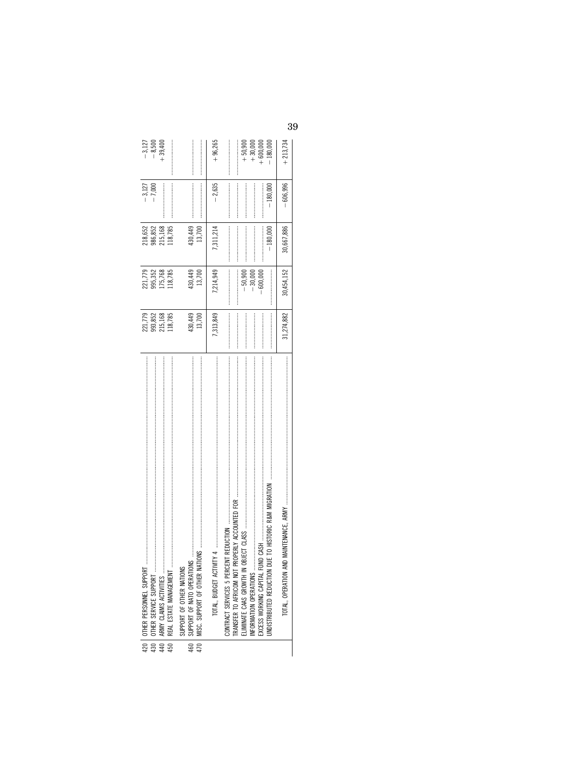|     | 420   OTHER PERSONNEL SUPPORT                                                                                                                         | 221,779           | 221,779                              | 218,652           | $-3,127$   | $-3,127$                                        |
|-----|-------------------------------------------------------------------------------------------------------------------------------------------------------|-------------------|--------------------------------------|-------------------|------------|-------------------------------------------------|
|     |                                                                                                                                                       | 993,852           | 995,352                              | 986,852           | $-7,000$   | $-8,500$                                        |
|     |                                                                                                                                                       | 215,168           | 175,768                              | 215,168           |            | $+39,400$                                       |
|     | 450   REAL ESTATE MANAGEMENT                                                                                                                          | 118,785           | 118,785                              | 118,785           |            |                                                 |
| 460 | $\mathbf{M}$<br>SUPPORT OF OTHER NATIONS<br>SUPPORT OF NATO OPERATIO                                                                                  | 430,449<br>13,700 | 430,449<br>13,700                    | 430,449<br>13,700 |            |                                                 |
|     |                                                                                                                                                       | 7,313,849         | 7,214,949                            | ,311,214          | $-2,635$   | $+96,265$                                       |
|     | DUE TO HISTORIC R&M MIGRATION<br><b>FRANSFER TO AFRICOM NOT</b><br>NFORMATION OPERATIONS<br><b>LLIMINATE CAAS GROWTH IN</b><br>NDISTRIBUTED REDUCTION |                   | $-30,000$<br>$-50,900$<br>$-600,000$ | $-180.000$        | $-180.000$ | 180,000<br>$+30,000$<br>$+50,900$<br>$+600,000$ |
|     | TOTAL, OPERATION A                                                                                                                                    | 31,274,882        | 30,454,152                           | 30,667,886        | $-606,996$ | $+213,734$                                      |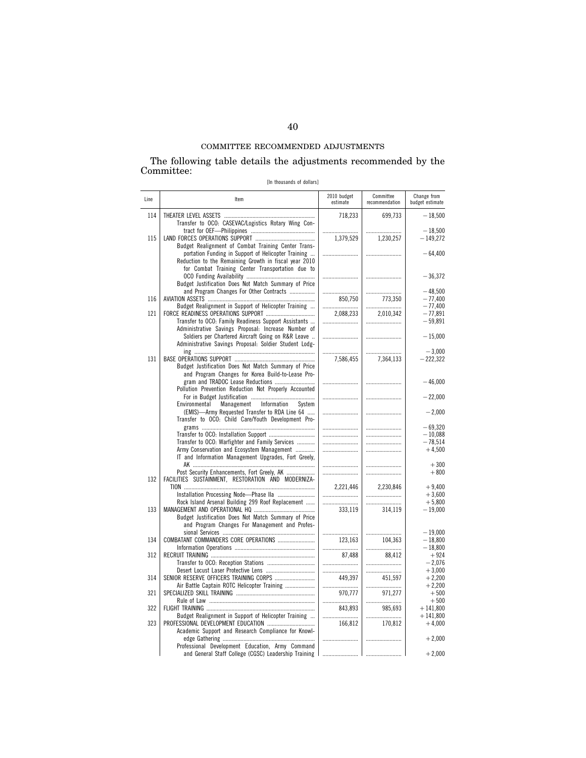The following table details the adjustments recommended by the Committee:

[In thousands of dollars]

| Line | Item                                                                                                                                                             | 2010 budget<br>estimate | Committee<br>recommendation | Change from<br>budget estimate |
|------|------------------------------------------------------------------------------------------------------------------------------------------------------------------|-------------------------|-----------------------------|--------------------------------|
| 114  | Transfer to OCO: CASEVAC/Logistics Rotary Wing Con-                                                                                                              | 718,233                 | 699,733                     | $-18,500$                      |
| 115  | Budget Realignment of Combat Training Center Trans-                                                                                                              | 1.379.529               | 1,230,257                   | $-18.500$<br>$-149,272$        |
|      | portation Funding in Support of Helicopter Training<br>Reduction to the Remaining Growth in fiscal year 2010<br>for Combat Training Center Transportation due to |                         |                             | $-64,400$                      |
|      | Budget Justification Does Not Match Summary of Price                                                                                                             |                         |                             | $-36.372$                      |
|      | and Program Changes For Other Contracts                                                                                                                          |                         |                             | $-48.500$                      |
| 116  | Budget Realignment in Support of Helicopter Training                                                                                                             | 850,750                 | 773,350                     | $-77,400$<br>$-77,400$         |
| 121  |                                                                                                                                                                  | 2.088.233               | 2.010.342                   | $-77.891$                      |
|      | Transfer to OCO: Family Readiness Support Assistants                                                                                                             |                         |                             | $-59,891$                      |
|      | Administrative Savings Proposal: Increase Number of<br>Soldiers per Chartered Aircraft Going on R&R Leave                                                        |                         |                             | $-15,000$                      |
|      | Administrative Savings Proposal: Soldier Student Lodg-                                                                                                           |                         |                             | $-3,000$                       |
| 131  | Budget Justification Does Not Match Summary of Price<br>and Program Changes for Korea Build-to-Lease Pro-                                                        | 7,586,455               | 7,364,133                   | $-222,322$                     |
|      | gram and TRADOC Lease Reductions<br>Pollution Prevention Reduction Not Properly Accounted                                                                        |                         |                             | $-46,000$                      |
|      | Management<br>Environmental<br>Information<br>System                                                                                                             |                         |                             | $-22,000$                      |
|      | (EMIS)-Army Requested Transfer to RDA Line 64<br>Transfer to OCO: Child Care/Youth Development Pro-                                                              |                         |                             | $-2,000$                       |
|      |                                                                                                                                                                  |                         |                             | $-69.320$                      |
|      |                                                                                                                                                                  |                         |                             | $-10,088$                      |
|      | Transfer to OCO: Warfighter and Family Services                                                                                                                  |                         |                             | $-78.514$                      |
|      | Army Conservation and Ecosystem Management<br>IT and Information Management Upgrades, Fort Greely,                                                               |                         |                             | $+4,500$<br>$+300$             |
|      | Post Security Enhancements, Fort Greely, AK                                                                                                                      |                         |                             | $+800$                         |
| 132  | FACILITIES SUSTAINMENT, RESTORATION AND MODERNIZA-                                                                                                               |                         |                             |                                |
|      |                                                                                                                                                                  | 2.221.446               | 2.230.846                   | $+9.400$                       |
|      |                                                                                                                                                                  |                         |                             | $+3.600$                       |
| 133  | Rock Island Arsenal Building 299 Roof Replacement                                                                                                                | <br>333,119             | 314,119                     | $+5,800$<br>$-19,000$          |
|      | Budget Justification Does Not Match Summary of Price<br>and Program Changes For Management and Profes-                                                           |                         |                             |                                |
|      |                                                                                                                                                                  |                         |                             | $-19.000$                      |
| 134  |                                                                                                                                                                  | 123.163                 | 104.363                     | $-18.800$                      |
| 312  |                                                                                                                                                                  | <br>87,488              | 88,412                      | $-18,800$<br>$+924$            |
|      |                                                                                                                                                                  |                         |                             | $-2,076$                       |
|      |                                                                                                                                                                  |                         |                             | $+3,000$                       |
| 314  | SENIOR RESERVE OFFICERS TRAINING CORPS                                                                                                                           | 449.397                 | 451.597                     | $+2.200$                       |
|      | Air Battle Captain ROTC Helicopter Training                                                                                                                      |                         |                             | $+2,200$                       |
| 321  |                                                                                                                                                                  | 970,777                 | 971,277                     | $+500$                         |
| 322  |                                                                                                                                                                  | 843,893                 | <br>985,693                 | $+500$<br>$+141,800$           |
|      | Budget Realignment in Support of Helicopter Training                                                                                                             |                         |                             | $+141.800$                     |
| 323  | Academic Support and Research Compliance for Knowl-                                                                                                              | 166,812                 | 170,812                     | $+4,000$                       |
|      | Professional Development Education, Army Command                                                                                                                 |                         |                             | $+2,000$                       |
|      | and General Staff College (CGSC) Leadership Training                                                                                                             |                         |                             | $+2,000$                       |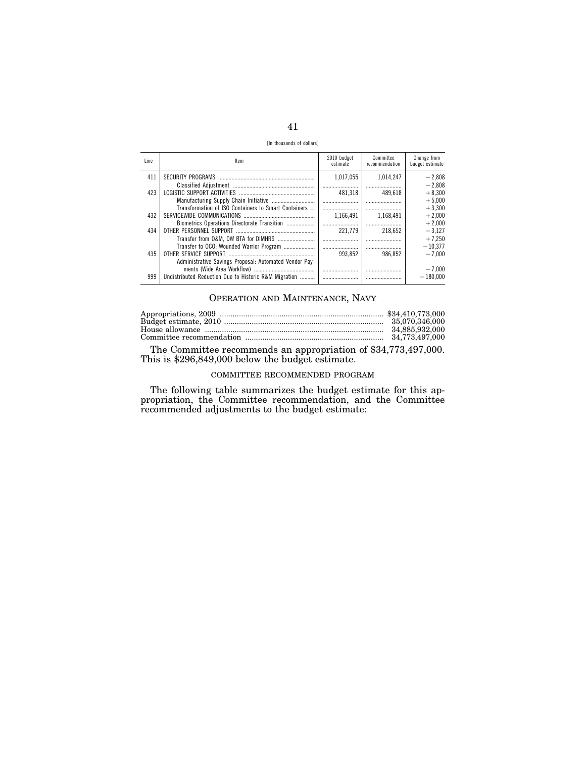[In thousands of dollars]

| Line. | ltem                                                   | 2010 budget<br>estimate | Committee<br>recommendation | Change from<br>budget estimate |
|-------|--------------------------------------------------------|-------------------------|-----------------------------|--------------------------------|
| 411   |                                                        | 1.017.055               | 1.014.247                   | $-2.808$                       |
| 423   |                                                        | 481,318                 | 489,618                     | $-2.808$<br>$+8.300$           |
|       |                                                        |                         |                             | $+5.000$                       |
|       | Transformation of ISO Containers to Smart Containers   |                         |                             | $+3,300$                       |
| 432   |                                                        | 1.166.491               | 1.168.491                   | $+2,000$                       |
|       | Biometrics Operations Directorate Transition           |                         |                             | $+2.000$                       |
| 434   |                                                        | 221.779                 | 218,652                     | $-3,127$                       |
|       |                                                        |                         |                             | $+7.250$                       |
|       | Transfer to OCO: Wounded Warrior Program               |                         |                             | $-10.377$                      |
| 435   | OTHER SERVICE SUPPORT                                  | 993.852                 | 986.852                     | $-7.000$                       |
|       | Administrative Savings Proposal: Automated Vendor Pav- |                         |                             |                                |
|       |                                                        |                         |                             | $-7.000$                       |
| 999   | Undistributed Reduction Due to Historic R&M Migration  |                         |                             | $-180.000$                     |

## OPERATION AND MAINTENANCE, NAVY

| 34.885.932.000 |
|----------------|
|                |

The Committee recommends an appropriation of \$34,773,497,000. This is \$296,849,000 below the budget estimate.

# COMMITTEE RECOMMENDED PROGRAM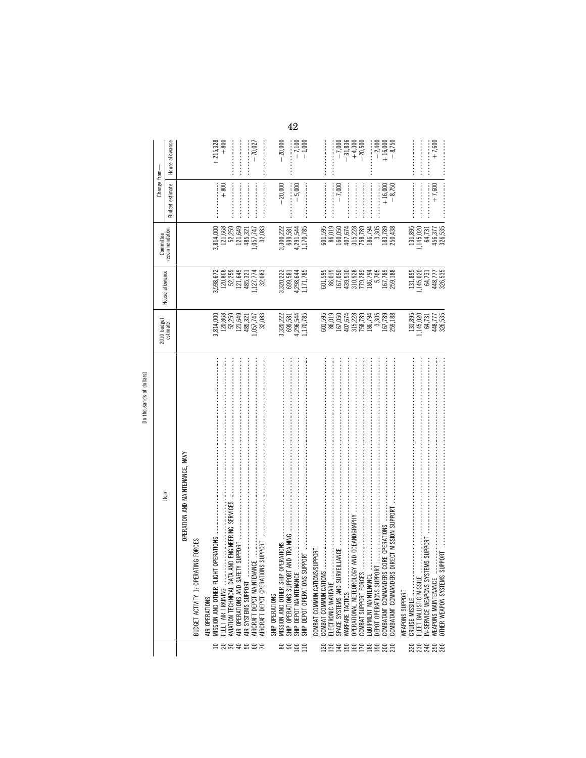|                   | In thousands of dollars]                                       |                                                                                                                                                                                        |                                                               |                                                                                                                        |                       |                                                |
|-------------------|----------------------------------------------------------------|----------------------------------------------------------------------------------------------------------------------------------------------------------------------------------------|---------------------------------------------------------------|------------------------------------------------------------------------------------------------------------------------|-----------------------|------------------------------------------------|
|                   | Item                                                           | 2010 budget<br>estimate                                                                                                                                                                | House allowance                                               | Committee                                                                                                              | Change from-          |                                                |
|                   |                                                                |                                                                                                                                                                                        |                                                               | ecommendation                                                                                                          | estimate<br>Budget e  | House allowance                                |
|                   | OPERATION AND MAINTENANCE, NAVY                                |                                                                                                                                                                                        |                                                               |                                                                                                                        |                       |                                                |
|                   | G FORCES<br>BUDGET ACTIVITY 1: OPERATI                         |                                                                                                                                                                                        |                                                               |                                                                                                                        |                       |                                                |
|                   | AIR OPERATIONS                                                 |                                                                                                                                                                                        |                                                               |                                                                                                                        |                       |                                                |
| $\Xi$             | MISSION AND OTHER FLIGHT                                       |                                                                                                                                                                                        |                                                               | 3,814,000<br>121,668<br>52,259                                                                                         |                       | $+215,328$<br>$+800$                           |
|                   | FLEET AIR TRAINING                                             |                                                                                                                                                                                        |                                                               |                                                                                                                        | $+800$                |                                                |
|                   | AVIATION TECHNICAL DATA AND ENGINEERING SERVICES               |                                                                                                                                                                                        |                                                               |                                                                                                                        |                       |                                                |
| <b>ARQRER</b>     | AIR SYSTEMS SUPPORT<br>AIR OPERATIONS AND SAFETY               | 3,814,000<br>120,868<br>52,259<br>121,649<br>485,321                                                                                                                                   | 3,598,672<br>120,868<br>52,259<br>52,259<br>485,321           | 121,649<br>485,321                                                                                                     |                       |                                                |
|                   | لينا<br>AIRCRAFT DEPOT MAINTENANC                              | ,057,747                                                                                                                                                                               | 1,127,774                                                     | ,057,747                                                                                                               |                       | 70,027                                         |
|                   | SUPPORT<br>AIRCRAFT DEPOT OPERATIONS                           | 32,083                                                                                                                                                                                 | 32,083                                                        | 32,083                                                                                                                 |                       |                                                |
|                   | SHIP OPERATIONS                                                |                                                                                                                                                                                        |                                                               |                                                                                                                        |                       |                                                |
|                   |                                                                |                                                                                                                                                                                        |                                                               |                                                                                                                        | $-20,000$             | 20,000                                         |
| ಹ ೫               |                                                                | $\begin{array}{c} 3,320,222 \\ 699,581 \\ 4,296,544 \\ 1,170,785 \end{array}$                                                                                                          | $3,320,222$<br>699,581<br>4,298,644<br>1,171,785              | 3,300,222<br>699,581                                                                                                   |                       |                                                |
| 100               | SHIP DEPOT MAINTENANCE                                         |                                                                                                                                                                                        |                                                               | 4,291,544<br>1,170,785                                                                                                 | $-5,000$              | $-7,100$<br>$-1,000$                           |
| 110               | SHIP DEPOT OPERATIONS SUPPORT                                  |                                                                                                                                                                                        |                                                               |                                                                                                                        |                       |                                                |
|                   | <b>JPPORT</b><br>COMBAT COMMUNICATIONS/SU                      |                                                                                                                                                                                        |                                                               |                                                                                                                        |                       |                                                |
| <b>20</b>         | COMBAT COMMUNICATIONS                                          |                                                                                                                                                                                        | 601,595                                                       |                                                                                                                        |                       |                                                |
| 130               | ELECTRONIC WARFARE                                             |                                                                                                                                                                                        |                                                               |                                                                                                                        |                       |                                                |
| 140               | SPACE SYSTEMS AND SURVEII                                      | $\begin{array}{r} 601,595 \\ 60.159 \\ 86,019 \\ 167,674 \\ 407,678 \\ 758,789 \\ 186,794 \\ 167,789 \\ 186,794 \\ 167,789 \\ 167,789 \\ 168,188 \\ 167,789 \\ 169,188 \\ \end{array}$ | 86,019<br>167,050<br>163,510<br>310,288<br>179,284<br>186,794 | $\begin{array}{r} 601,595 \\ 96,019 \\ 160,050 \\ 1407,678 \\ 315,228 \\ 758,789 \\ 186,794 \\ 186,794 \\ \end{array}$ | $-7,000$              | $-7,000$<br>$-31,836$<br>$-4,300$<br>$-20,500$ |
| 150<br>160        | AND OCEANOGRAPHY<br>OPERATIONAL METEOROLOGY<br>WARFARE TACTICS |                                                                                                                                                                                        |                                                               |                                                                                                                        |                       |                                                |
| 170               | COMBAT SUPPORT FORCES                                          |                                                                                                                                                                                        |                                                               |                                                                                                                        |                       |                                                |
| 180               |                                                                |                                                                                                                                                                                        |                                                               |                                                                                                                        |                       |                                                |
| 190               | DEPOT OPERATIONS SUPPORT                                       |                                                                                                                                                                                        | 5,705                                                         |                                                                                                                        |                       | $-2,400$<br>$+ 16,000$<br>$+ 8,750$            |
| $200$<br>$210$    | <b>JRE OPERATIONS</b><br>COMBATANT COMMANDERS CO               |                                                                                                                                                                                        |                                                               |                                                                                                                        |                       |                                                |
|                   | RECT MISSION SUPPORT<br>COMBATANT COMMANDERS DI                |                                                                                                                                                                                        | 167,789<br>259,188                                            | 183,789<br>250,438                                                                                                     | $+16,000$<br>$-8,750$ |                                                |
|                   | WEAPONS SUPPORT                                                |                                                                                                                                                                                        |                                                               |                                                                                                                        |                       |                                                |
| <b>220</b><br>230 |                                                                |                                                                                                                                                                                        | 131,895                                                       | 131,895                                                                                                                |                       |                                                |
| 240               | IS SUPPORT<br>N-SERVICE WEAPONS SYSTEM                         |                                                                                                                                                                                        |                                                               | 1,145,020                                                                                                              |                       |                                                |
| 250               | WEAPONS MAINTENANCE                                            |                                                                                                                                                                                        |                                                               | 64,731                                                                                                                 | $+7,600$              | $+7,600$                                       |
| 260               | <b>PORT</b><br>OTHER WEAPON SYSTEMS SUP                        | $\begin{array}{c} 131,895 \\ 1,145,020 \\ 64,731 \\ 448,777 \\ 448,535 \end{array}$                                                                                                    | 1, 145, 020<br>64, 731<br>448, 777<br>326, 535                | 456,377<br>326,535                                                                                                     |                       |                                                |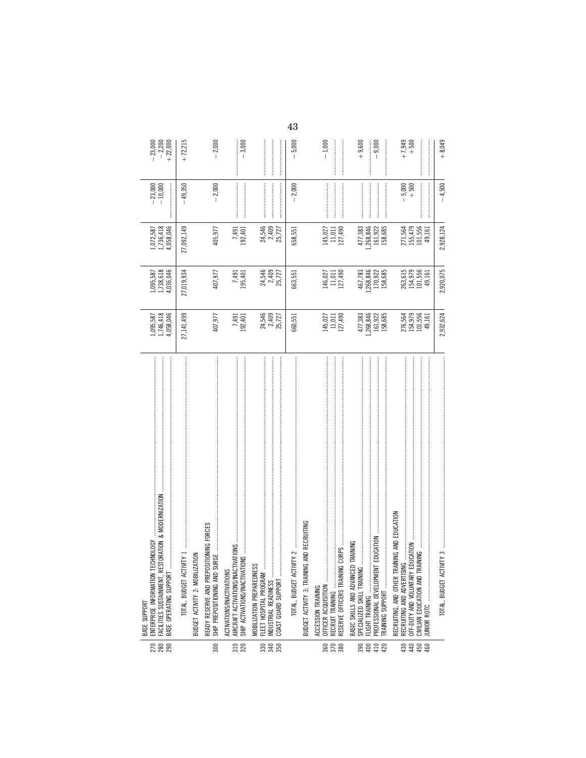| 278<br>280                                                | 医皮质 医皮质过程 医皮质皮质 医克耳氏反应法 医克耳氏反应法 使变得的过去式 使用的过去式和过去分词 医皮质性皮质 医皮质性皮质 使变得的过去式和过去分词 医皮质性皮炎 经过度的过去分词 医过去分词<br>FACILITIES SUSTAINMENT, RESTORATION & MODERNIZATION<br><b>TECHNOLOGY</b><br>BASE OPERATING SUPPORT<br>ENTERPRISE INFORMATION<br>BASE SUPPORT | 1,095,587<br>1,746,418<br>4,058,046         | 1,095,587<br>1,738,618<br>4,036,046       | 1,072,587<br>1,736,418<br>4,058,046        | $-23,000$<br>$-10,000$                                                                                                                                                                                                                                                                                                                                                                                                                                                                                                                      | $-23,000$<br>$-2,200$<br>$+22,000$ |
|-----------------------------------------------------------|------------------------------------------------------------------------------------------------------------------------------------------------------------------------------------------------------------------------------------------------------|---------------------------------------------|-------------------------------------------|--------------------------------------------|---------------------------------------------------------------------------------------------------------------------------------------------------------------------------------------------------------------------------------------------------------------------------------------------------------------------------------------------------------------------------------------------------------------------------------------------------------------------------------------------------------------------------------------------|------------------------------------|
|                                                           | TWITY 1<br>TOTAL, BUDGET ACT                                                                                                                                                                                                                         | 27,141,499                                  | 27,019,934                                | 27,092,149                                 | $-49,350$                                                                                                                                                                                                                                                                                                                                                                                                                                                                                                                                   | $+72,215$                          |
|                                                           | <b>IZATION</b><br>BUDGET ACTIVITY 2: MOBILI                                                                                                                                                                                                          |                                             |                                           |                                            |                                                                                                                                                                                                                                                                                                                                                                                                                                                                                                                                             |                                    |
| 300                                                       | ready reserve and prepositioning forces<br>Ship prepositioning and surge                                                                                                                                                                             | 407,977                                     | 407,977                                   | 405,977                                    | $-2,000$                                                                                                                                                                                                                                                                                                                                                                                                                                                                                                                                    | $-2,000$                           |
| 310<br>320                                                | $\sim$ 2MOIT<br>ACTIVATIONS/INACTIVATIONS<br>SHIP ACTIVATIONS/INACTIVAT                                                                                                                                                                              | 7,491<br>192,401                            | 7,491<br>195,401                          | 7,491<br>192,401                           |                                                                                                                                                                                                                                                                                                                                                                                                                                                                                                                                             | $-3,000$                           |
| <u>នី ខ្លួ</u>                                            | MOBILIZATION PREPAREDNESS<br>COAST GUARD SUPPORT<br>INDUSTRIAL READINESS<br>FLEET HOSPITAL PROGRAM                                                                                                                                                   | 24,546<br>2,409<br>25,727                   | 24,546<br>2,409<br>25,727                 | 24,546<br>2,409<br>25,727                  |                                                                                                                                                                                                                                                                                                                                                                                                                                                                                                                                             |                                    |
|                                                           | $\mathsf{IWHY}\ 2\ \ldots\ \ldots\ \ldots\ \ldots\ \ldots$<br>TOTAL, BUDGET ACT                                                                                                                                                                      | 660,551                                     | 663,551                                   | 658,551                                    | $-2,000$                                                                                                                                                                                                                                                                                                                                                                                                                                                                                                                                    | $-5,000$                           |
|                                                           | <b>VG AND RECRUITING</b><br>BUDGET ACTIVITY 3: TRAINI                                                                                                                                                                                                |                                             |                                           |                                            |                                                                                                                                                                                                                                                                                                                                                                                                                                                                                                                                             |                                    |
| $\begin{array}{c}\n 8 \\  8 \\  \hline\n 8\n \end{array}$ | IG CORPS<br>OFFICER ACQUISITION<br>RECRUIT TRAINING<br>RESERVE OFFICERS TRAININ<br>ACCESSION TRAINING                                                                                                                                                | 145,027<br>11,011<br>127,490                | $146,027$<br>$11,011$<br>$127,490$        | $145,027$<br>11,011<br>127,490             |                                                                                                                                                                                                                                                                                                                                                                                                                                                                                                                                             | $-1,000$                           |
| $410$<br>$420$<br>$400$<br>390                            | BASIC SKILLS AND ADVANCED TRAINING<br>SPECIALIZED SKILL TRAINING<br><b>TRAINING SUPPORT </b><br>PROFESSIONAL DEVELOPMEI<br>FLIGHT TRAINING                                                                                                           | 477,383<br>$.268,846$<br>161,922<br>158,685 | 467,783<br>.268,846<br>170,922<br>158,685 | 477,383<br>1,268,846<br>161,922<br>158,685 | $\label{def:1} \begin{minipage}{0.9\linewidth} \begin{minipage}{0.9\linewidth} \begin{minipage}{0.9\linewidth} \begin{minipage}{0.9\linewidth} \end{minipage} \begin{minipage}{0.9\linewidth} \begin{minipage}{0.9\linewidth} \end{minipage} \end{minipage} \begin{minipage}{0.9\linewidth} \begin{minipage}{0.9\linewidth} \begin{minipage}{0.9\linewidth} \end{minipage} \end{minipage} \begin{minipage}{0.9\linewidth} \begin{minipage}{0.9\linewidth} \end{minipage} \end{minipage} \begin{minipage}{0.9\linewidth} \begin{minipage}{0$ | $+9,600$<br>$-9,000$               |
| ####                                                      | RECRUITING, AND OTHER TRAINING AND EDUCATION<br>EDUCATION<br>NG<br>RECRUITING AND ADVERTISI<br>OFF-DUTY AND VOLUNTARY<br>UNIOR ROTC                                                                                                                  | 276,564<br>154,979<br>101,556<br>49,161     | 263,615<br>154,979<br>101,556<br>49,161   | 271,564<br>155,479<br>101,556<br>49,161    | $-5,000$<br>+ 500                                                                                                                                                                                                                                                                                                                                                                                                                                                                                                                           | $+7,949$<br>$+500$                 |
|                                                           | TOTAL, BUDGET ACTIVITY 3                                                                                                                                                                                                                             | 2,932,624                                   | 2,920,075                                 | 2,928,124                                  | $-4.500$                                                                                                                                                                                                                                                                                                                                                                                                                                                                                                                                    | $+8,049$                           |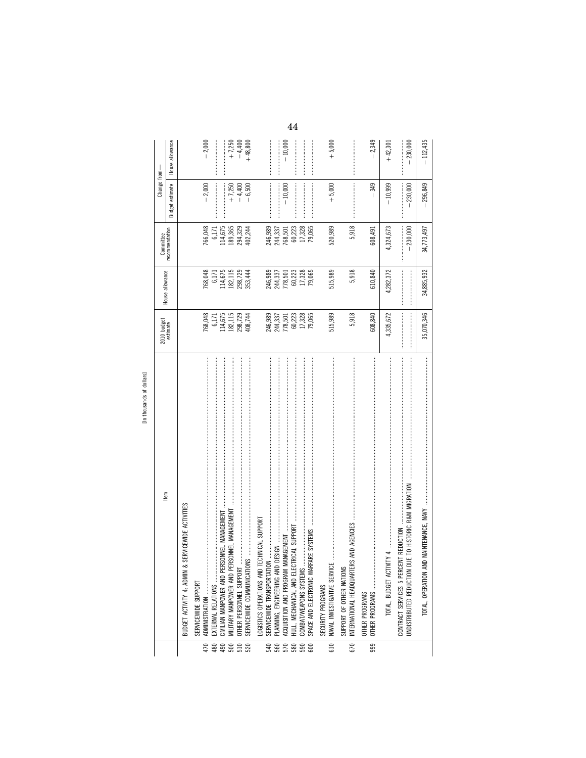| ŗο<br>5                      |
|------------------------------|
| 0<br>i<br>÷                  |
| ъ                            |
| s<br>ᇰ<br>Ξ<br>¢<br>$\sigma$ |
| h<br>E<br>3<br>Ē             |
| Ξ                            |

|                                                 |                                                                                                                                                                                                                                                                                                                                                                                                                                     |                                                                                                                                                                                                                                                                                                                                                                                            |                                                                                               |                             | Change from-         |                         |    |
|-------------------------------------------------|-------------------------------------------------------------------------------------------------------------------------------------------------------------------------------------------------------------------------------------------------------------------------------------------------------------------------------------------------------------------------------------------------------------------------------------|--------------------------------------------------------------------------------------------------------------------------------------------------------------------------------------------------------------------------------------------------------------------------------------------------------------------------------------------------------------------------------------------|-----------------------------------------------------------------------------------------------|-----------------------------|----------------------|-------------------------|----|
|                                                 | Item                                                                                                                                                                                                                                                                                                                                                                                                                                | 2010 budget<br>estimate                                                                                                                                                                                                                                                                                                                                                                    | House allowance                                                                               | Committee<br>recommendation | estimate<br>Budget   | House allowance         |    |
|                                                 | <b>RVICEWIDE ACTIVITIES</b><br>BUDGET ACTIVITY 4: ADMIN & SEF                                                                                                                                                                                                                                                                                                                                                                       |                                                                                                                                                                                                                                                                                                                                                                                            |                                                                                               |                             |                      |                         |    |
|                                                 | SERVICEWIDE SUPPORT                                                                                                                                                                                                                                                                                                                                                                                                                 |                                                                                                                                                                                                                                                                                                                                                                                            |                                                                                               |                             |                      |                         |    |
| 470<br>480                                      | EXTERNAL RELATIONS<br>ADMINISTRATION                                                                                                                                                                                                                                                                                                                                                                                                | 768,048<br>6,171                                                                                                                                                                                                                                                                                                                                                                           | 768,048<br>6,171                                                                              | 766,048<br>6,171            | $-2,000$             | $-2,000$                |    |
| 490                                             | CIVILIAN MANPOWER AND PERSONNEL MANAGEMENT                                                                                                                                                                                                                                                                                                                                                                                          | 114,675                                                                                                                                                                                                                                                                                                                                                                                    | 114,675                                                                                       | 114,675                     |                      |                         |    |
| $\begin{array}{c} 8 \\ 8 \\ 6 \\ 8 \end{array}$ | MILITARY MANPOWER AND PERSONNEL MANAGEMENT<br>OTHER PERSONNEL SUPPORT                                                                                                                                                                                                                                                                                                                                                               | $\begin{array}{c} 182,115 \\ 298,729 \\ 408,744 \end{array}$                                                                                                                                                                                                                                                                                                                               | 182,115<br>298,729                                                                            | 189,365                     | $+7,250$<br>$-4,400$ | $+7,250$<br>$-4,400$    |    |
|                                                 | SERVICEWIDE COMMUNICATIONS                                                                                                                                                                                                                                                                                                                                                                                                          |                                                                                                                                                                                                                                                                                                                                                                                            | 353,444                                                                                       | 294,329<br>402,244          | $-6,500$             | $+48,800$               |    |
|                                                 | .OGISTICS OPERATIONS AND TECHNICAL SUPPORT                                                                                                                                                                                                                                                                                                                                                                                          |                                                                                                                                                                                                                                                                                                                                                                                            |                                                                                               |                             |                      |                         |    |
|                                                 | SERVICEWIDE TRANSPORTATION                                                                                                                                                                                                                                                                                                                                                                                                          |                                                                                                                                                                                                                                                                                                                                                                                            |                                                                                               | 246,989<br>244,337          |                      |                         |    |
| 785888                                          | ACQUISITION AND PROGRAM MANAGEMENT                                                                                                                                                                                                                                                                                                                                                                                                  | 246,989<br>244,337<br>778,501<br>60,223<br>17,328<br>17,328                                                                                                                                                                                                                                                                                                                                | $\begin{array}{l} 246,989 \\ 244,337 \\ 718,501 \\ 10,223 \\ 11,328 \\ 12,306 \\ \end{array}$ | 768,501                     | $-10,000$            | 10,000                  |    |
|                                                 | AL SUPPORT<br>HULL, MECHANICAL AND ELECTRIC                                                                                                                                                                                                                                                                                                                                                                                         |                                                                                                                                                                                                                                                                                                                                                                                            |                                                                                               | 60,223                      |                      |                         | 44 |
|                                                 |                                                                                                                                                                                                                                                                                                                                                                                                                                     |                                                                                                                                                                                                                                                                                                                                                                                            |                                                                                               | 17,328                      |                      |                         |    |
|                                                 | SPACE AND ELECTRONIC WARFARE SYSTEMS                                                                                                                                                                                                                                                                                                                                                                                                |                                                                                                                                                                                                                                                                                                                                                                                            |                                                                                               | 79,065                      |                      |                         |    |
| 610                                             | NAVAL INVESTIGATIVE SERVICE<br>SECURITY PROGRAMS                                                                                                                                                                                                                                                                                                                                                                                    | 515,989                                                                                                                                                                                                                                                                                                                                                                                    | 515,989                                                                                       | 520,989                     | $+ 5,000$            | $+5,000$                |    |
| 670                                             | INTERNATIONAL HEADQUARTERS AND AGENCIES<br>SUPPORT OF OTHER NATIONS                                                                                                                                                                                                                                                                                                                                                                 | 5,918                                                                                                                                                                                                                                                                                                                                                                                      | 5,918                                                                                         | 5,918                       |                      |                         |    |
| 999                                             | OTHER PROGRAMS<br>OTHER PROGRAMS                                                                                                                                                                                                                                                                                                                                                                                                    | 608,840                                                                                                                                                                                                                                                                                                                                                                                    | 610,840                                                                                       | 608,491                     | 349                  | $-2,349$                |    |
|                                                 | j<br>4<br>TOTAL, BUDGET ACTIVITY                                                                                                                                                                                                                                                                                                                                                                                                    | 4,335,672                                                                                                                                                                                                                                                                                                                                                                                  | 4,282,372                                                                                     | 4,324,673                   | $-10,999$            | $+42,301$               |    |
|                                                 | $\begin{minipage}{0.9\linewidth} \textit{m} & \textit{m} & \textit{m} & \textit{m} & \textit{m} & \textit{m} & \textit{m} & \textit{m} & \textit{m} & \textit{m} & \textit{m} & \textit{m} & \textit{m} & \textit{m} & \textit{m} & \textit{m} & \textit{m} & \textit{m} & \textit{m} & \textit{m} & \textit{m} & \textit{m} & \textit{m} & \textit{m} & \textit{m} & \textit{m} & \textit{m} & \textit{m} & \textit{m} & \textit{$ |                                                                                                                                                                                                                                                                                                                                                                                            |                                                                                               |                             |                      |                         |    |
|                                                 | $\frac{1}{2}$<br>TO HISTORIC R&M MIGRATION<br>REDUCTION<br><b>JNDISTRIBUTED REDUCTION DUE</b><br>CONTRACT SERVICES 5 PERCENT                                                                                                                                                                                                                                                                                                        | $\begin{minipage}{0.9\linewidth} \begin{tabular}{ c c c } \hline $a$ & $a$ & $a$ & $a$ & $a$ \\ \hline $a$ & $a$ & $a$ & $a$ & $a$ \\ \hline $a$ & $a$ & $a$ & $a$ & $a$ \\ \hline $a$ & $a$ & $a$ & $a$ & $a$ \\ \hline $a$ & $a$ & $a$ & $a$ & $a$ \\ \hline $a$ & $a$ & $a$ & $a$ & $a$ \\ \hline $a$ & $a$ & $a$ & $a$ & $a$ \\ \hline $a$ & $a$ & $a$ & $a$ & $a$ \\ \hline $a$ & $a$ |                                                                                               | $-230,000$                  | $-230,000$           | 230,000                 |    |
|                                                 | TOTAL, OPERATION AND MAINTENANCE, NAVY                                                                                                                                                                                                                                                                                                                                                                                              | 35,070,346                                                                                                                                                                                                                                                                                                                                                                                 | 34,885,932                                                                                    | 34,773,497                  | 296,849              | 112,435<br>$\mathbf{I}$ |    |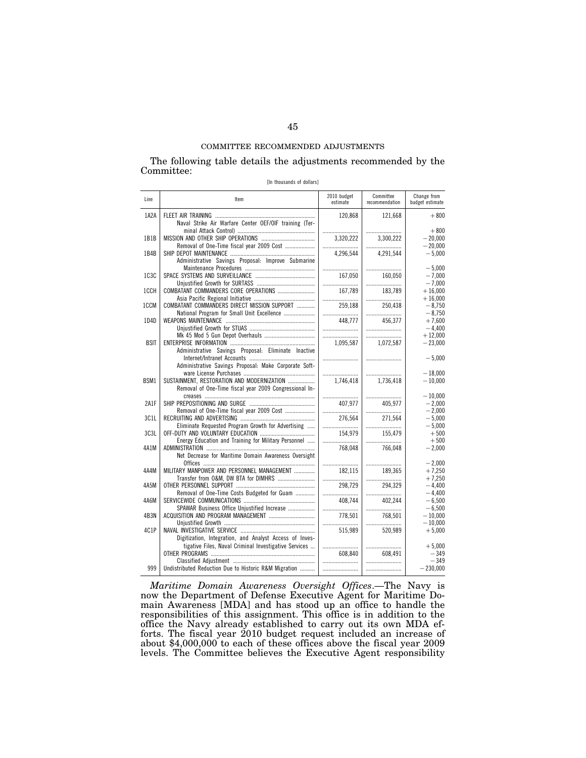The following table details the adjustments recommended by the Committee:

|  | [In thousands of dollars] |  |  |
|--|---------------------------|--|--|
|--|---------------------------|--|--|

| Line              | Item                                                    | 2010 budget<br>estimate | Committee<br>recommendation | Change from<br>budget estimate |
|-------------------|---------------------------------------------------------|-------------------------|-----------------------------|--------------------------------|
| 1A2A              |                                                         | 120.868                 | 121,668                     | $+800$                         |
|                   | Naval Strike Air Warfare Center OEF/OIF training (Ter-  |                         |                             |                                |
|                   |                                                         |                         |                             | $+800$                         |
| 1B1B              |                                                         | 3,320,222               | 3,300,222                   | $-20.000$                      |
|                   | Removal of One-Time fiscal year 2009 Cost               |                         |                             | $-20.000$                      |
| 1B4B              |                                                         | 4.296.544               | 4.291.544                   | $-5.000$                       |
|                   | Administrative Savings Proposal: Improve Submarine      |                         |                             |                                |
| 1C3C              |                                                         | <br>167.050             | 160.050                     | $-5.000$<br>$-7.000$           |
|                   |                                                         |                         |                             | $-7,000$                       |
| 1CCH              | COMBATANT COMMANDERS CORE OPERATIONS                    | 167,789                 | 183,789                     | $+16,000$                      |
|                   |                                                         |                         |                             | $+16.000$                      |
| 1CCM              | COMBATANT COMMANDERS DIRECT MISSION SUPPORT             | 259.188                 | 250.438                     | $-8.750$                       |
|                   | National Program for Small Unit Excellence              |                         |                             | $-8.750$                       |
| 1D4D              |                                                         | 448.777                 | 456,377                     | $+7,600$                       |
|                   |                                                         |                         |                             | $-4,400$                       |
|                   |                                                         |                         |                             | $+12.000$                      |
| <b>BSIT</b>       |                                                         | 1.095.587               | 1,072,587                   | $-23.000$                      |
|                   | Administrative Savings Proposal: Eliminate Inactive     |                         |                             |                                |
|                   | Administrative Savings Proposal: Make Corporate Soft-   |                         |                             | $-5,000$                       |
|                   |                                                         |                         |                             | $-18.000$                      |
| BSM1              | SUSTAINMENT. RESTORATION AND MODERNIZATION              | 1.746.418               | 1.736.418                   | $-10.000$                      |
|                   | Removal of One-Time fiscal year 2009 Congressional In-  |                         |                             |                                |
|                   |                                                         |                         |                             | $-10.000$                      |
| <b>2A1F</b>       |                                                         | 407.977                 | 405.977                     | $-2.000$                       |
|                   | Removal of One-Time fiscal year 2009 Cost               |                         |                             | $-2,000$                       |
| 3C <sub>1</sub> L |                                                         | 276,564                 | 271,564                     | $-5,000$                       |
|                   | Eliminate Requested Program Growth for Advertising      |                         |                             | $-5.000$                       |
| 3C3L              |                                                         | 154,979                 | 155.479                     | $+500$                         |
|                   | Energy Education and Training for Military Personnel    |                         |                             | $+500$                         |
| 4A1M              | Net Decrease for Maritime Domain Awareness Oversight    | 768,048                 | 766,048                     | $-2,000$                       |
|                   |                                                         |                         |                             | $-2.000$                       |
| 4A4M              | MILITARY MANPOWER AND PERSONNEL MANAGEMENT              | 182.115                 | 189.365                     | $+7.250$                       |
|                   | Transfer from O&M, DW BTA for DIMHRS                    |                         |                             | $+7.250$                       |
| 4A5M              |                                                         | 298.729                 | 294,329                     | $-4.400$                       |
|                   | Removal of One-Time Costs Budgeted for Guam             |                         |                             | $-4.400$                       |
| 4A6M              |                                                         | 408.744                 | 402.244                     | $-6.500$                       |
|                   | SPAWAR Business Office Unjustified Increase             |                         |                             | $-6,500$                       |
| 4B3N              | ACQUISITION AND PROGRAM MANAGEMENT                      | 778.501                 | 768.501                     | $-10.000$                      |
|                   |                                                         |                         |                             | $-10.000$                      |
| 4C1P              |                                                         | 515.989                 | 520.989                     | $+5,000$                       |
|                   | Digitization, Integration, and Analyst Access of Inves- |                         |                             |                                |
|                   | tigative Files, Naval Criminal Investigative Services   | <br>608,840             | <br>608.491                 | $+5,000$<br>$-349$             |
|                   |                                                         |                         |                             | $-349$                         |
| 999               | Undistributed Reduction Due to Historic R&M Migration   |                         |                             | $-230,000$                     |
|                   |                                                         |                         |                             |                                |

*Maritime Domain Awareness Oversight Offices*.—The Navy is now the Department of Defense Executive Agent for Maritime Domain Awareness [MDA] and has stood up an office to handle the responsibilities of this assignment. This office is in addition to the office the Navy already established to carry out its own MDA efforts. The fiscal year 2010 budget request included an increase of about \$4,000,000 to each of these offices above the fiscal year 2009 levels. The Committee believes the Executive Agent responsibility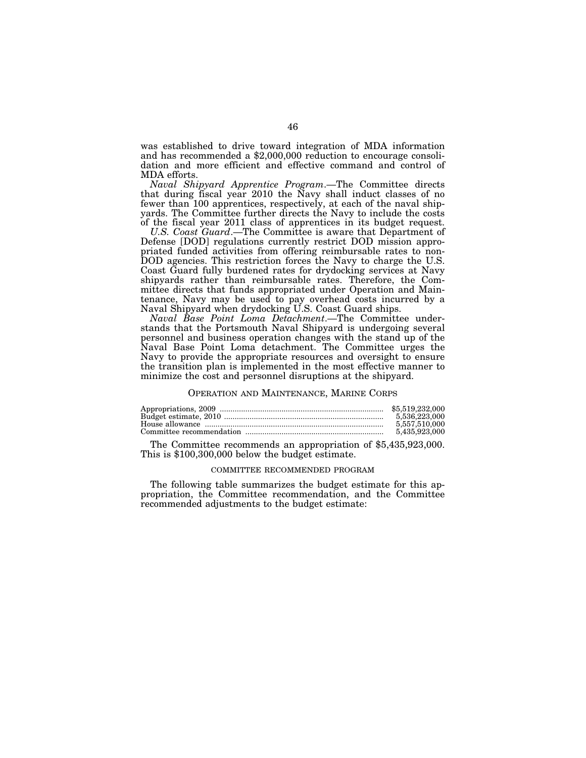was established to drive toward integration of MDA information and has recommended a \$2,000,000 reduction to encourage consolidation and more efficient and effective command and control of MDA efforts.

*Naval Shipyard Apprentice Program*.—The Committee directs that during fiscal year 2010 the Navy shall induct classes of no fewer than 100 apprentices, respectively, at each of the naval shipyards. The Committee further directs the Navy to include the costs of the fiscal year 2011 class of apprentices in its budget request.

*U.S. Coast Guard*.—The Committee is aware that Department of Defense [DOD] regulations currently restrict DOD mission appropriated funded activities from offering reimbursable rates to non-DOD agencies. This restriction forces the Navy to charge the U.S. Coast Guard fully burdened rates for drydocking services at Navy shipyards rather than reimbursable rates. Therefore, the Committee directs that funds appropriated under Operation and Maintenance, Navy may be used to pay overhead costs incurred by a Naval Shipyard when drydocking U.S. Coast Guard ships.

*Naval Base Point Loma Detachment*.—The Committee understands that the Portsmouth Naval Shipyard is undergoing several personnel and business operation changes with the stand up of the Naval Base Point Loma detachment. The Committee urges the Navy to provide the appropriate resources and oversight to ensure the transition plan is implemented in the most effective manner to minimize the cost and personnel disruptions at the shipyard.

#### OPERATION AND MAINTENANCE, MARINE CORPS

| 5.536.223.000 |
|---------------|
| 5.557.510.000 |
| 5.435.923.000 |

The Committee recommends an appropriation of \$5,435,923,000. This is \$100,300,000 below the budget estimate.

#### COMMITTEE RECOMMENDED PROGRAM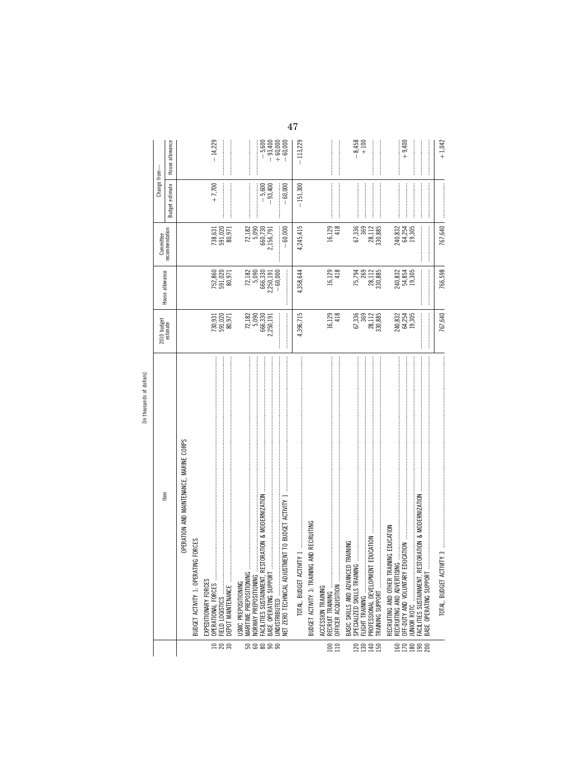|                  |                                                                                                                                                                                                                                                                                                                                                                                                                                                                                                                                                    | 2010 budget                                                            |                                                         | Committee                          | Change from-                                                                                                                                                                                                                                                                                                                                                                                                                                                                                                                                                                                                                              |                                                 |
|------------------|----------------------------------------------------------------------------------------------------------------------------------------------------------------------------------------------------------------------------------------------------------------------------------------------------------------------------------------------------------------------------------------------------------------------------------------------------------------------------------------------------------------------------------------------------|------------------------------------------------------------------------|---------------------------------------------------------|------------------------------------|-------------------------------------------------------------------------------------------------------------------------------------------------------------------------------------------------------------------------------------------------------------------------------------------------------------------------------------------------------------------------------------------------------------------------------------------------------------------------------------------------------------------------------------------------------------------------------------------------------------------------------------------|-------------------------------------------------|
|                  | ltem                                                                                                                                                                                                                                                                                                                                                                                                                                                                                                                                               | estimate                                                               | House allowance                                         | recommendation                     | Budget estimate                                                                                                                                                                                                                                                                                                                                                                                                                                                                                                                                                                                                                           | allowance<br>House                              |
|                  | OPERATION AND MAINTENANCE, MARINE CORPS                                                                                                                                                                                                                                                                                                                                                                                                                                                                                                            |                                                                        |                                                         |                                    |                                                                                                                                                                                                                                                                                                                                                                                                                                                                                                                                                                                                                                           |                                                 |
|                  | IG FORCES<br>BUDGET ACTIVITY 1: OPERATIN                                                                                                                                                                                                                                                                                                                                                                                                                                                                                                           |                                                                        |                                                         |                                    |                                                                                                                                                                                                                                                                                                                                                                                                                                                                                                                                                                                                                                           |                                                 |
|                  | OPERATIONAL FORCES<br>EXPEDITIONARY FORCES                                                                                                                                                                                                                                                                                                                                                                                                                                                                                                         |                                                                        |                                                         |                                    |                                                                                                                                                                                                                                                                                                                                                                                                                                                                                                                                                                                                                                           | $-14.229$                                       |
| 288              |                                                                                                                                                                                                                                                                                                                                                                                                                                                                                                                                                    | $\begin{array}{c} 730, 931 \\ 591, 020 \\ 80, 971 \end{array}$         | 752,860<br>591,020<br>80,971                            | $738,631$<br>$591,020$<br>$80,971$ | $+7,700$                                                                                                                                                                                                                                                                                                                                                                                                                                                                                                                                                                                                                                  |                                                 |
|                  | DEPOT MAINTENANCE                                                                                                                                                                                                                                                                                                                                                                                                                                                                                                                                  |                                                                        |                                                         |                                    |                                                                                                                                                                                                                                                                                                                                                                                                                                                                                                                                                                                                                                           |                                                 |
|                  | MARITIME PREPOSITIONING<br>USMC PREPOSITIONING                                                                                                                                                                                                                                                                                                                                                                                                                                                                                                     |                                                                        |                                                         |                                    |                                                                                                                                                                                                                                                                                                                                                                                                                                                                                                                                                                                                                                           |                                                 |
|                  | NORWAY PREPOSITIONING                                                                                                                                                                                                                                                                                                                                                                                                                                                                                                                              |                                                                        | $72,182$<br>$5,090$<br>$666,330$                        |                                    |                                                                                                                                                                                                                                                                                                                                                                                                                                                                                                                                                                                                                                           |                                                 |
|                  | TORATION & MODERNIZATION<br>FACILITIES SUSTAINMENT, RES<br>BASE OPERATING SUPPORT                                                                                                                                                                                                                                                                                                                                                                                                                                                                  | $\begin{array}{r} 72,182 \\ 5,090 \\ 666,330 \\ 2,250,191 \end{array}$ | 2,250,191                                               | $72,1825,090660,7302,156,791$      | $-5,600$<br>$-93,400$                                                                                                                                                                                                                                                                                                                                                                                                                                                                                                                                                                                                                     | $-5,600$<br>$-93,400$<br>$+60,000$<br>$+60,000$ |
|                  | UNDISTRIBUTED                                                                                                                                                                                                                                                                                                                                                                                                                                                                                                                                      |                                                                        | $-60,000$                                               |                                    |                                                                                                                                                                                                                                                                                                                                                                                                                                                                                                                                                                                                                                           |                                                 |
|                  | <b>AENT TO BUDGET ACTIVITY 1</b><br>NET ZERO TECHNICAL ADJUSTI                                                                                                                                                                                                                                                                                                                                                                                                                                                                                     |                                                                        |                                                         | $-60,000$                          | $-60,000$                                                                                                                                                                                                                                                                                                                                                                                                                                                                                                                                                                                                                                 |                                                 |
|                  | TOTAL, BUDGET ACTIVITY 1                                                                                                                                                                                                                                                                                                                                                                                                                                                                                                                           | 4,396,715                                                              | 4,358,644                                               | 4,245,415                          | $-151,300$                                                                                                                                                                                                                                                                                                                                                                                                                                                                                                                                                                                                                                | $-113,229$                                      |
|                  | AND RECRUITING<br>BUDGET ACTIVITY 3: TRAINING                                                                                                                                                                                                                                                                                                                                                                                                                                                                                                      |                                                                        |                                                         |                                    |                                                                                                                                                                                                                                                                                                                                                                                                                                                                                                                                                                                                                                           |                                                 |
|                  | ACCESSION TRAINING                                                                                                                                                                                                                                                                                                                                                                                                                                                                                                                                 |                                                                        |                                                         |                                    |                                                                                                                                                                                                                                                                                                                                                                                                                                                                                                                                                                                                                                           |                                                 |
| 110<br>100       | OFFICER ACQUISITION<br>RECRUIT TRAINING                                                                                                                                                                                                                                                                                                                                                                                                                                                                                                            | 16,129<br>418                                                          | 16,129<br>418                                           | 16,129<br>418                      |                                                                                                                                                                                                                                                                                                                                                                                                                                                                                                                                                                                                                                           |                                                 |
|                  | TRAINING<br>BASIC SKILLS AND ADVANCED                                                                                                                                                                                                                                                                                                                                                                                                                                                                                                              |                                                                        |                                                         |                                    |                                                                                                                                                                                                                                                                                                                                                                                                                                                                                                                                                                                                                                           |                                                 |
|                  | SPECIALIZED SKILLS TRAINING<br>FLIGHT TRAINING                                                                                                                                                                                                                                                                                                                                                                                                                                                                                                     | 67,336<br>369                                                          | 75,794                                                  | 67,336<br>369                      |                                                                                                                                                                                                                                                                                                                                                                                                                                                                                                                                                                                                                                           | $-8,458$<br>+ 100                               |
| <b>Zzzz</b>      | EDUCATION<br>PROFESSIONAL DEVELOPMENT                                                                                                                                                                                                                                                                                                                                                                                                                                                                                                              | 28,112<br>330,885                                                      | $\begin{array}{c} 269 \\ 28,112 \\ 330,885 \end{array}$ | 28,112<br>330,885                  |                                                                                                                                                                                                                                                                                                                                                                                                                                                                                                                                                                                                                                           |                                                 |
|                  | TRAINING SUPPORT                                                                                                                                                                                                                                                                                                                                                                                                                                                                                                                                   |                                                                        |                                                         |                                    |                                                                                                                                                                                                                                                                                                                                                                                                                                                                                                                                                                                                                                           |                                                 |
|                  | VING EDUCATION<br>RECRUITING AND ADVERTISING<br>RECRUITING AND OTHER TRAI                                                                                                                                                                                                                                                                                                                                                                                                                                                                          |                                                                        |                                                         |                                    |                                                                                                                                                                                                                                                                                                                                                                                                                                                                                                                                                                                                                                           |                                                 |
| <b>BRB</b>       | OFF-DUTY AND VOLUNTARY ED                                                                                                                                                                                                                                                                                                                                                                                                                                                                                                                          | 240,832<br>64,254<br>19,305                                            | 240,832<br>54,854<br>19,305                             | 240,832<br>64,254                  |                                                                                                                                                                                                                                                                                                                                                                                                                                                                                                                                                                                                                                           | $+9,400$                                        |
| $\frac{50}{200}$ | TORATION & MODERNIZATION<br>FACILITIES SUSTAINMENT, RES'                                                                                                                                                                                                                                                                                                                                                                                                                                                                                           | <br> <br> <br>                                                         |                                                         | 19,305                             |                                                                                                                                                                                                                                                                                                                                                                                                                                                                                                                                                                                                                                           |                                                 |
|                  | BASE OPERATING SUPPORT                                                                                                                                                                                                                                                                                                                                                                                                                                                                                                                             |                                                                        |                                                         |                                    |                                                                                                                                                                                                                                                                                                                                                                                                                                                                                                                                                                                                                                           |                                                 |
|                  | $\label{def:1} \begin{minipage}{0.9\textwidth} \begin{minipage}{0.9\textwidth} \begin{itemize} \textbf{0.9\textwidth} \begin{itemize} \textbf{0.9\textwidth} \begin{itemize} \textbf{0.9\textwidth} \begin{itemize} \textbf{0.9\textwidth} \begin{itemize} \textbf{0.9\textwidth} \begin{itemize} \textbf{0.9\textwidth} \begin{itemize} \textbf{0.9\textwidth} \begin{itemize} \textbf{0.9\textwidth} \begin{itemize} \textbf{0.9\textwidth} \begin{itemize} \textbf{0.9\textwidth} \begin{itemize} \textbf{0.9\text$<br>TOTAL, BUDGET ACTIVITY 3 | 767,640                                                                | 766,598                                                 | 767,640                            | $\begin{minipage}{0.9\linewidth} \includegraphics[width=0.9\linewidth]{10.9\linewidth} \includegraphics[width=0.9\linewidth]{10.9\linewidth} \includegraphics[width=0.9\linewidth]{10.9\linewidth} \includegraphics[width=0.9\linewidth]{10.9\linewidth} \includegraphics[width=0.9\linewidth]{10.9\linewidth} \includegraphics[width=0.9\linewidth]{10.9\linewidth} \includegraphics[width=0.9\linewidth]{10.9\linewidth} \includegraphics[width=0.9\linewidth]{10.9\linewidth} \includegraphics[width=0.9\linewidth]{10.9\linewidth} \includegraphics[width=0.9\linewidth]{10.9\linewidth} \includegraphics[width=0.9\linewidth]{10.9\$ | $+1,042$                                        |

 $\frac{47}{318}$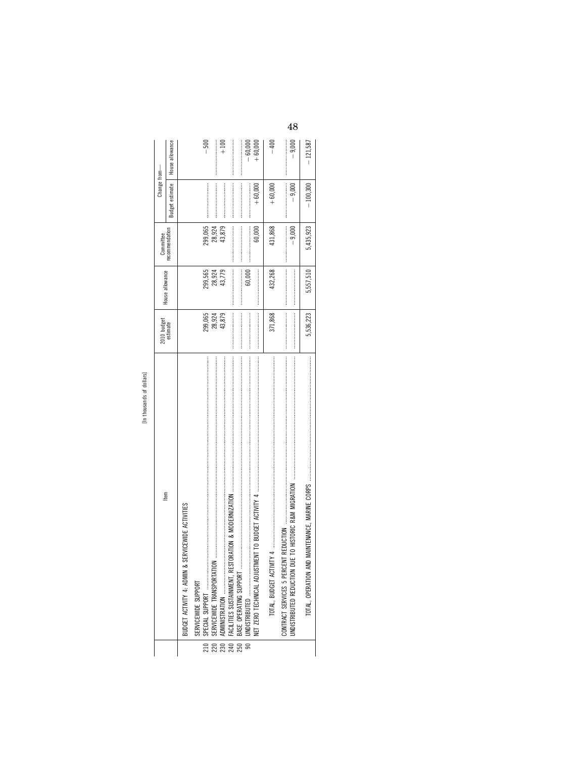| n        |
|----------|
|          |
|          |
| 흥        |
| ᠇        |
| ā        |
|          |
| S        |
| ᇰ        |
| Ě<br>x   |
| $\sigma$ |
| S<br>Ę   |
| Ξ        |
| J        |
|          |
| 들        |
|          |
|          |
|          |
|          |

|     | [In thousands of dollars]                         |                                                                                                                                                                                                                                                                                                                                                                                                                                         |                 |                                                                                                                                                                                                                                                                                                                                                                                                                                           |                 |                 |
|-----|---------------------------------------------------|-----------------------------------------------------------------------------------------------------------------------------------------------------------------------------------------------------------------------------------------------------------------------------------------------------------------------------------------------------------------------------------------------------------------------------------------|-----------------|-------------------------------------------------------------------------------------------------------------------------------------------------------------------------------------------------------------------------------------------------------------------------------------------------------------------------------------------------------------------------------------------------------------------------------------------|-----------------|-----------------|
|     | ltem                                              | 2010 budget<br>estimate                                                                                                                                                                                                                                                                                                                                                                                                                 | House allowance | Committee                                                                                                                                                                                                                                                                                                                                                                                                                                 | Change from-    |                 |
|     |                                                   |                                                                                                                                                                                                                                                                                                                                                                                                                                         |                 | recommendation                                                                                                                                                                                                                                                                                                                                                                                                                            | Budget estimate | House allowance |
|     | BUDGET ACTIVITY 4: ADMIN & SERVICEWIDE ACTIVITIES |                                                                                                                                                                                                                                                                                                                                                                                                                                         |                 |                                                                                                                                                                                                                                                                                                                                                                                                                                           |                 |                 |
|     | SERVICEWIDE SUPPORT                               |                                                                                                                                                                                                                                                                                                                                                                                                                                         |                 |                                                                                                                                                                                                                                                                                                                                                                                                                                           |                 |                 |
| 210 | SPECIAL SUPPORT                                   | 299,065                                                                                                                                                                                                                                                                                                                                                                                                                                 | 299,565         | 299,065                                                                                                                                                                                                                                                                                                                                                                                                                                   |                 | $-500$          |
|     |                                                   | 28,924                                                                                                                                                                                                                                                                                                                                                                                                                                  | 28,924          | 28,924                                                                                                                                                                                                                                                                                                                                                                                                                                    |                 |                 |
| 230 |                                                   | 43,879                                                                                                                                                                                                                                                                                                                                                                                                                                  | 43,779          | 43,879                                                                                                                                                                                                                                                                                                                                                                                                                                    |                 | $+100$          |
|     |                                                   |                                                                                                                                                                                                                                                                                                                                                                                                                                         |                 | $\label{def:1} \begin{aligned} \text{Tr}(\mathbf{u}^{\text{in}}(\mathbf{u}^{\text{in}}),\mathbf{u}^{\text{in}}(\mathbf{u}^{\text{in}}),\mathbf{u}^{\text{in}}(\mathbf{u}^{\text{in}}),\mathbf{u}^{\text{in}}(\mathbf{u}^{\text{in}}),\mathbf{u}^{\text{in}}(\mathbf{u}^{\text{in}}),\mathbf{u}^{\text{in}}(\mathbf{u}^{\text{in}}),\mathbf{u}^{\text{in}}(\mathbf{u}^{\text{in}}),\mathbf{u}^{\text{in}}(\mathbf{u}^{\text{in}}),\mathbf$ |                 |                 |
| 250 | BASE OPERATING SUPPORT                            |                                                                                                                                                                                                                                                                                                                                                                                                                                         |                 |                                                                                                                                                                                                                                                                                                                                                                                                                                           |                 |                 |
|     | UNDISTRIBUTED<br>$\frac{1}{90}$                   |                                                                                                                                                                                                                                                                                                                                                                                                                                         | 60,000          |                                                                                                                                                                                                                                                                                                                                                                                                                                           |                 | $-60,000$       |
|     |                                                   | $\begin{minipage}{0.9\linewidth} \begin{tabular}{l} \hline \textbf{1} & \textbf{1} & \textbf{1} & \textbf{1} & \textbf{1} & \textbf{1} & \textbf{1} & \textbf{1} & \textbf{1} & \textbf{1} & \textbf{1} & \textbf{1} & \textbf{1} & \textbf{1} & \textbf{1} & \textbf{1} & \textbf{1} & \textbf{1} & \textbf{1} & \textbf{1} & \textbf{1} & \textbf{1} & \textbf{1} & \textbf{1} & \textbf{1} & \textbf{1} & \textbf{1} & \textbf{1} &$ |                 | 60,000                                                                                                                                                                                                                                                                                                                                                                                                                                    | $+60,000$       | $+60,000$       |
|     |                                                   | 371,868                                                                                                                                                                                                                                                                                                                                                                                                                                 | 432,268         | 431,868                                                                                                                                                                                                                                                                                                                                                                                                                                   | $+60,000$       | $-400$          |
|     | JNDISTRIBUTED REDUCTION                           | $\begin{minipage}{0.9\linewidth} \begin{tabular}{l} \hline \textbf{1} & \textbf{1} & \textbf{1} & \textbf{1} & \textbf{1} & \textbf{1} & \textbf{1} & \textbf{1} & \textbf{1} & \textbf{1} & \textbf{1} & \textbf{1} & \textbf{1} & \textbf{1} & \textbf{1} & \textbf{1} & \textbf{1} & \textbf{1} & \textbf{1} & \textbf{1} & \textbf{1} & \textbf{1} & \textbf{1} & \textbf{1} & \textbf{1} & \textbf{1} & \textbf{1} & \textbf{1} &$ |                 | $-9,000$                                                                                                                                                                                                                                                                                                                                                                                                                                  | $-9,000$        | $-9,000$        |
|     | TOTAL, OPERATION                                  | 5,536,223                                                                                                                                                                                                                                                                                                                                                                                                                               | 5,557,510       | 5,435,923                                                                                                                                                                                                                                                                                                                                                                                                                                 | $-100,300$      | $-121,587$      |
|     |                                                   |                                                                                                                                                                                                                                                                                                                                                                                                                                         |                 |                                                                                                                                                                                                                                                                                                                                                                                                                                           |                 |                 |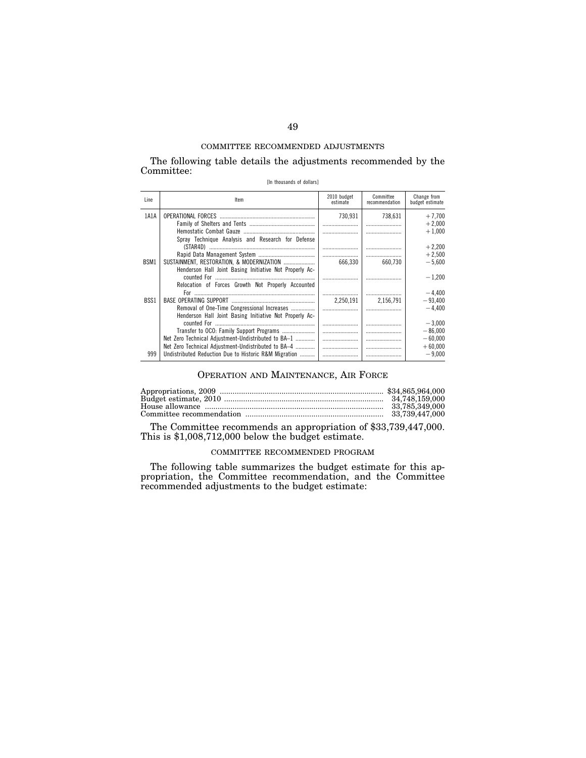The following table details the adjustments recommended by the Committee:

[In thousands of dollars]

| Line | Item                                                    | 2010 budget<br>estimate | Committee<br>recommendation | Change from<br>budget estimate |
|------|---------------------------------------------------------|-------------------------|-----------------------------|--------------------------------|
| 1A1A |                                                         | 730.931                 | 738.631                     | $+7.700$                       |
|      |                                                         |                         |                             | $+2,000$                       |
|      |                                                         |                         |                             | $+1,000$                       |
|      | Spray Technique Analysis and Research for Defense       |                         |                             |                                |
|      |                                                         |                         |                             | $+2.200$                       |
|      |                                                         |                         |                             | $+2,500$                       |
| BSM1 | SUSTAINMENT, RESTORATION, & MODERNIZATION               | 666.330                 | 660.730                     | $-5.600$                       |
|      | Henderson Hall Joint Basing Initiative Not Properly Ac- |                         |                             |                                |
|      |                                                         |                         |                             | $-1.200$                       |
|      | Relocation of Forces Growth Not Properly Accounted      |                         |                             |                                |
|      |                                                         |                         |                             |                                |
|      |                                                         |                         |                             | $-4,400$                       |
| BSS1 |                                                         | 2.250.191               | 2.156.791                   | $-93.400$                      |
|      | Removal of One-Time Congressional Increases             |                         |                             | $-4.400$                       |
|      | Henderson Hall Joint Basing Initiative Not Properly Ac- |                         |                             |                                |
|      |                                                         |                         |                             | $-3.000$                       |
|      | Transfer to OCO: Family Support Programs                |                         |                             | $-86,000$                      |
|      | Net Zero Technical Adjustment-Undistributed to BA-1     |                         |                             | $-60,000$                      |
|      | Net Zero Technical Adjustment-Undistributed to BA-4     |                         |                             | $+60,000$                      |
| 999  | Undistributed Reduction Due to Historic R&M Migration   |                         |                             | $-9.000$                       |
|      |                                                         |                         |                             |                                |

## OPERATION AND MAINTENANCE, AIR FORCE

The Committee recommends an appropriation of \$33,739,447,000. This is \$1,008,712,000 below the budget estimate.

## COMMITTEE RECOMMENDED PROGRAM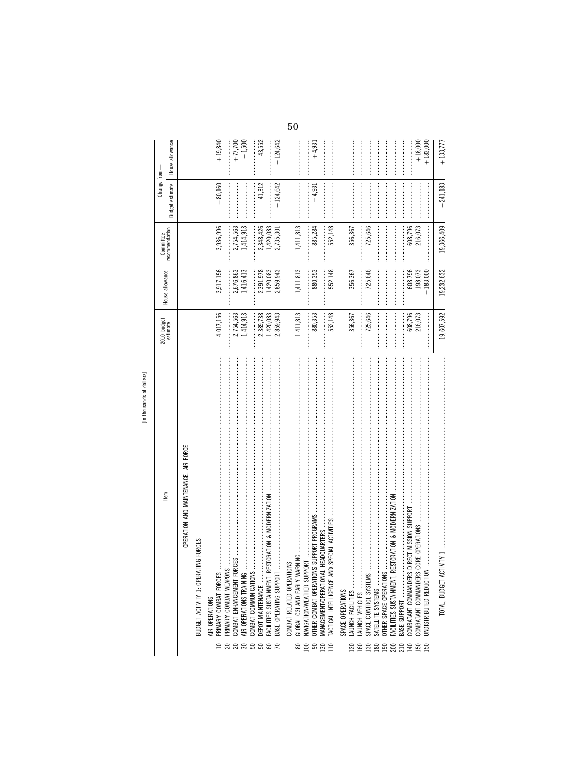|                                           |                                                               |                                     |                                     |                                                                              | Change from-    |                 |
|-------------------------------------------|---------------------------------------------------------------|-------------------------------------|-------------------------------------|------------------------------------------------------------------------------|-----------------|-----------------|
|                                           | Item                                                          | 2010 budget<br>estimate             | House allowance                     | Committee<br>recommendation                                                  | Budget estimate | House allowance |
|                                           | OPERATION AND MAINTENANCE, AIR FORCE                          |                                     |                                     |                                                                              |                 |                 |
|                                           | BUDGET ACTIVITY 1: OPERATING FORCES                           |                                     |                                     |                                                                              |                 |                 |
|                                           | AIR OPERATIONS                                                |                                     |                                     |                                                                              |                 |                 |
| <b>ERREBBR</b>                            | PRIMARY COMBAT FORCES                                         | 4,017,156                           | 3,917,156                           | 3,936,996                                                                    | $-80,160$       | $+19,840$       |
|                                           | COMBAT ENHANCEMENT FORC<br>PRIMARY COMBAT WEAPONS             |                                     | 2,676,863                           | 2,754,563                                                                    |                 | $+ 77,700$      |
|                                           | AIR OPERATIONS TRAINING                                       | 1,414,913<br>2,754,563              | 1,416,413                           | 1,414,913                                                                    |                 | $-1,500$        |
|                                           | COMBAT COMMUNICATIONS.                                        |                                     |                                     |                                                                              |                 |                 |
|                                           | EPOT MAINTENANCE                                              |                                     |                                     |                                                                              | $-41,312$       | $-43,552$       |
|                                           | STORATION & MODERNIZATION<br><b>ACILITIES SUSTAINMENT, RE</b> |                                     |                                     |                                                                              |                 |                 |
|                                           | BASE OPERATING SUPPORT                                        | 2,389,738<br>1,420,083<br>2,859,943 | 2,391,978<br>1,420,083<br>2,859,943 | $\begin{array}{c} \text{}\\ 2,348,426 \\ 1,420,083 \\ 2,735,301 \end{array}$ | $-124,642$      | $-124,642$      |
|                                           | $\sim$<br>COMBAT RELATED OPERATION                            |                                     |                                     |                                                                              |                 |                 |
| 100<br>$\pmb{\otimes}$                    |                                                               | 1,411,813                           | 1,411,813                           | 1,411,813                                                                    |                 |                 |
| $\mathbb{S}$                              | OTHER COMBAT OPERATIONS                                       | 880,353                             | 880,353                             | 885,284                                                                      | $+4,931$        | $+4,931$        |
| $\begin{array}{c} 130 \\ 110 \end{array}$ | <b>MANAGEMENT/OPERATIONAL</b>                                 | 552,148                             |                                     |                                                                              |                 |                 |
|                                           | SPECIAL ACTIVITIES<br>ACTICAL INTELLIGENCE AND                |                                     | 552,148                             | 552,148                                                                      |                 |                 |
|                                           | SPACE OPERATIONS                                              |                                     |                                     |                                                                              |                 |                 |
| <b>DZ1</b>                                | AUNCH FACILITIES                                              | 356,367                             | 356,367                             | 356,367                                                                      |                 |                 |
|                                           | SPACE CONTROL SYSTEMS<br>AUNCH VEHICLES                       | 725,646                             | 725,646                             | 725,646                                                                      |                 |                 |
|                                           | SATELLITE SYSTEMS                                             |                                     |                                     |                                                                              |                 |                 |
|                                           | DTHER SPACE OPERATIONS                                        |                                     |                                     |                                                                              |                 |                 |
|                                           | STORATION & MODERNIZATION<br>FACILITIES SUSTAINMENT, RES      |                                     |                                     |                                                                              |                 |                 |
|                                           | COMBATANT COMMANDERS DIRECT MISSION SUPPORT                   | 608,796                             | 608,796                             | 608,796                                                                      |                 |                 |
| essessesses                               |                                                               | 216,073                             | 198,073                             | 216,073                                                                      |                 | $+18,000$       |
|                                           | <b>INDISTRIBUTED REDUCTION</b>                                |                                     | 183,000                             |                                                                              |                 | $+183,000$      |
|                                           | TOTAL BILDGET ACTIVITY                                        | 19 607 592                          | 10 232 632                          | 19366409                                                                     | 241183          | $+133.777$      |

 $50\,$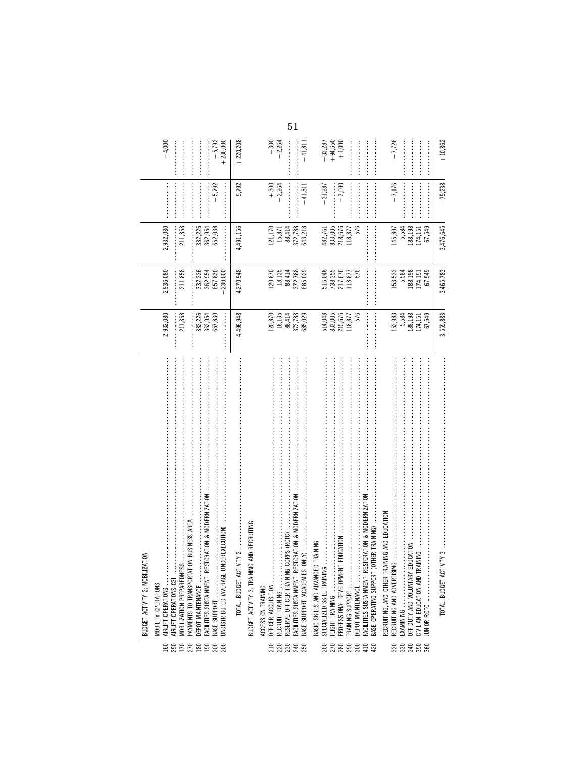|                    | BUDGET ACTIVITY 2: MOBILIZATION                     |                                                                                    |                                                                                  |                                                   |                    |                                    |
|--------------------|-----------------------------------------------------|------------------------------------------------------------------------------------|----------------------------------------------------------------------------------|---------------------------------------------------|--------------------|------------------------------------|
|                    | MOBILITY OPERATIONS                                 |                                                                                    |                                                                                  |                                                   |                    |                                    |
| 250<br>160         | AIRLIFT OPERATIONS C31<br>AIRLIFT OPERATIONS        | 2,932,080                                                                          | 2,936,080                                                                        | 2,932,080                                         |                    | $-4,000$                           |
|                    |                                                     | 211,858                                                                            | 211,858                                                                          |                                                   |                    |                                    |
| $170$<br>$270$     | MOBILIZATION PREPAREDNESS                           |                                                                                    |                                                                                  | 211,858                                           |                    |                                    |
|                    |                                                     |                                                                                    |                                                                                  |                                                   |                    |                                    |
|                    | DEPOT MAINTENANCE                                   |                                                                                    |                                                                                  | 332,226                                           |                    |                                    |
| $\frac{80}{190}$   | FACILITIES SUSTAINMENT, RESTORATION & MODERNIZATION | 332,226<br>362,954<br>657,830                                                      | 332, 226<br>362, 954<br>657, 830                                                 | 362,954<br>652,038                                |                    |                                    |
| 200                |                                                     |                                                                                    |                                                                                  |                                                   | $-5,792$           | $-5,792$                           |
|                    |                                                     | <br> <br>                                                                          | 230,000                                                                          | —<br>:<br>:                                       |                    | $+230,000$                         |
|                    |                                                     |                                                                                    |                                                                                  |                                                   |                    |                                    |
|                    | TOTAL, BUDGET ACT                                   | 4,496,948                                                                          | 4,270,948                                                                        | 4,491,156                                         | $-5,792$           | $+220,208$                         |
|                    | IG AND RECRUITING<br>BUDGET ACTIVITY 3: TRAININ     |                                                                                    |                                                                                  |                                                   |                    |                                    |
|                    |                                                     |                                                                                    |                                                                                  |                                                   |                    |                                    |
|                    | ACCESSION TRAINING                                  |                                                                                    |                                                                                  |                                                   |                    |                                    |
| 210                | OFFICER ACQUISITION                                 |                                                                                    |                                                                                  |                                                   |                    |                                    |
|                    | RECRUIT TRAINING                                    |                                                                                    |                                                                                  |                                                   | $+300$<br>$-2,264$ | $+300$<br>$-2,264$                 |
|                    | CORPS (ROTC)<br>RESERVE OFFICER TRAINING            |                                                                                    |                                                                                  |                                                   |                    |                                    |
| 28888              |                                                     |                                                                                    |                                                                                  |                                                   |                    |                                    |
|                    | FACILITIES SUSTAINMENT, RESTORATION & MODERNIZATION |                                                                                    |                                                                                  |                                                   |                    |                                    |
|                    | $OMLY)$<br>BASE SUPPORT (ACADEMIES                  | $\begin{array}{c} 120,870 \\ 18,135 \\ 18,414 \\ 88,72,788 \\ 505,029 \end{array}$ | $\begin{array}{c} 120,870 \\ 18,135 \\ 88,414 \\ 872,788 \\ 685,029 \end{array}$ | 121,170<br>15,871<br>88,414<br>372,788<br>643,218 | $-41,811$          | $-41,811$                          |
|                    | BASIC SKILLS AND ADVANCED TRAINING                  |                                                                                    |                                                                                  |                                                   |                    |                                    |
|                    |                                                     |                                                                                    |                                                                                  |                                                   |                    |                                    |
|                    | SPECIALIZED SKILL TRAINING                          | 514,048<br>833,005<br>215,676<br>118,877<br>118,877                                | 516,048<br>738,355<br>217,676<br>118,877<br>118,877                              | 482,761<br>833,005<br>218,676                     | $-31,287$          | $-33,287$<br>$+94,650$<br>$+1,000$ |
|                    | FLIGHT TRAINING                                     |                                                                                    |                                                                                  |                                                   |                    |                                    |
|                    | <b>T EDUCATION</b><br>PROFESSIONAL DEVELOPMEN       |                                                                                    |                                                                                  |                                                   | $+3,000$           |                                    |
|                    |                                                     |                                                                                    |                                                                                  | 118,877                                           |                    |                                    |
|                    | DEPOT MAINTENANCE                                   |                                                                                    |                                                                                  | 576                                               |                    |                                    |
|                    |                                                     |                                                                                    |                                                                                  |                                                   |                    |                                    |
| ន្ត្រីន្តន្ត្តីដូន | BASE OPERATING SUPPORT (OTHER TRAINING)             |                                                                                    |                                                                                  |                                                   |                    |                                    |
|                    |                                                     |                                                                                    |                                                                                  |                                                   |                    |                                    |
|                    | RECRUITING, AND OTHER TRAINING AND EDUCATION        |                                                                                    |                                                                                  |                                                   |                    |                                    |
|                    | RECRUITING AND ADVERTISING                          |                                                                                    |                                                                                  | 145,807                                           | $-7,176$           | $-7,726$                           |
|                    |                                                     |                                                                                    |                                                                                  |                                                   |                    |                                    |
|                    | OFF DUTY AND VOLUNTARY EDUCATION                    | 152,983<br>5,584<br>188,151<br>174,151                                             |                                                                                  | 5,584<br>188,198                                  |                    |                                    |
|                    | CIVILIAN EDUCATION AND TRAINING                     |                                                                                    |                                                                                  | 174,151                                           |                    |                                    |
| ន្លន្លទទួន         | IUNIOR ROTC                                         | 67,549                                                                             | 153,533<br>5,584<br>174,151<br>174,549                                           | 67,549                                            |                    |                                    |
|                    |                                                     |                                                                                    |                                                                                  |                                                   |                    |                                    |
|                    | TOTAL, BUDGET ACTIVITY 3                            | 3,555,883                                                                          | 3,465,783                                                                        | 3,476,645                                         | $-79,238$          | $+10,862$                          |

 $51\,$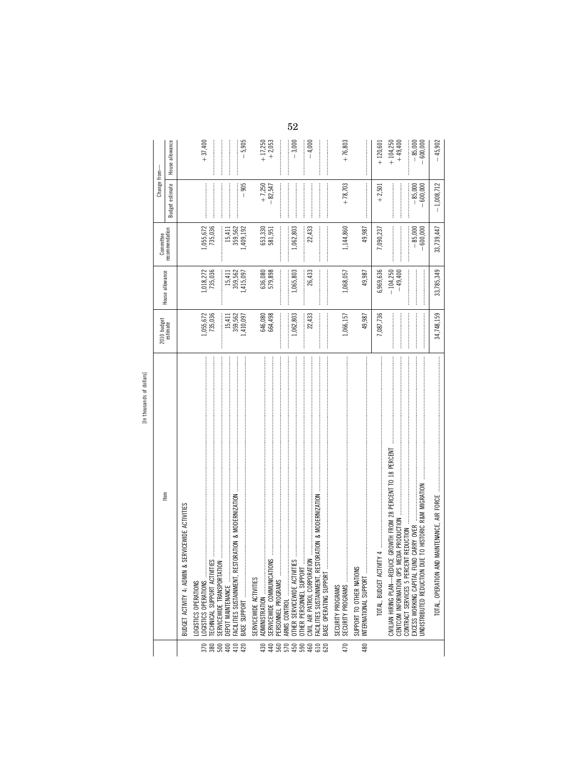| ್<br>dollars |  |
|--------------|--|
|              |  |
| ち            |  |
| ands         |  |
|              |  |
|              |  |
|              |  |
| thous.<br>Ξ  |  |

|                                                                                       | 2010 budget<br>estimate                                                                                                                                                                                                                                                                                                                                                                                                                                                                                                                        |                                                                                                                                                                                                                                                                                                                                                                                                                                                                                                                                             | Committee             | Change from-          |                       |
|---------------------------------------------------------------------------------------|------------------------------------------------------------------------------------------------------------------------------------------------------------------------------------------------------------------------------------------------------------------------------------------------------------------------------------------------------------------------------------------------------------------------------------------------------------------------------------------------------------------------------------------------|---------------------------------------------------------------------------------------------------------------------------------------------------------------------------------------------------------------------------------------------------------------------------------------------------------------------------------------------------------------------------------------------------------------------------------------------------------------------------------------------------------------------------------------------|-----------------------|-----------------------|-----------------------|
| Item                                                                                  |                                                                                                                                                                                                                                                                                                                                                                                                                                                                                                                                                | House allowance                                                                                                                                                                                                                                                                                                                                                                                                                                                                                                                             | recommendation        | Budget estimate       | House allowance       |
| & SERVICEWIDE ACTIVITIES<br><b>BUDGET ACTIVITY 4: ADMIN</b>                           |                                                                                                                                                                                                                                                                                                                                                                                                                                                                                                                                                |                                                                                                                                                                                                                                                                                                                                                                                                                                                                                                                                             |                       |                       |                       |
| .OGISTICS OPERATIONS<br>LOGISTICS OPERATIONS                                          |                                                                                                                                                                                                                                                                                                                                                                                                                                                                                                                                                |                                                                                                                                                                                                                                                                                                                                                                                                                                                                                                                                             |                       |                       | $+37,400$             |
| <br>TIES<br>ECHNICAL SUPPORT ACTIVI                                                   | 1,055,672<br>735,036                                                                                                                                                                                                                                                                                                                                                                                                                                                                                                                           | 1,018,272<br>735,036                                                                                                                                                                                                                                                                                                                                                                                                                                                                                                                        | 1,055,672<br>735,036  |                       |                       |
| SERVICEWIDE TRANSPORTAT<br>DEPOT MAINTENANCE                                          | 15,411                                                                                                                                                                                                                                                                                                                                                                                                                                                                                                                                         | 15,411                                                                                                                                                                                                                                                                                                                                                                                                                                                                                                                                      | :<br>:<br>:<br>15,411 |                       |                       |
| ESTORATION & MODERNIZATION<br>FACILITIES SUSTAINMENT, RI                              | 359,562                                                                                                                                                                                                                                                                                                                                                                                                                                                                                                                                        |                                                                                                                                                                                                                                                                                                                                                                                                                                                                                                                                             | 359,562               |                       |                       |
| BASE SUPPORT                                                                          | 1,410,097                                                                                                                                                                                                                                                                                                                                                                                                                                                                                                                                      | 359,562<br>1,415,097                                                                                                                                                                                                                                                                                                                                                                                                                                                                                                                        | 1,409,192             | $-905$                | $-5,905$              |
| SERVICEWIDE ACTIVITIES                                                                |                                                                                                                                                                                                                                                                                                                                                                                                                                                                                                                                                |                                                                                                                                                                                                                                                                                                                                                                                                                                                                                                                                             |                       |                       |                       |
| <b>CMO</b><br>SERVICEWIDE COMMUNICAT<br>ADMINISTRATION                                | 646,080<br>664,498                                                                                                                                                                                                                                                                                                                                                                                                                                                                                                                             | 636,080<br>579,898                                                                                                                                                                                                                                                                                                                                                                                                                                                                                                                          | 653,330<br>581,951    | $+7,250$<br>$-82,547$ | $+17,250$<br>$+2,053$ |
| PERSONNEL PROGRAMS                                                                    |                                                                                                                                                                                                                                                                                                                                                                                                                                                                                                                                                | <br> <br> <br>                                                                                                                                                                                                                                                                                                                                                                                                                                                                                                                              |                       |                       |                       |
| ARMS CONTROL                                                                          |                                                                                                                                                                                                                                                                                                                                                                                                                                                                                                                                                |                                                                                                                                                                                                                                                                                                                                                                                                                                                                                                                                             |                       |                       |                       |
|                                                                                       | 1,062,803                                                                                                                                                                                                                                                                                                                                                                                                                                                                                                                                      | 1,065,803                                                                                                                                                                                                                                                                                                                                                                                                                                                                                                                                   | 1,062,803             |                       | $-3,000$              |
| OTHER PERSONNEL SUPPOR                                                                |                                                                                                                                                                                                                                                                                                                                                                                                                                                                                                                                                |                                                                                                                                                                                                                                                                                                                                                                                                                                                                                                                                             |                       |                       |                       |
| ESTORATION & MODERNIZATION<br>CIVIL AIR PATROL CORPORAT<br>FACILITIES SUSTAINMENT, RI | 22,433                                                                                                                                                                                                                                                                                                                                                                                                                                                                                                                                         | 26,433                                                                                                                                                                                                                                                                                                                                                                                                                                                                                                                                      | 22,433                |                       | $-4,000$              |
| BASE OPERATING SUPPOR<br>68888                                                        | $\label{def:1} \centering \begin{minipage}{0.9\linewidth} \begin{minipage}{0.9\linewidth} \begin{minipage}{0.9\linewidth} \end{minipage} \begin{minipage}{0.9\linewidth} \begin{minipage}{0.9\linewidth} \end{minipage} \begin{minipage}{0.9\linewidth} \end{minipage} \begin{minipage}{0.9\linewidth} \begin{minipage}{0.9\linewidth} \end{minipage} \begin{minipage}{0.9\linewidth} \end{minipage} \begin{minipage}{0.9\linewidth} \end{minipage} \begin{minipage}{0.9\linewidth} \end{minipage} \begin{minipage}{0.9\linewidth} \end{minip$ | $\label{def:1} \begin{minipage}{0.9\linewidth} \begin{minipage}{0.9\linewidth} \begin{minipage}{0.9\linewidth} \begin{minipage}{0.9\linewidth} \end{minipage} \begin{minipage}{0.9\linewidth} \begin{minipage}{0.9\linewidth} \end{minipage} \end{minipage} \begin{minipage}{0.9\linewidth} \begin{minipage}{0.9\linewidth} \begin{minipage}{0.9\linewidth} \end{minipage} \end{minipage} \begin{minipage}{0.9\linewidth} \begin{minipage}{0.9\linewidth} \end{minipage} \end{minipage} \begin{minipage}{0.9\linewidth} \begin{minipage}{0$ |                       |                       |                       |
| SECURITY PROGRAMS                                                                     |                                                                                                                                                                                                                                                                                                                                                                                                                                                                                                                                                |                                                                                                                                                                                                                                                                                                                                                                                                                                                                                                                                             |                       |                       |                       |
| 470                                                                                   | 1,066,157                                                                                                                                                                                                                                                                                                                                                                                                                                                                                                                                      | 1,068,057                                                                                                                                                                                                                                                                                                                                                                                                                                                                                                                                   | 1,144,860             | $+78,703$             | $+76,803$             |
| SUPPORT TO OTHER NATIONS<br>INTERNATIONAL SUPPORT<br>480                              | 49,987                                                                                                                                                                                                                                                                                                                                                                                                                                                                                                                                         | 49,987                                                                                                                                                                                                                                                                                                                                                                                                                                                                                                                                      | 49,987                |                       |                       |
| TOTAL, BUDGET ACT                                                                     | 7,087,736                                                                                                                                                                                                                                                                                                                                                                                                                                                                                                                                      | 6,969,636                                                                                                                                                                                                                                                                                                                                                                                                                                                                                                                                   | 7,090,237             | $+2,501$              | $+120,601$            |
| CIVILIAN HIRING PLAN—REDUCE GROWTH FROM 28 PERCENT TO 18 PERCENT                      |                                                                                                                                                                                                                                                                                                                                                                                                                                                                                                                                                | $-104,250$                                                                                                                                                                                                                                                                                                                                                                                                                                                                                                                                  |                       |                       | $+104,250$            |
| CENTCOM INFORMATION OPS                                                               |                                                                                                                                                                                                                                                                                                                                                                                                                                                                                                                                                | $-49,400$                                                                                                                                                                                                                                                                                                                                                                                                                                                                                                                                   |                       |                       | $+49,400$             |
| EXCESS WORKING CAPITAL FUND CARRY OVER                                                |                                                                                                                                                                                                                                                                                                                                                                                                                                                                                                                                                |                                                                                                                                                                                                                                                                                                                                                                                                                                                                                                                                             | $-85,000$             | $-85,000$             | $-85,000$             |
| DUE TO HISTORIC R&M MIGRATION<br><b>INDISTRIBUTED REDUCTION</b>                       |                                                                                                                                                                                                                                                                                                                                                                                                                                                                                                                                                |                                                                                                                                                                                                                                                                                                                                                                                                                                                                                                                                             | $-600,000$            | $-600,000$            | $-600,000$            |
| AND MAINTENANCE, AIR FORCE<br>TOTAL, OPERATION                                        | 34,748,159                                                                                                                                                                                                                                                                                                                                                                                                                                                                                                                                     | 33,785,349                                                                                                                                                                                                                                                                                                                                                                                                                                                                                                                                  | 33,739,447            | $-1,008,712$          | $-45,902$             |

 $52\,$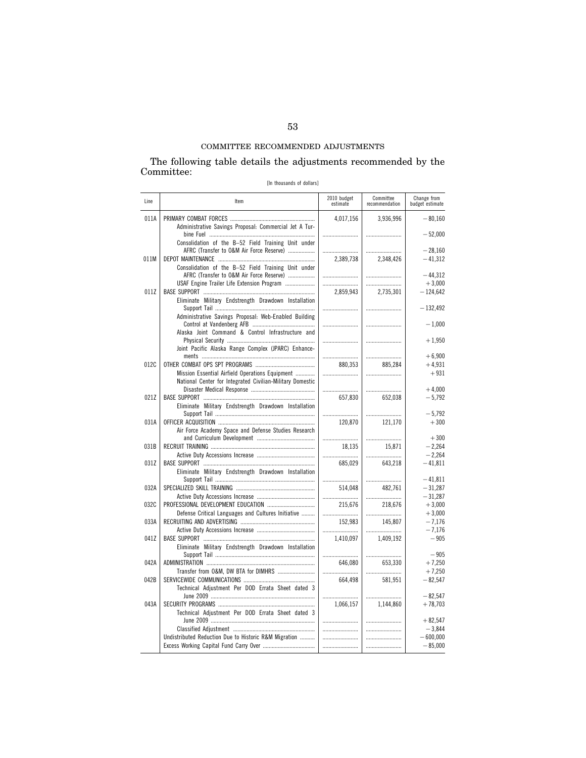## The following table details the adjustments recommended by the Committee:

[In thousands of dollars]

| Line | Item                                                                                            | 2010 budget<br>estimate | Committee<br>recommendation | Change from<br>budget estimate |
|------|-------------------------------------------------------------------------------------------------|-------------------------|-----------------------------|--------------------------------|
| 011A | Administrative Savings Proposal: Commercial Jet A Tur-                                          | 4.017.156               | 3.936.996                   | $-80.160$                      |
|      | Consolidation of the B-52 Field Training Unit under                                             |                         |                             | $-52,000$                      |
|      | AFRC (Transfer to O&M Air Force Reserve)                                                        |                         |                             | $-28.160$                      |
| 011M |                                                                                                 | 2,389,738               | 2,348,426                   | $-41,312$                      |
|      | Consolidation of the B-52 Field Training Unit under<br>AFRC (Transfer to O&M Air Force Reserve) |                         |                             | $-44.312$                      |
|      | USAF Engine Trailer Life Extension Program                                                      |                         |                             | $+3,000$                       |
| 011Z | Eliminate Military Endstrength Drawdown Installation                                            | 2,859,943               | 2,735,301                   | $-124,642$                     |
|      | Administrative Savings Proposal: Web-Enabled Building                                           |                         |                             | $-132,492$<br>$-1,000$         |
|      | Alaska Joint Command & Control Infrastructure and                                               |                         |                             |                                |
|      | Joint Pacific Alaska Range Complex (JPARC) Enhance-                                             |                         |                             | $+1,950$                       |
|      |                                                                                                 |                         |                             | $+6,900$                       |
| 012C |                                                                                                 | 880,353                 | 885,284                     | $+4,931$                       |
|      | Mission Essential Airfield Operations Equipment                                                 |                         |                             | $+931$                         |
|      | National Center for Integrated Civilian-Military Domestic                                       |                         |                             |                                |
|      |                                                                                                 |                         |                             | $+4,000$                       |
| 021Z | Eliminate Military Endstrength Drawdown Installation                                            | 657,830                 | 652.038                     | $-5,792$                       |
|      |                                                                                                 |                         |                             | $-5,792$                       |
| 031A |                                                                                                 | 120,870                 | 121,170                     | $+300$                         |
|      | Air Force Academy Space and Defense Studies Research                                            |                         |                             | $+300$                         |
| 031B |                                                                                                 | 18,135                  | 15,871                      | $-2,264$                       |
|      |                                                                                                 |                         |                             | $-2,264$                       |
| 031Z |                                                                                                 | 685.029                 | 643.218                     | $-41.811$                      |
|      | Eliminate Military Endstrength Drawdown Installation                                            |                         |                             | $-41,811$                      |
| 032A |                                                                                                 | 514,048                 | 482,761                     | $-31,287$                      |
|      |                                                                                                 |                         |                             | $-31.287$                      |
| 032C | PROFESSIONAL DEVELOPMENT EDUCATION                                                              | 215,676                 | 218,676                     | $+3,000$                       |
|      | Defense Critical Languages and Cultures Initiative                                              |                         |                             | $+3.000$                       |
| 033A |                                                                                                 | 152,983                 | 145,807                     | $-7,176$<br>$-7,176$           |
| 041Z |                                                                                                 | <br>1,410,097           | 1,409,192                   | $-905$                         |
|      | Eliminate Military Endstrength Drawdown Installation                                            |                         |                             |                                |
| 042A |                                                                                                 | 646,080                 | <br>653,330                 | $-905$<br>$+7,250$             |
|      |                                                                                                 |                         |                             | $+7,250$                       |
| 042B |                                                                                                 | 664.498                 | 581,951                     | $-82,547$                      |
|      | Technical Adjustment Per DOD Errata Sheet dated 3                                               |                         |                             | $-82,547$                      |
| 043A |                                                                                                 | <br>1,066,157           | 1.144.860                   | $+78,703$                      |
|      | Technical Adjustment Per DOD Errata Sheet dated 3                                               |                         |                             |                                |
|      |                                                                                                 |                         |                             | $+82,547$                      |
|      |                                                                                                 |                         |                             | $-3,844$                       |
|      | Undistributed Reduction Due to Historic R&M Migration                                           |                         |                             | $-600,000$                     |
|      |                                                                                                 |                         |                             | $-85,000$                      |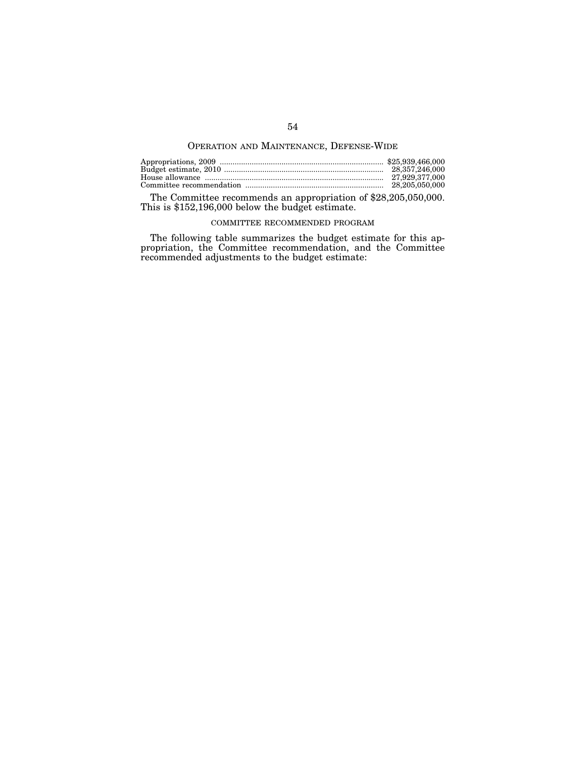# OPERATION AND MAINTENANCE, DEFENSE-WIDE

| 28.357.246.000 |
|----------------|
|                |
| 28.205.050.000 |

The Committee recommends an appropriation of \$28,205,050,000. This is \$152,196,000 below the budget estimate.

## COMMITTEE RECOMMENDED PROGRAM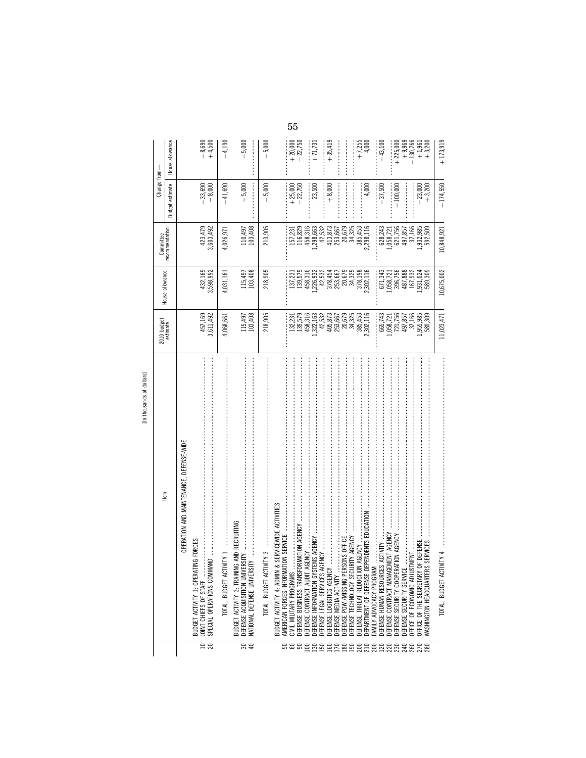|                                     | ltem                                                                                                                                                                                                                                                    | 2010 budget<br>estimate                                               | House allowance                                                                                                                                                | Committee                       | Change from-                    |                        |
|-------------------------------------|---------------------------------------------------------------------------------------------------------------------------------------------------------------------------------------------------------------------------------------------------------|-----------------------------------------------------------------------|----------------------------------------------------------------------------------------------------------------------------------------------------------------|---------------------------------|---------------------------------|------------------------|
|                                     |                                                                                                                                                                                                                                                         |                                                                       |                                                                                                                                                                | recommendation                  | estimate<br>Budget <sub>f</sub> | House allowance        |
|                                     | OPERATION AND MAINTENANCE, DEFENSE-WIDE                                                                                                                                                                                                                 |                                                                       |                                                                                                                                                                |                                 |                                 |                        |
|                                     | ING FORCES<br>BUDGET ACTIVITY 1: OPERAT                                                                                                                                                                                                                 |                                                                       |                                                                                                                                                                |                                 |                                 |                        |
| $\frac{10}{20}$                     | JOINT CHIEFS OF STAFF                                                                                                                                                                                                                                   | 457,169<br>3,611,492                                                  | 432, 169<br>3, 598, 992                                                                                                                                        | 423,479<br>3,603,492            | $-33,690$<br>$-8,000$           | $-8,690$<br>+4,500     |
|                                     | SPECIAL OPERATIONS COMMAND                                                                                                                                                                                                                              |                                                                       |                                                                                                                                                                |                                 |                                 |                        |
|                                     | $\mathsf{WIN}1$ , and a consequence of the consequence of the consequence of the consequence of $\mathsf{WIN}$<br>TOTAL, BUDGET ACT                                                                                                                     | 4,068,661                                                             | 4,031,161                                                                                                                                                      | 4,026,971                       | $-41,690$                       | $-4,190$               |
|                                     | IG AND RECRUITING<br>BUDGET ACTIVITY 3: TRAININ                                                                                                                                                                                                         |                                                                       |                                                                                                                                                                |                                 |                                 |                        |
| 30 <sub>5</sub>                     |                                                                                                                                                                                                                                                         | 115,497<br>103,408                                                    | 115,497<br>103,408                                                                                                                                             | 110,497<br>103,408              | $-5,000$                        | $-5,000$               |
|                                     |                                                                                                                                                                                                                                                         |                                                                       |                                                                                                                                                                |                                 |                                 |                        |
|                                     | TOTAL, BUDGET ACT                                                                                                                                                                                                                                       | 218,905                                                               | 218,905                                                                                                                                                        | 213,905                         | $-5,000$                        | $-5,000$               |
|                                     | & SERVICEWIDE ACTIVITIES<br><b>BUDGET ACTIVITY 4: ADMIN</b>                                                                                                                                                                                             |                                                                       |                                                                                                                                                                |                                 |                                 |                        |
|                                     |                                                                                                                                                                                                                                                         |                                                                       |                                                                                                                                                                |                                 |                                 |                        |
|                                     | CIVIL MILITARY PROGRAMS                                                                                                                                                                                                                                 | 132,231                                                               |                                                                                                                                                                | 157,231                         | $+25,000$                       |                        |
|                                     | ORMATION AGENCY<br>DEFENSE BUSINESS TRANSF                                                                                                                                                                                                              |                                                                       | $\begin{array}{c} 137, 231\\ 139, 579\\ 139, 316\\ 458, 392\\ 226, 932\\ 318, 532\\ 218, 532\\ 218, 454\\ 218, 532\\ 218, 567\\ 23, 525\\ 34, 325 \end{array}$ |                                 | $-22,750$                       | $+20,000$<br>$-22,750$ |
|                                     | DEFENSE CONTRACT AUDIT AGENCY                                                                                                                                                                                                                           | 139,579<br>458,316<br>,322,163                                        |                                                                                                                                                                | 116,829<br>458,316<br>1,298,663 |                                 |                        |
|                                     | DEFENSE INFORMATION SYSTEMS AGENCY                                                                                                                                                                                                                      |                                                                       |                                                                                                                                                                |                                 | $-23,500$                       | $+71,731$              |
|                                     |                                                                                                                                                                                                                                                         |                                                                       |                                                                                                                                                                | 42,532                          |                                 |                        |
|                                     | DEFENSE LOGISTICS AGENCY                                                                                                                                                                                                                                | $\begin{array}{c} 42,532 \\ 405,873 \\ 253,667 \\ 20,679 \end{array}$ |                                                                                                                                                                | 413,873<br>253,667              | $+8,000$                        | $+35,419$              |
|                                     | DEFENSE MEDIA ACTIVITY                                                                                                                                                                                                                                  |                                                                       |                                                                                                                                                                |                                 |                                 |                        |
|                                     |                                                                                                                                                                                                                                                         |                                                                       |                                                                                                                                                                | 20,679                          |                                 |                        |
|                                     | DEFENSE TECHNOLOGY SECURITY AGENCY                                                                                                                                                                                                                      | 34,325                                                                |                                                                                                                                                                | 34,325                          |                                 |                        |
|                                     | DEFENSE THREAT REDUCTION AGENCY                                                                                                                                                                                                                         | 385,453<br>302,116                                                    | 378,198                                                                                                                                                        | 385,453<br>2,298,116            |                                 | $+7,255$<br>$-4,000$   |
| នទទន្ទនន្ទន្ទន្ទន្ទន្ទន្ទន្ទន្ទន្ទ្ | DEPARTMENT OF DEFENSE DEPENDENTS EDUCATION<br>AMILY ADVOCACY PROGRAM                                                                                                                                                                                    |                                                                       |                                                                                                                                                                |                                 | $-4,000$                        |                        |
|                                     | DEFENSE HUMAN RESOURCES ACTIVITY                                                                                                                                                                                                                        | 665,743                                                               | 671,343                                                                                                                                                        | 628,243                         | $-37,500$                       | $-43,100$              |
|                                     | <b>EMENT AGENCY</b><br>DEFENSE CONTRACT MANAGI                                                                                                                                                                                                          |                                                                       |                                                                                                                                                                | 1,058,721                       |                                 |                        |
|                                     | ATION AGENCY<br>DEFENSE SECURITY COOPER                                                                                                                                                                                                                 |                                                                       |                                                                                                                                                                | 621,756                         | $-100,000$                      | $+225,000$             |
|                                     | DEFENSE SECURITY SERVICE                                                                                                                                                                                                                                |                                                                       |                                                                                                                                                                | 497,857                         |                                 | $+9,969$               |
|                                     | TMENT<br>DEFICE OF ECONOMIC ADJUST                                                                                                                                                                                                                      |                                                                       |                                                                                                                                                                | 37,166                          |                                 | $-130,766$             |
| 888                                 | OF DEFENSE<br><b>MASHINGTON HEADQUARTER</b><br>DEFICE OF THE SECRETARY                                                                                                                                                                                  | 058,721<br>721,756<br>497,857<br>497,985,309<br>589,309               | $\begin{array}{r} 1.058, 721 \\ 396, 756 \\ 396, 756 \\ 487, 888 \\ 167, 932 \\ 1631, 024 \\ 531, 024 \\ 589, 309 \end{array}$                                 | ,932,985<br>592,509             | $+3,200$<br>$-23,000$           | $+1,961$<br>$+3,200$   |
|                                     |                                                                                                                                                                                                                                                         |                                                                       |                                                                                                                                                                |                                 |                                 |                        |
|                                     | $\mathsf{WIN}$ 4 - подводно положительно положительно положительно положительно положительно положительно положительно положительно положительно положительно положительно положительно положительно положительно положительно пол<br>TOTAL, BUDGET ACT | 11,023,471                                                            | 10,675,002                                                                                                                                                     | 10,848,921                      | $-174,550$                      | $+173,919$             |

 $55\,$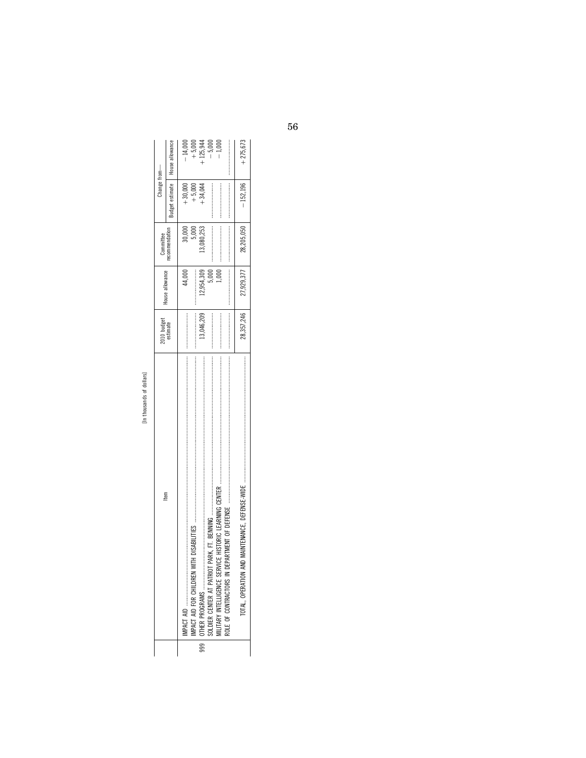|     | [In thousands of dollars]     |                         |                             |               |                                   |            |
|-----|-------------------------------|-------------------------|-----------------------------|---------------|-----------------------------------|------------|
|     | Item                          | 2010 budget<br>estimate | House allowance             | Committee     | Change from-                      |            |
|     |                               |                         |                             | ecommendation | Budget estimate   House allowance |            |
|     | $\blacksquare$                |                         | 44.000                      | 30,000        | $+30,000$                         | $-14,000$  |
|     | <b>MPACT AID FOR CHILDREN</b> |                         |                             | 5,000         | $+5,000$                          | $+5,000$   |
| $-$ |                               | 13,046,209              | 12,954,309                  | 13,080,253    | $+34,044$                         | $-125,944$ |
|     |                               |                         | 5,000                       |               |                                   | $-5,000$   |
|     |                               |                         | 000                         |               |                                   | $-1,000$   |
|     |                               |                         |                             |               |                                   |            |
|     |                               |                         | 28, 357, 246   27, 929, 377 | 28,205,050    | $-152,196$                        | $+275,673$ |
|     |                               |                         |                             |               |                                   |            |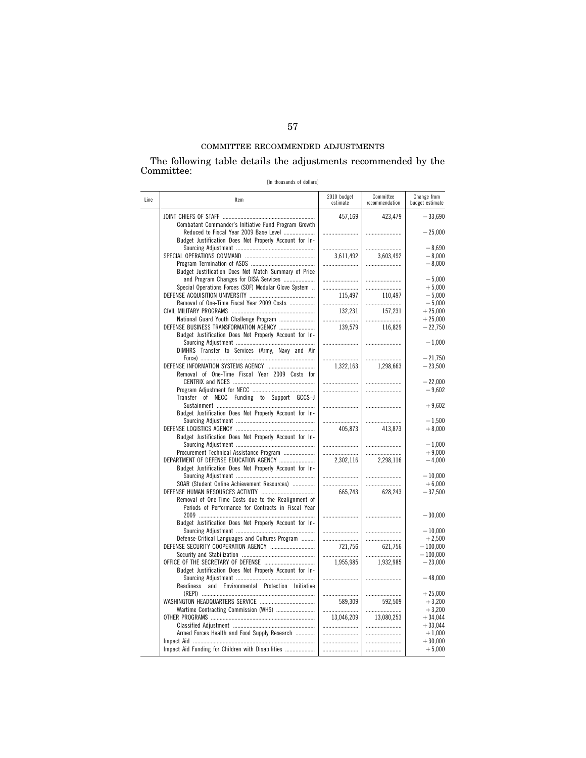The following table details the adjustments recommended by the Committee:

[In thousands of dollars]

| Line | Item                                                                                                       | 2010 budget<br>estimate | Committee<br>recommendation | Change from<br>budget estimate |
|------|------------------------------------------------------------------------------------------------------------|-------------------------|-----------------------------|--------------------------------|
|      | Combatant Commander's Initiative Fund Program Growth                                                       | 457,169                 | 423,479                     | $-33,690$                      |
|      | Reduced to Fiscal Year 2009 Base Level<br>Budget Justification Does Not Properly Account for In-           |                         |                             | $-25,000$                      |
|      |                                                                                                            |                         |                             | $-8,690$<br>$-8,000$           |
|      | Budget Justification Does Not Match Summary of Price                                                       | 3,611,492               | 3,603,492<br>               | $-8,000$                       |
|      | and Program Changes for DISA Services                                                                      |                         |                             | $-5,000$                       |
|      | Special Operations Forces (SOF) Modular Glove System                                                       |                         |                             | $+5,000$                       |
|      | Removal of One-Time Fiscal Year 2009 Costs                                                                 | 115.497                 | 110.497<br>                 | $-5.000$<br>$-5,000$           |
|      |                                                                                                            | 132,231                 | 157,231                     | $+25,000$                      |
|      | National Guard Youth Challenge Program                                                                     |                         |                             | $+25,000$                      |
|      | DEFENSE BUSINESS TRANSFORMATION AGENCY                                                                     | 139,579                 | 116,829                     | $-22,750$                      |
|      | Budget Justification Does Not Properly Account for In-                                                     |                         |                             |                                |
|      | DIMHRS Transfer to Services (Army, Navy and Air                                                            |                         |                             | $-1,000$<br>$-21.750$          |
|      |                                                                                                            | 1,322,163               | 1,298,663                   | $-23,500$                      |
|      | Removal of One-Time Fiscal Year 2009 Costs for                                                             |                         |                             | $-22,000$                      |
|      |                                                                                                            |                         |                             | $-9,602$                       |
|      | Transfer of NECC Funding to Support GCCS-J                                                                 |                         |                             | $+9,602$                       |
|      | Budget Justification Does Not Properly Account for In-                                                     |                         |                             |                                |
|      |                                                                                                            | <br>405.873             | 413.873                     | $-1,500$<br>$+8,000$           |
|      | Budget Justification Does Not Properly Account for In-                                                     |                         |                             | $-1,000$                       |
|      | Procurement Technical Assistance Program                                                                   |                         |                             | $+9,000$                       |
|      | DEPARTMENT OF DEFENSE EDUCATION AGENCY                                                                     | 2,302,116               | 2,298,116                   | $-4.000$                       |
|      | Budget Justification Does Not Properly Account for In-                                                     |                         |                             | $-10,000$                      |
|      | SOAR (Student Online Achievement Resources)                                                                |                         |                             | $+6,000$                       |
|      | Removal of One-Time Costs due to the Realignment of<br>Periods of Performance for Contracts in Fiscal Year | 665.743                 | 628.243                     | $-37,500$                      |
|      | Budget Justification Does Not Properly Account for In-                                                     |                         |                             | $-30,000$                      |
|      |                                                                                                            |                         |                             | $-10.000$                      |
|      | Defense-Critical Languages and Cultures Program                                                            |                         |                             | $+2,500$                       |
|      | DEFENSE SECURITY COOPERATION AGENCY                                                                        | 721,756                 | 621,756                     | $-100,000$                     |
|      |                                                                                                            | 1,955,985               | 1,932,985                   | $-100,000$<br>$-23,000$        |
|      | Budget Justification Does Not Properly Account for In-                                                     |                         |                             |                                |
|      | Readiness and Environmental Protection Initiative                                                          |                         |                             | $-48,000$<br>$+25,000$         |
|      |                                                                                                            | <br>589,309             | 592,509                     | $+3,200$                       |
|      | Wartime Contracting Commission (WHS)                                                                       |                         |                             | $+3,200$                       |
|      |                                                                                                            | 13,046,209              | 13,080,253                  | $+34,044$                      |
|      |                                                                                                            |                         |                             | $+33,044$                      |
|      | Armed Forces Health and Food Supply Research                                                               |                         |                             | $+1,000$                       |
|      | Impact Aid Funding for Children with Disabilities                                                          | <br>                    |                             | $+30,000$<br>$+5,000$          |
|      |                                                                                                            |                         |                             |                                |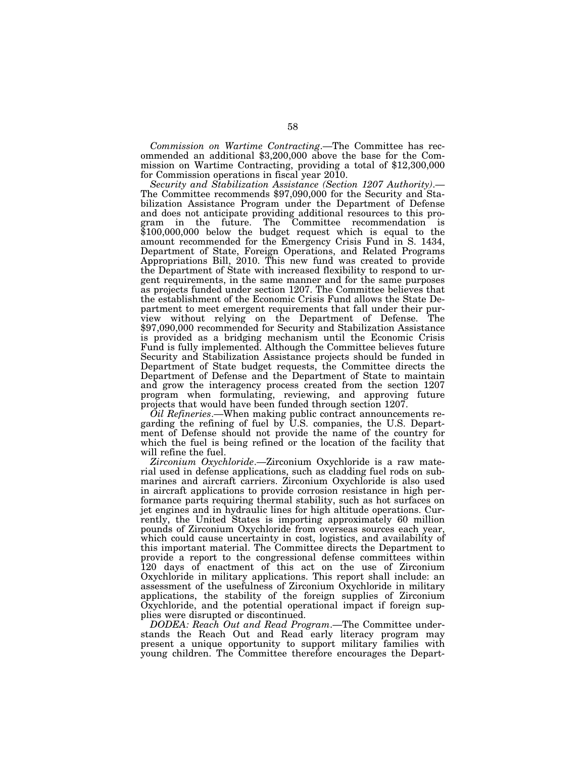*Commission on Wartime Contracting*.—The Committee has recommended an additional \$3,200,000 above the base for the Commission on Wartime Contracting, providing a total of \$12,300,000 for Commission operations in fiscal year 2010.

*Security and Stabilization Assistance (Section 1207 Authority)*.— The Committee recommends \$97,090,000 for the Security and Stabilization Assistance Program under the Department of Defense and does not anticipate providing additional resources to this program in the future. The Committee recommendation is \$100,000,000 below the budget request which is equal to the amount recommended for the Emergency Crisis Fund in S. 1434, Department of State, Foreign Operations, and Related Programs Appropriations Bill, 2010. This new fund was created to provide the Department of State with increased flexibility to respond to urgent requirements, in the same manner and for the same purposes as projects funded under section 1207. The Committee believes that the establishment of the Economic Crisis Fund allows the State Department to meet emergent requirements that fall under their purview without relying on the Department of Defense. The \$97,090,000 recommended for Security and Stabilization Assistance is provided as a bridging mechanism until the Economic Crisis Fund is fully implemented. Although the Committee believes future Security and Stabilization Assistance projects should be funded in Department of State budget requests, the Committee directs the Department of Defense and the Department of State to maintain and grow the interagency process created from the section 1207 program when formulating, reviewing, and approving future projects that would have been funded through section 1207.

*Oil Refineries*.—When making public contract announcements regarding the refining of fuel by U.S. companies, the U.S. Department of Defense should not provide the name of the country for which the fuel is being refined or the location of the facility that will refine the fuel.

*Zirconium Oxychloride*.—Zirconium Oxychloride is a raw material used in defense applications, such as cladding fuel rods on submarines and aircraft carriers. Zirconium Oxychloride is also used in aircraft applications to provide corrosion resistance in high performance parts requiring thermal stability, such as hot surfaces on jet engines and in hydraulic lines for high altitude operations. Currently, the United States is importing approximately 60 million pounds of Zirconium Oxychloride from overseas sources each year, which could cause uncertainty in cost, logistics, and availability of this important material. The Committee directs the Department to provide a report to the congressional defense committees within 120 days of enactment of this act on the use of Zirconium Oxychloride in military applications. This report shall include: an assessment of the usefulness of Zirconium Oxychloride in military applications, the stability of the foreign supplies of Zirconium Oxychloride, and the potential operational impact if foreign supplies were disrupted or discontinued.

*DODEA: Reach Out and Read Program*.—The Committee understands the Reach Out and Read early literacy program may present a unique opportunity to support military families with young children. The Committee therefore encourages the Depart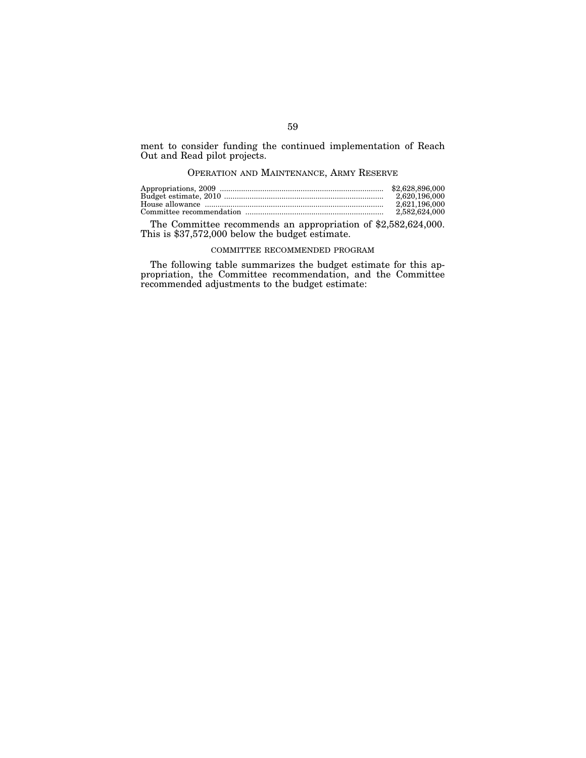ment to consider funding the continued implementation of Reach Out and Read pilot projects.

## OPERATION AND MAINTENANCE, ARMY RESERVE

| 2.620.196.000 |
|---------------|
| 2.621.196.000 |
| 2,582,624,000 |

The Committee recommends an appropriation of \$2,582,624,000. This is \$37,572,000 below the budget estimate.

#### COMMITTEE RECOMMENDED PROGRAM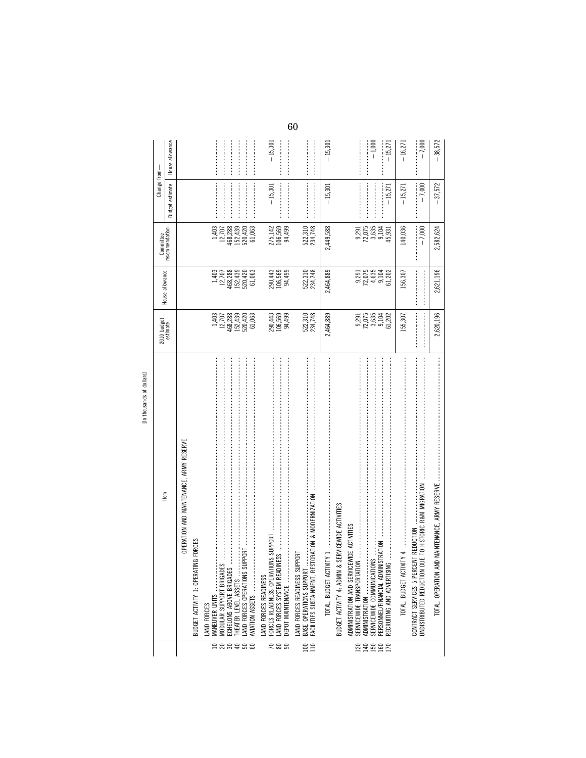| [In thousands of dollars]                                                                                                                                                                                                                                                                                                                                                                                                                                                                                                                                                                                                                                                                                                                                                |                                                     |                                                                        | Committee                                                                                 | Change from-          |                       |
|--------------------------------------------------------------------------------------------------------------------------------------------------------------------------------------------------------------------------------------------------------------------------------------------------------------------------------------------------------------------------------------------------------------------------------------------------------------------------------------------------------------------------------------------------------------------------------------------------------------------------------------------------------------------------------------------------------------------------------------------------------------------------|-----------------------------------------------------|------------------------------------------------------------------------|-------------------------------------------------------------------------------------------|-----------------------|-----------------------|
| Item                                                                                                                                                                                                                                                                                                                                                                                                                                                                                                                                                                                                                                                                                                                                                                     | 2010 budget<br>estimate                             | House allowance                                                        | recommendation                                                                            | estimate<br>Budget    | allowance<br>House    |
| OPERATION AND MAINTENANCE, ARMY RESERVE<br>G FORCES<br>BUDGET ACTIVITY 1: OPERATIN                                                                                                                                                                                                                                                                                                                                                                                                                                                                                                                                                                                                                                                                                       |                                                     |                                                                        |                                                                                           |                       |                       |
| MODULAR SUPPORT BRIGADES<br>MANEUVER UNITS<br>LAND FORCES                                                                                                                                                                                                                                                                                                                                                                                                                                                                                                                                                                                                                                                                                                                | $\frac{1,403}{12,707}$                              | $\frac{1,403}{12,707}$                                                 |                                                                                           |                       |                       |
| <b>IPPORT</b><br>LAND FORCES OPERATIONS SU<br>THEATER LEVEL ASSETS<br>ECHELONS ABOVE BRIGADES<br>AVIATION ASSETS                                                                                                                                                                                                                                                                                                                                                                                                                                                                                                                                                                                                                                                         | 468,288<br>152,439<br>520,420<br>61,063             | 468,288<br>$\begin{array}{c} 152,439 \\ 520,420 \\ 61,063 \end{array}$ | $\begin{array}{c} 1,403 \\ 12,707 \\ 468,283 \\ 152,430 \\ 520,420 \\ 51,063 \end{array}$ |                       |                       |
| LAND FORCES SYSTEM READIN<br>DEPOT MAINTENANCE<br>LAND FORCES READINESS                                                                                                                                                                                                                                                                                                                                                                                                                                                                                                                                                                                                                                                                                                  | 290,443<br>106,569<br>94,499                        | 290,443<br>106,569<br>94,499                                           | 275,142<br>106,569<br>94,499                                                              | $-15,301$             | $-15,301$             |
| 化学 医皮肤发生的 医皮肤发生性皮炎 医皮肤发生的 医皮肤发生的 医皮肤发生的 医皮肤发生的 医皮肤发生的 医皮肤发生的 医皮肤发生的 医胃炎性皮炎 医胃炎性皮炎 医皮肤发生的 医皮肤发生的 医皮肤炎<br>FACILITIES SUSTAINMENT, RESTORATION & MODERNIZATION<br>PORT<br>BASE OPERATIONS SUPPORT<br>LAND FORCES READINESS SUF                                                                                                                                                                                                                                                                                                                                                                                                                                                                                                                                              | 522,310<br>234,748                                  | 522,310<br>234,748                                                     | 522,310<br>234,748                                                                        |                       |                       |
|                                                                                                                                                                                                                                                                                                                                                                                                                                                                                                                                                                                                                                                                                                                                                                          | 2,464,889                                           | 2,464,889                                                              | 2,449,588                                                                                 | $-15,30$              | $-15,301$             |
| $\label{def:1} \begin{minipage}{0.9\linewidth} \begin{minipage}{0.9\linewidth} \begin{minipage}{0.9\linewidth} \begin{minipage}{0.9\linewidth} \end{minipage} \begin{minipage}{0.9\linewidth} \begin{minipage}{0.9\linewidth} \end{minipage} \end{minipage} \begin{minipage}{0.9\linewidth} \begin{minipage}{0.9\linewidth} \begin{minipage}{0.9\linewidth} \end{minipage} \end{minipage} \begin{minipage}{0.9\linewidth} \begin{minipage}{0.9\linewidth} \end{minipage} \end{minipage} \begin{minipage}{0.9\linewidth} \begin{minipage}{0$<br>SERVICEWIDE ACTIVITIES<br><b>EWIDE ACTIVITIES</b><br><b>ISTRATION</b><br>BUDGET ACTIVITY 4: ADMIN &<br>SERVICEWIDE COMMUNICATION<br>RECRUITING AND ADVERTISING<br>PERSONNEL/FINANCIAL ADMIN<br>ADMINISTRATION AND SERVICI | $9,291$<br>$72,635$<br>$9,104$<br>$9,104$<br>61,202 | 9,291<br>72,635<br>9,202<br>9,102<br>9,102                             | 72,075<br>3,635<br>9,104<br>9,291<br>45,931                                               | $-15,271$             | $-1,000$<br>$-15,271$ |
| UNDISTRIBUTED REDUCTION DUE TO HISTORIC R&M MIGRATION<br><b>NT REDUCTION</b><br>CONTRACT SERVICES 5 PERCE                                                                                                                                                                                                                                                                                                                                                                                                                                                                                                                                                                                                                                                                | 155,307                                             | 156,307                                                                | 140,036<br>$-7,000$                                                                       | $-7,000$<br>$-15,271$ | $-7,000$<br>$-16,271$ |
| TOTAL, OPERATION AN                                                                                                                                                                                                                                                                                                                                                                                                                                                                                                                                                                                                                                                                                                                                                      | 2,620,196                                           | 2,621,196                                                              | 2,582,624                                                                                 | $-37,572$             | 38,572                |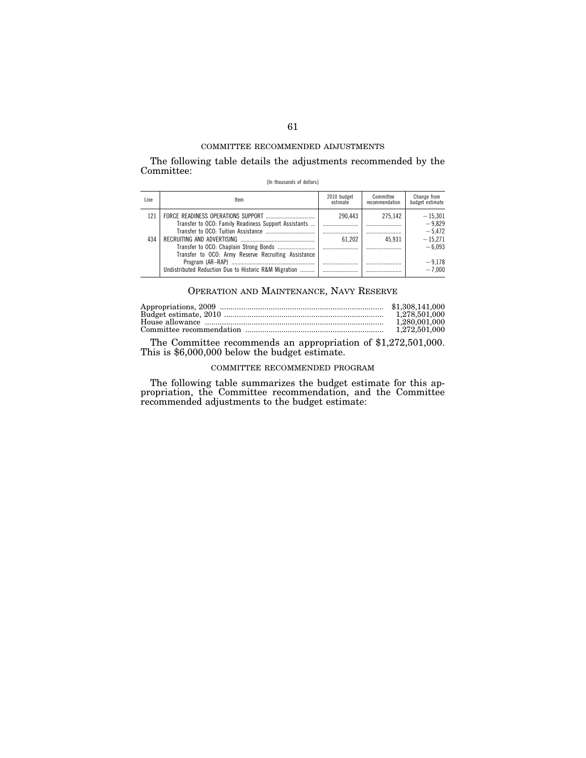The following table details the adjustments recommended by the Committee:

[In thousands of dollars]

| l ine | ltem                                                                                                         | 2010 budget<br>estimate | Committee<br>recommendation | Change from<br>budget estimate    |
|-------|--------------------------------------------------------------------------------------------------------------|-------------------------|-----------------------------|-----------------------------------|
| 121   | Transfer to OCO: Family Readiness Support Assistants                                                         | 290.443                 | 275.142                     | $-15.301$<br>$-9.829$             |
| 434   |                                                                                                              | 61.202                  | <br>45.931                  | $-5.472$<br>$-15.271$<br>$-6.093$ |
|       | Transfer to OCO: Army Reserve Recruiting Assistance<br>Undistributed Reduction Due to Historic R&M Migration |                         |                             | $-9.178$<br>$-7.000$              |

## OPERATION AND MAINTENANCE, NAVY RESERVE

| 1.280.001.000 |
|---------------|
|               |

The Committee recommends an appropriation of \$1,272,501,000. This is \$6,000,000 below the budget estimate.

## COMMITTEE RECOMMENDED PROGRAM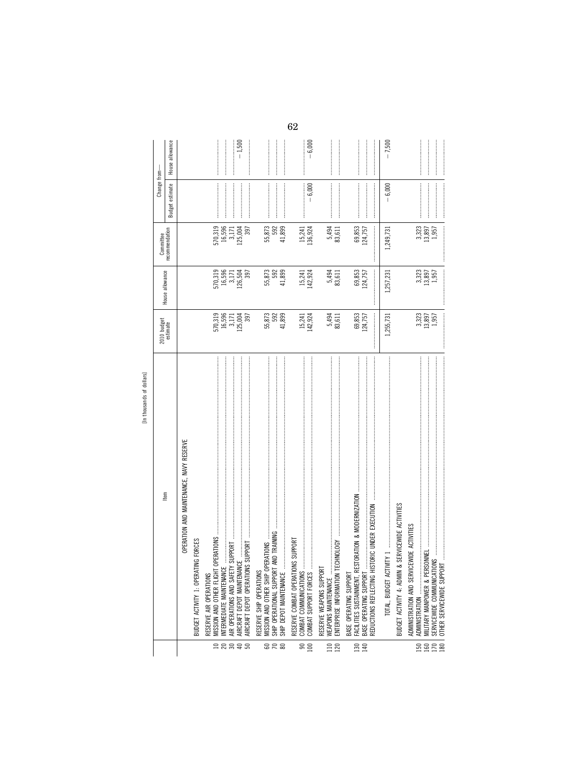|                  | ltem                                                                     | 2010 budget<br>estimate                 | House allowance                         | Committee                | Change from-         |                 |
|------------------|--------------------------------------------------------------------------|-----------------------------------------|-----------------------------------------|--------------------------|----------------------|-----------------|
|                  |                                                                          |                                         |                                         | recommendation           | estimate<br>Budget e | House allowance |
|                  | OPERATION AND MAINTENANCE, NAVY RESERVE                                  |                                         |                                         |                          |                      |                 |
|                  | <b>NG FORCES</b><br>BUDGET ACTIVITY 1: OPERATI                           |                                         |                                         |                          |                      |                 |
|                  | OPERATIONS<br>MISSION AND OTHER FLIGHT<br>RESERVE AIR OPERATIONS         |                                         |                                         |                          |                      |                 |
|                  | NTERMEDIATE MAINTENANCE<br>AIR OPERATIONS AND SAFETY                     |                                         |                                         | 570,319<br>16,596        |                      |                 |
| <b>ERBSE</b>     | AIRCRAFT DEPOT MAINTENANO                                                | 570,319<br>16,596<br>125,004<br>125,004 | 570,319<br>16,596<br>126,504<br>126,504 | 3,171<br>125,004         |                      | $-1,500$        |
|                  | AIRCRAFT DEPOT OPERATIONS                                                |                                         |                                         | 397                      |                      |                 |
|                  | MISSION AND OTHER SHIP OPERATIONS<br>RESERVE SHIP OPERATIONS             |                                         |                                         |                          |                      |                 |
| <u>ទ ៩ ន</u>     | AND TRAINING<br>SHIP OPERATIONAL SUPPORT                                 | 55,873<br>592                           | 55,873<br>592                           | 55,873<br>592            |                      |                 |
|                  | SHIP DEPOT MAINTENANCE                                                   | 41,899                                  | 41,899                                  | 41,899                   |                      |                 |
|                  | <b>IS SUPPORT</b><br>RESERVE COMBAT OPERATION<br>COMBAT COMMUNICATIONS.  |                                         |                                         |                          |                      |                 |
| $\frac{80}{100}$ | COMBAT SUPPORT FORCES                                                    | 15,241<br>142,924                       | 15,241<br>142,924                       | 15,241<br>136,924        | $-6,000$             | $-6,000$        |
|                  | RESERVE WEAPONS SUPPORT                                                  |                                         |                                         |                          |                      |                 |
| 110<br>120       | ECHNOLOGY<br>ENTERPRISE INFORMATION T<br>WEAPONS MAINTENANCE             | 5,494<br>83,611                         | 5,494<br>83,611                         | 5,494<br>83,611          |                      |                 |
|                  | BASE OPERATING SUPPORT                                                   |                                         |                                         |                          |                      |                 |
| 130              | STORATION & MODERNIZATION<br>FACILITIES SUSTAINMENT, RE                  | 69,853<br>124,757                       | 69,853                                  | 69,853                   |                      |                 |
| 140              | REDUCTIONS REFLECTING HISTORIC UNDER EXECUTION<br>BASE OPERATING SUPPORT | <br> <br> <br>                          | 124,757                                 | 124,757                  |                      |                 |
|                  |                                                                          | 1,255,731                               | 1,257,231                               | 1,249,731                | $-6,000$             | $-7,500$        |
|                  | BUDGET ACTIVITY 4: ADMIN & SERVICEWIDE ACTIVITIES                        |                                         |                                         |                          |                      |                 |
| 150              | ADMINISTRATION AND SERVICEWIDE ACTIVITIES<br>ADMINISTRATION              |                                         |                                         |                          |                      |                 |
| 160<br>170       |                                                                          | 3,323<br>13,897<br>1,957                | $3,323$<br>$13,897$<br>$1,957$          | 3,323<br>13,897<br>1,957 |                      |                 |
| 180              | OTHER SERVICEWIDE SUPPORT                                                |                                         |                                         |                          |                      |                 |

62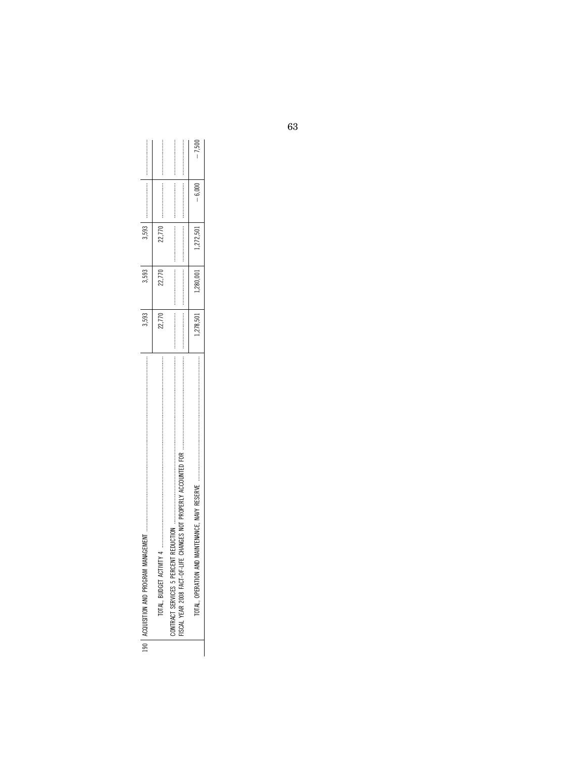| 190   ACQUISITION AND PROGRAM                                                                                                                                                                                    | 3.593     | 3,593  | 3,593     |          |   |
|------------------------------------------------------------------------------------------------------------------------------------------------------------------------------------------------------------------|-----------|--------|-----------|----------|---|
| ,我们的人的名词复数的名词复数 的复数形式的 医皮肤发生 医皮肤发生的 医皮肤发生的 医皮肤发生的 医皮肤发生的 医皮肤发生的 医皮肤发生的 医皮肤发生的 医皮肤发生的 医皮肤发生的 医皮肤发生的 医前列腺 医前列腺 医皮肤性 医皮肤性 医皮肤性 医皮肤性皮肤 医皮肤性皮肤 医皮肤性皮肤病 医皮肤性皮肤病 医皮肤性白细胞 医前列腺性白细胞 医前列腺性白细胞 医血清性白血清<br>TOTAL, BUDGET ACT | 22.770    | 22.770 | 22,770    |          |   |
| ISCAL YEAR 2008 FACT-OF-LIFE CHANGES NOT PROPERLY ACCOUNTED FOR                                                                                                                                                  |           |        |           |          |   |
| AND MAINTENANCE. NAVY RESERVE<br>TOTAL, OPERATION                                                                                                                                                                | $-18,501$ |        | 1,272,501 | $-6.000$ | ì |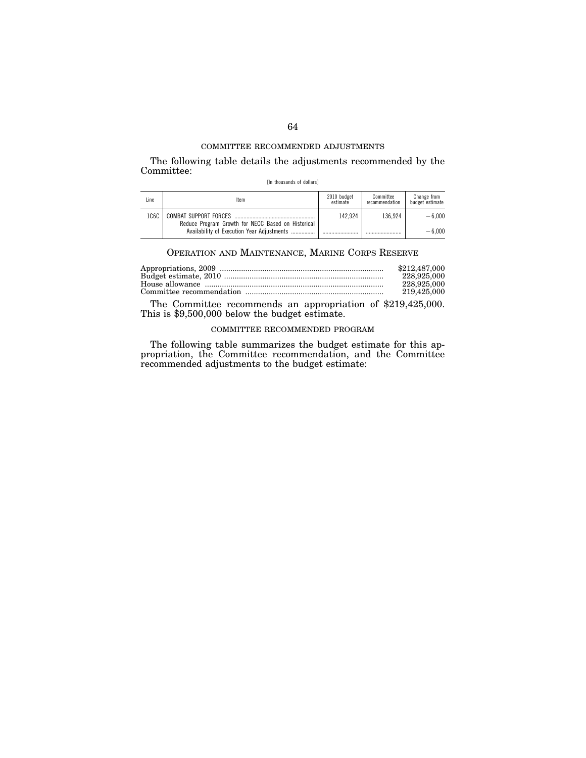The following table details the adjustments recommended by the Committee:

[In thousands of dollars]

| Line | Item                                                                        | 2010 budget<br>estimate | Committee<br>recommendation | Change from<br>budget estimate |
|------|-----------------------------------------------------------------------------|-------------------------|-----------------------------|--------------------------------|
| 1C6C | COMBAT SUPPORT FORCES<br>Reduce Program Growth for NECC Based on Historical | 142.924                 | 136.924                     | $-6.000$                       |
|      | Availability of Execution Year Adjustments                                  |                         |                             | $-6.000$                       |

## OPERATION AND MAINTENANCE, MARINE CORPS RESERVE

| \$212,487,000 |
|---------------|
| 228,925,000   |
| 228,925,000   |
| 219.425.000   |

The Committee recommends an appropriation of \$219,425,000. This is \$9,500,000 below the budget estimate.

## COMMITTEE RECOMMENDED PROGRAM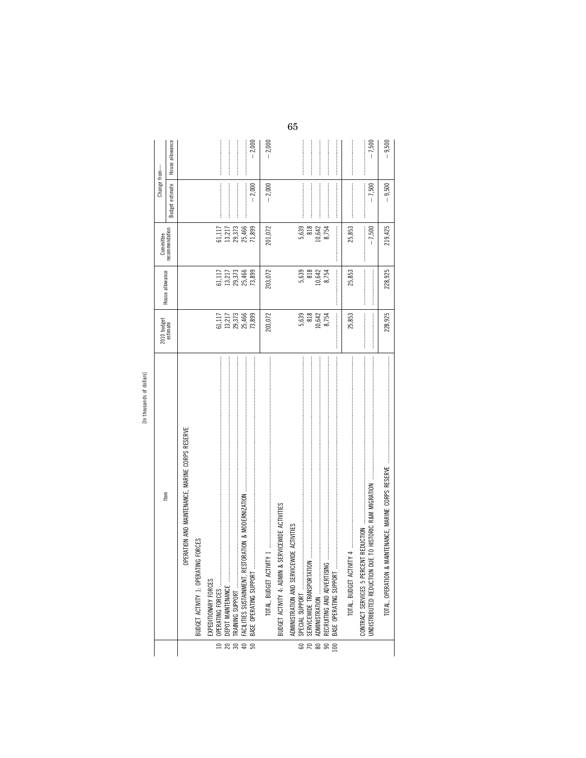|                      | [In thousands of dollars]                           |                                                                |                                                                                                                                                                                                                                                                                                                                                                                                                                                                                                                                                    |                                                  |                        |                 |
|----------------------|-----------------------------------------------------|----------------------------------------------------------------|----------------------------------------------------------------------------------------------------------------------------------------------------------------------------------------------------------------------------------------------------------------------------------------------------------------------------------------------------------------------------------------------------------------------------------------------------------------------------------------------------------------------------------------------------|--------------------------------------------------|------------------------|-----------------|
|                      | ltem                                                | 2010 budget<br>estimate                                        | House allowance                                                                                                                                                                                                                                                                                                                                                                                                                                                                                                                                    |                                                  | Change from-           |                 |
|                      |                                                     |                                                                |                                                                                                                                                                                                                                                                                                                                                                                                                                                                                                                                                    | Committee<br>recommendation                      | <b>Budget estimate</b> | House allowance |
|                      | PERATION AND MAINTENANCE, MARINE CORPS RESERVE<br>0 |                                                                |                                                                                                                                                                                                                                                                                                                                                                                                                                                                                                                                                    |                                                  |                        |                 |
|                      | BUDGET ACTIVITY 1: OPERATING FORCES                 |                                                                |                                                                                                                                                                                                                                                                                                                                                                                                                                                                                                                                                    |                                                  |                        |                 |
|                      | EXPEDITIONARY FORCES                                |                                                                |                                                                                                                                                                                                                                                                                                                                                                                                                                                                                                                                                    |                                                  |                        |                 |
|                      | OPERATING FORCES                                    |                                                                |                                                                                                                                                                                                                                                                                                                                                                                                                                                                                                                                                    |                                                  |                        |                 |
|                      |                                                     |                                                                |                                                                                                                                                                                                                                                                                                                                                                                                                                                                                                                                                    |                                                  |                        |                 |
| <b>ERB</b> # B       | BASE OPERATING SUPPORT                              | 51,117<br>13,217<br>13,373<br>25,4899<br>25,273                | 61,117<br>13,217<br>13,373<br>25,466<br>73,899                                                                                                                                                                                                                                                                                                                                                                                                                                                                                                     | 61,117<br>13,217<br>13,3,366<br>25,466<br>71,899 | $-2,000$               | $-2,000$        |
|                      |                                                     | 203,072                                                        | 203,072                                                                                                                                                                                                                                                                                                                                                                                                                                                                                                                                            | 201,072                                          | $-2,000$               | $-2,000$        |
|                      | BUDGET ACTIVITY 4: ADMIN & SERVICEWIDE ACTIVITIES   |                                                                |                                                                                                                                                                                                                                                                                                                                                                                                                                                                                                                                                    |                                                  |                        |                 |
| 60                   | ADMINISTRATION AND SERVICEWIDE ACTIVITIES           |                                                                |                                                                                                                                                                                                                                                                                                                                                                                                                                                                                                                                                    |                                                  |                        |                 |
| $\frac{8}{8}$        |                                                     | $\begin{array}{c} 5,639 \\ 818 \\ 10,642 \\ 8,754 \end{array}$ | 818<br>10,642<br>5,639                                                                                                                                                                                                                                                                                                                                                                                                                                                                                                                             | 818<br>5,639                                     |                        |                 |
|                      |                                                     |                                                                |                                                                                                                                                                                                                                                                                                                                                                                                                                                                                                                                                    | 10,642                                           |                        |                 |
| 100<br>$\mathcal{S}$ |                                                     |                                                                | $\label{def:1} \begin{minipage}{0.9\linewidth} \begin{minipage}{0.9\linewidth} \begin{minipage}{0.9\linewidth} \begin{minipage}{0.9\linewidth} \end{minipage} \begin{minipage}{0.9\linewidth} \begin{minipage}{0.9\linewidth} \end{minipage} \end{minipage} \end{minipage} \begin{minipage}{0.9\linewidth} \begin{minipage}{0.9\linewidth} \begin{minipage}{0.9\linewidth} \end{minipage} \end{minipage} \end{minipage} \begin{minipage}{0.9\linewidth} \begin{minipage}{0.9\linewidth} \begin{minipage}{0.9\linewidth} \end{minipage} \$<br>8,754 | 8,754                                            |                        |                 |
|                      |                                                     | 25,853                                                         | 25,853                                                                                                                                                                                                                                                                                                                                                                                                                                                                                                                                             | 25,853                                           |                        |                 |
|                      |                                                     |                                                                |                                                                                                                                                                                                                                                                                                                                                                                                                                                                                                                                                    | $-7,500$                                         | $-7,500$<br>┋          | $-7,500$        |
|                      | TOTAL, OPERATION & I                                | 228,925                                                        | 228,925                                                                                                                                                                                                                                                                                                                                                                                                                                                                                                                                            | 219,425                                          | $-9,500$               | $-9,500$        |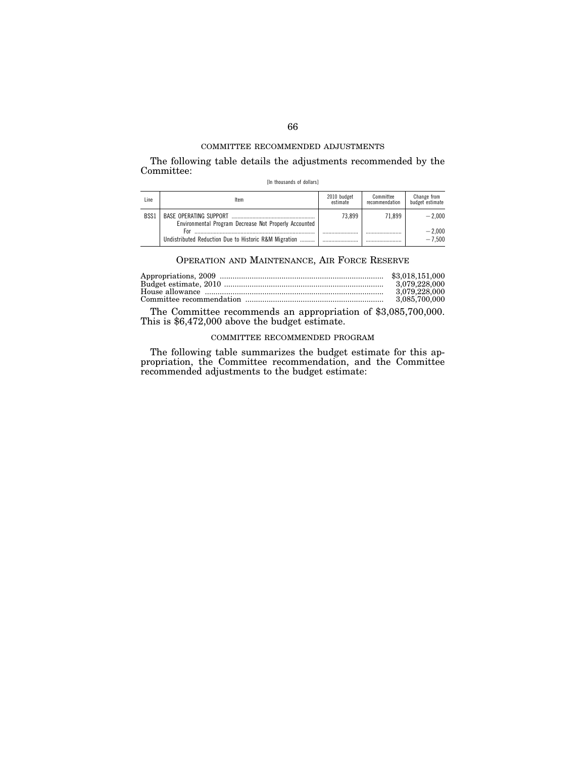The following table details the adjustments recommended by the Committee:

[In thousands of dollars]

| Line | ltem                                                         | 2010 budget<br>estimate | Committee<br>recommendation | Change from<br>budget estimate |
|------|--------------------------------------------------------------|-------------------------|-----------------------------|--------------------------------|
| BSS1 | Environmental Program Decrease Not Properly Accounted        | 73.899                  | 71.899                      | $-2.000$                       |
|      | For<br>Undistributed Reduction Due to Historic R&M Migration |                         |                             | $-2.000$<br>$-7.500$           |
|      |                                                              |                         |                             |                                |

## OPERATION AND MAINTENANCE, AIR FORCE RESERVE

| 3.079.228.000 |
|---------------|
| 3.079.228.000 |
| 3,085,700,000 |

The Committee recommends an appropriation of \$3,085,700,000. This is \$6,472,000 above the budget estimate.

## COMMITTEE RECOMMENDED PROGRAM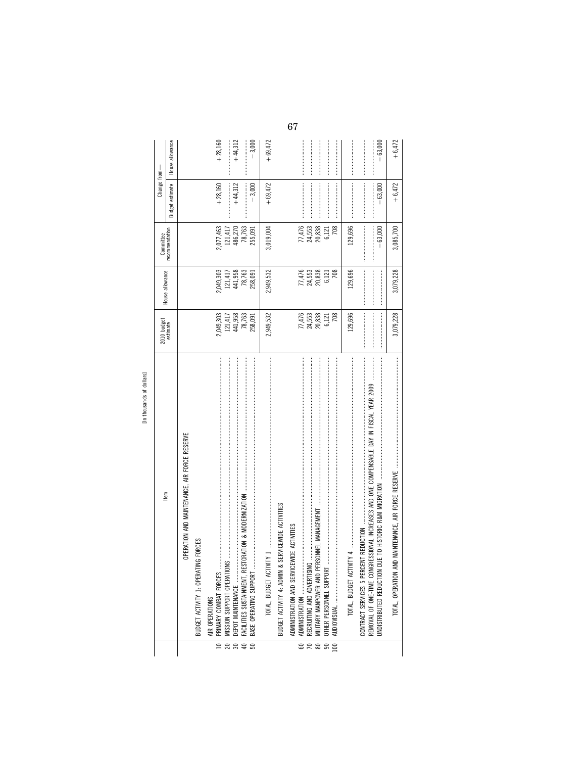| tem                                               | 2010 budget<br>estimate      | House allowance    | Committee<br>recommendation | Change fro             |  |
|---------------------------------------------------|------------------------------|--------------------|-----------------------------|------------------------|--|
|                                                   |                              |                    |                             | <b>Budget estimate</b> |  |
| OPERATION AND MAINTENANCE, AIR FORCE RESERVE      |                              |                    |                             |                        |  |
| BUDGET ACTIVITY 1: OPERATING FORCES               |                              |                    |                             |                        |  |
| AIR OPERATIONS                                    |                              |                    |                             |                        |  |
|                                                   | 2,049,303                    | 2,049,303          | .077,463                    | $+28,160$              |  |
|                                                   |                              |                    | 121,417                     |                        |  |
|                                                   |                              | 121,417<br>441,958 | 186,270                     | $+44,312$              |  |
|                                                   | 121,417<br>441,958<br>78,763 | 78,763             | 78,763                      |                        |  |
|                                                   | 258,091                      | 258,091            | 155,091                     |                        |  |
|                                                   |                              |                    |                             |                        |  |
|                                                   | 2,949,532                    | 2,949,532          | 1,019,004                   | $+69,472$              |  |
| BUDGET ACTIVITY 4: ADMIN & SERVICEWIDE ACTIVITIES |                              |                    |                             |                        |  |

 $28848$ 

[In thousands of dollars]

 $+69,472$ 

 $+28,160$  $+44,312$  $-3,000$ 

House allowance

Change from-

67

 $\begin{array}{c} 77,476 \\ 24,553 \\ 20,838 \\ 6,121 \\ 6 \end{array}$ 

 $\begin{array}{c} 77,476 \\ 24,553 \\ 20,838 \\ 6,121 \\ 6 \end{array}$ 

 $\begin{array}{r} 77,476 \\ 24,553 \\ 20,838 \\ 6,121 \\ 708 \end{array}$ 

129,696

129,696

129,696

TOTAL, BUDGET ACTIVITY 4

TOTAL, OPERATION AND MAINTENANCE, AIR FORCE RESERVE

 $-63,000$  $+6,472$ 

 $-63,000$  $+6,472$ 

 $-63,000$ 3,085,700

3,079,228

3,079,228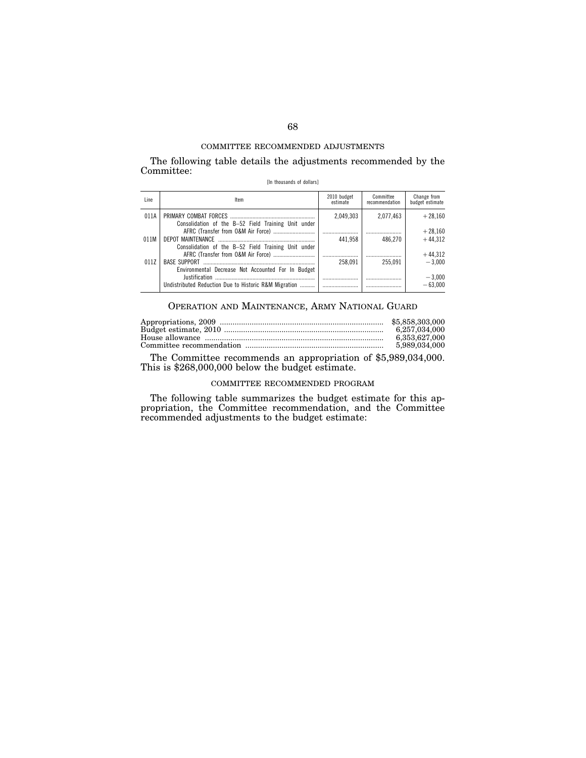The following table details the adjustments recommended by the Committee:

[In thousands of dollars]

| Line | Item                                                                          | 2010 budget<br>estimate | Committee<br>recommendation | Change from<br>budget estimate |
|------|-------------------------------------------------------------------------------|-------------------------|-----------------------------|--------------------------------|
| 011A | Consolidation of the B-52 Field Training Unit under                           | 2.049.303               | 2.077.463                   | $+28.160$                      |
| 011M |                                                                               | 441.958                 | 486.270                     | $+28,160$<br>$+44.312$         |
|      | Consolidation of the B-52 Field Training Unit under                           |                         |                             | $+44,312$                      |
| 011Z | Environmental Decrease Not Accounted For In Budget                            | 258.091                 | 255.091                     | $-3.000$                       |
|      | <b>Iustification</b><br>Undistributed Reduction Due to Historic R&M Migration |                         |                             | $-3,000$<br>$-63.000$          |

## OPERATION AND MAINTENANCE, ARMY NATIONAL GUARD

| 6.257.034.000 |
|---------------|
| 6.353.627.000 |
| 5.989.034.000 |

The Committee recommends an appropriation of \$5,989,034,000. This is \$268,000,000 below the budget estimate.

## COMMITTEE RECOMMENDED PROGRAM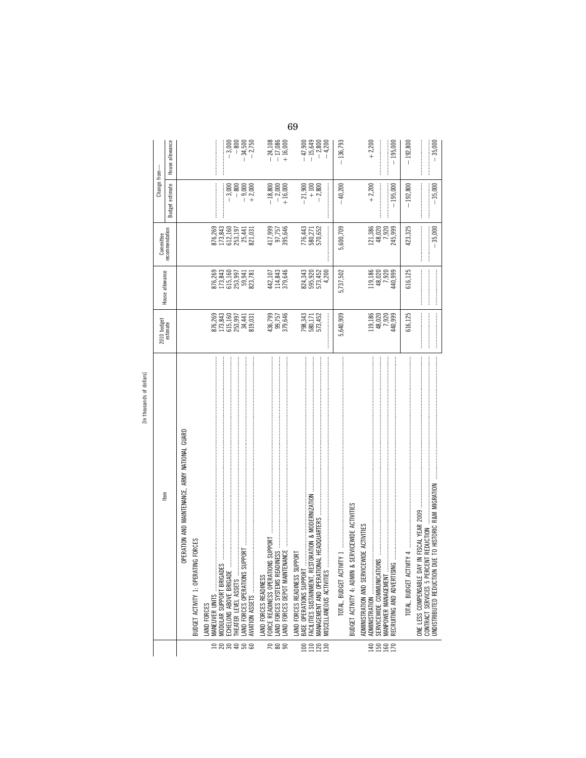|                 | [In thousands of dollars]                                                      |                                          |                                                                      |                                                                |                                                             |                                                |
|-----------------|--------------------------------------------------------------------------------|------------------------------------------|----------------------------------------------------------------------|----------------------------------------------------------------|-------------------------------------------------------------|------------------------------------------------|
|                 | ltem                                                                           | 2010 budget<br>estimate                  | House allowance                                                      | Committee                                                      | Change from-                                                |                                                |
|                 |                                                                                |                                          |                                                                      | recommendation                                                 | estimate<br>Budget +                                        | House allowance                                |
|                 | OPERATION AND MAINTENANCE, ARMY NATIONAL GUARD                                 |                                          |                                                                      |                                                                |                                                             |                                                |
|                 | IG FORCES<br>BUDGET ACTIVITY 1: OPERATI                                        |                                          |                                                                      |                                                                |                                                             |                                                |
|                 | MANEUVER UNITS<br>AND FORCES                                                   |                                          |                                                                      |                                                                |                                                             |                                                |
|                 | MODULAR SUPPORT BRIGADES                                                       |                                          |                                                                      |                                                                |                                                             | <br> <br> <br>                                 |
|                 | THEATER LEVEL ASSETS                                                           | 876,269<br>173,843<br>615,160<br>253,997 |                                                                      |                                                                | $-3,000$<br>$-800$                                          |                                                |
| 522588          | <b>JPPORT</b><br>AND FORCES OPERATIONS SL<br>AVIATION ASSETS                   | $34,441$<br>819,031                      | 876, 269<br>173, 843<br>173, 343<br>253, 941<br>253, 781<br>823, 781 | 876,269<br>173,843<br>173,160<br>253,1441<br>253,441<br>25,441 | $-9,000$<br>+2,000                                          | $-3,000$<br>$-800$<br>$-34,500$<br>$-2,750$    |
|                 | AND FORCES READINESS                                                           |                                          |                                                                      |                                                                |                                                             |                                                |
|                 | FORCE READINESS OPERATIONS SUPPORT                                             |                                          |                                                                      |                                                                |                                                             |                                                |
| $R$ 88          | <b>NANCE</b><br>LAND FORCES SYSTEMS READINESS<br>AND FORCES DEPOT MAINTEI      | 436,799<br>99,757<br>379,646             | 442, 107<br>114, 843<br>379, 646                                     | 417,999<br>97,757<br>395,646                                   | $\begin{array}{r} -18,800 \\ -2,000 \\ +16,000 \end{array}$ | $-24,108$<br>$-17,086$<br>$+16,000$            |
|                 | <b>PPORT</b><br>LAND FORCES READINESS SUF                                      |                                          |                                                                      |                                                                |                                                             |                                                |
| $\Xi$           | FACILITIES SUSTAINMENT, RESTORATION & MODERNIZATION<br>BASE OPERATIONS SUPPORT |                                          |                                                                      |                                                                | $-21,900$                                                   |                                                |
| $1100$<br>$130$ | MANAGEMENT AND OPERATION                                                       | 798,343<br>580,171<br>573,452            | 824,343<br>595,920<br>573,452                                        | 776,443<br>580,271<br>570,652                                  | $+100$<br>$-2,800$                                          | $-47,800$<br>$-15,849$<br>$-2,800$<br>$-4,200$ |
|                 | MISCELLANEOUS ACTIVITIES                                                       | $\ddot{\phantom{a}}$                     | 4,200                                                                |                                                                |                                                             |                                                |
|                 |                                                                                | 5,640,909                                | 5,737,502                                                            | 5,600,709                                                      | $-40,200$                                                   | $-136,793$                                     |
|                 | SERVICEWIDE ACTIVITIES<br>BUDGET ACTIVITY 4: ADMIN &                           |                                          |                                                                      |                                                                |                                                             |                                                |
|                 | ADMINISTRATION AND SERVICEWIDE ACTIVITIES                                      |                                          |                                                                      |                                                                |                                                             |                                                |
|                 |                                                                                |                                          | 119, 186<br>48, 020<br>7, 920                                        | 121,386<br>48,020                                              | $+2,200$                                                    | $+2,200$                                       |
| 8882            | MANPOWER MANAGEMENT                                                            | 119,186<br>48,020<br>44,999<br>440,999   |                                                                      | 7,920                                                          |                                                             |                                                |
|                 | RECRUITING AND ADVERTISIN                                                      |                                          | 440,999                                                              | 245,999                                                        | $-195,000$                                                  | 195,000                                        |
|                 |                                                                                | 616,125                                  | 616,125                                                              | 423,325                                                        | $-192,800$                                                  | $-192,800$                                     |
|                 | IN FISCAL YEAR 2009<br>ONE LESS COMPENSABLE DAY                                |                                          |                                                                      |                                                                |                                                             |                                                |
|                 | CONTRACT SERVICES 5 PERCENT REDUCTION                                          |                                          |                                                                      | $-35,000$                                                      | $-35,000$                                                   | $-35,000$                                      |
|                 |                                                                                |                                          |                                                                      |                                                                |                                                             |                                                |
|                 |                                                                                |                                          |                                                                      |                                                                |                                                             |                                                |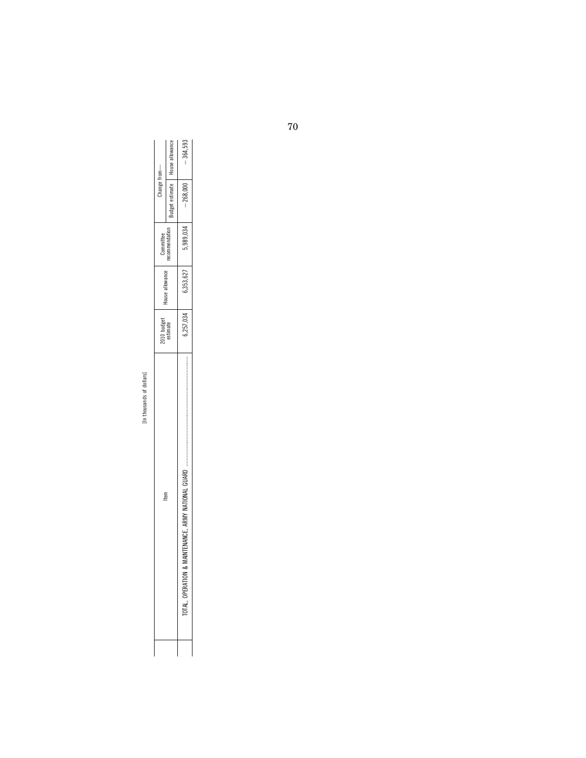| $\overline{\phantom{a}}$          | h |
|-----------------------------------|---|
| τ                                 | ∍ |
| ㅎ                                 |   |
| S<br>ś<br>$\sigma$<br>Ê<br>0<br>ź | ۰ |
| −                                 |   |

| House allowance<br>udget estimate<br>$-268,000$<br>,989,034<br>recommendation<br>llowance<br>6,353,627<br>ouse a<br>6,257,034<br>$\blacksquare$<br>E. AKM<br>INTENANCI | item | 2010 budget<br>estimate | Committee | Thange from- |            |
|------------------------------------------------------------------------------------------------------------------------------------------------------------------------|------|-------------------------|-----------|--------------|------------|
|                                                                                                                                                                        |      |                         |           |              |            |
|                                                                                                                                                                        |      |                         |           |              | $-364,593$ |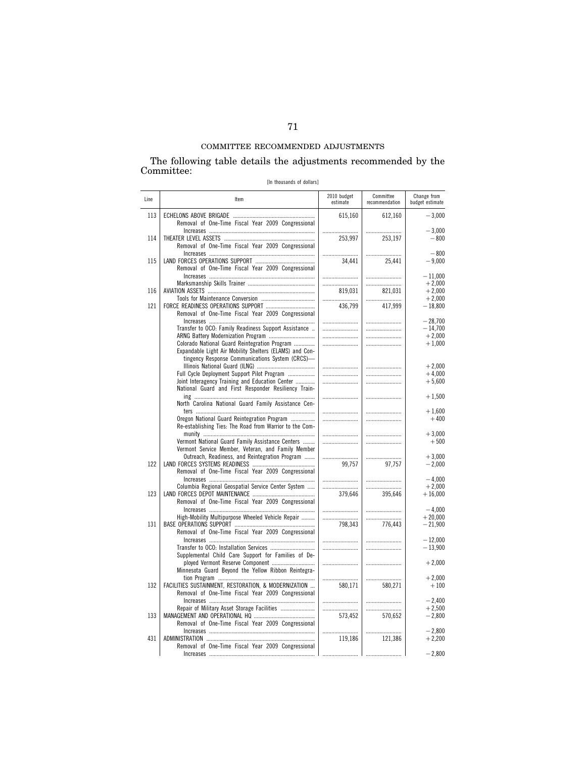### The following table details the adjustments recommended by the Committee:

[In thousands of dollars]

| Line | Item                                                                                                                                                        | 2010 budget<br>estimate | Committee<br>recommendation | Change from<br>budget estimate |
|------|-------------------------------------------------------------------------------------------------------------------------------------------------------------|-------------------------|-----------------------------|--------------------------------|
| 113  | Removal of One-Time Fiscal Year 2009 Congressional                                                                                                          | 615,160                 | 612,160                     | $-3,000$                       |
| 114  | Removal of One-Time Fiscal Year 2009 Congressional                                                                                                          | 253,997                 | 253,197                     | $-3,000$<br>$-800$             |
| 115  | Removal of One-Time Fiscal Year 2009 Congressional                                                                                                          | 34,441                  | 25,441                      | $-800$<br>$-9,000$             |
|      |                                                                                                                                                             |                         |                             | $-11,000$<br>$+2,000$          |
| 116  |                                                                                                                                                             | 819.031<br>             | 821,031                     | $+2,000$<br>$+2,000$           |
| 121  | Removal of One-Time Fiscal Year 2009 Congressional                                                                                                          | 436,799                 | 417,999                     | $-18,800$                      |
|      | Transfer to OCO: Family Readiness Support Assistance                                                                                                        |                         |                             | $-28.700$<br>$-14.700$         |
|      | Colorado National Guard Reintegration Program<br>Expandable Light Air Mobility Shelters (ELAMS) and Con-<br>tingency Response Communications System (CRCS)- | <br>                    |                             | $+2,000$<br>$+1,000$           |
|      | Full Cycle Deployment Support Pilot Program                                                                                                                 |                         |                             | $+2.000$<br>$+4,000$           |
|      | Joint Interagency Training and Education Center<br>National Guard and First Responder Resiliency Train-                                                     |                         |                             | $+5,600$                       |
|      | North Carolina National Guard Family Assistance Cen-                                                                                                        |                         |                             | $+1,500$                       |
|      | Oregon National Guard Reintegration Program<br>Re-establishing Ties: The Road from Warrior to the Com-                                                      |                         |                             | $+1,600$<br>$+400$             |
|      | Vermont National Guard Family Assistance Centers                                                                                                            |                         |                             | $+3,000$<br>$+500$             |
| 122  | Vermont Service Member, Veteran, and Family Member<br>Outreach, Readiness, and Reintegration Program<br>Removal of One-Time Fiscal Year 2009 Congressional  | 99,757                  | 97,757                      | $+3,000$<br>$-2,000$           |
|      | Columbia Regional Geospatial Service Center System                                                                                                          |                         |                             | $-4,000$<br>$+2,000$           |
| 123  | Removal of One-Time Fiscal Year 2009 Congressional                                                                                                          | 379.646                 | 395.646                     | $+16,000$                      |
|      | High-Mobility Multipurpose Wheeled Vehicle Repair                                                                                                           | <br>                    |                             | $-4,000$<br>$+20,000$          |
| 131  | Removal of One-Time Fiscal Year 2009 Congressional                                                                                                          | 798,343                 | 776,443                     | $-21,900$                      |
|      | Supplemental Child Care Support for Families of De-                                                                                                         |                         |                             | $-12.000$<br>$-13,900$         |
|      | ployed Vermont Reserve Component<br>Minnesota Guard Beyond the Yellow Ribbon Reintegra-                                                                     |                         |                             | $+2,000$                       |
| 132  | FACILITIES SUSTAINMENT, RESTORATION, & MODERNIZATION<br>Removal of One-Time Fiscal Year 2009 Congressional                                                  | <br>580,171             | 580,271                     | $+2,000$<br>$+100$             |
|      | Repair of Military Asset Storage Facilities                                                                                                                 |                         |                             | $-2,400$<br>$+2,500$           |
| 133  | Removal of One-Time Fiscal Year 2009 Congressional                                                                                                          | 573,452                 | 570,652                     | $-2,800$                       |
| 431  | Removal of One-Time Fiscal Year 2009 Congressional                                                                                                          | <br>119,186             | 121,386                     | $-2,800$<br>$+2,200$           |
|      |                                                                                                                                                             |                         | .                           | $-2,800$                       |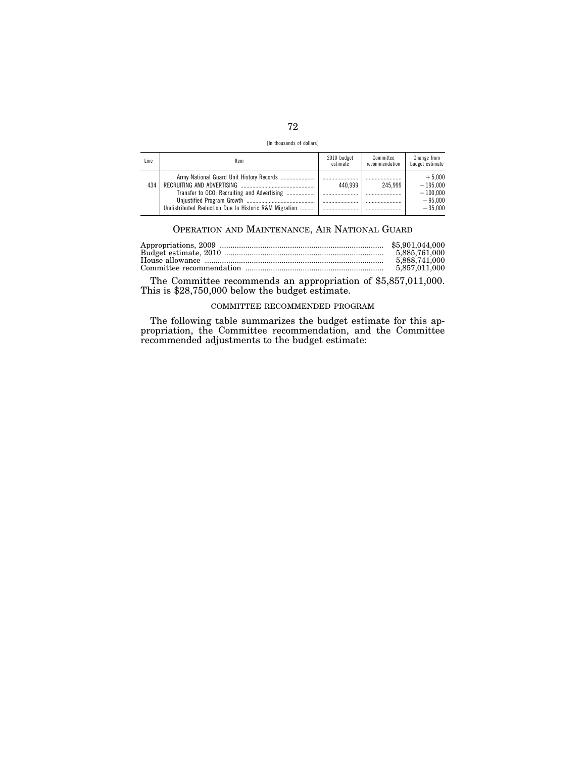| [In thousands of dollars] |  |
|---------------------------|--|
|                           |  |

| Line | Item                                                  | 2010 budget<br>estimate | Committee<br>recommendation | Change from<br>budget estimate                                 |
|------|-------------------------------------------------------|-------------------------|-----------------------------|----------------------------------------------------------------|
| 434  | Undistributed Reduction Due to Historic R&M Migration | 440.999                 | 245.999                     | $+5.000$<br>$-195.000$<br>$-100.000$<br>$-95.000$<br>$-35.000$ |

## OPERATION AND MAINTENANCE, AIR NATIONAL GUARD

|  | 5.885.761.000<br>5.888.741.000<br>5.857.011.000 |
|--|-------------------------------------------------|
|--|-------------------------------------------------|

The Committee recommends an appropriation of \$5,857,011,000. This is \$28,750,000 below the budget estimate.

## COMMITTEE RECOMMENDED PROGRAM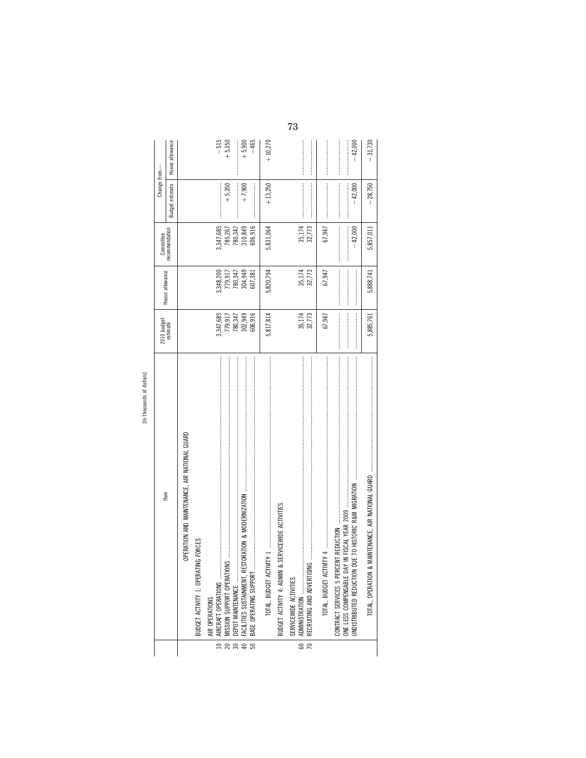|                                         | [In thousands of dollars]                         |                                                                                                                                                                                                                                                                                                                                                                                                                                                                                                                                                                                                                                                                                                                                                                                                                                                                                                                                                                                                                                                                                                                   |                                                                                                                                                                                                                                                                                                                                                                                                                                                                                                |                                                                                                                                                                                                                                                                                                                                                                                                                                                                                             |                                                                                                                                                                                                                                                                                                                                                                                                                                                      |                    |
|-----------------------------------------|---------------------------------------------------|-------------------------------------------------------------------------------------------------------------------------------------------------------------------------------------------------------------------------------------------------------------------------------------------------------------------------------------------------------------------------------------------------------------------------------------------------------------------------------------------------------------------------------------------------------------------------------------------------------------------------------------------------------------------------------------------------------------------------------------------------------------------------------------------------------------------------------------------------------------------------------------------------------------------------------------------------------------------------------------------------------------------------------------------------------------------------------------------------------------------|------------------------------------------------------------------------------------------------------------------------------------------------------------------------------------------------------------------------------------------------------------------------------------------------------------------------------------------------------------------------------------------------------------------------------------------------------------------------------------------------|---------------------------------------------------------------------------------------------------------------------------------------------------------------------------------------------------------------------------------------------------------------------------------------------------------------------------------------------------------------------------------------------------------------------------------------------------------------------------------------------|------------------------------------------------------------------------------------------------------------------------------------------------------------------------------------------------------------------------------------------------------------------------------------------------------------------------------------------------------------------------------------------------------------------------------------------------------|--------------------|
|                                         | ltem                                              | 2010 budget<br>estimate                                                                                                                                                                                                                                                                                                                                                                                                                                                                                                                                                                                                                                                                                                                                                                                                                                                                                                                                                                                                                                                                                           | House allowance                                                                                                                                                                                                                                                                                                                                                                                                                                                                                | Committee                                                                                                                                                                                                                                                                                                                                                                                                                                                                                   | Change from-                                                                                                                                                                                                                                                                                                                                                                                                                                         |                    |
|                                         |                                                   |                                                                                                                                                                                                                                                                                                                                                                                                                                                                                                                                                                                                                                                                                                                                                                                                                                                                                                                                                                                                                                                                                                                   |                                                                                                                                                                                                                                                                                                                                                                                                                                                                                                | recommendation                                                                                                                                                                                                                                                                                                                                                                                                                                                                              | Budget estimate                                                                                                                                                                                                                                                                                                                                                                                                                                      | House allowance    |
|                                         | OPERATION AND MAINTENANCE, AIR NATIONAL GUARD     |                                                                                                                                                                                                                                                                                                                                                                                                                                                                                                                                                                                                                                                                                                                                                                                                                                                                                                                                                                                                                                                                                                                   |                                                                                                                                                                                                                                                                                                                                                                                                                                                                                                |                                                                                                                                                                                                                                                                                                                                                                                                                                                                                             |                                                                                                                                                                                                                                                                                                                                                                                                                                                      |                    |
|                                         | IG FORCES<br>BUDGET ACTIVITY 1: OPERATIN          |                                                                                                                                                                                                                                                                                                                                                                                                                                                                                                                                                                                                                                                                                                                                                                                                                                                                                                                                                                                                                                                                                                                   |                                                                                                                                                                                                                                                                                                                                                                                                                                                                                                |                                                                                                                                                                                                                                                                                                                                                                                                                                                                                             |                                                                                                                                                                                                                                                                                                                                                                                                                                                      |                    |
| $\supseteq$                             | AIRCRAFT OPERATIONS<br>AIR OPERATIONS             | 3,347,685                                                                                                                                                                                                                                                                                                                                                                                                                                                                                                                                                                                                                                                                                                                                                                                                                                                                                                                                                                                                                                                                                                         | 3,348,200                                                                                                                                                                                                                                                                                                                                                                                                                                                                                      | 3,347,685                                                                                                                                                                                                                                                                                                                                                                                                                                                                                   |                                                                                                                                                                                                                                                                                                                                                                                                                                                      | $-515$             |
| $\overline{20}$                         |                                                   | 779,917                                                                                                                                                                                                                                                                                                                                                                                                                                                                                                                                                                                                                                                                                                                                                                                                                                                                                                                                                                                                                                                                                                           | 779,917                                                                                                                                                                                                                                                                                                                                                                                                                                                                                        | 785,267                                                                                                                                                                                                                                                                                                                                                                                                                                                                                     | $+5,350$                                                                                                                                                                                                                                                                                                                                                                                                                                             | $+5,350$           |
| $\begin{array}{c} 30 \\ 40 \end{array}$ |                                                   | 780,347                                                                                                                                                                                                                                                                                                                                                                                                                                                                                                                                                                                                                                                                                                                                                                                                                                                                                                                                                                                                                                                                                                           | 780,347                                                                                                                                                                                                                                                                                                                                                                                                                                                                                        | 780,347                                                                                                                                                                                                                                                                                                                                                                                                                                                                                     | $\label{def:1} \begin{split} \mathcal{L}_{\text{invariant}}(\mathcal{L}_{\text{invariant}}, \mathcal{L}_{\text{invariant}}, \mathcal{L}_{\text{invariant}}), \end{split}$                                                                                                                                                                                                                                                                            |                    |
| 50                                      |                                                   | 606,916<br>302,949                                                                                                                                                                                                                                                                                                                                                                                                                                                                                                                                                                                                                                                                                                                                                                                                                                                                                                                                                                                                                                                                                                | 304,949<br>607,381                                                                                                                                                                                                                                                                                                                                                                                                                                                                             | 606,916<br>310,849                                                                                                                                                                                                                                                                                                                                                                                                                                                                          | $+7,900$                                                                                                                                                                                                                                                                                                                                                                                                                                             | $-465$<br>$+5,900$ |
|                                         |                                                   | 5,817,814                                                                                                                                                                                                                                                                                                                                                                                                                                                                                                                                                                                                                                                                                                                                                                                                                                                                                                                                                                                                                                                                                                         | 5,820,794                                                                                                                                                                                                                                                                                                                                                                                                                                                                                      | 5,831,064                                                                                                                                                                                                                                                                                                                                                                                                                                                                                   | $+13,250$                                                                                                                                                                                                                                                                                                                                                                                                                                            | $+10,270$          |
|                                         | BUDGET ACTIVITY 4: ADMIN & SERVICEWIDE ACTIVITIES |                                                                                                                                                                                                                                                                                                                                                                                                                                                                                                                                                                                                                                                                                                                                                                                                                                                                                                                                                                                                                                                                                                                   |                                                                                                                                                                                                                                                                                                                                                                                                                                                                                                |                                                                                                                                                                                                                                                                                                                                                                                                                                                                                             |                                                                                                                                                                                                                                                                                                                                                                                                                                                      |                    |
| 60                                      | SERVICEWIDE ACTIVITIES                            | 35,174                                                                                                                                                                                                                                                                                                                                                                                                                                                                                                                                                                                                                                                                                                                                                                                                                                                                                                                                                                                                                                                                                                            | 35,174                                                                                                                                                                                                                                                                                                                                                                                                                                                                                         | 35,174                                                                                                                                                                                                                                                                                                                                                                                                                                                                                      |                                                                                                                                                                                                                                                                                                                                                                                                                                                      |                    |
| $\overline{70}$                         | RECRUITING AND ADVERTISING                        | 32,773                                                                                                                                                                                                                                                                                                                                                                                                                                                                                                                                                                                                                                                                                                                                                                                                                                                                                                                                                                                                                                                                                                            | 32,773                                                                                                                                                                                                                                                                                                                                                                                                                                                                                         | 32,773                                                                                                                                                                                                                                                                                                                                                                                                                                                                                      |                                                                                                                                                                                                                                                                                                                                                                                                                                                      |                    |
|                                         |                                                   | 67,947                                                                                                                                                                                                                                                                                                                                                                                                                                                                                                                                                                                                                                                                                                                                                                                                                                                                                                                                                                                                                                                                                                            | 67,947                                                                                                                                                                                                                                                                                                                                                                                                                                                                                         | 67,947                                                                                                                                                                                                                                                                                                                                                                                                                                                                                      |                                                                                                                                                                                                                                                                                                                                                                                                                                                      |                    |
|                                         | ONE LESS COMPENSABLE DAY                          |                                                                                                                                                                                                                                                                                                                                                                                                                                                                                                                                                                                                                                                                                                                                                                                                                                                                                                                                                                                                                                                                                                                   | $\label{def:1} \begin{split} \mathcal{L}_{\mathcal{M}}(\mathcal{M}) = \mathcal{L}_{\mathcal{M}}(\mathcal{M}) = \mathcal{L}_{\mathcal{M}}(\mathcal{M}) = \mathcal{L}_{\mathcal{M}}(\mathcal{M}) = \mathcal{L}_{\mathcal{M}}(\mathcal{M}) = \mathcal{L}_{\mathcal{M}}(\mathcal{M}) = \mathcal{L}_{\mathcal{M}}(\mathcal{M}) = \mathcal{L}_{\mathcal{M}}(\mathcal{M}) = \mathcal{L}_{\mathcal{M}}(\mathcal{M}) = \mathcal{L}_{\mathcal{M}}(\mathcal{M}) = \mathcal{L}_{\mathcal{M}}(\mathcal{M})$ | $\label{def:1} \begin{split} \mathcal{L}_{\mathcal{A}}(\mathcal{A})&=\mathcal{L}_{\mathcal{A}}(\mathcal{A})\otimes\mathcal{L}_{\mathcal{A}}(\mathcal{A})\otimes\mathcal{L}_{\mathcal{A}}(\mathcal{A})\otimes\mathcal{L}_{\mathcal{A}}(\mathcal{A})\otimes\mathcal{L}_{\mathcal{A}}(\mathcal{A})\otimes\mathcal{L}_{\mathcal{A}}(\mathcal{A})\otimes\mathcal{L}_{\mathcal{A}}(\mathcal{A})\otimes\mathcal{L}_{\mathcal{A}}(\mathcal{A})\otimes\mathcal{L}_{\mathcal{A}}(\mathcal{A})\otimes$ | $\label{eq:conformal} \begin{split} \mathcal{L}_{\mathcal{F}}(x) = \mathcal{L}_{\mathcal{F}}(x) = \mathcal{L}_{\mathcal{F}}(x) = \mathcal{L}_{\mathcal{F}}(x) = \mathcal{L}_{\mathcal{F}}(x) = \mathcal{L}_{\mathcal{F}}(x) = \mathcal{L}_{\mathcal{F}}(x) = \mathcal{L}_{\mathcal{F}}(x) = \mathcal{L}_{\mathcal{F}}(x) = \mathcal{L}_{\mathcal{F}}(x) = \mathcal{L}_{\mathcal{F}}(x) = \mathcal{L}_{\mathcal{F}}(x) = \mathcal{L}_{\mathcal{F}}(x$ |                    |
|                                         |                                                   | $\label{def:conformal} \begin{minipage}{0.9\textwidth} \centering \begin{minipage}{0.9\textwidth} \centering \begin{minipage}{0.9\textwidth} \centering \end{minipage} \begin{minipage}{0.9\textwidth} \centering \end{minipage} \begin{minipage}{0.9\textwidth} \centering \begin{minipage}{0.9\textwidth} \centering \end{minipage} \begin{minipage}{0.9\textwidth} \centering \end{minipage} \begin{minipage}{0.9\textwidth} \centering \end{minipage} \begin{minipage}{0.9\textwidth} \centering \end{minipage} \begin{minipage}{0.9\textwidth} \center$<br>$\label{def:conformal} \begin{minipage}{0.9\linewidth} \begin{minipage}{0.9\linewidth} \begin{minipage}{0.9\linewidth} \begin{minipage}{0.9\linewidth} \end{minipage} \begin{minipage}{0.9\linewidth} \begin{minipage}{0.9\linewidth} \end{minipage} \begin{minipage}{0.9\linewidth} \begin{minipage}{0.9\linewidth} \end{minipage} \begin{minipage}{0.9\linewidth} \end{minipage} \begin{minipage}{0.9\linewidth} \begin{minipage}{0.9\linewidth} \end{minipage} \begin{minipage}{0.9\linewidth} \end{minipage} \begin{minipage}{0.9\linewidth}$ |                                                                                                                                                                                                                                                                                                                                                                                                                                                                                                | $-42,000$                                                                                                                                                                                                                                                                                                                                                                                                                                                                                   | $-42,000$<br>ļ                                                                                                                                                                                                                                                                                                                                                                                                                                       | $-42,000$          |
|                                         | TOTAL, OPERATION &                                | 5,885,761                                                                                                                                                                                                                                                                                                                                                                                                                                                                                                                                                                                                                                                                                                                                                                                                                                                                                                                                                                                                                                                                                                         | 5,888,741                                                                                                                                                                                                                                                                                                                                                                                                                                                                                      | 5,857,011                                                                                                                                                                                                                                                                                                                                                                                                                                                                                   | $-28,750$                                                                                                                                                                                                                                                                                                                                                                                                                                            | $-31,730$          |

[In thousands of dollars]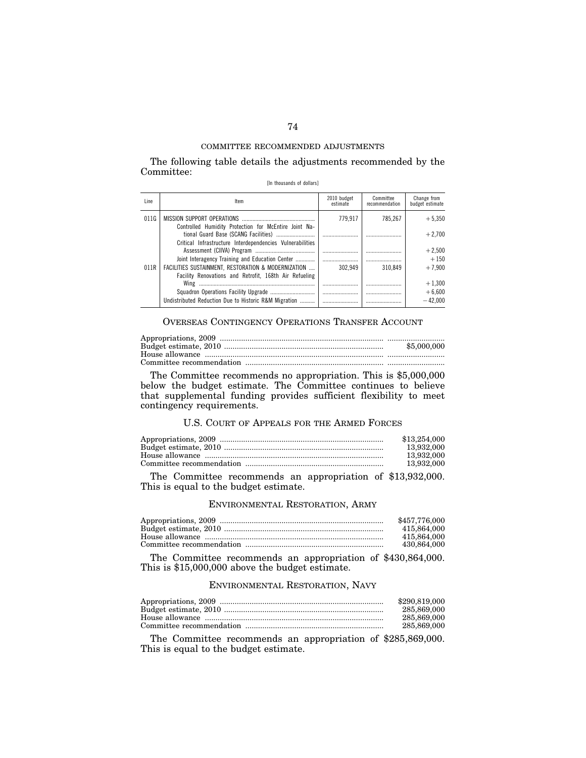The following table details the adjustments recommended by the Committee:

|  | [In thousands of dollars] |  |  |
|--|---------------------------|--|--|
|--|---------------------------|--|--|

| Line | Item                                                                                                   | 2010 budget<br>estimate | Committee<br>recommendation | Change from<br>budget estimate |
|------|--------------------------------------------------------------------------------------------------------|-------------------------|-----------------------------|--------------------------------|
| 011G |                                                                                                        | 779.917                 | 785.267                     | $+5.350$                       |
|      | Controlled Humidity Protection for McEntire Joint Na-                                                  |                         |                             | $+2.700$                       |
|      | Critical Infrastructure Interdependencies Vulnerabilities                                              |                         |                             | $+2.500$                       |
| 011R | Joint Interagency Training and Education Center<br>FACILITIES SUSTAINMENT, RESTORATION & MODERNIZATION | 302.949                 | 310.849                     | $+150$<br>$+7.900$             |
|      | Facility Renovations and Retrofit. 168th Air Refueling                                                 |                         |                             | $+1.300$                       |
|      |                                                                                                        |                         |                             | $+6.600$                       |
|      | Undistributed Reduction Due to Historic R&M Migration                                                  |                         |                             | $-42.000$                      |

# OVERSEAS CONTINGENCY OPERATIONS TRANSFER ACCOUNT

| \$5,000,000 |
|-------------|
|             |
|             |

The Committee recommends no appropriation. This is \$5,000,000 below the budget estimate. The Committee continues to believe that supplemental funding provides sufficient flexibility to meet contingency requirements.

# U.S. COURT OF APPEALS FOR THE ARMED FORCES

| \$13,254,000 |
|--------------|
| 13.932.000   |
| 13.932.000   |
| 13,932,000   |
|              |

The Committee recommends an appropriation of \$13,932,000. This is equal to the budget estimate.

## ENVIRONMENTAL RESTORATION, ARMY

| \$457.776.000 |
|---------------|
| 415,864,000   |
| 415,864,000   |
| 430.864.000   |

The Committee recommends an appropriation of \$430,864,000. This is \$15,000,000 above the budget estimate.

## ENVIRONMENTAL RESTORATION, NAVY

| \$290,819,000 |
|---------------|
| 285,869,000   |
| 285,869,000   |
| 285,869,000   |

The Committee recommends an appropriation of \$285,869,000. This is equal to the budget estimate.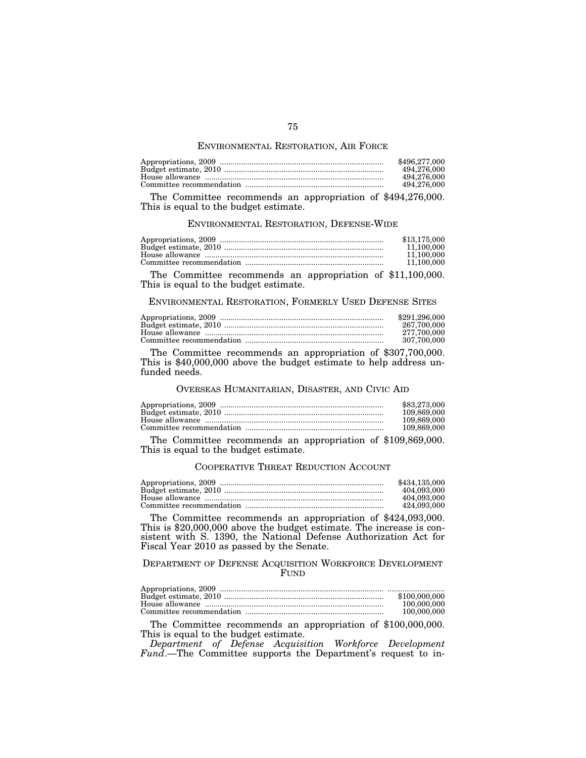### ENVIRONMENTAL RESTORATION, AIR FORCE

| \$496,277,000 |
|---------------|
| 494.276.000   |
| 494.276.000   |
| 494.276.000   |

The Committee recommends an appropriation of \$494,276,000. This is equal to the budget estimate.

### ENVIRONMENTAL RESTORATION, DEFENSE-WIDE

| \$13,175,000 |
|--------------|
| 11.100.000   |
| 11.100.000   |
| 11.100.000   |

The Committee recommends an appropriation of \$11,100,000. This is equal to the budget estimate.

ENVIRONMENTAL RESTORATION, FORMERLY USED DEFENSE SITES

| \$291.296.000 |
|---------------|
| 267.700.000   |
| 277.700.000   |
| 307.700.000   |

The Committee recommends an appropriation of \$307,700,000. This is \$40,000,000 above the budget estimate to help address unfunded needs.

### OVERSEAS HUMANITARIAN, DISASTER, AND CIVIC AID

| \$83,273,000 |
|--------------|
| 109.869.000  |
| 109.869.000  |
| 109.869.000  |

The Committee recommends an appropriation of \$109,869,000. This is equal to the budget estimate.

#### COOPERATIVE THREAT REDUCTION ACCOUNT

| \$434,135,000 |
|---------------|
| 404.093.000   |
| 404.093.000   |
| 424.093.000   |

The Committee recommends an appropriation of \$424,093,000. This is \$20,000,000 above the budget estimate. The increase is consistent with S. 1390, the National Defense Authorization Act for Fiscal Year 2010 as passed by the Senate.

### DEPARTMENT OF DEFENSE ACQUISITION WORKFORCE DEVELOPMENT FUND

| \$100,000,000 |
|---------------|
| 100,000,000   |
| 100,000,000   |

The Committee recommends an appropriation of \$100,000,000. This is equal to the budget estimate.

*Department of Defense Acquisition Workforce Development Fund*.—The Committee supports the Department's request to in-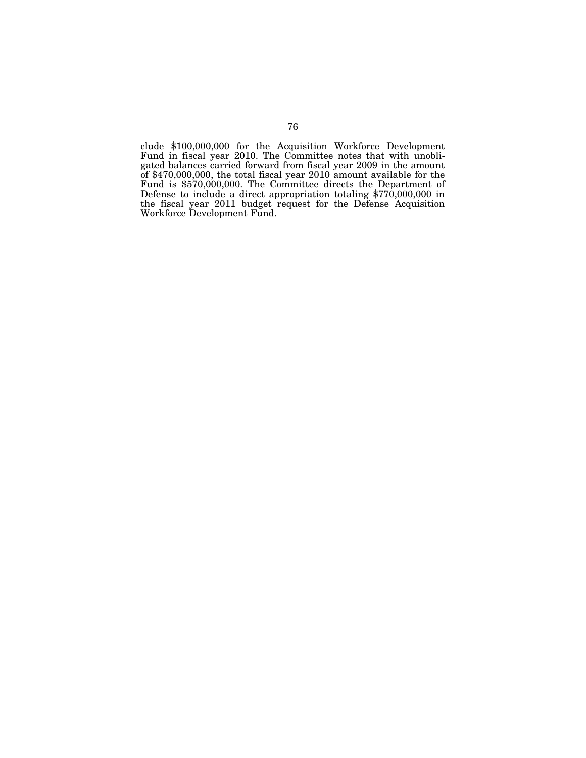clude \$100,000,000 for the Acquisition Workforce Development Fund in fiscal year 2010. The Committee notes that with unobligated balances carried forward from fiscal year 2009 in the amount of \$470,000,000, the total fiscal year 2010 amount available for the Fund is \$570,000,000. The Committee directs the Department of Defense to include a direct appropriation totaling \$770,000,000 in the fiscal year 2011 budget request for the Defense Acquisition Workforce Development Fund.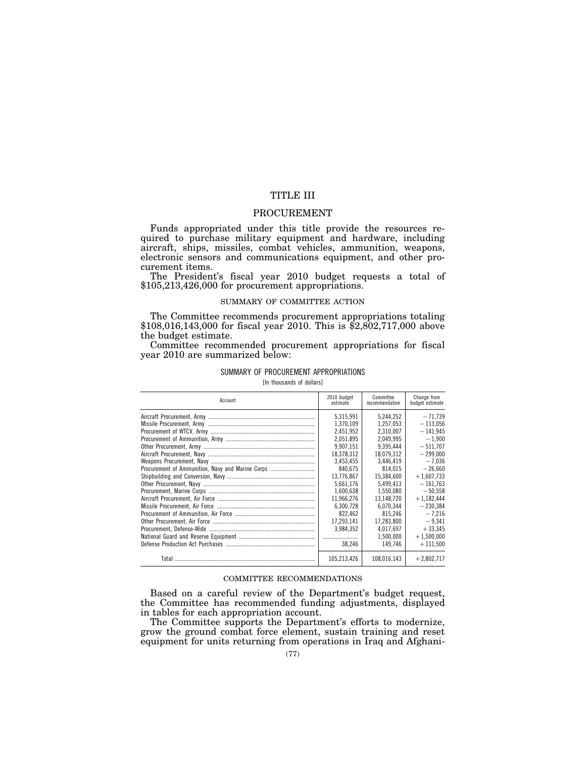# TITLE III

## PROCUREMENT

Funds appropriated under this title provide the resources required to purchase military equipment and hardware, including aircraft, ships, missiles, combat vehicles, ammunition, weapons, electronic sensors and communications equipment, and other procurement items.

The President's fiscal year 2010 budget requests a total of \$105,213,426,000 for procurement appropriations.

### SUMMARY OF COMMITTEE ACTION

The Committee recommends procurement appropriations totaling \$108,016,143,000 for fiscal year 2010. This is \$2,802,717,000 above the budget estimate.

Committee recommended procurement appropriations for fiscal year 2010 are summarized below:

### SUMMARY OF PROCUREMENT APPROPRIATIONS

[In thousands of dollars]

| Account                                          | 2010 budget<br>estimate | Committee<br>recommendation | Change from<br>budget estimate |
|--------------------------------------------------|-------------------------|-----------------------------|--------------------------------|
|                                                  | 5.315.991               | 5,244,252                   | $-71.739$                      |
|                                                  | 1.370.109               | 1,257,053                   | $-113.056$                     |
|                                                  | 2.451.952               | 2.310.007                   | $-141.945$                     |
|                                                  | 2.051.895               | 2.049.995                   | $-1.900$                       |
|                                                  | 9.907.151               | 9.395.444                   | $-511.707$                     |
|                                                  | 18.378.312              | 18,079,312                  | $-299.000$                     |
|                                                  | 3.453.455               | 3.446.419                   | $-7.036$                       |
| Procurement of Ammunition, Navy and Marine Corps | 840.675                 | 814.015                     | $-26.660$                      |
|                                                  | 13,776,867              | 15,384,600                  | $+1,607,733$                   |
|                                                  | 5,661,176               | 5.499.413                   | $-161.763$                     |
|                                                  | 1,600,638               | 1,550,080                   | $-50.558$                      |
|                                                  | 11.966.276              | 13.148.720                  | $+1.182.444$                   |
|                                                  | 6.300.728               | 6.070.344                   | $-230.384$                     |
|                                                  | 822.462                 | 815.246                     | $-7,216$                       |
|                                                  | 17.293.141              | 17,283,800                  | $-9,341$                       |
|                                                  | 3.984.352               | 4.017.697                   | $+33.345$                      |
|                                                  |                         | 1.500.000                   | $+1,500,000$                   |
|                                                  | 38.246                  | 149.746                     | $+111,500$                     |
|                                                  | 105.213.426             | 108.016.143                 | $+2.802.717$                   |

### COMMITTEE RECOMMENDATIONS

Based on a careful review of the Department's budget request, the Committee has recommended funding adjustments, displayed in tables for each appropriation account.

The Committee supports the Department's efforts to modernize, grow the ground combat force element, sustain training and reset equipment for units returning from operations in Iraq and Afghani-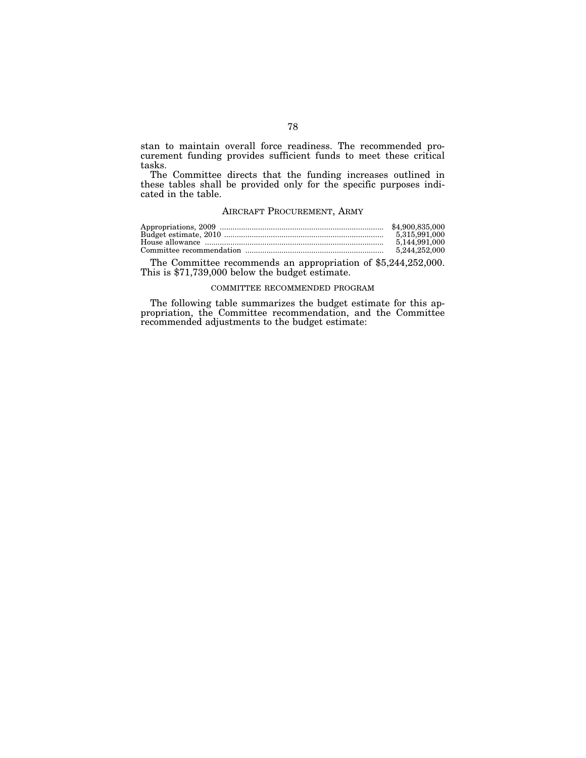stan to maintain overall force readiness. The recommended procurement funding provides sufficient funds to meet these critical tasks.

The Committee directs that the funding increases outlined in these tables shall be provided only for the specific purposes indicated in the table.

## AIRCRAFT PROCUREMENT, ARMY

| \$4.900.835.000 |
|-----------------|
| 5.315.991.000   |
| 5.144.991.000   |
| 5.244.252.000   |

The Committee recommends an appropriation of \$5,244,252,000. This is \$71,739,000 below the budget estimate.

### COMMITTEE RECOMMENDED PROGRAM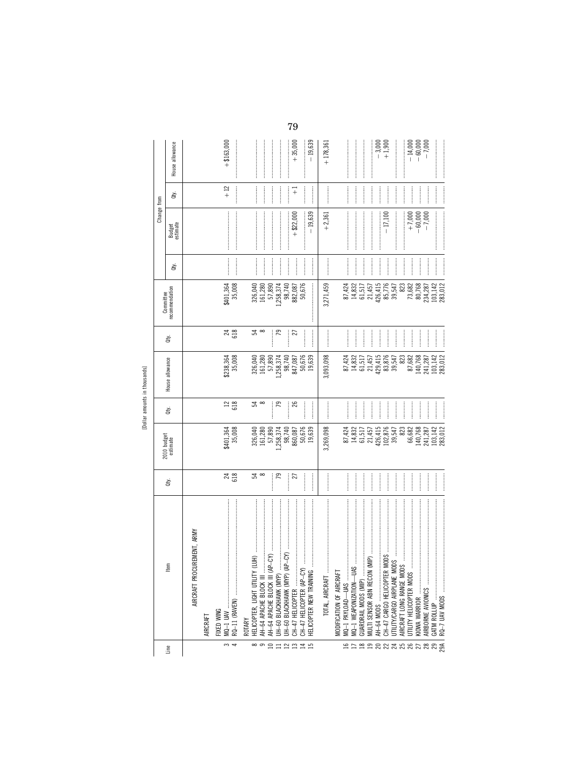[Dollar amounts in thousands]

|               |                                                                                                                                                                                                                                                                                                                                                                                                                                                                                                                                                                                                                  |                       |                                                                             |                |                                                                            |                        | Committee                                                                                                       |                      | Change from                                                                                                                                                                                                                                                                                                                                                                                                                              |                                                                                                                                                                                                                                                                                                                                                                                                                                                           |                                    |
|---------------|------------------------------------------------------------------------------------------------------------------------------------------------------------------------------------------------------------------------------------------------------------------------------------------------------------------------------------------------------------------------------------------------------------------------------------------------------------------------------------------------------------------------------------------------------------------------------------------------------------------|-----------------------|-----------------------------------------------------------------------------|----------------|----------------------------------------------------------------------------|------------------------|-----------------------------------------------------------------------------------------------------------------|----------------------|------------------------------------------------------------------------------------------------------------------------------------------------------------------------------------------------------------------------------------------------------------------------------------------------------------------------------------------------------------------------------------------------------------------------------------------|-----------------------------------------------------------------------------------------------------------------------------------------------------------------------------------------------------------------------------------------------------------------------------------------------------------------------------------------------------------------------------------------------------------------------------------------------------------|------------------------------------|
| Line          | tem                                                                                                                                                                                                                                                                                                                                                                                                                                                                                                                                                                                                              | ਛੇ                    | 2010 budget<br>estimate                                                     | ਛੇ             | House allowance                                                            | È                      | recommendation                                                                                                  | ਛੇ                   | Budget<br>estimate                                                                                                                                                                                                                                                                                                                                                                                                                       | ਛੇ                                                                                                                                                                                                                                                                                                                                                                                                                                                        | House allowance                    |
|               | CUREMENT, ARMY<br>AIRCRAFT PRO                                                                                                                                                                                                                                                                                                                                                                                                                                                                                                                                                                                   |                       |                                                                             |                |                                                                            |                        |                                                                                                                 |                      |                                                                                                                                                                                                                                                                                                                                                                                                                                          |                                                                                                                                                                                                                                                                                                                                                                                                                                                           |                                    |
|               | AIRCRAFI                                                                                                                                                                                                                                                                                                                                                                                                                                                                                                                                                                                                         |                       |                                                                             |                |                                                                            |                        |                                                                                                                 |                      |                                                                                                                                                                                                                                                                                                                                                                                                                                          |                                                                                                                                                                                                                                                                                                                                                                                                                                                           |                                    |
| $\frac{1}{2}$ | $\begin{minipage}{0.9\linewidth} \begin{tabular}{l} \toprule \multicolumn{3}{c}{\textbf{0.9\linewidth}} \begin{tabular}{l} \multicolumn{3}{c}{\textbf{0.9\linewidth}} \end{tabular} \end{minipage} \end{minipage} \end{minipage} \caption{A system of the model and the model of the model.} \label{fig:1}$<br>RQ-11 (RAVEN)<br>FIXED WING                                                                                                                                                                                                                                                                       | $\frac{24}{618}$      | \$401,364<br>35,008                                                         | $\frac{12}{6}$ | \$238,364<br>35,008                                                        | $^{24}_{618}$          | \$401,364<br>35,008                                                                                             |                      |                                                                                                                                                                                                                                                                                                                                                                                                                                          | $+12$                                                                                                                                                                                                                                                                                                                                                                                                                                                     | $+ $163,000$                       |
|               | ROTARY                                                                                                                                                                                                                                                                                                                                                                                                                                                                                                                                                                                                           |                       |                                                                             |                |                                                                            |                        |                                                                                                                 |                      |                                                                                                                                                                                                                                                                                                                                                                                                                                          |                                                                                                                                                                                                                                                                                                                                                                                                                                                           |                                    |
| ထ တ           | (LUH)<br>HELICOPTER, LIGHT UTILITY                                                                                                                                                                                                                                                                                                                                                                                                                                                                                                                                                                               | ಧ ∞                   | 326,040<br>161,280<br>57,890                                                | ≌ ∞            | 326,040<br>161,280<br>57,890                                               | $\frac{4}{3}$ $\infty$ | $\begin{array}{c} 326,040 \\ 161,280 \\ 57,890 \\ 98,374 \\ 98,740 \\ 982,087 \\ 882,087 \\ 50,676 \end{array}$ |                      |                                                                                                                                                                                                                                                                                                                                                                                                                                          |                                                                                                                                                                                                                                                                                                                                                                                                                                                           |                                    |
| $\Box$        | $\label{def:1} \begin{minipage}{0.9\linewidth} \begin{minipage}{0.9\linewidth} \begin{minipage}{0.9\linewidth} \begin{minipage}{0.9\linewidth} \end{minipage} \begin{minipage}{0.9\linewidth} \begin{minipage}{0.9\linewidth} \end{minipage} \end{minipage} \begin{minipage}{0.9\linewidth} \begin{minipage}{0.9\linewidth} \begin{minipage}{0.9\linewidth} \end{minipage} \end{minipage} \begin{minipage}{0.9\linewidth} \begin{minipage}{0.9\linewidth} \end{minipage} \end{minipage} \begin{minipage}{0.9\linewidth} \begin{minipage}{0$<br>$(P - CY)$<br>AH-64 APACHE BLOCK III<br>AH-64 APACHE BLOCK III (A |                       |                                                                             |                |                                                                            |                        |                                                                                                                 | <br> <br>            |                                                                                                                                                                                                                                                                                                                                                                                                                                          |                                                                                                                                                                                                                                                                                                                                                                                                                                                           |                                    |
|               | UH-60 BLACKHAWK (MYP)                                                                                                                                                                                                                                                                                                                                                                                                                                                                                                                                                                                            | 79                    | 1,258,374                                                                   | 52             | .,258,374                                                                  | 79                     |                                                                                                                 |                      |                                                                                                                                                                                                                                                                                                                                                                                                                                          |                                                                                                                                                                                                                                                                                                                                                                                                                                                           |                                    |
| 2221          | CH-47 HELICOPTER<br>UH-60 BLACKHAWK (MYP)                                                                                                                                                                                                                                                                                                                                                                                                                                                                                                                                                                        | <br> <br> <br> <br>27 | 98,740<br>860,087                                                           | 26<br>┋        | 98,740<br>847,087                                                          | $\ddot{}}$<br>27       |                                                                                                                 |                      | $+$ \$22,000                                                                                                                                                                                                                                                                                                                                                                                                                             | $\overline{+}$                                                                                                                                                                                                                                                                                                                                                                                                                                            | $+35,000$                          |
|               | CH-47 HELICOPTER (AP-CY                                                                                                                                                                                                                                                                                                                                                                                                                                                                                                                                                                                          |                       | 50,676                                                                      |                | 50,676                                                                     |                        |                                                                                                                 |                      |                                                                                                                                                                                                                                                                                                                                                                                                                                          | :<br>:<br>:                                                                                                                                                                                                                                                                                                                                                                                                                                               |                                    |
|               | HELICOPTER NEW TRAINING                                                                                                                                                                                                                                                                                                                                                                                                                                                                                                                                                                                          |                       | 19,639                                                                      |                | 19,639                                                                     |                        |                                                                                                                 |                      | $-19,639$                                                                                                                                                                                                                                                                                                                                                                                                                                |                                                                                                                                                                                                                                                                                                                                                                                                                                                           | $-19,639$                          |
|               |                                                                                                                                                                                                                                                                                                                                                                                                                                                                                                                                                                                                                  |                       | 3,269,098                                                                   |                | 3,093,098                                                                  |                        | 3,271,459                                                                                                       | <br> <br> <br>       | $+2,361$                                                                                                                                                                                                                                                                                                                                                                                                                                 |                                                                                                                                                                                                                                                                                                                                                                                                                                                           | $+178,361$                         |
|               | MODIFICATION OF AIRCRAFT                                                                                                                                                                                                                                                                                                                                                                                                                                                                                                                                                                                         |                       |                                                                             |                |                                                                            |                        |                                                                                                                 |                      |                                                                                                                                                                                                                                                                                                                                                                                                                                          |                                                                                                                                                                                                                                                                                                                                                                                                                                                           |                                    |
| 91            | MQ-1 PAYLOAD-UAS                                                                                                                                                                                                                                                                                                                                                                                                                                                                                                                                                                                                 |                       | 87,424                                                                      |                | 87,424                                                                     |                        | 87,424                                                                                                          |                      |                                                                                                                                                                                                                                                                                                                                                                                                                                          |                                                                                                                                                                                                                                                                                                                                                                                                                                                           |                                    |
|               | GUARDRAIL MODS (MIP).                                                                                                                                                                                                                                                                                                                                                                                                                                                                                                                                                                                            | <br> <br> <br>        | $14,832$<br>61,517                                                          | İ              | $\begin{array}{c} 14,832\\ 61,517\\ 21,457\\ 21,457\\ 429,415 \end{array}$ |                        | 14,832<br>61,517<br>21,457<br>426,415                                                                           | <br> <br> <br>       |                                                                                                                                                                                                                                                                                                                                                                                                                                          | :<br>:<br>:<br> <br> <br> <br>                                                                                                                                                                                                                                                                                                                                                                                                                            |                                    |
| enaanaanaang  | MULTI SENSOR ABN RECON                                                                                                                                                                                                                                                                                                                                                                                                                                                                                                                                                                                           | <br> <br> <br>        |                                                                             | <br> <br>      |                                                                            |                        |                                                                                                                 |                      |                                                                                                                                                                                                                                                                                                                                                                                                                                          | <br> <br> <br>                                                                                                                                                                                                                                                                                                                                                                                                                                            |                                    |
|               |                                                                                                                                                                                                                                                                                                                                                                                                                                                                                                                                                                                                                  | $\frac{1}{2}$         | 21,457<br>426,415<br>102,876<br>39,547                                      | <br> <br>      |                                                                            | <br> <br>              |                                                                                                                 | j                    |                                                                                                                                                                                                                                                                                                                                                                                                                                          | <br> <br> <br>                                                                                                                                                                                                                                                                                                                                                                                                                                            | $-3,000$<br>+1,900                 |
|               |                                                                                                                                                                                                                                                                                                                                                                                                                                                                                                                                                                                                                  | <br> <br>             |                                                                             | <br> <br>      | 83,876<br>39,547                                                           |                        | 85,776<br>39,547                                                                                                |                      | $-17,100$                                                                                                                                                                                                                                                                                                                                                                                                                                |                                                                                                                                                                                                                                                                                                                                                                                                                                                           |                                    |
|               |                                                                                                                                                                                                                                                                                                                                                                                                                                                                                                                                                                                                                  |                       |                                                                             | <br> <br>      |                                                                            |                        |                                                                                                                 | $\frac{1}{2}$        |                                                                                                                                                                                                                                                                                                                                                                                                                                          | <br> <br>                                                                                                                                                                                                                                                                                                                                                                                                                                                 |                                    |
|               | AIRCRAFT LONG RANGE MO                                                                                                                                                                                                                                                                                                                                                                                                                                                                                                                                                                                           | :<br>:<br>:           | 823                                                                         | <br> <br>      | 823                                                                        | $\frac{1}{2}$          | 823                                                                                                             | <br> <br> <br>       |                                                                                                                                                                                                                                                                                                                                                                                                                                          | :<br>:<br>:                                                                                                                                                                                                                                                                                                                                                                                                                                               |                                    |
|               | UTILITY HELICOPTER MODS                                                                                                                                                                                                                                                                                                                                                                                                                                                                                                                                                                                          | <br> <br> <br>        | 66,682                                                                      | İ              | 87,682                                                                     |                        | 73,682                                                                                                          | $\ddot{\phantom{a}}$ |                                                                                                                                                                                                                                                                                                                                                                                                                                          | <br> <br> <br> <br>                                                                                                                                                                                                                                                                                                                                                                                                                                       |                                    |
|               | KIOWA WARRIOR                                                                                                                                                                                                                                                                                                                                                                                                                                                                                                                                                                                                    |                       | $\begin{array}{c} 140, 768 \\ 241, 287 \\ 103, 142 \\ 283, 012 \end{array}$ |                | 140,768<br>241,287<br>103,142<br>283,012                                   |                        | $\begin{array}{c} 80,768 \\ 234,287 \\ 103,142 \\ 283,012 \end{array}$                                          | $\frac{1}{2}$        | $+7,000$<br>$-60,000$<br>$-7,000$                                                                                                                                                                                                                                                                                                                                                                                                        | :<br>:<br>:<br>:                                                                                                                                                                                                                                                                                                                                                                                                                                          | $-14,000$<br>$-60,000$<br>$-7,000$ |
|               | AIRBORNE AVIONICS                                                                                                                                                                                                                                                                                                                                                                                                                                                                                                                                                                                                |                       |                                                                             | <br> <br>      |                                                                            | $\frac{1}{2}$          |                                                                                                                 | <br> <br>            |                                                                                                                                                                                                                                                                                                                                                                                                                                          |                                                                                                                                                                                                                                                                                                                                                                                                                                                           |                                    |
|               | GATM ROLLUP                                                                                                                                                                                                                                                                                                                                                                                                                                                                                                                                                                                                      |                       |                                                                             |                |                                                                            |                        |                                                                                                                 |                      |                                                                                                                                                                                                                                                                                                                                                                                                                                          |                                                                                                                                                                                                                                                                                                                                                                                                                                                           |                                    |
|               |                                                                                                                                                                                                                                                                                                                                                                                                                                                                                                                                                                                                                  | <br> <br> <br>        |                                                                             | <br> <br> <br> |                                                                            |                        |                                                                                                                 |                      | $\label{def:1} \begin{minipage}{0.9\linewidth} \begin{tabular}{l} \hline \textbf{1} & \textbf{2} & \textbf{3} & \textbf{4} & \textbf{5} & \textbf{5} & \textbf{6} & \textbf{6} & \textbf{6} & \textbf{6} & \textbf{6} & \textbf{6} & \textbf{6} & \textbf{6} & \textbf{6} & \textbf{6} & \textbf{6} & \textbf{6} & \textbf{6} & \textbf{6} & \textbf{6} & \textbf{6} & \textbf{6} & \textbf{6} & \textbf{6} & \textbf{6} & \textbf{6} &$ | $\begin{minipage}{0.5\textwidth} \centering \begin{tabular}{ c c c c } \hline \multicolumn{1}{ c }{\textbf{1}} & \multicolumn{1}{ c }{\textbf{2}} & \multicolumn{1}{ c }{\textbf{3}} & \multicolumn{1}{ c }{\textbf{4}} & \multicolumn{1}{ c }{\textbf{5}} & \multicolumn{1}{ c }{\textbf{6}} & \multicolumn{1}{ c }{\textbf{6}} & \multicolumn{1}{ c }{\textbf{6}} & \multicolumn{1}{ c }{\textbf{6}} & \multicolumn{1}{ c }{\textbf{6}} & \multicolumn$ |                                    |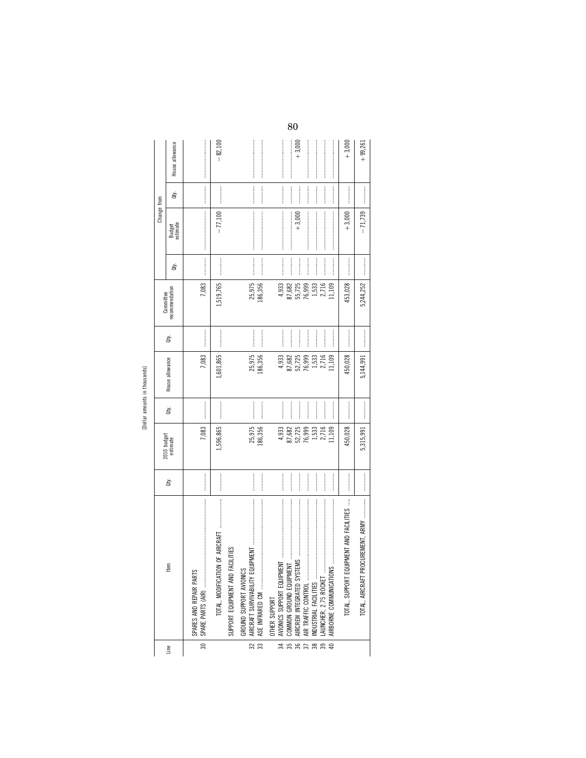| Ξ. |  |
|----|--|
| Ğ  |  |
|    |  |

|                                  |                                                                                                                                                                                                                                                                                                                                                                                                                                                                                                                                                                         |      |                         |           |                   |     | Committee         |             | Change from        |                  |                 |
|----------------------------------|-------------------------------------------------------------------------------------------------------------------------------------------------------------------------------------------------------------------------------------------------------------------------------------------------------------------------------------------------------------------------------------------------------------------------------------------------------------------------------------------------------------------------------------------------------------------------|------|-------------------------|-----------|-------------------|-----|-------------------|-------------|--------------------|------------------|-----------------|
| Line                             | tem                                                                                                                                                                                                                                                                                                                                                                                                                                                                                                                                                                     | ġ    | 2010 budget<br>estimate | đý.       | House allowance   | đť. | recommendation    | đý.         | Budget<br>estimate | ਛੇ               | House allowance |
| వి                               | SPARES AND REPAIR PARTS                                                                                                                                                                                                                                                                                                                                                                                                                                                                                                                                                 |      | 7,083                   |           | 7,083             |     | 7,083             |             |                    |                  |                 |
|                                  | TOTAL, MODIFICATION OF AIRCRAFT                                                                                                                                                                                                                                                                                                                                                                                                                                                                                                                                         |      | ,596,865                |           | ,601,865          |     | 1,519,765         |             | $-77,100$          | :<br>:<br>:<br>: | $-82,100$       |
|                                  | FACILITIES<br>SUPPORT EQUIPMENT AND                                                                                                                                                                                                                                                                                                                                                                                                                                                                                                                                     |      |                         |           |                   |     |                   |             |                    |                  |                 |
| $\frac{32}{ }$<br>$\frac{33}{2}$ | $\label{def:1} \begin{split} &\text{for some non-continuous} \ x \mapsto \text{if} \ x \mapsto \text{if} \ x \mapsto \text{if} \ x \mapsto \text{if} \ x \mapsto \text{if} \ x \mapsto \text{if} \ x \mapsto \text{if} \ x \mapsto \text{if} \ x \mapsto \text{if} \ x \mapsto \text{if} \ x \mapsto \text{if} \ x \mapsto \text{if} \ x \mapsto \text{if} \ x \mapsto \text{if} \ x \mapsto \text{if} \ x \mapsto \text{if} \ x \mapsto \text{if} \ x \mapsto \text{if} \ x \mapsto \text{if} \ x \mapsto \text{$<br>GROUND SUPPORT AVIONICS<br>ASE INFRARED CM        | <br> | 25,975<br>186,356       | <br>      | 25,975<br>186,356 |     | 25,975<br>186,356 |             |                    |                  |                 |
| $\overline{34}$                  | <b>OTHER SUPPORT</b>                                                                                                                                                                                                                                                                                                                                                                                                                                                                                                                                                    |      | 4,933                   |           | 4,933             |     | 4,933             |             |                    |                  |                 |
| $rac{1}{36}$<br>$\frac{35}{2}$   |                                                                                                                                                                                                                                                                                                                                                                                                                                                                                                                                                                         |      | 87,682<br>52,725        |           | 87,682<br>52,725  |     | 55,725<br>87,682  |             | $+3,000$           |                  | $+3,000$        |
| $\overline{37}$                  |                                                                                                                                                                                                                                                                                                                                                                                                                                                                                                                                                                         |      | 76,999                  |           | 76,999            |     | 76,999            | :<br>:<br>: |                    |                  |                 |
| $\frac{1}{33}$                   | $\label{def:1} \begin{minipage}{0.9\linewidth} \begin{minipage}{0.9\linewidth} \begin{minipage}{0.9\linewidth} \begin{minipage}{0.9\linewidth} \end{minipage} \begin{minipage}{0.9\linewidth} \begin{minipage}{0.9\linewidth} \end{minipage} \begin{minipage}{0.9\linewidth} \begin{minipage}{0.9\linewidth} \end{minipage} \begin{minipage}{0.9\linewidth} \end{minipage} \begin{minipage}{0.9\linewidth} \begin{minipage}{0.9\linewidth} \end{minipage} \begin{minipage}{0.9\linewidth} \end{minipage} \begin{minipage}{0.9\linewidth} \end$<br>INDUSTRIAL FACILITIES |      | 1,533                   |           | 1,533             |     | 1,533             |             |                    |                  |                 |
|                                  | LAUNCHER, 2.75 ROCKET.                                                                                                                                                                                                                                                                                                                                                                                                                                                                                                                                                  |      | 2,716                   | —<br>;    | 2,716             |     | 2,716             |             |                    |                  |                 |
|                                  |                                                                                                                                                                                                                                                                                                                                                                                                                                                                                                                                                                         |      | 1,109                   | <br> <br> | 1,109             |     | 1,109             |             |                    |                  |                 |
|                                  | TOTAL, SUPPORT EQUIPMENT AND FACILITIES                                                                                                                                                                                                                                                                                                                                                                                                                                                                                                                                 |      | 450,028                 |           | 450,028           |     | 453,028           |             | $+3,000$           |                  | $+3,000$        |
|                                  |                                                                                                                                                                                                                                                                                                                                                                                                                                                                                                                                                                         |      | 5,315,991               |           | 5,144,991         |     | 5,244,252         |             | $-71,739$          |                  | $+99,261$       |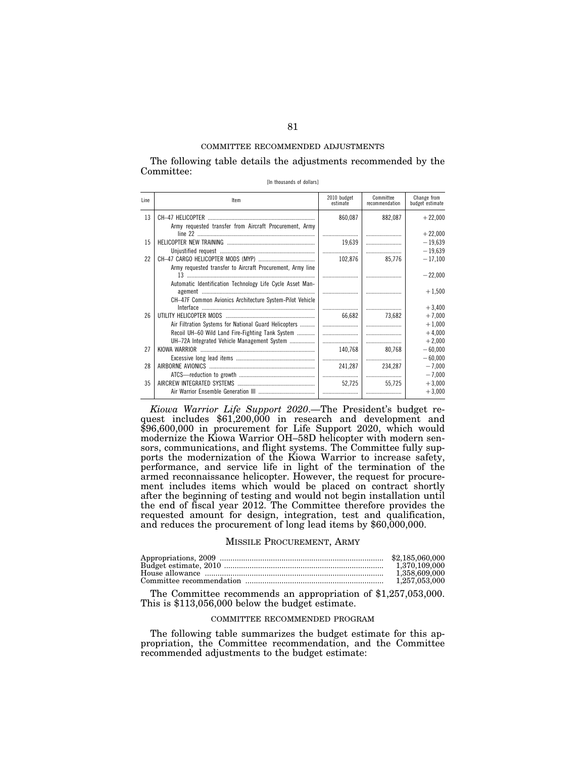The following table details the adjustments recommended by the Committee:

[In thousands of dollars]

| Line | Item                                                                                                                  | 2010 budget<br>estimate | Committee<br>recommendation | Change from<br>budget estimate |
|------|-----------------------------------------------------------------------------------------------------------------------|-------------------------|-----------------------------|--------------------------------|
| 13   | Army requested transfer from Aircraft Procurement, Army                                                               | 860,087                 | 882,087                     | $+22,000$                      |
|      |                                                                                                                       |                         |                             | $+22,000$                      |
| 15   |                                                                                                                       | 19.639                  |                             | $-19,639$                      |
|      |                                                                                                                       |                         |                             | $-19,639$                      |
| 22   |                                                                                                                       | 102.876                 | 85,776                      | $-17,100$                      |
|      | Army requested transfer to Aircraft Procurement, Army line                                                            |                         |                             | $-22,000$                      |
|      | Automatic Identification Technology Life Cycle Asset Man-<br>CH-47F Common Avionics Architecture System-Pilot Vehicle |                         |                             | $+1,500$                       |
|      |                                                                                                                       |                         |                             | $+3,400$                       |
| 26   |                                                                                                                       | 66.682                  | 73.682                      | $+7,000$                       |
|      | Air Filtration Systems for National Guard Helicopters                                                                 |                         |                             | $+1,000$                       |
|      | Recoil UH-60 Wild Land Fire-Fighting Tank System                                                                      |                         |                             | $+4,000$                       |
|      | UH-72A Integrated Vehicle Management System                                                                           |                         |                             | $+2,000$                       |
| 27   |                                                                                                                       | 140,768                 | 80,768                      | $-60,000$                      |
|      |                                                                                                                       |                         |                             | $-60,000$                      |
| 28   |                                                                                                                       | 241,287                 | 234,287                     | $-7,000$                       |
|      |                                                                                                                       |                         |                             | $-7,000$                       |
| 35   |                                                                                                                       | 52,725                  | 55,725                      | $+3,000$                       |
|      |                                                                                                                       |                         |                             | $+3,000$                       |

*Kiowa Warrior Life Support 2020*.—The President's budget request includes \$61,200,000 in research and development and \$96,600,000 in procurement for Life Support 2020, which would modernize the Kiowa Warrior OH–58D helicopter with modern sensors, communications, and flight systems. The Committee fully supports the modernization of the Kiowa Warrior to increase safety, performance, and service life in light of the termination of the armed reconnaissance helicopter. However, the request for procurement includes items which would be placed on contract shortly after the beginning of testing and would not begin installation until the end of fiscal year 2012. The Committee therefore provides the requested amount for design, integration, test and qualification, and reduces the procurement of long lead items by \$60,000,000.

## MISSILE PROCUREMENT, ARMY

| 1.370.109.000 |
|---------------|
| 1.358.609.000 |
|               |

The Committee recommends an appropriation of \$1,257,053,000. This is \$113,056,000 below the budget estimate.

### COMMITTEE RECOMMENDED PROGRAM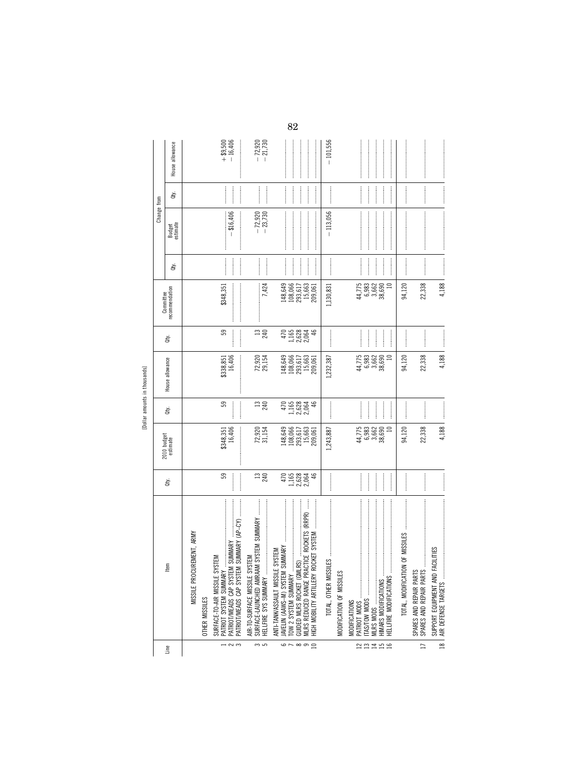| č<br>ì<br>ہم |
|--------------|
|              |
| Ě<br>i<br>Ğ  |
| ć            |

|                               |             | House allowance         |                                       |                       | $+ $9,500$<br>$- 16,406$                                                                                                                        | $-72,920$<br>$-21,730$                                                                          | $\label{def:1} \begin{minipage}{0.9\linewidth} \begin{minipage}{0.9\linewidth} \begin{minipage}{0.9\linewidth} \begin{minipage}{0.9\linewidth} \end{minipage} \begin{minipage}{0.9\linewidth} \begin{minipage}{0.9\linewidth} \end{minipage} \end{minipage} \begin{minipage}{0.9\linewidth} \begin{minipage}{0.9\linewidth} \begin{minipage}{0.9\linewidth} \end{minipage} \end{minipage} \begin{minipage}{0.9\linewidth} \begin{minipage}{0.9\linewidth} \end{minipage} \end{minipage} \begin{minipage}{0.9\linewidth} \begin{minipage}{0$ | $-101,556$                      |                                                                                                                           |                                                                                                                                                                                                                                                                                                                                                                                                                                                                                                                                                                                               |                                                    |                                                                                                                                                                                                                                                                                                                                                                                                                            |
|-------------------------------|-------------|-------------------------|---------------------------------------|-----------------------|-------------------------------------------------------------------------------------------------------------------------------------------------|-------------------------------------------------------------------------------------------------|---------------------------------------------------------------------------------------------------------------------------------------------------------------------------------------------------------------------------------------------------------------------------------------------------------------------------------------------------------------------------------------------------------------------------------------------------------------------------------------------------------------------------------------------|---------------------------------|---------------------------------------------------------------------------------------------------------------------------|-----------------------------------------------------------------------------------------------------------------------------------------------------------------------------------------------------------------------------------------------------------------------------------------------------------------------------------------------------------------------------------------------------------------------------------------------------------------------------------------------------------------------------------------------------------------------------------------------|----------------------------------------------------|----------------------------------------------------------------------------------------------------------------------------------------------------------------------------------------------------------------------------------------------------------------------------------------------------------------------------------------------------------------------------------------------------------------------------|
|                               |             | à                       |                                       |                       |                                                                                                                                                 | $\frac{1}{2}$                                                                                   | $\label{eq:1} \begin{split} \mathcal{L}_{\text{in}}(\mathcal{L}_{\text{in}}(\mathcal{L}_{\text{out}}),\mathcal{L}_{\text{out}}(\mathcal{L}_{\text{out}}))\geq 0 \end{split}$<br>$\cdots$<br>$\frac{1}{2}$                                                                                                                                                                                                                                                                                                                                   |                                 | $\frac{1}{2}$                                                                                                             | $\label{eq:1} \begin{minipage}{0.9\linewidth} \begin{minipage}{0.9\linewidth} \begin{minipage}{0.9\linewidth} \end{minipage} \begin{minipage}{0.9\linewidth} \begin{minipage}{0.9\linewidth} \end{minipage} \begin{minipage}{0.9\linewidth} \end{minipage} \begin{minipage}{0.9\linewidth} \end{minipage} \begin{minipage}{0.9\linewidth} \end{minipage} \begin{minipage}{0.9\linewidth} \end{minipage} \begin{minipage}{0.9\linewidth} \end{minipage} \begin{minipage}{0.9\linewidth} \end{minipage} \begin{minipage}{0.9\linewidth} \$                                                      |                                                    | $\frac{1}{2}$                                                                                                                                                                                                                                                                                                                                                                                                              |
|                               | Change from | Budget<br>estimate      |                                       |                       | \$16,406<br>İ                                                                                                                                   | $-72,920$<br>$-23,730$                                                                          |                                                                                                                                                                                                                                                                                                                                                                                                                                                                                                                                             | $-113,056$                      |                                                                                                                           | $\label{def:1} \begin{minipage}{0.9\linewidth} \begin{minipage}{0.9\linewidth} \begin{minipage}{0.9\linewidth} \begin{minipage}{0.9\linewidth} \end{minipage} \begin{minipage}{0.9\linewidth} \begin{minipage}{0.9\linewidth} \end{minipage} \end{minipage} \begin{minipage}{0.9\linewidth} \begin{minipage}{0.9\linewidth} \begin{minipage}{0.9\linewidth} \end{minipage} \end{minipage} \end{minipage} \begin{minipage}{0.9\linewidth} \begin{minipage}{0.9\linewidth} \begin{minipage}{0.9\linewidth} \end{minipage} \end{minipage} \$                                                     |                                                    | $\label{def:1}$                                                                                                                                                                                                                                                                                                                                                                                                            |
|                               |             | È                       |                                       |                       |                                                                                                                                                 |                                                                                                 | $\frac{1}{2}$                                                                                                                                                                                                                                                                                                                                                                                                                                                                                                                               |                                 | $\cdots$                                                                                                                  | $\begin{minipage}{0.9\linewidth} \begin{tabular}{l} \toprule \multicolumn{2}{c}{\textbf{0.9\linewidth}} \begin{tabular}{l} \multicolumn{2}{c}{\textbf{0.9\linewidth}} \end{tabular} \end{minipage} \end{minipage} \begin{minipage}{0.9\linewidth} \begin{tabular}{l} \multicolumn{2}{c}{\textbf{0.9\linewidth}} \end{tabular} \end{minipage} \end{minipage} \begin{minipage}{0.9\linewidth} \begin{tabular}{l} \multicolumn{2}{c}{\textbf{0.9\linewidth}} \end{tabular} \end{minipage} \end{minipage} \begin{minipage}{0.9$                                                                   |                                                    | $\begin{minipage}{0.9\linewidth} \begin{tabular}{l} \hline \textbf{1} & \textbf{2} & \textbf{3} & \textbf{4} & \textbf{5} & \textbf{6} & \textbf{6} & \textbf{7} & \textbf{8} & \textbf{8} & \textbf{9} & \textbf{10} & \textbf{10} & \textbf{10} & \textbf{10} & \textbf{10} & \textbf{10} & \textbf{10} & \textbf{10} & \textbf{10} & \textbf{10} & \textbf{10} & \textbf{10} & \textbf{10} & \textbf{10} & \textbf{10}$ |
|                               | Committee   | recommendation          |                                       |                       | \$348,351                                                                                                                                       | 7,424                                                                                           | 108,066<br>293,617<br>148,649<br>15,663<br>209,061                                                                                                                                                                                                                                                                                                                                                                                                                                                                                          | 1,130,831                       | $4,75$<br>$6,983$<br>$6,690$<br>$6,690$<br>$\approx$                                                                      | 94,120                                                                                                                                                                                                                                                                                                                                                                                                                                                                                                                                                                                        | 22,338                                             | 4,188                                                                                                                                                                                                                                                                                                                                                                                                                      |
|                               |             | đťy.                    |                                       |                       | 59                                                                                                                                              | $13^{240}$                                                                                      | $1,165$<br>$2,628$<br>$2,064$<br>$\frac{4}{5}$<br>470                                                                                                                                                                                                                                                                                                                                                                                                                                                                                       |                                 | $\frac{1}{2}$                                                                                                             |                                                                                                                                                                                                                                                                                                                                                                                                                                                                                                                                                                                               |                                                    |                                                                                                                                                                                                                                                                                                                                                                                                                            |
| [Dollar amounts in thousands] |             | House allowance         |                                       |                       | $\frac{1}{2}$<br>\$338,851<br>16,406                                                                                                            | 72,920<br>29,154                                                                                | 148,649<br>108,066<br>293,617<br>15,663<br>209,061                                                                                                                                                                                                                                                                                                                                                                                                                                                                                          | 1,232,387                       | 44,775<br>6,983<br>5,662<br>38,690<br>$\Xi$                                                                               | 94,120                                                                                                                                                                                                                                                                                                                                                                                                                                                                                                                                                                                        | 22,338                                             | 4,188                                                                                                                                                                                                                                                                                                                                                                                                                      |
|                               |             | ਛੇ                      |                                       |                       | 59                                                                                                                                              | $\frac{13}{240}$                                                                                | $47684$<br>$-2684$<br>$-2064$<br>46                                                                                                                                                                                                                                                                                                                                                                                                                                                                                                         |                                 | <br> <br> <br>                                                                                                            |                                                                                                                                                                                                                                                                                                                                                                                                                                                                                                                                                                                               |                                                    |                                                                                                                                                                                                                                                                                                                                                                                                                            |
|                               |             | 2010 budget<br>estimate |                                       |                       | \$348,351<br>16,406                                                                                                                             | 72,920<br>31,154                                                                                | $\begin{array}{c} 148,649 \\ 108,066 \\ 293,617 \\ 15,663 \\ 15,663 \\ 209,061 \end{array}$                                                                                                                                                                                                                                                                                                                                                                                                                                                 | 1,243,887                       | 44,775<br>6,983<br>6,662<br>38,690<br>$\Xi$                                                                               | 94,120                                                                                                                                                                                                                                                                                                                                                                                                                                                                                                                                                                                        | 22,338                                             | 4,188                                                                                                                                                                                                                                                                                                                                                                                                                      |
|                               |             | ਛੇ                      |                                       |                       | 59                                                                                                                                              | $13 \over 240$                                                                                  | 470<br>$1,165$<br>$2,628$<br>$2,064$<br>¥                                                                                                                                                                                                                                                                                                                                                                                                                                                                                                   |                                 |                                                                                                                           |                                                                                                                                                                                                                                                                                                                                                                                                                                                                                                                                                                                               |                                                    |                                                                                                                                                                                                                                                                                                                                                                                                                            |
|                               |             | Item                    | <b>JREMENT, ARMY</b><br>MISSILE PROCI | <b>OTHER MISSILES</b> | SUMMARY (AP-CY)<br>$SUMMARY$<br>SURFACE-TO-AIR MISSILE SYSTEM<br>PATRIOT/MEADS CAP SYSTEM<br>PATRIOT/MEADS CAP SYSTEM<br>PATRIOT SYSTEM SUMMARY | SURFACE-LAUNCHED AMRAAM SYSTEM SUMMARY<br>AIR-TO-SURFACE MISSILE SYSTEM<br>HELLFIRE SYS SUMMARY | ļ<br>MLRS REDUCED RANGE PRACTICE ROCKETS (RRPR)<br>HIGH MOBILITY ARTILLERY ROCKET SYSTEM<br>JAVELIN (AAWS-M) SYSTEM SUMMARY<br>SYSTEM<br>ANTI-TANK/ASSAULT MISSILE<br>GUIDED MLRS ROCKET (GML<br>TOW 2 SYSTEM SUMMARY                                                                                                                                                                                                                                                                                                                       | <b>ES</b><br>TOTAL, OTHER MISSI | HELLFIRE MODIFICATIONS<br>MODIFICATION OF MISSILES<br><b>HIMARS MODIFICATIONS</b><br>PATRIOT MODS<br><b>MODIFICATIONS</b> | $\label{def:conformal} \begin{minipage}{0.9\textwidth} \centering \begin{minipage}{0.9\textwidth} \centering \end{minipage} \begin{minipage}{0.9\textwidth} \centering \begin{minipage}{0.9\textwidth} \centering \end{minipage} \begin{minipage}{0.9\textwidth} \centering \end{minipage} \begin{minipage}{0.9\textwidth} \centering \end{minipage} \begin{minipage}{0.9\textwidth} \centering \end{minipage} \begin{minipage}{0.9\textwidth} \centering \end{minipage} \begin{minipage}{0.9\textwidth} \centering \end{minipage} \begin{minipage}{0.$<br>OF MISSILES<br>TOTAL, MODIFICATION | SPARES AND REPAIR PARTS<br>SPARES AND REPAIR PARTS | SUPPORT EQUIPMENT AND FACILITIES<br>AIR DEFENSE TARGETS                                                                                                                                                                                                                                                                                                                                                                    |
|                               |             | Line                    |                                       |                       | $-25$                                                                                                                                           | က ဟ                                                                                             | $6 - 892$                                                                                                                                                                                                                                                                                                                                                                                                                                                                                                                                   |                                 | 22199                                                                                                                     |                                                                                                                                                                                                                                                                                                                                                                                                                                                                                                                                                                                               | $\overline{1}$                                     | $\approx$                                                                                                                                                                                                                                                                                                                                                                                                                  |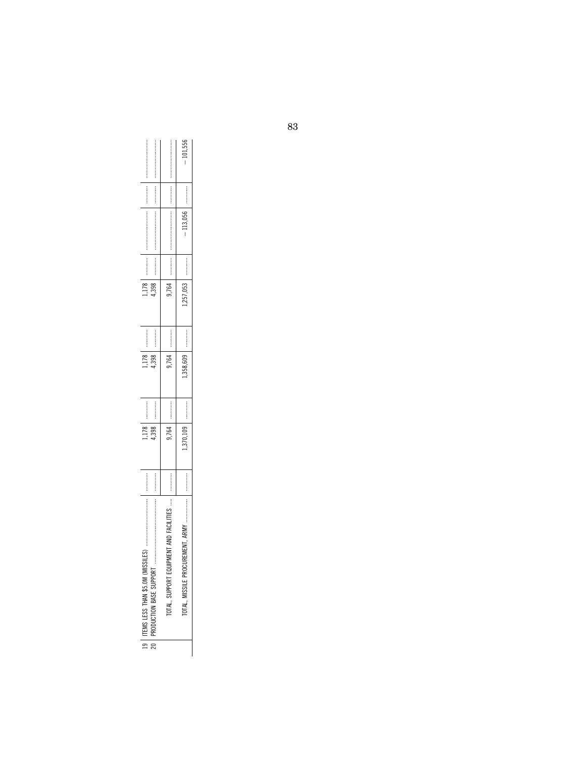|                                                                  |                            |                            | $-101,556$                                             |  |
|------------------------------------------------------------------|----------------------------|----------------------------|--------------------------------------------------------|--|
| :<br>:<br>:<br>:<br>:                                            |                            |                            | :<br>:<br>:<br>:<br>:                                  |  |
|                                                                  |                            |                            | $-113,056$                                             |  |
|                                                                  |                            |                            | :<br>:<br>:<br>:<br>:                                  |  |
| o<br>1398<br>ŗ                                                   |                            | 9.764                      | .257.053                                               |  |
| :<br>:<br>:<br>:<br>:                                            |                            |                            | :<br>:<br>:<br>:<br>:                                  |  |
| 1,178<br>1,398                                                   |                            | 1764                       | 358.                                                   |  |
| <br>                                                             |                            |                            | :<br>:<br>:<br>:<br>:                                  |  |
| ミュニュ<br>ř<br>4.398                                               |                            | 9.764                      | 1.370,1 <sub>b</sub>                                   |  |
|                                                                  | :<br>:<br>:<br>:<br>:<br>: |                            | :<br>:<br>:<br>:<br>:                                  |  |
| 19   ITEMS LESS THAN \$5.0M (MI)<br>20   PRODUCTION BASE SUPPORT |                            | TTES<br>TOTAL, SUPPORT EQU | <b>AKM</b><br>ź<br>$\frac{1}{2}$<br>TOTAL, MISSILE PRO |  |
|                                                                  |                            |                            |                                                        |  |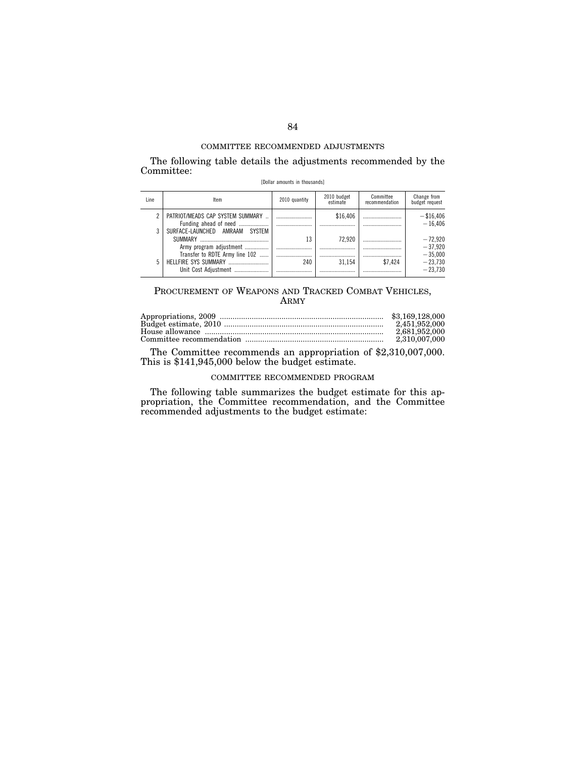The following table details the adjustments recommended by the Committee: [Dollar amounts in thousands]

| Line | Item                                                                        | 2010 quantity | 2010 budget<br>estimate | Committee<br>recommendation | Change from<br>budget request       |
|------|-----------------------------------------------------------------------------|---------------|-------------------------|-----------------------------|-------------------------------------|
| 2    | PATRIOT/MEADS CAP SYSTEM SUMMARY<br>Funding ahead of need                   |               | \$16,406                |                             | $-$ \$16,406<br>$-16.406$           |
| 3    | SURFACE-LAUNCHED AMRAAM SYSTEM<br><b>SUMMARY</b><br>Army program adjustment | 13            | 72.920<br>              |                             | $-72.920$<br>$-37.920$              |
| 5    | Transfer to RDTE Army line 102<br>Unit Cost Adiustment                      | <br>240       | 31.154<br>              | <br>\$7.424                 | $-35.000$<br>$-23.730$<br>$-23.730$ |

# PROCUREMENT OF WEAPONS AND TRACKED COMBAT VEHICLES, ARMY

| 2.681.952.000 |
|---------------|
|               |

The Committee recommends an appropriation of \$2,310,007,000. This is \$141,945,000 below the budget estimate.

## COMMITTEE RECOMMENDED PROGRAM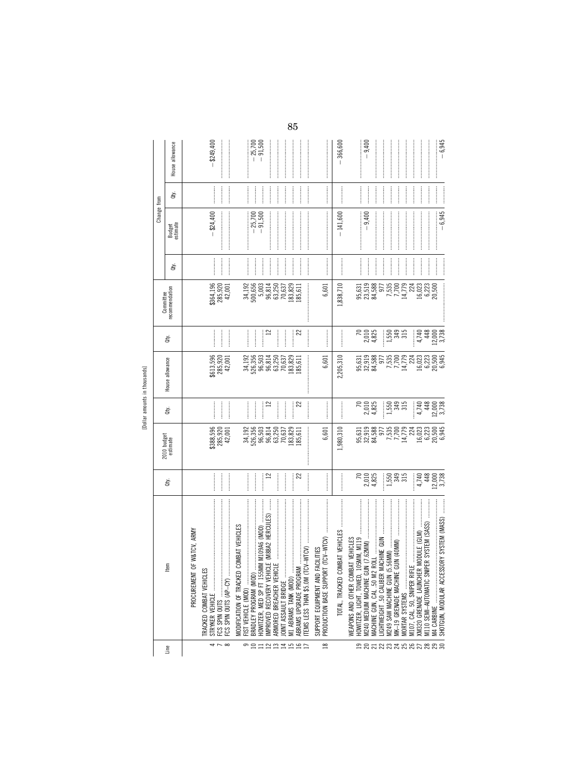[Dollar amounts in thousands]

|                    |                                                                                              |                                            |                                     |                                 |                                                                   |                         |                               |                                    | Change from                                                                                                                                                                                                                                                                                                                                                                                                                                                                                                                                             |                  |                        |
|--------------------|----------------------------------------------------------------------------------------------|--------------------------------------------|-------------------------------------|---------------------------------|-------------------------------------------------------------------|-------------------------|-------------------------------|------------------------------------|---------------------------------------------------------------------------------------------------------------------------------------------------------------------------------------------------------------------------------------------------------------------------------------------------------------------------------------------------------------------------------------------------------------------------------------------------------------------------------------------------------------------------------------------------------|------------------|------------------------|
| Line               | ltem                                                                                         | ਛੇ                                         | 2010 budget<br>estimate             | È                               | House allowance                                                   | È                       | recommendation<br>Committee   | ਛੇ                                 | Budget<br>estimate                                                                                                                                                                                                                                                                                                                                                                                                                                                                                                                                      | È                | House allowance        |
|                    | PROCUREMENT OF W&TCV, ARMY                                                                   |                                            |                                     |                                 |                                                                   |                         |                               |                                    |                                                                                                                                                                                                                                                                                                                                                                                                                                                                                                                                                         |                  |                        |
| 4                  | TRACKED COMBAT VEHICLES                                                                      |                                            |                                     |                                 |                                                                   |                         |                               |                                    | $-$ \$24,400                                                                                                                                                                                                                                                                                                                                                                                                                                                                                                                                            |                  | $-$ \$249,400          |
|                    |                                                                                              |                                            | $$388,596$<br>$285,920$<br>$42,001$ |                                 | $8613,596$<br>$285,920$<br>$42,001$                               |                         | \$364,196<br>285,920          | $\frac{1}{2}$                      |                                                                                                                                                                                                                                                                                                                                                                                                                                                                                                                                                         |                  |                        |
| $\infty$           | FCS SPIN OUTS (AP-CY)                                                                        | :<br>:<br>:                                |                                     | <br> <br> <br>                  |                                                                   | <br> <br>               | 42,001                        |                                    |                                                                                                                                                                                                                                                                                                                                                                                                                                                                                                                                                         |                  |                        |
|                    | COMBAT VEHICLES<br>MODIFICATION OF TRACKED                                                   |                                            |                                     |                                 |                                                                   |                         |                               |                                    |                                                                                                                                                                                                                                                                                                                                                                                                                                                                                                                                                         |                  |                        |
| ື≘ສ                | FIST VEHICLE (MOD)                                                                           | <br> <br> <br>                             | 34,192<br>526,356<br>96,503         |                                 | 34,192<br>526,356<br>96,503                                       |                         | 34, 192<br>500, 656<br>5, 003 | $\frac{1}{2}$                      |                                                                                                                                                                                                                                                                                                                                                                                                                                                                                                                                                         |                  |                        |
|                    |                                                                                              |                                            |                                     |                                 |                                                                   |                         |                               |                                    | $-25,700$                                                                                                                                                                                                                                                                                                                                                                                                                                                                                                                                               |                  | $-25,700$<br>$-91,500$ |
|                    | E (M88A2 HERCULES)<br>M M109A6 (MOD)<br>IMPROVED RECOVERY VEHICI<br>HOWITZER, MED SP FT 155M | $\mathbf{r}$<br> <br> <br> <br>            |                                     | $\mathbf{r}$<br> <br> <br>      | 96,814                                                            | $\approx$<br> <br> <br> | 96,814                        |                                    | .91,500                                                                                                                                                                                                                                                                                                                                                                                                                                                                                                                                                 |                  |                        |
|                    |                                                                                              |                                            | 96,814<br>63,250                    |                                 | 63,250                                                            |                         | 63,250                        | <br> <br> <br> <br> <br> <br> <br> |                                                                                                                                                                                                                                                                                                                                                                                                                                                                                                                                                         |                  |                        |
|                    | OINT ASSAULT BRIDGE                                                                          |                                            | $70,637$<br>$83,829$<br>$85,611$    | :<br>:<br>:<br>:                | 70,637                                                            |                         | 70,637<br>183,829             |                                    |                                                                                                                                                                                                                                                                                                                                                                                                                                                                                                                                                         | :<br>:<br>:<br>: |                        |
|                    | M1 ABRAMS TANK (MOD)                                                                         | <br> <br> <br>                             |                                     | <br> <br> <br>                  | 183,829                                                           | <br> <br> <br>          |                               | <br> <br> <br>                     |                                                                                                                                                                                                                                                                                                                                                                                                                                                                                                                                                         | <br> <br> <br>   |                        |
| <b>NAMES</b>       | TEMS LESS THAN \$5.0M (TC)<br>ABRAMS UPGRADE PROGRAM                                         | 22                                         |                                     | 22                              | 185,611                                                           | 22<br>:<br>:<br>:<br>:  | :<br>:<br>185,611             | <br> <br>                          |                                                                                                                                                                                                                                                                                                                                                                                                                                                                                                                                                         | ┋<br>:<br>:<br>: |                        |
|                    | SUPPORT EQUIPMENT AND FACILITIES                                                             |                                            |                                     |                                 |                                                                   |                         |                               |                                    |                                                                                                                                                                                                                                                                                                                                                                                                                                                                                                                                                         |                  |                        |
| $\approx$          | PRODUCTION BASE SUPPORT                                                                      | —<br>;<br>;                                | 6,601                               |                                 | 6,601                                                             | <br> <br> <br>          | 6,601                         |                                    | $\label{def:conformal} \begin{minipage}{0.9\textwidth} \centering \begin{minipage}{0.9\textwidth} \centering \end{minipage} \begin{minipage}{0.9\textwidth} \centering \begin{minipage}{0.9\textwidth} \centering \end{minipage} \begin{minipage}{0.9\textwidth} \centering \end{minipage} \begin{minipage}{0.9\textwidth} \centering \end{minipage} \begin{minipage}{0.9\textwidth} \centering \end{minipage} \begin{minipage}{0.9\textwidth} \centering \end{minipage} \begin{minipage}{0.9\textwidth} \centering \end{minipage} \begin{minipage}{0.$ |                  |                        |
|                    |                                                                                              |                                            | 1,980,310                           | :<br>:<br>:<br>:                | 2,205,310                                                         |                         | 1,838,710                     |                                    | $-141,600$                                                                                                                                                                                                                                                                                                                                                                                                                                                                                                                                              |                  | $-366,600$             |
|                    | WEAPONS AND OTHER COMBAT VEHICLES<br>HOWITZER, LIGHT, TOWED, 105MM, M119                     |                                            |                                     |                                 |                                                                   |                         |                               |                                    |                                                                                                                                                                                                                                                                                                                                                                                                                                                                                                                                                         |                  |                        |
|                    |                                                                                              | $\sqrt{2}$                                 |                                     |                                 |                                                                   | $\approx$               |                               | <b><i><u><u></u></u></i></b>       |                                                                                                                                                                                                                                                                                                                                                                                                                                                                                                                                                         |                  |                        |
|                    | M240 MEDIUM MACHINE GUN (7.62MM)                                                             | 2,010<br>4,825                             |                                     | 2,010<br>4,825                  |                                                                   | 2,010<br>4,825          | 95,631<br>95,519<br>84,588    |                                    | $-9,400$                                                                                                                                                                                                                                                                                                                                                                                                                                                                                                                                                | <br> <br>        | $-9.400$               |
|                    | IGHTWEIGHT .50 CALIBER MACHINE GUN                                                           |                                            |                                     |                                 |                                                                   |                         | 977                           | <br> <br>                          |                                                                                                                                                                                                                                                                                                                                                                                                                                                                                                                                                         | :<br>:<br>:<br>: |                        |
|                    | M249 SAW MACHINE GUN (5.                                                                     | $1,550$<br>$3,45$<br>$3,15$                |                                     |                                 | 95,631<br>32,919<br>84,588<br>7,700<br>7,779<br>14,779            | ļ                       | 7,535                         | <br> <br> <br> <br>                |                                                                                                                                                                                                                                                                                                                                                                                                                                                                                                                                                         | :<br>:<br>:<br>: |                        |
|                    |                                                                                              |                                            |                                     | $1,550$<br>$349$<br>$315$       |                                                                   | 1,559<br>345<br>315     | 7,700                         |                                    |                                                                                                                                                                                                                                                                                                                                                                                                                                                                                                                                                         |                  |                        |
|                    | MORTAR SYSTEMS                                                                               |                                            |                                     |                                 |                                                                   |                         | 14,779                        |                                    |                                                                                                                                                                                                                                                                                                                                                                                                                                                                                                                                                         |                  |                        |
|                    | M107, CAL. 50, SNIPER RIFLE                                                                  |                                            |                                     |                                 | 224                                                               |                         | 224                           |                                    |                                                                                                                                                                                                                                                                                                                                                                                                                                                                                                                                                         |                  |                        |
|                    | MODULE (GLM)<br>XM320 GRENADE LAUNCHER                                                       |                                            |                                     |                                 |                                                                   | 4,748                   | 16,023                        | $\frac{1}{2}$                      |                                                                                                                                                                                                                                                                                                                                                                                                                                                                                                                                                         |                  |                        |
|                    | ER SYSTEM (SASS)<br>M110 SEMI-AUTOMATIC SNIP                                                 |                                            |                                     |                                 |                                                                   |                         | 6,223<br>20,500               |                                    |                                                                                                                                                                                                                                                                                                                                                                                                                                                                                                                                                         | :<br>:<br>:<br>: |                        |
| <b>BARARXARRAR</b> | SHOTGUN, MODULAR ACCESSORY SYSTEM (MASS)                                                     | $4,748$<br>$12,000$<br>$12,738$<br>$3,738$ |                                     | $4,740$<br>$12,000$<br>$12,738$ | $\begin{array}{l} 16,023 \\ 6,223 \\ 20,500 \\ 6,945 \end{array}$ | 12,000<br>3,738         |                               |                                    | $-6,945$                                                                                                                                                                                                                                                                                                                                                                                                                                                                                                                                                | <br> <br> <br>   | $-6,945$               |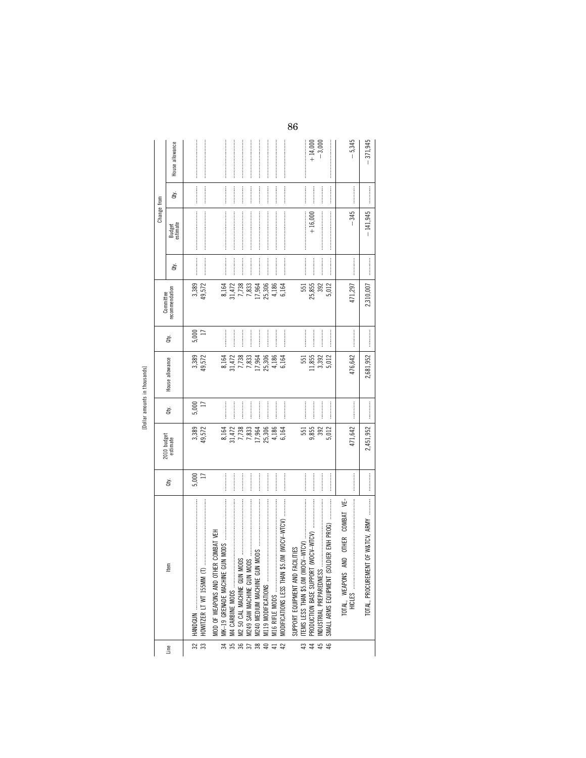| 1<br>л. |  |
|---------|--|
| ↽       |  |
|         |  |

|                       |                                                                                |                         |                         |                                    |                          |                          | Committee       |               | Change from                                                                                                                                                                                                                                                                                                                                                                                                                                                                                                                                             |                                  |                       |
|-----------------------|--------------------------------------------------------------------------------|-------------------------|-------------------------|------------------------------------|--------------------------|--------------------------|-----------------|---------------|---------------------------------------------------------------------------------------------------------------------------------------------------------------------------------------------------------------------------------------------------------------------------------------------------------------------------------------------------------------------------------------------------------------------------------------------------------------------------------------------------------------------------------------------------------|----------------------------------|-----------------------|
| Line                  | tem                                                                            | È.                      | 2010 budget<br>estimate | đý.                                | House allowance          | đy.                      | recommendation  | đý.           | Budget<br>estimate                                                                                                                                                                                                                                                                                                                                                                                                                                                                                                                                      | ਛੇ                               | House allowance       |
| $\overline{33}$<br>32 | HOWITZER LT WT 155MM (T)<br>HAND GUN                                           | $\overline{1}$<br>5,000 | 3,389<br>49,572         | 5,000                              | 3,389<br>49,572          | $5,000$<br>$17$          | 49,572<br>3,389 |               |                                                                                                                                                                                                                                                                                                                                                                                                                                                                                                                                                         |                                  |                       |
| $\frac{1}{34}$        | MOD OF WEAPONS AND OTHER COMBAT VEH<br>MK-19 GRENADE MACHINE                   |                         | 8,164                   |                                    |                          |                          | 8,164           |               |                                                                                                                                                                                                                                                                                                                                                                                                                                                                                                                                                         |                                  |                       |
| 35                    |                                                                                | <br> <br> <br> <br>     | 31,472<br>7,738         | <br> <br> <br>                     | 8,164<br>31,472<br>7,738 |                          | 31,472<br>7,738 |               |                                                                                                                                                                                                                                                                                                                                                                                                                                                                                                                                                         |                                  |                       |
|                       |                                                                                |                         | 7,833                   | <br> <br> <br> <br> <br> <br> <br> | 7,833                    | <br> <br> <br> <br> <br> | 7,833           |               | $\label{def:conformal} \begin{minipage}{0.9\textwidth} \centering \begin{minipage}{0.9\textwidth} \centering \end{minipage} \begin{minipage}{0.9\textwidth} \centering \begin{minipage}{0.9\textwidth} \centering \end{minipage} \begin{minipage}{0.9\textwidth} \centering \end{minipage} \begin{minipage}{0.9\textwidth} \centering \end{minipage} \begin{minipage}{0.9\textwidth} \centering \end{minipage} \begin{minipage}{0.9\textwidth} \centering \end{minipage} \begin{minipage}{0.9\textwidth} \centering \end{minipage} \begin{minipage}{0.$ |                                  |                       |
|                       |                                                                                |                         | 17,964                  | :<br>:<br>:<br>:                   | 17,964                   | <br> <br> <br>           | 17,964          | :<br>:<br>:   |                                                                                                                                                                                                                                                                                                                                                                                                                                                                                                                                                         |                                  |                       |
|                       |                                                                                |                         | 25,306                  |                                    | 25,306                   |                          | 25,306          |               |                                                                                                                                                                                                                                                                                                                                                                                                                                                                                                                                                         | .<br>.<br>.<br>.<br>.<br>.<br>.  |                       |
|                       | M16 RIFLE MODS                                                                 |                         | 4,186                   |                                    | 4,186                    |                          | 4,186           |               |                                                                                                                                                                                                                                                                                                                                                                                                                                                                                                                                                         |                                  |                       |
| 42                    | \$5.0M (WOCV-WTCV)<br>MODIFICATIONS LESS THAN                                  |                         | 6,164                   |                                    | 6,164                    |                          | 6,164           |               |                                                                                                                                                                                                                                                                                                                                                                                                                                                                                                                                                         |                                  |                       |
| 43                    | VOCV-WTCV)<br>FACILITIES<br>ITEMS LESS THAN \$5.0M (W<br>SUPPORT EQUIPMENT AND |                         | 551                     |                                    | 551                      |                          | 551             |               |                                                                                                                                                                                                                                                                                                                                                                                                                                                                                                                                                         |                                  | :<br>:<br>:           |
| $\frac{1}{4}$         | 45   INDUSTRIAL PREPAREDNESS                                                   |                         | 9,855<br>392            |                                    | 1,855<br>3,392           |                          | 25,855<br>392   |               | $+16,000$                                                                                                                                                                                                                                                                                                                                                                                                                                                                                                                                               |                                  | $+14,000$<br>$-3,000$ |
| 46                    | SMALL ARMS EQUIPMENT (SOLDIER ENH PROG)                                        | <br> <br> <br>          | 5,012                   | —<br>;                             | 5,012                    | <br> <br>                | 5,012           | $\frac{1}{2}$ | $\label{def:1} \begin{minipage}{0.9\linewidth} \begin{minipage}{0.9\linewidth} \begin{minipage}{0.9\linewidth} \begin{minipage}{0.9\linewidth} \end{minipage} \begin{minipage}{0.9\linewidth} \begin{minipage}{0.9\linewidth} \end{minipage} \begin{minipage}{0.9\linewidth} \begin{minipage}{0.9\linewidth} \end{minipage} \begin{minipage}{0.9\linewidth} \begin{minipage}{0.9\linewidth} \end{minipage} \begin{minipage}{0.9\linewidth} \end{minipage} \begin{minipage}{0.9\linewidth} \end{minipage} \begin{minipage}{0.9\linewidth} \begin$        | $\frac{1}{2}$<br> <br> <br> <br> |                       |
|                       |                                                                                |                         | 471,642                 |                                    | 476,642                  |                          | 471,297         |               | $-345$                                                                                                                                                                                                                                                                                                                                                                                                                                                                                                                                                  |                                  | $-5,345$              |
|                       | INT OF W&TCV, ARMY<br>TOTAL, PROCUREME                                         |                         | 2,451,952               |                                    | 2,681,952                |                          | 2,310,007       |               | $-141,945$                                                                                                                                                                                                                                                                                                                                                                                                                                                                                                                                              | :<br>:<br>:<br>:                 | $-371,945$            |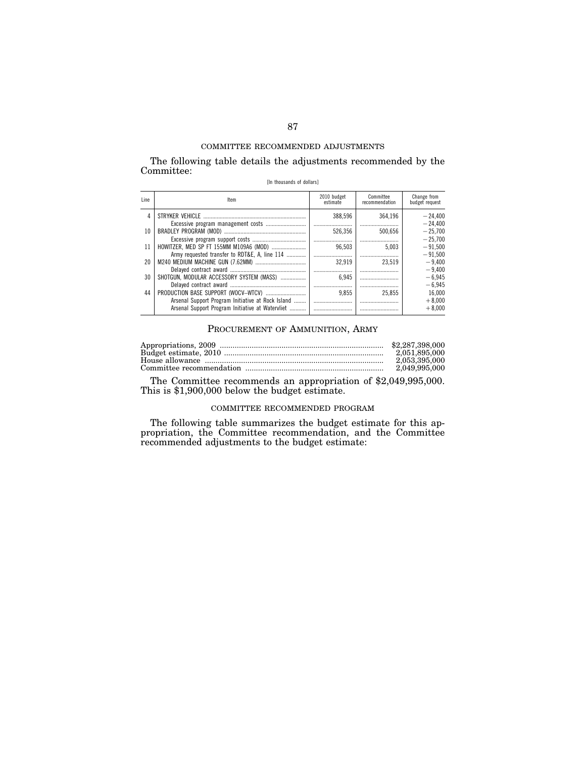The following table details the adjustments recommended by the Committee:

| [In thousands of dollars] |  |
|---------------------------|--|
|---------------------------|--|

| Line | ltem                                              | 2010 budget<br>estimate | Committee<br>recommendation | Change from<br>budget request |
|------|---------------------------------------------------|-------------------------|-----------------------------|-------------------------------|
| 4    |                                                   | 388.596                 | 364.196                     | $-24.400$                     |
|      |                                                   |                         |                             | $-24.400$                     |
| 10   |                                                   | 526,356                 | 500.656                     | $-25.700$                     |
|      |                                                   |                         |                             | $-25.700$                     |
| 11   |                                                   | 96.503                  | 5.003                       | $-91.500$                     |
|      | Army requested transfer to RDT&E, A, line 114     |                         |                             | $-91.500$                     |
| 20   |                                                   | 32.919                  | 23.519                      | $-9.400$                      |
|      |                                                   |                         |                             | $-9.400$                      |
| 30   | SHOTGUN, MODULAR ACCESSORY SYSTEM (MASS)          | 6.945                   |                             | $-6.945$                      |
|      |                                                   |                         |                             | $-6.945$                      |
| 44   |                                                   | 9.855                   | 25.855                      | 16.000                        |
|      | Arsenal Support Program Initiative at Rock Island |                         |                             | $+8.000$                      |
|      | Arsenal Support Program Initiative at Watervliet  |                         |                             | $+8.000$                      |

# PROCUREMENT OF AMMUNITION, ARMY

| 2.051.895.000 |
|---------------|
| 2.053.395.000 |
| 2.049.995.000 |

The Committee recommends an appropriation of \$2,049,995,000. This is \$1,900,000 below the budget estimate.

## COMMITTEE RECOMMENDED PROGRAM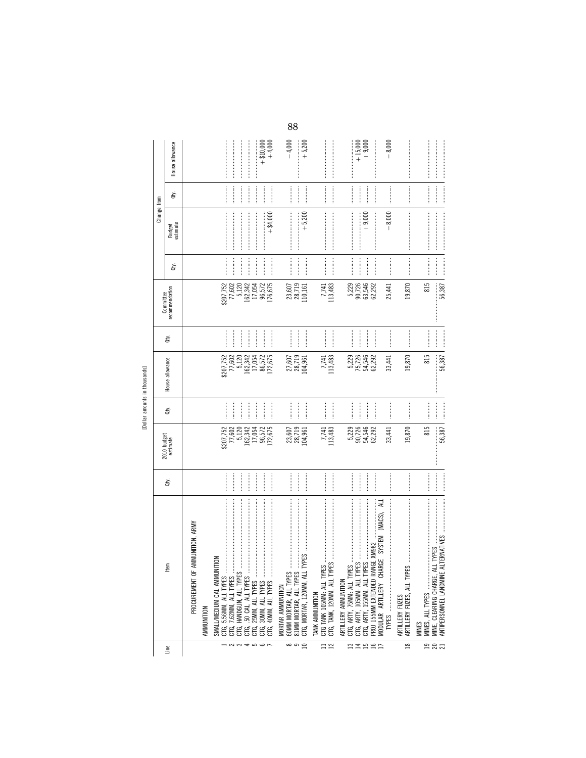|                                                         |                                                                                                                                                                                                                                                                                                                                                                                                                                                                                                                                                                                                                                                                                                                                                                                                                                                                                                                                                                                                                                                                                                                                                                                                            |                                                                                                                                                                                                                                                                                                                                                                                                                                                                                                                                                                                              |                                                            |                |                             |                                                                                                                                                                                                                                |                               |                                                                                                                                                                                                                                                                                                                                                                                                                                                                                                                                                               | Change from                                                                                                                                                                                                                                                                                                                                                                                                                                                                                                                                                |                                                                                                                                                                                                                                                                                                                                                                                                                                                                                                                                                               |                        |
|---------------------------------------------------------|------------------------------------------------------------------------------------------------------------------------------------------------------------------------------------------------------------------------------------------------------------------------------------------------------------------------------------------------------------------------------------------------------------------------------------------------------------------------------------------------------------------------------------------------------------------------------------------------------------------------------------------------------------------------------------------------------------------------------------------------------------------------------------------------------------------------------------------------------------------------------------------------------------------------------------------------------------------------------------------------------------------------------------------------------------------------------------------------------------------------------------------------------------------------------------------------------------|----------------------------------------------------------------------------------------------------------------------------------------------------------------------------------------------------------------------------------------------------------------------------------------------------------------------------------------------------------------------------------------------------------------------------------------------------------------------------------------------------------------------------------------------------------------------------------------------|------------------------------------------------------------|----------------|-----------------------------|--------------------------------------------------------------------------------------------------------------------------------------------------------------------------------------------------------------------------------|-------------------------------|---------------------------------------------------------------------------------------------------------------------------------------------------------------------------------------------------------------------------------------------------------------------------------------------------------------------------------------------------------------------------------------------------------------------------------------------------------------------------------------------------------------------------------------------------------------|------------------------------------------------------------------------------------------------------------------------------------------------------------------------------------------------------------------------------------------------------------------------------------------------------------------------------------------------------------------------------------------------------------------------------------------------------------------------------------------------------------------------------------------------------------|---------------------------------------------------------------------------------------------------------------------------------------------------------------------------------------------------------------------------------------------------------------------------------------------------------------------------------------------------------------------------------------------------------------------------------------------------------------------------------------------------------------------------------------------------------------|------------------------|
| Line                                                    | ltem                                                                                                                                                                                                                                                                                                                                                                                                                                                                                                                                                                                                                                                                                                                                                                                                                                                                                                                                                                                                                                                                                                                                                                                                       | ਛੇ                                                                                                                                                                                                                                                                                                                                                                                                                                                                                                                                                                                           | 2010 budget<br>estimate                                    | đťy.           | House allowance             | È                                                                                                                                                                                                                              | recommendation<br>Committee   | đý.                                                                                                                                                                                                                                                                                                                                                                                                                                                                                                                                                           | Budget<br>estimate                                                                                                                                                                                                                                                                                                                                                                                                                                                                                                                                         | ਛੇ                                                                                                                                                                                                                                                                                                                                                                                                                                                                                                                                                            | House allowance        |
|                                                         | PROCUREMENT OF AMMUNITION, ARMY                                                                                                                                                                                                                                                                                                                                                                                                                                                                                                                                                                                                                                                                                                                                                                                                                                                                                                                                                                                                                                                                                                                                                                            |                                                                                                                                                                                                                                                                                                                                                                                                                                                                                                                                                                                              |                                                            |                |                             |                                                                                                                                                                                                                                |                               |                                                                                                                                                                                                                                                                                                                                                                                                                                                                                                                                                               |                                                                                                                                                                                                                                                                                                                                                                                                                                                                                                                                                            |                                                                                                                                                                                                                                                                                                                                                                                                                                                                                                                                                               |                        |
|                                                         | AMMUNITION                                                                                                                                                                                                                                                                                                                                                                                                                                                                                                                                                                                                                                                                                                                                                                                                                                                                                                                                                                                                                                                                                                                                                                                                 |                                                                                                                                                                                                                                                                                                                                                                                                                                                                                                                                                                                              |                                                            |                |                             |                                                                                                                                                                                                                                |                               |                                                                                                                                                                                                                                                                                                                                                                                                                                                                                                                                                               |                                                                                                                                                                                                                                                                                                                                                                                                                                                                                                                                                            |                                                                                                                                                                                                                                                                                                                                                                                                                                                                                                                                                               |                        |
|                                                         | $\leq$<br>SMALL/MEDIUM CAL AMMUNIT<br>CTG, 5.56MM, ALL TYPES                                                                                                                                                                                                                                                                                                                                                                                                                                                                                                                                                                                                                                                                                                                                                                                                                                                                                                                                                                                                                                                                                                                                               |                                                                                                                                                                                                                                                                                                                                                                                                                                                                                                                                                                                              |                                                            |                |                             |                                                                                                                                                                                                                                |                               |                                                                                                                                                                                                                                                                                                                                                                                                                                                                                                                                                               |                                                                                                                                                                                                                                                                                                                                                                                                                                                                                                                                                            |                                                                                                                                                                                                                                                                                                                                                                                                                                                                                                                                                               |                        |
|                                                         | 7.62MM, ALL TYPES<br>CTG.                                                                                                                                                                                                                                                                                                                                                                                                                                                                                                                                                                                                                                                                                                                                                                                                                                                                                                                                                                                                                                                                                                                                                                                  |                                                                                                                                                                                                                                                                                                                                                                                                                                                                                                                                                                                              | \$207,752<br>77,602                                        |                | \$207,752<br>77,602         |                                                                                                                                                                                                                                | \$207,752<br>77,602           |                                                                                                                                                                                                                                                                                                                                                                                                                                                                                                                                                               |                                                                                                                                                                                                                                                                                                                                                                                                                                                                                                                                                            |                                                                                                                                                                                                                                                                                                                                                                                                                                                                                                                                                               |                        |
|                                                         | .50 CAL, ALL TYPES<br>CΤG,                                                                                                                                                                                                                                                                                                                                                                                                                                                                                                                                                                                                                                                                                                                                                                                                                                                                                                                                                                                                                                                                                                                                                                                 |                                                                                                                                                                                                                                                                                                                                                                                                                                                                                                                                                                                              | 5,120<br>162,342                                           | <br> <br>      | 5,120<br>162,342            | <br> <br>                                                                                                                                                                                                                      | 5,120<br>162,342              | $\ddot{\phantom{a}}$                                                                                                                                                                                                                                                                                                                                                                                                                                                                                                                                          |                                                                                                                                                                                                                                                                                                                                                                                                                                                                                                                                                            |                                                                                                                                                                                                                                                                                                                                                                                                                                                                                                                                                               |                        |
| $\rightarrow$ $\sim$ $\sim$ $\rightarrow$ $\sim$ $\sim$ | 25MM, ALL TYPES<br>CTG, 30MM, ALL TYPES<br>40MM, ALL TYPES<br>CTG,<br>CTG.                                                                                                                                                                                                                                                                                                                                                                                                                                                                                                                                                                                                                                                                                                                                                                                                                                                                                                                                                                                                                                                                                                                                 |                                                                                                                                                                                                                                                                                                                                                                                                                                                                                                                                                                                              | 17,054<br>96,572<br>172,675                                |                | 17,054<br>86,572<br>172,675 |                                                                                                                                                                                                                                | 96,572<br>176,675<br>17,054   |                                                                                                                                                                                                                                                                                                                                                                                                                                                                                                                                                               | $-$ \$4,000                                                                                                                                                                                                                                                                                                                                                                                                                                                                                                                                                |                                                                                                                                                                                                                                                                                                                                                                                                                                                                                                                                                               | $+$ \$10,000<br>+4,000 |
|                                                         | MORTAR AMMUNITION                                                                                                                                                                                                                                                                                                                                                                                                                                                                                                                                                                                                                                                                                                                                                                                                                                                                                                                                                                                                                                                                                                                                                                                          |                                                                                                                                                                                                                                                                                                                                                                                                                                                                                                                                                                                              |                                                            |                |                             |                                                                                                                                                                                                                                |                               |                                                                                                                                                                                                                                                                                                                                                                                                                                                                                                                                                               |                                                                                                                                                                                                                                                                                                                                                                                                                                                                                                                                                            |                                                                                                                                                                                                                                                                                                                                                                                                                                                                                                                                                               |                        |
| $\circ$ $\circ$ $\circ$                                 | $\label{def:1} \begin{minipage}{0.9\textwidth} \begin{minipage}{0.9\textwidth} \centering \begin{minipage}{0.9\textwidth} \centering \end{minipage} \begin{minipage}{0.9\textwidth} \centering \begin{minipage}{0.9\textwidth} \centering \end{minipage} \begin{minipage}{0.9\textwidth} \centering \end{minipage} \begin{minipage}{0.9\textwidth} \centering \end{minipage} \begin{minipage}{0.9\textwidth} \centering \end{minipage} \begin{minipage}{0.9\textwidth} \centering \end{minipage} \begin{minipage}{0.9\textwidth} \centering \end{min$<br>$\label{def:1} \begin{minipage}{0.9\linewidth} \begin{minipage}{0.9\linewidth} \begin{minipage}{0.9\linewidth} \begin{minipage}{0.9\linewidth} \end{minipage} \end{minipage} \begin{minipage}{0.9\linewidth} \begin{minipage}{0.9\linewidth} \begin{minipage}{0.9\linewidth} \end{minipage} \end{minipage} \end{minipage} \begin{minipage}{0.9\linewidth} \begin{minipage}{0.9\linewidth} \begin{minipage}{0.9\linewidth} \end{minipage} \end{minipage} \end{minipage} \begin{minipage}{0.9\linewidth} \begin{minipage}{0.9\linewidth} \$<br><b>PES</b><br><b>60MM MORTAR, ALL TYPES </b><br>CTG, MORTAR, 120MM, ALL TY<br>81MM MORTAR, ALL TYPES | $\begin{minipage}{0.9\linewidth} \centering \begin{minipage}{0.9\linewidth} \centering \end{minipage} \begin{minipage}{0.9\linewidth} \centering \begin{minipage}{0.9\linewidth} \centering \end{minipage} \end{minipage} \begin{minipage}{0.9\linewidth} \centering \begin{minipage}{0.9\linewidth} \centering \end{minipage} \end{minipage} \begin{minipage}{0.9\linewidth} \centering \end{minipage} \begin{minipage}{0.9\linewidth} \centering \end{minipage} \begin{minipage}{0.9\linewidth} \centering \end{minipage} \begin{minipage}{0.9\linewidth} \centering \end{min$<br>$\cdots$ | $\begin{array}{c} 23,607 \\ 28,719 \\ 104,961 \end{array}$ |                | 27,607<br>28,719<br>104,961 | $\frac{1}{2}$                                                                                                                                                                                                                  | $28,719$<br>110,161<br>23,607 | $\cdots$                                                                                                                                                                                                                                                                                                                                                                                                                                                                                                                                                      | $\label{def:1} \centering \begin{minipage}{0.9\linewidth} \begin{minipage}{0.9\linewidth} \begin{minipage}{0.9\linewidth} \end{minipage} \begin{minipage}{0.9\linewidth} \begin{minipage}{0.9\linewidth} \end{minipage} \begin{minipage}{0.9\linewidth} \end{minipage} \begin{minipage}{0.9\linewidth} \begin{minipage}{0.9\linewidth} \end{minipage} \begin{minipage}{0.9\linewidth} \end{minipage} \begin{minipage}{0.9\linewidth} \end{minipage} \begin{minipage}{0.9\linewidth} \end{minipage} \begin{minipage}{0.9\linewidth} \end{minip$<br>$+5,200$ | $\frac{1}{2}$                                                                                                                                                                                                                                                                                                                                                                                                                                                                                                                                                 | $-4,000$<br>$+5,200$   |
|                                                         | $\label{def:1} \begin{minipage}{0.9\linewidth} \begin{minipage}{0.9\linewidth} \begin{minipage}{0.9\linewidth} \begin{minipage}{0.9\linewidth} \end{minipage} \begin{minipage}{0.9\linewidth} \begin{minipage}{0.9\linewidth} \end{minipage} \begin{minipage}{0.9\linewidth} \begin{minipage}{0.9\linewidth} \end{minipage} \begin{minipage}{0.9\linewidth} \end{minipage} \begin{minipage}{0.9\linewidth} \begin{minipage}{0.9\linewidth} \end{minipage} \begin{minipage}{0.9\linewidth} \end{minipage} \begin{minipage}{0.9\linewidth} \end$<br>CTG TANK 105MM: ALL TYPES<br>TANK AMMUNITION                                                                                                                                                                                                                                                                                                                                                                                                                                                                                                                                                                                                             |                                                                                                                                                                                                                                                                                                                                                                                                                                                                                                                                                                                              |                                                            | <br> <br> <br> |                             | :<br>:<br>:<br>:                                                                                                                                                                                                               |                               |                                                                                                                                                                                                                                                                                                                                                                                                                                                                                                                                                               |                                                                                                                                                                                                                                                                                                                                                                                                                                                                                                                                                            |                                                                                                                                                                                                                                                                                                                                                                                                                                                                                                                                                               |                        |
| $\Xi \simeq$                                            |                                                                                                                                                                                                                                                                                                                                                                                                                                                                                                                                                                                                                                                                                                                                                                                                                                                                                                                                                                                                                                                                                                                                                                                                            |                                                                                                                                                                                                                                                                                                                                                                                                                                                                                                                                                                                              | 7,741<br>113,483                                           |                | 7,741<br>113,483            |                                                                                                                                                                                                                                | 7,741<br>113,483              | $\cdots$                                                                                                                                                                                                                                                                                                                                                                                                                                                                                                                                                      |                                                                                                                                                                                                                                                                                                                                                                                                                                                                                                                                                            | $\begin{minipage}{0.5\textwidth} \centering \begin{minipage}{0.5\textwidth} \centering \end{minipage} \begin{minipage}{0.5\textwidth} \centering \begin{minipage}{0.5\textwidth} \centering \end{minipage} \end{minipage} \begin{minipage}{0.5\textwidth} \centering \begin{minipage}{0.5\textwidth} \centering \end{minipage} \end{minipage} \begin{minipage}{0.5\textwidth} \centering \end{minipage} \begin{minipage}{0.5\textwidth} \centering \end{minipage} \begin{minipage}{0.5\textwidth} \centering \end{minipage} \caption{Example of \textit{Stab$ |                        |
| $\mathbb{Z} \ncong$                                     | CTG, ARTY, 75MM: ALL TYPES<br>ARTILLERY AMMUNITION                                                                                                                                                                                                                                                                                                                                                                                                                                                                                                                                                                                                                                                                                                                                                                                                                                                                                                                                                                                                                                                                                                                                                         |                                                                                                                                                                                                                                                                                                                                                                                                                                                                                                                                                                                              |                                                            |                | 5,229                       |                                                                                                                                                                                                                                |                               |                                                                                                                                                                                                                                                                                                                                                                                                                                                                                                                                                               |                                                                                                                                                                                                                                                                                                                                                                                                                                                                                                                                                            |                                                                                                                                                                                                                                                                                                                                                                                                                                                                                                                                                               |                        |
|                                                         | $\frac{3}{5}$ , , , , , ,<br>CTG, ARTY, 155MM, ALL TYPE<br>CTG, ARTY, 105MM: ALL TYPE                                                                                                                                                                                                                                                                                                                                                                                                                                                                                                                                                                                                                                                                                                                                                                                                                                                                                                                                                                                                                                                                                                                      | $\frac{1}{2}$                                                                                                                                                                                                                                                                                                                                                                                                                                                                                                                                                                                | 5,229<br>90,724<br>90,54,292<br>62,292                     |                | 75,726<br>54,546<br>62,292  |                                                                                                                                                                                                                                | 9<br>226<br>5 328<br>5 328    |                                                                                                                                                                                                                                                                                                                                                                                                                                                                                                                                                               | $+9,000$                                                                                                                                                                                                                                                                                                                                                                                                                                                                                                                                                   |                                                                                                                                                                                                                                                                                                                                                                                                                                                                                                                                                               | $+15,000$<br>+9,000    |
| 15B                                                     | MODULAR ARTILLERY CHARGE SYSTEM (MACS). ALL<br>PROJ 155MM EXTENDED RANGE XM982                                                                                                                                                                                                                                                                                                                                                                                                                                                                                                                                                                                                                                                                                                                                                                                                                                                                                                                                                                                                                                                                                                                             |                                                                                                                                                                                                                                                                                                                                                                                                                                                                                                                                                                                              |                                                            |                |                             |                                                                                                                                                                                                                                |                               | $\begin{minipage}{0.9\linewidth} \begin{tabular}{l} \toprule \multicolumn{2}{c}{\textbf{0.9\linewidth}} \begin{tabular}{l} \multicolumn{2}{c}{\textbf{0.9\linewidth}} \end{tabular} \end{minipage} \end{minipage} \end{minipage} \caption{A system of the model with the model of the model.} \label{fig:1}$                                                                                                                                                                                                                                                  |                                                                                                                                                                                                                                                                                                                                                                                                                                                                                                                                                            |                                                                                                                                                                                                                                                                                                                                                                                                                                                                                                                                                               |                        |
|                                                         |                                                                                                                                                                                                                                                                                                                                                                                                                                                                                                                                                                                                                                                                                                                                                                                                                                                                                                                                                                                                                                                                                                                                                                                                            |                                                                                                                                                                                                                                                                                                                                                                                                                                                                                                                                                                                              | 33,441                                                     |                | 33,441                      |                                                                                                                                                                                                                                | 25,441                        |                                                                                                                                                                                                                                                                                                                                                                                                                                                                                                                                                               | $-8,000$                                                                                                                                                                                                                                                                                                                                                                                                                                                                                                                                                   |                                                                                                                                                                                                                                                                                                                                                                                                                                                                                                                                                               | $-8,000$               |
| $\approx$                                               | $\label{def:1} \begin{minipage}{0.9\linewidth} \begin{minipage}{0.9\linewidth} \begin{minipage}{0.9\linewidth} \begin{minipage}{0.9\linewidth} \end{minipage} \begin{minipage}{0.9\linewidth} \begin{minipage}{0.9\linewidth} \end{minipage} \begin{minipage}{0.9\linewidth} \begin{minipage}{0.9\linewidth} \end{minipage} \begin{minipage}{0.9\linewidth} \begin{minipage}{0.9\linewidth} \end{minipage} \begin{minipage}{0.9\linewidth} \end{minipage} \begin{minipage}{0.9\linewidth} \end{minipage} \begin{minipage}{0.9\linewidth} \begin$<br>ARTILLERY FUZES, ALL TYPES<br>ARTILLERY FUZES                                                                                                                                                                                                                                                                                                                                                                                                                                                                                                                                                                                                          |                                                                                                                                                                                                                                                                                                                                                                                                                                                                                                                                                                                              | 19,870                                                     |                | 19,870                      |                                                                                                                                                                                                                                | 19,870                        |                                                                                                                                                                                                                                                                                                                                                                                                                                                                                                                                                               | $\label{def:1} \begin{minipage}{0.9\linewidth} \begin{minipage}{0.9\linewidth} \begin{minipage}{0.9\linewidth} \begin{minipage}{0.9\linewidth} \end{minipage} \begin{minipage}{0.9\linewidth} \begin{minipage}{0.9\linewidth} \end{minipage} \begin{minipage}{0.9\linewidth} \begin{minipage}{0.9\linewidth} \end{minipage} \begin{minipage}{0.9\linewidth} \begin{minipage}{0.9\linewidth} \end{minipage} \begin{minipage}{0.9\linewidth} \end{minipage} \begin{minipage}{0.9\linewidth} \end{minipage} \begin{minipage}{0.9\linewidth} \begin$           | $\begin{minipage}{0.5\textwidth} \centering \begin{minipage}{0.5\textwidth} \centering \end{minipage} \begin{minipage}{0.5\textwidth} \centering \begin{minipage}{0.5\textwidth} \centering \end{minipage} \end{minipage} \begin{minipage}{0.5\textwidth} \centering \begin{minipage}{0.5\textwidth} \centering \end{minipage} \end{minipage} \begin{minipage}{0.5\textwidth} \centering \end{minipage} \begin{minipage}{0.5\textwidth} \centering \end{minipage} \begin{minipage}{0.5\textwidth} \centering \end{minipage} \begin{minipage}{0.5\$            |                        |
|                                                         | <b>MINES</b>                                                                                                                                                                                                                                                                                                                                                                                                                                                                                                                                                                                                                                                                                                                                                                                                                                                                                                                                                                                                                                                                                                                                                                                               |                                                                                                                                                                                                                                                                                                                                                                                                                                                                                                                                                                                              | 815                                                        |                | 815                         |                                                                                                                                                                                                                                | 815                           | $\begin{minipage}{0.9\linewidth} \begin{tabular}{l} \hline \textbf{1} & \textbf{2} & \textbf{3} & \textbf{4} & \textbf{5} & \textbf{6} & \textbf{6} & \textbf{7} & \textbf{8} & \textbf{8} & \textbf{9} & \textbf{10} & \textbf{10} & \textbf{10} & \textbf{10} & \textbf{10} & \textbf{10} & \textbf{10} & \textbf{10} & \textbf{10} & \textbf{10} & \textbf{10} & \textbf{10} & \textbf{10} & \textbf{10} & \textbf{10}$                                                                                                                                    |                                                                                                                                                                                                                                                                                                                                                                                                                                                                                                                                                            | $\begin{minipage}{0.9\linewidth} \begin{tabular}{l} \toprule \multicolumn{3}{c}{\textbf{0.9\linewidth}} \begin{tabular}{l} \multicolumn{3}{c}{\textbf{0.9\linewidth}} \end{tabular} \end{minipage} \end{minipage} \begin{minipage}{0.9\linewidth} \begin{tabular}{l} \multicolumn{3}{c}{\textbf{0.9\linewidth}} \end{tabular} \end{minipage} \end{minipage} \begin{minipage}{0.9\linewidth} \begin{tabular}{l} \multicolumn{3}{c}{\textbf{0.9\linewidth}} \end{tabular} \end{minipage} \end{minipage} \begin{minipage}{0.9$                                   |                        |
| ក្នុង                                                   | <b>TYPES</b><br>ANTIPERSONNEL LANDMINE AL<br>MINE, CLEARING CHARGE, ALI                                                                                                                                                                                                                                                                                                                                                                                                                                                                                                                                                                                                                                                                                                                                                                                                                                                                                                                                                                                                                                                                                                                                    | <br>$\begin{minipage}{0.9\linewidth} \begin{tabular}{l} \toprule \multicolumn{3}{c}{\textbf{0.9\linewidth}} \begin{tabular}{l} \multicolumn{3}{c}{\textbf{0.9\linewidth}} \end{tabular} \end{minipage} \end{minipage} \begin{minipage}{0.9\linewidth} \begin{tabular}{l} \multicolumn{3}{c}{\textbf{0.9\linewidth}} \end{tabular} \end{minipage} \end{minipage} \begin{minipage}{0.9\linewidth} \begin{tabular}{l} \multicolumn{3}{c}{\textbf{0.9\linewidth}} \end{tabular} \end{minipage} \end{minipage} \begin{minipage}{0.9$                                                              | 56,387                                                     |                | 56,387                      | $[0.15, 0.01, 0.01, 0.01, 0.01, 0.01, 0.01, 0.01, 0.01, 0.01, 0.01, 0.01, 0.01, 0.01, 0.01, 0.01, 0.01, 0.01, 0.01, 0.01, 0.01, 0.01, 0.01, 0.01, 0.01, 0.01, 0.01, 0.01, 0.01, 0.01, 0.01, 0.01, 0.01, 0.01, 0.01, 0.01, 0.0$ | 56,387                        | $\begin{minipage}{0.5\textwidth} \centering \begin{minipage}{0.5\textwidth} \centering \end{minipage} \begin{minipage}{0.5\textwidth} \centering \begin{minipage}{0.5\textwidth} \centering \end{minipage} \end{minipage} \begin{minipage}{0.5\textwidth} \centering \begin{minipage}{0.5\textwidth} \centering \end{minipage} \end{minipage} \begin{minipage}{0.5\textwidth} \centering \end{minipage} \begin{minipage}{0.5\textwidth} \centering \end{minipage} \begin{minipage}{0.5\textwidth} \centering \end{minipage} \caption{Example of \textit{Stab$ |                                                                                                                                                                                                                                                                                                                                                                                                                                                                                                                                                            |                                                                                                                                                                                                                                                                                                                                                                                                                                                                                                                                                               |                        |

[Dollar amounts in thousands]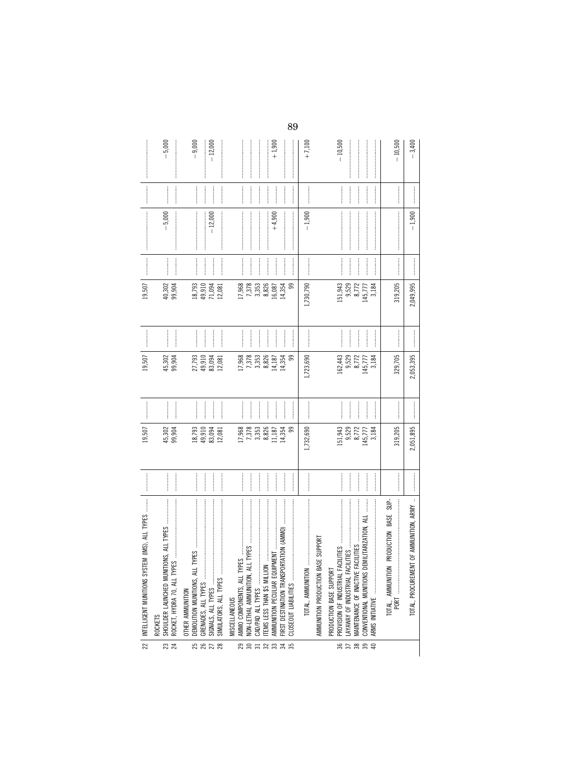|                                                                                                                                                                                                                                                                                                                                                                                                                                                                                                                                                         | $-5,000$                                                                                                                                                                                                                                                                                                                                                                                                                                                                                                                                              | $-9,000$<br>$-12,000$                                                                                                                                                                                                                                                                                                                                                                                                                                | $+1,900$                                                                                                                                                                                                                                                                                                                                                                                                                                                                                                                                                                                                                                                                                                                                                                                                                                                                                                                                                                                                                                                                                                                                                                                                                                                                                                   | $+7,100$                                                | $-10,500$                                                                                | 10,500                                    | $-3,400$                                    |
|---------------------------------------------------------------------------------------------------------------------------------------------------------------------------------------------------------------------------------------------------------------------------------------------------------------------------------------------------------------------------------------------------------------------------------------------------------------------------------------------------------------------------------------------------------|-------------------------------------------------------------------------------------------------------------------------------------------------------------------------------------------------------------------------------------------------------------------------------------------------------------------------------------------------------------------------------------------------------------------------------------------------------------------------------------------------------------------------------------------------------|------------------------------------------------------------------------------------------------------------------------------------------------------------------------------------------------------------------------------------------------------------------------------------------------------------------------------------------------------------------------------------------------------------------------------------------------------|------------------------------------------------------------------------------------------------------------------------------------------------------------------------------------------------------------------------------------------------------------------------------------------------------------------------------------------------------------------------------------------------------------------------------------------------------------------------------------------------------------------------------------------------------------------------------------------------------------------------------------------------------------------------------------------------------------------------------------------------------------------------------------------------------------------------------------------------------------------------------------------------------------------------------------------------------------------------------------------------------------------------------------------------------------------------------------------------------------------------------------------------------------------------------------------------------------------------------------------------------------------------------------------------------------|---------------------------------------------------------|------------------------------------------------------------------------------------------|-------------------------------------------|---------------------------------------------|
| $\begin{minipage}{0.9\linewidth} \begin{tabular}{l} \toprule \multicolumn{3}{c}{\textbf{0.9\linewidth}} \begin{tabular}{l} \multicolumn{3}{c}{\textbf{0.9\linewidth}} \end{tabular} \end{minipage} \end{minipage} \vspace{0.08\linewidth} \end{minipage} \vspace{0.08\linewidth} \begin{minipage}{0.9\linewidth} \begin{tabular}{l} \multicolumn{3}{c}{\textbf{0.9\linewidth}} \end{tabular} \end{minipage} \vspace{0.08\linewidth} \end{minipage} \vspace{0.08\linewidth} \caption{A system of the model and the model of the model. The model of the$ |                                                                                                                                                                                                                                                                                                                                                                                                                                                                                                                                                       |                                                                                                                                                                                                                                                                                                                                                                                                                                                      | $\cdots$<br>.<br>.<br>.<br>.<br>.<br> <br> <br> <br>                                                                                                                                                                                                                                                                                                                                                                                                                                                                                                                                                                                                                                                                                                                                                                                                                                                                                                                                                                                                                                                                                                                                                                                                                                                       |                                                         | <br> <br> <br>                                                                           |                                           |                                             |
| $\label{def:main}$                                                                                                                                                                                                                                                                                                                                                                                                                                                                                                                                      | $\label{def:1} \begin{minipage}{0.9\linewidth} \begin{minipage}{0.9\linewidth} \begin{minipage}{0.9\linewidth} \begin{minipage}{0.9\linewidth} \end{minipage} \begin{minipage}{0.9\linewidth} \begin{minipage}{0.9\linewidth} \end{minipage} \end{minipage} \begin{minipage}{0.9\linewidth} \begin{minipage}{0.9\linewidth} \begin{minipage}{0.9\linewidth} \end{minipage} \end{minipage} \end{minipage} \begin{minipage}{0.9\linewidth} \begin{minipage}{0.9\linewidth} \begin{minipage}{0.9\linewidth} \end{minipage} \end{minipage} \$<br>$-5,000$ | $\begin{minipage}{0.9\linewidth} \begin{tabular}{l} \hline \textbf{1} & \textbf{1} & \textbf{1} & \textbf{1} & \textbf{1} & \textbf{1} & \textbf{1} & \textbf{1} & \textbf{1} & \textbf{1} & \textbf{1} & \textbf{1} & \textbf{1} & \textbf{1} & \textbf{1} & \textbf{1} & \textbf{1} & \textbf{1} & \textbf{1} & \textbf{1} & \textbf{1} & \textbf{1} & \textbf{1} & \textbf{1} & \textbf{1} & \textbf{1} & \textbf{1} & \textbf{1} &$<br>$-12,000$ | $+4,900$                                                                                                                                                                                                                                                                                                                                                                                                                                                                                                                                                                                                                                                                                                                                                                                                                                                                                                                                                                                                                                                                                                                                                                                                                                                                                                   | $-1,900$                                                |                                                                                          | $\label{def:1}$                           | $-1,900$                                    |
|                                                                                                                                                                                                                                                                                                                                                                                                                                                                                                                                                         | $\begin{minipage}{0.9\linewidth} \begin{tabular}{l} \hline \textbf{1} & \textbf{2} & \textbf{3} & \textbf{4} & \textbf{5} & \textbf{6} & \textbf{7} & \textbf{8} & \textbf{9} & \textbf{10} & \textbf{10} & \textbf{10} & \textbf{10} & \textbf{10} & \textbf{10} & \textbf{10} & \textbf{10} & \textbf{10} & \textbf{10} & \textbf{10} & \textbf{10} & \textbf{10} & \textbf{10} & \textbf{10} & \textbf{10} & \textbf{1$                                                                                                                            |                                                                                                                                                                                                                                                                                                                                                                                                                                                      | $\label{eq:1} \begin{minipage}{0.9\linewidth} \begin{minipage}{0.9\linewidth} \begin{minipage}{0.9\linewidth} \begin{minipage}{0.9\linewidth} \end{minipage} \end{minipage} \end{minipage} \begin{minipage}{0.9\linewidth} \begin{minipage}{0.9\linewidth} \begin{minipage}{0.9\linewidth} \begin{minipage}{0.9\linewidth} \end{minipage} \end{minipage} \end{minipage} \begin{minipage}{0.9\linewidth} \begin{minipage}{0.9\linewidth} \begin{minipage}{0.9\linewidth} \end{minipage} \end{minipage} \end{minipage} \begin{minipage}{$<br>$\frac{1}{2}$                                                                                                                                                                                                                                                                                                                                                                                                                                                                                                                                                                                                                                                                                                                                                   |                                                         |                                                                                          |                                           |                                             |
| 19,507                                                                                                                                                                                                                                                                                                                                                                                                                                                                                                                                                  | 99,904<br>40,302                                                                                                                                                                                                                                                                                                                                                                                                                                                                                                                                      | 18,793<br>49,910<br>71,094<br>12,081                                                                                                                                                                                                                                                                                                                                                                                                                 | 17,968<br>7,378<br>8,826<br>3,353<br>14,354<br>ஐ<br>16,087                                                                                                                                                                                                                                                                                                                                                                                                                                                                                                                                                                                                                                                                                                                                                                                                                                                                                                                                                                                                                                                                                                                                                                                                                                                 | 1,730,790                                               | 9,529<br>8,772<br>151,943<br>145,777<br>3,184                                            | 319,205                                   | 2,049,995                                   |
|                                                                                                                                                                                                                                                                                                                                                                                                                                                                                                                                                         |                                                                                                                                                                                                                                                                                                                                                                                                                                                                                                                                                       |                                                                                                                                                                                                                                                                                                                                                                                                                                                      | <br> <br>                                                                                                                                                                                                                                                                                                                                                                                                                                                                                                                                                                                                                                                                                                                                                                                                                                                                                                                                                                                                                                                                                                                                                                                                                                                                                                  |                                                         |                                                                                          |                                           |                                             |
| 19,507                                                                                                                                                                                                                                                                                                                                                                                                                                                                                                                                                  | 45,302<br>99,904                                                                                                                                                                                                                                                                                                                                                                                                                                                                                                                                      | 27,793<br>49,910<br>83,094<br>12,081                                                                                                                                                                                                                                                                                                                                                                                                                 | 17,968<br>7,378<br>8,826<br>3,353<br>14,187<br>14,354<br>ஐ                                                                                                                                                                                                                                                                                                                                                                                                                                                                                                                                                                                                                                                                                                                                                                                                                                                                                                                                                                                                                                                                                                                                                                                                                                                 | 1,723,690                                               | 9,529<br>162,443<br>8,772<br>145,777<br>3,184                                            | 329,705                                   | 2,053,395                                   |
|                                                                                                                                                                                                                                                                                                                                                                                                                                                                                                                                                         |                                                                                                                                                                                                                                                                                                                                                                                                                                                                                                                                                       | <br>                                                                                                                                                                                                                                                                                                                                                                                                                                                 | <br> <br> <br> <br> <br> <br>                                                                                                                                                                                                                                                                                                                                                                                                                                                                                                                                                                                                                                                                                                                                                                                                                                                                                                                                                                                                                                                                                                                                                                                                                                                                              |                                                         | <br> <br> <br> <br> <br> <br>                                                            |                                           |                                             |
| 19,507                                                                                                                                                                                                                                                                                                                                                                                                                                                                                                                                                  | 99,904<br>45,302                                                                                                                                                                                                                                                                                                                                                                                                                                                                                                                                      | 18,793<br>49,910<br>83,094<br>12,081                                                                                                                                                                                                                                                                                                                                                                                                                 | 17,968<br>8,826<br>3,353<br>11,187<br>14,354<br>ஐ                                                                                                                                                                                                                                                                                                                                                                                                                                                                                                                                                                                                                                                                                                                                                                                                                                                                                                                                                                                                                                                                                                                                                                                                                                                          | 1,732,690                                               | 9,529<br>151,943<br>8,772<br>45,777<br>3,184                                             | 319,205                                   | 2,051,895                                   |
|                                                                                                                                                                                                                                                                                                                                                                                                                                                                                                                                                         |                                                                                                                                                                                                                                                                                                                                                                                                                                                                                                                                                       | <br>                                                                                                                                                                                                                                                                                                                                                                                                                                                 |                                                                                                                                                                                                                                                                                                                                                                                                                                                                                                                                                                                                                                                                                                                                                                                                                                                                                                                                                                                                                                                                                                                                                                                                                                                                                                            |                                                         | <br> <br> <br> <br>                                                                      |                                           |                                             |
| INTELLIGENT MUNITIONS SYSTEM (IMS), ALL TYPES                                                                                                                                                                                                                                                                                                                                                                                                                                                                                                           | ROCKET, HYDRA 70, ALL TYPE<br>SHOULDER LAUNCHED MUNIT<br><b>ROCKETS</b>                                                                                                                                                                                                                                                                                                                                                                                                                                                                               | SIGNALS, ALL TYPES<br>DEMOLITION MUNITIONS, ALL<br>OTHER AMMUNITION                                                                                                                                                                                                                                                                                                                                                                                  | FIRST DESTINATION TRANSPORTATION (AMMO)<br>$\label{def:main} \begin{minipage}{0.9\linewidth} \begin{minipage}{0.9\linewidth} \begin{minipage}{0.9\linewidth} \begin{minipage}{0.9\linewidth} \end{minipage} \end{minipage} \begin{minipage}{0.9\linewidth} \begin{minipage}{0.9\linewidth} \begin{minipage}{0.9\linewidth} \end{minipage} \end{minipage} \end{minipage} \begin{minipage}{0.9\linewidth} \begin{minipage}{0.9\linewidth} \begin{minipage}{0.9\linewidth} \end{minipage} \end{minipage} \end{minipage} \begin{minipage}{0.9\linewidth} \begin{minipage}{0.9\linewidth} \$<br>$\begin{minipage}{0.9\linewidth} \includegraphics[width=0.45\linewidth]{images/100000.pdf} \includegraphics[width=0.45\linewidth]{images/100000.pdf} \includegraphics[width=0.45\linewidth]{images/100000.pdf} \includegraphics[width=0.45\linewidth]{images/100000.pdf} \includegraphics[width=0.45\linewidth]{images/100000.pdf} \includegraphics[width=0.45\linewidth]{images/100000.pdf} \includegraphics[width=0.45\linewidth]{images/100000.pdf} \includegraphics[width=0.45\linewidth]{images/100000.pdf} \includegraphics[width=0.45\linewidth]{images/100000.pdf}$<br>AMMO COMPONENTS, ALL TYF<br>CAD/PAD ALL TYPES<br>TEMS LESS THAN \$5 MILLION<br>AMMUNITION PECULIAR EQUII<br><b>MISCELLANEOUS</b> | AMMUNITION PRODUCTION BASE SUPPORT<br>TOTAL, AMMUNITION | $\frac{1}{2}$<br>CONVENTIONAL MUNITIONS DEMILITARIZATION, ALL<br>PRODUCTION BASE SUPPORT | PRODUCTION BASE SUP-<br>TOTAL, AMMUNITION | ī<br>TOTAL, PROCUREMENT OF AMMUNITION, ARMY |
| $\overline{22}$                                                                                                                                                                                                                                                                                                                                                                                                                                                                                                                                         | 23                                                                                                                                                                                                                                                                                                                                                                                                                                                                                                                                                    | <b>2822</b>                                                                                                                                                                                                                                                                                                                                                                                                                                          | <b>235525555</b>                                                                                                                                                                                                                                                                                                                                                                                                                                                                                                                                                                                                                                                                                                                                                                                                                                                                                                                                                                                                                                                                                                                                                                                                                                                                                           |                                                         | 85888                                                                                    |                                           |                                             |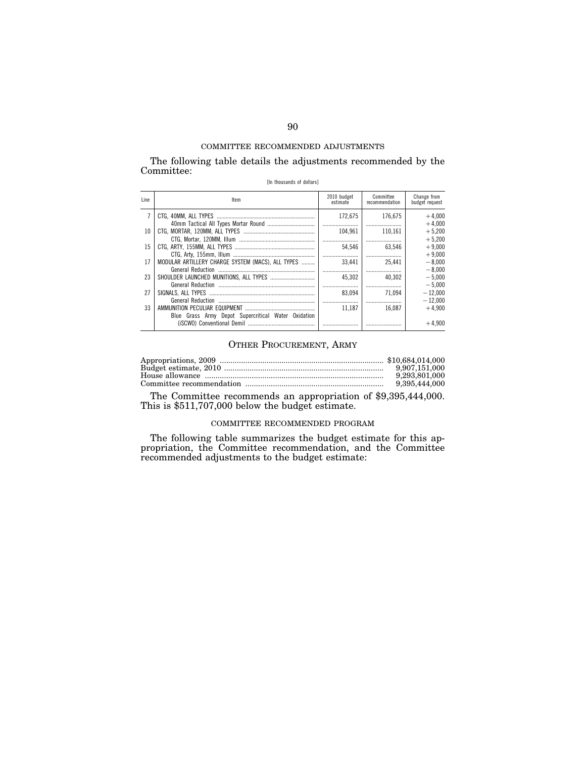The following table details the adjustments recommended by the Committee:

|  |  |  | [In thousands of dollars] |
|--|--|--|---------------------------|
|--|--|--|---------------------------|

| Line | ltem                                                                          | 2010 budget<br>estimate | Committee<br>recommendation | Change from<br>budget request |
|------|-------------------------------------------------------------------------------|-------------------------|-----------------------------|-------------------------------|
|      |                                                                               | 172.675                 | 176.675                     | $+4.000$<br>$+4.000$          |
| 10   |                                                                               | 104.961                 | 110.161<br>                 | $+5,200$<br>$+5.200$          |
| 15   |                                                                               | 54.546                  | 63.546                      | $+9,000$<br>$+9.000$          |
| 17   | MODULAR ARTILLERY CHARGE SYSTEM (MACS). ALL TYPES<br><b>General Reduction</b> | 33.441                  | 25.441<br>                  | $-8.000$<br>$-8.000$          |
| 23   |                                                                               | 45.302                  | 40.302                      | $-5.000$<br>$-5.000$          |
| 27   |                                                                               | 83.094                  | 71.094                      | $-12.000$<br>$-12.000$        |
| 33   | Blue Grass Army Depot Supercritical Water Oxidation                           | 11.187                  | 16.087                      | $+4.900$                      |
|      |                                                                               |                         |                             | $+4.900$                      |

# OTHER PROCUREMENT, ARMY

| 9.907.151.000 |
|---------------|
| 9.293.801.000 |
| 9.395.444.000 |

The Committee recommends an appropriation of \$9,395,444,000. This is \$511,707,000 below the budget estimate.

## COMMITTEE RECOMMENDED PROGRAM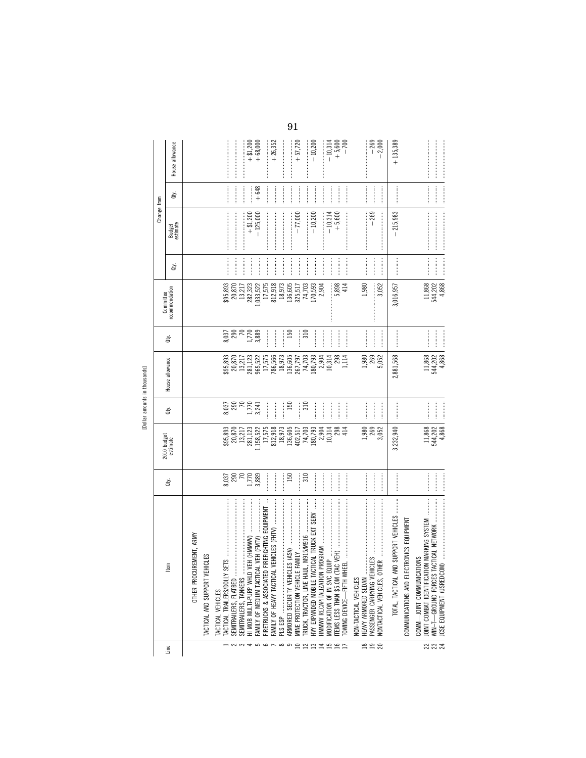| л.<br>۰ |  |
|---------|--|
| ï       |  |
|         |  |
|         |  |

|                      |                                                                                         |                                                                                                                                                                                                                                                                                                                                                                                                                                                                                                                                                |                                                                                  |                               |                                                                                                                                                                                                                                                                      |                        | Committee                                                                        |                                                                                                                                                                                                                                                                                                                                                                                                                                                                                                                                          | Change from                                                                                                                                                                                                                                                                                                                                                                                                                                                                                                                               |                                                                                                                                                                                                                                                                                                                                                                                                                                                                                                                                                    |                       |
|----------------------|-----------------------------------------------------------------------------------------|------------------------------------------------------------------------------------------------------------------------------------------------------------------------------------------------------------------------------------------------------------------------------------------------------------------------------------------------------------------------------------------------------------------------------------------------------------------------------------------------------------------------------------------------|----------------------------------------------------------------------------------|-------------------------------|----------------------------------------------------------------------------------------------------------------------------------------------------------------------------------------------------------------------------------------------------------------------|------------------------|----------------------------------------------------------------------------------|------------------------------------------------------------------------------------------------------------------------------------------------------------------------------------------------------------------------------------------------------------------------------------------------------------------------------------------------------------------------------------------------------------------------------------------------------------------------------------------------------------------------------------------|-------------------------------------------------------------------------------------------------------------------------------------------------------------------------------------------------------------------------------------------------------------------------------------------------------------------------------------------------------------------------------------------------------------------------------------------------------------------------------------------------------------------------------------------|----------------------------------------------------------------------------------------------------------------------------------------------------------------------------------------------------------------------------------------------------------------------------------------------------------------------------------------------------------------------------------------------------------------------------------------------------------------------------------------------------------------------------------------------------|-----------------------|
| Line                 | ltem                                                                                    | ġ                                                                                                                                                                                                                                                                                                                                                                                                                                                                                                                                              | 2010 budget<br>estimate                                                          | ਛੇ                            | House allowance                                                                                                                                                                                                                                                      | ਛੇ                     | recommendation                                                                   | ਛੇ                                                                                                                                                                                                                                                                                                                                                                                                                                                                                                                                       | Budget<br>estimate                                                                                                                                                                                                                                                                                                                                                                                                                                                                                                                        | đťy.                                                                                                                                                                                                                                                                                                                                                                                                                                                                                                                                               | House allowance       |
|                      | IREMENT, ARMY<br>OTHER PROCU                                                            |                                                                                                                                                                                                                                                                                                                                                                                                                                                                                                                                                |                                                                                  |                               |                                                                                                                                                                                                                                                                      |                        |                                                                                  |                                                                                                                                                                                                                                                                                                                                                                                                                                                                                                                                          |                                                                                                                                                                                                                                                                                                                                                                                                                                                                                                                                           |                                                                                                                                                                                                                                                                                                                                                                                                                                                                                                                                                    |                       |
|                      | HCLES<br>TACTICAL AND SUPPORT VEI                                                       |                                                                                                                                                                                                                                                                                                                                                                                                                                                                                                                                                |                                                                                  |                               |                                                                                                                                                                                                                                                                      |                        |                                                                                  |                                                                                                                                                                                                                                                                                                                                                                                                                                                                                                                                          |                                                                                                                                                                                                                                                                                                                                                                                                                                                                                                                                           |                                                                                                                                                                                                                                                                                                                                                                                                                                                                                                                                                    |                       |
|                      | TACTICAL TRAILERS/DOLLY<br>TACTICAL VEHICLES                                            |                                                                                                                                                                                                                                                                                                                                                                                                                                                                                                                                                |                                                                                  |                               |                                                                                                                                                                                                                                                                      |                        |                                                                                  |                                                                                                                                                                                                                                                                                                                                                                                                                                                                                                                                          |                                                                                                                                                                                                                                                                                                                                                                                                                                                                                                                                           |                                                                                                                                                                                                                                                                                                                                                                                                                                                                                                                                                    |                       |
| $\sim$ $\sim$ $\sim$ | SEMITRAILERS, FLATBED                                                                   | 8,037<br>290<br>70                                                                                                                                                                                                                                                                                                                                                                                                                                                                                                                             | \$95,893<br>20,870<br>13,217                                                     | 8,037<br>290<br>70            | $\begin{array}{l} 29.893\\ 20.870\\ 21.121\\ 13.211\\ 23.1123\\ 24.123\\ 25.522\\ 26.565\\ 27.81\\ 28.91\\ 29.81\\ 20.79\\ 21.70\\ 22.71\\ 23.79\\ 24.70\\ 25.79\\ 26.79\\ 28.79\\ 28.79\\ 28.79\\ 28.79\\ 28.79\\ 28.79\\ 28.79\\ 28.79\\ 28.79\\ 28.79\\ 28.79\\ $ | 8,037<br>290<br>70     | \$95,893<br>20,870<br>13,217                                                     | ļ                                                                                                                                                                                                                                                                                                                                                                                                                                                                                                                                        |                                                                                                                                                                                                                                                                                                                                                                                                                                                                                                                                           |                                                                                                                                                                                                                                                                                                                                                                                                                                                                                                                                                    |                       |
|                      | HI MOB MULTI-PURP WHLD VEH (HMMWV)<br>SEMITRAILERS, TANKERS                             | 1,770                                                                                                                                                                                                                                                                                                                                                                                                                                                                                                                                          | 281,123                                                                          | 1,770                         |                                                                                                                                                                                                                                                                      | 1,770                  | 282,323                                                                          | <br> <br> <br> <br> <br>                                                                                                                                                                                                                                                                                                                                                                                                                                                                                                                 | $+ $1,200$                                                                                                                                                                                                                                                                                                                                                                                                                                                                                                                                |                                                                                                                                                                                                                                                                                                                                                                                                                                                                                                                                                    | $+ $1,200$            |
|                      | FAMILY OF MEDIUM TACTICAL VEH (FMTV)                                                    | 3,889                                                                                                                                                                                                                                                                                                                                                                                                                                                                                                                                          | 1,158,522                                                                        | 3,241                         |                                                                                                                                                                                                                                                                      | 3,889                  | ,033,522                                                                         |                                                                                                                                                                                                                                                                                                                                                                                                                                                                                                                                          | $-125,000$                                                                                                                                                                                                                                                                                                                                                                                                                                                                                                                                | $+648$                                                                                                                                                                                                                                                                                                                                                                                                                                                                                                                                             | $+68,000$             |
| 500000               | FIREFIGHTING EQUIPMENT<br>FIRETRUCKS & ASSOCIATED<br>FAMILY OF HEAVY TACTICAL           | <br> <br>                                                                                                                                                                                                                                                                                                                                                                                                                                                                                                                                      | 812,918<br>17,575                                                                |                               |                                                                                                                                                                                                                                                                      | I                      | 17,575                                                                           | <br> <br>                                                                                                                                                                                                                                                                                                                                                                                                                                                                                                                                |                                                                                                                                                                                                                                                                                                                                                                                                                                                                                                                                           | :<br>:<br>:                                                                                                                                                                                                                                                                                                                                                                                                                                                                                                                                        | $+26,352$             |
|                      |                                                                                         | İ                                                                                                                                                                                                                                                                                                                                                                                                                                                                                                                                              |                                                                                  | İ                             |                                                                                                                                                                                                                                                                      | ┇<br>$\vdots$          | $\begin{array}{c} 812,918 \\ 18,973 \\ 136,605 \\ 325,517 \\ 74,703 \end{array}$ | İ<br> <br> <br>                                                                                                                                                                                                                                                                                                                                                                                                                                                                                                                          |                                                                                                                                                                                                                                                                                                                                                                                                                                                                                                                                           | <br> <br> <br> <br> <br>                                                                                                                                                                                                                                                                                                                                                                                                                                                                                                                           |                       |
|                      |                                                                                         | 150                                                                                                                                                                                                                                                                                                                                                                                                                                                                                                                                            |                                                                                  | 150                           |                                                                                                                                                                                                                                                                      | 150                    |                                                                                  | İ                                                                                                                                                                                                                                                                                                                                                                                                                                                                                                                                        |                                                                                                                                                                                                                                                                                                                                                                                                                                                                                                                                           | <br> <br>                                                                                                                                                                                                                                                                                                                                                                                                                                                                                                                                          |                       |
|                      | MINE PROTECTION VEHICLE                                                                 | 310<br> <br> <br> <br>                                                                                                                                                                                                                                                                                                                                                                                                                                                                                                                         |                                                                                  | 310                           |                                                                                                                                                                                                                                                                      | 310<br> <br> <br> <br> |                                                                                  |                                                                                                                                                                                                                                                                                                                                                                                                                                                                                                                                          | $-77,000$                                                                                                                                                                                                                                                                                                                                                                                                                                                                                                                                 |                                                                                                                                                                                                                                                                                                                                                                                                                                                                                                                                                    | $+57,720$             |
|                      |                                                                                         | <br> <br> <br>                                                                                                                                                                                                                                                                                                                                                                                                                                                                                                                                 | $\begin{array}{c} 18,973 \\ 136,605 \\ 402,517 \\ 74,703 \\ 180,793 \end{array}$ | <br> <br> <br>                |                                                                                                                                                                                                                                                                      | İ                      | 170,593                                                                          | <br> <br> <br>$\frac{1}{2}$                                                                                                                                                                                                                                                                                                                                                                                                                                                                                                              | $-10,200$                                                                                                                                                                                                                                                                                                                                                                                                                                                                                                                                 | —<br>;<br>;<br> <br> <br>                                                                                                                                                                                                                                                                                                                                                                                                                                                                                                                          | $-10,200$             |
|                      | HMMWV RECAPITALIZATION                                                                  |                                                                                                                                                                                                                                                                                                                                                                                                                                                                                                                                                | 2,904                                                                            | <br> <br>                     | 2,904                                                                                                                                                                                                                                                                | $\vdots$               | 2,904                                                                            | <br> <br>                                                                                                                                                                                                                                                                                                                                                                                                                                                                                                                                |                                                                                                                                                                                                                                                                                                                                                                                                                                                                                                                                           |                                                                                                                                                                                                                                                                                                                                                                                                                                                                                                                                                    |                       |
| <b>DAMARSD</b>       |                                                                                         |                                                                                                                                                                                                                                                                                                                                                                                                                                                                                                                                                | 10,314<br>298                                                                    |                               | 10,314<br>298                                                                                                                                                                                                                                                        | $\frac{1}{2}$          | 5,898                                                                            |                                                                                                                                                                                                                                                                                                                                                                                                                                                                                                                                          | $-10,314$<br>+5,600                                                                                                                                                                                                                                                                                                                                                                                                                                                                                                                       |                                                                                                                                                                                                                                                                                                                                                                                                                                                                                                                                                    | $+5,600$<br>$-10,314$ |
|                      | OWING DEVICE-FIFTH WH                                                                   | <br> <br> <br>                                                                                                                                                                                                                                                                                                                                                                                                                                                                                                                                 | 414                                                                              |                               | 1,114                                                                                                                                                                                                                                                                | <br> <br>              | 414                                                                              |                                                                                                                                                                                                                                                                                                                                                                                                                                                                                                                                          |                                                                                                                                                                                                                                                                                                                                                                                                                                                                                                                                           |                                                                                                                                                                                                                                                                                                                                                                                                                                                                                                                                                    | $-700$                |
|                      | HEAVY ARMORED SEDAN<br><b>VON-TACTICAL VEHICLES</b>                                     |                                                                                                                                                                                                                                                                                                                                                                                                                                                                                                                                                | 1,980                                                                            |                               | 1,980                                                                                                                                                                                                                                                                | İ                      | 1,980                                                                            |                                                                                                                                                                                                                                                                                                                                                                                                                                                                                                                                          |                                                                                                                                                                                                                                                                                                                                                                                                                                                                                                                                           | <br> <br>                                                                                                                                                                                                                                                                                                                                                                                                                                                                                                                                          |                       |
| ggg                  | PASSENGER CARRYING VEHI<br>NONTACTICAL VEHICLES, OT                                     |                                                                                                                                                                                                                                                                                                                                                                                                                                                                                                                                                | 269<br>3,052                                                                     | <br> <br> <br> <br> <br>      | 269<br>5,052                                                                                                                                                                                                                                                         | <br> <br>              | 3,052                                                                            | <br> <br> <br> <br> <br> <br> <br>                                                                                                                                                                                                                                                                                                                                                                                                                                                                                                       | $-269$                                                                                                                                                                                                                                                                                                                                                                                                                                                                                                                                    |                                                                                                                                                                                                                                                                                                                                                                                                                                                                                                                                                    | $-269$<br>$-2,000$    |
|                      | TOTAL, TACTICAL AND SUPPORT VEHICLES                                                    |                                                                                                                                                                                                                                                                                                                                                                                                                                                                                                                                                | 3,232,940                                                                        |                               | 2,881,568                                                                                                                                                                                                                                                            |                        | 3,016,957                                                                        |                                                                                                                                                                                                                                                                                                                                                                                                                                                                                                                                          | $-215,983$                                                                                                                                                                                                                                                                                                                                                                                                                                                                                                                                |                                                                                                                                                                                                                                                                                                                                                                                                                                                                                                                                                    | $+135,389$            |
|                      | COMMUNICATIONS AND ELECTRONICS EQUIPMENT                                                |                                                                                                                                                                                                                                                                                                                                                                                                                                                                                                                                                |                                                                                  |                               |                                                                                                                                                                                                                                                                      |                        |                                                                                  |                                                                                                                                                                                                                                                                                                                                                                                                                                                                                                                                          |                                                                                                                                                                                                                                                                                                                                                                                                                                                                                                                                           |                                                                                                                                                                                                                                                                                                                                                                                                                                                                                                                                                    |                       |
|                      | ON MARKING SYSTEM<br><b>CIONS</b><br>COMM-JOINT COMMUNICAT<br>JOINT COMBAT IDENTIFICATI |                                                                                                                                                                                                                                                                                                                                                                                                                                                                                                                                                | 11,868                                                                           |                               | 11,868                                                                                                                                                                                                                                                               |                        | 11,868                                                                           |                                                                                                                                                                                                                                                                                                                                                                                                                                                                                                                                          | $\label{def:3} \begin{minipage}{0.9\linewidth} \begin{minipage}{0.9\linewidth} \begin{minipage}{0.9\linewidth} \begin{minipage}{0.9\linewidth} \end{minipage} \begin{minipage}{0.9\linewidth} \begin{minipage}{0.9\linewidth} \end{minipage} \end{minipage} \end{minipage} \begin{minipage}{0.9\linewidth} \begin{minipage}{0.9\linewidth} \begin{minipage}{0.9\linewidth} \end{minipage} \end{minipage} \end{minipage} \begin{minipage}{0.9\linewidth} \begin{minipage}{0.9\linewidth} \begin{minipage}{0.9\linewidth} \end{minipage} \$ | $\begin{minipage}{0.5\textwidth} \centering \begin{minipage}{0.5\textwidth} \centering \end{minipage} \begin{minipage}{0.5\textwidth} \centering \begin{minipage}{0.5\textwidth} \centering \end{minipage} \end{minipage} \begin{minipage}{0.5\textwidth} \centering \end{minipage} \begin{minipage}{0.5\textwidth} \centering \end{minipage} \begin{minipage}{0.5\textwidth} \centering \end{minipage} \begin{minipage}{0.5\textwidth} \centering \end{minipage} \begin{minipage}{0.5\textwidth} \centering \end{minipage} \begin{minipage}{0.5\$ |                       |
| __<br>ಜ ಜ ಸ          | ACTICAL NETWORK<br>JCSE EQUIPMENT (USREDCOM)<br>WIN-T-GROUND FORCES                     | $\begin{minipage}{0.9\linewidth} \begin{tabular}{l} \toprule \multicolumn{3}{c}{\textbf{0.9\linewidth}} \begin{tabular}{l} \multicolumn{3}{c}{\textbf{0.9\linewidth}} \end{tabular} \end{minipage} \end{minipage} \begin{minipage}{0.9\linewidth} \begin{tabular}{l} \multicolumn{3}{c}{\textbf{0.9\linewidth}} \end{tabular} \end{minipage} \end{minipage} \begin{minipage}{0.9\linewidth} \begin{tabular}{l} \multicolumn{3}{c}{\textbf{0.9\linewidth}} \end{tabular} \end{minipage} \end{minipage} \begin{minipage}{0.9$<br> <br> <br> <br> | 544,202<br>4.868                                                                 | <br> <br> <br> <br> <br> <br> | 544,202<br>4,868                                                                                                                                                                                                                                                     |                        | 4.868<br>544,202                                                                 | $\label{eq:1} \begin{minipage}{0.9\linewidth} \begin{minipage}{0.9\linewidth} \begin{minipage}{0.9\linewidth} \begin{minipage}{0.9\linewidth} \end{minipage} \end{minipage} \end{minipage} \begin{minipage}{0.9\linewidth} \begin{minipage}{0.9\linewidth} \begin{minipage}{0.9\linewidth} \begin{minipage}{0.9\linewidth} \end{minipage} \end{minipage} \end{minipage} \end{minipage} \begin{minipage}{0.9\linewidth} \begin{minipage}{0.9\linewidth} \begin{minipage}{0.9\linewidth} \begin{minipage}{0.9\linewidth} \end{minipage} \$ |                                                                                                                                                                                                                                                                                                                                                                                                                                                                                                                                           |                                                                                                                                                                                                                                                                                                                                                                                                                                                                                                                                                    |                       |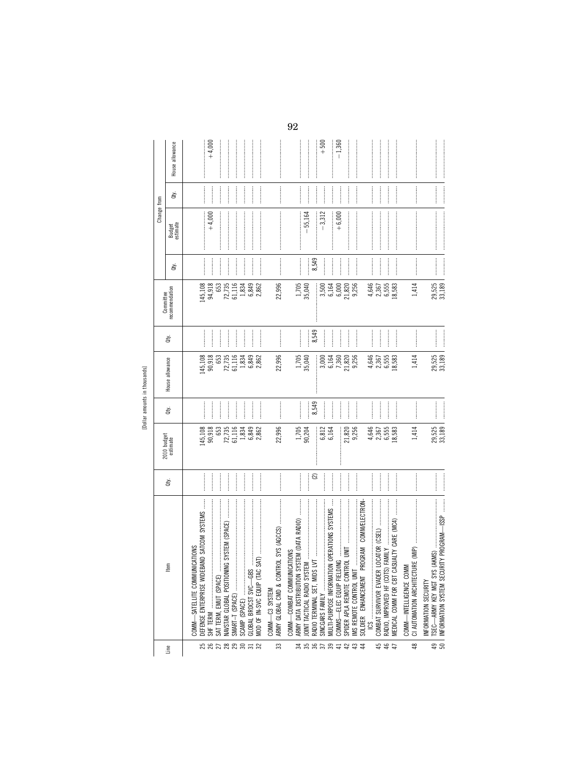| J.<br>∸       |  |
|---------------|--|
| i<br>$\sigma$ |  |
|               |  |

| SAT TERM, EMUT (SPACE)<br>58288353<br>Line | tem                                                                        |                                    |                         |                               |                                           |                |                                                |                                                                                                                                                                                                                                                                                                                                                                                                                                                                                                                                 | Change from                                                                                                                                                                                                                                                                                                                                                                                                                                                                                                                               |                     |                  |
|--------------------------------------------|----------------------------------------------------------------------------|------------------------------------|-------------------------|-------------------------------|-------------------------------------------|----------------|------------------------------------------------|---------------------------------------------------------------------------------------------------------------------------------------------------------------------------------------------------------------------------------------------------------------------------------------------------------------------------------------------------------------------------------------------------------------------------------------------------------------------------------------------------------------------------------|-------------------------------------------------------------------------------------------------------------------------------------------------------------------------------------------------------------------------------------------------------------------------------------------------------------------------------------------------------------------------------------------------------------------------------------------------------------------------------------------------------------------------------------------|---------------------|------------------|
|                                            |                                                                            |                                    |                         |                               |                                           |                | Committee                                      |                                                                                                                                                                                                                                                                                                                                                                                                                                                                                                                                 |                                                                                                                                                                                                                                                                                                                                                                                                                                                                                                                                           |                     |                  |
|                                            |                                                                            | ġ                                  | 2010 budget<br>estimate | Qty.                          | House allowance                           | đý.            | recommendation                                 | đý.                                                                                                                                                                                                                                                                                                                                                                                                                                                                                                                             | Budget<br>estimate                                                                                                                                                                                                                                                                                                                                                                                                                                                                                                                        | đý.                 | House allowance  |
|                                            | NICATIONS<br>COMM-SATELLITE COMMI                                          |                                    |                         |                               |                                           |                |                                                |                                                                                                                                                                                                                                                                                                                                                                                                                                                                                                                                 |                                                                                                                                                                                                                                                                                                                                                                                                                                                                                                                                           |                     |                  |
|                                            | DEFENSE ENTERPRISE WIDEBAND SATCOM SYSTEMS                                 |                                    | 145,108                 |                               | 145,108                                   |                | 145,108                                        |                                                                                                                                                                                                                                                                                                                                                                                                                                                                                                                                 | $+4,000$                                                                                                                                                                                                                                                                                                                                                                                                                                                                                                                                  |                     |                  |
|                                            |                                                                            | :<br>:<br>:                        | 90,918<br>653           |                               | 90,918<br>653                             | $\frac{1}{2}$  | 94,918<br>653                                  |                                                                                                                                                                                                                                                                                                                                                                                                                                                                                                                                 |                                                                                                                                                                                                                                                                                                                                                                                                                                                                                                                                           |                     | $+4,000$         |
|                                            | ING SYSTEM (SPACE)<br>NAVSTAR GLOBAL POSITION                              | <br> <br> <br> <br> <br> <br> <br> |                         | <br> <br> <br> <br> <br> <br> |                                           |                | 72,735                                         | <br> <br>                                                                                                                                                                                                                                                                                                                                                                                                                                                                                                                       |                                                                                                                                                                                                                                                                                                                                                                                                                                                                                                                                           |                     |                  |
|                                            | SMART-T (SPACE)                                                            |                                    | 72,735<br>61,116        |                               | 72,735<br>61,116                          |                | $\begin{array}{c} 61,116 \\ 1,834 \end{array}$ |                                                                                                                                                                                                                                                                                                                                                                                                                                                                                                                                 |                                                                                                                                                                                                                                                                                                                                                                                                                                                                                                                                           |                     |                  |
| SCAMP (SPACE)                              |                                                                            |                                    | 1,834                   | <br> <br> <br>                | 1,834<br>6,849                            |                |                                                | <br> <br> <br> <br>                                                                                                                                                                                                                                                                                                                                                                                                                                                                                                             |                                                                                                                                                                                                                                                                                                                                                                                                                                                                                                                                           | <br> <br> <br> <br> |                  |
|                                            | GLOBAL BRDCST SVC-GBS<br>MOD OF IN-SVC EQUIP (TAC                          | <br> <br> <br> <br> <br> <br> <br> | 6,849<br>2,862          | :<br>:<br>:<br>:              | 2,862                                     | <br> <br> <br> | 6,849<br>2,862                                 |                                                                                                                                                                                                                                                                                                                                                                                                                                                                                                                                 |                                                                                                                                                                                                                                                                                                                                                                                                                                                                                                                                           | :<br>:<br>:         |                  |
|                                            | COMM-C3 SYSTEM                                                             |                                    |                         |                               |                                           |                |                                                |                                                                                                                                                                                                                                                                                                                                                                                                                                                                                                                                 |                                                                                                                                                                                                                                                                                                                                                                                                                                                                                                                                           |                     |                  |
| 33                                         | ARMY GLOBAL CMD & CON                                                      |                                    | 22,996                  |                               | 22,996                                    |                | 22,996                                         | $\begin{minipage}{0.9\linewidth} \begin{tabular}{l} \hline \multicolumn{3}{c}{\textbf{1.0\linewidth}} \end{tabular} \end{minipage} \begin{minipage}{0.9\linewidth} \begin{tabular}{l} \multicolumn{3}{c}{\textbf{2.0\linewidth}} \end{tabular} \end{minipage} \begin{minipage}{0.9\linewidth} \end{minipage} \begin{minipage}{0.9\linewidth} \end{minipage} \begin{minipage}{0.9\linewidth} \end{minipage} \begin{minipage}{0.9\linewidth} \end{minipage} \begin{minipage}{0.9\linewidth} \end{minipage} \begin{minipage}{0.9\$ |                                                                                                                                                                                                                                                                                                                                                                                                                                                                                                                                           |                     |                  |
|                                            | CATIONS<br>COMM-COMBAT COMMUN                                              |                                    |                         |                               |                                           |                |                                                |                                                                                                                                                                                                                                                                                                                                                                                                                                                                                                                                 |                                                                                                                                                                                                                                                                                                                                                                                                                                                                                                                                           |                     |                  |
|                                            | <br>ARMY DATA DISTRIBUTION SYSTEM (DATA RADIO)                             |                                    | 1,705<br>90,204         |                               | 1,705<br>35,040                           |                | 1,705<br>35,040                                |                                                                                                                                                                                                                                                                                                                                                                                                                                                                                                                                 |                                                                                                                                                                                                                                                                                                                                                                                                                                                                                                                                           |                     |                  |
|                                            | JOINT TACTICAL RADIO SYST                                                  |                                    |                         |                               |                                           |                |                                                | <br> <br> <br>                                                                                                                                                                                                                                                                                                                                                                                                                                                                                                                  | $-55,164$                                                                                                                                                                                                                                                                                                                                                                                                                                                                                                                                 |                     |                  |
| n s s s s s d s d s                        |                                                                            | ି                                  |                         | 8,549                         | Î                                         | 8,549          | l                                              | 8,549                                                                                                                                                                                                                                                                                                                                                                                                                                                                                                                           |                                                                                                                                                                                                                                                                                                                                                                                                                                                                                                                                           | :<br>:<br>:<br>:    | ;<br>;<br>;<br>; |
|                                            | SINCGARS FAMILY                                                            | :<br>:<br>:<br>:                   | 6,812<br>6,164          | <br> <br> <br>                | 3,000                                     | ļ              | 3,500                                          |                                                                                                                                                                                                                                                                                                                                                                                                                                                                                                                                 | $-3,312$                                                                                                                                                                                                                                                                                                                                                                                                                                                                                                                                  |                     | $+500$           |
|                                            | ON OPERATIONS SYSTEMS<br>MULTI-PURPOSE INFORMATI                           | <br> <br> <br>                     |                         | İ                             | $7,360$<br>$7,360$<br>$21,820$<br>$9,256$ | <br> <br>      | 6,164                                          | <br> <br> <br>                                                                                                                                                                                                                                                                                                                                                                                                                                                                                                                  |                                                                                                                                                                                                                                                                                                                                                                                                                                                                                                                                           | <br> <br> <br>      |                  |
|                                            | COMMS-ELEC EQUIP FIELI                                                     |                                    |                         | <br> <br> <br>                |                                           |                | 6,000                                          | <br> <br> <br>                                                                                                                                                                                                                                                                                                                                                                                                                                                                                                                  | $+6,000$                                                                                                                                                                                                                                                                                                                                                                                                                                                                                                                                  |                     | $-1,360$         |
|                                            | SPIDER APLA REMOTE CONT                                                    |                                    | 21,820<br>9,256         | <br> <br> <br>                |                                           |                | 21,820<br>9,256                                |                                                                                                                                                                                                                                                                                                                                                                                                                                                                                                                                 |                                                                                                                                                                                                                                                                                                                                                                                                                                                                                                                                           |                     |                  |
|                                            | IMS REMOTE CONTROL UNI                                                     |                                    |                         | <br> <br>                     |                                           |                |                                                |                                                                                                                                                                                                                                                                                                                                                                                                                                                                                                                                 | $\label{def:1} \begin{minipage}{0.9\linewidth} \begin{minipage}{0.9\linewidth} \begin{minipage}{0.9\linewidth} \begin{minipage}{0.9\linewidth} \end{minipage} \end{minipage} \begin{minipage}{0.9\linewidth} \begin{minipage}{0.9\linewidth} \begin{minipage}{0.9\linewidth} \end{minipage} \end{minipage} \end{minipage} \begin{minipage}{0.9\linewidth} \begin{minipage}{0.9\linewidth} \begin{minipage}{0.9\linewidth} \end{minipage} \end{minipage} \end{minipage} \begin{minipage}{0.9\linewidth} \begin{minipage}{0.9\linewidth} \$ |                     |                  |
|                                            | PROGRAM COMM/ELECTRON<br>SOLDIER ENHANCEMENT                               |                                    |                         |                               |                                           |                |                                                |                                                                                                                                                                                                                                                                                                                                                                                                                                                                                                                                 |                                                                                                                                                                                                                                                                                                                                                                                                                                                                                                                                           |                     |                  |
|                                            | $\begin{array}{ccc}\n 1 & 0 & 0 \\  0 & 0 & 0 \\  0 & 0 & 0\n \end{array}$ |                                    | 4,646                   |                               | 4,646                                     |                | 4,646                                          |                                                                                                                                                                                                                                                                                                                                                                                                                                                                                                                                 |                                                                                                                                                                                                                                                                                                                                                                                                                                                                                                                                           |                     |                  |
| 4 4 4<br>4 4                               | COMBAT SURVIVOR EVADER                                                     |                                    | 2,367                   |                               | 2,367                                     |                | 2,367                                          |                                                                                                                                                                                                                                                                                                                                                                                                                                                                                                                                 |                                                                                                                                                                                                                                                                                                                                                                                                                                                                                                                                           |                     |                  |
|                                            | S) FAMILY<br>RADIO, IMPROVED HF (COTS                                      |                                    | 6,555                   | <br> <br> <br>                | 6,555<br>18,583                           |                | 6,555                                          |                                                                                                                                                                                                                                                                                                                                                                                                                                                                                                                                 |                                                                                                                                                                                                                                                                                                                                                                                                                                                                                                                                           | <br> <br> <br> <br> |                  |
|                                            | MEDICAL COMM FOR CBT CASUALTY CARE (MC4)                                   |                                    | 18,583                  |                               |                                           |                | 18,583                                         |                                                                                                                                                                                                                                                                                                                                                                                                                                                                                                                                 |                                                                                                                                                                                                                                                                                                                                                                                                                                                                                                                                           |                     |                  |
|                                            | COMM-INTELLIGENCE COM                                                      |                                    |                         |                               |                                           |                |                                                |                                                                                                                                                                                                                                                                                                                                                                                                                                                                                                                                 |                                                                                                                                                                                                                                                                                                                                                                                                                                                                                                                                           |                     |                  |
| $\frac{8}{3}$                              | CI AUTOMATION ARCHITECT                                                    |                                    | 1,414                   | :<br>:<br>:<br>:              | 1,414                                     |                | 1,414                                          |                                                                                                                                                                                                                                                                                                                                                                                                                                                                                                                                 |                                                                                                                                                                                                                                                                                                                                                                                                                                                                                                                                           |                     |                  |
|                                            | INFORMATION SECURITY                                                       |                                    |                         |                               |                                           |                |                                                |                                                                                                                                                                                                                                                                                                                                                                                                                                                                                                                                 |                                                                                                                                                                                                                                                                                                                                                                                                                                                                                                                                           |                     |                  |
| $\overline{50}$<br>49                      | INFORMATION SYSTEM SECURITY PROGRAM-ISSP                                   |                                    | 29,525                  |                               | 29,525                                    |                | 29,525<br>33,189                               |                                                                                                                                                                                                                                                                                                                                                                                                                                                                                                                                 |                                                                                                                                                                                                                                                                                                                                                                                                                                                                                                                                           |                     | $\vdots$         |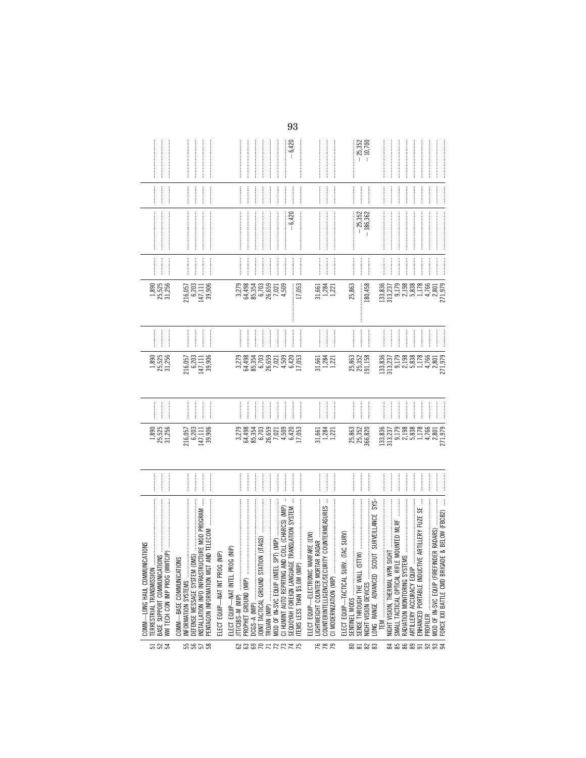|                                                                                          |                                                                                                                                           |                                                                       |                                                          | $-6,420$                                                                                                                          |                                                                                                                      | $-25,352$<br>$10,700$                                                                                            |                                                                                                     |                                                                                |                                                                                                                |
|------------------------------------------------------------------------------------------|-------------------------------------------------------------------------------------------------------------------------------------------|-----------------------------------------------------------------------|----------------------------------------------------------|-----------------------------------------------------------------------------------------------------------------------------------|----------------------------------------------------------------------------------------------------------------------|------------------------------------------------------------------------------------------------------------------|-----------------------------------------------------------------------------------------------------|--------------------------------------------------------------------------------|----------------------------------------------------------------------------------------------------------------|
|                                                                                          |                                                                                                                                           |                                                                       |                                                          | <br> <br> <br>                                                                                                                    |                                                                                                                      | <br> <br> <br> <br> <br>                                                                                         | <br> <br>                                                                                           | <br> <br> <br>                                                                 |                                                                                                                |
|                                                                                          |                                                                                                                                           |                                                                       |                                                          | $-6,420$                                                                                                                          |                                                                                                                      | $-25,352$<br>$-186,362$                                                                                          |                                                                                                     |                                                                                | <b>CONTRACTOR</b>                                                                                              |
|                                                                                          | $\frac{1}{2}$                                                                                                                             |                                                                       | <br> <br> <br>.<br>.<br>.<br>.                           | <br> <br> <br> <br> <br> <br> <br>İ                                                                                               | $\frac{1}{2}$                                                                                                        | .<br>.<br>.<br>.                                                                                                 | $\frac{1}{2}$<br>$\frac{1}{2}$                                                                      | $\frac{1}{2}$                                                                  |                                                                                                                |
| $\begin{array}{c} 1,890 \\ 25,525 \\ 31,256 \end{array}$                                 | $\begin{array}{c} 216,057 \\ 6,203 \\ 147,111 \end{array}$<br>39,906                                                                      |                                                                       | 3,279<br>3,354,359<br>3,559,599<br>3,659,021             | 4,509<br>17,053                                                                                                                   | $31,881$<br>$1,221$<br>$1,221$                                                                                       | 25,863<br>180,458                                                                                                | $\begin{array}{c} 133,836 \\ 313,237 \\ 9,179 \end{array}$<br>2,198                                 | 5,838                                                                          | 1,178<br>4,766<br>2,801<br>271,979                                                                             |
|                                                                                          | <br> <br> <br> <br> <br> <br>                                                                                                             | <br> <br> <br>                                                        | <br> <br>                                                | j<br> <br> <br>                                                                                                                   | <br> <br> <br> <br> <br>                                                                                             | <br> <br> <br> <br> <br> <br>                                                                                    |                                                                                                     | :                                                                              | —<br>;<br>;<br> <br> <br> <br> <br> <br> <br> <br>                                                             |
| 1,890<br>25,525<br>31,256                                                                | 216,057<br>6,203<br>147,111<br>39,906                                                                                                     |                                                                       | 3,279<br>38354,493<br>36,354<br>36,503<br>3,509<br>4,509 | $\frac{6,420}{17,053}$                                                                                                            | $\begin{array}{c} 31,661 \\ 1,284 \\ 1,221 \end{array}$                                                              | 25,863<br>25,352<br>191,158                                                                                      | $133,835$<br>313,237<br>313,237<br>2,198<br>5,838<br>4,766                                          |                                                                                | 2,801<br>271,979                                                                                               |
|                                                                                          | <br> <br> <br>İ                                                                                                                           |                                                                       | $\frac{1}{2}$                                            | İ                                                                                                                                 | :<br>:<br>:                                                                                                          | <br> <br> <br> <br>                                                                                              | $\frac{1}{2}$<br>$\ddot{}}$                                                                         |                                                                                | :                                                                                                              |
| 1,890<br>25,525<br>31,256                                                                | $\begin{array}{c} 216,057 \\ 6,203 \\ 147,111 \end{array}$<br>39,906                                                                      |                                                                       | 3,279<br>38354<br>36,354<br>36,659<br>30,021<br>4,509    | $\frac{6,420}{17,053}$                                                                                                            | $\begin{array}{c} 31,661 \\ 1,284 \\ 1,221 \end{array}$                                                              | 25,863<br>25,352<br>366,820                                                                                      | $\begin{array}{c} 133,835 \\ 313,237 \\ 9,179 \\ 2,198 \\ 5,838 \\ 1,178 \\ 4,766 \end{array}$      |                                                                                | 2,801<br>271,979                                                                                               |
|                                                                                          |                                                                                                                                           |                                                                       | <br> <br> <br>                                           | $\frac{1}{2}$<br> <br> <br> <br>                                                                                                  | <br> <br> <br>                                                                                                       |                                                                                                                  | :<br>:<br>:                                                                                         |                                                                                | <br> <br>                                                                                                      |
| NICATIONS<br>COMM-LONG HAUL COMMUN<br>BASE SUPPORT COMMUNICAT<br>ERRESTRIAL TRANSMISSION | INSTALLATION INFO INFRASTRUCTURE MOD PROGRAM<br><b>ONS</b><br>PENTAGON INFORMATION MGT<br>COMM-BASE COMMUNICATI<br>DEFENSE MESSAGE SYSTEM | ELECT EQUIP-WAT INTEL PROG (NIP)<br>(NIP)<br>ELECT EQUIP-WAT INT PROG | DCGS-A (MIP)                                             | CI HUMINT AUTO REPRTING AND COLL (CHARCS) (MIP)<br>GE TRANSLATION SYSTEM<br>SEQUOYAH FOREIGN LANGUA<br>MOD OF IN-SVC EQUIP (INTEI | RITY COUNTERMEASURES<br>WARFARE (EW)<br>COUNTERINTELLIGENCE/SECU<br>ELECT EQUIP-ELECTRONIC<br>CI MODERNIZATION (MIP) | SYS-<br>ONG RANGE ADVANCED SCOUT SURVEILLANCE<br>ELECT EQUIP-TACTICAL SURV. (TAC SURV)<br>SENSE THROUGH THE WALL | SMALL TACTICAL OPTICAL RIFLE MOUNTED MLRF<br>NIGHT VISION, THERMAL WPN<br>RADIATION MONITORING SYST | TIVE ARTILLERY FUZE SE<br>ARTILLERY ACCURACY EQUIP<br>ENHANCED PORTABLE INDUCT | FORCE XXI BATTLE CMD BRIGADE & BELOW (FBCB2)<br><b>TINDER RADARS)</b><br>MOD OF IN-SVC EQUIP (FIRE<br>PROFILER |
| ដ& ដ                                                                                     | ន ន ន ន                                                                                                                                   |                                                                       |                                                          | 888RTRRTR                                                                                                                         | 888                                                                                                                  | 8583                                                                                                             |                                                                                                     |                                                                                | ********                                                                                                       |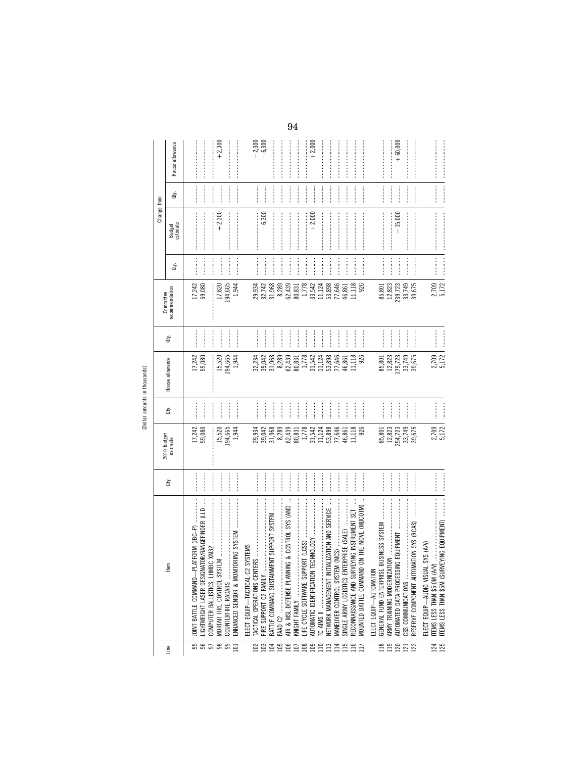| J.<br>∸       |  |
|---------------|--|
| i<br>$\sigma$ |  |
|               |  |

|                  |                                                                              |                       |                         |                                                                                                                                                                |                                                                    |                                                                                                                                                                                                                                                                                                                                                                                                                                                                                                                                                                                  |                             |                  | Change from                                                                                                                                                                                                                                                                                                                                                                                                                                                                                                                                                                                                                               |               |                                                                                                                                                                                                                                                                                                                                                                                                                                                                                                                                             |
|------------------|------------------------------------------------------------------------------|-----------------------|-------------------------|----------------------------------------------------------------------------------------------------------------------------------------------------------------|--------------------------------------------------------------------|----------------------------------------------------------------------------------------------------------------------------------------------------------------------------------------------------------------------------------------------------------------------------------------------------------------------------------------------------------------------------------------------------------------------------------------------------------------------------------------------------------------------------------------------------------------------------------|-----------------------------|------------------|-------------------------------------------------------------------------------------------------------------------------------------------------------------------------------------------------------------------------------------------------------------------------------------------------------------------------------------------------------------------------------------------------------------------------------------------------------------------------------------------------------------------------------------------------------------------------------------------------------------------------------------------|---------------|---------------------------------------------------------------------------------------------------------------------------------------------------------------------------------------------------------------------------------------------------------------------------------------------------------------------------------------------------------------------------------------------------------------------------------------------------------------------------------------------------------------------------------------------|
| Line             | Item                                                                         | ਛੇ                    | 2010 budget<br>estimate | È                                                                                                                                                              | House allowance                                                    | È                                                                                                                                                                                                                                                                                                                                                                                                                                                                                                                                                                                | Committee<br>recommendation | È                | Budget<br>estimate                                                                                                                                                                                                                                                                                                                                                                                                                                                                                                                                                                                                                        | È             | House allowance                                                                                                                                                                                                                                                                                                                                                                                                                                                                                                                             |
|                  | LIGHTWEIGHT LASER DESIGNATOR/RANGEFINDER (LLD<br><b>OINT BATTLE COMMAND-</b> |                       | 17,242<br>59,080        | <br> <br>                                                                                                                                                      | 17,242<br>59,080                                                   |                                                                                                                                                                                                                                                                                                                                                                                                                                                                                                                                                                                  | 17,242<br>59,080            |                  |                                                                                                                                                                                                                                                                                                                                                                                                                                                                                                                                                                                                                                           |               |                                                                                                                                                                                                                                                                                                                                                                                                                                                                                                                                             |
| <b>885885</b>    |                                                                              |                       |                         |                                                                                                                                                                |                                                                    |                                                                                                                                                                                                                                                                                                                                                                                                                                                                                                                                                                                  |                             | <br> <br> <br>   |                                                                                                                                                                                                                                                                                                                                                                                                                                                                                                                                                                                                                                           |               |                                                                                                                                                                                                                                                                                                                                                                                                                                                                                                                                             |
|                  | COUNTERFIRE RADARS                                                           |                       | 194,665<br>15,520       |                                                                                                                                                                | 194,665<br>15,520                                                  |                                                                                                                                                                                                                                                                                                                                                                                                                                                                                                                                                                                  | 194,665<br>17,820           | $\frac{1}{2}$    | $+2,300$                                                                                                                                                                                                                                                                                                                                                                                                                                                                                                                                                                                                                                  |               | $+2,300$                                                                                                                                                                                                                                                                                                                                                                                                                                                                                                                                    |
|                  | INHANCED SENSOR & MON                                                        |                       | 1,944                   | $\frac{1}{2}$                                                                                                                                                  | 1,944                                                              | $\frac{1}{2}$                                                                                                                                                                                                                                                                                                                                                                                                                                                                                                                                                                    | 1,944                       |                  |                                                                                                                                                                                                                                                                                                                                                                                                                                                                                                                                                                                                                                           |               |                                                                                                                                                                                                                                                                                                                                                                                                                                                                                                                                             |
|                  | <b>SYSTEMS</b><br>ELECT EQUIP—TACTICAL C2                                    |                       |                         |                                                                                                                                                                |                                                                    |                                                                                                                                                                                                                                                                                                                                                                                                                                                                                                                                                                                  |                             |                  |                                                                                                                                                                                                                                                                                                                                                                                                                                                                                                                                                                                                                                           |               |                                                                                                                                                                                                                                                                                                                                                                                                                                                                                                                                             |
| $\frac{28}{103}$ |                                                                              | .<br>.<br>.<br>.<br>. | 29,934<br>39,042        |                                                                                                                                                                | 32,234<br>39,042                                                   |                                                                                                                                                                                                                                                                                                                                                                                                                                                                                                                                                                                  |                             |                  | $-6,300$                                                                                                                                                                                                                                                                                                                                                                                                                                                                                                                                                                                                                                  |               | $-2,300$<br>$-6,300$                                                                                                                                                                                                                                                                                                                                                                                                                                                                                                                        |
|                  | MENT SUPPORT SYSTEM<br>BATTLE COMMAND SUSTAIN<br>FIRE SUPPORT C2 FAMILY      |                       | 31,968                  | ļ                                                                                                                                                              | 31,968                                                             | $\frac{1}{2}$                                                                                                                                                                                                                                                                                                                                                                                                                                                                                                                                                                    | 29,934<br>32,742<br>31,968  | $\frac{1}{2}$    |                                                                                                                                                                                                                                                                                                                                                                                                                                                                                                                                                                                                                                           | <br> <br>     |                                                                                                                                                                                                                                                                                                                                                                                                                                                                                                                                             |
| <b>MERSERS</b>   | FAAD C2                                                                      |                       | 8,289                   |                                                                                                                                                                | 8,289                                                              |                                                                                                                                                                                                                                                                                                                                                                                                                                                                                                                                                                                  | 8,289                       | İ                |                                                                                                                                                                                                                                                                                                                                                                                                                                                                                                                                                                                                                                           |               |                                                                                                                                                                                                                                                                                                                                                                                                                                                                                                                                             |
|                  | ING & CONTROL SYS (AMD<br>AIR & MSL DEFENSE PLANN                            |                       |                         |                                                                                                                                                                |                                                                    | <br> <br>                                                                                                                                                                                                                                                                                                                                                                                                                                                                                                                                                                        |                             |                  |                                                                                                                                                                                                                                                                                                                                                                                                                                                                                                                                                                                                                                           |               |                                                                                                                                                                                                                                                                                                                                                                                                                                                                                                                                             |
|                  | KNIGHT FAMILY                                                                |                       | 62,439<br>80,831        |                                                                                                                                                                | 62,439<br>80,831                                                   | $\ddot{\phantom{a}}$                                                                                                                                                                                                                                                                                                                                                                                                                                                                                                                                                             | 62,439<br>80,831            | —<br>-<br>-<br>- |                                                                                                                                                                                                                                                                                                                                                                                                                                                                                                                                                                                                                                           | —<br>;<br>;   | $\label{def:1} \centering \begin{minipage}{0.9\linewidth} \begin{tabular}{l} \hline \textbf{1} & \textbf{2} & \textbf{3} & \textbf{4} & \textbf{5} & \textbf{6} & \textbf{6} & \textbf{7} & \textbf{8} & \textbf{9} & \textbf{10} & \textbf{10} & \textbf{10} & \textbf{10} & \textbf{10} & \textbf{10} & \textbf{10} & \textbf{10} & \textbf{10} & \textbf{10} & \textbf{10} & \textbf{10} & \textbf{10} & \textbf{10} & \textbf{$                                                                                                         |
|                  |                                                                              |                       | 1,778<br>31,542         | $\frac{1}{2}$                                                                                                                                                  | $\begin{array}{c} 1,778 \\ 31,542 \\ 11,124 \\ 53,898 \end{array}$ | $\frac{1}{2}$                                                                                                                                                                                                                                                                                                                                                                                                                                                                                                                                                                    | 1,778<br>33,542             |                  |                                                                                                                                                                                                                                                                                                                                                                                                                                                                                                                                                                                                                                           |               |                                                                                                                                                                                                                                                                                                                                                                                                                                                                                                                                             |
|                  | TECHNOLOGY<br>AUTOMATIC IDENTIFICATION                                       |                       |                         | $\frac{1}{2}$                                                                                                                                                  |                                                                    |                                                                                                                                                                                                                                                                                                                                                                                                                                                                                                                                                                                  |                             |                  | $+2,000$                                                                                                                                                                                                                                                                                                                                                                                                                                                                                                                                                                                                                                  | $\frac{1}{2}$ | $+2,000$                                                                                                                                                                                                                                                                                                                                                                                                                                                                                                                                    |
|                  |                                                                              | $\frac{1}{2}$         | 11,124                  |                                                                                                                                                                |                                                                    | $\begin{array}{c} \begin{array}{c} \begin{array}{c} \begin{array}{c} \begin{array}{c} \end{array} \end{array} \end{array} \end{array} \end{array} \end{array}$                                                                                                                                                                                                                                                                                                                                                                                                                   | 11,124                      |                  |                                                                                                                                                                                                                                                                                                                                                                                                                                                                                                                                                                                                                                           |               |                                                                                                                                                                                                                                                                                                                                                                                                                                                                                                                                             |
|                  | TIALIZATION AND SERVICE<br>NETWORK MANAGEMENT INI                            |                       | 53,898                  | $\frac{1}{2}$                                                                                                                                                  |                                                                    | $\frac{1}{2}$                                                                                                                                                                                                                                                                                                                                                                                                                                                                                                                                                                    | 53,898                      |                  |                                                                                                                                                                                                                                                                                                                                                                                                                                                                                                                                                                                                                                           |               |                                                                                                                                                                                                                                                                                                                                                                                                                                                                                                                                             |
|                  |                                                                              |                       | 77,646<br>46,861        |                                                                                                                                                                | 77,646<br>46,861                                                   |                                                                                                                                                                                                                                                                                                                                                                                                                                                                                                                                                                                  | 77,646<br>46,861            |                  |                                                                                                                                                                                                                                                                                                                                                                                                                                                                                                                                                                                                                                           |               |                                                                                                                                                                                                                                                                                                                                                                                                                                                                                                                                             |
| 115              | RECONNAISSANCE AND SURVEYING INSTRUMENT SET                                  |                       | 11,118                  |                                                                                                                                                                | 11,118                                                             |                                                                                                                                                                                                                                                                                                                                                                                                                                                                                                                                                                                  | 11,118                      |                  |                                                                                                                                                                                                                                                                                                                                                                                                                                                                                                                                                                                                                                           |               |                                                                                                                                                                                                                                                                                                                                                                                                                                                                                                                                             |
| $\overline{11}$  | MOUNTED BATTLE COMMAND ON THE MOVE (MBCOTM)                                  |                       | 926                     | ļ                                                                                                                                                              | 926                                                                | $\begin{array}{c} \begin{array}{c} \begin{array}{c} \begin{array}{c} \begin{array}{c} \end{array} \end{array} \end{array} \end{array} \end{array} \end{array}$                                                                                                                                                                                                                                                                                                                                                                                                                   | 926                         | $\frac{1}{2}$    |                                                                                                                                                                                                                                                                                                                                                                                                                                                                                                                                                                                                                                           |               |                                                                                                                                                                                                                                                                                                                                                                                                                                                                                                                                             |
|                  | ELECT EQUIP-AUTOMATION                                                       |                       |                         |                                                                                                                                                                |                                                                    |                                                                                                                                                                                                                                                                                                                                                                                                                                                                                                                                                                                  |                             |                  |                                                                                                                                                                                                                                                                                                                                                                                                                                                                                                                                                                                                                                           |               |                                                                                                                                                                                                                                                                                                                                                                                                                                                                                                                                             |
| <b>2222223</b>   | BUSINESS SYSTEM<br>GENERAL FUND ENTERPRISE                                   |                       | 85,801                  |                                                                                                                                                                | 85,801                                                             |                                                                                                                                                                                                                                                                                                                                                                                                                                                                                                                                                                                  | 85,801                      |                  |                                                                                                                                                                                                                                                                                                                                                                                                                                                                                                                                                                                                                                           |               |                                                                                                                                                                                                                                                                                                                                                                                                                                                                                                                                             |
|                  |                                                                              |                       | 12,823                  | $\ddot{\phantom{a}}$                                                                                                                                           | 12,823                                                             |                                                                                                                                                                                                                                                                                                                                                                                                                                                                                                                                                                                  | 12,823                      |                  |                                                                                                                                                                                                                                                                                                                                                                                                                                                                                                                                                                                                                                           |               |                                                                                                                                                                                                                                                                                                                                                                                                                                                                                                                                             |
|                  | AUTOMATED DATA PROCESSING EQUIPMENT                                          |                       | 254,723                 |                                                                                                                                                                | 179,723                                                            |                                                                                                                                                                                                                                                                                                                                                                                                                                                                                                                                                                                  | 239,723                     |                  | $-15,000$                                                                                                                                                                                                                                                                                                                                                                                                                                                                                                                                                                                                                                 |               | $+60,000$                                                                                                                                                                                                                                                                                                                                                                                                                                                                                                                                   |
|                  | CSS COMMUNICATIONS                                                           |                       | 33,749<br>39,675        | $\frac{1}{2}$                                                                                                                                                  | 33,749                                                             |                                                                                                                                                                                                                                                                                                                                                                                                                                                                                                                                                                                  | 33,749<br>39,675            | $\frac{1}{2}$    |                                                                                                                                                                                                                                                                                                                                                                                                                                                                                                                                                                                                                                           | $\frac{1}{2}$ |                                                                                                                                                                                                                                                                                                                                                                                                                                                                                                                                             |
|                  | RESERVE COMPONENT AUTOMATION SYS (RCAS)                                      |                       |                         | $\begin{array}{c} \begin{array}{c} \begin{array}{c} \begin{array}{c} \begin{array}{c} \end{array} \end{array} \end{array} \end{array} \end{array} \end{array}$ | 39,675                                                             | $\begin{array}{c} \begin{array}{c} \begin{array}{c} \begin{array}{c} \begin{array}{c} \end{array} \end{array} \end{array} \end{array} \end{array} \end{array}$                                                                                                                                                                                                                                                                                                                                                                                                                   |                             |                  |                                                                                                                                                                                                                                                                                                                                                                                                                                                                                                                                                                                                                                           |               | $\label{def:1} \begin{minipage}{0.9\linewidth} \begin{minipage}{0.9\linewidth} \begin{minipage}{0.9\linewidth} \begin{minipage}{0.9\linewidth} \end{minipage} \begin{minipage}{0.9\linewidth} \begin{minipage}{0.9\linewidth} \end{minipage} \end{minipage} \begin{minipage}{0.9\linewidth} \begin{minipage}{0.9\linewidth} \begin{minipage}{0.9\linewidth} \end{minipage} \end{minipage} \begin{minipage}{0.9\linewidth} \begin{minipage}{0.9\linewidth} \end{minipage} \end{minipage} \begin{minipage}{0.9\linewidth} \begin{minipage}{0$ |
|                  | ELECT EQUIP-AUDIO VISUAL SYS (AV)                                            |                       |                         |                                                                                                                                                                |                                                                    |                                                                                                                                                                                                                                                                                                                                                                                                                                                                                                                                                                                  |                             |                  |                                                                                                                                                                                                                                                                                                                                                                                                                                                                                                                                                                                                                                           |               |                                                                                                                                                                                                                                                                                                                                                                                                                                                                                                                                             |
| 124<br>125       | ITEMS LESS THAN \$5.0M (A/V)                                                 |                       | 2,709<br>5,172          |                                                                                                                                                                | 2,709<br>5,172                                                     |                                                                                                                                                                                                                                                                                                                                                                                                                                                                                                                                                                                  | 2,709<br>5,172              |                  |                                                                                                                                                                                                                                                                                                                                                                                                                                                                                                                                                                                                                                           |               |                                                                                                                                                                                                                                                                                                                                                                                                                                                                                                                                             |
|                  | ITEMS LESS THAN \$5M (SURVEYING EQUIPMENT)                                   | $\frac{1}{2}$         |                         | $\frac{1}{2}$                                                                                                                                                  |                                                                    | $\begin{minipage}{0.9\linewidth} \centering \begin{minipage}{0.9\linewidth} \centering \end{minipage} \begin{minipage}{0.9\linewidth} \centering \begin{minipage}{0.9\linewidth} \centering \end{minipage} \end{minipage} \begin{minipage}{0.9\linewidth} \centering \end{minipage} \begin{minipage}{0.9\linewidth} \centering \end{minipage} \begin{minipage}{0.9\linewidth} \centering \end{minipage} \begin{minipage}{0.9\linewidth} \centering \end{minipage} \begin{minipage}{0.9\linewidth} \centering \end{minipage} \begin{minipage}{0.9\linewidth} \centering \end{min$ |                             |                  | $\begin{minipage}{0.9\linewidth} \includegraphics[width=0.9\linewidth]{10.9\linewidth} \includegraphics[width=0.9\linewidth]{10.9\linewidth} \includegraphics[width=0.9\linewidth]{10.9\linewidth} \includegraphics[width=0.9\linewidth]{10.9\linewidth} \includegraphics[width=0.9\linewidth]{10.9\linewidth} \includegraphics[width=0.9\linewidth]{10.9\linewidth} \includegraphics[width=0.9\linewidth]{10.9\linewidth} \includegraphics[width=0.9\linewidth]{10.9\linewidth} \includegraphics[width=0.9\linewidth]{10.9\linewidth} \includegraphics[width=0.9\linewidth]{10.9\linewidth} \includegraphics[width=0.9\linewidth]{10.9\$ |               |                                                                                                                                                                                                                                                                                                                                                                                                                                                                                                                                             |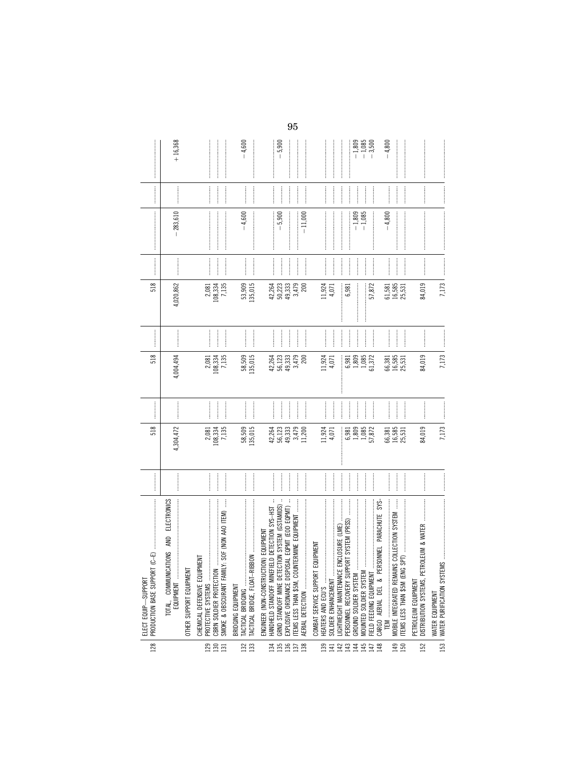| 128                   | $\label{def:1} \begin{minipage}{0.9\linewidth} \begin{minipage}{0.9\linewidth} \begin{minipage}{0.9\linewidth} \begin{minipage}{0.9\linewidth} \end{minipage} \begin{minipage}{0.9\linewidth} \begin{minipage}{0.9\linewidth} \end{minipage} \end{minipage} \begin{minipage}{0.9\linewidth} \begin{minipage}{0.9\linewidth} \begin{minipage}{0.9\linewidth} \end{minipage} \end{minipage} \begin{minipage}{0.9\linewidth} \begin{minipage}{0.9\linewidth} \end{minipage} \end{minipage} \begin{minipage}{0.9\linewidth} \begin{minipage}{0$<br>$(5-2)$<br>PRODUCTION BASE SUPPORT<br>ELECT EQUIP-SUPPORT | <br>518                             |                                                                                                                                                                                                                                                                                                                                                                                                                                                                                       | 518               |               | 518                                                      |                                                                                                                                                                                                                                                                                                                                                                                                                                            | $\label{def:1} \begin{minipage}{0.9\linewidth} \begin{minipage}{0.9\linewidth} \begin{minipage}{0.9\linewidth} \begin{minipage}{0.9\linewidth} \end{minipage} \begin{minipage}{0.9\linewidth} \begin{minipage}{0.9\linewidth} \end{minipage} \end{minipage} \begin{minipage}{0.9\linewidth} \begin{minipage}{0.9\linewidth} \begin{minipage}{0.9\linewidth} \end{minipage} \end{minipage} \end{minipage} \begin{minipage}{0.9\linewidth} \begin{minipage}{0.9\linewidth} \begin{minipage}{0.9\linewidth} \end{minipage} \end{minipage} \$ |                                                                                                                                                                                                                                                                                                                                                                                                                                                                                                                                                            |                      |
|-----------------------|----------------------------------------------------------------------------------------------------------------------------------------------------------------------------------------------------------------------------------------------------------------------------------------------------------------------------------------------------------------------------------------------------------------------------------------------------------------------------------------------------------------------------------------------------------------------------------------------------------|-------------------------------------|---------------------------------------------------------------------------------------------------------------------------------------------------------------------------------------------------------------------------------------------------------------------------------------------------------------------------------------------------------------------------------------------------------------------------------------------------------------------------------------|-------------------|---------------|----------------------------------------------------------|--------------------------------------------------------------------------------------------------------------------------------------------------------------------------------------------------------------------------------------------------------------------------------------------------------------------------------------------------------------------------------------------------------------------------------------------|-------------------------------------------------------------------------------------------------------------------------------------------------------------------------------------------------------------------------------------------------------------------------------------------------------------------------------------------------------------------------------------------------------------------------------------------------------------------------------------------------------------------------------------------|------------------------------------------------------------------------------------------------------------------------------------------------------------------------------------------------------------------------------------------------------------------------------------------------------------------------------------------------------------------------------------------------------------------------------------------------------------------------------------------------------------------------------------------------------------|----------------------|
|                       | <b>ELECTRONICS</b><br>TOTAL, COMMUNICATIONS AND<br>EQUIPMENT                                                                                                                                                                                                                                                                                                                                                                                                                                                                                                                                             | <br>4,304,472                       |                                                                                                                                                                                                                                                                                                                                                                                                                                                                                       | 4,004,494         |               | 4,020,862                                                |                                                                                                                                                                                                                                                                                                                                                                                                                                            | $-283,610$                                                                                                                                                                                                                                                                                                                                                                                                                                                                                                                                |                                                                                                                                                                                                                                                                                                                                                                                                                                                                                                                                                            | $+16,368$            |
|                       | OTHER SUPPORT EQUIPMENT                                                                                                                                                                                                                                                                                                                                                                                                                                                                                                                                                                                  |                                     |                                                                                                                                                                                                                                                                                                                                                                                                                                                                                       |                   |               |                                                          |                                                                                                                                                                                                                                                                                                                                                                                                                                            |                                                                                                                                                                                                                                                                                                                                                                                                                                                                                                                                           |                                                                                                                                                                                                                                                                                                                                                                                                                                                                                                                                                            |                      |
|                       | CHEMICAL DEFENSIVE EQUIPMENT<br>PROTECTIVE SYSTEMS                                                                                                                                                                                                                                                                                                                                                                                                                                                                                                                                                       | 2,081<br>108,334                    |                                                                                                                                                                                                                                                                                                                                                                                                                                                                                       | 2,081             |               |                                                          |                                                                                                                                                                                                                                                                                                                                                                                                                                            |                                                                                                                                                                                                                                                                                                                                                                                                                                                                                                                                           |                                                                                                                                                                                                                                                                                                                                                                                                                                                                                                                                                            |                      |
| 28E                   | Y: SOF (NON AAO ITEM)<br>CBRN SOLDIER PROTECTION<br>SMOKE & OBSCURANT FAMI                                                                                                                                                                                                                                                                                                                                                                                                                                                                                                                               | 7,135                               |                                                                                                                                                                                                                                                                                                                                                                                                                                                                                       | 108,334<br>7,135  |               | $\begin{array}{c} 2,081 \\ 108,334 \\ 7,135 \end{array}$ |                                                                                                                                                                                                                                                                                                                                                                                                                                            |                                                                                                                                                                                                                                                                                                                                                                                                                                                                                                                                           |                                                                                                                                                                                                                                                                                                                                                                                                                                                                                                                                                            |                      |
| $\frac{132}{133}$     | BRIDGING EQUIPMENT<br><b>TACTICAL BRIDGING</b>                                                                                                                                                                                                                                                                                                                                                                                                                                                                                                                                                           | <br>135,015<br>58,509               | $\frac{1}{2}$                                                                                                                                                                                                                                                                                                                                                                                                                                                                         | 58,509<br>135,015 |               | 53,909<br>135,015                                        | $\begin{minipage}{0.9\linewidth} \begin{tabular}{l} \hline \multicolumn{3}{c}{\textbf{0.9\linewidth}} \end{tabular} \end{minipage} \end{minipage} \vspace{-0.5cm}$                                                                                                                                                                                                                                                                         | $-4,600$                                                                                                                                                                                                                                                                                                                                                                                                                                                                                                                                  | $\begin{minipage}{0.9\linewidth} \begin{tabular}{l} \hline \textbf{1} & \textbf{2} & \textbf{3} & \textbf{4} & \textbf{5} & \textbf{6} & \textbf{6} & \textbf{7} & \textbf{8} & \textbf{8} & \textbf{9} & \textbf{10} & \textbf{10} & \textbf{10} & \textbf{10} & \textbf{10} & \textbf{10} & \textbf{10} & \textbf{10} & \textbf{10} & \textbf{10} & \textbf{10} & \textbf{10} & \textbf{10} & \textbf{10} & \textbf{10}$                                                                                                                                 | $-4,600$             |
|                       | ŧ<br>IELD DETECTION SYS-HST<br>ION) EQUIPMENT<br>HANDHELD STANDOFF MINEF<br>ENGINEER (NON-CONSTRUCT                                                                                                                                                                                                                                                                                                                                                                                                                                                                                                      |                                     |                                                                                                                                                                                                                                                                                                                                                                                                                                                                                       | 42,264            |               | 42,264                                                   |                                                                                                                                                                                                                                                                                                                                                                                                                                            |                                                                                                                                                                                                                                                                                                                                                                                                                                                                                                                                           |                                                                                                                                                                                                                                                                                                                                                                                                                                                                                                                                                            |                      |
| <b>MESS</b>           | ŧ<br>GRND STANDOFF MINE DETECTION SYSTEM (GSTAMIDS)<br>EXPLOSIVE ORDNANCE DISPOSAL EQPMT (EOD EQPMT)                                                                                                                                                                                                                                                                                                                                                                                                                                                                                                     | 42,264<br>56,123<br>49,333<br>3,479 |                                                                                                                                                                                                                                                                                                                                                                                                                                                                                       | 49,333<br>56,123  | $\frac{1}{2}$ | 50,223<br>49,333                                         | $\frac{1}{2}$                                                                                                                                                                                                                                                                                                                                                                                                                              | $-5,900$                                                                                                                                                                                                                                                                                                                                                                                                                                                                                                                                  |                                                                                                                                                                                                                                                                                                                                                                                                                                                                                                                                                            | $-5,900$             |
|                       | TEMS LESS THAN \$5M, COUNTERMINE EQUIPMENT<br>AERIAL DETECTION                                                                                                                                                                                                                                                                                                                                                                                                                                                                                                                                           | 11,200                              | $\begin{array}{ccccccccccccc} \multicolumn{2}{c}{} & \multicolumn{2}{c}{} & \multicolumn{2}{c}{} & \multicolumn{2}{c}{} & \multicolumn{2}{c}{} & \multicolumn{2}{c}{} & \multicolumn{2}{c}{} & \multicolumn{2}{c}{} & \multicolumn{2}{c}{} & \multicolumn{2}{c}{} & \multicolumn{2}{c}{} & \multicolumn{2}{c}{} & \multicolumn{2}{c}{} & \multicolumn{2}{c}{} & \multicolumn{2}{c}{} & \multicolumn{2}{c}{} & \multicolumn{2}{c}{} & \multicolumn{2}{c}{} & \multicolumn{2}{c}{} & \$ | 3,479<br>200      |               | 3,479<br>200                                             |                                                                                                                                                                                                                                                                                                                                                                                                                                            | $-11,000$                                                                                                                                                                                                                                                                                                                                                                                                                                                                                                                                 |                                                                                                                                                                                                                                                                                                                                                                                                                                                                                                                                                            |                      |
|                       | <b>EQUIPMENT</b><br>COMBAT SERVICE SUPPORT                                                                                                                                                                                                                                                                                                                                                                                                                                                                                                                                                               |                                     |                                                                                                                                                                                                                                                                                                                                                                                                                                                                                       |                   |               |                                                          |                                                                                                                                                                                                                                                                                                                                                                                                                                            |                                                                                                                                                                                                                                                                                                                                                                                                                                                                                                                                           |                                                                                                                                                                                                                                                                                                                                                                                                                                                                                                                                                            |                      |
| $\frac{13}{41}$       | SOLDIER ENHANCEMENT                                                                                                                                                                                                                                                                                                                                                                                                                                                                                                                                                                                      | 11,924<br>4,071                     |                                                                                                                                                                                                                                                                                                                                                                                                                                                                                       | 11,924<br>4,071   |               | 11,924<br>4,071                                          |                                                                                                                                                                                                                                                                                                                                                                                                                                            | $\label{def:1} \begin{minipage}{0.9\linewidth} \begin{minipage}{0.9\linewidth} \begin{minipage}{0.9\linewidth} \begin{minipage}{0.9\linewidth} \end{minipage} \begin{minipage}{0.9\linewidth} \begin{minipage}{0.9\linewidth} \end{minipage} \end{minipage} \begin{minipage}{0.9\linewidth} \begin{minipage}{0.9\linewidth} \begin{minipage}{0.9\linewidth} \end{minipage} \end{minipage} \end{minipage} \begin{minipage}{0.9\linewidth} \begin{minipage}{0.9\linewidth} \end{minipage} \end{minipage} \begin{minipage}{0.9\linewidth} \$ |                                                                                                                                                                                                                                                                                                                                                                                                                                                                                                                                                            |                      |
| 143                   | ENCLOSURE (LME)<br><b>IGHTWEIGHT MAINTENANCE</b>                                                                                                                                                                                                                                                                                                                                                                                                                                                                                                                                                         | $\ddot{}}$                          | $\begin{array}{ccccccccccccc} \multicolumn{2}{c}{} & \multicolumn{2}{c}{} & \multicolumn{2}{c}{} & \multicolumn{2}{c}{} & \multicolumn{2}{c}{} & \multicolumn{2}{c}{} & \multicolumn{2}{c}{} & \multicolumn{2}{c}{} & \multicolumn{2}{c}{} & \multicolumn{2}{c}{} & \multicolumn{2}{c}{} & \multicolumn{2}{c}{} & \multicolumn{2}{c}{} & \multicolumn{2}{c}{} & \multicolumn{2}{c}{} & \multicolumn{2}{c}{} & \multicolumn{2}{c}{} & \multicolumn{2}{c}{} & \multicolumn{2}{c}{} & \$ | $\ddot{}}$        | $\frac{1}{2}$ | $\ddot{}}$                                               | <b>Continued by September</b>                                                                                                                                                                                                                                                                                                                                                                                                              |                                                                                                                                                                                                                                                                                                                                                                                                                                                                                                                                           | $\cdots$                                                                                                                                                                                                                                                                                                                                                                                                                                                                                                                                                   |                      |
|                       | PERSONNEL RECOVERY SUPPORT SYSTEM (PRSS)                                                                                                                                                                                                                                                                                                                                                                                                                                                                                                                                                                 | 6,981                               |                                                                                                                                                                                                                                                                                                                                                                                                                                                                                       | 6,981             |               | 6,981                                                    |                                                                                                                                                                                                                                                                                                                                                                                                                                            |                                                                                                                                                                                                                                                                                                                                                                                                                                                                                                                                           |                                                                                                                                                                                                                                                                                                                                                                                                                                                                                                                                                            |                      |
| 145<br>$\overline{4}$ | MOUNTED SOLDIER SYSTEM<br>GROUND SOLDIER SYSTEM                                                                                                                                                                                                                                                                                                                                                                                                                                                                                                                                                          | 1,085<br>1,809                      |                                                                                                                                                                                                                                                                                                                                                                                                                                                                                       | 1,085<br>1,809    |               |                                                          |                                                                                                                                                                                                                                                                                                                                                                                                                                            | $-1,809$<br>$-1,085$                                                                                                                                                                                                                                                                                                                                                                                                                                                                                                                      |                                                                                                                                                                                                                                                                                                                                                                                                                                                                                                                                                            | $-1,809$             |
| 147                   | $\label{def:1} \begin{minipage}{0.9\linewidth} \begin{minipage}{0.9\linewidth} \begin{minipage}{0.9\linewidth} \begin{minipage}{0.9\linewidth} \end{minipage} \begin{minipage}{0.9\linewidth} \begin{minipage}{0.9\linewidth} \end{minipage} \end{minipage} \begin{minipage}{0.9\linewidth} \begin{minipage}{0.9\linewidth} \begin{minipage}{0.9\linewidth} \end{minipage} \end{minipage} \begin{minipage}{0.9\linewidth} \begin{minipage}{0.9\linewidth} \end{minipage} \end{minipage} \begin{minipage}{0.9\linewidth} \begin{minipage}{0$<br>FIELD FEEDING EQUIPMENT                                   | 57,872                              | $\frac{1}{2}$                                                                                                                                                                                                                                                                                                                                                                                                                                                                         | 61,372            | $\frac{1}{2}$ | 57,872                                                   |                                                                                                                                                                                                                                                                                                                                                                                                                                            |                                                                                                                                                                                                                                                                                                                                                                                                                                                                                                                                           |                                                                                                                                                                                                                                                                                                                                                                                                                                                                                                                                                            | $-1,085$<br>$-3,500$ |
| 148                   | SYS-<br>RSONNEL PARACHUTE<br>CARGO AERIAL DEL & PE                                                                                                                                                                                                                                                                                                                                                                                                                                                                                                                                                       |                                     |                                                                                                                                                                                                                                                                                                                                                                                                                                                                                       |                   |               |                                                          |                                                                                                                                                                                                                                                                                                                                                                                                                                            |                                                                                                                                                                                                                                                                                                                                                                                                                                                                                                                                           |                                                                                                                                                                                                                                                                                                                                                                                                                                                                                                                                                            |                      |
|                       | MOBILE INTEGRATED REMAINS COLLECTION SYSTEM                                                                                                                                                                                                                                                                                                                                                                                                                                                                                                                                                              |                                     |                                                                                                                                                                                                                                                                                                                                                                                                                                                                                       | 16,585<br>66,381  |               | 61,581                                                   |                                                                                                                                                                                                                                                                                                                                                                                                                                            | $-4,800$                                                                                                                                                                                                                                                                                                                                                                                                                                                                                                                                  |                                                                                                                                                                                                                                                                                                                                                                                                                                                                                                                                                            | $-4,800$             |
| 150                   | $\frac{1}{2}$<br>TEMS LESS THAN \$5M (ENG                                                                                                                                                                                                                                                                                                                                                                                                                                                                                                                                                                | 66,381<br>16,585<br>25,531          |                                                                                                                                                                                                                                                                                                                                                                                                                                                                                       | 25,531            |               | 16,585<br>25,531                                         |                                                                                                                                                                                                                                                                                                                                                                                                                                            |                                                                                                                                                                                                                                                                                                                                                                                                                                                                                                                                           |                                                                                                                                                                                                                                                                                                                                                                                                                                                                                                                                                            |                      |
| 152                   | DISTRIBUTION SYSTEMS, PETROLEUM & WATER<br>PETROLEUM EQUIPMENT                                                                                                                                                                                                                                                                                                                                                                                                                                                                                                                                           | 84,019                              |                                                                                                                                                                                                                                                                                                                                                                                                                                                                                       | 84,019            |               | 84,019                                                   | $\begin{minipage}{0.5\textwidth} \centering \begin{tabular}{ l l l } \hline \multicolumn{1}{ l l l } \hline \multicolumn{1}{ l l } \multicolumn{1}{ l l } \multicolumn{1}{ l l } \multicolumn{1}{ l } \multicolumn{1}{ l } \multicolumn{1}{ l } \multicolumn{1}{ l } \multicolumn{1}{ l } \multicolumn{1}{ l } \multicolumn{1}{ l } \multicolumn{1}{ l } \multicolumn{1}{ l } \multicolumn{1}{ l } \multicolumn{1}{ l } \multicolumn{1}{ $ |                                                                                                                                                                                                                                                                                                                                                                                                                                                                                                                                           | $\begin{minipage}{0.5\textwidth} \centering \begin{minipage}{0.5\textwidth} \centering \end{minipage} \begin{minipage}{0.5\textwidth} \centering \begin{minipage}{0.5\textwidth} \centering \end{minipage} \begin{minipage}{0.5\textwidth} \centering \end{minipage} \begin{minipage}{0.5\textwidth} \centering \end{minipage} \begin{minipage}{0.5\textwidth} \centering \end{minipage} \begin{minipage}{0.5\textwidth} \centering \end{minipage} \begin{minipage}{0.5\textwidth} \centering \end{minipage} \begin{minipage}{0.5\textwidth} \centering \$ |                      |
|                       | 153 WATER PURIFICATION SYSTEM<br>WATER EQUIPMENT                                                                                                                                                                                                                                                                                                                                                                                                                                                                                                                                                         | 7.173                               |                                                                                                                                                                                                                                                                                                                                                                                                                                                                                       | 7.173             |               | 7.173                                                    |                                                                                                                                                                                                                                                                                                                                                                                                                                            |                                                                                                                                                                                                                                                                                                                                                                                                                                                                                                                                           |                                                                                                                                                                                                                                                                                                                                                                                                                                                                                                                                                            |                      |

 $95\,$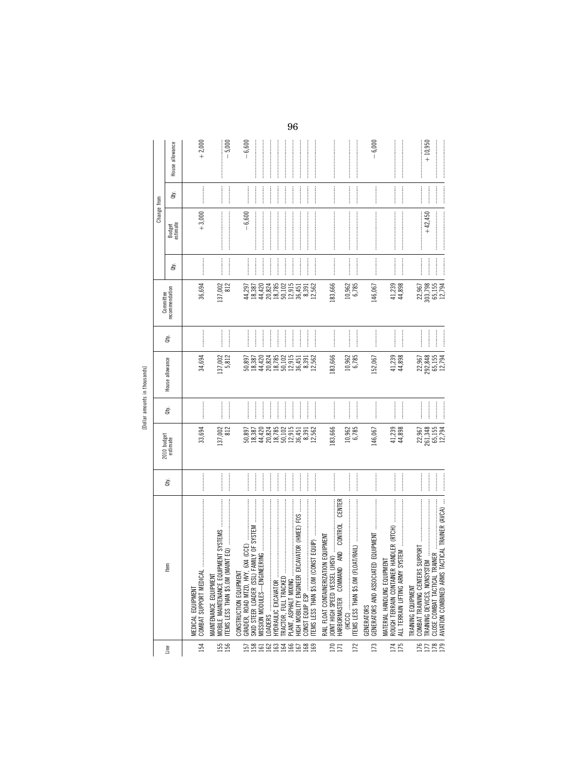[Dollar amounts in thousands]

|                   |                                                                                                                                                                                                                                                                                                                                                                                                                                                                                                                                        |                                                                                                                                                                                                                                                                                                                                                                                                                                                                                                                                                                                  |                           |                                                                                                                                                                                                                                                                                                                                                                                                                                                                                                                                          | [Dollar amounts in thousands] |                                  |                                                                   |                                                                                                                                                                                                                                                                                                             |                                                                                                                                                                                                                                                                                                                                                                                                                                                                                                                                                |                                                                                                                                                                                                                                                                                                                                                                                                                                                                                                                                                                                |                              |
|-------------------|----------------------------------------------------------------------------------------------------------------------------------------------------------------------------------------------------------------------------------------------------------------------------------------------------------------------------------------------------------------------------------------------------------------------------------------------------------------------------------------------------------------------------------------|----------------------------------------------------------------------------------------------------------------------------------------------------------------------------------------------------------------------------------------------------------------------------------------------------------------------------------------------------------------------------------------------------------------------------------------------------------------------------------------------------------------------------------------------------------------------------------|---------------------------|------------------------------------------------------------------------------------------------------------------------------------------------------------------------------------------------------------------------------------------------------------------------------------------------------------------------------------------------------------------------------------------------------------------------------------------------------------------------------------------------------------------------------------------|-------------------------------|----------------------------------|-------------------------------------------------------------------|-------------------------------------------------------------------------------------------------------------------------------------------------------------------------------------------------------------------------------------------------------------------------------------------------------------|------------------------------------------------------------------------------------------------------------------------------------------------------------------------------------------------------------------------------------------------------------------------------------------------------------------------------------------------------------------------------------------------------------------------------------------------------------------------------------------------------------------------------------------------|--------------------------------------------------------------------------------------------------------------------------------------------------------------------------------------------------------------------------------------------------------------------------------------------------------------------------------------------------------------------------------------------------------------------------------------------------------------------------------------------------------------------------------------------------------------------------------|------------------------------|
|                   |                                                                                                                                                                                                                                                                                                                                                                                                                                                                                                                                        |                                                                                                                                                                                                                                                                                                                                                                                                                                                                                                                                                                                  |                           |                                                                                                                                                                                                                                                                                                                                                                                                                                                                                                                                          |                               |                                  | Committee                                                         |                                                                                                                                                                                                                                                                                                             | Change from                                                                                                                                                                                                                                                                                                                                                                                                                                                                                                                                    |                                                                                                                                                                                                                                                                                                                                                                                                                                                                                                                                                                                |                              |
| Line              | Em                                                                                                                                                                                                                                                                                                                                                                                                                                                                                                                                     | È.                                                                                                                                                                                                                                                                                                                                                                                                                                                                                                                                                                               | 2010 budget<br>estimate   | Qty.                                                                                                                                                                                                                                                                                                                                                                                                                                                                                                                                     | House allowance               | đťy.                             | recommendation                                                    | ਛੇ                                                                                                                                                                                                                                                                                                          | Budget<br>estimate                                                                                                                                                                                                                                                                                                                                                                                                                                                                                                                             | È                                                                                                                                                                                                                                                                                                                                                                                                                                                                                                                                                                              | House allowance              |
| 154               | COMBAT SUPPORT MEDICAL<br>MEDICAL EQUIPMENT                                                                                                                                                                                                                                                                                                                                                                                                                                                                                            |                                                                                                                                                                                                                                                                                                                                                                                                                                                                                                                                                                                  | 33,694                    |                                                                                                                                                                                                                                                                                                                                                                                                                                                                                                                                          | 34,694                        |                                  | 36,694                                                            |                                                                                                                                                                                                                                                                                                             | $+3,000$                                                                                                                                                                                                                                                                                                                                                                                                                                                                                                                                       |                                                                                                                                                                                                                                                                                                                                                                                                                                                                                                                                                                                | $+2,000$                     |
| 156               | MOBILE MAINTENANCE EQU<br>MAINTENANCE EQUIPMENT                                                                                                                                                                                                                                                                                                                                                                                                                                                                                        | $\begin{array}{cccccccccc} \cdot & \cdot & \cdot & \cdot & \cdot & \cdot & \cdot \\ \cdot & \cdot & \cdot & \cdot & \cdot & \cdot & \cdot & \cdot \\ \cdot & \cdot & \cdot & \cdot & \cdot & \cdot & \cdot & \cdot \\ \cdot & \cdot & \cdot & \cdot & \cdot & \cdot & \cdot & \cdot \\ \cdot & \cdot & \cdot & \cdot & \cdot & \cdot & \cdot & \cdot \\ \end{array}$                                                                                                                                                                                                             | 812<br>137,002            | <br> <br> <br>                                                                                                                                                                                                                                                                                                                                                                                                                                                                                                                           | 137,002<br>5,812              | $\frac{1}{2}$                    | 137,002<br>812                                                    |                                                                                                                                                                                                                                                                                                             | $\begin{minipage}{0.9\linewidth} \begin{tabular}{l} \hline \textbf{1} & \textbf{2} & \textbf{3} & \textbf{4} & \textbf{5} & \textbf{6} & \textbf{6} & \textbf{7} & \textbf{8} & \textbf{9} & \textbf{10} & \textbf{10} & \textbf{10} & \textbf{10} & \textbf{10} & \textbf{10} & \textbf{10} & \textbf{10} & \textbf{10} & \textbf{10} & \textbf{10} & \textbf{10} & \textbf{10} & \textbf{10} & \textbf{10} & \textbf{10$                                                                                                                     | $\begin{minipage}{0.9\linewidth} \begin{minipage}{0.9\linewidth} \centering \begin{minipage}{0.9\linewidth} \centering \end{minipage} \end{minipage} \begin{minipage}{0.9\linewidth} \centering \begin{minipage}{0.9\linewidth} \centering \end{minipage} \end{minipage} \begin{minipage}{0.9\linewidth} \centering \begin{minipage}{0.9\linewidth} \centering \end{minipage} \end{minipage} \begin{minipage}{0.9\linewidth} \centering \begin{minipage}{0.9\linewidth} \centering \end{minipage} \end{minipage} \begin{minipage}{0.9\linewidth} \centering \begin{minipage}{$ | $-5,000$<br>:<br>:<br>:<br>: |
|                   | FAMILY OF SYSTEM<br>6X4 (CCE)<br>GRADER, ROAD MTZD, HVY,<br>CONSTRUCTION EQUIPMENT<br>SKID STEER LOADER (SSL)                                                                                                                                                                                                                                                                                                                                                                                                                          |                                                                                                                                                                                                                                                                                                                                                                                                                                                                                                                                                                                  | 50,897<br>18,387          | <br> <br> <br>                                                                                                                                                                                                                                                                                                                                                                                                                                                                                                                           | 18,387<br>50,897              |                                  | 44,297<br>18,387                                                  |                                                                                                                                                                                                                                                                                                             | $-6,600$                                                                                                                                                                                                                                                                                                                                                                                                                                                                                                                                       | $\frac{1}{2}$                                                                                                                                                                                                                                                                                                                                                                                                                                                                                                                                                                  | $-6,600$                     |
|                   | MISSION MODULES-ENGIN                                                                                                                                                                                                                                                                                                                                                                                                                                                                                                                  |                                                                                                                                                                                                                                                                                                                                                                                                                                                                                                                                                                                  | 44,420<br>20,824          | <u>.</u>                                                                                                                                                                                                                                                                                                                                                                                                                                                                                                                                 | 44,420<br>20,824              | <br> <br>                        | $44,420$<br>$20,824$<br>$18,785$                                  |                                                                                                                                                                                                                                                                                                             |                                                                                                                                                                                                                                                                                                                                                                                                                                                                                                                                                |                                                                                                                                                                                                                                                                                                                                                                                                                                                                                                                                                                                |                              |
|                   | HYDRAULIC EXCAVATOR<br>TRACTOR, FULL TRACKED                                                                                                                                                                                                                                                                                                                                                                                                                                                                                           | <br> <br> <br>                                                                                                                                                                                                                                                                                                                                                                                                                                                                                                                                                                   | 18,785<br>50,102          | $\begin{minipage}{0.9\linewidth} \begin{tabular}{l} \hline \multicolumn{3}{c}{\textbf{1.1\linewidth}} \end{tabular} \end{minipage} \begin{minipage}{0.9\linewidth} \begin{tabular}{l} \multicolumn{3}{c}{\textbf{2.1\linewidth}} \end{tabular} \end{minipage} \end{minipage} \begin{minipage}{0.9\linewidth} \begin{tabular}{l} \multicolumn{3}{c}{\textbf{2.1\linewidth}} \end{tabular} \end{minipage} \end{minipage} \begin{minipage}{0.9\linewidth} \end{minipage} \caption{Example of the \textit{1.1\linewidth} and the \textit{2.$ | $18,785$<br>50,102            | <br> <br> <br> <br>$\frac{1}{2}$ | 50,102                                                            |                                                                                                                                                                                                                                                                                                             |                                                                                                                                                                                                                                                                                                                                                                                                                                                                                                                                                |                                                                                                                                                                                                                                                                                                                                                                                                                                                                                                                                                                                |                              |
| 5859838588        | $\vdots$<br>HIGH MOBILITY ENGINEER EXCAVATOR (HMEE) FOS<br>PLANT, ASPHALT MIXING                                                                                                                                                                                                                                                                                                                                                                                                                                                       | <br>                                                                                                                                                                                                                                                                                                                                                                                                                                                                                                                                                                             | 12,915                    | <br> <br> <br>                                                                                                                                                                                                                                                                                                                                                                                                                                                                                                                           | 12,915<br>$36,451$<br>8,391   | $\frac{1}{2}$                    | $\begin{array}{c} 12,915 \\ 36,451 \\ 8,391 \\ 2,562 \end{array}$ |                                                                                                                                                                                                                                                                                                             |                                                                                                                                                                                                                                                                                                                                                                                                                                                                                                                                                |                                                                                                                                                                                                                                                                                                                                                                                                                                                                                                                                                                                |                              |
|                   | CONST EQUIP ESP                                                                                                                                                                                                                                                                                                                                                                                                                                                                                                                        | <br> <br> <br>                                                                                                                                                                                                                                                                                                                                                                                                                                                                                                                                                                   | $36,451$ $8,391$ $12,562$ |                                                                                                                                                                                                                                                                                                                                                                                                                                                                                                                                          | 12,562                        |                                  |                                                                   |                                                                                                                                                                                                                                                                                                             |                                                                                                                                                                                                                                                                                                                                                                                                                                                                                                                                                | $\frac{1}{2}$                                                                                                                                                                                                                                                                                                                                                                                                                                                                                                                                                                  |                              |
| $\frac{170}{171}$ | CENTER<br><b>ION EQUIPMENT</b><br>HARBORMASTER COMMAN<br>RAIL FLOAT CONTAINERIZAT<br>JOINT HIGH SPEED VESSEL                                                                                                                                                                                                                                                                                                                                                                                                                           |                                                                                                                                                                                                                                                                                                                                                                                                                                                                                                                                                                                  | 183,666                   |                                                                                                                                                                                                                                                                                                                                                                                                                                                                                                                                          | 183,666                       |                                  | 183,666                                                           | $\begin{minipage}{0.9\linewidth} \begin{tabular}{l} \toprule \multicolumn{2}{c}{\textbf{0.9\linewidth}} \begin{tabular}{l} \multicolumn{2}{c}{\textbf{0.9\linewidth}} \end{tabular} \end{minipage} \end{minipage} \end{minipage} \caption{A system of the model and the model of the model.} \label{fig:1}$ |                                                                                                                                                                                                                                                                                                                                                                                                                                                                                                                                                | $\label{eq:1} \begin{minipage}{0.9\linewidth} \begin{minipage}{0.9\linewidth} \begin{minipage}{0.9\linewidth} \end{minipage} \begin{minipage}{0.9\linewidth} \begin{minipage}{0.9\linewidth} \end{minipage} \begin{minipage}{0.9\linewidth} \end{minipage} \begin{minipage}{0.9\linewidth} \end{minipage} \begin{minipage}{0.9\linewidth} \end{minipage} \begin{minipage}{0.9\linewidth} \end{minipage} \begin{minipage}{0.9\linewidth} \end{minipage} \begin{minipage}{0.9\linewidth} \end{minipage} \begin{minipage}{0.9\linewidth} \$                                       |                              |
| 172               | ITEMS LESS THAN \$5.0M (F<br>(HCCC)                                                                                                                                                                                                                                                                                                                                                                                                                                                                                                    | <b></b><br>$\frac{1}{2}$                                                                                                                                                                                                                                                                                                                                                                                                                                                                                                                                                         | 10,962<br>6,785           | $\begin{array}{ccccccccccccc} \multicolumn{2}{c}{} & \multicolumn{2}{c}{} & \multicolumn{2}{c}{} & \multicolumn{2}{c}{} & \multicolumn{2}{c}{} & \multicolumn{2}{c}{} & \multicolumn{2}{c}{} & \multicolumn{2}{c}{} & \multicolumn{2}{c}{} & \multicolumn{2}{c}{} & \multicolumn{2}{c}{} & \multicolumn{2}{c}{} & \multicolumn{2}{c}{} & \multicolumn{2}{c}{} & \multicolumn{2}{c}{} & \multicolumn{2}{c}{} & \multicolumn{2}{c}{} & \multicolumn{2}{c}{} & \multicolumn{2}{c}{} & \$                                                    | 6,785<br>10,962               |                                  | 10,962<br>6,785                                                   |                                                                                                                                                                                                                                                                                                             |                                                                                                                                                                                                                                                                                                                                                                                                                                                                                                                                                | $\begin{minipage}{0.9\linewidth} \begin{tabular}{l} \hline \textbf{1} & \textbf{1} & \textbf{1} & \textbf{1} & \textbf{1} & \textbf{1} & \textbf{1} & \textbf{1} & \textbf{1} & \textbf{1} & \textbf{1} & \textbf{1} & \textbf{1} & \textbf{1} & \textbf{1} & \textbf{1} & \textbf{1} & \textbf{1} & \textbf{1} & \textbf{1} & \textbf{1} & \textbf{1} & \textbf{1} & \textbf{1} & \textbf{1} & \textbf{1} & \textbf{1} & \textbf{1} &$                                                                                                                                        |                              |
| 173               | GENERATORS AND ASSOCIAT<br><b>GENERATORS</b>                                                                                                                                                                                                                                                                                                                                                                                                                                                                                           | $\begin{minipage}{0.9\linewidth} \begin{tabular}{l} \hline \multicolumn{3}{c}{\textbf{0.9\linewidth}} \end{tabular} \end{minipage} \end{minipage} \vspace{-0.5cm}$                                                                                                                                                                                                                                                                                                                                                                                                               | 146,067                   |                                                                                                                                                                                                                                                                                                                                                                                                                                                                                                                                          | 152,067                       |                                  | 146,067                                                           |                                                                                                                                                                                                                                                                                                             | $\label{def:conformal} \begin{minipage}{0.9\linewidth} \begin{minipage}{0.9\linewidth} \begin{minipage}{0.9\linewidth} \begin{minipage}{0.9\linewidth} \end{minipage} \end{minipage} \begin{minipage}{0.9\linewidth} \begin{minipage}{0.9\linewidth} \begin{minipage}{0.9\linewidth} \end{minipage} \end{minipage} \end{minipage} \begin{minipage}{0.9\linewidth} \begin{minipage}{0.9\linewidth} \begin{minipage}{0.9\linewidth} \end{minipage} \end{minipage} \end{minipage} \begin{minipage}{0.9\linewidth} \begin{minipage}{0.9\linewidth$ |                                                                                                                                                                                                                                                                                                                                                                                                                                                                                                                                                                                | $-6,000$                     |
| 175               | $\label{eq:1} \begin{aligned} \textbf{1} & \textbf{1} & \textbf{1} & \textbf{1} & \textbf{1} & \textbf{1} & \textbf{1} & \textbf{1} & \textbf{1} & \textbf{1} & \textbf{1} & \textbf{1} & \textbf{1} & \textbf{1} & \textbf{1} & \textbf{1} & \textbf{1} & \textbf{1} & \textbf{1} & \textbf{1} & \textbf{1} & \textbf{1} & \textbf{1} & \textbf{1} & \textbf{1} & \textbf{1} & \textbf{1} & \textbf{1} & \textbf{1} & \textbf{1$<br>ROUGH TERRAIN CONTAINER HANDLER (RTCH)<br>MATERIAL HANDLING EQUIPMENT<br>ALL TERRAIN LIFTING ARMY |                                                                                                                                                                                                                                                                                                                                                                                                                                                                                                                                                                                  | 41,239<br>44,898          |                                                                                                                                                                                                                                                                                                                                                                                                                                                                                                                                          | 41,239<br>44,898              |                                  | 41,239<br>44,898                                                  |                                                                                                                                                                                                                                                                                                             | $\label{def:1} \begin{minipage}{0.9\linewidth} \begin{minipage}{0.9\linewidth} \begin{minipage}{0.9\linewidth} \begin{minipage}{0.9\linewidth} \end{minipage} \begin{minipage}{0.9\linewidth} \begin{minipage}{0.9\linewidth} \end{minipage} \end{minipage} \begin{minipage}{0.9\linewidth} \begin{minipage}{0.9\linewidth} \begin{minipage}{0.9\linewidth} \end{minipage} \end{minipage} \begin{minipage}{0.9\linewidth} \begin{minipage}{0.9\linewidth} \end{minipage} \end{minipage} \begin{minipage}{0.9\linewidth} \begin{minipage}{0$    | $\begin{minipage}{0.5\textwidth} \centering \begin{minipage}{0.5\textwidth} \centering \end{minipage} \begin{minipage}{0.5\textwidth} \centering \begin{minipage}{0.5\textwidth} \centering \end{minipage} \end{minipage} \begin{minipage}{0.5\textwidth} \centering \begin{minipage}{0.5\textwidth} \centering \end{minipage} \end{minipage} \begin{minipage}{0.5\textwidth} \centering \end{minipage} \begin{minipage}{0.5\textwidth} \centering \end{minipage} \begin{minipage}{0.5\textwidth} \centering \end{minipage} \begin{minipage}{0.5\$                             |                              |
| 175               | SUPPORT<br>COMBAT TRAINING CENTERS<br>CLOSE COMBAT TACTICAL T<br>TRAINING EQUIPMENT                                                                                                                                                                                                                                                                                                                                                                                                                                                    | $\begin{minipage}{0.9\linewidth} \centering \begin{minipage}{0.9\linewidth} \centering \end{minipage} \begin{minipage}{0.9\linewidth} \centering \begin{minipage}{0.9\linewidth} \centering \end{minipage} \end{minipage} \begin{minipage}{0.9\linewidth} \centering \begin{minipage}{0.9\linewidth} \centering \end{minipage} \end{minipage} \begin{minipage}{0.9\linewidth} \centering \end{minipage} \begin{minipage}{0.9\linewidth} \centering \end{minipage} \begin{minipage}{0.9\linewidth} \centering \end{minipage} \begin{minipage}{0.9\linewidth} \centering \end{min$ | 22,967<br>261,348         |                                                                                                                                                                                                                                                                                                                                                                                                                                                                                                                                          | 292,848<br>22,967             |                                  | 22,967<br>303,798                                                 |                                                                                                                                                                                                                                                                                                             | $+42,450$                                                                                                                                                                                                                                                                                                                                                                                                                                                                                                                                      |                                                                                                                                                                                                                                                                                                                                                                                                                                                                                                                                                                                | $+10,950$<br>ļ               |
| 178               | TACTICAL TRAINER (AVCA)<br>AVIATION COMBINED ARMS                                                                                                                                                                                                                                                                                                                                                                                                                                                                                      |                                                                                                                                                                                                                                                                                                                                                                                                                                                                                                                                                                                  | $65,155$ 155              | $\frac{1}{2}$                                                                                                                                                                                                                                                                                                                                                                                                                                                                                                                            | 65,155<br>12,794              |                                  | 65,155<br>12,794                                                  |                                                                                                                                                                                                                                                                                                             |                                                                                                                                                                                                                                                                                                                                                                                                                                                                                                                                                | $\label{eq:1} \begin{minipage}{0.9\linewidth} \begin{minipage}{0.9\linewidth} \begin{minipage}{0.9\linewidth} \centering \end{minipage} \begin{minipage}{0.9\linewidth} \begin{minipage}{0.9\linewidth} \centering \end{minipage} \begin{minipage}{0.9\linewidth} \centering \end{minipage} \begin{minipage}{0.9\linewidth} \centering \end{minipage} \begin{minipage}{0.9\linewidth} \centering \end{minipage} \begin{minipage}{0.9\linewidth} \centering \end{minipage} \begin{minipage}{0.9\linewidth} \centering \end{minipage} \begin{minipage}{0.9\linewidth}$           |                              |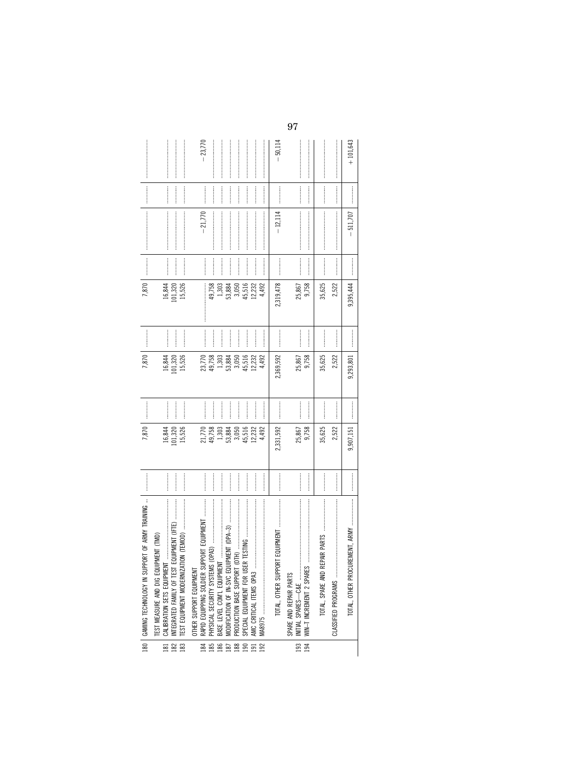| 180   GAMING TECHNOLOGY IN SUPPORT OF ARMY TRAINING                                                                                                                                                                                                                                                                                                                                                                                                                                                                                                                                                                          | $\begin{minipage}{0.9\linewidth} \begin{tabular}{l} \toprule \multicolumn{2}{c}{\textbf{1}} & \multicolumn{2}{c}{\textbf{1}} & \multicolumn{2}{c}{\textbf{1}} \\ \multicolumn{2}{c}{\textbf{1}} & \multicolumn{2}{c}{\textbf{1}} & \multicolumn{2}{c}{\textbf{1}} \\ \multicolumn{2}{c}{\textbf{2}} & \multicolumn{2}{c}{\textbf{3}} & \multicolumn{2}{c}{\textbf{4}} \\ \multicolumn{2}{c}{\textbf{5}} & \multicolumn{2}{c}{\textbf{6}} & \multicolumn{2}{c}{\textbf{5}} \\ \multicolumn$ | 7,870             |                  | 7,870             |                  | 7,870             |                     |                                                                                                                                                                                                                                                                                                                                                                                                                                                                                                                                                  | $\begin{minipage}{0.9\linewidth} \begin{tabular}{l} \toprule \multicolumn{2}{c}{\textbf{0.9\linewidth}} \begin{tabular}{l} \multicolumn{2}{c}{\textbf{0.9\linewidth}} \end{tabular} \end{minipage} \end{minipage} \vspace{0.08\linewidth} \end{minipage} \vspace{0.08\linewidth} \begin{minipage}{0.9\linewidth} \begin{tabular}{l} \multicolumn{2}{c}{\textbf{0.9\linewidth}} \end{tabular} \end{minipage} \vspace{0.08\linewidth} \begin{minipage}{0.9\linewidth} \begin{tabular}{l} \multicolumn{2}{c}{\textbf{0.9$ |            |
|------------------------------------------------------------------------------------------------------------------------------------------------------------------------------------------------------------------------------------------------------------------------------------------------------------------------------------------------------------------------------------------------------------------------------------------------------------------------------------------------------------------------------------------------------------------------------------------------------------------------------|--------------------------------------------------------------------------------------------------------------------------------------------------------------------------------------------------------------------------------------------------------------------------------------------------------------------------------------------------------------------------------------------------------------------------------------------------------------------------------------------|-------------------|------------------|-------------------|------------------|-------------------|---------------------|--------------------------------------------------------------------------------------------------------------------------------------------------------------------------------------------------------------------------------------------------------------------------------------------------------------------------------------------------------------------------------------------------------------------------------------------------------------------------------------------------------------------------------------------------|------------------------------------------------------------------------------------------------------------------------------------------------------------------------------------------------------------------------------------------------------------------------------------------------------------------------------------------------------------------------------------------------------------------------------------------------------------------------------------------------------------------------|------------|
| <br>$\label{def:3} \begin{minipage}{0.9\linewidth} \begin{minipage}{0.9\linewidth} \begin{minipage}{0.9\linewidth} \begin{minipage}{0.9\linewidth} \end{minipage} \end{minipage} \begin{minipage}{0.9\linewidth} \begin{minipage}{0.9\linewidth} \begin{minipage}{0.9\linewidth} \end{minipage} \end{minipage} \end{minipage} \begin{minipage}{0.9\linewidth} \begin{minipage}{0.9\linewidth} \begin{minipage}{0.9\linewidth} \end{minipage} \end{minipage} \end{minipage} \begin{minipage}{0.9\linewidth} \begin{minipage}{0.9\linewidth} \$<br>PMENT (TMD)<br>181   CALIBRATION SETS EQUIPMENT<br>TEST MEASURE AND DIG EQU |                                                                                                                                                                                                                                                                                                                                                                                                                                                                                            | 16,844            | <br> <br>        | 16,844            | <br> <br>        | 16,844            |                     |                                                                                                                                                                                                                                                                                                                                                                                                                                                                                                                                                  |                                                                                                                                                                                                                                                                                                                                                                                                                                                                                                                        |            |
| <br>$\overline{10N}$ (TEMOD) $\overline{10N}$<br>TEST EQUIPMENT MODERNIZAT<br>INTEGRATED FAMILY OF TEST                                                                                                                                                                                                                                                                                                                                                                                                                                                                                                                      |                                                                                                                                                                                                                                                                                                                                                                                                                                                                                            | 15,526<br>101,320 |                  | 15,526<br>101,320 |                  | 15,526<br>101,320 |                     |                                                                                                                                                                                                                                                                                                                                                                                                                                                                                                                                                  |                                                                                                                                                                                                                                                                                                                                                                                                                                                                                                                        |            |
| <br>RAPID EQUIPPING SOLDIER SUPPORT EQUIPMENT<br>OTHER SUPPORT EQUIPMENT                                                                                                                                                                                                                                                                                                                                                                                                                                                                                                                                                     |                                                                                                                                                                                                                                                                                                                                                                                                                                                                                            | 21,770            |                  | 23,770            |                  |                   |                     | $-21,770$                                                                                                                                                                                                                                                                                                                                                                                                                                                                                                                                        |                                                                                                                                                                                                                                                                                                                                                                                                                                                                                                                        | $-23,770$  |
|                                                                                                                                                                                                                                                                                                                                                                                                                                                                                                                                                                                                                              |                                                                                                                                                                                                                                                                                                                                                                                                                                                                                            | 49,758            |                  | 49,758            | <br> <br>        | 49,758            |                     |                                                                                                                                                                                                                                                                                                                                                                                                                                                                                                                                                  |                                                                                                                                                                                                                                                                                                                                                                                                                                                                                                                        |            |
| <br>$\label{def:1} \begin{array}{ll} \text{Tr}(\mathbf{r},\mathbf{r})=\left\{ \begin{array}{ll} \mathbf{r},&\mbox{if}&\mbox{if}&\mbox{if}&\mbox{if}&\mbox{if}&\mbox{if}&\mbox{if}&\mbox{if}&\mbox{if}&\mbox{if}&\mbox{if}&\mbox{if}&\mbox{if}&\mbox{if}&\mbox{if}&\mbox{if}&\mbox{if}&\mbox{if}&\mbox{if}&\mbox{if}&\mbox{if}&\mbox{if}&\mbox{if}&\mbox{if}&\mbox{if}&\mbox{if}&\mbox{if}&\mbox{if}&\mbox$<br>BASE LEVEL COM'L EQUIPMENT                                                                                                                                                                                     |                                                                                                                                                                                                                                                                                                                                                                                                                                                                                            | 1,303             |                  | 1,303             | :<br>:<br>:      | 1,303             |                     |                                                                                                                                                                                                                                                                                                                                                                                                                                                                                                                                                  |                                                                                                                                                                                                                                                                                                                                                                                                                                                                                                                        |            |
| MODIFICATION OF IN-SVC EQUIPMENT (OPA-3)                                                                                                                                                                                                                                                                                                                                                                                                                                                                                                                                                                                     |                                                                                                                                                                                                                                                                                                                                                                                                                                                                                            | 53,884            |                  | 53,884            | :<br>:<br>:<br>: | 53,884            | :<br>:<br>:         |                                                                                                                                                                                                                                                                                                                                                                                                                                                                                                                                                  |                                                                                                                                                                                                                                                                                                                                                                                                                                                                                                                        |            |
|                                                                                                                                                                                                                                                                                                                                                                                                                                                                                                                                                                                                                              |                                                                                                                                                                                                                                                                                                                                                                                                                                                                                            | 3,050             | <br> <br> <br>   | 3,050             | <br> <br> <br>   | 3,050             |                     |                                                                                                                                                                                                                                                                                                                                                                                                                                                                                                                                                  |                                                                                                                                                                                                                                                                                                                                                                                                                                                                                                                        |            |
| <br>PRODUCTION BASE SUPPORT (<br>SPECIAL EQUIPMENT FOR USE!                                                                                                                                                                                                                                                                                                                                                                                                                                                                                                                                                                  |                                                                                                                                                                                                                                                                                                                                                                                                                                                                                            | 45,516            | <br> <br> <br>   | 45,516            | :<br>:<br>:      | 45,516            |                     |                                                                                                                                                                                                                                                                                                                                                                                                                                                                                                                                                  |                                                                                                                                                                                                                                                                                                                                                                                                                                                                                                                        |            |
|                                                                                                                                                                                                                                                                                                                                                                                                                                                                                                                                                                                                                              |                                                                                                                                                                                                                                                                                                                                                                                                                                                                                            | 12,232            | <br> <br> <br>   | 12,232            |                  | 12,232            |                     |                                                                                                                                                                                                                                                                                                                                                                                                                                                                                                                                                  |                                                                                                                                                                                                                                                                                                                                                                                                                                                                                                                        |            |
|                                                                                                                                                                                                                                                                                                                                                                                                                                                                                                                                                                                                                              |                                                                                                                                                                                                                                                                                                                                                                                                                                                                                            | 4,492             |                  | 4,492             | :<br>:<br>:      | 4,492             |                     |                                                                                                                                                                                                                                                                                                                                                                                                                                                                                                                                                  |                                                                                                                                                                                                                                                                                                                                                                                                                                                                                                                        |            |
| TOTAL, OTHER SUPPORT EQUIPMENT                                                                                                                                                                                                                                                                                                                                                                                                                                                                                                                                                                                               |                                                                                                                                                                                                                                                                                                                                                                                                                                                                                            | 2,331,592         |                  | 2,369,592         |                  | 2,319,478         | <br> <br> <br> <br> | $-12,114$                                                                                                                                                                                                                                                                                                                                                                                                                                                                                                                                        |                                                                                                                                                                                                                                                                                                                                                                                                                                                                                                                        | $-50,114$  |
| <br>INITIAL SPARES—C&E<br>WIN—T INCREMENT 2 SPARES<br>SPARE AND REPAIR PARTS                                                                                                                                                                                                                                                                                                                                                                                                                                                                                                                                                 |                                                                                                                                                                                                                                                                                                                                                                                                                                                                                            | 25,867<br>9,758   |                  | 9,758<br>25,867   |                  | 9,758<br>25,867   |                     |                                                                                                                                                                                                                                                                                                                                                                                                                                                                                                                                                  |                                                                                                                                                                                                                                                                                                                                                                                                                                                                                                                        |            |
| <br> <br> <br>                                                                                                                                                                                                                                                                                                                                                                                                                                                                                                                                                                                                               |                                                                                                                                                                                                                                                                                                                                                                                                                                                                                            | 35,625            |                  | 35,625            |                  | 35,625            |                     |                                                                                                                                                                                                                                                                                                                                                                                                                                                                                                                                                  |                                                                                                                                                                                                                                                                                                                                                                                                                                                                                                                        |            |
|                                                                                                                                                                                                                                                                                                                                                                                                                                                                                                                                                                                                                              |                                                                                                                                                                                                                                                                                                                                                                                                                                                                                            | 2,522             |                  | 2,522             |                  | 2,522             |                     | $\label{def:1} \begin{minipage}{0.9\linewidth} \begin{minipage}{0.9\linewidth} \begin{minipage}{0.9\linewidth} \begin{minipage}{0.9\linewidth} \end{minipage} \begin{minipage}{0.9\linewidth} \begin{minipage}{0.9\linewidth} \end{minipage} \begin{minipage}{0.9\linewidth} \begin{minipage}{0.9\linewidth} \end{minipage} \begin{minipage}{0.9\linewidth} \begin{minipage}{0.9\linewidth} \end{minipage} \begin{minipage}{0.9\linewidth} \end{minipage} \begin{minipage}{0.9\linewidth} \end{minipage} \begin{minipage}{0.9\linewidth} \begin$ | $\begin{minipage}{0.9\linewidth} \begin{tabular}{l} \toprule \multicolumn{3}{c}{\textbf{0.9\linewidth}} \begin{tabular}{l} \multicolumn{3}{c}{\textbf{0.9\linewidth}} \end{tabular} \end{minipage} \end{minipage} \vspace{-0.08\linewidth} \end{minipage} \vspace{-0.08\linewidth} \end{minipage} \vspace{-0.08\linewidth} \caption{A system of the model of the model and the model of the model. The model of the model is the model of the model. The model of the model is the model of the model.} \label{fig:1}$ |            |
|                                                                                                                                                                                                                                                                                                                                                                                                                                                                                                                                                                                                                              |                                                                                                                                                                                                                                                                                                                                                                                                                                                                                            |                   |                  |                   |                  |                   |                     |                                                                                                                                                                                                                                                                                                                                                                                                                                                                                                                                                  |                                                                                                                                                                                                                                                                                                                                                                                                                                                                                                                        |            |
|                                                                                                                                                                                                                                                                                                                                                                                                                                                                                                                                                                                                                              |                                                                                                                                                                                                                                                                                                                                                                                                                                                                                            | 9,907,151         | :<br>:<br>:<br>: | 9,293,801         | :<br>:<br>:<br>: | 9,395,444         | :<br>:<br>:<br>:    | 511,707                                                                                                                                                                                                                                                                                                                                                                                                                                                                                                                                          | :<br>:<br>:<br>:                                                                                                                                                                                                                                                                                                                                                                                                                                                                                                       | $+101,643$ |
|                                                                                                                                                                                                                                                                                                                                                                                                                                                                                                                                                                                                                              |                                                                                                                                                                                                                                                                                                                                                                                                                                                                                            |                   |                  |                   |                  |                   |                     |                                                                                                                                                                                                                                                                                                                                                                                                                                                                                                                                                  |                                                                                                                                                                                                                                                                                                                                                                                                                                                                                                                        |            |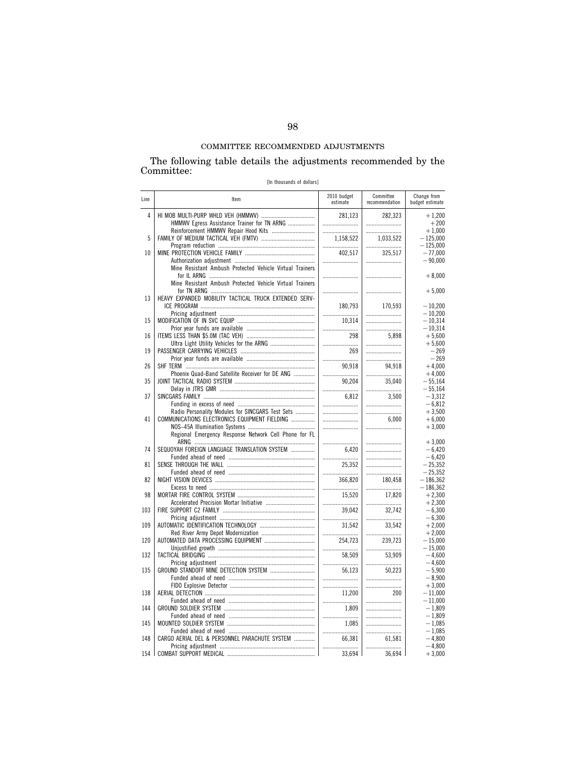The following table details the adjustments recommended by the Committee:

[In thousands of dollars]

| Line | Item                                                     | 2010 budget<br>estimate | Committee<br>recommendation | Change from<br>budget estimate |
|------|----------------------------------------------------------|-------------------------|-----------------------------|--------------------------------|
| 4    | HMMWV Egress Assistance Trainer for TN ARNG              | 281,123<br>             | 282,323                     | $+1,200$<br>$+200$             |
|      |                                                          |                         |                             | $+1,000$                       |
| 5    |                                                          | 1,158,522               | 1,033,522                   | $-125,000$                     |
|      |                                                          |                         |                             | $-125,000$                     |
| 10   |                                                          | 402,517                 | 325,517                     | $-77,000$                      |
|      |                                                          |                         |                             | $-90,000$                      |
|      | Mine Resistant Ambush Protected Vehicle Virtual Trainers |                         |                             |                                |
|      |                                                          |                         |                             | $+8,000$                       |
|      | Mine Resistant Ambush Protected Vehicle Virtual Trainers |                         |                             |                                |
|      |                                                          |                         |                             | $+5,000$                       |
| 13   | HEAVY EXPANDED MOBILITY TACTICAL TRUCK EXTENDED SERV-    |                         |                             |                                |
|      |                                                          | 180,793                 | 170.593                     | $-10,200$                      |
|      |                                                          |                         |                             | $-10,200$                      |
| 15   |                                                          | 10,314                  |                             | $-10,314$                      |
|      |                                                          |                         |                             | $-10,314$                      |
| 16   |                                                          | 298                     | 5,898                       | $+5,600$                       |
|      |                                                          |                         |                             | $+5,600$                       |
| 19   |                                                          | 269                     |                             | $-269$                         |
|      |                                                          |                         |                             | $-269$                         |
| 26   |                                                          | 90.918                  | 94,918                      | $+4,000$                       |
|      | Phoenix Quad-Band Satellite Receiver for DE ANG          |                         |                             | $+4,000$                       |
| 35   |                                                          | 90,204                  | 35.040                      | $-55.164$                      |
|      |                                                          |                         |                             | $-55,164$                      |
| 37   |                                                          | 6,812                   | 3,500                       | $-3,312$                       |
|      |                                                          |                         |                             |                                |
|      |                                                          |                         |                             | $-6,812$                       |
|      | Radio Personality Modules for SINCGARS Test Sets         |                         |                             | $+3,500$                       |
| 41   | COMMUNICATIONS ELECTRONICS EQUIPMENT FIELDING            |                         | 6.000                       | $+6,000$                       |
|      |                                                          |                         |                             | $+3,000$                       |
|      | Regional Emergency Response Network Cell Phone for FL    |                         |                             |                                |
|      |                                                          |                         |                             | $+3,000$                       |
| 74   | SEQUOYAH FOREIGN LANGUAGE TRANSLATION SYSTEM             | 6.420                   |                             | $-6,420$                       |
|      |                                                          |                         |                             | $-6.420$                       |
| 81   |                                                          | 25.352                  |                             | $-25.352$                      |
|      |                                                          |                         |                             | $-25,352$                      |
| 82   |                                                          | 366,820                 | 180,458                     | $-186,362$                     |
|      |                                                          |                         |                             | $-186,362$                     |
| 98   |                                                          | 15.520                  | 17.820                      | $+2.300$                       |
|      |                                                          |                         |                             | $+2.300$                       |
| 103  |                                                          | 39,042                  | 32,742                      | $-6,300$                       |
|      |                                                          |                         |                             | $-6,300$                       |
| 109  |                                                          | 31,542                  | 33,542                      | $+2,000$                       |
|      |                                                          |                         |                             | $+2.000$                       |
| 120  |                                                          | 254,723                 | 239,723                     | $-15.000$                      |
|      |                                                          |                         |                             | $-15,000$                      |
| 132  |                                                          | 58,509                  | 53,909                      | $-4,600$                       |
|      |                                                          |                         |                             | $-4,600$                       |
| 135  |                                                          | 56.123                  | 50.223                      | $-5.900$                       |
|      |                                                          |                         |                             | $-8,900$                       |
|      |                                                          |                         |                             | $+3,000$                       |
| 138  |                                                          | 11,200                  | 200                         | $-11,000$                      |
|      |                                                          |                         |                             |                                |
|      |                                                          |                         |                             | $-11,000$                      |
| 144  |                                                          | 1.809                   |                             | $-1.809$                       |
|      |                                                          |                         |                             | $-1,809$                       |
| 145  |                                                          | 1.085                   |                             | $-1,085$                       |
|      |                                                          |                         |                             | $-1,085$                       |
| 148  | CARGO AERIAL DEL & PERSONNEL PARACHUTE SYSTEM            | 66.381                  | 61.581                      | $-4.800$                       |
|      |                                                          |                         |                             | $-4,800$                       |
| 154  |                                                          | 33,694                  | 36,694                      | $+3,000$                       |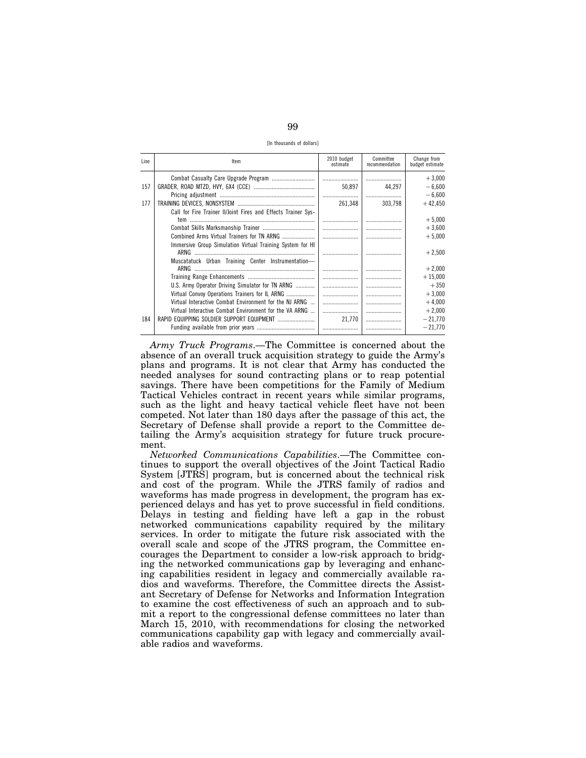[In thousands of dollars]

| Line | Item                                                          | 2010 budget<br>estimate | Committee<br>recommendation | Change from<br>budget estimate |
|------|---------------------------------------------------------------|-------------------------|-----------------------------|--------------------------------|
|      |                                                               |                         |                             | $+3,000$                       |
| 157  |                                                               | 50.897                  | 44.297                      | $-6.600$                       |
|      |                                                               |                         |                             | $-6.600$                       |
| 177  |                                                               | 261.348                 | 303.798                     | $+42,450$                      |
|      | Call for Fire Trainer II/Joint Fires and Effects Trainer Sys- |                         |                             |                                |
|      |                                                               |                         |                             | $+5,000$                       |
|      |                                                               |                         |                             | $+3,600$                       |
|      |                                                               |                         |                             | $+5,000$                       |
|      | Immersive Group Simulation Virtual Training System for HI     |                         |                             | $+2,500$                       |
|      | Muscatatuck Urban Training Center Instrumentation-            |                         |                             | $+2,000$                       |
|      |                                                               |                         |                             | $+15,000$                      |
|      | U.S. Army Operator Driving Simulator for TN ARNG              |                         |                             | $+350$                         |
|      | Virtual Convoy Operations Trainers for IL ARNG                |                         |                             | $+3,000$                       |
|      | Virtual Interactive Combat Environment for the NJ ARNG        |                         |                             | $+4,000$                       |
|      | Virtual Interactive Combat Environment for the VA ARNG        |                         |                             | $+2,000$                       |
| 184  | RAPID EQUIPPING SOLDIER SUPPORT EQUIPMENT                     | 21.770                  |                             | $-21,770$                      |
|      |                                                               |                         |                             | $-21.770$                      |

Army Truck Programs.—The Committee is concerned about the absence of an overall truck acquisition strategy to guide the Army's plans and programs. It is not clear that Army has conducted the needed analyses for sound contracting plans or to reap potential savings. There have been competitions for the Family of Medium Tactical Vehicles contract in recent years while similar programs, such as the light and heavy tactical vehicle fleet have not been competed. Not later than 180 days after the passage of this act, the Secretary of Defense shall provide a report to the Committee detailing the Army's acquisition strategy for future truck procurement.

Networked Communications Capabilities.-The Committee continues to support the overall objectives of the Joint Tactical Radio System [JTRS] program, but is concerned about the technical risk and cost of the program. While the JTRS family of radios and waveforms has made progress in development, the program has experienced delays and has yet to prove successful in field conditions. Delays in testing and fielding have left a gap in the robust networked communications capability required by the military services. In order to mitigate the future risk associated with the overall scale and scope of the JTRS program, the Committee encourages the Department to consider a low-risk approach to bridging the networked communications gap by leveraging and enhancing capabilities resident in legacy and commercially available radios and waveforms. Therefore, the Committee directs the Assistant Secretary of Defense for Networks and Information Integration to examine the cost effectiveness of such an approach and to submit a report to the congressional defense committees no later than March 15, 2010, with recommendations for closing the networked communications capability gap with legacy and commercially available radios and waveforms.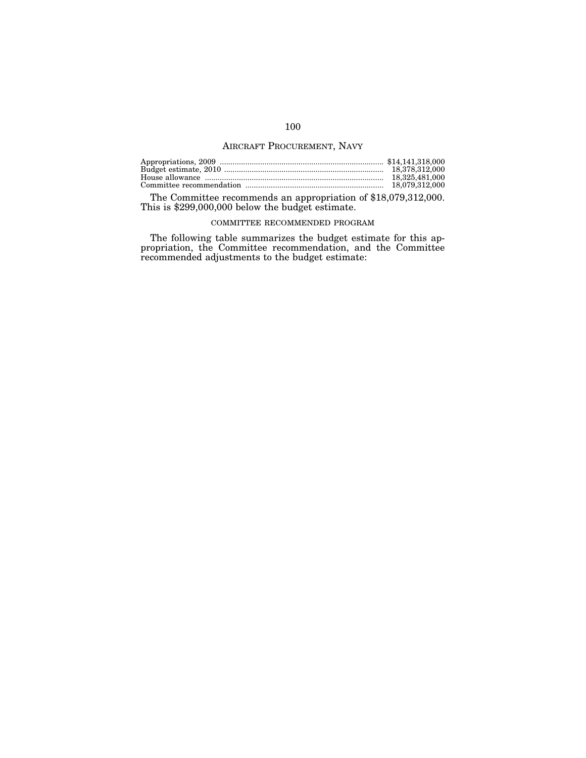# AIRCRAFT PROCUREMENT, NAVY

| 18.325.481.000 |
|----------------|
|                |

The Committee recommends an appropriation of \$18,079,312,000. This is \$299,000,000 below the budget estimate.

## COMMITTEE RECOMMENDED PROGRAM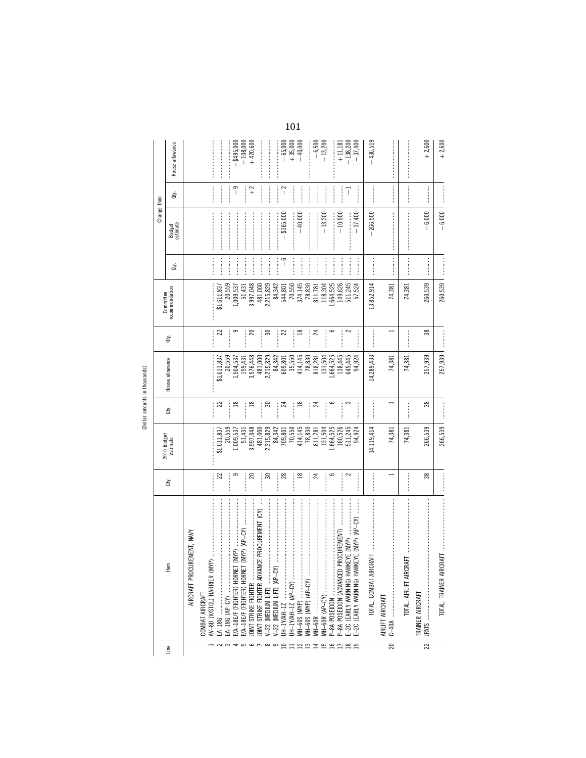| .      |
|--------|
| î<br>œ |
|        |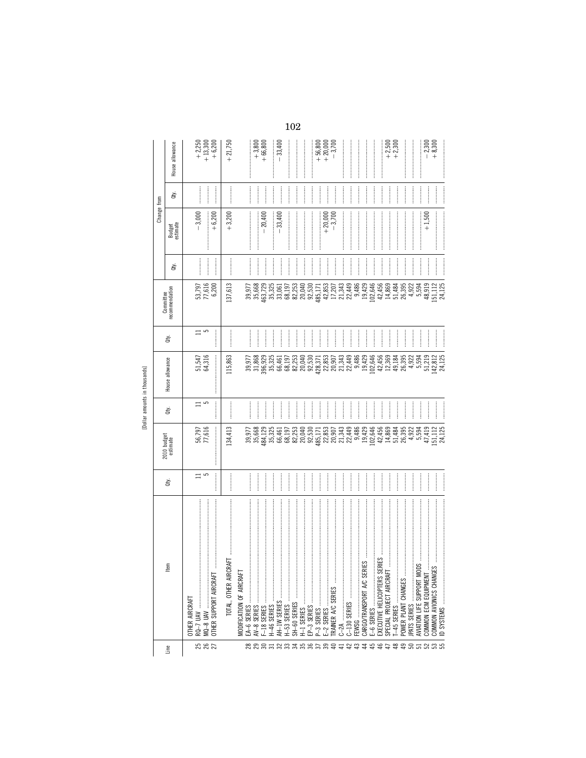|                 |                                                                                                                                                                                                                                                                                                                                                                                                                                                                                                                    |                            |                                                            |                |                                       |                    | Committee                                                                                                                                                                                                                                                                                 |                | Change from          |                              |                                       |
|-----------------|--------------------------------------------------------------------------------------------------------------------------------------------------------------------------------------------------------------------------------------------------------------------------------------------------------------------------------------------------------------------------------------------------------------------------------------------------------------------------------------------------------------------|----------------------------|------------------------------------------------------------|----------------|---------------------------------------|--------------------|-------------------------------------------------------------------------------------------------------------------------------------------------------------------------------------------------------------------------------------------------------------------------------------------|----------------|----------------------|------------------------------|---------------------------------------|
| Line            | tem                                                                                                                                                                                                                                                                                                                                                                                                                                                                                                                | ਛੇ                         | 2010 budget<br>estimate                                    | đťy.           | House allowance                       | È                  | recommendation                                                                                                                                                                                                                                                                            | đťy.           | Budget<br>estimate   | ਛੇ                           | House allowance                       |
| <b>25 25 26</b> | $RQ - 7 UAV$<br>OTHER SUPPORT AIRCRAFT<br>OTHER AIRCRAFT<br>$MQ-8$ UAV                                                                                                                                                                                                                                                                                                                                                                                                                                             | $\Xi$ $\Omega$             | 56,797<br>77,616                                           | $\Xi$ $\Omega$ | 51,547<br>64,316                      | $\overline{=}$ 5   | 53,797<br>77,616<br>6,200                                                                                                                                                                                                                                                                 |                | $-3,000$<br>$+6,200$ |                              | $+2,250$<br>+ 13,300<br>$+6,200$      |
|                 | <b>TART</b><br>TOTAL, OTHER AIRC                                                                                                                                                                                                                                                                                                                                                                                                                                                                                   |                            | 134,413                                                    |                | 115,863                               | <br> <br>          | 137,613                                                                                                                                                                                                                                                                                   |                | $+3,200$             |                              | $+21,750$                             |
|                 | MODIFICATION OF AIRCRAFT                                                                                                                                                                                                                                                                                                                                                                                                                                                                                           |                            |                                                            |                |                                       | <br> <br> <br>     |                                                                                                                                                                                                                                                                                           | <br> <br> <br> |                      |                              |                                       |
| <b>88858835</b> |                                                                                                                                                                                                                                                                                                                                                                                                                                                                                                                    |                            | 39,977<br>35,668<br>484,125<br>35,325                      |                |                                       |                    | $\begin{array}{l} 39,971 \\ 39,668 \\ 35,729 \\ 463,78,61 \\ 463,78,61 \\ 59,79 \\ 68,82,723 \\ 68,82,040 \\ 70,040 \\ 82,040 \\ 70,040 \\ 82,040 \\ 70,040 \\ 70,040 \\ 70,040 \\ 70,040 \\ 70,040 \\ 70,040 \\ 70,040 \\ 70,040 \\ 70,040 \\ 70,040 \\ 70,040 \\ 70,040 \\ 70,040 \\ 7$ | <br> <br>      | $-20,400$            |                              | $+3,800$<br>+66,800                   |
|                 | H-46 SERIES                                                                                                                                                                                                                                                                                                                                                                                                                                                                                                        |                            |                                                            |                |                                       | l                  |                                                                                                                                                                                                                                                                                           |                |                      | <br> <br>                    |                                       |
|                 |                                                                                                                                                                                                                                                                                                                                                                                                                                                                                                                    |                            | 66,461<br>68,197                                           | $\frac{1}{2}$  |                                       | ļ                  |                                                                                                                                                                                                                                                                                           | $\vdots$       | $-33,400$            |                              | $-33,400$                             |
|                 | H-53 SERIES<br>SH-60 SERIES                                                                                                                                                                                                                                                                                                                                                                                                                                                                                        |                            |                                                            | <br> <br>      |                                       | ļ<br>$\frac{1}{2}$ |                                                                                                                                                                                                                                                                                           | <br> <br>      |                      | <b><i><u><u></u></u></i></b> |                                       |
|                 | j<br>H-1 SERIES                                                                                                                                                                                                                                                                                                                                                                                                                                                                                                    |                            | 82,253<br>20,040                                           |                |                                       |                    |                                                                                                                                                                                                                                                                                           |                |                      |                              |                                       |
| $\frac{8}{27}$  | EP-3 SERIES                                                                                                                                                                                                                                                                                                                                                                                                                                                                                                        |                            | 92,530                                                     |                | 92,530                                |                    | 92,530                                                                                                                                                                                                                                                                                    |                |                      | <br> <br> <br>               |                                       |
|                 |                                                                                                                                                                                                                                                                                                                                                                                                                                                                                                                    |                            |                                                            | <br> <br>      | 428,371                               | <br> <br>          |                                                                                                                                                                                                                                                                                           | <br> <br>      |                      | <br> <br>                    |                                       |
| 39<br>$\theta$  | E-2 SERIES                                                                                                                                                                                                                                                                                                                                                                                                                                                                                                         |                            |                                                            |                |                                       | j                  |                                                                                                                                                                                                                                                                                           |                | $+20,000$            |                              | $+ 56,800$<br>$+ 20,000$<br>$- 3,700$ |
| $\overline{4}$  | TRAINER A/C SERIES                                                                                                                                                                                                                                                                                                                                                                                                                                                                                                 | <br> <br> <br>             | 485,171<br>22,853<br>20,907<br>21,343<br>22,449            | <br> <br> <br> | 2853<br>2853448<br>2853448<br>28534   | $\frac{1}{2}$      |                                                                                                                                                                                                                                                                                           |                |                      |                              |                                       |
| 42              |                                                                                                                                                                                                                                                                                                                                                                                                                                                                                                                    |                            |                                                            | <br> <br>      |                                       | $\frac{1}{2}$      |                                                                                                                                                                                                                                                                                           |                |                      |                              |                                       |
| $\ddot{a}$      | FEWSG                                                                                                                                                                                                                                                                                                                                                                                                                                                                                                              | <br> <br> <br>             |                                                            | <br> <br>      |                                       |                    |                                                                                                                                                                                                                                                                                           |                |                      |                              |                                       |
| ₹               | $\label{def:1} \begin{array}{lllllllllllllllllllllll} \multicolumn{3}{l}{} & \multicolumn{3}{l}{} & \multicolumn{3}{l}{} & \multicolumn{3}{l}{} & \multicolumn{3}{l}{} & \multicolumn{3}{l}{} & \multicolumn{3}{l}{} & \multicolumn{3}{l}{} & \multicolumn{3}{l}{} & \multicolumn{3}{l}{} & \multicolumn{3}{l}{} & \multicolumn{3}{l}{} & \multicolumn{3}{l}{} & \multicolumn{3}{l}{} & \multicolumn{3}{l}{} & \multicolumn{3}{l}{} & \multicolumn{3}{l}{} & \multicolumn{3}{l$<br>RIES<br>CARGO/TRANSPORT A/C SEF |                            |                                                            |                |                                       | $\frac{1}{2}$      |                                                                                                                                                                                                                                                                                           |                |                      |                              |                                       |
| 45              | E-6 SERIES                                                                                                                                                                                                                                                                                                                                                                                                                                                                                                         |                            |                                                            | <br> <br>      |                                       | $\frac{1}{2}$      |                                                                                                                                                                                                                                                                                           |                |                      |                              |                                       |
| 5<br>$\ddot{+}$ | SPECIAL PROJECT AIRCRAFT                                                                                                                                                                                                                                                                                                                                                                                                                                                                                           | —<br>:<br>:<br>:<br>:<br>: | 9,486<br>19,426<br>102,646<br>14,869<br>14,86395<br>26,395 |                | 19,429<br>102,646<br>12,456<br>12,369 |                    | 42,456<br>14,869                                                                                                                                                                                                                                                                          |                |                      |                              |                                       |
| ≌               | [-45 SERIES                                                                                                                                                                                                                                                                                                                                                                                                                                                                                                        | <br> <br> <br>             |                                                            | $\frac{1}{2}$  |                                       |                    |                                                                                                                                                                                                                                                                                           |                |                      |                              | $+2,500$<br>+2,300                    |
|                 |                                                                                                                                                                                                                                                                                                                                                                                                                                                                                                                    | <br> <br> <br>             |                                                            |                | 49,184<br>26,395<br>4,922             | <br> <br>          | 51,484<br>26,395<br>54,594                                                                                                                                                                                                                                                                |                |                      |                              |                                       |
|                 |                                                                                                                                                                                                                                                                                                                                                                                                                                                                                                                    | :<br>:<br>:                | 4,922                                                      | :<br>:<br>:    |                                       |                    |                                                                                                                                                                                                                                                                                           | <br> <br> <br> |                      | :<br>:<br>:<br>:             |                                       |
|                 | $\frac{1}{2}$ and $\frac{1}{2}$<br>AVIATION LIFE SUPPORT MO                                                                                                                                                                                                                                                                                                                                                                                                                                                        | <br> <br> <br>             | 5,594                                                      | <br> <br> <br> |                                       | <br> <br>          |                                                                                                                                                                                                                                                                                           |                |                      | <br> <br>                    |                                       |
|                 | COMMON ECM EQUIPMENT                                                                                                                                                                                                                                                                                                                                                                                                                                                                                               |                            |                                                            |                |                                       |                    |                                                                                                                                                                                                                                                                                           | <br> <br>      | $+1,500$             |                              | $-2,300$<br>$-8,300$                  |
| #85285          | م.<br>ا<br>COMMON AVIONICS CHANGI<br>ID SYSTEMS                                                                                                                                                                                                                                                                                                                                                                                                                                                                    | <br> <br> <br>             | $\begin{array}{c} 47,419 \\ 151,112 \\ 24,125 \end{array}$ |                | 5,594<br>51,219<br>142,812<br>24 125  |                    | $48,919$<br>151, 112<br>24 125                                                                                                                                                                                                                                                            |                |                      | <br> <br> <br>               |                                       |
|                 |                                                                                                                                                                                                                                                                                                                                                                                                                                                                                                                    |                            |                                                            |                |                                       |                    |                                                                                                                                                                                                                                                                                           |                |                      |                              |                                       |

[Dollar amounts in thousands]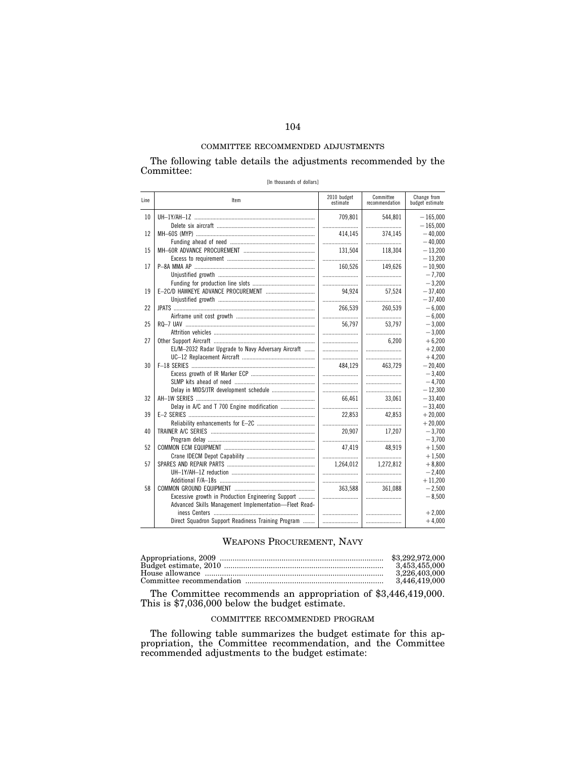The following table details the adjustments recommended by the Committee: [In thousands of dollars]

| TIII LIIUUJAIIUJ UI UUIIAIJI |  |  |
|------------------------------|--|--|
|                              |  |  |

| Line | Item                                                  | 2010 budget<br>estimate | Committee<br>recommendation | Change from<br>budget estimate |
|------|-------------------------------------------------------|-------------------------|-----------------------------|--------------------------------|
| 10   |                                                       | 709,801                 | 544,801                     | $-165,000$                     |
|      |                                                       |                         |                             | $-165,000$                     |
| 12   |                                                       | 414,145                 | 374.145                     | $-40.000$                      |
|      |                                                       |                         |                             | $-40.000$                      |
| 15   |                                                       | 131,504                 | 118.304                     | $-13,200$                      |
|      |                                                       |                         |                             | $-13,200$                      |
| 17   |                                                       | 160,526                 | 149.626                     | $-10,900$                      |
|      |                                                       |                         |                             | $-7,700$                       |
|      |                                                       |                         |                             | $-3,200$                       |
| 19   |                                                       | 94,924                  | 57,524                      | $-37,400$                      |
|      |                                                       |                         |                             | $-37,400$                      |
| 22   |                                                       | 266,539                 | 260,539                     | $-6,000$                       |
|      |                                                       |                         |                             | $-6,000$                       |
| 25   |                                                       | 56,797                  | 53,797                      | $-3.000$                       |
|      |                                                       |                         |                             | $-3,000$                       |
| 27   |                                                       |                         | 6.200                       | $+6,200$                       |
|      | EL/M-2032 Radar Upgrade to Navy Adversary Aircraft    |                         |                             | $+2,000$                       |
|      |                                                       |                         |                             | $+4,200$                       |
| 30   |                                                       | 484.129                 | 463.729                     | $-20,400$                      |
|      |                                                       |                         |                             | $-3.400$                       |
|      |                                                       |                         |                             | $-4,700$                       |
|      |                                                       |                         |                             | $-12,300$                      |
| 32   |                                                       | 66,461                  | 33,061                      | $-33,400$                      |
|      | Delay in A/C and T 700 Engine modification            |                         |                             | $-33,400$                      |
| 39   |                                                       | 22,853                  | 42,853                      | $+20,000$                      |
|      |                                                       |                         |                             | $+20,000$                      |
| 40   |                                                       | 20.907                  | 17,207                      | $-3,700$                       |
|      |                                                       |                         |                             | $-3,700$                       |
| 52   |                                                       | 47.419                  | 48.919                      | $+1,500$                       |
|      |                                                       |                         |                             | $+1,500$                       |
| 57   |                                                       | 1.264.012               | 1.272.812                   | $+8,800$                       |
|      |                                                       |                         |                             | $-2,400$                       |
|      |                                                       |                         |                             | $+11,200$                      |
| 58   |                                                       | 363,588                 | 361,088                     | $-2,500$                       |
|      | Excessive growth in Production Engineering Support    |                         |                             | $-8,500$                       |
|      | Advanced Skills Management Implementation-Fleet Read- |                         |                             |                                |
|      |                                                       |                         |                             | $+2,000$                       |
|      | Direct Squadron Support Readiness Training Program    |                         |                             | $+4,000$                       |

# WEAPONS PROCUREMENT, NAVY

| 3.453.455.000 |
|---------------|
| 3.226.403.000 |
| 3,446,419,000 |
|               |

The Committee recommends an appropriation of \$3,446,419,000. This is \$7,036,000 below the budget estimate.

# COMMITTEE RECOMMENDED PROGRAM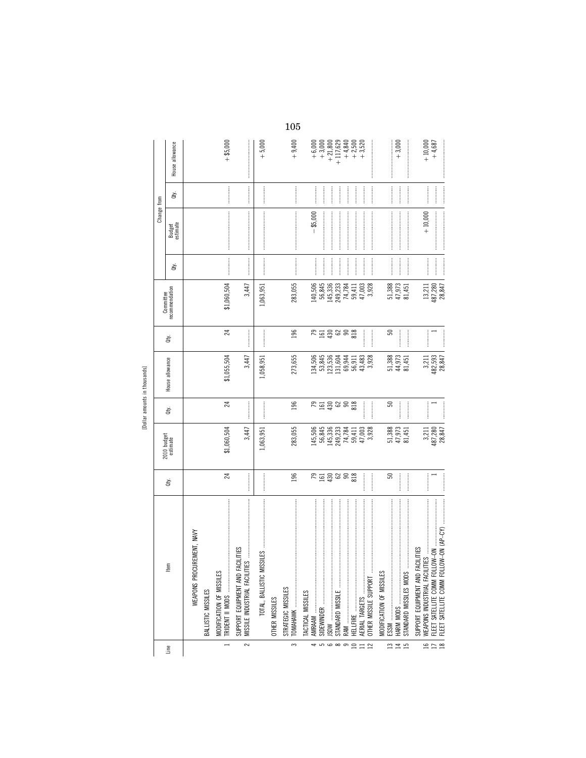| ł<br>ì |  |
|--------|--|
| Æ      |  |
|        |  |
|        |  |

|                             |                                                                                                                                                                                                                                                                                                                                                                                                                                                                                                                                                                                                      |                     |                                                                                |              | [Dollar amounts in thousands] |                                                                                                                                                                                                                                                                                                                                                                                                                                                                                       |                                                                 |                                                                                                                                                                                                                                                                                                                                                                                                                                                                                                                                |                                                                                                                                                                                                                                                                                                                                                                                                                                                                                                                                                |                                                                                                                                                                                                                                                                                                                                                                                                                                                                                       |                                  |
|-----------------------------|------------------------------------------------------------------------------------------------------------------------------------------------------------------------------------------------------------------------------------------------------------------------------------------------------------------------------------------------------------------------------------------------------------------------------------------------------------------------------------------------------------------------------------------------------------------------------------------------------|---------------------|--------------------------------------------------------------------------------|--------------|-------------------------------|---------------------------------------------------------------------------------------------------------------------------------------------------------------------------------------------------------------------------------------------------------------------------------------------------------------------------------------------------------------------------------------------------------------------------------------------------------------------------------------|-----------------------------------------------------------------|--------------------------------------------------------------------------------------------------------------------------------------------------------------------------------------------------------------------------------------------------------------------------------------------------------------------------------------------------------------------------------------------------------------------------------------------------------------------------------------------------------------------------------|------------------------------------------------------------------------------------------------------------------------------------------------------------------------------------------------------------------------------------------------------------------------------------------------------------------------------------------------------------------------------------------------------------------------------------------------------------------------------------------------------------------------------------------------|---------------------------------------------------------------------------------------------------------------------------------------------------------------------------------------------------------------------------------------------------------------------------------------------------------------------------------------------------------------------------------------------------------------------------------------------------------------------------------------|----------------------------------|
|                             |                                                                                                                                                                                                                                                                                                                                                                                                                                                                                                                                                                                                      |                     |                                                                                |              |                               |                                                                                                                                                                                                                                                                                                                                                                                                                                                                                       |                                                                 |                                                                                                                                                                                                                                                                                                                                                                                                                                                                                                                                | Change from                                                                                                                                                                                                                                                                                                                                                                                                                                                                                                                                    |                                                                                                                                                                                                                                                                                                                                                                                                                                                                                       |                                  |
| Line                        | tem                                                                                                                                                                                                                                                                                                                                                                                                                                                                                                                                                                                                  | ġ                   | 2010 budget<br>estimate                                                        | È            | House allowance               | È                                                                                                                                                                                                                                                                                                                                                                                                                                                                                     | Committee<br>recommendation                                     | ਛੇ                                                                                                                                                                                                                                                                                                                                                                                                                                                                                                                             | Budget<br>estimate                                                                                                                                                                                                                                                                                                                                                                                                                                                                                                                             | ਛੇ                                                                                                                                                                                                                                                                                                                                                                                                                                                                                    | House allowance                  |
|                             | WEAPONS PROCUREMENT, NAVY                                                                                                                                                                                                                                                                                                                                                                                                                                                                                                                                                                            |                     |                                                                                |              |                               |                                                                                                                                                                                                                                                                                                                                                                                                                                                                                       |                                                                 |                                                                                                                                                                                                                                                                                                                                                                                                                                                                                                                                |                                                                                                                                                                                                                                                                                                                                                                                                                                                                                                                                                |                                                                                                                                                                                                                                                                                                                                                                                                                                                                                       |                                  |
|                             | BALLISTIC MISSILES                                                                                                                                                                                                                                                                                                                                                                                                                                                                                                                                                                                   |                     |                                                                                |              |                               |                                                                                                                                                                                                                                                                                                                                                                                                                                                                                       |                                                                 |                                                                                                                                                                                                                                                                                                                                                                                                                                                                                                                                |                                                                                                                                                                                                                                                                                                                                                                                                                                                                                                                                                |                                                                                                                                                                                                                                                                                                                                                                                                                                                                                       |                                  |
| $\rightarrow$               | $\label{def:1} \begin{minipage}{0.9\textwidth} \begin{minipage}{0.9\textwidth} \centering \begin{minipage}{0.9\textwidth} \centering \end{minipage} \begin{minipage}{0.9\textwidth} \centering \begin{minipage}{0.9\textwidth} \centering \end{minipage} \begin{minipage}{0.9\textwidth} \centering \end{minipage} \begin{minipage}{0.9\textwidth} \centering \end{minipage} \begin{minipage}{0.9\textwidth} \centering \end{minipage} \begin{minipage}{0.9\textwidth} \centering \end{minipage} \begin{minipage}{0.9\textwidth} \centering \end{min$<br>MODIFICATION OF MISSILES<br>TRIDENT II MODS | 24                  | \$1,060,504                                                                    | 24           | \$1,055,504                   | 24                                                                                                                                                                                                                                                                                                                                                                                                                                                                                    | \$1,060,504                                                     | <b><i><u><u><u></u></u></u></i></b>                                                                                                                                                                                                                                                                                                                                                                                                                                                                                            | $\label{def:1} \begin{split} \textbf{L} & \textbf{L} & \textbf{L} & \textbf{L} & \textbf{L} & \textbf{L} & \textbf{L} & \textbf{L} & \textbf{L} & \textbf{L} & \textbf{L} & \textbf{L} & \textbf{L} & \textbf{L} & \textbf{L} & \textbf{L} & \textbf{L} & \textbf{L} \\ \textbf{L} & \textbf{L} & \textbf{L} & \textbf{L} & \textbf{L} & \textbf{L} & \textbf{L} & \textbf{L} & \textbf{L} & \textbf{L} & \textbf{L} & \textbf{L$                                                                                                              |                                                                                                                                                                                                                                                                                                                                                                                                                                                                                       | $+$ \$5,000                      |
| $\sim$                      | FACILITIES<br>MISSILE INDUSTRIAL FACILIT<br>SUPPORT EQUIPMENT AND                                                                                                                                                                                                                                                                                                                                                                                                                                                                                                                                    |                     | 3,447                                                                          |              | 3,447                         |                                                                                                                                                                                                                                                                                                                                                                                                                                                                                       | 3,447                                                           |                                                                                                                                                                                                                                                                                                                                                                                                                                                                                                                                |                                                                                                                                                                                                                                                                                                                                                                                                                                                                                                                                                |                                                                                                                                                                                                                                                                                                                                                                                                                                                                                       |                                  |
|                             | TOTAL, BALLISTIC M                                                                                                                                                                                                                                                                                                                                                                                                                                                                                                                                                                                   |                     | 1,063,951                                                                      |              | 1,058,951                     |                                                                                                                                                                                                                                                                                                                                                                                                                                                                                       | 1,063,951                                                       |                                                                                                                                                                                                                                                                                                                                                                                                                                                                                                                                |                                                                                                                                                                                                                                                                                                                                                                                                                                                                                                                                                |                                                                                                                                                                                                                                                                                                                                                                                                                                                                                       | $+5,000$                         |
|                             | OTHER MISSILES                                                                                                                                                                                                                                                                                                                                                                                                                                                                                                                                                                                       |                     |                                                                                |              |                               |                                                                                                                                                                                                                                                                                                                                                                                                                                                                                       |                                                                 |                                                                                                                                                                                                                                                                                                                                                                                                                                                                                                                                |                                                                                                                                                                                                                                                                                                                                                                                                                                                                                                                                                |                                                                                                                                                                                                                                                                                                                                                                                                                                                                                       |                                  |
| $\tilde{\mathbf{c}}$        | $\label{def:1} \begin{minipage}{0.9\linewidth} \begin{minipage}{0.9\linewidth} \begin{minipage}{0.9\linewidth} \begin{minipage}{0.9\linewidth} \end{minipage} \begin{minipage}{0.9\linewidth} \begin{minipage}{0.9\linewidth} \end{minipage} \begin{minipage}{0.9\linewidth} \begin{minipage}{0.9\linewidth} \end{minipage} \begin{minipage}{0.9\linewidth} \begin{minipage}{0.9\linewidth} \end{minipage} \begin{minipage}{0.9\linewidth} \end{minipage} \begin{minipage}{0.9\linewidth} \end{minipage} \begin{minipage}{0.9\linewidth} \begin$<br>STRATEGIC MISSILES                               | 196                 | 283,055                                                                        | 196          | 273,655                       | 196                                                                                                                                                                                                                                                                                                                                                                                                                                                                                   | 283,055                                                         | $\begin{minipage}{0.9\linewidth} \begin{tabular}{l} \hline \multicolumn{3}{c}{\textbf{0.9\linewidth}} \end{tabular} \end{minipage} \begin{minipage}{0.9\linewidth} \begin{tabular}{l} \multicolumn{3}{c}{\textbf{0.9\linewidth}} \end{tabular} \end{minipage} \end{minipage} \begin{minipage}{0.9\linewidth} \begin{tabular}{l} \multicolumn{3}{c}{\textbf{0.9\linewidth}} \end{tabular} \end{minipage} \end{minipage} \begin{minipage}{0.9\linewidth} \begin{tabular}{l} \multicolumn{3}{c}{\textbf{0.9\linewidth}} \end{tab$ |                                                                                                                                                                                                                                                                                                                                                                                                                                                                                                                                                |                                                                                                                                                                                                                                                                                                                                                                                                                                                                                       | $+9,400$                         |
|                             | TACTICAL MISSILES                                                                                                                                                                                                                                                                                                                                                                                                                                                                                                                                                                                    |                     |                                                                                |              |                               |                                                                                                                                                                                                                                                                                                                                                                                                                                                                                       |                                                                 |                                                                                                                                                                                                                                                                                                                                                                                                                                                                                                                                |                                                                                                                                                                                                                                                                                                                                                                                                                                                                                                                                                |                                                                                                                                                                                                                                                                                                                                                                                                                                                                                       |                                  |
| 4                           | AMRAAM                                                                                                                                                                                                                                                                                                                                                                                                                                                                                                                                                                                               | <b>Address</b>      |                                                                                | ខេដ្ឋកូនខ្លួ | 134,506<br>53,845             | <b>Address</b>                                                                                                                                                                                                                                                                                                                                                                                                                                                                        | 140,506<br>56,845                                               |                                                                                                                                                                                                                                                                                                                                                                                                                                                                                                                                | $- $5,000$                                                                                                                                                                                                                                                                                                                                                                                                                                                                                                                                     |                                                                                                                                                                                                                                                                                                                                                                                                                                                                                       | $+6,000$                         |
|                             |                                                                                                                                                                                                                                                                                                                                                                                                                                                                                                                                                                                                      |                     |                                                                                |              | 123,536                       |                                                                                                                                                                                                                                                                                                                                                                                                                                                                                       |                                                                 |                                                                                                                                                                                                                                                                                                                                                                                                                                                                                                                                |                                                                                                                                                                                                                                                                                                                                                                                                                                                                                                                                                |                                                                                                                                                                                                                                                                                                                                                                                                                                                                                       | $+21,800$                        |
|                             |                                                                                                                                                                                                                                                                                                                                                                                                                                                                                                                                                                                                      |                     |                                                                                |              | 131,604                       |                                                                                                                                                                                                                                                                                                                                                                                                                                                                                       |                                                                 |                                                                                                                                                                                                                                                                                                                                                                                                                                                                                                                                |                                                                                                                                                                                                                                                                                                                                                                                                                                                                                                                                                |                                                                                                                                                                                                                                                                                                                                                                                                                                                                                       | $+117,629$                       |
| $\overline{\phantom{0}}$    |                                                                                                                                                                                                                                                                                                                                                                                                                                                                                                                                                                                                      |                     |                                                                                |              | 69,944<br>56,911              |                                                                                                                                                                                                                                                                                                                                                                                                                                                                                       |                                                                 | <br> <br>                                                                                                                                                                                                                                                                                                                                                                                                                                                                                                                      |                                                                                                                                                                                                                                                                                                                                                                                                                                                                                                                                                |                                                                                                                                                                                                                                                                                                                                                                                                                                                                                       | $+4,840$<br>$+2,500$<br>$+3,520$ |
| $\equiv$<br>$\mathbf{r}$    |                                                                                                                                                                                                                                                                                                                                                                                                                                                                                                                                                                                                      | <br> <br> <br> <br> | 145,506<br>56,845<br>56,8336<br>145,333<br>74,784<br>7,003<br>47,003<br>47,003 |              | 43,483<br>3,928               | <br> <br>                                                                                                                                                                                                                                                                                                                                                                                                                                                                             | 145, 336<br>249, 233<br>74, 784<br>59, 928<br>47, 003<br>3, 928 | <br> <br>                                                                                                                                                                                                                                                                                                                                                                                                                                                                                                                      |                                                                                                                                                                                                                                                                                                                                                                                                                                                                                                                                                |                                                                                                                                                                                                                                                                                                                                                                                                                                                                                       |                                  |
|                             | MODIFICATION OF MISSILES                                                                                                                                                                                                                                                                                                                                                                                                                                                                                                                                                                             | S                   | 51,388                                                                         | 50           |                               | S                                                                                                                                                                                                                                                                                                                                                                                                                                                                                     |                                                                 |                                                                                                                                                                                                                                                                                                                                                                                                                                                                                                                                |                                                                                                                                                                                                                                                                                                                                                                                                                                                                                                                                                | $\begin{array}{ccccccccccccc} \multicolumn{2}{c}{} & \multicolumn{2}{c}{} & \multicolumn{2}{c}{} & \multicolumn{2}{c}{} & \multicolumn{2}{c}{} & \multicolumn{2}{c}{} & \multicolumn{2}{c}{} & \multicolumn{2}{c}{} & \multicolumn{2}{c}{} & \multicolumn{2}{c}{} & \multicolumn{2}{c}{} & \multicolumn{2}{c}{} & \multicolumn{2}{c}{} & \multicolumn{2}{c}{} & \multicolumn{2}{c}{} & \multicolumn{2}{c}{} & \multicolumn{2}{c}{} & \multicolumn{2}{c}{} & \multicolumn{2}{c}{} & \$ |                                  |
| $\frac{m}{2}$ $\frac{m}{2}$ | STANDARD MISSILES MODS                                                                                                                                                                                                                                                                                                                                                                                                                                                                                                                                                                               |                     | 47,973<br>81,451                                                               |              | 51,388<br>44,973<br>81,451    | $\begin{array}{ccccccccccccc} \multicolumn{2}{c}{} & \multicolumn{2}{c}{} & \multicolumn{2}{c}{} & \multicolumn{2}{c}{} & \multicolumn{2}{c}{} & \multicolumn{2}{c}{} & \multicolumn{2}{c}{} & \multicolumn{2}{c}{} & \multicolumn{2}{c}{} & \multicolumn{2}{c}{} & \multicolumn{2}{c}{} & \multicolumn{2}{c}{} & \multicolumn{2}{c}{} & \multicolumn{2}{c}{} & \multicolumn{2}{c}{} & \multicolumn{2}{c}{} & \multicolumn{2}{c}{} & \multicolumn{2}{c}{} & \multicolumn{2}{c}{} & \$ | 51,388<br>47,973<br>81,451                                      |                                                                                                                                                                                                                                                                                                                                                                                                                                                                                                                                |                                                                                                                                                                                                                                                                                                                                                                                                                                                                                                                                                |                                                                                                                                                                                                                                                                                                                                                                                                                                                                                       | $+3,000$                         |
| $\tilde{=}$                 | FACILITIES<br>SUPPORT EQUIPMENT AND I                                                                                                                                                                                                                                                                                                                                                                                                                                                                                                                                                                |                     | 3,211                                                                          |              | 3,211                         |                                                                                                                                                                                                                                                                                                                                                                                                                                                                                       | 13,211                                                          |                                                                                                                                                                                                                                                                                                                                                                                                                                                                                                                                | $+10,000$                                                                                                                                                                                                                                                                                                                                                                                                                                                                                                                                      |                                                                                                                                                                                                                                                                                                                                                                                                                                                                                       | $+10,000$                        |
| $\frac{18}{18}$             | FLEET SATELLITE COMM FOLLOW-ON (AP-CY)                                                                                                                                                                                                                                                                                                                                                                                                                                                                                                                                                               |                     | 487,280<br>28,847                                                              |              | 482,593<br>28,847             |                                                                                                                                                                                                                                                                                                                                                                                                                                                                                       | 487,280<br>28,847                                               |                                                                                                                                                                                                                                                                                                                                                                                                                                                                                                                                | $\label{def:1} \centering \begin{minipage}{0.9\linewidth} \begin{minipage}{0.9\linewidth} \begin{minipage}{0.9\linewidth} \end{minipage} \begin{minipage}{0.9\linewidth} \begin{minipage}{0.9\linewidth} \end{minipage} \begin{minipage}{0.9\linewidth} \end{minipage} \begin{minipage}{0.9\linewidth} \begin{minipage}{0.9\linewidth} \end{minipage} \begin{minipage}{0.9\linewidth} \end{minipage} \begin{minipage}{0.9\linewidth} \end{minipage} \begin{minipage}{0.9\linewidth} \end{minipage} \begin{minipage}{0.9\linewidth} \end{minip$ |                                                                                                                                                                                                                                                                                                                                                                                                                                                                                       | $+4,687$                         |
|                             | $\label{eq:1} \begin{aligned} \textbf{1} & \textbf{1} & \textbf{1} & \textbf{1} & \textbf{1} & \textbf{1} & \textbf{1} & \textbf{1} & \textbf{1} & \textbf{1} & \textbf{1} & \textbf{1} & \textbf{1} & \textbf{1} & \textbf{1} & \textbf{1} & \textbf{1} & \textbf{1} & \textbf{1} & \textbf{1} & \textbf{1} & \textbf{1} & \textbf{1} & \textbf{1} & \textbf{1} & \textbf{1} & \textbf{1} & \textbf{1} & \textbf{1} & \textbf{1$                                                                                                                                                                    |                     |                                                                                |              |                               |                                                                                                                                                                                                                                                                                                                                                                                                                                                                                       |                                                                 |                                                                                                                                                                                                                                                                                                                                                                                                                                                                                                                                |                                                                                                                                                                                                                                                                                                                                                                                                                                                                                                                                                |                                                                                                                                                                                                                                                                                                                                                                                                                                                                                       |                                  |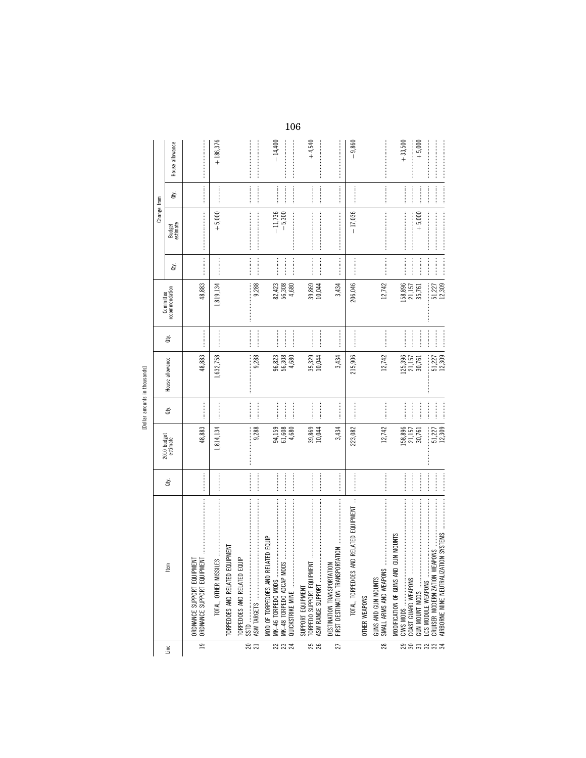[Dollar amounts in thousands]

|                  |                                                                                                                                                                                                                                                                                                                                                                                                                                                                                                                                                                                            |    |                         |                                                                                                                                                                                                                |                                |                                                                                                                                                                                                                                                                                                                                                                                                                                                                                                                                                                                  | Committee                   |                                                                                                                                                                                                                                                                                                                                                                                                                                                                                                                                                                                                                                                                                                                                                                                                                                                                                                                                                                                                                                                                | Change from                                                                                                                                                                                                                                                                                                                                                                                                                                                                                                                             |                                                                                                                                                                                                                                                                                                                                                                                                                                                                                                                                                         |                                                                                                                                                                                                                                                                                                                                                                                                                                                                                                                                           |
|------------------|--------------------------------------------------------------------------------------------------------------------------------------------------------------------------------------------------------------------------------------------------------------------------------------------------------------------------------------------------------------------------------------------------------------------------------------------------------------------------------------------------------------------------------------------------------------------------------------------|----|-------------------------|----------------------------------------------------------------------------------------------------------------------------------------------------------------------------------------------------------------|--------------------------------|----------------------------------------------------------------------------------------------------------------------------------------------------------------------------------------------------------------------------------------------------------------------------------------------------------------------------------------------------------------------------------------------------------------------------------------------------------------------------------------------------------------------------------------------------------------------------------|-----------------------------|----------------------------------------------------------------------------------------------------------------------------------------------------------------------------------------------------------------------------------------------------------------------------------------------------------------------------------------------------------------------------------------------------------------------------------------------------------------------------------------------------------------------------------------------------------------------------------------------------------------------------------------------------------------------------------------------------------------------------------------------------------------------------------------------------------------------------------------------------------------------------------------------------------------------------------------------------------------------------------------------------------------------------------------------------------------|-----------------------------------------------------------------------------------------------------------------------------------------------------------------------------------------------------------------------------------------------------------------------------------------------------------------------------------------------------------------------------------------------------------------------------------------------------------------------------------------------------------------------------------------|---------------------------------------------------------------------------------------------------------------------------------------------------------------------------------------------------------------------------------------------------------------------------------------------------------------------------------------------------------------------------------------------------------------------------------------------------------------------------------------------------------------------------------------------------------|-------------------------------------------------------------------------------------------------------------------------------------------------------------------------------------------------------------------------------------------------------------------------------------------------------------------------------------------------------------------------------------------------------------------------------------------------------------------------------------------------------------------------------------------|
| Line             | E <sub>5</sub>                                                                                                                                                                                                                                                                                                                                                                                                                                                                                                                                                                             | È. | 2010 budget<br>estimate | Qty.                                                                                                                                                                                                           | House allowance                | ਛੇ                                                                                                                                                                                                                                                                                                                                                                                                                                                                                                                                                                               | recommendation              | đťy.                                                                                                                                                                                                                                                                                                                                                                                                                                                                                                                                                                                                                                                                                                                                                                                                                                                                                                                                                                                                                                                           | Budget<br>estimate                                                                                                                                                                                                                                                                                                                                                                                                                                                                                                                      | đťy.                                                                                                                                                                                                                                                                                                                                                                                                                                                                                                                                                    | House allowance                                                                                                                                                                                                                                                                                                                                                                                                                                                                                                                           |
| $\overline{19}$  | ORDNANCE SUPPORT EQUIPMENT                                                                                                                                                                                                                                                                                                                                                                                                                                                                                                                                                                 |    | 48,883                  |                                                                                                                                                                                                                | 48,883                         |                                                                                                                                                                                                                                                                                                                                                                                                                                                                                                                                                                                  | 48,883                      |                                                                                                                                                                                                                                                                                                                                                                                                                                                                                                                                                                                                                                                                                                                                                                                                                                                                                                                                                                                                                                                                |                                                                                                                                                                                                                                                                                                                                                                                                                                                                                                                                         |                                                                                                                                                                                                                                                                                                                                                                                                                                                                                                                                                         |                                                                                                                                                                                                                                                                                                                                                                                                                                                                                                                                           |
|                  | TOTAL, OTHER MISSILES                                                                                                                                                                                                                                                                                                                                                                                                                                                                                                                                                                      |    | 1,814,134               |                                                                                                                                                                                                                | 1,632,758                      |                                                                                                                                                                                                                                                                                                                                                                                                                                                                                                                                                                                  | 1,819,134                   |                                                                                                                                                                                                                                                                                                                                                                                                                                                                                                                                                                                                                                                                                                                                                                                                                                                                                                                                                                                                                                                                | $+5,000$                                                                                                                                                                                                                                                                                                                                                                                                                                                                                                                                |                                                                                                                                                                                                                                                                                                                                                                                                                                                                                                                                                         | $+186,376$                                                                                                                                                                                                                                                                                                                                                                                                                                                                                                                                |
|                  | EQUIPMENT<br>TORPEDOES AND RELATED                                                                                                                                                                                                                                                                                                                                                                                                                                                                                                                                                         |    |                         |                                                                                                                                                                                                                |                                |                                                                                                                                                                                                                                                                                                                                                                                                                                                                                                                                                                                  |                             |                                                                                                                                                                                                                                                                                                                                                                                                                                                                                                                                                                                                                                                                                                                                                                                                                                                                                                                                                                                                                                                                |                                                                                                                                                                                                                                                                                                                                                                                                                                                                                                                                         |                                                                                                                                                                                                                                                                                                                                                                                                                                                                                                                                                         |                                                                                                                                                                                                                                                                                                                                                                                                                                                                                                                                           |
| ន $\overline{z}$ | EQUIP<br>TORPEDOES AND RELATED                                                                                                                                                                                                                                                                                                                                                                                                                                                                                                                                                             |    |                         |                                                                                                                                                                                                                |                                |                                                                                                                                                                                                                                                                                                                                                                                                                                                                                                                                                                                  |                             |                                                                                                                                                                                                                                                                                                                                                                                                                                                                                                                                                                                                                                                                                                                                                                                                                                                                                                                                                                                                                                                                |                                                                                                                                                                                                                                                                                                                                                                                                                                                                                                                                         | $\frac{1}{2}$                                                                                                                                                                                                                                                                                                                                                                                                                                                                                                                                           |                                                                                                                                                                                                                                                                                                                                                                                                                                                                                                                                           |
|                  |                                                                                                                                                                                                                                                                                                                                                                                                                                                                                                                                                                                            |    | 9,288                   |                                                                                                                                                                                                                | 9,288                          | $\begin{array}{ccccccccccccc} \multicolumn{2}{c}{} & \multicolumn{2}{c}{} & \multicolumn{2}{c}{} & \multicolumn{2}{c}{} & \multicolumn{2}{c}{} & \multicolumn{2}{c}{} & \multicolumn{2}{c}{} & \multicolumn{2}{c}{} & \multicolumn{2}{c}{} & \multicolumn{2}{c}{} & \multicolumn{2}{c}{} & \multicolumn{2}{c}{} & \multicolumn{2}{c}{} & \multicolumn{2}{c}{} & \multicolumn{2}{c}{} & \multicolumn{2}{c}{} & \multicolumn{2}{c}{} & \multicolumn{2}{c}{} & \multicolumn{2}{c}{} & \$                                                                                            | 9,288                       |                                                                                                                                                                                                                                                                                                                                                                                                                                                                                                                                                                                                                                                                                                                                                                                                                                                                                                                                                                                                                                                                | $\label{eq:3} \begin{minipage}{0.9\linewidth} \begin{minipage}{0.9\linewidth} \begin{minipage}{0.9\linewidth} \end{minipage} \begin{minipage}{0.9\linewidth} \begin{minipage}{0.9\linewidth} \end{minipage} \end{minipage} \begin{minipage}{0.9\linewidth} \begin{minipage}{0.9\linewidth} \end{minipage} \end{minipage} \begin{minipage}{0.9\linewidth} \begin{minipage}{0.9\linewidth} \end{minipage} \end{minipage} \begin{minipage}{0.9\linewidth} \begin{minipage}{0.9\linewidth} \end{minipage} \end{minipage} \begin{minipage}{$ |                                                                                                                                                                                                                                                                                                                                                                                                                                                                                                                                                         |                                                                                                                                                                                                                                                                                                                                                                                                                                                                                                                                           |
| ន ន ន            | MOD OF TORPEDOES AND RELATED EQUIP<br>MK-48 TORPEDO ADCAP MO                                                                                                                                                                                                                                                                                                                                                                                                                                                                                                                               |    | 94,159<br>61,608        |                                                                                                                                                                                                                | 96,823<br>56,308               | $\begin{minipage}{0.9\linewidth} \centering \begin{minipage}{0.9\linewidth} \centering \end{minipage} \begin{minipage}{0.9\linewidth} \centering \begin{minipage}{0.9\linewidth} \centering \end{minipage} \end{minipage} \begin{minipage}{0.9\linewidth} \centering \begin{minipage}{0.9\linewidth} \centering \end{minipage} \end{minipage} \begin{minipage}{0.9\linewidth} \centering \end{minipage} \begin{minipage}{0.9\linewidth} \centering \end{minipage} \begin{minipage}{0.9\linewidth} \centering \end{minipage} \begin{minipage}{0.9\linewidth} \centering \end{min$ | $82,423$<br>56,308<br>4,680 | <br> <br> <br>                                                                                                                                                                                                                                                                                                                                                                                                                                                                                                                                                                                                                                                                                                                                                                                                                                                                                                                                                                                                                                                 | $-11,736$<br>$-5,300$                                                                                                                                                                                                                                                                                                                                                                                                                                                                                                                   |                                                                                                                                                                                                                                                                                                                                                                                                                                                                                                                                                         | $-14,400$                                                                                                                                                                                                                                                                                                                                                                                                                                                                                                                                 |
|                  | $\label{def:1} \begin{split} \mathcal{L}_{\mathcal{A}}(\mathcal{A}) = \mathcal{L}_{\mathcal{A}}(\mathcal{A}) = \mathcal{L}_{\mathcal{A}}(\mathcal{A}) = \mathcal{L}_{\mathcal{A}}(\mathcal{A}) = \mathcal{L}_{\mathcal{A}}(\mathcal{A}) = \mathcal{L}_{\mathcal{A}}(\mathcal{A}) = \mathcal{L}_{\mathcal{A}}(\mathcal{A}) = \mathcal{L}_{\mathcal{A}}(\mathcal{A}) = \mathcal{L}_{\mathcal{A}}(\mathcal{A}) = \mathcal{L}_{\mathcal{A}}(\mathcal{A}) = \mathcal{L}_{\mathcal{A}}(\mathcal{A})$<br>QUICKSTRIKE MINE                                                                         |    | 4,680                   |                                                                                                                                                                                                                | 4,680                          |                                                                                                                                                                                                                                                                                                                                                                                                                                                                                                                                                                                  |                             |                                                                                                                                                                                                                                                                                                                                                                                                                                                                                                                                                                                                                                                                                                                                                                                                                                                                                                                                                                                                                                                                | $\label{def:1} \begin{split} \mathcal{L}_{\text{intra}}(\mathcal{L}_{\text{intra}}(\mathcal{L}_{\text{intra}}(\mathcal{L}_{\text{intra}}(\mathcal{L}_{\text{intra}}(\mathcal{L}_{\text{intra}}(\mathcal{L}_{\text{intra}}(\mathcal{L}_{\text{intra}}(\mathcal{L}_{\text{intra}}(\mathcal{L}_{\text{intra}}(\mathcal{L}_{\text{intra}}(\mathcal{L}_{\text{intra}}(\mathcal{L}_{\text{intra}}(\mathcal{L}_{\text{intra}}(\mathcal{L}_{\text{intra}}(\mathcal{L}_{\text{intra}}(\mathcal{L}_{\text{intra}}(\mathcal{$                      | $\begin{minipage}{0.5\textwidth} \begin{minipage}{0.5\textwidth} \centering \end{minipage} \begin{minipage}{0.5\textwidth} \centering \begin{minipage}{0.5\textwidth} \centering \end{minipage} \begin{minipage}{0.5\textwidth} \centering \end{minipage} \begin{minipage}{0.5\textwidth} \centering \end{minipage} \begin{minipage}{0.5\textwidth} \centering \end{minipage} \begin{minipage}{0.5\textwidth} \centering \end{minipage} \begin{minipage}{0.5\textwidth} \centering \end{minipage} \begin{minipage}{0.5\textwidth} \centering \end{min$  | $\label{def:1} \begin{minipage}{0.9\linewidth} \begin{minipage}{0.9\linewidth} \begin{minipage}{0.9\linewidth} \begin{minipage}{0.9\linewidth} \end{minipage} \begin{minipage}{0.9\linewidth} \begin{minipage}{0.9\linewidth} \end{minipage} \end{minipage} \begin{minipage}{0.9\linewidth} \begin{minipage}{0.9\linewidth} \begin{minipage}{0.9\linewidth} \end{minipage} \end{minipage} \end{minipage} \begin{minipage}{0.9\linewidth} \begin{minipage}{0.9\linewidth} \end{minipage} \end{minipage} \begin{minipage}{0.9\linewidth} \$ |
| <b>25</b><br>26  | $\label{def:1} \begin{minipage}{0.9\linewidth} \begin{minipage}{0.9\linewidth} \begin{minipage}{0.9\linewidth} \begin{minipage}{0.9\linewidth} \end{minipage} \begin{minipage}{0.9\linewidth} \begin{minipage}{0.9\linewidth} \end{minipage} \begin{minipage}{0.9\linewidth} \begin{minipage}{0.9\linewidth} \end{minipage} \begin{minipage}{0.9\linewidth} \end{minipage} \begin{minipage}{0.9\linewidth} \begin{minipage}{0.9\linewidth} \end{minipage} \begin{minipage}{0.9\linewidth} \end{minipage} \begin{minipage}{0.9\linewidth} \begin$<br>ASW RANGE SUPPORT<br>SUPPORT EQUIPMENT |    | 39,869<br>10,044        | <br> <br>                                                                                                                                                                                                      | 35,329<br>10,044               | $\frac{1}{2}$                                                                                                                                                                                                                                                                                                                                                                                                                                                                                                                                                                    | 39,869<br>10,044            | $\begin{minipage}{0.9\linewidth} \begin{tabular}{l} \toprule \multicolumn{3}{c}{\textbf{0.9\linewidth}} \begin{tabular}{l} \multicolumn{3}{c}{\textbf{0.9\linewidth}} \end{tabular} \end{minipage} \end{minipage} \begin{minipage}{0.9\linewidth} \begin{tabular}{l} \multicolumn{3}{c}{\textbf{0.9\linewidth}} \end{tabular} \end{minipage} \end{minipage} \begin{minipage}{0.9\linewidth} \begin{tabular}{l} \multicolumn{3}{c}{\textbf{0.9\linewidth}} \end{tabular} \end{minipage} \end{minipage} \begin{minipage}{0.9$<br>$\begin{minipage}{0.5\linewidth} \begin{tabular}{l} \hline \multicolumn{3}{c}{\textbf{0.5}\linewidth} \end{tabular} \end{minipage} \begin{minipage}{0.5\linewidth} \begin{tabular}{l} \multicolumn{3}{c}{\textbf{0.5}\linewidth} \end{tabular} \end{minipage} \begin{minipage}{0.5\linewidth} \end{minipage} \begin{minipage}{0.5\linewidth} \end{minipage} \begin{minipage}{0.5\linewidth} \end{minipage} \begin{minipage}{0.5\linewidth} \end{minipage} \begin{minipage}{0.5\linewidth} \end{minipage} \begin{minipage}{0.5\$ |                                                                                                                                                                                                                                                                                                                                                                                                                                                                                                                                         | $\begin{minipage}{0.9\linewidth} \begin{tabular}{l} \toprule \multicolumn{3}{c}{\textbf{0.9\linewidth}} \begin{tabular}{l} \multicolumn{3}{c}{\textbf{0.9\linewidth}} \end{tabular} \end{minipage} \end{minipage} \begin{minipage}{0.9\linewidth} \begin{tabular}{l} \multicolumn{3}{c}{\textbf{0.9\linewidth}} \end{tabular} \end{minipage} \end{minipage} \begin{minipage}{0.9\linewidth} \begin{tabular}{l} \multicolumn{3}{c}{\textbf{0.9\linewidth}} \end{tabular} \end{minipage} \end{minipage} \begin{minipage}{0.9$                             | $+4,540$                                                                                                                                                                                                                                                                                                                                                                                                                                                                                                                                  |
| 27               | $\leq$<br>DESTINATION TRANSPORTAT                                                                                                                                                                                                                                                                                                                                                                                                                                                                                                                                                          |    | 3,434                   |                                                                                                                                                                                                                | 3,434                          |                                                                                                                                                                                                                                                                                                                                                                                                                                                                                                                                                                                  | 3,434                       |                                                                                                                                                                                                                                                                                                                                                                                                                                                                                                                                                                                                                                                                                                                                                                                                                                                                                                                                                                                                                                                                |                                                                                                                                                                                                                                                                                                                                                                                                                                                                                                                                         | $\begin{minipage}{0.9\linewidth} \begin{tabular}{l} \toprule \multicolumn{3}{c}{\textbf{0.9\linewidth}} \begin{tabular}{l} \multicolumn{3}{c}{\textbf{0.9\linewidth}} \end{tabular} \end{minipage} \end{minipage} \vspace{0.08\linewidth} \end{minipage} \vspace{0.08\linewidth} \begin{minipage}{0.9\linewidth} \begin{tabular}{l} \multicolumn{3}{c}{\textbf{0.9\linewidth}} \end{tabular} \end{minipage} \vspace{0.08\linewidth} \end{minipage} \vspace{0.08\linewidth} \caption{A system of the model and the model of the model. The model of the$ |                                                                                                                                                                                                                                                                                                                                                                                                                                                                                                                                           |
|                  | AND RELATED EQUIPMENT<br>TOTAL, TORPEDOES                                                                                                                                                                                                                                                                                                                                                                                                                                                                                                                                                  |    | 223,082                 |                                                                                                                                                                                                                | 215,906                        |                                                                                                                                                                                                                                                                                                                                                                                                                                                                                                                                                                                  | 206,046                     |                                                                                                                                                                                                                                                                                                                                                                                                                                                                                                                                                                                                                                                                                                                                                                                                                                                                                                                                                                                                                                                                | $-17,036$                                                                                                                                                                                                                                                                                                                                                                                                                                                                                                                               |                                                                                                                                                                                                                                                                                                                                                                                                                                                                                                                                                         | $-9,860$                                                                                                                                                                                                                                                                                                                                                                                                                                                                                                                                  |
|                  | OTHER WEAPONS                                                                                                                                                                                                                                                                                                                                                                                                                                                                                                                                                                              |    |                         |                                                                                                                                                                                                                |                                |                                                                                                                                                                                                                                                                                                                                                                                                                                                                                                                                                                                  |                             |                                                                                                                                                                                                                                                                                                                                                                                                                                                                                                                                                                                                                                                                                                                                                                                                                                                                                                                                                                                                                                                                |                                                                                                                                                                                                                                                                                                                                                                                                                                                                                                                                         |                                                                                                                                                                                                                                                                                                                                                                                                                                                                                                                                                         |                                                                                                                                                                                                                                                                                                                                                                                                                                                                                                                                           |
| 28               | SMALL ARMS AND WEAPON:<br>GUNS AND GUN MOUNTS                                                                                                                                                                                                                                                                                                                                                                                                                                                                                                                                              |    | 12,742                  |                                                                                                                                                                                                                | 12,742                         |                                                                                                                                                                                                                                                                                                                                                                                                                                                                                                                                                                                  | 12,742                      |                                                                                                                                                                                                                                                                                                                                                                                                                                                                                                                                                                                                                                                                                                                                                                                                                                                                                                                                                                                                                                                                | $\begin{minipage}{0.9\linewidth} \begin{tabular}{l} \hline \textbf{1} & \textbf{1} & \textbf{1} & \textbf{1} & \textbf{1} & \textbf{1} & \textbf{1} & \textbf{1} & \textbf{1} & \textbf{1} & \textbf{1} & \textbf{1} & \textbf{1} & \textbf{1} & \textbf{1} & \textbf{1} & \textbf{1} & \textbf{1} & \textbf{1} & \textbf{1} & \textbf{1} & \textbf{1} & \textbf{1} & \textbf{1} & \textbf{1} & \textbf{1} & \textbf{1} & \textbf{1} &$                                                                                                 |                                                                                                                                                                                                                                                                                                                                                                                                                                                                                                                                                         |                                                                                                                                                                                                                                                                                                                                                                                                                                                                                                                                           |
|                  | <b>GUN MOUNTS</b><br>MODIFICATION OF GUNS AN<br>CIWS MODS                                                                                                                                                                                                                                                                                                                                                                                                                                                                                                                                  |    | 158,896                 |                                                                                                                                                                                                                | 125,396                        | <br> <br>                                                                                                                                                                                                                                                                                                                                                                                                                                                                                                                                                                        | 158,896                     |                                                                                                                                                                                                                                                                                                                                                                                                                                                                                                                                                                                                                                                                                                                                                                                                                                                                                                                                                                                                                                                                |                                                                                                                                                                                                                                                                                                                                                                                                                                                                                                                                         |                                                                                                                                                                                                                                                                                                                                                                                                                                                                                                                                                         | $+33,500$                                                                                                                                                                                                                                                                                                                                                                                                                                                                                                                                 |
|                  | GUN MOUNT MODS<br>COAST GUARD WEAPONS                                                                                                                                                                                                                                                                                                                                                                                                                                                                                                                                                      |    | 21,157<br>30,761        |                                                                                                                                                                                                                | 21,157<br>30,761               |                                                                                                                                                                                                                                                                                                                                                                                                                                                                                                                                                                                  | 21,157<br>35,761            |                                                                                                                                                                                                                                                                                                                                                                                                                                                                                                                                                                                                                                                                                                                                                                                                                                                                                                                                                                                                                                                                | $+5,000$                                                                                                                                                                                                                                                                                                                                                                                                                                                                                                                                |                                                                                                                                                                                                                                                                                                                                                                                                                                                                                                                                                         | $+5,000$                                                                                                                                                                                                                                                                                                                                                                                                                                                                                                                                  |
| នទីដី និង        | AIRBORNE MINE NEUTRALIZATION SYSTEMS<br>LCS MODULE WEAPONS                                                                                                                                                                                                                                                                                                                                                                                                                                                                                                                                 |    | 12,309<br>51,227        | $\begin{minipage}{0.9\linewidth} \begin{tabular}{l} \hline \multicolumn{3}{c}{\textbf{0.9\linewidth}} \end{tabular} \end{minipage} \end{minipage} \caption{A system of the model of the model.} \label{fig:1}$ | 12.309<br>$\ddot{ }$<br>51,227 | $\begin{minipage}{0.9\linewidth} \begin{tabular}{l} \hline \multicolumn{3}{c}{\textbf{0.9\linewidth}} \end{tabular} \end{minipage} \begin{minipage}{0.9\linewidth} \begin{tabular}{l} \multicolumn{3}{c}{\textbf{0.9\linewidth}} \end{tabular} \end{minipage} \end{minipage} \begin{minipage}{0.9\linewidth} \begin{tabular}{l} \multicolumn{3}{c}{\textbf{0.9\linewidth}} \end{tabular} \end{minipage} \end{minipage} \begin{minipage}{0.9\linewidth} \begin{tabular}{l} \multicolumn{3}{c}{\textbf{0.9\linewidth}} \end{tab$                                                   | 12.309<br>51,227            |                                                                                                                                                                                                                                                                                                                                                                                                                                                                                                                                                                                                                                                                                                                                                                                                                                                                                                                                                                                                                                                                |                                                                                                                                                                                                                                                                                                                                                                                                                                                                                                                                         |                                                                                                                                                                                                                                                                                                                                                                                                                                                                                                                                                         |                                                                                                                                                                                                                                                                                                                                                                                                                                                                                                                                           |
|                  |                                                                                                                                                                                                                                                                                                                                                                                                                                                                                                                                                                                            |    |                         |                                                                                                                                                                                                                |                                |                                                                                                                                                                                                                                                                                                                                                                                                                                                                                                                                                                                  |                             |                                                                                                                                                                                                                                                                                                                                                                                                                                                                                                                                                                                                                                                                                                                                                                                                                                                                                                                                                                                                                                                                |                                                                                                                                                                                                                                                                                                                                                                                                                                                                                                                                         |                                                                                                                                                                                                                                                                                                                                                                                                                                                                                                                                                         |                                                                                                                                                                                                                                                                                                                                                                                                                                                                                                                                           |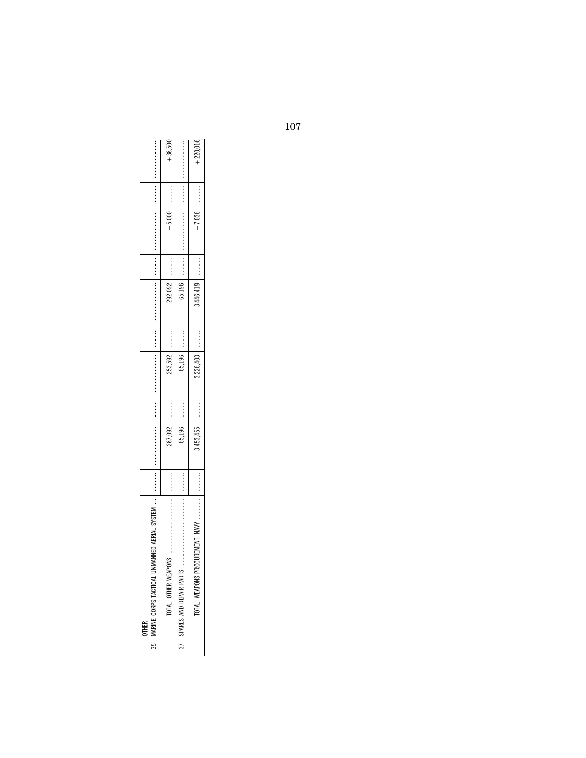| IMANNED AERIAL SYSTEM   |                                                                               |           | <b><i><u><u><u></u></u></u></i></b>                                                                                                                                                                                            |           |                               |                                 |          | <b><i><u>Property</u></i></b> |            |
|-------------------------|-------------------------------------------------------------------------------|-----------|--------------------------------------------------------------------------------------------------------------------------------------------------------------------------------------------------------------------------------|-----------|-------------------------------|---------------------------------|----------|-------------------------------|------------|
| š<br>TOTAL, OTHER WEAPL |                                                                               | 287,092   | .<br>.<br>.<br>.<br>.<br>.                                                                                                                                                                                                     | 253,592   | 292,092                       | .<br>.<br>.<br>.<br>.<br>.<br>. |          |                               | $-38.500$  |
|                         |                                                                               | 65,196    | :<br>:<br>:<br>:                                                                                                                                                                                                               | 65,196    | 65,196                        | :<br>:<br>:<br>:<br>:           |          |                               |            |
| ⋚<br>TOTAL WEAPONS PR   |                                                                               | 3,453,455 | :<br>:<br>:<br>:<br>:                                                                                                                                                                                                          | 3,226,403 | 8,446,419                     |                                 | $-7,036$ |                               | $+220.016$ |
|                         | 35   MARINE CORPS TACTICAL UN<br>37   SPARES AND REPAIR PARTS<br><b>OTHER</b> | <br>      | contract the contract of the contract of the contract of the contract of the contract of the contract of the contract of the contract of the contract of the contract of the contract of the contract of the contract of the c |           | <b><i><u>Property</u></i></b> |                                 |          |                               | $+5,000$ , |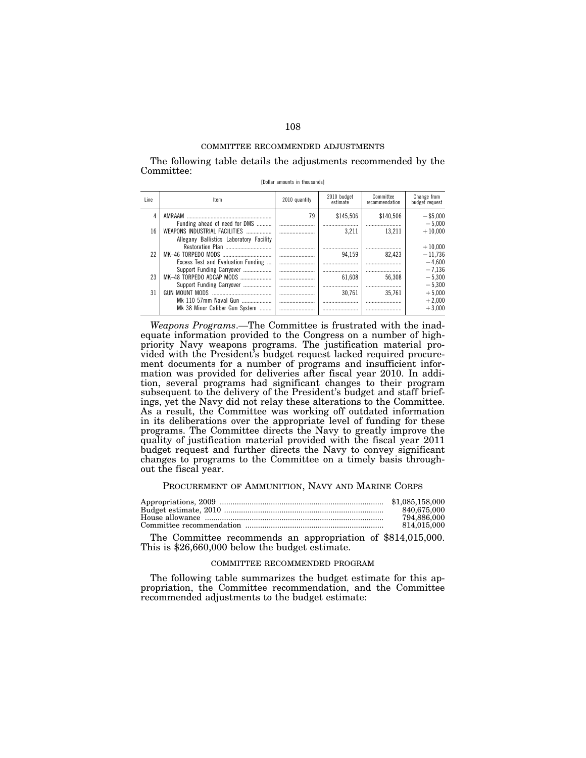The following table details the adjustments recommended by the Committee: [Dollar amounts in thousands]

| Line | Item                                    | 2010 quantity | 2010 budget<br>estimate | Committee<br>recommendation | Change from<br>budget request |
|------|-----------------------------------------|---------------|-------------------------|-----------------------------|-------------------------------|
| 4    | AMRAAM                                  | 79            | \$145,506               | \$140.506                   | $-$ \$5.000                   |
|      | Funding ahead of need for DMS           |               |                         |                             | $-5.000$                      |
| 16   | WEAPONS INDUSTRIAL FACILITIES           |               | 3.211                   | 13.211                      | $+10.000$                     |
|      | Allegany Ballistics Laboratory Facility |               |                         |                             |                               |
|      |                                         |               |                         |                             | $+10.000$                     |
| 22   |                                         |               | 94.159                  | 82.423                      | $-11.736$                     |
|      | Excess Test and Evaluation Funding      |               |                         |                             | $-4.600$                      |
|      | Support Funding Carryover               |               |                         |                             | $-7.136$                      |
| 23   | MK-48 TORPEDO ADCAP MODS                |               | 61.608                  | 56.308                      | $-5.300$                      |
|      | Support Funding Carryover               |               |                         |                             | $-5.300$                      |
| 31   | GUN MOUNT MODS<br>                      |               | 30.761                  | 35.761                      | $+5,000$                      |
|      | Mk 110 57mm Naval Gun                   |               |                         |                             | $+2.000$                      |
|      | Mk 38 Minor Caliber Gun System          |               |                         |                             | $+3.000$                      |

*Weapons Programs*.—The Committee is frustrated with the inadequate information provided to the Congress on a number of highpriority Navy weapons programs. The justification material provided with the President's budget request lacked required procurement documents for a number of programs and insufficient information was provided for deliveries after fiscal year 2010. In addition, several programs had significant changes to their program subsequent to the delivery of the President's budget and staff briefings, yet the Navy did not relay these alterations to the Committee. As a result, the Committee was working off outdated information in its deliberations over the appropriate level of funding for these programs. The Committee directs the Navy to greatly improve the quality of justification material provided with the fiscal year 2011 budget request and further directs the Navy to convey significant changes to programs to the Committee on a timely basis throughout the fiscal year.

### PROCUREMENT OF AMMUNITION, NAVY AND MARINE CORPS

| 840.675.000 |
|-------------|
| 794.886.000 |
| 814.015.000 |

The Committee recommends an appropriation of \$814,015,000. This is \$26,660,000 below the budget estimate.

### COMMITTEE RECOMMENDED PROGRAM

The following table summarizes the budget estimate for this appropriation, the Committee recommendation, and the Committee recommended adjustments to the budget estimate: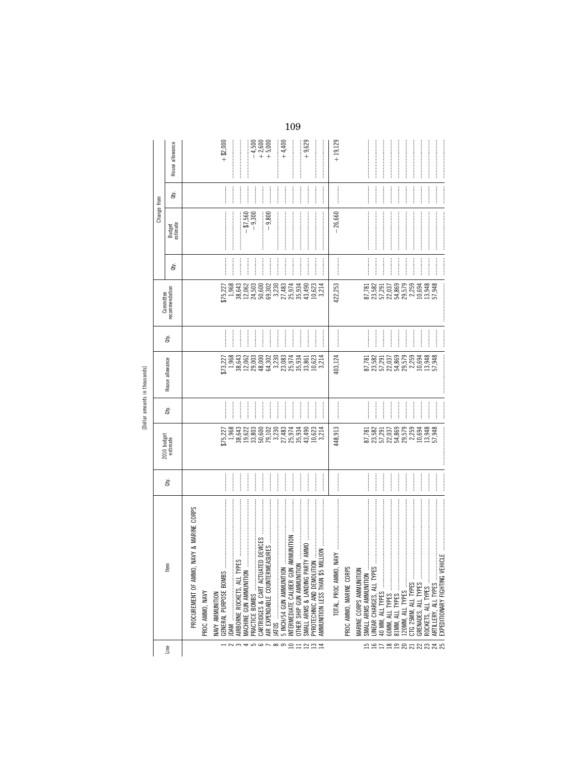|                              | Change from<br>Committee | House allowance<br>ਛੇ<br>Budget<br>estimate<br>ਛੇ<br>recommendation | $+9,629$<br>$+ $2,000$<br>$+4,400$<br>$-4,500$<br>$+2,600$<br>$+5,000$<br>$\vdots$<br>$\frac{1}{2}$<br>$-9,300$<br>$-9,800$<br>$- $7,560$<br>$\frac{1}{2}$<br>$\frac{1}{2}$<br>$\begin{array}{c} \begin{array}{c} \begin{array}{c} \begin{array}{c} \end{array} \end{array} \\ \begin{array}{c} \end{array} \end{array} \end{array}$<br>728 328 328 328 32<br>536 328 328 328 329<br>736 328 328 329 330<br>43,490<br>35,934<br>10,623<br>3,214                                                                                                                                                                                                                                                                                                                                                                                                                                           | $+19,129$<br><b><i><u><u></u></u></i></b><br>$\label{def:1} \begin{minipage}{0.9\linewidth} \begin{minipage}{0.9\linewidth} \begin{minipage}{0.9\linewidth} \begin{minipage}{0.9\linewidth} \end{minipage} \begin{minipage}{0.9\linewidth} \begin{minipage}{0.9\linewidth} \end{minipage} \end{minipage} \end{minipage} \begin{minipage}{0.9\linewidth} \begin{minipage}{0.9\linewidth} \begin{minipage}{0.9\linewidth} \end{minipage} \end{minipage} \end{minipage} \begin{minipage}{0.9\linewidth} \begin{minipage}{0.9\linewidth} \end{minipage} \end{minipage} \begin{minipage}{$<br>26,660<br>82 32 52 63 63 64 65<br>82 62 63 65 65 65 66 66<br>82 62 65 66 67 68 68<br>422,253                                                                                                                                 |
|------------------------------|--------------------------|---------------------------------------------------------------------|-------------------------------------------------------------------------------------------------------------------------------------------------------------------------------------------------------------------------------------------------------------------------------------------------------------------------------------------------------------------------------------------------------------------------------------------------------------------------------------------------------------------------------------------------------------------------------------------------------------------------------------------------------------------------------------------------------------------------------------------------------------------------------------------------------------------------------------------------------------------------------------------|-----------------------------------------------------------------------------------------------------------------------------------------------------------------------------------------------------------------------------------------------------------------------------------------------------------------------------------------------------------------------------------------------------------------------------------------------------------------------------------------------------------------------------------------------------------------------------------------------------------------------------------------------------------------------------------------------------------------------------------------------------------------------------------------------------------------------|
|                              | à,                       |                                                                     | <br> <br> <br> <br> <br> <br> <br> <br> <br>                                                                                                                                                                                                                                                                                                                                                                                                                                                                                                                                                                                                                                                                                                                                                                                                                                              |                                                                                                                                                                                                                                                                                                                                                                                                                                                                                                                                                                                                                                                                                                                                                                                                                       |
| Dollar amounts in thousands] | House allowance          |                                                                     | 1,968<br>$\begin{array}{c} 38,643 \\ 12,062 \\ 29,003 \end{array}$<br>000<br>023030334<br>03.0334<br>03.03534<br>10,623<br>3,214<br>33,861<br>\$73,227                                                                                                                                                                                                                                                                                                                                                                                                                                                                                                                                                                                                                                                                                                                                    | 87,882<br>87,883,885,525<br>87,885,525,89<br>10,694<br>13,948<br>57,948<br>403,124                                                                                                                                                                                                                                                                                                                                                                                                                                                                                                                                                                                                                                                                                                                                    |
|                              | È                        |                                                                     | <br> <br> <br>                                                                                                                                                                                                                                                                                                                                                                                                                                                                                                                                                                                                                                                                                                                                                                                                                                                                            | $\begin{minipage}{0.9\linewidth} \begin{tabular}{l} \hline \multicolumn{3}{c}{\textbf{0.9\linewidth}} \end{tabular} \end{minipage} \end{minipage} \caption{A system of the system of the system.} \label{fig:1}$<br>$\frac{1}{2}$<br>$\frac{1}{2}$                                                                                                                                                                                                                                                                                                                                                                                                                                                                                                                                                                    |
|                              |                          | 2010 budget<br>estimate                                             | 7<br>23 8 9 2 3 3 3 3 3 3 3 4<br>5 4 5 3 3 3 5 6 7 3 4 5 6<br>7 4 5 6 7 8 7 8 7 8 7 8 7<br>43,490<br>35,934<br>10,623<br>3,214                                                                                                                                                                                                                                                                                                                                                                                                                                                                                                                                                                                                                                                                                                                                                            | 448,913                                                                                                                                                                                                                                                                                                                                                                                                                                                                                                                                                                                                                                                                                                                                                                                                               |
|                              |                          | ਛੇ                                                                  | $\begin{minipage}{0.5\textwidth} \centering \begin{tabular}{ l l l } \hline \multicolumn{1}{ l l } \multicolumn{1}{ l } \multicolumn{1}{ l } \multicolumn{1}{ l } \multicolumn{1}{ l } \multicolumn{1}{ l } \multicolumn{1}{ l } \multicolumn{1}{ l } \multicolumn{1}{ l } \multicolumn{1}{ l } \multicolumn{1}{ l } \multicolumn{1}{ l } \multicolumn{1}{ l } \multicolumn{1}{ l } \multicolumn{1}{ l } \multicolumn{1}{ l } \multicolumn{1}{ $<br>İ                                                                                                                                                                                                                                                                                                                                                                                                                                     | $\begin{minipage}{0.9\linewidth} \begin{tabular}{l} \toprule \multicolumn{2}{c}{\textbf{1}} & \multicolumn{2}{\textbf{1}} & \multicolumn{2}{\textbf{1}} \\ \multicolumn{2}{c}{\textbf{1}} & \multicolumn{2}{\textbf{1}} & \multicolumn{2}{\textbf{1}} \\ \multicolumn{2}{c}{\textbf{2}} & \multicolumn{2}{\textbf{2}} & \multicolumn{2}{\textbf{2}} \\ \multicolumn{2}{c}{\textbf{3}} & \multicolumn{2}{\textbf{2}} & \multicolumn{2}{\textbf{2}} \\ \multicolumn{2}{c}{\textbf{4}} & \multicolumn$<br>$\frac{1}{2}$<br>$\frac{1}{2}$<br>$\frac{1}{2}$<br>$\ddot{\phantom{a}}$                                                                                                                                                                                                                                        |
|                              |                          | Lem                                                                 | $\begin{minipage}{0.9\linewidth} \begin{tabular}{l} \hline \textbf{1} & \textbf{1} & \textbf{1} & \textbf{1} & \textbf{1} & \textbf{1} & \textbf{1} & \textbf{1} & \textbf{1} & \textbf{1} & \textbf{1} & \textbf{1} & \textbf{1} & \textbf{1} & \textbf{1} & \textbf{1} & \textbf{1} & \textbf{1} & \textbf{1} & \textbf{1} & \textbf{1} & \textbf{1} & \textbf{1} & \textbf{1} & \textbf{1} & \textbf{1} & \textbf{1} & \textbf{1} &$<br>NAVY & MARINE CORPS<br>AMMUNITION<br>ED DEVICES<br>S3<br>PYROTECHNIC AND DEMOLITION<br>AIR EXPENDABLE COUNTERME<br>OTHER SHIP GUN AMMUNITION<br>JDAM<br>AIRBORNE ROCKETS, ALL TYPE<br>SMALL ARMS & LANDING PAR<br>GENERAL PURPOSE BOMBS<br>CARTRIDGES & CART ACTUAT<br>INTERMEDIATE CALIBER GUN<br>5 INCH/54 GUN AMMUNITION<br>PROCUREMENT OF AMMO,<br>MACHINE GUN AMMUNITION<br>JATOS<br>PRACTICE BOMBS<br>PROC AMMO, NAVY<br>NAVY AMMUNITION | $\label{eq:3} \begin{split} \mathcal{L}_{\mathcal{M}}(\mathcal{L}_{\mathcal{M}}(\mathcal{L}_{\mathcal{M}}(\mathcal{L}_{\mathcal{M}}(\mathcal{L}_{\mathcal{M}}(\mathcal{L}_{\mathcal{M}}(\mathcal{L}_{\mathcal{M}}(\mathcal{L}_{\mathcal{M}}(\mathcal{L}_{\mathcal{M}}(\mathcal{L}_{\mathcal{M}}(\mathcal{L}_{\mathcal{M}}(\mathcal{L}_{\mathcal{M}}(\mathcal{L}_{\mathcal{M}}(\mathcal{L}_{\mathcal{M}}(\mathcal{L}_{\mathcal{M}}(\mathcal{L}_{\mathcal{M}}(\mathcal{L}_{\mathcal{M}}(\mathcal{$<br><b>NAVY</b><br>EXPEDITIONARY FIGHTING VEHICLE<br>GOMM, ALL TYPES<br>GRENADES, ALL TYPES<br>L20MM, ALL TYPES<br>CTG 25MM, ALL TYPES<br>ROCKETS, ALL TYPES<br>ARTILLERY, ALL TYPES<br>PROC AMMO, MARINE CORPS<br>MARINE CORPS AMMUNITION<br>LINEAR CHARGES, ALL TYPES<br>TOTAL, PROC AMMO,<br>SMALL ARMS AMMUNITION |
|                              |                          | Line                                                                | $\rightarrow$ $\sim$ $\sim$ $\rightarrow$ $\sim$ $\sim$ $\sim$ $\sim$ $\sim$<br>$\Xi \Xi$<br>$\overline{12}$<br>$\frac{13}{14}$                                                                                                                                                                                                                                                                                                                                                                                                                                                                                                                                                                                                                                                                                                                                                           | 595<br>$\approx$<br>2828828                                                                                                                                                                                                                                                                                                                                                                                                                                                                                                                                                                                                                                                                                                                                                                                           |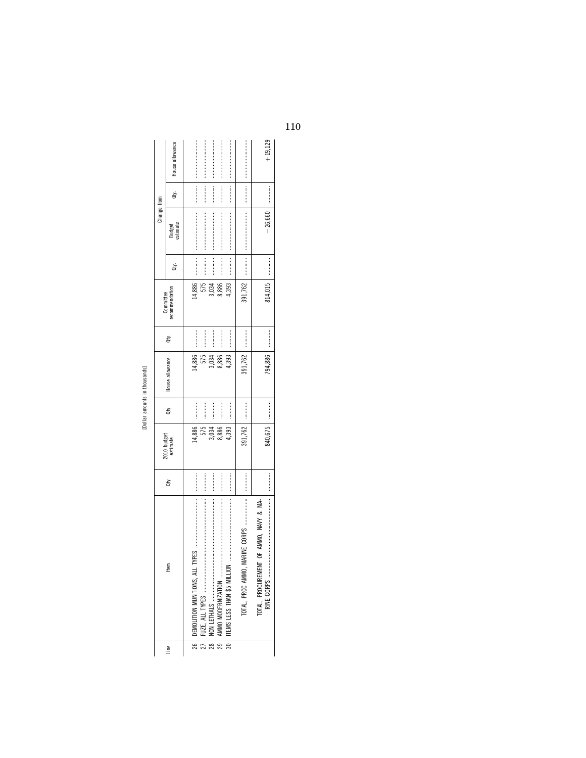|             | House allowance             |                       |                                 |                       |                            |                                  |                                 | $+19,129$                              |
|-------------|-----------------------------|-----------------------|---------------------------------|-----------------------|----------------------------|----------------------------------|---------------------------------|----------------------------------------|
|             | đy.                         | :<br>:<br>:<br>:      | .<br>.<br>.<br>.<br>.<br>.<br>. | :<br>:<br>:<br>:<br>: |                            |                                  |                                 |                                        |
| Change from | Budget<br>estimate          |                       |                                 |                       |                            |                                  |                                 | $-26,660$                              |
|             | ğ                           | :<br>:<br>:<br>:      | $\frac{1}{2}$                   |                       | :<br>:<br>:<br>:<br>:      | :<br>:<br>:<br>:<br>:            | .<br>.<br>.<br>.<br>.<br>.<br>. | :<br>:<br>:<br>:                       |
|             | recommendation<br>Committee | 14,886                | 575                             | 3,034                 | 8,886                      | 1,393                            | 391,762                         | 814,015                                |
|             | đý.                         | :<br>:<br>:<br>:      | <br> <br> <br> <br>             | :<br>:<br>:<br>:      | :<br>:<br>:<br>: : : : : : | :<br>:<br>:<br>:                 | :<br>:<br>:<br>:<br>:           |                                        |
|             | House allowance             | 14,886                | 575                             | 3,034                 | 8,886                      | 1,393                            | 391.762                         | 794,886                                |
|             | đý.                         | :<br>:<br>:<br>:      | <br> <br> <br> <br>             |                       |                            | :<br>:<br>:<br>:                 | :<br>:<br>:<br>:<br>:           |                                        |
|             | 2010 budget<br>estimate     | 14,886                | 575                             | 3,034                 | 8,886                      | 4,393                            | 391,762                         | 840,675                                |
|             | ġ                           | :<br>:<br>:<br>:<br>: | :<br>:<br>:<br>:                | :<br>:<br>:<br>:<br>: | :<br>:<br>:<br>:           | :<br>:<br>:<br>:                 | :<br>:<br>:<br>:<br>:           | :<br>:<br>:<br>:                       |
|             | ₫                           |                       |                                 |                       |                            | 30   ITEMS LESS THAN \$5 MILLION | TOTAL, PROC AMMO,               | TOTAL, PROCUREMENT OF AMMO, NAVY & MA- |
|             | Line                        |                       |                                 |                       |                            |                                  |                                 |                                        |

[Dollar amounts in thousands]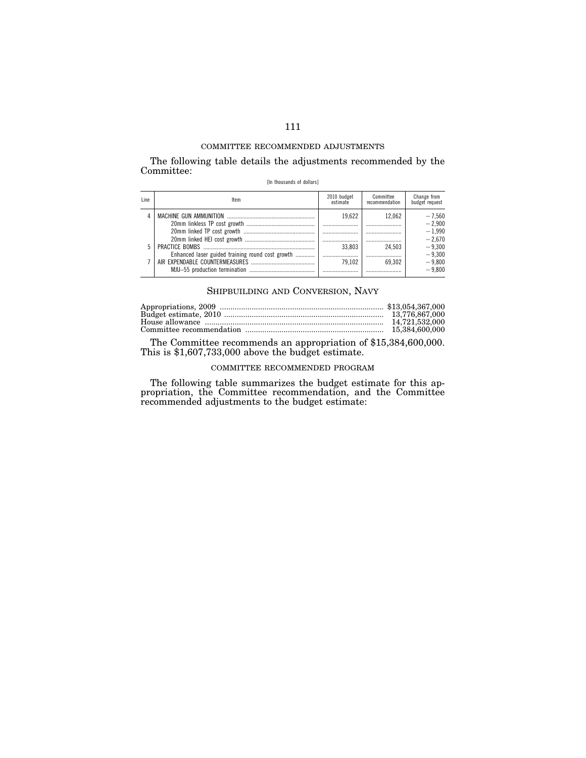The following table details the adjustments recommended by the Committee:

| [In thousands of dollars] |  |  |
|---------------------------|--|--|
|---------------------------|--|--|

| Line | ltem                                             | 2010 budget<br>estimate | Committee<br>recommendation | Change from<br>budget request |
|------|--------------------------------------------------|-------------------------|-----------------------------|-------------------------------|
|      |                                                  | 19.622                  | 12.062                      | $-7.560$<br>$-2.900$          |
|      |                                                  |                         |                             | $-1.990$<br>$-2.670$          |
| 5    | Enhanced laser guided training round cost growth | 33.803                  | 24.503                      | $-9.300$<br>$-9.300$          |
|      |                                                  | 79.102                  | 69.302                      | $-9,800$<br>$-9.800$          |

## SHIPBUILDING AND CONVERSION, NAVY

| 14.721.532.000 |
|----------------|
| 15.384.600.000 |

The Committee recommends an appropriation of \$15,384,600,000. This is \$1,607,733,000 above the budget estimate.

## COMMITTEE RECOMMENDED PROGRAM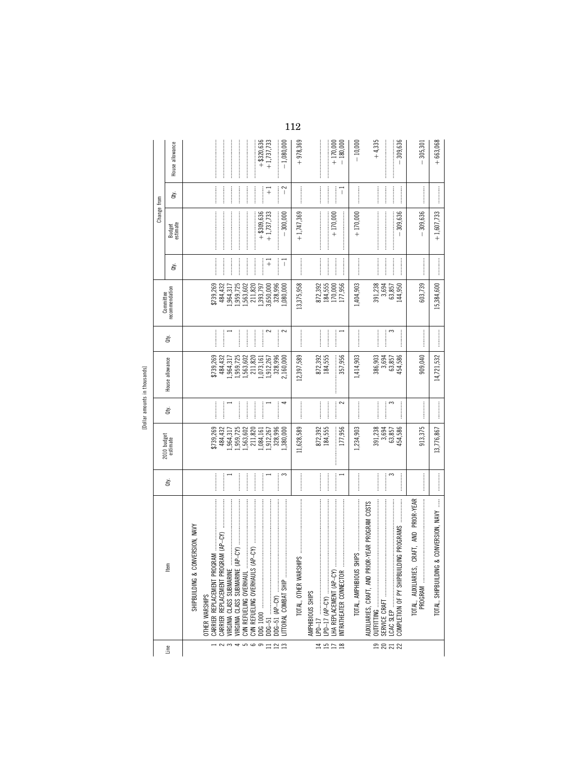| э                             |
|-------------------------------|
| í                             |
| $\ddot{\cdot}$<br>î<br>$\tau$ |
|                               |

| Line                                              | SHIPBUILDING & CONVERSION, NAVY<br>ltem                                                                                                                                                                                                                                                                                                                                                                                                                                                                                                                                                                                                                     | ġ                                                                                                                                                                                                                                                                                                                                                                                                                                            | 2010 budget<br>estimate                                                                                             | È                              | House allowance<br>Dollar amounts in thousands]                                                                       | ਛੇ                                                                                                                                                                                                                                                                                                                                                                                                                                                                                                                                                                                                                                  | recommendation<br>Committee                                                                                             | à,                                                                              | Change from<br>Budget<br>estimate          | È                                                                                                                                                                                                                                                                                                                                                                                                                                                                                                                                                                                                                                                                                                                                                                                                                                                   | House allowance                                              |
|---------------------------------------------------|-------------------------------------------------------------------------------------------------------------------------------------------------------------------------------------------------------------------------------------------------------------------------------------------------------------------------------------------------------------------------------------------------------------------------------------------------------------------------------------------------------------------------------------------------------------------------------------------------------------------------------------------------------------|----------------------------------------------------------------------------------------------------------------------------------------------------------------------------------------------------------------------------------------------------------------------------------------------------------------------------------------------------------------------------------------------------------------------------------------------|---------------------------------------------------------------------------------------------------------------------|--------------------------------|-----------------------------------------------------------------------------------------------------------------------|-------------------------------------------------------------------------------------------------------------------------------------------------------------------------------------------------------------------------------------------------------------------------------------------------------------------------------------------------------------------------------------------------------------------------------------------------------------------------------------------------------------------------------------------------------------------------------------------------------------------------------------|-------------------------------------------------------------------------------------------------------------------------|---------------------------------------------------------------------------------|--------------------------------------------|-----------------------------------------------------------------------------------------------------------------------------------------------------------------------------------------------------------------------------------------------------------------------------------------------------------------------------------------------------------------------------------------------------------------------------------------------------------------------------------------------------------------------------------------------------------------------------------------------------------------------------------------------------------------------------------------------------------------------------------------------------------------------------------------------------------------------------------------------------|--------------------------------------------------------------|
| $\sim$<br>$\frac{4}{5}$<br>ဖ ၈<br>$\Xi \cong \Xi$ | $\label{eq:3} \begin{minipage}{0.9\linewidth} \begin{minipage}{0.9\linewidth} \begin{minipage}{0.9\linewidth} \end{minipage} \begin{minipage}{0.9\linewidth} \begin{minipage}{0.9\linewidth} \end{minipage} \end{minipage} \begin{minipage}{0.9\linewidth} \begin{minipage}{0.9\linewidth} \end{minipage} \end{minipage} \begin{minipage}{0.9\linewidth} \begin{minipage}{0.9\linewidth} \end{minipage} \end{minipage} \begin{minipage}{0.9\linewidth} \end{minipage} \begin{minipage}{0.9\linewidth} \end{minipage} \begin{minipage}{$<br>CARRIER REPLACEMENT PROGRAM (AP-CY)<br>CVN REFUELING OVERHAULS (AP-CY)<br>LITTORAL COMBAT SHIP<br>OTHER WARSHIPS | 3                                                                                                                                                                                                                                                                                                                                                                                                                                            | \$739,269<br>211,820<br>484,432<br>,959,725<br>,563,602<br>328,996<br>,912,267<br>,964,317<br>.084, 161<br>,380,000 | 4<br> <br> <br> <br> <br> <br> | \$739,269<br>211,820<br>328,996<br>484,432<br>,964,317<br>1,959,725<br>,563,602<br>1,912,267<br>2,160,000<br>,073,161 | $\sim$<br>2<br>$\begin{minipage}{0.9\linewidth} \centering \begin{minipage}{0.9\linewidth} \centering \end{minipage} \begin{minipage}{0.9\linewidth} \centering \begin{minipage}{0.9\linewidth} \centering \end{minipage} \end{minipage} \begin{minipage}{0.9\linewidth} \centering \begin{minipage}{0.9\linewidth} \centering \end{minipage} \end{minipage} \begin{minipage}{0.9\linewidth} \centering \end{minipage} \begin{minipage}{0.9\linewidth} \centering \end{minipage} \begin{minipage}{0.9\linewidth} \centering \end{minipage} \begin{minipage}{0.9\linewidth} \centering \end{min$<br>$\frac{1}{2}$<br> <br> <br> <br> | \$739,269<br>1,563,602<br>211,820<br>484,432<br>1,959,725<br>1,393,797<br>3,650,000<br>328,996<br>,964,317<br>1,080,000 | <br> <br> <br> <br> <br> <br> <br> <br> <br> <br>$\overline{+}$<br>$\mathbb{I}$ | $+ $309,636$<br>$-300,000$<br>$+1,737,733$ | $\begin{minipage}{0.9\linewidth} \begin{tabular}{l} \hline \multicolumn{3}{c}{\textbf{0.9\linewidth}} \end{tabular} \end{minipage} \end{minipage} \caption{A system of the model of the model. The results of the model of the model, the model of the model, the model of the model, the model of the model, the model of the model, the model of the model, the model of the model, the model of the model, the model of the model, the model of the model, the model of the model, the model of the model, the model of the model, the model of the model, the model of the model, the model of the model, the model of the model, the model of the model, the model of the model, the model of the model, the model of the model, the model of the model, the model of the model, the model of the$<br>$\sim$<br>$\overline{+}$<br>$\mathbf{I}$ | $+ $320,636$<br>$+1,737,733$<br>$-1,080,000$                 |
| <b>HHDB</b>                                       | $\label{def:1} \begin{minipage}{0.9\linewidth} \begin{minipage}{0.9\linewidth} \begin{minipage}{0.9\linewidth} \begin{minipage}{0.9\linewidth} \end{minipage} \end{minipage} \begin{minipage}{0.9\linewidth} \begin{minipage}{0.9\linewidth} \begin{minipage}{0.9\linewidth} \end{minipage} \end{minipage} \end{minipage} \begin{minipage}{0.9\linewidth} \begin{minipage}{0.9\linewidth} \begin{minipage}{0.9\linewidth} \end{minipage} \end{minipage} \end{minipage} \begin{minipage}{0.9\linewidth} \begin{minipage}{0.9\linewidth} \$<br>ΡŚ<br>$LPD-17$<br>INTRATHEATER CONNECTOR<br>TOTAL, OTHER WARSH<br>AMPHIBIOUS SHIPS                             | $[ \; \; \cdots \; \; \cdots \; \; \cdots \; \; \cdots \; \; \cdots \; \; \cdots \; \; \cdots \; \; \cdots \; \; \cdots \; \; \cdots \; \; \cdots \; \; \cdots \; \; \cdots \; \; \cdots \; \; \cdots \; \; \cdots \; \; \cdots \; \; \cdots \; \; \cdots \; \; \cdots \; \; \cdots \; \; \cdots \; \; \cdots \; \; \cdots \; \; \cdots \; \; \cdots \; \; \cdots \; \; \cdots \; \; \cdots \; \; \cdots \; \; \cdots \;$<br> <br> <br> <br> | 11,628,589<br>872,392<br>184,555<br>177,956                                                                         | $\sim$                         | 12,397,589<br>872,392<br>184,555<br>357,956<br>:<br>:<br>:<br>:                                                       | <br> <br>                                                                                                                                                                                                                                                                                                                                                                                                                                                                                                                                                                                                                           | 13,375,958<br>872,392<br>184,555<br>170,000<br>177,956                                                                  | $\frac{1}{2}$<br> <br> <br>                                                     | $+1,747,369$<br>$+170,000$                 | $\mathbb I$                                                                                                                                                                                                                                                                                                                                                                                                                                                                                                                                                                                                                                                                                                                                                                                                                                         | $+978,369$<br>$+170,000$<br>$-180,000$                       |
| <b>9858</b>                                       | ING PROGRAMS<br>AUXILIARIES, CRAFT, AND PRIOR-YEAR PROGRAM COSTS                                                                                                                                                                                                                                                                                                                                                                                                                                                                                                                                                                                            | 3                                                                                                                                                                                                                                                                                                                                                                                                                                            | 1,234,903<br>391,238<br>3,694<br>63,857<br>454,586                                                                  | 3<br>$\frac{1}{2}$             | 1,414,903<br>$386,903$<br>$3,694$<br>$63,857$<br>454,586                                                              | 3                                                                                                                                                                                                                                                                                                                                                                                                                                                                                                                                                                                                                                   | 391,238<br>3,694<br>1,404,903<br>63,857<br>144,950                                                                      | $\frac{1}{2}$<br> <br> <br> <br>                                                | $+170,000$<br>$-309,636$                   | $\begin{minipage}{0.9\linewidth} \begin{tabular}{l} \toprule \multicolumn{3}{c}{\textbf{0.9\linewidth}} \begin{tabular}{l} \multicolumn{3}{c}{\textbf{0.9\linewidth}} \end{tabular} \end{minipage} \end{minipage} \end{minipage} \caption{A system of the model with the model of the model.} \label{fig:1}$<br>$\frac{1}{2}$<br>$\frac{1}{2}$                                                                                                                                                                                                                                                                                                                                                                                                                                                                                                      | $+4,335$<br>309,636<br>$-10,000$<br>$\overline{\phantom{a}}$ |
|                                                   | $\vdots$<br>CRAFT, AND PRIOR-YEAR<br>& CONVERSION, NAVY<br>PROGRAM<br>TOTAL, SHIPBUILDING<br>TOTAL, AUXILIARIES,                                                                                                                                                                                                                                                                                                                                                                                                                                                                                                                                            |                                                                                                                                                                                                                                                                                                                                                                                                                                              | 913,375<br>13,776,867                                                                                               |                                | 14,721,532<br>909,040                                                                                                 |                                                                                                                                                                                                                                                                                                                                                                                                                                                                                                                                                                                                                                     | 603,739<br>15,384,600                                                                                                   |                                                                                 | $-309,636$<br>$+1,607,733$                 |                                                                                                                                                                                                                                                                                                                                                                                                                                                                                                                                                                                                                                                                                                                                                                                                                                                     | $+663,068$<br>$-305,301$                                     |
|                                                   |                                                                                                                                                                                                                                                                                                                                                                                                                                                                                                                                                                                                                                                             |                                                                                                                                                                                                                                                                                                                                                                                                                                              |                                                                                                                     |                                |                                                                                                                       |                                                                                                                                                                                                                                                                                                                                                                                                                                                                                                                                                                                                                                     |                                                                                                                         |                                                                                 |                                            |                                                                                                                                                                                                                                                                                                                                                                                                                                                                                                                                                                                                                                                                                                                                                                                                                                                     |                                                              |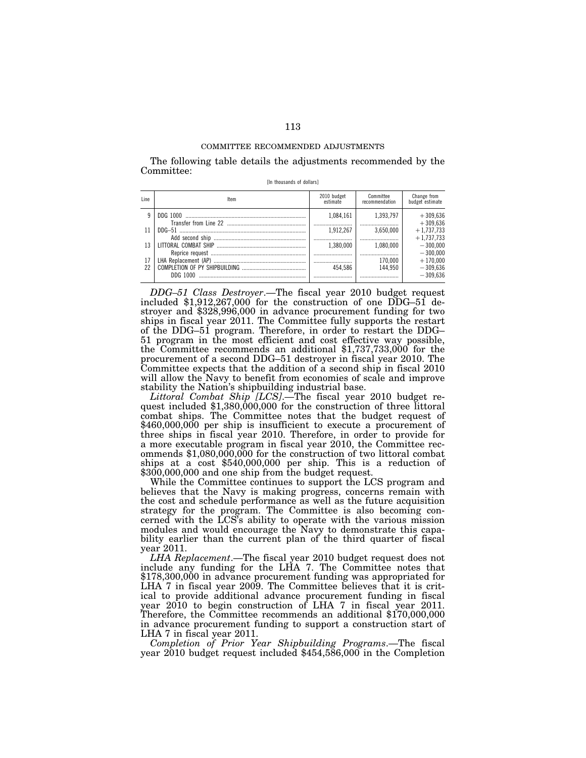The following table details the adjustments recommended by the Committee:

| [In thousands of dollars] |  |  |
|---------------------------|--|--|
|---------------------------|--|--|

| Line | ltem                 | 2010 budget<br>estimate | Committee<br>recommendation | Change from<br>budget estimate |
|------|----------------------|-------------------------|-----------------------------|--------------------------------|
| 9    |                      | 1.084.161               | 1.393.797                   | $+309.636$<br>$+309.636$       |
| 11   |                      | 1.912.267               | 3.650.000                   | $+1.737.733$<br>$+1.737.733$   |
| 13   | LITTORAL COMBAT SHIP | 1.380.000               | 1.080.000                   | $-300.000$<br>$-300.000$       |
|      |                      |                         | 170.000                     | $+170.000$                     |
| 22   |                      | 454 586                 | 144.950                     | $-309.636$                     |
|      | DDG 1000             |                         |                             | $-309.636$                     |

*DDG–51 Class Destroyer*.—The fiscal year 2010 budget request included \$1,912,267,000 for the construction of one DDG–51 destroyer and \$328,996,000 in advance procurement funding for two ships in fiscal year 2011. The Committee fully supports the restart of the DDG–51 program. Therefore, in order to restart the DDG– 51 program in the most efficient and cost effective way possible, the Committee recommends an additional \$1,737,733,000 for the procurement of a second DDG–51 destroyer in fiscal year 2010. The Committee expects that the addition of a second ship in fiscal 2010 will allow the Navy to benefit from economies of scale and improve stability the Nation's shipbuilding industrial base.<br>Littoral Combat Ship (LCS).—The fiscal year 2010 budget re-

quest included \$1,380,000,000 for the construction of three littoral combat ships. The Committee notes that the budget request of \$460,000,000 per ship is insufficient to execute a procurement of three ships in fiscal year 2010. Therefore, in order to provide for a more executable program in fiscal year 2010, the Committee recommends \$1,080,000,000 for the construction of two littoral combat ships at a cost \$540,000,000 per ship. This is a reduction of \$300,000,000 and one ship from the budget request.

While the Committee continues to support the LCS program and believes that the Navy is making progress, concerns remain with the cost and schedule performance as well as the future acquisition strategy for the program. The Committee is also becoming concerned with the LCS's ability to operate with the various mission modules and would encourage the Navy to demonstrate this capability earlier than the current plan of the third quarter of fiscal year 2011.

*LHA Replacement*.—The fiscal year 2010 budget request does not include any funding for the LHA 7. The Committee notes that \$178,300,000 in advance procurement funding was appropriated for LHA 7 in fiscal year 2009. The Committee believes that it is critical to provide additional advance procurement funding in fiscal year 2010 to begin construction of LHA 7 in fiscal year 2011. Therefore, the Committee recommends an additional \$170,000,000 in advance procurement funding to support a construction start of LHA 7 in fiscal year 2011.

*Completion of Prior Year Shipbuilding Programs*.—The fiscal year 2010 budget request included \$454,586,000 in the Completion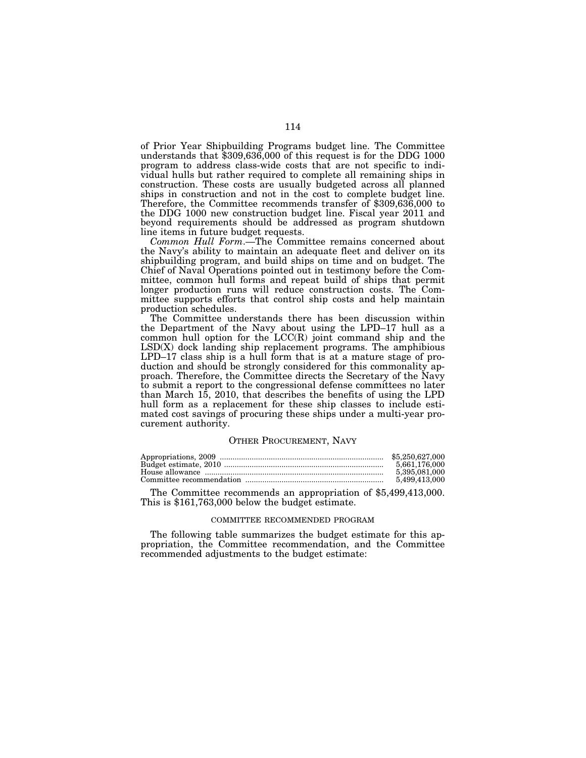of Prior Year Shipbuilding Programs budget line. The Committee understands that  $$309,636,000$  of this request is for the DDG 1000 program to address class-wide costs that are not specific to individual hulls but rather required to complete all remaining ships in construction. These costs are usually budgeted across all planned ships in construction and not in the cost to complete budget line. Therefore, the Committee recommends transfer of \$309,636,000 to the DDG 1000 new construction budget line. Fiscal year 2011 and beyond requirements should be addressed as program shutdown line items in future budget requests.

*Common Hull Form*.—The Committee remains concerned about the Navy's ability to maintain an adequate fleet and deliver on its shipbuilding program, and build ships on time and on budget. The Chief of Naval Operations pointed out in testimony before the Committee, common hull forms and repeat build of ships that permit longer production runs will reduce construction costs. The Committee supports efforts that control ship costs and help maintain production schedules.

The Committee understands there has been discussion within the Department of the Navy about using the LPD–17 hull as a common hull option for the  $LCC(R)$  joint command ship and the LSD(X) dock landing ship replacement programs. The amphibious LPD–17 class ship is a hull form that is at a mature stage of production and should be strongly considered for this commonality approach. Therefore, the Committee directs the Secretary of the Navy to submit a report to the congressional defense committees no later than March 15, 2010, that describes the benefits of using the LPD hull form as a replacement for these ship classes to include estimated cost savings of procuring these ships under a multi-year procurement authority.

### OTHER PROCUREMENT, NAVY

| \$5,250,627,000 |
|-----------------|
| 5.661.176.000   |
| 5.395.081.000   |
| 5.499.413.000   |

The Committee recommends an appropriation of \$5,499,413,000. This is \$161,763,000 below the budget estimate.

### COMMITTEE RECOMMENDED PROGRAM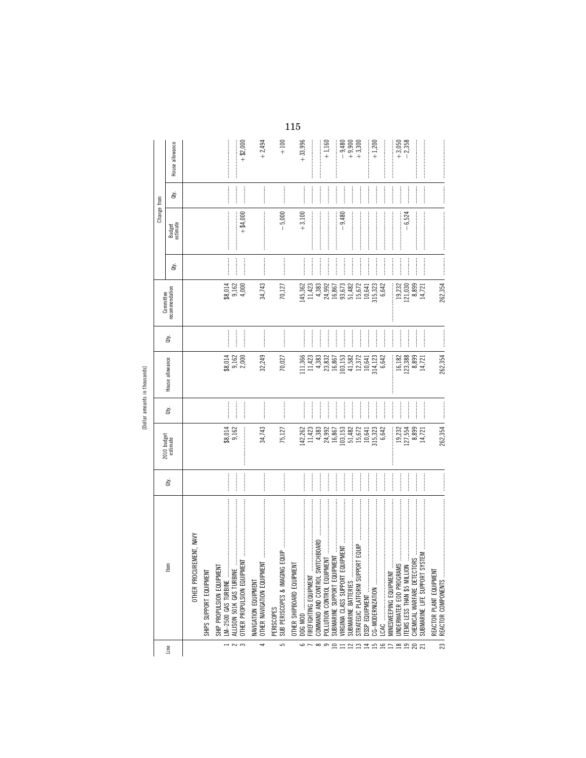| J.<br>J. |  |
|----------|--|
| š<br>T   |  |
|          |  |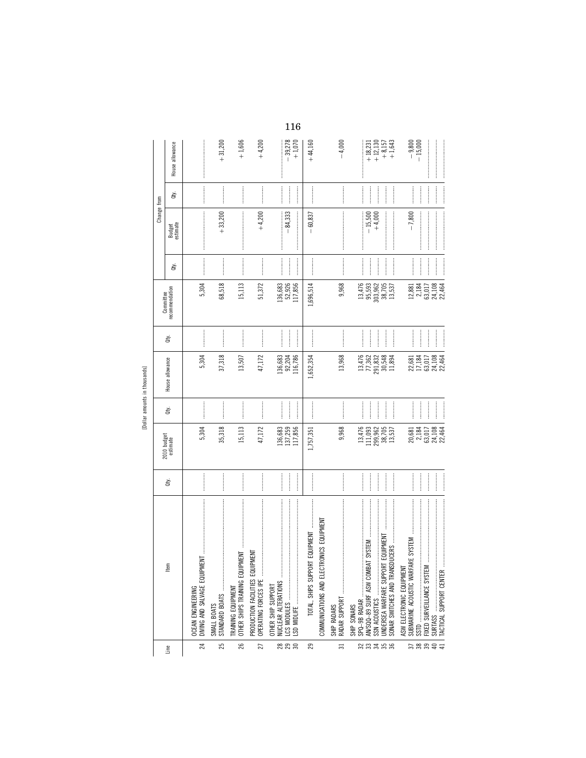| $-9,800$<br>$-15,000$<br>$\frac{1}{2}$<br>$\frac{1}{2}$<br>È<br>Change from<br>$+33,200$<br>$+4,200$<br>$\begin{minipage}{0.9\linewidth} \begin{tabular}{l} \hline \textbf{1} & \textbf{1} & \textbf{1} & \textbf{1} & \textbf{1} & \textbf{1} & \textbf{1} & \textbf{1} & \textbf{1} & \textbf{1} & \textbf{1} & \textbf{1} & \textbf{1} & \textbf{1} & \textbf{1} & \textbf{1} & \textbf{1} & \textbf{1} & \textbf{1} & \textbf{1} & \textbf{1} & \textbf{1} & \textbf{1} & \textbf{1} & \textbf{1} & \textbf{1} & \textbf{1} & \textbf{1} &$<br>$\begin{minipage}{0.9\linewidth} \begin{tabular}{l} \hline \textbf{1} & \textbf{2} & \textbf{3} & \textbf{4} & \textbf{5} & \textbf{6} & \textbf{6} & \textbf{6} & \textbf{6} & \textbf{6} & \textbf{6} & \textbf{6} & \textbf{6} & \textbf{6} & \textbf{6} & \textbf{6} & \textbf{6} & \textbf{6} & \textbf{6} & \textbf{6} & \textbf{6} & \textbf{6} & \textbf{6} & \textbf{6} & \textbf{6} & \textbf{6} & \textbf{6} & \textbf{6} &$<br>$-7,800$<br>$-84,333$<br>$-15,500$<br>$+4,000$<br>$-60,837$<br>Budget<br>estimate<br>$\begin{minipage}{0.9\linewidth} \begin{tabular}{l} \hline \multicolumn{3}{c}{\textbf{0.9\linewidth}} \end{tabular} \end{minipage} \begin{minipage}{0.9\linewidth} \begin{tabular}{l} \multicolumn{3}{c}{\textbf{0.9\linewidth}} \end{tabular} \end{minipage} \end{minipage} \begin{minipage}{0.9\linewidth} \begin{tabular}{l} \multicolumn{3}{c}{\textbf{0.9\linewidth}} \end{tabular} \end{minipage} \end{minipage} \begin{minipage}{0.9\linewidth} \begin{tabular}{l} \multicolumn{3}{c}{\textbf{0.9\linewidth}} \end{tab$<br> <br> <br> <br> <br> <br> <br> <br> <br> <br> <br> <br><br>$\frac{1}{2}$<br>ਛੇ<br>51,372<br>68,518<br>5,304<br>15,113<br>136,683<br>52,926<br>117,856<br>1,696,514<br>9,968<br>$\begin{array}{c} 13,476 \\ 95,593 \\ 303,962 \\ 38,705 \end{array}$<br>24,108<br>22,464<br>2,184<br>13,537<br>63,017<br>12,881<br>recommendation<br>Committee<br>$\frac{1}{2}$<br>$\begin{minipage}{0.9\linewidth} \begin{tabular}{l} \hline \multicolumn{3}{c}{\textbf{0.9\linewidth}} \end{tabular} \end{minipage} \end{minipage} \caption{A system of the model of the model.} \label{fig:ex1}$<br>$\frac{1}{2}$<br>$\frac{1}{2}$<br> <br> <br> <br>à<br>47,172<br>37,318<br>5,304<br>30,548<br>24,108<br>22,464<br>92,204<br>13,968<br>13,476<br>77,362<br>291,832<br>17,184<br>136,683<br>116,786<br>13,507<br>.,652,354<br>11,894<br>63,017<br>22,681<br>House allowance<br><b>Continued by Separate Assessing</b><br>$[0.15, 0.01, 0.01, 0.01, 0.01, 0.01, 0.01, 0.01, 0.01, 0.01, 0.01, 0.01, 0.01, 0.01, 0.01, 0.01, 0.01, 0.01, 0.01, 0.01, 0.01, 0.01, 0.01, 0.01, 0.01, 0.01, 0.01, 0.01, 0.01, 0.01, 0.01, 0.01, 0.01, 0.01, 0.01, 0.01, 0.0$<br>$\frac{1}{2}$<br>$\frac{1}{2}$<br> <br> <br> <br> <br>đý.<br>47,172<br>35,318<br>136,683<br>137,259<br>117,856<br>24,108<br>22,464<br>9,968<br>13,476<br>111,093<br>299,962<br>5,304<br>15,113<br>38,705<br>20,681<br>2,184<br>13,537<br>63,017<br>1,757,351<br>2010 budget<br>estimate<br>$\begin{minipage}{0.9\linewidth} \begin{tabular}{l} \toprule \multicolumn{2}{c}{\textbf{1}}{ \hspace{1.5pt} \textbf{1}}{ \hspace{1.5pt} \textbf{2}}{ \hspace{1.5pt} \textbf{3}}{ \hspace{1.5pt} \textbf{4}}{ \hspace{1.5pt} \textbf{5}}{ \hspace{1.5pt} \textbf{5}}{ \hspace{1.5pt} \textbf{6}}{ \hspace{1.5pt} \textbf{7}}{ \hspace{1.5pt} \textbf{6}}{ \hspace{1.5pt} \textbf{7}}{ \hspace{1.5pt} \textbf{8}}{ \hspace{$<br><br>:<br>:<br>:<br><br><br>$\frac{1}{2}$<br>$\frac{1}{2}$<br><br>ਛੇ<br>$\ddot{\ddot{\theta}}$<br>COMMUNICATIONS AND ELECTRONICS EQUIPMENT<br>ORT EQUIPMENT<br>JRT EQUIPMENT<br><b>UIPMENT</b><br>E<br>₽<br>TOTAL, SHIPS SUPPO<br>TACTICAL SUPPORT CENTER<br>ASW ELECTRONIC EQUIPMEN<br>PRODUCTION FACILITIES EQ<br>OPERATING FORCES IPE<br>AN/SQQ-89 SURF ASW COM<br>SONAR SWITCHES AND TRAI<br>UNDERSEA WARFARE SUPPO<br>DIVING AND SALVAGE EQUI<br>OTHER SHIPS TRAINING EQ<br>NUCLEAR ALTERATIONS<br>OTHER SHIP SUPPORT<br>TRAINING EQUIPMENT<br><b><i>OCEAN ENGINEERING</i></b><br>SPQ-9B RADAR<br>RADAR SUPPORT<br>SMALL BOATS<br>SHIP RADARS<br>SHIP SONARS<br>$\frac{1}{4}$<br>ន្តនន<br>$\frac{2}{3}$ នី<br>25<br>26<br>233588<br>$\overline{24}$<br>27<br>29<br>$\overline{31}$<br>Line |  |  |  |  |  |                                                                       |
|--------------------------------------------------------------------------------------------------------------------------------------------------------------------------------------------------------------------------------------------------------------------------------------------------------------------------------------------------------------------------------------------------------------------------------------------------------------------------------------------------------------------------------------------------------------------------------------------------------------------------------------------------------------------------------------------------------------------------------------------------------------------------------------------------------------------------------------------------------------------------------------------------------------------------------------------------------------------------------------------------------------------------------------------------------------------------------------------------------------------------------------------------------------------------------------------------------------------------------------------------------------------------------------------------------------------------------------------------------------------------------------------------------------------------------------------------------------------------------------------------------------------------------------------------------------------------------------------------------------------------------------------------------------------------------------------------------------------------------------------------------------------------------------------------------------------------------------------------------------------------------------------------------------------------------------------------------------------------------------------------------------------------------------------------------------------------------------------------------------------------------------------------------------------------------------------------------------------------------------------------------------------------------------------------------------------------------------------------------------------------------------------------------------------------------------------------------------------------------------------------------------------------------------------------------------------------------------------------------------------------------------------------------------------------------------------------------------------------------------------------------------------------------------------------------------------------------------------------------------------------------------------------------------------------------------------------------------------------------------------------------------------------------------------------------------------------------------------------------------------------------------------------------------------------------------------------------------------------------------------------------------------------------------------------------------------------------------------------------------------------------------------------------------------------------------------------------------------------------------------------------------------------------------------------------------------------------------------------------------------------------------------------------------------------------------------------------------------------------------------------------------------------------------------------------------------------------------------------------------------------------------------------------------------------------------------------------------------------------------------------------------------------------------------------------------------------------------------------------------------------------------------------------------------------------------------------------------------------------------------------------------------------------------------|--|--|--|--|--|-----------------------------------------------------------------------|
|                                                                                                                                                                                                                                                                                                                                                                                                                                                                                                                                                                                                                                                                                                                                                                                                                                                                                                                                                                                                                                                                                                                                                                                                                                                                                                                                                                                                                                                                                                                                                                                                                                                                                                                                                                                                                                                                                                                                                                                                                                                                                                                                                                                                                                                                                                                                                                                                                                                                                                                                                                                                                                                                                                                                                                                                                                                                                                                                                                                                                                                                                                                                                                                                                                                                                                                                                                                                                                                                                                                                                                                                                                                                                                                                                                                                                                                                                                                                                                                                                                                                                                                                                                                                                                                                                            |  |  |  |  |  |                                                                       |
|                                                                                                                                                                                                                                                                                                                                                                                                                                                                                                                                                                                                                                                                                                                                                                                                                                                                                                                                                                                                                                                                                                                                                                                                                                                                                                                                                                                                                                                                                                                                                                                                                                                                                                                                                                                                                                                                                                                                                                                                                                                                                                                                                                                                                                                                                                                                                                                                                                                                                                                                                                                                                                                                                                                                                                                                                                                                                                                                                                                                                                                                                                                                                                                                                                                                                                                                                                                                                                                                                                                                                                                                                                                                                                                                                                                                                                                                                                                                                                                                                                                                                                                                                                                                                                                                                            |  |  |  |  |  | House allowance                                                       |
|                                                                                                                                                                                                                                                                                                                                                                                                                                                                                                                                                                                                                                                                                                                                                                                                                                                                                                                                                                                                                                                                                                                                                                                                                                                                                                                                                                                                                                                                                                                                                                                                                                                                                                                                                                                                                                                                                                                                                                                                                                                                                                                                                                                                                                                                                                                                                                                                                                                                                                                                                                                                                                                                                                                                                                                                                                                                                                                                                                                                                                                                                                                                                                                                                                                                                                                                                                                                                                                                                                                                                                                                                                                                                                                                                                                                                                                                                                                                                                                                                                                                                                                                                                                                                                                                                            |  |  |  |  |  |                                                                       |
|                                                                                                                                                                                                                                                                                                                                                                                                                                                                                                                                                                                                                                                                                                                                                                                                                                                                                                                                                                                                                                                                                                                                                                                                                                                                                                                                                                                                                                                                                                                                                                                                                                                                                                                                                                                                                                                                                                                                                                                                                                                                                                                                                                                                                                                                                                                                                                                                                                                                                                                                                                                                                                                                                                                                                                                                                                                                                                                                                                                                                                                                                                                                                                                                                                                                                                                                                                                                                                                                                                                                                                                                                                                                                                                                                                                                                                                                                                                                                                                                                                                                                                                                                                                                                                                                                            |  |  |  |  |  | $+31,200$                                                             |
|                                                                                                                                                                                                                                                                                                                                                                                                                                                                                                                                                                                                                                                                                                                                                                                                                                                                                                                                                                                                                                                                                                                                                                                                                                                                                                                                                                                                                                                                                                                                                                                                                                                                                                                                                                                                                                                                                                                                                                                                                                                                                                                                                                                                                                                                                                                                                                                                                                                                                                                                                                                                                                                                                                                                                                                                                                                                                                                                                                                                                                                                                                                                                                                                                                                                                                                                                                                                                                                                                                                                                                                                                                                                                                                                                                                                                                                                                                                                                                                                                                                                                                                                                                                                                                                                                            |  |  |  |  |  | $+1,606$                                                              |
|                                                                                                                                                                                                                                                                                                                                                                                                                                                                                                                                                                                                                                                                                                                                                                                                                                                                                                                                                                                                                                                                                                                                                                                                                                                                                                                                                                                                                                                                                                                                                                                                                                                                                                                                                                                                                                                                                                                                                                                                                                                                                                                                                                                                                                                                                                                                                                                                                                                                                                                                                                                                                                                                                                                                                                                                                                                                                                                                                                                                                                                                                                                                                                                                                                                                                                                                                                                                                                                                                                                                                                                                                                                                                                                                                                                                                                                                                                                                                                                                                                                                                                                                                                                                                                                                                            |  |  |  |  |  | $+4,200$                                                              |
|                                                                                                                                                                                                                                                                                                                                                                                                                                                                                                                                                                                                                                                                                                                                                                                                                                                                                                                                                                                                                                                                                                                                                                                                                                                                                                                                                                                                                                                                                                                                                                                                                                                                                                                                                                                                                                                                                                                                                                                                                                                                                                                                                                                                                                                                                                                                                                                                                                                                                                                                                                                                                                                                                                                                                                                                                                                                                                                                                                                                                                                                                                                                                                                                                                                                                                                                                                                                                                                                                                                                                                                                                                                                                                                                                                                                                                                                                                                                                                                                                                                                                                                                                                                                                                                                                            |  |  |  |  |  | $-39,278$<br>$+1,070$                                                 |
|                                                                                                                                                                                                                                                                                                                                                                                                                                                                                                                                                                                                                                                                                                                                                                                                                                                                                                                                                                                                                                                                                                                                                                                                                                                                                                                                                                                                                                                                                                                                                                                                                                                                                                                                                                                                                                                                                                                                                                                                                                                                                                                                                                                                                                                                                                                                                                                                                                                                                                                                                                                                                                                                                                                                                                                                                                                                                                                                                                                                                                                                                                                                                                                                                                                                                                                                                                                                                                                                                                                                                                                                                                                                                                                                                                                                                                                                                                                                                                                                                                                                                                                                                                                                                                                                                            |  |  |  |  |  | $+44,160$                                                             |
|                                                                                                                                                                                                                                                                                                                                                                                                                                                                                                                                                                                                                                                                                                                                                                                                                                                                                                                                                                                                                                                                                                                                                                                                                                                                                                                                                                                                                                                                                                                                                                                                                                                                                                                                                                                                                                                                                                                                                                                                                                                                                                                                                                                                                                                                                                                                                                                                                                                                                                                                                                                                                                                                                                                                                                                                                                                                                                                                                                                                                                                                                                                                                                                                                                                                                                                                                                                                                                                                                                                                                                                                                                                                                                                                                                                                                                                                                                                                                                                                                                                                                                                                                                                                                                                                                            |  |  |  |  |  |                                                                       |
|                                                                                                                                                                                                                                                                                                                                                                                                                                                                                                                                                                                                                                                                                                                                                                                                                                                                                                                                                                                                                                                                                                                                                                                                                                                                                                                                                                                                                                                                                                                                                                                                                                                                                                                                                                                                                                                                                                                                                                                                                                                                                                                                                                                                                                                                                                                                                                                                                                                                                                                                                                                                                                                                                                                                                                                                                                                                                                                                                                                                                                                                                                                                                                                                                                                                                                                                                                                                                                                                                                                                                                                                                                                                                                                                                                                                                                                                                                                                                                                                                                                                                                                                                                                                                                                                                            |  |  |  |  |  | $-4,000$                                                              |
|                                                                                                                                                                                                                                                                                                                                                                                                                                                                                                                                                                                                                                                                                                                                                                                                                                                                                                                                                                                                                                                                                                                                                                                                                                                                                                                                                                                                                                                                                                                                                                                                                                                                                                                                                                                                                                                                                                                                                                                                                                                                                                                                                                                                                                                                                                                                                                                                                                                                                                                                                                                                                                                                                                                                                                                                                                                                                                                                                                                                                                                                                                                                                                                                                                                                                                                                                                                                                                                                                                                                                                                                                                                                                                                                                                                                                                                                                                                                                                                                                                                                                                                                                                                                                                                                                            |  |  |  |  |  | $\begin{array}{r} +18,231 \\ +12,130 \\ +8,157 \\ +1,643 \end{array}$ |
|                                                                                                                                                                                                                                                                                                                                                                                                                                                                                                                                                                                                                                                                                                                                                                                                                                                                                                                                                                                                                                                                                                                                                                                                                                                                                                                                                                                                                                                                                                                                                                                                                                                                                                                                                                                                                                                                                                                                                                                                                                                                                                                                                                                                                                                                                                                                                                                                                                                                                                                                                                                                                                                                                                                                                                                                                                                                                                                                                                                                                                                                                                                                                                                                                                                                                                                                                                                                                                                                                                                                                                                                                                                                                                                                                                                                                                                                                                                                                                                                                                                                                                                                                                                                                                                                                            |  |  |  |  |  |                                                                       |
|                                                                                                                                                                                                                                                                                                                                                                                                                                                                                                                                                                                                                                                                                                                                                                                                                                                                                                                                                                                                                                                                                                                                                                                                                                                                                                                                                                                                                                                                                                                                                                                                                                                                                                                                                                                                                                                                                                                                                                                                                                                                                                                                                                                                                                                                                                                                                                                                                                                                                                                                                                                                                                                                                                                                                                                                                                                                                                                                                                                                                                                                                                                                                                                                                                                                                                                                                                                                                                                                                                                                                                                                                                                                                                                                                                                                                                                                                                                                                                                                                                                                                                                                                                                                                                                                                            |  |  |  |  |  |                                                                       |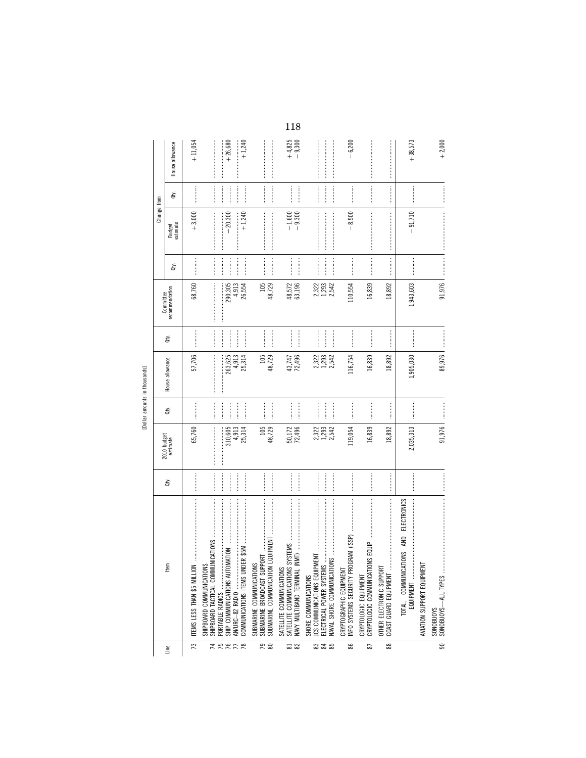|                                      |                                                                                                           |                                                                                                                                                                                                                                                                                                                                                                                                                                           |                         |                                                                                                                                                                                                                                |                             |                             |                         |                                                                                                                                                                                                                                                                                                                                                                                                                            | Change from          |                                                                                                                                                                                                                                                                                                                                                                                                                                                                                                                                                    |                      |
|--------------------------------------|-----------------------------------------------------------------------------------------------------------|-------------------------------------------------------------------------------------------------------------------------------------------------------------------------------------------------------------------------------------------------------------------------------------------------------------------------------------------------------------------------------------------------------------------------------------------|-------------------------|--------------------------------------------------------------------------------------------------------------------------------------------------------------------------------------------------------------------------------|-----------------------------|-----------------------------|-------------------------|----------------------------------------------------------------------------------------------------------------------------------------------------------------------------------------------------------------------------------------------------------------------------------------------------------------------------------------------------------------------------------------------------------------------------|----------------------|----------------------------------------------------------------------------------------------------------------------------------------------------------------------------------------------------------------------------------------------------------------------------------------------------------------------------------------------------------------------------------------------------------------------------------------------------------------------------------------------------------------------------------------------------|----------------------|
|                                      |                                                                                                           |                                                                                                                                                                                                                                                                                                                                                                                                                                           |                         |                                                                                                                                                                                                                                |                             |                             | Committee               |                                                                                                                                                                                                                                                                                                                                                                                                                            |                      |                                                                                                                                                                                                                                                                                                                                                                                                                                                                                                                                                    |                      |
| Line                                 | ltem                                                                                                      | ਛੇ                                                                                                                                                                                                                                                                                                                                                                                                                                        | 2010 budget<br>estimate | à                                                                                                                                                                                                                              | House allowance             | È                           | recommendation          | Qty.                                                                                                                                                                                                                                                                                                                                                                                                                       | Budget<br>estimate   | đý.                                                                                                                                                                                                                                                                                                                                                                                                                                                                                                                                                | House allowance      |
| 73                                   | ITEMS LESS THAN \$5 MILLION                                                                               |                                                                                                                                                                                                                                                                                                                                                                                                                                           | 65,760                  | <br> <br> <br>                                                                                                                                                                                                                 | 57,706                      |                             | 68,760                  |                                                                                                                                                                                                                                                                                                                                                                                                                            | $+3,000$             |                                                                                                                                                                                                                                                                                                                                                                                                                                                                                                                                                    | $+11,054$            |
|                                      | SHIPBOARD COMMUNICATIONS                                                                                  |                                                                                                                                                                                                                                                                                                                                                                                                                                           |                         |                                                                                                                                                                                                                                |                             |                             |                         |                                                                                                                                                                                                                                                                                                                                                                                                                            |                      |                                                                                                                                                                                                                                                                                                                                                                                                                                                                                                                                                    |                      |
|                                      | PORTABLE RADIOS                                                                                           | $\begin{minipage}{0.5\textwidth} \centering \begin{tabular}{ l l l } \hline \multicolumn{1}{ l l l } \hline \multicolumn{1}{ l l } \multicolumn{1}{ l l } \multicolumn{1}{ l l } \multicolumn{1}{ l l } \multicolumn{1}{ l l } \multicolumn{1}{ l l } \multicolumn{1}{ l l } \multicolumn{1}{ l l } \multicolumn{1}{ l l } \multicolumn{1}{ l l } \multicolumn{1}{ l l } \multicolumn{1}{ l l } \multicolumn{1}{ l l $<br> <br> <br> <br> | 310,605<br>l            | ┋                                                                                                                                                                                                                              | 263,625<br>:<br>:<br>:<br>: | İ                           | 290,305                 | $\frac{1}{2}$<br> <br> <br>                                                                                                                                                                                                                                                                                                                                                                                                | $-20,300$            |                                                                                                                                                                                                                                                                                                                                                                                                                                                                                                                                                    | $+26,680$            |
| <b>ARRFR</b>                         | COMMUNICATIONS ITEMS UND<br>AN/URC-82 RADIO                                                               |                                                                                                                                                                                                                                                                                                                                                                                                                                           | 4,913<br>25,314         | $\frac{1}{2}$<br> <br> <br> <br>                                                                                                                                                                                               | 4,913<br>25,314             | $\frac{1}{2}$<br> <br> <br> | 4,913<br>26,554         | $\frac{1}{2}$                                                                                                                                                                                                                                                                                                                                                                                                              | $+1,240$             |                                                                                                                                                                                                                                                                                                                                                                                                                                                                                                                                                    | $+1,240$             |
| <b>PS</b>                            | EQUIPMENT<br>SUBMARINE BROADCAST SUPPORT<br>SUBMARINE COMMUNICATIONS<br>SUBMARINE COMMUNICATION           |                                                                                                                                                                                                                                                                                                                                                                                                                                           | 105<br>48,729           |                                                                                                                                                                                                                                | 105<br>48,729               |                             | 105<br>48,729           |                                                                                                                                                                                                                                                                                                                                                                                                                            |                      | $\frac{1}{2}$                                                                                                                                                                                                                                                                                                                                                                                                                                                                                                                                      |                      |
| $\overline{\textrm{ss}}$ $\boxtimes$ | SYSTEMS<br>SATELLITE COMMUNICATIONS<br>SATELLITE COMMUNICATIONS<br>NAVY MULTIBAND TERMINAL                | <b></b>                                                                                                                                                                                                                                                                                                                                                                                                                                   | 50,172<br>72,496        |                                                                                                                                                                                                                                | 72,496<br>43,747            | $\frac{1}{2}$               | 48,572<br>63,196        |                                                                                                                                                                                                                                                                                                                                                                                                                            | $-1,600$<br>$-9,300$ |                                                                                                                                                                                                                                                                                                                                                                                                                                                                                                                                                    | $+4,825$<br>$-9,300$ |
| <b>335</b>                           | JCS COMMUNICATIONS EQUIPM<br>NAVAL SHORE COMMUNICATIO<br>ELECTRICAL POWER SYSTEMS<br>SHORE COMMUNICATIONS |                                                                                                                                                                                                                                                                                                                                                                                                                                           | 2,322<br>1,293<br>2,542 |                                                                                                                                                                                                                                | 2,322<br>1,293<br>2,542     |                             | 2,322<br>1,293<br>2,542 |                                                                                                                                                                                                                                                                                                                                                                                                                            |                      | $\begin{minipage}{0.5\textwidth} \centering \begin{minipage}{0.5\textwidth} \centering \end{minipage} \begin{minipage}{0.5\textwidth} \centering \begin{minipage}{0.5\textwidth} \centering \end{minipage} \end{minipage} \begin{minipage}{0.5\textwidth} \centering \begin{minipage}{0.5\textwidth} \centering \end{minipage} \end{minipage} \begin{minipage}{0.5\textwidth} \centering \end{minipage} \begin{minipage}{0.5\textwidth} \centering \end{minipage} \begin{minipage}{0.5\textwidth} \centering \end{minipage} \begin{minipage}{0.5\$ |                      |
| 86                                   | GRAM (ISSP)<br>INFO SYSTEMS SECURITY PRO<br>CRYPTOGRAPHIC EQUIPMENT                                       |                                                                                                                                                                                                                                                                                                                                                                                                                                           | 119,054                 |                                                                                                                                                                                                                                | 116,754                     |                             | 110,554                 |                                                                                                                                                                                                                                                                                                                                                                                                                            | $-8,500$             |                                                                                                                                                                                                                                                                                                                                                                                                                                                                                                                                                    | $-6,200$             |
| 29                                   | NS EQUIP<br>CRYPTOLOGIC COMMUNICATION<br>CRYPTOLOGIC EQUIPMENT                                            |                                                                                                                                                                                                                                                                                                                                                                                                                                           | 16,839                  |                                                                                                                                                                                                                                | 16,839                      |                             | 16,839                  |                                                                                                                                                                                                                                                                                                                                                                                                                            |                      | <b><i><u><u></u></u></i></b>                                                                                                                                                                                                                                                                                                                                                                                                                                                                                                                       |                      |
| $88$                                 | OTHER ELECTRONIC SUPPORT<br>COAST GUARD EQUIPMENT                                                         |                                                                                                                                                                                                                                                                                                                                                                                                                                           | 18,892                  |                                                                                                                                                                                                                                | 18,892                      |                             | 18,892                  | $\begin{minipage}{0.9\linewidth} \begin{tabular}{l} \hline \textbf{1} & \textbf{2} & \textbf{3} & \textbf{4} & \textbf{5} & \textbf{6} & \textbf{6} & \textbf{7} & \textbf{8} & \textbf{9} & \textbf{10} & \textbf{10} & \textbf{10} & \textbf{10} & \textbf{10} & \textbf{10} & \textbf{10} & \textbf{10} & \textbf{10} & \textbf{10} & \textbf{10} & \textbf{10} & \textbf{10} & \textbf{10} & \textbf{10} & \textbf{10$ |                      |                                                                                                                                                                                                                                                                                                                                                                                                                                                                                                                                                    |                      |
|                                      | <b>ELECTRONICS</b><br><b>IONS AND</b><br>TOTAL, COMMUNICAT<br>EQUIPMENT                                   |                                                                                                                                                                                                                                                                                                                                                                                                                                           | 2,035,313               |                                                                                                                                                                                                                                | 1,905,030                   |                             | 1,943,603               |                                                                                                                                                                                                                                                                                                                                                                                                                            | $-91,710$            |                                                                                                                                                                                                                                                                                                                                                                                                                                                                                                                                                    | $+38,573$            |
|                                      | AVIATION SUPPORT EQUIPMENT                                                                                |                                                                                                                                                                                                                                                                                                                                                                                                                                           |                         |                                                                                                                                                                                                                                |                             |                             |                         |                                                                                                                                                                                                                                                                                                                                                                                                                            |                      |                                                                                                                                                                                                                                                                                                                                                                                                                                                                                                                                                    |                      |
| $\frac{1}{90}$                       | <b>SONOBUOYS</b>                                                                                          |                                                                                                                                                                                                                                                                                                                                                                                                                                           | 91,976                  | $[0.15, 0.01, 0.01, 0.01, 0.01, 0.01, 0.01, 0.01, 0.01, 0.01, 0.01, 0.01, 0.01, 0.01, 0.01, 0.01, 0.01, 0.01, 0.01, 0.01, 0.01, 0.01, 0.01, 0.01, 0.01, 0.01, 0.01, 0.01, 0.01, 0.01, 0.01, 0.01, 0.01, 0.01, 0.01, 0.01, 0.0$ | 89,976                      |                             | 91,976                  |                                                                                                                                                                                                                                                                                                                                                                                                                            |                      |                                                                                                                                                                                                                                                                                                                                                                                                                                                                                                                                                    | $+2,000$             |

[Dollar amounts in thousands] [Dollar amounts in thousands]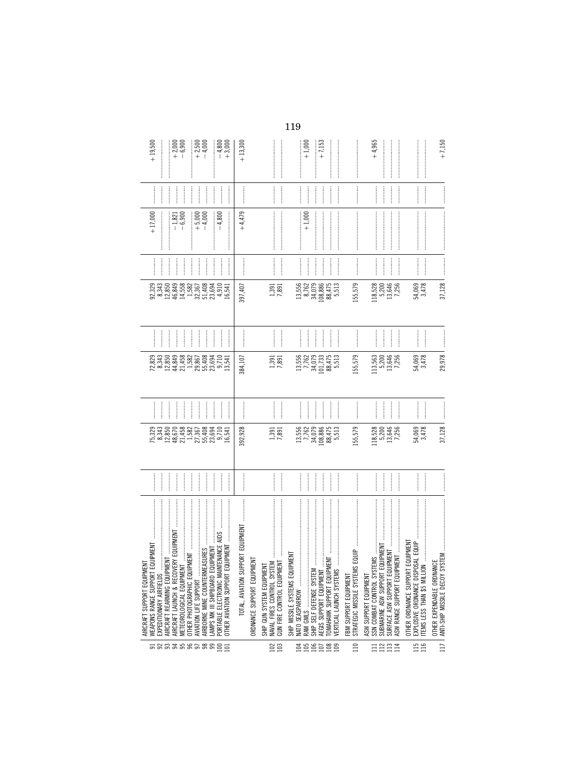| $+19,500$                                                     |                         | $+2,000$<br>$-6,900$                                                                                                                                                                                                                                                                                                                                                                                                                                                                                           |                          | $+2,500$<br>$+ 2,500$                                              |                               | $-4,800$<br>+3,000                                                                   | $+13,300$                         |                            |                                                                 |                                                       | $+7,153$<br>$+1,000$                                            |                                                          |                                                                         | $+4,965$              |                                                                      |               |                                                                                                                                                                                                                                                                                                                                                                                                                                                                                                                                                                                                                                                                                | $+7.150$                                                                                                                                                                                                                                                                                                                                                                                                                                                                                            |
|---------------------------------------------------------------|-------------------------|----------------------------------------------------------------------------------------------------------------------------------------------------------------------------------------------------------------------------------------------------------------------------------------------------------------------------------------------------------------------------------------------------------------------------------------------------------------------------------------------------------------|--------------------------|--------------------------------------------------------------------|-------------------------------|--------------------------------------------------------------------------------------|-----------------------------------|----------------------------|-----------------------------------------------------------------|-------------------------------------------------------|-----------------------------------------------------------------|----------------------------------------------------------|-------------------------------------------------------------------------|-----------------------|----------------------------------------------------------------------|---------------|--------------------------------------------------------------------------------------------------------------------------------------------------------------------------------------------------------------------------------------------------------------------------------------------------------------------------------------------------------------------------------------------------------------------------------------------------------------------------------------------------------------------------------------------------------------------------------------------------------------------------------------------------------------------------------|-----------------------------------------------------------------------------------------------------------------------------------------------------------------------------------------------------------------------------------------------------------------------------------------------------------------------------------------------------------------------------------------------------------------------------------------------------------------------------------------------------|
|                                                               |                         |                                                                                                                                                                                                                                                                                                                                                                                                                                                                                                                | <br> <br> <br>           |                                                                    |                               | $\frac{1}{2}$                                                                        |                                   |                            |                                                                 |                                                       |                                                                 |                                                          |                                                                         |                       |                                                                      |               | $\begin{bmatrix} 1 & 0 & 0 & 0 \\ 0 & 0 & 0 & 0 \\ 0 & 0 & 0 & 0 \\ 0 & 0 & 0 & 0 \\ 0 & 0 & 0 & 0 \\ 0 & 0 & 0 & 0 \\ 0 & 0 & 0 & 0 \\ 0 & 0 & 0 & 0 & 0 \\ 0 & 0 & 0 & 0 & 0 \\ 0 & 0 & 0 & 0 & 0 \\ 0 & 0 & 0 & 0 & 0 \\ 0 & 0 & 0 & 0 & 0 & 0 \\ 0 & 0 & 0 & 0 & 0 & 0 \\ 0 & 0 & 0 & 0 & 0 & 0 \\ 0 & 0 & 0 & 0 & 0 & $                                                                                                                                                                                                                                                                                                                                                   |                                                                                                                                                                                                                                                                                                                                                                                                                                                                                                     |
| $+17,000$                                                     |                         |                                                                                                                                                                                                                                                                                                                                                                                                                                                                                                                | $-1,821$<br>$-6,900$     | $+5,000$                                                           | $-4,000$                      | $-4,800$<br> <br> <br>                                                               | $+4,479$                          |                            |                                                                 |                                                       | $+1,000$                                                        |                                                          |                                                                         |                       |                                                                      |               | $\begin{minipage}{0.9\linewidth} \begin{tabular}{l} \hline \textbf{0.9\linewidth} \end{tabular} \end{minipage} \begin{tabular}{l} \hline \textbf{1.9\linewidth} \end{tabular} \end{minipage} \begin{tabular}{l} \hline \textbf{2.9\linewidth} \end{tabular} \end{minipage} \begin{tabular}{l} \hline \textbf{3.9\linewidth} \end{tabular} \end{minipage} \begin{tabular}{l} \hline \textbf{4.9\linewidth} \end{tabular} \end{minipage} \begin{tabular}{l} \hline \textbf{5.9\linewidth} \end{tabular} \end{minipage} \begin{$                                                                                                                                                  | $\label{def:1} \begin{split} \mathcal{L}_{\text{in}}(\mathcal{L}_{\text{in}}(\mathcal{L}_{\text{in}}(\mathcal{L}_{\text{in}}(\mathcal{L}_{\text{in}}(\mathcal{L}_{\text{in}}(\mathcal{L}_{\text{in}}(\mathcal{L}_{\text{in}}(\mathcal{L}_{\text{in}}(\mathcal{L}_{\text{in}}(\mathcal{L}_{\text{in}}(\mathcal{L}_{\text{in}}(\mathcal{L}_{\text{in}}(\mathcal{L}_{\text{in}}(\mathcal{L}_{\text{in}}(\mathcal{L}_{\text{in}}(\mathcal{L}_{\text{in}}(\mathcal{L}_{\text{in}}(\mathcal{L}_{\text{in$ |
|                                                               |                         |                                                                                                                                                                                                                                                                                                                                                                                                                                                                                                                |                          | <br> <br>                                                          |                               | $\frac{1}{2}$<br>$\frac{1}{2}$                                                       |                                   |                            |                                                                 | <br> <br> <br>                                        |                                                                 |                                                          |                                                                         |                       |                                                                      | $\frac{1}{2}$ | $\begin{minipage}{0.9\linewidth} \centering \begin{minipage}{0.9\linewidth} \centering \end{minipage} \begin{minipage}{0.9\linewidth} \centering \begin{minipage}{0.9\linewidth} \centering \end{minipage} \end{minipage} \begin{minipage}{0.9\linewidth} \centering \begin{minipage}{0.9\linewidth} \centering \end{minipage} \end{minipage} \begin{minipage}{0.9\linewidth} \centering \end{minipage} \begin{minipage}{0.9\linewidth} \centering \end{minipage} \begin{minipage}{0.9\linewidth} \centering \end{minipage} \begin{minipage}{0.9\linewidth} \centering \end{min$                                                                                               |                                                                                                                                                                                                                                                                                                                                                                                                                                                                                                     |
| 92,329<br>8,343                                               |                         | 12,850<br>46,849                                                                                                                                                                                                                                                                                                                                                                                                                                                                                               | 14,558                   | $\frac{1,582}{32,367}$                                             | 51,408<br>23,694              | $4,910$<br>16,541                                                                    | 397,407                           |                            | $1,391$<br>$7,891$                                              | 13,556                                                | 34,079<br>108,886<br>8,762                                      | 88,475<br>5,513                                          | 155,579                                                                 | 118,528               | 5,200<br>13,646                                                      | 7,256         | 54,069<br>3,478                                                                                                                                                                                                                                                                                                                                                                                                                                                                                                                                                                                                                                                                | 37,128                                                                                                                                                                                                                                                                                                                                                                                                                                                                                              |
| <br> <br>                                                     |                         |                                                                                                                                                                                                                                                                                                                                                                                                                                                                                                                | l                        | $\frac{1}{2}$                                                      |                               | $\frac{1}{2}$                                                                        |                                   |                            | <br> <br>                                                       |                                                       |                                                                 |                                                          |                                                                         |                       |                                                                      |               | <br> <br>                                                                                                                                                                                                                                                                                                                                                                                                                                                                                                                                                                                                                                                                      |                                                                                                                                                                                                                                                                                                                                                                                                                                                                                                     |
| 72,829                                                        | 8,343<br>12,850         |                                                                                                                                                                                                                                                                                                                                                                                                                                                                                                                |                          | $\begin{array}{c} 44,849 \\ 21,458 \\ 1,582 \\ 29,867 \end{array}$ | 55,408<br>23,694              | 9,710<br>13,541                                                                      | 384,107                           |                            | 1,391<br>7,891                                                  | 13,556                                                | 7,762<br>34,079<br>101,733                                      | 88,475<br>5,513                                          | 155,579                                                                 | 113,563               | 13,646<br>7,256<br>5,200                                             |               | 54,069<br>3,478                                                                                                                                                                                                                                                                                                                                                                                                                                                                                                                                                                                                                                                                | 29,978                                                                                                                                                                                                                                                                                                                                                                                                                                                                                              |
|                                                               |                         |                                                                                                                                                                                                                                                                                                                                                                                                                                                                                                                | <br> <br>                |                                                                    |                               |                                                                                      |                                   |                            | <br> <br>                                                       |                                                       |                                                                 |                                                          |                                                                         |                       |                                                                      |               |                                                                                                                                                                                                                                                                                                                                                                                                                                                                                                                                                                                                                                                                                |                                                                                                                                                                                                                                                                                                                                                                                                                                                                                                     |
|                                                               |                         |                                                                                                                                                                                                                                                                                                                                                                                                                                                                                                                |                          |                                                                    |                               |                                                                                      | 392,928                           |                            | 1,391<br>7,891                                                  |                                                       | 13,556<br>7,762<br>34,079<br>108,886                            | 88,475<br>5,513                                          | 155,579                                                                 | 118,528               | 5,200<br>13,646<br>7,256                                             |               | 54,069<br>3,478                                                                                                                                                                                                                                                                                                                                                                                                                                                                                                                                                                                                                                                                | 37,128                                                                                                                                                                                                                                                                                                                                                                                                                                                                                              |
|                                                               |                         |                                                                                                                                                                                                                                                                                                                                                                                                                                                                                                                |                          |                                                                    |                               | $\frac{1}{2}$                                                                        |                                   |                            | <br> <br> <br>                                                  |                                                       |                                                                 |                                                          |                                                                         |                       |                                                                      | $\frac{1}{2}$ |                                                                                                                                                                                                                                                                                                                                                                                                                                                                                                                                                                                                                                                                                |                                                                                                                                                                                                                                                                                                                                                                                                                                                                                                     |
| WEAPONS RANGE SUPPORT EQUIPMENT<br>AIRCRAFT SUPPORT EQUIPMENT | EXPEDITIONARY AIRFIELDS | $\begin{minipage}{0.9\linewidth} \begin{tabular}{l} \hline \textbf{1} & \textbf{2} & \textbf{3} & \textbf{4} & \textbf{5} & \textbf{6} & \textbf{6} & \textbf{6} & \textbf{6} & \textbf{6} & \textbf{6} & \textbf{6} & \textbf{6} & \textbf{6} & \textbf{6} & \textbf{6} & \textbf{6} & \textbf{6} & \textbf{6} & \textbf{6} & \textbf{6} & \textbf{6} & \textbf{6} & \textbf{6} & \textbf{6} & \textbf{6} & \textbf{6} & \textbf{6} &$<br>AIRCRAFT REARMING EQUIPMENT<br>AIRCRAFT LAUNCH & RECOVERY EQUIPMENT | METEOROLOGICAL EQUIPMENT | AVIATION LIFE SUPPORT                                              | AIRBORNE MINE COUNTERMEASURES | OTHER AVIATION SUPPORT EQUIPMENT<br>LAMPS MK III SHIPBOARD EQUIPMENT<br>588388588855 | TOTAL, AVIATION SUPPORT EQUIPMENT | ORDNANCE SUPPORT EQUIPMENT | SHIP GUN SYSTEM EQUIPMENT<br>NAVAL FIRES CONTROL SYSTEM<br>ន្តន | PMENT<br>NATO SEASPARROW<br>SHIP MISSILE SYSTEMS EQUI | RAM GMLS<br>SHIP SELF DEFENSE SYSTEM<br>AEGIS SUPPORT EQUIPMENT | ENT<br>OMAHAWK SUPPORT EQUIPM<br>VERTICAL LAUNCH SYSTEMS | EQUIP<br>STRATEGIC MISSILE SYSTEMS<br>FBM SUPPORT EQUIPMENT<br>$\equiv$ | ASW SUPPORT EQUIPMENT | IPMENT<br>SUBMARINE ASW SUPPORT EQUIPMENT<br>SURFACE ASW SUPPORT EQU |               | $\label{def:1} \begin{minipage}{0.9\linewidth} \begin{minipage}{0.9\linewidth} \begin{minipage}{0.9\linewidth} \begin{minipage}{0.9\linewidth} \end{minipage} \begin{minipage}{0.9\linewidth} \begin{minipage}{0.9\linewidth} \end{minipage} \end{minipage} \begin{minipage}{0.9\linewidth} \begin{minipage}{0.9\linewidth} \begin{minipage}{0.9\linewidth} \end{minipage} \end{minipage} \end{minipage} \begin{minipage}{0.9\linewidth} \begin{minipage}{0.9\linewidth} \begin{minipage}{0.9\linewidth} \end{minipage} \end{minipage} \$<br>EQUIPMENT<br>EXPLOSIVE ORDNANCE DISPOSAL EQUIP<br><b>ITEMS LESS THAN \$5 MILLION</b><br>OTHER ORDNANCE SUPPORT<br><b>15</b><br>16 | ANTI-SHIP MISSILE DECOY SYSTEM<br>OTHER EXPENDABLE ORDNANCE<br>$\overline{1}$                                                                                                                                                                                                                                                                                                                                                                                                                       |
|                                                               |                         |                                                                                                                                                                                                                                                                                                                                                                                                                                                                                                                |                          |                                                                    |                               |                                                                                      |                                   |                            |                                                                 |                                                       | 358588                                                          |                                                          |                                                                         |                       | <b>! ! ! ! !!</b>                                                    |               |                                                                                                                                                                                                                                                                                                                                                                                                                                                                                                                                                                                                                                                                                |                                                                                                                                                                                                                                                                                                                                                                                                                                                                                                     |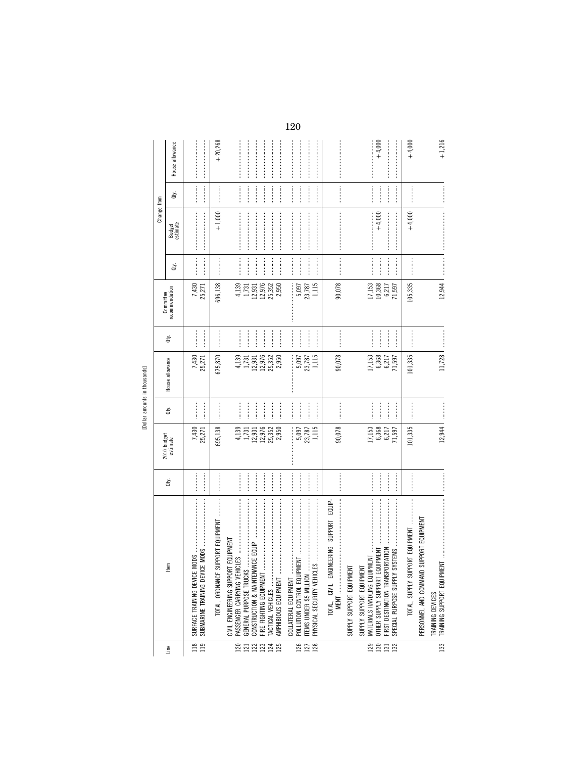| ⊆<br>  |  |
|--------|--|
| ŧ      |  |
| Ğ      |  |
|        |  |
| ¢<br>r |  |

|                   |                                                                                                                                                                                                                                                                                                                                                                                                                                                                                                                                                                                                                                                                 |                                         |                                                       |                                                 |                                                       |                                                                         | Committee                                                          |                                                                                                                                                                                                                                                                                                                                                                                                                            | Change from        |               |                 |
|-------------------|-----------------------------------------------------------------------------------------------------------------------------------------------------------------------------------------------------------------------------------------------------------------------------------------------------------------------------------------------------------------------------------------------------------------------------------------------------------------------------------------------------------------------------------------------------------------------------------------------------------------------------------------------------------------|-----------------------------------------|-------------------------------------------------------|-------------------------------------------------|-------------------------------------------------------|-------------------------------------------------------------------------|--------------------------------------------------------------------|----------------------------------------------------------------------------------------------------------------------------------------------------------------------------------------------------------------------------------------------------------------------------------------------------------------------------------------------------------------------------------------------------------------------------|--------------------|---------------|-----------------|
| Line              | Em                                                                                                                                                                                                                                                                                                                                                                                                                                                                                                                                                                                                                                                              | ġ                                       | 2010 budget<br>estimate                               | Qty.                                            | House allowance                                       | à.                                                                      | recommendation                                                     | ਛੋ                                                                                                                                                                                                                                                                                                                                                                                                                         | Budget<br>estimate | È             | House allowance |
| $\frac{18}{119}$  | SURFACE TRAINING DEVICE<br>SUBMARINE TRAINING DEVI                                                                                                                                                                                                                                                                                                                                                                                                                                                                                                                                                                                                              |                                         | $7,430$<br>25,271                                     |                                                 | 7,430<br>25,271                                       |                                                                         | $7,430$<br>25,271                                                  |                                                                                                                                                                                                                                                                                                                                                                                                                            |                    | $\frac{1}{2}$ |                 |
|                   | SUPPORT EQUIPMENT<br>TOTAL, ORDNANCE                                                                                                                                                                                                                                                                                                                                                                                                                                                                                                                                                                                                                            |                                         | 695,138                                               |                                                 | 675,870                                               |                                                                         | 696,138                                                            |                                                                                                                                                                                                                                                                                                                                                                                                                            | $+1,000$           |               | $+20,268$       |
| 232232            | CIVIL ENGINEERING SUPPORT EQUIPMENT<br>GENERAL PURPOSE TRUCKS<br>FIRE FIGHTING EQUIPMENT<br>TACTICAL VEHICLES<br>AMPHIBIOUS EQUIPMENT                                                                                                                                                                                                                                                                                                                                                                                                                                                                                                                           |                                         | 4,139<br>1,731<br>12,976<br>25,352<br>2,950<br>12,931 | $\frac{1}{2}$<br>$\frac{1}{2}$<br>$\frac{1}{2}$ | 12,976<br>25,352<br>2,950<br>4,139<br>1,731<br>12,931 | $\frac{1}{2}$<br>$\ddot{\phantom{a}}$<br>$\frac{1}{2}$<br>$\frac{1}{2}$ | 4,139<br>1,731<br>12,931<br>12,976<br>25,352<br>2,950              | $\frac{1}{2}$<br>$\frac{1}{2}$<br>$\frac{1}{2}$<br> <br> <br> <br> <br> <br> <br> <br> <br>                                                                                                                                                                                                                                                                                                                                |                    |               |                 |
| 126<br>127<br>128 | $\label{def:1} \begin{minipage}{0.9\linewidth} \begin{minipage}{0.9\linewidth} \begin{minipage}{0.9\linewidth} \begin{minipage}{0.9\linewidth} \end{minipage} \begin{minipage}{0.9\linewidth} \begin{minipage}{0.9\linewidth} \end{minipage} \begin{minipage}{0.9\linewidth} \begin{minipage}{0.9\linewidth} \end{minipage} \begin{minipage}{0.9\linewidth} \end{minipage} \begin{minipage}{0.9\linewidth} \begin{minipage}{0.9\linewidth} \end{minipage} \begin{minipage}{0.9\linewidth} \end{minipage} \begin{minipage}{0.9\linewidth} \end$<br>POLLUTION CONTROL EQUIPM<br>COLLATERAL EQUIPMENT<br>PHYSICAL SECURITY VEHIC<br><b>ITEMS UNDER \$5 MILLION</b> | <br> <br> <br> <br> <br> <br> <br> <br> | 5,097<br>23,787<br>1,115                              | <br> <br>                                       | 1,115<br>$\vdots$<br>5,097<br>23,787                  | <br> <br>                                                               | $\frac{5,097}{23,787}$                                             | <br> <br>                                                                                                                                                                                                                                                                                                                                                                                                                  |                    | <br> <br>     |                 |
|                   | EQUIP-<br>SUPPORT<br>TOTAL, CIVIL ENGINEERING<br>SUPPLY SUPPORT EQUIPMENT                                                                                                                                                                                                                                                                                                                                                                                                                                                                                                                                                                                       |                                         | 90,078                                                |                                                 | 90,078                                                |                                                                         | 90,078                                                             | $\begin{minipage}{0.9\linewidth} \begin{tabular}{l} \hline \textbf{1} & \textbf{2} & \textbf{3} & \textbf{4} & \textbf{5} & \textbf{6} & \textbf{6} & \textbf{7} & \textbf{8} & \textbf{8} & \textbf{9} & \textbf{10} & \textbf{10} & \textbf{10} & \textbf{10} & \textbf{10} & \textbf{10} & \textbf{10} & \textbf{10} & \textbf{10} & \textbf{10} & \textbf{10} & \textbf{10} & \textbf{10} & \textbf{10} & \textbf{10}$ |                    |               |                 |
| <b>23552</b>      | ORTATION<br>OTHER SUPPLY SUPPORT EQUIPMENT<br>₹<br>FIRST DESTINATION TRANSP<br>SUPPLY SUPPORT EQUIPMET<br>MATERIALS HANDLING EQUI<br>SPECIAL PURPOSE SUPPLY                                                                                                                                                                                                                                                                                                                                                                                                                                                                                                     |                                         | 17,153<br>6,368<br>6,217<br>71,597                    |                                                 | $17,153$<br>$6,368$<br>$6,217$<br>$71,597$            | <br> <br>                                                               | $\begin{array}{c} 17,153 \\ 10,368 \\ 6,217 \\ 71,597 \end{array}$ | <br> <br> <br>                                                                                                                                                                                                                                                                                                                                                                                                             | $+4,000$           |               | $+4,000$        |
|                   |                                                                                                                                                                                                                                                                                                                                                                                                                                                                                                                                                                                                                                                                 | $\cdots$                                | 101,335                                               |                                                 | 101,335                                               |                                                                         | 105,335                                                            | <br> <br> <br>                                                                                                                                                                                                                                                                                                                                                                                                             | $+4,000$           |               | $+4,000$        |
|                   | SUPPORT EQUIPMENT<br>PERSONNEL AND COMMAND<br>133   TRAINING SUPPORT EQUIPM<br>TRAINING DEVICES                                                                                                                                                                                                                                                                                                                                                                                                                                                                                                                                                                 |                                         | 12,944                                                |                                                 | 11,728                                                |                                                                         | 12,944                                                             |                                                                                                                                                                                                                                                                                                                                                                                                                            |                    |               | $+1,216$        |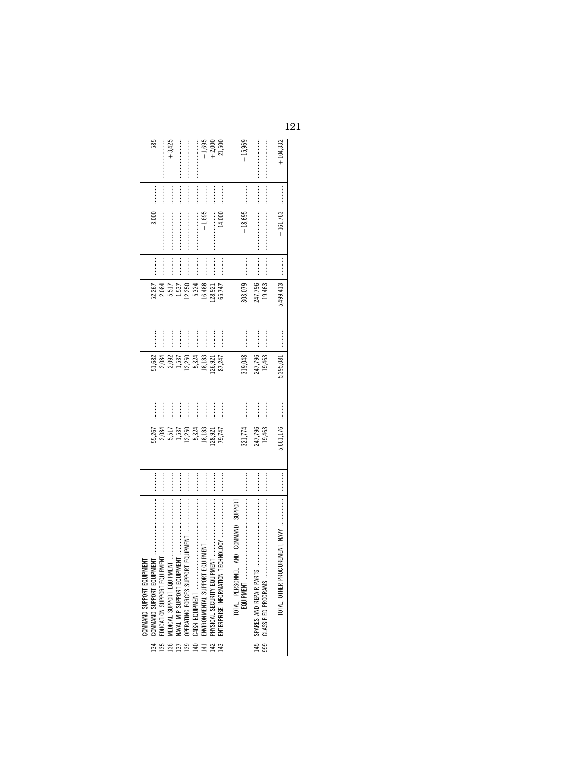| $+585$                       |                  |                  | $+3,425$                                                                                                                                                                                                                                                                                                                                                                                                                                                                                                                                 |                                            |                                             |                                                                                                                                                                                                                                                                                                                                                                                                                                                                                                     |                                                                                            | $-1,695$<br>$+ 2,000$<br>$- 21,500$ |                     | $-15,969$ |                     |                         |                  | $+104,332$         |
|------------------------------|------------------|------------------|------------------------------------------------------------------------------------------------------------------------------------------------------------------------------------------------------------------------------------------------------------------------------------------------------------------------------------------------------------------------------------------------------------------------------------------------------------------------------------------------------------------------------------------|--------------------------------------------|---------------------------------------------|-----------------------------------------------------------------------------------------------------------------------------------------------------------------------------------------------------------------------------------------------------------------------------------------------------------------------------------------------------------------------------------------------------------------------------------------------------------------------------------------------------|--------------------------------------------------------------------------------------------|-------------------------------------|---------------------|-----------|---------------------|-------------------------|------------------|--------------------|
|                              |                  |                  | <br> <br> <br>                                                                                                                                                                                                                                                                                                                                                                                                                                                                                                                           |                                            | :<br>:<br>:<br>:<br>:                       |                                                                                                                                                                                                                                                                                                                                                                                                                                                                                                     |                                                                                            |                                     | <br> <br> <br>      |           |                     |                         |                  |                    |
|                              | $-3,000$         |                  |                                                                                                                                                                                                                                                                                                                                                                                                                                                                                                                                          |                                            |                                             | $\label{def:1} \begin{split} \mathcal{L}_{\mathcal{M}}(\mathcal{L}_{\mathcal{M}}(\mathcal{L}_{\mathcal{M}}(\mathcal{L}_{\mathcal{M}}(\mathcal{L}_{\mathcal{M}}(\mathcal{L}_{\mathcal{M}}(\mathcal{L}_{\mathcal{M}}(\mathcal{L}_{\mathcal{M}}(\mathcal{L}_{\mathcal{M}}(\mathcal{L}_{\mathcal{M}}(\mathcal{L}_{\mathcal{M}}(\mathcal{L}_{\mathcal{M}}(\mathcal{L}_{\mathcal{M}}(\mathcal{L}_{\mathcal{M}}(\mathcal{L}_{\mathcal{M}}(\mathcal{L}_{\mathcal{M}}(\mathcal{L}_{\mathcal{M}}(\mathcal{$   | $-1,695$                                                                                   |                                     | $-14,000$           | $-18,695$ |                     |                         |                  | $-161,763$         |
|                              |                  |                  | $\label{eq:1} \begin{minipage}{0.9\linewidth} \begin{minipage}{0.9\linewidth} \begin{minipage}{0.9\linewidth} \begin{minipage}{0.9\linewidth} \end{minipage} \begin{minipage}{0.9\linewidth} \begin{minipage}{0.9\linewidth} \end{minipage} \end{minipage} \end{minipage} \begin{minipage}{0.9\linewidth} \begin{minipage}{0.9\linewidth} \begin{minipage}{0.9\linewidth} \end{minipage} \end{minipage} \end{minipage} \begin{minipage}{0.9\linewidth} \begin{minipage}{0.9\linewidth} \begin{minipage}{0.9\linewidth} \end{minipage} \$ | :<br>:<br>:<br>:                           |                                             |                                                                                                                                                                                                                                                                                                                                                                                                                                                                                                     |                                                                                            | :<br>:<br>:<br>:                    | <br> <br> <br>      |           |                     |                         |                  |                    |
|                              | 52,267           |                  | 2,084<br>5,517                                                                                                                                                                                                                                                                                                                                                                                                                                                                                                                           | 1,537                                      | 12,250                                      | 5,324                                                                                                                                                                                                                                                                                                                                                                                                                                                                                               | 16,488                                                                                     | 128,921                             | 65,747              | 303,079   |                     | 247,796                 | 19,463           | 5,499,413          |
|                              |                  | :<br>:<br>:<br>: |                                                                                                                                                                                                                                                                                                                                                                                                                                                                                                                                          |                                            | :<br>:<br>:                                 |                                                                                                                                                                                                                                                                                                                                                                                                                                                                                                     |                                                                                            |                                     | <br> <br> <br>      |           | <br> <br> <br> <br> |                         | :<br>:<br>:<br>: |                    |
|                              | 51,682           | 2,084            | 2,092                                                                                                                                                                                                                                                                                                                                                                                                                                                                                                                                    | 1,537                                      | 12,250                                      | 5,324                                                                                                                                                                                                                                                                                                                                                                                                                                                                                               | 18,183                                                                                     | 26,921                              | 87,247              | 319,048   |                     | 247,796                 | 19,463           | 5,395,081          |
|                              |                  |                  | :<br>:<br>:<br>:                                                                                                                                                                                                                                                                                                                                                                                                                                                                                                                         | :<br>:<br>:                                | :<br>:<br>:<br>:                            | :<br>:<br>:<br>:                                                                                                                                                                                                                                                                                                                                                                                                                                                                                    |                                                                                            | :<br>:<br>:                         | :<br>:<br>:<br>:    |           | <br> <br> <br> <br> |                         | :<br>:<br>:<br>: | :<br>:<br>:        |
|                              |                  |                  |                                                                                                                                                                                                                                                                                                                                                                                                                                                                                                                                          | 55,267<br>2,084<br>5,537<br>5,324<br>5,324 |                                             |                                                                                                                                                                                                                                                                                                                                                                                                                                                                                                     | 18,183                                                                                     | .28,921                             | 79,747              | 321,774   |                     | 247,796                 | 19,463           | 5,661,176          |
|                              | :<br>:<br>:<br>: | :<br>:<br>:<br>: |                                                                                                                                                                                                                                                                                                                                                                                                                                                                                                                                          | :<br>:<br>:<br>:                           |                                             |                                                                                                                                                                                                                                                                                                                                                                                                                                                                                                     | <br> <br> <br> <br>                                                                        | :<br>:<br>:<br>:                    | <br> <br> <br> <br> |           | :<br>:<br>:<br>:    |                         | :<br>:<br>:<br>: | —<br>—<br>—<br>—   |
| 통<br>COMMAND SUPPORT EQUIPME |                  |                  |                                                                                                                                                                                                                                                                                                                                                                                                                                                                                                                                          |                                            | OPERATING FORCES SUPPORT                    | $\label{def:1} \begin{split} \mathcal{L}_{\text{in}}(\mathcal{L}_{\text{in}}(\mathcal{L}_{\text{in}}(\mathcal{L}_{\text{in}}(\mathcal{L}_{\text{in}}(\mathcal{L}_{\text{in}}(\mathcal{L}_{\text{in}}(\mathcal{L}_{\text{in}}(\mathcal{L}_{\text{in}}(\mathcal{L}_{\text{in}}(\mathcal{L}_{\text{in}}(\mathcal{L}_{\text{in}}(\mathcal{L}_{\text{in}}(\mathcal{L}_{\text{in}}(\mathcal{L}_{\text{in}}(\mathcal{L}_{\text{in}}(\mathcal{L}_{\text{in}}(\mathcal{L}_{\text{in}}(\mathcal{L}_{\text{in$ | 140   C4ISR EQUIPMENT<br>141   ENVIRONMENTAL SUPPORT EQ<br>142   PHYSICAL SECURITY EQUIPME |                                     |                     |           |                     | SPARES AND REPAIR PARTS |                  | TOTAL, OTHER PROCU |
|                              | $\frac{1}{34}$   |                  | $\begin{array}{c}\n\phantom{000}1.6 \\ \phantom{000}1.6 \\ \phantom{000}1.6 \\ \phantom{000}1.6 \\ \phantom{000}1.6 \\ \phantom{000}1.6 \\ \phantom{000}1.6 \\ \phantom{000}1.6 \\ \phantom{000}1.6 \\ \phantom{000}1.6 \\ \phantom{000}1.6 \\ \phantom{000}1.6 \\ \phantom{000}1.6 \\ \phantom{000}1.6 \\ \phantom{000}1.6 \\ \phantom{000}1.6 \\ \phantom{000}1.6 \\ \phantom{000}$                                                                                                                                                    |                                            | $\begin{array}{c c} \hline 139 \end{array}$ |                                                                                                                                                                                                                                                                                                                                                                                                                                                                                                     |                                                                                            |                                     | $\frac{1}{43}$      |           |                     | $145$ :                 |                  |                    |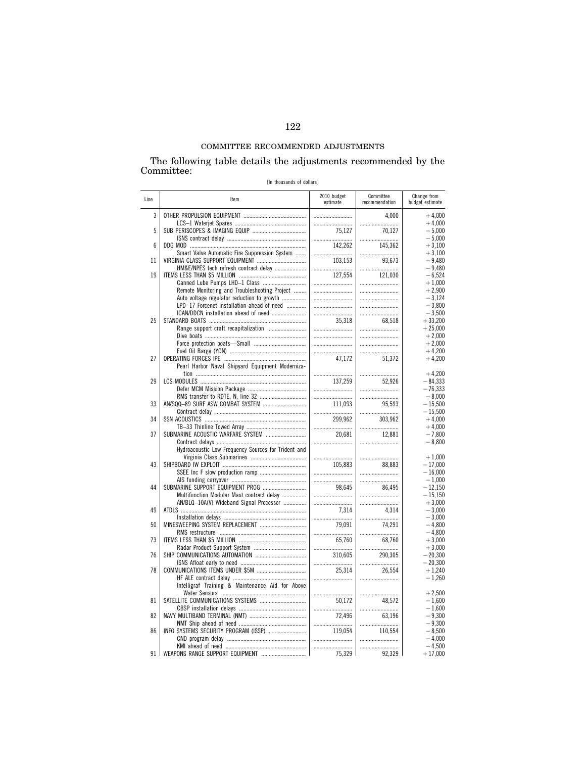The following table details the adjustments recommended by the Committee:

| [In thousands of dollars] |  |
|---------------------------|--|
|---------------------------|--|

| Line | Item                                                | 2010 budget<br>estimate | Committee<br>recommendation | Change from<br>budget estimate |
|------|-----------------------------------------------------|-------------------------|-----------------------------|--------------------------------|
| 3    |                                                     |                         | 4,000                       | $+4,000$                       |
| 5    |                                                     |                         |                             | $+4,000$                       |
|      |                                                     | 75.127                  | 70.127                      | $-5,000$                       |
| 6    |                                                     |                         |                             | $-5,000$                       |
|      |                                                     | 142,262                 | 145,362                     | $+3,100$                       |
| 11   | Smart Valve Automatic Fire Suppression System       |                         |                             | $+3,100$                       |
|      | VIRGINIA CLASS SUPPORT EQUIPMENT                    | 103.153                 | 93.673                      | $-9.480$                       |
| 19   | HM&E/NPES tech refresh contract delay               |                         |                             | $-9.480$                       |
|      |                                                     | 127,554                 | 121,030                     | $-6,524$                       |
|      | Canned Lube Pumps LHD-1 Class                       |                         |                             | $+1,000$                       |
|      | Remote Monitoring and Troubleshooting Project       |                         |                             | $+2,900$                       |
|      | Auto voltage regulator reduction to growth          |                         |                             | $-3,124$                       |
|      | LPD-17 Forcenet installation ahead of need          |                         |                             | $-3,800$                       |
| 25   | ICAN/DDCN installation ahead of need                |                         |                             | $-3,500$                       |
|      |                                                     | 35,318                  | 68,518                      | $+33,200$                      |
|      |                                                     |                         |                             | $+25,000$                      |
|      |                                                     |                         |                             | $+2,000$                       |
|      |                                                     |                         |                             | $+2,000$                       |
|      |                                                     |                         |                             | $+4,200$                       |
| 27   | Pearl Harbor Naval Shipyard Equipment Moderniza-    | 47,172                  | 51,372                      | $+4,200$                       |
| 29   |                                                     |                         |                             | $+4,200$                       |
|      |                                                     | 137,259                 | 52.926                      | $-84,333$                      |
|      |                                                     |                         |                             | $-76,333$                      |
|      |                                                     |                         |                             | $-8,000$                       |
| 33   |                                                     | 111,093                 | 95,593                      | $-15,500$                      |
|      |                                                     |                         |                             | $-15,500$                      |
| 34   |                                                     | 299,962                 | 303,962                     | $+4,000$                       |
|      |                                                     |                         |                             | $+4,000$                       |
| 37   | SUBMARINE ACOUSTIC WARFARE SYSTEM                   | 20,681                  | 12,881                      | $-7,800$                       |
|      |                                                     |                         |                             | $-8,800$                       |
|      | Hydroacoustic Low Frequency Sources for Trident and |                         |                             | $+1,000$                       |
| 43   |                                                     | 105.883                 | 88,883                      | $-17,000$                      |
|      |                                                     |                         |                             | $-16,000$                      |
| 44   |                                                     |                         |                             | $-1,000$<br>$-12.150$          |
|      | Multifunction Modular Mast contract delay           | 98.645                  | 86.495                      | $-15,150$                      |
| 49   | AN/BLQ-10A(V) Wideband Signal Processor             |                         |                             | $+3,000$                       |
|      |                                                     | 7,314                   | 4,314                       | $-3,000$                       |
| 50   |                                                     |                         |                             | $-3,000$                       |
|      |                                                     | 79.091                  | 74.291                      | $-4.800$                       |
| 73   |                                                     |                         |                             | $-4,800$                       |
|      |                                                     | 65,760                  | 68,760                      | $+3,000$                       |
| 76   |                                                     |                         |                             | $+3,000$                       |
|      |                                                     | 310,605                 | 290,305                     | $-20,300$                      |
| 78   |                                                     |                         |                             | $-20,300$                      |
|      |                                                     | 25.314                  | 26.554                      | $+1,240$                       |
|      | Intelligraf Training & Maintenance Aid for Above    |                         |                             | $-1,260$                       |
| 81   |                                                     |                         |                             | $+2,500$                       |
|      | SATELLITE COMMUNICATIONS SYSTEMS                    | 50.172                  | 48.572                      | $-1.600$                       |
| 82   |                                                     |                         |                             | $-1,600$                       |
|      |                                                     | 72,496                  | 63,196                      | $-9,300$                       |
| 86   |                                                     |                         |                             | $-9,300$                       |
|      | INFO SYSTEMS SECURITY PROGRAM (ISSP)                | 119,054                 | 110,554                     | $-8,500$                       |
|      |                                                     |                         |                             | $-4,000$                       |
|      |                                                     |                         |                             | $-4.500$                       |
| 91 I |                                                     | 75,329                  | 92,329 1                    | $+17,000$                      |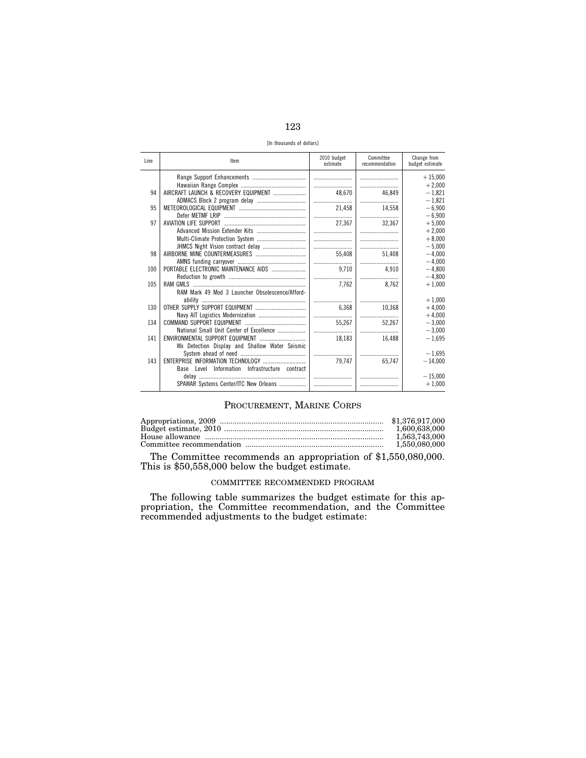| ۰.<br>M.<br>٩<br>-- |
|---------------------|
|                     |

[In thousands of dollars]

| Line | Item                                              | 2010 budget<br>estimate | Committee<br>recommendation | Change from<br>budget estimate |
|------|---------------------------------------------------|-------------------------|-----------------------------|--------------------------------|
|      |                                                   |                         |                             | $+15,000$                      |
|      |                                                   |                         |                             | $+2.000$                       |
| 94   | AIRCRAFT LAUNCH & RECOVERY EQUIPMENT              | 48.670                  | 46,849                      | $-1.821$                       |
|      |                                                   |                         |                             | $-1,821$                       |
| 95   |                                                   | 21.458                  | 14.558                      | $-6.900$                       |
|      |                                                   |                         |                             | $-6,900$                       |
| 97   |                                                   | 27,367                  | 32,367                      | $+5.000$                       |
|      |                                                   |                         |                             | $+2,000$                       |
|      |                                                   |                         |                             | $+8.000$                       |
|      |                                                   |                         |                             | $-5.000$                       |
| 98   |                                                   | 55,408                  | 51.408                      | $-4.000$                       |
|      |                                                   |                         |                             | $-4.000$                       |
| 100  |                                                   | 9,710                   | 4.910                       | $-4.800$                       |
|      |                                                   |                         |                             | $-4.800$                       |
| 105  |                                                   | 7.762                   | 8.762                       | $+1.000$                       |
|      | RAM Mark 49 Mod 3 Launcher Obsolescence/Afford-   |                         |                             |                                |
|      |                                                   |                         |                             | $+1,000$                       |
| 130  |                                                   | 6.368                   | 10,368                      | $+4.000$                       |
|      |                                                   |                         |                             | $+4,000$                       |
| 134  |                                                   | 55.267                  | 52.267                      | $-3,000$                       |
|      | National Small Unit Center of Excellence          |                         |                             | $-3.000$                       |
| 141  |                                                   | 18,183                  | 16.488                      | $-1,695$                       |
|      | Wx Detection Display and Shallow Water Seismic    |                         |                             |                                |
|      |                                                   |                         |                             | $-1.695$                       |
| 143  |                                                   | 79.747                  | 65.747                      | $-14,000$                      |
|      | Information Infrastructure contract<br>Base Level |                         |                             |                                |
|      |                                                   |                         |                             | $-15,000$                      |
|      | SPAWAR Systems Center/ITC New Orleans             |                         |                             | $+1,000$                       |
|      |                                                   |                         |                             |                                |

## PROCUREMENT, MARINE CORPS

| 1.600.638.000 |
|---------------|
| 1.563.743.000 |
| 1.550.080.000 |

The Committee recommends an appropriation of \$1,550,080,000. This is \$50,558,000 below the budget estimate.

## COMMITTEE RECOMMENDED PROGRAM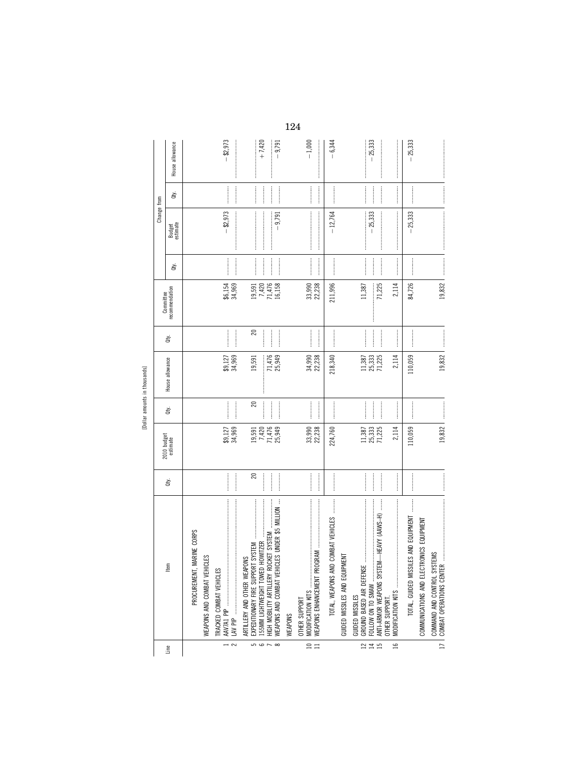[Dollar amounts in thousands] [Dollar amounts in thousands]

|                                           |                                                                                                                                                                                                          |                                                                                                                                                                                                                                                                                                                                                                                                                                                                                                                                 |                                                           |                     |                            |                                                                                                                                                                                                                                                                                                                                                                                                                                                                                                                                | Committee                       |           | Change from        |                |                      |
|-------------------------------------------|----------------------------------------------------------------------------------------------------------------------------------------------------------------------------------------------------------|---------------------------------------------------------------------------------------------------------------------------------------------------------------------------------------------------------------------------------------------------------------------------------------------------------------------------------------------------------------------------------------------------------------------------------------------------------------------------------------------------------------------------------|-----------------------------------------------------------|---------------------|----------------------------|--------------------------------------------------------------------------------------------------------------------------------------------------------------------------------------------------------------------------------------------------------------------------------------------------------------------------------------------------------------------------------------------------------------------------------------------------------------------------------------------------------------------------------|---------------------------------|-----------|--------------------|----------------|----------------------|
| Line                                      | ltem                                                                                                                                                                                                     | ġ                                                                                                                                                                                                                                                                                                                                                                                                                                                                                                                               | 2010 budget<br>estimate                                   | à                   | House allowance            | à                                                                                                                                                                                                                                                                                                                                                                                                                                                                                                                              | recommendation                  | È         | Budget<br>estimate | È              | House allowance      |
|                                           | MARINE CORPS<br>PROCUREMENT,                                                                                                                                                                             |                                                                                                                                                                                                                                                                                                                                                                                                                                                                                                                                 |                                                           |                     |                            |                                                                                                                                                                                                                                                                                                                                                                                                                                                                                                                                |                                 |           |                    |                |                      |
|                                           | WEAPONS AND COMBAT VEHICLES                                                                                                                                                                              |                                                                                                                                                                                                                                                                                                                                                                                                                                                                                                                                 |                                                           |                     |                            |                                                                                                                                                                                                                                                                                                                                                                                                                                                                                                                                |                                 |           |                    |                |                      |
| $\overline{\mathbf{z}}$<br>$\overline{a}$ | TRACKED COMBAT VEHICLES<br>LAV PIP                                                                                                                                                                       |                                                                                                                                                                                                                                                                                                                                                                                                                                                                                                                                 | $$9,127$<br>$34,969$                                      |                     | \$9,127<br>34,969          |                                                                                                                                                                                                                                                                                                                                                                                                                                                                                                                                | \$6,154<br>34,969               |           | $-$ \$2,973        |                | $-$ \$2,973          |
| $\frac{1}{2}$                             | WEAPONS AND COMBAT VEHICLES UNDER \$5 MILLION<br><b>HOWITZER</b><br>HIGH MOBILITY ARTILLERY ROCKET SYSTEM<br>EXPEDITIONARY FIRE SUPPORT SYSTEM<br>ARTILLERY AND OTHER WEAPONS<br>155MM LIGHTWEIGHT TOWED | 20<br>$\frac{1}{2}$                                                                                                                                                                                                                                                                                                                                                                                                                                                                                                             | 19,591<br>7,420<br>71,476<br>25,949                       | $\overline{20}$<br> | 71,476<br>25,949<br>19,591 | $\mathbf{20}$<br>$\frac{1}{2}$                                                                                                                                                                                                                                                                                                                                                                                                                                                                                                 | $19,420$<br>$7,476$<br>$15,158$ | <br> <br> | $-9,791$           |                | $+7,420$<br>$-9,791$ |
|                                           | WEAPONS                                                                                                                                                                                                  |                                                                                                                                                                                                                                                                                                                                                                                                                                                                                                                                 |                                                           |                     |                            |                                                                                                                                                                                                                                                                                                                                                                                                                                                                                                                                |                                 |           |                    |                |                      |
| $\frac{10}{11}$                           | MODIFICATION KITS<br><b>OTHER SUPPORT</b>                                                                                                                                                                |                                                                                                                                                                                                                                                                                                                                                                                                                                                                                                                                 | 33,990<br>22,238                                          |                     | 22,238<br>34,990           |                                                                                                                                                                                                                                                                                                                                                                                                                                                                                                                                | 33,990<br>22,238                |           |                    | <br> <br> <br> | $-1,000$             |
|                                           | TOTAL, WEAPONS AND COMBAT VEHICLES                                                                                                                                                                       |                                                                                                                                                                                                                                                                                                                                                                                                                                                                                                                                 | 224,760                                                   |                     | 218,340                    |                                                                                                                                                                                                                                                                                                                                                                                                                                                                                                                                | 211,996                         |           | $-12,764$          |                | $-6,344$             |
|                                           | PMENT<br>GUIDED MISSILES AND EQUI                                                                                                                                                                        |                                                                                                                                                                                                                                                                                                                                                                                                                                                                                                                                 |                                                           |                     |                            |                                                                                                                                                                                                                                                                                                                                                                                                                                                                                                                                |                                 |           |                    |                |                      |
| $\frac{1}{245}$                           | $\ddot{\phantom{a}}$<br>ANTI-ARMOR WEAPONS SYSTEM-HEAVY (AAVS-H)<br><b>GUIDED MISSILES</b><br>OTHER SUPPORT                                                                                              |                                                                                                                                                                                                                                                                                                                                                                                                                                                                                                                                 | $\begin{array}{c} 11,387 \\ 25,333 \\ 71,225 \end{array}$ |                     | 25,333<br>71,225<br>11,387 | $\begin{minipage}{0.9\linewidth} \begin{tabular}{l} \hline \multicolumn{3}{c}{\textbf{0.9\linewidth}} \end{tabular} \end{minipage} \begin{minipage}{0.9\linewidth} \begin{tabular}{l} \multicolumn{3}{c}{\textbf{0.9\linewidth}} \end{tabular} \end{minipage} \end{minipage} \begin{minipage}{0.9\linewidth} \begin{tabular}{l} \multicolumn{3}{c}{\textbf{0.9\linewidth}} \end{tabular} \end{minipage} \end{minipage} \begin{minipage}{0.9\linewidth} \begin{tabular}{l} \multicolumn{3}{c}{\textbf{0.9\linewidth}} \end{tab$ | 71,225<br>11,387                |           | $-25,333$          |                | $-25,333$            |
| ٩                                         |                                                                                                                                                                                                          | $\frac{1}{2}$                                                                                                                                                                                                                                                                                                                                                                                                                                                                                                                   | 2,114                                                     |                     | 2,114                      |                                                                                                                                                                                                                                                                                                                                                                                                                                                                                                                                | 2,114                           |           |                    |                |                      |
|                                           | TOTAL, GUIDED MISSILES AND EQUIPMENT                                                                                                                                                                     | $\begin{minipage}{0.9\linewidth} \begin{tabular}{l} \hline \multicolumn{3}{c}{\textbf{1.1\linewidth}} \end{tabular} \end{minipage} \begin{minipage}{0.9\linewidth} \begin{tabular}{l} \multicolumn{3}{c}{\textbf{2.1\linewidth}} \end{tabular} \end{minipage} \begin{minipage}{0.9\linewidth} \end{minipage} \begin{minipage}{0.9\linewidth} \end{minipage} \begin{minipage}{0.9\linewidth} \end{minipage} \begin{minipage}{0.9\linewidth} \end{minipage} \begin{minipage}{0.9\linewidth} \end{minipage} \begin{minipage}{0.9\$ | 110,059                                                   |                     | 110,059                    |                                                                                                                                                                                                                                                                                                                                                                                                                                                                                                                                | 84,726                          |           | $-25,333$          |                | $-25,333$            |
|                                           | COMMUNICATIONS AND ELECTRONICS EQUIPMENT<br>COMMAND AND CONTROL SYSTEMS<br>COMBAT OPERATIONS CENTER<br>17   COMBAT OPERATIONS CENTE                                                                      |                                                                                                                                                                                                                                                                                                                                                                                                                                                                                                                                 | 19,832                                                    |                     | 19,832                     |                                                                                                                                                                                                                                                                                                                                                                                                                                                                                                                                | 19,832                          |           |                    |                |                      |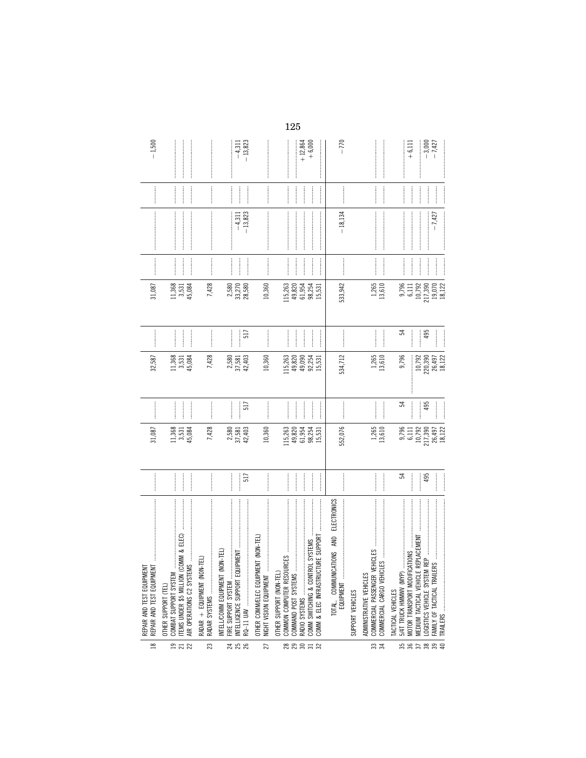| $\approx$      | REPAIR AND TEST EQUIPMENT<br>REPAIR AND TEST EQUIPMENT                                                                                                                                                                                                                                                                                                                                                                                                                                                                                                                                                                                                                                                                                              |                                                                                                                                                                                                                                                                                                                                                                                                                                                                                                                                                                                  | 31,087                                                   |                                                 | 32,587                                                                        |                         | 31,087                                                      |                                                                                                                                                                                                                                                                                                                                                                                                                                                                                                                                                       |                                                                                                                                                                                                                                                                                                                                                                                                                                                                                                                                                                                                                                                                                                                                                                                                                                                                                                                                                                                                                                                                                                  |                              | $-1,500$                                                     |
|----------------|-----------------------------------------------------------------------------------------------------------------------------------------------------------------------------------------------------------------------------------------------------------------------------------------------------------------------------------------------------------------------------------------------------------------------------------------------------------------------------------------------------------------------------------------------------------------------------------------------------------------------------------------------------------------------------------------------------------------------------------------------------|----------------------------------------------------------------------------------------------------------------------------------------------------------------------------------------------------------------------------------------------------------------------------------------------------------------------------------------------------------------------------------------------------------------------------------------------------------------------------------------------------------------------------------------------------------------------------------|----------------------------------------------------------|-------------------------------------------------|-------------------------------------------------------------------------------|-------------------------|-------------------------------------------------------------|-------------------------------------------------------------------------------------------------------------------------------------------------------------------------------------------------------------------------------------------------------------------------------------------------------------------------------------------------------------------------------------------------------------------------------------------------------------------------------------------------------------------------------------------------------|--------------------------------------------------------------------------------------------------------------------------------------------------------------------------------------------------------------------------------------------------------------------------------------------------------------------------------------------------------------------------------------------------------------------------------------------------------------------------------------------------------------------------------------------------------------------------------------------------------------------------------------------------------------------------------------------------------------------------------------------------------------------------------------------------------------------------------------------------------------------------------------------------------------------------------------------------------------------------------------------------------------------------------------------------------------------------------------------------|------------------------------|--------------------------------------------------------------|
| <b>922</b>     | $\label{def:1} \begin{split} &\text{for some } \alpha &\text{ is a non-zero } \alpha &\text{ is a non-zero } \alpha &\text{ is a non-zero } \alpha &\text{ is a non-zero } \alpha &\text{ is a non-zero } \alpha &\text{ is a non-zero } \alpha &\text{ is a non-zero } \alpha &\text{ is a non-zero } \alpha &\text{ is a non-zero } \alpha &\text{ is a non-zero } \alpha &\text{ is a non-zero } \alpha &\text{ is a non-zero } \alpha &\text{ is a non-zero } \alpha &\text{ is a non-zero } \alpha &\text{ is a non-zero } \alpha &\text{ is a non-zero } \alpha &\text{ is a non-zero } \alpha &\text{ is a non-zero } \alpha &$<br>ITEMS UNDER \$5 MILLION (CO)<br>AIR OPERATIONS C2 SYSTEMS<br>COMBAT SUPPORT SYSTEM<br>OTHER SUPPORT (TEL) |                                                                                                                                                                                                                                                                                                                                                                                                                                                                                                                                                                                  | 1,368<br>3,531<br>45,084                                 | <br> <br>                                       | $\frac{11,368}{3,531}$<br>45,084                                              |                         | 11,368<br>45,084<br>3,531                                   |                                                                                                                                                                                                                                                                                                                                                                                                                                                                                                                                                       |                                                                                                                                                                                                                                                                                                                                                                                                                                                                                                                                                                                                                                                                                                                                                                                                                                                                                                                                                                                                                                                                                                  |                              |                                                              |
| 23             | RADAR + EQUIPMENT (NON-TEL)                                                                                                                                                                                                                                                                                                                                                                                                                                                                                                                                                                                                                                                                                                                         |                                                                                                                                                                                                                                                                                                                                                                                                                                                                                                                                                                                  | 7,428                                                    |                                                 | 7,428                                                                         |                         | 7,428                                                       | $\begin{minipage}{0.9\linewidth} \begin{minipage}{0.9\linewidth} \end{minipage} \begin{minipage}{0.9\linewidth} \end{minipage} \begin{minipage}{0.9\linewidth} \begin{minipage}{0.9\linewidth} \end{minipage} \begin{minipage}{0.9\linewidth} \end{minipage} \begin{minipage}{0.9\linewidth} \end{minipage} \begin{minipage}{0.9\linewidth} \end{minipage} \begin{minipage}{0.9\linewidth} \end{minipage} \begin{minipage}{0.9\linewidth} \end{minipage} \begin{minipage}{0.9\linewidth} \end{minipage} \begin{minipage}{0.9\linewidth} \$            | $\label{def:1}$                                                                                                                                                                                                                                                                                                                                                                                                                                                                                                                                                                                                                                                                                                                                                                                                                                                                                                                                                                                                                                                                                  |                              |                                                              |
| 24<br>25<br>26 | INTELL/COMM EQUIPMENT (NON-TEL)<br>FIRE SUPPORT SYSTEM                                                                                                                                                                                                                                                                                                                                                                                                                                                                                                                                                                                                                                                                                              | <br>517                                                                                                                                                                                                                                                                                                                                                                                                                                                                                                                                                                          | $\begin{array}{c} 2,580 \\ 37,581 \\ 42,403 \end{array}$ | <br>517                                         | $\frac{2,580}{37,581}$<br>42,403                                              | 517<br>:<br>:<br>:<br>: | 2,580<br>33,270<br>28,580                                   |                                                                                                                                                                                                                                                                                                                                                                                                                                                                                                                                                       | $-13,823$<br>$-4,311$                                                                                                                                                                                                                                                                                                                                                                                                                                                                                                                                                                                                                                                                                                                                                                                                                                                                                                                                                                                                                                                                            |                              | <br> <br> <br> <br> <br>$-4,311$<br>$-13,823$<br>:<br>:<br>: |
| 27             | (NON-TEL)<br>OTHER COMM/ELEC EQUIPMENT<br>NIGHT VISION EQUIPMENT                                                                                                                                                                                                                                                                                                                                                                                                                                                                                                                                                                                                                                                                                    |                                                                                                                                                                                                                                                                                                                                                                                                                                                                                                                                                                                  | 10,360                                                   | $\frac{1}{2}$                                   | 10,360                                                                        |                         | 10,360                                                      |                                                                                                                                                                                                                                                                                                                                                                                                                                                                                                                                                       |                                                                                                                                                                                                                                                                                                                                                                                                                                                                                                                                                                                                                                                                                                                                                                                                                                                                                                                                                                                                                                                                                                  |                              |                                                              |
| 88853          | SVSTEMS<br>COMM & ELEC INFRASTRUCTUR<br>COMM SWITCHING & CONTROL<br>OTHER SUPPORT (NON-TEL)                                                                                                                                                                                                                                                                                                                                                                                                                                                                                                                                                                                                                                                         |                                                                                                                                                                                                                                                                                                                                                                                                                                                                                                                                                                                  | 115,263<br>49,820<br>61,954<br>98,254<br>15,531          | $\frac{1}{2}$<br>$\frac{1}{2}$<br>$\frac{1}{2}$ | 15,263<br>49,090<br>49,254<br>15,31<br>15,31                                  | $\frac{1}{2}$           | 115,263<br>49,820<br>61,954<br>98,254<br>15,531             |                                                                                                                                                                                                                                                                                                                                                                                                                                                                                                                                                       |                                                                                                                                                                                                                                                                                                                                                                                                                                                                                                                                                                                                                                                                                                                                                                                                                                                                                                                                                                                                                                                                                                  |                              | $+12,864$<br>+6,000                                          |
|                | ELECTRONICS<br>TOTAL, COMMUNICATIONS AND<br>EQUIPMENT                                                                                                                                                                                                                                                                                                                                                                                                                                                                                                                                                                                                                                                                                               | $\begin{minipage}{0.9\linewidth} \centering \begin{minipage}{0.9\linewidth} \centering \end{minipage} \begin{minipage}{0.9\linewidth} \centering \begin{minipage}{0.9\linewidth} \centering \end{minipage} \end{minipage} \begin{minipage}{0.9\linewidth} \centering \begin{minipage}{0.9\linewidth} \centering \end{minipage} \end{minipage} \begin{minipage}{0.9\linewidth} \centering \end{minipage} \begin{minipage}{0.9\linewidth} \centering \end{minipage} \begin{minipage}{0.9\linewidth} \centering \end{minipage} \begin{minipage}{0.9\linewidth} \centering \end{min$ | 552,076                                                  |                                                 | 534,712                                                                       |                         | 533,942                                                     |                                                                                                                                                                                                                                                                                                                                                                                                                                                                                                                                                       | $-18,134$                                                                                                                                                                                                                                                                                                                                                                                                                                                                                                                                                                                                                                                                                                                                                                                                                                                                                                                                                                                                                                                                                        |                              | $-770$                                                       |
| ೫ ಇ            | $\label{def:conformal} \begin{split} \mathcal{L}_{\mathcal{F}}(\mathcal{L}_{\mathcal{F}}(\mathcal{L}_{\mathcal{F}}(\mathcal{L}_{\mathcal{F}}(\mathcal{L}_{\mathcal{F}}(\mathcal{L}_{\mathcal{F}}(\mathcal{L}_{\mathcal{F}}(\mathcal{L}_{\mathcal{F}}(\mathcal{L}_{\mathcal{F}}(\mathcal{L}_{\mathcal{F}}(\mathcal{L}_{\mathcal{F}}(\mathcal{L}_{\mathcal{F}}(\mathcal{L}_{\mathcal{F}}(\mathcal{L}_{\mathcal{F}}(\mathcal{L}_{\mathcal{F}}(\mathcal{L}_{\mathcal{F}}(\mathcal{L}_{\mathcal{F}}(\math$<br>COMMERCIAL CARGO VEHICLES<br>COMMERCIAL PASSENGER VEH<br>ADMINISTRATIVE VEHICLES<br>SUPPORT VEHICLES                                                                                                                                       |                                                                                                                                                                                                                                                                                                                                                                                                                                                                                                                                                                                  | $1,265$<br>$13,610$                                      |                                                 | $1,265$<br>$13,610$                                                           | :<br>:<br>:<br>:<br>:   | 1,265<br>13,610                                             | <b></b><br>$\begin{minipage}{0.9\linewidth} \begin{minipage}{0.9\linewidth} \end{minipage} \begin{minipage}{0.9\linewidth} \end{minipage} \begin{minipage}{0.9\linewidth} \begin{minipage}{0.9\linewidth} \end{minipage} \begin{minipage}{0.9\linewidth} \end{minipage} \begin{minipage}{0.9\linewidth} \end{minipage} \begin{minipage}{0.9\linewidth} \end{minipage} \begin{minipage}{0.9\linewidth} \end{minipage} \begin{minipage}{0.9\linewidth} \end{minipage} \begin{minipage}{0.9\linewidth} \end{minipage} \begin{minipage}{0.9\linewidth} \$ | $\label{def:1} \begin{minipage}{0.9\linewidth} \begin{minipage}{0.9\linewidth} \begin{minipage}{0.9\linewidth} \begin{minipage}{0.9\linewidth} \end{minipage} \end{minipage} \end{minipage} \begin{minipage}{0.9\linewidth} \begin{minipage}{0.9\linewidth} \begin{minipage}{0.9\linewidth} \begin{minipage}{0.9\linewidth} \end{minipage} \end{minipage} \end{minipage} \end{minipage} \begin{minipage}{0.9\linewidth} \begin{minipage}{0.9\linewidth} \begin{minipage}{0.9\linewidth} \end{minipage} \end{minipage} \end{minipage}$<br>$\label{def:conformal} \begin{minipage}{0.9\textwidth} \centering \begin{minipage}{0.9\textwidth} \centering \end{minipage} \begin{minipage}{0.9\textwidth} \centering \begin{minipage}{0.9\textwidth} \centering \end{minipage} \begin{minipage}{0.9\textwidth} \centering \end{minipage} \begin{minipage}{0.9\textwidth} \centering \end{minipage} \begin{minipage}{0.9\textwidth} \centering \end{minipage} \begin{minipage}{0.9\textwidth} \centering \end{minipage} \begin{minipage}{0.9\textwidth} \centering \end{minipage} \begin{minipage}{0.$ | <b><i><u><u></u></u></i></b> |                                                              |
|                | MEDIUM TACTICAL VEHICLE REPLACEMENT<br>5/4T TRUCK HMMWW (MYP)<br>FAMILY OF TACTICAL TRAILERS<br>MOTOR TRANSPORT MODIFICAT<br>TACTICAL VEHICLES                                                                                                                                                                                                                                                                                                                                                                                                                                                                                                                                                                                                      | <br>3<br>495                                                                                                                                                                                                                                                                                                                                                                                                                                                                                                                                                                     | 26,497<br>18,122<br>9,796<br>217,390<br>10,792<br>6,111  | $\frac{1}{2}$<br>24<br>495<br> <br> <br> <br>   | 9,796<br>$\begin{array}{c} 10,792 \\ 220,390 \\ 26,497 \\ 18,122 \end{array}$ | 24<br>495               | 9,796<br>$19,070$<br>$18,122$<br>10,792<br>217,390<br>6,111 | $\label{eq:1} \begin{minipage}{0.9\linewidth} \begin{minipage}{0.9\linewidth} \begin{minipage}{0.9\linewidth} \begin{minipage}{0.9\linewidth} \end{minipage} \begin{minipage}{0.9\linewidth} \begin{minipage}{0.9\linewidth} \end{minipage} \end{minipage} \end{minipage} \begin{minipage}{0.9\linewidth} \begin{minipage}{0.9\linewidth} \begin{minipage}{0.9\linewidth} \end{minipage} \end{minipage} \end{minipage} \begin{minipage}{0.9\linewidth} \begin{minipage}{0.9\linewidth} \begin{minipage}{0.9\linewidth} \end{minipage} \$              | $-7,427$                                                                                                                                                                                                                                                                                                                                                                                                                                                                                                                                                                                                                                                                                                                                                                                                                                                                                                                                                                                                                                                                                         | $\frac{1}{2}$                | $-3,000$<br>$-7,427$<br>$+6,111$<br>İ<br>İ                   |
|                |                                                                                                                                                                                                                                                                                                                                                                                                                                                                                                                                                                                                                                                                                                                                                     |                                                                                                                                                                                                                                                                                                                                                                                                                                                                                                                                                                                  |                                                          |                                                 |                                                                               |                         |                                                             |                                                                                                                                                                                                                                                                                                                                                                                                                                                                                                                                                       |                                                                                                                                                                                                                                                                                                                                                                                                                                                                                                                                                                                                                                                                                                                                                                                                                                                                                                                                                                                                                                                                                                  |                              |                                                              |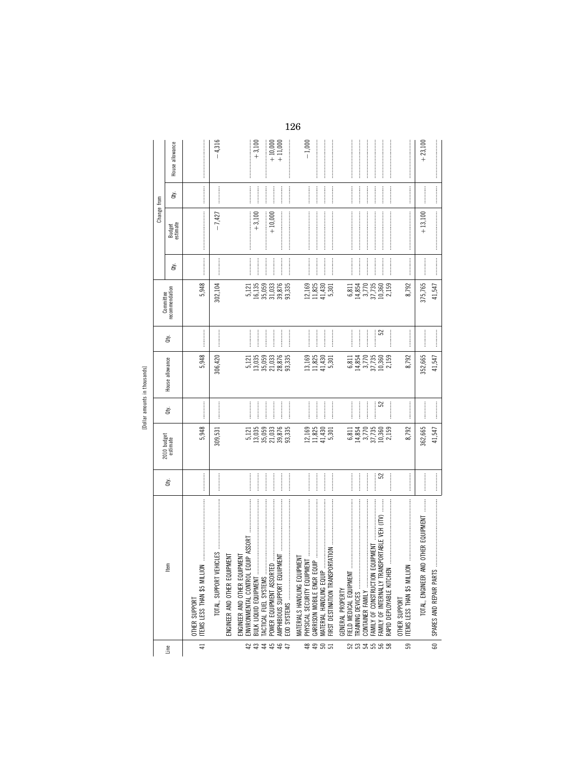| ţ<br>i      |  |
|-------------|--|
| Æ           |  |
| ŧ<br>ē<br>œ |  |
| ٠           |  |

|                |                                                                                                                                                                                                                                                                                                                                                                                                                                                                                                                                                                                                                                   |        |                                                                    |                               |                                                                    |                               | Committee                                                          |                                  | Change from        |               |                      |
|----------------|-----------------------------------------------------------------------------------------------------------------------------------------------------------------------------------------------------------------------------------------------------------------------------------------------------------------------------------------------------------------------------------------------------------------------------------------------------------------------------------------------------------------------------------------------------------------------------------------------------------------------------------|--------|--------------------------------------------------------------------|-------------------------------|--------------------------------------------------------------------|-------------------------------|--------------------------------------------------------------------|----------------------------------|--------------------|---------------|----------------------|
| Line           | Ιteπ                                                                                                                                                                                                                                                                                                                                                                                                                                                                                                                                                                                                                              | ਛੇ     | 2010 budget<br>estimate                                            | È                             | House allowance                                                    | È                             | recommendation                                                     | đý.                              | Budget<br>estimate | ਛੇ            | House allowance      |
| $\overline{4}$ | ITEMS LESS THAN \$5 MILLION<br>OTHER SUPPORT                                                                                                                                                                                                                                                                                                                                                                                                                                                                                                                                                                                      |        | 5,948                                                              |                               | 5,948                                                              |                               | 5,948                                                              |                                  |                    | $\frac{1}{2}$ |                      |
|                |                                                                                                                                                                                                                                                                                                                                                                                                                                                                                                                                                                                                                                   |        | 309,531                                                            |                               | 306,420                                                            |                               | 302,104                                                            |                                  | $-7,427$           |               | $-4,316$             |
|                | ENGINEER AND OTHER EQUIPMENT                                                                                                                                                                                                                                                                                                                                                                                                                                                                                                                                                                                                      |        |                                                                    |                               |                                                                    |                               |                                                                    |                                  |                    |               |                      |
| 42             | ENGINEER AND OTHER EQUIPMENT<br>BULK LIQUID EQUIPMENT                                                                                                                                                                                                                                                                                                                                                                                                                                                                                                                                                                             |        |                                                                    | <br> <br> <br> <br> <br> <br> | 5,121                                                              | <br> <br>                     | 5,121<br>16,135                                                    | <br> <br>                        | $+3,100$           |               | $+3,100$             |
| 33585          | POWER EQUIPMENT ASSORTED<br>TACTICAL FUEL SYSTEMS                                                                                                                                                                                                                                                                                                                                                                                                                                                                                                                                                                                 |        | 5.121<br>13,059<br>13,033,335<br>13,876<br>93,335                  | <br> <br>                     | $13,035$<br>$35,033$<br>$21,033$<br>$28,335$<br>$33,335$           | :<br>:<br>:<br>:              | 35,059<br>31,033                                                   | <br> <br>                        | $+10,000$          | <br> <br>     | $+10,000$<br>+11,000 |
|                | <b>LKI</b><br>AMPHIBIOUS SUPPORT EQUIP                                                                                                                                                                                                                                                                                                                                                                                                                                                                                                                                                                                            |        |                                                                    |                               |                                                                    |                               | 39,876<br>93,335                                                   |                                  |                    |               |                      |
|                | MATERIALS HANDLING EQUIPMENT<br>GARRISON MOBILE ENGR EQU                                                                                                                                                                                                                                                                                                                                                                                                                                                                                                                                                                          |        |                                                                    |                               |                                                                    |                               | $\begin{array}{c} 12,169 \\ 11,825 \\ 41,430 \end{array}$          |                                  |                    |               | $-1,000$             |
| \$\$85         | $\text{JIP} \hspace{0.05cm} \ldots \hspace{0.05cm} \ldots \hspace{0.05cm} \ldots \hspace{0.05cm} \ldots \hspace{0.05cm} \ldots$<br><b>NOILY12</b><br>FIRST DESTINATION TRANSPO<br>MATERIAL HANDLING EQUIP.                                                                                                                                                                                                                                                                                                                                                                                                                        |        | $\begin{array}{c} 12,169 \\ 11,825 \\ 41,430 \\ 5,301 \end{array}$ |                               | $\begin{array}{c} 13,169 \\ 11,825 \\ 41,430 \\ 5,301 \end{array}$ |                               | 5,301                                                              | <br> <br> <br>                   |                    | <br> <br>     |                      |
|                | FIELD MEDICAL EQUIPMENT<br>GENERAL PROPERTY                                                                                                                                                                                                                                                                                                                                                                                                                                                                                                                                                                                       |        |                                                                    | <br> <br> <br> <br>           | 6,811                                                              |                               | 6,811                                                              |                                  |                    |               |                      |
|                | TRAINING DEVICES<br>CONTAINER FAMILY                                                                                                                                                                                                                                                                                                                                                                                                                                                                                                                                                                                              |        | 6811<br>14857<br>6477360<br>6477360                                |                               | 14,854<br>3,770<br>37,735<br>10,360                                |                               | $\begin{array}{c} 14,854 \\ 3,770 \\ 37,735 \\ 10,360 \end{array}$ |                                  |                    |               |                      |
|                |                                                                                                                                                                                                                                                                                                                                                                                                                                                                                                                                                                                                                                   |        |                                                                    | <br> <br> <br>                |                                                                    | <br> <br> <br> <br> <br> <br> |                                                                    | $\frac{1}{2}$<br> <br> <br> <br> |                    |               |                      |
| 233588         | $\label{def:1} \begin{minipage}{0.9\linewidth} \begin{minipage}{0.9\linewidth} \begin{minipage}{0.9\linewidth} \begin{minipage}{0.9\linewidth} \end{minipage} \begin{minipage}{0.9\linewidth} \begin{minipage}{0.9\linewidth} \end{minipage} \begin{minipage}{0.9\linewidth} \begin{minipage}{0.9\linewidth} \end{minipage} \begin{minipage}{0.9\linewidth} \begin{minipage}{0.9\linewidth} \end{minipage} \begin{minipage}{0.9\linewidth} \end{minipage} \begin{minipage}{0.9\linewidth} \end{minipage} \begin{minipage}{0.9\linewidth} \begin$<br>SPORTABLE VEH (ITV)<br>FAMILY OF INTERNALLY TRANS<br>RAPID DEPLOYABLE KITCHEN | <br>52 | 2,159                                                              | 52                            | 2,159                                                              | 52                            | 2,159                                                              |                                  |                    |               |                      |
| 59             | <b>LEMS LESS THAN \$5 MILLION</b><br>OTHER SUPPORT                                                                                                                                                                                                                                                                                                                                                                                                                                                                                                                                                                                |        | 8,792                                                              | <br> <br>                     | 8,792                                                              |                               | 8,792                                                              |                                  |                    |               |                      |
|                | OTHER EQUIPMENT<br>TOTAL, ENGINEER AN                                                                                                                                                                                                                                                                                                                                                                                                                                                                                                                                                                                             |        | 362,665                                                            |                               | 352,665                                                            |                               | 375,765                                                            |                                  | $+13,100$          |               | $+23,100$            |
| 60             | SPARES AND REPAIR PARTS                                                                                                                                                                                                                                                                                                                                                                                                                                                                                                                                                                                                           |        | 41,547                                                             |                               | 41,547                                                             |                               | 41,547                                                             |                                  | $\label{def:1}$    |               |                      |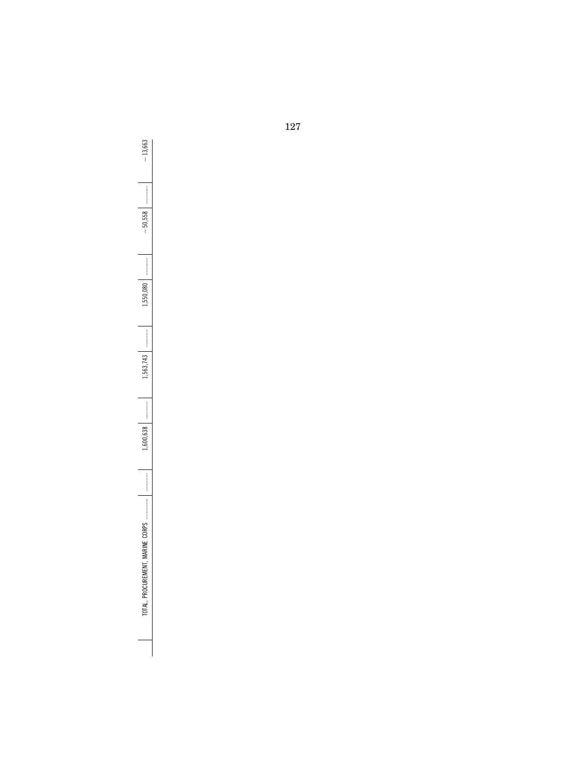$-13,663$ TOTAL, PROCUREMENT, MARINE CORPS .............. ............ 1,600,638 ............ 1,563,743 ............ 1,550,080 ............ ¥50,558 ............ ¥13,663  $-50,558$  $1,550,080$ 1,563,743  $1,600,638$ TOTAL, PROCUREMENT, MARINE CORPS ..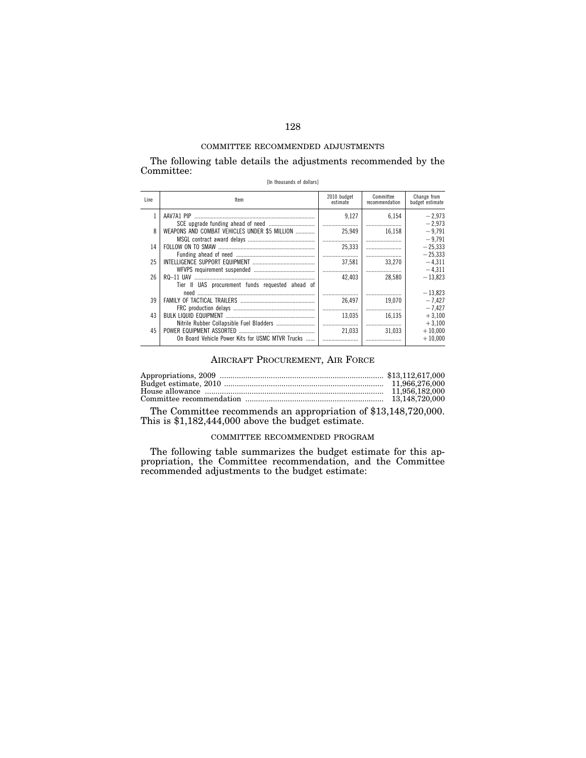The following table details the adjustments recommended by the Committee:

[In thousands of dollars]

| Line | Item                                                            | 2010 budget<br>estimate | Committee<br>recommendation | Change from<br>budget estimate |
|------|-----------------------------------------------------------------|-------------------------|-----------------------------|--------------------------------|
|      | AAV7A1 PIP                                                      | 9.127<br>               | 6.154                       | $-2.973$<br>$-2.973$           |
| 8    | WEAPONS AND COMBAT VEHICLES UNDER \$5 MILLION                   | 25.949                  | 16.158                      | $-9.791$<br>$-9.791$           |
| 14   |                                                                 | 25,333                  |                             | $-25.333$<br>$-25.333$         |
| 25   |                                                                 | 37.581                  | 33.270                      | $-4.311$<br>$-4.311$           |
| 26   | $RO-11$ UAV<br>Tier II UAS procurement funds requested ahead of | 42.403                  | 28.580                      | $-13.823$                      |
|      |                                                                 |                         |                             | $-13.823$                      |
| 39   |                                                                 | 26.497<br>              | 19.070<br>                  | $-7.427$<br>$-7.427$           |
| 43   | Nitrile Rubber Collapsible Fuel Bladders                        | 13.035                  | 16.135                      | $+3,100$<br>$+3.100$           |
| 45   |                                                                 | <br>21.033              | 31.033                      | $+10,000$                      |
|      | On Board Vehicle Power Kits for USMC MTVR Trucks                |                         |                             | $+10.000$                      |

## AIRCRAFT PROCUREMENT, AIR FORCE

The Committee recommends an appropriation of \$13,148,720,000. This is \$1,182,444,000 above the budget estimate.

## COMMITTEE RECOMMENDED PROGRAM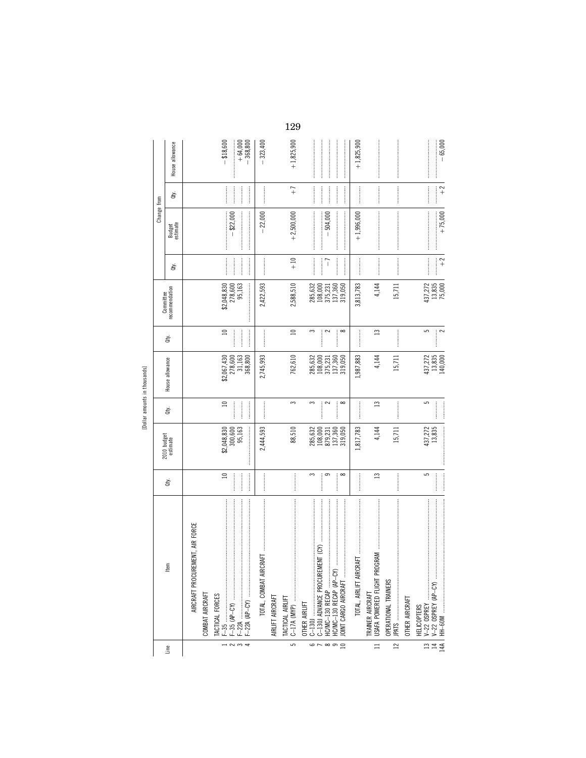|                         |                                              |               |                                   |                                                                                                                                                                                                                           | chineshow allowing in the principle |               |                                                            |                  |                    |                                                                                                                                                                                                                                                                                                                                                                                                                                                                                                                                |                         |
|-------------------------|----------------------------------------------|---------------|-----------------------------------|---------------------------------------------------------------------------------------------------------------------------------------------------------------------------------------------------------------------------|-------------------------------------|---------------|------------------------------------------------------------|------------------|--------------------|--------------------------------------------------------------------------------------------------------------------------------------------------------------------------------------------------------------------------------------------------------------------------------------------------------------------------------------------------------------------------------------------------------------------------------------------------------------------------------------------------------------------------------|-------------------------|
|                         |                                              |               |                                   |                                                                                                                                                                                                                           |                                     |               |                                                            |                  | Change from        |                                                                                                                                                                                                                                                                                                                                                                                                                                                                                                                                |                         |
| Line                    | ltem                                         | ਛੇ            | 2010 budget<br>estimate           | ਛੇ                                                                                                                                                                                                                        | House allowance                     | ਛੇ            | recommendation<br>Committee                                | ਛੇ               | Budget<br>estimate | ਛੇ                                                                                                                                                                                                                                                                                                                                                                                                                                                                                                                             | House allowance         |
|                         | ENT, AIR FORCE<br>AIRCRAFT PROCUREMI         |               |                                   |                                                                                                                                                                                                                           |                                     |               |                                                            |                  |                    |                                                                                                                                                                                                                                                                                                                                                                                                                                                                                                                                |                         |
|                         | COMBAT AIRCRAFT                              |               |                                   |                                                                                                                                                                                                                           |                                     |               |                                                            |                  |                    |                                                                                                                                                                                                                                                                                                                                                                                                                                                                                                                                |                         |
|                         |                                              |               |                                   |                                                                                                                                                                                                                           |                                     |               |                                                            |                  |                    |                                                                                                                                                                                                                                                                                                                                                                                                                                                                                                                                |                         |
| $\frac{1}{2}$           |                                              | $\approx$     | $$2,048,830$<br>300,600<br>95,163 | $\Xi$                                                                                                                                                                                                                     | $278,600$<br>31,163<br>\$2,067,430  | $\Xi$         | $$2,048,830$<br>$278,600$<br>$95,163$                      |                  | $-$ \$22,000       |                                                                                                                                                                                                                                                                                                                                                                                                                                                                                                                                | $- $18,600$             |
|                         |                                              |               | <br> <br> <br>                    | $\frac{1}{2}$                                                                                                                                                                                                             | 368,800                             | $\frac{1}{2}$ | <br> <br> <br>                                             | <br> <br>        |                    |                                                                                                                                                                                                                                                                                                                                                                                                                                                                                                                                | $+64,000$<br>$-368,800$ |
|                         | 匸<br>TOTAL, COMBAT AIRCRA                    |               | 2,444,593                         |                                                                                                                                                                                                                           | 2,745,993                           |               | 2,422,593                                                  |                  | $-22,000$          |                                                                                                                                                                                                                                                                                                                                                                                                                                                                                                                                | $-323,400$              |
|                         | AIRLIFT AIRCRAFT                             |               |                                   |                                                                                                                                                                                                                           |                                     |               |                                                            |                  |                    |                                                                                                                                                                                                                                                                                                                                                                                                                                                                                                                                |                         |
| $\overline{5}$          | TACTICAL AIRLIFT<br>C-17A (MYP)              |               | 88,510                            | 3                                                                                                                                                                                                                         | 762,610                             | $\Box$        | 2,588,510                                                  | $\frac{10}{1}$   | $+2,500,000$       | $\overline{+}$                                                                                                                                                                                                                                                                                                                                                                                                                                                                                                                 | $+1,825,900$            |
|                         | OTHER AIRLIFT                                |               |                                   |                                                                                                                                                                                                                           |                                     |               |                                                            |                  |                    |                                                                                                                                                                                                                                                                                                                                                                                                                                                                                                                                |                         |
| $\omega \sim \infty$ or |                                              | 3             | 285,632<br>108,000<br>879,231     | 3<br>ļ                                                                                                                                                                                                                    | 285,632<br>108,000                  | 3<br>         | 285,632<br>108,000                                         |                  |                    | $\begin{minipage}{0.9\linewidth} \begin{tabular}{l} \toprule \multicolumn{2}{c}{\textbf{0.9\linewidth}} \begin{tabular}{l} \multicolumn{2}{c}{\textbf{0.9\linewidth}} \end{tabular} \end{minipage} \end{minipage} \end{minipage} \caption{A system of the model and the model of the model.} \label{fig:1}$                                                                                                                                                                                                                    |                         |
|                         |                                              | 9             |                                   | $\sim$                                                                                                                                                                                                                    | 375,231                             | 2             | 375,231                                                    | ĩ                | $-504,000$         |                                                                                                                                                                                                                                                                                                                                                                                                                                                                                                                                |                         |
| $\supseteq$             |                                              | $\infty$      | 137,360<br>319,050                | <br> <br> <br> <br>$\infty$                                                                                                                                                                                               | 137,360<br>319,050                  | $\infty$      | 137,360<br>319,050                                         | :<br>:<br>:<br>: |                    |                                                                                                                                                                                                                                                                                                                                                                                                                                                                                                                                |                         |
|                         | TOTAL, AIRLIFT AIRCRAFT                      |               | 1,817,783                         |                                                                                                                                                                                                                           | 1,987,883                           |               | 3,813,783                                                  |                  | $+1,996,000$       |                                                                                                                                                                                                                                                                                                                                                                                                                                                                                                                                | $+1,825,900$            |
| $\equiv$                | TRAINER AIRCRAFT                             | $\mathbf{r}$  | 4,144                             | $\mathbf{r}$                                                                                                                                                                                                              | 4,144                               | $\mathbf{r}$  | 4,144                                                      |                  |                    | $\begin{minipage}{0.9\linewidth} \begin{tabular}{l} \hline \multicolumn{3}{c}{\textbf{0.9\linewidth}} \end{tabular} \end{minipage} \begin{minipage}{0.9\linewidth} \begin{tabular}{l} \multicolumn{3}{c}{\textbf{0.9\linewidth}} \end{tabular} \end{minipage} \end{minipage} \begin{minipage}{0.9\linewidth} \begin{tabular}{l} \multicolumn{3}{c}{\textbf{0.9\linewidth}} \end{tabular} \end{minipage} \end{minipage} \begin{minipage}{0.9\linewidth} \begin{tabular}{l} \multicolumn{3}{c}{\textbf{0.9\linewidth}} \end{tab$ |                         |
| $\mathbb{Z}$            | OPERATIONAL TRAINERS<br>JPATS …………………………………… |               | 15,711                            |                                                                                                                                                                                                                           | $15,711$                            |               | 15,711                                                     |                  |                    |                                                                                                                                                                                                                                                                                                                                                                                                                                                                                                                                |                         |
|                         | OTHER AIRCRAFT                               |               |                                   |                                                                                                                                                                                                                           |                                     |               |                                                            |                  |                    |                                                                                                                                                                                                                                                                                                                                                                                                                                                                                                                                |                         |
|                         |                                              | မာ            | 437,272                           | 5                                                                                                                                                                                                                         |                                     | မာ            |                                                            |                  |                    |                                                                                                                                                                                                                                                                                                                                                                                                                                                                                                                                |                         |
| 14A<br>$\frac{1}{2}$    |                                              | $\frac{1}{2}$ | $\label{def:main}$<br>13,835      | $\begin{minipage}{0.9\linewidth} \begin{tabular}{l} \toprule \end{tabular} \hline \rule[-1.5pt]{0.12pt}{0.03\linewidth} \end{tabular} \end{minipage} \caption{A system of the system of the system.} \label{fig:optimal}$ | 437,272<br>13,835<br>140,000        | $\sim$        | $\begin{array}{c} 437,272 \\ 13,835 \\ 75,000 \end{array}$ | $\widetilde{+}$  | $+75,000$          | $\frac{2}{1}$                                                                                                                                                                                                                                                                                                                                                                                                                                                                                                                  | $-65,000$               |

[Dollar amounts in thousands]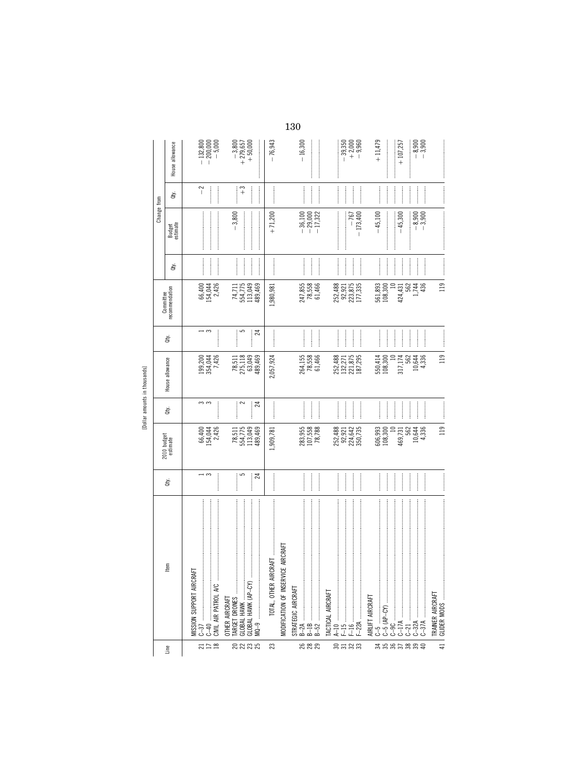|             |                                                                                                                                                                                                                                                                                                                                                                                                                                                                                                                                                                                                                 |                                                                                                                                                                                                                                                                                                                                                                                          |                                                |                                | [Dollar amounts in thousands]            |                                         |                                             |                                                                                                                                                                                                                                                                                                                                                                                                                                                                                                                                                                                                                                                                                                                                                                                                                                                                                                                                                                                                                                                                                                                             |                                     |                                                                                                                                                                                                                                                                                                                                                                                                                                                                                                                                                                  |                                                             |
|-------------|-----------------------------------------------------------------------------------------------------------------------------------------------------------------------------------------------------------------------------------------------------------------------------------------------------------------------------------------------------------------------------------------------------------------------------------------------------------------------------------------------------------------------------------------------------------------------------------------------------------------|------------------------------------------------------------------------------------------------------------------------------------------------------------------------------------------------------------------------------------------------------------------------------------------------------------------------------------------------------------------------------------------|------------------------------------------------|--------------------------------|------------------------------------------|-----------------------------------------|---------------------------------------------|-----------------------------------------------------------------------------------------------------------------------------------------------------------------------------------------------------------------------------------------------------------------------------------------------------------------------------------------------------------------------------------------------------------------------------------------------------------------------------------------------------------------------------------------------------------------------------------------------------------------------------------------------------------------------------------------------------------------------------------------------------------------------------------------------------------------------------------------------------------------------------------------------------------------------------------------------------------------------------------------------------------------------------------------------------------------------------------------------------------------------------|-------------------------------------|------------------------------------------------------------------------------------------------------------------------------------------------------------------------------------------------------------------------------------------------------------------------------------------------------------------------------------------------------------------------------------------------------------------------------------------------------------------------------------------------------------------------------------------------------------------|-------------------------------------------------------------|
|             |                                                                                                                                                                                                                                                                                                                                                                                                                                                                                                                                                                                                                 |                                                                                                                                                                                                                                                                                                                                                                                          |                                                |                                |                                          |                                         | Committee                                   |                                                                                                                                                                                                                                                                                                                                                                                                                                                                                                                                                                                                                                                                                                                                                                                                                                                                                                                                                                                                                                                                                                                             | Change from                         |                                                                                                                                                                                                                                                                                                                                                                                                                                                                                                                                                                  |                                                             |
| Line        | ltem                                                                                                                                                                                                                                                                                                                                                                                                                                                                                                                                                                                                            | ਛੇ                                                                                                                                                                                                                                                                                                                                                                                       | 2010 budget<br>estimate                        | Qty.                           | House allowance                          | ਛੇ                                      | recommendation                              | đťy.                                                                                                                                                                                                                                                                                                                                                                                                                                                                                                                                                                                                                                                                                                                                                                                                                                                                                                                                                                                                                                                                                                                        | Budget<br>estimate                  | È                                                                                                                                                                                                                                                                                                                                                                                                                                                                                                                                                                | House allowance                                             |
| 7128        | MISSION SUPPORT AIRCRAFT<br>$C - 40$                                                                                                                                                                                                                                                                                                                                                                                                                                                                                                                                                                            | $\overline{\phantom{a}}$                                                                                                                                                                                                                                                                                                                                                                 | 66,400<br>154,044<br>2,426                     | თო<br> <br> <br> <br>          | 199,200<br>354,044<br>7,426              | $\rightarrow$ $\sim$<br> <br> <br> <br> | 2,426<br>66,400<br>154,044                  | $\begin{minipage}{0.9\linewidth} \begin{minipage}{0.9\linewidth} \centering \begin{minipage}{0.9\linewidth} \centering \end{minipage} \end{minipage} \begin{minipage}{0.9\linewidth} \centering \begin{minipage}{0.9\linewidth} \centering \end{minipage} \end{minipage} \begin{minipage}{0.9\linewidth} \centering \begin{minipage}{0.9\linewidth} \centering \end{minipage} \end{minipage} \begin{minipage}{0.9\linewidth} \centering \end{minipage} \begin{minipage}{0.9\linewidth} \centering \begin{minipage}{0.9\linewidth} \centering \end{minipage} \end{minipage}$<br>$\begin{minipage}{0.9\linewidth} \begin{minipage}{0.9\linewidth} \begin{minipage}{0.9\linewidth} \end{minipage} \begin{minipage}{0.9\linewidth} \begin{minipage}{0.9\linewidth} \end{minipage} \begin{minipage}{0.9\linewidth} \end{minipage} \begin{minipage}{0.9\linewidth} \end{minipage} \begin{minipage}{0.9\linewidth} \begin{minipage}{0.9\linewidth} \end{minipage} \begin{minipage}{0.9\linewidth} \end{minipage} \begin{minipage}{0.9\linewidth} \end{minipage} \begin{minipage}{0.9\linewidth} \end{minipage} \begin{minipage}{0$ |                                     | $^{-2}$<br><b><i><u><u></u></u></i></b>                                                                                                                                                                                                                                                                                                                                                                                                                                                                                                                          | $-132,800$<br>$-200,000$<br>$-5,000$                        |
| 2233        | GLOBAL HAWK (AP-CY)<br>GLOBAL HAWK<br>OTHER AIRCRAFT                                                                                                                                                                                                                                                                                                                                                                                                                                                                                                                                                            | 5<br><br><br>24                                                                                                                                                                                                                                                                                                                                                                          | 78,511<br>554,775<br>113,049<br>489,469        | <br>$\sim$<br>24               | 78,511<br>275,118<br>63,049<br>489,469   | <br>5<br>24                             | 113,049<br>74,711<br>554,775<br>489,469     |                                                                                                                                                                                                                                                                                                                                                                                                                                                                                                                                                                                                                                                                                                                                                                                                                                                                                                                                                                                                                                                                                                                             | $-3,800$                            | <br>$\widetilde{+}$                                                                                                                                                                                                                                                                                                                                                                                                                                                                                                                                              | $\begin{matrix} -3,800 \\ +279,657 \\ +50,000 \end{matrix}$ |
| 23          | TOTAL, OTHER AIRCRAFT                                                                                                                                                                                                                                                                                                                                                                                                                                                                                                                                                                                           |                                                                                                                                                                                                                                                                                                                                                                                          | 1,909,781                                      |                                | 2,057,924                                |                                         | 1,980,981                                   |                                                                                                                                                                                                                                                                                                                                                                                                                                                                                                                                                                                                                                                                                                                                                                                                                                                                                                                                                                                                                                                                                                                             | $+71,200$                           |                                                                                                                                                                                                                                                                                                                                                                                                                                                                                                                                                                  | $-76,943$                                                   |
| ន ន ន       | $\label{def:1} \begin{minipage}{0.9\linewidth} \begin{minipage}{0.9\linewidth} \begin{minipage}{0.9\linewidth} \begin{minipage}{0.9\linewidth} \end{minipage} \begin{minipage}{0.9\linewidth} \begin{minipage}{0.9\linewidth} \end{minipage} \begin{minipage}{0.9\linewidth} \begin{minipage}{0.9\linewidth} \end{minipage} \begin{minipage}{0.9\linewidth} \begin{minipage}{0.9\linewidth} \end{minipage} \begin{minipage}{0.9\linewidth} \end{minipage} \begin{minipage}{0.9\linewidth} \begin{minipage}{0.9\linewidth} \end{minipage} \begin$<br>AIRCRAFT<br>MODIFICATION OF INSERVICE<br>STRATEGIC AIRCRAFT |                                                                                                                                                                                                                                                                                                                                                                                          | 283,955<br>107,558<br>78,788                   |                                | 264,155<br>78,558<br>61,466              |                                         | 247,855<br>78,558<br>61,466                 |                                                                                                                                                                                                                                                                                                                                                                                                                                                                                                                                                                                                                                                                                                                                                                                                                                                                                                                                                                                                                                                                                                                             | $-29,000$<br>$-17,322$<br>$-36,100$ | $\begin{minipage}{0.5\textwidth} \centering \begin{minipage}{0.5\textwidth} \centering \end{minipage} \begin{minipage}{0.5\textwidth} \centering \begin{minipage}{0.5\textwidth} \centering \end{minipage} \end{minipage} \begin{minipage}{0.5\textwidth} \centering \begin{minipage}{0.5\textwidth} \centering \end{minipage} \end{minipage} \begin{minipage}{0.5\textwidth} \centering \end{minipage} \begin{minipage}{0.5\textwidth} \centering \end{minipage} \begin{minipage}{0.5\textwidth} \centering \end{minipage} \begin{minipage}{0.5\$<br> <br> <br> | $-16,300$                                                   |
| នគនន        | $\label{def:1} \begin{split} &\text{in terms of the non-zero terms of } \mathcal{C}^{(n)}(x) = \mathcal{C}^{(n)}(x) \text{ and } \mathcal{C}^{(n)}(x) = \mathcal{C}^{(n)}(x) \text{ and } \mathcal{C}^{(n)}(x) = \mathcal{C}^{(n)}(x) \text{ and } \mathcal{C}^{(n)}(x) = \mathcal{C}^{(n)}(x) \text{ and } \mathcal{C}^{(n)}(x) = \mathcal{C}^{(n)}(x) \text{ and } \mathcal{C}^{(n)}(x) = \mathcal{C}^{(n)}(x) \text{ and } \mathcal$<br>TACTICAL AIRCRAFT                                                                                                                                                    | $\frac{1}{2}$<br>$\begin{minipage}{0.9\linewidth} \begin{tabular}{l} \hline \multicolumn{3}{c}{\textbf{0.9\linewidth}} \end{tabular} \end{minipage} \end{minipage} \caption{A system of the model of the model. The model of the model, the model is the same as a function of the model.} \label{fig:1}$                                                                                | 252,488<br>92,921<br>224,642<br>350,735        | <br> <br>                      | 252,488<br>132,271<br>221,875<br>187,295 |                                         | 252, 488<br>92, 921<br>223, 875<br>177, 335 | $\frac{1}{2}$<br>$\frac{1}{2}$                                                                                                                                                                                                                                                                                                                                                                                                                                                                                                                                                                                                                                                                                                                                                                                                                                                                                                                                                                                                                                                                                              | $-173,400$<br>$-767$                | $\frac{1}{2}$                                                                                                                                                                                                                                                                                                                                                                                                                                                                                                                                                    | $-39,350$<br>$+2,000$<br>$+9,960$                           |
| <b>3585</b> | AIRLIFT AIRCRAFT                                                                                                                                                                                                                                                                                                                                                                                                                                                                                                                                                                                                |                                                                                                                                                                                                                                                                                                                                                                                          | 606,993<br>108,300                             |                                | 550,414<br>108,300                       |                                         | 561,893<br>108,300                          | $\begin{minipage}{0.9\linewidth} \begin{tabular}{l} \hline \multicolumn{3}{c}{\textbf{0.9\linewidth}} \end{tabular} \end{minipage} \begin{minipage}{0.9\linewidth} \begin{tabular}{l} \multicolumn{3}{c}{\textbf{0.9\linewidth}} \end{tabular} \end{minipage} \end{minipage} \caption{Example of the \textbf{0.9\linewidth} and the \textbf{0.9\linewidth} \end{minipage} \label{fig:1}$                                                                                                                                                                                                                                                                                                                                                                                                                                                                                                                                                                                                                                                                                                                                    | $-45,100$                           | $\frac{1}{2}$                                                                                                                                                                                                                                                                                                                                                                                                                                                                                                                                                    | $+11,479$                                                   |
| $%R_{0}$    | $\label{def:1} \begin{minipage}{0.9\linewidth} \begin{minipage}{0.9\linewidth} \begin{minipage}{0.9\linewidth} \begin{minipage}{0.9\linewidth} \end{minipage} \begin{minipage}{0.9\linewidth} \begin{minipage}{0.9\linewidth} \end{minipage} \begin{minipage}{0.9\linewidth} \begin{minipage}{0.9\linewidth} \end{minipage} \begin{minipage}{0.9\linewidth} \begin{minipage}{0.9\linewidth} \end{minipage} \begin{minipage}{0.9\linewidth} \end{minipage} \begin{minipage}{0.9\linewidth} \begin{minipage}{0.9\linewidth} \end{minipage} \begin$<br>$\cdots$ $\cdots$ $\cdots$ $\cdots$<br>$2-17A$              | $\begin{picture}(20,20) \put(0,0){\dashbox{0.5}(20,0){ }} \put(15,0){\dashbox{0.5}(20,0){ }} \put(25,0){\dashbox{0.5}(20,0){ }} \put(25,0){\dashbox{0.5}(20,0){ }} \put(25,0){\dashbox{0.5}(20,0){ }} \put(25,0){\dashbox{0.5}(20,0){ }} \put(25,0){\dashbox{0.5}(20,0){ }} \put(25,0){\dashbox{0.5}(20,0){ }} \put(25,0){\dashbox{0.5}(20,0){ }} \put(25,0){\dashbox{$<br>$\frac{1}{2}$ | $\approx$<br>562<br>10,644<br>4,336<br>469,731 | $\frac{1}{2}$<br>$\frac{1}{2}$ | 317,174<br>562<br>10,644<br>4,336        |                                         | $\approx$<br>562<br>424,431<br>1,744<br>436 | $\begin{minipage}{0.9\linewidth} \begin{tabular}{l} \hline \multicolumn{3}{c}{\textbf{0.9\linewidth}} \end{tabular} \end{minipage} \end{minipage} \caption{A system of the model of the model.} \label{fig:ex1}$<br>$\begin{minipage}{0.9\linewidth} \begin{tabular}{l} \hline \multicolumn{3}{c}{\textbf{0.9\linewidth}} \end{tabular} \end{minipage} \end{minipage} \caption{A system of the model of the model.} \label{fig:1}$                                                                                                                                                                                                                                                                                                                                                                                                                                                                                                                                                                                                                                                                                          | $-45,300$<br>$-3,900$<br>$-8,900$   | $\frac{1}{2}$                                                                                                                                                                                                                                                                                                                                                                                                                                                                                                                                                    | $-8,900$<br>$-3,900$<br>$+107,257$                          |
| 41          | TRAINER AIRCRAFT                                                                                                                                                                                                                                                                                                                                                                                                                                                                                                                                                                                                |                                                                                                                                                                                                                                                                                                                                                                                          | 119                                            |                                | 119                                      |                                         | $\frac{1}{1}$                               |                                                                                                                                                                                                                                                                                                                                                                                                                                                                                                                                                                                                                                                                                                                                                                                                                                                                                                                                                                                                                                                                                                                             |                                     |                                                                                                                                                                                                                                                                                                                                                                                                                                                                                                                                                                  |                                                             |

[Dollar amounts in thousands]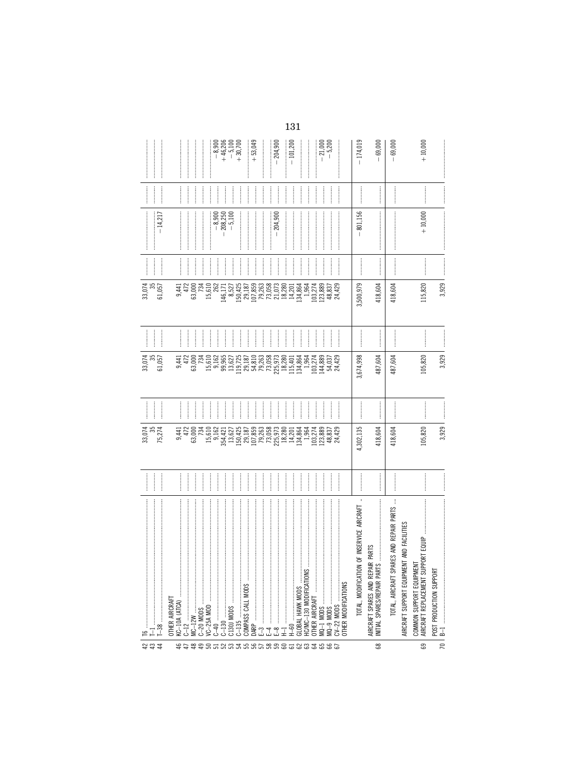|                                                                                                                                                                                                                                                                                                                                                                                                                                                                                                                                                                            |                                                | $-8,900$<br>$+46,206$<br>$-5,100$<br>$+30,700$                                                                                                                                                                                                                                                                                                                                                                                                                                        | $+53,049$<br>.204,900<br>ļ                                                                                         | $-101,200$<br>$-21,000$<br>$-5,200$                                                                                                                                                                                                                                                                                                                                                                                                                                                   | $-174,019$<br>$-69,000$                                                                                                 | $\label{def:1}$<br>$+10,000$<br>$-69,000$                                                                                                                                                                                                                                                                                                                                                                                                                                                                                                                                                                                                   |
|----------------------------------------------------------------------------------------------------------------------------------------------------------------------------------------------------------------------------------------------------------------------------------------------------------------------------------------------------------------------------------------------------------------------------------------------------------------------------------------------------------------------------------------------------------------------------|------------------------------------------------|---------------------------------------------------------------------------------------------------------------------------------------------------------------------------------------------------------------------------------------------------------------------------------------------------------------------------------------------------------------------------------------------------------------------------------------------------------------------------------------|--------------------------------------------------------------------------------------------------------------------|---------------------------------------------------------------------------------------------------------------------------------------------------------------------------------------------------------------------------------------------------------------------------------------------------------------------------------------------------------------------------------------------------------------------------------------------------------------------------------------|-------------------------------------------------------------------------------------------------------------------------|---------------------------------------------------------------------------------------------------------------------------------------------------------------------------------------------------------------------------------------------------------------------------------------------------------------------------------------------------------------------------------------------------------------------------------------------------------------------------------------------------------------------------------------------------------------------------------------------------------------------------------------------|
| $\label{eq:1} \begin{minipage}{0.9\linewidth} \begin{tabular}{l} \hline \multicolumn{3}{c}{\textbf{0.9\linewidth}} \end{tabular} \end{minipage}$<br>$\begin{minipage}{0.5\textwidth} \centering \begin{tabular}{ l l l } \hline \multicolumn{1}{ l l l } \hline \multicolumn{1}{ l l } \multicolumn{1}{ l l } \multicolumn{1}{ l l } \multicolumn{1}{ l l } \multicolumn{1}{ l l } \multicolumn{1}{ l l } \multicolumn{1}{ l l } \multicolumn{1}{ l l } \multicolumn{1}{ l l } \multicolumn{1}{ l l } \multicolumn{1}{ l l } \multicolumn{1}{ l l } \multicolumn{1}{ l l $ |                                                | $\frac{1}{2}$                                                                                                                                                                                                                                                                                                                                                                                                                                                                         |                                                                                                                    | $\begin{picture}(20,20) \put(0,0){\vector(1,0){10}} \put(15,0){\vector(1,0){10}} \put(15,0){\vector(1,0){10}} \put(15,0){\vector(1,0){10}} \put(15,0){\vector(1,0){10}} \put(15,0){\vector(1,0){10}} \put(15,0){\vector(1,0){10}} \put(15,0){\vector(1,0){10}} \put(15,0){\vector(1,0){10}} \put(15,0){\vector(1,0){10}} \put(15,0){\vector(1,0){10}} \put(15,0){\vector(1$<br>$\frac{1}{2}$<br>$\frac{1}{2}$<br>$\frac{1}{2}$<br>$\frac{1}{2}$                                       | <br> <br>                                                                                                               | $\frac{1}{2}$                                                                                                                                                                                                                                                                                                                                                                                                                                                                                                                                                                                                                               |
| $-14,217$                                                                                                                                                                                                                                                                                                                                                                                                                                                                                                                                                                  |                                                | $-8,900$<br>$\frac{208,250}{-5,100}$                                                                                                                                                                                                                                                                                                                                                                                                                                                  | $-204,900$                                                                                                         |                                                                                                                                                                                                                                                                                                                                                                                                                                                                                       | .801,156<br>$\overline{1}$                                                                                              | $+10,000$                                                                                                                                                                                                                                                                                                                                                                                                                                                                                                                                                                                                                                   |
| $\frac{1}{2}$<br>$\frac{1}{2}$                                                                                                                                                                                                                                                                                                                                                                                                                                                                                                                                             | $\frac{1}{2}$<br>$\frac{1}{2}$                 | $\frac{1}{2}$<br>$\frac{1}{2}$<br>$\frac{1}{2}$                                                                                                                                                                                                                                                                                                                                                                                                                                       |                                                                                                                    | $\begin{array}{c} \begin{array}{c} \begin{array}{c} \begin{array}{c} \end{array} \\ \end{array} \end{array} \end{array}$<br>$\frac{1}{2}$<br>$\frac{1}{2}$<br>$\frac{1}{2}$<br>$\frac{1}{2}$                                                                                                                                                                                                                                                                                          |                                                                                                                         | $\begin{array}{c} \hline \rule{0pt}{2.2ex} \rule{0pt}{2.2ex} \rule{0pt}{2.2ex} \rule{0pt}{2.2ex} \rule{0pt}{2.2ex} \rule{0pt}{2.2ex} \rule{0pt}{2.2ex} \rule{0pt}{2.2ex} \rule{0pt}{2.2ex} \rule{0pt}{2.2ex} \rule{0pt}{2.2ex} \rule{0pt}{2.2ex} \rule{0pt}{2.2ex} \rule{0pt}{2.2ex} \rule{0pt}{2.2ex} \rule{0pt}{2.2ex} \rule{0pt}{2.2ex} \rule{0pt}{2.2ex} \rule{0pt}{2.2ex} \$<br>$\begin{minipage}{0.9\linewidth} \begin{tabular}{l} \hline \multicolumn{3}{c}{\textbf{0.9\linewidth}} \end{tabular} \end{minipage} \end{minipage} \caption{A system of the model of the model.} \label{fig:ex1}$                                       |
| 33,074<br>61,057                                                                                                                                                                                                                                                                                                                                                                                                                                                                                                                                                           | 63,000<br>472<br>734<br>9,441                  | 15,610<br>262<br>146, 171<br>8,527                                                                                                                                                                                                                                                                                                                                                                                                                                                    | $\begin{array}{l} 150,425 \\ 29,187 \\ 29,189 \\ 107,859 \\ 107,853 \\ 73,058 \\ 73,053 \\ 134,864 \\ \end{array}$ | 1,964<br>103,274<br>123,889<br>48,837<br>24,429                                                                                                                                                                                                                                                                                                                                                                                                                                       | 3,500,979<br>418,604                                                                                                    | 3,929<br>418,604<br>115,820                                                                                                                                                                                                                                                                                                                                                                                                                                                                                                                                                                                                                 |
| $\frac{1}{2}$                                                                                                                                                                                                                                                                                                                                                                                                                                                                                                                                                              | $\frac{1}{2}$<br>$\frac{1}{2}$                 | ļ<br>$\frac{1}{2}$<br>ļ                                                                                                                                                                                                                                                                                                                                                                                                                                                               |                                                                                                                    | $\frac{1}{2}$                                                                                                                                                                                                                                                                                                                                                                                                                                                                         |                                                                                                                         |                                                                                                                                                                                                                                                                                                                                                                                                                                                                                                                                                                                                                                             |
| 33,074<br>61,057                                                                                                                                                                                                                                                                                                                                                                                                                                                                                                                                                           | 472<br>63,000<br>734<br>9,441                  | 99,965<br>15,610<br>9,162<br>13,627<br>119,725                                                                                                                                                                                                                                                                                                                                                                                                                                        | 29,187<br>54,8263<br>54,263,973<br>79,973,801<br>115,401<br>115,864                                                | 1,964<br>103,274<br>144,889<br>54,037<br>24,429                                                                                                                                                                                                                                                                                                                                                                                                                                       | 3,674,998<br>487,604                                                                                                    | 3,929<br>105,820<br>487,604                                                                                                                                                                                                                                                                                                                                                                                                                                                                                                                                                                                                                 |
|                                                                                                                                                                                                                                                                                                                                                                                                                                                                                                                                                                            | Ì                                              |                                                                                                                                                                                                                                                                                                                                                                                                                                                                                       |                                                                                                                    | $\frac{1}{2}$<br>$\frac{1}{2}$                                                                                                                                                                                                                                                                                                                                                                                                                                                        |                                                                                                                         | $\begin{minipage}{0.5\textwidth} \centering \begin{tabular}{ l l l } \hline \multicolumn{1}{ l l } \multicolumn{1}{ l } \multicolumn{1}{ l } \multicolumn{1}{ l } \multicolumn{1}{ l } \multicolumn{1}{ l } \multicolumn{1}{ l } \multicolumn{1}{ l } \multicolumn{1}{ l } \multicolumn{1}{ l } \multicolumn{1}{ l } \multicolumn{1}{ l } \multicolumn{1}{ l } \multicolumn{1}{ l } \multicolumn{1}{ l } \multicolumn{1}{ l } \multicolumn{1}{ $                                                                                                                                                                                            |
| 33,074<br>75,274                                                                                                                                                                                                                                                                                                                                                                                                                                                                                                                                                           | 63,000<br>472<br>734<br>9,441                  | 15,610<br>9,162<br>150,425<br>13,627<br>354,421                                                                                                                                                                                                                                                                                                                                                                                                                                       | $\begin{array}{c} 29,187\\107,859\\79,263\\73,059\\73,059\\18,273\\18,290\\14,201 \end{array}$                     | 134,864<br>1,964<br>103,274<br>123,889<br>48,837<br>24,429                                                                                                                                                                                                                                                                                                                                                                                                                            | 4,302,135<br>418,604                                                                                                    | 3,929<br>418,604<br>105,820                                                                                                                                                                                                                                                                                                                                                                                                                                                                                                                                                                                                                 |
|                                                                                                                                                                                                                                                                                                                                                                                                                                                                                                                                                                            | $\frac{1}{2}$                                  | $\begin{array}{ccccccccccccc} \multicolumn{2}{c}{} & \multicolumn{2}{c}{} & \multicolumn{2}{c}{} & \multicolumn{2}{c}{} & \multicolumn{2}{c}{} & \multicolumn{2}{c}{} & \multicolumn{2}{c}{} & \multicolumn{2}{c}{} & \multicolumn{2}{c}{} & \multicolumn{2}{c}{} & \multicolumn{2}{c}{} & \multicolumn{2}{c}{} & \multicolumn{2}{c}{} & \multicolumn{2}{c}{} & \multicolumn{2}{c}{} & \multicolumn{2}{c}{} & \multicolumn{2}{c}{} & \multicolumn{2}{c}{} & \multicolumn{2}{c}{} & \$ | <br> <br> <br>                                                                                                     | $\begin{array}{ccccccccccccc} \multicolumn{2}{c}{} & \multicolumn{2}{c}{} & \multicolumn{2}{c}{} & \multicolumn{2}{c}{} & \multicolumn{2}{c}{} & \multicolumn{2}{c}{} & \multicolumn{2}{c}{} & \multicolumn{2}{c}{} & \multicolumn{2}{c}{} & \multicolumn{2}{c}{} & \multicolumn{2}{c}{} & \multicolumn{2}{c}{} & \multicolumn{2}{c}{} & \multicolumn{2}{c}{} & \multicolumn{2}{c}{} & \multicolumn{2}{c}{} & \multicolumn{2}{c}{} & \multicolumn{2}{c}{} & \multicolumn{2}{c}{} & \$ |                                                                                                                         |                                                                                                                                                                                                                                                                                                                                                                                                                                                                                                                                                                                                                                             |
| $\Box$<br>16                                                                                                                                                                                                                                                                                                                                                                                                                                                                                                                                                               | KC-10A (ATCA)<br>OTHER AIRCRAFT<br>$C-20$ MODS | VC-25A MOD                                                                                                                                                                                                                                                                                                                                                                                                                                                                            | COMPASS CALL MODS<br>$\frac{8}{5}$<br>$\gamma$                                                                     | HC/MC-130 MODIFICATIONS<br>CY--22 MODIFICATIONS<br>OTHER MODIFICATIONS<br>GLOBAL HAWK MODS<br>$CV-22$ MODS<br>$MQ - 9$ MODS<br><b>GOH</b><br>Ī                                                                                                                                                                                                                                                                                                                                        | $\cdot$<br>TOTAL, MODIFICATION OF INSERVICE AIRCRAFT<br>AIRCRAFT SPARES AND REPAIR PARTS<br>INITIAL SPARES/REPAIR PARTS | $\begin{minipage}{0.9\linewidth} \begin{tabular}{ c c c c c } \hline \multicolumn{1}{ c }{\textbf{1}} & \multicolumn{1}{ c }{\textbf{2}} & \multicolumn{1}{ c }{\textbf{3}} & \multicolumn{1}{ c }{\textbf{4}} & \multicolumn{1}{ c }{\textbf{5}} & \multicolumn{1}{ c }{\textbf{6}} & \multicolumn{1}{ c }{\textbf{7}} & \multicolumn{1}{ c }{\textbf{8}} & \multicolumn{1}{ c }{\textbf{9}} & \multicolumn{1}{ c }{\textbf{1}} & \multicolumn{1$<br>TOTAL, AIRCRAFT SPARES AND REPAIR PARTS<br>AIRCRAFT SUPPORT EQUIPMENT AND FACILITIES<br>PORT EQUIP<br>COMMON SUPPORT EQUIPMENT<br>AIRCRAFT REPLACEMENT SUF<br>POST PRODUCTION SUPPORT |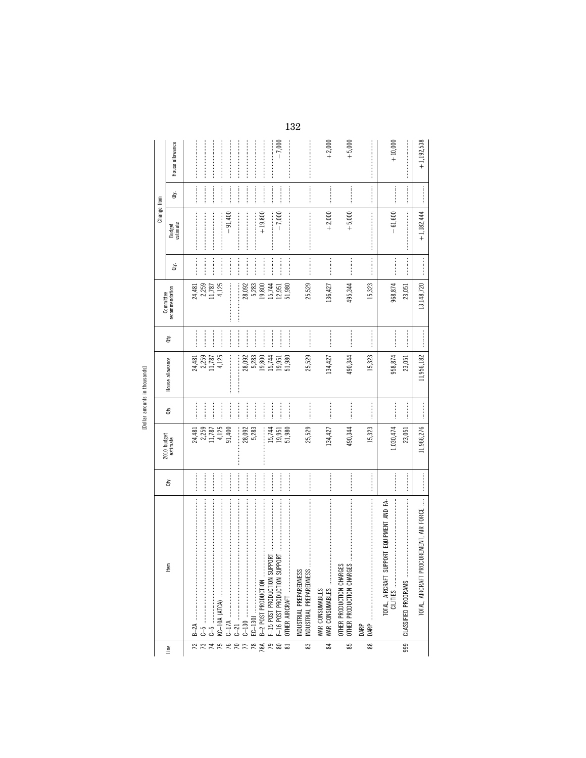| ź      |  |
|--------|--|
| J.     |  |
| 4<br>ł |  |
|        |  |

|                  |                                                                                                                                                                                                                                                                                                                                                                                                                                                                                                                                   |                |                                    |                |                            |                     |                              |                                                                                                                                                                                                                                                                                                                                                                                                                                                                                                                                              | Change from        |                  |                 |
|------------------|-----------------------------------------------------------------------------------------------------------------------------------------------------------------------------------------------------------------------------------------------------------------------------------------------------------------------------------------------------------------------------------------------------------------------------------------------------------------------------------------------------------------------------------|----------------|------------------------------------|----------------|----------------------------|---------------------|------------------------------|----------------------------------------------------------------------------------------------------------------------------------------------------------------------------------------------------------------------------------------------------------------------------------------------------------------------------------------------------------------------------------------------------------------------------------------------------------------------------------------------------------------------------------------------|--------------------|------------------|-----------------|
| Line             | Item                                                                                                                                                                                                                                                                                                                                                                                                                                                                                                                              | đý.            | 2010 budget<br>estimate            | à.             | House allowance            | à.                  | recommendation<br>Committee  | ਛੋ                                                                                                                                                                                                                                                                                                                                                                                                                                                                                                                                           | Budget<br>estimate | đý.              | House allowance |
| 72               |                                                                                                                                                                                                                                                                                                                                                                                                                                                                                                                                   |                |                                    | <br> <br> <br> |                            | :<br>:<br>:         |                              |                                                                                                                                                                                                                                                                                                                                                                                                                                                                                                                                              |                    |                  |                 |
|                  |                                                                                                                                                                                                                                                                                                                                                                                                                                                                                                                                   |                | 24,481<br>2,259<br>11,787<br>4,125 | <br> <br>      | 24,481<br>2,259<br>11,787  | <br> <br> <br>      | 24, 481<br>2, 259<br>11, 787 |                                                                                                                                                                                                                                                                                                                                                                                                                                                                                                                                              |                    |                  |                 |
|                  |                                                                                                                                                                                                                                                                                                                                                                                                                                                                                                                                   |                |                                    | $\frac{1}{2}$  |                            |                     |                              |                                                                                                                                                                                                                                                                                                                                                                                                                                                                                                                                              |                    |                  |                 |
| $\frac{1}{7750}$ |                                                                                                                                                                                                                                                                                                                                                                                                                                                                                                                                   |                |                                    | İ              | 4,125                      |                     | 4,125                        |                                                                                                                                                                                                                                                                                                                                                                                                                                                                                                                                              |                    | :<br>:<br>:<br>: |                 |
|                  |                                                                                                                                                                                                                                                                                                                                                                                                                                                                                                                                   |                | 91,400                             |                |                            | <br> <br> <br>      |                              |                                                                                                                                                                                                                                                                                                                                                                                                                                                                                                                                              | $-91,400$          |                  |                 |
| $R \frac{7}{7}$  |                                                                                                                                                                                                                                                                                                                                                                                                                                                                                                                                   |                | 28,092                             |                | İ                          | <br> <br> <br> <br> | 28,092                       |                                                                                                                                                                                                                                                                                                                                                                                                                                                                                                                                              |                    |                  |                 |
|                  |                                                                                                                                                                                                                                                                                                                                                                                                                                                                                                                                   | <br>           | 5,283                              |                | 28,092<br>5,283            | <br>:<br>:<br>:     | 5,283                        |                                                                                                                                                                                                                                                                                                                                                                                                                                                                                                                                              |                    |                  |                 |
|                  | EC-130J<br>B-2 POST PRODUCTION                                                                                                                                                                                                                                                                                                                                                                                                                                                                                                    |                | I                                  |                | 19,800                     | <br> <br> <br>      | 19,800                       |                                                                                                                                                                                                                                                                                                                                                                                                                                                                                                                                              | $+19,800$          |                  |                 |
| 8800             |                                                                                                                                                                                                                                                                                                                                                                                                                                                                                                                                   |                | 15,744                             | <br> <br> <br> |                            | <br> <br> <br>      | 15,744                       |                                                                                                                                                                                                                                                                                                                                                                                                                                                                                                                                              |                    | <br> <br>        | :<br>:<br>:     |
|                  |                                                                                                                                                                                                                                                                                                                                                                                                                                                                                                                                   |                | 19,951<br>51,980                   |                | 15,744<br>19,951<br>51,980 |                     | 12,951                       |                                                                                                                                                                                                                                                                                                                                                                                                                                                                                                                                              | $-7,000$           |                  | $-7,000$        |
|                  |                                                                                                                                                                                                                                                                                                                                                                                                                                                                                                                                   |                |                                    |                |                            |                     | 51,980                       |                                                                                                                                                                                                                                                                                                                                                                                                                                                                                                                                              |                    |                  |                 |
| 33               | INDUSTRIAL PREPAREDNESS<br>INDUSTRIAL PREPAREDNESS                                                                                                                                                                                                                                                                                                                                                                                                                                                                                |                | 25,529                             | <br> <br>      | 25,529                     | <br> <br>           | 25,529                       | $\begin{minipage}{0.9\linewidth} \begin{minipage}{0.9\linewidth} \begin{minipage}{0.9\linewidth} \end{minipage} \begin{minipage}{0.9\linewidth} \begin{minipage}{0.9\linewidth} \end{minipage} \begin{minipage}{0.9\linewidth} \end{minipage} \begin{minipage}{0.9\linewidth} \end{minipage} \begin{minipage}{0.9\linewidth} \begin{minipage}{0.9\linewidth} \end{minipage} \begin{minipage}{0.9\linewidth} \end{minipage} \begin{minipage}{0.9\linewidth} \end{minipage} \begin{minipage}{0.9\linewidth} \end{minipage} \begin{minipage}{0$ |                    |                  |                 |
| $\approx$        | $\label{def:1} \begin{split} \mathcal{L}_{\mathcal{A}}(\mathcal{A})&=\mathcal{L}_{\mathcal{A}}(\mathcal{A})\otimes\mathcal{L}_{\mathcal{A}}(\mathcal{A})\otimes\mathcal{L}_{\mathcal{A}}(\mathcal{A})\otimes\mathcal{L}_{\mathcal{A}}(\mathcal{A})\otimes\mathcal{L}_{\mathcal{A}}(\mathcal{A})\otimes\mathcal{L}_{\mathcal{A}}(\mathcal{A})\otimes\mathcal{L}_{\mathcal{A}}(\mathcal{A})\otimes\mathcal{L}_{\mathcal{A}}(\mathcal{A})\otimes\mathcal{L}_{\mathcal{A}}(\mathcal{A})\otimes$<br>WAR CONSUMABLES<br>WAR CONSUMABLES |                | 134,427                            |                | 134,427                    |                     | 136,427                      |                                                                                                                                                                                                                                                                                                                                                                                                                                                                                                                                              | $+2,000$           |                  | $+2,000$        |
| 85               | OTHER PRODUCTION CHARGES<br>OTHER PRODUCTION CHARGES                                                                                                                                                                                                                                                                                                                                                                                                                                                                              | <br> <br> <br> | 490,344                            | <br> <br>      | 490,344                    |                     | 495,344                      | <br> <br> <br>                                                                                                                                                                                                                                                                                                                                                                                                                                                                                                                               | $+5,000$           |                  | $+5,000$        |
| $\frac{8}{8}$    | DARP                                                                                                                                                                                                                                                                                                                                                                                                                                                                                                                              |                | 15,323                             | —<br>;<br>;    | 15,323                     |                     | 15,323                       |                                                                                                                                                                                                                                                                                                                                                                                                                                                                                                                                              |                    |                  |                 |
|                  |                                                                                                                                                                                                                                                                                                                                                                                                                                                                                                                                   |                | 1,030,474                          |                | 958,874                    |                     | 968,874                      | <br> <br> <br>                                                                                                                                                                                                                                                                                                                                                                                                                                                                                                                               | $-61,600$          |                  | $+10,000$       |
| 999              |                                                                                                                                                                                                                                                                                                                                                                                                                                                                                                                                   |                | 23,051                             |                | 23,051                     | <br> <br>           | 23,051                       |                                                                                                                                                                                                                                                                                                                                                                                                                                                                                                                                              |                    |                  |                 |
|                  | CUREMENT, AIR FORCE<br>TOTAL, AIRCRAFT PRO                                                                                                                                                                                                                                                                                                                                                                                                                                                                                        |                | 11,966,276                         |                | 11,956,182                 |                     | 13, 148, 720                 |                                                                                                                                                                                                                                                                                                                                                                                                                                                                                                                                              | $+1,182,444$       |                  | $+1,192,538$    |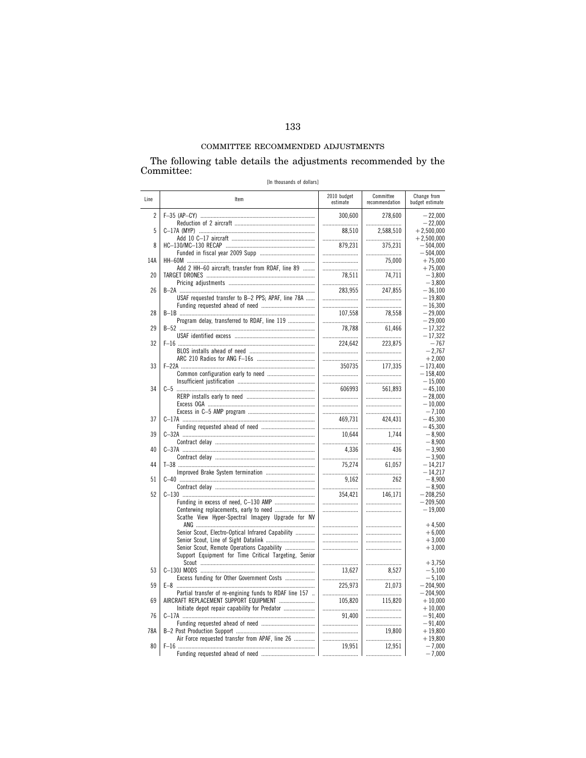# The following table details the adjustments recommended by the Committee:  $\,$

[In thousands of dollars]

| Line           | Item                                                   | 2010 budget<br>estimate | Committee<br>recommendation | Change from<br>budget estimate |
|----------------|--------------------------------------------------------|-------------------------|-----------------------------|--------------------------------|
| $\overline{c}$ |                                                        | 300.600                 | 278.600                     | $-22,000$                      |
|                |                                                        |                         |                             | $-22,000$                      |
| 5              |                                                        | 88,510                  | 2,588,510                   | $+2,500,000$                   |
|                |                                                        |                         |                             | $+2,500,000$                   |
| 8              |                                                        | 879,231                 | 375,231                     | $-504,000$                     |
| 14A            |                                                        |                         |                             | $-504,000$                     |
|                |                                                        |                         | 75,000                      | $+75,000$                      |
| 20             | Add 2 HH-60 aircraft; transfer from RDAF, line 89      |                         |                             | $+75.000$                      |
|                |                                                        | 78,511                  | 74,711                      | $-3,800$                       |
| 26             |                                                        |                         |                             | $-3,800$                       |
|                |                                                        | 283,955                 | 247,855                     | $-36,100$                      |
|                | USAF requested transfer to B-2 PPS; APAF, line 78A     |                         |                             | $-19,800$                      |
|                |                                                        |                         |                             | $-16,300$                      |
| 28             |                                                        | 107,558                 | 78,558                      | $-29,000$                      |
|                | Program delay, transferred to RDAF, line 119           |                         |                             | $-29,000$                      |
| 29             |                                                        | 78.788                  | 61,466                      | $-17,322$<br>$-17,322$         |
| 32             |                                                        | 224.642                 | 223,875                     | $-767$<br>$-2,767$             |
| 33             |                                                        |                         |                             | $+2,000$                       |
|                |                                                        | 350735                  | 177,335                     | $-173,400$                     |
|                |                                                        |                         |                             | $-158.400$                     |
|                |                                                        |                         |                             | $-15,000$                      |
| 34             |                                                        | 606993                  | 561,893                     | $-45,100$                      |
|                |                                                        |                         |                             | $-28,000$                      |
|                |                                                        |                         |                             | $-10.000$                      |
|                |                                                        |                         |                             | $-7.100$                       |
| 37             |                                                        | 469.731                 | 424.431                     | $-45.300$                      |
|                |                                                        |                         |                             | $-45,300$                      |
| 39             |                                                        | 10,644                  | 1,744                       | $-8,900$                       |
|                |                                                        |                         |                             | $-8,900$                       |
| 40             |                                                        | 4.336                   | 436                         | $-3.900$                       |
|                |                                                        |                         |                             | $-3,900$                       |
| 44             |                                                        | 75,274                  | 61,057                      | $-14,217$<br>$-14.217$         |
| 51             |                                                        | <br>9.162               | 262                         | $-8.900$                       |
| 52             |                                                        |                         |                             | $-8,900$                       |
|                |                                                        | 354,421                 | 146,171                     | $-208,250$                     |
|                | Scathe View Hyper-Spectral Imagery Upgrade for NV      |                         |                             | $-209,500$<br>$-19,000$        |
|                |                                                        |                         |                             | $+4,500$                       |
|                | Senior Scout, Electro-Optical Infrared Capability      |                         |                             | $+6,000$                       |
|                |                                                        |                         |                             | $+3,000$                       |
|                | Senior Scout, Remote Operations Capability             |                         |                             | $+3,000$                       |
|                | Support Equipment for Time Critical Targeting, Senior  |                         |                             | $+3.750$                       |
| 53             |                                                        | 13.627                  | 8.527                       | $-5.100$                       |
|                | Excess funding for Other Government Costs              |                         |                             | $-5,100$                       |
| 59             |                                                        | 225,973                 | 21,073                      | $-204,900$                     |
|                | Partial transfer of re-engining funds to RDAF line 157 |                         |                             | $-204,900$                     |
| 69             | AIRCRAFT REPLACEMENT SUPPORT EQUIPMENT                 | 105.820                 | 115,820                     | $+10,000$                      |
|                |                                                        |                         |                             | $+10,000$                      |
| 76             |                                                        | 91,400                  |                             | $-91,400$                      |
|                |                                                        |                         |                             | $-91,400$                      |
| 78A            | Air Force requested transfer from APAF, line 26        |                         | 19.800                      | $+19,800$<br>$+19,800$         |
| 80             |                                                        | 19,951<br>              | 12,951                      | $-7,000$<br>$-7,000$           |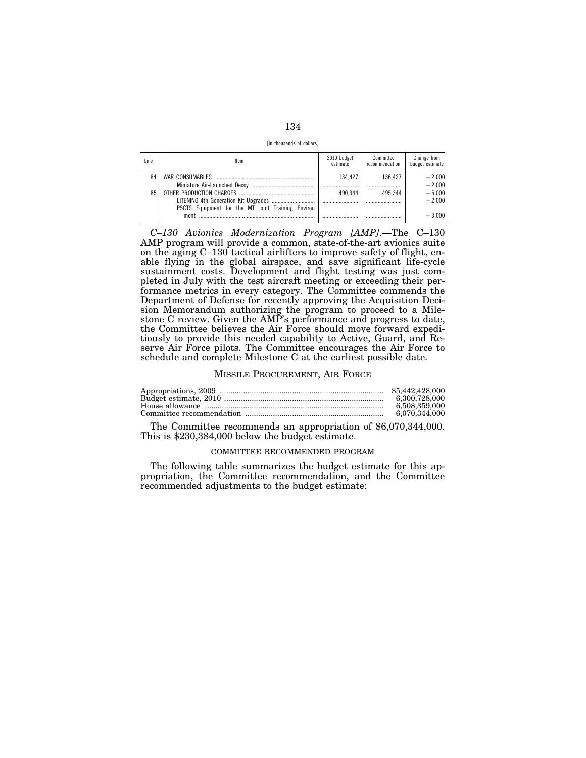[In thousands of dollars]

| Line | Item                                              | 2010 budget<br>estimate | Committee<br>recommendation | Change from<br>budget estimate |
|------|---------------------------------------------------|-------------------------|-----------------------------|--------------------------------|
| 84   |                                                   | 134.427<br>             | 136.427<br>                 | $+2,000$<br>$+2,000$           |
| 85   | P5CTS Equipment for the MT Joint Training Environ | 490 344                 | 495 344                     | $+5,000$<br>$+2.000$           |
|      | ment                                              |                         |                             | $+3.000$                       |

*C–130 Avionics Modernization Program [AMP]*.—The C–130 AMP program will provide a common, state-of-the-art avionics suite on the aging C–130 tactical airlifters to improve safety of flight, enable flying in the global airspace, and save significant life-cycle sustainment costs. Development and flight testing was just completed in July with the test aircraft meeting or exceeding their performance metrics in every category. The Committee commends the Department of Defense for recently approving the Acquisition Decision Memorandum authorizing the program to proceed to a Milestone C review. Given the AMP's performance and progress to date, the Committee believes the Air Force should move forward expeditiously to provide this needed capability to Active, Guard, and Reserve Air Force pilots. The Committee encourages the Air Force to schedule and complete Milestone C at the earliest possible date.

#### MISSILE PROCUREMENT, AIR FORCE

| 6.300.728.000 |
|---------------|
| 6.508.359.000 |
| 6.070.344.000 |

The Committee recommends an appropriation of \$6,070,344,000. This is \$230,384,000 below the budget estimate.

### COMMITTEE RECOMMENDED PROGRAM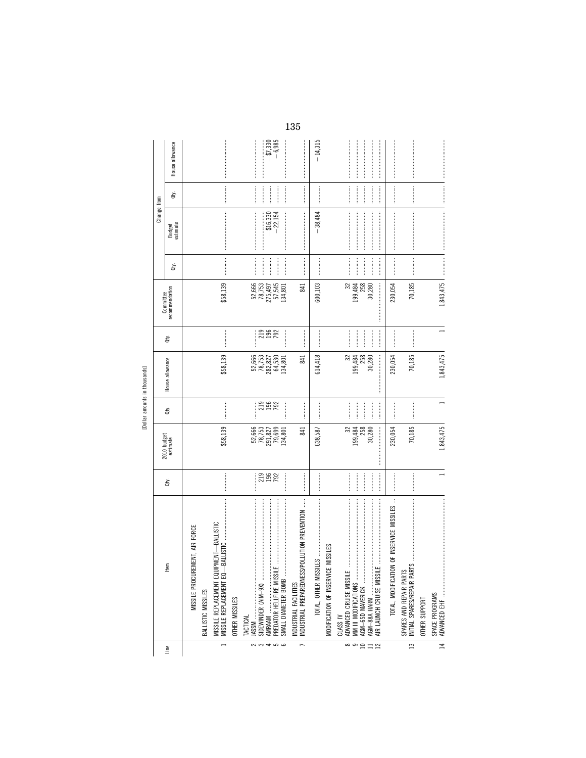[Dollar amounts in thousands]

|                                             |             | House allowance             |                                |                    |                                                                                                 |                |                 |                                                                                     | $-$ \$7,330<br>$-$ 6,985                                   | $\begin{minipage}{0.9\linewidth} \begin{tabular}{l} \hline \textbf{1} & \textbf{2} & \textbf{3} & \textbf{4} & \textbf{5} & \textbf{6} & \textbf{6} & \textbf{7} & \textbf{8} & \textbf{9} & \textbf{10} & \textbf{10} & \textbf{10} & \textbf{10} & \textbf{10} & \textbf{10} & \textbf{10} & \textbf{10} & \textbf{10} & \textbf{10} & \textbf{10} & \textbf{10} & \textbf{10} & \textbf{10} & \textbf{10} & \textbf{10$ | $-14,315$                  |                                              |                              |                |                                                                                                                                                                                                                                                                                                                                                                                                                                                                                                                                                                          |                                                                                                                                                                                                                                                                                                                                                                                                                                                                                                                             |                                                            |               |                |
|---------------------------------------------|-------------|-----------------------------|--------------------------------|--------------------|-------------------------------------------------------------------------------------------------|----------------|-----------------|-------------------------------------------------------------------------------------|------------------------------------------------------------|----------------------------------------------------------------------------------------------------------------------------------------------------------------------------------------------------------------------------------------------------------------------------------------------------------------------------------------------------------------------------------------------------------------------------|----------------------------|----------------------------------------------|------------------------------|----------------|--------------------------------------------------------------------------------------------------------------------------------------------------------------------------------------------------------------------------------------------------------------------------------------------------------------------------------------------------------------------------------------------------------------------------------------------------------------------------------------------------------------------------------------------------------------------------|-----------------------------------------------------------------------------------------------------------------------------------------------------------------------------------------------------------------------------------------------------------------------------------------------------------------------------------------------------------------------------------------------------------------------------------------------------------------------------------------------------------------------------|------------------------------------------------------------|---------------|----------------|
|                                             |             |                             |                                |                    |                                                                                                 |                |                 |                                                                                     |                                                            |                                                                                                                                                                                                                                                                                                                                                                                                                            |                            |                                              |                              |                |                                                                                                                                                                                                                                                                                                                                                                                                                                                                                                                                                                          |                                                                                                                                                                                                                                                                                                                                                                                                                                                                                                                             |                                                            |               |                |
|                                             |             | đý.                         |                                |                    |                                                                                                 |                |                 |                                                                                     | $\frac{1}{2}$                                              |                                                                                                                                                                                                                                                                                                                                                                                                                            |                            |                                              |                              |                |                                                                                                                                                                                                                                                                                                                                                                                                                                                                                                                                                                          | $\begin{minipage}{0.9\linewidth} \begin{tabular}{l} \toprule \multicolumn{3}{c}{\textbf{0.9\linewidth}} \begin{tabular}{l} \multicolumn{3}{c}{\textbf{0.9\linewidth}} \end{tabular} \end{minipage} \end{minipage} \begin{minipage}{0.9\linewidth} \begin{tabular}{l} \multicolumn{3}{c}{\textbf{0.9\linewidth}} \end{tabular} \end{minipage} \end{minipage} \begin{minipage}{0.9\linewidth} \begin{tabular}{l} \multicolumn{3}{c}{\textbf{0.9\linewidth}} \end{tabular} \end{minipage} \end{minipage} \begin{minipage}{0.9$ | $\frac{1}{2}$                                              |               |                |
|                                             | Change from | Budget<br>estimate          |                                |                    |                                                                                                 |                |                 |                                                                                     | $- $16,330$<br>$-22.154$                                   | $\label{eq:3}$                                                                                                                                                                                                                                                                                                                                                                                                             | $-38,484$                  |                                              |                              |                |                                                                                                                                                                                                                                                                                                                                                                                                                                                                                                                                                                          |                                                                                                                                                                                                                                                                                                                                                                                                                                                                                                                             |                                                            |               |                |
|                                             |             | È                           |                                |                    |                                                                                                 |                |                 |                                                                                     |                                                            |                                                                                                                                                                                                                                                                                                                                                                                                                            |                            |                                              |                              |                |                                                                                                                                                                                                                                                                                                                                                                                                                                                                                                                                                                          | $\begin{minipage}{0.9\linewidth} \begin{tabular}{l} \hline \textbf{1} & \textbf{2} & \textbf{3} & \textbf{4} & \textbf{5} & \textbf{6} & \textbf{6} & \textbf{7} & \textbf{8} & \textbf{8} & \textbf{9} & \textbf{10} & \textbf{10} & \textbf{10} & \textbf{10} & \textbf{10} & \textbf{10} & \textbf{10} & \textbf{10} & \textbf{10} & \textbf{10} & \textbf{10} & \textbf{10} & \textbf{10} & \textbf{10} & \textbf{10}$                                                                                                  |                                                            |               |                |
|                                             |             | Committee<br>recommendation |                                |                    | \$58,139                                                                                        |                |                 | 52,666<br>78,753                                                                    | 275,497<br>57,545<br>134,801                               | 841                                                                                                                                                                                                                                                                                                                                                                                                                        | 600,103                    |                                              | $\approx$                    | 199,484<br>258 | 30,280                                                                                                                                                                                                                                                                                                                                                                                                                                                                                                                                                                   | 230,054                                                                                                                                                                                                                                                                                                                                                                                                                                                                                                                     | 70,185                                                     |               | 1,843,475      |
|                                             |             | Qty.                        |                                |                    |                                                                                                 |                |                 |                                                                                     | 2982                                                       |                                                                                                                                                                                                                                                                                                                                                                                                                            |                            |                                              |                              | $\frac{1}{2}$  | $\begin{minipage}{0.9\linewidth} \begin{tabular}{l} \toprule \multicolumn{2}{c}{\textbf{0.9\linewidth}} \begin{tabular}{l} \multicolumn{2}{c}{\textbf{0.9\linewidth}} \end{tabular} \end{minipage} \end{minipage} \vspace{0.08\linewidth} \end{minipage} \vspace{0.08\linewidth} \begin{minipage}{0.9\linewidth} \begin{tabular}{l} \multicolumn{2}{c}{\textbf{0.9\linewidth}} \end{tabular} \end{minipage} \vspace{0.08\linewidth} \end{minipage} \vspace{0.08\linewidth} \caption{A system of the model and the model of the model. The model of the$<br>$\frac{1}{2}$ |                                                                                                                                                                                                                                                                                                                                                                                                                                                                                                                             |                                                            |               |                |
| lining alling in the property of the lining |             | House allowance             |                                |                    | \$58,139                                                                                        |                |                 | $\begin{array}{l} 52,666\\ 78,753\\ 78,827\\ 82,830\\ 64,530\\ 134,801 \end{array}$ |                                                            | 841                                                                                                                                                                                                                                                                                                                                                                                                                        | 614,418                    |                                              | 32<br>199,484                | 258            | $\label{eq:conformal} \begin{split} \mathcal{L}_{\text{in}}(\mathcal{L}_{\text{in}}(\mathcal{L}_{\text{in}}(\mathcal{L}_{\text{in}}(\mathcal{L}_{\text{in}}(\mathcal{L}_{\text{in}}(\mathcal{L}_{\text{in}}(\mathcal{L}_{\text{in}}(\mathcal{L}_{\text{in}}(\mathcal{L}_{\text{in}}(\mathcal{L}_{\text{in}}(\mathcal{L}_{\text{in}}(\mathcal{L}_{\text{in}}(\mathcal{L}_{\text{in}}(\mathcal{L}_{\text{in}}(\mathcal{L}_{\text{in}}(\mathcal{L}_{\text{in}}(\mathcal{L}_{\text{in}}(\mathcal{L}_{\text$<br>30,280                                                        | 230,054                                                                                                                                                                                                                                                                                                                                                                                                                                                                                                                     | 70,185                                                     |               | 1,843,475      |
|                                             |             | È                           |                                |                    |                                                                                                 |                |                 |                                                                                     | 2382                                                       |                                                                                                                                                                                                                                                                                                                                                                                                                            |                            |                                              | <b><i><u><u></u></u></i></b> | $\frac{1}{2}$  | $\frac{1}{2}$                                                                                                                                                                                                                                                                                                                                                                                                                                                                                                                                                            |                                                                                                                                                                                                                                                                                                                                                                                                                                                                                                                             |                                                            |               |                |
|                                             |             | 2010 budget<br>estimate     |                                |                    | \$58,139                                                                                        |                |                 | 52,666<br>78,753                                                                    | 291,827<br>79,699<br>134,801                               | 841                                                                                                                                                                                                                                                                                                                                                                                                                        | 638,587                    |                                              | K                            | 199,484<br>258 | 30,280                                                                                                                                                                                                                                                                                                                                                                                                                                                                                                                                                                   | 230,054                                                                                                                                                                                                                                                                                                                                                                                                                                                                                                                     | 70,185                                                     |               | 1,843,475      |
|                                             |             | Qty.                        |                                |                    |                                                                                                 |                |                 |                                                                                     | 21982                                                      |                                                                                                                                                                                                                                                                                                                                                                                                                            |                            |                                              |                              | $\frac{1}{2}$  |                                                                                                                                                                                                                                                                                                                                                                                                                                                                                                                                                                          | ,,,,,,,,,,,,,,                                                                                                                                                                                                                                                                                                                                                                                                                                                                                                              |                                                            |               |                |
|                                             |             | Item                        | MISSILE PROCUREMENT, AIR FORCE | BALLISTIC MISSILES | $\vdots$<br>BALLISTIC<br>PMENT-BALLISTIC<br>MISSILE REPLACEMENT EQUI<br>MISSILE REPLACEMENT EQ— | OTHER MISSILES | <b>TACTICAL</b> |                                                                                     | AMRAAM<br>PREDATOR HELLFIRE MISSILE<br>SMALL DIAMETER BOMB | $\vdots$<br>INDUSTRIAL FACILITIES<br>INDUSTRIAL PREPAREDNESS/POLLUTION PREVENTION                                                                                                                                                                                                                                                                                                                                          | $ -$<br>TOTAL, OTHER MISSI | <b>MISSILES</b><br>MODIFICATION OF INSERVICE | <b>CLASS IV</b>              |                | ADVANCED CRUISE MISSILE<br>MW III MODIFICATIONS<br>AGM- 56D MAVERICK<br>AIR LAUNCH CRUISE MISSILE                                                                                                                                                                                                                                                                                                                                                                                                                                                                        | OF INSERVICE MISSILES<br>TOTAL, MODIFICATION                                                                                                                                                                                                                                                                                                                                                                                                                                                                                | S<br>SPARES AND REPAIR PARTS<br>INITIAL SPARES/REPAIR PART | OTHER SUPPORT | SPACE PROGRAMS |
|                                             |             | Line                        |                                |                    |                                                                                                 |                |                 | 23                                                                                  | 450                                                        |                                                                                                                                                                                                                                                                                                                                                                                                                            |                            |                                              | ထ တ                          |                | $\Xi \Xi$                                                                                                                                                                                                                                                                                                                                                                                                                                                                                                                                                                |                                                                                                                                                                                                                                                                                                                                                                                                                                                                                                                             | $\overline{13}$                                            |               | $\frac{1}{4}$  |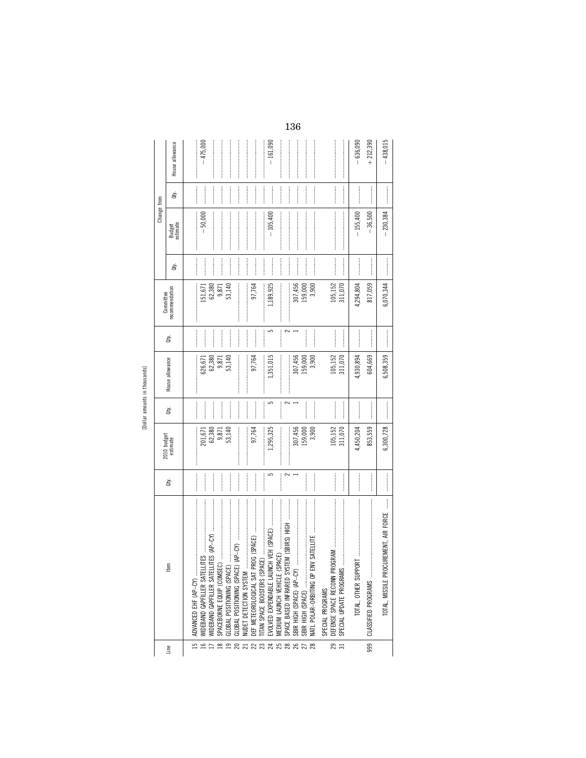| è       |  |
|---------|--|
| I<br>×. |  |
| ō       |  |
|         |  |

|                 |                                                     |             |                         |                |                 |           | Committee      |     | Change from                                                                                                                                                                                                                                                                                                                                                                                                                                                                                                                           |                                                                                                                                                                                                                                                                                                                                                                                                                                                                                                                             |                 |
|-----------------|-----------------------------------------------------|-------------|-------------------------|----------------|-----------------|-----------|----------------|-----|---------------------------------------------------------------------------------------------------------------------------------------------------------------------------------------------------------------------------------------------------------------------------------------------------------------------------------------------------------------------------------------------------------------------------------------------------------------------------------------------------------------------------------------|-----------------------------------------------------------------------------------------------------------------------------------------------------------------------------------------------------------------------------------------------------------------------------------------------------------------------------------------------------------------------------------------------------------------------------------------------------------------------------------------------------------------------------|-----------------|
| Line            | ltem                                                | à.          | 2010 budget<br>estimate | đý.            | House allowance | đť.       | recommendation | đý. | Budget<br>estimate                                                                                                                                                                                                                                                                                                                                                                                                                                                                                                                    | à,                                                                                                                                                                                                                                                                                                                                                                                                                                                                                                                          | House allowance |
| $\overline{15}$ | ADVANCED EHF (AP-CY)                                |             |                         |                |                 |           |                |     |                                                                                                                                                                                                                                                                                                                                                                                                                                                                                                                                       |                                                                                                                                                                                                                                                                                                                                                                                                                                                                                                                             |                 |
| 16              | WIDEBAND GAPFILLER SATEL                            |             | 201,671                 | İ              | 626,671         | <br> <br> | 151,671        |     | $-50,000$                                                                                                                                                                                                                                                                                                                                                                                                                                                                                                                             |                                                                                                                                                                                                                                                                                                                                                                                                                                                                                                                             | $-475,000$      |
|                 | WIDEBAND GAPFILLER SATELI                           |             | 62,380                  |                | 62,380          |           | 62,380         |     |                                                                                                                                                                                                                                                                                                                                                                                                                                                                                                                                       |                                                                                                                                                                                                                                                                                                                                                                                                                                                                                                                             |                 |
| $\approx$       | SPACEBORNE EQUIP (COMSE                             |             | 9,871<br>53,140         |                | 9,871           |           | 9,871          |     |                                                                                                                                                                                                                                                                                                                                                                                                                                                                                                                                       |                                                                                                                                                                                                                                                                                                                                                                                                                                                                                                                             |                 |
| $\mathbf{r}$    | GLOBAL POSITIONING (SPACE                           | :<br>:<br>: |                         |                | 53,140          |           | 53,140         |     |                                                                                                                                                                                                                                                                                                                                                                                                                                                                                                                                       |                                                                                                                                                                                                                                                                                                                                                                                                                                                                                                                             |                 |
|                 | GLOBAL POSITIONING (SPACE                           |             |                         |                |                 |           |                |     |                                                                                                                                                                                                                                                                                                                                                                                                                                                                                                                                       |                                                                                                                                                                                                                                                                                                                                                                                                                                                                                                                             |                 |
|                 | NUDET DETECTION SYSTEM                              |             | <br> <br> <br>          | <br> <br> <br> |                 |           |                |     |                                                                                                                                                                                                                                                                                                                                                                                                                                                                                                                                       |                                                                                                                                                                                                                                                                                                                                                                                                                                                                                                                             |                 |
|                 |                                                     |             | 97,764                  |                | 97,764          |           | 97,764         |     |                                                                                                                                                                                                                                                                                                                                                                                                                                                                                                                                       |                                                                                                                                                                                                                                                                                                                                                                                                                                                                                                                             |                 |
|                 | ITAN SPACE BOOSTERS (SPA                            |             |                         |                |                 |           |                |     | $\label{def:1} \begin{minipage}{0.9\linewidth} \begin{minipage}{0.9\linewidth} \begin{minipage}{0.9\linewidth} \begin{minipage}{0.9\linewidth} \end{minipage} \end{minipage} \end{minipage} \begin{minipage}{0.9\linewidth} \begin{minipage}{0.9\linewidth} \begin{minipage}{0.9\linewidth} \begin{minipage}{0.9\linewidth} \end{minipage} \end{minipage} \end{minipage} \end{minipage} \begin{minipage}{0.9\linewidth} \begin{minipage}{0.9\linewidth} \begin{minipage}{0.9\linewidth} \end{minipage} \end{minipage} \end{minipage}$ | $\begin{minipage}{0.9\linewidth} \begin{tabular}{l} \toprule \multicolumn{3}{c}{\textbf{0.9\linewidth}} \begin{tabular}{l} \multicolumn{3}{c}{\textbf{0.9\linewidth}} \end{tabular} \end{minipage} \end{minipage} \begin{minipage}{0.9\linewidth} \begin{tabular}{l} \multicolumn{3}{c}{\textbf{0.9\linewidth}} \end{tabular} \end{minipage} \end{minipage} \begin{minipage}{0.9\linewidth} \begin{tabular}{l} \multicolumn{3}{c}{\textbf{0.9\linewidth}} \end{tabular} \end{minipage} \end{minipage} \begin{minipage}{0.9$ |                 |
|                 | EVOLVED EXPENDABLE LAUN                             | دی          | 1,295,325               | 5              | 1,351,015       |           | 1,189,925      |     | $-105,400$                                                                                                                                                                                                                                                                                                                                                                                                                                                                                                                            |                                                                                                                                                                                                                                                                                                                                                                                                                                                                                                                             | $-161,090$      |
|                 | MEDIUM LAUNCH VEHICLE (SF                           |             |                         |                |                 |           |                |     |                                                                                                                                                                                                                                                                                                                                                                                                                                                                                                                                       |                                                                                                                                                                                                                                                                                                                                                                                                                                                                                                                             |                 |
|                 | SPACE BASED INFRARED SYST                           | $\sim$      |                         |                |                 |           |                |     |                                                                                                                                                                                                                                                                                                                                                                                                                                                                                                                                       |                                                                                                                                                                                                                                                                                                                                                                                                                                                                                                                             |                 |
|                 | SBIR HIGH (SPACE) (AP-CY)                           |             | 307,456                 |                | 307,456         |           | 307,456        |     |                                                                                                                                                                                                                                                                                                                                                                                                                                                                                                                                       |                                                                                                                                                                                                                                                                                                                                                                                                                                                                                                                             |                 |
|                 | SBIR HIGH (SPACE)                                   |             | 159,000                 |                | 159,000         |           | 159,000        |     |                                                                                                                                                                                                                                                                                                                                                                                                                                                                                                                                       |                                                                                                                                                                                                                                                                                                                                                                                                                                                                                                                             |                 |
|                 |                                                     |             | 3,900                   |                | 3,900           |           | 3,900          |     |                                                                                                                                                                                                                                                                                                                                                                                                                                                                                                                                       |                                                                                                                                                                                                                                                                                                                                                                                                                                                                                                                             |                 |
|                 | SPECIAL PROGRAMS                                    |             |                         |                |                 |           |                |     |                                                                                                                                                                                                                                                                                                                                                                                                                                                                                                                                       |                                                                                                                                                                                                                                                                                                                                                                                                                                                                                                                             |                 |
| $\frac{1}{3}$   | DEFENSE SPACE RECONN PRO<br>SPECIAL UPDATE PROGRAMS |             | 105,152                 |                | 105,152         |           | 105,152        |     | $\begin{minipage}{0.9\linewidth} \begin{tabular}{l} \hline \textbf{1} & \textbf{1} & \textbf{1} & \textbf{1} & \textbf{1} & \textbf{1} & \textbf{1} & \textbf{1} & \textbf{1} & \textbf{1} & \textbf{1} & \textbf{1} & \textbf{1} & \textbf{1} & \textbf{1} & \textbf{1} & \textbf{1} & \textbf{1} & \textbf{1} & \textbf{1} & \textbf{1} & \textbf{1} & \textbf{1} & \textbf{1} & \textbf{1} & \textbf{1} & \textbf{1} & \textbf{1} &$                                                                                               | $\begin{array}{ccccccccccccc} \multicolumn{2}{c}{} & \multicolumn{2}{c}{} & \multicolumn{2}{c}{} & \multicolumn{2}{c}{} & \multicolumn{2}{c}{} & \multicolumn{2}{c}{} & \multicolumn{2}{c}{} & \multicolumn{2}{c}{} & \multicolumn{2}{c}{} & \multicolumn{2}{c}{} & \multicolumn{2}{c}{} & \multicolumn{2}{c}{} & \multicolumn{2}{c}{} & \multicolumn{2}{c}{} & \multicolumn{2}{c}{} & \multicolumn{2}{c}{} & \multicolumn{2}{c}{} & \multicolumn{2}{c}{} & \multicolumn{2}{c}{} & \$                                       |                 |
|                 |                                                     |             | 311,070                 |                | 311,070         |           | 311,070        |     |                                                                                                                                                                                                                                                                                                                                                                                                                                                                                                                                       |                                                                                                                                                                                                                                                                                                                                                                                                                                                                                                                             |                 |
|                 |                                                     |             | 4,450,204               |                | 4,930,894       |           | 4,294,804      |     | $-155,400$                                                                                                                                                                                                                                                                                                                                                                                                                                                                                                                            |                                                                                                                                                                                                                                                                                                                                                                                                                                                                                                                             | $-636,090$      |
| 999             |                                                     |             | 853,559                 |                | 604,669         |           | 817,059        |     | $-36,500$                                                                                                                                                                                                                                                                                                                                                                                                                                                                                                                             |                                                                                                                                                                                                                                                                                                                                                                                                                                                                                                                             | $+212,390$      |
|                 | <br> <br> <br>TOTAL. MISSILE PROCUREMENT. AIR FORCE | <br> <br>   | 6,300,728               |                | 6,508,359       |           | 6,070,344      |     | $-230.384$                                                                                                                                                                                                                                                                                                                                                                                                                                                                                                                            | :<br>:<br>:<br>:                                                                                                                                                                                                                                                                                                                                                                                                                                                                                                            | $-438.015$      |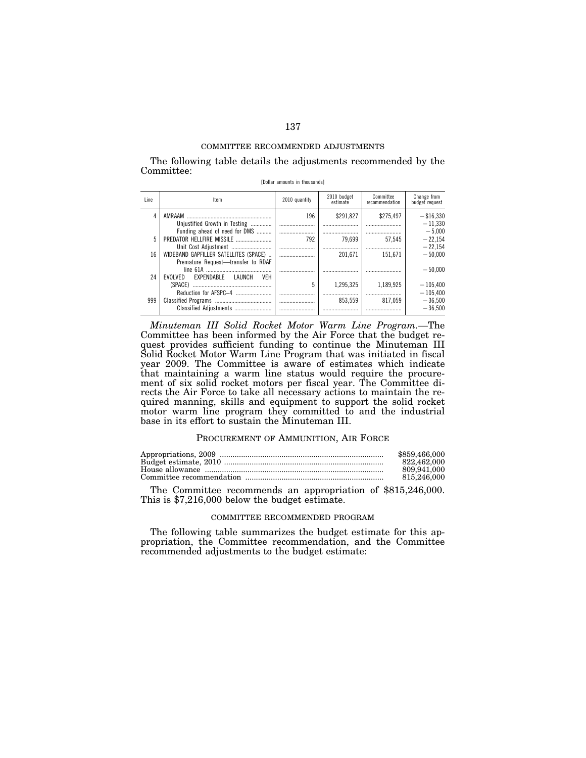The following table details the adjustments recommended by the Committee: [Dollar amounts in thousands]

|      |                                                               |               | 2010 budget | Committee      | Change from    |
|------|---------------------------------------------------------------|---------------|-------------|----------------|----------------|
| Line | Item                                                          | 2010 quantity | estimate    | recommendation | budget request |
| 4    | AMRAAM                                                        | 196           | \$291.827   | \$275.497      | $-$ \$16.330   |
|      | Unjustified Growth in Testing                                 |               |             |                | $-11.330$      |
|      | Funding ahead of need for DMS                                 |               |             |                | $-5.000$       |
| 5    | PREDATOR HELLFIRE MISSILE                                     | 792           | 79.699      | 57.545         | $-22.154$      |
|      | Unit Cost Adjustment                                          |               |             |                | $-22.154$      |
| 16   | WIDEBAND GAPFILLER SATELLITES (SPACE)                         |               | 201.671     | 151.671        | $= 50.000$     |
|      | Premature Request-transfer to RDAF                            |               |             |                |                |
|      |                                                               |               |             |                | $-50.000$      |
| 24   | FXPFNDARI F<br><b>VFH</b><br><b>I AUNCH</b><br><b>FVOLVED</b> |               |             |                |                |
|      | (SPACE)                                                       | 5             | 1.295.325   | 1.189.925      | $-105.400$     |
|      |                                                               |               |             |                | $-105.400$     |
| 999  |                                                               |               | 853.559     | 817.059        | $-36.500$      |
|      | Classified Adjustments                                        |               |             |                | $-36.500$      |

*Minuteman III Solid Rocket Motor Warm Line Program.*—The Committee has been informed by the Air Force that the budget request provides sufficient funding to continue the Minuteman III Solid Rocket Motor Warm Line Program that was initiated in fiscal year 2009. The Committee is aware of estimates which indicate that maintaining a warm line status would require the procurement of six solid rocket motors per fiscal year. The Committee directs the Air Force to take all necessary actions to maintain the required manning, skills and equipment to support the solid rocket motor warm line program they committed to and the industrial base in its effort to sustain the Minuteman III.

### PROCUREMENT OF AMMUNITION, AIR FORCE

| \$859,466,000 |
|---------------|
| 822.462.000   |
| 809.941.000   |
| 815,246,000   |
|               |

The Committee recommends an appropriation of \$815,246,000. This is \$7,216,000 below the budget estimate.

### COMMITTEE RECOMMENDED PROGRAM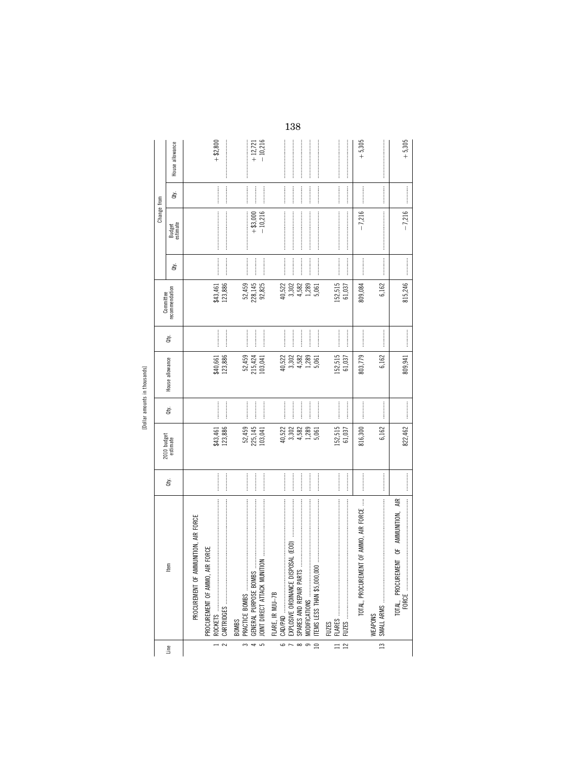| ł        |  |
|----------|--|
| J,<br>J. |  |
| î<br>Ŧ.  |  |
|          |  |

|                                         |                                                                                                                                                                                                                                                                                                                                                                                                                                                                                                                                                                                                                                                                                                                                                                                                                                                                                                                                                                                                                                                                                                                 |                                                                                                                                                                                                                                                                                                                                                                                                                                                                                                                                                               |                                            |                                                                                                                                                                                                                                                                                                                                                                                                                                                                                                                                                    |                                            |           | Committee                                  |                                                                                                                                                                                                                                                                                                                                                                                                                            | Change from                                                                                                                                                                                                                                                                                                                                                                                                                                                                                                                                    |                                                                                                                                                                                                                                                                                                                                                                                                                                                                                                                                          |                                       |
|-----------------------------------------|-----------------------------------------------------------------------------------------------------------------------------------------------------------------------------------------------------------------------------------------------------------------------------------------------------------------------------------------------------------------------------------------------------------------------------------------------------------------------------------------------------------------------------------------------------------------------------------------------------------------------------------------------------------------------------------------------------------------------------------------------------------------------------------------------------------------------------------------------------------------------------------------------------------------------------------------------------------------------------------------------------------------------------------------------------------------------------------------------------------------|---------------------------------------------------------------------------------------------------------------------------------------------------------------------------------------------------------------------------------------------------------------------------------------------------------------------------------------------------------------------------------------------------------------------------------------------------------------------------------------------------------------------------------------------------------------|--------------------------------------------|----------------------------------------------------------------------------------------------------------------------------------------------------------------------------------------------------------------------------------------------------------------------------------------------------------------------------------------------------------------------------------------------------------------------------------------------------------------------------------------------------------------------------------------------------|--------------------------------------------|-----------|--------------------------------------------|----------------------------------------------------------------------------------------------------------------------------------------------------------------------------------------------------------------------------------------------------------------------------------------------------------------------------------------------------------------------------------------------------------------------------|------------------------------------------------------------------------------------------------------------------------------------------------------------------------------------------------------------------------------------------------------------------------------------------------------------------------------------------------------------------------------------------------------------------------------------------------------------------------------------------------------------------------------------------------|------------------------------------------------------------------------------------------------------------------------------------------------------------------------------------------------------------------------------------------------------------------------------------------------------------------------------------------------------------------------------------------------------------------------------------------------------------------------------------------------------------------------------------------|---------------------------------------|
| Line                                    | Item                                                                                                                                                                                                                                                                                                                                                                                                                                                                                                                                                                                                                                                                                                                                                                                                                                                                                                                                                                                                                                                                                                            | ġ                                                                                                                                                                                                                                                                                                                                                                                                                                                                                                                                                             | 2010 budget<br>estimate                    | Qty.                                                                                                                                                                                                                                                                                                                                                                                                                                                                                                                                               | House allowance                            | Qty.      | recommendation                             | ਛੇ                                                                                                                                                                                                                                                                                                                                                                                                                         | Budget<br>estimate                                                                                                                                                                                                                                                                                                                                                                                                                                                                                                                             | đý.                                                                                                                                                                                                                                                                                                                                                                                                                                                                                                                                      | House allowance                       |
|                                         | PROCUREMENT OF AMMUNITION, AIR FORCE                                                                                                                                                                                                                                                                                                                                                                                                                                                                                                                                                                                                                                                                                                                                                                                                                                                                                                                                                                                                                                                                            |                                                                                                                                                                                                                                                                                                                                                                                                                                                                                                                                                               |                                            |                                                                                                                                                                                                                                                                                                                                                                                                                                                                                                                                                    |                                            |           |                                            |                                                                                                                                                                                                                                                                                                                                                                                                                            |                                                                                                                                                                                                                                                                                                                                                                                                                                                                                                                                                |                                                                                                                                                                                                                                                                                                                                                                                                                                                                                                                                          |                                       |
| $\overline{\mathbf{c}}$                 | PROCUREMENT OF AMMO, AIR FORCE                                                                                                                                                                                                                                                                                                                                                                                                                                                                                                                                                                                                                                                                                                                                                                                                                                                                                                                                                                                                                                                                                  | <br> <br> <br>                                                                                                                                                                                                                                                                                                                                                                                                                                                                                                                                                | 123,886<br>\$43,461                        | $\frac{1}{2}$                                                                                                                                                                                                                                                                                                                                                                                                                                                                                                                                      | 123,886<br>\$40,661                        |           | 123,886<br>\$43,461                        | $\cdots$                                                                                                                                                                                                                                                                                                                                                                                                                   |                                                                                                                                                                                                                                                                                                                                                                                                                                                                                                                                                | <br> <br>                                                                                                                                                                                                                                                                                                                                                                                                                                                                                                                                | $+ $2,800$                            |
| $\overline{4}$<br>$\tilde{\phantom{1}}$ | GENERAL PURPOSE BOMBS<br>JOINT DIRECT ATTACK MUNIT!<br>PRACTICE BOMBS<br>BOMBS                                                                                                                                                                                                                                                                                                                                                                                                                                                                                                                                                                                                                                                                                                                                                                                                                                                                                                                                                                                                                                  |                                                                                                                                                                                                                                                                                                                                                                                                                                                                                                                                                               | 52,459<br>225,145<br>103,041               | <br> <br>                                                                                                                                                                                                                                                                                                                                                                                                                                                                                                                                          | 52,459<br>215,424<br>103,041               |           | 92,825<br>52,459<br>228, 145               | <b>Continued by September</b>                                                                                                                                                                                                                                                                                                                                                                                              | $-10,216$<br>$+ $3,000$                                                                                                                                                                                                                                                                                                                                                                                                                                                                                                                        |                                                                                                                                                                                                                                                                                                                                                                                                                                                                                                                                          | $+12,721$<br>$-10,216$<br>:<br>:<br>: |
| $\overline{10}$<br>ص<br>$\infty$        | $\label{def:1} \begin{minipage}{0.9\linewidth} \begin{minipage}{0.9\linewidth} \begin{minipage}{0.9\linewidth} \begin{minipage}{0.9\linewidth} \end{minipage} \begin{minipage}{0.9\linewidth} \begin{minipage}{0.9\linewidth} \end{minipage} \begin{minipage}{0.9\linewidth} \begin{minipage}{0.9\linewidth} \end{minipage} \begin{minipage}{0.9\linewidth} \end{minipage} \begin{minipage}{0.9\linewidth} \begin{minipage}{0.9\linewidth} \end{minipage} \begin{minipage}{0.9\linewidth} \end{minipage} \begin{minipage}{0.9\linewidth} \end$<br>$\label{def:1} \begin{minipage}{0.9\linewidth} \begin{minipage}{0.9\linewidth} \begin{minipage}{0.9\linewidth} \begin{minipage}{0.9\linewidth} \end{minipage} \begin{minipage}{0.9\linewidth} \begin{minipage}{0.9\linewidth} \end{minipage} \end{minipage} \begin{minipage}{0.9\linewidth} \begin{minipage}{0.9\linewidth} \begin{minipage}{0.9\linewidth} \end{minipage} \end{minipage} \end{minipage} \begin{minipage}{0.9\linewidth} \begin{minipage}{0.9\linewidth} \begin{minipage}{0.9\linewidth} \end{minipage} \end{minipage} \$<br>FLARE, IR MJU-7B |                                                                                                                                                                                                                                                                                                                                                                                                                                                                                                                                                               | 40,522<br>3,302<br>1,289<br>4,582<br>5,061 |                                                                                                                                                                                                                                                                                                                                                                                                                                                                                                                                                    | 4,582<br>1,289<br>40,522<br>3,302<br>5,061 | <br> <br> | 40,522<br>3,302<br>1,289<br>4,582<br>5,061 |                                                                                                                                                                                                                                                                                                                                                                                                                            | $\label{def:conformal} \begin{split} \mathcal{L}_{\mathcal{F}}(\mathcal{F}) = \mathcal{L}_{\mathcal{F}}(\mathcal{F}) = \mathcal{L}_{\mathcal{F}}(\mathcal{F}) = \mathcal{L}_{\mathcal{F}}(\mathcal{F}) = \mathcal{L}_{\mathcal{F}}(\mathcal{F}) = \mathcal{L}_{\mathcal{F}}(\mathcal{F}) = \mathcal{L}_{\mathcal{F}}(\mathcal{F}) = \mathcal{L}_{\mathcal{F}}(\mathcal{F}) = \mathcal{L}_{\mathcal{F}}(\mathcal{F}) = \mathcal{L}_{\mathcal{F}}(\mathcal{F}) = \mathcal{L}_{\mathcal{F}}(\mathcal{$                                            |                                                                                                                                                                                                                                                                                                                                                                                                                                                                                                                                          |                                       |
| $\equiv$<br>$\overline{12}$             | <b>FUZES</b>                                                                                                                                                                                                                                                                                                                                                                                                                                                                                                                                                                                                                                                                                                                                                                                                                                                                                                                                                                                                                                                                                                    | $\begin{minipage}{0.9\linewidth} \begin{minipage}{0.9\linewidth} \begin{minipage}{0.9\linewidth} \end{minipage} \begin{minipage}{0.9\linewidth} \begin{minipage}{0.9\linewidth} \end{minipage} \end{minipage} \begin{minipage}{0.9\linewidth} \begin{minipage}{0.9\linewidth} \begin{minipage}{0.9\linewidth} \end{minipage} \end{minipage} \begin{minipage}{0.9\linewidth} \begin{minipage}{0.9\linewidth} \end{minipage} \end{minipage} \begin{minipage}{0.9\linewidth} \begin{minipage}{0.9\linewidth} \end{minipage} \end{minipage} \$<br> <br> <br> <br> | 152,515<br>61,037                          |                                                                                                                                                                                                                                                                                                                                                                                                                                                                                                                                                    | 152,515<br>61,037                          |           | 152,515<br>61,037                          | $\begin{minipage}{0.9\linewidth} \begin{tabular}{l} \hline \textbf{1} & \textbf{2} & \textbf{3} & \textbf{4} & \textbf{5} & \textbf{6} & \textbf{6} & \textbf{7} & \textbf{8} & \textbf{8} & \textbf{9} & \textbf{10} & \textbf{10} & \textbf{10} & \textbf{10} & \textbf{10} & \textbf{10} & \textbf{10} & \textbf{10} & \textbf{10} & \textbf{10} & \textbf{10} & \textbf{10} & \textbf{10} & \textbf{10} & \textbf{10}$ | $\label{def:conformal} \begin{minipage}{0.9\linewidth} \begin{minipage}{0.9\linewidth} \begin{minipage}{0.9\linewidth} \begin{minipage}{0.9\linewidth} \end{minipage} \end{minipage} \begin{minipage}{0.9\linewidth} \begin{minipage}{0.9\linewidth} \begin{minipage}{0.9\linewidth} \end{minipage} \end{minipage} \end{minipage} \begin{minipage}{0.9\linewidth} \begin{minipage}{0.9\linewidth} \begin{minipage}{0.9\linewidth} \end{minipage} \end{minipage} \end{minipage} \begin{minipage}{0.9\linewidth} \begin{minipage}{0.9\linewidth$ | $\label{eq:1} \begin{minipage}{0.9\linewidth} \begin{minipage}{0.9\linewidth} \begin{minipage}{0.9\linewidth} \end{minipage} \begin{minipage}{0.9\linewidth} \begin{minipage}{0.9\linewidth} \end{minipage} \end{minipage} \begin{minipage}{0.9\linewidth} \begin{minipage}{0.9\linewidth} \begin{minipage}{0.9\linewidth} \end{minipage} \end{minipage} \end{minipage} \begin{minipage}{0.9\linewidth} \begin{minipage}{0.9\linewidth} \end{minipage} \end{minipage} \begin{minipage}{0.9\linewidth} \begin{minipage}{0.9\linewidth} \$ |                                       |
|                                         | NT OF AMMO, AIR FORCE<br>TOTAL, PROCUREMEI<br>WEAPONS                                                                                                                                                                                                                                                                                                                                                                                                                                                                                                                                                                                                                                                                                                                                                                                                                                                                                                                                                                                                                                                           | <br> <br> <br>                                                                                                                                                                                                                                                                                                                                                                                                                                                                                                                                                | 816,300                                    |                                                                                                                                                                                                                                                                                                                                                                                                                                                                                                                                                    | 803,779                                    | <br> <br> | 809,084                                    | <br> <br> <br>                                                                                                                                                                                                                                                                                                                                                                                                             | $-7,216$                                                                                                                                                                                                                                                                                                                                                                                                                                                                                                                                       | <br> <br> <br>                                                                                                                                                                                                                                                                                                                                                                                                                                                                                                                           | $+5,305$                              |
| $\frac{13}{2}$                          |                                                                                                                                                                                                                                                                                                                                                                                                                                                                                                                                                                                                                                                                                                                                                                                                                                                                                                                                                                                                                                                                                                                 |                                                                                                                                                                                                                                                                                                                                                                                                                                                                                                                                                               | 6,162                                      |                                                                                                                                                                                                                                                                                                                                                                                                                                                                                                                                                    | 6,162                                      |           | 6,162                                      |                                                                                                                                                                                                                                                                                                                                                                                                                            |                                                                                                                                                                                                                                                                                                                                                                                                                                                                                                                                                |                                                                                                                                                                                                                                                                                                                                                                                                                                                                                                                                          |                                       |
|                                         |                                                                                                                                                                                                                                                                                                                                                                                                                                                                                                                                                                                                                                                                                                                                                                                                                                                                                                                                                                                                                                                                                                                 |                                                                                                                                                                                                                                                                                                                                                                                                                                                                                                                                                               | 822,462                                    | $\begin{minipage}{0.5\textwidth} \centering \begin{minipage}{0.5\textwidth} \centering \end{minipage} \begin{minipage}{0.5\textwidth} \centering \begin{minipage}{0.5\textwidth} \centering \end{minipage} \end{minipage} \begin{minipage}{0.5\textwidth} \centering \end{minipage} \begin{minipage}{0.5\textwidth} \centering \end{minipage} \begin{minipage}{0.5\textwidth} \centering \end{minipage} \begin{minipage}{0.5\textwidth} \centering \end{minipage} \begin{minipage}{0.5\textwidth} \centering \end{minipage} \begin{minipage}{0.5\$ | 809,941                                    |           | 815,246                                    |                                                                                                                                                                                                                                                                                                                                                                                                                            | $-7,216$                                                                                                                                                                                                                                                                                                                                                                                                                                                                                                                                       |                                                                                                                                                                                                                                                                                                                                                                                                                                                                                                                                          | $+5,305$                              |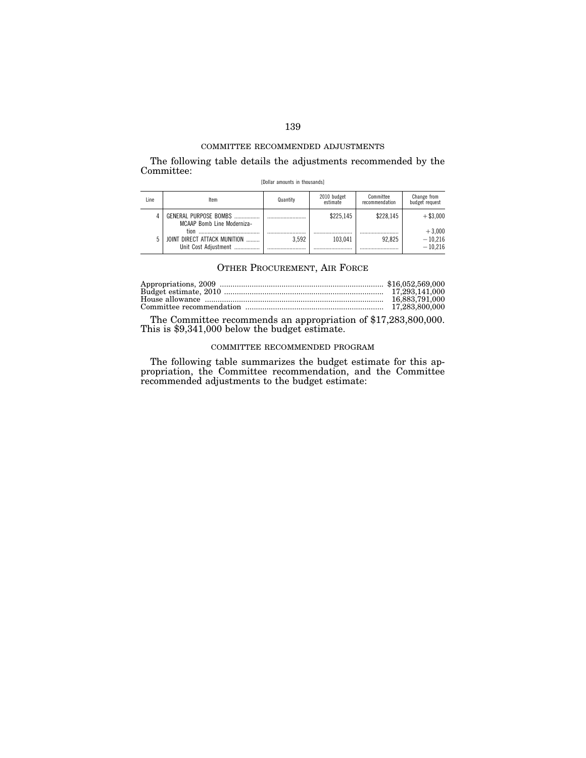The following table details the adjustments recommended by the Committee:

|  |  |  | [Dollar amounts in thousands] |
|--|--|--|-------------------------------|
|--|--|--|-------------------------------|

| Line | Item                                                         | Quantity | 2010 budget<br>estimate | Committee<br>recommendation | Change from<br>budget request      |
|------|--------------------------------------------------------------|----------|-------------------------|-----------------------------|------------------------------------|
|      | GENERAL PURPOSE BOMBS<br><b>MCAAP Bomb Line Moderniza-</b>   |          | \$225.145               | \$228.145                   | $+$ \$3.000                        |
|      | tion<br>JOINT DIRECT ATTACK MUNITION<br>Unit Cost Adiustment | 3.592    | 103.041                 | 92.825                      | $+3.000$<br>$-10,216$<br>$-10.216$ |

## OTHER PROCUREMENT, AIR FORCE

The Committee recommends an appropriation of \$17,283,800,000. This is \$9,341,000 below the budget estimate.

## COMMITTEE RECOMMENDED PROGRAM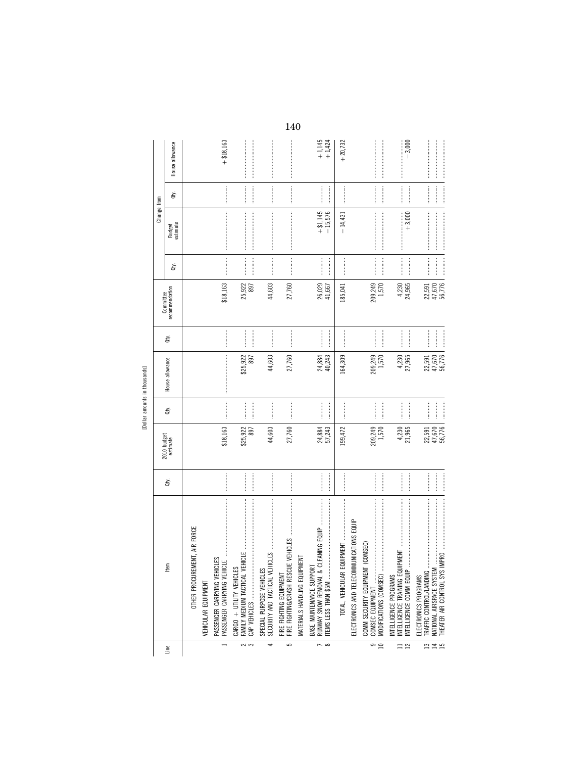[Dollar amounts in thousands] [Dollar amounts in thousands]

|                                    |                                                                                                                                                                                                                                                                                                                                                                                                                                                                                                                                            |                |                            |                |                                                                                                                                                                                                                                                                                                                                                                                                                                                                                                                                           |                   | Committee                  |           | Change from             |               |                                                                                                                                                                                                                                                                                                                                                                                                                                                                                                                                           |
|------------------------------------|--------------------------------------------------------------------------------------------------------------------------------------------------------------------------------------------------------------------------------------------------------------------------------------------------------------------------------------------------------------------------------------------------------------------------------------------------------------------------------------------------------------------------------------------|----------------|----------------------------|----------------|-------------------------------------------------------------------------------------------------------------------------------------------------------------------------------------------------------------------------------------------------------------------------------------------------------------------------------------------------------------------------------------------------------------------------------------------------------------------------------------------------------------------------------------------|-------------------|----------------------------|-----------|-------------------------|---------------|-------------------------------------------------------------------------------------------------------------------------------------------------------------------------------------------------------------------------------------------------------------------------------------------------------------------------------------------------------------------------------------------------------------------------------------------------------------------------------------------------------------------------------------------|
| Line                               | Item                                                                                                                                                                                                                                                                                                                                                                                                                                                                                                                                       | ਛੇ             | 2010 budget<br>estimate    | È              | House allowance                                                                                                                                                                                                                                                                                                                                                                                                                                                                                                                           | È                 | recommendation             | È         | Budget<br>estimate      | à             | House allowance                                                                                                                                                                                                                                                                                                                                                                                                                                                                                                                           |
|                                    | OTHER PROCUREMENT, AIR FORCE                                                                                                                                                                                                                                                                                                                                                                                                                                                                                                               |                |                            |                |                                                                                                                                                                                                                                                                                                                                                                                                                                                                                                                                           |                   |                            |           |                         |               |                                                                                                                                                                                                                                                                                                                                                                                                                                                                                                                                           |
|                                    | VEHICULAR EQUIPMENT                                                                                                                                                                                                                                                                                                                                                                                                                                                                                                                        |                |                            |                |                                                                                                                                                                                                                                                                                                                                                                                                                                                                                                                                           |                   |                            |           |                         |               |                                                                                                                                                                                                                                                                                                                                                                                                                                                                                                                                           |
|                                    | ICLES<br>PASSENGER CARRYING VEHI<br>PASSENGER CARRYING VEHI                                                                                                                                                                                                                                                                                                                                                                                                                                                                                |                | \$18,163                   |                | $\label{def:1} \begin{minipage}{0.9\linewidth} \begin{minipage}{0.9\linewidth} \begin{minipage}{0.9\linewidth} \begin{minipage}{0.9\linewidth} \end{minipage} \end{minipage} \begin{minipage}{0.9\linewidth} \begin{minipage}{0.9\linewidth} \begin{minipage}{0.9\linewidth} \end{minipage} \end{minipage} \end{minipage} \begin{minipage}{0.9\linewidth} \begin{minipage}{0.9\linewidth} \begin{minipage}{0.9\linewidth} \end{minipage} \end{minipage} \end{minipage} \begin{minipage}{0.9\linewidth} \begin{minipage}{0.9\linewidth} \$ |                   | \$18,163                   |           |                         |               | $+ $18,163$                                                                                                                                                                                                                                                                                                                                                                                                                                                                                                                               |
| $\sim$ $\infty$                    | FAMILY MEDIUM TACTICAL VEHICLE<br>CARGO + UTILITY VEHICLES                                                                                                                                                                                                                                                                                                                                                                                                                                                                                 | <br> <br> <br> | \$25,922<br>897            |                | \$25,922<br>897                                                                                                                                                                                                                                                                                                                                                                                                                                                                                                                           | <br> <br> <br>    | 25,922<br>897              |           |                         |               |                                                                                                                                                                                                                                                                                                                                                                                                                                                                                                                                           |
| 4                                  | SPECIAL PURPOSE VEHICLES                                                                                                                                                                                                                                                                                                                                                                                                                                                                                                                   |                | 44,603                     |                | 44,603                                                                                                                                                                                                                                                                                                                                                                                                                                                                                                                                    |                   | 44,603                     |           |                         |               | $\label{def:1} \begin{minipage}{0.9\linewidth} \begin{minipage}{0.9\linewidth} \begin{minipage}{0.9\linewidth} \begin{minipage}{0.9\linewidth} \end{minipage} \begin{minipage}{0.9\linewidth} \begin{minipage}{0.9\linewidth} \end{minipage} \end{minipage} \begin{minipage}{0.9\linewidth} \begin{minipage}{0.9\linewidth} \begin{minipage}{0.9\linewidth} \end{minipage} \end{minipage} \end{minipage} \begin{minipage}{0.9\linewidth} \begin{minipage}{0.9\linewidth} \end{minipage} \end{minipage} \begin{minipage}{0.9\linewidth} \$ |
| دی                                 |                                                                                                                                                                                                                                                                                                                                                                                                                                                                                                                                            |                | 27,760                     |                | 27,760                                                                                                                                                                                                                                                                                                                                                                                                                                                                                                                                    |                   | 27,760                     |           |                         |               |                                                                                                                                                                                                                                                                                                                                                                                                                                                                                                                                           |
|                                    | MATERIALS HANDLING EQUIPMENT                                                                                                                                                                                                                                                                                                                                                                                                                                                                                                               |                |                            |                |                                                                                                                                                                                                                                                                                                                                                                                                                                                                                                                                           |                   |                            |           |                         |               |                                                                                                                                                                                                                                                                                                                                                                                                                                                                                                                                           |
| $\sim \infty$                      | RUNWAY SNOW REMOVAL & CLEANING EQUIP<br>BASE MAINTENANCE SUPPORT<br>ITEMS LESS THAN \$5M                                                                                                                                                                                                                                                                                                                                                                                                                                                   | <u>.</u>       | 24,884<br>57,243           |                | 24,884<br>40,243                                                                                                                                                                                                                                                                                                                                                                                                                                                                                                                          | <br> <br>         | 26,029<br>41,667           |           | $+ $1,145$<br>$-15,576$ |               | $+1,145$<br>+1,424                                                                                                                                                                                                                                                                                                                                                                                                                                                                                                                        |
|                                    | $\vdots$<br>TOTAL, VEHICULAR                                                                                                                                                                                                                                                                                                                                                                                                                                                                                                               |                | 199,472                    |                | 164,309                                                                                                                                                                                                                                                                                                                                                                                                                                                                                                                                   |                   | 185,041                    |           | $-14,431$               |               | $+20,732$                                                                                                                                                                                                                                                                                                                                                                                                                                                                                                                                 |
|                                    | ELECTRONICS AND TELECOMMUNICATIONS EQUIP                                                                                                                                                                                                                                                                                                                                                                                                                                                                                                   |                |                            |                |                                                                                                                                                                                                                                                                                                                                                                                                                                                                                                                                           |                   |                            |           |                         |               |                                                                                                                                                                                                                                                                                                                                                                                                                                                                                                                                           |
| $\frac{9}{10}$                     |                                                                                                                                                                                                                                                                                                                                                                                                                                                                                                                                            |                | 209,249<br>1,570           |                | 209,249<br>1,570                                                                                                                                                                                                                                                                                                                                                                                                                                                                                                                          |                   | 209,249<br>1,570           |           |                         |               |                                                                                                                                                                                                                                                                                                                                                                                                                                                                                                                                           |
| $\equiv$ $\approx$                 | <b>IPMENT</b><br>NTELLIGENCE COMM EQUIP<br>INTELLIGENCE TRAINING EQ<br>INTELLIGENCE PROGRAMS                                                                                                                                                                                                                                                                                                                                                                                                                                               | <br> <br> <br> | 4,230<br>21,965            | <br> <br> <br> | 4,230<br>27,965                                                                                                                                                                                                                                                                                                                                                                                                                                                                                                                           | <br>$\frac{1}{2}$ | 4,230<br>24,965            | <br> <br> | $+3,000$                | $\frac{1}{2}$ | $-3,000$                                                                                                                                                                                                                                                                                                                                                                                                                                                                                                                                  |
| $\frac{13}{14}$<br>$\overline{15}$ | $\begin{minipage}{0.9\linewidth} \begin{tabular}{l} \hline \textbf{1} & \textbf{2} & \textbf{3} & \textbf{4} & \textbf{5} & \textbf{6} & \textbf{6} & \textbf{7} & \textbf{8} & \textbf{9} & \textbf{10} & \textbf{10} & \textbf{10} & \textbf{10} & \textbf{10} & \textbf{10} & \textbf{10} & \textbf{10} & \textbf{10} & \textbf{10} & \textbf{10} & \textbf{10} & \textbf{10} & \textbf{10} & \textbf{10} & \textbf{10$<br>THEATER AIR CONTROL SYS IMPRO<br>NATIONAL AIRSPACE SYSTEM<br>TRAFFIC CONTROL/LANDING<br>ELECTRONICS PROGRAMS |                | 22,591<br>47,670<br>56,776 | $\frac{1}{2}$  | 22,591<br>47,670<br>56,776                                                                                                                                                                                                                                                                                                                                                                                                                                                                                                                |                   | 56,776<br>22,591<br>47,670 |           |                         |               |                                                                                                                                                                                                                                                                                                                                                                                                                                                                                                                                           |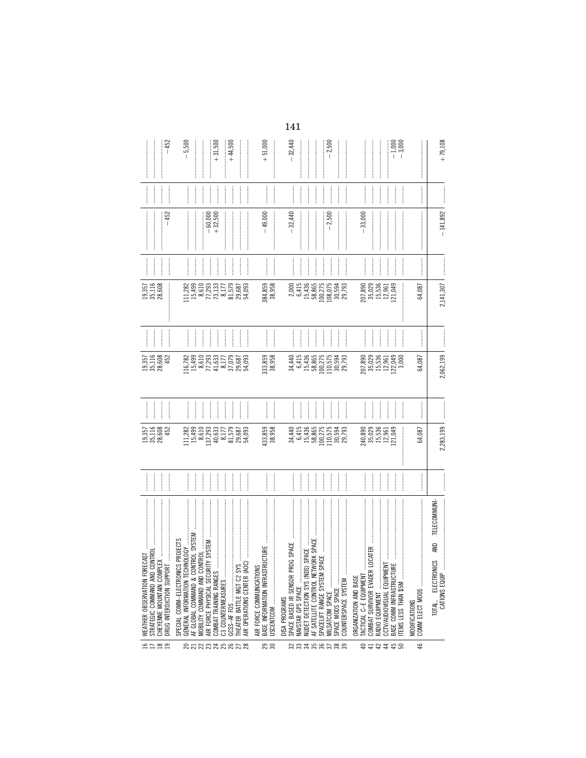| 19,357<br>35,116<br>28,608                                    | $-452$<br>$-452$<br>$\frac{1}{2}$ | $-5,500$<br>$\begin{array}{c} 111.282 \\ 15,499 \\ 8,610 \\ 8,729 \\ 7,73 \\ 8,13 \\ 8,177 \\ 8,579 \\ 81,579 \\ 29,687 \\ \end{array}$ |                                    | $+31,500$<br>$-60,000$<br>+32,500<br> <br> <br> | <br> <br> <br> | $+44,500$<br> <br> <br> <br> <br> <br> <br>   | 54,093               | $+51,000$<br>$\begin{minipage}{0.9\linewidth} \begin{tabular}{l} \toprule \multicolumn{2}{c}{\textbf{0.9\linewidth}} \begin{tabular}{l} \multicolumn{2}{c}{\textbf{0.9\linewidth}} \end{tabular} \end{minipage} \end{minipage} \vspace{0.08\linewidth} \end{minipage} \vspace{0.08\linewidth} \begin{minipage}{0.9\linewidth} \begin{tabular}{l} \multicolumn{2}{c}{\textbf{0.9\linewidth}} \end{tabular} \end{minipage} \vspace{0.08\linewidth} \end{minipage} \vspace{0.08\linewidth} \caption{A system of the model and the model of the model. The model of the$<br>$\frac{1}{2}$<br>$-49,000$<br>384,859<br>38,958 | $-32,440$<br>$-32,440$<br> <br> <br> <br>2,000           | <br> <br> <br> <br>6,415 | 15,436<br>58,865                                                                     | $-2,500$<br> <br> <br> <br> <br> <br> <br> <br>100,275<br>108,075 | $-2,500$                            | 30,594<br>29,793         |                       | 33,000<br> <br> <br> <br>207,890<br>35,029<br>15,536<br>12,961        | <br> <br>                 | $-1,000$<br>$-3,000$<br>121,049 |                     | 64,087                                  | $\label{def:1} \begin{minipage}{0.9\linewidth} \begin{minipage}{0.9\linewidth} \begin{minipage}{0.9\linewidth} \begin{minipage}{0.9\linewidth} \end{minipage} \begin{minipage}{0.9\linewidth} \begin{minipage}{0.9\linewidth} \end{minipage} \end{minipage} \end{minipage} \begin{minipage}{0.9\linewidth} \begin{minipage}{0.9\linewidth} \begin{minipage}{0.9\linewidth} \end{minipage} \end{minipage} \end{minipage} \begin{minipage}{0.9\linewidth} \begin{minipage}{0.9\linewidth} \begin{minipage}{0.9\linewidth} \end{minipage} \$<br>$\begin{minipage}{0.9\linewidth} \begin{tabular}{l} \toprule \multicolumn{3}{c}{\textbf{0.9\linewidth}} \begin{tabular}{l} \multicolumn{3}{c}{\textbf{0.9\linewidth}} \end{tabular} \end{minipage} \end{minipage} \begin{minipage}{0.9\linewidth} \begin{tabular}{l} \multicolumn{3}{c}{\textbf{0.9\linewidth}} \end{tabular} \end{minipage} \end{minipage} \begin{minipage}{0.9\linewidth} \begin{tabular}{l} \multicolumn{3}{c}{\textbf{0.9\linewidth}} \end{tabular} \end{minipage} \end{minipage} \begin{minipage}{0.9$ | $+79,108$<br>$-141,892$<br>2,141,307                                                                                                                                                                                                                                                                                                                                                                                                                                                                                            |
|---------------------------------------------------------------|-----------------------------------|-----------------------------------------------------------------------------------------------------------------------------------------|------------------------------------|-------------------------------------------------|----------------|-----------------------------------------------|----------------------|-------------------------------------------------------------------------------------------------------------------------------------------------------------------------------------------------------------------------------------------------------------------------------------------------------------------------------------------------------------------------------------------------------------------------------------------------------------------------------------------------------------------------------------------------------------------------------------------------------------------------|----------------------------------------------------------|--------------------------|--------------------------------------------------------------------------------------|-------------------------------------------------------------------|-------------------------------------|--------------------------|-----------------------|-----------------------------------------------------------------------|---------------------------|---------------------------------|---------------------|-----------------------------------------|--------------------------------------------------------------------------------------------------------------------------------------------------------------------------------------------------------------------------------------------------------------------------------------------------------------------------------------------------------------------------------------------------------------------------------------------------------------------------------------------------------------------------------------------------------------------------------------------------------------------------------------------------------------------------------------------------------------------------------------------------------------------------------------------------------------------------------------------------------------------------------------------------------------------------------------------------------------------------------------------------------------------------------------------------------------------------|---------------------------------------------------------------------------------------------------------------------------------------------------------------------------------------------------------------------------------------------------------------------------------------------------------------------------------------------------------------------------------------------------------------------------------------------------------------------------------------------------------------------------------|
| 19,357<br>35,116<br>28,608                                    | $\frac{1}{2}$<br>452              | <br>16,782<br>15,499<br>15,612,933<br>15,633,775<br>15,687<br>54,687<br>54,683                                                          |                                    | <br> <br>                                       |                | <br> <br> <br>                                |                      | 333,859<br>38,958                                                                                                                                                                                                                                                                                                                                                                                                                                                                                                                                                                                                       |                                                          |                          | l<br>34415<br>644365<br>3885<br>3885                                                 | <br> <br> <br>100,275                                             | 110,575                             | 30,594<br>29,793         |                       | $\begin{bmatrix} 207,890 \\ 35,029 \\ 15,536 \\ 12,961 \end{bmatrix}$ | <br> <br>                 | 122,049                         | 3,000               | 64,087                                  |                                                                                                                                                                                                                                                                                                                                                                                                                                                                                                                                                                                                                                                                                                                                                                                                                                                                                                                                                                                                                                                                          | $\begin{minipage}{0.5\textwidth} \centering \begin{tabular}{ l l l } \hline \multicolumn{1}{ l l } \multicolumn{1}{ l } \multicolumn{1}{ l } \multicolumn{1}{ l } \multicolumn{1}{ l } \multicolumn{1}{ l } \multicolumn{1}{ l } \multicolumn{1}{ l } \multicolumn{1}{ l } \multicolumn{1}{ l } \multicolumn{1}{ l } \multicolumn{1}{ l } \multicolumn{1}{ l } \multicolumn{1}{ l } \multicolumn{1}{ l } \multicolumn{1}{ l } \multicolumn{1}{ $<br>2,062,199                                                                   |
| 19,357<br>35,116<br>28,608                                    | 452                               | :<br>:<br>:<br>$\begin{array}{c} 111,282 \\ 15,499 \\ 8,610 \end{array}$                                                                |                                    | 137,293<br>40,633                               | İ              | l<br> <br> <br> <br>8,177<br>81,579<br>29,687 | <br> <br> <br>54,093 | 433,859<br>38,958                                                                                                                                                                                                                                                                                                                                                                                                                                                                                                                                                                                                       | <br> <br>                                                | İ<br>34,440<br>6,415     | <br> <br> <br>15,436<br>58,865                                                       | 100,275                                                           | $\frac{1}{2}$<br>110,575            | 30,594<br>29,793         |                       | 240,890<br>35,029<br>35,536<br>12,049<br>121,049                      | <br> <br>                 |                                 | :<br>:<br>:         | 64,087                                  |                                                                                                                                                                                                                                                                                                                                                                                                                                                                                                                                                                                                                                                                                                                                                                                                                                                                                                                                                                                                                                                                          | 2,283,199                                                                                                                                                                                                                                                                                                                                                                                                                                                                                                                       |
|                                                               |                                   |                                                                                                                                         | <br> <br> <br>                     |                                                 |                | .<br>.<br>.<br>.                              |                      |                                                                                                                                                                                                                                                                                                                                                                                                                                                                                                                                                                                                                         |                                                          |                          | <br> <br> <br>                                                                       | <br> <br> <br>                                                    |                                     |                          |                       |                                                                       |                           |                                 |                     |                                         |                                                                                                                                                                                                                                                                                                                                                                                                                                                                                                                                                                                                                                                                                                                                                                                                                                                                                                                                                                                                                                                                          | $\begin{minipage}{0.9\linewidth} \begin{tabular}{l} \hline \multicolumn{3}{c}{\textbf{1.1\linewidth}} \end{tabular} \end{minipage} \begin{minipage}{0.9\linewidth} \begin{tabular}{l} \multicolumn{3}{c}{\textbf{2.1\linewidth}} \end{tabular} \end{minipage} \begin{minipage}{0.9\linewidth} \end{minipage} \begin{minipage}{0.9\linewidth} \end{minipage} \begin{minipage}{0.9\linewidth} \end{minipage} \begin{minipage}{0.9\linewidth} \end{minipage} \begin{minipage}{0.9\linewidth} \end{minipage} \begin{minipage}{0.9\$ |
| STRATEGIC COMMAND AND CONTROL<br>WEATHER OBSERVATION FORECAST | DRUG INTERDICTION SUPPORT         | AF GLOBAL COMMAND & CONTROL SYSTEM<br><b>PROJECTS</b><br>SPECIAL COMM-ELECTRONICS                                                       | AIR FORCE PHYSICAL SECURITY SYSTEM | COMBAT TRAINING RANGES                          |                | THEATER BATTLE MGT C2 SYS                     |                      | <b>JCTURE</b><br>BASE INFORMATION INFRASTRI<br>AIR FORCE COMMUNICATIONS                                                                                                                                                                                                                                                                                                                                                                                                                                                                                                                                                 | SPACE BASED IR SENSOR PROG SPACE<br><b>DISA PROGRAMS</b> | NAVSTAR GPS SPACE        | SPACE<br><b>JRK SPACE</b><br>AF SATELLITE CONTROL NETWO<br>NUDET DETECTION SYS (NDS) |                                                                   | SPACE MODS SPACE<br>MILSATCOM SPACE | j<br>COUNTERSPACE SYSTEM | ORGANIZATION AND BASE | <b>OCATER</b><br>COMBAT SURVIVOR EVADER LO<br>TACTICAL C-E EQUIPMENT  | CCTV/AUDIOVISUAL EQUIPMEN | BASE COMM INFRASTRUCTURE        | TEMS LESS THAN \$5M | COMM ELECT MODS<br><b>MODIFICATIONS</b> |                                                                                                                                                                                                                                                                                                                                                                                                                                                                                                                                                                                                                                                                                                                                                                                                                                                                                                                                                                                                                                                                          | TELECOMMUNI-<br><b>QM</b><br>TOTAL, ELECTRONICS<br>CATIONS EQUIP                                                                                                                                                                                                                                                                                                                                                                                                                                                                |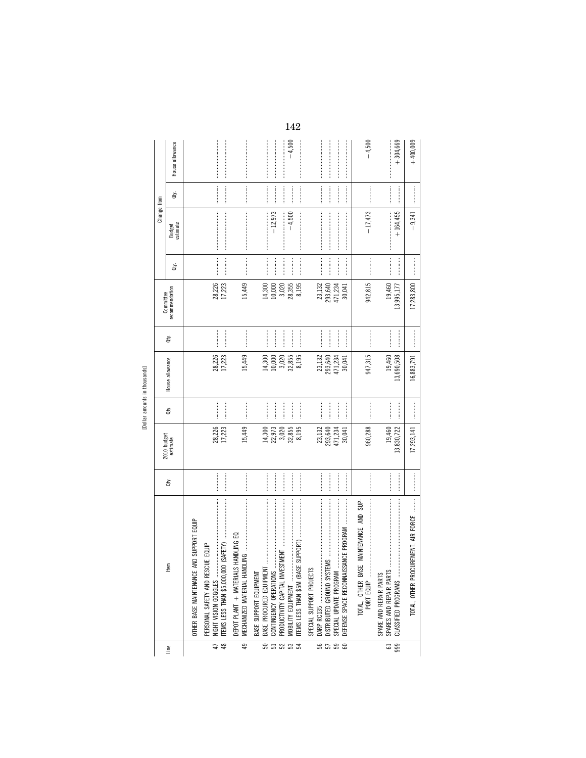| Ξ. |  |
|----|--|
| œ  |  |
|    |  |

|                       |                                                                                                                                                                                                                                                                                                                                                                                                                                                                                                                                                                                                                                  |                |                                              |                                    |                                              |                         |                                              |                                    | Change from                                                                                                                                                                                                                                                                                                                                                                                                                                                                                                                                             |                              |                 |
|-----------------------|----------------------------------------------------------------------------------------------------------------------------------------------------------------------------------------------------------------------------------------------------------------------------------------------------------------------------------------------------------------------------------------------------------------------------------------------------------------------------------------------------------------------------------------------------------------------------------------------------------------------------------|----------------|----------------------------------------------|------------------------------------|----------------------------------------------|-------------------------|----------------------------------------------|------------------------------------|---------------------------------------------------------------------------------------------------------------------------------------------------------------------------------------------------------------------------------------------------------------------------------------------------------------------------------------------------------------------------------------------------------------------------------------------------------------------------------------------------------------------------------------------------------|------------------------------|-----------------|
| Line                  | tem                                                                                                                                                                                                                                                                                                                                                                                                                                                                                                                                                                                                                              | đý.            | 2010 budget<br>estimate                      | Qty.                               | House allowance                              | Qty.                    | Committee<br>recommendation                  | ਛੇ                                 | Budget<br>estimate                                                                                                                                                                                                                                                                                                                                                                                                                                                                                                                                      | à.                           | House allowance |
|                       | AND SUPPORT EQUIP<br>OTHER BASE MAINTENANCE                                                                                                                                                                                                                                                                                                                                                                                                                                                                                                                                                                                      |                |                                              |                                    |                                              |                         |                                              |                                    |                                                                                                                                                                                                                                                                                                                                                                                                                                                                                                                                                         |                              |                 |
| $\overline{47}$<br>48 | PERSONAL SAFETY AND RESCUE EQUIP                                                                                                                                                                                                                                                                                                                                                                                                                                                                                                                                                                                                 | $\cdots$       | 28,226<br>17,223                             |                                    | 28,226<br>17,223                             |                         | 28,226<br>17,223                             |                                    |                                                                                                                                                                                                                                                                                                                                                                                                                                                                                                                                                         |                              |                 |
| 49                    | DEPOT PLANT + MATERIALS HANDLING EQ                                                                                                                                                                                                                                                                                                                                                                                                                                                                                                                                                                                              |                | 15,449                                       |                                    | 15,449                                       |                         | 15,449                                       |                                    |                                                                                                                                                                                                                                                                                                                                                                                                                                                                                                                                                         | <b><i><u><u></u></u></i></b> |                 |
| ន<br>ជននិង            | $\label{def:1} \begin{minipage}{0.9\linewidth} \begin{minipage}{0.9\linewidth} \begin{minipage}{0.9\linewidth} \begin{minipage}{0.9\linewidth} \end{minipage} \begin{minipage}{0.9\linewidth} \begin{minipage}{0.9\linewidth} \end{minipage} \begin{minipage}{0.9\linewidth} \begin{minipage}{0.9\linewidth} \end{minipage} \begin{minipage}{0.9\linewidth} \end{minipage} \begin{minipage}{0.9\linewidth} \begin{minipage}{0.9\linewidth} \end{minipage} \begin{minipage}{0.9\linewidth} \end{minipage} \begin{minipage}{0.9\linewidth} \end$<br>BASE PROCURED EQUIPMEN<br><b>MOBILITY EQUIPMENT </b><br>BASE SUPPORT EQUIPMENT | <br><br>       | 14,300<br>22,973<br>3,020<br>32,855<br>8,195 | <br>:<br>:<br>:<br>                | 3,020<br>32,855<br>8,195<br>10,000<br>14,300 | <br>                    | 3,020<br>28,355<br>14,300<br>8,195<br>10,000 | <br><br> <br> <br> <br>:<br>:<br>: | $-12,973$<br>$-4,500$                                                                                                                                                                                                                                                                                                                                                                                                                                                                                                                                   |                              | $-4,500$        |
| ន<br>ភេទ<br>ន         | DEFENSE SPACE RECONNAISSANCE PROGRAM<br>SPECIAL SUPPORT PROJECTS<br>SPECIAL UPDATE PROGRAM                                                                                                                                                                                                                                                                                                                                                                                                                                                                                                                                       |                | 23,132<br>471,234<br>293,640<br>30,041       | <br> <br> <br> <br> <br> <br> <br> | 471,234<br>23,132<br>293,640<br>30,041       | <br> <br> <br> <br><br> | 23, 132<br>293, 640<br>471,234<br>30,041     |                                    |                                                                                                                                                                                                                                                                                                                                                                                                                                                                                                                                                         |                              |                 |
|                       |                                                                                                                                                                                                                                                                                                                                                                                                                                                                                                                                                                                                                                  |                | 960,288                                      |                                    | 947,315                                      |                         | 942,815                                      |                                    | $-17,473$                                                                                                                                                                                                                                                                                                                                                                                                                                                                                                                                               |                              | $-4,500$        |
| 999<br>$\overline{5}$ | $\label{def:1} \begin{minipage}{0.9\linewidth} \begin{minipage}{0.9\linewidth} \begin{minipage}{0.9\linewidth} \begin{minipage}{0.9\linewidth} \end{minipage} \begin{minipage}{0.9\linewidth} \begin{minipage}{0.9\linewidth} \end{minipage} \end{minipage} \begin{minipage}{0.9\linewidth} \begin{minipage}{0.9\linewidth} \begin{minipage}{0.9\linewidth} \end{minipage} \end{minipage} \begin{minipage}{0.9\linewidth} \begin{minipage}{0.9\linewidth} \end{minipage} \end{minipage} \begin{minipage}{0.9\linewidth} \begin{minipage}{0$<br>SPARES AND REPAIR PARTS<br>CLASSIFIED PROGRAMS<br>SPARE AND REPAIR PARTS          | <br> <br> <br> | 19,460<br>13,830,722                         | <br> <br> <br>                     | 19,460<br>13,690,508                         | <br> <br> <br>          | 19,460<br>13,995,177                         | <br> <br> <br>                     | $\label{def:1} \begin{minipage}{0.9\linewidth} \begin{minipage}{0.9\linewidth} \begin{minipage}{0.9\linewidth} \begin{minipage}{0.9\linewidth} \end{minipage} \begin{minipage}{0.9\linewidth} \begin{minipage}{0.9\linewidth} \end{minipage} \end{minipage} \begin{minipage}{0.9\linewidth} \begin{minipage}{0.9\linewidth} \begin{minipage}{0.9\linewidth} \end{minipage} \end{minipage} \end{minipage} \begin{minipage}{0.9\linewidth} \begin{minipage}{0.9\linewidth} \end{minipage} \end{minipage} \begin{minipage}{0.9\linewidth} \$<br>$+164,455$ |                              | $+304,669$      |
|                       | TOTAL, OTHER PROCUREMENT, AIR FORCE                                                                                                                                                                                                                                                                                                                                                                                                                                                                                                                                                                                              |                | 17,293,141                                   |                                    | 16,883,791                                   |                         | 17,283,800                                   |                                    | $-9,341$                                                                                                                                                                                                                                                                                                                                                                                                                                                                                                                                                |                              | $+400,009$      |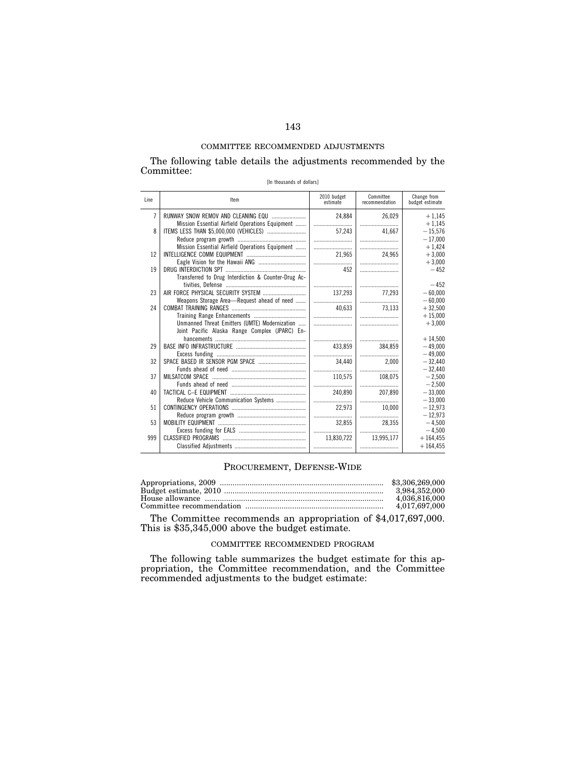The following table details the adjustments recommended by the Committee: [In thousands of dollars]

| Line | ltem                                                | 2010 budget<br>estimate | Committee<br>recommendation | Change from<br>budget estimate |
|------|-----------------------------------------------------|-------------------------|-----------------------------|--------------------------------|
| 7    |                                                     | 24.884                  | 26.029                      | $+1.145$                       |
|      | Mission Essential Airfield Operations Equipment     |                         |                             | $+1,145$                       |
| 8    |                                                     | 57.243                  | 41.667                      | $-15,576$                      |
|      |                                                     |                         |                             | $-17,000$                      |
|      | Mission Essential Airfield Operations Equipment     |                         |                             | $+1,424$                       |
| 12   |                                                     | 21.965                  | 24.965                      | $+3.000$                       |
|      |                                                     |                         |                             | $+3,000$                       |
| 19   |                                                     | 452                     |                             | $-452$                         |
|      | Transferred to Drug Interdiction & Counter-Drug Ac- |                         |                             |                                |
|      |                                                     |                         |                             | $-452$                         |
| 23   |                                                     | 137,293                 | 77.293                      | $-60.000$                      |
|      | Weapons Storage Area-Request ahead of need          |                         |                             | $-60,000$                      |
| 24   |                                                     | 40.633                  | 73.133                      | $+32,500$                      |
|      |                                                     |                         |                             | $+15,000$                      |
|      | Unmanned Threat Emitters (UMTE) Modernization       |                         |                             | $+3,000$                       |
|      | Joint Pacific Alaska Range Complex (JPARC) En-      |                         |                             |                                |
|      |                                                     |                         |                             | $+14.500$                      |
| 29   |                                                     | 433.859                 | 384,859                     | $-49.000$                      |
|      |                                                     |                         |                             | $-49.000$                      |
| 32   |                                                     | 34.440                  | 2.000                       | $-32.440$                      |
|      |                                                     |                         |                             | $-32,440$                      |
| 37   |                                                     | 110.575                 | 108.075                     | $-2.500$                       |
|      |                                                     |                         |                             | $-2,500$                       |
| 40   |                                                     | 240.890                 | 207.890                     | $-33.000$                      |
| 51   | Reduce Vehicle Communication Systems                |                         |                             | $-33.000$                      |
|      |                                                     | 22,973                  | 10,000                      | $-12,973$                      |
|      |                                                     |                         |                             | $-12.973$                      |
| 53   |                                                     | 32,855                  | 28.355                      | $-4.500$                       |
|      |                                                     |                         |                             | $-4,500$                       |
| 999  |                                                     | 13,830,722              | 13.995.177                  | $+164.455$                     |
|      |                                                     |                         |                             | $+164.455$                     |

## PROCUREMENT, DEFENSE-WIDE

| \$3,306,269,000 |
|-----------------|
| 3.984.352.000   |
| 4.036.816.000   |
| 4,017,697,000   |
|                 |

The Committee recommends an appropriation of \$4,017,697,000. This is \$35,345,000 above the budget estimate.

### COMMITTEE RECOMMENDED PROGRAM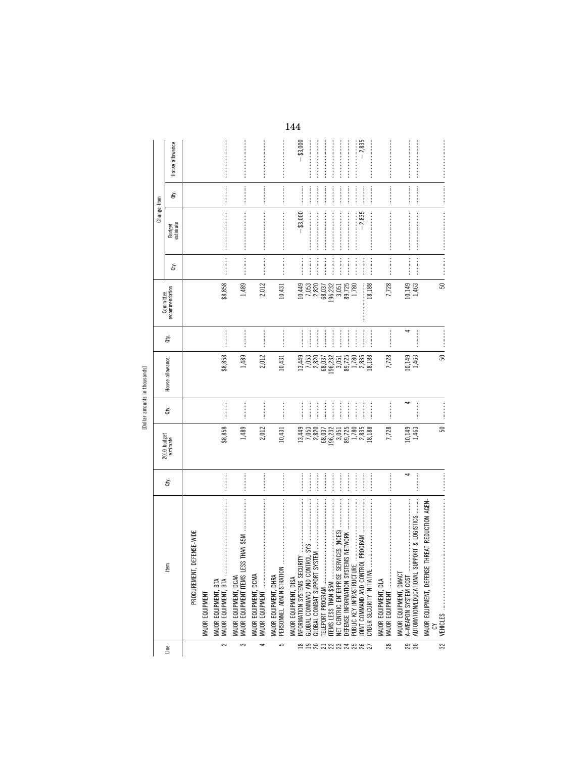[Dollar amounts in thousands]

|                          |                                                                                                                                                                                                                                                                                                                                                                                                                                                                                                                                                                                                                                                                                                                                                                                                                                                                                                                                                                                                                                                                                                                                                                                                                     |    |                                                                   |               |                                                                |                                | Committee                                                            |                                                                                                                                                                                                                                                                                                                                                                                                                                                                                                                                | Change from                                                                                                                                                                                                                                                                                                                                                                                                                                                                                                                               |                                                                                                                                                                                                                                                                                                                                                                                                                                                                                                                                                                                  |                 |
|--------------------------|---------------------------------------------------------------------------------------------------------------------------------------------------------------------------------------------------------------------------------------------------------------------------------------------------------------------------------------------------------------------------------------------------------------------------------------------------------------------------------------------------------------------------------------------------------------------------------------------------------------------------------------------------------------------------------------------------------------------------------------------------------------------------------------------------------------------------------------------------------------------------------------------------------------------------------------------------------------------------------------------------------------------------------------------------------------------------------------------------------------------------------------------------------------------------------------------------------------------|----|-------------------------------------------------------------------|---------------|----------------------------------------------------------------|--------------------------------|----------------------------------------------------------------------|--------------------------------------------------------------------------------------------------------------------------------------------------------------------------------------------------------------------------------------------------------------------------------------------------------------------------------------------------------------------------------------------------------------------------------------------------------------------------------------------------------------------------------|-------------------------------------------------------------------------------------------------------------------------------------------------------------------------------------------------------------------------------------------------------------------------------------------------------------------------------------------------------------------------------------------------------------------------------------------------------------------------------------------------------------------------------------------|----------------------------------------------------------------------------------------------------------------------------------------------------------------------------------------------------------------------------------------------------------------------------------------------------------------------------------------------------------------------------------------------------------------------------------------------------------------------------------------------------------------------------------------------------------------------------------|-----------------|
| Line                     | tem                                                                                                                                                                                                                                                                                                                                                                                                                                                                                                                                                                                                                                                                                                                                                                                                                                                                                                                                                                                                                                                                                                                                                                                                                 | ਛੇ | 2010 budget<br>estimate                                           | đý.           | House allowance                                                | đý.                            | recommendation                                                       | đťy.                                                                                                                                                                                                                                                                                                                                                                                                                                                                                                                           | Budget<br>estimate                                                                                                                                                                                                                                                                                                                                                                                                                                                                                                                        | đťy.                                                                                                                                                                                                                                                                                                                                                                                                                                                                                                                                                                             | House allowance |
|                          | T, DEFENSE-WIDE<br>PROCUREMENT                                                                                                                                                                                                                                                                                                                                                                                                                                                                                                                                                                                                                                                                                                                                                                                                                                                                                                                                                                                                                                                                                                                                                                                      |    |                                                                   |               |                                                                |                                |                                                                      |                                                                                                                                                                                                                                                                                                                                                                                                                                                                                                                                |                                                                                                                                                                                                                                                                                                                                                                                                                                                                                                                                           |                                                                                                                                                                                                                                                                                                                                                                                                                                                                                                                                                                                  |                 |
|                          | MAJOR EQUIPMENT                                                                                                                                                                                                                                                                                                                                                                                                                                                                                                                                                                                                                                                                                                                                                                                                                                                                                                                                                                                                                                                                                                                                                                                                     |    |                                                                   |               |                                                                |                                |                                                                      |                                                                                                                                                                                                                                                                                                                                                                                                                                                                                                                                |                                                                                                                                                                                                                                                                                                                                                                                                                                                                                                                                           |                                                                                                                                                                                                                                                                                                                                                                                                                                                                                                                                                                                  |                 |
| $\sim$                   | $\begin{minipage}{0.9\linewidth} \includegraphics[width=0.45\linewidth]{p-3} \includegraphics[width=0.45\linewidth]{p-3} \includegraphics[width=0.45\linewidth]{p-3} \includegraphics[width=0.45\linewidth]{p-3} \includegraphics[width=0.45\linewidth]{p-3} \includegraphics[width=0.45\linewidth]{p-3} \includegraphics[width=0.45\linewidth]{p-3} \includegraphics[width=0.45\linewidth]{p-3} \includegraphics[width=0.45\linewidth]{p-3} \includegraphics[width=0.45\linewidth]{p-3} \includegraphics[width=0.45\linewidth]{p-3} \includegraphics[width=0.45\linewidth]{p-3} \includegraphics$<br>MAJOR EQUIPMENT, BTA<br>MAJOR EQUIPMENT, BTA                                                                                                                                                                                                                                                                                                                                                                                                                                                                                                                                                                  |    | \$8,858                                                           |               | \$8,858                                                        |                                | \$8,858                                                              | $\begin{minipage}{0.9\linewidth} \begin{tabular}{l} \hline \multicolumn{3}{c}{\textbf{0.9\linewidth}} \end{tabular} \end{minipage} \begin{minipage}{0.9\linewidth} \begin{tabular}{l} \multicolumn{3}{c}{\textbf{0.9\linewidth}} \end{tabular} \end{minipage} \end{minipage} \begin{minipage}{0.9\linewidth} \begin{tabular}{l} \multicolumn{3}{c}{\textbf{0.9\linewidth}} \end{tabular} \end{minipage} \end{minipage} \begin{minipage}{0.9\linewidth} \begin{tabular}{l} \multicolumn{3}{c}{\textbf{0.9\linewidth}} \end{tab$ | $\label{def:1} \begin{minipage}{0.9\linewidth} \begin{minipage}{0.9\linewidth} \begin{minipage}{0.9\linewidth} \begin{minipage}{0.9\linewidth} \end{minipage} \begin{minipage}{0.9\linewidth} \begin{minipage}{0.9\linewidth} \end{minipage} \end{minipage} \end{minipage} \begin{minipage}{0.9\linewidth} \begin{minipage}{0.9\linewidth} \begin{minipage}{0.9\linewidth} \end{minipage} \end{minipage} \end{minipage} \begin{minipage}{0.9\linewidth} \begin{minipage}{0.9\linewidth} \end{minipage} \end{minipage} \begin{minipage}{$  |                                                                                                                                                                                                                                                                                                                                                                                                                                                                                                                                                                                  |                 |
| 3                        | MAJOR EQUIPMENT ITEMS<br>MAJOR EQUIPMENT, DCAA                                                                                                                                                                                                                                                                                                                                                                                                                                                                                                                                                                                                                                                                                                                                                                                                                                                                                                                                                                                                                                                                                                                                                                      |    | 1,489                                                             |               | 1,489                                                          |                                | 1,489                                                                | <b><i><u><u><u></u></u></u></i></b>                                                                                                                                                                                                                                                                                                                                                                                                                                                                                            | $\label{def:1} \begin{minipage}{0.9\linewidth} \begin{minipage}{0.9\linewidth} \begin{minipage}{0.9\linewidth} \begin{minipage}{0.9\linewidth} \end{minipage} \end{minipage} \begin{minipage}{0.9\linewidth} \begin{minipage}{0.9\linewidth} \begin{minipage}{0.9\linewidth} \end{minipage} \end{minipage} \end{minipage} \begin{minipage}{0.9\linewidth} \begin{minipage}{0.9\linewidth} \begin{minipage}{0.9\linewidth} \end{minipage} \end{minipage} \end{minipage} \begin{minipage}{0.9\linewidth} \begin{minipage}{0.9\linewidth} \$ |                                                                                                                                                                                                                                                                                                                                                                                                                                                                                                                                                                                  |                 |
| 4                        | MAJOR EQUIPMENT, DCMA<br>MAJOR EQUIPMENT                                                                                                                                                                                                                                                                                                                                                                                                                                                                                                                                                                                                                                                                                                                                                                                                                                                                                                                                                                                                                                                                                                                                                                            |    | 2,012                                                             |               | 2,012                                                          |                                | 2,012                                                                |                                                                                                                                                                                                                                                                                                                                                                                                                                                                                                                                |                                                                                                                                                                                                                                                                                                                                                                                                                                                                                                                                           |                                                                                                                                                                                                                                                                                                                                                                                                                                                                                                                                                                                  |                 |
| 5                        | MAJOR EQUIPMENT, DHRA                                                                                                                                                                                                                                                                                                                                                                                                                                                                                                                                                                                                                                                                                                                                                                                                                                                                                                                                                                                                                                                                                                                                                                                               |    | 10,431                                                            |               | 10,431                                                         |                                | 10,431                                                               | <b><i><u><u><u></u></u></u></i></b>                                                                                                                                                                                                                                                                                                                                                                                                                                                                                            |                                                                                                                                                                                                                                                                                                                                                                                                                                                                                                                                           |                                                                                                                                                                                                                                                                                                                                                                                                                                                                                                                                                                                  |                 |
|                          | NFORMATION SYSTEMS SEC<br>MAJOR EQUIPMENT, DISA                                                                                                                                                                                                                                                                                                                                                                                                                                                                                                                                                                                                                                                                                                                                                                                                                                                                                                                                                                                                                                                                                                                                                                     |    |                                                                   |               |                                                                |                                |                                                                      |                                                                                                                                                                                                                                                                                                                                                                                                                                                                                                                                | $- $3,000$                                                                                                                                                                                                                                                                                                                                                                                                                                                                                                                                |                                                                                                                                                                                                                                                                                                                                                                                                                                                                                                                                                                                  | $- $3,000$      |
|                          | GLOBAL COMMAND AND CC                                                                                                                                                                                                                                                                                                                                                                                                                                                                                                                                                                                                                                                                                                                                                                                                                                                                                                                                                                                                                                                                                                                                                                                               |    |                                                                   | <br> <br>     |                                                                | j                              |                                                                      |                                                                                                                                                                                                                                                                                                                                                                                                                                                                                                                                |                                                                                                                                                                                                                                                                                                                                                                                                                                                                                                                                           |                                                                                                                                                                                                                                                                                                                                                                                                                                                                                                                                                                                  |                 |
|                          | GLOBAL COMBAT SUPPORT<br>TELEPORT PROGRAM                                                                                                                                                                                                                                                                                                                                                                                                                                                                                                                                                                                                                                                                                                                                                                                                                                                                                                                                                                                                                                                                                                                                                                           |    | $\begin{array}{c} 13,449 \\ 7,053 \\ 2,820 \\ 68,037 \end{array}$ | $\frac{1}{2}$ | $13,449$<br>$7,053$<br>$7,820$<br>$0.820$<br>$0.32$<br>$0.232$ | $\frac{1}{2}$<br>$\frac{1}{2}$ | $10,780$<br>$-0.820$<br>$-0.820$<br>$-0.822$<br>$-0.822$<br>$-0.822$ | <br> <br> <br>                                                                                                                                                                                                                                                                                                                                                                                                                                                                                                                 |                                                                                                                                                                                                                                                                                                                                                                                                                                                                                                                                           | $\begin{minipage}{0.9\linewidth} \centering \begin{minipage}{0.9\linewidth} \centering \end{minipage} \begin{minipage}{0.9\linewidth} \centering \begin{minipage}{0.9\linewidth} \centering \end{minipage} \end{minipage} \begin{minipage}{0.9\linewidth} \centering \begin{minipage}{0.9\linewidth} \centering \end{minipage} \end{minipage} \begin{minipage}{0.9\linewidth} \centering \end{minipage} \begin{minipage}{0.9\linewidth} \centering \end{minipage} \begin{minipage}{0.9\linewidth} \centering \end{minipage} \begin{minipage}{0.9\linewidth} \centering \end{min$ |                 |
|                          | <b>ITEMS LESS THAN \$5M</b>                                                                                                                                                                                                                                                                                                                                                                                                                                                                                                                                                                                                                                                                                                                                                                                                                                                                                                                                                                                                                                                                                                                                                                                         |    | 196,232                                                           |               |                                                                |                                |                                                                      |                                                                                                                                                                                                                                                                                                                                                                                                                                                                                                                                |                                                                                                                                                                                                                                                                                                                                                                                                                                                                                                                                           |                                                                                                                                                                                                                                                                                                                                                                                                                                                                                                                                                                                  |                 |
|                          | SERVICES (NCES)<br>NET CENTRIC ENTERPRISE                                                                                                                                                                                                                                                                                                                                                                                                                                                                                                                                                                                                                                                                                                                                                                                                                                                                                                                                                                                                                                                                                                                                                                           |    | 89,725<br>3,051                                                   |               | $3,051$<br>$89,725$<br>$1,780$                                 | $\frac{1}{2}$                  | $3,051$<br>$89,725$<br>$1,780$                                       |                                                                                                                                                                                                                                                                                                                                                                                                                                                                                                                                |                                                                                                                                                                                                                                                                                                                                                                                                                                                                                                                                           |                                                                                                                                                                                                                                                                                                                                                                                                                                                                                                                                                                                  |                 |
|                          | PUBLIC KEY INFRASTRUCTU                                                                                                                                                                                                                                                                                                                                                                                                                                                                                                                                                                                                                                                                                                                                                                                                                                                                                                                                                                                                                                                                                                                                                                                             |    | 1,780                                                             |               |                                                                | $\frac{1}{2}$                  |                                                                      |                                                                                                                                                                                                                                                                                                                                                                                                                                                                                                                                |                                                                                                                                                                                                                                                                                                                                                                                                                                                                                                                                           |                                                                                                                                                                                                                                                                                                                                                                                                                                                                                                                                                                                  |                 |
| <b>BBRARRARRA</b>        | $\begin{minipage}{0.9\linewidth} \includegraphics[width=0.45\linewidth]{p-3} \includegraphics[width=0.45\linewidth]{p-3} \includegraphics[width=0.45\linewidth]{p-3} \includegraphics[width=0.45\linewidth]{p-3} \includegraphics[width=0.45\linewidth]{p-3} \includegraphics[width=0.45\linewidth]{p-3} \includegraphics[width=0.45\linewidth]{p-3} \includegraphics[width=0.45\linewidth]{p-3} \includegraphics[width=0.45\linewidth]{p-3} \includegraphics[width=0.45\linewidth]{p-3} \includegraphics[width=0.45\linewidth]{p-3} \includegraphics[width=0.45\linewidth]{p-3} \includegraphics$<br>$\label{def:1} \begin{minipage}{0.9\linewidth} \begin{minipage}{0.9\linewidth} \begin{minipage}{0.9\linewidth} \begin{minipage}{0.9\linewidth} \end{minipage} \begin{minipage}{0.9\linewidth} \begin{minipage}{0.9\linewidth} \end{minipage} \end{minipage} \begin{minipage}{0.9\linewidth} \begin{minipage}{0.9\linewidth} \begin{minipage}{0.9\linewidth} \end{minipage} \end{minipage} \begin{minipage}{0.9\linewidth} \begin{minipage}{0.9\linewidth} \end{minipage} \end{minipage} \begin{minipage}{0.9\linewidth} \begin{minipage}{0$<br>IOINT COMMAND AND CONTROL PROGRAM<br>CYBER SECURITY INITIATIVE |    | 2,835<br>18,188                                                   |               | 2,835<br>18,188                                                |                                | 18,188<br>j                                                          |                                                                                                                                                                                                                                                                                                                                                                                                                                                                                                                                | $-2,835$                                                                                                                                                                                                                                                                                                                                                                                                                                                                                                                                  | $\begin{minipage}{0.9\linewidth} \begin{tabular}{l} \toprule \multicolumn{3}{c}{\textbf{0.9\linewidth}} \begin{tabular}{l} \multicolumn{3}{c}{\textbf{0.9\linewidth}} \end{tabular} \end{minipage} \end{minipage} \begin{minipage}{0.9\linewidth} \begin{tabular}{l} \multicolumn{3}{c}{\textbf{0.9\linewidth}} \end{tabular} \end{minipage} \end{minipage} \begin{minipage}{0.9\linewidth} \begin{tabular}{l} \multicolumn{3}{c}{\textbf{0.9\linewidth}} \end{tabular} \end{minipage} \end{minipage} \begin{minipage}{0.9$                                                      | $-2,835$        |
| 28                       | MAJOR EQUIPMENT, DLA<br>MAJOR EQUIPMENT                                                                                                                                                                                                                                                                                                                                                                                                                                                                                                                                                                                                                                                                                                                                                                                                                                                                                                                                                                                                                                                                                                                                                                             |    | 7,728                                                             |               | 7,728                                                          |                                | 7,728                                                                |                                                                                                                                                                                                                                                                                                                                                                                                                                                                                                                                |                                                                                                                                                                                                                                                                                                                                                                                                                                                                                                                                           |                                                                                                                                                                                                                                                                                                                                                                                                                                                                                                                                                                                  |                 |
| 29                       | SUPPORT & LOGISTICS<br>MAJOR EQUIPMENT, DMACT<br>AUTOMATION/EDUCATIONAL<br>A-WEAPON SYSTEM COST                                                                                                                                                                                                                                                                                                                                                                                                                                                                                                                                                                                                                                                                                                                                                                                                                                                                                                                                                                                                                                                                                                                     | 4  | 10,149<br>1,463                                                   | 4             | 10,149<br>1,463                                                | 4                              | $\frac{10,149}{1,463}$                                               |                                                                                                                                                                                                                                                                                                                                                                                                                                                                                                                                | $\label{def:1} \begin{minipage}{0.9\linewidth} \begin{minipage}{0.9\linewidth} \begin{minipage}{0.9\linewidth} \begin{minipage}{0.9\linewidth} \end{minipage} \end{minipage} \begin{minipage}{0.9\linewidth} \begin{minipage}{0.9\linewidth} \begin{minipage}{0.9\linewidth} \end{minipage} \end{minipage} \end{minipage} \begin{minipage}{0.9\linewidth} \begin{minipage}{0.9\linewidth} \begin{minipage}{0.9\linewidth} \end{minipage} \end{minipage} \end{minipage} \begin{minipage}{0.9\linewidth} \begin{minipage}{0.9\linewidth} \$ | $\begin{minipage}{0.5\textwidth} \centering \begin{tabular}{ l l l } \hline \multicolumn{1}{ l l l } \hline \multicolumn{1}{ l l } \multicolumn{1}{ l l } \multicolumn{1}{ l l } \multicolumn{1}{ l l } \multicolumn{1}{ l l } \multicolumn{1}{ l l } \multicolumn{1}{ l l } \multicolumn{1}{ l l } \multicolumn{1}{ l l } \multicolumn{1}{ l l } \multicolumn{1}{ l l } \multicolumn{1}{ l l } \multicolumn{1}{ l l $                                                                                                                                                           |                 |
| $\overline{\mathcal{E}}$ | SE THREAT REDUCTION AGEN-<br>MAJOR EQUIPMENT, DEFEN<br>VFHICIFS<br>č                                                                                                                                                                                                                                                                                                                                                                                                                                                                                                                                                                                                                                                                                                                                                                                                                                                                                                                                                                                                                                                                                                                                                |    | 50                                                                |               | S,                                                             |                                | S,                                                                   |                                                                                                                                                                                                                                                                                                                                                                                                                                                                                                                                |                                                                                                                                                                                                                                                                                                                                                                                                                                                                                                                                           |                                                                                                                                                                                                                                                                                                                                                                                                                                                                                                                                                                                  |                 |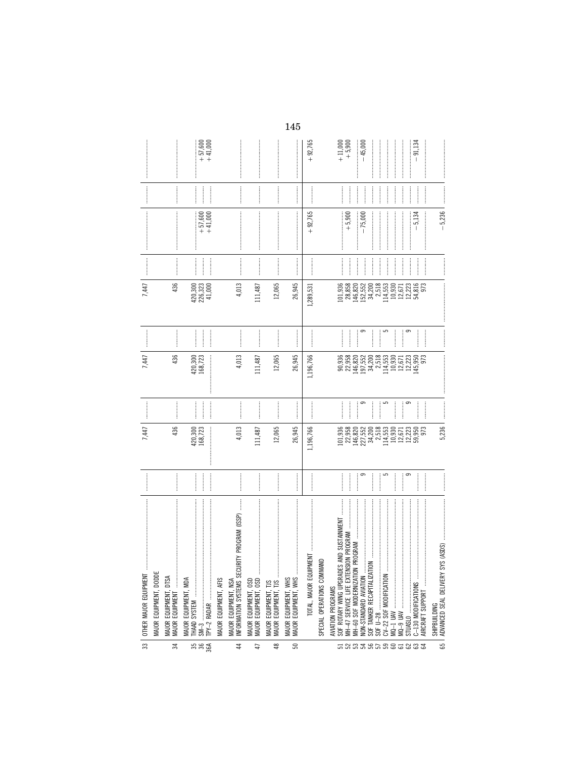| 33                 | $\label{def:1} \begin{minipage}{0.9\linewidth} \begin{minipage}{0.9\linewidth} \begin{minipage}{0.9\linewidth} \begin{minipage}{0.9\linewidth} \end{minipage} \begin{minipage}{0.9\linewidth} \begin{minipage}{0.9\linewidth} \end{minipage} \begin{minipage}{0.9\linewidth} \begin{minipage}{0.9\linewidth} \end{minipage} \begin{minipage}{0.9\linewidth} \end{minipage} \begin{minipage}{0.9\linewidth} \begin{minipage}{0.9\linewidth} \end{minipage} \begin{minipage}{0.9\linewidth} \end{minipage} \begin{minipage}{0.9\linewidth} \end$<br>OTHER MAJOR EQUIPMENT |                                                                                                                                                                                                                                                                                                                                                                                                                                                                                                                                                                                     | 7,447                                                                                                                           |                                                                                                                                                                                                                                                                                                                                                                                                                                                                                                                                | 7,447                                                                                                                                   |                                                                                                                                                                                                                                                                                                                                                                                                                                                              | 7,447                                                                                                                                                                                                                                                                                                                                                                                                                                                                                                                                                                                            |                                                                                      |                                               |                |                                                 |
|--------------------|-------------------------------------------------------------------------------------------------------------------------------------------------------------------------------------------------------------------------------------------------------------------------------------------------------------------------------------------------------------------------------------------------------------------------------------------------------------------------------------------------------------------------------------------------------------------------|-------------------------------------------------------------------------------------------------------------------------------------------------------------------------------------------------------------------------------------------------------------------------------------------------------------------------------------------------------------------------------------------------------------------------------------------------------------------------------------------------------------------------------------------------------------------------------------|---------------------------------------------------------------------------------------------------------------------------------|--------------------------------------------------------------------------------------------------------------------------------------------------------------------------------------------------------------------------------------------------------------------------------------------------------------------------------------------------------------------------------------------------------------------------------------------------------------------------------------------------------------------------------|-----------------------------------------------------------------------------------------------------------------------------------------|--------------------------------------------------------------------------------------------------------------------------------------------------------------------------------------------------------------------------------------------------------------------------------------------------------------------------------------------------------------------------------------------------------------------------------------------------------------|--------------------------------------------------------------------------------------------------------------------------------------------------------------------------------------------------------------------------------------------------------------------------------------------------------------------------------------------------------------------------------------------------------------------------------------------------------------------------------------------------------------------------------------------------------------------------------------------------|--------------------------------------------------------------------------------------|-----------------------------------------------|----------------|-------------------------------------------------|
|                    | MAJOR EQUIPMENT, DODDE                                                                                                                                                                                                                                                                                                                                                                                                                                                                                                                                                  |                                                                                                                                                                                                                                                                                                                                                                                                                                                                                                                                                                                     |                                                                                                                                 |                                                                                                                                                                                                                                                                                                                                                                                                                                                                                                                                |                                                                                                                                         |                                                                                                                                                                                                                                                                                                                                                                                                                                                              |                                                                                                                                                                                                                                                                                                                                                                                                                                                                                                                                                                                                  |                                                                                      |                                               |                |                                                 |
| $\approx$          | MAJOR EQUIPMENT, DTSA<br>MAJOR EQUIPMENT                                                                                                                                                                                                                                                                                                                                                                                                                                                                                                                                |                                                                                                                                                                                                                                                                                                                                                                                                                                                                                                                                                                                     | 436                                                                                                                             |                                                                                                                                                                                                                                                                                                                                                                                                                                                                                                                                | 436                                                                                                                                     |                                                                                                                                                                                                                                                                                                                                                                                                                                                              | 436                                                                                                                                                                                                                                                                                                                                                                                                                                                                                                                                                                                              |                                                                                      |                                               |                |                                                 |
| 35 35 36           |                                                                                                                                                                                                                                                                                                                                                                                                                                                                                                                                                                         |                                                                                                                                                                                                                                                                                                                                                                                                                                                                                                                                                                                     | 420,300<br>168,723                                                                                                              | $\begin{minipage}{0.9\linewidth} \begin{tabular}{l} \hline \multicolumn{3}{c}{\textbf{0.9\linewidth}} \end{tabular} \end{minipage} \begin{minipage}{0.9\linewidth} \begin{tabular}{l} \multicolumn{3}{c}{\textbf{0.9\linewidth}} \end{tabular} \end{minipage} \end{minipage} \begin{minipage}{0.9\linewidth} \begin{tabular}{l} \multicolumn{3}{c}{\textbf{0.9\linewidth}} \end{tabular} \end{minipage} \end{minipage} \begin{minipage}{0.9\linewidth} \begin{tabular}{l} \multicolumn{3}{c}{\textbf{0.9\linewidth}} \end{tab$ | 420,300<br>168,723                                                                                                                      |                                                                                                                                                                                                                                                                                                                                                                                                                                                              | $\begin{array}{c} 420,300 \\ 226,323 \\ 41,000 \end{array}$                                                                                                                                                                                                                                                                                                                                                                                                                                                                                                                                      | <br> <br>                                                                            | $+41,000$<br>$+57,600$                        |                | $+57,600$<br>$+41,000$                          |
| 4                  | Ì<br>JRITY PROGRAM (ISSP)<br>NFORMATION SYSTEMS SEC<br><b>VIAJOR EQUIPMENT, AFIS</b><br>MAJOR EQUIPMENT, NSA                                                                                                                                                                                                                                                                                                                                                                                                                                                            |                                                                                                                                                                                                                                                                                                                                                                                                                                                                                                                                                                                     | 4,013                                                                                                                           |                                                                                                                                                                                                                                                                                                                                                                                                                                                                                                                                | 4,013                                                                                                                                   |                                                                                                                                                                                                                                                                                                                                                                                                                                                              | 4,013                                                                                                                                                                                                                                                                                                                                                                                                                                                                                                                                                                                            | :<br>:<br>:<br>:                                                                     |                                               |                |                                                 |
| $\overline{4}$     | MAJOR EQUIPMENT, OSD<br>MAJOR EQUIPMENT, OSD                                                                                                                                                                                                                                                                                                                                                                                                                                                                                                                            | <br> <br> <br>                                                                                                                                                                                                                                                                                                                                                                                                                                                                                                                                                                      | 111,487                                                                                                                         |                                                                                                                                                                                                                                                                                                                                                                                                                                                                                                                                | 111,487                                                                                                                                 |                                                                                                                                                                                                                                                                                                                                                                                                                                                              | 111,487                                                                                                                                                                                                                                                                                                                                                                                                                                                                                                                                                                                          |                                                                                      |                                               | <br> <br> <br> |                                                 |
| $\frac{8}{3}$      | MAJOR EQUIPMENT, TJS<br>MAJOR EQUIPMENT, TJS                                                                                                                                                                                                                                                                                                                                                                                                                                                                                                                            | <br> <br> <br>                                                                                                                                                                                                                                                                                                                                                                                                                                                                                                                                                                      | 12,065                                                                                                                          |                                                                                                                                                                                                                                                                                                                                                                                                                                                                                                                                | 12,065                                                                                                                                  | <br> <br> <br>                                                                                                                                                                                                                                                                                                                                                                                                                                               | 12,065                                                                                                                                                                                                                                                                                                                                                                                                                                                                                                                                                                                           |                                                                                      |                                               |                |                                                 |
| ${\mathbb S}^2$    | MAJOR EQUIPMENT, WHS<br>MAJOR EQUIPMENT, WHS                                                                                                                                                                                                                                                                                                                                                                                                                                                                                                                            |                                                                                                                                                                                                                                                                                                                                                                                                                                                                                                                                                                                     | 26,945                                                                                                                          |                                                                                                                                                                                                                                                                                                                                                                                                                                                                                                                                | 26,945                                                                                                                                  |                                                                                                                                                                                                                                                                                                                                                                                                                                                              | 26,945                                                                                                                                                                                                                                                                                                                                                                                                                                                                                                                                                                                           |                                                                                      |                                               |                |                                                 |
|                    | PMENT<br>TOTAL, MAJOR EQUI                                                                                                                                                                                                                                                                                                                                                                                                                                                                                                                                              |                                                                                                                                                                                                                                                                                                                                                                                                                                                                                                                                                                                     | 1,196,766                                                                                                                       |                                                                                                                                                                                                                                                                                                                                                                                                                                                                                                                                | 1,196,766                                                                                                                               |                                                                                                                                                                                                                                                                                                                                                                                                                                                              | 1,289,531                                                                                                                                                                                                                                                                                                                                                                                                                                                                                                                                                                                        |                                                                                      | $+92,765$                                     |                | $+92,765$                                       |
|                    | SPECIAL OPERATIONS COMMAND                                                                                                                                                                                                                                                                                                                                                                                                                                                                                                                                              |                                                                                                                                                                                                                                                                                                                                                                                                                                                                                                                                                                                     |                                                                                                                                 |                                                                                                                                                                                                                                                                                                                                                                                                                                                                                                                                |                                                                                                                                         |                                                                                                                                                                                                                                                                                                                                                                                                                                                              |                                                                                                                                                                                                                                                                                                                                                                                                                                                                                                                                                                                                  |                                                                                      |                                               |                |                                                 |
| 59<br>588385885883 | SOF ROTARY WING UPGRADES AND SUSTAINMENT<br>PROGRAM<br>MH-60 SOF MODERNIZATION<br>AVIATION PROGRAMS<br>SHIPBUILDING                                                                                                                                                                                                                                                                                                                                                                                                                                                     | $\begin{minipage}{0.9\linewidth} \begin{tabular}{l} \toprule \multicolumn{3}{c}{\textbf{0.9\linewidth}} \begin{tabular}{l} \multicolumn{3}{c}{\textbf{0.9\linewidth}} \end{tabular} \end{minipage} \end{minipage} \begin{minipage}{0.9\linewidth} \begin{tabular}{l} \multicolumn{3}{c}{\textbf{0.9\linewidth}} \end{tabular} \end{minipage} \end{minipage} \begin{minipage}{0.9\linewidth} \begin{tabular}{l} \multicolumn{3}{c}{\textbf{0.9\linewidth}} \end{tabular} \end{minipage} \end{minipage} \begin{minipage}{0.9$<br>ഥ<br><br><br>ŧ<br>ᡋ<br><br><br>.<br>.<br>.<br>.<br>ᠪ | 5,236<br>101,936<br>22,958<br>2,518<br>114,553<br>$12,223$<br>59,950<br>973<br>146,820<br>227,552<br>10,930<br>34,200<br>12,671 | ᡋ<br>5<br>တ<br> <br> <br> <br> <br> <br>                                                                                                                                                                                                                                                                                                                                                                                                                                                                                       | $\label{def:1}$<br>2,518<br>114,553<br>10,930<br>90,936<br>22,958<br>146,820<br>197,552<br>34,200<br>12,223<br>145,950<br>973<br>12,671 | $\begin{minipage}{0.5\textwidth} \centering \begin{tabular}{ l l l } \hline \multicolumn{1}{ l l l } \hline \multicolumn{1}{ l l } \multicolumn{1}{ l l } \multicolumn{1}{ l l } \multicolumn{1}{ l l } \multicolumn{1}{ l l } \multicolumn{1}{ l l } \multicolumn{1}{ l l } \multicolumn{1}{ l l } \multicolumn{1}{ l l } \multicolumn{1}{ l l } \multicolumn{1}{ l l } \multicolumn{1}{ l l } \multicolumn{1}{ l l $<br>5<br>9<br><br> <br> <br> <br>ᡋ<br> | $\label{def:1} \begin{minipage}{0.9\linewidth} \begin{minipage}{0.9\linewidth} \begin{minipage}{0.9\linewidth} \begin{minipage}{0.9\linewidth} \end{minipage} \begin{minipage}{0.9\linewidth} \begin{minipage}{0.9\linewidth} \end{minipage} \end{minipage} \begin{minipage}{0.9\linewidth} \begin{minipage}{0.9\linewidth} \begin{minipage}{0.9\linewidth} \end{minipage} \end{minipage} \begin{minipage}{0.9\linewidth} \begin{minipage}{0.9\linewidth} \end{minipage} \end{minipage} \begin{minipage}{0.9\linewidth} \begin{minipage}{0$<br>101,936<br>28,853<br>146,822<br>152,550<br>34,200 | <br> <br> <br> <br> <br> <br> <br> <br> <br> <br> <br> <br> <br> <br> <br> <br> <br> | $-5,236$<br>$+5,900$<br>$-5,134$<br>$-75,000$ | $\frac{1}{2}$  | $+11,000$<br>$+5,900$<br>$-45,000$<br>$-91,134$ |
|                    |                                                                                                                                                                                                                                                                                                                                                                                                                                                                                                                                                                         |                                                                                                                                                                                                                                                                                                                                                                                                                                                                                                                                                                                     |                                                                                                                                 |                                                                                                                                                                                                                                                                                                                                                                                                                                                                                                                                |                                                                                                                                         |                                                                                                                                                                                                                                                                                                                                                                                                                                                              |                                                                                                                                                                                                                                                                                                                                                                                                                                                                                                                                                                                                  |                                                                                      |                                               |                |                                                 |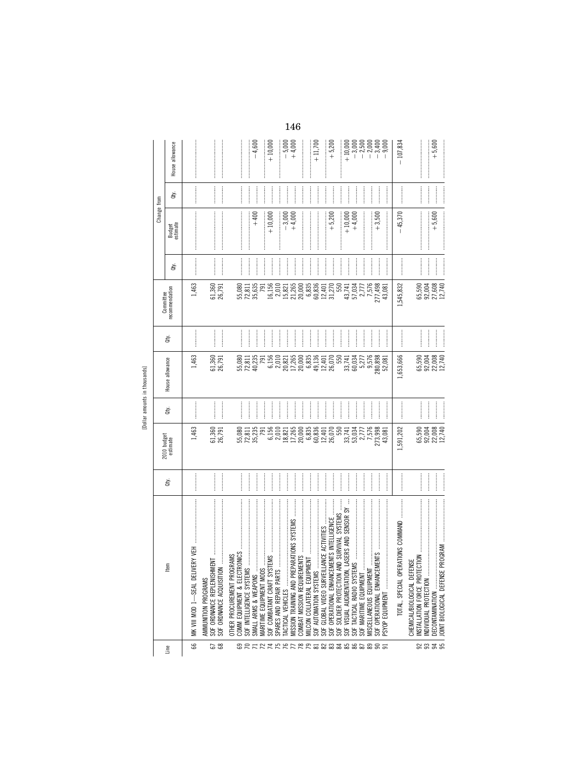|                    |                                                                                                                                  |                                                                                                                                                                                                                                                                                                                                                                                                                           |                                                                                 |                |                                                                                                                                                                                                                                                                                                     |                          | Committee                                                 |                                                                                                                                                                                                                                                                                                                                                                                                                                                                                                                                                                                                                                                                                                                                                                                                                                                                                                                                                                                                                                                                                 | Change from                                                                                                                                                                                                                                                                                                                                                                                                                                                                                                                                       |                                                                                                                                                                                                                                                                                                                                                                                                                                                                                                                             |                    |
|--------------------|----------------------------------------------------------------------------------------------------------------------------------|---------------------------------------------------------------------------------------------------------------------------------------------------------------------------------------------------------------------------------------------------------------------------------------------------------------------------------------------------------------------------------------------------------------------------|---------------------------------------------------------------------------------|----------------|-----------------------------------------------------------------------------------------------------------------------------------------------------------------------------------------------------------------------------------------------------------------------------------------------------|--------------------------|-----------------------------------------------------------|---------------------------------------------------------------------------------------------------------------------------------------------------------------------------------------------------------------------------------------------------------------------------------------------------------------------------------------------------------------------------------------------------------------------------------------------------------------------------------------------------------------------------------------------------------------------------------------------------------------------------------------------------------------------------------------------------------------------------------------------------------------------------------------------------------------------------------------------------------------------------------------------------------------------------------------------------------------------------------------------------------------------------------------------------------------------------------|---------------------------------------------------------------------------------------------------------------------------------------------------------------------------------------------------------------------------------------------------------------------------------------------------------------------------------------------------------------------------------------------------------------------------------------------------------------------------------------------------------------------------------------------------|-----------------------------------------------------------------------------------------------------------------------------------------------------------------------------------------------------------------------------------------------------------------------------------------------------------------------------------------------------------------------------------------------------------------------------------------------------------------------------------------------------------------------------|--------------------|
| Line               | ltem                                                                                                                             | ਛੇ                                                                                                                                                                                                                                                                                                                                                                                                                        | 2010 budget<br>estimate                                                         | à              | House allowance                                                                                                                                                                                                                                                                                     | à                        | recommendation                                            | ਛੇ                                                                                                                                                                                                                                                                                                                                                                                                                                                                                                                                                                                                                                                                                                                                                                                                                                                                                                                                                                                                                                                                              | Budget<br>estimate                                                                                                                                                                                                                                                                                                                                                                                                                                                                                                                                | ਛੇ                                                                                                                                                                                                                                                                                                                                                                                                                                                                                                                          | House allowance    |
| 8                  | MK VIII MOD 1—SEAL DELIVE                                                                                                        |                                                                                                                                                                                                                                                                                                                                                                                                                           | 1,463                                                                           |                | 1,463                                                                                                                                                                                                                                                                                               |                          | 1,463                                                     | <b><i><u><u><u></u></u></u></i></b>                                                                                                                                                                                                                                                                                                                                                                                                                                                                                                                                                                                                                                                                                                                                                                                                                                                                                                                                                                                                                                             | $\label{def:conformal} \begin{minipage}{0.9\linewidth} \begin{minipage}{0.9\linewidth} \begin{minipage}{0.9\linewidth} \begin{minipage}{0.9\linewidth} \end{minipage} \begin{minipage}{0.9\linewidth} \begin{minipage}{0.9\linewidth} \end{minipage} \begin{minipage}{0.9\linewidth} \begin{minipage}{0.9\linewidth} \end{minipage} \begin{minipage}{0.9\linewidth} \end{minipage} \begin{minipage}{0.9\linewidth} \begin{minipage}{0.9\linewidth} \end{minipage} \begin{minipage}{0.9\linewidth} \end{minipage} \begin{minipage}{0.9\linewidth}$ |                                                                                                                                                                                                                                                                                                                                                                                                                                                                                                                             |                    |
| 67                 | $\mathbf{M}$ , and an analyzing and $\mathbf{M}$<br>SOF ORD NANCE REPLENISHME<br>SOF ORDNANCE ACQUISITION<br>AMMUNITION PROGRAMS | $[ \; \; \cdots \; \; \cdots \; \; \cdots \; \; \cdots \; \; \cdots \; \; \cdots \; \; \cdots \; \; \cdots \; \; \cdots \; \; \cdots \; \; \cdots \; \; \cdots \; \; \cdots \; \; \cdots \; \; \cdots \; \; \cdots \; \; \cdots \; \; \cdots \; \; \cdots \; \; \cdots \; \; \cdots \; \; \cdots \; \; \cdots \; \; \cdots \; \; \cdots \; \; \cdots \; \; \cdots \; \; \cdots \; \; \cdots \; \; \cdots \; \; \cdots \;$ | 61,360<br>26,791                                                                | $\frac{1}{2}$  | 61,360<br>26,791                                                                                                                                                                                                                                                                                    |                          | 61,360<br>26,791                                          | $\begin{minipage}{0.9\linewidth} \begin{tabular}{l} \hline \multicolumn{3}{c}{\textbf{1.0\linewidth}} \end{tabular} \end{minipage} \begin{minipage}{0.9\linewidth} \begin{tabular}{l} \multicolumn{3}{c}{\textbf{2.0\linewidth}} \end{tabular} \end{minipage} \begin{minipage}{0.9\linewidth} \end{minipage} \begin{minipage}{0.9\linewidth} \end{minipage} \begin{minipage}{0.9\linewidth} \end{minipage} \begin{minipage}{0.9\linewidth} \end{minipage} \begin{minipage}{0.9\linewidth} \end{minipage} \begin{minipage}{0.9\$<br>$\begin{minipage}{0.9\linewidth} \begin{minipage}{0.9\linewidth} \begin{minipage}{0.9\linewidth} \end{minipage} \begin{minipage}{0.9\linewidth} \begin{minipage}{0.9\linewidth} \end{minipage} \begin{minipage}{0.9\linewidth} \end{minipage} \begin{minipage}{0.9\linewidth} \end{minipage} \begin{minipage}{0.9\linewidth} \begin{minipage}{0.9\linewidth} \end{minipage} \begin{minipage}{0.9\linewidth} \end{minipage} \begin{minipage}{0.9\linewidth} \end{minipage} \begin{minipage}{0.9\linewidth} \end{minipage} \begin{minipage}{0$ | $\label{def:1} \begin{minipage}{0.9\linewidth} \begin{minipage}{0.9\linewidth} \begin{minipage}{0.9\linewidth} \begin{minipage}{0.9\linewidth} \end{minipage} \begin{minipage}{0.9\linewidth} \begin{minipage}{0.9\linewidth} \end{minipage} \begin{minipage}{0.9\linewidth} \begin{minipage}{0.9\linewidth} \end{minipage} \begin{minipage}{0.9\linewidth} \begin{minipage}{0.9\linewidth} \end{minipage} \begin{minipage}{0.9\linewidth} \end{minipage} \begin{minipage}{0.9\linewidth} \end{minipage} \begin{minipage}{0.9\linewidth} \begin$  | $\begin{minipage}{0.9\linewidth} \begin{tabular}{l} \toprule \multicolumn{2}{c}{\textbf{0.9\linewidth}} \begin{tabular}{l} \multicolumn{2}{c}{\textbf{0.9\linewidth}} \end{tabular} \end{minipage} \end{minipage} \begin{minipage}{0.9\linewidth} \begin{tabular}{l} \multicolumn{2}{c}{\textbf{0.9\linewidth}} \end{tabular} \end{minipage} \end{minipage} \begin{minipage}{0.9\linewidth} \begin{tabular}{l} \multicolumn{2}{c}{\textbf{0.9\linewidth}} \end{tabular} \end{minipage} \end{minipage} \begin{minipage}{0.9$ |                    |
|                    | OTHER PROCUREMENT PROGRAMS<br>SOF INTELLIGENCE SYSTEMS                                                                           |                                                                                                                                                                                                                                                                                                                                                                                                                           | 55,080<br>72,811<br>35,235                                                      |                | 55,080<br>72,811<br>40,235                                                                                                                                                                                                                                                                          |                          | 55,080<br>72,811                                          |                                                                                                                                                                                                                                                                                                                                                                                                                                                                                                                                                                                                                                                                                                                                                                                                                                                                                                                                                                                                                                                                                 |                                                                                                                                                                                                                                                                                                                                                                                                                                                                                                                                                   |                                                                                                                                                                                                                                                                                                                                                                                                                                                                                                                             |                    |
| <b>22522</b>       | SMALL ARMS & WEAPONS                                                                                                             |                                                                                                                                                                                                                                                                                                                                                                                                                           |                                                                                 |                |                                                                                                                                                                                                                                                                                                     | <br> <br> <br> <br> <br> | 35,635                                                    |                                                                                                                                                                                                                                                                                                                                                                                                                                                                                                                                                                                                                                                                                                                                                                                                                                                                                                                                                                                                                                                                                 | $+400$                                                                                                                                                                                                                                                                                                                                                                                                                                                                                                                                            |                                                                                                                                                                                                                                                                                                                                                                                                                                                                                                                             | $-4,600$           |
|                    | SOF COMBATANT CRAFT SYST<br>MARITIME EQUIPMENT MODS                                                                              |                                                                                                                                                                                                                                                                                                                                                                                                                           | $6,156$<br>$2,010$<br><b>791</b>                                                | <br> <br>      | 6,156                                                                                                                                                                                                                                                                                               | <br> <br>                | 16,156                                                    | $\frac{1}{2}$                                                                                                                                                                                                                                                                                                                                                                                                                                                                                                                                                                                                                                                                                                                                                                                                                                                                                                                                                                                                                                                                   | $+10,000$                                                                                                                                                                                                                                                                                                                                                                                                                                                                                                                                         |                                                                                                                                                                                                                                                                                                                                                                                                                                                                                                                             | $+10,000$          |
|                    | SPARES AND REPAIR PARTS<br><b>TACTICAL VEHICLES</b>                                                                              |                                                                                                                                                                                                                                                                                                                                                                                                                           |                                                                                 | $\ddot{}}$     |                                                                                                                                                                                                                                                                                                     | <br> <br> <br> <br> <br> | 2,010<br>15,821                                           | $\frac{1}{2}$                                                                                                                                                                                                                                                                                                                                                                                                                                                                                                                                                                                                                                                                                                                                                                                                                                                                                                                                                                                                                                                                   | $-3,000$<br>:<br>:<br>:<br>:                                                                                                                                                                                                                                                                                                                                                                                                                                                                                                                      | <br> <br>                                                                                                                                                                                                                                                                                                                                                                                                                                                                                                                   |                    |
| AFFFFRRESS36868855 | ARATIONS SYSTEMS<br>MISSION TRAINING AND PREPA                                                                                   |                                                                                                                                                                                                                                                                                                                                                                                                                           | $\begin{array}{l} 18.821 \\ 17.265 \\ 17.000 \\ 60.835 \\ 60.00 \\ \end{array}$ |                | $\begin{array}{l} 2,010 \\ 2,821 \\ 2,7265 \\ 2,000 \\ 2,000 \\ 6,835 \\ 6,401 \\ 2,000 \\ 2,000 \\ 2,000 \\ 2,000 \\ 2,000 \\ 2,000 \\ 2,000 \\ 2,000 \\ 2,000 \\ 2,000 \\ 2,000 \\ 2,000 \\ 2,000 \\ 2,000 \\ 2,000 \\ 2,000 \\ 2,000 \\ 2,000 \\ 2,000 \\ 2,000 \\ 2,000 \\ 2,000 \\ 2,000 \\ 2$ | <br> <br>                | $21,265$<br>$20,000$<br>$6,835$<br>$60,835$               |                                                                                                                                                                                                                                                                                                                                                                                                                                                                                                                                                                                                                                                                                                                                                                                                                                                                                                                                                                                                                                                                                 | $+4,000$                                                                                                                                                                                                                                                                                                                                                                                                                                                                                                                                          |                                                                                                                                                                                                                                                                                                                                                                                                                                                                                                                             | $-5,000$<br>+4,000 |
|                    | MILCON COLLATERAL EQUIPM                                                                                                         | <br> <br>                                                                                                                                                                                                                                                                                                                                                                                                                 |                                                                                 | İ              |                                                                                                                                                                                                                                                                                                     |                          |                                                           | <br> <br>                                                                                                                                                                                                                                                                                                                                                                                                                                                                                                                                                                                                                                                                                                                                                                                                                                                                                                                                                                                                                                                                       |                                                                                                                                                                                                                                                                                                                                                                                                                                                                                                                                                   |                                                                                                                                                                                                                                                                                                                                                                                                                                                                                                                             | $+11,700$          |
|                    | ANCE ACTIVITIES<br>SOF AUTOMATION SYSTEMS<br>SOF GLOBAL VIDEO SURVEILI                                                           | <br> <br> <br>$\begin{picture}(20,20) \put(0,0){\dashbox{0.5}(20,0){ }} \put(15,0){\dashbox{0.5}(20,0){ }} \put(25,0){\dashbox{0.5}(20,0){ }} \put(25,0){\dashbox{0.5}(20,0){ }} \put(25,0){\dashbox{0.5}(20,0){ }} \put(25,0){\dashbox{0.5}(20,0){ }} \put(25,0){\dashbox{0.5}(20,0){ }} \put(25,0){\dashbox{0.5}(20,0){ }} \put(25,0){\dashbox{0.5}(20,0){ }} \put(25,0){\dashbox{$                                     |                                                                                 | <br> <br> <br> |                                                                                                                                                                                                                                                                                                     | <br> <br>                |                                                           |                                                                                                                                                                                                                                                                                                                                                                                                                                                                                                                                                                                                                                                                                                                                                                                                                                                                                                                                                                                                                                                                                 |                                                                                                                                                                                                                                                                                                                                                                                                                                                                                                                                                   |                                                                                                                                                                                                                                                                                                                                                                                                                                                                                                                             |                    |
|                    | D SURVIVAL SYSTEMS<br>IENTS INTELLIGENCE<br>SOF OPERATIONAL ENHANCEM<br>SOF SOLDIER PROTECTION AN                                |                                                                                                                                                                                                                                                                                                                                                                                                                           | 12,401<br>26,070<br>550                                                         |                | 550                                                                                                                                                                                                                                                                                                 |                          | $12,401$<br>31,270<br>550                                 | <br> <br>                                                                                                                                                                                                                                                                                                                                                                                                                                                                                                                                                                                                                                                                                                                                                                                                                                                                                                                                                                                                                                                                       | $+5,200$                                                                                                                                                                                                                                                                                                                                                                                                                                                                                                                                          |                                                                                                                                                                                                                                                                                                                                                                                                                                                                                                                             | $+5,200$           |
|                    | ASERS AND SENSOR SY<br>SOF VISUAL AUGMENTATION                                                                                   |                                                                                                                                                                                                                                                                                                                                                                                                                           | 33,741                                                                          |                | 33,741                                                                                                                                                                                                                                                                                              | <br> <br>                | 43,741                                                    | $\frac{1}{2}$                                                                                                                                                                                                                                                                                                                                                                                                                                                                                                                                                                                                                                                                                                                                                                                                                                                                                                                                                                                                                                                                   | $+10,000$                                                                                                                                                                                                                                                                                                                                                                                                                                                                                                                                         |                                                                                                                                                                                                                                                                                                                                                                                                                                                                                                                             | $\frac{1}{2}$      |
|                    | SOF TACTICAL RADIO SYSTEM<br>SOF MARITIME EQUIPMENT                                                                              |                                                                                                                                                                                                                                                                                                                                                                                                                           | 53,034<br>2,777                                                                 | <br> <br>      | 60,034<br>5,277                                                                                                                                                                                                                                                                                     |                          | 57,034<br>2,777                                           |                                                                                                                                                                                                                                                                                                                                                                                                                                                                                                                                                                                                                                                                                                                                                                                                                                                                                                                                                                                                                                                                                 | $+4,000$                                                                                                                                                                                                                                                                                                                                                                                                                                                                                                                                          | <br> <br>                                                                                                                                                                                                                                                                                                                                                                                                                                                                                                                   |                    |
|                    | MISCELLANEOUS EQUIPMENT                                                                                                          |                                                                                                                                                                                                                                                                                                                                                                                                                           | 7,576                                                                           |                | 9,576                                                                                                                                                                                                                                                                                               | <br> <br>                |                                                           |                                                                                                                                                                                                                                                                                                                                                                                                                                                                                                                                                                                                                                                                                                                                                                                                                                                                                                                                                                                                                                                                                 |                                                                                                                                                                                                                                                                                                                                                                                                                                                                                                                                                   |                                                                                                                                                                                                                                                                                                                                                                                                                                                                                                                             |                    |
|                    | SOF OPERATIONAL ENHANCEM<br>PSYOP EQUIPMENT                                                                                      |                                                                                                                                                                                                                                                                                                                                                                                                                           | 273,998<br>43,081                                                               |                | 280,898<br>52,081                                                                                                                                                                                                                                                                                   | <br> <br> <br>           | $\begin{array}{c} 7,576 \\ 277,498 \\ 43,081 \end{array}$ | <br> <br> <br>                                                                                                                                                                                                                                                                                                                                                                                                                                                                                                                                                                                                                                                                                                                                                                                                                                                                                                                                                                                                                                                                  | $+3,500$                                                                                                                                                                                                                                                                                                                                                                                                                                                                                                                                          |                                                                                                                                                                                                                                                                                                                                                                                                                                                                                                                             |                    |
|                    | TOTAL, SPECIAL OPERATIONS COMMAND                                                                                                |                                                                                                                                                                                                                                                                                                                                                                                                                           | 1,591,202                                                                       |                | 1,653,666                                                                                                                                                                                                                                                                                           |                          | 1,545,832                                                 |                                                                                                                                                                                                                                                                                                                                                                                                                                                                                                                                                                                                                                                                                                                                                                                                                                                                                                                                                                                                                                                                                 | $-45,370$                                                                                                                                                                                                                                                                                                                                                                                                                                                                                                                                         |                                                                                                                                                                                                                                                                                                                                                                                                                                                                                                                             | $-107,834$         |
|                    | ₩<br>NSTALLATION FORCE PROTEC<br>CHEMICAL/BIOLOGICAL DEFEN                                                                       |                                                                                                                                                                                                                                                                                                                                                                                                                           | 65,590<br>92,004                                                                |                |                                                                                                                                                                                                                                                                                                     | <br> <br> <br>           | 65,590                                                    |                                                                                                                                                                                                                                                                                                                                                                                                                                                                                                                                                                                                                                                                                                                                                                                                                                                                                                                                                                                                                                                                                 |                                                                                                                                                                                                                                                                                                                                                                                                                                                                                                                                                   | $\frac{1}{2}$                                                                                                                                                                                                                                                                                                                                                                                                                                                                                                               |                    |
| នននន               | INDIVIDUAL PROTECTION<br>DECONTAMINATION                                                                                         |                                                                                                                                                                                                                                                                                                                                                                                                                           | 22,008<br>12,740                                                                |                | 65,590<br>92,008<br>92,740<br>92,740                                                                                                                                                                                                                                                                |                          | 27,608<br>12,740<br>92,004                                |                                                                                                                                                                                                                                                                                                                                                                                                                                                                                                                                                                                                                                                                                                                                                                                                                                                                                                                                                                                                                                                                                 | $+5,600$                                                                                                                                                                                                                                                                                                                                                                                                                                                                                                                                          |                                                                                                                                                                                                                                                                                                                                                                                                                                                                                                                             | $+5,600$           |
|                    |                                                                                                                                  |                                                                                                                                                                                                                                                                                                                                                                                                                           |                                                                                 | l              |                                                                                                                                                                                                                                                                                                     |                          |                                                           | $\begin{minipage}{0.9\linewidth} \begin{tabular}{l} \hline \multicolumn{3}{c}{\textbf{1.1\linewidth}} \end{tabular} \end{minipage} \begin{minipage}{0.9\linewidth} \begin{tabular}{l} \multicolumn{3}{c}{\textbf{2.1\linewidth}} \end{tabular} \end{minipage} \begin{minipage}{0.9\linewidth} \end{minipage} \begin{minipage}{0.9\linewidth} \end{minipage} \begin{minipage}{0.9\linewidth} \end{minipage} \begin{minipage}{0.9\linewidth} \end{minipage} \begin{minipage}{0.9\linewidth} \end{minipage} \begin{minipage}{0.9\$                                                                                                                                                                                                                                                                                                                                                                                                                                                                                                                                                 |                                                                                                                                                                                                                                                                                                                                                                                                                                                                                                                                                   |                                                                                                                                                                                                                                                                                                                                                                                                                                                                                                                             |                    |

[Dollar amounts in thousands]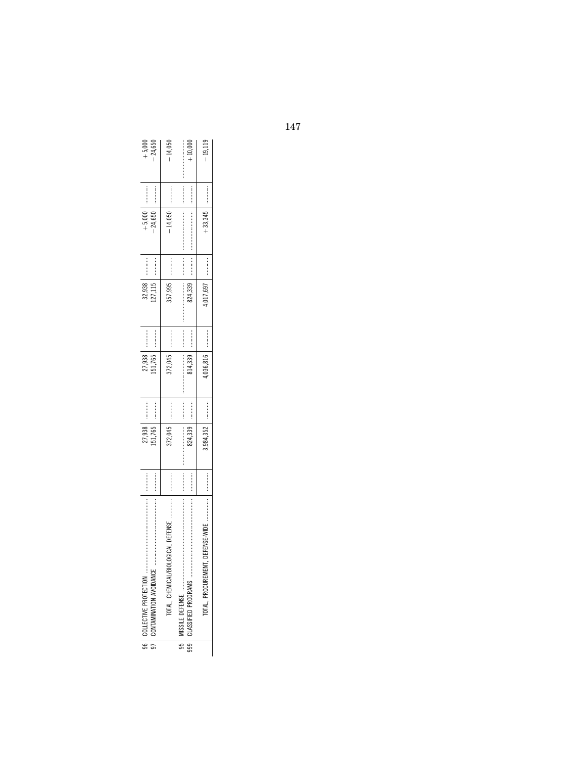|                                                         |                       | 27,938  |                       | 27,938   |                       | 32,938   | :<br>:<br>:<br>:<br>: | $+5,000$  |                       | $+5,00$   |
|---------------------------------------------------------|-----------------------|---------|-----------------------|----------|-----------------------|----------|-----------------------|-----------|-----------------------|-----------|
|                                                         |                       | .51,765 | :<br>:<br>:<br>:      | 51,765   |                       | 127,115  | :<br>:<br>:<br>:<br>: | $-24,650$ |                       | $-24,650$ |
| DEFENSE<br>JLOGICAL F                                   |                       | 372,045 | :<br>:<br>:<br>:<br>: | 372,045  |                       | 357,995  |                       |           |                       | $-14.050$ |
|                                                         | :<br>:<br>:<br>:<br>: |         | :<br>:<br>:<br>:<br>: |          | :<br>:<br>:<br>:<br>: |          | :<br>:<br>:<br>:<br>: |           | :<br>:<br>:<br>:<br>: |           |
|                                                         | :<br>:<br>:<br>:<br>: | 824,339 | :<br>:<br>:<br>:      | 814,339  | :<br>:<br>:<br>:      | 824,339  |                       |           | :<br>:<br>:<br>:<br>: | $+10,000$ |
| <b><i><u><u><b></b></u></u></i></b><br>NT, DEFENSE-WIDE | :<br>:<br>:<br>:<br>: |         | :<br>:<br>:<br>:      | 036.816  | :<br>:<br>:<br>:<br>: | ,017,697 | :<br>:<br>:<br>:<br>: |           | <br> <br> <br>        | $-19,119$ |
|                                                         |                       |         |                       | ,984,352 |                       |          |                       |           |                       | $+33.345$ |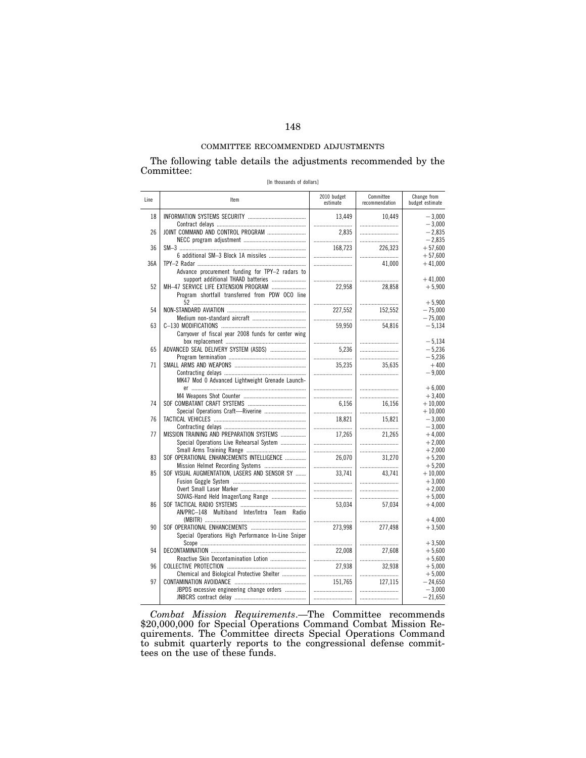#### COMMITTEE RECOMMENDED ADJUSTMENTS

The following table details the adjustments recommended by the Committee:

| [In thousands of dollars] |  |
|---------------------------|--|
|---------------------------|--|

| Line | Item                                                                                                                          | 2010 budget<br>estimate | Committee<br>recommendation | Change from<br>budget estimate    |
|------|-------------------------------------------------------------------------------------------------------------------------------|-------------------------|-----------------------------|-----------------------------------|
| 18   |                                                                                                                               | 13,449                  | 10,449                      | $-3,000$                          |
|      |                                                                                                                               |                         |                             | $-3,000$                          |
| 26   | JOINT COMMAND AND CONTROL PROGRAM                                                                                             | 2.835                   |                             | $-2.835$                          |
|      |                                                                                                                               |                         |                             | $-2,835$                          |
| 36   |                                                                                                                               | 168.723                 | 226,323                     | $+57.600$                         |
|      |                                                                                                                               |                         |                             | $+57,600$                         |
| 36A  | Advance procurement funding for TPY-2 radars to                                                                               |                         | 41,000                      | $+41,000$                         |
| 52   | support additional THAAD batteries<br>MH-47 SERVICE LIFE EXTENSION PROGRAM<br>Program shortfall transferred from PDW OCO line | 22,958                  | 28,858                      | $+41.000$<br>$+5,900$             |
| 54   |                                                                                                                               |                         |                             | $+5.900$                          |
|      |                                                                                                                               | 227,552                 | 152,552                     | $-75,000$                         |
| 63   |                                                                                                                               |                         |                             | $-75,000$                         |
|      |                                                                                                                               | 59.950                  | 54,816                      | $-5.134$                          |
|      | Carryover of fiscal year 2008 funds for center wing                                                                           |                         |                             | $-5.134$                          |
| 65   | ADVANCED SEAL DELIVERY SYSTEM (ASDS)                                                                                          | 5.236                   |                             | $-5.236$                          |
|      |                                                                                                                               |                         |                             | $-5,236$                          |
| 71   | MK47 Mod 0 Advanced Lightweight Grenade Launch-                                                                               | 35.235                  | 35.635                      | $+400$<br>$-9.000$                |
|      |                                                                                                                               |                         |                             | $+6,000$                          |
|      |                                                                                                                               |                         |                             | $+3,400$                          |
| 74   |                                                                                                                               | 6.156                   | 16,156                      | $+10,000$                         |
|      | Special Operations Craft-Riverine                                                                                             |                         |                             | $+10,000$                         |
| 76   |                                                                                                                               | 18.821                  | 15,821                      | $-3.000$                          |
|      |                                                                                                                               |                         |                             | $-3,000$                          |
| 77   | MISSION TRAINING AND PREPARATION SYSTEMS                                                                                      | 17.265                  | 21.265                      | $+4.000$                          |
|      | Special Operations Live Rehearsal System                                                                                      |                         |                             | $+2,000$                          |
| 83   |                                                                                                                               |                         |                             | $+2,000$                          |
|      | SOF OPERATIONAL ENHANCEMENTS INTELLIGENCE                                                                                     | 26.070                  | 31.270                      | $+5,200$                          |
| 85   | SOF VISUAL AUGMENTATION, LASERS AND SENSOR SY                                                                                 | 33.741                  | 43,741                      | $+5,200$<br>$+10,000$<br>$+3,000$ |
|      | SOVAS-Hand Held Imager/Long Range                                                                                             |                         |                             | $+2.000$<br>$+5,000$              |
| 86   | AN/PRC-148 Multiband Inter/Intra Team Radio                                                                                   | 53.034                  | 57,034                      | $+4,000$                          |
| 90   | Special Operations High Performance In-Line Sniper                                                                            | 273,998                 | <br>277,498                 | $+4,000$<br>$+3,500$              |
| 94   |                                                                                                                               |                         |                             | $+3,500$                          |
|      |                                                                                                                               | 22,008                  | 27,608                      | $+5,600$                          |
|      | Reactive Skin Decontamination Lotion                                                                                          |                         |                             | $+5,600$                          |
| 96   |                                                                                                                               | 27,938                  | 32,938                      | $+5,000$                          |
|      | Chemical and Biological Protective Shelter                                                                                    |                         |                             | $+5,000$                          |
| 97   |                                                                                                                               | 151.765                 | 127.115                     | $-24.650$                         |
|      | JBPDS excessive engineering change orders                                                                                     |                         |                             | $-3,000$                          |
|      |                                                                                                                               |                         |                             | $-21,650$                         |

*Combat Mission Requirements*.—The Committee recommends \$20,000,000 for Special Operations Command Combat Mission Requirements. The Committee directs Special Operations Command to submit quarterly reports to the congressional defense committees on the use of these funds.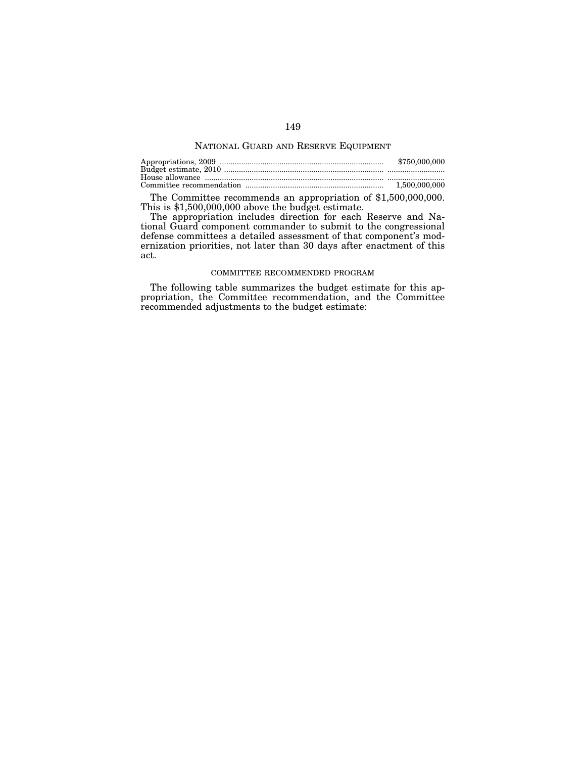### NATIONAL GUARD AND RESERVE EQUIPMENT

| \$750,000,000 |
|---------------|
|               |
|               |
|               |

The Committee recommends an appropriation of \$1,500,000,000. This is \$1,500,000,000 above the budget estimate.

The appropriation includes direction for each Reserve and National Guard component commander to submit to the congressional defense committees a detailed assessment of that component's modernization priorities, not later than 30 days after enactment of this act.

#### COMMITTEE RECOMMENDED PROGRAM

The following table summarizes the budget estimate for this appropriation, the Committee recommendation, and the Committee recommended adjustments to the budget estimate: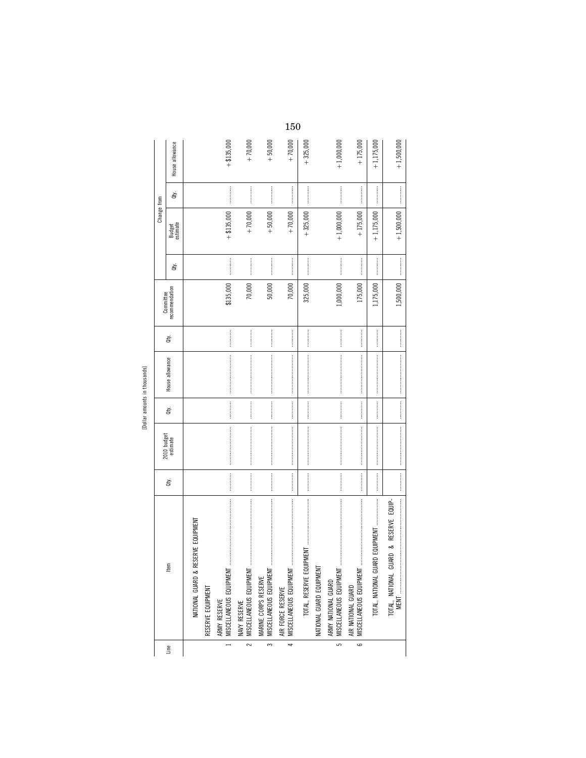| $\mathbf{v}$ |  |
|--------------|--|
|              |  |
| ł            |  |
|              |  |
|              |  |

|                               |                 |                         |                                    |                   |                                         |                                                                                                                                                                                                                                                                                                                                                                                                                                                                                                                                                                                                                               |                                                 | 150                                                                                                                                                                                                                                                                                                                                                                                                                                                                                                                                            |                                                                                                                                                                                                                                                                                                                                                                                                                                                                                                                                                         |                          |                                                |                                               |                                 |                                                                                                                                                                                                                                                                                                                                                                                                                                                                                                                                                                                                                                               |
|-------------------------------|-----------------|-------------------------|------------------------------------|-------------------|-----------------------------------------|-------------------------------------------------------------------------------------------------------------------------------------------------------------------------------------------------------------------------------------------------------------------------------------------------------------------------------------------------------------------------------------------------------------------------------------------------------------------------------------------------------------------------------------------------------------------------------------------------------------------------------|-------------------------------------------------|------------------------------------------------------------------------------------------------------------------------------------------------------------------------------------------------------------------------------------------------------------------------------------------------------------------------------------------------------------------------------------------------------------------------------------------------------------------------------------------------------------------------------------------------|---------------------------------------------------------------------------------------------------------------------------------------------------------------------------------------------------------------------------------------------------------------------------------------------------------------------------------------------------------------------------------------------------------------------------------------------------------------------------------------------------------------------------------------------------------|--------------------------|------------------------------------------------|-----------------------------------------------|---------------------------------|-----------------------------------------------------------------------------------------------------------------------------------------------------------------------------------------------------------------------------------------------------------------------------------------------------------------------------------------------------------------------------------------------------------------------------------------------------------------------------------------------------------------------------------------------------------------------------------------------------------------------------------------------|
|                               |                 | House allowance         |                                    |                   | $+ $135,000$                            | $+70,000$                                                                                                                                                                                                                                                                                                                                                                                                                                                                                                                                                                                                                     | $+50,000$                                       | $+70,000$                                                                                                                                                                                                                                                                                                                                                                                                                                                                                                                                      | $+325,000$                                                                                                                                                                                                                                                                                                                                                                                                                                                                                                                                              |                          | $+1,000,000$                                   | $+175,000$                                    | $+1,175,000$                    | $+1,500,000$                                                                                                                                                                                                                                                                                                                                                                                                                                                                                                                                                                                                                                  |
|                               |                 | à.                      |                                    |                   |                                         |                                                                                                                                                                                                                                                                                                                                                                                                                                                                                                                                                                                                                               |                                                 |                                                                                                                                                                                                                                                                                                                                                                                                                                                                                                                                                |                                                                                                                                                                                                                                                                                                                                                                                                                                                                                                                                                         |                          |                                                |                                               |                                 |                                                                                                                                                                                                                                                                                                                                                                                                                                                                                                                                                                                                                                               |
|                               | Change from     | Budget<br>estimate      |                                    |                   | $+ $135,000$                            | $+70,000$                                                                                                                                                                                                                                                                                                                                                                                                                                                                                                                                                                                                                     | $+50,000$                                       | $+70,000$                                                                                                                                                                                                                                                                                                                                                                                                                                                                                                                                      | $+325,000$                                                                                                                                                                                                                                                                                                                                                                                                                                                                                                                                              |                          | $+1,000,000$                                   | $+175,000$                                    | $+1,175,000$                    | $+1,500,000$                                                                                                                                                                                                                                                                                                                                                                                                                                                                                                                                                                                                                                  |
|                               |                 | đý.                     |                                    |                   |                                         |                                                                                                                                                                                                                                                                                                                                                                                                                                                                                                                                                                                                                               |                                                 |                                                                                                                                                                                                                                                                                                                                                                                                                                                                                                                                                |                                                                                                                                                                                                                                                                                                                                                                                                                                                                                                                                                         |                          |                                                |                                               |                                 |                                                                                                                                                                                                                                                                                                                                                                                                                                                                                                                                                                                                                                               |
|                               | Committee       | recommendation          |                                    |                   | \$135,000                               | 70,000                                                                                                                                                                                                                                                                                                                                                                                                                                                                                                                                                                                                                        | 50,000                                          | 70,000                                                                                                                                                                                                                                                                                                                                                                                                                                                                                                                                         | 325,000                                                                                                                                                                                                                                                                                                                                                                                                                                                                                                                                                 |                          | 1,000,000                                      | 175,000                                       | 1,175,000                       | 1,500,000                                                                                                                                                                                                                                                                                                                                                                                                                                                                                                                                                                                                                                     |
|                               |                 | ਛੇ                      |                                    |                   | <br> <br> <br>                          |                                                                                                                                                                                                                                                                                                                                                                                                                                                                                                                                                                                                                               |                                                 |                                                                                                                                                                                                                                                                                                                                                                                                                                                                                                                                                |                                                                                                                                                                                                                                                                                                                                                                                                                                                                                                                                                         |                          |                                                |                                               |                                 |                                                                                                                                                                                                                                                                                                                                                                                                                                                                                                                                                                                                                                               |
| [Dollar amounts in thousands] | House allowance |                         |                                    |                   |                                         |                                                                                                                                                                                                                                                                                                                                                                                                                                                                                                                                                                                                                               |                                                 | $\label{def:conformal} \begin{minipage}{0.9\linewidth} \begin{minipage}{0.9\linewidth} \begin{minipage}{0.9\linewidth} \begin{minipage}{0.9\linewidth} \end{minipage} \end{minipage} \begin{minipage}{0.9\linewidth} \begin{minipage}{0.9\linewidth} \begin{minipage}{0.9\linewidth} \end{minipage} \end{minipage} \end{minipage} \begin{minipage}{0.9\linewidth} \begin{minipage}{0.9\linewidth} \begin{minipage}{0.9\linewidth} \end{minipage} \end{minipage} \end{minipage} \begin{minipage}{0.9\linewidth} \begin{minipage}{0.9\linewidth$ | $\label{def:1} \begin{minipage}{0.9\linewidth} \begin{minipage}{0.9\linewidth} \begin{minipage}{0.9\linewidth} \begin{minipage}{0.9\linewidth} \end{minipage} \end{minipage} \begin{minipage}{0.9\linewidth} \begin{minipage}{0.9\linewidth} \begin{minipage}{0.9\linewidth} \end{minipage} \end{minipage} \end{minipage} \begin{minipage}{0.9\linewidth} \begin{minipage}{0.9\linewidth} \begin{minipage}{0.9\linewidth} \end{minipage} \end{minipage} \end{minipage} \begin{minipage}{0.9\linewidth} \begin{minipage}{0.9\linewidth} \$               |                          |                                                |                                               |                                 | $\label{def:main}$                                                                                                                                                                                                                                                                                                                                                                                                                                                                                                                                                                                                                            |
|                               |                 | Qty.                    |                                    |                   |                                         |                                                                                                                                                                                                                                                                                                                                                                                                                                                                                                                                                                                                                               |                                                 |                                                                                                                                                                                                                                                                                                                                                                                                                                                                                                                                                | $\begin{minipage}{0.9\linewidth} \begin{minipage}{0.9\linewidth} \begin{minipage}{0.9\linewidth} \end{minipage} \begin{minipage}{0.9\linewidth} \begin{minipage}{0.9\linewidth} \end{minipage} \begin{minipage}{0.9\linewidth} \end{minipage} \begin{minipage}{0.9\linewidth} \end{minipage} \begin{minipage}{0.9\linewidth} \begin{minipage}{0.9\linewidth} \end{minipage} \begin{minipage}{0.9\linewidth} \end{minipage} \begin{minipage}{0.9\linewidth} \end{minipage} \begin{minipage}{0.9\linewidth} \end{minipage} \begin{minipage}{0$            |                          |                                                |                                               |                                 |                                                                                                                                                                                                                                                                                                                                                                                                                                                                                                                                                                                                                                               |
|                               |                 | 2010 budget<br>estimate |                                    |                   |                                         | $\begin{minipage}{0.9\linewidth} \begin{tabular}{l} \textbf{1} & \textbf{1} & \textbf{1} & \textbf{1} & \textbf{1} & \textbf{1} & \textbf{1} & \textbf{1} & \textbf{1} & \textbf{1} & \textbf{1} & \textbf{1} & \textbf{1} & \textbf{1} & \textbf{1} & \textbf{1} & \textbf{1} & \textbf{1} & \textbf{1} & \textbf{1} & \textbf{1} & \textbf{1} & \textbf{1} & \textbf{1} & \textbf{1} & \textbf{1} & \textbf{1} & \textbf{1} & \textbf$                                                                                                                                                                                      |                                                 |                                                                                                                                                                                                                                                                                                                                                                                                                                                                                                                                                | $\begin{minipage}{0.9\linewidth} \begin{tabular}{l} \textbf{1} & \textbf{2} & \textbf{3} & \textbf{5} & \textbf{6} & \textbf{6} & \textbf{6} & \textbf{6} & \textbf{6} & \textbf{6} & \textbf{6} & \textbf{6} & \textbf{6} & \textbf{6} & \textbf{6} & \textbf{6} & \textbf{6} & \textbf{6} & \textbf{6} & \textbf{6} & \textbf{6} & \textbf{6} & \textbf{6} & \textbf{6} & \textbf{6} & \textbf{6} & \textbf{6} & \textbf{6} & \textbf$                                                                                                                |                          |                                                |                                               |                                 | $\label{def:main}$                                                                                                                                                                                                                                                                                                                                                                                                                                                                                                                                                                                                                            |
|                               |                 | ਛੇ                      |                                    |                   |                                         |                                                                                                                                                                                                                                                                                                                                                                                                                                                                                                                                                                                                                               |                                                 |                                                                                                                                                                                                                                                                                                                                                                                                                                                                                                                                                | $\begin{minipage}{0.9\linewidth} \begin{tabular}{l} \hline \textbf{1} & \textbf{1} & \textbf{1} & \textbf{1} & \textbf{1} & \textbf{1} & \textbf{1} & \textbf{1} & \textbf{1} & \textbf{1} & \textbf{1} & \textbf{1} & \textbf{1} & \textbf{1} & \textbf{1} & \textbf{1} & \textbf{1} & \textbf{1} & \textbf{1} & \textbf{1} & \textbf{1} & \textbf{1} & \textbf{1} & \textbf{1} & \textbf{1} & \textbf{1} & \textbf{1} & \textbf{1} &$                                                                                                                 |                          |                                                |                                               |                                 |                                                                                                                                                                                                                                                                                                                                                                                                                                                                                                                                                                                                                                               |
|                               |                 | Item                    | NATIONAL GUARD & RESERVE EQUIPMENT | RESERVE EQUIPMENT | MISCELLANEOUS EQUIPMENT<br>ARMY RESERVE | $\label{def:1} \begin{split} &\text{non-zero}\; \text{non-zero}\; \text{non-zero}\; \text{non-zero}\; \text{non-zero}\; \text{non-zero}\; \text{non-zero}\; \text{non-zero}\; \text{non-zero}\; \text{non-zero}\; \text{non-zero}\; \text{non-zero}\; \text{non-zero}\; \text{non-zero}\; \text{non-zero}\; \text{non-zero}\; \text{non-zero}\; \text{non-zero}\; \text{non-zero}\; \text{non-zero}\; \text{non-zero}\; \text{non-zero}\; \text{non-zero}\; \text{non-zero}\; \text{non-zero}\; \text{non-zero}\; \text{non-zero}\; \text{non-zero}\; \text{non-zero}\; \text{non$<br>MISCELLANEOUS EQUIPMENT<br>NAVY RESERVE | MISCELLANEOUS EQUIPMENT<br>MARINE CORPS RESERVE |                                                                                                                                                                                                                                                                                                                                                                                                                                                                                                                                                | $\label{def:conformal} \begin{split} \mathcal{L}_{\mathcal{F}}(\mathcal{F}) = \mathcal{L}_{\mathcal{F}}(\mathcal{F}) \times \mathcal{L}_{\mathcal{F}}(\mathcal{F}) \times \mathcal{L}_{\mathcal{F}}(\mathcal{F}) \times \mathcal{L}_{\mathcal{F}}(\mathcal{F}) \times \mathcal{L}_{\mathcal{F}}(\mathcal{F}) \times \mathcal{L}_{\mathcal{F}}(\mathcal{F}) \times \mathcal{L}_{\mathcal{F}}(\mathcal{F}) \times \mathcal{L}_{\mathcal{F}}(\mathcal{F}) \times \mathcal{L}_{\mathcal{F}}(\mathcal{F}) \times \mathcal{L}_{\$<br>TOTAL, RESERVE EQUIPMENT | NATIONAL GUARD EQUIPMENT | ARMY NATIONAL GUARD<br>MISCELLANEOUS EQUIPMENT | MISCELLANEOUS EQUIPMENT<br>AIR NATIONAL GUARD | TOTAL, NATIONAL GUARD EQUIPMENT | $\begin{minipage}{0.9\linewidth} \includegraphics[width=0.9\linewidth]{images/100000.pdf} \includegraphics[width=0.9\linewidth]{images/100000.pdf} \includegraphics[width=0.9\linewidth]{images/100000.pdf} \includegraphics[width=0.9\linewidth]{images/100000.pdf} \includegraphics[width=0.9\linewidth]{images/100000.pdf} \includegraphics[width=0.9\linewidth]{images/100000.pdf} \includegraphics[width=0.9\linewidth]{images/100000.pdf} \includegraphics[width=0.9\linewidth]{images/100000.pdf} \includegraphics[width=0.9\linewidth]{images/100000.pdf} \includegraphics[width=0.9$<br>RESERVE EQUIP-<br>చ<br>TOTAL, NATIONAL GUARD |
|                               |                 | Line                    |                                    |                   |                                         | $\sim$                                                                                                                                                                                                                                                                                                                                                                                                                                                                                                                                                                                                                        | $\tilde{ }$                                     | 4                                                                                                                                                                                                                                                                                                                                                                                                                                                                                                                                              |                                                                                                                                                                                                                                                                                                                                                                                                                                                                                                                                                         |                          | 5                                              | م                                             |                                 |                                                                                                                                                                                                                                                                                                                                                                                                                                                                                                                                                                                                                                               |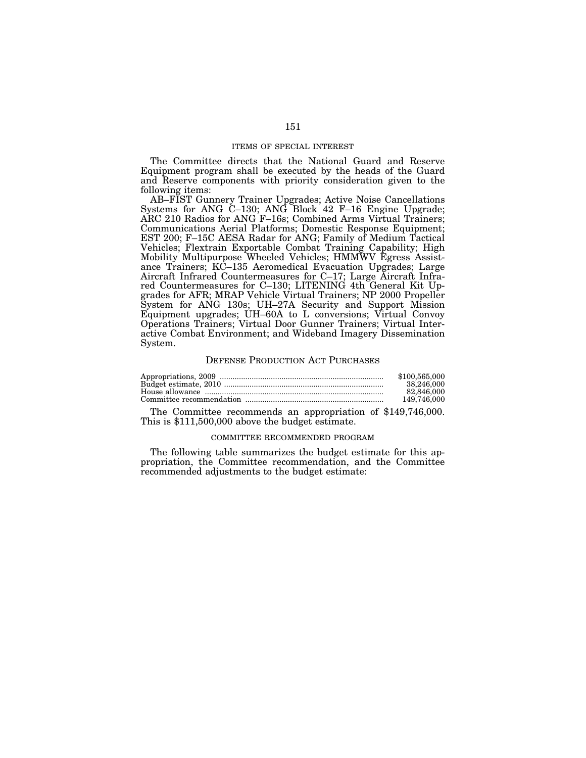#### ITEMS OF SPECIAL INTEREST

The Committee directs that the National Guard and Reserve Equipment program shall be executed by the heads of the Guard and Reserve components with priority consideration given to the following items:

AB–FIST Gunnery Trainer Upgrades; Active Noise Cancellations Systems for ANG C–130; ANG Block 42 F–16 Engine Upgrade; ARC 210 Radios for ANG F–16s; Combined Arms Virtual Trainers; Communications Aerial Platforms; Domestic Response Equipment; EST 200; F–15C AESA Radar for ANG; Family of Medium Tactical Vehicles; Flextrain Exportable Combat Training Capability; High Mobility Multipurpose Wheeled Vehicles; HMMWV Egress Assistance Trainers; KC–135 Aeromedical Evacuation Upgrades; Large Aircraft Infrared Countermeasures for C–17; Large Aircraft Infrared Countermeasures for C–130; LITENING 4th General Kit Upgrades for AFR; MRAP Vehicle Virtual Trainers; NP 2000 Propeller System for ANG 130s; UH–27A Security and Support Mission Equipment upgrades; UH–60A to L conversions; Virtual Convoy Operations Trainers; Virtual Door Gunner Trainers; Virtual Interactive Combat Environment; and Wideband Imagery Dissemination System.

#### DEFENSE PRODUCTION ACT PURCHASES

| \$100,565,000 |
|---------------|
| 38,246,000    |
| 82,846,000    |
| 149.746.000   |

The Committee recommends an appropriation of \$149,746,000. This is \$111,500,000 above the budget estimate.

#### COMMITTEE RECOMMENDED PROGRAM

The following table summarizes the budget estimate for this appropriation, the Committee recommendation, and the Committee recommended adjustments to the budget estimate: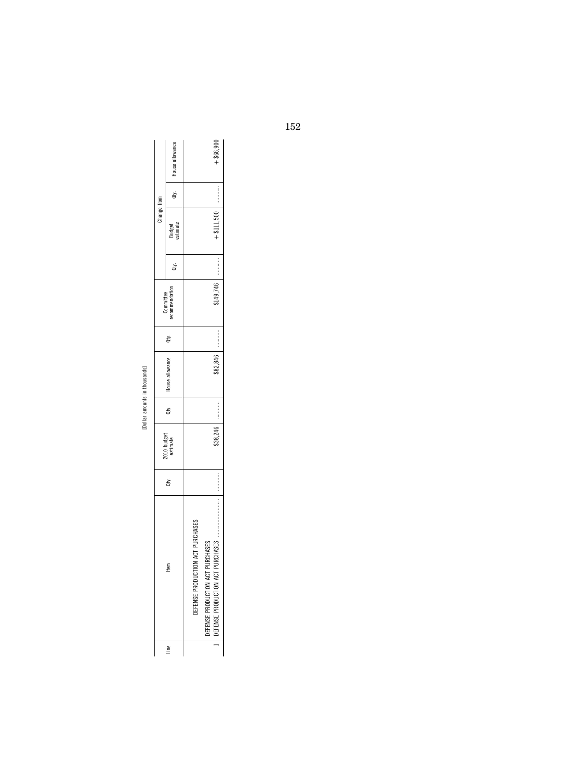| ì<br>ì<br>₽<br>٠ |
|------------------|
|                  |
| ì<br>Ğ           |
|                  |
| é                |

|             | Qty.   House allowance      | $+$ \$66,900                                                                                                                                                        |
|-------------|-----------------------------|---------------------------------------------------------------------------------------------------------------------------------------------------------------------|
|             |                             |                                                                                                                                                                     |
| Change from | Budget<br>stimate           |                                                                                                                                                                     |
|             | È                           |                                                                                                                                                                     |
|             | Committee<br>recommendation | ₹149,746                                                                                                                                                            |
|             | ġ                           | :<br>:<br>:<br>:<br>:                                                                                                                                               |
|             | House allowance             | \$82,846                                                                                                                                                            |
|             | È                           | $\begin{aligned} \mathcal{L}_{\text{in}}(\mathcal{L}_{\text{in}}(\mathcal{L}_{\text{out}}),\mathcal{L}_{\text{out}}(\mathcal{L}_{\text{out}}))\geq 0 \end{aligned}$ |
|             | 910 budget<br>estimate      | \$38,246                                                                                                                                                            |
|             | ġ                           | :<br>:<br>:<br>:<br>:                                                                                                                                               |
|             | Item                        | ACT PURCHASE<br><b>RCHASES</b><br><b>RCHASES</b><br><b>IEFENSE PRODUCTIO</b><br>EFENSE PRODUCTION ACT PI<br><b>IEFENSE PRODUCTION ACT PL</b>                        |
|             | Ĵ                           |                                                                                                                                                                     |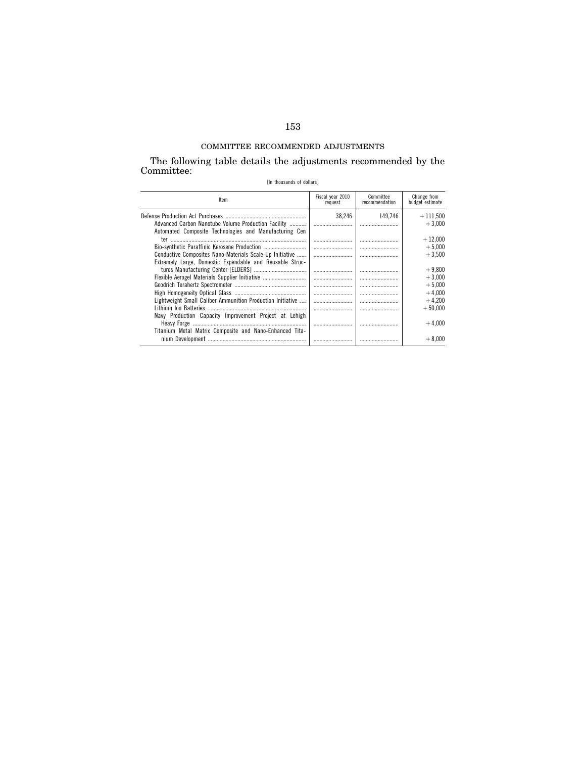# COMMITTEE RECOMMENDED ADJUSTMENTS

The following table details the adjustments recommended by the Committee:

[In thousands of dollars]

| Item                                                       | Fiscal year 2010<br>request | Committee<br>recommendation | Change from<br>budget estimate |
|------------------------------------------------------------|-----------------------------|-----------------------------|--------------------------------|
|                                                            | 38,246                      | 149.746                     | $+111,500$                     |
| Advanced Carbon Nanotube Volume Production Facility        |                             |                             | $+3.000$                       |
| Automated Composite Technologies and Manufacturing Cen     |                             |                             |                                |
|                                                            |                             |                             | $+12.000$                      |
|                                                            |                             |                             | $+5,000$                       |
| Conductive Composites Nano-Materials Scale-Up Initiative   |                             |                             | $+3.500$                       |
| Extremely Large. Domestic Expendable and Reusable Struc-   |                             |                             |                                |
|                                                            |                             |                             | $+9.800$                       |
| Flexible Aerogel Materials Supplier Initiative             |                             |                             | $+3.000$                       |
|                                                            |                             |                             | $+5.000$                       |
|                                                            |                             |                             | $+4,000$                       |
| Lightweight Small Caliber Ammunition Production Initiative |                             |                             | $+4.200$                       |
|                                                            |                             |                             | $+50.000$                      |
| Navy Production Capacity Improvement Project at Lehigh     |                             |                             |                                |
|                                                            |                             |                             | $+4.000$                       |
| Titanium Metal Matrix Composite and Nano-Enhanced Tita-    |                             |                             |                                |
|                                                            |                             |                             | $+8.000$                       |
|                                                            |                             |                             |                                |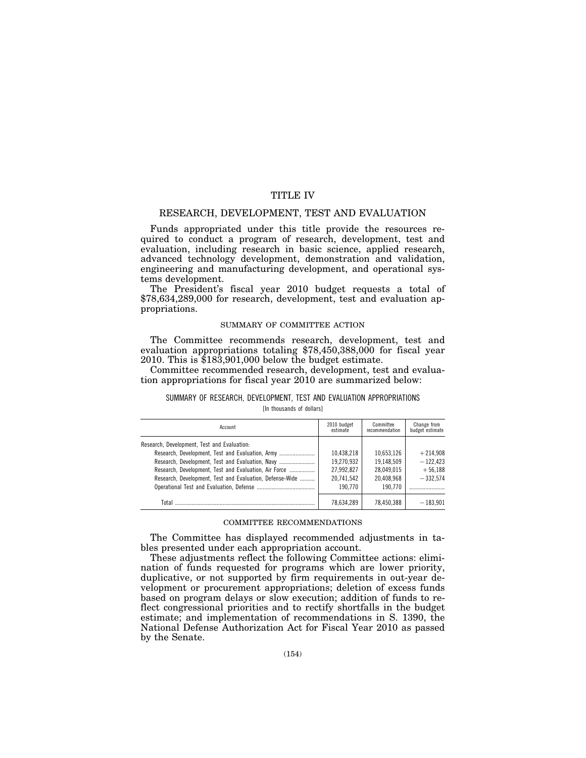## TITLE IV

## RESEARCH, DEVELOPMENT, TEST AND EVALUATION

Funds appropriated under this title provide the resources required to conduct a program of research, development, test and evaluation, including research in basic science, applied research, advanced technology development, demonstration and validation, engineering and manufacturing development, and operational systems development.

The President's fiscal year 2010 budget requests a total of \$78,634,289,000 for research, development, test and evaluation appropriations.

### SUMMARY OF COMMITTEE ACTION

The Committee recommends research, development, test and evaluation appropriations totaling \$78,450,388,000 for fiscal year 2010. This is  $$183,901,000$  below the budget estimate.

Committee recommended research, development, test and evaluation appropriations for fiscal year 2010 are summarized below:

### SUMMARY OF RESEARCH, DEVELOPMENT, TEST AND EVALUATION APPROPRIATIONS [In thousands of dollars]

| Account                                                  | 2010 budget<br>estimate | Committee<br>recommendation | Change from<br>budget estimate |
|----------------------------------------------------------|-------------------------|-----------------------------|--------------------------------|
| Research, Development, Test and Evaluation.              |                         |                             |                                |
|                                                          | 10.438.218              | 10.653.126                  | $+214.908$                     |
|                                                          | 19.270.932              | 19.148.509                  | $-122.423$                     |
| Research, Development, Test and Evaluation, Air Force    | 27.992.827              | 28.049.015                  | $+56.188$                      |
| Research, Development, Test and Evaluation, Defense-Wide | 20.741.542              | 20.408.968                  | $-332.574$                     |
|                                                          | 190.770                 | 190.770                     |                                |
| Total                                                    | 78,634,289              | 78,450,388                  | $-183.901$                     |

#### COMMITTEE RECOMMENDATIONS

The Committee has displayed recommended adjustments in tables presented under each appropriation account.

These adjustments reflect the following Committee actions: elimination of funds requested for programs which are lower priority, duplicative, or not supported by firm requirements in out-year development or procurement appropriations; deletion of excess funds based on program delays or slow execution; addition of funds to reflect congressional priorities and to rectify shortfalls in the budget estimate; and implementation of recommendations in S. 1390, the National Defense Authorization Act for Fiscal Year 2010 as passed by the Senate.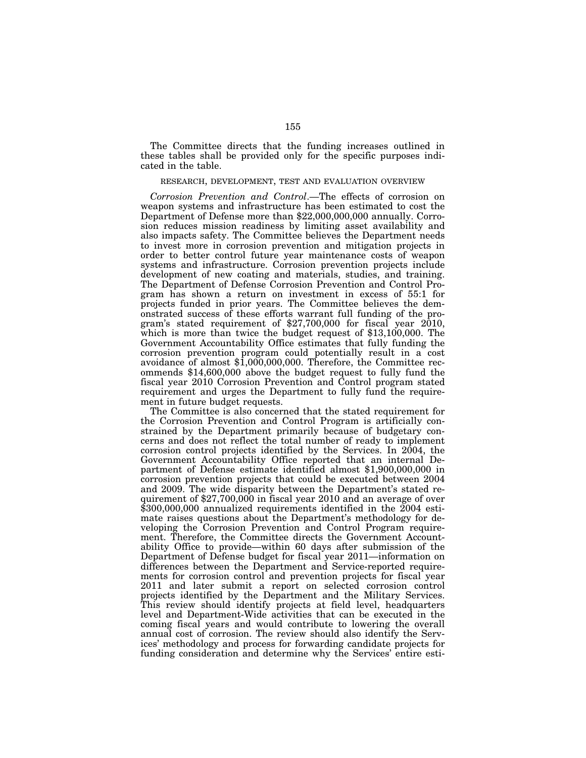The Committee directs that the funding increases outlined in these tables shall be provided only for the specific purposes indicated in the table.

#### RESEARCH, DEVELOPMENT, TEST AND EVALUATION OVERVIEW

*Corrosion Prevention and Control*.—The effects of corrosion on weapon systems and infrastructure has been estimated to cost the Department of Defense more than \$22,000,000,000 annually. Corrosion reduces mission readiness by limiting asset availability and also impacts safety. The Committee believes the Department needs to invest more in corrosion prevention and mitigation projects in order to better control future year maintenance costs of weapon systems and infrastructure. Corrosion prevention projects include development of new coating and materials, studies, and training. The Department of Defense Corrosion Prevention and Control Program has shown a return on investment in excess of 55:1 for projects funded in prior years. The Committee believes the demonstrated success of these efforts warrant full funding of the program's stated requirement of \$27,700,000 for fiscal year 2010, which is more than twice the budget request of \$13,100,000. The Government Accountability Office estimates that fully funding the corrosion prevention program could potentially result in a cost avoidance of almost \$1,000,000,000. Therefore, the Committee recommends \$14,600,000 above the budget request to fully fund the fiscal year 2010 Corrosion Prevention and Control program stated requirement and urges the Department to fully fund the requirement in future budget requests.

The Committee is also concerned that the stated requirement for the Corrosion Prevention and Control Program is artificially constrained by the Department primarily because of budgetary concerns and does not reflect the total number of ready to implement corrosion control projects identified by the Services. In 2004, the Government Accountability Office reported that an internal Department of Defense estimate identified almost \$1,900,000,000 in corrosion prevention projects that could be executed between 2004 and 2009. The wide disparity between the Department's stated requirement of \$27,700,000 in fiscal year 2010 and an average of over \$300,000,000 annualized requirements identified in the 2004 estimate raises questions about the Department's methodology for developing the Corrosion Prevention and Control Program requirement. Therefore, the Committee directs the Government Accountability Office to provide—within 60 days after submission of the Department of Defense budget for fiscal year 2011—information on differences between the Department and Service-reported requirements for corrosion control and prevention projects for fiscal year 2011 and later submit a report on selected corrosion control projects identified by the Department and the Military Services. This review should identify projects at field level, headquarters level and Department-Wide activities that can be executed in the coming fiscal years and would contribute to lowering the overall annual cost of corrosion. The review should also identify the Services' methodology and process for forwarding candidate projects for funding consideration and determine why the Services' entire esti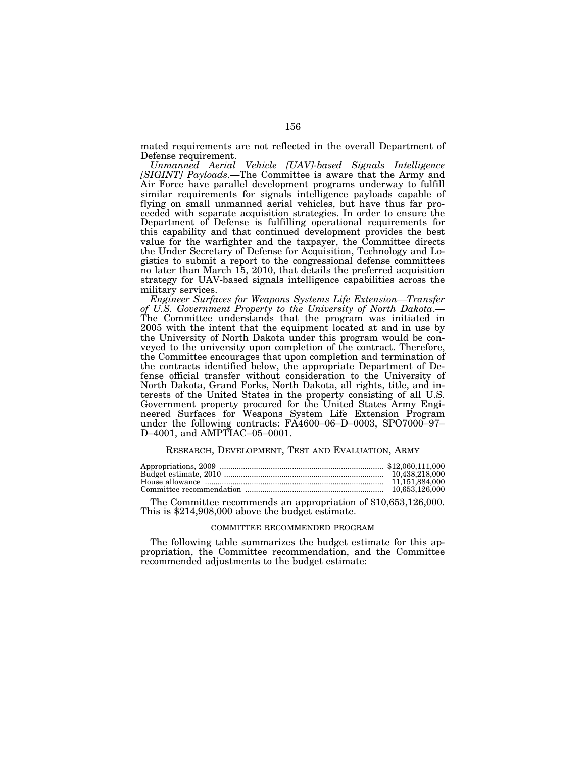mated requirements are not reflected in the overall Department of Defense requirement.

*Unmanned Aerial Vehicle [UAV]-based Signals Intelligence [SIGINT] Payloads*.—The Committee is aware that the Army and Air Force have parallel development programs underway to fulfill similar requirements for signals intelligence payloads capable of flying on small unmanned aerial vehicles, but have thus far proceeded with separate acquisition strategies. In order to ensure the Department of Defense is fulfilling operational requirements for this capability and that continued development provides the best value for the warfighter and the taxpayer, the Committee directs the Under Secretary of Defense for Acquisition, Technology and Logistics to submit a report to the congressional defense committees no later than March 15, 2010, that details the preferred acquisition strategy for UAV-based signals intelligence capabilities across the military services.

*Engineer Surfaces for Weapons Systems Life Extension—Transfer of U.S. Government Property to the University of North Dakota*.— The Committee understands that the program was initiated in 2005 with the intent that the equipment located at and in use by the University of North Dakota under this program would be conveyed to the university upon completion of the contract. Therefore, the Committee encourages that upon completion and termination of the contracts identified below, the appropriate Department of Defense official transfer without consideration to the University of North Dakota, Grand Forks, North Dakota, all rights, title, and interests of the United States in the property consisting of all U.S. Government property procured for the United States Army Engineered Surfaces for Weapons System Life Extension Program under the following contracts: FA4600–06–D–0003, SPO7000–97– D–4001, and AMPTIAC–05–0001.

### RESEARCH, DEVELOPMENT, TEST AND EVALUATION, ARMY

The Committee recommends an appropriation of \$10,653,126,000. This is \$214,908,000 above the budget estimate.

#### COMMITTEE RECOMMENDED PROGRAM

The following table summarizes the budget estimate for this appropriation, the Committee recommendation, and the Committee recommended adjustments to the budget estimate: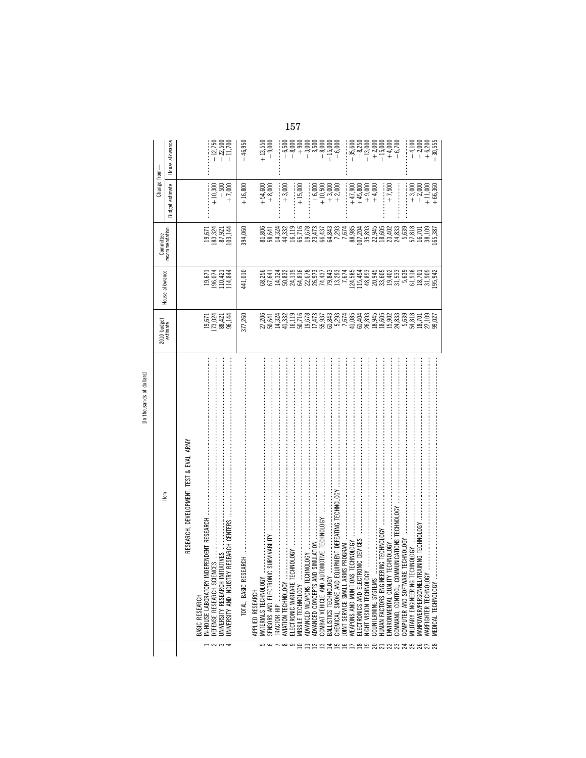| ¢<br>ï                                                             |  |
|--------------------------------------------------------------------|--|
| ١<br>5<br>ř                                                        |  |
| s<br>۱<br>$\overline{\phantom{a}}$<br>٤<br>$\sigma$<br>ċ<br>Е<br>٠ |  |
| r.                                                                 |  |

|                                                                   |                                     |                               | Committee                                                                                   |                                   | Change from-                                    |
|-------------------------------------------------------------------|-------------------------------------|-------------------------------|---------------------------------------------------------------------------------------------|-----------------------------------|-------------------------------------------------|
| Item                                                              | 2010 budget<br>estimate             | House allowance               | recommendation                                                                              | estimate<br>Budget                | House allowance                                 |
| RESEARCH, DEVELOPMENT, TEST & EVAL, ARMY                          |                                     |                               |                                                                                             |                                   |                                                 |
| IN-HOUSE LABORATORY IND<br>BASIC RESEARCH                         |                                     | 19,671                        |                                                                                             |                                   |                                                 |
| ξŔ<br>DEFENSE RESEARCH SCIEN<br>$-200$                            | 1234<br>1234<br>12385               |                               | 19,671<br>183,371<br>183,971<br>1911                                                        | $+10,300$                         | $-12,750$                                       |
| UNIVERSITY RESEARCH INIT                                          |                                     | 196,074<br>110,421<br>114,844 |                                                                                             | $-500$<br>+7,000                  | $-22,500$<br>$-11,700$                          |
| RESEARCH CENTERS<br><b>UNIVERSITY AND INDUSTRY</b>                |                                     |                               |                                                                                             |                                   |                                                 |
|                                                                   | 377,260                             | 441,010                       | 394,060                                                                                     | $+16,800$                         | $-46,950$                                       |
| APPLIED RESEARCH                                                  |                                     |                               |                                                                                             |                                   |                                                 |
| MATERIALS TECHNOLOGY                                              |                                     |                               |                                                                                             | $+54,600$                         | $+13,550$                                       |
| SURVIVABILITY<br>SENSORS AND ELECTRONIC<br>56000                  | 20641<br>20.521<br>20.322<br>20.332 |                               | 81,806<br>81,824<br>81,824<br>81,822                                                        | $+8,000$                          | $-9,000$                                        |
| TRACTOR HIP                                                       |                                     |                               |                                                                                             |                                   |                                                 |
| $\vdots$<br>AVIATION TECHNOLOGY                                   |                                     |                               |                                                                                             | $+3,000$                          | $-6,500$                                        |
|                                                                   |                                     |                               | 16,119                                                                                      |                                   | $-8,000$                                        |
| MISSILE TECHNOLOGY<br>≘                                           |                                     |                               |                                                                                             | $+15,000$                         | $+900$<br>$+9000$<br>$-3,500$<br>$-8,000$       |
| ADVANCED WEAPONS TECHI                                            |                                     |                               |                                                                                             |                                   |                                                 |
| ADVANCED CONCEPTS AND                                             |                                     |                               |                                                                                             |                                   |                                                 |
| MOTIVE TECHNOLOGY<br>COMBAT VEHICLE AND AUT<br>HAMAHAHAMARAN SARA |                                     |                               | $\begin{array}{l} 65,716\\ 19,673\\ 23,473\\ 66,433\\ 66,433\\ 7,293\\ 7,674\\ \end{array}$ | $+6,000$<br>+10,500               |                                                 |
| BALLISTICS TECHNOLOGY                                             |                                     |                               |                                                                                             | $+3,000$<br>$+2,000$              | $-15,000$                                       |
| JIPMENT DEFEATING TECHNOLOGY<br>CHEMICAL, SMOKE AND EQ.           |                                     |                               |                                                                                             |                                   | $-6,000$                                        |
| OINT SERVICE SMALL ARMS                                           |                                     |                               |                                                                                             |                                   |                                                 |
| WEAPONS AND MUNITIONS                                             |                                     |                               |                                                                                             | $+47,900$                         | $-35,600$                                       |
| ELECTRONICS AND ELECTRO                                           |                                     |                               |                                                                                             |                                   |                                                 |
| NIGHT VISION TECHNOLOGY                                           |                                     |                               | 985<br>8933 405<br>89405 4083<br>8007 4083<br>8007 4083                                     | $+45,800$<br>$+9,000$<br>$+4,000$ | $-8,250$<br>$-13,000$<br>$-15,000$<br>$-15,000$ |
| COUNTERMINE SYSTEMS                                               |                                     |                               |                                                                                             |                                   |                                                 |
| <b>TUMAN FACTORS ENGINEER</b>                                     |                                     |                               |                                                                                             |                                   |                                                 |
| ECHNOLOGY<br>ENVIRONMENTAL QUALITY T                              |                                     |                               |                                                                                             | $+7,500$                          | $+4,000$<br>$-6,700$                            |
| COMMAND, CONTROL, COMMUNICATIONS TECHNOLOGY                       |                                     |                               |                                                                                             |                                   |                                                 |
| COMPUTER AND SOFTWARE                                             |                                     |                               |                                                                                             |                                   |                                                 |
| <b>MILITARY ENGINEERING TECHNOLOGY</b>                            |                                     |                               |                                                                                             | $+3,000$                          | $-4,100$                                        |
| MANPOWER/PERSONNEL/TRAINING TECHNOLOGY                            | 18,701<br>27,109<br>99,027          | 61,918<br>18,701              | 57,818<br>16,701                                                                            | $-2,000$                          | $-2,000$<br>+6,200                              |
| <b>MARFIGHTER TECHNOLOGY</b>                                      |                                     |                               | 38,109                                                                                      | $+11,000$                         |                                                 |
| <b>MEDICAL TECHNOLOGY</b>                                         |                                     | 31,909<br>95,942              | .65,387                                                                                     | $+66,360$                         | $-30,555$                                       |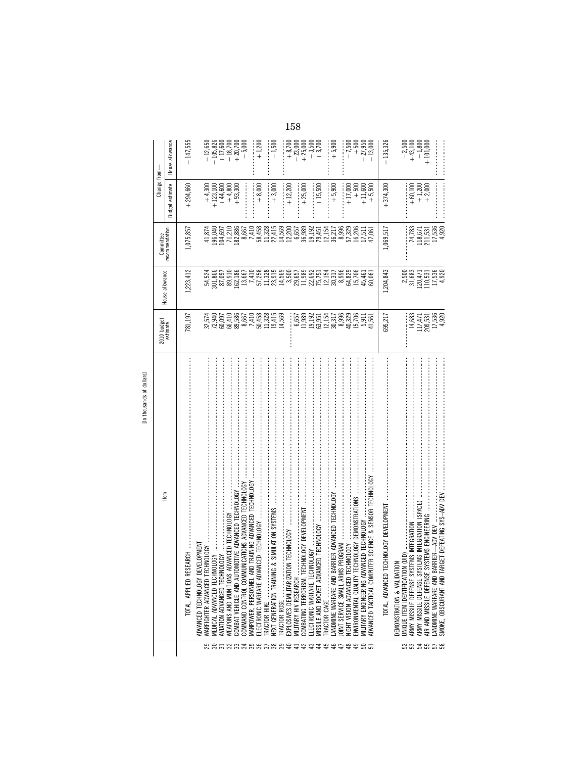|                   | [signing in spingschool in]                        |                         |                                                            |                                                    |                                    |                                                            |
|-------------------|----------------------------------------------------|-------------------------|------------------------------------------------------------|----------------------------------------------------|------------------------------------|------------------------------------------------------------|
|                   | Item                                               | 2010 budget<br>estimate | House allowance                                            | Committee                                          | Change from-                       |                                                            |
|                   |                                                    |                         |                                                            | recommendation                                     | <b>Budget estimate</b>             | House allowance                                            |
|                   | TOTAL, APPLIED RESEARCH                            | 781,197                 | .223,412                                                   | 1,075,857                                          | $+294,660$                         | $-147,555$                                                 |
|                   | ADVANCED TECHNOLOGY DEVELOPMENT                    |                         | 54,524                                                     |                                                    | $+4,300$                           |                                                            |
| 88588358858898### | MEDICAL ADVANCED TECHN                             |                         |                                                            | 41,874<br>196,040<br>196,591<br>182,886<br>182,881 | $+123,100$                         | $-12,650$<br>$-105,826$                                    |
|                   | $0106Y$<br>AVIATION ADVANCED TECHN                 | 72,940<br>60,097        | $\begin{array}{c} 801,866 \\ 87,097 \\ 89,910 \end{array}$ |                                                    |                                    |                                                            |
|                   | DVANCED TECHNOLOGY<br>WEAPONS AND MUNITIONS A      |                         |                                                            |                                                    | $+44,800$<br>$+4,800$<br>$+33,300$ | $+ 17,600$<br>$- 18,700$<br>$+ 20,700$                     |
|                   |                                                    |                         | 162,186                                                    |                                                    |                                    |                                                            |
|                   | COMMAND CONTROL COMMUNICATIONS ADVANCED TECHNOLOGY |                         |                                                            | 8,667                                              |                                    | $-5,000$                                                   |
|                   |                                                    |                         |                                                            |                                                    |                                    |                                                            |
|                   |                                                    |                         |                                                            | 7,410<br>58,458                                    | $+8,000$                           | $+1,200$                                                   |
|                   | RACTOR HIKE                                        |                         |                                                            |                                                    |                                    |                                                            |
|                   | NEXT GENERATION TRAINING                           |                         |                                                            |                                                    | $+3,000$                           | $-1,500$                                                   |
|                   |                                                    |                         |                                                            |                                                    |                                    |                                                            |
|                   | EXPLOSIVES DEMILITARIZAT                           |                         |                                                            |                                                    | $+12,200$                          |                                                            |
|                   | MILITARY HIV RESEARCH                              |                         |                                                            |                                                    |                                    |                                                            |
|                   | COMBATING TERRORISM. TE                            |                         |                                                            |                                                    | $+25,000$                          |                                                            |
|                   | ELECTRONIC WARFARE TECHNOLOGY                      |                         |                                                            |                                                    |                                    |                                                            |
| はおおけ              |                                                    |                         |                                                            |                                                    | $+15,500$                          | $+8,700$<br>$+23,000$<br>$+25,500$<br>$+3,500$<br>$+3,700$ |
|                   | RACTOR CAGE                                        |                         |                                                            |                                                    |                                    |                                                            |
|                   |                                                    |                         |                                                            |                                                    | $+5,900$                           | $+5,900$                                                   |
|                   |                                                    |                         |                                                            |                                                    |                                    |                                                            |
|                   |                                                    |                         |                                                            |                                                    | $+17,000$                          | $-7,500$                                                   |
| <b>SSSS</b>       |                                                    |                         |                                                            |                                                    | $+500$                             | $+500$                                                     |
|                   | MILITARY ENGINEERING AD\                           |                         |                                                            |                                                    |                                    | $-27,950$                                                  |
|                   | ADVANCED TACTICAL COMP                             |                         |                                                            |                                                    | $+11,600$<br>$+ 5,500$             | $-13,000$                                                  |
|                   | TOTAL, ADVANCED                                    | 695,217                 | 1,204,843                                                  | 1,069,517                                          | $+374,300$                         | $-135,326$                                                 |

DEMONSTRATION & VALIDATION

233552

52 UNIQUE ITEM IDENTIFICATION (UID) .................................................................................................................................. ........................ 2,500 ........................ ........................ ¥2,500 53 ARMY MISSILE DEFENSE SYSTEMS INTEGRATION ............................................................................................................. 14,683 31,683 74,783 ∂60,100 ∂43,100 54 ARMY MISSILE DEFENSE SYSTEMS INTEGRATION (SPACE) ............................................................................................... 117,471 120,471 118,671 ∂1,200 ¥1,800 55 AIR AND MISSILE DEFENSE SYSTEMS ENGINEERING ........................................................................................................ 209,531 110,531 211,531 ∂2,000 ∂101,000 57 LANDMINE WARFARE AND BARRIER—ADV DEV ................................................................................................................ 17,536 17,536 17,536 ........................ ........................ 58 SMOKE, OBSCURANT AND TARGET DEFEATING SYS–ADV DEV .......................................................................................... 4,920 4,920 4,920 ........................ ........................

 $\begin{matrix} -2,500 \\ +43,100 \\ +1,800 \\ +101,000 \end{matrix}$ 

 $+60,100$ <br> $+1,200$ <br> $+2,000$ 

 $\begin{array}{c} 74,783 \\ 118,671 \\ 211,531 \\ 17,536 \\ 11,536 \\ 4,920 \end{array}$ 

 $\begin{array}{c} 2,500 \\ 31,683 \\ 120,471 \\ 110,531 \\ 11,536 \\ 11,536 \\ 4,920 \end{array}$ 

 $\begin{array}{r} 14,683 \\ 117,471 \\ 209,531 \\ 17,536 \\ 14,920 \\ \end{array}$ 

usands of dollars] In thousands of dollars]  $\frac{1}{2}$ 

158

 $\begin{array}{r} -12,650 \\ -105,826 \\ +17,600 \\ +18,700 \\ +20,700 \\ -5,000 \end{array}$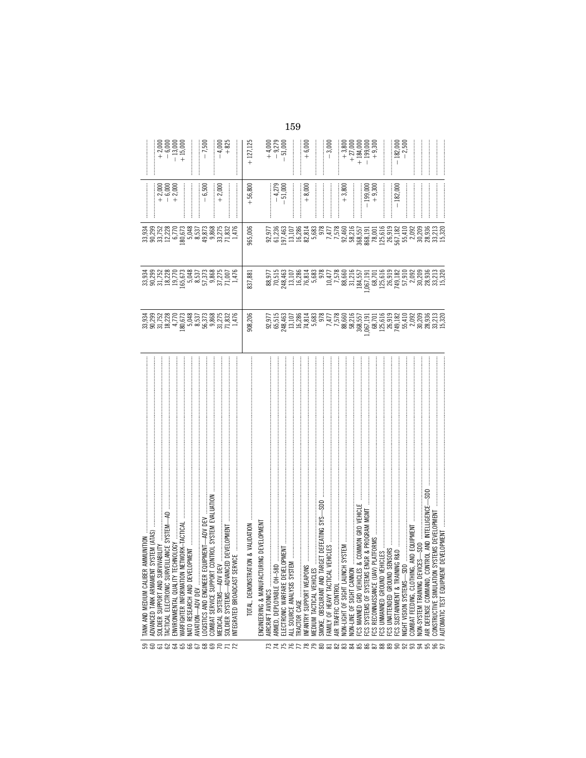| <b>8858358688RFR</b> | : AMMUNITION<br>[ SYSTEM (ATAS) .<br>TANK AND MEDIUM CALIBER                                                                                        |                                                                                                                                                                                                                                                                                           |         |                                                                                                                                                                                                                                                                                                     |                                                                                                                                                                                                                                                                                                                                                                                                                                                                                                                                |                                                                                                                                                                                                                                                                                         |
|----------------------|-----------------------------------------------------------------------------------------------------------------------------------------------------|-------------------------------------------------------------------------------------------------------------------------------------------------------------------------------------------------------------------------------------------------------------------------------------------|---------|-----------------------------------------------------------------------------------------------------------------------------------------------------------------------------------------------------------------------------------------------------------------------------------------------------|--------------------------------------------------------------------------------------------------------------------------------------------------------------------------------------------------------------------------------------------------------------------------------------------------------------------------------------------------------------------------------------------------------------------------------------------------------------------------------------------------------------------------------|-----------------------------------------------------------------------------------------------------------------------------------------------------------------------------------------------------------------------------------------------------------------------------------------|
|                      | VIVABILITY<br>SOLDIER SUPPORT AND SUR<br>ADVANCED TANK ARMAMENT                                                                                     |                                                                                                                                                                                                                                                                                           |         |                                                                                                                                                                                                                                                                                                     |                                                                                                                                                                                                                                                                                                                                                                                                                                                                                                                                |                                                                                                                                                                                                                                                                                         |
|                      |                                                                                                                                                     |                                                                                                                                                                                                                                                                                           |         |                                                                                                                                                                                                                                                                                                     | $+2,000$<br>$+6,000$<br>$+2,000$                                                                                                                                                                                                                                                                                                                                                                                                                                                                                               | $\begin{array}{r} +2,000 \\ +6,000 \\ +13,000 \\ +15,000 \end{array}$                                                                                                                                                                                                                   |
|                      | TACTICAL ELECTRONIC SURVEILLANCE SYSTEM-<br>ENVIRONMENTAL QUALITY TECHNOLOGY                                                                        |                                                                                                                                                                                                                                                                                           |         |                                                                                                                                                                                                                                                                                                     |                                                                                                                                                                                                                                                                                                                                                                                                                                                                                                                                |                                                                                                                                                                                                                                                                                         |
|                      | NETWORK-TACTICAL<br>WARFIGHTER INFORMATION                                                                                                          |                                                                                                                                                                                                                                                                                           |         |                                                                                                                                                                                                                                                                                                     |                                                                                                                                                                                                                                                                                                                                                                                                                                                                                                                                |                                                                                                                                                                                                                                                                                         |
|                      |                                                                                                                                                     |                                                                                                                                                                                                                                                                                           |         |                                                                                                                                                                                                                                                                                                     |                                                                                                                                                                                                                                                                                                                                                                                                                                                                                                                                |                                                                                                                                                                                                                                                                                         |
|                      | :<br>:<br>:<br>AVIATION-ADV DEV                                                                                                                     |                                                                                                                                                                                                                                                                                           |         |                                                                                                                                                                                                                                                                                                     |                                                                                                                                                                                                                                                                                                                                                                                                                                                                                                                                |                                                                                                                                                                                                                                                                                         |
|                      | LOGISTICS AND ENGINEER EQUIPMENT-ADV DEV                                                                                                            |                                                                                                                                                                                                                                                                                           |         |                                                                                                                                                                                                                                                                                                     | $-6,500$                                                                                                                                                                                                                                                                                                                                                                                                                                                                                                                       | $-7,500$                                                                                                                                                                                                                                                                                |
|                      | CONTROL SYSTEM EVALUATION<br>COMBAT SERVICE SUPPORT                                                                                                 |                                                                                                                                                                                                                                                                                           |         |                                                                                                                                                                                                                                                                                                     |                                                                                                                                                                                                                                                                                                                                                                                                                                                                                                                                |                                                                                                                                                                                                                                                                                         |
|                      | MEDICAL SYSTEMS-ADV DEV                                                                                                                             |                                                                                                                                                                                                                                                                                           |         |                                                                                                                                                                                                                                                                                                     | $+2,000$                                                                                                                                                                                                                                                                                                                                                                                                                                                                                                                       | $-4,000$<br>+825                                                                                                                                                                                                                                                                        |
|                      | :Y<br>;ED DEVELOPMENT<br>SOLDIER SYSTEMS-ADVANC                                                                                                     |                                                                                                                                                                                                                                                                                           |         |                                                                                                                                                                                                                                                                                                     |                                                                                                                                                                                                                                                                                                                                                                                                                                                                                                                                |                                                                                                                                                                                                                                                                                         |
|                      | NTEGRATED BROADCAST SE                                                                                                                              |                                                                                                                                                                                                                                                                                           |         |                                                                                                                                                                                                                                                                                                     |                                                                                                                                                                                                                                                                                                                                                                                                                                                                                                                                |                                                                                                                                                                                                                                                                                         |
|                      | TION & VALIDATION<br>TOTAL, DEMONSTRAT                                                                                                              | 908,206                                                                                                                                                                                                                                                                                   | 837,881 | 965,006                                                                                                                                                                                                                                                                                             | $+56,800$                                                                                                                                                                                                                                                                                                                                                                                                                                                                                                                      | $+127,125$                                                                                                                                                                                                                                                                              |
|                      | IRING DEVELOPMENT<br>ENGINEERING & MANUFACTL                                                                                                        |                                                                                                                                                                                                                                                                                           |         |                                                                                                                                                                                                                                                                                                     |                                                                                                                                                                                                                                                                                                                                                                                                                                                                                                                                |                                                                                                                                                                                                                                                                                         |
|                      | AIRCRAFT AVIONICS                                                                                                                                   |                                                                                                                                                                                                                                                                                           |         |                                                                                                                                                                                                                                                                                                     |                                                                                                                                                                                                                                                                                                                                                                                                                                                                                                                                |                                                                                                                                                                                                                                                                                         |
|                      | ARMED, DEPLOYABLE OH-58D                                                                                                                            |                                                                                                                                                                                                                                                                                           |         |                                                                                                                                                                                                                                                                                                     |                                                                                                                                                                                                                                                                                                                                                                                                                                                                                                                                |                                                                                                                                                                                                                                                                                         |
|                      | ELECTRONIC WARFARE DEVELOPMENT                                                                                                                      |                                                                                                                                                                                                                                                                                           |         |                                                                                                                                                                                                                                                                                                     | $-4,279$<br>$-51,000$                                                                                                                                                                                                                                                                                                                                                                                                                                                                                                          | $+4,000$<br>$-9,779$<br>$-51,000$                                                                                                                                                                                                                                                       |
|                      |                                                                                                                                                     |                                                                                                                                                                                                                                                                                           |         |                                                                                                                                                                                                                                                                                                     |                                                                                                                                                                                                                                                                                                                                                                                                                                                                                                                                |                                                                                                                                                                                                                                                                                         |
|                      |                                                                                                                                                     |                                                                                                                                                                                                                                                                                           |         |                                                                                                                                                                                                                                                                                                     |                                                                                                                                                                                                                                                                                                                                                                                                                                                                                                                                |                                                                                                                                                                                                                                                                                         |
|                      | NFANTRY SUPPORT WEAPONS                                                                                                                             | 92,977<br>65,515<br>65,463<br>13,786<br>74,814<br>74,814                                                                                                                                                                                                                                  |         |                                                                                                                                                                                                                                                                                                     | $+8,000$                                                                                                                                                                                                                                                                                                                                                                                                                                                                                                                       | $+6,000$                                                                                                                                                                                                                                                                                |
|                      | MEDIUM TACTICAL VEHICLES                                                                                                                            |                                                                                                                                                                                                                                                                                           |         |                                                                                                                                                                                                                                                                                                     |                                                                                                                                                                                                                                                                                                                                                                                                                                                                                                                                |                                                                                                                                                                                                                                                                                         |
|                      |                                                                                                                                                     |                                                                                                                                                                                                                                                                                           |         | 92,971<br>61,236<br>61,452,882,882<br>61,236,882,872,872<br>62,872,872,872,872                                                                                                                                                                                                                      |                                                                                                                                                                                                                                                                                                                                                                                                                                                                                                                                |                                                                                                                                                                                                                                                                                         |
|                      | FAMILY OF HEAVY TACTICAL                                                                                                                            |                                                                                                                                                                                                                                                                                           |         |                                                                                                                                                                                                                                                                                                     |                                                                                                                                                                                                                                                                                                                                                                                                                                                                                                                                | $-3,000$                                                                                                                                                                                                                                                                                |
|                      | AIR TRAFFIC CONTROL                                                                                                                                 |                                                                                                                                                                                                                                                                                           |         |                                                                                                                                                                                                                                                                                                     |                                                                                                                                                                                                                                                                                                                                                                                                                                                                                                                                |                                                                                                                                                                                                                                                                                         |
|                      | NON-LIGHT OF SIGHT LAUNC                                                                                                                            |                                                                                                                                                                                                                                                                                           |         |                                                                                                                                                                                                                                                                                                     | $+3,800$                                                                                                                                                                                                                                                                                                                                                                                                                                                                                                                       | $\begin{array}{r} 1000\\ +27,000\\ +184,000\\ +199,000\\ +199,000\\ +199,000\\ +199,000\\ +199,000\\ +199,000\\ +199,000\\ +199,000\\ +199,000\\ +199,000\\ +199,000\\ +199,000\\ +199,000\\ +199,000\\ +199,000\\ +199,000\\ +199,000\\ +199,000\\ +199,000\\ +199,000\\ +199,000\\ +$ |
|                      | NON-LINE OF SIGHT CANNON                                                                                                                            |                                                                                                                                                                                                                                                                                           |         |                                                                                                                                                                                                                                                                                                     | $\begin{minipage}{0.9\linewidth} \begin{tabular}{l} \hline \multicolumn{3}{c}{\textbf{0.9\linewidth}} \end{tabular} \end{minipage} \begin{minipage}{0.9\linewidth} \begin{tabular}{l} \multicolumn{3}{c}{\textbf{0.9\linewidth}} \end{tabular} \end{minipage} \end{minipage} \begin{minipage}{0.9\linewidth} \begin{tabular}{l} \multicolumn{3}{c}{\textbf{0.9\linewidth}} \end{tabular} \end{minipage} \end{minipage} \begin{minipage}{0.9\linewidth} \begin{tabular}{l} \multicolumn{3}{c}{\textbf{0.9\linewidth}} \end{tab$ |                                                                                                                                                                                                                                                                                         |
|                      | & COMMON GRD VEHICLE<br>ENGR & PROGRAM MGMT<br>FCS MANNED GRD VEHICLES                                                                              |                                                                                                                                                                                                                                                                                           |         |                                                                                                                                                                                                                                                                                                     |                                                                                                                                                                                                                                                                                                                                                                                                                                                                                                                                |                                                                                                                                                                                                                                                                                         |
|                      | FCS SYSTEMS OF SYSTEMS                                                                                                                              |                                                                                                                                                                                                                                                                                           |         |                                                                                                                                                                                                                                                                                                     | $-199,000$<br>$+9,300$                                                                                                                                                                                                                                                                                                                                                                                                                                                                                                         |                                                                                                                                                                                                                                                                                         |
|                      | FCS RECONNAISSANCE (UAV)                                                                                                                            |                                                                                                                                                                                                                                                                                           |         |                                                                                                                                                                                                                                                                                                     |                                                                                                                                                                                                                                                                                                                                                                                                                                                                                                                                |                                                                                                                                                                                                                                                                                         |
|                      |                                                                                                                                                     |                                                                                                                                                                                                                                                                                           |         |                                                                                                                                                                                                                                                                                                     |                                                                                                                                                                                                                                                                                                                                                                                                                                                                                                                                | İ                                                                                                                                                                                                                                                                                       |
|                      |                                                                                                                                                     |                                                                                                                                                                                                                                                                                           |         |                                                                                                                                                                                                                                                                                                     |                                                                                                                                                                                                                                                                                                                                                                                                                                                                                                                                |                                                                                                                                                                                                                                                                                         |
|                      |                                                                                                                                                     |                                                                                                                                                                                                                                                                                           |         |                                                                                                                                                                                                                                                                                                     | $-182,000$                                                                                                                                                                                                                                                                                                                                                                                                                                                                                                                     |                                                                                                                                                                                                                                                                                         |
|                      |                                                                                                                                                     |                                                                                                                                                                                                                                                                                           |         |                                                                                                                                                                                                                                                                                                     |                                                                                                                                                                                                                                                                                                                                                                                                                                                                                                                                | $-182,000$<br>$-2,500$                                                                                                                                                                                                                                                                  |
|                      | AND EQUIPMENT<br>COMBAT FEEDING, CLOTHING,                                                                                                          |                                                                                                                                                                                                                                                                                           |         |                                                                                                                                                                                                                                                                                                     |                                                                                                                                                                                                                                                                                                                                                                                                                                                                                                                                |                                                                                                                                                                                                                                                                                         |
|                      | $CES$ $\longrightarrow$ $SDD$ $\longrightarrow$ $\longrightarrow$ $\longrightarrow$ $\longrightarrow$ $\longrightarrow$<br>NON-SYSTEM TRAINING DEVI |                                                                                                                                                                                                                                                                                           |         |                                                                                                                                                                                                                                                                                                     |                                                                                                                                                                                                                                                                                                                                                                                                                                                                                                                                |                                                                                                                                                                                                                                                                                         |
|                      | NTROL AND INTELLIGENCE<br>AIR DEFENSE COMMAND. CO                                                                                                   |                                                                                                                                                                                                                                                                                           |         |                                                                                                                                                                                                                                                                                                     |                                                                                                                                                                                                                                                                                                                                                                                                                                                                                                                                |                                                                                                                                                                                                                                                                                         |
|                      | SYSTEMS DEVELOPMENT<br>T DEVELOPMENT<br>CONSTRUCTIVE SIMULATION                                                                                     | $\begin{array}{r} 77.778860 \\ 77.77860 \\ 88.650 \\ 77.78860 \\ 88.757 \\ 89.650 \\ 89.757 \\ 89.757 \\ 89.757 \\ 89.757 \\ 89.757 \\ 89.757 \\ 89.757 \\ 89.757 \\ 89.757 \\ 89.757 \\ 89.757 \\ 89.757 \\ 89.757 \\ 89.757 \\ 89.757 \\ 89.757 \\ 89.757 \\ 89.757 \\ 89.757 \\ 89.75$ |         | $\begin{array}{l} 99.440 \\ 99.61 \\ 99.65 \\ 99.66 \\ 99.67 \\ 99.67 \\ 99.68 \\ 99.67 \\ 99.69 \\ 99.69 \\ 99.69 \\ 99.69 \\ 99.69 \\ 99.69 \\ 99.69 \\ 99.69 \\ 99.60 \\ 99.60 \\ 99.60 \\ 99.60 \\ 99.60 \\ 99.60 \\ 99.60 \\ 99.60 \\ 99.60 \\ 99.60 \\ 99.60 \\ 99.60 \\ 99.60 \\ 99.60 \\ 9$ |                                                                                                                                                                                                                                                                                                                                                                                                                                                                                                                                |                                                                                                                                                                                                                                                                                         |
|                      | AUTOMATIC TEST EQUIPMENT                                                                                                                            |                                                                                                                                                                                                                                                                                           |         |                                                                                                                                                                                                                                                                                                     |                                                                                                                                                                                                                                                                                                                                                                                                                                                                                                                                |                                                                                                                                                                                                                                                                                         |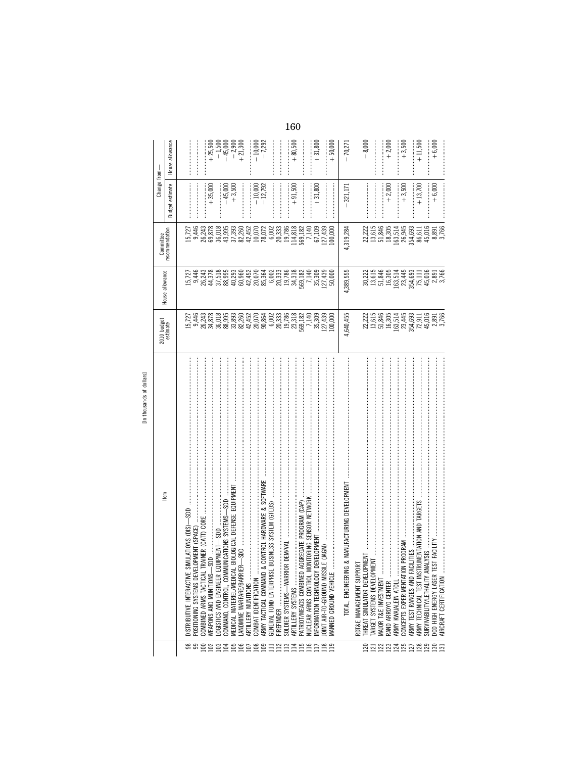| lars           |
|----------------|
| 응              |
| 눙              |
| ands<br>thous. |
| Ξ<br>᠆         |
|                |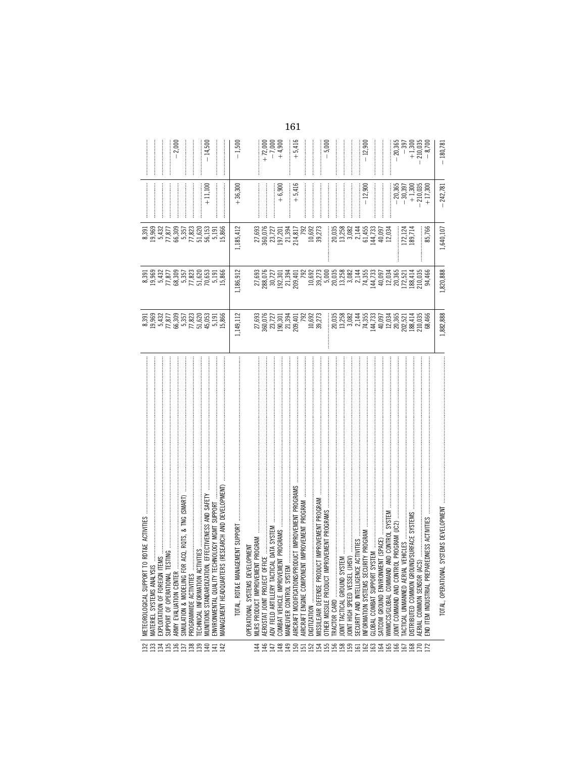|                                                   | TO RDT&E ACTIVITIES<br>METEOROLOGICAL SUPPORT                                   |                                                                                                                                                                                                                                                                                                                                                                                                          |                                                                                                                                                                                                                                |                                                                              |                                                                                             |                                   |
|---------------------------------------------------|---------------------------------------------------------------------------------|----------------------------------------------------------------------------------------------------------------------------------------------------------------------------------------------------------------------------------------------------------------------------------------------------------------------------------------------------------------------------------------------------------|--------------------------------------------------------------------------------------------------------------------------------------------------------------------------------------------------------------------------------|------------------------------------------------------------------------------|---------------------------------------------------------------------------------------------|-----------------------------------|
|                                                   | MATERIEL SYSTEMS ANALYSI                                                        |                                                                                                                                                                                                                                                                                                                                                                                                          |                                                                                                                                                                                                                                |                                                                              |                                                                                             |                                   |
|                                                   | TEMS.<br>EXPLOITATION OF FOREIGN IT                                             |                                                                                                                                                                                                                                                                                                                                                                                                          |                                                                                                                                                                                                                                |                                                                              |                                                                                             |                                   |
|                                                   | <b>TESTING</b><br>SUPPORT OF OPERATIONAL T                                      |                                                                                                                                                                                                                                                                                                                                                                                                          |                                                                                                                                                                                                                                |                                                                              |                                                                                             |                                   |
|                                                   | ARMY EVALUATION CENTER                                                          |                                                                                                                                                                                                                                                                                                                                                                                                          |                                                                                                                                                                                                                                |                                                                              |                                                                                             | $-2,000$                          |
| 2333822829844                                     | SIMULATION & MODELING FOR ACQ, RQTS, & TNG (SMART)                              |                                                                                                                                                                                                                                                                                                                                                                                                          |                                                                                                                                                                                                                                |                                                                              |                                                                                             |                                   |
|                                                   | PROGRAMWIDE ACTIVITIES                                                          |                                                                                                                                                                                                                                                                                                                                                                                                          |                                                                                                                                                                                                                                |                                                                              |                                                                                             |                                   |
|                                                   | <b>TIVITIES</b><br>ECHNICAL INFORMATION ACT                                     |                                                                                                                                                                                                                                                                                                                                                                                                          |                                                                                                                                                                                                                                |                                                                              |                                                                                             |                                   |
|                                                   | MUNITIONS STANDARDIZATION, EFFECTIVENESS AND SAFETY                             |                                                                                                                                                                                                                                                                                                                                                                                                          |                                                                                                                                                                                                                                |                                                                              | $+11,100$                                                                                   | $-14,500$                         |
|                                                   | ENVIRONMENTAL QUALITY TECHNOLOGY MGMT SUPPORT                                   |                                                                                                                                                                                                                                                                                                                                                                                                          |                                                                                                                                                                                                                                |                                                                              |                                                                                             |                                   |
|                                                   | MANAGEMENT HEADQUARTERS (RESEARCH AND DEVELOPMENT)                              | 8,396,977<br>8,969,477,875,078,000<br>8,969,778,078,000<br>8,977,876,000,000,000,000,000,000,000                                                                                                                                                                                                                                                                                                         | $8.391$ $6.393$ $6.37$ $6.393$ $6.393$ $6.393$ $6.393$ $6.393$ $6.393$ $6.393$ $6.393$ $6.393$ $6.393$ $6.393$ $6.393$ $6.393$ $6.393$ $6.393$ $6.393$ $6.393$ $6.393$ $6.393$ $6.393$ $6.393$ $6.393$ $6.393$ $6.393$ $6.393$ |                                                                              |                                                                                             |                                   |
|                                                   |                                                                                 | 1,149,112                                                                                                                                                                                                                                                                                                                                                                                                | 1,186,912                                                                                                                                                                                                                      | 1,185,412                                                                    | $+36,300$                                                                                   | $-1,500$                          |
|                                                   | OPERATIONAL SYSTEMS DEVELOPMENT                                                 |                                                                                                                                                                                                                                                                                                                                                                                                          |                                                                                                                                                                                                                                |                                                                              |                                                                                             |                                   |
|                                                   |                                                                                 |                                                                                                                                                                                                                                                                                                                                                                                                          |                                                                                                                                                                                                                                |                                                                              |                                                                                             |                                   |
|                                                   | MLRS PRODUCT IMPROVEMENT PROGRAM<br>AEROSTAT JOINT PROJECT OFFICE               | 27,693<br>360,0727<br>360,301,394<br>201,394,01<br>201,394,02<br>29,273<br>39,273                                                                                                                                                                                                                                                                                                                        |                                                                                                                                                                                                                                | 27,693<br>360,076<br>23,727<br>197,201<br>214,817<br>214,817                 |                                                                                             |                                   |
|                                                   | ADV FIELD ARTILLERY TACTICAL DATA SYSTEM<br>COMBAT VEHICLE IMPROVEMENT PROGRAMS |                                                                                                                                                                                                                                                                                                                                                                                                          |                                                                                                                                                                                                                                |                                                                              |                                                                                             | $+72,000$<br>$-7,000$<br>$+4,900$ |
|                                                   |                                                                                 |                                                                                                                                                                                                                                                                                                                                                                                                          |                                                                                                                                                                                                                                |                                                                              | $+6,900$                                                                                    |                                   |
|                                                   | MANEUVER CONTROL SYSTEM                                                         |                                                                                                                                                                                                                                                                                                                                                                                                          |                                                                                                                                                                                                                                |                                                                              |                                                                                             |                                   |
|                                                   | AIRCRAFT MODIFICATIONS/PRODUCT IMPROVEMENT PROGRAMS                             |                                                                                                                                                                                                                                                                                                                                                                                                          |                                                                                                                                                                                                                                |                                                                              | $+5,416$                                                                                    | $+5,416$                          |
|                                                   | NT IMPROVEMENT PROGRAM<br>AIRCRAFT ENGINE COMPONE                               |                                                                                                                                                                                                                                                                                                                                                                                                          |                                                                                                                                                                                                                                |                                                                              |                                                                                             |                                   |
|                                                   |                                                                                 |                                                                                                                                                                                                                                                                                                                                                                                                          |                                                                                                                                                                                                                                |                                                                              |                                                                                             |                                   |
|                                                   | CT IMPROVEMENT PROGRAM<br>MISSILE/AIR DEFENSE PRODU                             |                                                                                                                                                                                                                                                                                                                                                                                                          |                                                                                                                                                                                                                                | 10,692<br>39,273                                                             |                                                                                             |                                   |
| 4 4 4 4 4 5 5 5 5 6 7 6 8 6 5 6 6 6 6 6 6 6 6 6 7 | PROVEMENT PROGRAMS<br>OTHER MISSILE PRODUCT IM                                  |                                                                                                                                                                                                                                                                                                                                                                                                          |                                                                                                                                                                                                                                |                                                                              |                                                                                             | $-5,000$                          |
|                                                   |                                                                                 |                                                                                                                                                                                                                                                                                                                                                                                                          |                                                                                                                                                                                                                                |                                                                              |                                                                                             |                                   |
|                                                   | JOINT TACTICAL GROUND SY.                                                       |                                                                                                                                                                                                                                                                                                                                                                                                          |                                                                                                                                                                                                                                |                                                                              |                                                                                             |                                   |
|                                                   |                                                                                 |                                                                                                                                                                                                                                                                                                                                                                                                          |                                                                                                                                                                                                                                |                                                                              |                                                                                             |                                   |
|                                                   | SECURITY AND INTELLIGENCE                                                       |                                                                                                                                                                                                                                                                                                                                                                                                          |                                                                                                                                                                                                                                |                                                                              |                                                                                             |                                   |
|                                                   | SECURITY AND INTELLIGENCE ACTIVITIES<br>INFORMATION SYSTEMS SECURITY PROGRAM .  |                                                                                                                                                                                                                                                                                                                                                                                                          |                                                                                                                                                                                                                                | $\begin{array}{c} 20,035 \\ 13,258 \\ 13,082 \\ 5,145 \\ 61,455 \end{array}$ | $-12,900$                                                                                   | $-12,900$                         |
|                                                   | GLOBAL COMBAT SUPPORT SYSTEM                                                    |                                                                                                                                                                                                                                                                                                                                                                                                          |                                                                                                                                                                                                                                |                                                                              |                                                                                             | <br> <br> <br>                    |
|                                                   | SATCOM GROUND ENVIRONMENT (SPACE)                                               |                                                                                                                                                                                                                                                                                                                                                                                                          |                                                                                                                                                                                                                                | 144,733<br>40,097<br>12,034                                                  |                                                                                             |                                   |
|                                                   | AND CONTROL SYSTEM<br>WWMCCS/GLOBAL COMMAND                                     |                                                                                                                                                                                                                                                                                                                                                                                                          |                                                                                                                                                                                                                                |                                                                              |                                                                                             |                                   |
|                                                   | OINT COMMAND AND CONTR                                                          |                                                                                                                                                                                                                                                                                                                                                                                                          |                                                                                                                                                                                                                                |                                                                              |                                                                                             |                                   |
|                                                   | TACTICAL UNMANNED AERIAL                                                        | $\begin{array}{l} \begin{array}{l} \text{1035} \\ \text{1036} \\ \text{1183} \\ \text{1293} \\ \text{1303} \\ \text{141} \\ \text{152} \\ \text{163} \\ \text{173} \\ \text{183} \\ \text{193} \\ \text{193} \\ \text{103} \\ \text{113} \\ \text{123} \\ \text{134} \\ \text{145} \\ \text{153} \\ \text{163} \\ \text{173} \\ \text{184} \\ \text{195} \\ \text{196} \\ \text{107} \\ \text{108} \\ \$ |                                                                                                                                                                                                                                | L72,124<br>L89,714                                                           | $\begin{array}{r} -20,365 \\ -30,397 \\ +1,300 \\ +1,300 \\ +17,300 \\ +17,300 \end{array}$ | $-20,365$<br>$-397$               |
|                                                   | ND/SURFACE SYSTEMS<br>DISTRIBUTED COMMON GROU                                   |                                                                                                                                                                                                                                                                                                                                                                                                          |                                                                                                                                                                                                                                |                                                                              |                                                                                             | $+1,300$<br>$-8,700$<br>$-8,700$  |
|                                                   | ີ<br>AERIAL COMMON SENSOR (AC                                                   |                                                                                                                                                                                                                                                                                                                                                                                                          |                                                                                                                                                                                                                                |                                                                              |                                                                                             |                                   |
|                                                   | REDNESS ACTIVITIES<br>:ND ITEM INDUSTRIAL PREPA                                 |                                                                                                                                                                                                                                                                                                                                                                                                          |                                                                                                                                                                                                                                | 85,766                                                                       |                                                                                             |                                   |
|                                                   |                                                                                 |                                                                                                                                                                                                                                                                                                                                                                                                          |                                                                                                                                                                                                                                |                                                                              |                                                                                             |                                   |
|                                                   | SYSTEMS DEVELOPMENT<br>TOTAL, OPERATIONAL                                       | 1,882,888                                                                                                                                                                                                                                                                                                                                                                                                | 1,820,888                                                                                                                                                                                                                      | 1,640,107                                                                    | $-242,781$                                                                                  | $-180,781$                        |
|                                                   |                                                                                 |                                                                                                                                                                                                                                                                                                                                                                                                          |                                                                                                                                                                                                                                |                                                                              |                                                                                             |                                   |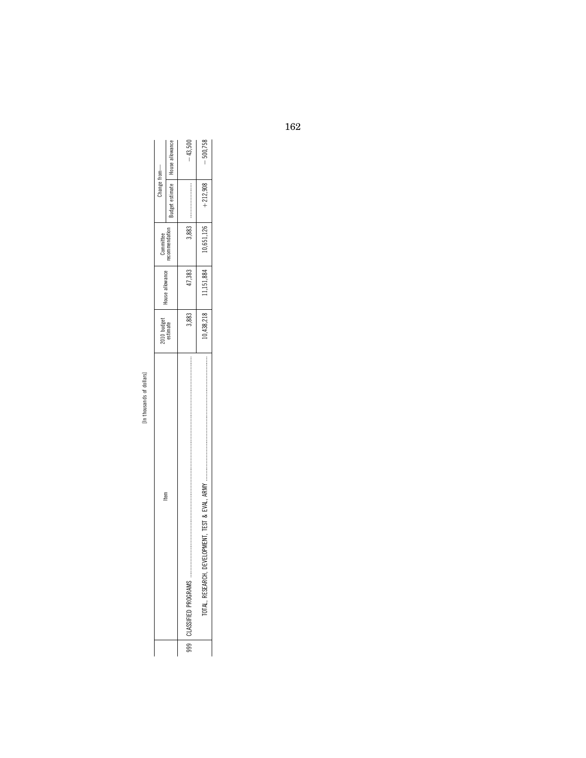| ć            |  |
|--------------|--|
|              |  |
| ᠊ᡄ<br>ć<br>œ |  |
|              |  |

| tem                                                                                                                                     | 2010 budget<br>estimate | ouse allowance | Committee    | hange from-    |                      |
|-----------------------------------------------------------------------------------------------------------------------------------------|-------------------------|----------------|--------------|----------------|----------------------|
|                                                                                                                                         |                         |                | ecommendatio | udget estimate | allowance<br>House a |
|                                                                                                                                         | 3,883                   | 17,383         | 883          |                | $-43.500$            |
| ,我们也不是我们的。我们也不是我们的。我们也不是我们的。我们也不是我们的。我们也不是我们的。我们也不是我们的。我们也不是我们的。我们的,我们也不是我们的。我们也<br>TEST & EVAL.<br>ELOPMENT. T<br>۹<br>TOTAL RESEARCH. | 0,438,218               | 1,151,884      | 0.651.126    | $+212.908$     | $-500,758$           |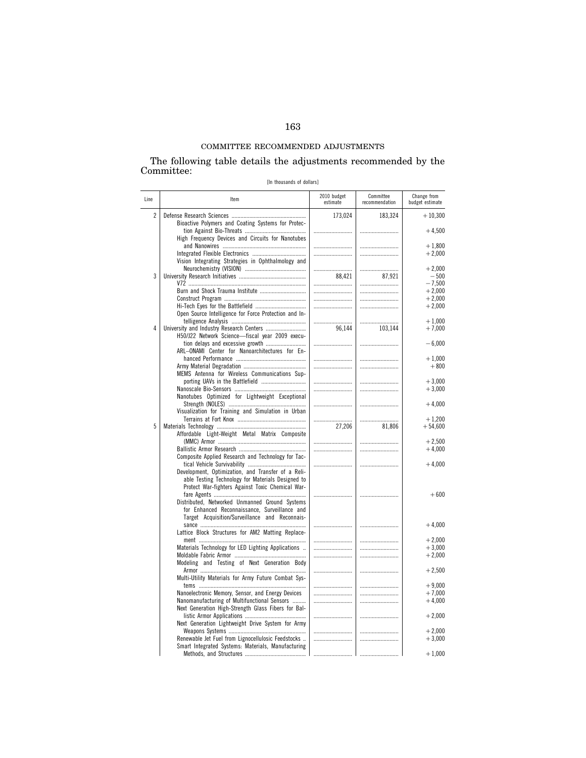# COMMITTEE RECOMMENDED ADJUSTMENTS

## The following table details the adjustments recommended by the Committee:

[In thousands of dollars]

| Line | Item                                                                                              | 2010 budget<br>estimate | Committee<br>recommendation | Change from<br>budget estimate |
|------|---------------------------------------------------------------------------------------------------|-------------------------|-----------------------------|--------------------------------|
| 2    | Bioactive Polymers and Coating Systems for Protec-                                                | 173,024                 | 183,324                     | $+10,300$                      |
|      | High Frequency Devices and Circuits for Nanotubes                                                 |                         |                             | $+4,500$                       |
|      |                                                                                                   |                         |                             | $+1,800$                       |
|      |                                                                                                   |                         |                             | $+2,000$                       |
|      | Vision Integrating Strategies in Ophthalmology and                                                |                         |                             |                                |
|      |                                                                                                   |                         |                             | $+2.000$                       |
| 3    |                                                                                                   | 88,421                  | 87,921                      | $-500$                         |
|      | Burn and Shock Trauma Institute                                                                   |                         |                             | $-7,500$<br>$+2,000$           |
|      |                                                                                                   |                         |                             | $+2,000$                       |
|      |                                                                                                   |                         |                             | $+2,000$                       |
|      | Open Source Intelligence for Force Protection and In-                                             |                         |                             |                                |
|      |                                                                                                   |                         |                             | $+1,000$                       |
| 4    |                                                                                                   | 96,144                  | 103,144                     | $+7,000$                       |
|      | H50/J22 Network Science-fiscal year 2009 execu-                                                   |                         |                             |                                |
|      |                                                                                                   |                         |                             | $-6,000$                       |
|      | ARL-ONAMI Center for Nanoarchitectures for En-                                                    |                         |                             |                                |
|      |                                                                                                   |                         |                             | $+1,000$                       |
|      | MEMS Antenna for Wireless Communications Sup-                                                     |                         |                             | $+800$                         |
|      | porting UAVs in the Battlefield                                                                   |                         |                             | $+3,000$                       |
|      |                                                                                                   |                         |                             | $+3,000$                       |
|      | Nanotubes Optimized for Lightweight Exceptional                                                   |                         |                             |                                |
|      |                                                                                                   |                         |                             | $+4,000$                       |
|      | Visualization for Training and Simulation in Urban                                                |                         |                             |                                |
|      |                                                                                                   |                         |                             | $+1,200$                       |
| 5    |                                                                                                   | 27,206                  | 81,806                      | $+54,600$                      |
|      | Affordable Light-Weight Metal Matrix Composite                                                    |                         |                             |                                |
|      |                                                                                                   |                         |                             | $+2,500$<br>$+4,000$           |
|      | Composite Applied Research and Technology for Tac-                                                |                         |                             |                                |
|      |                                                                                                   |                         |                             | $+4,000$                       |
|      | Development, Optimization, and Transfer of a Reli-                                                |                         |                             |                                |
|      | able Testing Technology for Materials Designed to                                                 |                         |                             |                                |
|      | Protect War-fighters Against Toxic Chemical War-                                                  |                         |                             |                                |
|      |                                                                                                   |                         |                             | $+600$                         |
|      | Distributed, Networked Unmanned Ground Systems                                                    |                         |                             |                                |
|      | for Enhanced Reconnaissance, Surveillance and<br>Target Acquisition/Surveillance and Reconnais-   |                         |                             |                                |
|      |                                                                                                   |                         |                             | $+4,000$                       |
|      | Lattice Block Structures for AM2 Matting Replace-                                                 |                         |                             |                                |
|      |                                                                                                   |                         |                             | $+2,000$                       |
|      | Materials Technology for LED Lighting Applications                                                |                         |                             | $+3,000$                       |
|      |                                                                                                   |                         |                             | $+2,000$                       |
|      | Modeling and Testing of Next Generation Body                                                      |                         |                             |                                |
|      |                                                                                                   |                         |                             | $+2,500$                       |
|      | Multi-Utility Materials for Army Future Combat Sys-                                               |                         |                             |                                |
|      |                                                                                                   |                         |                             | $+9,000$                       |
|      | Nanoelectronic Memory, Sensor, and Energy Devices<br>Nanomanufacturing of Multifunctional Sensors |                         |                             | $+7,000$<br>$+4,000$           |
|      | Next Generation High-Strength Glass Fibers for Bal-                                               |                         |                             |                                |
|      |                                                                                                   |                         |                             | $+2,000$                       |
|      | Next Generation Lightweight Drive System for Army                                                 |                         |                             |                                |
|      |                                                                                                   |                         |                             | $+2,000$                       |
|      | Renewable Jet Fuel from Lignocellulosic Feedstocks                                                |                         |                             | $+3,000$                       |
|      | Smart Integrated Systems: Materials, Manufacturing                                                |                         |                             |                                |
|      |                                                                                                   |                         | .                           | $+1,000$                       |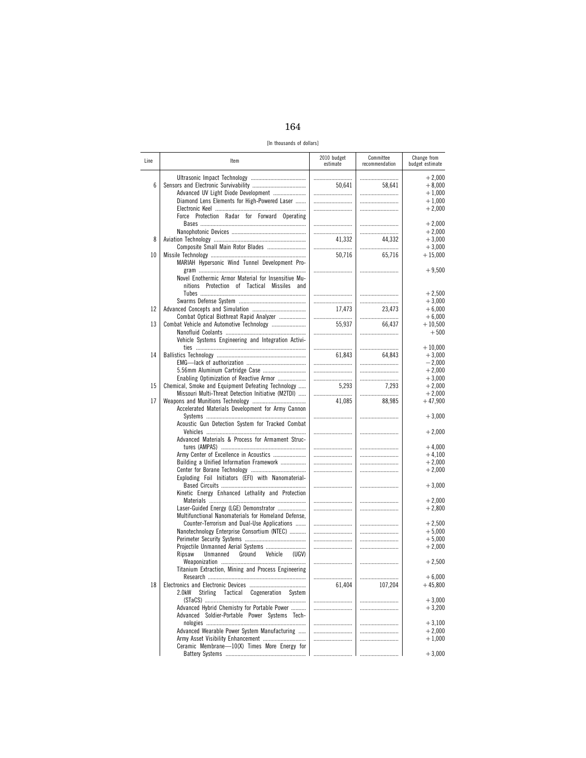[In thousands of dollars]

| Line | ltem                                                 | 2010 budget<br>estimate | Committee<br>recommendation | Change from<br>budget estimate |
|------|------------------------------------------------------|-------------------------|-----------------------------|--------------------------------|
|      |                                                      |                         |                             | $+2,000$                       |
| 6    |                                                      | 50,641                  | 58,641                      | $+8,000$                       |
|      | Advanced UV Light Diode Development                  |                         |                             | $+1,000$                       |
|      | Diamond Lens Elements for High-Powered Laser         |                         |                             | $+1,000$                       |
|      |                                                      |                         |                             | $+2,000$                       |
|      | Force Protection Radar for Forward Operating         |                         |                             |                                |
|      |                                                      |                         |                             | $+2,000$                       |
|      |                                                      |                         |                             | $+2,000$                       |
| 8    |                                                      | 41,332                  | 44.332                      | $+3,000$                       |
|      | Composite Small Main Rotor Blades                    |                         |                             | $+3,000$                       |
| 10   |                                                      | 50,716                  | 65,716                      | $+15,000$                      |
|      | MARIAH Hypersonic Wind Tunnel Development Pro-       |                         |                             |                                |
|      |                                                      |                         |                             | $+9,500$                       |
|      | Novel Enothermic Armor Material for Insensitive Mu-  |                         |                             |                                |
|      |                                                      |                         |                             |                                |
|      | nitions Protection of Tactical Missiles and          |                         |                             |                                |
|      |                                                      |                         |                             | $+2,500$                       |
|      |                                                      |                         |                             | $+3,000$                       |
| 12   |                                                      | 17,473                  | 23,473                      | $+6,000$                       |
|      | Combat Optical Biothreat Rapid Analyzer              |                         |                             | $+6,000$                       |
| 13   |                                                      | 55,937                  | 66,437                      | $+10,500$                      |
|      |                                                      |                         |                             | $+500$                         |
|      | Vehicle Systems Engineering and Integration Activi-  |                         |                             |                                |
|      |                                                      |                         |                             | $+10,000$                      |
| 14   |                                                      | 61,843                  | 64.843                      | $+3,000$                       |
|      |                                                      |                         |                             | $-2,000$                       |
|      | 5.56mm Aluminum Cartridge Case                       |                         |                             | $+2,000$                       |
|      | Enabling Optimization of Reactive Armor              |                         |                             | $+3,000$                       |
| 15   | Chemical, Smoke and Equipment Defeating Technology   | 5.293                   | 7,293                       | $+2.000$                       |
|      | Missouri Multi-Threat Detection Initiative (M2TDI)   |                         |                             | $+2,000$                       |
| 17   |                                                      | 41,085                  | 88,985                      | $+47,900$                      |
|      | Accelerated Materials Development for Army Cannon    |                         |                             |                                |
|      |                                                      |                         |                             | $+3,000$                       |
|      | Acoustic Gun Detection System for Tracked Combat     |                         |                             |                                |
|      |                                                      |                         |                             | $+2,000$                       |
|      | Advanced Materials & Process for Armament Struc-     |                         |                             |                                |
|      |                                                      |                         |                             | $+4,000$                       |
|      | Army Center of Excellence in Acoustics               |                         |                             | $+4,100$                       |
|      | Building a Unified Information Framework             |                         |                             | $+2,000$                       |
|      |                                                      |                         |                             | $+2,000$                       |
|      | Exploding Foil Initiators (EFI) with Nanomaterial-   |                         |                             |                                |
|      |                                                      |                         |                             | $+3,000$                       |
|      | Kinetic Energy Enhanced Lethality and Protection     |                         |                             |                                |
|      |                                                      |                         |                             | $+2,000$                       |
|      | Laser-Guided Energy (LGE) Demonstrator               |                         |                             | $+2,800$                       |
|      | Multifunctional Nanomaterials for Homeland Defense,  |                         |                             |                                |
|      | Counter-Terrorism and Dual-Use Applications          |                         |                             | $+2,500$                       |
|      | Nanotechnology Enterprise Consortium (NTEC)          |                         |                             | $+5,000$                       |
|      |                                                      |                         |                             | $+5,000$                       |
|      | Projectile Unmanned Aerial Systems                   |                         |                             | $+2,000$                       |
|      | Unmanned<br>Ground<br>Ripsaw<br>Vehicle<br>(UGV)     |                         |                             |                                |
|      |                                                      |                         |                             | $+2,500$                       |
|      | Titanium Extraction, Mining and Process Engineering  |                         |                             |                                |
|      |                                                      |                         |                             | $+6,000$                       |
| 18   |                                                      | 61,404                  | 107,204                     | $+45,800$                      |
|      |                                                      |                         |                             |                                |
|      | 2.0kW<br>Stirling<br>Tactical Cogeneration<br>System |                         |                             |                                |
|      |                                                      |                         |                             | $+3,000$                       |
|      | Advanced Hybrid Chemistry for Portable Power         |                         |                             | $+3,200$                       |
|      | Advanced Soldier-Portable Power Systems Tech-        |                         |                             |                                |
|      |                                                      |                         |                             | $+3,100$                       |
|      | Advanced Wearable Power System Manufacturing         |                         |                             | $+2,000$                       |
|      | Army Asset Visibility Enhancement                    |                         |                             | $+1,000$                       |
|      | Ceramic Membrane-10(X) Times More Energy for         |                         |                             |                                |
|      |                                                      |                         |                             | $+3,000$                       |
|      |                                                      |                         |                             |                                |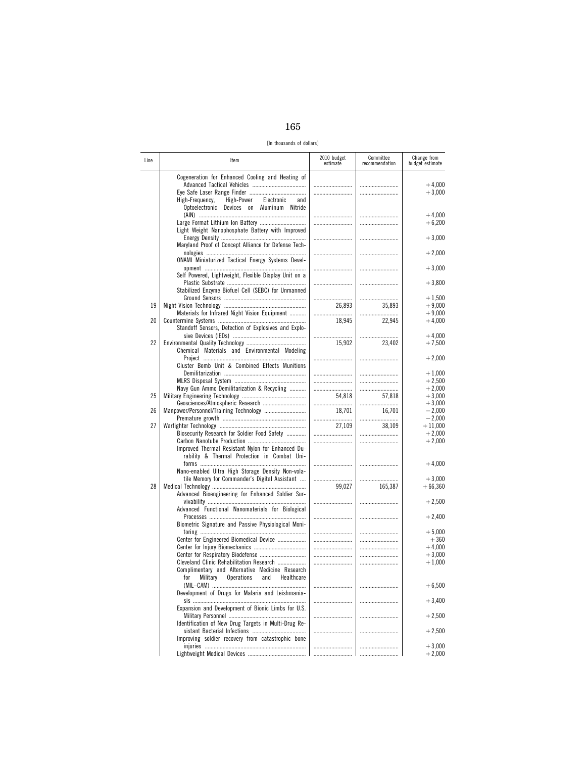[In thousands of dollars]

| Line | ltem                                                                                                                                                 | 2010 budget<br>estimate | Committee<br>recommendation | Change from<br>budget estimate |
|------|------------------------------------------------------------------------------------------------------------------------------------------------------|-------------------------|-----------------------------|--------------------------------|
|      | Cogeneration for Enhanced Cooling and Heating of<br>Electronic<br>High-Frequency,<br>High-Power<br>and<br>Optoelectronic Devices on Aluminum Nitride |                         | <br>                        | $+4,000$<br>$+3,000$           |
|      |                                                                                                                                                      |                         |                             | $+4,000$<br>$+6,200$           |
|      | Light Weight Nanophosphate Battery with Improved<br>Maryland Proof of Concept Alliance for Defense Tech-                                             |                         |                             | $+3,000$                       |
|      | <b>ONAMI Miniaturized Tactical Energy Systems Devel-</b>                                                                                             |                         |                             | $+2,000$                       |
|      | Self Powered, Lightweight, Flexible Display Unit on a                                                                                                |                         |                             | $+3,000$<br>$+3,800$           |
|      | Stabilized Enzyme Biofuel Cell (SEBC) for Unmanned                                                                                                   |                         |                             | $+1,500$                       |
| 19   | Materials for Infrared Night Vision Equipment                                                                                                        | 26,893                  | 35,893<br>                  | $+9,000$<br>$+9,000$           |
| 20   | Standoff Sensors, Detection of Explosives and Explo-                                                                                                 | 18,945                  | 22,945                      | $+4,000$<br>$+4,000$           |
| 22   | Chemical Materials and Environmental Modeling                                                                                                        | <br>15,902              | 23,402                      | $+7,500$                       |
|      | Cluster Bomb Unit & Combined Effects Munitions                                                                                                       |                         |                             | $+2,000$<br>$+1,000$           |
|      | Navy Gun Ammo Demilitarization & Recycling                                                                                                           | <br><br>                |                             | $+2,500$<br>$+2,000$           |
| 25   | Geosciences/Atmospheric Research                                                                                                                     | 54,818                  | 57,818                      | $+3,000$<br>$+3,000$           |
| 26   |                                                                                                                                                      | 18,701                  | 16,701<br>                  | $-2,000$<br>$-2,000$           |
| 27   | Biosecurity Research for Soldier Food Safety                                                                                                         | 27,109<br>              | 38,109<br>                  | $+11,000$<br>$+2,000$          |
|      | Improved Thermal Resistant Nylon for Enhanced Du-<br>rability & Thermal Protection in Combat Uni-                                                    |                         |                             | $+2,000$                       |
|      | Nano-enabled Ultra High Storage Density Non-vola-<br>tile Memory for Commander's Digital Assistant                                                   |                         |                             | $+4,000$<br>$+3,000$           |
| 28   | Advanced Bioengineering for Enhanced Soldier Sur-                                                                                                    | 99,027                  | 165,387                     | $+66,360$                      |
|      | Advanced Functional Nanomaterials for Biological                                                                                                     |                         |                             | $+2,500$                       |
|      | Biometric Signature and Passive Physiological Moni-                                                                                                  |                         |                             | $+2,400$<br>$+5,000$           |
|      | Center for Engineered Biomedical Device                                                                                                              |                         | <br>                        | $+360$<br>$+4,000$             |
|      | Cleveland Clinic Rehabilitation Research                                                                                                             |                         |                             | $+3,000$<br>$+1,000$           |
|      | Complimentary and Alternative Medicine Research<br><b>Operations</b><br>for<br>Military<br>and<br>Healthcare                                         |                         |                             | $+6,500$                       |
|      | Development of Drugs for Malaria and Leishmania-                                                                                                     |                         |                             | $+3,400$                       |
|      | Expansion and Development of Bionic Limbs for U.S.                                                                                                   |                         |                             | $+2,500$                       |
|      | Identification of New Drug Targets in Multi-Drug Re-<br>Improving soldier recovery from catastrophic bone                                            |                         |                             | $+2,500$                       |
|      |                                                                                                                                                      |                         |                             | $+3,000$<br>$+2,000$           |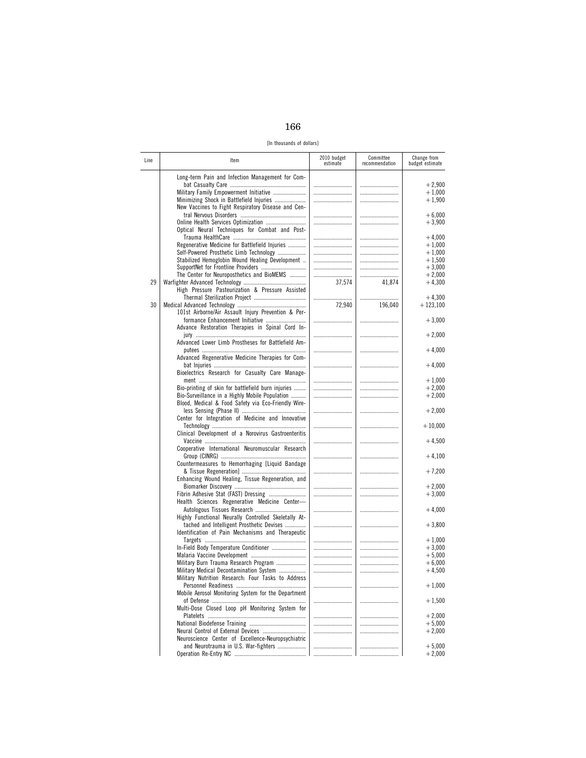[In thousands of dollars]

| Line | ltem                                                                                                                                                                                         | 2010 budget<br>estimate | Committee<br>recommendation | Change from<br>budget estimate   |
|------|----------------------------------------------------------------------------------------------------------------------------------------------------------------------------------------------|-------------------------|-----------------------------|----------------------------------|
|      | Long-term Pain and Infection Management for Com-<br>Military Family Empowerment Initiative<br>Minimizing Shock in Battlefield Injuries<br>New Vaccines to Fight Respiratory Disease and Cen- |                         | <br>                        | $+2,900$<br>$+1,000$<br>$+1,900$ |
|      | Optical Neural Techniques for Combat and Post-                                                                                                                                               |                         |                             | $+6,000$<br>$+3,900$             |
|      | Regenerative Medicine for Battlefield Injuries<br>Self-Powered Prosthetic Limb Technology                                                                                                    |                         | <br>                        | $+4,000$<br>$+1,000$<br>$+1,000$ |
|      | Stabilized Hemoglobin Wound Healing Development<br>SupportNet for Frontline Providers                                                                                                        |                         |                             | $+1,500$<br>$+3,000$             |
| 29   | The Center for Neuroposthetics and BioMEMS<br>High Pressure Pasteurization & Pressure Assisted                                                                                               | <br>37,574              | <br>41,874                  | $+2,000$<br>$+4,300$             |
| 30   | 101st Airborne/Air Assault Injury Prevention & Per-                                                                                                                                          | <br>72,940              | <br>196,040                 | $+4,300$<br>$+123,100$           |
|      | formance Enhancement Initiative<br>Advance Restoration Therapies in Spinal Cord In-                                                                                                          |                         |                             | $+3,000$<br>$+2,000$             |
|      | Advanced Lower Limb Prostheses for Battlefield Am-<br>Advanced Regenerative Medicine Therapies for Com-                                                                                      |                         |                             | $+4,000$                         |
|      | Bioelectrics Research for Casualty Care Manage-                                                                                                                                              |                         |                             | $+4,000$                         |
|      | Bio-printing of skin for battlefield burn injuries                                                                                                                                           |                         |                             | $+1,000$<br>$+2,000$             |
|      | Bio-Surveillance in a Highly Mobile Population                                                                                                                                               |                         |                             | $+2,000$                         |
|      | Blood, Medical & Food Safety via Eco-Friendly Wire-<br>Center for Integration of Medicine and Innovative                                                                                     |                         |                             | $+2,000$                         |
|      | Clinical Development of a Norovirus Gastroenteritis                                                                                                                                          |                         |                             | $+10,000$                        |
|      | Cooperative International Neuromuscular Research                                                                                                                                             |                         |                             | $+4,500$                         |
|      | Countermeasures to Hemorrhaging [Liquid Bandage                                                                                                                                              |                         |                             | $+4,100$                         |
|      | Enhancing Wound Healing, Tissue Regeneration, and                                                                                                                                            |                         | <br>                        | $+7,200$<br>$+2,000$             |
|      | Health Sciences Regenerative Medicine Center-                                                                                                                                                |                         |                             | $+3,000$                         |
|      | Highly Functional Neurally Controlled Skeletally At-                                                                                                                                         |                         |                             | $+4,000$                         |
|      | tached and Intelligent Prosthetic Devises<br>Identification of Pain Mechanisms and Therapeutic                                                                                               |                         |                             | $+3,800$<br>$+1,000$             |
|      | In-Field Body Temperature Conditioner                                                                                                                                                        |                         |                             | $+3,000$                         |
|      |                                                                                                                                                                                              |                         |                             | $+5,000$<br>$+6,000$             |
|      | Military Burn Trauma Research Program<br>Military Medical Decontamination System                                                                                                             |                         |                             | $+4,500$                         |
|      | Military Nutrition Research: Four Tasks to Address                                                                                                                                           |                         |                             | $+1,000$                         |
|      | Mobile Aerosol Monitoring System for the Department                                                                                                                                          |                         |                             | $+1,500$                         |
|      | Multi-Dose Closed Loop pH Monitoring System for                                                                                                                                              |                         |                             | $+2,000$<br>$+5,000$             |
|      | Neuroscience Center of Excellence-Neuropsychiatric                                                                                                                                           |                         |                             | $+2,000$                         |
|      | and Neurotrauma in U.S. War-fighters                                                                                                                                                         |                         |                             | $+5,000$<br>$+2,000$             |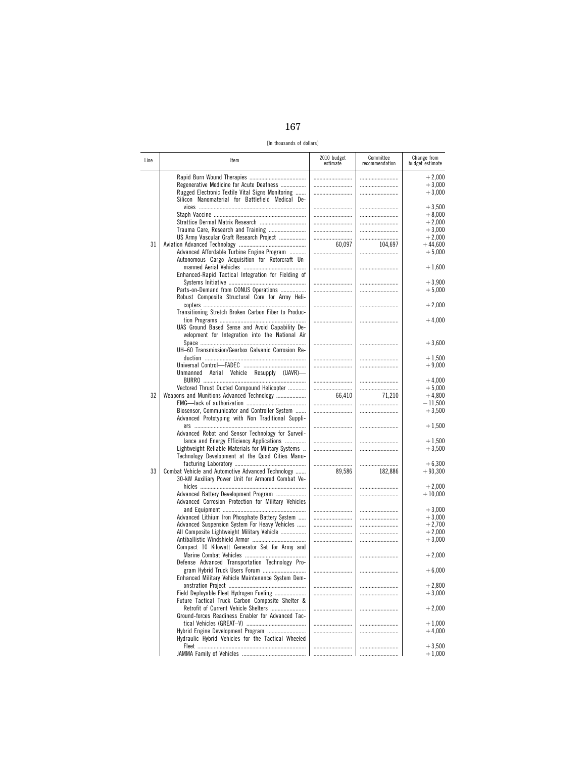[In thousands of dollars]

| Line | Item                                                                                                                                             | 2010 budget<br>estimate | Committee<br>recommendation | Change from<br>budget estimate   |
|------|--------------------------------------------------------------------------------------------------------------------------------------------------|-------------------------|-----------------------------|----------------------------------|
|      | Regenerative Medicine for Acute Deafness<br>Rugged Electronic Textile Vital Signs Monitoring<br>Silicon Nanomaterial for Battlefield Medical De- |                         | <br>                        | $+2,000$<br>$+3,000$<br>$+3,000$ |
|      |                                                                                                                                                  |                         |                             | $+3,500$                         |
|      | Strattice Dermal Matrix Research                                                                                                                 |                         | <br>                        | $+8,000$<br>$+2,000$             |
|      |                                                                                                                                                  |                         |                             | $+3,000$                         |
| 31   | US Army Vascular Graft Research Project                                                                                                          | 60,097                  | <br>104,697                 | $+2,000$<br>$+44,600$            |
|      | Advanced Affordable Turbine Engine Program<br>Autonomous Cargo Acquisition for Rotorcraft Un-                                                    |                         |                             | $+5,000$                         |
|      | Enhanced-Rapid Tactical Integration for Fielding of                                                                                              |                         |                             | $+1,600$                         |
|      | Parts-on-Demand from CONUS Operations                                                                                                            |                         |                             | $+3.900$<br>$+5,000$             |
|      | Robust Composite Structural Core for Army Heli-                                                                                                  |                         |                             | $+2,000$                         |
|      | Transitioning Stretch Broken Carbon Fiber to Produc-                                                                                             |                         |                             | $+4,000$                         |
|      | UAS Ground Based Sense and Avoid Capability De-<br>velopment for Integration into the National Air                                               |                         |                             |                                  |
|      | UH-60 Transmission/Gearbox Galvanic Corrosion Re-                                                                                                |                         |                             | $+3,600$                         |
|      |                                                                                                                                                  |                         |                             | $+1,500$<br>$+9,000$             |
|      | Unmanned Aerial Vehicle Resupply (UAVR)-                                                                                                         |                         |                             | $+4,000$                         |
| 32   | Vectored Thrust Ducted Compound Helicopter<br>Weapons and Munitions Advanced Technology                                                          | 66,410                  | <br>71,210                  | $+5,000$<br>$+4,800$             |
|      | Biosensor, Communicator and Controller System                                                                                                    |                         |                             | $-11,500$<br>$+3,500$            |
|      | Advanced Prototyping with Non Traditional Suppli-                                                                                                |                         |                             | $+1,500$                         |
|      | Advanced Robot and Sensor Technology for Surveil-<br>lance and Energy Efficiency Applications                                                    |                         |                             | $+1,500$                         |
|      | Lightweight Reliable Materials for Military Systems<br>Technology Development at the Quad Cities Manu-                                           |                         |                             | $+3,500$<br>$+6,300$             |
| 33   | Combat Vehicle and Automotive Advanced Technology<br>30-kW Auxiliary Power Unit for Armored Combat Ve-                                           | 89,586                  | <br>182,886                 | $+93,300$                        |
|      | Advanced Battery Development Program<br>Advanced Corrosion Protection for Military Vehicles                                                      |                         |                             | $+2,000$<br>$+10,000$            |
|      |                                                                                                                                                  |                         |                             | $+3,000$                         |
|      | Advanced Lithium Iron Phosphate Battery System<br>Advanced Suspension System For Heavy Vehicles                                                  |                         | <br>                        | $+3,000$<br>$+2,700$             |
|      | All Composite Lightweight Military Vehicle                                                                                                       |                         |                             | $+2,000$                         |
|      | Compact 10 Kilowatt Generator Set for Army and                                                                                                   |                         |                             | $+3,000$                         |
|      | Defense Advanced Transportation Technology Pro-                                                                                                  |                         |                             | $+2,000$                         |
|      | Enhanced Military Vehicle Maintenance System Dem-                                                                                                |                         |                             | $+6,000$                         |
|      | Field Deployable Fleet Hydrogen Fueling                                                                                                          |                         |                             | $+2,800$<br>$+3,000$             |
|      | Future Tactical Truck Carbon Composite Shelter &                                                                                                 |                         |                             | $+2,000$                         |
|      | Ground-forces Readiness Enabler for Advanced Tac-                                                                                                |                         |                             |                                  |
|      | Hybrid Engine Development Program<br>Hydraulic Hybrid Vehicles for the Tactical Wheeled                                                          |                         |                             | $+1,000$<br>$+4,000$             |
|      |                                                                                                                                                  | <br>.                   |                             | $+3,500$<br>$+1,000$             |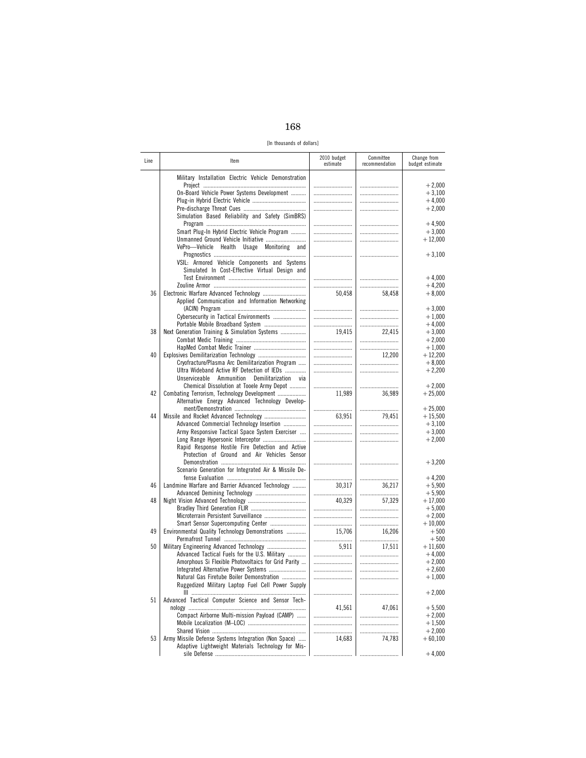[In thousands of dollars]

| Line     | ltem                                                                                                                                                                                    | 2010 budget<br>estimate | Committee<br>recommendation | Change from<br>budget estimate                |
|----------|-----------------------------------------------------------------------------------------------------------------------------------------------------------------------------------------|-------------------------|-----------------------------|-----------------------------------------------|
|          | Military Installation Electric Vehicle Demonstration<br>On-Board Vehicle Power Systems Development                                                                                      |                         | <br><br>                    | $+2,000$<br>$+3,100$<br>$+4,000$<br>$+2,000$  |
|          | Simulation Based Reliability and Safety (SimBRS)<br>Smart Plug-In Hybrid Electric Vehicle Program<br>Unmanned Ground Vehicle Initiative<br>VePro-Vehicle Health Usage Monitoring<br>and |                         | <br>                        | $+4,900$<br>$+3,000$<br>$+12,000$             |
|          | VSIL: Armored Vehicle Components and Systems<br>Simulated In Cost-Effective Virtual Design and                                                                                          |                         |                             | $+3,100$                                      |
| 36       |                                                                                                                                                                                         | 50,458                  | <br>58,458                  | $+4,000$<br>$+4,200$<br>$+8,000$              |
|          | Applied Communication and Information Networking<br>Cybersecurity in Tactical Environments                                                                                              | <br>                    |                             | $+3,000$<br>$+1,000$                          |
| 38       | Next Generation Training & Simulation Systems                                                                                                                                           | 19,415<br>              | 22,415<br>                  | $+4,000$<br>$+3,000$<br>$+2,000$              |
| 40       | Cryofracture/Plasma Arc Demilitarization Program                                                                                                                                        |                         | 12,200                      | $+1,000$<br>$+12,200$<br>$+8,000$             |
|          | Ultra Wideband Active RF Detection of IEDs<br>Unserviceable Ammunition<br>Demilitarization<br>via<br>Chemical Dissolution at Tooele Army Depot                                          |                         | <br>                        | $+2,200$<br>$+2,000$                          |
| 42       | Combating Terrorism, Technology Development<br>Alternative Energy Advanced Technology Develop-                                                                                          | 11,989                  | 36,989                      | $+25,000$<br>$+25.000$                        |
| 44       | Advanced Commercial Technology Insertion<br>Army Responsive Tactical Space System Exerciser                                                                                             | 63,951                  | 79,451<br><br>              | $+15,500$<br>$+3,100$<br>$+3,000$             |
|          | Rapid Response Hostile Fire Detection and Active<br>Protection of Ground and Air Vehicles Sensor                                                                                        |                         | <br>                        | $+2,000$<br>$+3,200$                          |
|          | Scenario Generation for Integrated Air & Missile De-                                                                                                                                    |                         |                             | $+4,200$                                      |
| 46<br>48 | Landmine Warfare and Barrier Advanced Technology                                                                                                                                        | 30,317<br>40,329        | 36,217<br><br>57,329        | $+5,900$<br>$+5,900$<br>$+17,000$             |
|          | Smart Sensor Supercomputing Center                                                                                                                                                      |                         |                             | $+5,000$<br>$+2,000$<br>$+10,000$             |
| 49<br>50 | Environmental Quality Technology Demonstrations                                                                                                                                         | 15.706<br>              | 16,206                      | $+500$<br>$+500$                              |
|          | Advanced Tactical Fuels for the U.S. Military<br>Amorphous Si Flexible Photovoltaics for Grid Parity                                                                                    | 5,911                   | 17,511<br><br>              | $+11,600$<br>$+4,000$<br>$+2,000$<br>$+2.600$ |
|          | Natural Gas Firetube Boiler Demonstration<br>Ruggedized Military Laptop Fuel Cell Power Supply                                                                                          |                         |                             | $+1,000$<br>$+2,000$                          |
| 51       | Advanced Tactical Computer Science and Sensor Tech-<br>Compact Airborne Multi-mission Payload (CAMP)                                                                                    | 41,561<br>              | 47,061<br>                  | $+5,500$<br>$+2,000$                          |
| 53       | Army Missile Defense Systems Integration (Non Space)                                                                                                                                    | 14,683                  | 74,783                      | $+1,500$<br>$+2,000$<br>$+60,100$             |
|          | Adaptive Lightweight Materials Technology for Mis-                                                                                                                                      |                         |                             | $+4,000$                                      |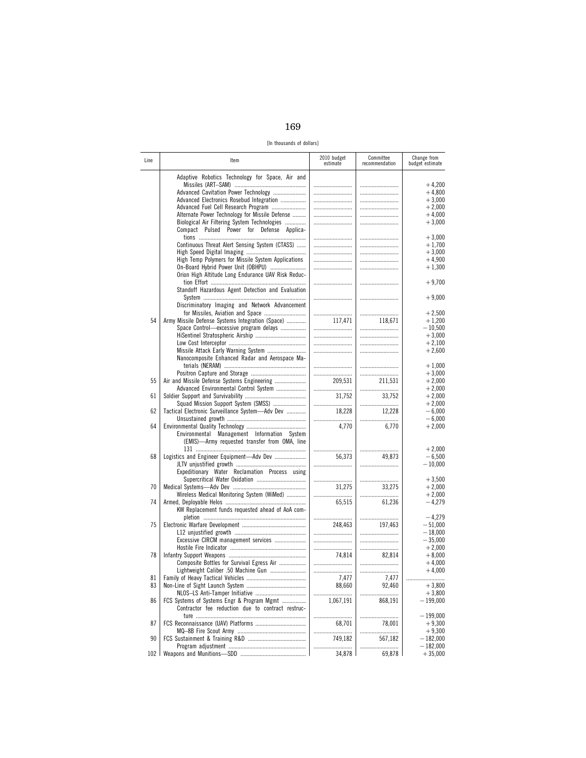| I<br>٧<br>۰.<br>× |  |
|-------------------|--|
|-------------------|--|

[In thousands of dollars]

| Line     | ltem                                                                                                                                                                                                                         | 2010 budget<br>estimate | Committee<br>recommendation | Change from<br>budget estimate                           |
|----------|------------------------------------------------------------------------------------------------------------------------------------------------------------------------------------------------------------------------------|-------------------------|-----------------------------|----------------------------------------------------------|
|          | Adaptive Robotics Technology for Space, Air and<br>Advanced Cavitation Power Technology<br>Advanced Electronics Rosebud Integration<br>Advanced Fuel Cell Research Program<br>Alternate Power Technology for Missile Defense | <br>                    |                             | $+4,200$<br>$+4,800$<br>$+3,000$<br>$+2,000$<br>$+4,000$ |
|          | Biological Air Filtering System Technologies<br>Compact Pulsed Power for Defense Applica-                                                                                                                                    |                         | <br>                        | $+3,000$<br>$+3,000$                                     |
|          | Continuous Threat Alert Sensing System (CTASS)<br>High Temp Polymers for Missile System Applications                                                                                                                         | <br>                    |                             | $+1,700$<br>$+3,000$<br>$+4,900$                         |
|          | On-Board Hybrid Power Unit (OBHPU)<br>Orion High Altitude Long Endurance UAV Risk Reduc-                                                                                                                                     |                         |                             | $+1,300$<br>$+9,700$                                     |
|          | Standoff Hazardous Agent Detection and Evaluation<br>Discriminatory Imaging and Network Advancement                                                                                                                          |                         |                             | $+9,000$                                                 |
| 54       | Army Missile Defense Systems Integration (Space)<br>Space Control-excessive program delays                                                                                                                                   | <br>117,471<br>         | <br>118,671<br><br>         | $+2,500$<br>$+1,200$<br>$-10,500$<br>$+3,000$            |
|          | Missile Attack Early Warning System<br>Nanocomposite Enhanced Radar and Aerospace Ma-                                                                                                                                        |                         | <br>                        | $+2,100$<br>$+2,600$                                     |
| 55       | Air and Missile Defense Systems Engineering                                                                                                                                                                                  | 209,531                 | <br>211,531                 | $+1,000$<br>$+3,000$<br>$+2,000$                         |
| 61       | Advanced Environmental Control System<br>Squad Mission Support System (SMSS)                                                                                                                                                 | 31,752<br>              | 33,752<br>                  | $+2,000$<br>$+2,000$<br>$+2,000$                         |
| 62<br>64 | Tactical Electronic Surveillance System-Adv Dev                                                                                                                                                                              | 18,228                  | 12,228                      | $-6,000$<br>$-6,000$                                     |
|          | Environmental Management Information System<br>(EMIS)-Army requested transfer from OMA, line                                                                                                                                 | 4,770<br>               | 6,770<br>                   | $+2,000$<br>$+2,000$                                     |
| 68       | Logistics and Engineer Equipment-Adv Dev<br>Expeditionary Water Reclamation Process using                                                                                                                                    | 56,373<br>              | 49,873                      | $-6,500$<br>$-10,000$                                    |
| 70       | Wireless Medical Monitoring System (WiMed)                                                                                                                                                                                   | <br>31,275              | 33,275                      | $+3,500$<br>$+2,000$<br>$+2,000$                         |
| 74       | KW Replacement funds requested ahead of AoA com-                                                                                                                                                                             | 65,515                  | 61,236                      | $-4,279$<br>$-4,279$                                     |
| 75       | Excessive CIRCM management services                                                                                                                                                                                          | <br>248.463<br>         | <br>197,463                 | $-51,000$<br>$-18,000$<br>$-35,000$                      |
| 78       | Composite Bottles for Survival Egress Air                                                                                                                                                                                    | <br>74,814<br>          | 82.814                      | $+2,000$<br>$+8,000$<br>$+4,000$                         |
| 81       |                                                                                                                                                                                                                              | <br>7,477               | <br>7,477                   | $+4,000$                                                 |
| 83       |                                                                                                                                                                                                                              | 88,660<br>              | 92,460<br>.                 | $+3,800$<br>$+3,800$                                     |
| 86       | FCS Systems of Systems Engr & Program Mgmt<br>Contractor fee reduction due to contract restruc-                                                                                                                              | 1,067,191               | 868,191                     | $-199,000$<br>$-199,000$                                 |
| 87       |                                                                                                                                                                                                                              | 68,701                  | 78,001                      | $+9,300$<br>$+9,300$                                     |
| 90       |                                                                                                                                                                                                                              | 749,182<br>             | 567,182<br>                 | $-182,000$<br>$-182,000$                                 |
| 102      |                                                                                                                                                                                                                              | 34,878                  | 69,878                      | $+35,000$                                                |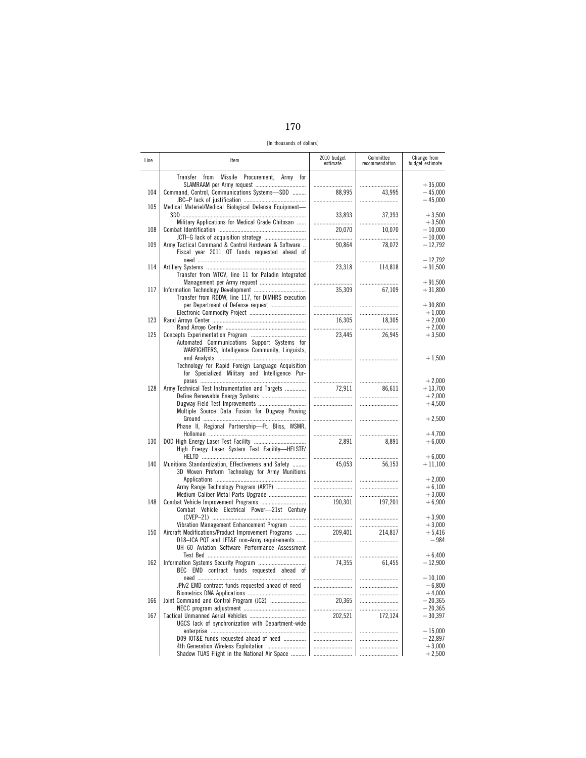| I<br>٩<br>٠<br>× |
|------------------|
|------------------|

[In thousands of dollars]

| Line | Item                                                                                                                                                 | 2010 budget<br>estimate | Committee<br>recommendation | Change from<br>budget estimate                |
|------|------------------------------------------------------------------------------------------------------------------------------------------------------|-------------------------|-----------------------------|-----------------------------------------------|
| 104  | Transfer from Missile Procurement, Army for<br>Command, Control, Communications Systems-SDD                                                          | <br>88,995              | <br>43,995<br>              | $+35,000$<br>$-45,000$<br>$-45,000$           |
| 105  | Medical Materiel/Medical Biological Defense Equipment-<br>Military Applications for Medical Grade Chitosan                                           | 33,893<br>              | 37,393<br>                  | $+3,500$<br>$+3,500$                          |
| 108  |                                                                                                                                                      | 20,070<br>              | 10,070<br>                  | $-10,000$<br>$-10,000$                        |
| 109  | Army Tactical Command & Control Hardware & Software<br>Fiscal year 2011 OT funds requested ahead of                                                  | 90,864                  | 78,072                      | $-12,792$                                     |
| 114  | Transfer from WTCV, line 11 for Paladin Integrated                                                                                                   | <br>23,318              | <br>114,818                 | $-12,792$<br>$+91,500$                        |
| 117  | Management per Army request<br>Transfer from RDDW, line 117, for DIMHRS execution                                                                    | 35,309                  | <br>67,109                  | $+91,500$<br>$+31,800$                        |
| 123  | per Department of Defense request                                                                                                                    | <br>16,305<br>          | <br><br>18,305              | $+30,800$<br>$+1,000$<br>$+2,000$<br>$+2,000$ |
| 125  | Automated Communications Support Systems for<br>WARFIGHTERS, Intelligence Community, Linguists,                                                      | 23,445                  | <br>26,945                  | $+3,500$                                      |
|      | Technology for Rapid Foreign Language Acquisition<br>for Specialized Military and Intelligence Pur-                                                  |                         |                             | $+1,500$                                      |
| 128  | Army Technical Test Instrumentation and Targets<br>Dugway Field Test Improvements                                                                    | <br>72,911<br>          | <br>86,611<br>              | $+2,000$<br>$+13,700$<br>$+2,000$<br>$+4,500$ |
|      | Multiple Source Data Fusion for Dugway Proving<br>Phase II, Regional Partnership-Ft. Bliss, WSMR,                                                    |                         |                             | $+2,500$                                      |
| 130  | High Energy Laser System Test Facility-HELSTF/                                                                                                       | <br>2,891               | 8,891                       | $+4,700$<br>$+6,000$                          |
| 140  | Munitions Standardization, Effectiveness and Safety<br>3D Woven Preform Technology for Army Munitions                                                | <br>45,053              | <br>56,153                  | $+6,000$<br>$+11,100$                         |
| 148  | Army Range Technology Program (ARTP)<br>Medium Caliber Metal Parts Upgrade                                                                           | <br><br>190,301         | <br><br>197,201             | $+2,000$<br>$+6,100$<br>$+3,000$<br>$+6,900$  |
|      | Combat Vehicle Electrical Power-21st Century<br>Vibration Management Enhancement Program                                                             | <br>                    | <br>                        | $+3,900$<br>$+3.000$                          |
| 150  | Aircraft Modifications/Product Improvement Programs<br>D18-JCA PQT and LFT&E non-Army requirements<br>UH-60 Aviation Software Performance Assessment | 209,401                 | 214,817                     | $+5,416$<br>$-984$                            |
| 162  | BEC EMD contract funds requested ahead of                                                                                                            | 74,355                  | <br>61,455                  | $+6,400$<br>$-12,900$                         |
|      | JPIv2 EMD contract funds requested ahead of need                                                                                                     | <br><br>                | <br>                        | $-10,100$<br>$-6,800$<br>$+4,000$             |
| 166  |                                                                                                                                                      | 20,365<br>              | <br>                        | $-20,365$<br>$-20,365$                        |
| 167  | UGCS lack of synchronization with Department-wide                                                                                                    | 202,521                 | 172,124                     | $-30,397$                                     |
|      | D09 IOT&E funds requested ahead of need<br>4th Generation Wireless Exploitation                                                                      |                         |                             | $-15,000$<br>$-22,897$                        |
|      | Shadow TUAS Flight in the National Air Space                                                                                                         | <br>$\ddotsc$           |                             | $+3,000$<br>$+2,500$                          |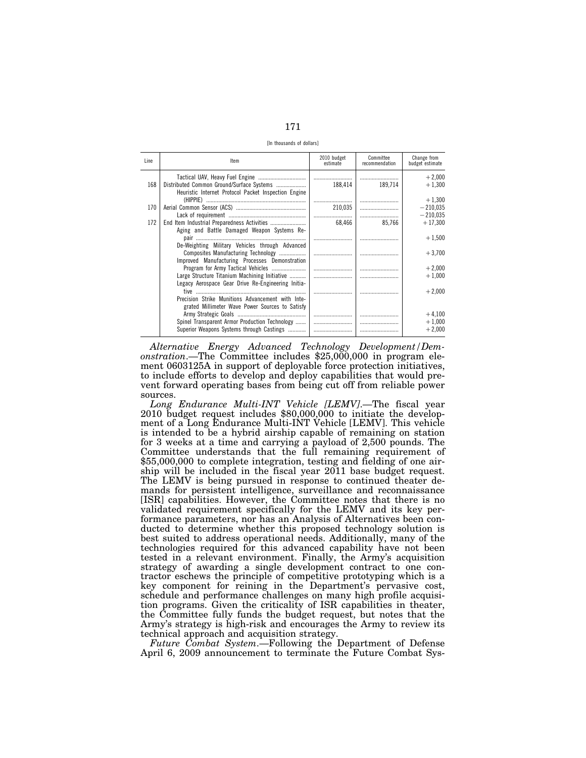[In thousands of dollars]

| Line | Item                                                                                                                                                                                                                                                          | 2010 budget<br>estimate | Committee<br>recommendation | Change from<br>budget estimate    |
|------|---------------------------------------------------------------------------------------------------------------------------------------------------------------------------------------------------------------------------------------------------------------|-------------------------|-----------------------------|-----------------------------------|
| 168  | Distributed Common Ground/Surface Systems<br>Heuristic Internet Protocol Packet Inspection Engine                                                                                                                                                             | 188.414                 | 189,714                     | $+2,000$<br>$+1.300$              |
| 170  |                                                                                                                                                                                                                                                               | <br>210,035             |                             | $+1,300$<br>$-210.035$            |
|      |                                                                                                                                                                                                                                                               |                         |                             | $-210,035$                        |
|      | Aging and Battle Damaged Weapon Systems Re-                                                                                                                                                                                                                   |                         |                             |                                   |
|      |                                                                                                                                                                                                                                                               |                         |                             | $+1,500$                          |
|      | Composites Manufacturing Technology<br>Improved Manufacturing Processes Demonstration                                                                                                                                                                         |                         |                             | $+3.700$                          |
|      |                                                                                                                                                                                                                                                               |                         |                             | $+2,000$                          |
|      |                                                                                                                                                                                                                                                               |                         |                             | $+1,000$                          |
|      |                                                                                                                                                                                                                                                               |                         |                             | $+2.000$                          |
|      | grated Millimeter Wave Power Sources to Satisfy                                                                                                                                                                                                               |                         |                             |                                   |
|      |                                                                                                                                                                                                                                                               |                         |                             |                                   |
|      | Superior Weapons Systems through Castings                                                                                                                                                                                                                     |                         |                             | $+2.000$                          |
| 172  | De-Weighting Military Vehicles through Advanced<br>Large Structure Titanium Machining Initiative<br>Legacy Aerospace Gear Drive Re-Engineering Initia-<br>Precision Strike Munitions Advancement with Inte-<br>Spinel Transparent Armor Production Technology | 68.466                  | 85.766                      | $+17,300$<br>$+4,100$<br>$+1,000$ |

*Alternative Energy Advanced Technology Development/Demonstration*.—The Committee includes \$25,000,000 in program element 0603125A in support of deployable force protection initiatives, to include efforts to develop and deploy capabilities that would prevent forward operating bases from being cut off from reliable power sources.

*Long Endurance Multi-INT Vehicle [LEMV]*.—The fiscal year 2010 budget request includes \$80,000,000 to initiate the development of a Long Endurance Multi-INT Vehicle [LEMV]. This vehicle is intended to be a hybrid airship capable of remaining on station for 3 weeks at a time and carrying a payload of 2,500 pounds. The Committee understands that the full remaining requirement of \$55,000,000 to complete integration, testing and fielding of one airship will be included in the fiscal year 2011 base budget request. The LEMV is being pursued in response to continued theater demands for persistent intelligence, surveillance and reconnaissance [ISR] capabilities. However, the Committee notes that there is no validated requirement specifically for the LEMV and its key performance parameters, nor has an Analysis of Alternatives been conducted to determine whether this proposed technology solution is best suited to address operational needs. Additionally, many of the technologies required for this advanced capability have not been tested in a relevant environment. Finally, the Army's acquisition strategy of awarding a single development contract to one contractor eschews the principle of competitive prototyping which is a key component for reining in the Department's pervasive cost, schedule and performance challenges on many high profile acquisition programs. Given the criticality of ISR capabilities in theater, the Committee fully funds the budget request, but notes that the Army's strategy is high-risk and encourages the Army to review its technical approach and acquisition strategy.

*Future Combat System*.—Following the Department of Defense April 6, 2009 announcement to terminate the Future Combat Sys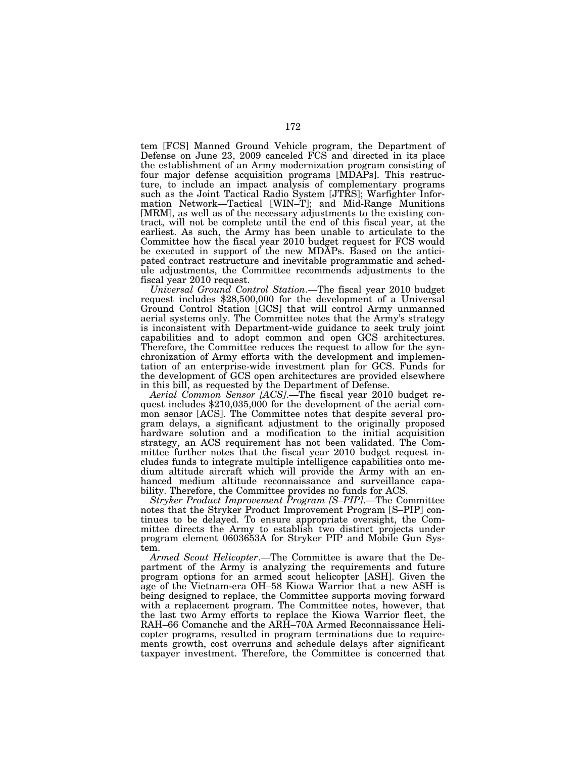tem [FCS] Manned Ground Vehicle program, the Department of Defense on June 23, 2009 canceled FCS and directed in its place the establishment of an Army modernization program consisting of four major defense acquisition programs [MDAPs]. This restructure, to include an impact analysis of complementary programs such as the Joint Tactical Radio System [JTRS]; Warfighter Information Network—Tactical [WIN–T]; and Mid-Range Munitions [MRM], as well as of the necessary adjustments to the existing contract, will not be complete until the end of this fiscal year, at the earliest. As such, the Army has been unable to articulate to the Committee how the fiscal year 2010 budget request for FCS would be executed in support of the new MDAPs. Based on the anticipated contract restructure and inevitable programmatic and schedule adjustments, the Committee recommends adjustments to the

fiscal year 2010 request.<br>
Universal Ground Control Station.—The fiscal year 2010 budget request includes \$28,500,000 for the development of a Universal Ground Control Station [GCS] that will control Army unmanned aerial systems only. The Committee notes that the Army's strategy is inconsistent with Department-wide guidance to seek truly joint capabilities and to adopt common and open GCS architectures. Therefore, the Committee reduces the request to allow for the synchronization of Army efforts with the development and implementation of an enterprise-wide investment plan for GCS. Funds for the development of GCS open architectures are provided elsewhere in this bill, as requested by the Department of Defense.<br>Aerial Common Sensor [ACS].—The fiscal year 2010 budget re-

quest includes \$210,035,000 for the development of the aerial common sensor [ACS]. The Committee notes that despite several program delays, a significant adjustment to the originally proposed hardware solution and a modification to the initial acquisition strategy, an ACS requirement has not been validated. The Committee further notes that the fiscal year 2010 budget request includes funds to integrate multiple intelligence capabilities onto medium altitude aircraft which will provide the Army with an enhanced medium altitude reconnaissance and surveillance capability. Therefore, the Committee provides no funds for ACS.

*Stryker Product Improvement Program [S–PIP]*.—The Committee notes that the Stryker Product Improvement Program [S–PIP] continues to be delayed. To ensure appropriate oversight, the Committee directs the Army to establish two distinct projects under program element 0603653A for Stryker PIP and Mobile Gun System.

*Armed Scout Helicopter*.—The Committee is aware that the Department of the Army is analyzing the requirements and future program options for an armed scout helicopter [ASH]. Given the age of the Vietnam-era OH–58 Kiowa Warrior that a new ASH is being designed to replace, the Committee supports moving forward with a replacement program. The Committee notes, however, that the last two Army efforts to replace the Kiowa Warrior fleet, the RAH–66 Comanche and the ARH–70A Armed Reconnaissance Helicopter programs, resulted in program terminations due to requirements growth, cost overruns and schedule delays after significant taxpayer investment. Therefore, the Committee is concerned that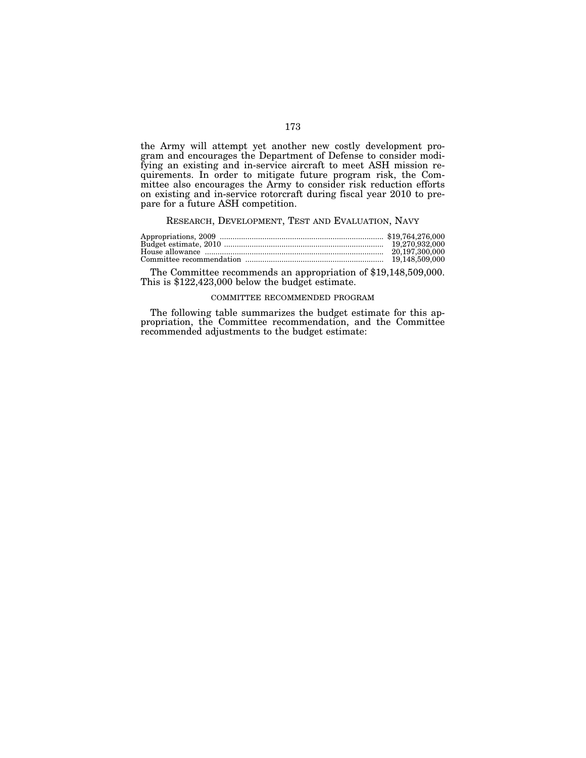the Army will attempt yet another new costly development program and encourages the Department of Defense to consider modifying an existing and in-service aircraft to meet ASH mission requirements. In order to mitigate future program risk, the Committee also encourages the Army to consider risk reduction efforts on existing and in-service rotorcraft during fiscal year 2010 to prepare for a future ASH competition.

# RESEARCH, DEVELOPMENT, TEST AND EVALUATION, NAVY

| 20.197.300.000 |
|----------------|
|                |

The Committee recommends an appropriation of \$19,148,509,000. This is \$122,423,000 below the budget estimate.

#### COMMITTEE RECOMMENDED PROGRAM

The following table summarizes the budget estimate for this appropriation, the Committee recommendation, and the Committee recommended adjustments to the budget estimate: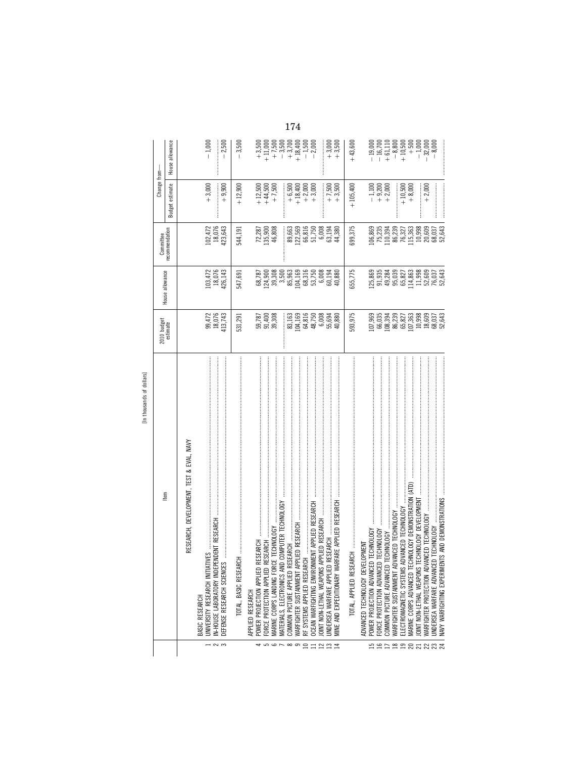| c.          |  |
|-------------|--|
| c           |  |
| τ<br>c<br>u |  |
|             |  |

|                         |                                                                                 | 2010 budget<br>estimate                                                                                    |                                                                           | Committee                                     | Change from-                                                     |                                                              |
|-------------------------|---------------------------------------------------------------------------------|------------------------------------------------------------------------------------------------------------|---------------------------------------------------------------------------|-----------------------------------------------|------------------------------------------------------------------|--------------------------------------------------------------|
|                         | tem                                                                             |                                                                                                            | House allowance                                                           | recommendation                                | Budget estimate                                                  | House allowance                                              |
|                         | RESEARCH, DEVELOPMENT, TEST & EVAL, NAVY                                        |                                                                                                            |                                                                           |                                               |                                                                  |                                                              |
|                         | BASIC RESEARCH                                                                  |                                                                                                            |                                                                           |                                               |                                                                  |                                                              |
| $-25$                   |                                                                                 |                                                                                                            | 103,472<br>18,076                                                         | 102,472<br>18,076                             | $+3,000$                                                         | $-1,000$                                                     |
|                         | DEFENSE RESEARCH SCIENCES                                                       | $\begin{array}{c} 99,472 \\ 18,076 \\ 413,743 \end{array}$                                                 | 426,143                                                                   | 423,643                                       | $+9,900$                                                         | $-2,500$                                                     |
|                         | 공<br>TOTAL, BASIC RESEAR                                                        | 531,291                                                                                                    | 547,691                                                                   | 544,191                                       | $+12,900$                                                        | $-3,500$                                                     |
|                         | APPLIED RESEARCH                                                                |                                                                                                            |                                                                           |                                               |                                                                  |                                                              |
| 4                       | POWER PROJECTION APPLIED                                                        |                                                                                                            | 68,787                                                                    |                                               |                                                                  |                                                              |
| $\overline{5}$          | RESEARCH<br>FORCE PROTECTION APPLIED                                            | $\begin{array}{c} 59,787 \\ 91,400 \\ 39,308 \end{array}$                                                  | 124,900<br>39,308                                                         | 72,287<br>135,900<br>46,808                   | $+12,500$<br>$+44,500$<br>$+7,500$                               |                                                              |
|                         | MARINE CORPS LANDING FORCE TECHNOLOGY                                           |                                                                                                            |                                                                           |                                               |                                                                  |                                                              |
|                         | 0 COMPUTER TECHNOLOGY<br>MATERIALS, ELECTRONICS AND                             |                                                                                                            | 3,500                                                                     |                                               |                                                                  |                                                              |
| $\omega \sim \infty$ or | WARFIGHTER SUSTAINMENT APPLIED RESEARCH<br>ESEARCH<br>COMMON PICTURE APPLIED RE |                                                                                                            |                                                                           |                                               |                                                                  |                                                              |
|                         |                                                                                 |                                                                                                            |                                                                           |                                               |                                                                  |                                                              |
|                         | OCEAN WARFIGHTING ENVIRONMENT APPLIED RESEARCH                                  | 83,163<br>104,169<br>64,816<br>48,750<br>6,008                                                             | $\begin{array}{c} 85,963 \\ 104,169 \\ 68,316 \\ 53,750 \\ 6 \end{array}$ | 89,663<br>122,569<br>66,815<br>6,008<br>6,008 | $+6,500$<br>$+2,400$<br>$+7,7$<br>$+3,7$<br>$+3$<br>$+3$<br>$+3$ |                                                              |
|                         | APPLIED RESEARCH<br>JOINT NON-LETHAL WEAPONS                                    |                                                                                                            |                                                                           |                                               |                                                                  |                                                              |
| $\frac{2}{11}$          | UNDERSEA WARFARE APPLIED                                                        | 55,694<br>40,880                                                                                           | 60,194<br>40,880                                                          | 63,194                                        | $+7,500$                                                         | $+3,500$<br>$+3,500$                                         |
|                         | RFARE APPLIED RESEARCH<br>MINE AND EXPEDITIONARY WA                             |                                                                                                            |                                                                           | 44,380                                        | $+3,500$                                                         |                                                              |
|                         | TOTAL, APPLIED RESEARCH                                                         | 593,975                                                                                                    | 655,775                                                                   | 699,375                                       | $+105,400$                                                       | $+43,600$                                                    |
|                         | ADVANCED TECHNOLOGY DEVELOPMENT                                                 |                                                                                                            |                                                                           |                                               |                                                                  |                                                              |
|                         |                                                                                 | 107,969                                                                                                    | 125,869                                                                   | 106,869                                       | $-1,100$                                                         | $-19,000$                                                    |
|                         |                                                                                 |                                                                                                            | 91,935                                                                    | 75,235<br>110,394                             | $+9,200$<br>+2,000                                               |                                                              |
|                         | COMMON PICTURE ADVANCED                                                         |                                                                                                            | 49,284                                                                    |                                               |                                                                  |                                                              |
| $\approx$               |                                                                                 |                                                                                                            | 95,039<br>65,827                                                          | 86,239<br>76,327                              |                                                                  |                                                              |
|                         | ADVANCED TECHNOLOGY<br>ELECTROMAGNETIC SYSTEMS /                                |                                                                                                            |                                                                           |                                               | $+10,500$                                                        | $-16,700$<br>$+61,110$<br>$+8,800$<br>$+10,500$<br>$+60,600$ |
| 2852                    | MARINE CORPS ADVANCED TECHNOLOGY DEMONSTRATION (ATD)                            | $\begin{array}{c} 66,035 \\ 108,394 \\ 86,239 \\ 65,827 \\ 107,363 \\ 1098 \\ 1099 \\ 1099 \\ \end{array}$ | 114,863                                                                   | 115,363                                       | $+8,000$                                                         |                                                              |
|                         | TECHNOLOGY DEVELOPMENT<br>JOINT NON-LETHAL WEAPONS                              |                                                                                                            | 11,998                                                                    | 10,998                                        |                                                                  | $-1,000$                                                     |
|                         | WARFIGHTER PROTECTION AD\                                                       |                                                                                                            | 52,609                                                                    | 20,609                                        | $+2,000$                                                         | $-32,000$                                                    |
| 23                      | ED TECHNOLOGY<br>UNDERSEA WARFARE ADVANCE                                       | 68,037<br>52.643                                                                                           | 76,037<br>52,643                                                          | 68,037                                        |                                                                  | $-8,000$                                                     |
| $\approx$               | NAVY WARFIGHTING EXPERIMENTS AND DEMONSTRATIONS                                 |                                                                                                            |                                                                           | 52,643                                        |                                                                  |                                                              |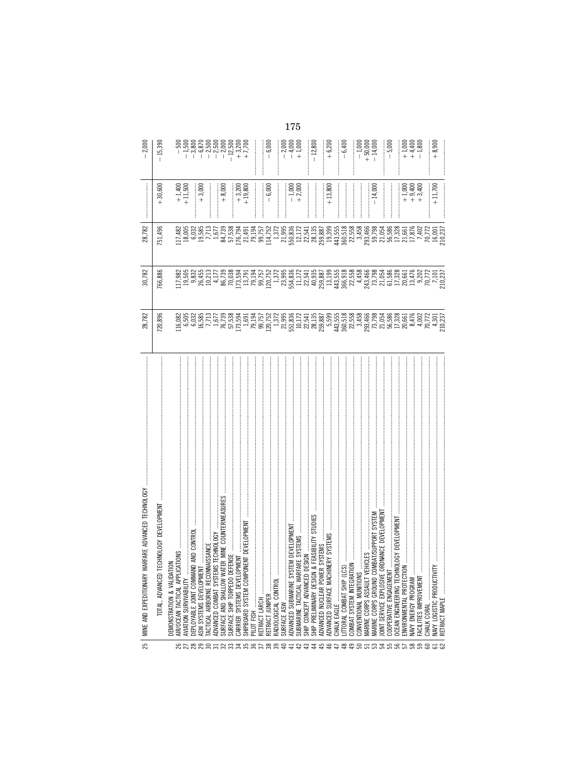| 25 | WARFARE ADVANCED TECHNOLOGY<br>MINE AND EXPEDITIONARY                                                                                                         | 28,782                                                                                                                                                                      | 30,782  | 28,782  |                                               | $-2,000$                             |
|----|---------------------------------------------------------------------------------------------------------------------------------------------------------------|-----------------------------------------------------------------------------------------------------------------------------------------------------------------------------|---------|---------|-----------------------------------------------|--------------------------------------|
|    | TECHNOLOGY DEVELOPMENT<br>TOTAL, ADVANCED                                                                                                                     | 720,896                                                                                                                                                                     | 766,886 | 751,496 | $+30,600$                                     | $-15,390$                            |
|    | \TION<br>ICATIONS<br>DEMONSTRATION & VALIDAT                                                                                                                  |                                                                                                                                                                             |         |         |                                               |                                      |
|    | AIR/OCEAN TACTICAL APPLI                                                                                                                                      | ធ្វើ<br>ក្នុងមានដឹងមានមាន ដែលមានដឹង ដូចខ្លួន ដូចខ្លួន ដូចខ្លួន ដូចខ្លួន ដូចខ្លួន ដូច<br>ត្រូវបានដូចខ្លួន ដូចខ្លួន ដូចខ្លួន ដូចខ្លួន ដូចខ្លួន ដូចខ្លួន ដូចខ្លួន ដូចខ្លួន ដូច |         |         | $+1,400$<br>$+11,500$<br>$+3,000$<br>$+3,000$ |                                      |
|    | AVIATION SURVIVABILITY                                                                                                                                        |                                                                                                                                                                             |         |         |                                               |                                      |
|    |                                                                                                                                                               |                                                                                                                                                                             |         |         |                                               |                                      |
|    |                                                                                                                                                               |                                                                                                                                                                             |         |         |                                               |                                      |
|    |                                                                                                                                                               |                                                                                                                                                                             |         |         |                                               |                                      |
|    |                                                                                                                                                               |                                                                                                                                                                             |         |         |                                               |                                      |
|    |                                                                                                                                                               |                                                                                                                                                                             |         |         |                                               |                                      |
|    |                                                                                                                                                               |                                                                                                                                                                             |         |         | $+8,000$<br>$+3,200$<br>$+3,200$              |                                      |
|    |                                                                                                                                                               |                                                                                                                                                                             |         |         |                                               |                                      |
|    |                                                                                                                                                               |                                                                                                                                                                             |         |         |                                               |                                      |
|    | PILOT FISH                                                                                                                                                    |                                                                                                                                                                             |         |         |                                               |                                      |
|    |                                                                                                                                                               |                                                                                                                                                                             |         |         |                                               |                                      |
|    |                                                                                                                                                               |                                                                                                                                                                             |         |         | $-6,000$<br>$-1,000$<br>$-1,000$              | $-6,000$                             |
|    |                                                                                                                                                               |                                                                                                                                                                             |         |         |                                               |                                      |
|    |                                                                                                                                                               |                                                                                                                                                                             |         |         |                                               |                                      |
|    |                                                                                                                                                               |                                                                                                                                                                             |         |         |                                               |                                      |
|    |                                                                                                                                                               |                                                                                                                                                                             |         |         |                                               | $-2,000$<br>$-4,000$<br>$+1,000$     |
|    |                                                                                                                                                               |                                                                                                                                                                             |         |         | <br> <br>                                     |                                      |
|    | SHIP PRELIMINARY DESIGN                                                                                                                                       |                                                                                                                                                                             |         |         |                                               | $-12,800$                            |
|    | ADVANCED NUCLEAR POWER                                                                                                                                        |                                                                                                                                                                             |         |         |                                               |                                      |
|    | ADVANCED SURFACE MACHI                                                                                                                                        |                                                                                                                                                                             |         |         | $+13,800$                                     | $+6,200$                             |
|    |                                                                                                                                                               |                                                                                                                                                                             |         |         |                                               |                                      |
|    |                                                                                                                                                               |                                                                                                                                                                             |         |         |                                               | $-6,400$                             |
|    |                                                                                                                                                               |                                                                                                                                                                             |         |         |                                               |                                      |
|    | CONVENTIONAL MUNITIONS                                                                                                                                        |                                                                                                                                                                             |         |         |                                               | $-1,000$<br>$+ 50,000$<br>$+ 14,000$ |
|    | VONVENTUORE MUNITUNG<br>MARINE CORPS GROUND COMBAT/SUPPORT SYSTEM<br>MARINE CORPS GROUND COMBAT/SUPPORT SYSTEM<br>JONT SERVICE EXPLOSIVE ORDNANCE DEVELOPMENT |                                                                                                                                                                             |         |         |                                               |                                      |
|    |                                                                                                                                                               |                                                                                                                                                                             |         |         | $-14,000$                                     |                                      |
|    |                                                                                                                                                               |                                                                                                                                                                             |         |         |                                               |                                      |
|    | COOPERATIVE ENGAGEMENT                                                                                                                                        |                                                                                                                                                                             |         |         |                                               | $-5,000$                             |
|    | OCEAN ENGINEERING TECHNOLOGY DEVELOPMENT                                                                                                                      |                                                                                                                                                                             |         |         |                                               |                                      |
|    |                                                                                                                                                               |                                                                                                                                                                             |         |         |                                               |                                      |
|    |                                                                                                                                                               |                                                                                                                                                                             |         |         | $+1,000$<br>$+ 1,000$<br>$+ 3,400$            | $+1,000$<br>$+1,400$<br>$+1,800$     |
|    | FACILITIES IMPROVEMENT                                                                                                                                        |                                                                                                                                                                             |         |         |                                               |                                      |
|    |                                                                                                                                                               |                                                                                                                                                                             |         |         |                                               |                                      |
|    | <b>NAVY LOGISTIC PRODUCTIVI</b>                                                                                                                               |                                                                                                                                                                             |         |         | $+11,700$                                     | $+8,900$                             |
|    | RETRACT MAPLE                                                                                                                                                 |                                                                                                                                                                             |         |         |                                               |                                      |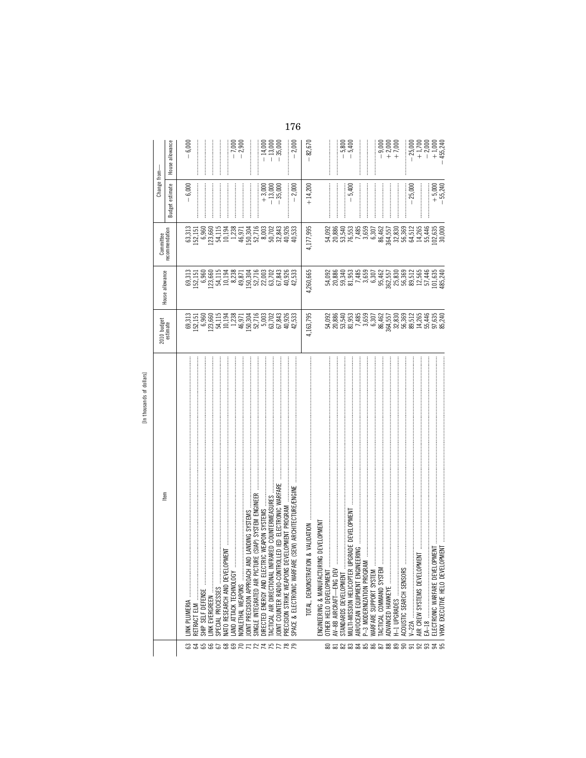| 2<br>٠<br>dollar |
|------------------|
|                  |
| 5                |
| thousands        |
| 른                |

|                    |                                                                                 |                                                               |                                                                                                                                                                                                                                                                                                                                                   |                                                                                                                                                                                                                                                                                    | Change from-                       |                                                 |  |
|--------------------|---------------------------------------------------------------------------------|---------------------------------------------------------------|---------------------------------------------------------------------------------------------------------------------------------------------------------------------------------------------------------------------------------------------------------------------------------------------------------------------------------------------------|------------------------------------------------------------------------------------------------------------------------------------------------------------------------------------------------------------------------------------------------------------------------------------|------------------------------------|-------------------------------------------------|--|
|                    | Item                                                                            | 2010 budget<br>estimate                                       | House allowance                                                                                                                                                                                                                                                                                                                                   | Committee<br>recommendation                                                                                                                                                                                                                                                        | estimate<br><b>Budget</b>          | House allowance                                 |  |
|                    | INK PLUMERIA                                                                    |                                                               |                                                                                                                                                                                                                                                                                                                                                   |                                                                                                                                                                                                                                                                                    | 6,000                              | $-6,000$                                        |  |
|                    |                                                                                 |                                                               |                                                                                                                                                                                                                                                                                                                                                   |                                                                                                                                                                                                                                                                                    |                                    |                                                 |  |
|                    | RETRACT ELM                                                                     |                                                               |                                                                                                                                                                                                                                                                                                                                                   |                                                                                                                                                                                                                                                                                    |                                    |                                                 |  |
|                    | SHIP SELF DEFENSE                                                               |                                                               |                                                                                                                                                                                                                                                                                                                                                   |                                                                                                                                                                                                                                                                                    |                                    |                                                 |  |
|                    |                                                                                 |                                                               |                                                                                                                                                                                                                                                                                                                                                   |                                                                                                                                                                                                                                                                                    |                                    |                                                 |  |
| G 366688R TRAPPRR  | SPECIAL PROCESSES                                                               |                                                               |                                                                                                                                                                                                                                                                                                                                                   |                                                                                                                                                                                                                                                                                    |                                    |                                                 |  |
|                    | ENI<br>NATO RESEARCH AND DEVELOPM                                               |                                                               |                                                                                                                                                                                                                                                                                                                                                   |                                                                                                                                                                                                                                                                                    |                                    |                                                 |  |
|                    | AND ATTACK TECHNOLOGY                                                           |                                                               | $\begin{array}{l} 33.51 \!\!\!&\text{\!\!50} \\ 32.51 \!\!\!&\text{\!\!51} \\ 23.52 \!\!\!&\text{\!\!63} \\ 24.53 \!\!\!&\text{\!\!65} \\ 25.54 \!\!\!&\text{\!\!62} \\ 25.55 \!\!\!&\text{\!\!63} \\ 25.55 \!\!\!&\text{\!\!64} \\ 25.55 \!\!\!&\text{\!\!65} \\ 25.55 \!\!\!&\text{\!\!67} \\ 25.55 \!\!\!&\text{\!\!68} \\ 25.55 \!\!\!&\text$ | $\begin{array}{l} 63,313\\ 63,415\\ 15,16\\ 63,66\\ 24,17\\ 35,88\\ 12,13\\ 24,18\\ 35,7\\ 46,66\\ 25,7\\ 26,8\\ 37\\ 38,84\\ 39\\ 30\\ 31\\ 32\\ 33\\ 34\\ 35\\ 36\\ 37\\ 38\\ 39\\ 30\\ 31\\ 32\\ 33\\ 34\\ 35\\ 36\\ 37\\ 38\\ 39\\ 30\\ 30\\ 31\\ 32\\ 33\\ 34\\ 35\\ 36\\ 36$ |                                    |                                                 |  |
|                    |                                                                                 |                                                               |                                                                                                                                                                                                                                                                                                                                                   |                                                                                                                                                                                                                                                                                    |                                    | $-7,000$<br>$-2,900$                            |  |
|                    |                                                                                 |                                                               |                                                                                                                                                                                                                                                                                                                                                   |                                                                                                                                                                                                                                                                                    |                                    |                                                 |  |
|                    | LANDING SYSTEMS<br>OINT PRECISION APPROACH AND                                  |                                                               |                                                                                                                                                                                                                                                                                                                                                   |                                                                                                                                                                                                                                                                                    |                                    |                                                 |  |
|                    | (SIAP) SYSTEM ENGINEER<br>SINGLE INTEGRATED AIR PICTURI                         |                                                               |                                                                                                                                                                                                                                                                                                                                                   |                                                                                                                                                                                                                                                                                    |                                    |                                                 |  |
|                    | DIRECTED ENERGY AND ELECTRIC WEAPON SYSTEMS                                     |                                                               |                                                                                                                                                                                                                                                                                                                                                   |                                                                                                                                                                                                                                                                                    |                                    |                                                 |  |
|                    | ARED COUNTERMEASURES<br>TACTICAL AIR DIRECTIONAL INFR                           |                                                               |                                                                                                                                                                                                                                                                                                                                                   |                                                                                                                                                                                                                                                                                    | $+3,000$<br>$-13,000$<br>$-35,000$ | $-14,000$<br>$-13,000$<br>$-35,000$             |  |
|                    | OINT COUNTER RADIO-CONTROL                                                      |                                                               |                                                                                                                                                                                                                                                                                                                                                   |                                                                                                                                                                                                                                                                                    |                                    |                                                 |  |
|                    | LED IED ELECTRONIC WARFARE<br>VELOPMENT PROGRAM<br>PRECISION STRIKE WEAPONS DEY |                                                               |                                                                                                                                                                                                                                                                                                                                                   |                                                                                                                                                                                                                                                                                    |                                    |                                                 |  |
|                    |                                                                                 | 40,926<br>42,533                                              |                                                                                                                                                                                                                                                                                                                                                   | 40,926<br>40,533                                                                                                                                                                                                                                                                   |                                    |                                                 |  |
|                    | (SEW) ARCHITECTURE/ENGINE<br>SPACE & ELECTRONIC WARFARE                         |                                                               |                                                                                                                                                                                                                                                                                                                                                   |                                                                                                                                                                                                                                                                                    | $-2,000$                           | $-2,000$                                        |  |
|                    | & VALIDATION<br>TOTAL, DEMONSTRATION                                            | 4,163,795                                                     | 4,260,665                                                                                                                                                                                                                                                                                                                                         | 4,177,995                                                                                                                                                                                                                                                                          | $+14,200$                          | 82,670                                          |  |
|                    | <b>DEVELOPMENT</b><br>ENGINEERING & MANUFACTURING                               |                                                               |                                                                                                                                                                                                                                                                                                                                                   |                                                                                                                                                                                                                                                                                    |                                    |                                                 |  |
|                    | OTHER HELO DEVELOPMENT                                                          |                                                               |                                                                                                                                                                                                                                                                                                                                                   |                                                                                                                                                                                                                                                                                    |                                    |                                                 |  |
|                    | AV-8B AIRCRAFT-ENG DEV                                                          |                                                               | $\begin{array}{l} 30.032 \\ 30.886 \\ 20.894 \\ 50.934 \\ 50.933 \\ 60.934 \\ 7.485 \\ 9.307 \\ 9.307 \end{array}$                                                                                                                                                                                                                                | 54,092<br>20,886<br>50,55,555<br>50,554,45                                                                                                                                                                                                                                         |                                    |                                                 |  |
|                    | STANDARDS DEVELOPMENT                                                           |                                                               |                                                                                                                                                                                                                                                                                                                                                   |                                                                                                                                                                                                                                                                                    |                                    | $-5,800$                                        |  |
|                    | MULTI-MISSION HELICOPTER UPGRADE DEVELOPMENT                                    |                                                               |                                                                                                                                                                                                                                                                                                                                                   |                                                                                                                                                                                                                                                                                    | $-5,400$                           |                                                 |  |
|                    | <b>RING</b><br>AIR/OCEAN EQUIPMENT ENGINEEI                                     |                                                               |                                                                                                                                                                                                                                                                                                                                                   |                                                                                                                                                                                                                                                                                    |                                    |                                                 |  |
|                    | P-3 MODERNIZATION PROGRAM                                                       |                                                               |                                                                                                                                                                                                                                                                                                                                                   | 3,659                                                                                                                                                                                                                                                                              |                                    |                                                 |  |
|                    | WARFARE SUPPORT SYSTEM                                                          |                                                               |                                                                                                                                                                                                                                                                                                                                                   | 6,307                                                                                                                                                                                                                                                                              |                                    |                                                 |  |
|                    | TACTICAL COMMAND SYSTEM                                                         |                                                               |                                                                                                                                                                                                                                                                                                                                                   |                                                                                                                                                                                                                                                                                    |                                    |                                                 |  |
|                    | ADVANCED HAWKEYE                                                                |                                                               |                                                                                                                                                                                                                                                                                                                                                   |                                                                                                                                                                                                                                                                                    |                                    |                                                 |  |
|                    | H-1 UPGRADES                                                                    |                                                               |                                                                                                                                                                                                                                                                                                                                                   |                                                                                                                                                                                                                                                                                    |                                    | $-9000$<br>$-1000$<br>$+7$                      |  |
|                    | ACOUSTIC SEARCH SENSORS                                                         |                                                               |                                                                                                                                                                                                                                                                                                                                                   |                                                                                                                                                                                                                                                                                    |                                    |                                                 |  |
|                    |                                                                                 |                                                               |                                                                                                                                                                                                                                                                                                                                                   |                                                                                                                                                                                                                                                                                    | $-25,000$                          | $-25,000$                                       |  |
|                    | AIR CREW SYSTEMS DEVELOPME                                                      |                                                               |                                                                                                                                                                                                                                                                                                                                                   |                                                                                                                                                                                                                                                                                    |                                    |                                                 |  |
|                    |                                                                                 |                                                               |                                                                                                                                                                                                                                                                                                                                                   |                                                                                                                                                                                                                                                                                    |                                    |                                                 |  |
|                    | MENT<br>ELECTRONIC WARFARE DEVELOPI                                             |                                                               |                                                                                                                                                                                                                                                                                                                                                   |                                                                                                                                                                                                                                                                                    |                                    |                                                 |  |
| 858835865885558555 | VHXX EXECUTIVE HELO DEVELOPMENT                                                 | $8.578303246455240$ $8.5783032464535240$ $8.5783032464535240$ | $\begin{array}{l} 95.462 \\ 95.55 \\ 362.830 \\ 25.830 \\ 25.51 \\ 25.530 \\ 25.51 \\ 25.544 \\ 25.540 \\ 25.544 \\ 25.540 \\ 25.540 \\ 25.540 \\ 25.540 \\ 25.540 \\ 25.540 \\ 25.540 \\ 25.540 \\ 25.540 \\ 25.540 \\ 25.540 \\ 25.540 \\ 25.540 \\ 25.540 \\ 25.540 \\ 25.540 \\ 25.540$                                                       | 86,462<br>364,5530<br>364,5830<br>36,512,544<br>30,635<br>102,635<br>30,000                                                                                                                                                                                                        | $+5,000$<br>$-55,240$              | $+1,700$<br>$-2,000$<br>$+1,000$<br>$+1,65,240$ |  |
|                    |                                                                                 |                                                               |                                                                                                                                                                                                                                                                                                                                                   |                                                                                                                                                                                                                                                                                    |                                    |                                                 |  |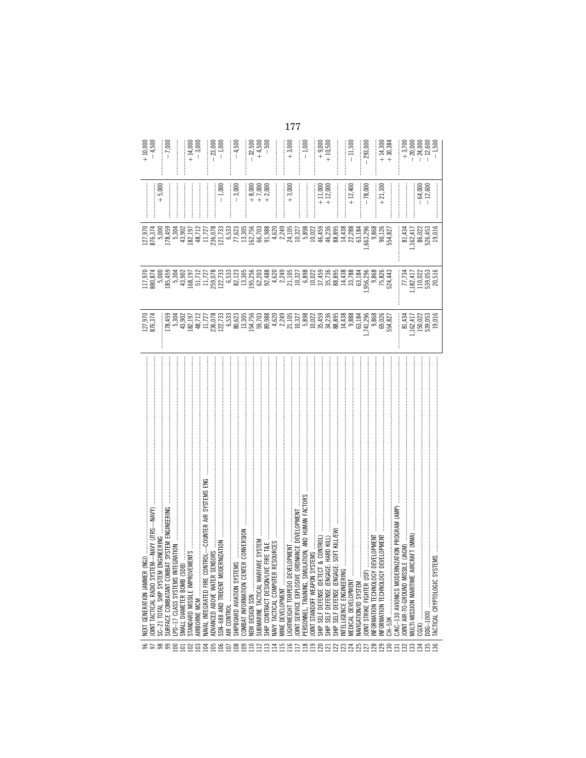|                  | (NGI)<br>NEXT GENERATION JAMMER                                                                                           | 127,970<br>876,374                                                                                                                                                                                                                                                                                                   |                                                                                           |                                                  |                                                                                                                                                                   | $+10,000$<br>$-4,500$             |
|------------------|---------------------------------------------------------------------------------------------------------------------------|----------------------------------------------------------------------------------------------------------------------------------------------------------------------------------------------------------------------------------------------------------------------------------------------------------------------|-------------------------------------------------------------------------------------------|--------------------------------------------------|-------------------------------------------------------------------------------------------------------------------------------------------------------------------|-----------------------------------|
|                  | EM-NAVY UTRS<br>IOINT TACTICAL RADIO SYST                                                                                 |                                                                                                                                                                                                                                                                                                                      |                                                                                           |                                                  |                                                                                                                                                                   |                                   |
|                  | <b>ENGINEERING</b><br>SC-21 TOTAL SHIP SYSTEM                                                                             |                                                                                                                                                                                                                                                                                                                      |                                                                                           |                                                  | $+5,000$                                                                                                                                                          |                                   |
|                  |                                                                                                                           |                                                                                                                                                                                                                                                                                                                      |                                                                                           |                                                  |                                                                                                                                                                   | $-7,000$                          |
|                  |                                                                                                                           |                                                                                                                                                                                                                                                                                                                      |                                                                                           |                                                  |                                                                                                                                                                   |                                   |
|                  |                                                                                                                           |                                                                                                                                                                                                                                                                                                                      |                                                                                           |                                                  |                                                                                                                                                                   |                                   |
|                  |                                                                                                                           | $\Xi_{\alpha}$ at $\Xi_{\beta}$ at $\Xi_{\beta}$ and $\Xi_{\beta}$ and $\Xi_{\beta}$ and $\Xi_{\beta}$ and $\Xi_{\beta}$ and $\Xi_{\beta}$ and $\Xi_{\beta}$ and $\Xi_{\beta}$ and $\Xi_{\beta}$ and $\Xi_{\beta}$ and $\Xi_{\beta}$ and $\Xi_{\beta}$ and $\Xi_{\beta}$ and $\Xi_{\beta}$ and $\Xi_{\beta}$ and $\$ |                                                                                           |                                                  |                                                                                                                                                                   | $+14,000$<br>$+3,000$             |
|                  | AIRBORNE MCM                                                                                                              |                                                                                                                                                                                                                                                                                                                      |                                                                                           |                                                  |                                                                                                                                                                   |                                   |
|                  |                                                                                                                           |                                                                                                                                                                                                                                                                                                                      |                                                                                           |                                                  |                                                                                                                                                                   |                                   |
|                  | INSORS<br>ADVANCED ABOVE WATER SE                                                                                         |                                                                                                                                                                                                                                                                                                                      |                                                                                           |                                                  |                                                                                                                                                                   | $-23,000$<br>$-1,000$             |
|                  | SSN-688 AND TRIDENT MODERNIZATION                                                                                         |                                                                                                                                                                                                                                                                                                                      |                                                                                           |                                                  | $-1,000$                                                                                                                                                          |                                   |
|                  | <br>AIR CONTROL                                                                                                           |                                                                                                                                                                                                                                                                                                                      |                                                                                           |                                                  |                                                                                                                                                                   |                                   |
|                  | SHIPBOARD AVIATION SYSTE                                                                                                  |                                                                                                                                                                                                                                                                                                                      |                                                                                           |                                                  | $-3,000$                                                                                                                                                          | $-4,500$                          |
|                  | EMS<br>ITER CONVERSION<br>COMBAT INFORMATION CENT                                                                         |                                                                                                                                                                                                                                                                                                                      |                                                                                           |                                                  |                                                                                                                                                                   |                                   |
|                  |                                                                                                                           |                                                                                                                                                                                                                                                                                                                      |                                                                                           |                                                  | $+8,000$<br>$+7,000$<br>$+7,000$                                                                                                                                  | $-32,500$<br>$+4,500$<br>$+4,500$ |
|                  | FARE SYSTEM<br>SUBMARINE TACTICAL WARF                                                                                    |                                                                                                                                                                                                                                                                                                                      |                                                                                           |                                                  |                                                                                                                                                                   |                                   |
|                  | E FIRE T&E<br>SHIP CONTRACT DESIGN/LIV                                                                                    |                                                                                                                                                                                                                                                                                                                      |                                                                                           |                                                  |                                                                                                                                                                   |                                   |
|                  | RESOURCES<br>NAVY TACTICAL COMPUTER                                                                                       |                                                                                                                                                                                                                                                                                                                      |                                                                                           |                                                  | $\begin{array}{c} \begin{array}{c} \begin{array}{c} \begin{array}{c} \end{array} \end{array} \\ \begin{array}{c} \end{array} \end{array} \end{array}$             |                                   |
| 1587             | MINE DEVELOPMENT                                                                                                          |                                                                                                                                                                                                                                                                                                                      |                                                                                           |                                                  |                                                                                                                                                                   |                                   |
|                  | ELOPMENT<br>IGHTWEIGHT TORPEDO DEVI                                                                                       |                                                                                                                                                                                                                                                                                                                      |                                                                                           |                                                  | $+3,000$                                                                                                                                                          | $+3,000$                          |
|                  | JOINT SERVICE EXPLOSIVE ORDIVANCE DEVELOPMENT                                                                             |                                                                                                                                                                                                                                                                                                                      |                                                                                           |                                                  | $\begin{array}{c} \begin{array}{c} \begin{array}{c} \begin{array}{c} \end{array} \end{array} \\ \begin{array}{c} \end{array} \end{array} \end{array} \end{array}$ |                                   |
|                  | PERSONNEL, TRAINING, SIMU                                                                                                 |                                                                                                                                                                                                                                                                                                                      |                                                                                           |                                                  |                                                                                                                                                                   | $-1,000$                          |
|                  | OINT STANDOFF WEAPON SY                                                                                                   |                                                                                                                                                                                                                                                                                                                      |                                                                                           |                                                  |                                                                                                                                                                   |                                   |
|                  | SHIP SELF DEFENSE (DETECT & CONTROL)<br>SHIP SELF DEFENSE (ENGAGE: HARD KILL)<br>SHIP SELF DEFENSE (ENGAGE: SOFT KILL/EW) |                                                                                                                                                                                                                                                                                                                      |                                                                                           |                                                  | $+11,000$<br>$+12,000$                                                                                                                                            | $+9,000$<br>+ 10,500              |
|                  |                                                                                                                           |                                                                                                                                                                                                                                                                                                                      |                                                                                           |                                                  |                                                                                                                                                                   |                                   |
|                  |                                                                                                                           |                                                                                                                                                                                                                                                                                                                      |                                                                                           |                                                  |                                                                                                                                                                   |                                   |
|                  | INTELLIGENCE ENGINEERING                                                                                                  |                                                                                                                                                                                                                                                                                                                      |                                                                                           |                                                  |                                                                                                                                                                   |                                   |
|                  | MEDICAL DEVELOPMENT                                                                                                       |                                                                                                                                                                                                                                                                                                                      |                                                                                           |                                                  | $+12,400$                                                                                                                                                         | $-11,500$                         |
|                  | NAVIGATION/ID SYSTEM                                                                                                      |                                                                                                                                                                                                                                                                                                                      |                                                                                           |                                                  |                                                                                                                                                                   |                                   |
|                  | <b>OINT STRIKE FIGHTER (JSF)</b>                                                                                          | 741,296<br>9,868<br>554,827<br>554,827                                                                                                                                                                                                                                                                               |                                                                                           |                                                  | $-78,000$                                                                                                                                                         | $-293,000$                        |
|                  | NFORMATION TECHNOLOGY                                                                                                     |                                                                                                                                                                                                                                                                                                                      |                                                                                           |                                                  |                                                                                                                                                                   |                                   |
|                  | DEVELOPMENT<br>DEVELOPMENT<br>NFORMATION TECHNOLOGY                                                                       |                                                                                                                                                                                                                                                                                                                      |                                                                                           |                                                  | $+21,100$                                                                                                                                                         | $+14,300$<br>+ 30,384             |
|                  |                                                                                                                           |                                                                                                                                                                                                                                                                                                                      |                                                                                           |                                                  |                                                                                                                                                                   |                                   |
|                  | NIZATION PROGRAM (AMP)<br>C/KC-130 AVIONICS MODER                                                                         |                                                                                                                                                                                                                                                                                                                      |                                                                                           |                                                  |                                                                                                                                                                   |                                   |
|                  | ILE (JAGM)<br>OINT AIR-TO-GROUND MISSI                                                                                    |                                                                                                                                                                                                                                                                                                                      |                                                                                           |                                                  |                                                                                                                                                                   |                                   |
|                  | IRCRAFT (MMA)<br><b>MULTI-MISSION MARITIME AI</b>                                                                         |                                                                                                                                                                                                                                                                                                                      |                                                                                           |                                                  |                                                                                                                                                                   |                                   |
| 8888888888888888 |                                                                                                                           | 81,434<br>162,417<br>150,022<br>539,055                                                                                                                                                                                                                                                                              | $\begin{array}{r} 77,734 \\ 74,17 \\ 110,022 \\ 110,033 \\ 539,053 \\ 20,516 \end{array}$ | 81,434<br>162,417<br>56,022<br>526,453<br>19,016 | $-64,000$<br>$-12,600$                                                                                                                                            |                                   |
|                  | DDG-1000                                                                                                                  |                                                                                                                                                                                                                                                                                                                      |                                                                                           |                                                  |                                                                                                                                                                   |                                   |
|                  | <b>TACTICAL CRYPTOLOGIC SYSTEMS</b>                                                                                       |                                                                                                                                                                                                                                                                                                                      |                                                                                           |                                                  |                                                                                                                                                                   |                                   |
|                  |                                                                                                                           |                                                                                                                                                                                                                                                                                                                      |                                                                                           |                                                  |                                                                                                                                                                   |                                   |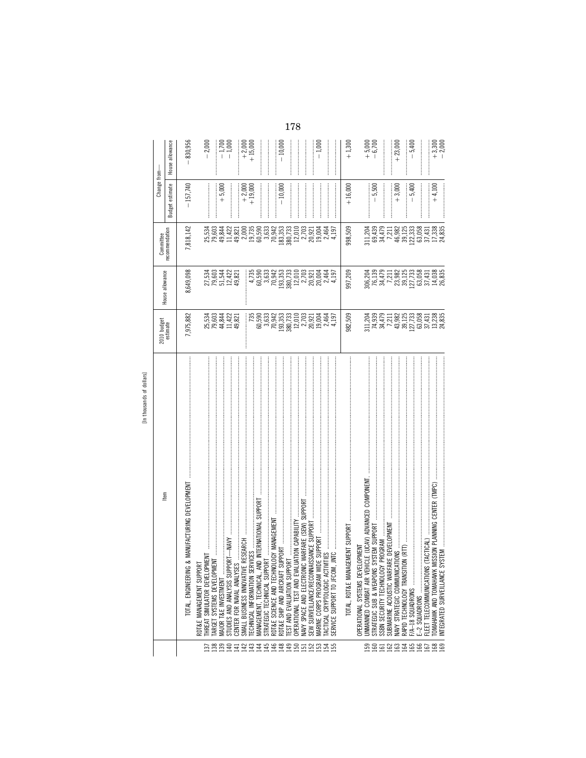| ξò<br>ā                             |
|-------------------------------------|
| 응                                   |
| ㅎ                                   |
| nds<br>Ğ<br>ξ<br>$\frac{1}{2}$<br>₹ |
| ≘                                   |

|                               | In thousands of dollars]                                                                         |                                                                                                                   |                                                                                                                                                                                                                                                                                                                 |                                                                     |                       |                        |
|-------------------------------|--------------------------------------------------------------------------------------------------|-------------------------------------------------------------------------------------------------------------------|-----------------------------------------------------------------------------------------------------------------------------------------------------------------------------------------------------------------------------------------------------------------------------------------------------------------|---------------------------------------------------------------------|-----------------------|------------------------|
|                               | Item                                                                                             | 2010 budget<br>estimate                                                                                           |                                                                                                                                                                                                                                                                                                                 | Committee                                                           | Change from-          |                        |
|                               |                                                                                                  |                                                                                                                   | House allowance                                                                                                                                                                                                                                                                                                 | recommendation                                                      | estimate<br>Budget    | House allowance        |
|                               | TOTAL, ENGINEERIN                                                                                | 7,975,882                                                                                                         | 8,649,098                                                                                                                                                                                                                                                                                                       | 7,818,142                                                           | $-157,740$            | 830,956                |
|                               | <b>DRT</b><br>RDT&E MANAGEMENT SUPP                                                              |                                                                                                                   |                                                                                                                                                                                                                                                                                                                 |                                                                     |                       |                        |
| Ξ                             | THREAT SIMULATOR DEVELOPMENT<br><b>TARGET SYSTEMS DEVELOPM</b>                                   | 2241221<br>2244221<br>2241221                                                                                     | 2103452<br>221452<br>221452                                                                                                                                                                                                                                                                                     | 2534<br>26344220055953<br>263442200559533<br>2634221200559          |                       | $-2,000$               |
| sser and an an an an an an an |                                                                                                  |                                                                                                                   |                                                                                                                                                                                                                                                                                                                 |                                                                     | $+5,000$              | $-1,700$<br>$-1,000$   |
|                               | STUDIES AND ANALYSIS SUPPORT-MAYY                                                                |                                                                                                                   |                                                                                                                                                                                                                                                                                                                 |                                                                     |                       |                        |
|                               | CENTER FOR NAVAL ANALYSES                                                                        |                                                                                                                   |                                                                                                                                                                                                                                                                                                                 |                                                                     |                       |                        |
|                               | <b>FECHNICAL INFORMATION SERVICES </b><br>SMALL BUSINESS INNOVATIVE RESEARCH                     |                                                                                                                   |                                                                                                                                                                                                                                                                                                                 |                                                                     | $+2,000$<br>$+19,000$ | $+2,000$<br>+ 15,000   |
|                               | MANAGEMENT, TECHNICAL, AND INTERNATIONAL SUPPORT                                                 | $735$<br>60,590<br>3,633                                                                                          |                                                                                                                                                                                                                                                                                                                 |                                                                     |                       |                        |
|                               | STRATEGIC TECHNICAL SUPPORT                                                                      |                                                                                                                   |                                                                                                                                                                                                                                                                                                                 |                                                                     |                       |                        |
|                               | <b>VOLOGY MANAGEMENT</b><br>RDT&E SCIENCE AND TECHN                                              | $70,942$<br>193,353<br>180,733<br>12,010                                                                          |                                                                                                                                                                                                                                                                                                                 | 70,942<br>183,353<br>380,733                                        |                       |                        |
|                               | RDT&E SHIP AND AIRCRAFT                                                                          |                                                                                                                   |                                                                                                                                                                                                                                                                                                                 |                                                                     | $-10,000$             | $-10,000$              |
|                               | <b>EST AND EVALUATION SUPF</b>                                                                   |                                                                                                                   |                                                                                                                                                                                                                                                                                                                 |                                                                     |                       |                        |
|                               | NAVY SPACE AND ELECTRONIC WARFARE (SEW) SUPPOR<br>ALUATION CAPABILITY<br>OPERATIONAL TEST AND EV |                                                                                                                   |                                                                                                                                                                                                                                                                                                                 | 12,010                                                              |                       |                        |
|                               | VAISSANCE SUPPORT<br>SEW SURVEILLANCE/RECON                                                      |                                                                                                                   |                                                                                                                                                                                                                                                                                                                 |                                                                     |                       |                        |
|                               |                                                                                                  | $\begin{array}{c} 2,03 \\ 2,031 \\ 20,004 \\ 19,064 \\ \end{array}$                                               | $\begin{array}{l} 4,735 \\ 4,69 \\ 69 \\ 69 \\ 7,89 \\ 89 \\ 1,99 \\ 1,99 \\ 1,99 \\ 1,99 \\ 1,99 \\ 1,99 \\ 1,99 \\ 1,99 \\ 1,99 \\ 1,99 \\ 1,99 \\ 1,99 \\ 1,99 \\ 1,99 \\ 1,99 \\ 1,99 \\ 1,99 \\ 1,99 \\ 1,99 \\ 1,99 \\ 1,99 \\ 1,99 \\ 1,99 \\ 1,99 \\ 1,99 \\ 1,99 \\ 1,99 \\ 1,99 \\ 1,99 \\ 1,99 \\ 1$ | $2,703$<br>$20,921$<br>$19,004$                                     |                       | $-1,000$               |
|                               | TACTICAL CRYPTOLOGIC AC                                                                          |                                                                                                                   | $2,464$<br>$4,197$                                                                                                                                                                                                                                                                                              | 2,464                                                               |                       |                        |
|                               | SERVICE SUPPORT TO JFCO                                                                          |                                                                                                                   |                                                                                                                                                                                                                                                                                                                 |                                                                     |                       |                        |
|                               |                                                                                                  | 982,509                                                                                                           | 997,209                                                                                                                                                                                                                                                                                                         | 998,509                                                             | $+16,000$             | $+1,300$               |
|                               | OPERATIONAL SYSTEMS DEVELOPMENT                                                                  |                                                                                                                   |                                                                                                                                                                                                                                                                                                                 |                                                                     |                       |                        |
|                               | :<br>S SYSTEM SUPPORT<br>STRATEGIC SUB & WEAPONS                                                 |                                                                                                                   |                                                                                                                                                                                                                                                                                                                 | 311,204<br>69,439<br>34,472<br>7,213<br>46,985<br>48,333<br>122,333 | $-5,500$              | $+ 5,000$<br>$- 6,700$ |
|                               | SSBN SECURITY TECHNOLO                                                                           |                                                                                                                   |                                                                                                                                                                                                                                                                                                                 |                                                                     |                       |                        |
|                               | SUBMARINE ACOUSTIC WARFARE DEVELOPMENT                                                           |                                                                                                                   |                                                                                                                                                                                                                                                                                                                 |                                                                     |                       |                        |
|                               | NAVY STRATEGIC COMMUNICATIONS                                                                    |                                                                                                                   |                                                                                                                                                                                                                                                                                                                 |                                                                     | $+3,000$              | $+23,000$              |
|                               | TION (RTT)<br>RAPID TECHNOLOGY TRANSI                                                            |                                                                                                                   |                                                                                                                                                                                                                                                                                                                 |                                                                     |                       |                        |
|                               | F/A-18 SQUADRONS                                                                                 | $\begin{array}{l} 311,204\\ 74,939\\ 74,721\\ 33,82\\ 74,711\\ 82,825\\ 125,733\\ 121,733\\ 63,058\\ \end{array}$ | 306,204<br>76,133<br>34,47211<br>30,38,125<br>30,058<br>63,058                                                                                                                                                                                                                                                  | 63,058                                                              | $-5,400$              | $-5,400$               |
|                               | FLEET TELECOMMUNICATIONS (TACTICAL)                                                              | 37,431                                                                                                            | 37,431                                                                                                                                                                                                                                                                                                          |                                                                     |                       |                        |
| 89999999999                   | OMAHAWK AND TOMAHAWK MISSION PLANNING CENTER (TMPC)                                              | 13,238<br>24,835                                                                                                  | 14,038<br>26,835                                                                                                                                                                                                                                                                                                | $\frac{37,431}{17,338}$<br>24,835                                   | $+4,100$              | $+3,300$<br>$-2,000$   |
|                               | SYSTEM<br>NTEGRATED SURVEILLANCE                                                                 |                                                                                                                   |                                                                                                                                                                                                                                                                                                                 |                                                                     |                       |                        |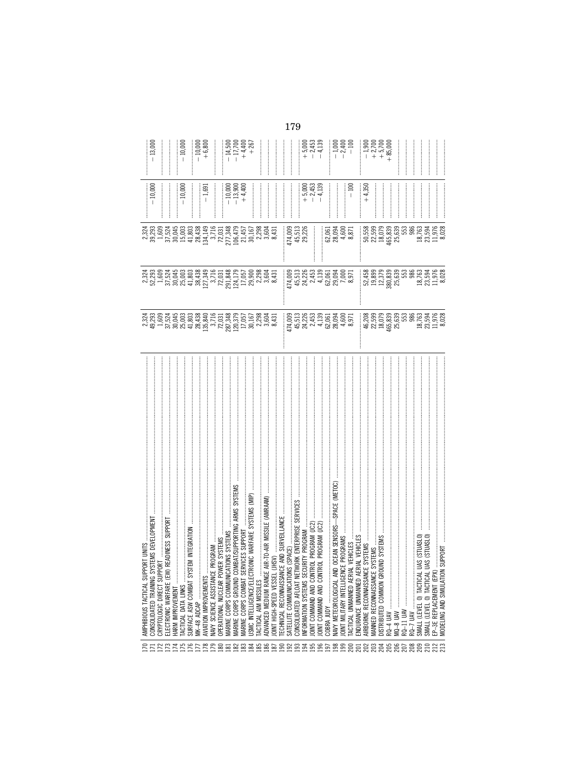|                 | AMPHIBIOUS TACTICAL SUPPORT UNITS<br>CONSOLIDATED TRAINING SYSTEMS DEVELOPMENT                                                                                                                                                        |                                                                                                                                                                                                                                                                        |                                                                                                                                                                                                                                                                                                                           |                                                                  | $-10,000$                           |                                                |
|-----------------|---------------------------------------------------------------------------------------------------------------------------------------------------------------------------------------------------------------------------------------|------------------------------------------------------------------------------------------------------------------------------------------------------------------------------------------------------------------------------------------------------------------------|---------------------------------------------------------------------------------------------------------------------------------------------------------------------------------------------------------------------------------------------------------------------------------------------------------------------------|------------------------------------------------------------------|-------------------------------------|------------------------------------------------|
| 72.73           | 눈<br>CRYPTOLOGIC DIRECT SUPPO                                                                                                                                                                                                         |                                                                                                                                                                                                                                                                        |                                                                                                                                                                                                                                                                                                                           |                                                                  |                                     |                                                |
|                 | READINESS SUPPORT<br>ELECTRONIC WARFARE (EW)                                                                                                                                                                                          |                                                                                                                                                                                                                                                                        |                                                                                                                                                                                                                                                                                                                           |                                                                  |                                     |                                                |
|                 | HARM IMPROVEMENT                                                                                                                                                                                                                      |                                                                                                                                                                                                                                                                        |                                                                                                                                                                                                                                                                                                                           |                                                                  |                                     | <br> <br> <br>                                 |
| 75              | <b><i>LACTICAL DATA LINKS</i></b>                                                                                                                                                                                                     |                                                                                                                                                                                                                                                                        |                                                                                                                                                                                                                                                                                                                           |                                                                  | $-10,000$                           | $-10,000$                                      |
| 76              | IM INTEGRATION<br>SURFACE ASW COMBAT SYST                                                                                                                                                                                             |                                                                                                                                                                                                                                                                        |                                                                                                                                                                                                                                                                                                                           |                                                                  |                                     |                                                |
|                 | MK-48 ADCAP                                                                                                                                                                                                                           |                                                                                                                                                                                                                                                                        |                                                                                                                                                                                                                                                                                                                           |                                                                  | ļ                                   | $-10,000$<br>$+6,800$                          |
| $\approx$       | AVIATION IMPROVEMENTS                                                                                                                                                                                                                 |                                                                                                                                                                                                                                                                        |                                                                                                                                                                                                                                                                                                                           |                                                                  | $-1,691$                            |                                                |
| 52              | NAVY SCIENCE ASSISTANCE PROGRAM                                                                                                                                                                                                       |                                                                                                                                                                                                                                                                        |                                                                                                                                                                                                                                                                                                                           |                                                                  |                                     |                                                |
|                 |                                                                                                                                                                                                                                       |                                                                                                                                                                                                                                                                        |                                                                                                                                                                                                                                                                                                                           |                                                                  |                                     |                                                |
| 8               | OPERATIONAL NUCLEAR POW                                                                                                                                                                                                               |                                                                                                                                                                                                                                                                        |                                                                                                                                                                                                                                                                                                                           |                                                                  |                                     |                                                |
|                 | MARINE CORPS COMMUNICAT                                                                                                                                                                                                               |                                                                                                                                                                                                                                                                        |                                                                                                                                                                                                                                                                                                                           |                                                                  |                                     |                                                |
| $\frac{2}{2}$   | MARINE CORPS GROUND COM                                                                                                                                                                                                               |                                                                                                                                                                                                                                                                        |                                                                                                                                                                                                                                                                                                                           |                                                                  |                                     |                                                |
| ಜ               | MARINE CORPS COMBAT SER                                                                                                                                                                                                               |                                                                                                                                                                                                                                                                        |                                                                                                                                                                                                                                                                                                                           |                                                                  | $-10,000$<br>$-13,900$<br>$+4,400$  |                                                |
| ಜ               | USMC INTELLIGENCE/ELECTR                                                                                                                                                                                                              |                                                                                                                                                                                                                                                                        |                                                                                                                                                                                                                                                                                                                           |                                                                  |                                     | $-11,500$<br>$-17,700$<br>$+4,400$<br>$+4,400$ |
| 85              | TACTICAL AIM MISSILES                                                                                                                                                                                                                 |                                                                                                                                                                                                                                                                        |                                                                                                                                                                                                                                                                                                                           |                                                                  |                                     |                                                |
| 86              | ACTICAL AMP MOSNILES<br> -   ONT HIGH-SPEED VESSEL (JHST) −ARR MISSILE (AMRAAM)  <br>    TECHNICAL RECONNAISSANCE AND SURVEILLANCE    <br>    CONSOLIDATED AFLOAT NETWORK ENTERPRISE SERVICES    <br>    ONT COMMAND AND CONTROL PROG |                                                                                                                                                                                                                                                                        | 23<br>23<br>23<br>23                                                                                                                                                                                                                                                                                                      |                                                                  |                                     |                                                |
| $\frac{1}{2}$   |                                                                                                                                                                                                                                       |                                                                                                                                                                                                                                                                        |                                                                                                                                                                                                                                                                                                                           |                                                                  |                                     |                                                |
|                 |                                                                                                                                                                                                                                       |                                                                                                                                                                                                                                                                        |                                                                                                                                                                                                                                                                                                                           |                                                                  |                                     |                                                |
| ஜ               |                                                                                                                                                                                                                                       |                                                                                                                                                                                                                                                                        |                                                                                                                                                                                                                                                                                                                           |                                                                  |                                     |                                                |
| 83              |                                                                                                                                                                                                                                       |                                                                                                                                                                                                                                                                        |                                                                                                                                                                                                                                                                                                                           |                                                                  |                                     |                                                |
|                 |                                                                                                                                                                                                                                       |                                                                                                                                                                                                                                                                        |                                                                                                                                                                                                                                                                                                                           |                                                                  |                                     |                                                |
| ಕ್ತ             |                                                                                                                                                                                                                                       |                                                                                                                                                                                                                                                                        |                                                                                                                                                                                                                                                                                                                           | 174,009<br>45,513<br>29,226                                      |                                     |                                                |
|                 |                                                                                                                                                                                                                                       |                                                                                                                                                                                                                                                                        |                                                                                                                                                                                                                                                                                                                           |                                                                  |                                     |                                                |
| 5, 5, 5,        |                                                                                                                                                                                                                                       |                                                                                                                                                                                                                                                                        |                                                                                                                                                                                                                                                                                                                           |                                                                  | $+ 5,000$<br>$- 2,453$<br>$- 4,139$ | $+5,000$<br>$+5,450$<br>$+1,130$               |
|                 |                                                                                                                                                                                                                                       |                                                                                                                                                                                                                                                                        |                                                                                                                                                                                                                                                                                                                           |                                                                  |                                     |                                                |
|                 | COBRA JUDY                                                                                                                                                                                                                            |                                                                                                                                                                                                                                                                        |                                                                                                                                                                                                                                                                                                                           |                                                                  |                                     |                                                |
| 38              | NAVY METEOROLOGICAL AND                                                                                                                                                                                                               |                                                                                                                                                                                                                                                                        |                                                                                                                                                                                                                                                                                                                           |                                                                  | ļ                                   |                                                |
|                 | OINT MILITARY INTELLIGENC                                                                                                                                                                                                             | 174,003<br>195,226,33,305<br>195,226,33,305<br>195,000<br>195,000                                                                                                                                                                                                      | 174,009<br>45,226,339,000<br>45,226,339,000<br>45,239,000<br>6,971<br>8,971                                                                                                                                                                                                                                               | 62,061<br>28,094<br>4,600<br>8,871                               |                                     | $-1,000$<br>$-2,400$<br>$-100$                 |
|                 | <b>FACTICAL UNMANNED AERIAL</b>                                                                                                                                                                                                       |                                                                                                                                                                                                                                                                        |                                                                                                                                                                                                                                                                                                                           |                                                                  |                                     |                                                |
| 5               | ENDURANCE UNMANNED AERI                                                                                                                                                                                                               |                                                                                                                                                                                                                                                                        |                                                                                                                                                                                                                                                                                                                           |                                                                  |                                     |                                                |
| $\approx$       | AIRBORNE RECONNAISSANCE                                                                                                                                                                                                               |                                                                                                                                                                                                                                                                        |                                                                                                                                                                                                                                                                                                                           |                                                                  | $+4,350$                            | $+1,900$<br>$+2,700$<br>$+5,700$<br>$+85,000$  |
| ප               | MANNED RECONNAISSANCE SYSTEMS                                                                                                                                                                                                         |                                                                                                                                                                                                                                                                        |                                                                                                                                                                                                                                                                                                                           |                                                                  |                                     |                                                |
| ਡ               | ND SYSTEMS<br>DISTRIBUTED COMMON GROU                                                                                                                                                                                                 |                                                                                                                                                                                                                                                                        |                                                                                                                                                                                                                                                                                                                           |                                                                  |                                     |                                                |
|                 |                                                                                                                                                                                                                                       |                                                                                                                                                                                                                                                                        |                                                                                                                                                                                                                                                                                                                           |                                                                  |                                     |                                                |
| ප               |                                                                                                                                                                                                                                       |                                                                                                                                                                                                                                                                        |                                                                                                                                                                                                                                                                                                                           |                                                                  |                                     |                                                |
|                 |                                                                                                                                                                                                                                       |                                                                                                                                                                                                                                                                        |                                                                                                                                                                                                                                                                                                                           |                                                                  |                                     |                                                |
|                 |                                                                                                                                                                                                                                       |                                                                                                                                                                                                                                                                        |                                                                                                                                                                                                                                                                                                                           | ::: 58<br>50,599<br>52,599<br>18,079<br>445,639<br>25,639<br>986 |                                     |                                                |
| 88885           | RQ-7 UAV                                                                                                                                                                                                                              |                                                                                                                                                                                                                                                                        |                                                                                                                                                                                                                                                                                                                           |                                                                  |                                     |                                                |
|                 |                                                                                                                                                                                                                                       |                                                                                                                                                                                                                                                                        |                                                                                                                                                                                                                                                                                                                           |                                                                  |                                     |                                                |
|                 | SMALL (LEVEL O) TACTICAL UAS (STUASLO)<br>SMALL (LEVEL O) TACTICAL UAS (STUASLO)                                                                                                                                                      |                                                                                                                                                                                                                                                                        |                                                                                                                                                                                                                                                                                                                           |                                                                  |                                     |                                                |
| $\frac{22}{23}$ | EP-3E REPLACEMENT (EPX)                                                                                                                                                                                                               |                                                                                                                                                                                                                                                                        |                                                                                                                                                                                                                                                                                                                           |                                                                  |                                     |                                                |
|                 |                                                                                                                                                                                                                                       | $\begin{array}{lll} 88.98 & 0.000 & 0.000 & 0.000 & 0.000 & 0.000 & 0.000 & 0.000 & 0.000 & 0.000 & 0.000 & 0.000 & 0.000 & 0.000 & 0.000 & 0.000 & 0.000 & 0.000 & 0.000 & 0.000 & 0.000 & 0.000 & 0.000 & 0.000 & 0.000 & 0.000 & 0.000 & 0.000 & 0.000 & 0.000 & 0$ | $\begin{array}{cccc} \text{11.4,45,35,46,57,58}\\ \text{13.4,45,36,57,58,57,58}\\ \text{15.4,45,57,58}\\ \text{16.4,45,57,58}\\ \text{17.4,45,57,58}\\ \text{18.4,45,57}\\ \text{19.4,45,57}\\ \text{10.4,45,57}\\ \text{11.4,45,57}\\ \text{12.4,45,57}\\ \text{13.4,45,57}\\ \text{14.4,45,57}\\ \text{15.4,45,57}\\ \$ | 18,763<br>23,594<br>8,028                                        |                                     |                                                |
|                 |                                                                                                                                                                                                                                       |                                                                                                                                                                                                                                                                        |                                                                                                                                                                                                                                                                                                                           |                                                                  |                                     |                                                |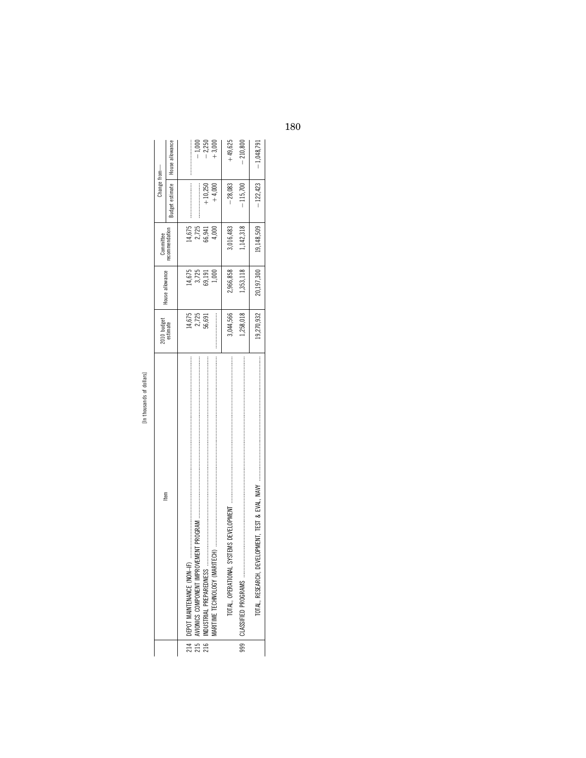[In thousands of dollars] In thousands of dollars]

|                 | tem                                                                                                                                                     | 2010 budget<br>estimate | House allowance | Committee       | Change from—    |                     |
|-----------------|---------------------------------------------------------------------------------------------------------------------------------------------------------|-------------------------|-----------------|-----------------|-----------------|---------------------|
|                 |                                                                                                                                                         |                         |                 | ecommendation   | Budget estimate | House allowance     |
|                 | 的第三人称单数 医阿里氏菌 医克里斯氏试验检 医阿里氏菌属 医阿里氏试验检 医阿里氏菌属 医阿里氏试验检 医阴道性皮炎 医皮肤发生 医阿里氏试验检尿道 医阿里氏试验检尿道 医阿里氏试验检尿 医阿里氏试验检尿 医生的 医阿里氏试验检尿<br>214   DEPOT MAINTENANCE (NON-IF | 14,675                  | 14,675          |                 |                 |                     |
|                 | 215   AVIONICS COMPONENT IMPRO                                                                                                                          | 2,725<br>56.691         | 3,725<br>59,191 | 14,675<br>2,725 |                 | $-1,000$            |
|                 | 216   INDUSTRIAL PREPAREDNESS                                                                                                                           |                         |                 | 6,941           | $+10,250$       | $-2,250$<br>+ 3,000 |
|                 | MARITIME TECHNOLOGY (MAR                                                                                                                                |                         | $\approx$       | 000             | $+4,000$        |                     |
|                 | TOTAL, OPERATIONAL                                                                                                                                      | 3,044,566               | 2,966,858       | 3,016,483       | $-28,083$       | $+49,625$           |
| $\frac{1}{999}$ |                                                                                                                                                         | ,258,018                | ,353,118        | ,142,318        | 115,700         | $-210,800$          |
|                 | TOTAL, RESEARCH, DEVELOPMENT, TEST & EVAL, NAVY                                                                                                         | 19,270,932              | 20,197,300      | 19,148,509      | $-122,423$      | $-1,048,791$        |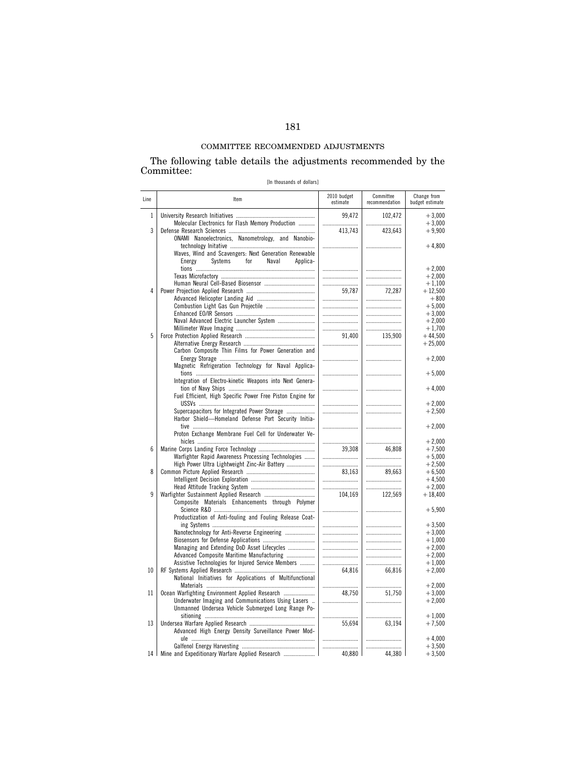# COMMITTEE RECOMMENDED ADJUSTMENTS

The following table details the adjustments recommended by the Committee:

[In thousands of dollars]

| Line         | Item                                                                                                         | 2010 budget<br>estimate | Committee<br>recommendation | Change from<br>budget estimate |
|--------------|--------------------------------------------------------------------------------------------------------------|-------------------------|-----------------------------|--------------------------------|
| $\mathbf{1}$ | Molecular Electronics for Flash Memory Production                                                            | 99,472                  | 102,472                     | $+3,000$<br>$+3,000$           |
| 3            | ONAMI Nanoelectronics, Nanometrology, and Nanobio-                                                           | <br>413.743             | <br>423.643                 | $+9,900$                       |
|              | Waves, Wind and Scavengers: Next Generation Renewable<br>Systems<br>for<br>Energy<br>Naval<br>Applica-       |                         |                             | $+4,800$                       |
|              |                                                                                                              |                         |                             | $+2,000$                       |
|              |                                                                                                              |                         |                             | $+2.000$                       |
|              |                                                                                                              |                         |                             | $+1,100$                       |
| 4            |                                                                                                              | 59,787                  | 72,287                      | $+12,500$                      |
|              |                                                                                                              |                         |                             | $+800$<br>$+5.000$             |
|              |                                                                                                              |                         |                             | $+3,000$                       |
|              |                                                                                                              |                         |                             | $+2,000$                       |
|              |                                                                                                              |                         |                             | $+1,700$                       |
| 5            |                                                                                                              | 91.400                  | 135.900                     | $+44.500$                      |
|              |                                                                                                              |                         |                             | $+25,000$                      |
|              | Carbon Composite Thin Films for Power Generation and<br>Magnetic Refrigeration Technology for Naval Applica- |                         |                             | $+2,000$                       |
|              | Integration of Electro-kinetic Weapons into Next Genera-                                                     |                         |                             | $+5,000$                       |
|              | Fuel Efficient, High Specific Power Free Piston Engine for                                                   |                         |                             | $+4,000$                       |
|              |                                                                                                              |                         |                             | $+2.000$                       |
|              | Supercapacitors for Integrated Power Storage<br>Harbor Shield-Homeland Defense Port Security Initia-         |                         |                             | $+2,500$                       |
|              | Proton Exchange Membrane Fuel Cell for Underwater Ve-                                                        |                         |                             | $+2,000$                       |
| 6            |                                                                                                              |                         | <br>46.808                  | $+2.000$                       |
|              | Warfighter Rapid Awareness Processing Technologies                                                           | 39,308                  |                             | $+7,500$<br>$+5,000$           |
|              | High Power Ultra Lightweight Zinc-Air Battery                                                                |                         |                             | $+2,500$                       |
| 8            |                                                                                                              | 83,163                  | 89,663                      | $+6,500$                       |
|              |                                                                                                              |                         |                             | $+4.500$                       |
|              |                                                                                                              |                         |                             | $+2,000$                       |
| 9            |                                                                                                              | 104,169                 | 122,569                     | $+18,400$                      |
|              | Composite Materials Enhancements through Polymer                                                             |                         |                             | $+5,900$                       |
|              | Productization of Anti-fouling and Fouling Release Coat-                                                     |                         |                             |                                |
|              |                                                                                                              |                         |                             | $+3,500$                       |
|              | Nanotechnology for Anti-Reverse Engineering                                                                  |                         |                             | $+3,000$                       |
|              |                                                                                                              |                         |                             | $+1,000$                       |
|              | Managing and Extending DoD Asset Lifecycles                                                                  |                         |                             | $+2,000$                       |
|              | Advanced Composite Maritime Manufacturing                                                                    |                         |                             | $+2,000$                       |
|              | Assistive Technologies for Injured Service Members                                                           |                         |                             | $+1.000$                       |
| 10           |                                                                                                              | 64.816                  | 66,816                      | $+2,000$                       |
|              | National Initiatives for Applications of Multifunctional                                                     |                         |                             | $+2,000$                       |
| 11           | Ocean Warfighting Environment Applied Research                                                               | <br>48.750              | 51.750                      | $+3.000$                       |
|              | Underwater Imaging and Communications Using Lasers                                                           |                         |                             | $+2,000$                       |
|              | Unmanned Undersea Vehicle Submerged Long Range Po-                                                           |                         |                             |                                |
|              |                                                                                                              |                         |                             | $+1,000$                       |
| 13           | Advanced High Energy Density Surveillance Power Mod-                                                         | 55,694                  | 63,194                      | $+7,500$                       |
|              |                                                                                                              |                         |                             | $+4.000$                       |
|              | 14   Mine and Expeditionary Warfare Applied Research                                                         | <br>40,880              | <br>44,380                  | $+3,500$<br>$+3,500$           |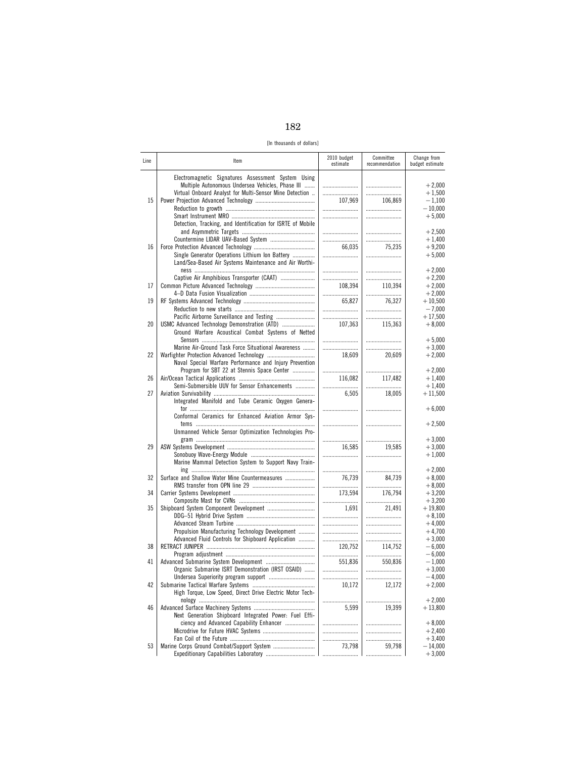182

[In thousands of dollars]

| Line | Item                                                                                                                                                              | 2010 budget<br>estimate | Committee<br>recommendation | Change from<br>budget estimate |
|------|-------------------------------------------------------------------------------------------------------------------------------------------------------------------|-------------------------|-----------------------------|--------------------------------|
|      | Electromagnetic Signatures Assessment System Using<br>Multiple Autonomous Undersea Vehicles, Phase III<br>Virtual Onboard Analyst for Multi-Sensor Mine Detection |                         | <br>                        | $+2,000$<br>$+1,500$           |
| 15   |                                                                                                                                                                   | 107,969                 | 106,869<br>                 | $-1.100$<br>$-10,000$          |
|      | Detection, Tracking, and Identification for ISRTE of Mobile                                                                                                       |                         |                             | $+5,000$                       |
|      | Countermine LIDAR UAV-Based System                                                                                                                                | <br>                    | <br>                        | $+2,500$<br>$+1,400$           |
| 16   |                                                                                                                                                                   | 66,035                  | 75,235                      | $+9,200$                       |
|      | Single Generator Operations Lithium Ion Battery<br>Land/Sea-Based Air Systems Maintenance and Air Worthi-                                                         |                         |                             | $+5,000$                       |
|      | Captive Air Amphibious Transporter (CAAT)                                                                                                                         |                         |                             | $+2.000$<br>$+2,200$           |
| 17   |                                                                                                                                                                   | 108,394                 | 110.394<br>                 | $+2,000$<br>$+2,000$           |
| 19   |                                                                                                                                                                   | 65,827                  | 76,327<br>                  | $+10,500$<br>$-7.000$          |
| 20   | Pacific Airborne Surveillance and Testing<br>USMC Advanced Technology Demonstration (ATD)                                                                         |                         | <br>115,363                 | $+17,500$<br>$+8,000$          |
|      | Ground Warfare Acoustical Combat Systems of Netted                                                                                                                | 107,363                 |                             |                                |
|      | Marine Air-Ground Task Force Situational Awareness                                                                                                                |                         | <br>                        | $+5,000$<br>$+3,000$           |
| 22   | Naval Special Warfare Performance and Injury Prevention                                                                                                           | 18,609                  | 20.609                      | $+2,000$                       |
| 26   | Program for SBT 22 at Stennis Space Center                                                                                                                        | 116,082                 | <br>117,482                 | $+2,000$<br>$+1,400$           |
| 27   | Semi-Submersible UUV for Sensor Enhancements                                                                                                                      | 6,505                   | 18,005                      | $+1,400$<br>$+11,500$          |
|      | Integrated Manifold and Tube Ceramic Oxygen Genera-                                                                                                               |                         |                             | $+6,000$                       |
|      | Conformal Ceramics for Enhanced Aviation Armor Sys-                                                                                                               |                         |                             | $+2,500$                       |
|      | Unmanned Vehicle Sensor Optimization Technologies Pro-                                                                                                            |                         |                             | $+3,000$                       |
| 29   |                                                                                                                                                                   | 16,585                  | 19,585                      | $+3,000$                       |
|      | Marine Mammal Detection System to Support Navy Train-                                                                                                             |                         |                             | $+1,000$<br>$+2,000$           |
| 32   | Surface and Shallow Water Mine Countermeasures                                                                                                                    | 76,739                  | <br>84,739                  | $+8,000$                       |
| 34   |                                                                                                                                                                   | <br>173,594             | <br>176,794                 | $+8,000$<br>$+3,200$           |
| 35   |                                                                                                                                                                   | <br>1,691               | 21,491                      | $+3,200$<br>$+19,800$          |
|      |                                                                                                                                                                   |                         |                             | $+8,100$<br>$+4,000$           |
|      | Propulsion Manufacturing Technology Development<br>Advanced Fluid Controls for Shipboard Application                                                              |                         | <br>                        | $+4,700$<br>$+3,000$           |
| 38   |                                                                                                                                                                   | 120,752<br>             | 114,752<br>                 | $-6,000$<br>$-6,000$           |
| 41   | Organic Submarine ISRT Demonstration (IRST OSAID)                                                                                                                 | 551,836                 | 550,836                     | $-1,000$<br>$+3,000$           |
|      |                                                                                                                                                                   | <br><br>10,172          |                             | $-4,000$                       |
| 42   | High Torque, Low Speed, Direct Drive Electric Motor Tech-                                                                                                         |                         | 12,172                      | $+2,000$                       |
| 46   |                                                                                                                                                                   | 5,599                   | <br>19,399                  | $+2,000$<br>$+13,800$          |
|      | Next Generation Shipboard Integrated Power: Fuel Effi-<br>ciency and Advanced Capability Enhancer                                                                 |                         |                             | $+8,000$                       |
|      |                                                                                                                                                                   | <br>                    | .<br>$\cdots$<br>.          | $+2,400$<br>$+3,400$           |
| 53   |                                                                                                                                                                   | 73,798<br>              | 59,798<br>                  | $-14,000$<br>$+3,000$          |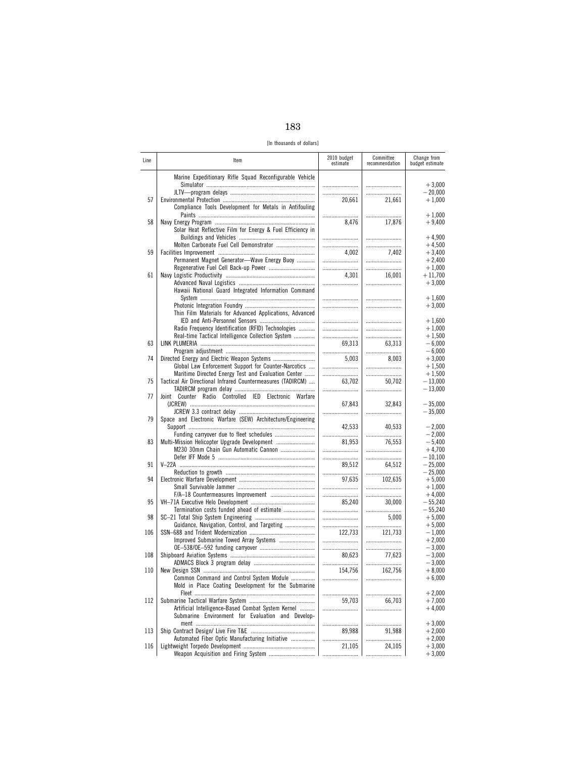| ۰.<br>M.<br>٩<br>۰, |
|---------------------|
|---------------------|

[In thousands of dollars]

| Line | Item                                                        | 2010 budget<br>estimate | Committee<br>recommendation | Change from<br>budget estimate |
|------|-------------------------------------------------------------|-------------------------|-----------------------------|--------------------------------|
|      | Marine Expeditionary Rifle Squad Reconfigurable Vehicle     |                         |                             | $+3,000$                       |
|      |                                                             |                         |                             | $-20,000$                      |
| 57   | Compliance Tools Development for Metals in Antifouling      | 20,661                  | 21,661                      | $+1,000$<br>$+1,000$           |
| 58   |                                                             | 8,476                   | 17,876                      | $+9,400$                       |
|      | Solar Heat Reflective Film for Energy & Fuel Efficiency in  |                         |                             | $+4,900$                       |
|      | Molten Carbonate Fuel Cell Demonstrator                     |                         |                             | $+4,500$                       |
| 59   |                                                             | 4,002                   | 7.402                       | $+3,400$                       |
|      | Permanent Magnet Generator-Wave Energy Buoy                 |                         | <br>                        | $+2,400$<br>$+1,000$           |
| 61   |                                                             | 4.301                   | 16,001                      | $+11,700$                      |
|      | Hawaii National Guard Integrated Information Command        |                         |                             | $+3,000$                       |
|      |                                                             |                         |                             | $+1,600$                       |
|      | Thin Film Materials for Advanced Applications, Advanced     |                         |                             | $+3,000$                       |
|      |                                                             |                         |                             | $+1,600$                       |
|      | Radio Frequency Identification (RFID) Technologies          |                         |                             | $+1,000$                       |
|      | Real-time Tactical Intelligence Collection System           |                         |                             | $+1,500$                       |
| 63   |                                                             | 69.313                  | 63,313                      | $-6,000$                       |
| 74   |                                                             | <br>5,003               | <br>8,003                   | $-6,000$<br>$+3,000$           |
|      | Global Law Enforcement Support for Counter-Narcotics        |                         |                             | $+1,500$                       |
|      | Maritime Directed Energy Test and Evaluation Center         |                         |                             | $+1,500$                       |
| 75   | Tactical Air Directional Infrared Countermeasures (TADIRCM) | 63,702                  | 50,702                      | $-13,000$                      |
| 77   | Joint Counter Radio Controlled IED Electronic Warfare       |                         |                             | $-13,000$                      |
|      |                                                             | 67,843                  | 32,843                      | $-35,000$                      |
|      |                                                             |                         |                             | $-35,000$                      |
| 79   | Space and Electronic Warfare (SEW) Architecture/Engineering | 42.533                  | 40,533                      | $-2,000$                       |
| 83   |                                                             |                         |                             | $-2,000$                       |
|      | M230 30mm Chain Gun Automatic Cannon                        | 81,953                  | 76,553                      | $-5,400$<br>$+4,700$           |
|      |                                                             |                         |                             | $-10,100$                      |
| 91   |                                                             | 89,512                  | 64,512                      | $-25,000$                      |
|      |                                                             |                         |                             | $-25,000$                      |
| 94   |                                                             | 97,635<br>              | 102,635                     | $+5,000$<br>$+1,000$           |
|      |                                                             |                         |                             | $+4,000$                       |
| 95   |                                                             | 85.240                  | 30,000                      | $-55,240$                      |
|      | Termination costs funded ahead of estimate                  |                         |                             | $-55,240$                      |
| 98   |                                                             |                         | 5,000                       | $+5,000$                       |
| 106  | Guidance, Navigation, Control, and Targeting                | <br>122,733             | 121,733                     | $+5,000$<br>$-1,000$           |
|      |                                                             |                         |                             | $+2,000$                       |
|      |                                                             |                         |                             | $-3,000$                       |
| 108  |                                                             | 80,623                  | 77,623                      | $-3,000$                       |
| 110  |                                                             | 154.756                 | <br>162,756                 | $-3,000$<br>$+8,000$           |
|      | Common Command and Control System Module                    |                         |                             | $+6.000$                       |
|      | Mold in Place Coating Development for the Submarine         |                         |                             |                                |
|      |                                                             |                         |                             | $+2,000$                       |
| 112  |                                                             | 59,703                  | 66,703                      | $+7,000$                       |
|      | Artificial Intelligence-Based Combat System Kernel          |                         |                             | $+4,000$                       |
|      | Submarine Environment for Evaluation and Develop-           |                         |                             | $+3,000$                       |
| 113  |                                                             | 89,988                  | 91,988                      | $+2,000$                       |
|      | Automated Fiber Optic Manufacturing Initiative              |                         |                             | $+2,000$                       |
| 116  |                                                             | 21,105                  | 24,105                      | $+3,000$                       |
|      |                                                             |                         |                             | $+3,000$                       |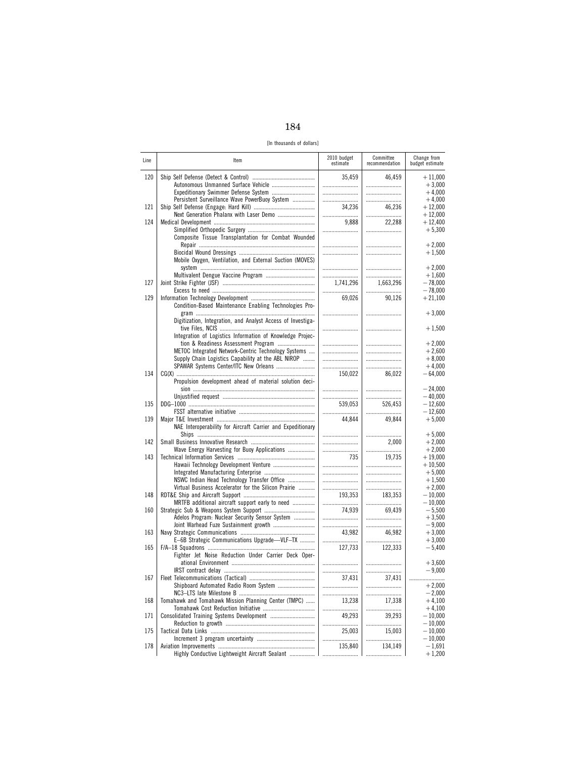184

[In thousands of dollars]

| Line | ltem                                                                                                      | 2010 budget<br>estimate | Committee<br>recommendation | Change from<br>budget estimate |
|------|-----------------------------------------------------------------------------------------------------------|-------------------------|-----------------------------|--------------------------------|
| 120  |                                                                                                           | 35,459                  | 46,459                      | $+11,000$                      |
|      | Autonomous Unmanned Surface Vehicle                                                                       |                         |                             | $+3,000$                       |
|      |                                                                                                           |                         |                             | $+4,000$                       |
| 121  | Persistent Surveillance Wave PowerBuoy System                                                             | <br>34,236              | <br>46,236                  | $+4,000$<br>$+12,000$          |
|      |                                                                                                           |                         |                             | $+12,000$                      |
| 124  |                                                                                                           | 9,888                   | 22,288                      | $+12.400$                      |
|      |                                                                                                           |                         |                             | $+5,300$                       |
|      | Composite Tissue Transplantation for Combat Wounded                                                       |                         |                             |                                |
|      |                                                                                                           | <br>                    |                             | $+2,000$<br>$+1,500$           |
|      | Mobile Oxygen, Ventilation, and External Suction (MOVES)                                                  |                         |                             |                                |
|      |                                                                                                           |                         |                             | $+2,000$                       |
|      |                                                                                                           |                         |                             | $+1,600$                       |
| 127  |                                                                                                           | 1,741,296               | 1,663,296                   | $-78,000$                      |
|      |                                                                                                           |                         |                             | $-78,000$                      |
| 129  | Condition-Based Maintenance Enabling Technologies Pro-                                                    | 69,026                  | 90,126                      | $+21,100$                      |
|      |                                                                                                           |                         |                             | $+3,000$                       |
|      | Digitization, Integration, and Analyst Access of Investiga-                                               |                         |                             |                                |
|      |                                                                                                           |                         |                             | $+1,500$                       |
|      | Integration of Logistics Information of Knowledge Projec-                                                 |                         |                             |                                |
|      |                                                                                                           |                         |                             | $+2.000$                       |
|      | METOC Integrated Network-Centric Technology Systems<br>Supply Chain Logistics Capability at the ABL NIROP | <br>                    |                             | $+2,600$<br>$+8,000$           |
|      | SPAWAR Systems Center/ITC New Orleans                                                                     |                         |                             | $+4.000$                       |
| 134  |                                                                                                           | 150,022                 | 86,022                      | $-64,000$                      |
|      | Propulsion development ahead of material solution deci-                                                   |                         |                             |                                |
|      |                                                                                                           |                         |                             | $-24,000$                      |
|      |                                                                                                           |                         |                             | $-40,000$                      |
| 135  |                                                                                                           | 539,053<br>             | 526,453<br>                 | $-12,600$<br>$-12,600$         |
| 139  |                                                                                                           | 44,844                  | 49,844                      | $+5,000$                       |
|      | NAE Interoperability for Aircraft Carrier and Expeditionary                                               |                         |                             |                                |
|      |                                                                                                           |                         |                             | $+5,000$                       |
| 142  |                                                                                                           |                         | 2,000                       | $+2,000$                       |
| 143  | Wave Energy Harvesting for Buoy Applications                                                              | <br>735                 |                             | $+2,000$<br>$+19,000$          |
|      |                                                                                                           |                         | 19,735<br>                  | $+10,500$                      |
|      |                                                                                                           |                         |                             | $+5,000$                       |
|      | NSWC Indian Head Technology Transfer Office                                                               |                         |                             | $+1,500$                       |
|      | Virtual Business Accelerator for the Silicon Prairie                                                      |                         |                             | $+2,000$                       |
| 148  |                                                                                                           | 193,353                 | 183,353                     | $-10,000$                      |
| 160  | MRTFB additional aircraft support early to need                                                           | <br>74,939              | 69,439                      | $-10,000$<br>$-5,500$          |
|      | Adelos Program: Nuclear Security Sensor System                                                            |                         |                             | $+3,500$                       |
|      | Joint Warhead Fuze Sustainment growth                                                                     |                         |                             | $-9,000$                       |
| 163  |                                                                                                           | 43,982                  | 46,982                      | $+3,000$                       |
|      | E-6B Strategic Communications Upgrade-VLF-TX                                                              |                         |                             | $+3,000$                       |
| 165  |                                                                                                           | 127,733                 | 122,333                     | $-5,400$                       |
|      | Fighter Jet Noise Reduction Under Carrier Deck Oper-                                                      |                         |                             | $+3,600$                       |
|      |                                                                                                           |                         |                             | $-9.000$                       |
| 167  |                                                                                                           | 37,431                  | 37,431                      |                                |
|      | Shipboard Automated Radio Room System                                                                     |                         |                             | $+2,000$                       |
|      |                                                                                                           |                         |                             | $-2,000$                       |
| 168  | Tomahawk and Tomahawk Mission Planning Center (TMPC)                                                      | 13,238                  | 17,338                      | $+4,100$                       |
| 171  |                                                                                                           | <br>49,293              | <br>39,293                  | $+4,100$<br>$-10,000$          |
|      |                                                                                                           |                         |                             | $-10,000$                      |
| 175  |                                                                                                           | 25,003                  | 15,003                      | $-10,000$                      |
|      |                                                                                                           |                         |                             | $-10,000$                      |
| 178  |                                                                                                           | 135,840                 | 134,149                     | $-1,691$                       |
|      | Highly Conductive Lightweight Aircraft Sealant                                                            |                         |                             | $+1,200$                       |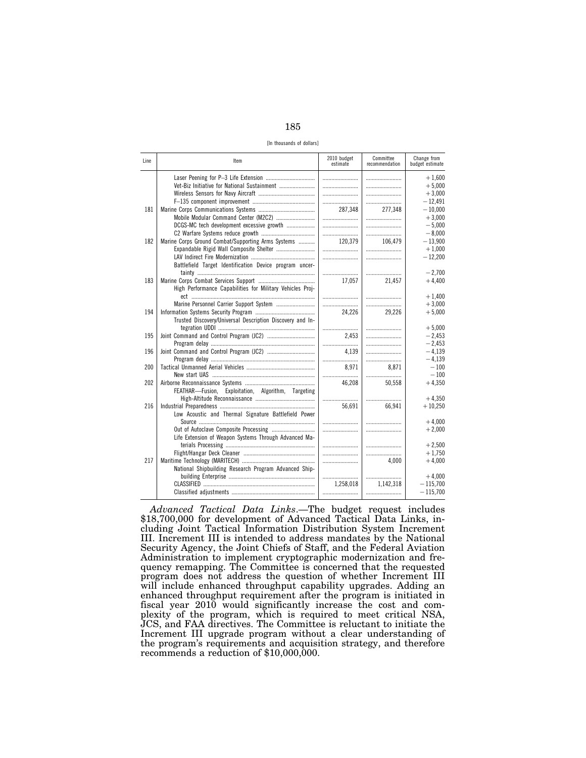185

[In thousands of dollars]

| Line | Item                                                      | 2010 budget<br>estimate | Committee<br>recommendation | Change from<br>budget estimate |
|------|-----------------------------------------------------------|-------------------------|-----------------------------|--------------------------------|
|      |                                                           |                         |                             | $+1,600$                       |
|      | Vet-Biz Initiative for National Sustainment               |                         |                             | $+5.000$                       |
|      |                                                           |                         |                             | $+3,000$                       |
|      |                                                           |                         |                             | $-12.491$                      |
| 181  |                                                           | 287.348                 | 277,348                     | $-10.000$                      |
|      |                                                           |                         |                             | $+3.000$                       |
|      | DCGS-MC tech development excessive growth                 |                         |                             | $-5,000$                       |
|      |                                                           |                         |                             | $-8.000$                       |
| 182  | Marine Corps Ground Combat/Supporting Arms Systems        | 120,379                 | 106.479                     | $-13,900$                      |
|      |                                                           |                         |                             | $+1,000$                       |
|      |                                                           |                         |                             | $-12,200$                      |
|      | Battlefield Target Identification Device program uncer-   |                         |                             |                                |
|      |                                                           |                         |                             | $-2.700$                       |
| 183  |                                                           | 17.057                  | 21,457                      | $+4,400$                       |
|      | High Performance Capabilities for Military Vehicles Proj- |                         |                             |                                |
|      |                                                           |                         |                             | $+1.400$                       |
|      |                                                           |                         |                             | $+3,000$                       |
| 194  |                                                           | 24.226                  | 29,226                      | $+5,000$                       |
|      | Trusted Discovery/Universal Description Discovery and In- |                         |                             |                                |
|      |                                                           |                         |                             | $+5.000$                       |
| 195  |                                                           | 2.453                   |                             | $-2.453$                       |
|      |                                                           |                         |                             | $-2,453$                       |
| 196  |                                                           | 4.139                   |                             | $-4,139$                       |
|      |                                                           |                         |                             | $-4.139$                       |
| 200  |                                                           | 8.971                   | 8,871                       | $-100$                         |
|      |                                                           |                         |                             | $-100$                         |
| 202  |                                                           | 46,208                  | 50,558                      | $+4.350$                       |
|      | FEATHAR-Fusion, Exploitation, Algorithm, Targeting        |                         |                             |                                |
|      |                                                           |                         |                             | $+4.350$                       |
| 216  |                                                           | 56.691                  | 66.941                      | $+10,250$                      |
|      | Low Acoustic and Thermal Signature Battlefield Power      |                         |                             | $+4,000$                       |
|      |                                                           |                         |                             | $+2,000$                       |
|      | Life Extension of Weapon Systems Through Advanced Ma-     |                         |                             |                                |
|      |                                                           |                         |                             | $+2,500$                       |
|      |                                                           |                         |                             | $+1,750$                       |
| 217  |                                                           |                         | 4.000                       | $+4,000$                       |
|      | National Shipbuilding Research Program Advanced Ship-     |                         |                             |                                |
|      |                                                           |                         |                             | $+4,000$                       |
|      |                                                           | 1,258,018               | 1,142,318                   | $-115,700$                     |
|      |                                                           |                         |                             | $-115,700$                     |
|      |                                                           |                         |                             |                                |

*Advanced Tactical Data Links*.—The budget request includes \$18,700,000 for development of Advanced Tactical Data Links, including Joint Tactical Information Distribution System Increment III. Increment III is intended to address mandates by the National Security Agency, the Joint Chiefs of Staff, and the Federal Aviation Administration to implement cryptographic modernization and frequency remapping. The Committee is concerned that the requested program does not address the question of whether Increment III will include enhanced throughput capability upgrades. Adding an enhanced throughput requirement after the program is initiated in fiscal year 2010 would significantly increase the cost and complexity of the program, which is required to meet critical NSA, JCS, and FAA directives. The Committee is reluctant to initiate the Increment III upgrade program without a clear understanding of the program's requirements and acquisition strategy, and therefore recommends a reduction of \$10,000,000.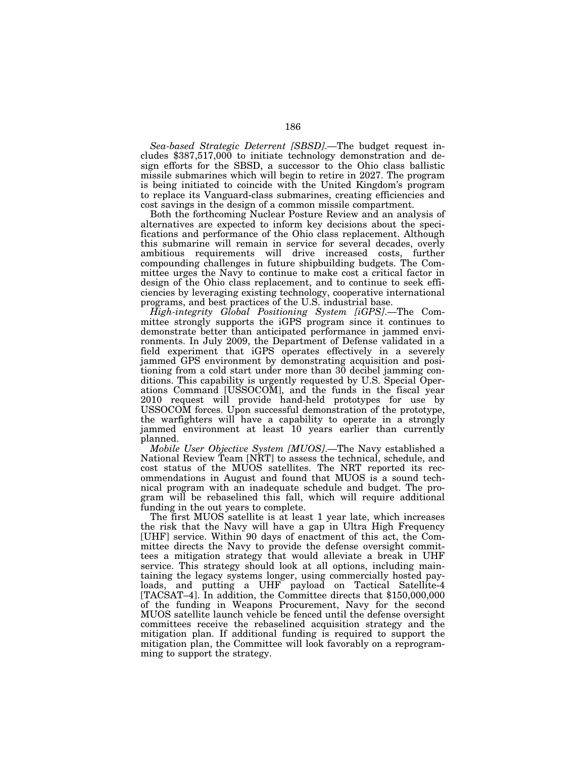*Sea-based Strategic Deterrent [SBSD]*.—The budget request includes \$387,517,000 to initiate technology demonstration and design efforts for the SBSD, a successor to the Ohio class ballistic missile submarines which will begin to retire in 2027. The program is being initiated to coincide with the United Kingdom's program to replace its Vanguard-class submarines, creating efficiencies and cost savings in the design of a common missile compartment.

Both the forthcoming Nuclear Posture Review and an analysis of alternatives are expected to inform key decisions about the specifications and performance of the Ohio class replacement. Although this submarine will remain in service for several decades, overly ambitious requirements will drive increased costs, further compounding challenges in future shipbuilding budgets. The Committee urges the Navy to continue to make cost a critical factor in design of the Ohio class replacement, and to continue to seek efficiencies by leveraging existing technology, cooperative international programs, and best practices of the U.S. industrial base.

*High-integrity Global Positioning System [iGPS]*.—The Committee strongly supports the iGPS program since it continues to demonstrate better than anticipated performance in jammed environments. In July 2009, the Department of Defense validated in a field experiment that iGPS operates effectively in a severely jammed GPS environment by demonstrating acquisition and positioning from a cold start under more than 30 decibel jamming conditions. This capability is urgently requested by U.S. Special Operations Command [USSOCOM], and the funds in the fiscal year 2010 request will provide hand-held prototypes for use by USSOCOM forces. Upon successful demonstration of the prototype, the warfighters will have a capability to operate in a strongly jammed environment at least 10 years earlier than currently planned.

*Mobile User Objective System [MUOS]*.—The Navy established a National Review Team [NRT] to assess the technical, schedule, and cost status of the MUOS satellites. The NRT reported its recommendations in August and found that MUOS is a sound technical program with an inadequate schedule and budget. The program will be rebaselined this fall, which will require additional funding in the out years to complete.

The first MUOS satellite is at least 1 year late, which increases the risk that the Navy will have a gap in Ultra High Frequency [UHF] service. Within 90 days of enactment of this act, the Committee directs the Navy to provide the defense oversight committees a mitigation strategy that would alleviate a break in UHF service. This strategy should look at all options, including maintaining the legacy systems longer, using commercially hosted payloads, and putting a UHF payload on Tactical Satellite-4 [TACSAT–4]. In addition, the Committee directs that \$150,000,000 of the funding in Weapons Procurement, Navy for the second MUOS satellite launch vehicle be fenced until the defense oversight committees receive the rebaselined acquisition strategy and the mitigation plan. If additional funding is required to support the mitigation plan, the Committee will look favorably on a reprogramming to support the strategy.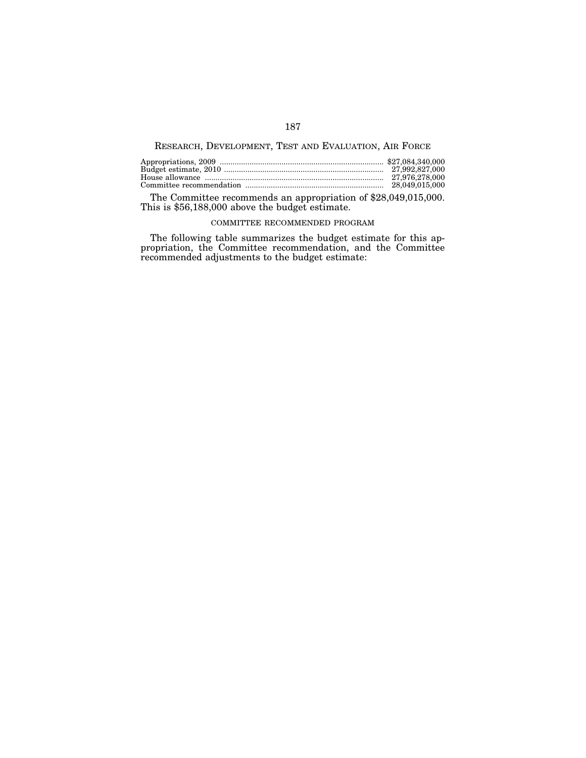# RESEARCH, DEVELOPMENT, TEST AND EVALUATION, AIR FORCE

The Committee recommends an appropriation of \$28,049,015,000. This is \$56,188,000 above the budget estimate.

#### COMMITTEE RECOMMENDED PROGRAM

The following table summarizes the budget estimate for this appropriation, the Committee recommendation, and the Committee recommended adjustments to the budget estimate: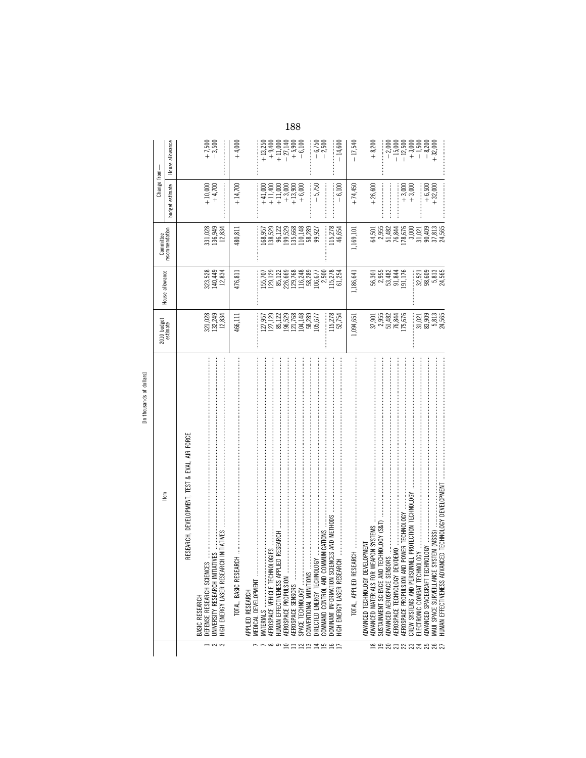|                   |                                                                                                                                                                                                                                                                                                                                                                                                                                                                                                                           |                                                                                                                      |                                                                                                                                                                                                                                                                                                   |                                                                                                                     | Change from-                                                                                                                     |                                                                                                                                                                                                                                                                                                                                         |
|-------------------|---------------------------------------------------------------------------------------------------------------------------------------------------------------------------------------------------------------------------------------------------------------------------------------------------------------------------------------------------------------------------------------------------------------------------------------------------------------------------------------------------------------------------|----------------------------------------------------------------------------------------------------------------------|---------------------------------------------------------------------------------------------------------------------------------------------------------------------------------------------------------------------------------------------------------------------------------------------------|---------------------------------------------------------------------------------------------------------------------|----------------------------------------------------------------------------------------------------------------------------------|-----------------------------------------------------------------------------------------------------------------------------------------------------------------------------------------------------------------------------------------------------------------------------------------------------------------------------------------|
|                   | ltem                                                                                                                                                                                                                                                                                                                                                                                                                                                                                                                      | 2010 budget<br>estimate                                                                                              | House allowance                                                                                                                                                                                                                                                                                   | recommendation<br>Committee                                                                                         |                                                                                                                                  |                                                                                                                                                                                                                                                                                                                                         |
|                   |                                                                                                                                                                                                                                                                                                                                                                                                                                                                                                                           |                                                                                                                      |                                                                                                                                                                                                                                                                                                   |                                                                                                                     | budget estimate                                                                                                                  | House allowance                                                                                                                                                                                                                                                                                                                         |
|                   | RESEARCH, DEVELOPMENT, TEST & EVAL, AIR FORCE                                                                                                                                                                                                                                                                                                                                                                                                                                                                             |                                                                                                                      |                                                                                                                                                                                                                                                                                                   |                                                                                                                     |                                                                                                                                  |                                                                                                                                                                                                                                                                                                                                         |
|                   | BASIC RESEARCH                                                                                                                                                                                                                                                                                                                                                                                                                                                                                                            |                                                                                                                      |                                                                                                                                                                                                                                                                                                   |                                                                                                                     |                                                                                                                                  |                                                                                                                                                                                                                                                                                                                                         |
| 125               | UNIVERSITY RESEARCH INITIATIVES<br>DEFENSE RESEARCH SCIENCES                                                                                                                                                                                                                                                                                                                                                                                                                                                              | 321,028<br>132,249<br>12,834                                                                                         | 323,528<br>140,449<br>12,834                                                                                                                                                                                                                                                                      | 331,028<br>136,949<br>12,834                                                                                        | $+10,000$<br>+4,700                                                                                                              | $+7,500$<br>$-3,500$                                                                                                                                                                                                                                                                                                                    |
|                   | HIGH ENERGY LASER RESEARCH INITIATIVES                                                                                                                                                                                                                                                                                                                                                                                                                                                                                    |                                                                                                                      |                                                                                                                                                                                                                                                                                                   |                                                                                                                     |                                                                                                                                  |                                                                                                                                                                                                                                                                                                                                         |
|                   | $ROH$ , постоянно положительно положительно положительно положительно положительно положительно положительно положительно положительно положительно положительно положительно положительно положительно положительно положител<br>TOTAL, BASIC RESEA                                                                                                                                                                                                                                                                      | 466,111                                                                                                              | 476,811                                                                                                                                                                                                                                                                                           | 480,811                                                                                                             | $+14,700$                                                                                                                        | $+4,000$                                                                                                                                                                                                                                                                                                                                |
|                   | APPLIED RESEARCH                                                                                                                                                                                                                                                                                                                                                                                                                                                                                                          |                                                                                                                      |                                                                                                                                                                                                                                                                                                   |                                                                                                                     |                                                                                                                                  |                                                                                                                                                                                                                                                                                                                                         |
|                   | MEDICAL DEVELOPMENT                                                                                                                                                                                                                                                                                                                                                                                                                                                                                                       |                                                                                                                      |                                                                                                                                                                                                                                                                                                   |                                                                                                                     |                                                                                                                                  |                                                                                                                                                                                                                                                                                                                                         |
|                   | MATERIALS                                                                                                                                                                                                                                                                                                                                                                                                                                                                                                                 | $\begin{array}{l} 127,957\\ 127,129\\ 127,122\\ 85,122\\ 196,529\\ 121,768\\ 104,148\\ 58,289\\ 105,577 \end{array}$ |                                                                                                                                                                                                                                                                                                   | $\begin{array}{r} 168,957\\ 138,522\\ 138,522\\ 96,122\\ 199,526\\ 110,148\\ 135,668\\ 58,289\\ 99,927 \end{array}$ | $\begin{array}{l} +41,000\\ +11,000\\ +11,13,000\\ +11,13,900\\ +13,900\\ +13,900\\ +13,900\\ +14,13,900\\ +14,14,15\end{array}$ | $\begin{array}{l} +13,250 \\ +9,400 \\ +11,900 \\ +11,900 \\ +5,900 \\ +6,140 \\ +6,100 \\ \end{array}$                                                                                                                                                                                                                                 |
| $\infty$          | AEROSPACE VEHICLE TECHNOLOGIES                                                                                                                                                                                                                                                                                                                                                                                                                                                                                            |                                                                                                                      |                                                                                                                                                                                                                                                                                                   |                                                                                                                     |                                                                                                                                  |                                                                                                                                                                                                                                                                                                                                         |
|                   | IED RESEARCH<br>HUMAN EFFECTIVENESS APPLI                                                                                                                                                                                                                                                                                                                                                                                                                                                                                 |                                                                                                                      |                                                                                                                                                                                                                                                                                                   |                                                                                                                     |                                                                                                                                  |                                                                                                                                                                                                                                                                                                                                         |
| $\subseteq$       | AEROSPACE PROPULSION                                                                                                                                                                                                                                                                                                                                                                                                                                                                                                      |                                                                                                                      |                                                                                                                                                                                                                                                                                                   |                                                                                                                     |                                                                                                                                  |                                                                                                                                                                                                                                                                                                                                         |
|                   | AEROSPACE SENSORS                                                                                                                                                                                                                                                                                                                                                                                                                                                                                                         |                                                                                                                      |                                                                                                                                                                                                                                                                                                   |                                                                                                                     |                                                                                                                                  |                                                                                                                                                                                                                                                                                                                                         |
| $\simeq$ $\simeq$ | SPACE TECHNOLOGY                                                                                                                                                                                                                                                                                                                                                                                                                                                                                                          |                                                                                                                      |                                                                                                                                                                                                                                                                                                   |                                                                                                                     |                                                                                                                                  |                                                                                                                                                                                                                                                                                                                                         |
|                   | CONVENTIONAL MUNITIONS                                                                                                                                                                                                                                                                                                                                                                                                                                                                                                    |                                                                                                                      |                                                                                                                                                                                                                                                                                                   |                                                                                                                     |                                                                                                                                  |                                                                                                                                                                                                                                                                                                                                         |
| $\overline{4}$    | $\begin{array}{cccccccccccccc} \multicolumn{2}{c}{} & \multicolumn{2}{c}{} & \multicolumn{2}{c}{} & \multicolumn{2}{c}{} & \multicolumn{2}{c}{} & \multicolumn{2}{c}{} & \multicolumn{2}{c}{} & \multicolumn{2}{c}{} & \multicolumn{2}{c}{} & \multicolumn{2}{c}{} & \multicolumn{2}{c}{} & \multicolumn{2}{c}{} & \multicolumn{2}{c}{} & \multicolumn{2}{c}{} & \multicolumn{2}{c}{} & \multicolumn{2}{c}{} & \multicolumn{2}{c}{} & \multicolumn{2}{c}{} & \multicolumn{2}{c}{} & \$<br>VGY<br>DIRECTED ENERGY TECHNOLO |                                                                                                                      |                                                                                                                                                                                                                                                                                                   |                                                                                                                     | $-5,750$                                                                                                                         | $-6,750$<br>$-2,500$                                                                                                                                                                                                                                                                                                                    |
| 51                | COMMAND CONTROL AND COMMUNICATIONS                                                                                                                                                                                                                                                                                                                                                                                                                                                                                        |                                                                                                                      |                                                                                                                                                                                                                                                                                                   |                                                                                                                     |                                                                                                                                  |                                                                                                                                                                                                                                                                                                                                         |
| $\frac{16}{21}$   | DOMINANT INFORMATION SCIENCES AND METHODS                                                                                                                                                                                                                                                                                                                                                                                                                                                                                 | 115,278<br>52,754                                                                                                    | $\begin{array}{l} 155,707 \\ 159,128 \\ 85,128 \\ 86,668 \\ 72,728 \\ 85,728 \\ 129,728 \\ 85,728 \\ 150,728 \\ 151,725 \\ 151,725 \\ 151,725 \\ 151,725 \\ 151,725 \\ 151,725 \\ 152,725 \\ 153,725 \\ 154 \\ 156 \\ 157,725 \\ 158 \\ 159 \\ 159 \\ 150 \\ 150 \\ 150 \\ 151 \\ 151 \\ 152 \\ $ | 115,278<br>46,654                                                                                                   | $-6,100$                                                                                                                         | $-14,600$                                                                                                                                                                                                                                                                                                                               |
|                   |                                                                                                                                                                                                                                                                                                                                                                                                                                                                                                                           | 1,094,651                                                                                                            | 1,186,641                                                                                                                                                                                                                                                                                         | 1,169,101                                                                                                           | $+74,450$                                                                                                                        | $-17,540$                                                                                                                                                                                                                                                                                                                               |
|                   |                                                                                                                                                                                                                                                                                                                                                                                                                                                                                                                           |                                                                                                                      |                                                                                                                                                                                                                                                                                                   |                                                                                                                     |                                                                                                                                  |                                                                                                                                                                                                                                                                                                                                         |
|                   | ELOPMENT<br>ADVANCED TECHNOLOGY DEV                                                                                                                                                                                                                                                                                                                                                                                                                                                                                       |                                                                                                                      |                                                                                                                                                                                                                                                                                                   |                                                                                                                     |                                                                                                                                  |                                                                                                                                                                                                                                                                                                                                         |
| ≌                 | ADVANCED MATERIALS FOR WEAPON SYSTEMS                                                                                                                                                                                                                                                                                                                                                                                                                                                                                     |                                                                                                                      |                                                                                                                                                                                                                                                                                                   |                                                                                                                     | $+26,600$                                                                                                                        | $+8,200$                                                                                                                                                                                                                                                                                                                                |
| $\overline{19}$   | <b>TECHNOLOGY (S&amp;T)</b><br>SUSTAINMENT SCIENCE AND                                                                                                                                                                                                                                                                                                                                                                                                                                                                    | $\begin{array}{c} 37.901 \\ 2.955 \\ 2.955 \\ 51.482 \\ 106 \\ 106 \\ \end{array}$                                   | 56,355<br>6,3582<br>5,3,344<br>5,115                                                                                                                                                                                                                                                              | 64,501<br>2,955<br>51,482<br>51,844<br>178,676                                                                      | <br> <br> <br>                                                                                                                   |                                                                                                                                                                                                                                                                                                                                         |
|                   | AEROSPACE TECHNOLOGY DEN                                                                                                                                                                                                                                                                                                                                                                                                                                                                                                  |                                                                                                                      |                                                                                                                                                                                                                                                                                                   |                                                                                                                     |                                                                                                                                  |                                                                                                                                                                                                                                                                                                                                         |
|                   | POWER TECHNOLOGY<br>AEROSPACE PROPULSION AND                                                                                                                                                                                                                                                                                                                                                                                                                                                                              |                                                                                                                      |                                                                                                                                                                                                                                                                                                   |                                                                                                                     |                                                                                                                                  |                                                                                                                                                                                                                                                                                                                                         |
|                   | VEL PROTECTION TECHNOLOGY<br>CREW SYSTEMS AND PERSONI                                                                                                                                                                                                                                                                                                                                                                                                                                                                     |                                                                                                                      |                                                                                                                                                                                                                                                                                                   |                                                                                                                     | $+3,000$<br>+3,000                                                                                                               | $\begin{array}{r} -2,000 \\ -15,000 \\ -1 \end{array} \begin{array}{r} 0,000 \\ 0,000 \\ 0,000 \\ 0,000 \\ 0,000 \\ 0,000 \\ 0,000 \\ +3,000 \\ +3,000 \\ +3,000 \\ +3,000 \\ +3,000 \\ +3,000 \\ +3,000 \\ +3,000 \\ +3,000 \\ +3,000 \\ +3,000 \\ +3,000 \\ +3,000 \\ +3,000 \\ +3,000 \\ +3,000 \\ +3,000 \\ +3,000 \\ +3,000 \\ +3$ |
|                   |                                                                                                                                                                                                                                                                                                                                                                                                                                                                                                                           |                                                                                                                      | 32,521<br>98,609                                                                                                                                                                                                                                                                                  |                                                                                                                     | :<br>:<br>:                                                                                                                      |                                                                                                                                                                                                                                                                                                                                         |
|                   | NOLOGY<br>ADVANCED SPACECRAFT TECH                                                                                                                                                                                                                                                                                                                                                                                                                                                                                        |                                                                                                                      |                                                                                                                                                                                                                                                                                                   |                                                                                                                     |                                                                                                                                  |                                                                                                                                                                                                                                                                                                                                         |
| <b>212232822</b>  | YSTEM (MSSS)<br>MAUI SPACE SURVEILLANCE S                                                                                                                                                                                                                                                                                                                                                                                                                                                                                 | 1021<br>10300205<br>1030021                                                                                          | 5,813<br>24,565                                                                                                                                                                                                                                                                                   | 3.000<br>3.0109<br>3.000<br>3.000<br>3.000                                                                          | $+6,500$<br>+32,000                                                                                                              |                                                                                                                                                                                                                                                                                                                                         |
|                   | NCED TECHNOLOGY DEVELOPMENT<br>HUMAN EFFECTIVENESS ADVAI                                                                                                                                                                                                                                                                                                                                                                                                                                                                  |                                                                                                                      |                                                                                                                                                                                                                                                                                                   |                                                                                                                     |                                                                                                                                  |                                                                                                                                                                                                                                                                                                                                         |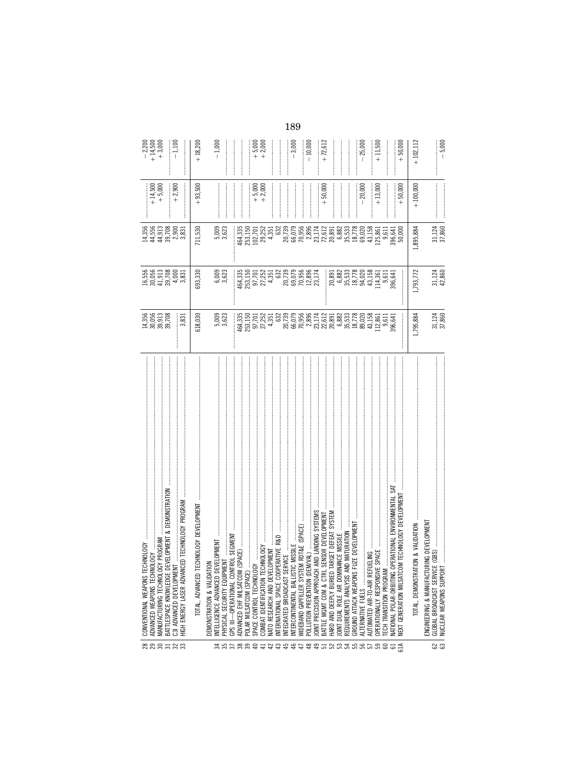|        | BATTLESPACE KNOWLEDGE DEVELOPMENT & DEMONSTRATION<br>CED TECHNOLOGY PROGRAM<br>MANUFACTURING TECHNOLOGY PROGRAM<br>CONVENTIONAL WEAPONS TECHNOLOGY .<br>ADVANCED WEAPONS TECHNOLOGY<br>C3I ADVANCED DEVELOPMENT<br>HIGH ENERGY LASER ADVAN | 14,356<br>30,056<br>39,708<br>39,708<br>3,831 | $\begin{array}{l} 16,556 \\ 30,051 \\ 41,308 \\ 9,708 \\ 4,000 \\ 4,031 \\ \end{array}$                                                                                                                                                                                                               | $\begin{array}{l} 14.356 \\ 44.510 \\ 7,000 \\ 8,011 \\ 9,000 \\ 1,000 \\ 1,000 \\ 3,01 \\ \end{array}$                                                                                                                                                                                                     | $+14,500$<br>+ 5,000<br>$+2,900$ | $-2,200$<br>+ 14,500<br>+ 3,000<br>$-1,100$ |
|--------|--------------------------------------------------------------------------------------------------------------------------------------------------------------------------------------------------------------------------------------------|-----------------------------------------------|-------------------------------------------------------------------------------------------------------------------------------------------------------------------------------------------------------------------------------------------------------------------------------------------------------|-------------------------------------------------------------------------------------------------------------------------------------------------------------------------------------------------------------------------------------------------------------------------------------------------------------|----------------------------------|---------------------------------------------|
|        |                                                                                                                                                                                                                                            | 618,030                                       | 693,330                                                                                                                                                                                                                                                                                               | 711,530                                                                                                                                                                                                                                                                                                     | $+93,500$                        | $+18,200$                                   |
|        | TROL SEGMENT<br>DEMONSTRATION & VALIDATION<br>INTELLIGENCE ADVANCED DEVELOPMENT<br>PHYSICAL SECURITY EQUIPMENT<br>GPS III-OPERATIONAL CON                                                                                                  | 5,009<br>3,623                                | 6,009<br>3,623                                                                                                                                                                                                                                                                                        | $5,009$<br>$3,623$                                                                                                                                                                                                                                                                                          |                                  | $-1,000$                                    |
|        | (SPACE)<br>ADVANCED EHF MILSATCOM<br>POLAR MILSATCOM (SPACE)                                                                                                                                                                               | 464,335<br>253,150<br>97,252<br>27,252        | 464,335<br>253,150<br>27,252<br>27,252                                                                                                                                                                                                                                                                | 464,335<br>253,150                                                                                                                                                                                                                                                                                          |                                  |                                             |
|        | $\geq$<br>SPACE CONTROL TECHNOLO                                                                                                                                                                                                           |                                               |                                                                                                                                                                                                                                                                                                       |                                                                                                                                                                                                                                                                                                             |                                  | $+5,000$<br>$+2,000$                        |
|        | CHNOLOGY<br>NATO RESEARCH AND DEVELOPMENT<br>COMBAT IDENTIFICATION TEC                                                                                                                                                                     |                                               |                                                                                                                                                                                                                                                                                                       | 102,701<br>29,252                                                                                                                                                                                                                                                                                           | $+ 5,000$<br>$+ 2,000$           |                                             |
|        | PERATIVE R&D<br>NTERNATIONAL SPACE COOF                                                                                                                                                                                                    |                                               | 4,351<br>632                                                                                                                                                                                                                                                                                          |                                                                                                                                                                                                                                                                                                             |                                  |                                             |
|        | INTEGRATED BROADCAST SE                                                                                                                                                                                                                    |                                               | 20,739<br>69,079<br>69,956<br>23,174<br>23,174                                                                                                                                                                                                                                                        | $\begin{array}{r} 4,936 \\ 4,938 \\ 6,7,936 \\ 6,836 \\ 7,936 \\ 8,85 \\ 1,12 \\ 1,23 \\ 1,33 \\ 1,44 \\ 1,23 \\ 1,34 \\ 1,35 \\ 1,23 \\ 1,23 \\ 1,35 \\ 1,23 \\ 1,23 \\ 1,23 \\ 1,24 \\ 1,25 \\ 1,26 \\ 1,23 \\ 1,24 \\ 1,25 \\ 1,26 \\ 1,25 \\ 1,26 \\ 1,25 \\ 1,26 \\ 1,27 \\ 1,28 \\ 1,29 \\ 1,29 \\ 1$ |                                  |                                             |
|        |                                                                                                                                                                                                                                            |                                               |                                                                                                                                                                                                                                                                                                       |                                                                                                                                                                                                                                                                                                             |                                  | $-3,000$                                    |
|        |                                                                                                                                                                                                                                            |                                               |                                                                                                                                                                                                                                                                                                       |                                                                                                                                                                                                                                                                                                             |                                  | $-10,000$                                   |
|        | AND LANDING SYSTEMS<br><b>JOINT PRECISION APPROACH</b>                                                                                                                                                                                     |                                               |                                                                                                                                                                                                                                                                                                       |                                                                                                                                                                                                                                                                                                             |                                  |                                             |
|        | SENSOR DEVELOPMENT<br>BATTLE MGMT COM & CTRL                                                                                                                                                                                               |                                               |                                                                                                                                                                                                                                                                                                       |                                                                                                                                                                                                                                                                                                             | $+50,000$                        | $+72,612$                                   |
|        | TARGET DEFEAT SYSTEM<br>HARD AND DEEPLY BURIED                                                                                                                                                                                             |                                               |                                                                                                                                                                                                                                                                                                       |                                                                                                                                                                                                                                                                                                             |                                  |                                             |
|        | REQUIREMENTS ANALYSIS AND MATURATION<br>JOINT DUAL ROLE AIR DOMINANCE MISSILE                                                                                                                                                              |                                               |                                                                                                                                                                                                                                                                                                       |                                                                                                                                                                                                                                                                                                             |                                  |                                             |
|        | UZE DEVELOPMEN<br>GROUND ATTACK WEAPONS                                                                                                                                                                                                    |                                               |                                                                                                                                                                                                                                                                                                       |                                                                                                                                                                                                                                                                                                             |                                  |                                             |
|        | ALTERNATIVE FUELS                                                                                                                                                                                                                          |                                               |                                                                                                                                                                                                                                                                                                       |                                                                                                                                                                                                                                                                                                             | $-20,000$                        | $-25,000$                                   |
|        | IUTOMATED AIR-TO-AIR REF                                                                                                                                                                                                                   |                                               |                                                                                                                                                                                                                                                                                                       |                                                                                                                                                                                                                                                                                                             |                                  |                                             |
|        | OPERATIONALLY RESPONSIVE                                                                                                                                                                                                                   |                                               |                                                                                                                                                                                                                                                                                                       |                                                                                                                                                                                                                                                                                                             | $+13,000$                        | $+11,500$                                   |
|        | OPERATIONAL ENVIRONMENTAL<br>ECH TRANSITION PROGRAM<br>VATIONAL POLAR-ORBITING                                                                                                                                                             |                                               | $\begin{array}{c} 20,891 \\ 20,893 \\ 20,833 \\ 20,833 \\ 20,7,7 \\ 20,83 \\ 20,83 \\ 20,83 \\ 20,83 \\ 20,83 \\ 20,83 \\ 20,84 \\ 21 \\ 22,83 \\ 22,84 \\ 21 \\ 22,84 \\ 22,84 \\ 21 \\ 22,84 \\ 22,84 \\ 23,84 \\ 24,84 \\ 25,84 \\ 26,84 \\ 27,84 \\ 28,84 \\ 29,85 \\ 20,84 \\ 20,85 \\ 20,86 \\$ |                                                                                                                                                                                                                                                                                                             |                                  |                                             |
|        | JM TECHNOLOGY DEVELOPMENT<br><b>VEXT GENERATION MILSATC</b>                                                                                                                                                                                |                                               | İ                                                                                                                                                                                                                                                                                                     | 396,641<br>50,000                                                                                                                                                                                                                                                                                           | $+50,000$                        | $+50,000$                                   |
|        | ION & VALIDATION<br>TOTAL, DEMONSTRAT                                                                                                                                                                                                      | 1,795,884                                     | 1,793,772                                                                                                                                                                                                                                                                                             | ,895,884                                                                                                                                                                                                                                                                                                    | $+100,000$                       | $+102,112$                                  |
| ន<br>ន | ENGINEERING & MANUFACTURING DEVELOPMENT<br>GLOBAL BROADCAST SERVICE (GBS)<br>NUCLEAR WEAPONS SUPPORT                                                                                                                                       | 31,124                                        | 31,124<br>42,860                                                                                                                                                                                                                                                                                      | 31,124<br>37,860                                                                                                                                                                                                                                                                                            |                                  | $-5.000$                                    |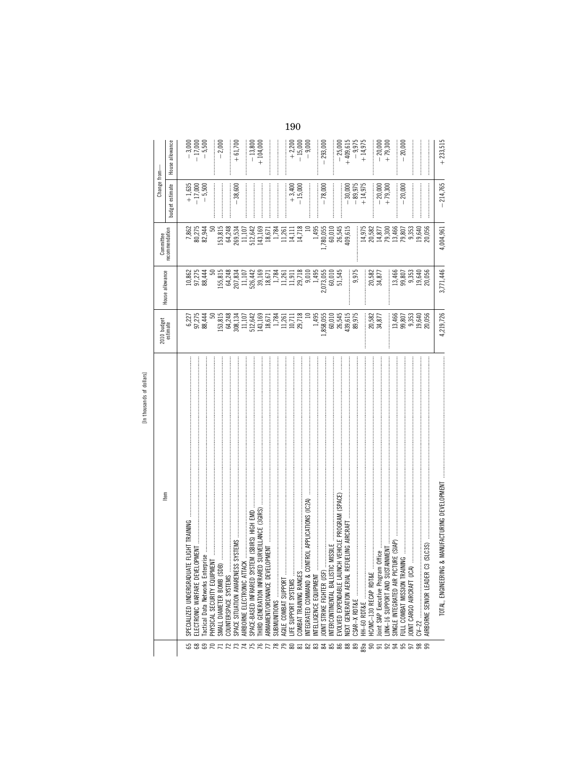| $\begin{array}{l} 153,815\\ 64,248\\ 65,131\\ 65,131\\ 151,101\\ 151,101\\ 151,101\\ 151,101\\ 151,101\\ 151,101\\ 151,101\\ 151,101\\ 151,101\\ 151,101\\ 151,101\\ 151,101\\ 151,101\\ 151,101\\ 151,101\\ 151,101\\ 151,101\\ 151,101\\ 151,101\\ 151,101\\$<br>2010 budget<br>estimate<br>Item<br>ATE FLIGHT TRAINING<br>Tactical Data Networks Enterprise<br>VIENT<br>ELECTRONIC WARFARE DEVELOPMENT.<br>HYSICAL SECURITY EQUIPI<br>SMALL DIAMETER BOMB (SI<br>SPECIALIZED UNDERGRADU<br>AIRBORNE ELECTRONIC AT<br>COUNTERSPACE SYSTEMS | House allowance<br>$6,227$<br>$97,275$<br>$88,444$ | recommendation<br>Committee<br>10,862<br>97,275<br>88,444 |                                                                                                                      | budget estimate                                            | House allowance                   |
|----------------------------------------------------------------------------------------------------------------------------------------------------------------------------------------------------------------------------------------------------------------------------------------------------------------------------------------------------------------------------------------------------------------------------------------------------------------------------------------------------------------------------------------------|----------------------------------------------------|-----------------------------------------------------------|----------------------------------------------------------------------------------------------------------------------|------------------------------------------------------------|-----------------------------------|
|                                                                                                                                                                                                                                                                                                                                                                                                                                                                                                                                              |                                                    |                                                           |                                                                                                                      |                                                            |                                   |
|                                                                                                                                                                                                                                                                                                                                                                                                                                                                                                                                              |                                                    |                                                           |                                                                                                                      |                                                            |                                   |
|                                                                                                                                                                                                                                                                                                                                                                                                                                                                                                                                              |                                                    |                                                           | 7,862<br>80,275<br>82,944                                                                                            | $\begin{array}{r} +1,635 \\ -17,000 \\ -5,500 \end{array}$ | $-3,000$<br>$-17,000$<br>$-5,500$ |
|                                                                                                                                                                                                                                                                                                                                                                                                                                                                                                                                              |                                                    |                                                           |                                                                                                                      |                                                            |                                   |
|                                                                                                                                                                                                                                                                                                                                                                                                                                                                                                                                              |                                                    |                                                           |                                                                                                                      |                                                            |                                   |
|                                                                                                                                                                                                                                                                                                                                                                                                                                                                                                                                              |                                                    | 155,815                                                   |                                                                                                                      |                                                            | $-2,000$                          |
|                                                                                                                                                                                                                                                                                                                                                                                                                                                                                                                                              |                                                    |                                                           |                                                                                                                      |                                                            |                                   |
|                                                                                                                                                                                                                                                                                                                                                                                                                                                                                                                                              |                                                    |                                                           |                                                                                                                      | $-38,600$                                                  | $+61,700$                         |
|                                                                                                                                                                                                                                                                                                                                                                                                                                                                                                                                              |                                                    |                                                           |                                                                                                                      |                                                            |                                   |
| SPACE-BASED INFRARED SYSTEM (SBIRS) HIGH EMD                                                                                                                                                                                                                                                                                                                                                                                                                                                                                                 |                                                    |                                                           | $\begin{array}{r} 153,815 \\ 64,248 \\ 269,534 \\ 11,107 \\ 512,642 \\ 143,169 \\ 143,169 \\ 143,169 \\ \end{array}$ |                                                            | $-13,800$                         |
| THIRD GENERATION INFRARED SURVEILLANCE (3GIRS)                                                                                                                                                                                                                                                                                                                                                                                                                                                                                               |                                                    |                                                           |                                                                                                                      |                                                            | $+104,000$                        |
| ARMAMENT/ORDNANCE DE\                                                                                                                                                                                                                                                                                                                                                                                                                                                                                                                        |                                                    |                                                           |                                                                                                                      |                                                            |                                   |
|                                                                                                                                                                                                                                                                                                                                                                                                                                                                                                                                              |                                                    |                                                           |                                                                                                                      |                                                            |                                   |
| AGILE COMBAT SUPPORT                                                                                                                                                                                                                                                                                                                                                                                                                                                                                                                         |                                                    |                                                           | $1,784$<br>11,261                                                                                                    | <br> <br> <br>                                             |                                   |
| .IFE SUPPORT SYSTEMS                                                                                                                                                                                                                                                                                                                                                                                                                                                                                                                         |                                                    |                                                           | $14,111$<br>$14,718$                                                                                                 | $+3,400$                                                   | $+2,200$                          |
| COMBAT TRAINING RANGES                                                                                                                                                                                                                                                                                                                                                                                                                                                                                                                       |                                                    |                                                           |                                                                                                                      | $-15,000$                                                  |                                   |
| CONTROL APPLICATIONS (IC2A)<br>NTEGRATED COMMAND &                                                                                                                                                                                                                                                                                                                                                                                                                                                                                           |                                                    |                                                           |                                                                                                                      |                                                            | $-15,000$<br>$-9,000$             |
| NTELLIGENCE EQUIPMENT                                                                                                                                                                                                                                                                                                                                                                                                                                                                                                                        | 1,495                                              |                                                           | 1,495                                                                                                                |                                                            |                                   |
| OINT STRIKE FIGHTER USF                                                                                                                                                                                                                                                                                                                                                                                                                                                                                                                      | ,858,055                                           | 2,073,055                                                 | 1,780,055<br>60,010                                                                                                  | $-78,000$                                                  | $-293,000$                        |
| <b>TIC MISSILE</b><br>NTERCONTINENTAL BALLIST                                                                                                                                                                                                                                                                                                                                                                                                                                                                                                |                                                    |                                                           |                                                                                                                      |                                                            |                                   |
| NCH VEHICLE PROGRAM (SPACE)<br>EVOLVED EXPENDABLE LAU                                                                                                                                                                                                                                                                                                                                                                                                                                                                                        | 60,010<br>26,545                                   | 60,010<br>51,545                                          | 26,545<br>409,615                                                                                                    |                                                            | $-25,000$                         |
| REFUELING AIRCRAFT<br>NEXT GENERATION AERIAL                                                                                                                                                                                                                                                                                                                                                                                                                                                                                                 | 439,615<br>89,975                                  |                                                           |                                                                                                                      |                                                            | $+409,615$                        |
|                                                                                                                                                                                                                                                                                                                                                                                                                                                                                                                                              |                                                    | 9,975                                                     |                                                                                                                      | $-30,000$<br>$-89,975$<br>$+14,975$                        | $-9,975$<br>+ 14,975              |
| HH-60 RDT&E                                                                                                                                                                                                                                                                                                                                                                                                                                                                                                                                  |                                                    |                                                           |                                                                                                                      |                                                            |                                   |
| HC/MC-130 RECAP RDT&E                                                                                                                                                                                                                                                                                                                                                                                                                                                                                                                        |                                                    |                                                           |                                                                                                                      |                                                            |                                   |
| loint SIAP Executive Program Office                                                                                                                                                                                                                                                                                                                                                                                                                                                                                                          | 20,582<br>34,877                                   | 20,582<br>34,877                                          | $\begin{array}{c} 14,975 \\ 20,582 \\ 14,877 \\ 13,300 \\ 79,300 \\ 13,466 \\ 79,807 \end{array}$                    | $-20,000$<br>+79,300                                       | $-20,000$<br>+ 79,300             |
| STAINMENT<br>INK-16 SUPPORT AND SUS                                                                                                                                                                                                                                                                                                                                                                                                                                                                                                          |                                                    |                                                           |                                                                                                                      |                                                            |                                   |
| CTURE (SIAP)<br>SINGLE INTEGRATED AIR PI                                                                                                                                                                                                                                                                                                                                                                                                                                                                                                     |                                                    |                                                           |                                                                                                                      |                                                            |                                   |
| <b>AINING</b><br>ULL COMBAT MISSION TRA                                                                                                                                                                                                                                                                                                                                                                                                                                                                                                      |                                                    |                                                           |                                                                                                                      | $-20,000$                                                  | 20,000                            |
|                                                                                                                                                                                                                                                                                                                                                                                                                                                                                                                                              | 13,466<br>99,353<br>99,959<br>20,056               | 13,466<br>99,353<br>99,9540<br>20,056                     | 9,353                                                                                                                |                                                            |                                   |
|                                                                                                                                                                                                                                                                                                                                                                                                                                                                                                                                              |                                                    |                                                           | 19,640                                                                                                               |                                                            |                                   |
| C3 (SLC3S)<br>AIRBORNE SENIOR LEADER                                                                                                                                                                                                                                                                                                                                                                                                                                                                                                         |                                                    |                                                           | 20,056                                                                                                               |                                                            |                                   |
| TOTAL, ENGINEERING                                                                                                                                                                                                                                                                                                                                                                                                                                                                                                                           | 4,219,726                                          | 3,771,446                                                 | 4,004,961                                                                                                            | $-214,765$                                                 | $+233,515$                        |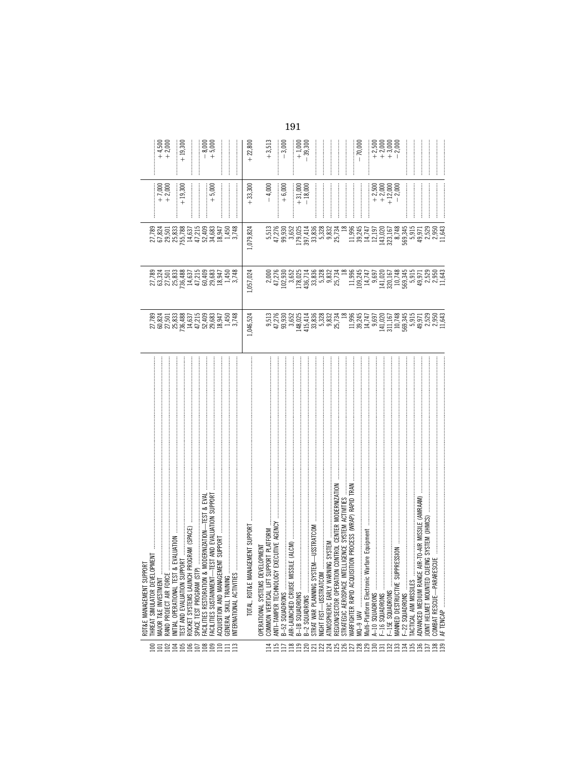| $\begin{array}{l} 11.996\\ 1102,747\\ 103,747\\ 110,747\\ 130,747\\ 141,747\\ 150,748\\ 160,749\\ 171,747\\ 180,749\\ 191,750\\ 103,750\\ 110,750\\ 11,740\\ 121,750\\ 131,750\\ 141,750\\ 150\\ 1643\\ 171,750\\ 180\\ 191,750\\ 192\\ 193\\ 193\\ 193\\ 193\\ 1$<br>$436,714$<br>$33,838$<br>$5,328$<br>$5,832$<br>$25,734$<br>$25,734$<br>1,057,024<br>000<br>47,278<br>102,582<br>178,178<br>$\begin{array}{l} 11.996 \\ 13.814 \\ 14.717 \\ 15.92 \\ 16.93 \\ 17.14 \\ 18.92 \\ 19.16 \\ 19.17 \\ 15.18 \\ 19.19 \\ 19.19 \\ 19.19 \\ 19.19 \\ 19.19 \\ 19.19 \\ 19.19 \\ 19.19 \\ 19.19 \\ 19.19 \\ 19.19 \\ 19.19 \\ 19.19 \\ 19.19 \\ 19.19 \\ 19.19 \\ 19.19 \\ 19.19 \\ 19.19 \\ 19.19 \\$<br>9,513<br>47,276<br>9,952<br>9,652<br>1,046,524<br>148,025<br>415,414<br>33,328<br>5,328<br>55,734<br>25,734<br>CONTROL CENTER MODERNIZATION<br>TION PROCESS (WRAP) RAPID TRAN<br>ELLIGENCE SYSTEM ACTIVITIES<br>EXECUTIVE AGENCY<br>EM-USSTRATCOM<br>arfare Equipment<br>ING SYSTEM<br>ELOPMENT<br>REGION/SECTOR OPERATION<br>Multi-Platform Electronic Wa<br>ATMOSPHERIC EARLY WARN<br>WARFIGHTER RAPID ACQUIS<br>COMMON VERTICAL LIFT SU<br>ANTI-TAMPER TECHNOLOGY<br>OPERATIONAL SYSTEMS DEN<br>AIR-LAUNCHED CRUISE MIS<br>STRAT WAR PLANNING SYST<br>STRATEGIC AEROSPACE INT<br>B-1B SQUADRONS<br>NIGHT FIST-USSTRATCOM<br>NTERNATIONAL ACTIVITIES<br>B-2 SQUADRONS<br>B-52 SQUADRONS<br>858\$\$\$\$\$\$\$###<br>115<br>$E = 2$<br>888888888888888888 | 5,513<br>47,930<br>59,652<br>5,952<br>1,079,824<br>179,025                                                                                                                                                                                                                                          | $+6,000$<br>$+33,300$<br>$+31,000$<br>$-18,000$<br>$-4,000$     | $-3,000$<br>$+3,513$<br>$+1,000$<br>$+22,800$<br>$-39,300$                                                                                                                                                                                                                                                           |
|-------------------------------------------------------------------------------------------------------------------------------------------------------------------------------------------------------------------------------------------------------------------------------------------------------------------------------------------------------------------------------------------------------------------------------------------------------------------------------------------------------------------------------------------------------------------------------------------------------------------------------------------------------------------------------------------------------------------------------------------------------------------------------------------------------------------------------------------------------------------------------------------------------------------------------------------------------------------------------------------------------------------------------------------------------------------------------------------------------------------------------------------------------------------------------------------------------------------------------------------------------------------------------------------------------------------------------------------------------------------------------------------------------------------------------------------------------------------|-----------------------------------------------------------------------------------------------------------------------------------------------------------------------------------------------------------------------------------------------------------------------------------------------------|-----------------------------------------------------------------|----------------------------------------------------------------------------------------------------------------------------------------------------------------------------------------------------------------------------------------------------------------------------------------------------------------------|
|                                                                                                                                                                                                                                                                                                                                                                                                                                                                                                                                                                                                                                                                                                                                                                                                                                                                                                                                                                                                                                                                                                                                                                                                                                                                                                                                                                                                                                                                   |                                                                                                                                                                                                                                                                                                     |                                                                 |                                                                                                                                                                                                                                                                                                                      |
|                                                                                                                                                                                                                                                                                                                                                                                                                                                                                                                                                                                                                                                                                                                                                                                                                                                                                                                                                                                                                                                                                                                                                                                                                                                                                                                                                                                                                                                                   |                                                                                                                                                                                                                                                                                                     |                                                                 |                                                                                                                                                                                                                                                                                                                      |
|                                                                                                                                                                                                                                                                                                                                                                                                                                                                                                                                                                                                                                                                                                                                                                                                                                                                                                                                                                                                                                                                                                                                                                                                                                                                                                                                                                                                                                                                   |                                                                                                                                                                                                                                                                                                     |                                                                 |                                                                                                                                                                                                                                                                                                                      |
|                                                                                                                                                                                                                                                                                                                                                                                                                                                                                                                                                                                                                                                                                                                                                                                                                                                                                                                                                                                                                                                                                                                                                                                                                                                                                                                                                                                                                                                                   |                                                                                                                                                                                                                                                                                                     |                                                                 |                                                                                                                                                                                                                                                                                                                      |
|                                                                                                                                                                                                                                                                                                                                                                                                                                                                                                                                                                                                                                                                                                                                                                                                                                                                                                                                                                                                                                                                                                                                                                                                                                                                                                                                                                                                                                                                   |                                                                                                                                                                                                                                                                                                     |                                                                 |                                                                                                                                                                                                                                                                                                                      |
|                                                                                                                                                                                                                                                                                                                                                                                                                                                                                                                                                                                                                                                                                                                                                                                                                                                                                                                                                                                                                                                                                                                                                                                                                                                                                                                                                                                                                                                                   | 397,414<br>33,328<br>33,328<br>39,328<br>39,234<br>39,234                                                                                                                                                                                                                                           |                                                                 |                                                                                                                                                                                                                                                                                                                      |
|                                                                                                                                                                                                                                                                                                                                                                                                                                                                                                                                                                                                                                                                                                                                                                                                                                                                                                                                                                                                                                                                                                                                                                                                                                                                                                                                                                                                                                                                   |                                                                                                                                                                                                                                                                                                     |                                                                 |                                                                                                                                                                                                                                                                                                                      |
|                                                                                                                                                                                                                                                                                                                                                                                                                                                                                                                                                                                                                                                                                                                                                                                                                                                                                                                                                                                                                                                                                                                                                                                                                                                                                                                                                                                                                                                                   |                                                                                                                                                                                                                                                                                                     |                                                                 | $-70,000$                                                                                                                                                                                                                                                                                                            |
| A-10 SQUADRONS<br>F-16 SQUADRONS                                                                                                                                                                                                                                                                                                                                                                                                                                                                                                                                                                                                                                                                                                                                                                                                                                                                                                                                                                                                                                                                                                                                                                                                                                                                                                                                                                                                                                  | $\begin{array}{l} 1.996 \\ 1.9747 \\ 1.111 \\ 2.111 \\ 3.111 \\ 4.111 \\ 5.111 \\ 5.111 \\ 5.111 \\ 5.111 \\ 5.111 \\ 5.111 \\ 5.111 \\ 5.111 \\ 5.111 \\ 5.111 \\ 5.111 \\ 5.111 \\ 5.111 \\ 5.111 \\ 5.111 \\ 5.111 \\ 5.111 \\ 5.111 \\ 5.111 \\ 5.111 \\ 5.111 \\ 5.111 \\ 5.111 \\ 5.111 \\ 5$ | $\begin{matrix} 500 \\ +200 \\ +200 \\ +120 \\ +1 \end{matrix}$ | $\begin{array}{l} 500000 \\ 700000 \\ +11100 \\ +11100 \\ +111000 \\ +111000 \\ +111000 \\ +111000 \\ +111000 \\ +111000 \\ +111000 \\ +111000 \\ +111000 \\ +111000 \\ +111000 \\ +111000 \\ +111000 \\ +111000 \\ +111000 \\ +111000 \\ +111000 \\ +111000 \\ +111000 \\ +111000 \\ +111000 \\ +111000 \\ +111000$ |
| <b>MOISS3M</b><br>MANNED DESTRUCTIVE SUP<br>F-15E SQUADRONS                                                                                                                                                                                                                                                                                                                                                                                                                                                                                                                                                                                                                                                                                                                                                                                                                                                                                                                                                                                                                                                                                                                                                                                                                                                                                                                                                                                                       |                                                                                                                                                                                                                                                                                                     |                                                                 |                                                                                                                                                                                                                                                                                                                      |
| :<br>:<br>:<br>$-22$ SQUADRONS                                                                                                                                                                                                                                                                                                                                                                                                                                                                                                                                                                                                                                                                                                                                                                                                                                                                                                                                                                                                                                                                                                                                                                                                                                                                                                                                                                                                                                    |                                                                                                                                                                                                                                                                                                     |                                                                 |                                                                                                                                                                                                                                                                                                                      |
| AIR-TO-AIR MISSILE (AMRAAM)<br>ADVANCED MEDIUM RANGE<br>TACTICAL AIM MISSILES                                                                                                                                                                                                                                                                                                                                                                                                                                                                                                                                                                                                                                                                                                                                                                                                                                                                                                                                                                                                                                                                                                                                                                                                                                                                                                                                                                                     |                                                                                                                                                                                                                                                                                                     |                                                                 |                                                                                                                                                                                                                                                                                                                      |
| OINT HELMET MOUNTED CUEING SYSTEM (JHMCS)                                                                                                                                                                                                                                                                                                                                                                                                                                                                                                                                                                                                                                                                                                                                                                                                                                                                                                                                                                                                                                                                                                                                                                                                                                                                                                                                                                                                                         |                                                                                                                                                                                                                                                                                                     |                                                                 |                                                                                                                                                                                                                                                                                                                      |
| 11,643<br>$[0.15, 0.01, 0.01, 0.01, 0.01, 0.01, 0.01, 0.01, 0.01, 0.01, 0.01, 0.01, 0.01, 0.01, 0.01, 0.01, 0.01, 0.01, 0.01, 0.01, 0.01, 0.01, 0.01, 0.01, 0.01, 0.01, 0.01, 0.01, 0.01, 0.01, 0.01, 0.01, 0.01, 0.01, 0.01, 0.01, 0.0$<br>AF TENCAP                                                                                                                                                                                                                                                                                                                                                                                                                                                                                                                                                                                                                                                                                                                                                                                                                                                                                                                                                                                                                                                                                                                                                                                                             |                                                                                                                                                                                                                                                                                                     |                                                                 |                                                                                                                                                                                                                                                                                                                      |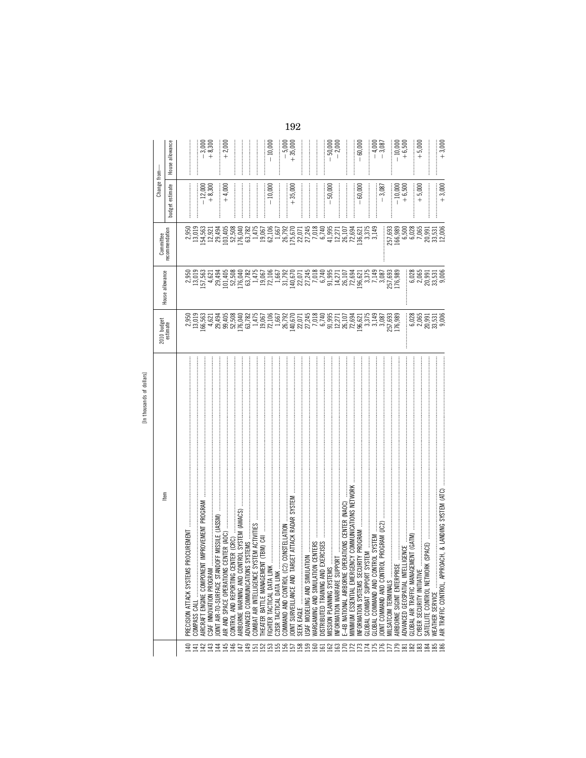| ltem                                                                                   | 2010 budget<br>estimate                                                                                                                                                                                                              | House allowance                                                                                | Committee                                                                                   | Change from-        |                       |
|----------------------------------------------------------------------------------------|--------------------------------------------------------------------------------------------------------------------------------------------------------------------------------------------------------------------------------------|------------------------------------------------------------------------------------------------|---------------------------------------------------------------------------------------------|---------------------|-----------------------|
|                                                                                        |                                                                                                                                                                                                                                      |                                                                                                | recommendation                                                                              | budget estimate     | House allowance       |
| <b>ROCUREMENT</b><br>PRECISION ATTACK SYSTEMS                                          |                                                                                                                                                                                                                                      |                                                                                                |                                                                                             |                     |                       |
|                                                                                        | $2,950$<br>$13,019$<br>$166,563$                                                                                                                                                                                                     | 2,950<br>13,019                                                                                | 2,950<br>13,019                                                                             |                     |                       |
| T IMPROVEMENT PROGRAM<br>AIRCRAFT ENGINE COMPONEN                                      |                                                                                                                                                                                                                                      | 157,563                                                                                        |                                                                                             |                     |                       |
| CSAF INNOVATION PROGRAM                                                                |                                                                                                                                                                                                                                      | 4,621                                                                                          |                                                                                             | $-12,000$<br>+8,300 | $-3,300$<br>$+8,300$  |
| JOINT AIR-TO-SURFACE STANDOFF MISSILE (JASSM)<br>$\frac{3}{4}$                         |                                                                                                                                                                                                                                      |                                                                                                |                                                                                             |                     |                       |
| AIR AND SPACE OPERATIONS                                                               | $\begin{array}{c} 4,621 \\ 2,494 \\ 29,405 \\ 50,508 \\ 176,040 \\ 116,782 \\ \end{array}$                                                                                                                                           | 39498<br>201408<br>2015082<br>201508                                                           |                                                                                             | $+4,000$            | $+2,000$              |
|                                                                                        |                                                                                                                                                                                                                                      |                                                                                                |                                                                                             |                     |                       |
| CONTROL AND REPORTING CENTER (CRC)                                                     |                                                                                                                                                                                                                                      |                                                                                                |                                                                                             |                     |                       |
| AIRBORNE WARNING AND CONTROL SYSTEM (AWACS)                                            |                                                                                                                                                                                                                                      |                                                                                                |                                                                                             |                     |                       |
| ADVANCED COMMUNICATIONS                                                                |                                                                                                                                                                                                                                      |                                                                                                |                                                                                             |                     |                       |
|                                                                                        |                                                                                                                                                                                                                                      | 1,475                                                                                          |                                                                                             |                     |                       |
| THEATER BATTLE MANAGEMENT (TBM) C41                                                    |                                                                                                                                                                                                                                      | 19,067<br>72,106                                                                               |                                                                                             |                     |                       |
| FIGHTER TACTICAL DATA LINK                                                             |                                                                                                                                                                                                                                      |                                                                                                |                                                                                             | $-10,000$           | $-10,000$             |
| C2ISR TACTICAL DATA LINK                                                               |                                                                                                                                                                                                                                      |                                                                                                |                                                                                             |                     |                       |
| CONSTELLATION<br>COMMAND AND CONTROL (C2)                                              |                                                                                                                                                                                                                                      |                                                                                                |                                                                                             |                     | <br> <br>             |
| GET ATTACK RADAR SYSTEM<br>JOINT SURVEILLANCE AND TAR                                  |                                                                                                                                                                                                                                      |                                                                                                |                                                                                             | $+35,000$           | $-5,000$<br>+ 35,000  |
|                                                                                        |                                                                                                                                                                                                                                      |                                                                                                |                                                                                             |                     |                       |
| SEEK EAGLE                                                                             |                                                                                                                                                                                                                                      |                                                                                                |                                                                                             |                     |                       |
| $\leq$<br>USAF MODELING AND SIMULAT                                                    |                                                                                                                                                                                                                                      |                                                                                                |                                                                                             |                     |                       |
| <b>CENTERS</b><br>WARGAMING AND SIMULATION                                             |                                                                                                                                                                                                                                      |                                                                                                |                                                                                             |                     |                       |
|                                                                                        |                                                                                                                                                                                                                                      | $\begin{array}{c} 1,667 \\ 31,792 \\ 140,670 \\ 22,071 \\ 7,245 \\ 7,018 \\ 6,740 \end{array}$ |                                                                                             |                     |                       |
| MISSION PLANNING SYSTEMS                                                               |                                                                                                                                                                                                                                      |                                                                                                |                                                                                             | $-50,000$           |                       |
| INFORMATION WARFARE SUPPORT                                                            |                                                                                                                                                                                                                                      |                                                                                                |                                                                                             |                     | $-50,000$<br>$-2,000$ |
| E-4B NATIONAL AIRBORNE OPERATIONS CENTER (NAOC)                                        |                                                                                                                                                                                                                                      |                                                                                                |                                                                                             |                     |                       |
| <b>VCY COMMUNICATIONS NETWORK</b><br>MINIMUM ESSENTIAL EMERGET<br>44458866688658865255 | 1967 - 1967 - 1972 - 1973 - 1974 - 1975 - 1975 - 1975 - 1976 - 1977 - 1977 - 1977 - 1977 - 1977 - 197<br>1976 - 1976 - 1977 - 1977 - 1977 - 1977 - 1977 - 1977 - 1977 - 1977 - 1977 - 1977 - 1977 - 1977 - 1977 - 1977<br>1977 - 197 | 95<br>5,27103<br>5,482<br>99,09                                                                |                                                                                             |                     |                       |
| INFORMATION SYSTEMS SECURITY PROGRAM                                                   |                                                                                                                                                                                                                                      |                                                                                                |                                                                                             | $-60,000$           | $-60,000$             |
|                                                                                        |                                                                                                                                                                                                                                      | 3,375                                                                                          |                                                                                             |                     | $\frac{1}{2}$         |
| GLOBAL COMMAND AND CONTROL SYSTEM                                                      | 3,149                                                                                                                                                                                                                                | 7,149                                                                                          |                                                                                             |                     |                       |
| JOINT COMMAND AND CONTROL PROGRAM (JC2                                                 |                                                                                                                                                                                                                                      | 3,087                                                                                          |                                                                                             | $-3,087$            | $-4,000$<br>$-3,087$  |
| MILSATCOM TERMINALS                                                                    | 3,087<br>257,693<br>176,989                                                                                                                                                                                                          |                                                                                                |                                                                                             |                     |                       |
| AIRBORNE SIGINT ENTERPRISE                                                             |                                                                                                                                                                                                                                      | 257,693<br>176,989                                                                             |                                                                                             |                     | $-10,000$<br>$+6,500$ |
| .IGENCE<br>ADVANCED GEOSPATIAL INTEL                                                   |                                                                                                                                                                                                                                      |                                                                                                |                                                                                             | $-10,000$<br>+6,500 |                       |
| <b>AENT (GATM)</b><br>GLOBAL AIR TRAFFIC MANAGE                                        |                                                                                                                                                                                                                                      | 6,028                                                                                          |                                                                                             |                     |                       |
| CYBER SECURITY INITIATIVE                                                              | 6,028                                                                                                                                                                                                                                |                                                                                                |                                                                                             |                     | $+5,000$              |
|                                                                                        |                                                                                                                                                                                                                                      |                                                                                                |                                                                                             | $+ 5,000$           |                       |
| SATELLITE CONTROL NETWORK                                                              | $2,065$<br>$2,091$<br>$2,03$<br>$3,006$<br>$9,006$                                                                                                                                                                                   | $20,991$<br>$20,991$<br>$33,531$<br>$9,006$                                                    | $257,693$<br>$166,989$<br>$6,500$<br>$6,5028$<br>$7,065$<br>$7,991$<br>$33,531$<br>$12,006$ |                     | <br> <br>             |
| WEATHER SERVICE                                                                        |                                                                                                                                                                                                                                      |                                                                                                |                                                                                             |                     |                       |
| ACH, & LANDING SYSTEM (ATC)<br>AIR TRAFFIC CONTROL, APPRO.                             |                                                                                                                                                                                                                                      |                                                                                                |                                                                                             | $+3,000$            | $+3,000$              |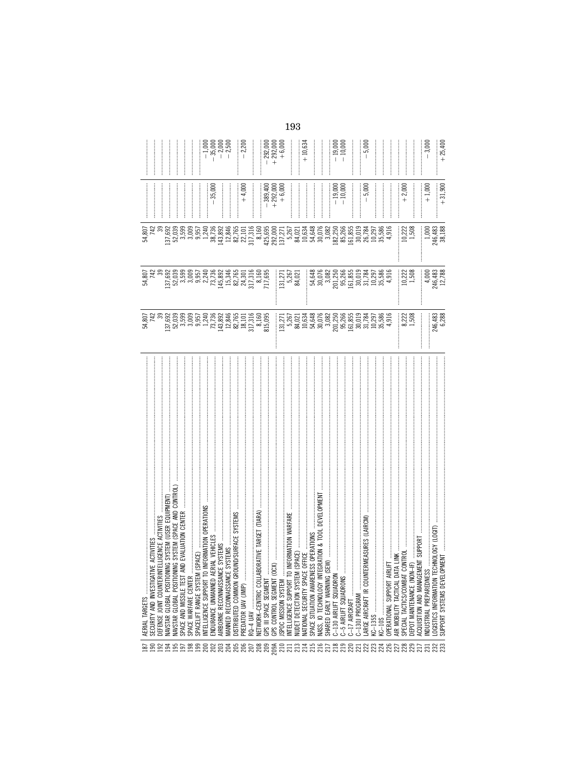| $\frac{6}{2}$     | AERIAL TARGETS                                            |                                                                                                                                                                                                                                                                                                                                                    |                                                                                                                                                                                          |                                                                                                                                                                                                                                      |                                    |                                               |
|-------------------|-----------------------------------------------------------|----------------------------------------------------------------------------------------------------------------------------------------------------------------------------------------------------------------------------------------------------------------------------------------------------------------------------------------------------|------------------------------------------------------------------------------------------------------------------------------------------------------------------------------------------|--------------------------------------------------------------------------------------------------------------------------------------------------------------------------------------------------------------------------------------|------------------------------------|-----------------------------------------------|
|                   | CTIVITIES<br>SECURITY AND INVESTIGATIVE                   |                                                                                                                                                                                                                                                                                                                                                    |                                                                                                                                                                                          |                                                                                                                                                                                                                                      |                                    |                                               |
|                   | IGENCE ACTIVITIES<br>DEFENSE JOINT COUNTERINTE            |                                                                                                                                                                                                                                                                                                                                                    |                                                                                                                                                                                          |                                                                                                                                                                                                                                      |                                    |                                               |
| 23.58             | NAVSTAR GLOBAL POSITIONIN                                 |                                                                                                                                                                                                                                                                                                                                                    |                                                                                                                                                                                          |                                                                                                                                                                                                                                      |                                    |                                               |
|                   | NAVSTAR GLOBAL POSITIONIN                                 |                                                                                                                                                                                                                                                                                                                                                    | 137,692<br>52,039                                                                                                                                                                        |                                                                                                                                                                                                                                      |                                    |                                               |
| 197               | SPACE AND MISSILE TEST AN                                 |                                                                                                                                                                                                                                                                                                                                                    | 3,599                                                                                                                                                                                    |                                                                                                                                                                                                                                      |                                    |                                               |
| 198               | SPACE WARFARE CENTER                                      |                                                                                                                                                                                                                                                                                                                                                    |                                                                                                                                                                                          |                                                                                                                                                                                                                                      |                                    |                                               |
| <b>99</b>         | PACE)<br>SPACELIFT RANGE SYSTEM (SI                       |                                                                                                                                                                                                                                                                                                                                                    | 3,005                                                                                                                                                                                    |                                                                                                                                                                                                                                      |                                    |                                               |
| 200               | <b>IFORMATION OPERATIONS</b><br>NTELLIGENCE SUPPORT TO IN |                                                                                                                                                                                                                                                                                                                                                    | 2,240                                                                                                                                                                                    |                                                                                                                                                                                                                                      |                                    |                                               |
|                   |                                                           |                                                                                                                                                                                                                                                                                                                                                    |                                                                                                                                                                                          |                                                                                                                                                                                                                                      | $-35,000$                          | $-1,000$<br>$-35,000$<br>$-2,500$<br>$-2,500$ |
| ន្តន្តន្តន្ត      |                                                           |                                                                                                                                                                                                                                                                                                                                                    | $\begin{array}{r} 73,736 \\ 145,892 \\ 15,346 \\ 82,765 \\ 311,316 \\ 811,311 \\ 811,695 \\ 717,695 \\ \end{array}$                                                                      |                                                                                                                                                                                                                                      |                                    |                                               |
|                   |                                                           |                                                                                                                                                                                                                                                                                                                                                    |                                                                                                                                                                                          |                                                                                                                                                                                                                                      |                                    |                                               |
|                   |                                                           |                                                                                                                                                                                                                                                                                                                                                    |                                                                                                                                                                                          |                                                                                                                                                                                                                                      |                                    |                                               |
|                   | PREDATOR UAV (JMIP)                                       |                                                                                                                                                                                                                                                                                                                                                    |                                                                                                                                                                                          |                                                                                                                                                                                                                                      | $+4,000$                           | $-2,200$                                      |
|                   |                                                           |                                                                                                                                                                                                                                                                                                                                                    |                                                                                                                                                                                          |                                                                                                                                                                                                                                      |                                    |                                               |
| 208               | RATIVE TARGET (TIARA<br>NETWORK-CENTRIC COLLABO           |                                                                                                                                                                                                                                                                                                                                                    |                                                                                                                                                                                          |                                                                                                                                                                                                                                      |                                    |                                               |
| 209               | GPS III SPACE SEGMENT                                     |                                                                                                                                                                                                                                                                                                                                                    |                                                                                                                                                                                          |                                                                                                                                                                                                                                      |                                    |                                               |
| 209A              | GPS CONTROL SEGMENT (OCX                                  |                                                                                                                                                                                                                                                                                                                                                    |                                                                                                                                                                                          |                                                                                                                                                                                                                                      |                                    |                                               |
|                   | <b>ISPOC MISSION SYSTEM</b>                               |                                                                                                                                                                                                                                                                                                                                                    | $\begin{array}{c} 1.771 \\ 1.771 \\ 5.267 \\ 84.021 \end{array}$                                                                                                                         |                                                                                                                                                                                                                                      | $389,400$<br>$292,000$<br>$+6,000$ | $-292,000$<br>$-292,000$<br>$+6,000$          |
| $\frac{210}{211}$ | FORMATION WARFARE<br>NTELLIGENCE SUPPORT TO IN            |                                                                                                                                                                                                                                                                                                                                                    |                                                                                                                                                                                          |                                                                                                                                                                                                                                      |                                    |                                               |
| 213               | NUDET DETECTION SYSTEM (S)                                |                                                                                                                                                                                                                                                                                                                                                    |                                                                                                                                                                                          |                                                                                                                                                                                                                                      |                                    |                                               |
|                   | NATIONAL SECURITY SPACE OF                                |                                                                                                                                                                                                                                                                                                                                                    |                                                                                                                                                                                          |                                                                                                                                                                                                                                      |                                    | $+10,634$                                     |
| 215               | <b>OPERATIONS</b><br>SPACE SITUATION AWARENESS            |                                                                                                                                                                                                                                                                                                                                                    | 54,648                                                                                                                                                                                   |                                                                                                                                                                                                                                      |                                    |                                               |
| 216               | ATION & TOOL DEVELOPMENT<br>NASS, IO TECHNOLOGY INTEGR    |                                                                                                                                                                                                                                                                                                                                                    | 30,076                                                                                                                                                                                   |                                                                                                                                                                                                                                      |                                    |                                               |
|                   | SHARED EARLY WARNING (SE)                                 |                                                                                                                                                                                                                                                                                                                                                    |                                                                                                                                                                                          |                                                                                                                                                                                                                                      |                                    |                                               |
|                   | C-130 AIRLIFT SQUADRON                                    |                                                                                                                                                                                                                                                                                                                                                    |                                                                                                                                                                                          |                                                                                                                                                                                                                                      | $-19,000$<br>$-10,000$             | $-19,000$<br>$-10,000$                        |
|                   | C-5 AIRLIFT SQUADRONS                                     |                                                                                                                                                                                                                                                                                                                                                    |                                                                                                                                                                                          |                                                                                                                                                                                                                                      |                                    |                                               |
| 220               |                                                           |                                                                                                                                                                                                                                                                                                                                                    |                                                                                                                                                                                          |                                                                                                                                                                                                                                      |                                    | l                                             |
|                   | C-130J PROGRAM                                            |                                                                                                                                                                                                                                                                                                                                                    |                                                                                                                                                                                          |                                                                                                                                                                                                                                      |                                    |                                               |
|                   | MEASURES (LAIRCM)<br>LARGE AIRCRAFT IR COUNTER            |                                                                                                                                                                                                                                                                                                                                                    |                                                                                                                                                                                          |                                                                                                                                                                                                                                      | $-5,000$                           | $-5,000$                                      |
|                   |                                                           |                                                                                                                                                                                                                                                                                                                                                    |                                                                                                                                                                                          |                                                                                                                                                                                                                                      |                                    |                                               |
|                   | $KC-10S$                                                  |                                                                                                                                                                                                                                                                                                                                                    |                                                                                                                                                                                          |                                                                                                                                                                                                                                      |                                    |                                               |
|                   | OPERATIONAL SUPPORT AIRLIFT                               | $\begin{array}{l} \Xi_1,\Xi_2,\Xi_3\\ \Xi_4,\Xi_5,\Xi_6\Xi_7,\Xi_8,\Xi_8,\Xi_8,\Xi_8,\Xi_8,\Xi_9\\ \Xi_1,\Xi_2,\Xi_3,\Xi_4,\Xi_6,\Xi_7,\Xi_8,\Xi_8,\Xi_8,\\ \Xi_1,\Xi_2,\Xi_3,\Xi_6,\Xi_7,\Xi_8,\Xi_8,\\ \Xi_1,\Xi_2,\Xi_3,\Xi_6,\Xi_7,\Xi_8,\Xi_8,\\ \Xi_1,\Xi_2,\Xi_3,\Xi_6,\Xi_7,\Xi_8,\\ \Xi_1,\Xi_2,\Xi_3,\Xi_6,\Xi_7,\Xi_8,\\ \Xi_1,\Xi_2,\$ | $\begin{array}{c} 3,082 \\ 201,256 \\ 95,265 \\ 161,385 \\ 30,019 \\ 31,784 \\ 19,789 \\ 19,856 \\ 19,789 \\ 19,789 \\ 19,86 \\ 19,191 \\ 10,192 \\ 10 \\ 10 \\ 10 \\ 10 \\ \end{array}$ | $\Xi^{N}_{\alpha}$ and a state of the state of the state of the state of the state of the state of the state of the state of the state of the state of the state of the state of the state of the state of the state of the state of |                                    |                                               |
| 27                | AIR MOBILITY TACTICAL DATA                                |                                                                                                                                                                                                                                                                                                                                                    |                                                                                                                                                                                          |                                                                                                                                                                                                                                      |                                    |                                               |
| 228               | LINK<br>DNTROL<br>SPECIAL TACTICS/COMBAT CC               |                                                                                                                                                                                                                                                                                                                                                    |                                                                                                                                                                                          |                                                                                                                                                                                                                                      | $+2,000$                           |                                               |
| 229               | DEPOT MAINTENANCE (NON-IF)                                | $\frac{1}{8}$ , $\frac{2}{2}$                                                                                                                                                                                                                                                                                                                      | 10,22                                                                                                                                                                                    | 10,222<br>1,508                                                                                                                                                                                                                      |                                    |                                               |
| 217               | NT SUPPORT<br>ACQUISITION AND MANAGEME                    |                                                                                                                                                                                                                                                                                                                                                    |                                                                                                                                                                                          |                                                                                                                                                                                                                                      |                                    |                                               |
| 231               | NDUSTRIAL PREPAREDNESS                                    |                                                                                                                                                                                                                                                                                                                                                    |                                                                                                                                                                                          |                                                                                                                                                                                                                                      | $+1,000$                           |                                               |
| 232<br>233        | NOLOGY (LOGIT)<br>.OGISTICS INFORMATION TEC               | 246,483<br>6,288                                                                                                                                                                                                                                                                                                                                   | $\begin{array}{c} 4,000 \\ 246,483 \\ 12,788 \end{array}$                                                                                                                                | $1,000$<br>$1,000$<br>$1,483$<br>$38,188$                                                                                                                                                                                            |                                    |                                               |
|                   | SUPPORT SYSTEMS DEVELOPM                                  |                                                                                                                                                                                                                                                                                                                                                    |                                                                                                                                                                                          |                                                                                                                                                                                                                                      | $+31,900$                          | $+25,400$                                     |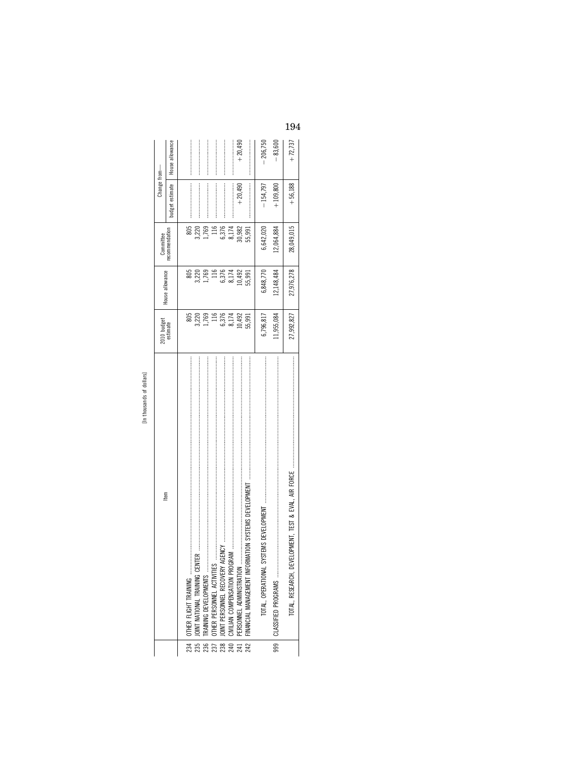|   | c<br>າ                 |
|---|------------------------|
| τ | c                      |
|   | ъ                      |
| ⊒ | s<br>᠊ᡄ<br>ċ<br>Ğ<br>s |
|   |                        |

|                                           | ltem                                                                                                                                                                                                                                                           | 2010 budget<br>estimate | House allowance          | Committee      | Change from-    |                 |
|-------------------------------------------|----------------------------------------------------------------------------------------------------------------------------------------------------------------------------------------------------------------------------------------------------------------|-------------------------|--------------------------|----------------|-----------------|-----------------|
|                                           |                                                                                                                                                                                                                                                                |                         |                          | recommendation | budget estimate | House allowance |
|                                           |                                                                                                                                                                                                                                                                |                         |                          |                |                 |                 |
| 234                                       | OTHER FLIGHT TRAINING                                                                                                                                                                                                                                          | 805                     | 805                      | 805            |                 |                 |
| $\begin{array}{c} 235 \\ 236 \end{array}$ |                                                                                                                                                                                                                                                                | 3,220                   | 3,220                    | 3,220          |                 |                 |
|                                           |                                                                                                                                                                                                                                                                | 1,769                   | 1,769                    | 1,769          |                 |                 |
| 237                                       | $\mathbf{E}$ , and a component construction of the construction of the construction of the construction of the construction of the construction of the construction of the construction of the construction of the construction o<br>OTHER PERSONNEL ACTIVITIE | 116                     | $\frac{116}{116}$        | 116            |                 |                 |
|                                           | 238 JOINT PERSONNEL RECOVERY<br>240 CIVILIAN COMPENSATION PRO                                                                                                                                                                                                  | 6,376                   |                          | 6,376          |                 |                 |
|                                           |                                                                                                                                                                                                                                                                | 8,174                   | 6,376<br>8,174<br>10,492 | 8,174          |                 |                 |
| 242<br>242                                | PERSONNEL ADMINISTRATION                                                                                                                                                                                                                                       | 10,492                  |                          | 10,982         | $+20.490$       | $+20,490$       |
|                                           |                                                                                                                                                                                                                                                                | 55,991                  | 55,991                   | 55,991         |                 |                 |
|                                           | TOTAL, OPERATIONAL                                                                                                                                                                                                                                             | 6,796,817               | 6,848,770                | 6,642,020      | $-154,797$      | $-206,750$      |
|                                           |                                                                                                                                                                                                                                                                | 11,955,084              | 12, 148, 484             | 12,064,884     | $+109.800$      | $-83,600$       |
|                                           | TOTAL, RESEARCH,                                                                                                                                                                                                                                               | 27,992,827              | 27,976,278               | 28,049,015     | $+56,188$       | $+72,737$       |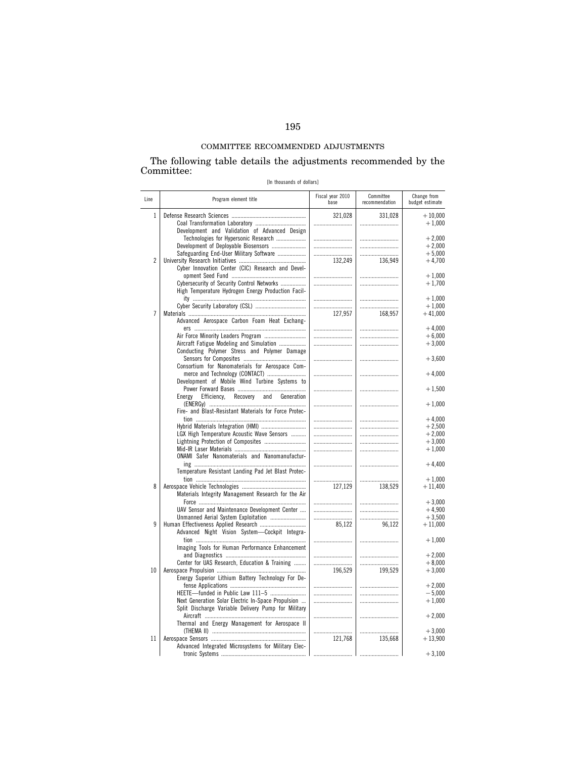# COMMITTEE RECOMMENDED ADJUSTMENTS

#### The following table details the adjustments recommended by the Committee:

[In thousands of dollars]

| Line           | Program element title                                 | Fiscal year 2010<br>base | Committee<br>recommendation | Change from<br>budget estimate |
|----------------|-------------------------------------------------------|--------------------------|-----------------------------|--------------------------------|
| $\mathbf{1}$   |                                                       | 321,028                  | 331,028                     | $+10,000$                      |
|                |                                                       |                          |                             | $+1,000$                       |
|                | Development and Validation of Advanced Design         |                          |                             |                                |
|                | Technologies for Hypersonic Research                  |                          |                             | $+2,000$                       |
|                | Development of Deployable Biosensors                  |                          |                             | $+2,000$                       |
|                | Safeguarding End-User Military Software               |                          |                             | $+5,000$                       |
| $\overline{2}$ |                                                       | 132,249                  | 136,949                     | $+4,700$                       |
|                | Cyber Innovation Center (CIC) Research and Devel-     |                          |                             |                                |
|                |                                                       |                          |                             | $+1,000$                       |
|                | Cybersecurity of Security Control Networks            |                          |                             | $+1,700$                       |
|                | High Temperature Hydrogen Energy Production Facil-    |                          |                             |                                |
|                |                                                       |                          |                             | $+1,000$                       |
|                |                                                       |                          |                             | $+1,000$                       |
| $\overline{7}$ |                                                       | 127,957                  | 168,957                     | $+41,000$                      |
|                | Advanced Aerospace Carbon Foam Heat Exchang-          |                          |                             |                                |
|                |                                                       |                          |                             | $+4.000$                       |
|                |                                                       |                          |                             | $+6,000$                       |
|                | Aircraft Fatigue Modeling and Simulation              |                          |                             | $+3,000$                       |
|                | Conducting Polymer Stress and Polymer Damage          |                          |                             |                                |
|                |                                                       |                          |                             | $+3,600$                       |
|                | Consortium for Nanomaterials for Aerospace Com-       |                          |                             |                                |
|                | merce and Technology (CONTACT)                        |                          |                             | $+4,000$                       |
|                | Development of Mobile Wind Turbine Systems to         |                          |                             |                                |
|                | Efficiency,                                           |                          |                             | $+1,500$                       |
|                | Recovery and<br>Energy<br>Generation                  |                          |                             | $+1,000$                       |
|                | Fire- and Blast-Resistant Materials for Force Protec- |                          |                             |                                |
|                |                                                       |                          |                             | $+4,000$                       |
|                |                                                       |                          |                             | $+2,500$                       |
|                | LGX High Temperature Acoustic Wave Sensors            |                          |                             | $+2,000$                       |
|                | Lightning Protection of Composites                    |                          |                             | $+3,000$                       |
|                |                                                       |                          |                             | $+1,000$                       |
|                | <b>ONAMI</b> Safer Nanomaterials and Nanomanufactur-  |                          |                             |                                |
|                |                                                       |                          |                             | $+4,400$                       |
|                | Temperature Resistant Landing Pad Jet Blast Protec-   |                          |                             |                                |
|                |                                                       |                          |                             | $+1,000$                       |
| 8              |                                                       | 127,129                  | 138,529                     | $+11,400$                      |
|                | Materials Integrity Management Research for the Air   |                          |                             |                                |
|                |                                                       |                          |                             | $+3,000$                       |
|                | UAV Sensor and Maintenance Development Center         |                          |                             | $+4,900$                       |
|                | Unmanned Aerial System Exploitation                   |                          |                             | $+3,500$                       |
| 9              |                                                       | 85,122                   | 96,122                      | $+11,000$                      |
|                | Advanced Night Vision System-Cockpit Integra-         |                          |                             |                                |
|                |                                                       |                          |                             | $+1,000$                       |
|                | Imaging Tools for Human Performance Enhancement       |                          |                             |                                |
|                |                                                       |                          |                             | $+2,000$                       |
|                | Center for UAS Research, Education & Training         |                          |                             | $+8,000$                       |
| 10             |                                                       | 196,529                  | 199,529                     | $+3,000$                       |
|                | Energy Superior Lithium Battery Technology For De-    |                          |                             |                                |
|                |                                                       |                          |                             | $+2,000$                       |
|                | HEETE-funded in Public Law 111-5                      |                          |                             | $-5,000$                       |
|                | Next Generation Solar Electric In-Space Propulsion    |                          |                             | $+1,000$                       |
|                | Split Discharge Variable Delivery Pump for Military   |                          |                             |                                |
|                |                                                       |                          |                             | $+2,000$                       |
|                | Thermal and Energy Management for Aerospace II        |                          |                             |                                |
|                |                                                       |                          |                             | $+3,000$                       |
| 11             |                                                       | 121,768                  | 135,668                     | $+13,900$                      |
|                | Advanced Integrated Microsystems for Military Elec-   |                          |                             |                                |
|                |                                                       |                          |                             | $+3,100$                       |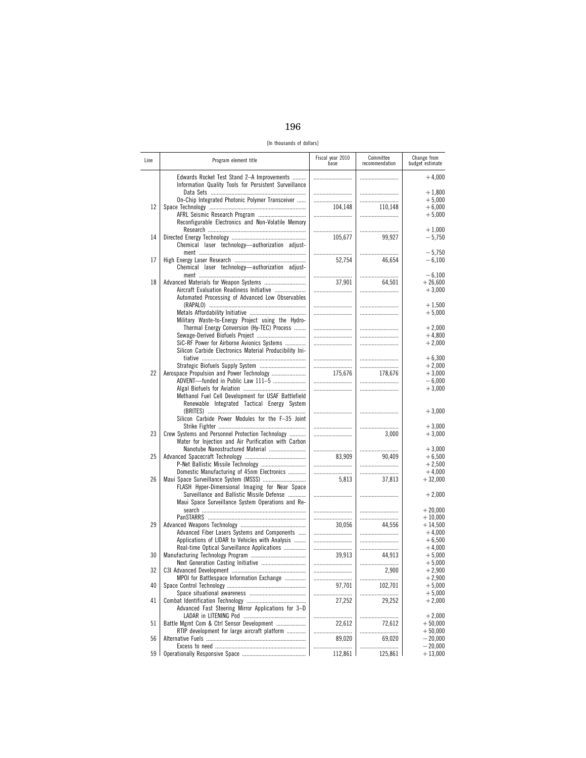| I<br>۰.<br>×<br>۰.<br>×<br>۰. |  |
|-------------------------------|--|
|-------------------------------|--|

[In thousands of dollars]

| Line | Program element title                                                                                    | Fiscal year 2010<br>base | Committee<br>recommendation | Change from<br>budget estimate               |
|------|----------------------------------------------------------------------------------------------------------|--------------------------|-----------------------------|----------------------------------------------|
|      | Edwards Rocket Test Stand 2-A Improvements<br>Information Quality Tools for Persistent Surveillance      |                          |                             | $+4,000$                                     |
| 12   | On-Chip Integrated Photonic Polymer Transceiver<br>AFRL Seismic Research Program                         | <br>104,148              | 110.148                     | $+1,800$<br>$+5,000$<br>$+6,000$<br>$+5.000$ |
| 14   | Reconfigurable Electronics and Non-Volatile Memory                                                       | 105,677                  | 99,927                      | $+1,000$<br>$-5,750$                         |
|      | Chemical laser technology-authorization adjust-                                                          |                          |                             | $-5,750$                                     |
| 17   | Chemical laser technology-authorization adjust-                                                          | 52,754<br>               | 46,654                      | $-6,100$<br>$-6,100$                         |
| 18   | Aircraft Evaluation Readiness Initiative<br>Automated Processing of Advanced Low Observables             | 37,901<br>               | 64,501<br>                  | $+26,600$<br>$+3,000$                        |
|      | Military Waste-to-Energy Project using the Hydro-                                                        | <br>                     | <br>                        | $+1,500$<br>$+5,000$                         |
|      | Thermal Energy Conversion (Hy-TEC) Process<br>SiC-RF Power for Airborne Avionics Systems                 | <br>                     |                             | $+2,000$<br>$+4,800$<br>$+2,000$             |
|      | Silicon Carbide Electronics Material Producibility Ini-                                                  |                          |                             | $+6,300$                                     |
| 22   | Aerospace Propulsion and Power Technology<br>ADVENT-funded in Public Law 111-5                           | <br>175,676<br>          | <br>178,676                 | $+2,000$<br>$+3,000$<br>$-6,000$             |
|      | Methanol Fuel Cell Development for USAF Battlefield<br>Renewable Integrated Tactical Energy System       |                          |                             | $+3,000$                                     |
|      | Silicon Carbide Power Modules for the F-35 Joint                                                         |                          | <br>                        | $+3,000$<br>$+3,000$                         |
| 23   | Crew Systems and Personnel Protection Technology<br>Water for Injection and Air Purification with Carbon |                          | 3,000                       | $+3,000$                                     |
| 25   | Nanotube Nanostructured Material                                                                         | 83,909<br>               | 90,409<br>                  | $+3,000$<br>$+6,500$<br>$+2,500$             |
| 26   | Domestic Manufacturing of 45nm Electronics<br>FLASH Hyper-Dimensional Imaging for Near Space             | <br>5,813                | 37,813                      | $+4,000$<br>$+32,000$                        |
|      | Surveillance and Ballistic Missile Defense<br>Maui Space Surveillance System Operations and Re-          |                          |                             | $+2,000$                                     |
| 29   |                                                                                                          |                          |                             | $+20,000$<br>$+10,000$<br>$+14,500$          |
|      | Advanced Fiber Lasers Systems and Components<br>Applications of LIDAR to Vehicles with Analysis          | 30,056<br>               | 44,556<br>                  | $+4,000$<br>$+6,500$<br>$+4,000$             |
| 30   | Real-time Optical Surveillance Applications<br>Next Generation Casting Initiative                        | <br>39.913<br>           | <br>44,913                  | $+5,000$<br>$+5,000$                         |
| 32   | MPOI for Battlespace Information Exchange                                                                | <br>                     | 2,900<br>                   | $+2,900$<br>$+2,900$                         |
| 40   |                                                                                                          | 97,701<br>               | 102,701<br>                 | $+5,000$<br>$+5,000$                         |
| 41   | Advanced Fast Steering Mirror Applications for 3-D                                                       | 27,252                   | 29,252                      | $+2,000$<br>$+2,000$                         |
| 51   | Battle Mgmt Com & Ctrl Sensor Development<br>RTIP development for large aircraft platform                | .<br>22,612              | 72,612                      | $+50,000$<br>$+50,000$                       |
| 56   |                                                                                                          | 89,020                   | 69,020                      | $-20,000$<br>$-20,000$                       |
| 59   |                                                                                                          | 112,861                  | 125,861                     | $+13,000$                                    |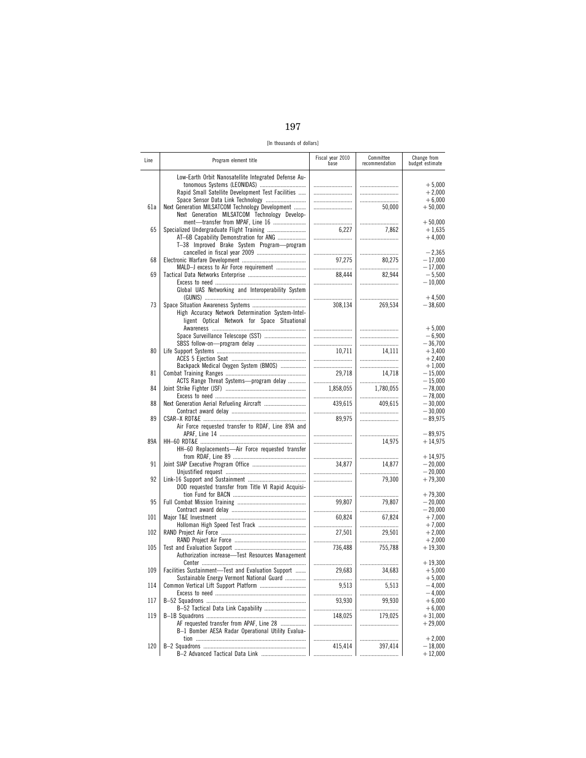| I<br>۰.<br>×<br>I |  |
|-------------------|--|
|-------------------|--|

[In thousands of dollars]

| Line | Program element title                                                                                                                    | Fiscal year 2010<br>base | Committee<br>recommendation | Change from<br>budget estimate     |
|------|------------------------------------------------------------------------------------------------------------------------------------------|--------------------------|-----------------------------|------------------------------------|
|      | Low-Earth Orbit Nanosatellite Integrated Defense Au-<br>tonomous Systems (LEONIDAS)<br>Rapid Small Satellite Development Test Facilities | <br>                     | <br>                        | $+5,000$<br>$+2,000$<br>$+6,000$   |
| 61a  | Next Generation MILSATCOM Technology Development<br>Next Generation MILSATCOM Technology Develop-<br>ment-transfer from MPAF, Line 16    |                          | 50,000<br>                  | $+50,000$<br>$+50,000$             |
| 65   | AT-6B Capability Demonstration for ANG<br>T-38 Improved Brake System Program-program                                                     | 6,227                    | 7,862<br>                   | $+1,635$<br>$+4,000$               |
| 68   |                                                                                                                                          |                          |                             | $-2,365$                           |
|      |                                                                                                                                          | 97,275                   | 80,275                      | $-17,000$                          |
| 69   | MALD-J excess to Air Force requirement<br>Global UAS Networking and Interoperability System                                              | 88,444                   | 82,944                      | $-17,000$<br>$-5,500$<br>$-10,000$ |
| 73   | High Accuracy Network Determination System-Intel-<br>ligent Optical Network for Space Situational                                        | <br>308,134              | <br>269,534                 | $+4,500$<br>$-38,600$              |
|      |                                                                                                                                          |                          |                             | $+5,000$                           |
|      | Space Surveillance Telescope (SST)                                                                                                       |                          |                             | $-6,900$                           |
| 80   |                                                                                                                                          |                          |                             | $-36,700$                          |
|      |                                                                                                                                          | 10,711                   | 14.111                      | $+3,400$                           |
|      |                                                                                                                                          |                          |                             | $+2,400$                           |
| 81   | Backpack Medical Oxygen System (BMOS)                                                                                                    |                          |                             | $+1,000$                           |
|      |                                                                                                                                          | 29.718                   | 14,718                      | $-15,000$                          |
|      | ACTS Range Threat Systems-program delay                                                                                                  |                          |                             | $-15.000$                          |
| 84   |                                                                                                                                          | 1,858,055                | 1,780,055                   | $-78,000$                          |
|      |                                                                                                                                          |                          |                             | $-78,000$                          |
| 88   |                                                                                                                                          | 439,615                  | 409,615                     | $-30,000$                          |
|      |                                                                                                                                          |                          |                             | $-30,000$                          |
| 89   | Air Force requested transfer to RDAF, Line 89A and                                                                                       | 89,975<br>               |                             | $-89,975$<br>$-89,975$             |
| 89A  | HH-60 Replacements-Air Force requested transfer                                                                                          | <br>                     | 14,975<br>                  | $+14,975$<br>$+14,975$             |
| 91   |                                                                                                                                          | 34.877                   | 14,877                      | $-20,000$                          |
|      |                                                                                                                                          |                          |                             | $-20,000$                          |
| 92   | DOD requested transfer from Title VI Rapid Acquisi-                                                                                      |                          | 79,300                      | $+79,300$                          |
| 95   |                                                                                                                                          |                          |                             | $+79,300$                          |
|      |                                                                                                                                          | 99,807                   | 79,807                      | $-20,000$                          |
|      |                                                                                                                                          |                          |                             | $-20,000$                          |
| 101  |                                                                                                                                          | 60,824                   | 67,824                      | $+7,000$                           |
|      |                                                                                                                                          |                          |                             | $+7,000$                           |
| 102  |                                                                                                                                          | 27,501                   | 29,501                      | $+2,000$                           |
|      |                                                                                                                                          |                          |                             | $+2,000$                           |
| 105  | Authorization increase-Test Resources Management                                                                                         | 736,488<br>              | 755,788                     | $+19,300$<br>$+19,300$             |
| 109  | Facilities Sustainment-Test and Evaluation Support<br>Sustainable Energy Vermont National Guard                                          | 29,683                   | 34,683                      | $+5,000$<br>$+5,000$               |
| 114  | Common Vertical Lift Support Platform                                                                                                    | 9,513                    | 5,513                       | $-4,000$                           |
|      |                                                                                                                                          |                          |                             | $-4,000$                           |
| 117  |                                                                                                                                          | 93,930                   | 99,930                      | $+6,000$                           |
|      |                                                                                                                                          |                          |                             | $+6,000$                           |
| 119  | AF requested transfer from APAF, Line 28<br>B-1 Bomber AESA Radar Operational Utility Evalua-                                            | 148,025<br>              | 179,025<br>                 | $+31,000$<br>$+29,000$             |
| 120  |                                                                                                                                          |                          |                             | $+2,000$                           |
|      |                                                                                                                                          | 415,414                  | 397,414                     | $-18,000$                          |
|      | B-2 Advanced Tactical Data Link                                                                                                          |                          |                             | $+12,000$                          |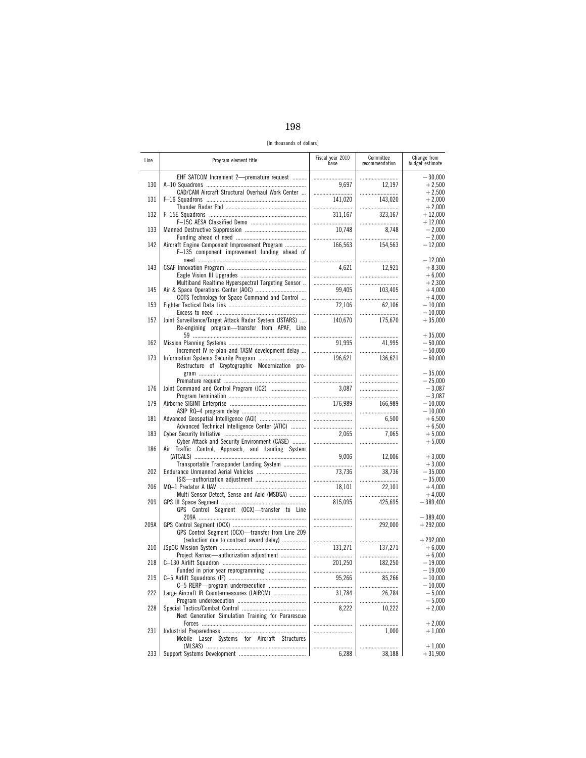[In thousands of dollars]

| Line       | Program element title                                                                                  | Fiscal year 2010<br>base | Committee<br>recommendation | Change from<br>budget estimate      |
|------------|--------------------------------------------------------------------------------------------------------|--------------------------|-----------------------------|-------------------------------------|
| 130        | EHF SATCOM Increment 2-premature request                                                               |                          |                             | $-30,000$                           |
|            |                                                                                                        | 9,697                    | 12,197                      | $+2,500$                            |
| 131        | CAD/CAM Aircraft Structural Overhaul Work Center                                                       |                          |                             | $+2,500$                            |
|            |                                                                                                        | 141,020                  | 143,020                     | $+2,000$                            |
| 132        |                                                                                                        |                          |                             | $+2,000$                            |
|            |                                                                                                        | 311.167                  | 323,167                     | $+12,000$                           |
|            |                                                                                                        |                          |                             | $+12,000$                           |
| 133        |                                                                                                        | 10,748                   | 8,748                       | $-2,000$                            |
|            |                                                                                                        |                          |                             | $-2,000$                            |
| 142        | Aircraft Engine Component Improvement Program<br>F-135 component improvement funding ahead of          | 166,563                  | 154,563                     | $-12,000$                           |
| 143        |                                                                                                        |                          |                             | $-12,000$                           |
|            |                                                                                                        | 4,621                    | 12,921                      | $+8,300$                            |
|            |                                                                                                        |                          |                             | $+6,000$                            |
| 145        | Multiband Realtime Hyperspectral Targeting Sensor                                                      |                          |                             | $+2,300$                            |
|            |                                                                                                        |                          | 103,405                     | $+4,000$                            |
| 153        | COTS Technology for Space Command and Control                                                          | 72,106                   | <br>62,106                  | $+4,000$<br>$-10,000$<br>$-10,000$  |
| 157        | Joint Surveillance/Target Attack Radar System (JSTARS)<br>Re-engining program-transfer from APAF, Line | 140,670                  | <br>175,670                 | $+35,000$                           |
| 162        | Increment IV re-plan and TASM development delay                                                        | <br>91,995               | <br>41,995                  | $+35,000$<br>$-50,000$<br>$-50,000$ |
| 173        | Restructure of Cryptographic Modernization pro-                                                        | 196,621                  | <br>136,621                 | $-60,000$                           |
|            |                                                                                                        |                          |                             | $-35,000$                           |
|            |                                                                                                        |                          |                             | $-25.000$                           |
| 176<br>179 |                                                                                                        | 3,087<br><br>176.989     | <br><br>166.989             | $-3.087$<br>$-3,087$<br>$-10,000$   |
| 181        |                                                                                                        |                          |                             | $-10,000$                           |
|            |                                                                                                        |                          | 6,500                       | $+6,500$                            |
| 183        | Advanced Technical Intelligence Center (ATIC)                                                          |                          |                             | $+6,500$                            |
|            |                                                                                                        | 2,065                    | 7,065                       | $+5,000$                            |
| 186        | Cyber Attack and Security Environment (CASE)<br>Air Traffic Control, Approach, and Landing System      | 9,006                    | <br>12,006                  | $+5,000$<br>$+3,000$                |
| 202        | Transportable Transponder Landing System                                                               |                          |                             | $+3,000$                            |
|            |                                                                                                        | 73,736                   | 38,736                      | $-35,000$                           |
| 206        |                                                                                                        |                          |                             | $-35,000$                           |
|            |                                                                                                        | 18,101                   | 22,101                      | $+4,000$                            |
|            | Multi Sensor Detect, Sense and Aoid (MSDSA)                                                            |                          |                             | $+4,000$                            |
| 209        | GPS Control Segment (OCX)-transfer to Line                                                             | 815,095                  | 425,695                     | - 389,400                           |
| 209A       | GPS Control Segment (OCX)-transfer from Line 209                                                       |                          | <br>292,000                 | $-389,400$<br>$+292,000$            |
| 210        | (reduction due to contract award delay)                                                                |                          |                             | $+292,000$                          |
|            |                                                                                                        | 131.271                  | 137,271                     | $+6,000$                            |
| 218        | Project Karnac-authorization adjustment                                                                |                          |                             | $+6.000$                            |
|            |                                                                                                        | 201,250                  | 182,250                     | $-19.000$                           |
| 219        |                                                                                                        |                          |                             | $-19,000$                           |
|            |                                                                                                        | 95,266                   | 85,266                      | $-10,000$                           |
|            | C-5 RERP-program underexecution                                                                        |                          |                             | $-10,000$                           |
| 222        | Large Aircraft IR Countermeasures (LAIRCM)                                                             | 31,784                   | 26,784                      | $-5,000$                            |
|            |                                                                                                        |                          |                             | $-5,000$                            |
| 228        | Next Generation Simulation Training for Pararescue                                                     | 8,222                    | 10,222                      | $+2,000$                            |
| 231        | Mobile Laser Systems for Aircraft Structures                                                           |                          | <br>1,000                   | $+2,000$<br>$+1,000$                |
| 233        |                                                                                                        | 6,288                    | <br>38,188                  | $+1,000$<br>$+31,900$               |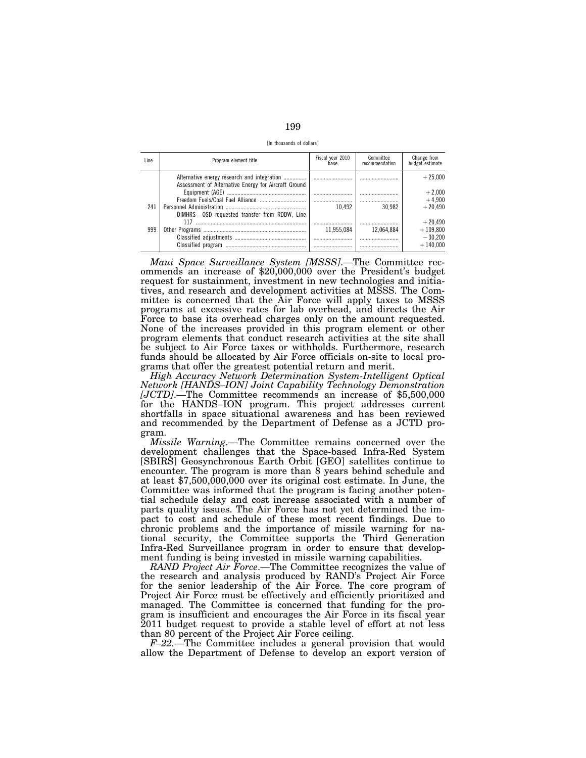| I<br>I<br>×<br>۰.<br>۰.<br>× |
|------------------------------|
|------------------------------|

[In thousands of dollars]

| Line | Program element title                                                                               | Fiscal year 2010<br>base | Committee<br>recommendation | Change from<br>budget estimate |
|------|-----------------------------------------------------------------------------------------------------|--------------------------|-----------------------------|--------------------------------|
|      | Alternative energy research and integration<br>Assessment of Alternative Energy for Aircraft Ground |                          |                             | $+25.000$                      |
|      |                                                                                                     |                          |                             | $+2.000$<br>$+4.900$           |
| 241  |                                                                                                     | 10.492                   | 30.982                      | $+20.490$                      |
|      | DIMHRS-0SD requested transfer from RDDW, Line                                                       |                          |                             |                                |
|      | 117                                                                                                 |                          |                             | $+20.490$                      |
| 999  |                                                                                                     | 11.955.084               | 12.064.884                  | $+109.800$                     |
|      |                                                                                                     |                          |                             | $-30.200$                      |
|      |                                                                                                     |                          |                             | $+140.000$                     |

*Maui Space Surveillance System [MSSS]*.—The Committee recommends an increase of \$20,000,000 over the President's budget request for sustainment, investment in new technologies and initiatives, and research and development activities at MSSS. The Committee is concerned that the Air Force will apply taxes to MSSS programs at excessive rates for lab overhead, and directs the Air Force to base its overhead charges only on the amount requested. None of the increases provided in this program element or other program elements that conduct research activities at the site shall be subject to Air Force taxes or withholds. Furthermore, research funds should be allocated by Air Force officials on-site to local programs that offer the greatest potential return and merit.

*High Accuracy Network Determination System-Intelligent Optical Network [HANDS–ION] Joint Capability Technology Demonstration [JCTD]*.—The Committee recommends an increase of \$5,500,000 for the HANDS–ION program. This project addresses current shortfalls in space situational awareness and has been reviewed and recommended by the Department of Defense as a JCTD program.

*Missile Warning*.—The Committee remains concerned over the development challenges that the Space-based Infra-Red System [SBIRS] Geosynchronous Earth Orbit [GEO] satellites continue to encounter. The program is more than 8 years behind schedule and at least \$7,500,000,000 over its original cost estimate. In June, the Committee was informed that the program is facing another potential schedule delay and cost increase associated with a number of parts quality issues. The Air Force has not yet determined the impact to cost and schedule of these most recent findings. Due to chronic problems and the importance of missile warning for national security, the Committee supports the Third Generation Infra-Red Surveillance program in order to ensure that development funding is being invested in missile warning capabilities.

*RAND Project Air Force*.—The Committee recognizes the value of the research and analysis produced by RAND's Project Air Force for the senior leadership of the Air Force. The core program of Project Air Force must be effectively and efficiently prioritized and managed. The Committee is concerned that funding for the program is insufficient and encourages the Air Force in its fiscal year 2011 budget request to provide a stable level of effort at not less than 80 percent of the Project Air Force ceiling.

*F–22.*—The Committee includes a general provision that would allow the Department of Defense to develop an export version of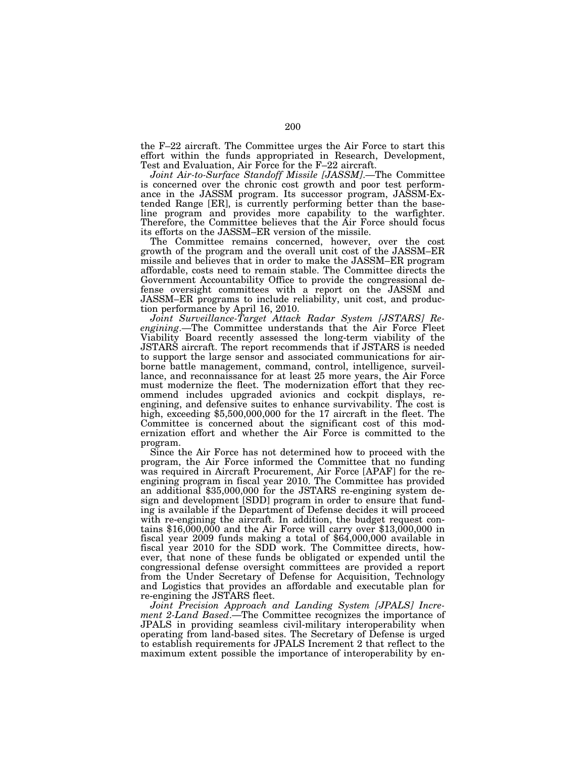the F–22 aircraft. The Committee urges the Air Force to start this effort within the funds appropriated in Research, Development, Test and Evaluation, Air Force for the F–22 aircraft.

*Joint Air-to-Surface Standoff Missile [JASSM]*.—The Committee is concerned over the chronic cost growth and poor test performance in the JASSM program. Its successor program, JASSM-Extended Range [ER], is currently performing better than the baseline program and provides more capability to the warfighter. Therefore, the Committee believes that the Air Force should focus its efforts on the JASSM–ER version of the missile.

The Committee remains concerned, however, over the cost growth of the program and the overall unit cost of the JASSM–ER missile and believes that in order to make the JASSM–ER program affordable, costs need to remain stable. The Committee directs the Government Accountability Office to provide the congressional defense oversight committees with a report on the JASSM and JASSM–ER programs to include reliability, unit cost, and production performance by April 16, 2010.

*Joint Surveillance-Target Attack Radar System [JSTARS] Reengining*.—The Committee understands that the Air Force Fleet Viability Board recently assessed the long-term viability of the JSTARS aircraft. The report recommends that if JSTARS is needed to support the large sensor and associated communications for airborne battle management, command, control, intelligence, surveillance, and reconnaissance for at least 25 more years, the Air Force must modernize the fleet. The modernization effort that they recommend includes upgraded avionics and cockpit displays, reengining, and defensive suites to enhance survivability. The cost is high, exceeding \$5,500,000,000 for the 17 aircraft in the fleet. The Committee is concerned about the significant cost of this modernization effort and whether the Air Force is committed to the program.

Since the Air Force has not determined how to proceed with the program, the Air Force informed the Committee that no funding was required in Aircraft Procurement, Air Force [APAF] for the reengining program in fiscal year 2010. The Committee has provided an additional \$35,000,000 for the JSTARS re-engining system design and development [SDD] program in order to ensure that funding is available if the Department of Defense decides it will proceed with re-engining the aircraft. In addition, the budget request contains  $$16,000,000$  and the Air Force will carry over  $$13,000,000$  in fiscal year 2009 funds making a total of \$64,000,000 available in fiscal year 2010 for the SDD work. The Committee directs, however, that none of these funds be obligated or expended until the congressional defense oversight committees are provided a report from the Under Secretary of Defense for Acquisition, Technology and Logistics that provides an affordable and executable plan for re-engining the JSTARS fleet.

*Joint Precision Approach and Landing System [JPALS] Increment 2-Land Based*.—The Committee recognizes the importance of JPALS in providing seamless civil-military interoperability when operating from land-based sites. The Secretary of Defense is urged to establish requirements for JPALS Increment 2 that reflect to the maximum extent possible the importance of interoperability by en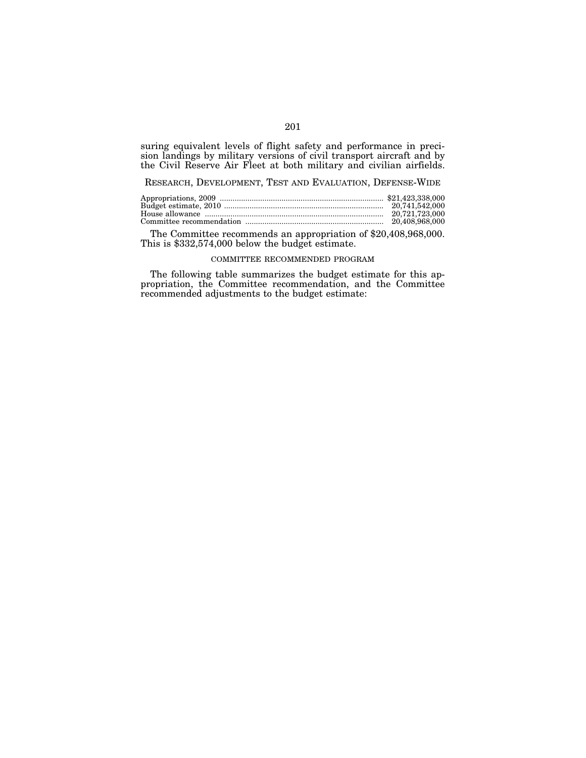suring equivalent levels of flight safety and performance in precision landings by military versions of civil transport aircraft and by the Civil Reserve Air Fleet at both military and civilian airfields.

RESEARCH, DEVELOPMENT, TEST AND EVALUATION, DEFENSE-WIDE

The Committee recommends an appropriation of \$20,408,968,000. This is \$332,574,000 below the budget estimate.

#### COMMITTEE RECOMMENDED PROGRAM

The following table summarizes the budget estimate for this appropriation, the Committee recommendation, and the Committee recommended adjustments to the budget estimate: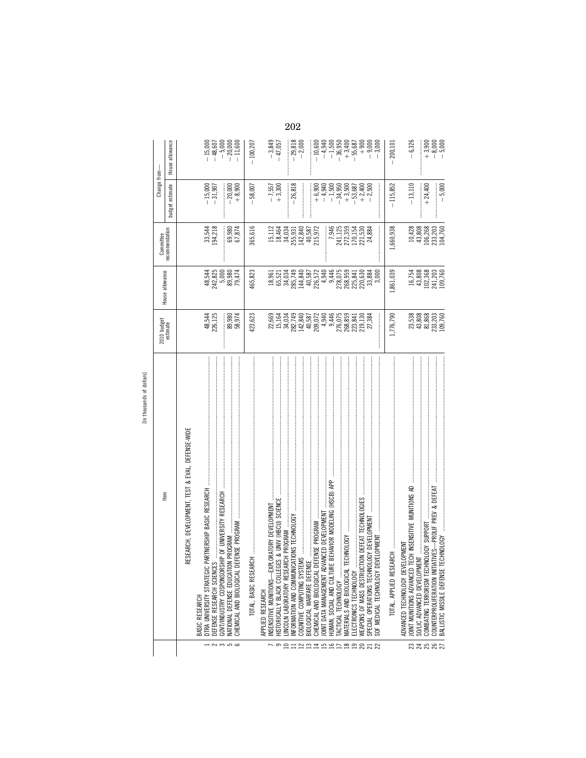|                           |                         |                 |                                                  |                                                   |                                                                                                                 |                                    |                                         |            |                  |                                                                                                                                                                                                                                                                                                               |       | 202                                           |                             |                            |                                         |                                            |                                                             |                                                            |                                                            |                                                                           |                                                                                                                                                                                                                                                                                                              |                                                |                         |                                                                                                |                             |                                                   |                                                                                                                       |  |
|---------------------------|-------------------------|-----------------|--------------------------------------------------|---------------------------------------------------|-----------------------------------------------------------------------------------------------------------------|------------------------------------|-----------------------------------------|------------|------------------|---------------------------------------------------------------------------------------------------------------------------------------------------------------------------------------------------------------------------------------------------------------------------------------------------------------|-------|-----------------------------------------------|-----------------------------|----------------------------|-----------------------------------------|--------------------------------------------|-------------------------------------------------------------|------------------------------------------------------------|------------------------------------------------------------|---------------------------------------------------------------------------|--------------------------------------------------------------------------------------------------------------------------------------------------------------------------------------------------------------------------------------------------------------------------------------------------------------|------------------------------------------------|-------------------------|------------------------------------------------------------------------------------------------|-----------------------------|---------------------------------------------------|-----------------------------------------------------------------------------------------------------------------------|--|
|                           |                         | House allowance |                                                  |                                                   | $\begin{array}{r} -15,000 \\ -48,607 \\ -5,000 \\ -11,600 \\ -11,700 \\ -11,800 \\ \end{array}$                 |                                    |                                         | $-100,207$ |                  | $-3,849$<br>$-47,057$                                                                                                                                                                                                                                                                                         |       | $-29,818$<br>$-2,000$                         |                             |                            | $-10,600$                               |                                            |                                                             |                                                            | $-4,940$<br>$-1,500$<br>$-36,950$<br>$+3,400$<br>$+55,687$ | $+900$                                                                    |                                                                                                                                                                                                                                                                                                              | $-9,000$<br>$-3,000$                           | 200,101                 | $-6,326$                                                                                       |                             |                                                   | $+3,900$<br>$+8,000$<br>$-5,000$                                                                                      |  |
|                           | Change from-            | budget estimate |                                                  |                                                   | $-15,000$<br>$-31,907$                                                                                          | $-20,000$                          | $+8,900$                                | $-58,007$  |                  | $-7,557$<br>+3,300                                                                                                                                                                                                                                                                                            |       | $-26,818$                                     | :<br>:<br>:                 |                            |                                         |                                            |                                                             |                                                            |                                                            |                                                                           | $\begin{array}{r} 0.900\\ +\\ 0.940\\ +\\ 1.500\\ -\\ 3.500\\ -\\ 4.500\\ -\\ 4.500\\ -\\ 4.500\\ -\\ 4.500\\ -\\ 4.500\\ -\\ 4.500\\ -\\ 4.500\\ -\\ 4.500\\ -\\ 4.500\\ -\\ 4.500\\ -\\ 4.500\\ -\\ 4.500\\ -\\ 4.500\\ -\\ 4.500\\ -\\ 4.500\\ -\\ 4.500\\ -\\ 4.500\\ -\\ 4.500\\ -\\ 4.500\\ -\\ 4.500$ |                                                | $-115,852$              | $-13,110$                                                                                      |                             | $+24,400$                                         | $-5,000$                                                                                                              |  |
|                           | Committee               | recommendation  |                                                  |                                                   | 33,544<br>94,218                                                                                                | 69,980<br>67,874                   |                                         | 365,616    |                  | 15,112<br>18,464<br>34,034                                                                                                                                                                                                                                                                                    |       | 255,931<br>142,840<br>40,587<br>215,972       |                             |                            |                                         |                                            |                                                             | $\begin{array}{c} 7,946 \\ 241,125 \\ 272,359 \end{array}$ |                                                            |                                                                           | 170,154<br>221,530<br>24,884                                                                                                                                                                                                                                                                                 |                                                | 1,660,938               |                                                                                                |                             |                                                   | $\begin{array}{c} 10,428 \\ 108,268 \\ 106,263 \\ 233,203 \\ 2104,760 \end{array}$                                    |  |
|                           | House allowance         |                 |                                                  |                                                   | 48,544<br>242,825<br>242 5,880<br>25,444                                                                        |                                    |                                         | 465,823    |                  | $\begin{array}{l} 1896 \\ 1897 \\ 1898 \\ 1899 \\ 1899 \\ 1899 \\ 1899 \\ 1899 \\ 1899 \\ 1899 \\ 1899 \\ 1899 \\ 1899 \\ 1899 \\ 1899 \\ 1899 \\ 1899 \\ 1899 \\ 1899 \\ 1899 \\ 1899 \\ 1899 \\ 1899 \\ 1899 \\ 1899 \\ 1899 \\ 1899 \\ 1899 \\ 1899 \\ 1899 \\ 1899 \\ 1899 \\ 1899 \\ 1899 \\ 1899 \\ 18$ |       |                                               |                             |                            |                                         |                                            |                                                             |                                                            |                                                            |                                                                           | 220,630<br>33,884                                                                                                                                                                                                                                                                                            | ĕ                                              | 1,861,039               |                                                                                                |                             |                                                   | 16,754<br>43,808<br>102,703<br>109,760                                                                                |  |
|                           | 2010 budget<br>estimate |                 |                                                  |                                                   | 48,544<br>226,125                                                                                               | 89,980<br>58,974                   |                                         | 423,623    |                  | 22,669<br>15,164<br>34,034                                                                                                                                                                                                                                                                                    |       |                                               |                             |                            |                                         |                                            |                                                             |                                                            |                                                            |                                                                           | $\begin{array}{l} 287.73 \\ 284.87 \\ 142.89 \\ 20.53 \\ 40.587 \\ 20.744 \\ 20.75 \\ 20.83 \\ 20.83 \\ 20.83 \\ 20.83 \\ 21.30 \\ 21.30 \\ 22.384 \\ 23.84 \\ 24.85 \\ 25.86 \\ 26.83 \\ 27.384 \\ 28.4 \\ 29.4 \\ 20.8 \\ 20.8 \\ 24.8 \\ 25.8 \\ 26.8 \\ 27.38 \\ 28.4 \\ 29.4 \\ 20.8 \\ 20.8 \\$        |                                                | 1,776,790               |                                                                                                |                             |                                                   | 38<br>28,808<br>29,803<br>203,700<br>203,700                                                                          |  |
| [In thousands of dollars] | ltem                    |                 | RESEARCH, DEVELOPMENT, TEST & EVAL, DEFENSE-WIDE | DTRA UNIVERSITY STRATEGIC PARTN<br>BASIC RESEARCH | GOVT/INDUSTRY COSPONSORSHIP OF UNIVERSITY RESEARCH<br>DEFENSE RESEARCH SCIENCES<br>$ \sim$ $\sim$ $\sim$ $\sim$ | NATIONAL DEFENSE EDUCATION PROGRAM | CHEMICAL AND BIOLOGICAL DEFENSE PROGRAM |            | APPLIED RESEARCH | <b>UNIV (HBCU) SCIENCE</b><br>INSENSITIVE MUNITIONS-EXPLORAT<br>HISTORICALLY BLACK COLLEGES &<br>9                                                                                                                                                                                                            | $\Xi$ | S TECHNOLOGY<br>INFORMATION AND COMMUNICATION | COGNITIVE COMPUTING SYSTEMS | BIOLOGICAL WARFARE DEFENSE | CHEMICAL AND BIOLOGICAL DEFENSE PROGRAM | JOINT DATA MANAGEMENT ADVANCED DEVELOPMENT | AVIOR MODELING (HSCB) APP<br>HUMAN, SOCIAL AND CULTURE BEH/ | <b>FACTICAL TECHNOLOGY</b>                                 |                                                            | WEAPONS OF MASS DESTRUCTION DEFEAT TECHNOLOGIES<br>ELECTRONICS TECHNOLOGY | DEVELOPMENT<br>SPECIAL OPERATIONS TECHNOLOGY<br>HARHAPARRA                                                                                                                                                                                                                                                   | <b>PMENT</b><br>SOF MEDICAL TECHNOLOGY DEVELOR | TOTAL, APPLIED RESEARCH | INSENSITIVE MUNITIONS AD<br>Ξ<br>ADVANCED TECHNOLOGY DEVELOPM<br>JOINT MUNITIONS ADVANCED TECH | SO/LIC ADVANCED DEVELOPMENT | <b>SV SUPPORT</b><br>COMBATING TERRORISM TECHNOLO | -PROLIF PREV & DEFEAT<br><b>QLOGY</b><br>COUNTERPROLIFERATION INITIATIVES<br>BALLISTIC MISSILE DEFENSE TECHN<br>32582 |  |

[In thousands of dollars] In thousands of dollars]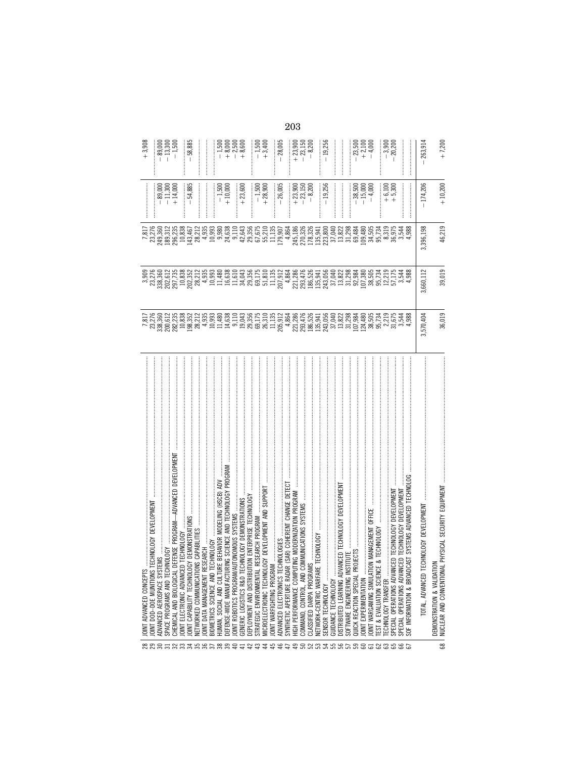|   | JOINT ADVANCED CONCEPTS                                                                                           |                                                                                                                                                                                                                                                                           |                                                                                                                                                                                                                                                                                             |           |                                                             | $+3,908$                                                                |
|---|-------------------------------------------------------------------------------------------------------------------|---------------------------------------------------------------------------------------------------------------------------------------------------------------------------------------------------------------------------------------------------------------------------|---------------------------------------------------------------------------------------------------------------------------------------------------------------------------------------------------------------------------------------------------------------------------------------------|-----------|-------------------------------------------------------------|-------------------------------------------------------------------------|
|   | ECHNOLOGY DEVELOPMENT<br>JOINT DOD-DOE MUNITIONS T                                                                | 7,817<br>23,276                                                                                                                                                                                                                                                           |                                                                                                                                                                                                                                                                                             |           |                                                             |                                                                         |
|   | ADVANCED AEROSPACE SYSTEI                                                                                         |                                                                                                                                                                                                                                                                           |                                                                                                                                                                                                                                                                                             |           |                                                             |                                                                         |
|   | <b>N30101</b><br>SPACE PROGRAMS AND TECHN                                                                         |                                                                                                                                                                                                                                                                           |                                                                                                                                                                                                                                                                                             |           |                                                             |                                                                         |
|   | -ADVANCED DEVELOPMEN<br>EFENSE PROGRAM<br>CHEMICAL AND BIOLOGICAL DI                                              |                                                                                                                                                                                                                                                                           | 338, 360<br>202, 612<br>203, 735<br>10, 838<br>202, 352<br>28, 212                                                                                                                                                                                                                          |           | $-89,000$<br>$-11,300$<br>$+14,000$                         | $-89,000$<br>$-13,300$<br>$-1,500$                                      |
|   | TECHNOLOGY<br>JOINT ELECTRONIC ADVANCED                                                                           |                                                                                                                                                                                                                                                                           |                                                                                                                                                                                                                                                                                             |           |                                                             |                                                                         |
|   | Y DEMONSTRATIONS<br>JOINT CAPABILITY TECHNOLOG                                                                    |                                                                                                                                                                                                                                                                           |                                                                                                                                                                                                                                                                                             |           | $-54,885$                                                   | $-58,885$                                                               |
|   | S CAPABILITIES<br>NETWORKED COMMUNICATION                                                                         |                                                                                                                                                                                                                                                                           |                                                                                                                                                                                                                                                                                             |           | <br> <br>                                                   | <br> <br>                                                               |
|   | <b>EARCH</b><br>JOINT DATA MANAGEMENT RES                                                                         |                                                                                                                                                                                                                                                                           | 4,935                                                                                                                                                                                                                                                                                       |           | .<br>.<br>.<br>.<br>.                                       |                                                                         |
|   | <b>HNOLOGY</b><br>BIOMETRICS SCIENCE AND TE                                                                       |                                                                                                                                                                                                                                                                           |                                                                                                                                                                                                                                                                                             |           |                                                             |                                                                         |
|   | BEHAVIOR MODELING (HSCB) ADV<br>HUMAN, SOCIAL AND CULTURE                                                         |                                                                                                                                                                                                                                                                           | $10,993$<br>$11,480$<br>$15,610$<br>$11,610$                                                                                                                                                                                                                                                |           |                                                             |                                                                         |
|   | IG SCIENCE AND TECHNOLOGY PROGRAM<br>DEFENSE-WIDE MANUFACTURI                                                     |                                                                                                                                                                                                                                                                           |                                                                                                                                                                                                                                                                                             |           | $-1,500$                                                    |                                                                         |
|   | TONOMOUS SYSTEMS<br>JOINT ROBOTICS PROGRAM/AU                                                                     |                                                                                                                                                                                                                                                                           |                                                                                                                                                                                                                                                                                             |           |                                                             |                                                                         |
|   | INOLOGY DEMONSTRATIONS<br>GENERIC LOGISTICS R&D TEC                                                               | $\begin{smallmatrix} 69.216 & 89.81 & 10.81 & 89.82 & 89.81 & 89.82 & 89.83 & 89.84 & 89.85 & 89.86 & 89.86 & 89.87 & 89.87 & 89.87 & 89.87 & 89.87 & 89.87 & 89.87 & 89.87 & 89.87 & 89.87 & 89.87 & 89.87 & 89.87 & 89.87 & 89.87 & 89.87 & 89.87 & 89.87 & 89.87 & 89$ | 34,043                                                                                                                                                                                                                                                                                      |           | $+23,600$                                                   | $-1,500$<br>$-8,500$<br>$+8,500$<br>$+8,500$                            |
|   | ON ENTERPRISE TECHNOLOGY<br>DEPLOYMENT AND DISTRIBUTI                                                             |                                                                                                                                                                                                                                                                           |                                                                                                                                                                                                                                                                                             |           |                                                             |                                                                         |
|   | ESEARCH PROGRAM<br>STRATEGIC ENVIRONMENTAL R                                                                      |                                                                                                                                                                                                                                                                           |                                                                                                                                                                                                                                                                                             |           | $-1,500$<br>+28,900                                         | $-1,500$<br>$+3,400$                                                    |
|   | MICROELECTRONIC TECHNOLOGY DEVELOPMENT AND SUPPORT                                                                |                                                                                                                                                                                                                                                                           |                                                                                                                                                                                                                                                                                             |           |                                                             |                                                                         |
|   | JOINT WARFIGHTING PROGRAM                                                                                         |                                                                                                                                                                                                                                                                           |                                                                                                                                                                                                                                                                                             |           |                                                             |                                                                         |
|   | NOLOGIES<br>ADVANCED ELECTRONICS TECH                                                                             |                                                                                                                                                                                                                                                                           |                                                                                                                                                                                                                                                                                             |           | $-26,005$                                                   | $-28,005$                                                               |
|   | (SAR) COHERENT CHANGE DETEC<br>SYNTHETIC APERTURE RADAR                                                           |                                                                                                                                                                                                                                                                           |                                                                                                                                                                                                                                                                                             |           |                                                             |                                                                         |
|   | NG MODERNIZATION PROGRAM<br>HIGH PERFORMANCE COMPUT                                                               |                                                                                                                                                                                                                                                                           |                                                                                                                                                                                                                                                                                             |           | $\begin{array}{r} +23,900 \\ -23,150 \\ -8,200 \end{array}$ | $\begin{array}{c} 1.000 \\ + 23,150 \\ - 23,150 \\ - 8,200 \end{array}$ |
|   | MINIUNICATIONS SYSTEMS<br>COMMAND, CONTROL, AND CO                                                                |                                                                                                                                                                                                                                                                           |                                                                                                                                                                                                                                                                                             |           |                                                             |                                                                         |
|   | CLASSIFIED DARPA PROGRAMS                                                                                         |                                                                                                                                                                                                                                                                           |                                                                                                                                                                                                                                                                                             |           |                                                             |                                                                         |
|   | TECHNOLOGY<br>NETWORK-CENTRIC WARFARE                                                                             |                                                                                                                                                                                                                                                                           |                                                                                                                                                                                                                                                                                             |           |                                                             |                                                                         |
|   | SENSOR TECHNOLOGY                                                                                                 |                                                                                                                                                                                                                                                                           |                                                                                                                                                                                                                                                                                             |           | $-19,256$                                                   | $-19,256$                                                               |
|   | GUIDANCE TECHNOLOGY                                                                                               |                                                                                                                                                                                                                                                                           |                                                                                                                                                                                                                                                                                             |           | <br> <br>                                                   |                                                                         |
|   | <b>NCED TECHNOLOGY DEVELOPMENT</b><br>DISTRIBUTED LEARNING ADVAN                                                  |                                                                                                                                                                                                                                                                           |                                                                                                                                                                                                                                                                                             |           |                                                             |                                                                         |
|   | <b>TIUTE</b><br>SOFTWARE ENGINEERING INST                                                                         |                                                                                                                                                                                                                                                                           | $\begin{array}{l} 89.5987 \\ 89.5181 \\ 80.5191 \\ 81.521 \\ 82.533 \\ 83.548 \\ 84.554 \\ 85.561 \\ 86.578 \\ 87.581 \\ 88.598 \\ 89.598 \\ 89.598 \\ 89.598 \\ 89.598 \\ 89.598 \\ 89.598 \\ 89.598 \\ 89.598 \\ 89.598 \\ 89.598 \\ 89.598 \\ 89.598 \\ 89.598 \\ 89.598 \\ 89.598 \\ 8$ |           |                                                             |                                                                         |
|   | QUICK REACTION SPECIAL PRO                                                                                        |                                                                                                                                                                                                                                                                           |                                                                                                                                                                                                                                                                                             |           |                                                             |                                                                         |
|   | JOINT EXPERIMENTATION                                                                                             |                                                                                                                                                                                                                                                                           |                                                                                                                                                                                                                                                                                             |           | $-38,500$<br>$-15,000$<br>$-4,000$                          | $-23,500$<br>$+2,100$<br>$-4,000$                                       |
|   | N MANAGEMENT OFFICE<br>JOINT WARGAMING SIMULATIO                                                                  |                                                                                                                                                                                                                                                                           |                                                                                                                                                                                                                                                                                             |           |                                                             |                                                                         |
|   | & TECHNOLOGY<br>EST & EVALUATION SCIENCE                                                                          |                                                                                                                                                                                                                                                                           | 95,734                                                                                                                                                                                                                                                                                      |           |                                                             |                                                                         |
|   | TECHNOLOGY TRANSFER                                                                                               |                                                                                                                                                                                                                                                                           | 12,219                                                                                                                                                                                                                                                                                      |           |                                                             |                                                                         |
|   | ED TECHNOLOGY DEVELOPMENT<br>SPECIAL OPERATIONS ADVANC                                                            |                                                                                                                                                                                                                                                                           | 57,175                                                                                                                                                                                                                                                                                      |           | $+6,100$<br>$+5,300$                                        | $-3,900$<br>$-20,200$                                                   |
|   | SPECIAL OPERATIONS ADVANC                                                                                         |                                                                                                                                                                                                                                                                           |                                                                                                                                                                                                                                                                                             |           |                                                             |                                                                         |
|   | SYSTEMS ADVANCED TECHNOLOG<br>ED TECHNOLOGY DEVELOPMENT<br>AST SYSTEMS ADVANCED TECHN<br>SOF INFORMATION & BROADC | $\begin{array}{c} 2.219 \\ 2.575 \\ 3.544 \\ 4.988 \end{array}$                                                                                                                                                                                                           |                                                                                                                                                                                                                                                                                             |           |                                                             |                                                                         |
|   | CHNOLOGY DEVELOPMENT<br>total, advanced ten                                                                       | ,570,404                                                                                                                                                                                                                                                                  | 3,660,112                                                                                                                                                                                                                                                                                   | 3,396,198 | $-174,206$                                                  | 263,914                                                                 |
| 8 | PHYSICAL SECURITY EQUIPMENT<br>DEMONSTRATION & VALIDATION<br>NUCLEAR AND CONVENTIONAL                             | 36,019                                                                                                                                                                                                                                                                    | 39,019                                                                                                                                                                                                                                                                                      | 46,219    | $+10,200$                                                   | $+7,200$                                                                |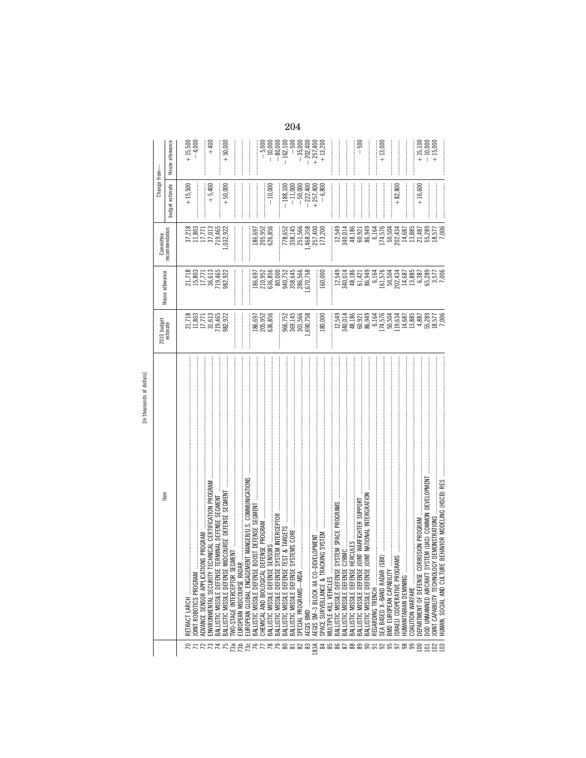| ē                   |
|---------------------|
|                     |
| É<br><b>RS</b><br>₹ |
|                     |

|                                                                              |                                                            |                                                                                                                                                                                                                                                                                                     | Committee                                                 | Change from-    |                        |
|------------------------------------------------------------------------------|------------------------------------------------------------|-----------------------------------------------------------------------------------------------------------------------------------------------------------------------------------------------------------------------------------------------------------------------------------------------------|-----------------------------------------------------------|-----------------|------------------------|
| Item                                                                         | 2010 budget<br>estimate                                    | House allowance                                                                                                                                                                                                                                                                                     | recommendation                                            | budget estimate | House allowance        |
| RETRACT LARCH                                                                |                                                            |                                                                                                                                                                                                                                                                                                     |                                                           | $+15,500$       | $+15,500$              |
| <b>JOINT ROBOTICS PROGRAM</b>                                                | 21,718<br>11,803<br>11,771<br>31,613                       | 21,718<br>15,803<br>17,771<br>18,465<br>19,465<br>982,922                                                                                                                                                                                                                                           | $\begin{array}{c} 37,218 \\ 11,803 \\ 17,771 \end{array}$ |                 | $-4,000$               |
| <b>IONS PROGRAM</b><br>ADVANCE SENSOR APPLICAT                               |                                                            |                                                                                                                                                                                                                                                                                                     |                                                           |                 |                        |
| TECHNICAL CERTIFICATION PROGRAM<br>ENVIRONMENTAL SECURITY                    |                                                            |                                                                                                                                                                                                                                                                                                     | 37,013                                                    | $+5,400$        | $+400$                 |
| TERMINAL DEFENSE SEGMENT<br>BALLISTIC MISSILE DEFENSE                        | 719,465<br>982,922                                         |                                                                                                                                                                                                                                                                                                     | 719,465                                                   |                 |                        |
| MIDCOURSE DEFENSE SEGMENT<br>BALLISTIC MISSILE DEFENSE                       |                                                            |                                                                                                                                                                                                                                                                                                     | ,032,922                                                  | $+50,000$       | $+50,000$              |
| <b>IWO-STAGE INTERCEPTOR SEGMENT</b>                                         |                                                            |                                                                                                                                                                                                                                                                                                     |                                                           |                 |                        |
| EUROPEAN MIDCOURSE RADAR                                                     |                                                            |                                                                                                                                                                                                                                                                                                     |                                                           |                 |                        |
|                                                                              |                                                            |                                                                                                                                                                                                                                                                                                     |                                                           |                 |                        |
| BOOST DEFENSE SEGMENT<br>BALLISTIC MISSILE DEFENSE                           | 186,697                                                    |                                                                                                                                                                                                                                                                                                     | 186,697                                                   |                 |                        |
| CHEMICAL AND BIOLOGICAL                                                      | 205,952<br>636,856                                         |                                                                                                                                                                                                                                                                                                     | 205,952<br>626,856                                        |                 | $-5,000$               |
| SYSTEM INTERCEPTOR<br>BALLISTIC MISSILE DEFENSE<br>BALLISTIC MISSILE DEFENSE |                                                            | $\begin{array}{l} 186,697\\ 210,952\\ 240,856\\ 636,800\\ 80,000\\ 940,752\\ 286,566\\ 236,566\\ 246,566\\ 246,566\\ 256,767\\ \end{array}$                                                                                                                                                         |                                                           | $-10,000$       | $-80,000$<br>$-10,000$ |
|                                                                              |                                                            |                                                                                                                                                                                                                                                                                                     |                                                           |                 |                        |
| BALLISTIC MISSILE DEFENSE                                                    | 966,752<br>369,145<br>301,566                              |                                                                                                                                                                                                                                                                                                     | 778,652                                                   | $-188,100$      | $-162,100$             |
| SYSTEMS CORE<br>BALLISTIC MISSILE DEFENSE                                    |                                                            |                                                                                                                                                                                                                                                                                                     | 358,145                                                   | $-11,000$       | $-500$                 |
| SPECIAL PROGRAMS-MDA                                                         |                                                            |                                                                                                                                                                                                                                                                                                     | 251,566                                                   | $-50,000$       | $-35,000$              |
| <b>DEVELOPMENT</b><br>AEGIS SM-3 BLOCK IIA CO-I                              | ,690,758                                                   |                                                                                                                                                                                                                                                                                                     | 1,468,358                                                 | $-222,400$      | $-202,400$             |
|                                                                              |                                                            |                                                                                                                                                                                                                                                                                                     | 257,400                                                   | $+257,400$      | $+257,400$             |
|                                                                              | 180,000                                                    | 160,000                                                                                                                                                                                                                                                                                             | 173,200                                                   | $-6,800$        | $+13,200$              |
| j<br>MULTIPLE KILL VEHICLES                                                  |                                                            |                                                                                                                                                                                                                                                                                                     |                                                           |                 |                        |
| SYSTEM SPACE PROGRAMS<br>BALLISTIC MISSILE DEFENSE                           | 12,549                                                     |                                                                                                                                                                                                                                                                                                     | 12,549                                                    |                 |                        |
| BALLISTIC MISSILE DEFENSE                                                    | 340,014                                                    | $\begin{array}{c} 12,549 \\ 340,014 \\ 48,186 \end{array}$                                                                                                                                                                                                                                          | 340,014                                                   |                 |                        |
| BALLISTIC MISSILE DEFENSE                                                    | 48,186                                                     |                                                                                                                                                                                                                                                                                                     | 48,186                                                    |                 |                        |
| JOINT WARFIGHTER SUPPORT<br>BALLISTIC MISSILE DEFENSE                        | 0.921<br>0.945<br>0.945<br>0.945<br>0.945<br>0.94          |                                                                                                                                                                                                                                                                                                     | 60,921<br>86,949                                          |                 | $-500$                 |
| JOINT NATIONAL INTERGRATION<br>BALLISTIC MISSILE DEFENSE                     |                                                            |                                                                                                                                                                                                                                                                                                     |                                                           |                 |                        |
| REGARDING TRENCH                                                             |                                                            |                                                                                                                                                                                                                                                                                                     | 6,164                                                     |                 |                        |
| (SBX)<br>SEA BASED X-BAND RADAR                                              |                                                            |                                                                                                                                                                                                                                                                                                     | 174,576<br>50,504                                         |                 | $+13,000$              |
| BMD EUROPEAN CAPABILITY                                                      |                                                            |                                                                                                                                                                                                                                                                                                     |                                                           |                 |                        |
|                                                                              |                                                            |                                                                                                                                                                                                                                                                                                     | 202,434                                                   | $+82,800$       |                        |
| <b>TUMANITARIAN DEMINING</b>                                                 |                                                            |                                                                                                                                                                                                                                                                                                     | 14,687                                                    |                 |                        |
| COALITION WARFARE                                                            | $\begin{array}{c} 119,634 \\ 14,687 \\ 13,885 \end{array}$ |                                                                                                                                                                                                                                                                                                     | 13,885                                                    |                 |                        |
| DEPARTMENT OF DEFENSE CORROSION PROGRAM                                      | 4,887                                                      |                                                                                                                                                                                                                                                                                                     | 21,487                                                    | $+16,600$       | $+15,100$              |
| SYSTEM (UAS) COMMON DEVELOPMENT<br>DOD UNMANNED AIRCRAFT                     | 55,289                                                     | $\begin{array}{l} 61.421 \\ 63.51 \\ 64.51 \\ 65.51 \\ 66.52 \\ 67.53 \\ 68.53 \\ 69.54 \\ 65.58 \\ 69.58 \\ 65.59 \\ 65.59 \\ 65.59 \\ 65.59 \\ 65.59 \\ 65.59 \\ 65.59 \\ 65.59 \\ 65.59 \\ 65.59 \\ 65.59 \\ 65.59 \\ 65.59 \\ 65.59 \\ 65.59 \\ 65.59 \\ 65.59 \\ 65.59 \\ 66.59 \\ 67.59 \\ 6$ | 55,289                                                    |                 | $-10,000$              |
| OINT CAPABILITY TECHNOLOGY DEMONSTRATIONS                                    | 18,577                                                     |                                                                                                                                                                                                                                                                                                     | 18,577                                                    |                 | $+15,000$              |
| RE BEHAVIOR MODELING (HSCB) RES<br>HUMAN. SOCIAL AND CULTU                   | 7,006                                                      | 3,577<br>7,006                                                                                                                                                                                                                                                                                      | 7,006                                                     |                 |                        |
|                                                                              |                                                            |                                                                                                                                                                                                                                                                                                     |                                                           |                 |                        |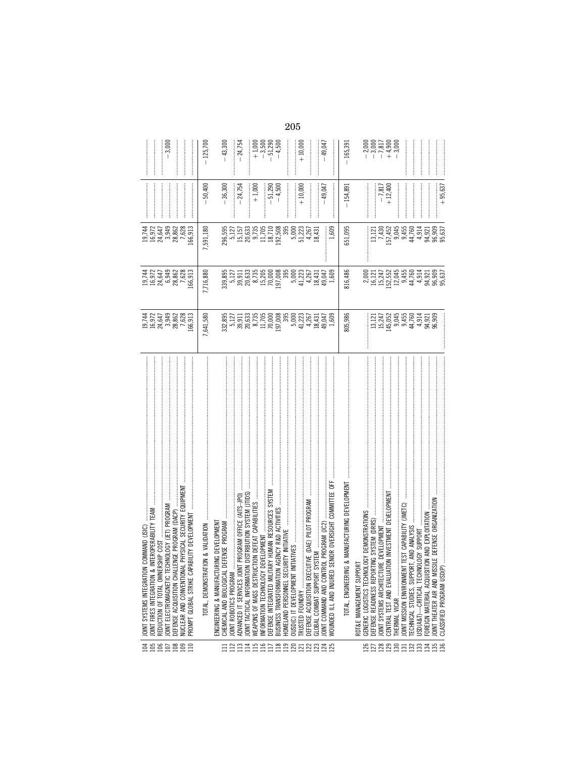| ತೆ ಇ                                      | JOINT SYSTEMS INTEGRATION COMMAND (JSIC)                                                                                           |                                                                                                                                                                                                                                                                                             |                                                                                                                                                                                                                                |                                                                                                 |                     |                      |
|-------------------------------------------|------------------------------------------------------------------------------------------------------------------------------------|---------------------------------------------------------------------------------------------------------------------------------------------------------------------------------------------------------------------------------------------------------------------------------------------|--------------------------------------------------------------------------------------------------------------------------------------------------------------------------------------------------------------------------------|-------------------------------------------------------------------------------------------------|---------------------|----------------------|
|                                           | INTEROPERABILITY TEAM<br>REDUCTION OF TOTAL OWNERSHIP COST<br>JOINT FIRES INTEGRATION &                                            | 13,742<br>19,972<br>19,943,862<br>19,982                                                                                                                                                                                                                                                    | 19,744<br>16,972<br>16,949<br>6,982<br>6,882<br>7,628                                                                                                                                                                          | 19,744<br>16,972<br>16,647<br>28,862<br>7,628                                                   |                     |                      |
|                                           | JOINT ELECTROMAGNETIC TECHNOLOGY (JET) PROGRAM                                                                                     |                                                                                                                                                                                                                                                                                             |                                                                                                                                                                                                                                |                                                                                                 |                     | $-3,000$             |
|                                           | DEFENSE ACQUISITION CHALLENGE PROGRAM (DACP)                                                                                       |                                                                                                                                                                                                                                                                                             |                                                                                                                                                                                                                                |                                                                                                 |                     |                      |
| 55888                                     | AL PHYSICAL SECURITY EQUIPMENT<br>PABILITY DEVELOPMENT<br>PROMPT GLOBAL STRIKE CA<br>NUCLEAR AND CONVENTION                        | .66.913                                                                                                                                                                                                                                                                                     | 66,913                                                                                                                                                                                                                         | 66,913                                                                                          |                     |                      |
|                                           | TOTAL, DEMONSTRATION & VALIDATION                                                                                                  | ,641,580                                                                                                                                                                                                                                                                                    | 7,716,880                                                                                                                                                                                                                      | 7,591,180                                                                                       | $-50,400$           | $-125,700$           |
|                                           | JRING DEVELOPMENT<br>ENGINEERING & MANUFACTI                                                                                       |                                                                                                                                                                                                                                                                                             |                                                                                                                                                                                                                                |                                                                                                 |                     |                      |
|                                           | DEFENSE PROGRAM<br>CHEMICAL AND BIOLOGICAL<br>OINT ROBOTICS PROGRAM                                                                | $\begin{array}{l} 332,895 \\ 5,127 \\ 5,911 \\ 23,633 \\ 8,735 \\ 11,705 \\ 10,000 \\ 11,705 \\ 10,000 \\ 197,008 \\ \end{array}$                                                                                                                                                           | 339,895<br>5, 127<br>5, 633, 735<br>5, 735, 2000<br>5, 70, 000<br>5, 955<br>5, 955                                                                                                                                             | 296,595<br>5,127<br>15,157<br>20,633<br>9,735                                                   | 36,300              | $-43,300$            |
|                                           | NT PROGRAM OFFICE (AITS-JPO)<br>ADVANCED IT SERVICES JOI                                                                           |                                                                                                                                                                                                                                                                                             |                                                                                                                                                                                                                                |                                                                                                 | $-24,754$           | $-24,754$            |
|                                           | OINT TACTICAL INFORMATION DISTRIBUTION SYSTEM (JTIDS)                                                                              |                                                                                                                                                                                                                                                                                             |                                                                                                                                                                                                                                |                                                                                                 | $+1,000$            |                      |
| $\overline{15}$                           | CTION DEFEAT CAPABILITIES<br>WEAPONS OF MASS DESTRU<br>INFORMATION TECHNOLOGY                                                      |                                                                                                                                                                                                                                                                                             |                                                                                                                                                                                                                                |                                                                                                 |                     | $+1,000$<br>$-3,500$ |
| $\frac{1}{2}$<br>$\overline{\phantom{0}}$ | ARY HUMAN RESOURCES SYSTEM<br><b>DEVELOPMENT</b><br>DEFENSE INTEGRATED MILIT                                                       |                                                                                                                                                                                                                                                                                             |                                                                                                                                                                                                                                | 11,705<br>18,710<br>92,508<br>395                                                               | $-51,290$           | $-51,290$            |
|                                           | BUSINESS TRANSFORMATION                                                                                                            |                                                                                                                                                                                                                                                                                             |                                                                                                                                                                                                                                |                                                                                                 | $-4,500$            | $-4,500$             |
|                                           | <b>JURITY INITIATIVE</b><br>HOMELAND PERSONNEL SEO                                                                                 | 395                                                                                                                                                                                                                                                                                         |                                                                                                                                                                                                                                |                                                                                                 |                     |                      |
|                                           | OUSD(C) IT DEVELOPMENT                                                                                                             |                                                                                                                                                                                                                                                                                             |                                                                                                                                                                                                                                |                                                                                                 |                     |                      |
|                                           | I NOON IS ACQUISITION EXECUTIVE (DAE) PILOT PROGRAM<br>DEFENSE ACQUISITION EXECUTIVE (DAE) PILOT PROGRAM<br><b>TRUSTED FOUNDRY</b> | $5,000$<br>$41,223$<br>$4,267$                                                                                                                                                                                                                                                              | $5,000$<br>41,2257<br>4,267                                                                                                                                                                                                    | $\frac{5,000}{51,225}$                                                                          | $+10,000$           | $+10.000$            |
| <b>BBRARRAR</b>                           | GLOBAL COMBAT SUPPORT                                                                                                              |                                                                                                                                                                                                                                                                                             |                                                                                                                                                                                                                                | 18,431                                                                                          |                     |                      |
|                                           | ROL PROGRAM (JC2)<br><b>JOINT COMMAND AND CONT</b>                                                                                 | $\begin{array}{c} 18,431 \\ 49,047 \\ 1,608 \end{array}$                                                                                                                                                                                                                                    | $18,43$<br>$49,609$<br>$1,609$                                                                                                                                                                                                 |                                                                                                 | $-49,047$           | $-49,047$            |
|                                           | SENIOR OVERSIGHT COMMITTEE OFF<br>WOUNDED ILL AND INJURED                                                                          |                                                                                                                                                                                                                                                                                             |                                                                                                                                                                                                                                | 1,609                                                                                           |                     |                      |
|                                           | G & MANUFACTURING DEVELOPMENT<br>TOTAL, ENGINEERIN                                                                                 | 805,986                                                                                                                                                                                                                                                                                     | 816,486                                                                                                                                                                                                                        | 651,095                                                                                         | $-154,89$           | 165,391              |
|                                           | GENERIC LOGISTICS TECHNOLOGY DEMONSTRATIONS<br>RDT&E MANAGEMENT SUPPO                                                              |                                                                                                                                                                                                                                                                                             | 2,000                                                                                                                                                                                                                          |                                                                                                 |                     | $-2,000$             |
|                                           | DEFENSE READINESS REPORTING SYSTEM (DRRS)                                                                                          |                                                                                                                                                                                                                                                                                             |                                                                                                                                                                                                                                |                                                                                                 | :<br>:<br>:         | $-3,000$             |
| 83888588858                               | JRE DEVELOPMENT<br>JOINT SYSTEMS ARCHITECTU                                                                                        | $\begin{array}{l} 11.747 \\ 11.747 \\ 12.814 \\ 13.747 \\ 14.914 \\ 15.914 \\ 16.914 \\ 17.914 \\ 18.914 \\ 19.914 \\ 19.914 \\ 19.914 \\ 10.914 \\ 13.909 \\ 14.914 \\ 15.909 \\ 16.914 \\ 17.914 \\ 18.909 \\ 19.914 \\ 19.914 \\ 19.914 \\ 19.914 \\ 19.914 \\ 19.914 \\ 19.914 \\ 19.9$ | $1277778585878783083783083784443586378444358637844435863784443586378444358637844435863784443586378444435863784444358637844443586378444435863784444358637844443586378444435863784444435863784444435863784444435863784444443586$ | $\begin{array}{c} 13,121 \\ 7,430 \\ 57,452 \\ 9,455 \\ 9,455 \\ 9,455 \\ 9,455 \\ \end{array}$ | $-7,817$<br>+12,400 | $-7,817$             |
|                                           | CENTRAL TEST AND EVALUATION INVESTMENT DEVELOPMENT                                                                                 |                                                                                                                                                                                                                                                                                             |                                                                                                                                                                                                                                |                                                                                                 |                     | $+4,900$<br>$-3,000$ |
|                                           | THERMAL VICAR                                                                                                                      |                                                                                                                                                                                                                                                                                             |                                                                                                                                                                                                                                |                                                                                                 |                     |                      |
|                                           | IT TEST CAPABILITY UMETC)<br>IOINT MISSION ENVIRONMEN                                                                              |                                                                                                                                                                                                                                                                                             |                                                                                                                                                                                                                                |                                                                                                 |                     |                      |
|                                           | TECHNICAL STUDIES, SUPPORT, AND ANALYSIS<br>USD(A&T)—CRITICAL TECHNOLOGY SUPPORT                                                   |                                                                                                                                                                                                                                                                                             |                                                                                                                                                                                                                                |                                                                                                 |                     |                      |
|                                           |                                                                                                                                    |                                                                                                                                                                                                                                                                                             |                                                                                                                                                                                                                                | 4,914                                                                                           |                     |                      |
|                                           | TION AND EXPLOITATION<br>FOREIGN MATERIAL ACQUISI                                                                                  |                                                                                                                                                                                                                                                                                             |                                                                                                                                                                                                                                | 94,921                                                                                          |                     |                      |
|                                           | SSILE DEFENSE ORGANIZATION<br>IOINT THEATER AIR AND MI                                                                             |                                                                                                                                                                                                                                                                                             |                                                                                                                                                                                                                                | 96,909<br>95,637                                                                                |                     |                      |
|                                           | €<br>CLASSIFIED PROGRAM USD                                                                                                        |                                                                                                                                                                                                                                                                                             |                                                                                                                                                                                                                                |                                                                                                 | $+95.63$            |                      |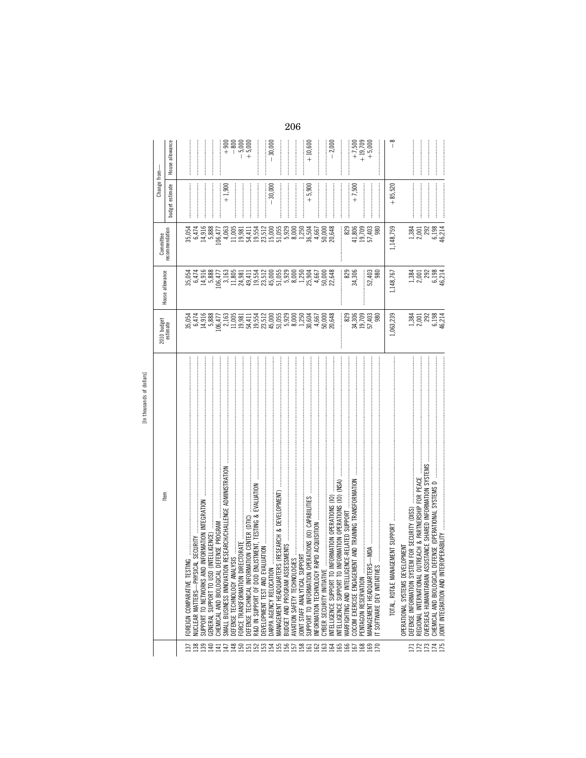|                        | [In thousands of dollars]                                                                                      |                                           |                                                         |                                                          |                 |                       |
|------------------------|----------------------------------------------------------------------------------------------------------------|-------------------------------------------|---------------------------------------------------------|----------------------------------------------------------|-----------------|-----------------------|
|                        | ltem                                                                                                           | 2010 budget<br>estimate                   | House allowance                                         | Committee                                                | Change from-    |                       |
|                        |                                                                                                                |                                           |                                                         | ecommendation                                            | budget estimate | House allowance       |
|                        | FOREIGN COMPARATIVE TESTI                                                                                      |                                           |                                                         |                                                          |                 |                       |
| $\frac{137}{138}$      | SECURITY<br>NUCLEAR MATTERS-PHYSICA                                                                            | 35, 054<br>6, 474<br>5, 888<br>5, 888     | 6,474                                                   |                                                          |                 |                       |
| 139                    | INFORMATION INTEGRATION<br>SUPPORT TO NETWORKS AND                                                             |                                           | 14,916                                                  | $6,474$<br>14,916                                        |                 |                       |
| 140                    | <b>VTELLIGENCE)</b><br>GENERAL SUPPORT TO USD (II                                                              |                                           | 5,888                                                   | 5,888                                                    |                 |                       |
|                        | CHEMICAL AND BIOLOGICAL DEFENSE PROGRAM                                                                        |                                           | 106,477                                                 | 106,477                                                  |                 | :<br>:<br>:           |
|                        | RESEARCH/CHALLENGE ADMINISTRATION<br>SMALL BUSINESS INNOVATION                                                 |                                           |                                                         | 4,063                                                    | $+1,900$        |                       |
|                        | DEFENSE TECHNOLOGY ANALY                                                                                       |                                           | $3,163$<br>11,805<br>24,981                             |                                                          |                 | $-800$                |
|                        | FORCE TRANSFORMATION DIRI                                                                                      |                                           |                                                         | 11,005<br>19,981                                         |                 | $-5,000$<br>+5,000    |
|                        | TION CENTER (DTIC)<br>DEFENSE TECHNICAL INFORMA                                                                |                                           | 49,411                                                  | 54,411                                                   |                 |                       |
|                        | STMENT, TESTING & EVALUATION<br>R&D IN SUPPORT OF DOD ENI                                                      |                                           | 19,554                                                  | 19,554<br>23,512                                         |                 |                       |
|                        | DEVELOPMENT TEST AND EVAL                                                                                      |                                           | 23,512                                                  |                                                          |                 |                       |
|                        | DARPA AGENCY RELOCATION                                                                                        |                                           |                                                         |                                                          | $-30,000$       | $-30,000$             |
|                        | (RESEARCH & DEVELOPMENT)<br>MANAGEMENT HEADQUARTERS                                                            |                                           | $45,055$<br>$45,053$<br>$65,050$<br>$8,250$<br>$-1,250$ | $\begin{array}{c} 15,000 \\ 51,055 \\ 5,929 \end{array}$ |                 |                       |
|                        | BUDGET AND PROGRAM ASSES                                                                                       |                                           |                                                         |                                                          |                 |                       |
|                        | AVIATION SAFETY TECHNOLOGI                                                                                     |                                           |                                                         | 8,000                                                    |                 |                       |
|                        | <br> <br> <br> <br> <br>JOINT STAFF ANALYTICAL SUPPORT                                                         |                                           |                                                         | 1,250                                                    |                 |                       |
|                        | SUPPORT TO INFORMATION OPERATIONS (IO) CAPABILITIES                                                            |                                           | 25,904                                                  | 36,504                                                   | $+5,900$        | $+10,600$             |
|                        | APID ACQUISITION<br>INFORMATION TECHNOLOGY RA                                                                  |                                           | $4,667$<br>50,000<br>22,648                             | $4,667$<br>50,000<br>20,648                              |                 |                       |
|                        | CYBER SECURITY INITIATIVE                                                                                      |                                           |                                                         |                                                          |                 |                       |
|                        | FORMATION OPERATIONS (IO)<br>INTELLIGENCE SUPPORT TO IN                                                        |                                           |                                                         |                                                          |                 | $-2,000$              |
|                        | INTELLIGENCE SUPPORT TO INFORMATION OPERATIONS (IO) (NSA)                                                      |                                           |                                                         |                                                          |                 |                       |
|                        | WARFIGHTING AND INTELLIGENCE-RELATED SUPPORT                                                                   | 829<br>34,306                             | 829                                                     | 829                                                      |                 |                       |
|                        | <b>VT AND TRAINING TRANSFORMATION</b><br>COCOM EXERCISE ENGAGEMEN                                              |                                           | 34,306                                                  | 41,806                                                   | $+7,500$        | $+7,500$              |
|                        | PENTAGON RESERVATION                                                                                           |                                           |                                                         | 19,709                                                   |                 | $+19,709$<br>$+5,000$ |
| 3386596566668698866686 | $-$ MDA<br>MANAGEMENT HEADQUARTERS<br>T SOFTWARE DEV INITIATIVES                                               | 19,709<br>57,403<br>980                   | 52,403<br>980                                           | 57,403<br>980                                            |                 |                       |
|                        | EMENT SUPPORT<br><b>TOTAL, RDT&amp;E MANAG</b>                                                                 | 1,063,239                                 | 1,148,767                                               | 1,148,759                                                | $+85,520$       | $\infty$<br>I         |
|                        | OPERATIONAL SYSTEMS DEVELOPMENT                                                                                |                                           |                                                         |                                                          |                 |                       |
| 5884                   | TREACH & PARTNERSHIP FOR PEACE<br>DEFENSE INFORMATION SYSTEM FOR SECURITY (DISS)<br>REGIONAL INTERNATIONAL OUT |                                           |                                                         |                                                          |                 |                       |
|                        | ISTANCE SHARED INFORMATION SYSTEMS<br>OVERSEAS HUMANITARIAN ASS                                                |                                           |                                                         |                                                          |                 |                       |
| 175                    | EFENSE (OPERATIONAL SYSTEMS D<br>OPERABILITY<br>CHEMICAL AND BIOLOGICAL DI<br>JOINT INTEGRATION AND INTER      | 1,384<br>2,001<br>5,003<br>6,104<br>46,44 | 1,381<br>2,001<br>46,214<br>46,646                      | 1384<br>2001<br>46,214<br>46,214                         |                 |                       |
|                        |                                                                                                                |                                           |                                                         |                                                          |                 |                       |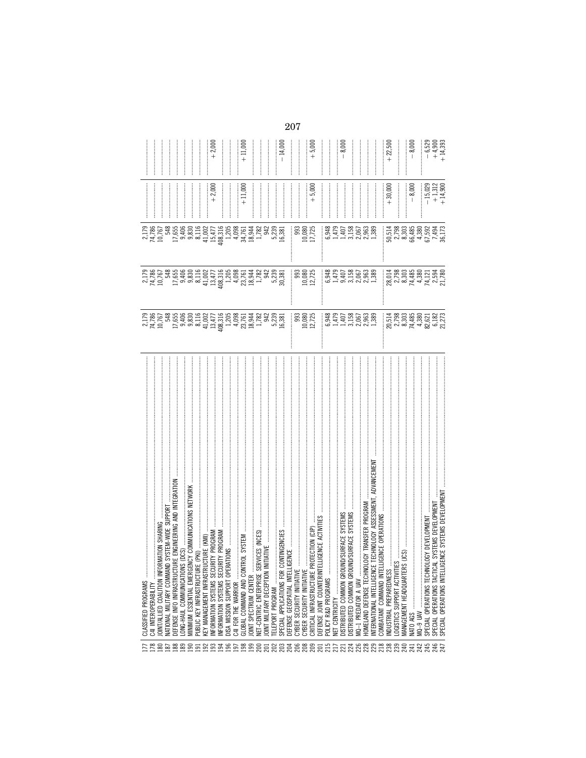| 178                                    | CLASSIFIED PROGRAMS                                                                       |                                                      |                                                            |                                                       |                                                |                                   |
|----------------------------------------|-------------------------------------------------------------------------------------------|------------------------------------------------------|------------------------------------------------------------|-------------------------------------------------------|------------------------------------------------|-----------------------------------|
|                                        | C4I INTEROPERABILITY                                                                      |                                                      |                                                            |                                                       |                                                |                                   |
|                                        | SHARING<br>JOINT/ALLIED COALITION INFOR                                                   |                                                      |                                                            |                                                       |                                                |                                   |
|                                        | SYSTEM-WIDE SUPPORT<br>NATIONAL MILITARY COMMANI                                          |                                                      |                                                            |                                                       |                                                |                                   |
|                                        | RE ENGINEERING AND INTEGRATION<br>DEFENSE INFO INFRASTRUCTU                               |                                                      |                                                            |                                                       |                                                |                                   |
|                                        | (DCS)<br>LONG-HAUL COMMUNICATIONS                                                         |                                                      |                                                            |                                                       |                                                |                                   |
|                                        | ICY COMMUNICATIONS NETWOR<br>MINIMUM ESSENTIAL EMERGE                                     |                                                      |                                                            |                                                       |                                                |                                   |
|                                        | (PKI)<br>PUBLIC KEY INFRASTRUCTURE                                                        |                                                      |                                                            |                                                       |                                                |                                   |
|                                        | KEY MANAGEMENT INFRASTRU                                                                  |                                                      |                                                            |                                                       |                                                |                                   |
|                                        | UCTURE (KMI)<br>JRITY PROGRAM .<br>JRITY PROGRAM .<br>RATIONS<br>INFORMATION SYSTEMS SECU |                                                      |                                                            |                                                       | $+2,000$                                       | $+2,000$                          |
|                                        | NFORMATION SYSTEMS SECU                                                                   |                                                      |                                                            |                                                       |                                                |                                   |
|                                        | DISA MISSION SUPPORT OPER                                                                 |                                                      |                                                            |                                                       | ┋                                              | ┋                                 |
|                                        | C4I FOR THE WARRIOR                                                                       |                                                      |                                                            |                                                       |                                                |                                   |
| 8888858885888                          | ROL SYSTEM<br>GLOBAL COMMAND AND CONT                                                     |                                                      |                                                            |                                                       | $+11,000$                                      | $+11,000$                         |
|                                        | JOINT SPECTRUM CENTER                                                                     |                                                      |                                                            |                                                       |                                                |                                   |
| 200                                    | RVICES (NCES)<br>NET-CENTRIC ENTERPRISE SE                                                |                                                      |                                                            |                                                       |                                                | <br> <br> <br>                    |
|                                        | IITIATIVE<br>JOINT MILITARY DECEPTION IN                                                  |                                                      |                                                            |                                                       |                                                |                                   |
|                                        | TELEPORT PROGRAM                                                                          |                                                      |                                                            |                                                       |                                                | <br> <br>                         |
| <b>223338882232332333333</b>           | ONTINGENCIES<br>SPECIAL APPLICATIONS FOR C                                                |                                                      |                                                            |                                                       |                                                | $-14,000$                         |
|                                        | DEFENSE GEOSPATIAL INTELLI                                                                |                                                      |                                                            |                                                       |                                                |                                   |
|                                        | CYBER SECURITY INITIATIVE                                                                 |                                                      |                                                            |                                                       |                                                |                                   |
|                                        |                                                                                           |                                                      |                                                            |                                                       |                                                |                                   |
|                                        | CYBER SECURITY INITIATIVE                                                                 |                                                      |                                                            |                                                       |                                                |                                   |
|                                        | OTECTION (CIP)<br>CRITICAL INFRASTRUCTURE PH                                              | 993<br>10,725<br>12,725                              | 10,080<br>12,725                                           | 10,080<br>17,725                                      | $+5,000$                                       | $+5,000$                          |
|                                        | LIGENCE ACTIVIT<br>DEFENSE JOINT COUNTERINTE                                              |                                                      |                                                            |                                                       |                                                |                                   |
|                                        | POLICY R&D PROGRAMS                                                                       |                                                      |                                                            |                                                       |                                                |                                   |
|                                        |                                                                                           |                                                      |                                                            |                                                       |                                                |                                   |
|                                        | <b>ID/SURFACE SYSTEMS</b><br>DISTRIBUTED COMMON GROU                                      |                                                      |                                                            |                                                       |                                                | $-8,000$                          |
|                                        | ID/SURFACE SYSTEMS<br>DISTRIBUTED COMMON GROU                                             |                                                      |                                                            |                                                       |                                                |                                   |
|                                        | MQ-1 PREDATOR A UAV                                                                       |                                                      |                                                            |                                                       |                                                |                                   |
|                                        | OGY TRANSFER PROGRAM<br>HOMELAND DEFENSE TECHNOL                                          |                                                      | 848140288888888888888888                                   | 8925285288989<br>0.445.0008989<br>0.445.00089         |                                                |                                   |
|                                        | TECHNOLOGY ASSESSMENT, ADVANCEMEN<br>INTERNATIONAL INTELLIGENCE                           |                                                      |                                                            |                                                       |                                                | :<br>:<br>:                       |
|                                        | IGENCE OPERATIONS<br>COMBATANT COMMAND INTEL                                              |                                                      |                                                            |                                                       |                                                |                                   |
|                                        | NDUSTRIAL PREPAREDNESS                                                                    |                                                      |                                                            |                                                       | $+30,000$                                      | $+22,500$                         |
|                                        | OGISTICS SUPPORT ACTIVITIES                                                               |                                                      |                                                            |                                                       |                                                |                                   |
| $\mathbb{R}$ $\mathbb{R}$ $\mathbb{R}$ | (UCS)<br>MANAGEMENT HEADQUARTERS                                                          |                                                      |                                                            |                                                       |                                                |                                   |
|                                        |                                                                                           |                                                      |                                                            |                                                       | $-8,000$                                       | $-8,000$                          |
|                                        | MQ-9 UAV                                                                                  |                                                      |                                                            |                                                       |                                                |                                   |
|                                        | .OGY DEVELOPMENT<br>SPECIAL OPERATIONS TECHNO                                             |                                                      |                                                            |                                                       |                                                |                                   |
| 23527                                  | . SYSTEMS DEVELOPMEN<br>SPECIAL OPERATIONS TACTICA                                        |                                                      |                                                            |                                                       |                                                |                                   |
|                                        | ENCE SYSTEMS DEVELOPMEN<br>SPECIAL OPERATIONS INTELLIG                                    | 514386218273<br>2008 30386218273<br>2008 304 305 305 | 80 01 80 92 93<br>80 930 930 930 930<br>80 930 930 930 930 | 50.514<br>50.30365<br>50.3036594<br>50.4380<br>50.173 | $-15,029$<br>$+1,312$<br>$+1,312$<br>$+14,900$ | $-6,529$<br>$+4,900$<br>$+14,393$ |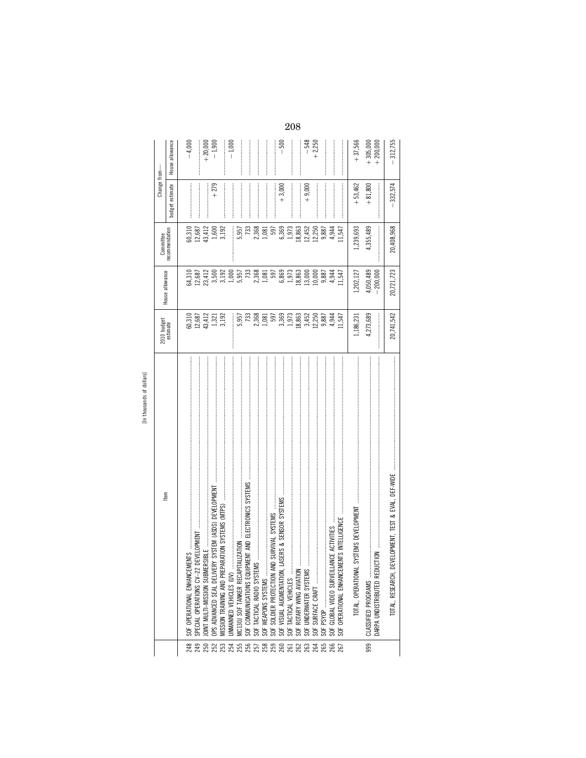|     | ltem                                                       | 2010 budget<br>estimate                                                     | House allowance                                               | Committee<br>recommendation | Change from-                                                                                                                                                                                                                                                                                                                                                                                                                                     |                          |
|-----|------------------------------------------------------------|-----------------------------------------------------------------------------|---------------------------------------------------------------|-----------------------------|--------------------------------------------------------------------------------------------------------------------------------------------------------------------------------------------------------------------------------------------------------------------------------------------------------------------------------------------------------------------------------------------------------------------------------------------------|--------------------------|
|     |                                                            |                                                                             |                                                               |                             | budget estimate                                                                                                                                                                                                                                                                                                                                                                                                                                  | House allowance          |
| 248 | IENTS.<br>SOF OPERATIONAL ENHANCEM                         |                                                                             |                                                               |                             |                                                                                                                                                                                                                                                                                                                                                                                                                                                  | $-4,000$                 |
| 249 | SPECIAL OPERATIONS CV-22                                   |                                                                             | 64,310<br>12,687<br>23,412                                    | 60,310<br>12,687            |                                                                                                                                                                                                                                                                                                                                                                                                                                                  |                          |
| 250 |                                                            |                                                                             |                                                               | 43,412                      |                                                                                                                                                                                                                                                                                                                                                                                                                                                  |                          |
|     |                                                            | $\begin{array}{c} 60,310 \\ 12,687 \\ 43,412 \\ 1,321 \\ 3,192 \end{array}$ | 3,500                                                         | 1,600                       | $+279$                                                                                                                                                                                                                                                                                                                                                                                                                                           | $+20,000$<br>$-1,900$    |
|     | <b>IRATION SYSTEMS (MTPS)</b><br>MISSION TRAINING AND PREP |                                                                             |                                                               | 3,192                       |                                                                                                                                                                                                                                                                                                                                                                                                                                                  |                          |
|     | <b>JNMANNED VEHICLES (UV)</b>                              |                                                                             | 3, 192<br>1, 000<br>5, 957<br>733                             |                             |                                                                                                                                                                                                                                                                                                                                                                                                                                                  | $-1,000$                 |
|     | <b>ALIZATION</b><br>MC130J SOF TANKER RECAPIT              |                                                                             |                                                               | 5,957                       |                                                                                                                                                                                                                                                                                                                                                                                                                                                  |                          |
|     | SOF COMMUNICATIONS EQUIPI                                  |                                                                             |                                                               | 733                         |                                                                                                                                                                                                                                                                                                                                                                                                                                                  |                          |
|     | SOF TACTICAL RADIO SYSTEM                                  |                                                                             | 2,368                                                         |                             |                                                                                                                                                                                                                                                                                                                                                                                                                                                  |                          |
|     | SOF WEAPONS SYSTEMS                                        |                                                                             |                                                               | 2,368<br>1,081              |                                                                                                                                                                                                                                                                                                                                                                                                                                                  |                          |
|     | SOF SOLDIER PROTECTION AN                                  |                                                                             | $\begin{array}{c} 1,081 \\ 597 \\ 6,869 \\ 1,973 \end{array}$ | 597                         |                                                                                                                                                                                                                                                                                                                                                                                                                                                  |                          |
|     | SOF VISUAL AUGMENTATION,                                   |                                                                             |                                                               | 6,369                       | $+3,000$                                                                                                                                                                                                                                                                                                                                                                                                                                         | $-\,500$                 |
|     | SOF TACTICAL VEHICLES                                      |                                                                             |                                                               | 1,973                       | $\label{eq:3} \begin{minipage}{0.9\linewidth} \begin{tabular}{ c c c c } \hline \multicolumn{3}{ c }{\textbf{r}} & \multicolumn{3}{ c }{\textbf{r}} & \multicolumn{3}{ c }{\textbf{r}} & \multicolumn{3}{ c }{\textbf{r}} & \multicolumn{3}{ c }{\textbf{r}} & \multicolumn{3}{ c }{\textbf{r}} & \multicolumn{3}{ c }{\textbf{r}} & \multicolumn{3}{ c }{\textbf{r}} & \multicolumn{3}{ c }{\textbf{r}} & \multicolumn{3}{ c }{\textbf{r}} & \$ |                          |
|     | SOF ROTARY WING AVIATION                                   |                                                                             | 18,863                                                        | 18,863                      |                                                                                                                                                                                                                                                                                                                                                                                                                                                  |                          |
|     | SOF UNDERWATER SYSTEMS                                     |                                                                             | 13,000                                                        | 12,452                      | $+9,000$                                                                                                                                                                                                                                                                                                                                                                                                                                         | $-548$                   |
|     | SURFACE CRAFT<br>SOF                                       |                                                                             | 10,000                                                        | 12,250                      |                                                                                                                                                                                                                                                                                                                                                                                                                                                  | $+2,250$                 |
|     |                                                            |                                                                             | 9,887                                                         | 9,887                       |                                                                                                                                                                                                                                                                                                                                                                                                                                                  |                          |
|     | SOF GLOBAL VIDEO SURVEILL                                  | 4,944                                                                       | 4,944                                                         | 4,944                       |                                                                                                                                                                                                                                                                                                                                                                                                                                                  |                          |
|     | SOF OPERATIONAL ENHANCEM                                   | 11,547                                                                      | 11,547                                                        | 11,547                      |                                                                                                                                                                                                                                                                                                                                                                                                                                                  |                          |
|     | SYSTEMS DEVELOPMENT<br>TOTAL, OPERATIONAL                  | 1,186,231                                                                   | 1,202,127                                                     | 1,239,693                   | $+53,462$                                                                                                                                                                                                                                                                                                                                                                                                                                        | $+37,566$                |
| 999 | CLASSIFIED PROGRAMS                                        | 4,273,689                                                                   | 4,050,489                                                     | 4,355,489                   | $+81,800$                                                                                                                                                                                                                                                                                                                                                                                                                                        |                          |
|     | DARPA UNDISTRIBUTED REDU                                   |                                                                             | $-200,000$                                                    |                             |                                                                                                                                                                                                                                                                                                                                                                                                                                                  | $+305,000$<br>$+200,000$ |
|     | EVELOPMENT, TEST & EVAL, DEF-WIDE<br>TOTAL, RESEARCH, DI   | 20,741,542                                                                  | 20,721,723                                                    | 20,408,968                  | $-332,574$                                                                                                                                                                                                                                                                                                                                                                                                                                       | 312,755                  |
|     |                                                            |                                                                             |                                                               |                             |                                                                                                                                                                                                                                                                                                                                                                                                                                                  |                          |
|     |                                                            |                                                                             |                                                               |                             |                                                                                                                                                                                                                                                                                                                                                                                                                                                  |                          |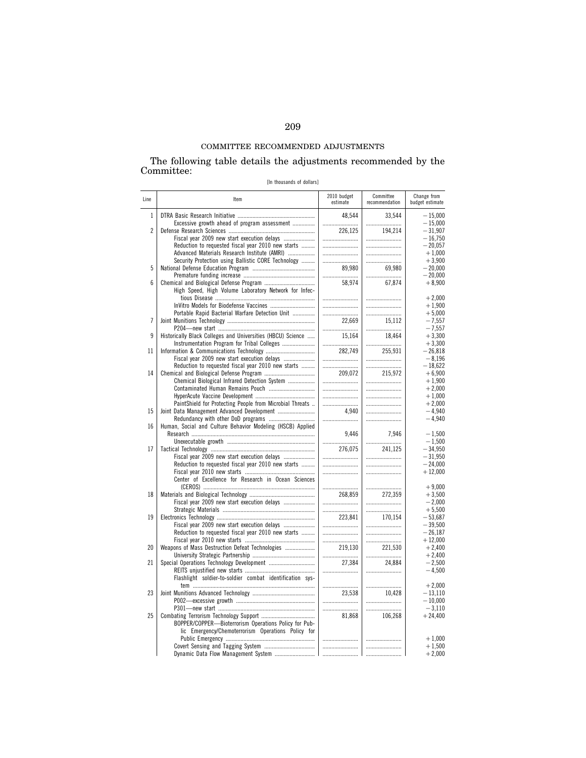# COMMITTEE RECOMMENDED ADJUSTMENTS

The following table details the adjustments recommended by the Committee:

[In thousands of dollars]

| Line           | Item                                                                                               | 2010 budget<br>estimate | Committee<br>recommendation | Change from<br>budget estimate |
|----------------|----------------------------------------------------------------------------------------------------|-------------------------|-----------------------------|--------------------------------|
| 1              | Excessive growth ahead of program assessment                                                       | 48,544<br>              | 33,544                      | $-15,000$<br>$-15,000$         |
| $\overline{2}$ |                                                                                                    | 226,125                 | 194,214                     | $-31,907$                      |
|                | Fiscal year 2009 new start execution delays                                                        |                         |                             | $-16,750$                      |
|                | Reduction to requested fiscal year 2010 new starts<br>Advanced Materials Research Institute (AMRI) |                         |                             | $-20.057$<br>$+1,000$          |
|                | Security Protection using Ballistic CORE Technology                                                |                         |                             | $+3,900$                       |
| 5              |                                                                                                    | 89.980                  | 69,980                      | $-20.000$                      |
|                |                                                                                                    |                         |                             | $-20,000$                      |
| 6              |                                                                                                    | 58,974                  | 67,874                      | $+8,900$                       |
|                | High Speed, High Volume Laboratory Network for Infec-                                              |                         |                             | $+2,000$                       |
|                |                                                                                                    |                         |                             | $+1,900$                       |
|                | Portable Rapid Bacterial Warfare Detection Unit                                                    |                         |                             | $+5,000$                       |
| $\overline{1}$ |                                                                                                    | 22,669                  | 15,112                      | $-7,557$                       |
|                |                                                                                                    |                         |                             | $-7,557$                       |
| 9              | Historically Black Colleges and Universities (HBCU) Science                                        | 15.164                  | 18.464                      | $+3.300$                       |
| 11             | Instrumentation Program for Tribal Colleges                                                        | 282,749                 | 255,931                     | $+3,300$<br>$-26,818$          |
|                | Fiscal year 2009 new start execution delays                                                        |                         |                             | $-8,196$                       |
|                | Reduction to requested fiscal year 2010 new starts                                                 |                         |                             | $-18.622$                      |
| 14             |                                                                                                    | 209,072                 | 215,972                     | $+6,900$                       |
|                | Chemical Biological Infrared Detection System                                                      |                         |                             | $+1,900$                       |
|                | Contaminated Human Remains Pouch                                                                   |                         |                             | $+2.000$                       |
|                |                                                                                                    |                         |                             | $+1,000$                       |
| 15             | PaintShield for Protecting People from Microbial Threats                                           | 4.940                   |                             | $+2.000$                       |
|                |                                                                                                    |                         |                             | $-4,940$<br>$-4,940$           |
| 16             | Human, Social and Culture Behavior Modeling (HSCB) Applied                                         |                         |                             |                                |
|                |                                                                                                    | 9,446                   | 7,946                       | $-1,500$                       |
|                |                                                                                                    |                         |                             | $-1.500$                       |
| 17             |                                                                                                    | 276.075                 | 241.125                     | $-34.950$                      |
|                | Fiscal year 2009 new start execution delays                                                        |                         |                             | $-31,950$                      |
|                | Reduction to requested fiscal year 2010 new starts                                                 |                         |                             | $-24.000$<br>$+12,000$         |
|                | Center of Excellence for Research in Ocean Sciences                                                |                         |                             |                                |
|                |                                                                                                    |                         |                             | $+9,000$                       |
| 18             |                                                                                                    | 268.859                 | 272.359                     | $+3.500$                       |
|                | Fiscal year 2009 new start execution delays                                                        |                         |                             | $-2.000$                       |
|                |                                                                                                    |                         |                             | $+5,500$                       |
| 19             |                                                                                                    | 223,841                 | 170,154                     | $-53.687$<br>$-39.500$         |
|                | Fiscal year 2009 new start execution delays<br>Reduction to requested fiscal year 2010 new starts  |                         |                             | $-26,187$                      |
|                |                                                                                                    |                         |                             | $+12,000$                      |
| 20             | Weapons of Mass Destruction Defeat Technologies                                                    | 219,130                 | 221,530                     | $+2,400$                       |
|                |                                                                                                    |                         |                             | $+2.400$                       |
| 21             |                                                                                                    | 27,384                  | 24.884                      | $-2,500$                       |
|                |                                                                                                    |                         |                             | $-4,500$                       |
|                | Flashlight soldier-to-soldier combat identification sys-                                           |                         |                             | $+2,000$                       |
| 23             |                                                                                                    | 23,538                  | 10,428                      | $-13,110$                      |
|                |                                                                                                    |                         |                             | $-10.000$                      |
|                |                                                                                                    |                         |                             | $-3,110$                       |
| 25             |                                                                                                    | 81,868                  | 106,268                     | $+24,400$                      |
|                | BOPPER/COPPER-Bioterrorism Operations Policy for Pub-                                              |                         |                             |                                |
|                | lic Emergency/Chemoterrorism Operations Policy for                                                 |                         |                             |                                |
|                |                                                                                                    |                         |                             | $+1,000$                       |
|                |                                                                                                    |                         |                             | $+1,500$<br>$+2,000$           |
|                |                                                                                                    |                         |                             |                                |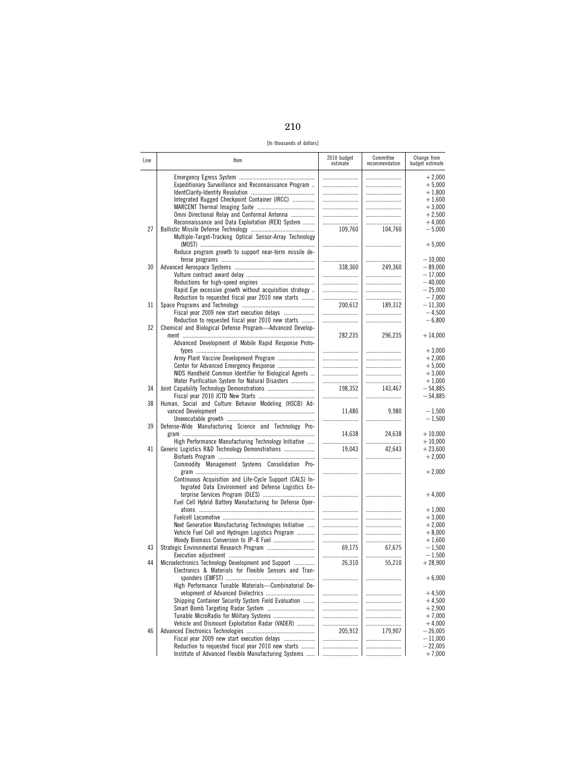| -- | I<br>×<br>٩ |
|----|-------------|

[In thousands of dollars]

| Line | Item                                                                                                                                                                    | 2010 budget<br>estimate | Committee<br>recommendation | Change from<br>budget estimate               |
|------|-------------------------------------------------------------------------------------------------------------------------------------------------------------------------|-------------------------|-----------------------------|----------------------------------------------|
|      | Expeditionary Surveillance and Reconnaissance Program<br>Integrated Rugged Checkpoint Container (IRCC)                                                                  | <br><br>                | <br><br>                    | $+2,000$<br>$+5,000$<br>$+1,800$<br>$+1,600$ |
|      | Omni Directional Relay and Conformal Antenna<br>Reconnaissance and Data Exploitation (REX) System                                                                       |                         | <br>                        | $+3,000$<br>$+2,500$<br>$+4,000$             |
| 27   | Multiple-Target-Tracking Optical Sensor-Array Technology                                                                                                                | <br>109,760             | <br>104,760<br>             | $-5,000$<br>$+5,000$                         |
|      | Reduce program growth to support near-term missile de-                                                                                                                  |                         |                             | $-10,000$                                    |
| 30   |                                                                                                                                                                         | 338,360                 | 249,360                     | $-89,000$<br>$-17,000$<br>$-40.000$          |
|      | Rapid Eye excessive growth without acquisition strategy<br>Reduction to requested fiscal year 2010 new starts                                                           |                         |                             | $-25,000$<br>$-7,000$                        |
| 31   | Fiscal year 2009 new start execution delays                                                                                                                             | 200,612                 | 189,312<br>                 | $-11,300$<br>$-4,500$                        |
| 32   | Reduction to requested fiscal year 2010 new starts<br>Chemical and Biological Defense Program-Advanced Develop-<br>Advanced Development of Mobile Rapid Response Proto- | 282,235                 | 296,235                     | $-6,800$<br>$+14,000$                        |
|      |                                                                                                                                                                         |                         | <br>                        | $+3,000$<br>$+2,000$                         |
|      | NIDS Handheld Common Identifier for Biological Agents<br>Water Purification System for Natural Disasters                                                                |                         | <br><br>                    | $+5,000$<br>$+3,000$<br>$+1,000$             |
| 34   |                                                                                                                                                                         | 198.352<br>             | 143,467<br>                 | $-54,885$<br>$-54,885$                       |
| 38   | Human, Social and Culture Behavior Modeling (HSCB) Ad-                                                                                                                  | 11,480                  | 9.980<br>                   | $-1,500$<br>$-1,500$                         |
| 39   | Defense-Wide Manufacturing Science and Technology Pro-                                                                                                                  | 14,638                  | 24,638                      | $+10,000$                                    |
| 41   | High Performance Manufacturing Technology Initiative<br>Generic Logistics R&D Technology Demonstrations                                                                 | 19,043                  | <br>42,643                  | $+10,000$<br>$+23,600$<br>$+2,000$           |
|      | Commodity Management Systems Consolidation Pro-                                                                                                                         |                         |                             | $+2,000$                                     |
|      | Continuous Acquisition and Life-Cycle Support (CALS) In-<br>tegrated Data Environment and Defense Logistics En-                                                         |                         |                             | $+4,000$                                     |
|      | Fuel Cell Hybrid Battery Manufacturing for Defense Oper-                                                                                                                | <br>                    | <br>                        | $+1,000$<br>$+3,000$                         |
|      | Next Generation Manufacturing Technologies Initiative<br>Vehicle Fuel Cell and Hydrogen Logistics Program                                                               |                         | <br>                        | $+2,000$<br>$+8,000$<br>$+1,600$             |
| 43   |                                                                                                                                                                         | 69,175                  | 67,675<br>                  | $-1,500$<br>$-1,500$                         |
| 44   | Microelectronics Technology Development and Support<br>Electronics & Materials for Flexible Sensors and Tran-                                                           | 26,310                  | 55,210<br>                  | $+28,900$<br>$+6,000$                        |
|      | High Performance Tunable Materials-Combinatorial De-<br>Shipping Container Security System Field Evaluation                                                             |                         |                             | $+4,500$<br>$+4,500$                         |
|      |                                                                                                                                                                         | <br>                    | <br>                        | $+2,900$<br>$+7,000$                         |
| 46   | Vehicle and Dismount Exploitation Radar (VADER)<br>Fiscal year 2009 new start execution delays                                                                          | 205,912                 | <br>179,907                 | $+4,000$<br>$-26,005$<br>$-11,000$           |
|      | Reduction to requested fiscal year 2010 new starts<br>Institute of Advanced Flexible Manufacturing Systems                                                              | <br>                    |                             | $-22,005$<br>$+7,000$                        |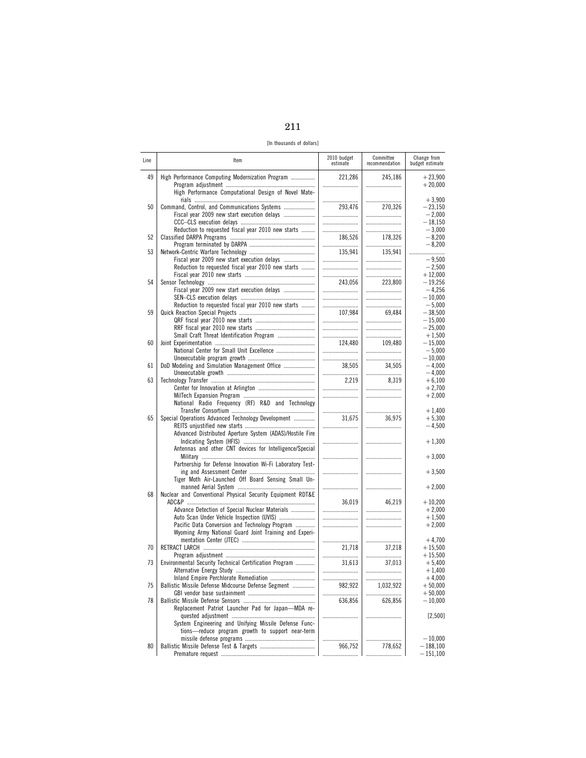| -- |  |
|----|--|

[In thousands of dollars]

| Line | Item                                                                                              | 2010 budget<br>estimate | Committee<br>recommendation | Change from<br>budget estimate |
|------|---------------------------------------------------------------------------------------------------|-------------------------|-----------------------------|--------------------------------|
| 49   | High Performance Computing Modernization Program                                                  | 221,286<br>             | 245,186                     | $+23,900$<br>$+20,000$         |
|      | High Performance Computational Design of Novel Mate-                                              |                         |                             | $+3,900$                       |
| 50   | Command, Control, and Communications Systems<br>Fiscal year 2009 new start execution delays       | 293,476<br>             | 270,326<br>                 | $-23,150$<br>$-2.000$          |
|      | Reduction to requested fiscal year 2010 new starts                                                | <br>                    | <br>                        | $-18,150$<br>$-3,000$          |
| 52   |                                                                                                   | 186,526                 | 178,326                     | $-8,200$                       |
| 53   |                                                                                                   | <br>135,941             | <br>135,941                 | $-8,200$<br>                   |
|      | Fiscal year 2009 new start execution delays<br>Reduction to requested fiscal year 2010 new starts | <br>                    | <br>                        | $-9,500$<br>$-2,500$           |
| 54   |                                                                                                   | <br>243,056             | <br>223,800                 | $+12,000$<br>$-19,256$         |
|      | Fiscal year 2009 new start execution delays                                                       |                         |                             | $-4,256$                       |
|      | Reduction to requested fiscal year 2010 new starts                                                | <br>                    | <br>                        | $-10,000$<br>$-5,000$          |
| 59   |                                                                                                   | 107,984                 | 69,484                      | $-38,500$                      |
|      |                                                                                                   | <br>                    | <br>                        | $-15,000$<br>$-25,000$         |
| 60   | Small Craft Threat Identification Program                                                         | <br>124.480             | <br>109,480                 | $+1,500$                       |
|      | National Center for Small Unit Excellence                                                         |                         |                             | $-15,000$<br>$-5,000$          |
| 61   | DoD Modeling and Simulation Management Office                                                     | 38,505                  | <br>34,505                  | $-10,000$<br>$-4,000$          |
|      |                                                                                                   |                         |                             | $-4,000$                       |
| 63   |                                                                                                   | 2,219<br>               | 8,319<br>                   | $+6,100$<br>$+2,700$           |
|      |                                                                                                   |                         |                             | $+2,000$                       |
|      | National Radio Frequency (RF) R&D and Technology                                                  |                         |                             | $+1,400$                       |
| 65   | Special Operations Advanced Technology Development                                                | 31,675<br>              | 36,975<br>                  | $+5,300$<br>$-4,500$           |
|      | Advanced Distributed Aperture System (ADAS)/Hostile Fire                                          |                         |                             |                                |
|      | Antennas and other CNT devices for Intelligence/Special                                           |                         |                             | $+1,300$                       |
|      | Partnership for Defense Innovation Wi-Fi Laboratory Test-                                         |                         |                             | $+3,000$                       |
|      |                                                                                                   |                         |                             | $+3,500$                       |
|      | Tiger Moth Air-Launched Off Board Sensing Small Un-                                               |                         |                             | $+2,000$                       |
| 68   | Nuclear and Conventional Physical Security Equipment RDT&E                                        | 36,019                  | 46.219                      | $+10,200$                      |
|      | Advance Detection of Special Nuclear Materials                                                    |                         |                             | $+2,000$                       |
|      | Auto Scan Under Vehicle Inspection (UVIS)<br>Pacific Data Conversion and Technology Program       | <br>                    |                             | $+1,500$<br>$+2,000$           |
|      | Wyoming Army National Guard Joint Training and Experi-                                            |                         |                             |                                |
| 70   |                                                                                                   | <br>21,718              | <br>37,218                  | $+4,700$<br>$+15,500$          |
| 73   | Environmental Security Technical Certification Program                                            | <br>31,613              | <br>37.013                  | $+15,500$<br>$+5,400$          |
|      |                                                                                                   |                         |                             | $+1,400$                       |
| 75   | Inland Empire Perchlorate Remediation<br>Ballistic Missile Defense Midcourse Defense Segment      | <br>982,922             | <br>1,032,922               | $+4,000$<br>$+50,000$          |
|      |                                                                                                   | .                       |                             | $+50,000$                      |
| 78   | Replacement Patriot Launcher Pad for Japan-MDA re-                                                | 636,856                 | 626,856                     | $-10,000$                      |
|      | System Engineering and Unifying Missile Defense Func-                                             |                         |                             | [2,500]                        |
|      | tions-reduce program growth to support near-term                                                  |                         |                             |                                |
| 80   |                                                                                                   | <br>966,752             | 778,652                     | $-10,000$<br>$-188,100$        |
|      |                                                                                                   |                         |                             | $-151,100$                     |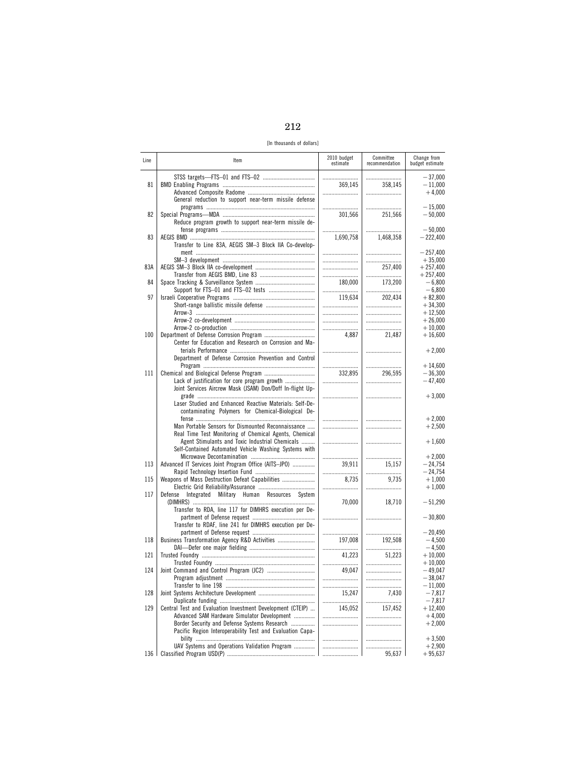212

[In thousands of dollars]

| Line  | Item                                                                                                                                                               | 2010 budget<br>estimate | Committee<br>recommendation | Change from<br>budget estimate      |
|-------|--------------------------------------------------------------------------------------------------------------------------------------------------------------------|-------------------------|-----------------------------|-------------------------------------|
| 81    |                                                                                                                                                                    | <br>369.145             | <br>358.145                 | $-37,000$<br>$-11,000$              |
|       | General reduction to support near-term missile defense                                                                                                             |                         | <br>                        | $+4,000$<br>$-15,000$               |
| 82    | Reduce program growth to support near-term missile de-                                                                                                             | 301,566                 | 251,566                     | $-50,000$                           |
| 83    |                                                                                                                                                                    | <br>1,690,758           | <br>1,468,358               | $-50,000$<br>$-222,400$             |
|       | Transfer to Line 83A, AEGIS SM-3 Block IIA Co-develop-                                                                                                             |                         |                             | $-257,400$<br>$+35,000$             |
| 83A   |                                                                                                                                                                    | <br><br>                | <br>257,400<br>             | $+257.400$<br>$+257,400$            |
| 84    |                                                                                                                                                                    | 180,000<br>             | 173,200<br>                 | $-6,800$<br>$-6,800$                |
| 97    |                                                                                                                                                                    | 119,634<br>             | 202,434<br>                 | $+82,800$<br>$+34,300$              |
|       |                                                                                                                                                                    | <br>                    | <br>                        | $+12,500$<br>$+26,000$              |
| 100   | Center for Education and Research on Corrosion and Ma-                                                                                                             | <br>4,887               | <br>21,487                  | $+10,000$<br>$+16,600$              |
|       | Department of Defense Corrosion Prevention and Control                                                                                                             |                         |                             | $+2,000$                            |
| 111   |                                                                                                                                                                    | <br>332,895<br>         | <br>296,595<br>             | $+14,600$<br>$-36,300$<br>$-47,400$ |
|       | Joint Services Aircrew Mask (JSAM) Don/Doff In-flight Up-<br>Laser Studied and Enhanced Reactive Materials: Self-De-                                               |                         |                             | $+3,000$                            |
|       | contaminating Polymers for Chemical-Biological De-<br>Man Portable Sensors for Dismounted Reconnaissance                                                           |                         |                             | $+2,000$<br>$+2,500$                |
|       | Real Time Test Monitoring of Chemical Agents, Chemical<br>Agent Stimulants and Toxic Industrial Chemicals<br>Self-Contained Automated Vehicle Washing Systems with |                         |                             | $+1,600$                            |
| 113   | Advanced IT Services Joint Program Office (AITS-JPO)                                                                                                               | <br>39,911              | <br>15,157                  | $+2,000$<br>$-24,754$               |
| 115   | Weapons of Mass Destruction Defeat Capabilities                                                                                                                    | <br>8,735<br>           | <br>9,735<br>               | $-24,754$<br>$+1,000$<br>$+1,000$   |
| 117   | Integrated Military Human Resources System<br>Defense                                                                                                              | 70,000                  | 18,710                      | $-51,290$                           |
|       | Transfer to RDA, line 117 for DIMHRS execution per De-<br>Transfer to RDAF, line 241 for DIMHRS execution per De-                                                  |                         |                             | $-30,800$                           |
| 118   | Business Transformation Agency R&D Activities                                                                                                                      | <br>197,008             | <br>192,508                 | $-20,490$<br>$-4,500$               |
| 121   |                                                                                                                                                                    | <br>41,223              | <br>51,223                  | $-4,500$<br>$+10,000$<br>$+10.000$  |
| 124   |                                                                                                                                                                    | <br>49.047              |                             | $-49,047$<br>$-38,047$              |
| 128   |                                                                                                                                                                    | 15,247<br>              | <br>7,430                   | $-11,000$<br>$-7,817$<br>$-7,817$   |
| 129   | Central Test and Evaluation Investment Development (CTEIP)<br>Advanced SAM Hardware Simulator Development                                                          | 145,052                 | <br>157,452<br>             | $+12,400$<br>$+4,000$               |
|       | Border Security and Defense Systems Research<br>Pacific Region Interoperability Test and Evaluation Capa-                                                          |                         |                             | $+2,000$<br>$+3,500$                |
| 136 l | UAV Systems and Operations Validation Program                                                                                                                      | <br><br>                | <br>95,637                  | $+2,900$<br>$+95,637$               |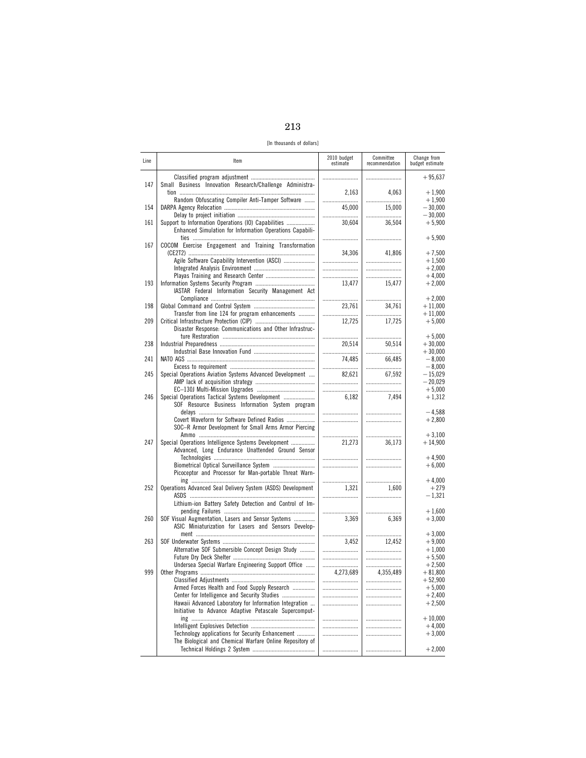| -- | ٦<br>M.<br>٩ |
|----|--------------|

[In thousands of dollars]

| Line | Item                                                        | 2010 budget<br>estimate | Committee<br>recommendation | Change from<br>budget estimate |
|------|-------------------------------------------------------------|-------------------------|-----------------------------|--------------------------------|
|      |                                                             |                         |                             | $+95,637$                      |
| 147  | Small Business Innovation Research/Challenge Administra-    | 2,163                   | 4,063                       | $+1,900$                       |
| 154  | Random Obfuscating Compiler Anti-Tamper Software            | <br>45,000              | <br>15.000                  | $+1,900$<br>$-30,000$          |
| 161  | Support to Information Operations (IO) Capabilities         | <br>30,604              | 36,504                      | $-30,000$<br>$+5,900$          |
|      | Enhanced Simulation for Information Operations Capabili-    |                         |                             | $+5,900$                       |
| 167  | COCOM Exercise Engagement and Training Transformation       | 34,306                  | 41,806                      | $+7,500$                       |
|      | Agile Software Capability Intervention (ASCI)               |                         | <br>                        | $+1,500$<br>$+2,000$           |
|      |                                                             |                         |                             | $+4,000$                       |
| 193  | IASTAR Federal Information Security Management Act          | 13,477                  | 15,477                      | $+2,000$                       |
|      |                                                             |                         |                             | $+2,000$                       |
| 198  | Transfer from line 124 for program enhancements             | 23,761<br>              | 34,761<br>                  | $+11,000$<br>$+11,000$         |
| 209  |                                                             | 12,725                  | 17,725                      | $+5,000$                       |
|      | Disaster Response: Communications and Other Infrastruc-     |                         |                             | $+5,000$                       |
| 238  |                                                             | 20,514                  | 50,514                      | $+30,000$                      |
|      |                                                             |                         |                             | $+30.000$                      |
| 241  |                                                             | 74,485                  | 66.485                      | $-8,000$<br>$-8,000$           |
| 245  | Special Operations Aviation Systems Advanced Development    | 82,621                  | 67.592                      | $-15,029$                      |
|      |                                                             |                         |                             | $-20,029$                      |
|      |                                                             |                         |                             | $+5,000$                       |
| 246  | Special Operations Tactical Systems Development             | 6,182                   | 7.494                       | $+1,312$                       |
|      | SOF Resource Business Information System program            |                         |                             | $-4.588$                       |
|      | Covert Waveform for Software Defined Radios                 |                         |                             | $+2,800$                       |
|      | SOC-R Armor Development for Small Arms Armor Piercing       |                         |                             |                                |
| 247  | Special Operations Intelligence Systems Development         | <br>21,273              | <br>36,173                  | $+3,100$<br>$+14,900$          |
|      | Advanced, Long Endurance Unattended Ground Sensor           |                         |                             |                                |
|      |                                                             |                         |                             | $+4,900$                       |
|      |                                                             |                         |                             | $+6,000$                       |
|      | Picoceptor and Processor for Man-portable Threat Warn-      |                         |                             | $+4,000$                       |
| 252  | Operations Advanced Seal Delivery System (ASDS) Development | 1,321                   | 1,600                       | $+279$                         |
|      |                                                             |                         |                             | $-1,321$                       |
|      | Lithium-ion Battery Safety Detection and Control of Im-     |                         |                             | $+1,600$                       |
| 260  | SOF Visual Augmentation, Lasers and Sensor Systems          | 3,369                   | 6,369                       | $+3,000$                       |
|      | ASIC Miniaturization for Lasers and Sensors Develop-        |                         |                             |                                |
|      |                                                             |                         |                             | $+3,000$                       |
| 263  | Alternative SOF Submersible Concept Design Study            | 3,452                   | 12.452                      | $+9,000$<br>$+1,000$           |
|      |                                                             |                         |                             | $+5,500$                       |
|      | Undersea Special Warfare Engineering Support Office         |                         |                             | $+2,500$                       |
| 999  |                                                             | 4,273,689               | 4,355,489                   | $+81,800$                      |
|      | Armed Forces Health and Food Supply Research                |                         |                             | $+52,900$<br>$+5,000$          |
|      |                                                             | <br>                    | <br>                        | $+2,400$                       |
|      | Hawaii Advanced Laboratory for Information Integration      |                         |                             | $+2,500$                       |
|      | Initiative to Advance Adaptive Petascale Supercomput-       |                         |                             |                                |
|      |                                                             | <br>                    |                             | $+10,000$<br>$+4,000$          |
|      | Technology applications for Security Enhancement            |                         |                             | $+3,000$                       |
|      | The Biological and Chemical Warfare Online Repository of    |                         |                             |                                |
|      |                                                             |                         |                             | $+2,000$                       |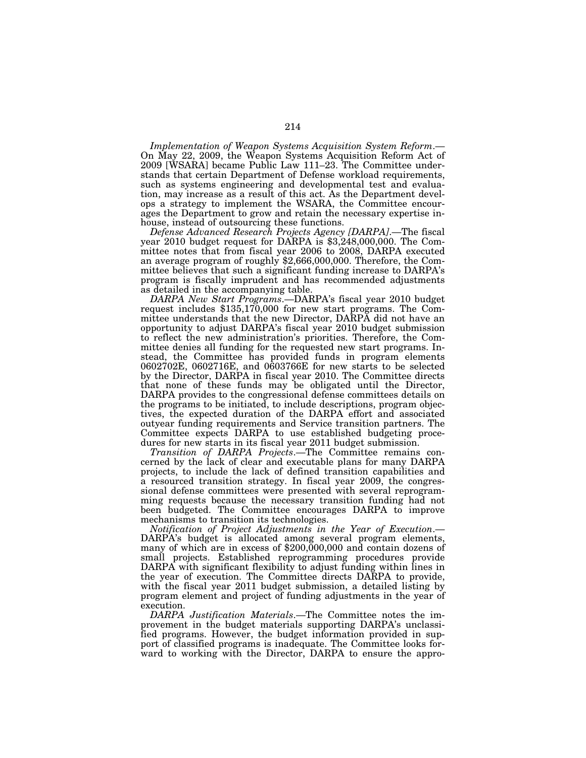*Implementation of Weapon Systems Acquisition System Reform*.— On May 22, 2009, the Weapon Systems Acquisition Reform Act of 2009 [WSARA] became Public Law 111–23. The Committee understands that certain Department of Defense workload requirements, such as systems engineering and developmental test and evaluation, may increase as a result of this act. As the Department develops a strategy to implement the WSARA, the Committee encourages the Department to grow and retain the necessary expertise inhouse, instead of outsourcing these functions.

*Defense Advanced Research Projects Agency [DARPA]*.—The fiscal year 2010 budget request for DARPA is \$3,248,000,000. The Committee notes that from fiscal year 2006 to 2008, DARPA executed an average program of roughly \$2,666,000,000. Therefore, the Committee believes that such a significant funding increase to DARPA's program is fiscally imprudent and has recommended adjustments

as detailed in the accompanying table.<br>DARPA New Start Programs.—DARPA's fiscal year 2010 budget *DARPA New Start Programs*.—DARPA's fiscal year 2010 budget request includes \$135,170,000 for new start programs. The Committee understands that the new Director, DARPA did not have an opportunity to adjust DARPA's fiscal year 2010 budget submission to reflect the new administration's priorities. Therefore, the Committee denies all funding for the requested new start programs. Instead, the Committee has provided funds in program elements 0602702E, 0602716E, and 0603766E for new starts to be selected by the Director, DARPA in fiscal year 2010. The Committee directs that none of these funds may be obligated until the Director, DARPA provides to the congressional defense committees details on the programs to be initiated, to include descriptions, program objectives, the expected duration of the DARPA effort and associated outyear funding requirements and Service transition partners. The Committee expects DARPA to use established budgeting procedures for new starts in its fiscal year 2011 budget submission.

*Transition of DARPA Projects*.—The Committee remains concerned by the lack of clear and executable plans for many DARPA projects, to include the lack of defined transition capabilities and a resourced transition strategy. In fiscal year 2009, the congressional defense committees were presented with several reprogramming requests because the necessary transition funding had not been budgeted. The Committee encourages DARPA to improve mechanisms to transition its technologies.

*Notification of Project Adjustments in the Year of Execution*.— DARPA's budget is allocated among several program elements, many of which are in excess of \$200,000,000 and contain dozens of small projects. Established reprogramming procedures provide DARPA with significant flexibility to adjust funding within lines in the year of execution. The Committee directs DARPA to provide, with the fiscal year 2011 budget submission, a detailed listing by program element and project of funding adjustments in the year of execution.

*DARPA Justification Materials*.—The Committee notes the improvement in the budget materials supporting DARPA's unclassified programs. However, the budget information provided in support of classified programs is inadequate. The Committee looks forward to working with the Director, DARPA to ensure the appro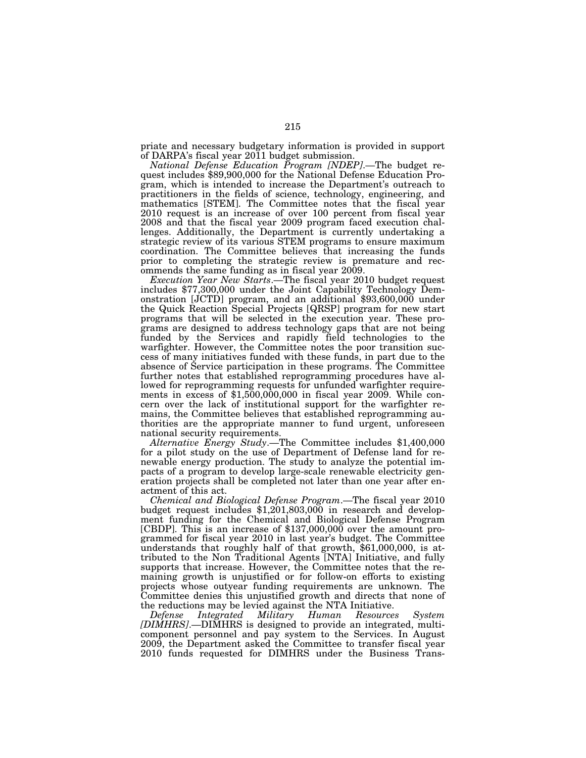priate and necessary budgetary information is provided in support of DARPA's fiscal year 2011 budget submission.

*National Defense Education Program [NDEP]*.—The budget request includes \$89,900,000 for the National Defense Education Program, which is intended to increase the Department's outreach to practitioners in the fields of science, technology, engineering, and mathematics [STEM]. The Committee notes that the fiscal year 2010 request is an increase of over 100 percent from fiscal year 2008 and that the fiscal year 2009 program faced execution challenges. Additionally, the Department is currently undertaking a strategic review of its various STEM programs to ensure maximum coordination. The Committee believes that increasing the funds prior to completing the strategic review is premature and recommends the same funding as in fiscal year 2009.<br>Execution Year New Starts.—The fiscal year 2010 budget request

includes \$77,300,000 under the Joint Capability Technology Demonstration [JCTD] program, and an additional \$93,600,000 under the Quick Reaction Special Projects [QRSP] program for new start programs that will be selected in the execution year. These programs are designed to address technology gaps that are not being funded by the Services and rapidly field technologies to the warfighter. However, the Committee notes the poor transition success of many initiatives funded with these funds, in part due to the absence of Service participation in these programs. The Committee further notes that established reprogramming procedures have allowed for reprogramming requests for unfunded warfighter requirements in excess of \$1,500,000,000 in fiscal year 2009. While concern over the lack of institutional support for the warfighter remains, the Committee believes that established reprogramming authorities are the appropriate manner to fund urgent, unforeseen national security requirements.

*Alternative Energy Study*.—The Committee includes \$1,400,000 for a pilot study on the use of Department of Defense land for renewable energy production. The study to analyze the potential impacts of a program to develop large-scale renewable electricity generation projects shall be completed not later than one year after enactment of this act.

*Chemical and Biological Defense Program*.—The fiscal year 2010 budget request includes \$1,201,803,000 in research and development funding for the Chemical and Biological Defense Program [CBDP]. This is an increase of \$137,000,000 over the amount programmed for fiscal year 2010 in last year's budget. The Committee understands that roughly half of that growth, \$61,000,000, is attributed to the Non Traditional Agents [NTA] Initiative, and fully supports that increase. However, the Committee notes that the remaining growth is unjustified or for follow-on efforts to existing projects whose outyear funding requirements are unknown. The Committee denies this unjustified growth and directs that none of the reductions may be levied against the NTA Initiative.<br>Defense Integrated Military Human Resource

*Military Human Resources System [DIMHRS]*.—DIMHRS is designed to provide an integrated, multicomponent personnel and pay system to the Services. In August 2009, the Department asked the Committee to transfer fiscal year 2010 funds requested for DIMHRS under the Business Trans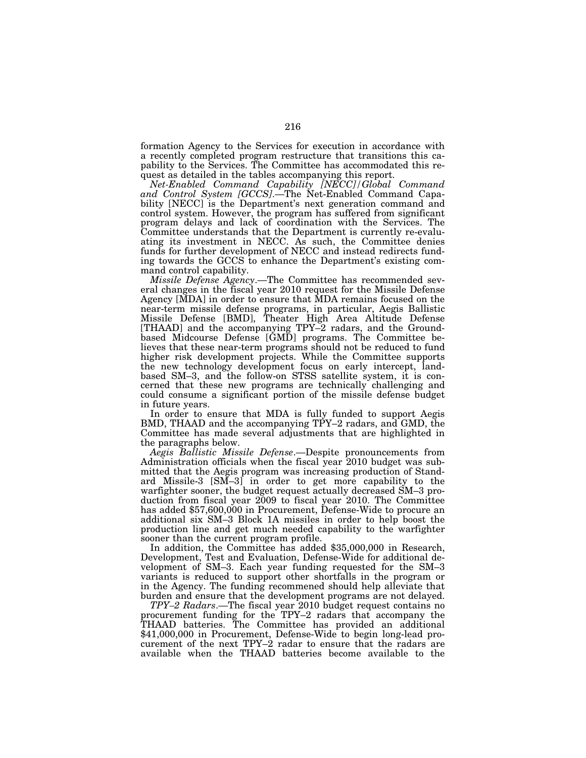formation Agency to the Services for execution in accordance with a recently completed program restructure that transitions this capability to the Services. The Committee has accommodated this request as detailed in the tables accompanying this report.

*Net-Enabled Command Capability [NECC]/Global Command and Control System [GCCS]*.—The Net-Enabled Command Capability [NECC] is the Department's next generation command and control system. However, the program has suffered from significant program delays and lack of coordination with the Services. The Committee understands that the Department is currently re-evaluating its investment in NECC. As such, the Committee denies funds for further development of NECC and instead redirects funding towards the GCCS to enhance the Department's existing command control capability.

*Missile Defense Agency*.—The Committee has recommended several changes in the fiscal year 2010 request for the Missile Defense Agency [MDA] in order to ensure that MDA remains focused on the near-term missile defense programs, in particular, Aegis Ballistic Missile Defense [BMD], Theater High Area Altitude Defense [THAAD] and the accompanying TPY–2 radars, and the Groundbased Midcourse Defense [GMD] programs. The Committee believes that these near-term programs should not be reduced to fund higher risk development projects. While the Committee supports the new technology development focus on early intercept, landbased SM–3, and the follow-on STSS satellite system, it is concerned that these new programs are technically challenging and could consume a significant portion of the missile defense budget in future years.

In order to ensure that MDA is fully funded to support Aegis BMD, THAAD and the accompanying TPY–2 radars, and GMD, the Committee has made several adjustments that are highlighted in the paragraphs below.

*Aegis Ballistic Missile Defense*.—Despite pronouncements from Administration officials when the fiscal year 2010 budget was submitted that the Aegis program was increasing production of Standard Missile-3 [SM–3] in order to get more capability to the warfighter sooner, the budget request actually decreased SM–3 production from fiscal year 2009 to fiscal year 2010. The Committee has added \$57,600,000 in Procurement, Defense-Wide to procure an additional six SM–3 Block 1A missiles in order to help boost the production line and get much needed capability to the warfighter sooner than the current program profile.

In addition, the Committee has added \$35,000,000 in Research, Development, Test and Evaluation, Defense-Wide for additional development of SM–3. Each year funding requested for the SM–3 variants is reduced to support other shortfalls in the program or in the Agency. The funding recommened should help alleviate that burden and ensure that the development programs are not delayed.

*TPY–2 Radars*.—The fiscal year 2010 budget request contains no procurement funding for the TPY–2 radars that accompany the THAAD batteries. The Committee has provided an additional \$41,000,000 in Procurement, Defense-Wide to begin long-lead procurement of the next TPY–2 radar to ensure that the radars are available when the THAAD batteries become available to the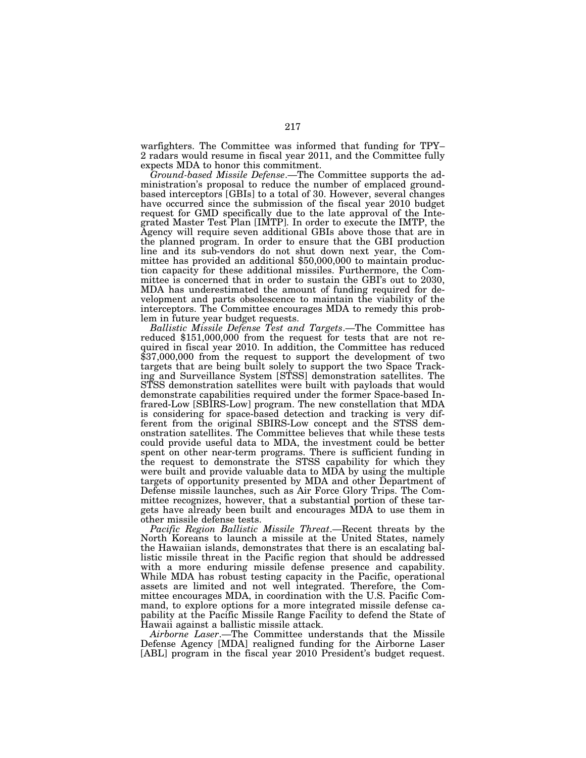warfighters. The Committee was informed that funding for TPY– 2 radars would resume in fiscal year 2011, and the Committee fully expects MDA to honor this commitment.

*Ground-based Missile Defense*.—The Committee supports the administration's proposal to reduce the number of emplaced groundbased interceptors [GBIs] to a total of 30. However, several changes have occurred since the submission of the fiscal year 2010 budget request for GMD specifically due to the late approval of the Integrated Master Test Plan [IMTP]. In order to execute the IMTP, the Agency will require seven additional GBIs above those that are in the planned program. In order to ensure that the GBI production line and its sub-vendors do not shut down next year, the Committee has provided an additional \$50,000,000 to maintain production capacity for these additional missiles. Furthermore, the Committee is concerned that in order to sustain the GBI's out to 2030, MDA has underestimated the amount of funding required for development and parts obsolescence to maintain the viability of the interceptors. The Committee encourages MDA to remedy this problem in future year budget requests.

*Ballistic Missile Defense Test and Targets*.—The Committee has reduced \$151,000,000 from the request for tests that are not required in fiscal year 2010. In addition, the Committee has reduced \$37,000,000 from the request to support the development of two targets that are being built solely to support the two Space Tracking and Surveillance System [STSS] demonstration satellites. The STSS demonstration satellites were built with payloads that would demonstrate capabilities required under the former Space-based Infrared-Low [SBIRS-Low] program. The new constellation that MDA is considering for space-based detection and tracking is very different from the original SBIRS-Low concept and the STSS demonstration satellites. The Committee believes that while these tests could provide useful data to MDA, the investment could be better spent on other near-term programs. There is sufficient funding in the request to demonstrate the STSS capability for which they were built and provide valuable data to MDA by using the multiple targets of opportunity presented by MDA and other Department of Defense missile launches, such as Air Force Glory Trips. The Committee recognizes, however, that a substantial portion of these targets have already been built and encourages MDA to use them in other missile defense tests.

*Pacific Region Ballistic Missile Threat*.—Recent threats by the North Koreans to launch a missile at the United States, namely the Hawaiian islands, demonstrates that there is an escalating ballistic missile threat in the Pacific region that should be addressed with a more enduring missile defense presence and capability. While MDA has robust testing capacity in the Pacific, operational assets are limited and not well integrated. Therefore, the Committee encourages MDA, in coordination with the U.S. Pacific Command, to explore options for a more integrated missile defense capability at the Pacific Missile Range Facility to defend the State of Hawaii against a ballistic missile attack.

*Airborne Laser*.—The Committee understands that the Missile Defense Agency [MDA] realigned funding for the Airborne Laser [ABL] program in the fiscal year 2010 President's budget request.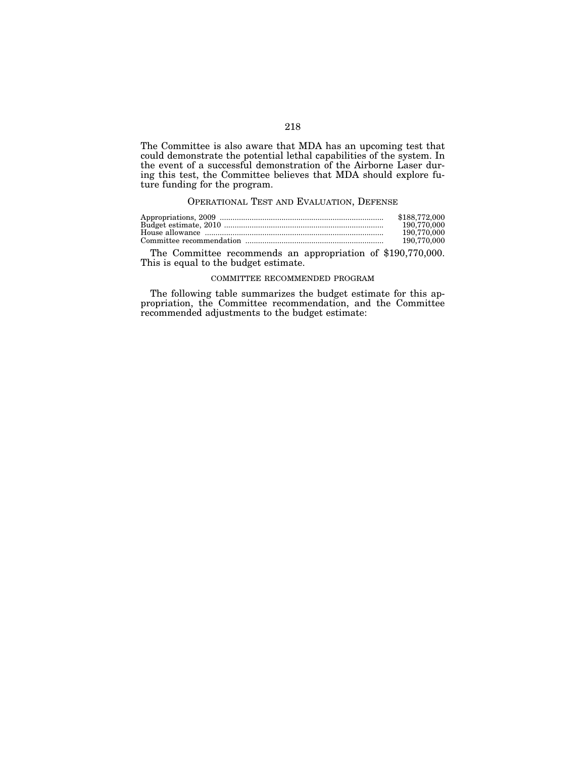The Committee is also aware that MDA has an upcoming test that could demonstrate the potential lethal capabilities of the system. In the event of a successful demonstration of the Airborne Laser during this test, the Committee believes that MDA should explore future funding for the program.

## OPERATIONAL TEST AND EVALUATION, DEFENSE

| \$188,772,000 |
|---------------|
| 190.770.000   |
| 190.770.000   |
| 190,770,000   |

The Committee recommends an appropriation of \$190,770,000. This is equal to the budget estimate.

## COMMITTEE RECOMMENDED PROGRAM

The following table summarizes the budget estimate for this appropriation, the Committee recommendation, and the Committee recommended adjustments to the budget estimate: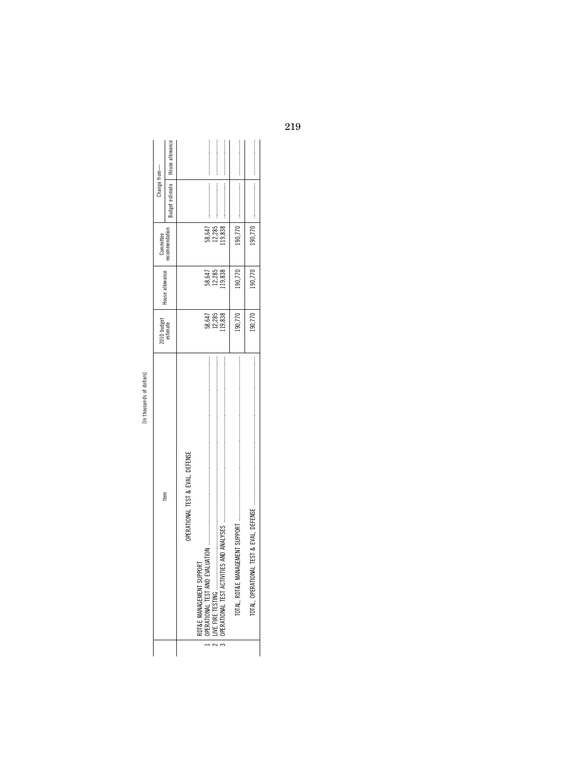| v.<br>i                      |  |
|------------------------------|--|
|                              |  |
| ᇹ<br>v                       |  |
| ᠊ᢏ<br>ć<br>c<br>٠<br>i,<br>٠ |  |
| r.                           |  |

| ltem                                                           | 010 budget                 | House allowance            | Committee                  | Change from—    |                 |
|----------------------------------------------------------------|----------------------------|----------------------------|----------------------------|-----------------|-----------------|
|                                                                | estimate                   |                            | recommendation             | ludget estimate | House allowance |
| OPERATIONAL TEST & EVAL, DEFENSE                               |                            |                            |                            |                 |                 |
| DINAIL<br>RDT&E MANAGEMENT SUPPOR<br>OPERATIONAL TEST AND EVAL |                            |                            |                            |                 |                 |
|                                                                | 58,647<br>12,853<br>19,838 | 58,647<br>12,285<br>19,838 | 58,647<br>12,285<br>19,838 |                 |                 |
| TOTAL, RDT&E MANAGEMENT SUPPORT                                | 190,770                    | 190,770                    | 190,770                    |                 |                 |
| TOTAL, OPERATIONAL                                             | 190,770                    | 190,770                    |                            |                 |                 |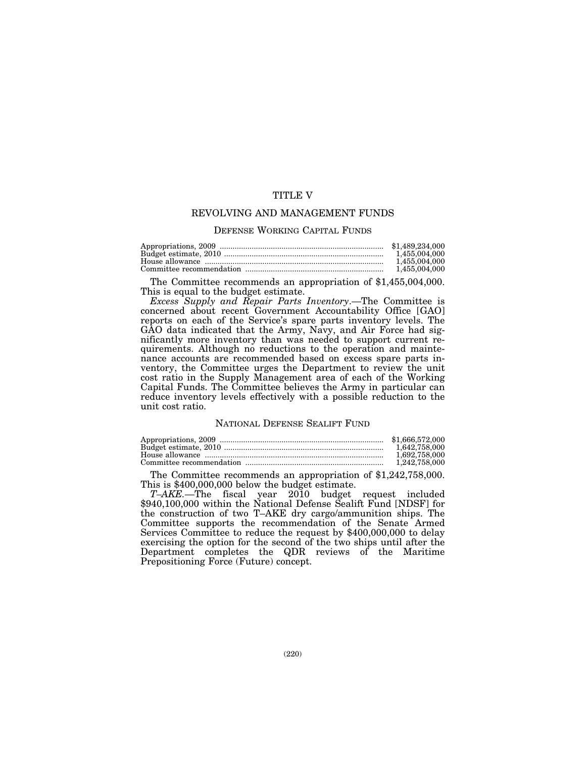## TITLE V

## REVOLVING AND MANAGEMENT FUNDS

#### DEFENSE WORKING CAPITAL FUNDS

| 1.455.004.000 |
|---------------|
| 1.455.004.000 |
| 1.455.004.000 |

The Committee recommends an appropriation of \$1,455,004,000. This is equal to the budget estimate.

*Excess Supply and Repair Parts Inventory*.—The Committee is concerned about recent Government Accountability Office [GAO] reports on each of the Service's spare parts inventory levels. The GAO data indicated that the Army, Navy, and Air Force had significantly more inventory than was needed to support current requirements. Although no reductions to the operation and maintenance accounts are recommended based on excess spare parts inventory, the Committee urges the Department to review the unit cost ratio in the Supply Management area of each of the Working Capital Funds. The Committee believes the Army in particular can reduce inventory levels effectively with a possible reduction to the unit cost ratio.

#### NATIONAL DEFENSE SEALIFT FUND

| \$1,666,572,000 |
|-----------------|
| 1.642.758.000   |
| 1.692.758.000   |
| 1,242,758,000   |
|                 |

The Committee recommends an appropriation of \$1,242,758,000. This is \$400,000,000 below the budget estimate.

*T–AKE.*—The fiscal year 2010 budget request included \$940,100,000 within the National Defense Sealift Fund [NDSF] for the construction of two T–AKE dry cargo/ammunition ships. The Committee supports the recommendation of the Senate Armed Services Committee to reduce the request by \$400,000,000 to delay exercising the option for the second of the two ships until after the Department completes the QDR reviews of the Maritime Prepositioning Force (Future) concept.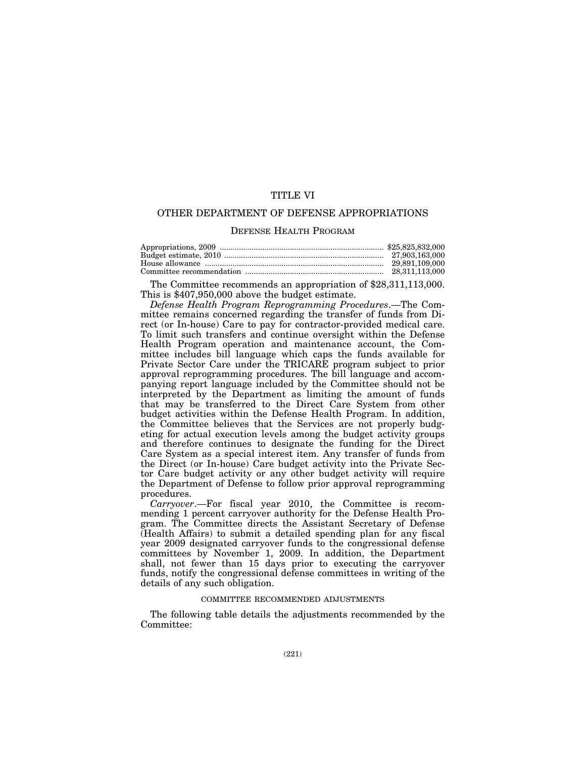# TITLE VI

## OTHER DEPARTMENT OF DEFENSE APPROPRIATIONS

#### DEFENSE HEALTH PROGRAM

The Committee recommends an appropriation of \$28,311,113,000. This is \$407,950,000 above the budget estimate.

*Defense Health Program Reprogramming Procedures*.—The Committee remains concerned regarding the transfer of funds from Direct (or In-house) Care to pay for contractor-provided medical care. To limit such transfers and continue oversight within the Defense Health Program operation and maintenance account, the Committee includes bill language which caps the funds available for Private Sector Care under the TRICARE program subject to prior approval reprogramming procedures. The bill language and accompanying report language included by the Committee should not be interpreted by the Department as limiting the amount of funds that may be transferred to the Direct Care System from other budget activities within the Defense Health Program. In addition, the Committee believes that the Services are not properly budgeting for actual execution levels among the budget activity groups and therefore continues to designate the funding for the Direct Care System as a special interest item. Any transfer of funds from the Direct (or In-house) Care budget activity into the Private Sector Care budget activity or any other budget activity will require the Department of Defense to follow prior approval reprogramming procedures.

*Carryover*.—For fiscal year 2010, the Committee is recommending 1 percent carryover authority for the Defense Health Program. The Committee directs the Assistant Secretary of Defense (Health Affairs) to submit a detailed spending plan for any fiscal year 2009 designated carryover funds to the congressional defense committees by November 1, 2009. In addition, the Department shall, not fewer than 15 days prior to executing the carryover funds, notify the congressional defense committees in writing of the details of any such obligation.

#### COMMITTEE RECOMMENDED ADJUSTMENTS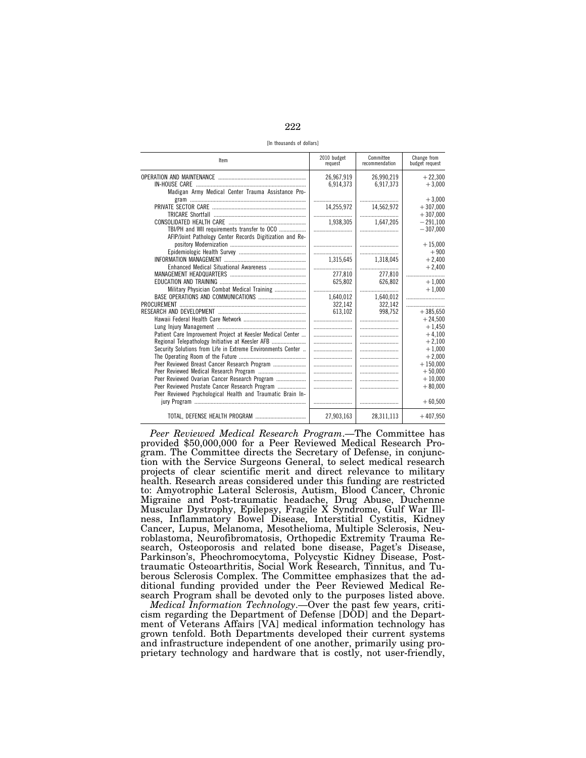222

[In thousands of dollars]

| Item                                                        | 2010 budget<br>request | Committee<br>recommendation | Change from<br>budget request |
|-------------------------------------------------------------|------------------------|-----------------------------|-------------------------------|
|                                                             | 26,967,919             | 26.990.219                  | $+22.300$                     |
|                                                             | 6,914,373              | 6.917.373                   | $+3.000$                      |
| Madigan Army Medical Center Trauma Assistance Pro-          |                        |                             |                               |
|                                                             |                        |                             | $+3.000$                      |
|                                                             | 14,255,972             | 14,562,972                  | $+307,000$                    |
|                                                             |                        |                             | $+307.000$                    |
|                                                             | 1.938,305              | 1.647.205                   | $-291,100$                    |
| TBI/PH and WII requirements transfer to OCO                 |                        |                             | $-307.000$                    |
| AFIP/Joint Pathology Center Records Digitization and Re-    |                        |                             |                               |
|                                                             |                        |                             | $+15.000$                     |
|                                                             |                        |                             | $+900$                        |
|                                                             | 1.315.645              | 1,318,045                   | $+2,400$                      |
|                                                             |                        |                             | $+2,400$                      |
|                                                             | 277,810                | 277.810                     |                               |
|                                                             | 625,802                | 626,802                     | $+1,000$                      |
| Military Physician Combat Medical Training                  |                        |                             | $+1.000$                      |
|                                                             | 1,640,012              | 1,640,012                   |                               |
|                                                             | 322.142                | 322.142                     |                               |
|                                                             | 613,102                | 998,752                     | $+385,650$                    |
|                                                             |                        |                             | $+24,500$                     |
|                                                             |                        |                             | $+1,450$                      |
| Patient Care Improvement Project at Keesler Medical Center  |                        |                             | $+4,100$                      |
|                                                             |                        |                             | $+2,100$                      |
| Security Solutions from Life in Extreme Environments Center |                        |                             | $+1,000$                      |
|                                                             |                        |                             | $+2,000$                      |
| Peer Reviewed Breast Cancer Research Program                |                        |                             | $+150,000$                    |
|                                                             |                        |                             | $+50.000$                     |
| Peer Reviewed Ovarian Cancer Research Program               |                        |                             | $+10.000$                     |
| Peer Reviewed Prostate Cancer Research Program              |                        |                             | $+80.000$                     |
| Peer Reviewed Psychological Health and Traumatic Brain In-  |                        |                             |                               |
|                                                             |                        |                             | $+60,500$                     |
|                                                             | 27,903,163             | 28,311,113                  | $+407,950$                    |

*Peer Reviewed Medical Research Program*.—The Committee has provided \$50,000,000 for a Peer Reviewed Medical Research Program. The Committee directs the Secretary of Defense, in conjunction with the Service Surgeons General, to select medical research projects of clear scientific merit and direct relevance to military health. Research areas considered under this funding are restricted to: Amyotrophic Lateral Sclerosis, Autism, Blood Cancer, Chronic Migraine and Post-traumatic headache, Drug Abuse, Duchenne Muscular Dystrophy, Epilepsy, Fragile X Syndrome, Gulf War Illness, Inflammatory Bowel Disease, Interstitial Cystitis, Kidney Cancer, Lupus, Melanoma, Mesothelioma, Multiple Sclerosis, Neuroblastoma, Neurofibromatosis, Orthopedic Extremity Trauma Research, Osteoporosis and related bone disease, Paget's Disease, Parkinson's, Pheochromocytoma, Polycystic Kidney Disease, Posttraumatic Osteoarthritis, Social Work Research, Tinnitus, and Tuberous Sclerosis Complex. The Committee emphasizes that the additional funding provided under the Peer Reviewed Medical Research Program shall be devoted only to the purposes listed above.

*Medical Information Technology*.—Over the past few years, criticism regarding the Department of Defense [DOD] and the Department of Veterans Affairs [VA] medical information technology has grown tenfold. Both Departments developed their current systems and infrastructure independent of one another, primarily using proprietary technology and hardware that is costly, not user-friendly,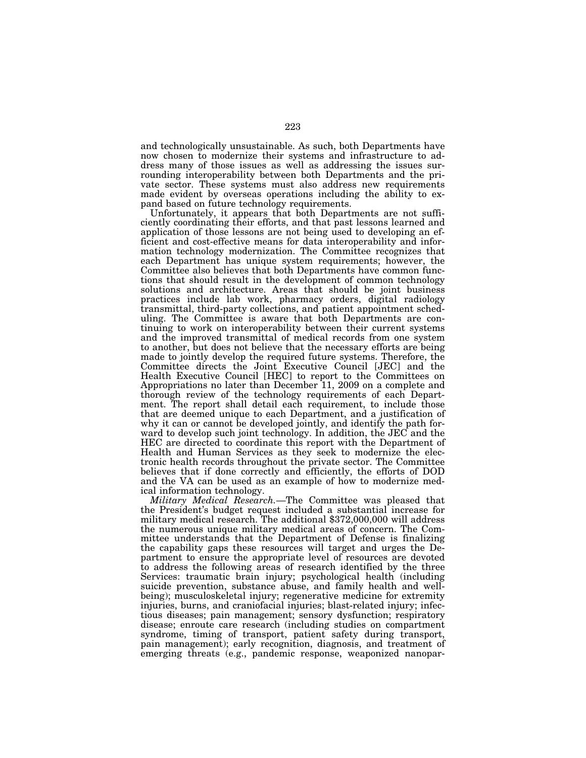and technologically unsustainable. As such, both Departments have now chosen to modernize their systems and infrastructure to address many of those issues as well as addressing the issues surrounding interoperability between both Departments and the private sector. These systems must also address new requirements made evident by overseas operations including the ability to expand based on future technology requirements.

Unfortunately, it appears that both Departments are not sufficiently coordinating their efforts, and that past lessons learned and application of those lessons are not being used to developing an efficient and cost-effective means for data interoperability and information technology modernization. The Committee recognizes that each Department has unique system requirements; however, the Committee also believes that both Departments have common functions that should result in the development of common technology solutions and architecture. Areas that should be joint business practices include lab work, pharmacy orders, digital radiology transmittal, third-party collections, and patient appointment scheduling. The Committee is aware that both Departments are continuing to work on interoperability between their current systems and the improved transmittal of medical records from one system to another, but does not believe that the necessary efforts are being made to jointly develop the required future systems. Therefore, the Committee directs the Joint Executive Council [JEC] and the Health Executive Council [HEC] to report to the Committees on Appropriations no later than December 11, 2009 on a complete and thorough review of the technology requirements of each Department. The report shall detail each requirement, to include those that are deemed unique to each Department, and a justification of why it can or cannot be developed jointly, and identify the path forward to develop such joint technology. In addition, the JEC and the HEC are directed to coordinate this report with the Department of Health and Human Services as they seek to modernize the electronic health records throughout the private sector. The Committee believes that if done correctly and efficiently, the efforts of DOD and the VA can be used as an example of how to modernize medical information technology.

*Military Medical Research.*—The Committee was pleased that the President's budget request included a substantial increase for military medical research. The additional \$372,000,000 will address the numerous unique military medical areas of concern. The Committee understands that the Department of Defense is finalizing the capability gaps these resources will target and urges the Department to ensure the appropriate level of resources are devoted to address the following areas of research identified by the three Services: traumatic brain injury; psychological health (including suicide prevention, substance abuse, and family health and wellbeing); musculoskeletal injury; regenerative medicine for extremity injuries, burns, and craniofacial injuries; blast-related injury; infectious diseases; pain management; sensory dysfunction; respiratory disease; enroute care research (including studies on compartment syndrome, timing of transport, patient safety during transport, pain management); early recognition, diagnosis, and treatment of emerging threats (e.g., pandemic response, weaponized nanopar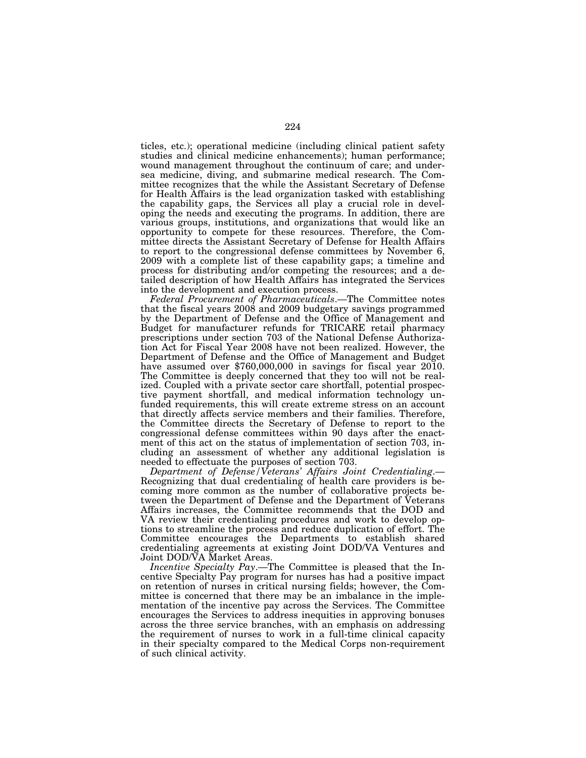ticles, etc.); operational medicine (including clinical patient safety studies and clinical medicine enhancements); human performance; wound management throughout the continuum of care; and undersea medicine, diving, and submarine medical research. The Committee recognizes that the while the Assistant Secretary of Defense for Health Affairs is the lead organization tasked with establishing the capability gaps, the Services all play a crucial role in developing the needs and executing the programs. In addition, there are various groups, institutions, and organizations that would like an opportunity to compete for these resources. Therefore, the Committee directs the Assistant Secretary of Defense for Health Affairs to report to the congressional defense committees by November 6, 2009 with a complete list of these capability gaps; a timeline and process for distributing and/or competing the resources; and a detailed description of how Health Affairs has integrated the Services into the development and execution process.

*Federal Procurement of Pharmaceuticals*.—The Committee notes that the fiscal years 2008 and 2009 budgetary savings programmed by the Department of Defense and the Office of Management and Budget for manufacturer refunds for TRICARE retail pharmacy prescriptions under section 703 of the National Defense Authorization Act for Fiscal Year 2008 have not been realized. However, the Department of Defense and the Office of Management and Budget have assumed over \$760,000,000 in savings for fiscal year 2010. The Committee is deeply concerned that they too will not be realized. Coupled with a private sector care shortfall, potential prospective payment shortfall, and medical information technology unfunded requirements, this will create extreme stress on an account that directly affects service members and their families. Therefore, the Committee directs the Secretary of Defense to report to the congressional defense committees within 90 days after the enactment of this act on the status of implementation of section 703, including an assessment of whether any additional legislation is needed to effectuate the purposes of section 703.

*Department of Defense/Veterans' Affairs Joint Credentialing*.— Recognizing that dual credentialing of health care providers is becoming more common as the number of collaborative projects between the Department of Defense and the Department of Veterans Affairs increases, the Committee recommends that the DOD and VA review their credentialing procedures and work to develop options to streamline the process and reduce duplication of effort. The Committee encourages the Departments to establish shared credentialing agreements at existing Joint DOD/VA Ventures and Joint DOD/VA Market Areas.

*Incentive Specialty Pay*.—The Committee is pleased that the Incentive Specialty Pay program for nurses has had a positive impact on retention of nurses in critical nursing fields; however, the Committee is concerned that there may be an imbalance in the implementation of the incentive pay across the Services. The Committee encourages the Services to address inequities in approving bonuses across the three service branches, with an emphasis on addressing the requirement of nurses to work in a full-time clinical capacity in their specialty compared to the Medical Corps non-requirement of such clinical activity.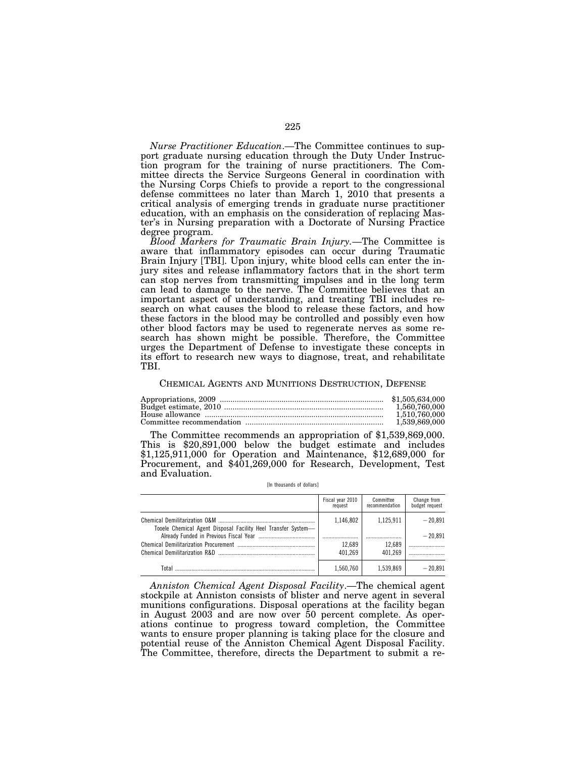*Nurse Practitioner Education*.—The Committee continues to support graduate nursing education through the Duty Under Instruction program for the training of nurse practitioners. The Committee directs the Service Surgeons General in coordination with the Nursing Corps Chiefs to provide a report to the congressional defense committees no later than March 1, 2010 that presents a critical analysis of emerging trends in graduate nurse practitioner education, with an emphasis on the consideration of replacing Master's in Nursing preparation with a Doctorate of Nursing Practice degree program.

*Blood Markers for Traumatic Brain Injury.*—The Committee is aware that inflammatory episodes can occur during Traumatic Brain Injury [TBI]. Upon injury, white blood cells can enter the injury sites and release inflammatory factors that in the short term can stop nerves from transmitting impulses and in the long term can lead to damage to the nerve. The Committee believes that an important aspect of understanding, and treating TBI includes research on what causes the blood to release these factors, and how these factors in the blood may be controlled and possibly even how other blood factors may be used to regenerate nerves as some research has shown might be possible. Therefore, the Committee urges the Department of Defense to investigate these concepts in its effort to research new ways to diagnose, treat, and rehabilitate TBI.

#### CHEMICAL AGENTS AND MUNITIONS DESTRUCTION, DEFENSE

| 1.560.760.000 |
|---------------|
| 1.510.760.000 |
| 1,539,869,000 |

The Committee recommends an appropriation of \$1,539,869,000. This is \$20,891,000 below the budget estimate and includes \$1,125,911,000 for Operation and Maintenance, \$12,689,000 for Procurement, and \$401,269,000 for Research, Development, Test and Evaluation.

|  | [In thousands of dollars] |  |  |  |
|--|---------------------------|--|--|--|
|--|---------------------------|--|--|--|

|                                                               | Fiscal year 2010<br>request | Committee<br>recommendation | Change from<br>budget request |
|---------------------------------------------------------------|-----------------------------|-----------------------------|-------------------------------|
| Tooele Chemical Agent Disposal Facility Heel Transfer System- | 1,146,802                   | 1,125,911                   | $-20.891$                     |
|                                                               |                             |                             | $-20.891$                     |
|                                                               | 12.689                      | 12.689                      |                               |
|                                                               | 401.269                     | 401.269                     |                               |
| Total                                                         | 1.560.760                   | 1.539.869                   | $-20.891$                     |

*Anniston Chemical Agent Disposal Facility*.—The chemical agent stockpile at Anniston consists of blister and nerve agent in several munitions configurations. Disposal operations at the facility began in August 2003 and are now over 50 percent complete. As operations continue to progress toward completion, the Committee wants to ensure proper planning is taking place for the closure and potential reuse of the Anniston Chemical Agent Disposal Facility. The Committee, therefore, directs the Department to submit a re-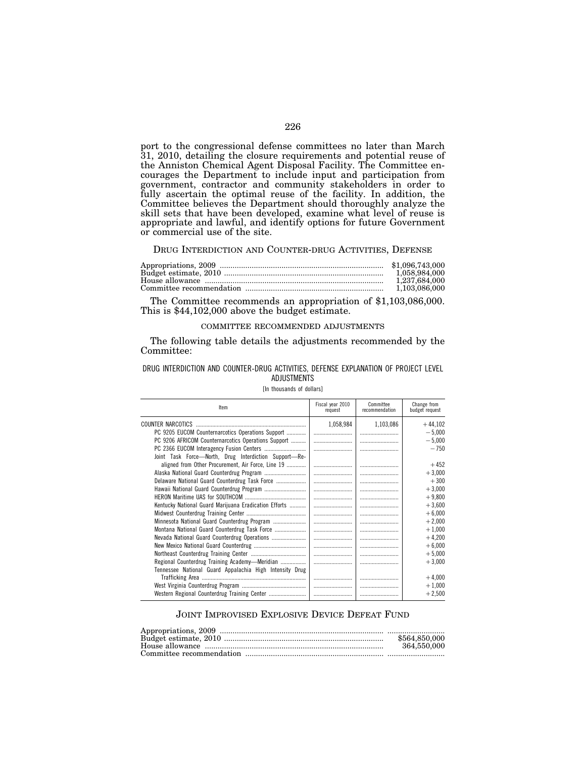port to the congressional defense committees no later than March 31, 2010, detailing the closure requirements and potential reuse of the Anniston Chemical Agent Disposal Facility. The Committee encourages the Department to include input and participation from government, contractor and community stakeholders in order to fully ascertain the optimal reuse of the facility. In addition, the Committee believes the Department should thoroughly analyze the skill sets that have been developed, examine what level of reuse is appropriate and lawful, and identify options for future Government or commercial use of the site.

#### DRUG INTERDICTION AND COUNTER-DRUG ACTIVITIES, DEFENSE

| 1.058.984.000 |
|---------------|
| 1.237.684.000 |
|               |

The Committee recommends an appropriation of \$1,103,086,000. This is \$44,102,000 above the budget estimate.

#### COMMITTEE RECOMMENDED ADJUSTMENTS

The following table details the adjustments recommended by the Committee:

#### DRUG INTERDICTION AND COUNTER-DRUG ACTIVITIES, DEFENSE EXPLANATION OF PROJECT LEVEL ADJUSTMENTS

#### [In thousands of dollars]

| Item                                                    | Fiscal year 2010<br>request | Committee<br>recommendation | Change from<br>budget request |
|---------------------------------------------------------|-----------------------------|-----------------------------|-------------------------------|
| COUNTER NARCOTICS                                       | 1,058,984                   | 1,103,086                   | $+44,102$                     |
| PC 9205 EUCOM Counternarcotics Operations Support       |                             |                             | $-5,000$                      |
| PC 9206 AFRICOM Counternarcotics Operations Support     |                             |                             | $-5,000$                      |
|                                                         |                             |                             | $-750$                        |
| Joint Task Force-North, Drug Interdiction Support-Re-   |                             |                             |                               |
| aligned from Other Procurement, Air Force, Line 19      |                             |                             | $+452$                        |
|                                                         |                             |                             | $+3,000$                      |
| Delaware National Guard Counterdrug Task Force          |                             |                             | $+300$                        |
|                                                         |                             |                             | $+3,000$                      |
|                                                         |                             |                             | $+9,800$                      |
| Kentucky National Guard Marijuana Eradication Efforts   |                             |                             | $+3,600$                      |
|                                                         |                             |                             | $+6,000$                      |
| Minnesota National Guard Counterdrug Program            |                             |                             | $+2,000$                      |
| Montana National Guard Counterdrug Task Force           |                             |                             | $+1,000$                      |
| Nevada National Guard Counterdrug Operations            |                             |                             | $+4,200$                      |
|                                                         |                             |                             | $+6,000$                      |
|                                                         |                             |                             | $+5,000$                      |
| Regional Counterdrug Training Academy-Meridian          |                             |                             | $+3,000$                      |
| Tennessee National Guard Appalachia High Intensity Drug |                             |                             |                               |
|                                                         |                             |                             | $+4,000$                      |
|                                                         |                             |                             | $+1,000$                      |
|                                                         |                             |                             | $+2,500$                      |

#### JOINT IMPROVISED EXPLOSIVE DEVICE DEFEAT FUND

| \$564,850,000 |
|---------------|
| 364,550,000   |
|               |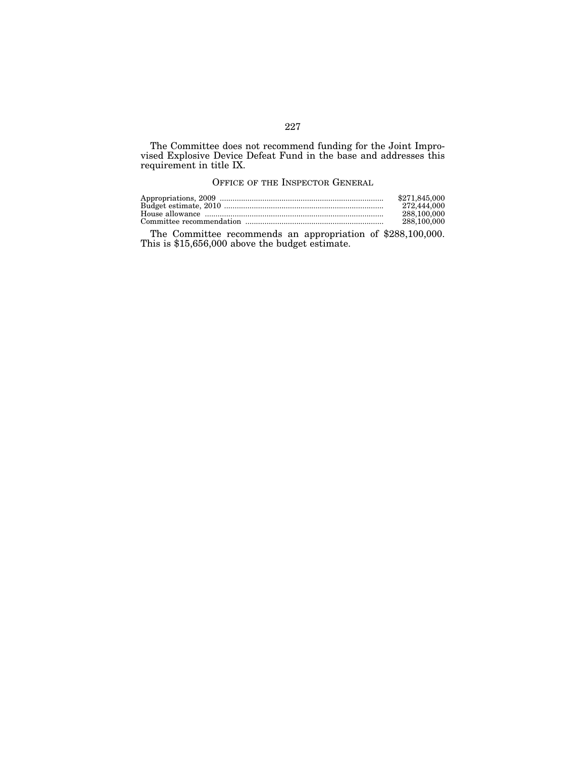The Committee does not recommend funding for the Joint Improvised Explosive Device Defeat Fund in the base and addresses this requirement in title IX.

## OFFICE OF THE INSPECTOR GENERAL

| \$271.845.000 |
|---------------|
| 272,444,000   |
| 288.100.000   |
| 288.100.000   |

The Committee recommends an appropriation of \$288,100,000. This is \$15,656,000 above the budget estimate.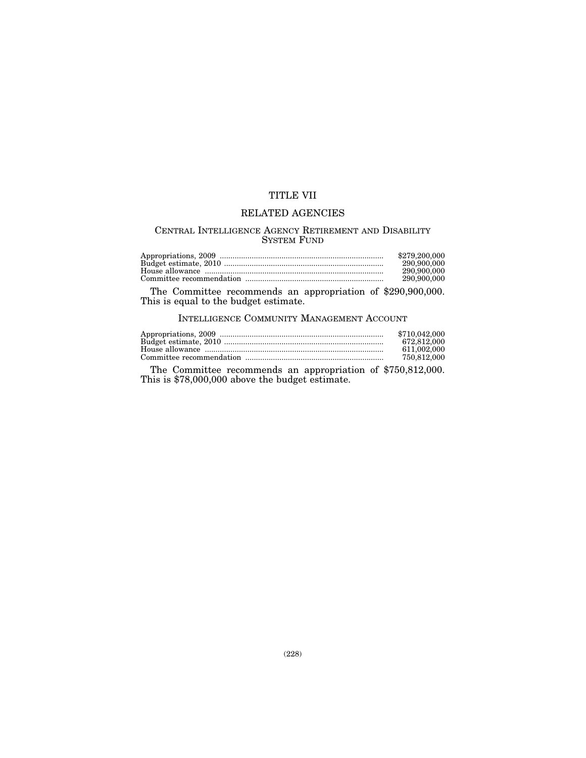# TITLE VII

## RELATED AGENCIES

## CENTRAL INTELLIGENCE AGENCY RETIREMENT AND DISABILITY SYSTEM FUND

| \$279,200,000 |
|---------------|
| 290,900,000   |
| 290.900.000   |
| 290.900.000   |

The Committee recommends an appropriation of \$290,900,000. This is equal to the budget estimate.

INTELLIGENCE COMMUNITY MANAGEMENT ACCOUNT

| \$710.042,000 |
|---------------|
| 672.812.000   |
| 611.002.000   |
| 750,812,000   |

The Committee recommends an appropriation of \$750,812,000. This is \$78,000,000 above the budget estimate.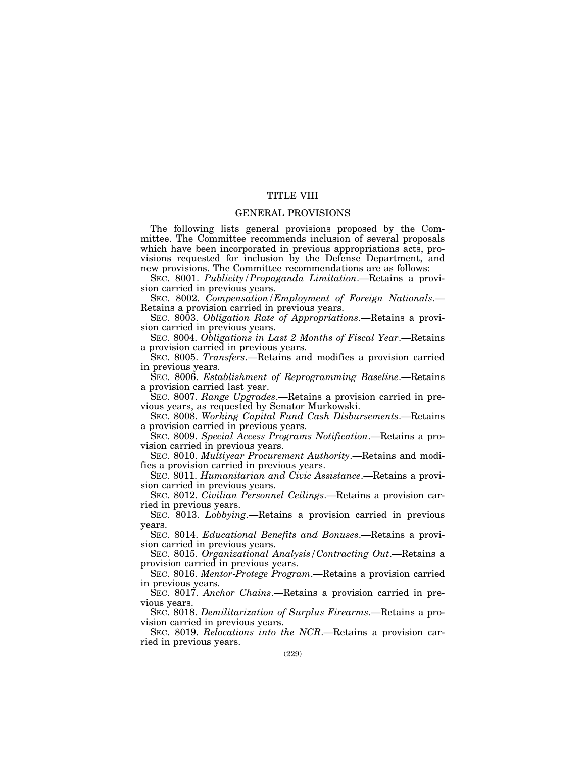## TITLE VIII

## GENERAL PROVISIONS

The following lists general provisions proposed by the Committee. The Committee recommends inclusion of several proposals which have been incorporated in previous appropriations acts, provisions requested for inclusion by the Defense Department, and new provisions. The Committee recommendations are as follows:

SEC. 8001. *Publicity/Propaganda Limitation*.—Retains a provision carried in previous years.

SEC. 8002. *Compensation/Employment of Foreign Nationals*.— Retains a provision carried in previous years.

SEC. 8003. *Obligation Rate of Appropriations*.—Retains a provision carried in previous years.

SEC. 8004. *Obligations in Last 2 Months of Fiscal Year*.—Retains a provision carried in previous years.

SEC. 8005. *Transfers*.—Retains and modifies a provision carried in previous years.

SEC. 8006. *Establishment of Reprogramming Baseline*.—Retains a provision carried last year.

SEC. 8007. *Range Upgrades*.—Retains a provision carried in previous years, as requested by Senator Murkowski.

SEC. 8008. *Working Capital Fund Cash Disbursements*.—Retains a provision carried in previous years.

SEC. 8009. *Special Access Programs Notification*.—Retains a provision carried in previous years.

SEC. 8010. *Multiyear Procurement Authority*.—Retains and modifies a provision carried in previous years.

SEC. 8011. *Humanitarian and Civic Assistance*.—Retains a provision carried in previous years.

SEC. 8012. *Civilian Personnel Ceilings*.—Retains a provision carried in previous years.

SEC. 8013. *Lobbying*.—Retains a provision carried in previous years.

SEC. 8014. *Educational Benefits and Bonuses*.—Retains a provision carried in previous years.

SEC. 8015. *Organizational Analysis/Contracting Out*.—Retains a provision carried in previous years.

SEC. 8016. *Mentor-Protege Program*.—Retains a provision carried in previous years.

SEC. 8017. *Anchor Chains*.—Retains a provision carried in previous years.

SEC. 8018. *Demilitarization of Surplus Firearms*.—Retains a provision carried in previous years.

SEC. 8019. *Relocations into the NCR*.—Retains a provision carried in previous years.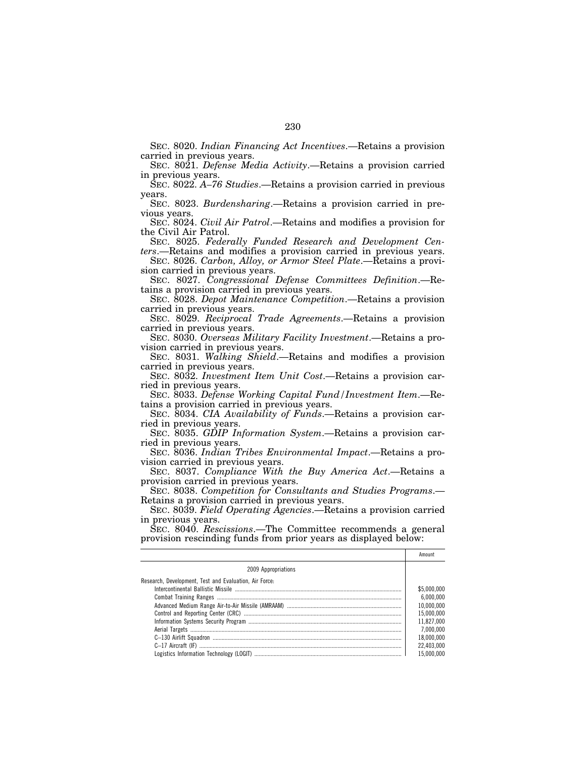SEC. 8020. *Indian Financing Act Incentives*.—Retains a provision carried in previous years.

SEC. 8021. *Defense Media Activity*.—Retains a provision carried in previous years.

SEC. 8022. *A–76 Studies*.—Retains a provision carried in previous years.

SEC. 8023. *Burdensharing*.—Retains a provision carried in previous years.

SEC. 8024. *Civil Air Patrol*.—Retains and modifies a provision for the Civil Air Patrol.

SEC. 8025. *Federally Funded Research and Development Centers*.—Retains and modifies a provision carried in previous years.

SEC. 8026. *Carbon, Alloy, or Armor Steel Plate*.—Retains a provision carried in previous years.

SEC. 8027. *Congressional Defense Committees Definition*.—Retains a provision carried in previous years.

SEC. 8028. *Depot Maintenance Competition*.—Retains a provision carried in previous years.

SEC. 8029. *Reciprocal Trade Agreements*.—Retains a provision carried in previous years.

SEC. 8030. *Overseas Military Facility Investment*.—Retains a provision carried in previous years.

SEC. 8031. *Walking Shield*.—Retains and modifies a provision carried in previous years.

SEC. 8032. *Investment Item Unit Cost*.—Retains a provision carried in previous years.

SEC. 8033. *Defense Working Capital Fund/Investment Item*.—Retains a provision carried in previous years.

SEC. 8034. *CIA Availability of Funds*.—Retains a provision carried in previous years.

SEC. 8035. *GDIP Information System*.—Retains a provision carried in previous years.

SEC. 8036. *Indian Tribes Environmental Impact*.—Retains a provision carried in previous years.

SEC. 8037. *Compliance With the Buy America Act*.—Retains a provision carried in previous years.

SEC. 8038. *Competition for Consultants and Studies Programs*.— Retains a provision carried in previous years.

SEC. 8039. *Field Operating Agencies*.—Retains a provision carried in previous years.

SEC. 8040. *Rescissions*.—The Committee recommends a general provision rescinding funds from prior years as displayed below:

|                                                        | Amount      |
|--------------------------------------------------------|-------------|
| 2009 Appropriations                                    |             |
| Research, Development, Test and Evaluation, Air Force: |             |
|                                                        | \$5,000,000 |
|                                                        | 6,000,000   |
|                                                        | 10.000.000  |
|                                                        | 15.000.000  |
|                                                        | 11.827.000  |
|                                                        | 7.000.000   |
|                                                        | 18,000,000  |
|                                                        | 22.403.000  |
|                                                        | 15 000 000  |
|                                                        |             |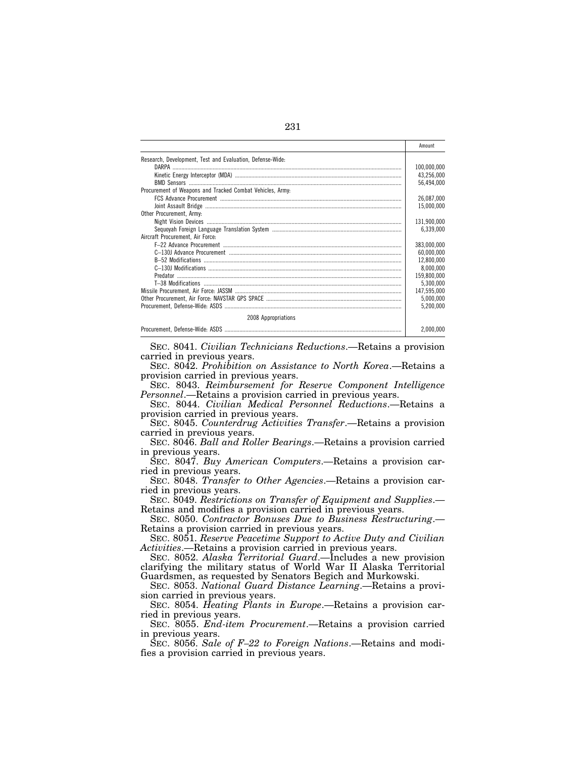|                                                           | Amount      |
|-----------------------------------------------------------|-------------|
| Research, Development, Test and Evaluation, Defense-Wide: |             |
|                                                           | 100,000,000 |
|                                                           | 43,256,000  |
|                                                           | 56,494,000  |
| Procurement of Weapons and Tracked Combat Vehicles, Army: |             |
|                                                           | 26,087,000  |
|                                                           |             |
|                                                           | 15.000.000  |
| Other Procurement. Army:                                  |             |
|                                                           | 131,900,000 |
|                                                           | 6,339,000   |
| Aircraft Procurement, Air Force:                          |             |
|                                                           | 383,000,000 |
|                                                           | 60,000,000  |
|                                                           | 12,800,000  |
|                                                           | 8.000.000   |
|                                                           | 159,800,000 |
|                                                           | 5,300,000   |
|                                                           | 147,595,000 |
|                                                           | 5,000,000   |
|                                                           | 5,200,000   |
| 2008 Appropriations                                       |             |
|                                                           | 2.000.000   |

SEC. 8041. *Civilian Technicians Reductions*.—Retains a provision carried in previous years.

SEC. 8042. *Prohibition on Assistance to North Korea*.—Retains a provision carried in previous years.

SEC. 8043. *Reimbursement for Reserve Component Intelligence Personnel*.—Retains a provision carried in previous years.

SEC. 8044. *Civilian Medical Personnel Reductions*.—Retains a provision carried in previous years.

SEC. 8045. *Counterdrug Activities Transfer*.—Retains a provision carried in previous years.

SEC. 8046. *Ball and Roller Bearings*.—Retains a provision carried in previous years.

SEC. 8047. *Buy American Computers*.—Retains a provision carried in previous years.

SEC. 8048. *Transfer to Other Agencies*.—Retains a provision carried in previous years.

SEC. 8049. *Restrictions on Transfer of Equipment and Supplies*.— Retains and modifies a provision carried in previous years.

SEC. 8050. *Contractor Bonuses Due to Business Restructuring*.— Retains a provision carried in previous years.

SEC. 8051. *Reserve Peacetime Support to Active Duty and Civilian Activities*.—Retains a provision carried in previous years.

SEC. 8052. *Alaska Territorial Guard*.—Includes a new provision clarifying the military status of World War II Alaska Territorial Guardsmen, as requested by Senators Begich and Murkowski.

SEC. 8053. *National Guard Distance Learning*.—Retains a provision carried in previous years.

SEC. 8054. *Heating Plants in Europe*.—Retains a provision carried in previous years.

SEC. 8055. *End-item Procurement*.—Retains a provision carried in previous years.

SEC. 8056. *Sale of F–22 to Foreign Nations*.—Retains and modifies a provision carried in previous years.

231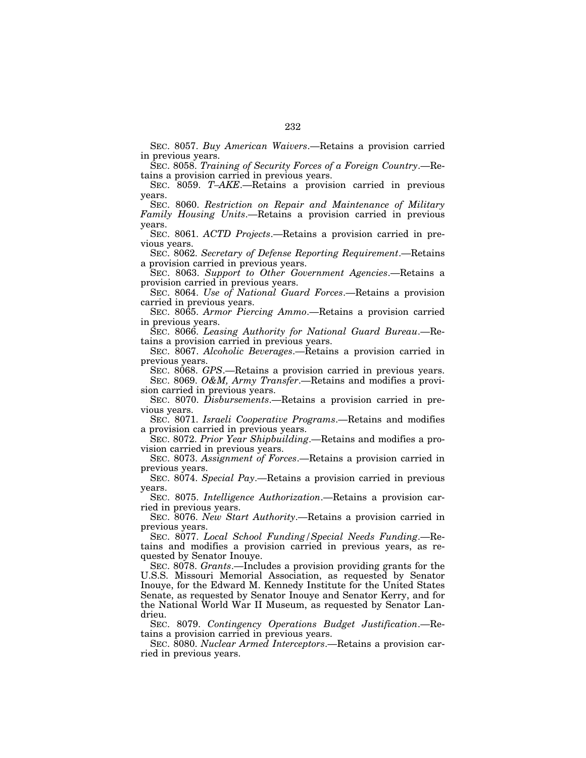SEC. 8057. *Buy American Waivers*.—Retains a provision carried in previous years.

SEC. 8058. *Training of Security Forces of a Foreign Country*.—Retains a provision carried in previous years.

SEC. 8059. *T–AKE*.—Retains a provision carried in previous years.

SEC. 8060. *Restriction on Repair and Maintenance of Military Family Housing Units*.—Retains a provision carried in previous years.

SEC. 8061. *ACTD Projects*.—Retains a provision carried in previous years.

SEC. 8062. *Secretary of Defense Reporting Requirement*.—Retains a provision carried in previous years.

SEC. 8063. *Support to Other Government Agencies*.—Retains a provision carried in previous years.

SEC. 8064. *Use of National Guard Forces*.—Retains a provision carried in previous years.

SEC. 8065. *Armor Piercing Ammo*.—Retains a provision carried in previous years.

SEC. 8066. *Leasing Authority for National Guard Bureau*.—Retains a provision carried in previous years.

SEC. 8067. *Alcoholic Beverages*.—Retains a provision carried in previous years.

SEC. 8068. *GPS*.—Retains a provision carried in previous years. SEC. 8069. *O&M, Army Transfer*.—Retains and modifies a provi-

sion carried in previous years. SEC. 8070. *Disbursements*.—Retains a provision carried in pre-

vious years. SEC. 8071. *Israeli Cooperative Programs*.—Retains and modifies a provision carried in previous years.

SEC. 8072. *Prior Year Shipbuilding*.—Retains and modifies a provision carried in previous years.

SEC. 8073. *Assignment of Forces*.—Retains a provision carried in previous years.

SEC. 8074. *Special Pay*.—Retains a provision carried in previous years.

SEC. 8075. *Intelligence Authorization*.—Retains a provision carried in previous years.

SEC. 8076. *New Start Authority*.—Retains a provision carried in previous years.

SEC. 8077. *Local School Funding/Special Needs Funding*.—Retains and modifies a provision carried in previous years, as requested by Senator Inouye.

SEC. 8078. *Grants*.—Includes a provision providing grants for the U.S.S. Missouri Memorial Association, as requested by Senator Inouye, for the Edward M. Kennedy Institute for the United States Senate, as requested by Senator Inouye and Senator Kerry, and for the National World War II Museum, as requested by Senator Landrieu.

SEC. 8079. *Contingency Operations Budget Justification*.—Retains a provision carried in previous years.

SEC. 8080. *Nuclear Armed Interceptors*.—Retains a provision carried in previous years.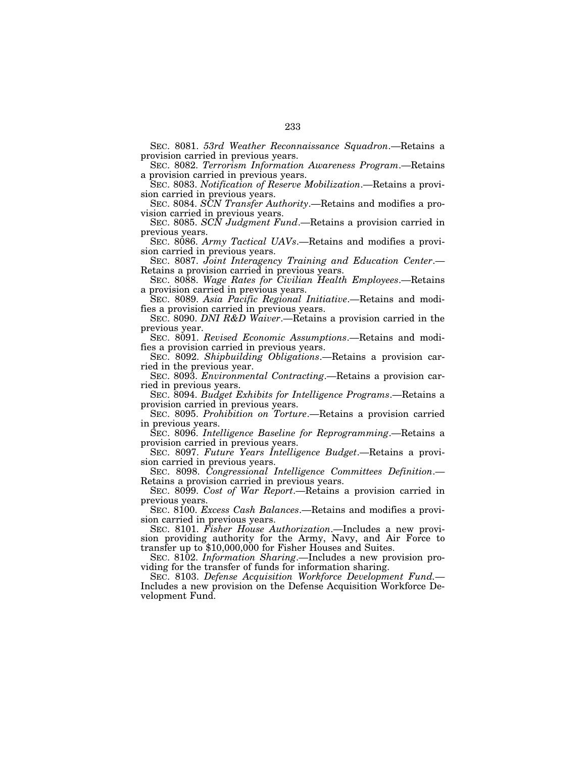SEC. 8081. *53rd Weather Reconnaissance Squadron*.—Retains a provision carried in previous years.

SEC. 8082. *Terrorism Information Awareness Program*.—Retains a provision carried in previous years.

SEC. 8083. *Notification of Reserve Mobilization*.—Retains a provision carried in previous years.

SEC. 8084. *SCN Transfer Authority*.—Retains and modifies a provision carried in previous years.

SEC. 8085. *SCN Judgment Fund*.—Retains a provision carried in previous years.

SEC. 8086. *Army Tactical UAVs*.—Retains and modifies a provision carried in previous years.

SEC. 8087. *Joint Interagency Training and Education Center*.— Retains a provision carried in previous years.

SEC. 8088. *Wage Rates for Civilian Health Employees*.—Retains a provision carried in previous years.

SEC. 8089. *Asia Pacific Regional Initiative*.—Retains and modifies a provision carried in previous years.

SEC. 8090. *DNI R&D Waiver*.—Retains a provision carried in the previous year.

SEC. 8091. *Revised Economic Assumptions*.—Retains and modifies a provision carried in previous years.

SEC. 8092. *Shipbuilding Obligations*.—Retains a provision carried in the previous year.

SEC. 8093. *Environmental Contracting*.—Retains a provision carried in previous years.

SEC. 8094. *Budget Exhibits for Intelligence Programs*.—Retains a provision carried in previous years.

SEC. 8095. *Prohibition on Torture*.—Retains a provision carried in previous years.

SEC. 8096. *Intelligence Baseline for Reprogramming*.—Retains a provision carried in previous years.

SEC. 8097. *Future Years Intelligence Budget*.—Retains a provision carried in previous years.

SEC. 8098. *Congressional Intelligence Committees Definition*.— Retains a provision carried in previous years.

SEC. 8099. *Cost of War Report*.—Retains a provision carried in previous years.

SEC. 8100. *Excess Cash Balances*.—Retains and modifies a provision carried in previous years.

SEC. 8101. *Fisher House Authorization*.—Includes a new provision providing authority for the Army, Navy, and Air Force to transfer up to \$10,000,000 for Fisher Houses and Suites.

SEC. 8102. *Information Sharing*.—Includes a new provision providing for the transfer of funds for information sharing.

SEC. 8103. *Defense Acquisition Workforce Development Fund.*— Includes a new provision on the Defense Acquisition Workforce Development Fund.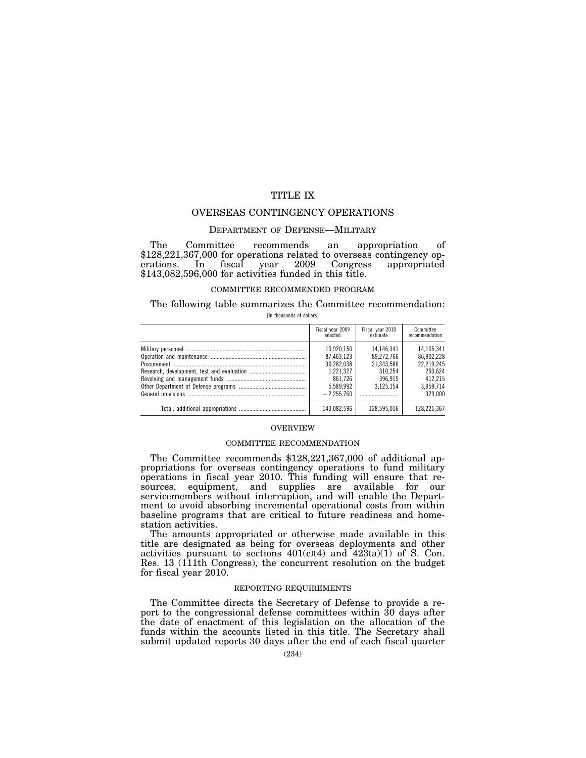# TITLE IX

## OVERSEAS CONTINGENCY OPERATIONS

#### DEPARTMENT OF DEFENSE—MILITARY

The Committee recommends an appropriation of \$128,221,367,000 for operations related to overseas contingency operations. In fiscal year 2009 Congress appropriated In fiscal year 2009 Congress appropriated \$143,082,596,000 for activities funded in this title.

## COMMITTEE RECOMMENDED PROGRAM

#### The following table summarizes the Committee recommendation: [In thousands of dollars]

| Fiscal year 2009<br>enacted                                                                 | Fiscal year 2010<br>estimate                                              | Committee<br>recommendation                                                          |
|---------------------------------------------------------------------------------------------|---------------------------------------------------------------------------|--------------------------------------------------------------------------------------|
| 19.920.150<br>87.463.123<br>30.282.038<br>1.221.327<br>861.726<br>5.589.992<br>$-2.255.760$ | 14.146.341<br>89.272.766<br>21.343.586<br>310.254<br>396.915<br>3.125.154 | 14.105.341<br>86.902.228<br>22.219.245<br>293.624<br>412.215<br>3,959,714<br>329.000 |
| 143,082,596                                                                                 | 128.595.016                                                               | 128.221.367                                                                          |

#### OVERVIEW

#### COMMITTEE RECOMMENDATION

The Committee recommends \$128,221,367,000 of additional appropriations for overseas contingency operations to fund military operations in fiscal year 2010. This funding will ensure that resources, equipment, and supplies are available for our servicemembers without interruption, and will enable the Department to avoid absorbing incremental operational costs from within baseline programs that are critical to future readiness and homestation activities.

The amounts appropriated or otherwise made available in this title are designated as being for overseas deployments and other activities pursuant to sections  $401(c)(4)$  and  $423(a)(1)$  of S. Con. Res. 13 (111th Congress), the concurrent resolution on the budget for fiscal year 2010.

#### REPORTING REQUIREMENTS

The Committee directs the Secretary of Defense to provide a report to the congressional defense committees within 30 days after the date of enactment of this legislation on the allocation of the funds within the accounts listed in this title. The Secretary shall submit updated reports 30 days after the end of each fiscal quarter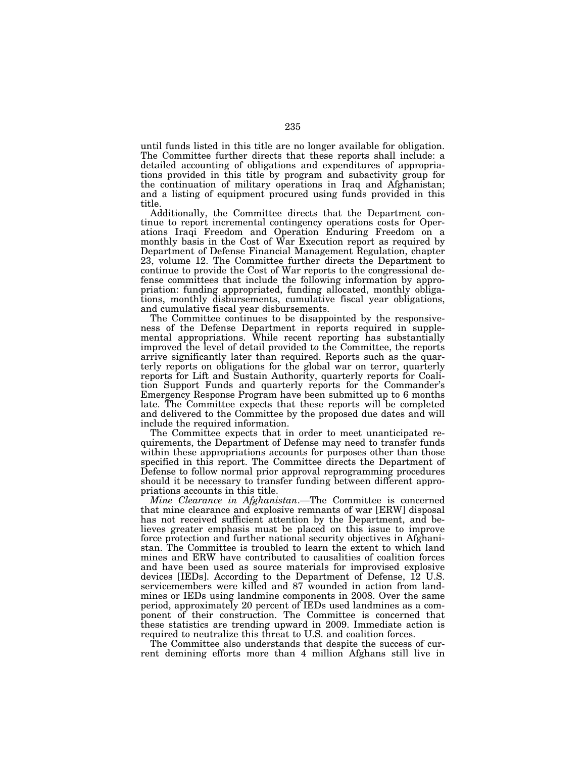until funds listed in this title are no longer available for obligation. The Committee further directs that these reports shall include: a detailed accounting of obligations and expenditures of appropriations provided in this title by program and subactivity group for the continuation of military operations in Iraq and Afghanistan; and a listing of equipment procured using funds provided in this title.

Additionally, the Committee directs that the Department continue to report incremental contingency operations costs for Operations Iraqi Freedom and Operation Enduring Freedom on a monthly basis in the Cost of War Execution report as required by Department of Defense Financial Management Regulation, chapter 23, volume 12. The Committee further directs the Department to continue to provide the Cost of War reports to the congressional defense committees that include the following information by appropriation: funding appropriated, funding allocated, monthly obligations, monthly disbursements, cumulative fiscal year obligations, and cumulative fiscal year disbursements.

The Committee continues to be disappointed by the responsiveness of the Defense Department in reports required in supplemental appropriations. While recent reporting has substantially improved the level of detail provided to the Committee, the reports arrive significantly later than required. Reports such as the quarterly reports on obligations for the global war on terror, quarterly reports for Lift and Sustain Authority, quarterly reports for Coalition Support Funds and quarterly reports for the Commander's Emergency Response Program have been submitted up to 6 months late. The Committee expects that these reports will be completed and delivered to the Committee by the proposed due dates and will include the required information.

The Committee expects that in order to meet unanticipated requirements, the Department of Defense may need to transfer funds within these appropriations accounts for purposes other than those specified in this report. The Committee directs the Department of Defense to follow normal prior approval reprogramming procedures should it be necessary to transfer funding between different appropriations accounts in this title.

*Mine Clearance in Afghanistan*.—The Committee is concerned that mine clearance and explosive remnants of war [ERW] disposal has not received sufficient attention by the Department, and believes greater emphasis must be placed on this issue to improve force protection and further national security objectives in Afghanistan. The Committee is troubled to learn the extent to which land mines and ERW have contributed to causalities of coalition forces and have been used as source materials for improvised explosive devices [IEDs]. According to the Department of Defense, 12 U.S. servicemembers were killed and 87 wounded in action from landmines or IEDs using landmine components in 2008. Over the same period, approximately 20 percent of IEDs used landmines as a component of their construction. The Committee is concerned that these statistics are trending upward in 2009. Immediate action is required to neutralize this threat to U.S. and coalition forces.

The Committee also understands that despite the success of current demining efforts more than 4 million Afghans still live in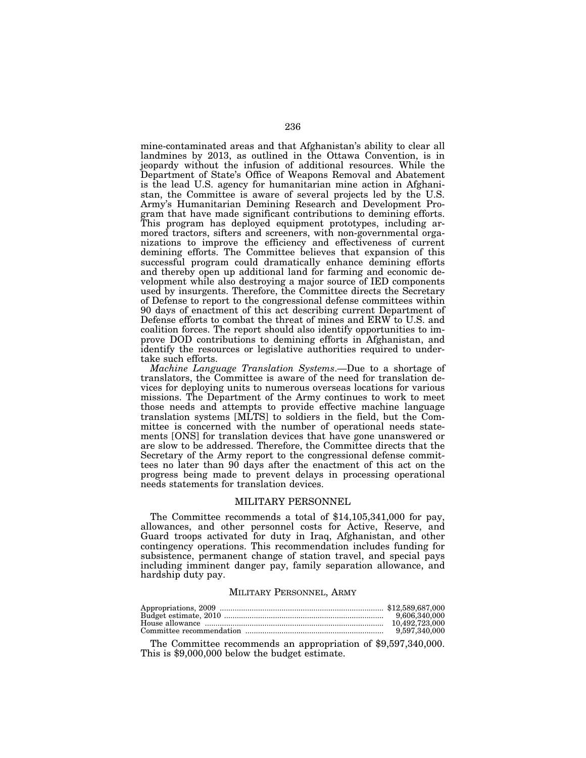mine-contaminated areas and that Afghanistan's ability to clear all landmines by 2013, as outlined in the Ottawa Convention, is in jeopardy without the infusion of additional resources. While the Department of State's Office of Weapons Removal and Abatement is the lead U.S. agency for humanitarian mine action in Afghanistan, the Committee is aware of several projects led by the U.S. Army's Humanitarian Demining Research and Development Program that have made significant contributions to demining efforts. This program has deployed equipment prototypes, including armored tractors, sifters and screeners, with non-governmental organizations to improve the efficiency and effectiveness of current demining efforts. The Committee believes that expansion of this successful program could dramatically enhance demining efforts and thereby open up additional land for farming and economic development while also destroying a major source of IED components used by insurgents. Therefore, the Committee directs the Secretary of Defense to report to the congressional defense committees within 90 days of enactment of this act describing current Department of Defense efforts to combat the threat of mines and ERW to U.S. and coalition forces. The report should also identify opportunities to improve DOD contributions to demining efforts in Afghanistan, and identify the resources or legislative authorities required to undertake such efforts.

*Machine Language Translation Systems*.—Due to a shortage of translators, the Committee is aware of the need for translation devices for deploying units to numerous overseas locations for various missions. The Department of the Army continues to work to meet those needs and attempts to provide effective machine language translation systems [MLTS] to soldiers in the field, but the Committee is concerned with the number of operational needs statements [ONS] for translation devices that have gone unanswered or are slow to be addressed. Therefore, the Committee directs that the Secretary of the Army report to the congressional defense committees no later than 90 days after the enactment of this act on the progress being made to prevent delays in processing operational needs statements for translation devices.

#### MILITARY PERSONNEL

The Committee recommends a total of \$14,105,341,000 for pay, allowances, and other personnel costs for Active, Reserve, and Guard troops activated for duty in Iraq, Afghanistan, and other contingency operations. This recommendation includes funding for subsistence, permanent change of station travel, and special pays including imminent danger pay, family separation allowance, and hardship duty pay.

#### MILITARY PERSONNEL, ARMY

| 9.606.340.000 |
|---------------|
|               |
| 9,597,340,000 |

The Committee recommends an appropriation of \$9,597,340,000. This is \$9,000,000 below the budget estimate.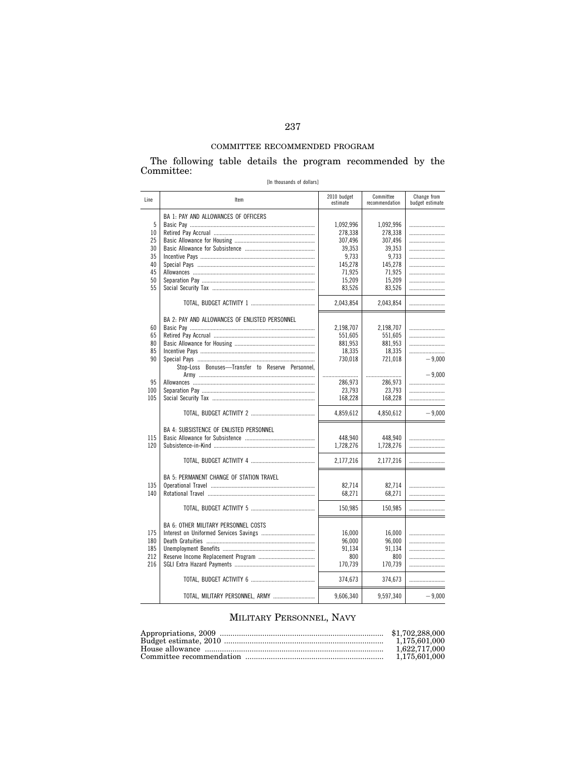# COMMITTEE RECOMMENDED PROGRAM

The following table details the program recommended by the Committee:

| [In thousands of dollars] |  |  |
|---------------------------|--|--|
|---------------------------|--|--|

| Line | Item                                             | 2010 budget<br>estimate | Committee<br>recommendation | Change from<br>budget estimate |
|------|--------------------------------------------------|-------------------------|-----------------------------|--------------------------------|
|      | BA 1: PAY AND ALLOWANCES OF OFFICERS             |                         |                             |                                |
| 5    |                                                  | 1,092,996               | 1,092,996                   |                                |
| 10   |                                                  | 278,338                 | 278,338                     |                                |
| 25   |                                                  | 307,496                 | 307,496                     |                                |
| 30   |                                                  | 39.353                  | 39.353                      |                                |
| 35   |                                                  | 9.733                   | 9.733                       |                                |
| 40   |                                                  | 145,278                 | 145,278                     |                                |
| 45   |                                                  | 71.925                  | 71.925                      |                                |
| 50   |                                                  | 15,209                  | 15,209                      |                                |
| 55   |                                                  | 83,526                  | 83,526                      |                                |
|      |                                                  |                         |                             |                                |
|      |                                                  | 2,043,854               | 2,043,854                   |                                |
|      | BA 2: PAY AND ALLOWANCES OF ENLISTED PERSONNEL   |                         |                             |                                |
| 60   |                                                  | 2,198,707               | 2,198,707                   |                                |
| 65   |                                                  | 551,605                 | 551,605                     |                                |
| 80   |                                                  | 881,953                 | 881,953                     |                                |
| 85   |                                                  | 18.335                  | 18.335                      |                                |
| 90   |                                                  | 730,018                 | 721,018                     | $-9,000$                       |
|      | Stop-Loss Bonuses-Transfer to Reserve Personnel, |                         |                             |                                |
|      |                                                  |                         |                             | $-9.000$                       |
| 95   |                                                  | 286.973                 | 286,973                     |                                |
| 100  |                                                  | 23,793                  | 23,793                      |                                |
| 105  |                                                  | 168,228                 | 168,228                     |                                |
|      |                                                  |                         |                             |                                |
|      |                                                  | 4,859,612               | 4,850,612                   | $-9,000$                       |
|      |                                                  |                         |                             |                                |
|      | BA 4: SUBSISTENCE OF ENLISTED PERSONNEL          |                         |                             |                                |
| 115  |                                                  | 448,940                 | 448,940                     |                                |
| 120  |                                                  | 1,728,276               | 1,728,276                   |                                |
|      |                                                  | 2,177,216               | 2,177,216                   |                                |
|      |                                                  |                         |                             |                                |
|      | BA 5: PERMANENT CHANGE OF STATION TRAVEL         |                         |                             |                                |
| 135  |                                                  | 82.714                  | 82.714                      |                                |
| 140  |                                                  | 68,271                  | 68.271                      |                                |
|      |                                                  |                         |                             |                                |
|      |                                                  | 150,985                 | 150,985                     |                                |
|      |                                                  |                         |                             |                                |
|      | <b>BA 6: OTHER MILITARY PERSONNEL COSTS</b>      |                         |                             |                                |
| 175  |                                                  | 16,000                  | 16,000                      |                                |
| 180  |                                                  | 96,000                  | 96,000                      |                                |
| 185  |                                                  | 91,134                  | 91,134                      |                                |
| 212  |                                                  | 800                     | 800                         |                                |
| 216  |                                                  | 170,739                 | 170,739                     |                                |
|      |                                                  |                         |                             |                                |
|      |                                                  | 374,673                 | 374,673                     |                                |
|      | TOTAL, MILITARY PERSONNEL, ARMY                  | 9,606,340               | 9,597,340                   | $-9,000$                       |
|      |                                                  |                         |                             |                                |

# MILITARY PERSONNEL, NAVY

| 1.622.717.000 |
|---------------|
|               |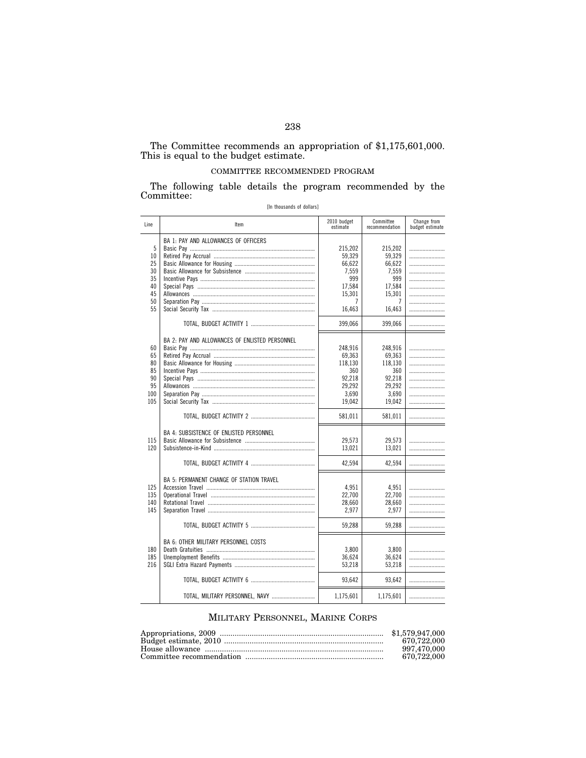#### The Committee recommends an appropriation of \$1,175,601,000. This is equal to the budget estimate.

## COMMITTEE RECOMMENDED PROGRAM

The following table details the program recommended by the Committee:

| Line | Item                                            | 2010 budget<br>estimate | Committee<br>recommendation | Change from<br>budget estimate |
|------|-------------------------------------------------|-------------------------|-----------------------------|--------------------------------|
| 5    | <b>BA 1: PAY AND ALLOWANCES OF OFFICERS</b>     |                         |                             |                                |
|      |                                                 | 215,202                 | 215,202                     |                                |
| 10   |                                                 | 59,329                  | 59,329                      |                                |
| 25   |                                                 | 66.622                  | 66.622                      |                                |
| 30   |                                                 | 7,559                   | 7,559                       |                                |
| 35   |                                                 | 999                     | 999                         |                                |
| 40   |                                                 | 17,584                  | 17,584                      |                                |
| 45   |                                                 | 15,301                  | 15,301                      |                                |
| 50   |                                                 | 7                       | 7                           |                                |
| 55   |                                                 | 16,463                  | 16,463                      |                                |
|      |                                                 | 399,066                 | 399,066                     |                                |
|      | BA 2: PAY AND ALLOWANCES OF ENLISTED PERSONNEL  |                         |                             |                                |
| 60   |                                                 | 248,916                 | 248,916                     |                                |
| 65   |                                                 | 69,363                  | 69,363                      |                                |
| 80   |                                                 | 118,130                 | 118,130                     |                                |
| 85   |                                                 | 360                     | 360                         |                                |
| 90   |                                                 | 92,218                  | 92,218                      |                                |
| 95   |                                                 | 29.292                  | 29,292                      |                                |
| 100  |                                                 | 3,690                   | 3.690                       |                                |
| 105  |                                                 | 19,042                  | 19,042                      |                                |
|      |                                                 |                         |                             |                                |
|      |                                                 | 581,011                 | 581,011                     |                                |
|      | BA 4: SUBSISTENCE OF ENLISTED PERSONNEL         |                         |                             |                                |
| 115  |                                                 | 29,573                  | 29,573                      |                                |
| 120  |                                                 | 13,021                  | 13.021                      |                                |
|      |                                                 | 42,594                  | 42,594                      |                                |
|      |                                                 |                         |                             |                                |
|      | <b>BA 5: PERMANENT CHANGE OF STATION TRAVEL</b> |                         |                             |                                |
| 125  |                                                 | 4,951                   | 4,951                       |                                |
| 135  |                                                 | 22,700                  | 22,700                      |                                |
| 140  |                                                 | 28,660                  | 28,660                      |                                |
| 145  |                                                 | 2,977                   | 2,977                       |                                |
|      |                                                 |                         |                             |                                |
|      |                                                 | 59,288                  | 59,288                      |                                |
|      | <b>BA 6: OTHER MILITARY PERSONNEL COSTS</b>     |                         |                             |                                |
| 180  |                                                 | 3,800                   | 3,800                       |                                |
| 185  |                                                 | 36.624                  | 36,624                      |                                |
| 216  |                                                 | 53,218                  | 53.218                      |                                |
|      |                                                 |                         |                             |                                |
|      |                                                 | 93,642                  | 93,642                      |                                |
|      | TOTAL, MILITARY PERSONNEL, NAVY                 | 1,175,601               | 1,175,601                   |                                |

[In thousands of dollars]

# MILITARY PERSONNEL, MARINE CORPS

| 670.722.000 |
|-------------|
| 997.470.000 |
| 670.722.000 |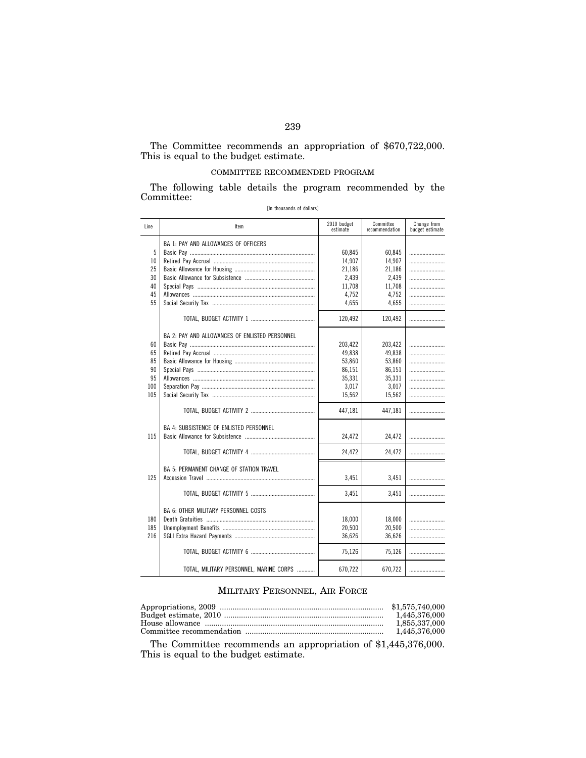#### The Committee recommends an appropriation of \$670,722,000. This is equal to the budget estimate.

## COMMITTEE RECOMMENDED PROGRAM

The following table details the program recommended by the Committee:

| Line | Item                                           | 2010 budget<br>estimate | Committee<br>recommendation | Change from<br>budget estimate |
|------|------------------------------------------------|-------------------------|-----------------------------|--------------------------------|
|      | BA 1: PAY AND ALLOWANCES OF OFFICERS           |                         |                             |                                |
| 5    |                                                | 60,845                  | 60,845                      |                                |
| 10   |                                                | 14,907                  | 14,907                      |                                |
| 25   |                                                | 21,186                  | 21,186                      |                                |
| 30   |                                                | 2,439                   | 2,439                       |                                |
| 40   |                                                | 11,708                  | 11,708                      | .                              |
| 45   |                                                | 4,752                   | 4,752                       | .                              |
| 55   |                                                | 4.655                   | 4.655                       |                                |
|      |                                                | 120,492                 | 120,492                     | .                              |
|      | BA 2: PAY AND ALLOWANCES OF ENLISTED PERSONNEL |                         |                             |                                |
| 60   |                                                | 203,422                 | 203,422                     |                                |
| 65   |                                                | 49,838                  | 49,838                      |                                |
| 85   |                                                | 53,860                  | 53,860                      |                                |
| 90   |                                                | 86,151                  | 86,151                      | .                              |
| 95   |                                                | 35,331                  | 35,331                      |                                |
| 100  |                                                | 3,017                   | 3,017                       | .                              |
| 105  |                                                | 15,562                  | 15,562                      |                                |
|      |                                                | 447,181                 | 447,181                     |                                |
|      | BA 4: SUBSISTENCE OF ENLISTED PERSONNEL        |                         |                             |                                |
| 115  |                                                | 24,472                  | 24,472                      |                                |
|      |                                                | 24,472                  | 24,472                      |                                |
|      | BA 5: PERMANENT CHANGE OF STATION TRAVEL       |                         |                             |                                |
| 125  |                                                | 3,451                   | 3,451                       |                                |
|      |                                                | 3,451                   | 3,451                       | .                              |
|      | <b>BA 6: OTHER MILITARY PERSONNEL COSTS</b>    |                         |                             |                                |
| 180  |                                                | 18,000                  | 18,000                      |                                |
| 185  |                                                | 20,500                  | 20,500                      | .                              |
| 216  |                                                | 36,626                  | 36,626                      | .                              |
|      |                                                | 75,126                  | 75,126                      | .                              |
|      | TOTAL, MILITARY PERSONNEL, MARINE CORPS        | 670,722                 | 670,722                     |                                |

## MILITARY PERSONNEL, AIR FORCE

| 1.855.337.000 |
|---------------|
|               |

The Committee recommends an appropriation of \$1,445,376,000. This is equal to the budget estimate.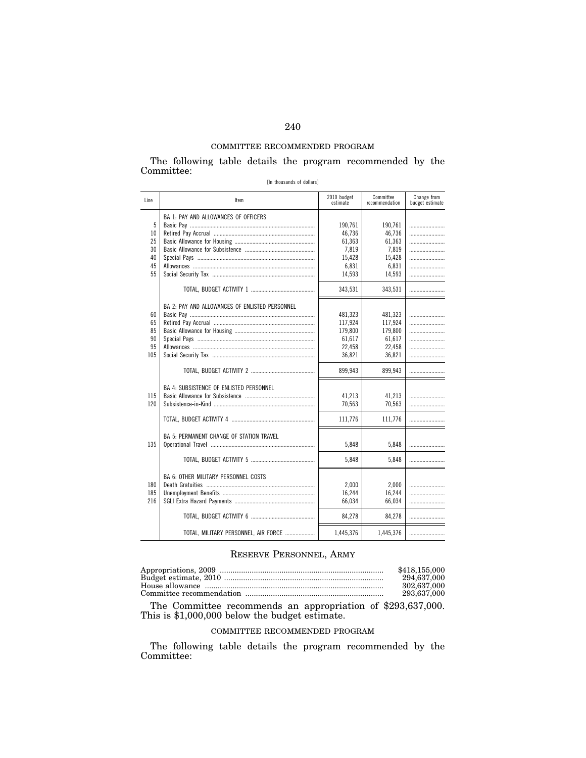## COMMITTEE RECOMMENDED PROGRAM

The following table details the program recommended by the Committee:

|  | [In thousands of dollars] |  |  |
|--|---------------------------|--|--|
|--|---------------------------|--|--|

| Line                                  | Item                                           | 2010 budget<br>estimate                                           | Committee<br>recommendation                                       | Change from<br>budget estimate |
|---------------------------------------|------------------------------------------------|-------------------------------------------------------------------|-------------------------------------------------------------------|--------------------------------|
| 5<br>10<br>25<br>30<br>40<br>45<br>55 | BA 1: PAY AND ALLOWANCES OF OFFICERS           | 190,761<br>46,736<br>61,363<br>7,819<br>15,428<br>6,831<br>14,593 | 190,761<br>46,736<br>61,363<br>7,819<br>15,428<br>6,831<br>14,593 | .<br>.<br>.                    |
|                                       | BA 2: PAY AND ALLOWANCES OF ENLISTED PERSONNEL | 343,531                                                           | 343,531                                                           |                                |
| 60<br>65<br>85<br>90<br>95<br>105     |                                                | 481,323<br>117,924<br>179,800<br>61,617<br>22,458<br>36,821       | 481,323<br>117,924<br>179,800<br>61,617<br>22,458<br>36,821       |                                |
|                                       |                                                | 899,943                                                           | 899,943                                                           |                                |
| 115<br>120                            | <b>BA 4: SUBSISTENCE OF ENLISTED PERSONNEL</b> | 41.213<br>70,563                                                  | 41,213<br>70.563                                                  |                                |
|                                       |                                                | 111,776                                                           | 111,776                                                           |                                |
| 135                                   | BA 5: PERMANENT CHANGE OF STATION TRAVEL       | 5,848                                                             | 5,848                                                             |                                |
|                                       |                                                | 5,848                                                             | 5,848                                                             | .                              |
| 180<br>185<br>216                     | <b>BA 6: OTHER MILITARY PERSONNEL COSTS</b>    | 2,000<br>16,244<br>66,034                                         | 2,000<br>16,244<br>66,034                                         |                                |
|                                       |                                                | 84,278                                                            | 84,278                                                            |                                |
|                                       | TOTAL, MILITARY PERSONNEL, AIR FORCE           | 1,445,376                                                         | 1,445,376                                                         |                                |

# RESERVE PERSONNEL, ARMY

| \$418,155,000 |
|---------------|
| 294.637.000   |
| 302.637.000   |
| 293.637.000   |

The Committee recommends an appropriation of \$293,637,000. This is \$1,000,000 below the budget estimate.

## COMMITTEE RECOMMENDED PROGRAM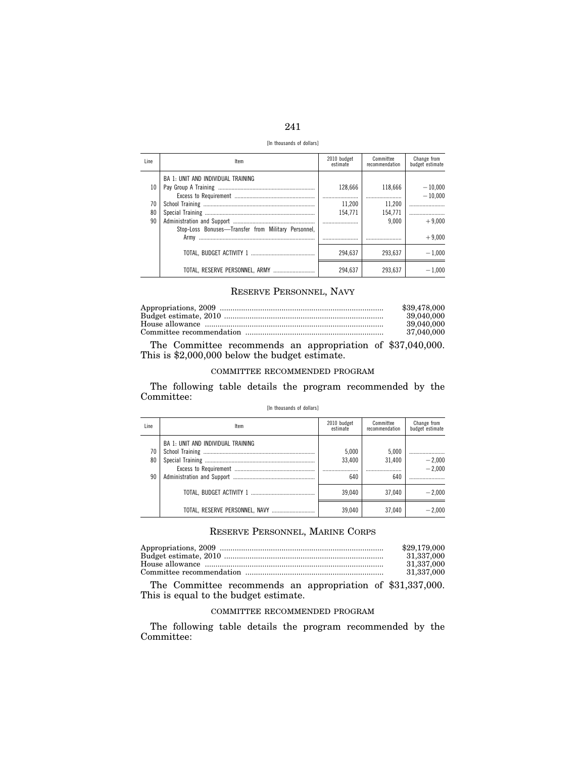| -- |  |
|----|--|

[In thousands of dollars]

| Line | Item                                                | 2010 budget<br>estimate | Committee<br>recommendation | Change from<br>budget estimate |
|------|-----------------------------------------------------|-------------------------|-----------------------------|--------------------------------|
|      | BA 1: UNIT AND INDIVIDUAL TRAINING                  |                         |                             |                                |
| 10   |                                                     | 128.666                 | 118.666                     | $-10,000$                      |
|      |                                                     |                         |                             | $-10.000$                      |
| 70   |                                                     | 11.200                  | 11,200                      |                                |
| 80   |                                                     | 154.771                 | 154.771                     |                                |
| 90   |                                                     |                         | 9.000                       | $+9.000$                       |
|      | Stop-Loss Bonuses-Transfer from Military Personnel, |                         |                             |                                |
|      |                                                     |                         |                             | $+9.000$                       |
|      |                                                     | 294.637                 | 293.637                     | $-1.000$                       |
|      | TOTAL, RESERVE PERSONNEL, ARMY                      | 294.637                 | 293.637                     | $-1.000$                       |

## RESERVE PERSONNEL, NAVY

| \$39,478,000 |
|--------------|
| 39,040,000   |
| 39,040,000   |
| 37.040.000   |

The Committee recommends an appropriation of \$37,040,000. This is \$2,000,000 below the budget estimate.

## COMMITTEE RECOMMENDED PROGRAM

The following table details the program recommended by the Committee:

#### [In thousands of dollars]

| Line           | Item                               | 2010 budget<br>estimate    | Committee<br>recommendation | Change from<br>budget estimate |
|----------------|------------------------------------|----------------------------|-----------------------------|--------------------------------|
| 70<br>80<br>90 | BA 1: UNIT AND INDIVIDUAL TRAINING | 5.000<br>33.400<br><br>640 | 5,000<br>31.400<br><br>640  | $-2,000$<br>$-2.000$           |
|                |                                    |                            |                             |                                |
|                |                                    | 39.040                     | 37.040                      | $-2.000$                       |
|                | TOTAL, RESERVE PERSONNEL, NAVY     | 39.040                     | 37.040                      | $-2.000$                       |

# RESERVE PERSONNEL, MARINE CORPS

| \$29,179,000 |
|--------------|
| 31.337.000   |
| 31.337.000   |
| 31.337.000   |

The Committee recommends an appropriation of \$31,337,000. This is equal to the budget estimate.

## COMMITTEE RECOMMENDED PROGRAM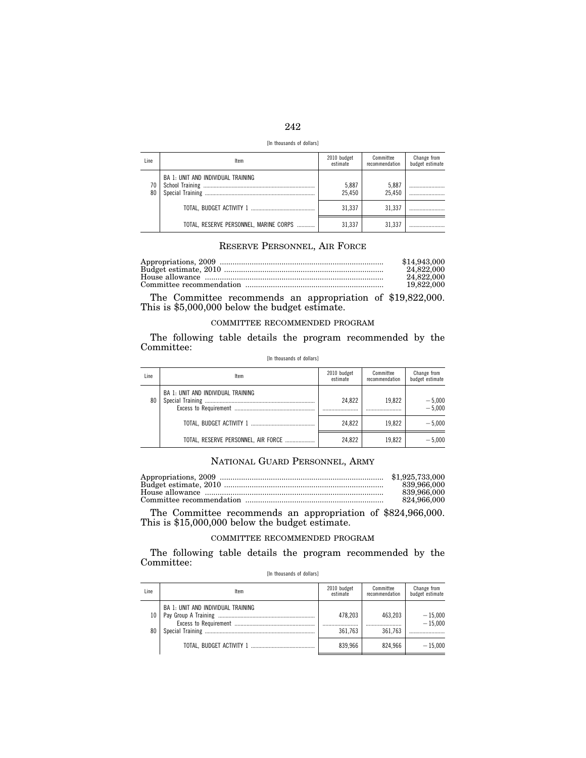| -- | -- |
|----|----|

[In thousands of dollars]

| Line     | Item                                   | 2010 budget<br>estimate | Committee<br>recommendation | Change from<br>budget estimate |
|----------|----------------------------------------|-------------------------|-----------------------------|--------------------------------|
| 70<br>80 | BA 1: UNIT AND INDIVIDUAL TRAINING     | 5,887<br>25.450         | 5,887<br>25.450             |                                |
|          |                                        | 31.337                  | 31.337                      |                                |
|          | TOTAL, RESERVE PERSONNEL, MARINE CORPS | 31.337                  | 31.337                      |                                |

## RESERVE PERSONNEL, AIR FORCE

| \$14,943,000 |
|--------------|
| 24.822.000   |
| 24.822.000   |
| 19.822.000   |

The Committee recommends an appropriation of \$19,822,000. This is \$5,000,000 below the budget estimate.

#### COMMITTEE RECOMMENDED PROGRAM

The following table details the program recommended by the Committee: [In thousands of dollars]

| Line | Item                                      | 2010 budget<br>estimate | Committee<br>recommendation | Change from<br>budget estimate |
|------|-------------------------------------------|-------------------------|-----------------------------|--------------------------------|
| 80   | <b>BA 1: UNIT AND INDIVIDUAL TRAINING</b> | 24.822                  | 19.822                      | $-5,000$<br>$-5,000$           |
|      |                                           | 24.822                  | 19.822                      | $-5.000$                       |
|      | TOTAL, RESERVE PERSONNEL, AIR FORCE       | 24.822                  | 19.822                      | $-5.000$                       |

## NATIONAL GUARD PERSONNEL, ARMY

| 839.966.000 |
|-------------|
| 839.966.000 |
| 824.966.000 |

The Committee recommends an appropriation of \$824,966,000. This is \$15,000,000 below the budget estimate.

## COMMITTEE RECOMMENDED PROGRAM

The following table details the program recommended by the Committee:

[In thousands of dollars]

| Line     | ltem                               | 2010 budget<br>estimate | Committee<br>recommendation | Change from<br>budget estimate |
|----------|------------------------------------|-------------------------|-----------------------------|--------------------------------|
| 10<br>80 | BA 1: UNIT AND INDIVIDUAL TRAINING | 478.203<br><br>361.763  | 463,203<br><br>361.763      | $-15,000$<br>$-15.000$         |
|          |                                    | 839.966                 | 824.966                     | $-15.000$                      |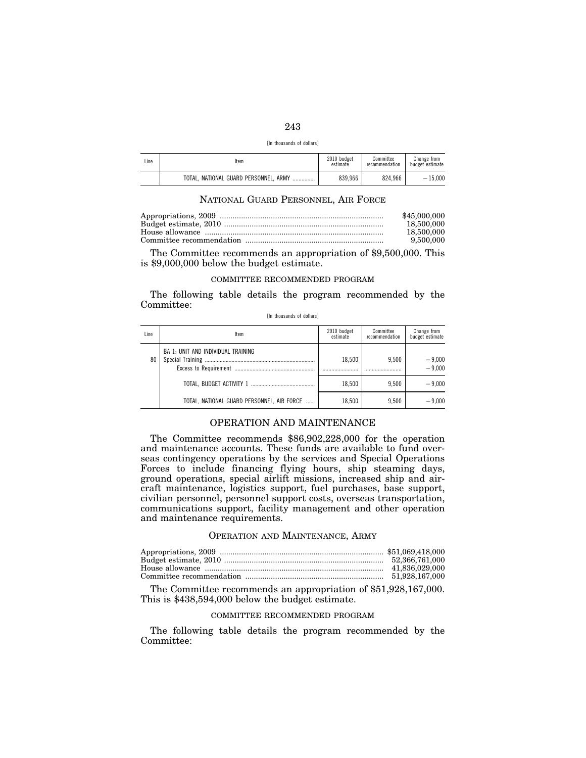| [In thousands of dollars] |  |  |
|---------------------------|--|--|
|---------------------------|--|--|

| Line | Item                                      | 2010 budget<br>estimate | Committee<br>recommendation | Change from<br>budget estimate |
|------|-------------------------------------------|-------------------------|-----------------------------|--------------------------------|
|      | TOTAL. NATIONAL GUARD PERSONNEL. ARMY<br> | 839.966                 | 824.966                     | $-15.000$                      |

## NATIONAL GUARD PERSONNEL, AIR FORCE

| \$45,000,000 |
|--------------|
| 18.500.000   |
| 18,500,000   |
| 9.500.000    |

The Committee recommends an appropriation of \$9,500,000. This is \$9,000,000 below the budget estimate.

## COMMITTEE RECOMMENDED PROGRAM

The following table details the program recommended by the Committee:

|  | [In thousands of dollars] |  |  |  |
|--|---------------------------|--|--|--|
|--|---------------------------|--|--|--|

| Line | Item                                       | 2010 budget<br>estimate | Committee<br>recommendation | Change from<br>budget estimate |
|------|--------------------------------------------|-------------------------|-----------------------------|--------------------------------|
| 80   | BA 1: UNIT AND INDIVIDUAL TRAINING         | 18.500                  | 9.500                       | $-9,000$<br>$-9,000$           |
|      |                                            | 18.500                  | 9.500                       | $-9.000$                       |
|      | TOTAL, NATIONAL GUARD PERSONNEL, AIR FORCE | 18.500                  | 9.500                       | $-9.000$                       |

## OPERATION AND MAINTENANCE

The Committee recommends \$86,902,228,000 for the operation and maintenance accounts. These funds are available to fund overseas contingency operations by the services and Special Operations Forces to include financing flying hours, ship steaming days, ground operations, special airlift missions, increased ship and aircraft maintenance, logistics support, fuel purchases, base support, civilian personnel, personnel support costs, overseas transportation, communications support, facility management and other operation and maintenance requirements.

#### OPERATION AND MAINTENANCE, ARMY

The Committee recommends an appropriation of \$51,928,167,000. This is \$438,594,000 below the budget estimate.

## COMMITTEE RECOMMENDED PROGRAM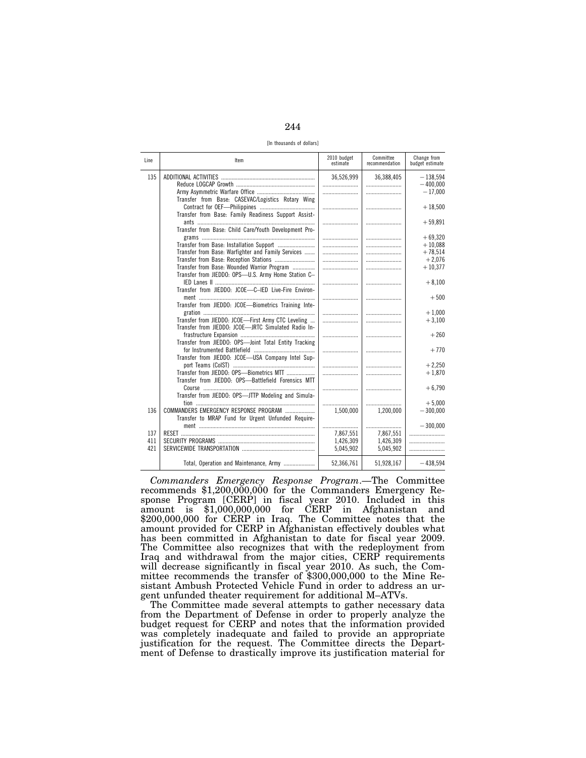244

[In thousands of dollars]

| Line       | Item                                                  | 2010 budget<br>estimate | Committee<br>recommendation | Change from<br>budget estimate |
|------------|-------------------------------------------------------|-------------------------|-----------------------------|--------------------------------|
| 135        |                                                       | 36,526,999              | 36,388,405                  | $-138.594$                     |
|            |                                                       |                         |                             | $-400.000$                     |
|            |                                                       |                         |                             | $-17,000$                      |
|            | Transfer from Base: CASEVAC/Logistics Rotary Wing     |                         |                             |                                |
|            |                                                       |                         |                             | $+18,500$                      |
|            | Transfer from Base: Family Readiness Support Assist-  |                         |                             |                                |
|            |                                                       |                         |                             | $+59,891$                      |
|            | Transfer from Base: Child Care/Youth Development Pro- |                         |                             |                                |
|            | Transfer from Base: Installation Support              |                         |                             | $+69,320$<br>$+10.088$         |
|            | Transfer from Base: Warfighter and Family Services    |                         |                             | $+78,514$                      |
|            |                                                       |                         |                             | $+2,076$                       |
|            | Transfer from Base: Wounded Warrior Program           |                         |                             | $+10,377$                      |
|            | Transfer from JIEDDO: OPS-U.S. Army Home Station C-   |                         |                             |                                |
|            |                                                       |                         |                             | $+8,100$                       |
|            | Transfer from JIEDDO: JCOE-C-IED Live-Fire Environ-   |                         |                             |                                |
|            |                                                       |                         |                             | $+500$                         |
|            | Transfer from JIEDDO: JCOE-Biometrics Training Inte-  |                         |                             |                                |
|            |                                                       |                         |                             | $+1.000$                       |
|            | Transfer from JIEDDO: JCOE-First Army CTC Leveling    |                         |                             | $+3,100$                       |
|            | Transfer from JIEDDO: JCOE-JRTC Simulated Radio In-   |                         |                             |                                |
|            |                                                       |                         |                             | $+260$                         |
|            | Transfer from JIEDDO: OPS-Joint Total Entity Tracking |                         |                             |                                |
|            |                                                       |                         |                             | $+770$                         |
|            | Transfer from JIEDDO: JCOE-USA Company Intel Sup-     |                         |                             |                                |
|            |                                                       |                         |                             | $+2.250$                       |
|            | Transfer from JIEDDO: OPS-Biometrics MTT              |                         |                             | $+1,870$                       |
|            | Transfer from JIEDDO: OPS-Battlefield Forensics MTT   |                         |                             |                                |
|            |                                                       |                         |                             | $+6,790$                       |
|            | Transfer from JIEDDO: OPS-JTTP Modeling and Simula-   |                         |                             |                                |
|            |                                                       |                         |                             | $+5.000$                       |
| 136        | COMMANDERS EMERGENCY RESPONSE PROGRAM                 | 1,500,000               | 1,200,000                   | $-300,000$                     |
|            | Transfer to MRAP Fund for Urgent Unfunded Require-    |                         |                             |                                |
|            |                                                       |                         |                             | $-300,000$                     |
| 137        |                                                       | 7,867,551               | 7,867,551                   |                                |
| 411<br>421 |                                                       | 1,426,309<br>5,045,902  | 1,426,309<br>5,045,902      |                                |
|            |                                                       |                         |                             |                                |
|            | Total, Operation and Maintenance, Army                | 52,366,761              | 51,928,167                  | $-438.594$                     |
|            |                                                       |                         |                             |                                |

*Commanders Emergency Response Program*.—The Committee recommends \$1,200,000,000 for the Commanders Emergency Response Program [CERP] in fiscal year 2010. Included in this amount is \$1,000,000,000 for CERP in Afghanistan and \$200,000,000 for CERP in Iraq. The Committee notes that the amount provided for CERP in Afghanistan effectively doubles what has been committed in Afghanistan to date for fiscal year 2009. The Committee also recognizes that with the redeployment from Iraq and withdrawal from the major cities, CERP requirements will decrease significantly in fiscal year 2010. As such, the Committee recommends the transfer of \$300,000,000 to the Mine Resistant Ambush Protected Vehicle Fund in order to address an urgent unfunded theater requirement for additional M–ATVs.

The Committee made several attempts to gather necessary data from the Department of Defense in order to properly analyze the budget request for CERP and notes that the information provided was completely inadequate and failed to provide an appropriate justification for the request. The Committee directs the Department of Defense to drastically improve its justification material for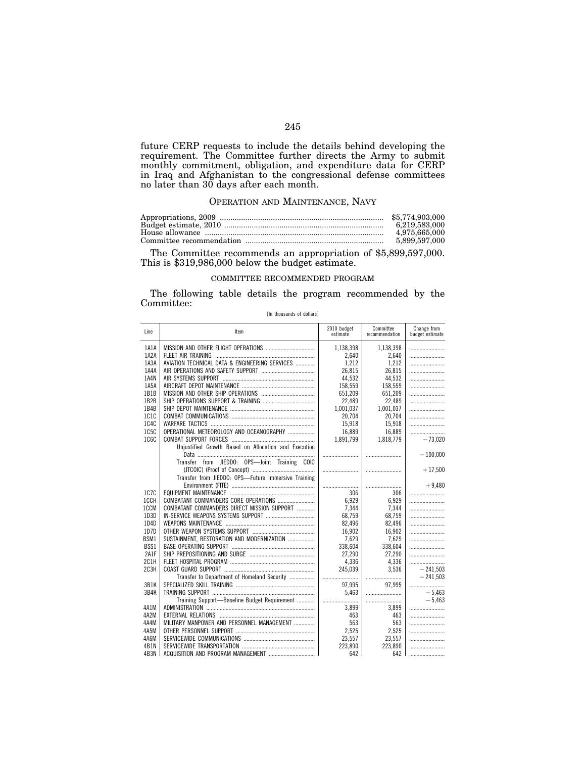future CERP requests to include the details behind developing the requirement. The Committee further directs the Army to submit monthly commitment, obligation, and expenditure data for CERP in Iraq and Afghanistan to the congressional defense committees no later than 30 days after each month.

## OPERATION AND MAINTENANCE, NAVY

| \$5.774.903.000 |
|-----------------|
| 6.219.583.000   |
| 4.975.665.000   |
| 5,899,597,000   |

The Committee recommends an appropriation of \$5,899,597,000. This is \$319,986,000 below the budget estimate.

## COMMITTEE RECOMMENDED PROGRAM

The following table details the program recommended by the Committee:

[In thousands of dollars]

| Line              | Item                                                 | 2010 budget<br>estimate | Committee<br>recommendation | Change from<br>budget estimate |
|-------------------|------------------------------------------------------|-------------------------|-----------------------------|--------------------------------|
| 1A1A              |                                                      | 1,138,398               | 1,138,398                   |                                |
| 1A2A              |                                                      | 2.640                   | 2,640                       |                                |
| 1A3A              | AVIATION TECHNICAL DATA & ENGINEERING SERVICES       | 1.212                   | 1.212                       |                                |
| 1A4A              |                                                      | 26,815                  | 26,815                      |                                |
| 1A4N              |                                                      | 44,532                  | 44,532                      |                                |
| 1A <sub>5</sub> A |                                                      | 158,559                 | 158,559                     |                                |
| 1B1B              |                                                      | 651,209                 | 651,209                     |                                |
| 1B2B              |                                                      | 22,489                  | 22,489                      |                                |
| 1B4B              |                                                      | 1,001,037               | 1,001,037                   |                                |
| 1C1C              |                                                      | 20,704                  | 20,704                      |                                |
| 1C4C              |                                                      | 15,918                  | 15,918                      |                                |
| 1C <sub>5</sub> C | OPERATIONAL METEOROLOGY AND OCEANOGRAPHY             | 16,889                  | 16,889                      |                                |
| 1060              |                                                      | 1,891,799               | 1,818,779                   | $-73,020$                      |
|                   | Unjustified Growth Based on Allocation and Execution |                         |                             |                                |
|                   |                                                      |                         |                             | $-100,000$                     |
|                   | Transfer from JIEDDO: OPS-Joint Training COIC        |                         |                             |                                |
|                   |                                                      |                         |                             | $+17,500$                      |
|                   | Transfer from JIEDDO: OPS-Future Immersive Training  |                         |                             |                                |
|                   |                                                      |                         |                             | $+9.480$                       |
| 1C7C              |                                                      | 306                     | 306                         |                                |
| 1CCH              | COMBATANT COMMANDERS CORE OPERATIONS                 | 6.929                   | 6,929                       |                                |
| 1CCM              | COMBATANT COMMANDERS DIRECT MISSION SUPPORT          | 7,344                   | 7,344                       |                                |
| 1D3D              |                                                      | 68.759                  | 68,759                      |                                |
| 1D4D              |                                                      | 82,496                  | 82,496                      |                                |
| 1D7D              |                                                      | 16,902                  | 16,902                      |                                |
| BSM1              | SUSTAINMENT, RESTORATION AND MODERNIZATION           | 7,629                   | 7,629                       |                                |
| BSS1              |                                                      |                         | 338,604                     |                                |
| 2A1F              |                                                      | 338,604<br>27,290       | 27,290                      |                                |
| 2C1H              |                                                      | 4,336                   | 4,336                       |                                |
| 2C <sub>3H</sub>  |                                                      |                         |                             |                                |
|                   |                                                      | 245,039                 | 3,536                       | $-241,503$                     |
|                   | Transfer to Department of Homeland Security          |                         |                             | $-241.503$                     |
| 3B1K              |                                                      | 97,995                  | 97.995                      |                                |
| 3B4K              |                                                      | 5.463                   |                             | $-5.463$                       |
|                   | Training Support-Baseline Budget Requirement         |                         |                             | $-5.463$                       |
| 4A1M              |                                                      | 3.899                   | 3,899                       |                                |
| 4A2M              |                                                      | 463                     | 463                         |                                |
| 4A4M              | MILITARY MANPOWER AND PERSONNEL MANAGEMENT           | 563                     | 563                         |                                |
| 4A5M              |                                                      | 2.525                   | 2,525                       |                                |
| 4A6M              |                                                      | 23,557                  | 23,557                      |                                |
| 4B1N              |                                                      | 223.890                 | 223.890                     |                                |
| 4B3N              |                                                      | 642                     | 642                         |                                |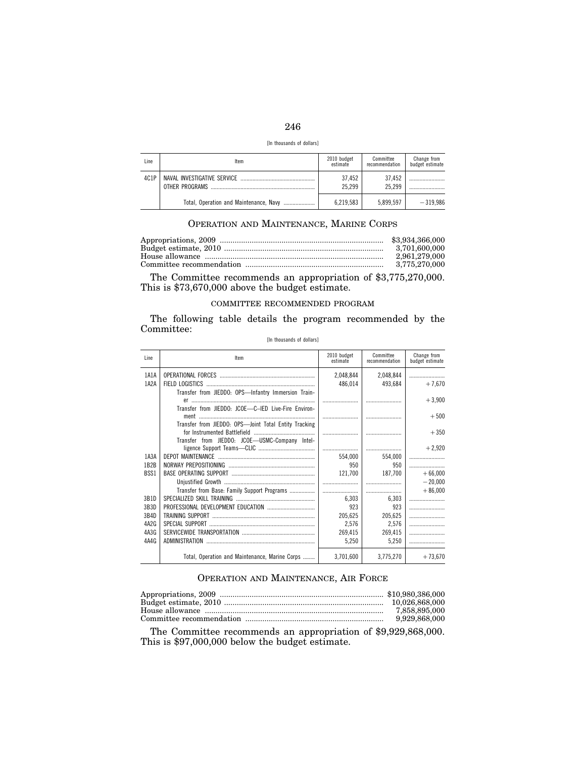| ×<br>۰.<br>-- |
|---------------|

| [In thousands of dollars] |  |  |  |  |  |
|---------------------------|--|--|--|--|--|
|---------------------------|--|--|--|--|--|

| Line | Item                                   | 2010 budget<br>estimate | Committee<br>recommendation | Change from<br>budget estimate |
|------|----------------------------------------|-------------------------|-----------------------------|--------------------------------|
| 4C1P | OTHER PROGRAMS                         | 37.452<br>25.299        | 37.452<br>25.299            |                                |
|      | Total, Operation and Maintenance, Navy | 6.219.583               | 5.899.597                   | $-319.986$                     |

## OPERATION AND MAINTENANCE, MARINE CORPS

| \$3,934,366,000 |
|-----------------|
| 3.701.600.000   |
| 2.961.279.000   |
| 3.775.270.000   |

The Committee recommends an appropriation of \$3,775,270,000. This is \$73,670,000 above the budget estimate.

#### COMMITTEE RECOMMENDED PROGRAM

The following table details the program recommended by the Committee:

| Line              | Item                                                  | 2010 budget<br>estimate | Committee<br>recommendation | Change from<br>budget estimate |
|-------------------|-------------------------------------------------------|-------------------------|-----------------------------|--------------------------------|
| 1A1A              |                                                       | 2,048,844               | 2,048,844                   |                                |
| 1A2A              |                                                       | 486.014                 | 493.684                     | $+7.670$                       |
|                   | Transfer from JIEDDO: OPS-Infantry Immersion Train-   |                         |                             |                                |
|                   |                                                       |                         |                             | $+3,900$                       |
|                   | Transfer from JIEDDO: JCOE-C-IED Live-Fire Environ-   |                         |                             |                                |
|                   |                                                       |                         |                             | $+500$                         |
|                   | Transfer from JIEDDO: OPS-Joint Total Entity Tracking |                         |                             |                                |
|                   |                                                       |                         |                             | $+350$                         |
|                   | Transfer from JIEDDO: JCOE-USMC-Company Intel-        |                         |                             |                                |
|                   |                                                       |                         |                             | $+2,920$                       |
| 1A3A              |                                                       | 554.000                 | 554.000                     |                                |
| 1B2B              |                                                       | 950                     | 950                         |                                |
| BSS1              |                                                       | 121,700                 | 187,700                     | $+66,000$                      |
|                   |                                                       |                         |                             | $-20,000$                      |
|                   | Transfer from Base: Family Support Programs           |                         |                             | $+86,000$                      |
| 3R1D              |                                                       | 6.303                   | 6,303                       |                                |
| 3B3D              |                                                       | 923                     | 923                         |                                |
| 3B4D              |                                                       | 205,625                 | 205,625                     |                                |
| 4A <sub>2</sub> G |                                                       | 2,576                   | 2,576                       |                                |
| 4A3G              |                                                       | 269.415                 | 269,415                     |                                |
| 4A4G              |                                                       | 5,250                   | 5,250                       |                                |
|                   |                                                       |                         |                             |                                |
|                   | Total, Operation and Maintenance, Marine Corps        | 3.701.600               | 3,775,270                   | $+73,670$                      |

#### [In thousands of dollars]

## OPERATION AND MAINTENANCE, AIR FORCE

| 9,929,868,000 |
|---------------|

The Committee recommends an appropriation of \$9,929,868,000. This is \$97,000,000 below the budget estimate.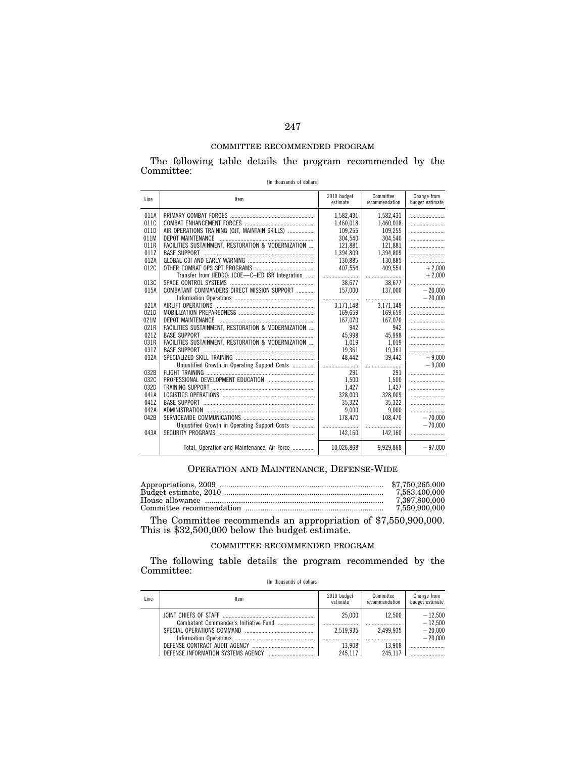## COMMITTEE RECOMMENDED PROGRAM

The following table details the program recommended by the Committee:

[In thousands of dollars]

| Line | Item                                                | 2010 budget<br>estimate | Committee<br>recommendation | Change from<br>budget estimate     |
|------|-----------------------------------------------------|-------------------------|-----------------------------|------------------------------------|
| 011A |                                                     | 1,582,431               | 1,582,431                   |                                    |
| 011C |                                                     | 1,460,018               | 1,460,018                   |                                    |
| 011D | AIR OPERATIONS TRAINING (OJT, MAINTAIN SKILLS)      | 109.255                 | 109,255                     |                                    |
| 011M |                                                     | 304.540                 | 304.540                     |                                    |
| 011R | FACILITIES SUSTAINMENT, RESTORATION & MODERNIZATION | 121.881                 | 121.881                     |                                    |
| 011Z |                                                     | 1,394,809               | 1,394,809                   |                                    |
| 012A |                                                     | 130.885                 | 130,885                     |                                    |
| 012C |                                                     | 407.554                 | 409.554                     | $+2,000$<br>$+ 2,000$<br>$+ 2,000$ |
|      | Transfer from JIEDDO: JCOE-C-IED ISR Integration    |                         |                             |                                    |
| 013C |                                                     | 38,677                  | 38,677                      |                                    |
| 015A | COMBATANT COMMANDERS DIRECT MISSION SUPPORT         | 157,000                 | 137,000                     | $-20,000$                          |
|      |                                                     |                         |                             | $-20,000$                          |
| 021A |                                                     | 3,171,148               | 3,171,148                   |                                    |
| 021D |                                                     | 169.659                 | 169.659                     |                                    |
| 021M |                                                     | 167,070                 | 167,070                     |                                    |
| 021R | FACILITIES SUSTAINMENT, RESTORATION & MODERNIZATION | 942                     | 942                         |                                    |
| 021Z |                                                     | 45,998                  | 45,998                      |                                    |
| 031R | FACILITIES SUSTAINMENT, RESTORATION & MODERNIZATION | 1.019                   | 1,019                       |                                    |
| 031Z |                                                     | 19.361                  | 19.361                      |                                    |
| 032A |                                                     | 48,442                  | 39,442                      | $-9,000$                           |
|      |                                                     |                         |                             | $-9.000$                           |
| 032B |                                                     | 291                     | 291                         |                                    |
| 032C |                                                     | 1.500                   | 1,500                       |                                    |
| 032D |                                                     | 1,427                   | 1,427                       |                                    |
| 041A |                                                     | 328,009                 | 328,009                     |                                    |
| 041Z |                                                     | 35,322                  | 35,322                      |                                    |
| 042A |                                                     | 9.000                   | 9.000                       |                                    |
| 042B |                                                     | 178.470                 | 108.470                     | $-70,000$                          |
|      |                                                     |                         |                             | $-70.000$                          |
| 043A |                                                     | 142.160                 | 142,160                     |                                    |
|      | Total, Operation and Maintenance, Air Force         | 10.026.868              | 9.929.868                   | $-97.000$                          |

# OPERATION AND MAINTENANCE, DEFENSE-WIDE

| 7.397.800.000 |
|---------------|
| 7,550,900,000 |

The Committee recommends an appropriation of \$7,550,900,000. This is \$32,500,000 below the budget estimate.

#### COMMITTEE RECOMMENDED PROGRAM

|  | [In thousands of dollars] |  |  |  |
|--|---------------------------|--|--|--|
|--|---------------------------|--|--|--|

| Line | ltem                       | 2010 budget<br>estimate | Committee<br>recommendation | Change from<br>budget estimate |
|------|----------------------------|-------------------------|-----------------------------|--------------------------------|
|      |                            | 25.000                  | 12.500                      | $-12.500$<br>$-12.500$         |
|      | SPECIAL OPERATIONS COMMAND | 2.519.935               | 2.499.935                   | $-20.000$<br>$-20.000$         |
|      |                            | 13.908<br>245 117       | 13.908<br>245 117           |                                |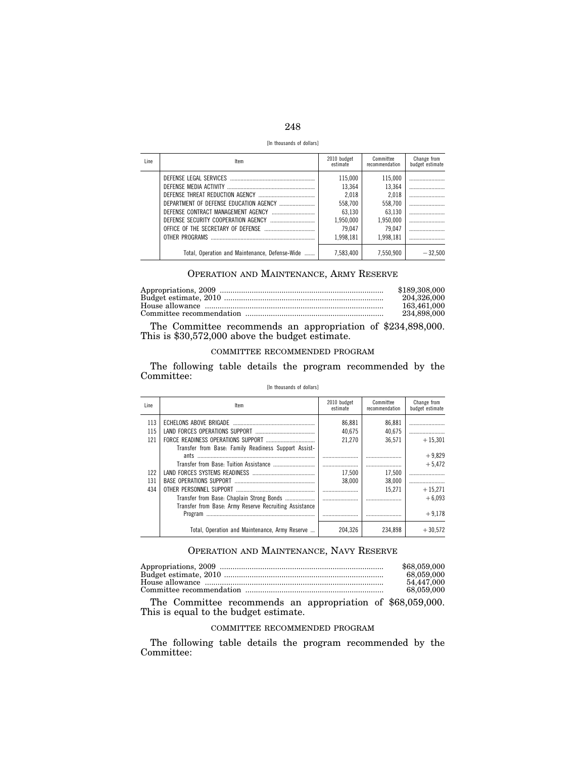| v<br>×<br>-- |  |
|--------------|--|

[In thousands of dollars]

| Line | Item                                           | 2010 budget<br>estimate | Committee<br>recommendation | Change from<br>budget estimate |
|------|------------------------------------------------|-------------------------|-----------------------------|--------------------------------|
|      | DEFENSE LEGAL SERVICES                         | 115.000                 | 115,000                     |                                |
|      |                                                | 13.364                  | 13.364                      |                                |
|      |                                                | 2.018                   | 2.018                       |                                |
|      |                                                | 558.700                 | 558.700                     |                                |
|      | DEFENSE CONTRACT MANAGEMENT AGENCY             | 63.130                  | 63.130                      |                                |
|      |                                                | 1.950.000               | 1.950.000                   |                                |
|      |                                                | 79.047                  | 79.047                      |                                |
|      |                                                | 1.998.181               | 1.998.181                   |                                |
|      | Total, Operation and Maintenance, Defense-Wide | 7.583.400               | 7.550.900                   | $-32.500$                      |

## OPERATION AND MAINTENANCE, ARMY RESERVE

| \$189,308,000 |
|---------------|
| 204.326.000   |
| 163.461.000   |
| 234.898.000   |

The Committee recommends an appropriation of \$234,898,000. This is \$30,572,000 above the budget estimate.

#### COMMITTEE RECOMMENDED PROGRAM

The following table details the program recommended by the Committee:

#### [In thousands of dollars]

| Line | Item                                                   | 2010 budget<br>Committee<br>recommendation<br>estimate |         | Change from<br>budget estimate |
|------|--------------------------------------------------------|--------------------------------------------------------|---------|--------------------------------|
| 113  |                                                        | 86.881                                                 | 86,881  |                                |
| 115  |                                                        | 40.675                                                 | 40.675  |                                |
| 121  |                                                        | 21.270                                                 | 36.571  | $+15.301$                      |
|      | Transfer from Base: Family Readiness Support Assist-   |                                                        |         | $+9.829$                       |
|      |                                                        |                                                        |         | $+5.472$                       |
| 122  |                                                        | 17.500                                                 | 17,500  |                                |
| 131  |                                                        | 38,000                                                 | 38.000  |                                |
| 434  | OTHER PERSONNEL SUPPORT                                |                                                        | 15.271  | $+15.271$                      |
|      | Transfer from Base: Chaplain Strong Bonds              |                                                        |         | $+6.093$                       |
|      | Transfer from Base: Army Reserve Recruiting Assistance |                                                        |         |                                |
|      | Program                                                |                                                        |         | $+9.178$                       |
|      | Total, Operation and Maintenance, Army Reserve         | 204.326                                                | 234.898 | $+30.572$                      |

## OPERATION AND MAINTENANCE, NAVY RESERVE

| \$68,059,000 |
|--------------|
| 68,059,000   |
| 54.447.000   |
| 68.059.000   |

The Committee recommends an appropriation of \$68,059,000. This is equal to the budget estimate.

## COMMITTEE RECOMMENDED PROGRAM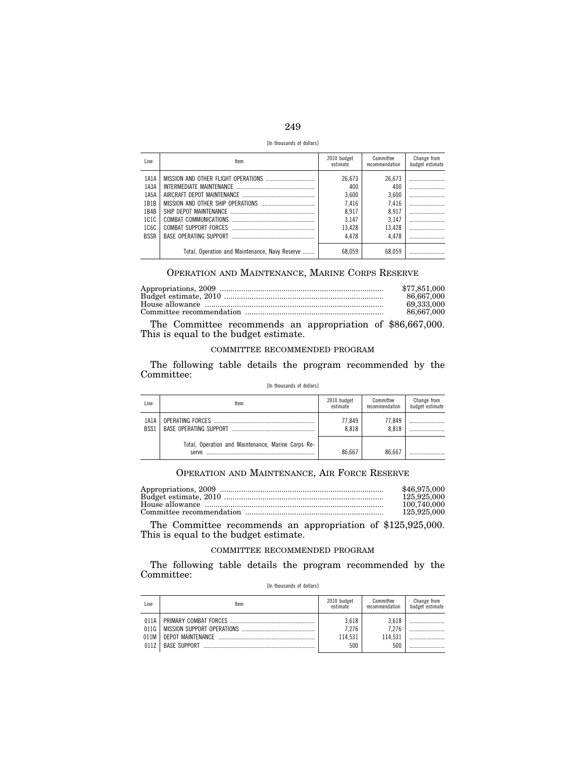| ۰.<br>×<br>-- |  |
|---------------|--|

[In thousands of dollars]

| Line.       | Item                                           | 2010 budget<br>estimate | Committee<br>recommendation | Change from<br>budget estimate |
|-------------|------------------------------------------------|-------------------------|-----------------------------|--------------------------------|
| 1A1A        |                                                | 26,673                  | 26,673                      |                                |
| 1A3A        |                                                | 400                     | 400                         |                                |
| 1A5A        |                                                | 3,600                   | 3,600                       |                                |
| 1B1B        |                                                | 7,416                   | 7,416                       |                                |
| 1B4B        |                                                | 8.917                   | 8,917                       |                                |
| 1C1C        |                                                | 3.147                   | 3,147                       |                                |
| 1C6C        |                                                | 13.428                  | 13,428                      |                                |
| <b>BSSR</b> |                                                | 4.478                   | 4.478                       |                                |
|             | Total, Operation and Maintenance, Navy Reserve | 68,059                  | 68,059                      |                                |

## OPERATION AND MAINTENANCE, MARINE CORPS RESERVE

| \$77,851,000 |
|--------------|
| 86.667.000   |
| 69.333.000   |
| 86.667.000   |

The Committee recommends an appropriation of \$86,667,000. This is equal to the budget estimate.

#### COMMITTEE RECOMMENDED PROGRAM

The following table details the program recommended by the Committee:

#### [In thousands of dollars]

| Line         | ltem                                                        | 2010 budget<br>estimate | Committee<br>recommendation | Change from<br>budget estimate |
|--------------|-------------------------------------------------------------|-------------------------|-----------------------------|--------------------------------|
| 1A1A<br>BSS1 |                                                             | 77.849<br>8.818         | 77.849<br>8.818             |                                |
|              | Total, Operation and Maintenance, Marine Corps Re-<br>serve | 86.667                  | 86.667                      |                                |

# OPERATION AND MAINTENANCE, AIR FORCE RESERVE

| \$46,975,000 |
|--------------|
| 125,925,000  |
| 100.740.000  |
| 125,925,000  |

The Committee recommends an appropriation of \$125,925,000. This is equal to the budget estimate.

#### COMMITTEE RECOMMENDED PROGRAM

|  | [In thousands of dollars] |  |  |  |
|--|---------------------------|--|--|--|
|--|---------------------------|--|--|--|

| Line                 | ltem                | 2010 budget<br>estimate          | Committee<br>recommendation      | Change from<br>budget estimate |
|----------------------|---------------------|----------------------------------|----------------------------------|--------------------------------|
| 011A<br>011G<br>0117 | <b>BASE SUPPORT</b> | 3.618<br>7.276<br>114.531<br>500 | 3.618<br>7.276<br>114.531<br>500 |                                |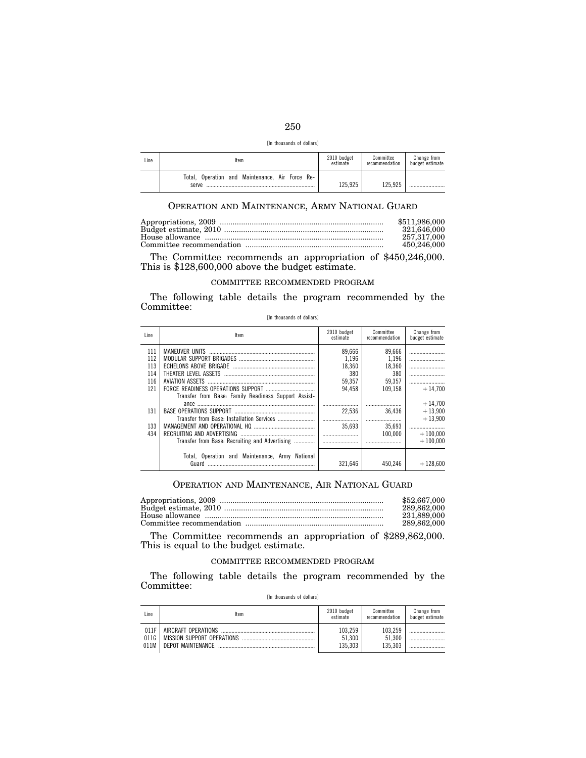| ۰.<br>۰.<br>×<br>--<br>× |  |
|--------------------------|--|

| [In thousands of dollars] |  |  |  |  |
|---------------------------|--|--|--|--|
|---------------------------|--|--|--|--|

| Line | Item                                                     | 2010 budget<br>estimate | Committee<br>recommendation | Change from<br>budget estimate |
|------|----------------------------------------------------------|-------------------------|-----------------------------|--------------------------------|
|      | Total. Operation and Maintenance. Air Force Re-<br>serve | 125.925                 | 125.925                     |                                |

# OPERATION AND MAINTENANCE, ARMY NATIONAL GUARD

| \$511,986,000 |
|---------------|
| 321.646.000   |
| 257.317.000   |
| 450.246.000   |

The Committee recommends an appropriation of \$450,246,000. This is \$128,600,000 above the budget estimate.

#### COMMITTEE RECOMMENDED PROGRAM

The following table details the program recommended by the Committee: [In thousands of dollars]

| Line | Item                                                 | 2010 budget<br>estimate | Committee<br>recommendation | Change from<br>budget estimate |
|------|------------------------------------------------------|-------------------------|-----------------------------|--------------------------------|
| 111  |                                                      | 89.666                  | 89,666                      |                                |
| 112  |                                                      | 1.196                   | 1,196                       |                                |
| 113  | ECHELONS ABOVE BRIGADE                               | 18.360                  | 18.360                      |                                |
| 114  | THEATER LEVEL ASSETS                                 | 380                     | 380                         |                                |
| 116  | AVIATION ASSETS                                      | 59.357                  | 59.357                      |                                |
| 121  |                                                      | 94.458                  | 109.158                     | $+14.700$                      |
|      | Transfer from Base: Family Readiness Support Assist- |                         |                             |                                |
|      |                                                      |                         |                             | $+14.700$                      |
| 131  | BASE OPERATIONS SUPPORT                              | 22.536                  | 36.436                      | $+13,900$                      |
|      |                                                      |                         |                             | $+13.900$                      |
| 133  |                                                      | 35.693                  | 35.693                      |                                |
| 434  | RECRUITING AND ADVERTISING                           |                         | 100.000                     | $+100.000$                     |
|      | Transfer from Base: Recruiting and Advertising       |                         |                             | $+100.000$                     |
|      |                                                      |                         |                             |                                |
|      | Total, Operation and Maintenance, Army National      |                         |                             |                                |
|      | Guard                                                | 321.646                 | 450.246                     | $+128.600$                     |

## OPERATION AND MAINTENANCE, AIR NATIONAL GUARD

| \$52,667,000 |
|--------------|
| 289.862.000  |
| 231.889.000  |
| 289.862.000  |

The Committee recommends an appropriation of \$289,862,000. This is equal to the budget estimate.

## COMMITTEE RECOMMENDED PROGRAM

|  | [In thousands of dollars] |  |  |  |
|--|---------------------------|--|--|--|
|--|---------------------------|--|--|--|

| Line | ltem                       | 2010 budget<br>estimate | Committee<br>recommendation | Change from<br>budget estimate |
|------|----------------------------|-------------------------|-----------------------------|--------------------------------|
| 011F | AIRCRAFT OPFRATIONS        | 103.259                 | 103.259                     |                                |
| 011G | MISSION SUPPORT OPERATIONS | 51.300                  | 51.300                      |                                |
| 011M | DEPOT MAINTENANCE          | 135.303                 | 135.303                     |                                |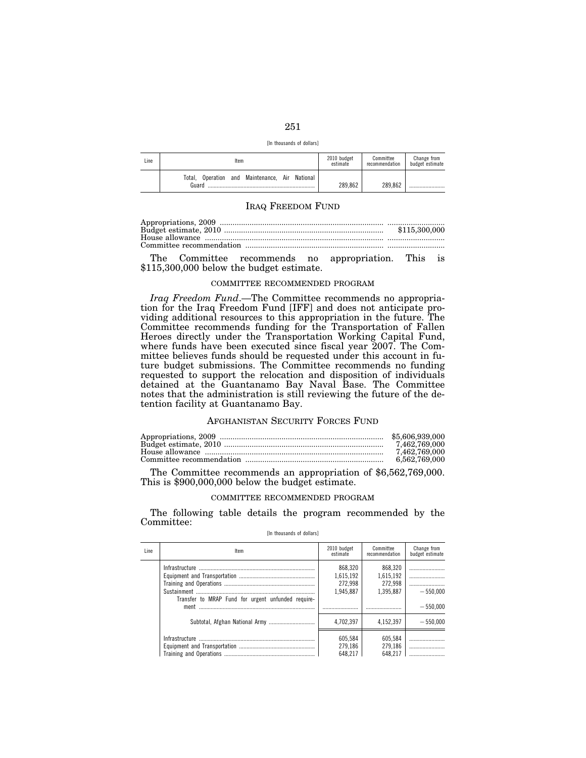| I<br>×<br>۰.<br>-- |  |
|--------------------|--|

[In thousands of dollars]

| Line | Item                                                       | 2010 budget<br>estimate | Committee<br>recommendation | Change from<br>budget estimate |
|------|------------------------------------------------------------|-------------------------|-----------------------------|--------------------------------|
|      | Operation and Maintenance, Air National<br>Total.<br>Guard | 289.862                 | 289.862                     |                                |

#### IRAQ FREEDOM FUND

The Committee recommends no appropriation. This is \$115,300,000 below the budget estimate.

#### COMMITTEE RECOMMENDED PROGRAM

*Iraq Freedom Fund*.—The Committee recommends no appropriation for the Iraq Freedom Fund [IFF] and does not anticipate providing additional resources to this appropriation in the future. The Committee recommends funding for the Transportation of Fallen Heroes directly under the Transportation Working Capital Fund, where funds have been executed since fiscal year 2007. The Committee believes funds should be requested under this account in future budget submissions. The Committee recommends no funding requested to support the relocation and disposition of individuals detained at the Guantanamo Bay Naval Base. The Committee notes that the administration is still reviewing the future of the detention facility at Guantanamo Bay.

## AFGHANISTAN SECURITY FORCES FUND

| \$5,606,939,000 |
|-----------------|
|                 |
| 7.462.769.000   |
| 6,562,769,000   |

The Committee recommends an appropriation of \$6,562,769,000. This is \$900,000,000 below the budget estimate.

#### COMMITTEE RECOMMENDED PROGRAM

The following table details the program recommended by the Committee:

[In thousands of dollars]

| Line | Item                                                                                                                                                                                                                                                                                                                                                                                                                                                                                                                                                              | 2010 budget<br>estimate                      | Committee<br>recommendation                  | Change from<br>budget estimate |
|------|-------------------------------------------------------------------------------------------------------------------------------------------------------------------------------------------------------------------------------------------------------------------------------------------------------------------------------------------------------------------------------------------------------------------------------------------------------------------------------------------------------------------------------------------------------------------|----------------------------------------------|----------------------------------------------|--------------------------------|
|      | Sustainment<br>$\begin{minipage}{.4\linewidth} \begin{tabular}{l} \hline \multicolumn{1}{l}{} & \multicolumn{1}{l}{} & \multicolumn{1}{l}{} \\ \multicolumn{1}{l}{} & \multicolumn{1}{l}{} & \multicolumn{1}{l}{} \\ \multicolumn{1}{l}{} & \multicolumn{1}{l}{} & \multicolumn{1}{l}{} \\ \multicolumn{1}{l}{} & \multicolumn{1}{l}{} & \multicolumn{1}{l}{} \\ \multicolumn{1}{l}{} & \multicolumn{1}{l}{} \\ \multicolumn{1}{l}{} & \multicolumn{1}{l}{} \\ \multicolumn{1}{l}{} & \multicolumn{1}{l}{}$<br>Transfer to MRAP Fund for urgent unfunded require- | 868.320<br>1.615.192<br>272.998<br>1.945.887 | 868,320<br>1,615,192<br>272.998<br>1.395.887 | $-550.000$                     |
|      | ment                                                                                                                                                                                                                                                                                                                                                                                                                                                                                                                                                              |                                              |                                              | $-550.000$                     |
|      |                                                                                                                                                                                                                                                                                                                                                                                                                                                                                                                                                                   | 4.702.397                                    | 4.152.397                                    | $-550.000$                     |
|      |                                                                                                                                                                                                                                                                                                                                                                                                                                                                                                                                                                   | 605.584<br>279.186                           | 605,584<br>279,186<br>648.217                |                                |
|      |                                                                                                                                                                                                                                                                                                                                                                                                                                                                                                                                                                   | 648.217                                      |                                              |                                |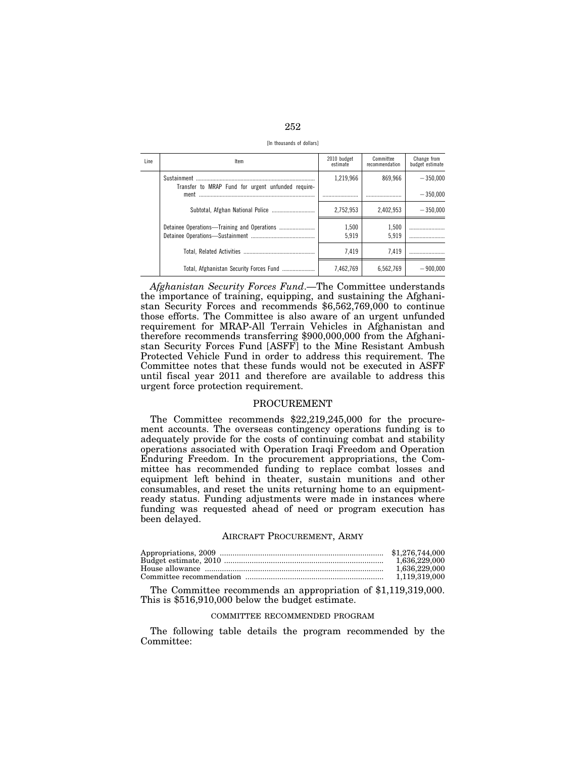| ۰.<br>--<br>×<br>__ |  |
|---------------------|--|

[In thousands of dollars]

| Line | Item                                               | 2010 budget<br>estimate | Committee<br>recommendation | Change from<br>budget estimate |
|------|----------------------------------------------------|-------------------------|-----------------------------|--------------------------------|
|      | Transfer to MRAP Fund for urgent unfunded require- | 1.219.966               | 869.966                     | $-350.000$                     |
|      | ment                                               |                         |                             | $-350.000$                     |
|      |                                                    | 2.752.953               | 2.402.953                   | $-350.000$                     |
|      |                                                    | 1,500<br>5.919          | 1,500<br>5.919              |                                |
|      |                                                    | 7.419                   | 7.419                       |                                |
|      | Total, Afghanistan Security Forces Fund            | 7.462.769               | 6.562.769                   | $= 900.000$                    |

*Afghanistan Security Forces Fund*.—The Committee understands the importance of training, equipping, and sustaining the Afghanistan Security Forces and recommends \$6,562,769,000 to continue those efforts. The Committee is also aware of an urgent unfunded requirement for MRAP-All Terrain Vehicles in Afghanistan and therefore recommends transferring \$900,000,000 from the Afghanistan Security Forces Fund [ASFF] to the Mine Resistant Ambush Protected Vehicle Fund in order to address this requirement. The Committee notes that these funds would not be executed in ASFF until fiscal year 2011 and therefore are available to address this urgent force protection requirement.

#### PROCUREMENT

The Committee recommends \$22,219,245,000 for the procurement accounts. The overseas contingency operations funding is to adequately provide for the costs of continuing combat and stability operations associated with Operation Iraqi Freedom and Operation Enduring Freedom. In the procurement appropriations, the Committee has recommended funding to replace combat losses and equipment left behind in theater, sustain munitions and other consumables, and reset the units returning home to an equipmentready status. Funding adjustments were made in instances where funding was requested ahead of need or program execution has been delayed.

#### AIRCRAFT PROCUREMENT, ARMY

| 1.636.229.000 |
|---------------|
| 1.636.229.000 |
|               |

The Committee recommends an appropriation of \$1,119,319,000. This is \$516,910,000 below the budget estimate.

#### COMMITTEE RECOMMENDED PROGRAM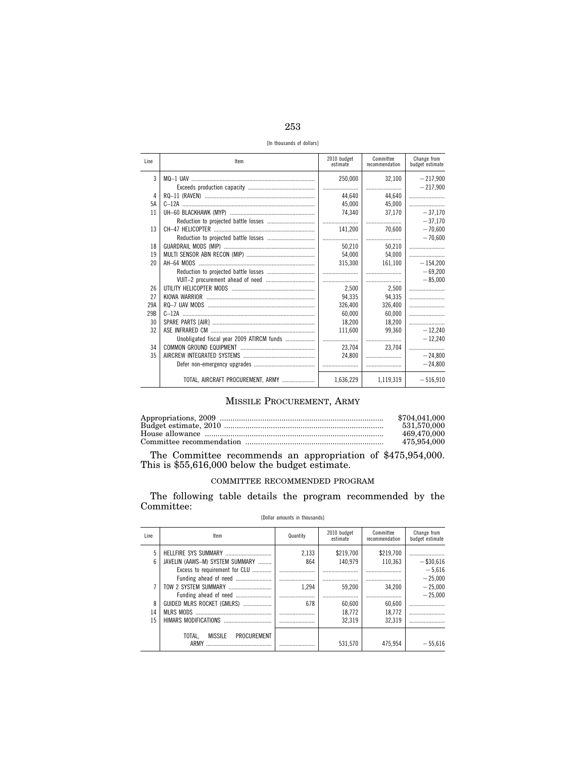| 41<br>-- | I<br>۰.<br>M. | ۰.<br>۰. |
|----------|---------------|----------|

[In thousands of dollars]

| <b>Line</b> | Item                              | 2010 budget<br>estimate | Committee<br>recommendation | Change from<br>budget estimate |
|-------------|-----------------------------------|-------------------------|-----------------------------|--------------------------------|
| 3           |                                   | 250,000                 | 32.100                      | $-217,900$                     |
|             |                                   |                         |                             | $-217.900$                     |
| 4           |                                   | 44.640                  | 44.640                      |                                |
| 5A          |                                   | 45.000                  | 45.000                      |                                |
| 11          |                                   | 74.340                  | 37.170                      | $-37,170$                      |
|             |                                   |                         |                             | $-37,170$                      |
| 13          |                                   | 141,200                 | 70.600                      | $-70,600$                      |
|             |                                   |                         |                             | $-70.600$                      |
| 18          |                                   | 50.210                  | 50.210                      |                                |
| 19          |                                   | 54,000                  | 54.000                      |                                |
| 20          |                                   | 315,300                 | 161.100                     | $-154,200$                     |
|             |                                   |                         |                             | $-69,200$                      |
|             |                                   |                         |                             | $-85.000$                      |
| 26          |                                   | 2.500                   | 2.500                       |                                |
| 27          |                                   | 94.335                  | 94,335                      |                                |
| 29A         |                                   | 326,400                 | 326.400                     |                                |
| 29B         |                                   | 60,000                  | 60,000                      |                                |
| 30          |                                   | 18.200                  | 18.200                      |                                |
| 32          |                                   | 111.600                 | 99.360                      | $-12.240$                      |
|             |                                   |                         |                             | $-12.240$                      |
| 34          |                                   | 23.704                  | 23.704                      |                                |
| 35          |                                   | 24.800                  |                             | $-24.800$                      |
|             |                                   |                         |                             | $-24,800$                      |
|             | TOTAL, AIRCRAFT PROCUREMENT, ARMY | 1,636,229               | 1,119,319                   | $-516,910$                     |

### MISSILE PROCUREMENT, ARMY

| \$704.041.000 |
|---------------|
| 531.570.000   |
| 469.470.000   |
| 475,954,000   |

The Committee recommends an appropriation of  $$475,954,000$ .<br>This is  $$55,616,000$  below the budget estimate.

### COMMITTEE RECOMMENDED PROGRAM

The following table details the program recommended by the Committee:

| Line     | Item                                                   | Quantity         | 2010 budget<br>estimate    | Committee<br>recommendation | Change from<br>budget estimate |
|----------|--------------------------------------------------------|------------------|----------------------------|-----------------------------|--------------------------------|
| 5<br>ĥ   | JAVELIN (AAWS-M) SYSTEM SUMMARY                        | 2.133<br>864     | \$219.700<br>140.979       | \$219,700<br>110.363        | <br>$-$ \$30,616               |
|          | Excess to requirement for CLU<br>Funding ahead of need |                  | .<br>                      |                             | $-5.616$<br>$-25.000$          |
| 8        | Funding ahead of need<br>GUIDED MLRS ROCKET (GMLRS)    | 1.294<br><br>678 | 59.200<br>                 | 34.200<br>                  | $-25.000$<br>$-25.000$         |
| 14<br>15 | HIMARS MODIFICATIONS                                   |                  | 60.600<br>18.772<br>32.319 | 60,600<br>18.772<br>32.319  |                                |
|          | TOTAL.<br><b>MISSILE</b><br>PROCUREMENT<br>ARMY        |                  | 531.570                    | 475.954                     | $-55.616$                      |

### [Dollar amounts in thousands]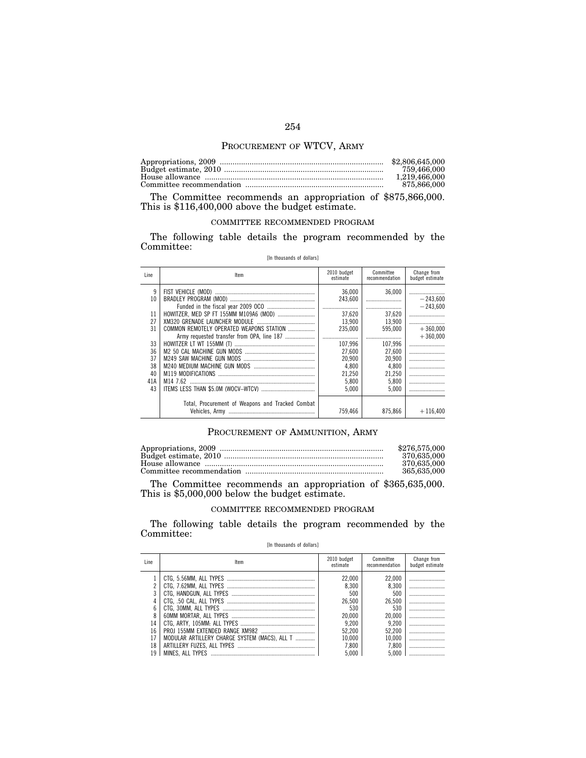### PROCUREMENT OF WTCV, ARMY

| \$2,806,645,000 |
|-----------------|
| 759,466,000     |
| 1.219.466.000   |
| 875.866.000     |

The Committee recommends an appropriation of \$875,866,000. This is \$116,400,000 above the budget estimate.

### COMMITTEE RECOMMENDED PROGRAM

The following table details the program recommended by the Committee:

|  | [In thousands of dollars] |  |  |  |
|--|---------------------------|--|--|--|
|--|---------------------------|--|--|--|

| Line | Item                                             | 2010 budget<br>estimate | Committee<br>recommendation | Change from<br>budget estimate |
|------|--------------------------------------------------|-------------------------|-----------------------------|--------------------------------|
| 9    |                                                  | 36,000                  | 36.000                      |                                |
| 10   |                                                  | 243,600                 |                             | $-243.600$                     |
|      |                                                  |                         |                             | $-243.600$                     |
| 11   |                                                  | 37.620                  | 37.620                      |                                |
| 27   |                                                  | 13.900                  | 13.900                      |                                |
| 31   | COMMON REMOTELY OPERATED WEAPONS STATION         | 235.000                 | 595.000                     | $+360.000$                     |
|      | Army requested transfer from OPA, line 187       |                         |                             | $+360.000$                     |
| 33   |                                                  | 107.996                 | 107,996                     |                                |
| 36   |                                                  | 27.600                  | 27.600                      |                                |
| 37   |                                                  | 20.900                  | 20,900                      |                                |
| 38   |                                                  | 4.800                   | 4,800                       |                                |
| 40   |                                                  | 21,250                  | 21,250                      |                                |
| 41A  |                                                  | 5.800                   | 5.800                       |                                |
| 43   |                                                  | 5.000                   | 5.000                       |                                |
|      |                                                  |                         |                             |                                |
|      | Total, Procurement of Weapons and Tracked Combat |                         |                             |                                |
|      |                                                  | 759.466                 | 875.866                     | $+116.400$                     |

### PROCUREMENT OF AMMUNITION, ARMY

| \$276,575,000 |
|---------------|
| 370.635.000   |
| 370.635.000   |
| 365.635.000   |

The Committee recommends an appropriation of \$365,635,000. This is \$5,000,000 below the budget estimate.

### COMMITTEE RECOMMENDED PROGRAM

The following table details the program recommended by the Committee:

### [In thousands of dollars]

| Line | ltem                                          | 2010 budget<br>estimate | Committee<br>recommendation | Change from<br>budget estimate |
|------|-----------------------------------------------|-------------------------|-----------------------------|--------------------------------|
|      |                                               | 22.000                  | 22,000                      |                                |
|      |                                               | 8.300                   | 8.300                       |                                |
|      |                                               | 500                     | 500                         |                                |
|      |                                               | 26.500                  | 26.500                      |                                |
| 6    |                                               | 530                     | 530                         |                                |
| 8    |                                               | 20,000                  | 20.000                      |                                |
| 14   |                                               | 9.200                   | 9.200                       |                                |
| 16   |                                               | 52.200                  | 52.200                      |                                |
| 17   | MODULAR ARTILLERY CHARGE SYSTEM (MACS). ALL T | 10.000                  | 10.000                      |                                |
| 18   |                                               | 7.800                   | 7.800                       |                                |
| 19   |                                               | 5.000                   | 5.000                       |                                |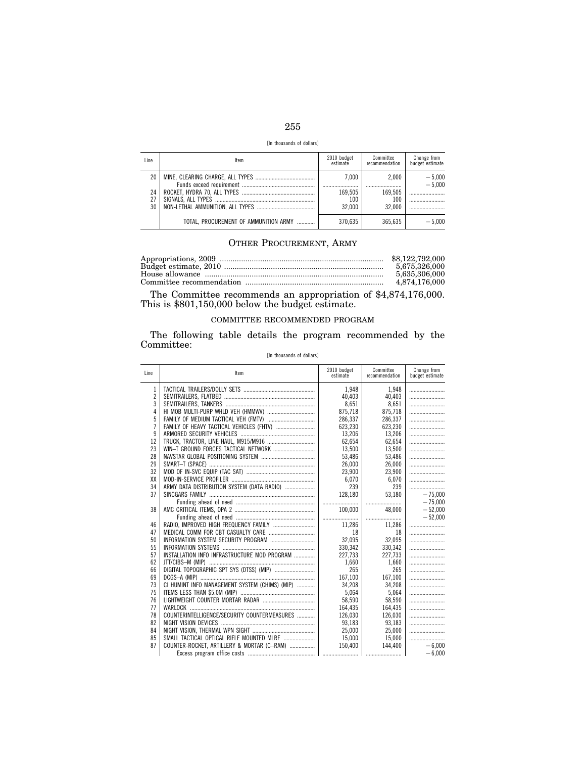| -- | ×<br>٧ | I<br>۰.<br>× |
|----|--------|--------------|

[In thousands of dollars]

| Line            | ltem                                  | 2010 budget<br>estimate | Committee<br>recommendation | Change from<br>budget estimate |
|-----------------|---------------------------------------|-------------------------|-----------------------------|--------------------------------|
| 20 <sup>1</sup> |                                       | 7.000                   | 2.000                       | $-5,000$<br>$-5.000$           |
| 24<br>27        |                                       | 169.505<br>100          | 169.505<br>100              |                                |
| 30              |                                       | 32.000                  | 32.000                      |                                |
|                 | TOTAL. PROCUREMENT OF AMMUNITION ARMY | 370.635                 | 365.635                     | $-5.000$                       |

### OTHER PROCUREMENT, ARMY

| \$8.122.792.000 |
|-----------------|
| 5.675.326.000   |
| 5.635.306.000   |
| 4.874.176.000   |

The Committee recommends an appropriation of \$4,874,176,000. This is \$801,150,000 below the budget estimate.

### COMMITTEE RECOMMENDED PROGRAM

The following table details the program recommended by the Committee:

### [In thousands of dollars]

| Line           | Item                                           | 2010 budget<br>estimate | Committee<br>recommendation | Change from<br>budget estimate |
|----------------|------------------------------------------------|-------------------------|-----------------------------|--------------------------------|
| 1              |                                                | 1.948                   | 1,948                       |                                |
| $\overline{c}$ |                                                | 40.403                  | 40.403                      |                                |
| 3              |                                                | 8,651                   | 8,651                       |                                |
| 4              |                                                | 875.718                 | 875.718                     |                                |
| 5              |                                                | 286.337                 | 286,337                     |                                |
| $\overline{1}$ |                                                | 623,230                 | 623,230                     |                                |
| 9              |                                                | 13,206                  | 13,206                      |                                |
| 12             |                                                | 62.654                  | 62,654                      |                                |
| 23             |                                                | 13,500                  | 13,500                      |                                |
| 28             |                                                | 53,486                  | 53,486                      |                                |
| 29             |                                                | 26.000                  | 26.000                      |                                |
| 32             |                                                | 23,900                  | 23,900                      |                                |
| XX             |                                                | 6,070                   | 6,070                       |                                |
| 34             | ARMY DATA DISTRIBUTION SYSTEM (DATA RADIO)     | 239                     | 239                         |                                |
| 37             |                                                | 128.180                 | 53.180                      | $-75.000$                      |
|                |                                                |                         |                             | $-75.000$                      |
| 38             |                                                | 100,000                 | 48.000                      | $-52,000$                      |
|                |                                                |                         |                             | $-52.000$                      |
| 46             |                                                | 11,286                  | 11,286                      |                                |
| 47             |                                                | 18                      | 18                          |                                |
| 50             |                                                | 32.095                  | 32,095                      |                                |
| 55             |                                                | 330,342                 | 330,342                     |                                |
| 57             | INSTALLATION INFO INFRASTRUCTURE MOD PROGRAM   | 227,733                 | 227,733                     |                                |
| 62             |                                                | 1.660                   | 1.660                       |                                |
| 66             |                                                | 265                     | 265                         |                                |
| 69             |                                                | 167.100                 | 167.100                     |                                |
| 73             | CI HUMINT INFO MANAGEMENT SYSTEM (CHIMS) (MIP) | 34,208                  | 34,208                      |                                |
| 75             |                                                | 5,064                   | 5,064                       |                                |
| 76             |                                                | 58.590                  | 58,590                      |                                |
| 77             |                                                | 164,435                 | 164,435                     |                                |
| 78             | COUNTERINTELLIGENCE/SECURITY COUNTERMEASURES   | 126,030                 | 126,030                     |                                |
| 82             |                                                | 93,183                  | 93,183                      |                                |
| 84             |                                                | 25.000                  | 25.000                      |                                |
| 85             |                                                | 15.000                  | 15.000                      |                                |
| 87             | COUNTER-ROCKET, ARTILLERY & MORTAR (C-RAM)     | 150,400                 | 144.400                     | $-6,000$                       |
|                |                                                |                         |                             | $-6.000$                       |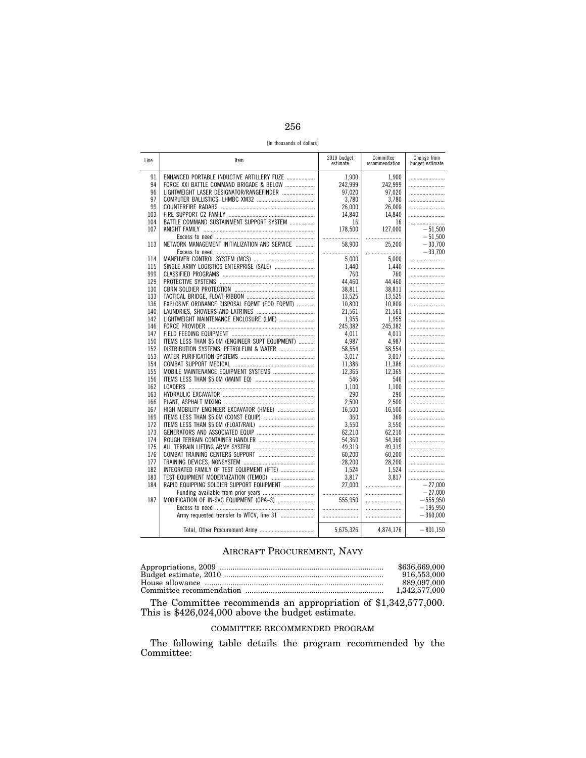256

[In thousands of dollars]

| Line       | Item                                             | 2010 budget<br>estimate | Committee<br>recommendation | Change from<br>budget estimate |
|------------|--------------------------------------------------|-------------------------|-----------------------------|--------------------------------|
| 91         | ENHANCED PORTABLE INDUCTIVE ARTILLERY FUZE       | 1.900                   | 1.900                       |                                |
| 94         | FORCE XXI BATTLE COMMAND BRIGADE & BELOW         | 242,999                 | 242,999                     |                                |
| 96         | LIGHTWEIGHT LASER DESIGNATOR/RANGEFINDER         | 97,020                  | 97,020                      |                                |
| 97         |                                                  | 3.780                   | 3.780                       |                                |
| 99         |                                                  | 26.000                  | 26.000                      |                                |
| 103        |                                                  | 14.840                  | 14.840                      |                                |
| 104        | BATTLE COMMAND SUSTAINMENT SUPPORT SYSTEM        | 16                      | 16                          |                                |
| 107        |                                                  | 178,500                 | 127.000                     | $-51.500$                      |
|            |                                                  |                         |                             | $-51.500$                      |
| 113        | NETWORK MANAGEMENT INITIALIZATION AND SERVICE    | 58.900                  | 25,200                      | $-33,700$                      |
|            |                                                  |                         |                             | $-33.700$                      |
| 114        |                                                  | 5.000                   | 5.000                       |                                |
| 115        | SINGLE ARMY LOGISTICS ENTERPRISE (SALE)          | 1,440                   | 1.440                       |                                |
| 999        |                                                  | 760                     | 760                         |                                |
| 129        |                                                  | 44.460                  | 44.460                      |                                |
| 130        |                                                  | 38.811                  | 38.811                      |                                |
| 133        |                                                  | 13,525                  | 13,525                      |                                |
| 136        | EXPLOSIVE ORDNANCE DISPOSAL EQPMT (EOD EQPMT)    | 10,800                  | 10,800                      |                                |
| 140        |                                                  | 21,561                  | 21,561                      |                                |
| 142        | LIGHTWEIGHT MAINTENANCE ENCLOSURE (LME)          | 1,955                   | 1,955                       |                                |
| 146        |                                                  | 245.382                 | 245.382                     |                                |
| 147        |                                                  | 4.011                   | 4.011                       |                                |
| 150        | ITEMS LESS THAN \$5.0M (ENGINEER SUPT EQUIPMENT) | 4.987                   | 4.987                       |                                |
| 152        | DISTRIBUTION SYSTEMS, PETROLEUM & WATER          | 58.554                  | 58.554                      |                                |
| 153        |                                                  | 3.017                   | 3.017                       |                                |
| 154        |                                                  | 11,386                  | 11,386                      |                                |
| 155        |                                                  | 12,365                  | 12,365                      |                                |
| 156        |                                                  | 546                     | 546                         |                                |
| 162        |                                                  | 1,100                   | 1,100                       |                                |
| 163        |                                                  | 290                     | 290                         |                                |
| 166        |                                                  | 2,500                   | 2.500                       |                                |
| 167        | HIGH MOBILITY ENGINEER EXCAVATOR (HMEE)          | 16,500                  | 16,500                      |                                |
| 169        |                                                  | 360                     | 360                         |                                |
| 172        |                                                  | 3.550                   | 3.550                       |                                |
| 173        |                                                  | 62.210                  | 62.210                      |                                |
| 174        |                                                  | 54.360                  | 54,360                      |                                |
| 175        |                                                  | 49.319                  | 49,319                      |                                |
| 176        |                                                  | 60,200                  | 60,200                      |                                |
| 177<br>182 |                                                  | 28.200                  | 28.200<br>1.524             |                                |
| 183        | INTEGRATED FAMILY OF TEST EQUIPMENT (IFTE)       | 1,524<br>3.817          | 3.817                       |                                |
| 184        |                                                  | 27,000                  |                             |                                |
|            | RAPID EQUIPPING SOLDIER SUPPORT EQUIPMENT        |                         |                             | $-27,000$<br>$-27,000$         |
|            |                                                  |                         |                             |                                |
| 187        | MODIFICATION OF IN-SVC EQUIPMENT (OPA-3)         | 555,950                 |                             | $-555,950$                     |
|            | Army requested transfer to WTCV, line 31         |                         |                             | $-195,950$<br>$-360.000$       |
|            |                                                  |                         |                             |                                |
|            |                                                  | 5,675,326               | 4,874,176                   | $-801,150$                     |

### AIRCRAFT PROCUREMENT, NAVY

| \$636.669.000 |
|---------------|
| 916,553,000   |
| 889.097.000   |
| 1.342.577.000 |

The Committee recommends an appropriation of \$1,342,577,000. This is \$426,024,000 above the budget estimate.

### COMMITTEE RECOMMENDED PROGRAM

The following table details the program recommended by the Committee: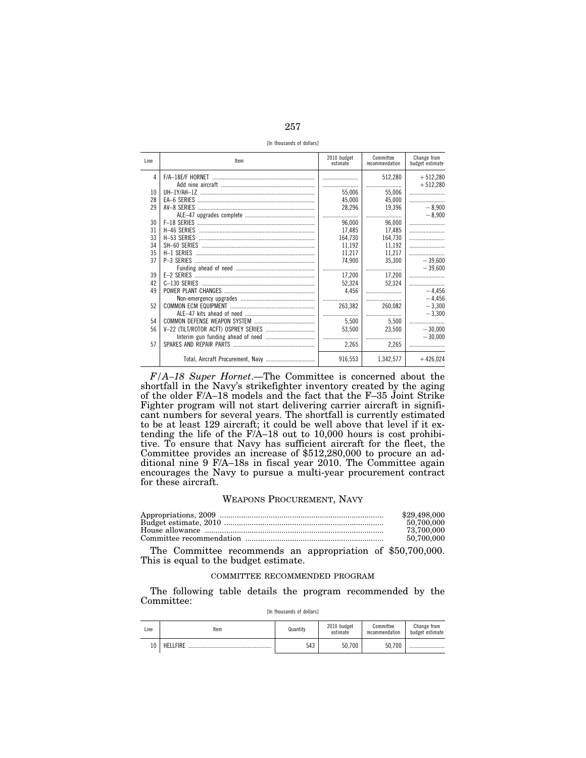[In thousands of dollars]

| Line | Item | 2010 budget<br>estimate | Committee<br>recommendation | Change from<br>budget estimate |
|------|------|-------------------------|-----------------------------|--------------------------------|
| 4    |      |                         | 512,280                     | $+512,280$                     |
|      |      |                         |                             | $+512,280$                     |
| 10   |      | 55.006                  | 55,006                      |                                |
| 28   |      | 45,000                  | 45,000                      |                                |
| 29   |      | 28,296                  | 19.396                      | $-8.900$                       |
|      |      |                         |                             | $-8.900$                       |
| 30   |      | 96,000                  | 96,000                      |                                |
| 31   |      | 17.485                  | 17,485                      |                                |
| 33   |      | 164,730                 | 164,730                     |                                |
| 34   |      | 11,192                  | 11,192                      |                                |
| 35   |      | 11,217                  | 11,217                      |                                |
| 37   |      | 74,900                  | 35,300                      | $-39,600$                      |
|      |      |                         |                             | $-39.600$                      |
| 39   |      | 17,200                  | 17,200                      |                                |
| 42   |      | 52,324                  | 52.324                      |                                |
| 49   |      | 4.456                   |                             | $-4,456$                       |
|      |      |                         |                             | $-4,456$                       |
| 52   |      | 263,382                 | 260,082                     | $-3,300$                       |
|      |      |                         |                             | $-3.300$                       |
| 54   |      | 5.500                   | 5.500                       |                                |
| 56   |      | 53,500                  | 23,500                      | $-30.000$                      |
|      |      |                         |                             | $-30.000$                      |
| 57   |      | 2,265                   | 2,265                       |                                |
|      |      | 916,553                 | 1.342.577                   | $+426,024$                     |

*F/A–18 Super Hornet*.—The Committee is concerned about the shortfall in the Navy's strikefighter inventory created by the aging of the older F/A–18 models and the fact that the F–35 Joint Strike Fighter program will not start delivering carrier aircraft in significant numbers for several years. The shortfall is currently estimated to be at least 129 aircraft; it could be well above that level if it extending the life of the F/A–18 out to 10,000 hours is cost prohibitive. To ensure that Navy has sufficient aircraft for the fleet, the Committee provides an increase of \$512,280,000 to procure an additional nine 9 F/A–18s in fiscal year 2010. The Committee again encourages the Navy to pursue a multi-year procurement contract for these aircraft.

### WEAPONS PROCUREMENT, NAVY

| \$29,498,000 |
|--------------|
| 50.700.000   |
| 73,700,000   |
| 50.700.000   |

The Committee recommends an appropriation of \$50,700,000. This is equal to the budget estimate.

### COMMITTEE RECOMMENDED PROGRAM

The following table details the program recommended by the Committee:

| Line | Item           | Quantity | 2010 budget<br>estimate | Committee<br>recommendation | Change from<br>budget estimate |
|------|----------------|----------|-------------------------|-----------------------------|--------------------------------|
| īΓ   | FIRE<br>HF<br> | 543      | 50,700                  | 50.700                      |                                |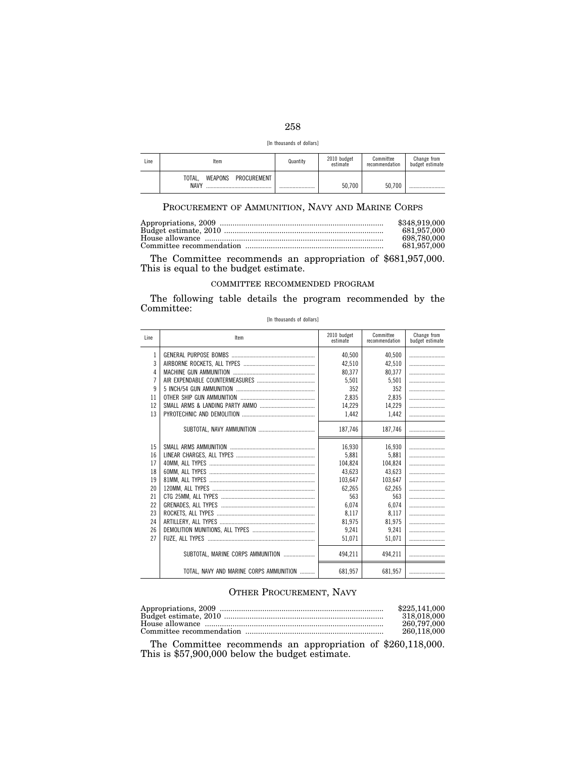| ۰.<br>v<br>×<br>×<br>-- |  |
|-------------------------|--|

| [In thousands of dollars] |  |  |
|---------------------------|--|--|
|---------------------------|--|--|

| Line | ltem                                     | Quantity | 2010 budget<br>estimate | Committee<br>recommendation | Change from<br>budget estimate |
|------|------------------------------------------|----------|-------------------------|-----------------------------|--------------------------------|
|      | PROCUREMENT<br>WEAPONS<br>TOTAL.<br>NAVY |          | 50.700                  | 50.700                      |                                |

### PROCUREMENT OF AMMUNITION, NAVY AND MARINE CORPS

| \$348,919,000 |
|---------------|
| 681.957.000   |
| 698.780.000   |
| 681.957.000   |

The Committee recommends an appropriation of \$681,957,000. This is equal to the budget estimate.

### COMMITTEE RECOMMENDED PROGRAM

The following table details the program recommended by the Committee:

[In thousands of dollars]

| Line           | Item                                    | 2010 budget<br>estimate | Committee<br>recommendation | Change from<br>budget estimate |
|----------------|-----------------------------------------|-------------------------|-----------------------------|--------------------------------|
| 1              |                                         | 40.500                  | 40.500                      |                                |
| 3              |                                         | 42.510                  | 42.510                      |                                |
| 4              |                                         | 80.377                  | 80.377                      |                                |
| $\overline{7}$ |                                         | 5.501                   | 5.501                       |                                |
| 9              |                                         | 352                     | 352                         |                                |
| 11             |                                         | 2.835                   | 2.835                       |                                |
| 12             |                                         | 14,229                  | 14,229                      |                                |
| 13             |                                         | 1,442                   | 1,442                       |                                |
|                |                                         | 187,746                 | 187,746                     |                                |
| 15             |                                         | 16.930                  | 16.930                      |                                |
| 16             |                                         | 5.881                   | 5.881                       |                                |
| 17             |                                         | 104.824                 | 104.824                     |                                |
| 18             |                                         | 43.623                  | 43.623                      |                                |
| 19             |                                         | 103.647                 | 103.647                     |                                |
| 20             |                                         | 62.265                  | 62.265                      |                                |
| 21             |                                         | 563                     | 563                         |                                |
| 22             |                                         | 6.074                   | 6.074                       |                                |
| 23             |                                         | 8,117                   | 8,117                       |                                |
| 24             |                                         | 81.975                  | 81.975                      |                                |
| 26             |                                         | 9.241                   | 9.241                       |                                |
| 27             |                                         | 51.071                  | 51.071                      |                                |
|                | SUBTOTAL, MARINE CORPS AMMUNITION       | 494.211                 | 494.211                     |                                |
|                | TOTAL, NAVY AND MARINE CORPS AMMUNITION | 681,957                 | 681.957                     |                                |

### OTHER PROCUREMENT, NAVY

| \$225,141,000 |
|---------------|
| 318.018.000   |
| 260.797.000   |
| 260.118.000   |

The Committee recommends an appropriation of \$260,118,000. This is \$57,900,000 below the budget estimate.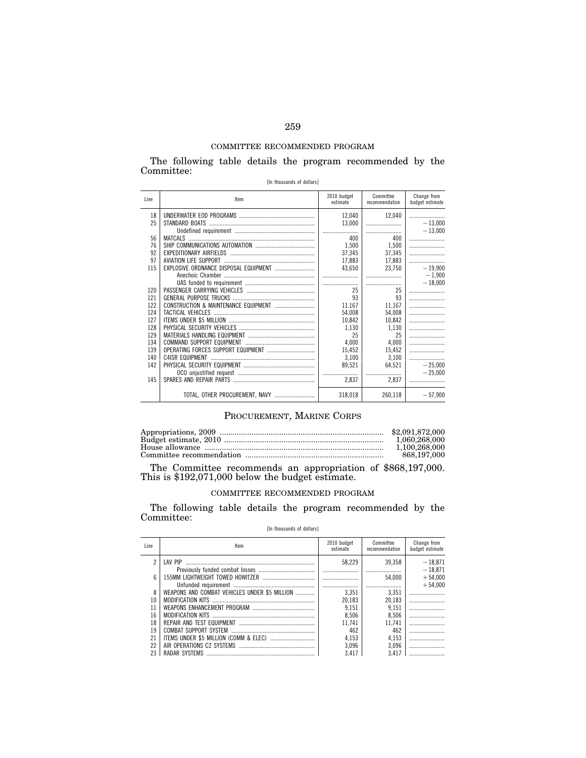### COMMITTEE RECOMMENDED PROGRAM

The following table details the program recommended by the Committee:

| [In thousands of dollars] |  |
|---------------------------|--|
|---------------------------|--|

| Line | Item | 2010 budget<br>estimate | Committee<br>recommendation | Change from<br>budget estimate |
|------|------|-------------------------|-----------------------------|--------------------------------|
| 18   |      | 12,040                  | 12.040                      |                                |
| 25   |      | 13,000                  |                             | $-13,000$                      |
|      |      |                         |                             | $-13,000$                      |
| 56   |      | 400                     | 400                         |                                |
| 76   |      | 1.500                   | 1,500                       |                                |
| 92   |      | 37,345                  | 37,345                      |                                |
| 97   |      | 17,883                  | 17,883                      |                                |
| 115  |      | 43,650                  | 23.750                      | $-19,900$                      |
|      |      |                         |                             | $-1,900$                       |
|      |      |                         |                             | $-18.000$                      |
| 120  |      | 25                      | 25                          |                                |
| 121  |      | 93                      | 93                          |                                |
| 122  |      | 11.167                  | 11,167                      |                                |
| 124  |      | 54,008                  | 54,008                      |                                |
| 127  |      | 10,842                  | 10,842                      |                                |
| 128  |      | 1.130                   | 1.130                       |                                |
| 129  |      | 25                      | 25                          |                                |
| 134  |      | 4.000                   | 4,000                       |                                |
| 139  |      | 15,452                  | 15,452                      |                                |
| 140  |      | 3,100                   | 3,100                       |                                |
| 142  |      | 89,521                  | 64,521                      | $-25.000$                      |
|      |      |                         |                             | $-25.000$                      |
| 145  |      | 2,837                   | 2,837                       |                                |
|      |      | 318,018                 | 260,118                     | $-57,900$                      |

### PROCUREMENT, MARINE CORPS

| 1.060.268.000 |
|---------------|
| 1.100.268.000 |
| 868.197.000   |

The Committee recommends an appropriation of \$868,197,000. This is \$192,071,000 below the budget estimate.

### COMMITTEE RECOMMENDED PROGRAM

The following table details the program recommended by the Committee:

### [In thousands of dollars]

| Line                    | Item                                          | 2010 budget<br>estimate | Committee<br>recommendation | Change from<br>budget estimate |
|-------------------------|-----------------------------------------------|-------------------------|-----------------------------|--------------------------------|
| $\overline{\mathbf{c}}$ | <b>I AV PIP</b>                               | 58.229                  | 39.358                      | $-18.871$                      |
|                         |                                               |                         |                             | $-18.871$                      |
| 6                       |                                               |                         | 54.000                      | $+54,000$                      |
|                         |                                               |                         |                             | $+54.000$                      |
| 8                       | WEAPONS AND COMBAT VEHICLES UNDER \$5 MILLION | 3.351                   | 3.351                       |                                |
| 10                      |                                               | 20.183                  | 20.183                      |                                |
| 11                      |                                               | 9.151                   | 9.151                       |                                |
| 16                      |                                               | 8.506                   | 8,506                       |                                |
| 18                      |                                               | 11.741                  | 11.741                      |                                |
| 19                      |                                               | 462                     | 462                         |                                |
| 21                      |                                               | 4.153                   | 4,153                       |                                |
| 22                      |                                               | 3.096                   | 3.096                       |                                |
|                         |                                               | 3.417                   | 3.417                       |                                |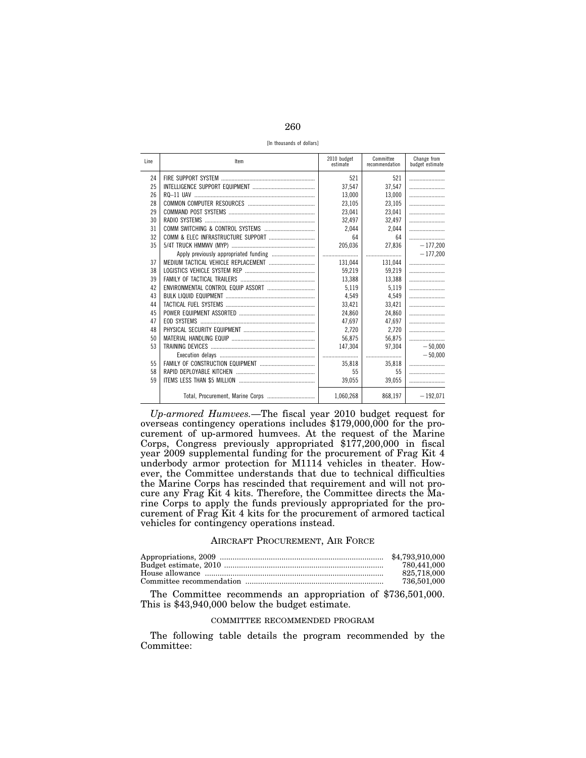260

[In thousands of dollars]

| Line | Item | 2010 budget<br>estimate | Committee<br>recommendation | Change from<br>budget estimate |
|------|------|-------------------------|-----------------------------|--------------------------------|
| 24   |      | 521                     | 521                         |                                |
| 25   |      | 37.547                  | 37,547                      |                                |
| 26   |      | 13,000                  | 13,000                      |                                |
| 28   |      | 23,105                  | 23,105                      |                                |
| 29   |      | 23,041                  | 23,041                      |                                |
| 30   |      | 32.497                  | 32.497                      |                                |
| 31   |      | 2.044                   | 2.044                       |                                |
| 32   |      | 64                      | 64                          |                                |
| 35   |      | 205,036                 | 27,836                      | $-177.200$                     |
|      |      |                         |                             | $-177.200$                     |
| 37   |      | 131,044                 | 131,044                     |                                |
| 38   |      | 59,219                  | 59,219                      |                                |
| 39   |      | 13,388                  | 13,388                      |                                |
| 42   |      | 5,119                   | 5,119                       |                                |
| 43   |      | 4.549                   | 4.549                       |                                |
| 44   |      | 33,421                  | 33,421                      |                                |
| 45   |      | 24.860                  | 24,860                      |                                |
| 47   |      | 47.697                  | 47.697                      |                                |
| 48   |      | 2.720                   | 2,720                       |                                |
| 50   |      | 56.875                  | 56.875                      |                                |
| 53   |      | 147.304                 | 97.304                      | $-50.000$                      |
|      |      |                         |                             | $-50.000$                      |
| 55   |      | 35,818                  | 35,818                      |                                |
| 58   |      | 55                      | 55                          |                                |
| 59   |      | 39,055                  | 39.055                      |                                |
|      |      | 1.060.268               | 868.197                     | $-192.071$                     |

*Up-armored Humvees.*—The fiscal year 2010 budget request for overseas contingency operations includes \$179,000,000 for the procurement of up-armored humvees. At the request of the Marine Corps, Congress previously appropriated \$177,200,000 in fiscal year 2009 supplemental funding for the procurement of Frag Kit 4 underbody armor protection for M1114 vehicles in theater. However, the Committee understands that due to technical difficulties the Marine Corps has rescinded that requirement and will not procure any Frag Kit 4 kits. Therefore, the Committee directs the Marine Corps to apply the funds previously appropriated for the procurement of Frag Kit 4 kits for the procurement of armored tactical vehicles for contingency operations instead.

### AIRCRAFT PROCUREMENT, AIR FORCE

| 780.441.000 |
|-------------|
| 825.718.000 |
| 736.501.000 |
|             |

The Committee recommends an appropriation of \$736,501,000. This is \$43,940,000 below the budget estimate.

### COMMITTEE RECOMMENDED PROGRAM

The following table details the program recommended by the Committee: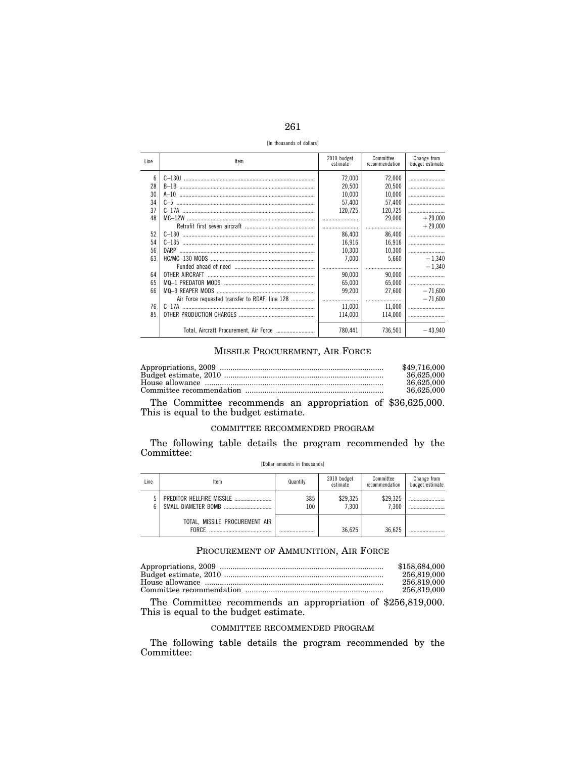| ۰.<br>×<br>-- |  |
|---------------|--|

[In thousands of dollars]

| Line | Item                                           | 2010 budget<br>estimate | Committee<br>recommendation | Change from<br>budget estimate |
|------|------------------------------------------------|-------------------------|-----------------------------|--------------------------------|
| 6    |                                                | 72.000                  | 72,000                      |                                |
| 28   |                                                | 20.500                  | 20.500                      |                                |
| 30   |                                                | 10.000                  | 10.000                      |                                |
| 34   |                                                | 57.400                  | 57.400                      |                                |
| 37   |                                                | 120.725                 | 120,725                     |                                |
| 48   |                                                |                         | 29.000                      | $+29.000$                      |
|      |                                                |                         |                             | $+29.000$                      |
| 52   |                                                | 86.400                  | 86,400                      |                                |
| 54   |                                                | 16.916                  | 16.916                      |                                |
| 56   |                                                | 10.300                  | 10.300                      |                                |
| 63   |                                                | 7.000                   | 5.660                       | $-1.340$                       |
|      |                                                |                         |                             | $-1.340$                       |
| 64   |                                                | 90.000                  | 90,000                      |                                |
| 65   |                                                | 65.000                  | 65.000                      |                                |
| 66   |                                                | 99.200                  | 27.600                      | $-71.600$                      |
|      | Air Force requested transfer to RDAF, line 128 |                         |                             | $-71.600$                      |
| 76   |                                                | 11.000                  | 11.000                      |                                |
| 85   |                                                | 114.000                 | 114.000                     |                                |
|      | Total, Aircraft Procurement, Air Force         | 780.441                 | 736.501                     | $-43,940$                      |

### MISSILE PROCUREMENT, AIR FORCE

| \$49,716,000 |
|--------------|
| 36.625,000   |
| 36.625,000   |
| 36.625,000   |

The Committee recommends an appropriation of \$36,625,000. This is equal to the budget estimate.

### COMMITTEE RECOMMENDED PROGRAM

The following table details the program recommended by the Committee:

| Line | Item                                           | Quantity   | 2010 budget<br>estimate | Committee<br>recommendation | Change from<br>budget estimate |
|------|------------------------------------------------|------------|-------------------------|-----------------------------|--------------------------------|
|      | SMALL DIAMETER BOMB                            | 385<br>100 | \$29,325<br>7.300       | \$29,325<br>7.300           |                                |
|      | TOTAL, MISSILE PROCUREMENT AIR<br><b>FORCE</b> |            | 36.625                  | 36.625                      |                                |

### [Dollar amounts in thousands]

### PROCUREMENT OF AMMUNITION, AIR FORCE

| \$158,684,000 |
|---------------|
| 256,819,000   |
| 256,819,000   |
| 256,819,000   |

The Committee recommends an appropriation of \$256,819,000. This is equal to the budget estimate.

### COMMITTEE RECOMMENDED PROGRAM

The following table details the program recommended by the Committee: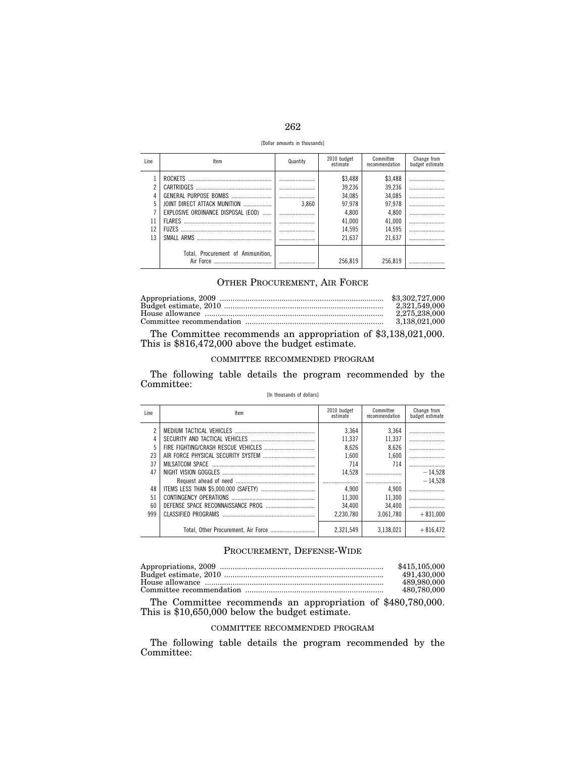| ۰.<br>×<br>--<br>-- |  |
|---------------------|--|

[Dollar amounts in thousands]

| Line                | Item                                                                                | Quantity | 2010 budget<br>estimate                                                      | Committee<br>recommendation                                                  | Change from<br>budget estimate |
|---------------------|-------------------------------------------------------------------------------------|----------|------------------------------------------------------------------------------|------------------------------------------------------------------------------|--------------------------------|
| 5<br>11<br>12<br>13 | JOINT DIRECT ATTACK MUNITION<br>EXPLOSIVE ORDINANCE DISPOSAL (EOD)<br><b>FIIZES</b> | 3.860    | \$3,488<br>39.236<br>34,085<br>97.978<br>4.800<br>41,000<br>14.595<br>21.637 | \$3,488<br>39,236<br>34,085<br>97.978<br>4,800<br>41,000<br>14.595<br>21.637 |                                |
|                     | Total, Procurement of Ammunition,                                                   |          | 256.819                                                                      | 256.819                                                                      |                                |

### OTHER PROCUREMENT, AIR FORCE

| 2.321.549.000 |
|---------------|
| 2.275.238.000 |
| 3.138.021.000 |

The Committee recommends an appropriation of \$3,138,021,000. This is \$816,472,000 above the budget estimate.

### COMMITTEE RECOMMENDED PROGRAM

The following table details the program recommended by the Committee:

### [In thousands of dollars]

| Line | Item                                | 2010 budget<br>estimate | Committee<br>recommendation | Change from<br>budget estimate |
|------|-------------------------------------|-------------------------|-----------------------------|--------------------------------|
|      |                                     | 3.364                   | 3.364                       |                                |
| 4    |                                     | 11.337                  | 11,337                      |                                |
| 5    |                                     | 8.626                   | 8,626                       |                                |
| 23   |                                     | 1.600                   | 1.600                       |                                |
| 37   |                                     | 714                     | 714                         |                                |
| 47   |                                     | 14.528                  |                             | $-14.528$                      |
|      |                                     |                         |                             | $-14.528$                      |
| 48   |                                     | 4.900                   | 4.900                       |                                |
| 51   |                                     | 11.300                  | 11.300                      |                                |
| 60   |                                     | 34.400                  | 34.400                      |                                |
| 999  | CLASSIFIED PROGRAMS                 | 2.230.780               | 3.061.780                   | $+831.000$                     |
|      | Total, Other Procurement, Air Force | 2.321.549               | 3.138.021                   | $+816.472$                     |

### PROCUREMENT, DEFENSE-WIDE

| \$415,105,000 |
|---------------|
| 491.430.000   |
| 489,980,000   |
| 480.780.000   |

The Committee recommends an appropriation of \$480,780,000. This is \$10,650,000 below the budget estimate.

### COMMITTEE RECOMMENDED PROGRAM

The following table details the program recommended by the Committee: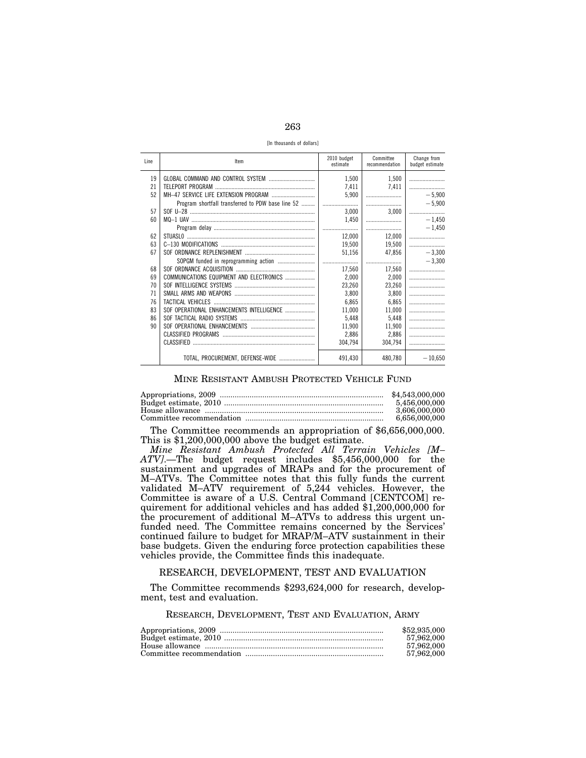263

[In thousands of dollars]

| Line | Item                                              | 2010 budget<br>estimate | Committee<br>recommendation | Change from<br>budget estimate |
|------|---------------------------------------------------|-------------------------|-----------------------------|--------------------------------|
| 19   |                                                   | 1,500                   | 1,500                       |                                |
| 21   |                                                   | 7,411                   | 7.411                       |                                |
| 52   |                                                   | 5.900                   |                             | $-5,900$                       |
|      | Program shortfall transferred to PDW base line 52 |                         |                             | $-5.900$                       |
| 57   |                                                   | 3,000                   | 3.000                       |                                |
| 60   |                                                   | 1,450                   |                             | $-1,450$                       |
|      |                                                   |                         |                             | $-1.450$                       |
| 62   |                                                   | 12.000                  | 12.000                      |                                |
| 63   |                                                   | 19,500                  | 19,500                      |                                |
| 67   |                                                   | 51,156                  | 47,856                      | $-3,300$                       |
|      |                                                   |                         |                             | $-3.300$                       |
| 68   |                                                   | 17,560                  | 17,560                      |                                |
| 69   | COMMUNICATIONS EQUIPMENT AND ELECTRONICS          | 2,000                   | 2,000                       |                                |
| 70   |                                                   | 23,260                  | 23,260                      |                                |
| 71   |                                                   | 3.800                   | 3,800                       |                                |
| 76   |                                                   | 6.865                   | 6,865                       |                                |
| 83   | SOF OPERATIONAL ENHANCEMENTS INTELLIGENCE         | 11,000                  | 11,000                      |                                |
| 86   |                                                   | 5.448                   | 5,448                       |                                |
| 90   |                                                   | 11,900                  | 11,900                      |                                |
|      |                                                   | 2,886                   | 2,886                       |                                |
|      |                                                   | 304.794                 | 304.794                     |                                |
|      | TOTAL, PROCUREMENT, DEFENSE-WIDE                  | 491,430                 | 480,780                     | $-10,650$                      |

### MINE RESISTANT AMBUSH PROTECTED VEHICLE FUND

| \$4,543,000,000 |
|-----------------|
| 5.456.000.000   |
| 3.606.000.000   |
| 6,656,000,000   |
|                 |

The Committee recommends an appropriation of \$6,656,000,000. This is \$1,200,000,000 above the budget estimate.

*Mine Resistant Ambush Protected All Terrain Vehicles [M– ATV]*.—The budget request includes \$5,456,000,000 for the sustainment and upgrades of MRAPs and for the procurement of M–ATVs. The Committee notes that this fully funds the current validated M–ATV requirement of 5,244 vehicles. However, the Committee is aware of a U.S. Central Command [CENTCOM] requirement for additional vehicles and has added \$1,200,000,000 for the procurement of additional M–ATVs to address this urgent unfunded need. The Committee remains concerned by the Services' continued failure to budget for MRAP/M–ATV sustainment in their base budgets. Given the enduring force protection capabilities these vehicles provide, the Committee finds this inadequate.

### RESEARCH, DEVELOPMENT, TEST AND EVALUATION

The Committee recommends \$293,624,000 for research, development, test and evaluation.

### RESEARCH, DEVELOPMENT, TEST AND EVALUATION, ARMY

| \$52,935,000 |
|--------------|
| 57,962,000   |
| 57.962.000   |
| 57.962.000   |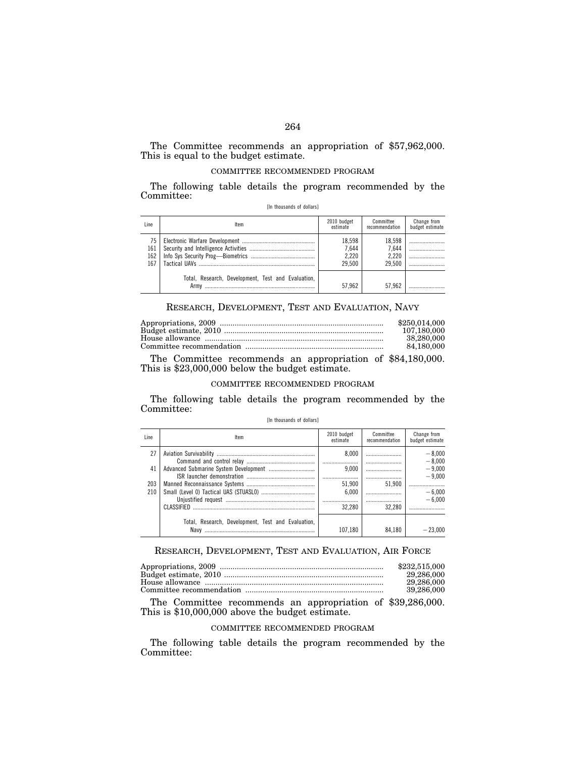### The Committee recommends an appropriation of \$57,962,000. This is equal to the budget estimate.

### COMMITTEE RECOMMENDED PROGRAM

The following table details the program recommended by the Committee:

| Line.                   | Item                                               | 2010 budget<br>estimate            | Committee<br>recommendation        | Change from<br>budget estimate |
|-------------------------|----------------------------------------------------|------------------------------------|------------------------------------|--------------------------------|
| 75<br>161<br>162<br>167 |                                                    | 18,598<br>7.644<br>2.220<br>29.500 | 18.598<br>7.644<br>2.220<br>29.500 | <br><br><br>                   |
|                         | Total, Research, Development, Test and Evaluation, | 57.962                             | 57.962                             |                                |

[In thousands of dollars]

### RESEARCH, DEVELOPMENT, TEST AND EVALUATION, NAVY

| \$250,014,000 |
|---------------|
| 107.180.000   |
| 38.280.000    |
| 84.180.000    |

The Committee recommends an appropriation of \$84,180,000. This is \$23,000,000 below the budget estimate.

### COMMITTEE RECOMMENDED PROGRAM

The following table details the program recommended by the Committee:

### [In thousands of dollars]

| Line       | ltem                                                       | 2010 budget<br>estimate | Committee<br>recommendation | Change from<br>budget estimate |
|------------|------------------------------------------------------------|-------------------------|-----------------------------|--------------------------------|
| 27         |                                                            | 8.000                   |                             | $-8,000$<br>$-8.000$           |
| 41         |                                                            | 9.000                   |                             | $-9.000$<br>$-9.000$           |
| 203<br>210 |                                                            | 51.900<br>6.000         | 51.900                      | $-6,000$                       |
|            |                                                            | <br>32.280              | <br>32 280                  | $-6.000$                       |
|            |                                                            |                         |                             |                                |
|            | Total, Research, Development, Test and Evaluation,<br>Navv | 107.180                 | 84.180                      | $-23.000$                      |

### RESEARCH, DEVELOPMENT, TEST AND EVALUATION, AIR FORCE

| \$232,515,000 |
|---------------|
| 29,286,000    |
| 29.286.000    |
| 39.286.000    |

The Committee recommends an appropriation of \$39,286,000. This is \$10,000,000 above the budget estimate.

### COMMITTEE RECOMMENDED PROGRAM

The following table details the program recommended by the Committee: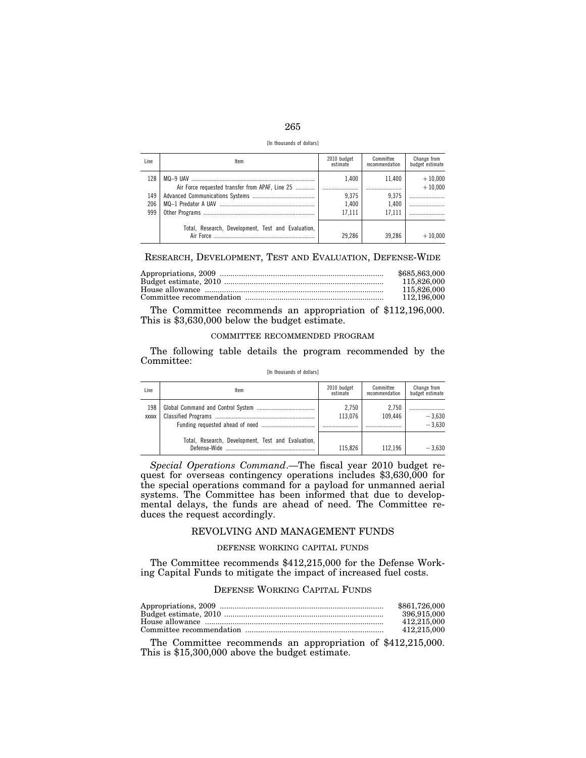| I<br>۰.<br>×<br>۰.<br>×<br>-- |  |
|-------------------------------|--|

[In thousands of dollars]

| Line | ltem                                               | 2010 budget<br>estimate | Committee<br>recommendation | Change from<br>budget estimate |
|------|----------------------------------------------------|-------------------------|-----------------------------|--------------------------------|
| 128  | Air Force requested transfer from APAF, Line 25    | 1.400<br>               | 11.400                      | $+10,000$<br>$+10.000$         |
| 149  |                                                    | 9.375                   | 9.375                       |                                |
| 206  |                                                    | 1.400                   | 1.400                       |                                |
| 999  |                                                    | 17.111                  | 17.111                      |                                |
|      | Total, Research, Development, Test and Evaluation, | 29.286                  | 39.286                      | $+10.000$                      |

RESEARCH, DEVELOPMENT, TEST AND EVALUATION, DEFENSE-WIDE

| \$685,863,000 |
|---------------|
| 115,826,000   |
| 115,826,000   |
| 112,196,000   |
|               |

The Committee recommends an appropriation of \$112,196,000. This is \$3,630,000 below the budget estimate.

### COMMITTEE RECOMMENDED PROGRAM

The following table details the program recommended by the Committee:

### [In thousands of dollars]

| Line                | ltem                                               | 2010 budget<br>estimate | Committee<br>recommendation | Change from<br>budget estimate |
|---------------------|----------------------------------------------------|-------------------------|-----------------------------|--------------------------------|
| 198<br><b>XXXXX</b> |                                                    | 2.750<br>113.076        | 2.750<br>109.446            | $-3.630$<br>$-3.630$           |
|                     | Total, Research, Development, Test and Evaluation, | 115.826                 | 112.196                     | $-3.630$                       |

*Special Operations Command*.—The fiscal year 2010 budget request for overseas contingency operations includes \$3,630,000 for the special operations command for a payload for unmanned aerial systems. The Committee has been informed that due to developmental delays, the funds are ahead of need. The Committee reduces the request accordingly.

### REVOLVING AND MANAGEMENT FUNDS

### DEFENSE WORKING CAPITAL FUNDS

The Committee recommends \$412,215,000 for the Defense Working Capital Funds to mitigate the impact of increased fuel costs.

### DEFENSE WORKING CAPITAL FUNDS

| \$861,726,000 |
|---------------|
| 396.915.000   |
| 412.215.000   |
| 412.215.000   |

The Committee recommends an appropriation of \$412,215,000. This is \$15,300,000 above the budget estimate.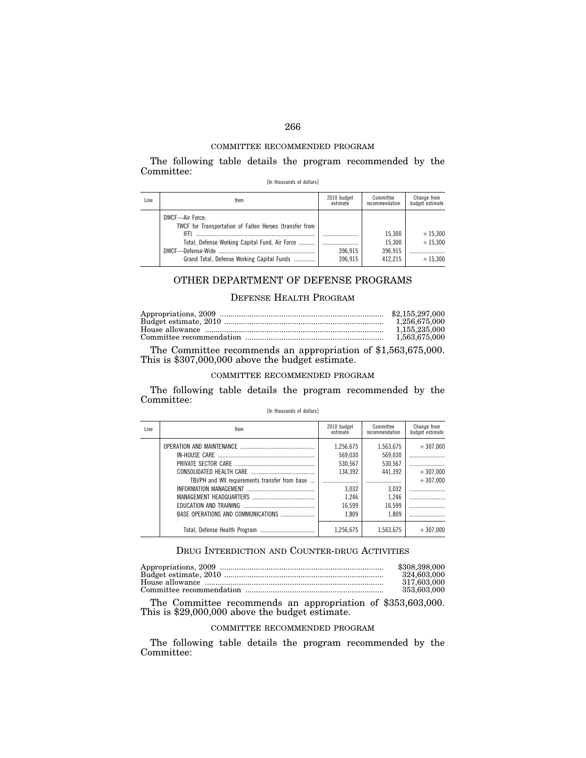### COMMITTEE RECOMMENDED PROGRAM

The following table details the program recommended by the Committee:

[In thousands of dollars]

| Line | Item                                                                                                                                                                               | 2010 budget<br>estimate | Committee<br>recommendation            | Change from<br>budget estimate      |
|------|------------------------------------------------------------------------------------------------------------------------------------------------------------------------------------|-------------------------|----------------------------------------|-------------------------------------|
|      | DWCF-Air Force:<br>TWCF for Transportation of Fallen Heroes (transfer from<br>IFF)<br>Total, Defense Working Capital Fund, Air Force<br>Grand Total, Defense Working Capital Funds | 396.915<br>396.915      | 15.300<br>15.300<br>396.915<br>412.215 | $+15,300$<br>$+15.300$<br>$+15.300$ |

### OTHER DEPARTMENT OF DEFENSE PROGRAMS

### DEFENSE HEALTH PROGRAM

| \$2,155,297,000 |
|-----------------|
| 1.256.675.000   |
| 1.155.235.000   |
| 1.563.675.000   |

The Committee recommends an appropriation of \$1,563,675,000. This is \$307,000,000 above the budget estimate.

### COMMITTEE RECOMMENDED PROGRAM

The following table details the program recommended by the Committee:

| [In thousands of dollars] |  |
|---------------------------|--|
|---------------------------|--|

| Line | Item                                           | 2010 budget<br>estimate | Committee<br>recommendation | Change from<br>budget estimate |
|------|------------------------------------------------|-------------------------|-----------------------------|--------------------------------|
|      |                                                | 1.256.675               | 1,563,675                   | $+307.000$                     |
|      |                                                | 569.030                 | 569.030                     |                                |
|      |                                                | 530.567                 | 530,567                     |                                |
|      |                                                | 134.392                 | 441.392                     | $+307.000$                     |
|      | TBI/PH and WII requirements transfer from base |                         |                             | $+307.000$                     |
|      |                                                | 3.032                   | 3,032                       |                                |
|      |                                                | 1.246                   | 1.246                       |                                |
|      |                                                | 16.599                  | 16,599                      |                                |
|      |                                                | 1.809                   | 1.809                       |                                |
|      |                                                | 1.256.675               | 1.563.675                   | $+307.000$                     |

### DRUG INTERDICTION AND COUNTER-DRUG ACTIVITIES

| \$308,398,000 |
|---------------|
| 324,603,000   |
| 317.603.000   |
| 353,603,000   |

The Committee recommends an appropriation of \$353,603,000. This is \$29,000,000 above the budget estimate.

### COMMITTEE RECOMMENDED PROGRAM

The following table details the program recommended by the Committee: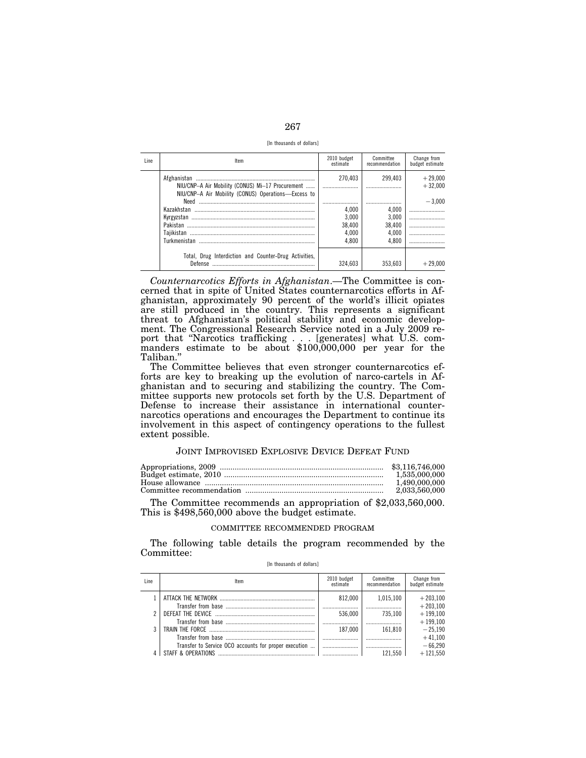| ×<br>--<br>۰. |  |
|---------------|--|

[In thousands of dollars]

| Line. | ltem                                                                                                    | 2010 budget<br>estimate | Committee<br>recommendation | Change from<br>budget estimate |
|-------|---------------------------------------------------------------------------------------------------------|-------------------------|-----------------------------|--------------------------------|
|       | NIU/CNP-A Air Mobility (CONUS) Mi-17 Procurement<br>NIU/CNP-A Air Mobility (CONUS) Operations-Excess to | 270,403                 | 299.403                     | $+29,000$<br>$+32.000$         |
|       | Need                                                                                                    |                         |                             | $-3.000$                       |
|       | Kazakhstan                                                                                              | 4.000                   | 4.000                       |                                |
|       |                                                                                                         | 3.000                   | 3.000                       |                                |
|       |                                                                                                         | 38.400                  | 38.400                      |                                |
|       |                                                                                                         | 4.000                   | 4.000                       |                                |
|       | Turkmenistan                                                                                            | 4.800                   | 4.800                       |                                |
|       | Total. Drug Interdiction and Counter-Drug Activities.<br>Defense                                        | 324.603                 | 353.603                     | $+29.000$                      |

*Counternarcotics Efforts in Afghanistan*.—The Committee is concerned that in spite of United States counternarcotics efforts in Afghanistan, approximately 90 percent of the world's illicit opiates are still produced in the country. This represents a significant threat to Afghanistan's political stability and economic development. The Congressional Research Service noted in a July 2009 report that ''Narcotics trafficking... [generates] what U.S. com- manders estimate to be about \$100,000,000 per year for the Taliban.''

The Committee believes that even stronger counternarcotics efforts are key to breaking up the evolution of narco-cartels in Afghanistan and to securing and stabilizing the country. The Committee supports new protocols set forth by the U.S. Department of Defense to increase their assistance in international counternarcotics operations and encourages the Department to continue its involvement in this aspect of contingency operations to the fullest extent possible.

### JOINT IMPROVISED EXPLOSIVE DEVICE DEFEAT FUND

| 1.490.000.000 |
|---------------|
| 2,033,560,000 |
|               |

The Committee recommends an appropriation of \$2,033,560,000. This is \$498,560,000 above the budget estimate.

### COMMITTEE RECOMMENDED PROGRAM

The following table details the program recommended by the Committee:

[In thousands of dollars]

| Line | Item                                                                        | 2010 budget<br>estimate | Committee<br>recommendation | Change from<br>budget estimate |
|------|-----------------------------------------------------------------------------|-------------------------|-----------------------------|--------------------------------|
|      |                                                                             | 812.000                 | 1.015.100                   | $+203.100$<br>$+203.100$       |
|      |                                                                             | 536.000                 | 735.100                     | $+199.100$<br>$+199.100$       |
| 3    |                                                                             | 187.000                 | 161.810                     | $-25,190$<br>$+41.100$         |
|      | Transfer to Service OCO accounts for proper execution<br>STAFF & OPFRATIONS |                         | <br>121 550                 | $-66,290$<br>$+121550$         |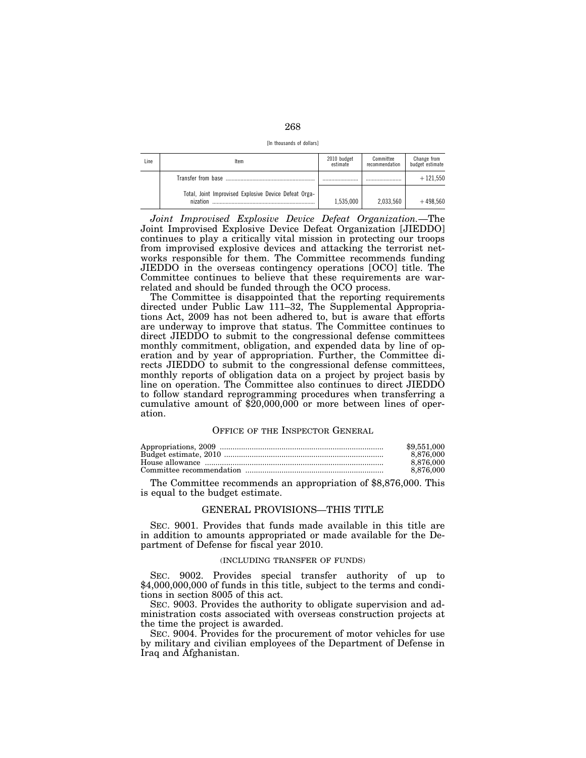| ×<br>× |  |
|--------|--|
|--------|--|

[In thousands of dollars]

| Line | Item                                                              | 2010 budget<br>estimate | Committee<br>recommendation | Change from<br>budget estimate |
|------|-------------------------------------------------------------------|-------------------------|-----------------------------|--------------------------------|
|      |                                                                   | .                       |                             | $+121.550$                     |
|      | Total, Joint Improvised Explosive Device Defeat Orga-<br>nization | 1.535.000               | 2.033.560                   | $+498.560$                     |

*Joint Improvised Explosive Device Defeat Organization.*—The Joint Improvised Explosive Device Defeat Organization [JIEDDO] continues to play a critically vital mission in protecting our troops from improvised explosive devices and attacking the terrorist networks responsible for them. The Committee recommends funding JIEDDO in the overseas contingency operations [OCO] title. The Committee continues to believe that these requirements are warrelated and should be funded through the OCO process.

The Committee is disappointed that the reporting requirements directed under Public Law 111-32, The Supplemental Appropriations Act, 2009 has not been adhered to, but is aware that efforts are underway to improve that status. The Committee continues to direct JIEDDO to submit to the congressional defense committees monthly commitment, obligation, and expended data by line of operation and by year of appropriation. Further, the Committee directs JIEDDO to submit to the congressional defense committees, monthly reports of obligation data on a project by project basis by line on operation. The Committee also continues to direct JIEDDO to follow standard reprogramming procedures when transferring a cumulative amount of \$20,000,000 or more between lines of operation.

### OFFICE OF THE INSPECTOR GENERAL

| \$9,551,000 |
|-------------|
| 8.876.000   |
| 8.876.000   |
| 8.876.000   |

The Committee recommends an appropriation of \$8,876,000. This is equal to the budget estimate.

### GENERAL PROVISIONS—THIS TITLE

SEC. 9001. Provides that funds made available in this title are in addition to amounts appropriated or made available for the Department of Defense for fiscal year 2010.

### (INCLUDING TRANSFER OF FUNDS)

SEC. 9002. Provides special transfer authority of up to \$4,000,000,000 of funds in this title, subject to the terms and conditions in section 8005 of this act.

SEC. 9003. Provides the authority to obligate supervision and administration costs associated with overseas construction projects at the time the project is awarded.

SEC. 9004. Provides for the procurement of motor vehicles for use by military and civilian employees of the Department of Defense in Iraq and Afghanistan.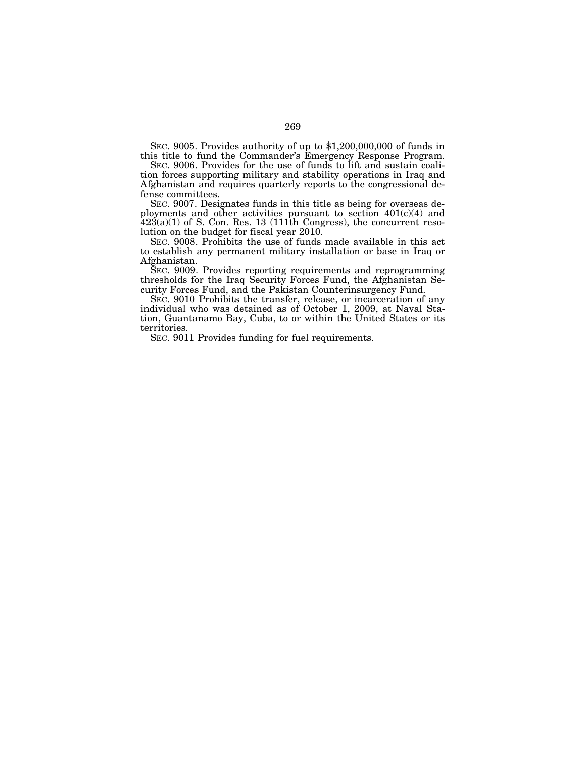SEC. 9005. Provides authority of up to \$1,200,000,000 of funds in this title to fund the Commander's Emergency Response Program.

SEC. 9006. Provides for the use of funds to lift and sustain coalition forces supporting military and stability operations in Iraq and Afghanistan and requires quarterly reports to the congressional defense committees.

SEC. 9007. Designates funds in this title as being for overseas deployments and other activities pursuant to section 401(c)(4) and  $423(a)(1)$  of S. Con. Res. 13 (111th Congress), the concurrent resolution on the budget for fiscal year 2010.

SEC. 9008. Prohibits the use of funds made available in this act to establish any permanent military installation or base in Iraq or Afghanistan.

SEC. 9009. Provides reporting requirements and reprogramming thresholds for the Iraq Security Forces Fund, the Afghanistan Security Forces Fund, and the Pakistan Counterinsurgency Fund.

SEC. 9010 Prohibits the transfer, release, or incarceration of any individual who was detained as of October 1, 2009, at Naval Station, Guantanamo Bay, Cuba, to or within the United States or its territories.

SEC. 9011 Provides funding for fuel requirements.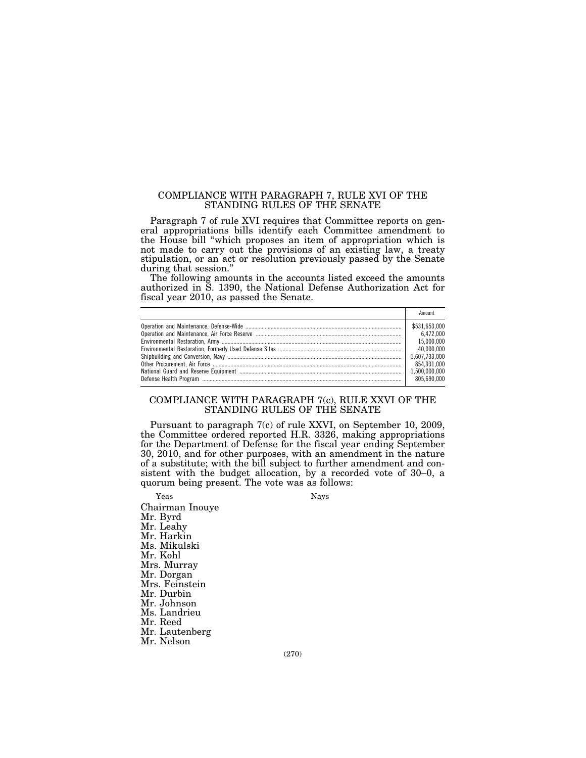### COMPLIANCE WITH PARAGRAPH 7, RULE XVI OF THE STANDING RULES OF THE SENATE

Paragraph 7 of rule XVI requires that Committee reports on general appropriations bills identify each Committee amendment to the House bill ''which proposes an item of appropriation which is not made to carry out the provisions of an existing law, a treaty stipulation, or an act or resolution previously passed by the Senate during that session.''

The following amounts in the accounts listed exceed the amounts authorized in S. 1390, the National Defense Authorization Act for fiscal year 2010, as passed the Senate.

| Amount        |
|---------------|
| \$531,653,000 |
| 6.472.000     |
| 15.000.000    |
| 40.000.000    |
| 1.607.733.000 |
| 854.931.000   |
|               |
| 805.690.000   |

### COMPLIANCE WITH PARAGRAPH 7(c), RULE XXVI OF THE STANDING RULES OF THE SENATE

Pursuant to paragraph 7(c) of rule XXVI, on September 10, 2009, the Committee ordered reported H.R. 3326, making appropriations for the Department of Defense for the fiscal year ending September 30, 2010, and for other purposes, with an amendment in the nature of a substitute; with the bill subject to further amendment and consistent with the budget allocation, by a recorded vote of 30–0, a quorum being present. The vote was as follows:

Yeas Nays Chairman Inouye Mr. Byrd Mr. Leahy Mr. Harkin Ms. Mikulski Mr. Kohl Mrs. Murray Mr. Dorgan Mrs. Feinstein Mr. Durbin Mr. Johnson Ms. Landrieu Mr. Reed Mr. Lautenberg Mr. Nelson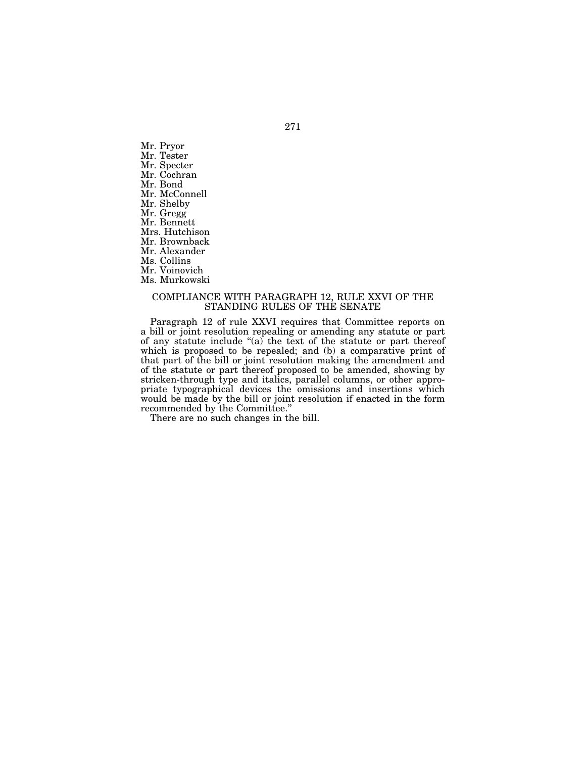Mr. Pryor Mr. Tester Mr. Specter Mr. Cochran Mr. Bond Mr. McConnell Mr. Shelby Mr. Gregg Mr. Bennett Mrs. Hutchison Mr. Brownback Mr. Alexander Ms. Collins Mr. Voinovich Ms. Murkowski

### COMPLIANCE WITH PARAGRAPH 12, RULE XXVI OF THE STANDING RULES OF THE SENATE

Paragraph 12 of rule XXVI requires that Committee reports on a bill or joint resolution repealing or amending any statute or part of any statute include " $(a)$  the text of the statute or part thereof which is proposed to be repealed; and (b) a comparative print of that part of the bill or joint resolution making the amendment and of the statute or part thereof proposed to be amended, showing by stricken-through type and italics, parallel columns, or other appropriate typographical devices the omissions and insertions which would be made by the bill or joint resolution if enacted in the form recommended by the Committee.''

There are no such changes in the bill.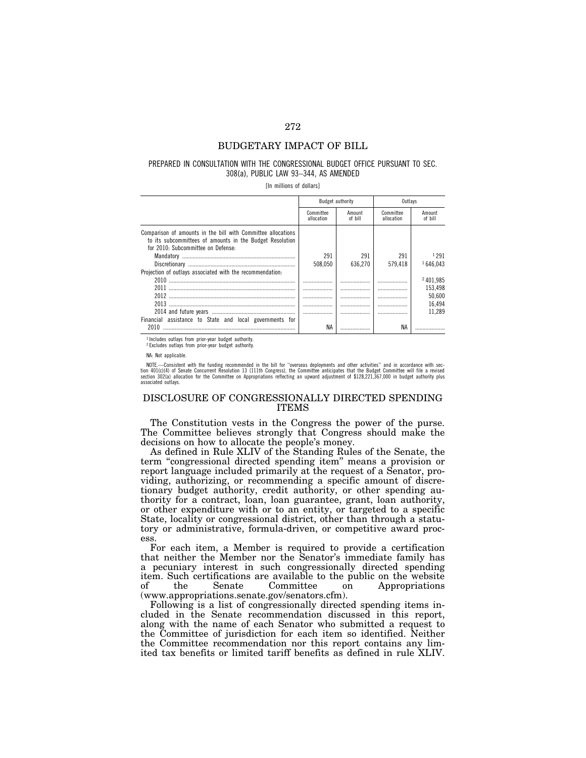### BUDGETARY IMPACT OF BILL

### PREPARED IN CONSULTATION WITH THE CONGRESSIONAL BUDGET OFFICE PURSUANT TO SEC. 308(a), PUBLIC LAW 93–344, AS AMENDED

[In millions of dollars]

|                                                                                                                                                                | Budget authority        |                   | Outlavs                 |                   |
|----------------------------------------------------------------------------------------------------------------------------------------------------------------|-------------------------|-------------------|-------------------------|-------------------|
|                                                                                                                                                                | Committee<br>allocation | Amount<br>of bill | Committee<br>allocation | Amount<br>of bill |
| Comparison of amounts in the bill with Committee allocations<br>to its subcommittees of amounts in the Budget Resolution<br>for 2010: Subcommittee on Defense: |                         |                   |                         |                   |
|                                                                                                                                                                | 291                     | 291               | 291                     | 1 2 9 1           |
|                                                                                                                                                                | 508.050                 | 636.270           | 579.418                 | 1646.043          |
| Projection of outlays associated with the recommendation:                                                                                                      |                         |                   |                         |                   |
| 2010                                                                                                                                                           |                         |                   | .                       | 2401.985          |
|                                                                                                                                                                |                         | .                 | .                       | 153,498           |
| 2012                                                                                                                                                           |                         | .                 |                         | 50,600            |
| 2013                                                                                                                                                           |                         | .                 |                         | 16.494            |
|                                                                                                                                                                |                         | .                 |                         | 11.289            |
| Financial assistance to State and local governments for                                                                                                        |                         |                   |                         |                   |
| 2010                                                                                                                                                           | ΝA                      |                   | NA                      |                   |

1 Includes outlays from prior-year budget authority.

2 Excludes outlays from prior-year budget authority.

NA: Not applicable.

NOTE.—Consistent with the funding recommended in the bill for "overseas deployments and other activities" and in accordance with sec-<br>tion 401(c)(4) of Senate Concurrent Resolution 13 (111th Congress), the Committee antici associated outlays.

### DISCLOSURE OF CONGRESSIONALLY DIRECTED SPENDING ITEMS

The Constitution vests in the Congress the power of the purse. The Committee believes strongly that Congress should make the decisions on how to allocate the people's money.

As defined in Rule XLIV of the Standing Rules of the Senate, the term ''congressional directed spending item'' means a provision or report language included primarily at the request of a Senator, providing, authorizing, or recommending a specific amount of discretionary budget authority, credit authority, or other spending authority for a contract, loan, loan guarantee, grant, loan authority, or other expenditure with or to an entity, or targeted to a specific State, locality or congressional district, other than through a statutory or administrative, formula-driven, or competitive award process.

For each item, a Member is required to provide a certification that neither the Member nor the Senator's immediate family has a pecuniary interest in such congressionally directed spending item. Such certifications are available to the public on the website of the Senate Committee on Appropriations (www.appropriations.senate.gov/senators.cfm).

Following is a list of congressionally directed spending items included in the Senate recommendation discussed in this report, along with the name of each Senator who submitted a request to the Committee of jurisdiction for each item so identified. Neither the Committee recommendation nor this report contains any limited tax benefits or limited tariff benefits as defined in rule XLIV.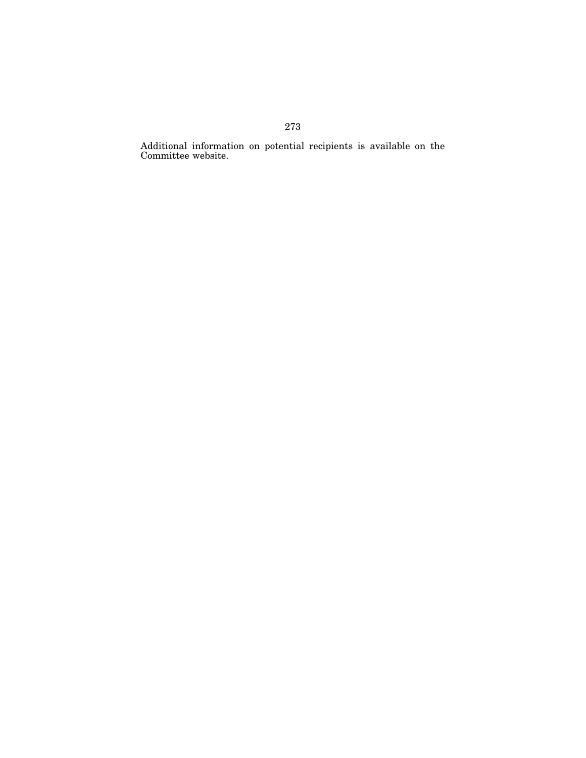Additional information on potential recipients is available on the Committee website.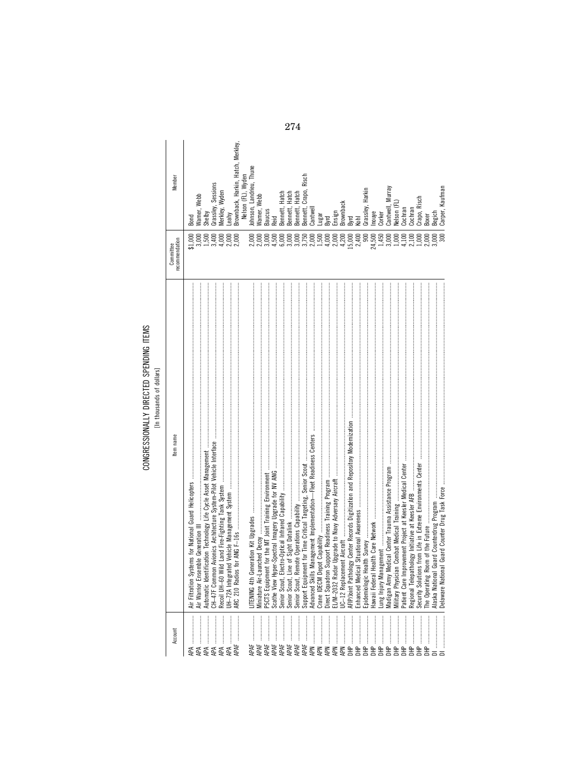### CONGRESSIONALLY DIRECTED SPENDING ITEMS<br>[In thousands of dollars]

| $\vdots$             |  |  |
|----------------------|--|--|
|                      |  |  |
|                      |  |  |
|                      |  |  |
|                      |  |  |
|                      |  |  |
|                      |  |  |
|                      |  |  |
|                      |  |  |
|                      |  |  |
|                      |  |  |
|                      |  |  |
|                      |  |  |
|                      |  |  |
|                      |  |  |
|                      |  |  |
| $\ddot{\phantom{a}}$ |  |  |
|                      |  |  |
|                      |  |  |
|                      |  |  |
|                      |  |  |
| ׇ֚֬                  |  |  |
| ׇ֚֬֓֡֡               |  |  |
|                      |  |  |
|                      |  |  |
|                      |  |  |
|                      |  |  |
|                      |  |  |
|                      |  |  |
|                      |  |  |
|                      |  |  |
|                      |  |  |
|                      |  |  |
|                      |  |  |

| Member                      | Bond                                                             | Warner, Webb<br>Shelby<br>Grassley, Sessions                                                          |               | Merkley, Wyden<br>Leahy |    | Brownback, Harkin, Hatch, Merkley, | Nelson (FL), Wyden<br>Johnson, Landrieu, Thune |                  | Warner, Webb      | Baucus          | Reid  | Bennett, Hatch     | Bennett, Hatch     | Bennett, Hatch | Bennett, Crapo, Risch | Cantwell        | Lugar           |            |            |            | Byrd<br>Ensign<br>Brownback<br>Byrd<br>Kohl |                  |                              | Grassley, Harkin<br>Inouye<br>Corker |                        |                           | Cantwell, Murray<br>Nelson (FL) | Cochran                                             | Cochran                                               | Crapo, Risch       | 3 <sub>oxer</sub> | <b>Begich</b>     | Carper, Kaufman  |
|-----------------------------|------------------------------------------------------------------|-------------------------------------------------------------------------------------------------------|---------------|-------------------------|----|------------------------------------|------------------------------------------------|------------------|-------------------|-----------------|-------|--------------------|--------------------|----------------|-----------------------|-----------------|-----------------|------------|------------|------------|---------------------------------------------|------------------|------------------------------|--------------------------------------|------------------------|---------------------------|---------------------------------|-----------------------------------------------------|-------------------------------------------------------|--------------------|-------------------|-------------------|------------------|
| recommendation<br>Committee | $\begin{array}{c} $1,000 \\ 3,000 \\ 1,500 \\ 3,400 \end{array}$ |                                                                                                       |               | $4,000$<br>$2,000$      |    | 2,000                              |                                                | 2,000            | 2,000<br>3,000    |                 | 4,500 | 6,000              | 3,000              |                | 3,000<br>3,750        | 2,000           | 1,500           | 4,000      | 2,000      | 4,200      | 15,000<br>2,400                             |                  | 900                          |                                      |                        |                           |                                 | $24,500000000$<br>$7,45000000000$<br>$1,4500000000$ |                                                       | 1,000              | 2,000<br>3,000    |                   |                  |
| tem name                    | Air Warrior Ensemble Generation I'                               | ication Technology Life Cycle Asset Management ………………………………………………………………………………………<br>Automatic Identif | CH-47F Common | Recoil UH-60 Wi         |    | ARC 210 Radios                     |                                                | LITENING 4th Ger | Miniature Air-Lau | P5CTS Equipment |       | Senior Scout, Elec | Senior Scout, Line |                | Support Equipmer      | Advanced Skills | Crane IDECM Dep |            |            |            |                                             | Enhanced Medical | Epidemiologic Health Survey. |                                      | Lung Injury Management |                           | Military Physician              | Patient Care Impr                                   | nology Initiative at Keesler AFB<br>Regional Telepath | Security Solutions | The Operating Roc | Alaska National G | Delaware Nationa |
| Account                     | ÆA                                                               | $\frac{1}{2}$<br><b>ARA</b><br>BEA                                                                    |               |                         | ÆA | APAF                               |                                                | APAF             | APAF              | APAF            | APAF  | APAF               | <b>APAF</b>        | ÆÆ             | ÆÆ                    | <b>APN</b>      | <b>APN</b>      | <b>APN</b> | <b>APN</b> | <b>APN</b> | E                                           | $\exists$        | $\exists$                    | $\approx$                            | $\frac{P}{dE}$         | $\frac{1}{2}$<br>$\equiv$ |                                 | DHP<br>DHP<br>DHP                                   | $\equiv$                                              | DHP                | $\approx$         | <br> <br> <br>    |                  |

274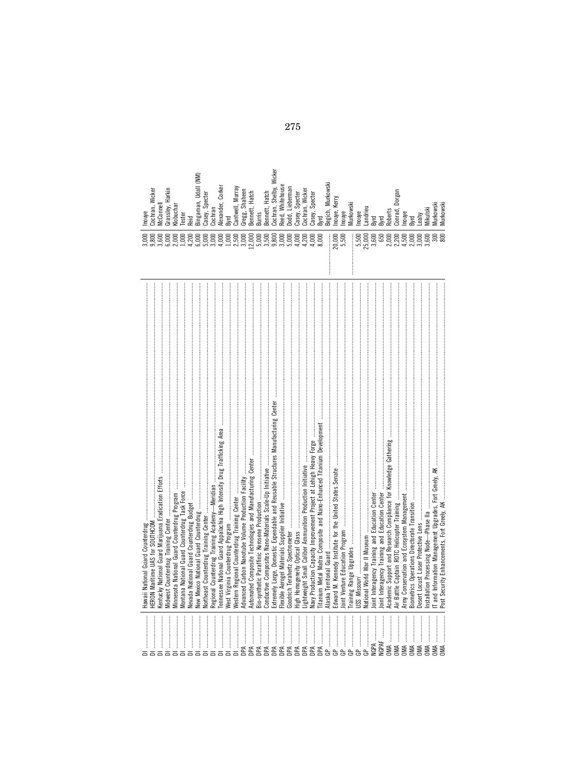| Cochran, Wicker<br>Inouye<br>3,000 | Grassley, Harkin<br><b>AcConnell</b><br>3,600<br>5,000 | <b>(lobuchar</b><br>2,000 | <b>Tester</b><br>000'                         | ≹eid<br>4,200 | 6,000<br>5,000 | Bingaman, Udall (NM)<br>Casey, Specter | Cochran<br>3,000                                                                 | Alexander, Corker<br>4,000 | <b>Byrd</b> | Cantwell, Murray<br>$1,000$<br>$2,500$ | 3,000 | Gregg, Shaheen<br>Bennett, Hatch<br>12,000 | <b>Burris</b><br>5,000 | Bennett, Hatch<br>3,500 | Cochran, Shelby, Wicker<br>9,800                                                                               | Reed, Whitehouse<br>3,000 | Jodd, Lieberman<br>5,000                                                                                                                                                                                                      | Casey, Specter<br>4,000 | Cochran, Wicker<br>4,200 | Casey, Specter<br>4,000                                                                              | 3yrd<br>8,000                                                                                        | Begich, Murkowski | Inouye, Kerry<br>20,000                                                                                                                                                                                                                                                                                                                                                                                                      | houye<br>5,500 | Murkowski      | Inouye<br>5,500 | Landrieu<br>25,000                                                                                                                                                                                                                                                                                                                                                                                                                                                                                                                 | Byrd<br>3,600 | Byrd<br>650                                     | <b>Roberts</b> | Conrad, Dorgan<br>2,300<br>2,200<br>4,500 | Inouye                                                | Byrd<br>2,000 | eahy<br>3,000 | Mikulski<br>9,600    | <b>Aurkowski</b><br><u>ន្លួ</u> | Murkowsk |
|------------------------------------|--------------------------------------------------------|---------------------------|-----------------------------------------------|---------------|----------------|----------------------------------------|----------------------------------------------------------------------------------|----------------------------|-------------|----------------------------------------|-------|--------------------------------------------|------------------------|-------------------------|----------------------------------------------------------------------------------------------------------------|---------------------------|-------------------------------------------------------------------------------------------------------------------------------------------------------------------------------------------------------------------------------|-------------------------|--------------------------|------------------------------------------------------------------------------------------------------|------------------------------------------------------------------------------------------------------|-------------------|------------------------------------------------------------------------------------------------------------------------------------------------------------------------------------------------------------------------------------------------------------------------------------------------------------------------------------------------------------------------------------------------------------------------------|----------------|----------------|-----------------|------------------------------------------------------------------------------------------------------------------------------------------------------------------------------------------------------------------------------------------------------------------------------------------------------------------------------------------------------------------------------------------------------------------------------------------------------------------------------------------------------------------------------------|---------------|-------------------------------------------------|----------------|-------------------------------------------|-------------------------------------------------------|---------------|---------------|----------------------|---------------------------------|----------|
|                                    |                                                        |                           | Montana National Guard Counterdrug Task Force |               |                |                                        | ?egional Counterdrug Training Academy—Meridian ……………………………………………………………………………………… |                            |             |                                        |       |                                            |                        |                         | Extremely Large, Domestic Expendable and Reusable Structures Manufacturing Center ………………………………………………………………………… |                           | and a the state of the state of the component of the state of the state of the state of the state of the state of the state of the state of the state of the state of the state of the state of the state of the state of the |                         |                          | Navy Production Capacity Improvement Project at Lehigh Heavy Forge ……………………………………………………………………………………… | litanium Metal Matrix Composite and Nano-Enhanced Titanium Development …………………………………………………………………………… |                   |                                                                                                                                                                                                                                                                                                                                                                                                                              |                |                |                 |                                                                                                                                                                                                                                                                                                                                                                                                                                                                                                                                    |               | loint Interagency Training and Education Center |                |                                           |                                                       |               |               |                      |                                 |          |
|                                    |                                                        |                           |                                               |               |                |                                        |                                                                                  |                            |             |                                        |       |                                            |                        |                         | $P A$ , , $P A$                                                                                                |                           |                                                                                                                                                                                                                               |                         |                          |                                                                                                      |                                                                                                      |                   | $\begin{array}{c} \texttt{GP} \texttt{0} \texttt{0} \texttt{0} \texttt{0} \texttt{0} \texttt{0} \texttt{0} \texttt{0} \texttt{0} \texttt{0} \texttt{0} \texttt{0} \texttt{0} \texttt{0} \texttt{0} \texttt{0} \texttt{0} \texttt{0} \texttt{0} \texttt{0} \texttt{0} \texttt{0} \texttt{0} \texttt{0} \texttt{0} \texttt{0} \texttt{0} \texttt{0} \texttt{0} \texttt{0} \texttt{0} \texttt{0} \texttt{0} \texttt{0} \texttt$ |                | $\overline{r}$ | සි              | $\begin{minipage}{0.9\linewidth} \begin{tabular}{l} \hline \textbf{0.9\linewidth} \end{tabular} \end{minipage} \begin{tabular}{l} \hline \textbf{1.9\linewidth} \end{tabular} \end{minipage} \begin{tabular}{l} \hline \textbf{2.9\linewidth} \end{tabular} \end{minipage} \begin{tabular}{l} \hline \textbf{3.9\linewidth} \end{tabular} \end{minipage} \begin{tabular}{l} \hline \textbf{4.9\linewidth} \end{tabular} \end{minipage} \begin{tabular}{l} \hline \textbf{5.9\linewidth} \end{tabular} \end{minipage} \begin{$<br>ዹ |               |                                                 |                |                                           | $\ldots$ $\ldots$ $\ldots$ $\ldots$ $\ldots$ $\ldots$ |               |               | $1000$ $1000$ $1000$ |                                 |          |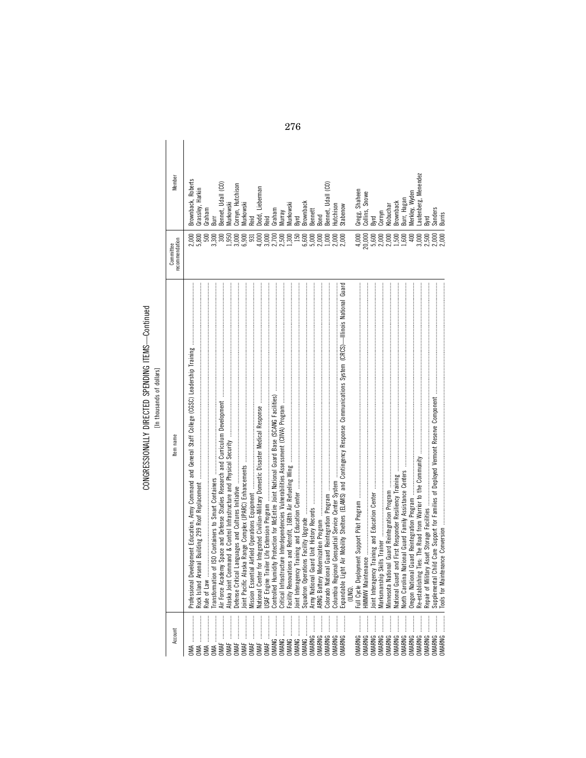### CONGRESSIONALLY DIRECTED SPENDING ITEMS-Continued CONGRESSIONALLY DIRECTED SPENDING ITEMS—Continued [In thousands of dollars]

| Account                           | tem name                                                                                                                     | ecommendation<br>Committee | Member                                           |
|-----------------------------------|------------------------------------------------------------------------------------------------------------------------------|----------------------------|--------------------------------------------------|
|                                   | Rule of Law                                                                                                                  | 5,800                      | 3rownback, Roberts<br>Grassley, Harkin<br>Graham |
|                                   |                                                                                                                              | 3,300                      |                                                  |
|                                   |                                                                                                                              | 300                        | Bennet, Udall (CO)                               |
|                                   |                                                                                                                              | ,950                       | <b>Aurkowski</b>                                 |
|                                   | Defense Critical Languages and Cultures Initiative ……………………………………………………………………………………………                                       | 3,000                      | Cornyn, Hutchison                                |
|                                   |                                                                                                                              | 6,900                      | <b>Aurkowski</b>                                 |
|                                   | Mission Essential Airfield Operations Equipment ………………………………………………………………………………………                                            | 931                        | bie)                                             |
|                                   |                                                                                                                              | 000                        | odd, Lieberman                                   |
|                                   |                                                                                                                              | 3,000                      | keid                                             |
| MANG                              |                                                                                                                              | 2,700<br>2,500             | Graham                                           |
| MANG                              |                                                                                                                              |                            | Vurray                                           |
| MANG                              |                                                                                                                              | 1,300                      | <b>Aurkowski</b>                                 |
| MANG                              |                                                                                                                              | 150                        | lyrd                                             |
| MANG                              |                                                                                                                              | 6,600                      | <b>Brownback</b>                                 |
| MARNG                             |                                                                                                                              |                            | <b>Bennett</b>                                   |
| MARNG                             |                                                                                                                              | $5,000$<br>$2,000$         | ng<br>S                                          |
| MARNG                             |                                                                                                                              | 1,000                      | ennet, Udall (CO)                                |
| MARNG                             |                                                                                                                              | 2,000                      | Hutchison                                        |
| JMARNG                            | Expandable Light Air Mobility Shelters (ELAMS) and Contingency Response Communications System (CRCS)—Illinois National Guard | 2,000                      | stabenow                                         |
|                                   |                                                                                                                              |                            |                                                  |
| JMARNG                            |                                                                                                                              | 4,000                      | Gregg, Shaheen                                   |
| JMARNG                            |                                                                                                                              | 20,000                     | Collins, Snowe                                   |
| MARNG                             |                                                                                                                              | 5,600                      | lyrd                                             |
| <b>JMARNG</b>                     |                                                                                                                              | 2,000                      | Cornyn                                           |
| :<br>:<br>:<br>:<br><b>JMARNG</b> |                                                                                                                              | 2,000                      | <b>(lobuchar</b>                                 |
| <br><b>DMARNG</b>                 |                                                                                                                              | 1,500                      | 3rownback                                        |
| <br><b>JMARNG</b>                 |                                                                                                                              | 1,600                      | Burr, Hagan                                      |
| :<br>:<br>:<br><b>JMARNG</b>      |                                                                                                                              | 400                        | Merkley, Wyden                                   |
| MARNG                             |                                                                                                                              | 3,000                      | autenberg, Menendez                              |
| JMARNG                            |                                                                                                                              | 2,500                      | <b>B</b> wd                                      |
| MARNG                             |                                                                                                                              | 2,000<br>2,000             | Sanders                                          |
| <b>DMARNG</b>                     |                                                                                                                              |                            | Burris                                           |

276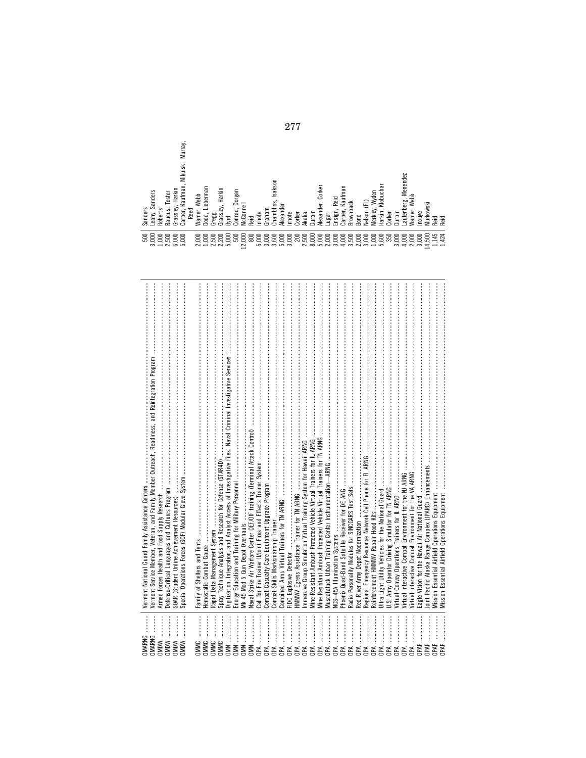| <b>DIMARNG</b><br><b>OMARNG</b><br><b>MDW</b><br><b>MDW</b><br><b>MDW</b><br><b>MONC</b> | Vermont Service Member, Veteran, and Family Member Outreach, Readiness, and Reintegration Program<br>Special Operations Forces (SOF) Modular Glove System<br>Armed Forces Health and Food Supply Research<br>Defense-Critical Languages and Cultures Program<br>SOAR (Student Online Achievement Resources) |
|------------------------------------------------------------------------------------------|-------------------------------------------------------------------------------------------------------------------------------------------------------------------------------------------------------------------------------------------------------------------------------------------------------------|
| <br><b>OMMC</b><br>JMMC<br><b>JMMC</b>                                                   | Rapid Data Management System                                                                                                                                                                                                                                                                                |
| <b>IMMC</b><br><b>MMC</b><br><b>DIMIN</b>                                                | Digitization, Integration, and Analyst Access of Investigative Files, Naval Criminal Investigative Services<br>Spray Technique Analysis and Research for Defense (STAR4D)<br>Energy Education and Training for Military Personnel                                                                           |
| <b>DIMIN</b><br><b>DIMIN</b>                                                             | Vaval Strike Air Warfare Center OEF/OIF training (Terminal Attack Control)<br>Ak 45 Mod 5 Gun Depot Overhauls                                                                                                                                                                                               |
| Ά<br>Æ                                                                                   |                                                                                                                                                                                                                                                                                                             |
| Æ<br>Åď                                                                                  | Combined Arms Virtual Trainers for TN ARNG<br>Combat Skills Marksmanship Trainer                                                                                                                                                                                                                            |
| AR<br>AR                                                                                 | <b>IMMWV Egress Assistance Trainer for TN ARNG</b><br>IDO Explosive Detector                                                                                                                                                                                                                                |
| Åď                                                                                       | mmersive Group Simulation Virtual Training System for Hawaii ARNG                                                                                                                                                                                                                                           |
| AdC<br>Åď                                                                                | Mine Resistant Ambush Protected Vehicle Virtual Trainers for TN ARNG<br>Vine Resistant Ambush Protected Vehicle Virtual Trainers for IL ARNG                                                                                                                                                                |
| <b>Add</b><br>A                                                                          | Muscatatuck Urban Training Center Instrumentation-ARNG<br>VOS-45A Illumination Systems                                                                                                                                                                                                                      |
| Åď<br>Åď                                                                                 | Radio Personality Modules for SINCGARS Test Sets<br>Phoenix Quad-Band Satellite Receiver for DE ANG                                                                                                                                                                                                         |
| Aqc<br>Aqc                                                                               | Red River Army Depot Modernization                                                                                                                                                                                                                                                                          |
| AdC                                                                                      | Regional Emergency Response Network Cell Phone for FL ARNG<br>Reinforcement HMMWV Repair Hood Kits                                                                                                                                                                                                          |
| Å<br>Åď                                                                                  | Jitra Light Utility Vehicles for the National Guard                                                                                                                                                                                                                                                         |
| Åď                                                                                       | Virtual Convoy Operations Trainers for IL ARNG                                                                                                                                                                                                                                                              |
| Åď<br>Å                                                                                  | Virtual Interactive Combat Environment for the VA ARNG<br>Virtual Interactive Combat Environment for the NJ ARNG                                                                                                                                                                                            |
| JPAF                                                                                     | Cagle Vision for the Hawaii Air National Guard                                                                                                                                                                                                                                                              |
| JPAF                                                                                     | loint Pacific Alaska Range Complex (JPARC) Enhancements                                                                                                                                                                                                                                                     |
| JPAF                                                                                     | Vission Essential Airfield Operations Equipment<br>ssion Essential Airfield Operations Equipment                                                                                                                                                                                                            |

| Sanders<br>Sanders<br><b>Roberts</b><br>Leahy, | Tester<br>Baucus, | Harkin<br>Grassley, | Murray,<br>Mikulski,<br>Kaufman,<br>Carper, | Reed | Webb<br>Warner, | Lieberman<br>Dodd,            | Gregg | Harkin<br>Grassley, | Byrd  | Dorgan<br>Conrad, | McConnell                    | Reid | Inhofe | Graham | Isakson<br>Chambliss, | Alexander | Inhofe | Corker | Akaka | Durbin | Corker<br>Alexander, | Lugar | Reid<br>Ensign, | Kaufman<br>Carper, | Brownback               | <b>Bond</b> | Nelson (FL) | Wyden<br>Merkley,  | Klobuchar<br>Harkin, | Corker | Durbin | Menendez<br>autenberg, | Webb<br>Warner, | Inouve | Murkowski | Reid  | Reid |
|------------------------------------------------|-------------------|---------------------|---------------------------------------------|------|-----------------|-------------------------------|-------|---------------------|-------|-------------------|------------------------------|------|--------|--------|-----------------------|-----------|--------|--------|-------|--------|----------------------|-------|-----------------|--------------------|-------------------------|-------------|-------------|--------------------|----------------------|--------|--------|------------------------|-----------------|--------|-----------|-------|------|
| 3,000<br>500                                   |                   |                     |                                             |      | 2,000           | $1,000$<br>$2,500$<br>$2,200$ |       |                     | 5,000 | 500               | $\approx$<br>12 <sub>i</sub> | 800  |        |        |                       |           |        | 200    | 2,500 | 8,000  |                      |       |                 |                    | 3,500<br>3,000<br>3,000 |             |             | $1,000$<br>$5,600$ |                      | 350    | 3,000  | 4,000                  | 2,000           | 3,000  | 14,500    | 1,145 | ,424 |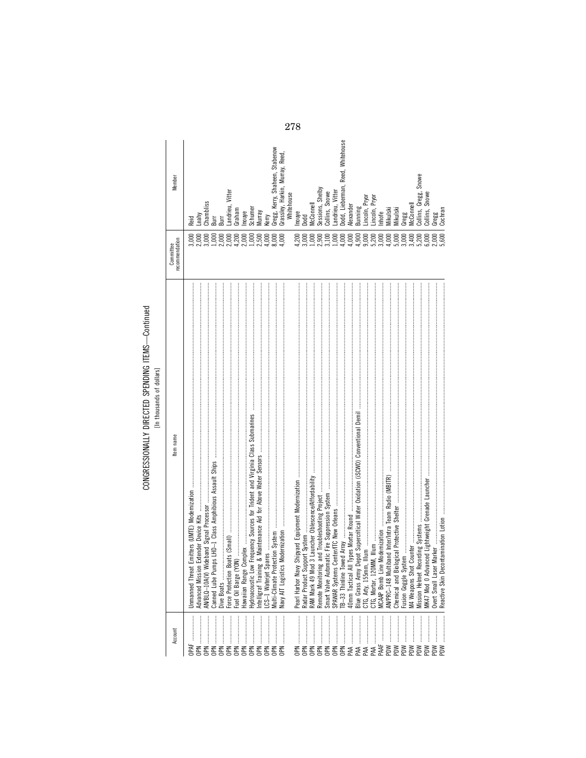# CONGRESSIONALLY DIRECTED SPENDING ITEMS-Continued<br>[In thousands of dollars]

| Member                             | Reid<br>3,000<br>2,000 |                  |                 | Leahy<br>Chambliss<br>Burr<br>Burr |            |                  | Landrieu, Vitter<br>Graham  |                 | 1,000                                                                                                                                                                                          | Inouye<br>Schumer<br>Murray<br>2,500 | 4,000           | Kerry<br>Gregg, Kerry, Shaheen, Stabenow<br>8,000 | Grassley, Harkin, Murray, Reed,<br>Whitehouse<br>4,000 | Inouye<br>Dodd<br>4,200 | 3,000            | AcConnell       | $\frac{1,000}{2,900}$ | Sessions, Shelby<br>Collins, Snowe<br>3,100<br>1,000 | andrieu, Vitter | odd, Lieberman, Reed, Whitehouse<br>1,000 | Vlexander<br>4,000                        | Bunning<br>1,900 | .incoln, Pryor   | 9,000<br>5,200   | 3,000          | 4,000           | 5,000            | 3,000             | Lincoln, Pryor<br>Inhofe<br>Mikulski<br>Mikulski<br>Gregg<br>Gregg<br>3,400<br>5,200 |                                   | Collins, Gregg, Snowe<br>Collins, Snowe<br>6,000 | Gregg<br>Cochran<br>2,000<br>5,600 |     |
|------------------------------------|------------------------|------------------|-----------------|------------------------------------|------------|------------------|-----------------------------|-----------------|------------------------------------------------------------------------------------------------------------------------------------------------------------------------------------------------|--------------------------------------|-----------------|---------------------------------------------------|--------------------------------------------------------|-------------------------|------------------|-----------------|-----------------------|------------------------------------------------------|-----------------|-------------------------------------------|-------------------------------------------|------------------|------------------|------------------|----------------|-----------------|------------------|-------------------|--------------------------------------------------------------------------------------|-----------------------------------|--------------------------------------------------|------------------------------------|-----|
| recommendation<br><b>COMMINIUM</b> |                        |                  |                 |                                    |            |                  |                             |                 |                                                                                                                                                                                                |                                      |                 |                                                   |                                                        |                         |                  |                 |                       |                                                      |                 |                                           |                                           |                  |                  |                  |                |                 |                  |                   |                                                                                      |                                   |                                                  |                                    |     |
| Item name                          | <b>Unmanned Threat</b> | Advanced Mission | AN/BLQ-10A(V) W | Canned Lube Pun                    | Dive Boats | Force Protection | $00\%$<br>Fuel Oil Barge (Y | Hawaiian Range  | носитель в образуем от продолжение в составление в составление от продолжение и продолжение и продолжение и пр<br>Нуdracoustic Low Frequency Sources for Trident and Virginia Class Submarines | Intelligraf Trainin                  | CS-1 Wateriet S | Multi-Climate Pro                                 | Navy AIT Logistics                                     | Pearl Harbor Naw        | Radar Product Su | RAM Mark 49 Moo | Remote Monitorin      |                                                      | SPAWAR Systems  | owed Array.<br>TB-33 Thinline To          | Il Types Mortar Round<br>40mm Tactical AI | Blue Grass Army  | CTG, Arty, 155mn | CTG, Mortar, 120 | MCAAP Bomb Lin | AN/PRC-148 Mult | Chemical and Bio | Fusion Goggle Sys | M4 Weapons Shot                                                                      | Mission Helmet Recording Systems. |                                                  | Overt Small Laser                  |     |
| Account                            | b¥F                    |                  | OPN             | <b>NdO</b>                         | <b>NdO</b> | <b>NdO</b>       | <b>NdO</b>                  | ┋<br><b>NdO</b> | <b>NdO</b>                                                                                                                                                                                     | <b>NdO</b>                           | <b>NdO</b>      | <b>NdO</b>                                        | <b>NdO</b>                                             |                         | <b>NdO</b>       | <b>DPN</b>      |                       |                                                      | <b>NdO</b>      | $\vdots$<br><b>NdO</b>                    | ļ<br>PAA                                  | PAA              |                  |                  | PAAF           | PDW             | PDW              | MGd               | PDW                                                                                  | <b>MG</b>                         | PDW                                              | Mdd                                | MQd |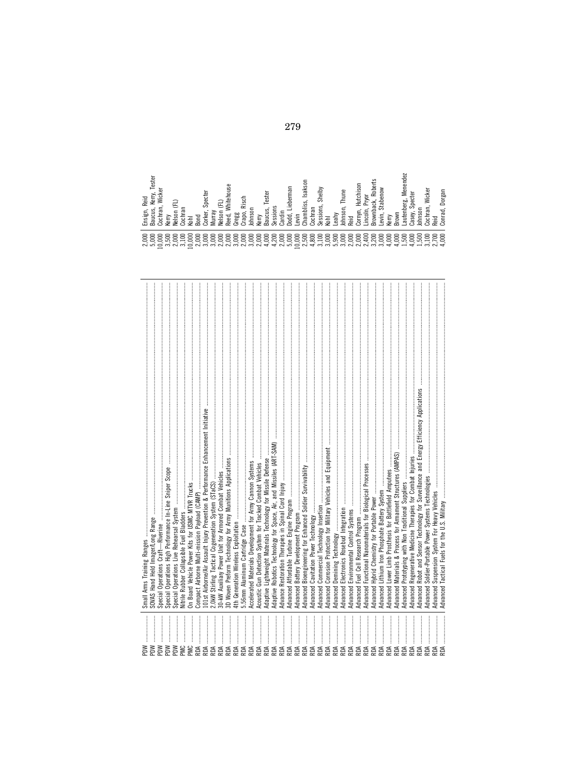| MQd               | Small Arms Training Ranges                                                                  |
|-------------------|---------------------------------------------------------------------------------------------|
| <b>MG</b><br>MGd  | SOVAS Hand Held Imager/Long Range<br>Special Operations Craft-Riverine                      |
| MGd               | Operations High Performance In-Line Sniper Scope<br>Special                                 |
| MGd               | Special Operations Live Rehearsal System                                                    |
| <b>DMG</b>        | Vitrile Rubber Collapsible Fuel Bladders                                                    |
| <b>PMC</b>        | On Board Vehicle Power Kits for USMC MTVR Trucks                                            |
| RDA               | Compact Airborne Multi-mission Payload (CAMP)                                               |
| <b>RDA</b>        | 101st Airborne/Air Assault Injury Prevention & Performance Enhancement Initiative           |
|                   |                                                                                             |
|                   | 30-KW Auxiliary Power Unit for Armored Combat Vehicles                                      |
|                   | 3D Woven Preform Technology for Army Munitions Applications                                 |
|                   | 4th Generation Wireless Exploitation                                                        |
|                   | 5.56mm Aluminum Cartridge Case                                                              |
|                   | Accelerated Materials Development for Army Cannon Systems                                   |
|                   | Acoustic Gun Detection System for Tracked Combat Vehicles                                   |
|                   | Adaptive Lightweight Materials Technology for Missile Defense                               |
|                   | Adaptive Robotics Technology for Space, Air, and Missiles (ART-SAM)                         |
|                   | Advance Restoration Therapies in Spinal Cord Injury                                         |
|                   |                                                                                             |
|                   | Advanced Battery Development Program                                                        |
| RDA<br>RDA<br>RDA | Advanced Bioengineering for Enhanced Soldier Survivability                                  |
|                   | Advanced Cavitation Power Technology                                                        |
| RDA               | Advanced Commercial Technology Insertion                                                    |
| <b>RDA</b>        | Advanced Corrosion Protection for Military Vehicles and Equipment                           |
|                   | Demining Technology<br>Advanced                                                             |
|                   | Electronics Rosebud Integration<br>Advanced                                                 |
|                   | Advanced                                                                                    |
|                   | Fuel Cell Research Program<br>Advanced                                                      |
| RDA<br>RDA        | Advanced Functional Nanomaterials for Biological Processes                                  |
|                   | Advanced Hybrid Chemistry for Portable Power                                                |
| RDA.              | Advanced Lithium Iron Phosphate Battery System                                              |
| <b>RDA</b>        | Advanced Lower Limb Prosthesis for Battlefield Amputees                                     |
|                   | Materials & Process for Armament Structures (AMPAS)<br>Advanced                             |
|                   | Prototyping with Non Traditional Suppliers<br>Advanced                                      |
|                   | Regenerative Medicine Therapies for Combat Injuries<br>Advanced                             |
| <b>RDA</b>        | Robot and Sensor Technology for Surveillance and Energy Efficiency Applications<br>Advanced |
| RDA               | Soldier-Portable Power Systems Technologies<br>Advanced                                     |
| RDA               | Suspension System For Heavy Vehicles<br>Advanced                                            |
|                   | dyanced Tactical Fuels for the U.S. Military                                                |

| Tester<br>Vic<br>Reid<br>ළ<br>σ.<br>⋍<br>nsig<br>elsoi<br>auc<br>$rac{\pi}{2}$<br>gά<br>튱<br>erry<br>콩<br>$\infty$<br>دے<br>B<br>$\geq$<br>$\sim$<br>×                                                           | itehous<br>Specter<br>sch<br>≂<br>rapo<br>regg<br>orke<br>elso<br>Johns<br>eed,<br>≣<br>⋝<br>ż<br>co<br>$\sim$<br>c٦                                                                                                                 | Isakso<br>ieberman<br>ester<br>ທົ<br><u>Sig</u><br>aucu<br>essi<br>evin<br>Ъро<br>ard<br>erry<br>Σq<br>$\infty$<br>$\sim$                                              | Shelby<br>Thune<br>≝<br>듦<br>등<br>Johns<br>eahy<br>공<br>콩<br>8<br>8<br>י :<br>$\omega$                                                                                                                           | ison<br><u>ada</u><br>š<br>utchi<br>œ<br>⋷<br>≏<br>cn<br>orny<br>$\frac{20}{20}$<br>row<br>row<br>awe<br>ΘĽΝ<br>m<br>$\sim$                                                             | enend<br>Wicker<br>ż<br>orga<br>e,<br>5<br>ьô<br>Ō<br>ber<br>க<br>ರ<br>onra<br>aute<br>asey<br>틈<br>공<br>ੰਡ<br>$\circ$                                                     |
|------------------------------------------------------------------------------------------------------------------------------------------------------------------------------------------------------------------|--------------------------------------------------------------------------------------------------------------------------------------------------------------------------------------------------------------------------------------|------------------------------------------------------------------------------------------------------------------------------------------------------------------------|------------------------------------------------------------------------------------------------------------------------------------------------------------------------------------------------------------------|-----------------------------------------------------------------------------------------------------------------------------------------------------------------------------------------|----------------------------------------------------------------------------------------------------------------------------------------------------------------------------|
| 0<br>っ<br>っ<br>≘<br>$\circ$<br>$\circ$<br>っ<br>ఀ<br>ā<br>⊝<br>っ<br>っ<br>っ<br>0<br>0<br>$\supset$<br>$\overline{\phantom{0}}$<br>っ<br>صا<br>っ<br>っ<br>$\hat{m}$<br>$\overline{3}$<br>ನನ<br>ੱ<br>$\sim$<br>$\circ$ | 8<br>っ<br>っ<br>$\circ$<br>0<br>0<br>っ<br>っ<br>⊝<br>⋶<br>≏<br>っ<br>っ<br>⊂<br>っ<br>っ<br>$\overline{\phantom{0}}$<br>っ<br>▭<br>っ<br>っ<br>っ<br>っ<br>$\alpha$ $\alpha$<br>$\overline{30}$<br>$\overline{\mathcal{N}}$<br>$\sim$<br>$\sim$ | 8<br>$\circ$<br>$\circ$<br>っ<br>っ<br>0<br>⊂<br>⊂<br>⊂<br>⊂<br>⊂<br>$\supset$<br>LO.<br>▭<br>▭<br>$\sim$<br>っ<br>$\overline{25}$<br>਼ਿੰ<br>ੱ<br>$\rightarrow$<br>$\sim$ | $\circ$<br>$\circ$<br>0<br>っ<br>っ<br>$\circ$<br>ā<br>っ<br>っ<br>⊂<br>っ<br>っ<br>$\infty$<br>っ<br>っ<br>$\overline{\phantom{0}}$<br>రా<br>っ<br>$\sim$<br>$\rightarrow$<br>$m \overline{n} \overline{m} \overline{N}$ | 8<br>$\circ$<br>$\circ$<br>$\circ$<br>$\circ$<br>$\circ$<br>ā<br>▭<br>っ<br>っ<br>っ<br>$\div$<br>$\overline{\phantom{0}}$<br>っ<br>▭<br>$\sim$<br>っ<br>ਚੋ<br>$\frac{1}{2}$<br>ਚੇ<br>$\sim$ | 8<br>$\circ$<br>8<br>っ<br>っ<br>⊂<br>ā<br>ౚ<br>0<br>っ<br>$\circ$<br>LO<br>5<br>0<br>$\overline{\phantom{0}}$<br>÷<br>່ຕົ<br>$\sim$ $\pm$<br>$\rightarrow$<br>$\overline{ }$ |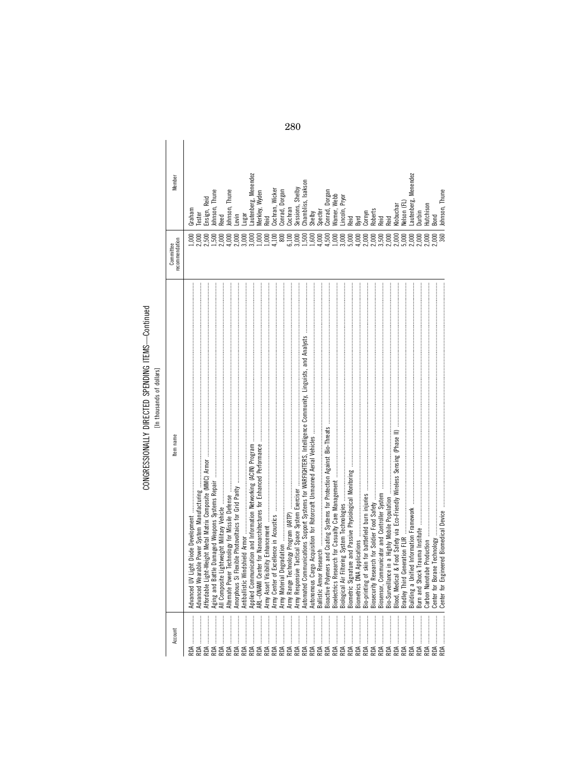# CONGRESSIONALLY DIRECTED SPENDING ITEMS-Continued<br>[In thousands of dollars]

| Member                               | Graham | ester |  | Ensign, Reid<br>Johnson, Thune<br>Reed | Johnson, Thune | Levin | ngar | Lautenberg, Menendez | Merkley, Wyden | Reid | Cochran, Wicker | Conrad, Dorgan | Cochran        | Sessions, Shelby | Chambliss, Isakson                 | Shelby | Specter | Conrad, Dorgan | Warner, Webb                  | Lincoln, Pryor<br>Reid<br>Byrd |       | Cornyn<br>Roberts<br>Reid<br>Reid |                                                | Klobuchar | Nelson (FL) | Lautenberg, Menendez | Durbin | Hutchison      | Bond | Johnson, Thune |
|--------------------------------------|--------|-------|--|----------------------------------------|----------------|-------|------|----------------------|----------------|------|-----------------|----------------|----------------|------------------|------------------------------------|--------|---------|----------------|-------------------------------|--------------------------------|-------|-----------------------------------|------------------------------------------------|-----------|-------------|----------------------|--------|----------------|------|----------------|
| recommendation<br><b>COMMUNICATE</b> |        |       |  |                                        |                |       |      |                      |                |      |                 | 800            | 6,100<br>3,000 |                  | $1,00000$<br>$1,00000$<br>$1,0000$ |        |         |                | $1,000$<br>$3,000$<br>$5,000$ |                                | 4,000 | 2,000<br>2,000<br>2,000           |                                                | 2,000     | 5,000       | 2,000                | 2,000  | 2,000<br>2,000 |      | 360            |
| tem name                             |        |       |  |                                        |                |       |      |                      |                |      |                 |                |                |                  |                                    |        |         |                |                               |                                |       |                                   | Bio-Surveillance in a Highly Mobile Population |           |             |                      |        |                |      |                |
| Account                              |        |       |  |                                        |                |       |      |                      |                |      |                 |                |                |                  |                                    |        |         |                |                               |                                |       |                                   |                                                |           |             |                      |        |                |      |                |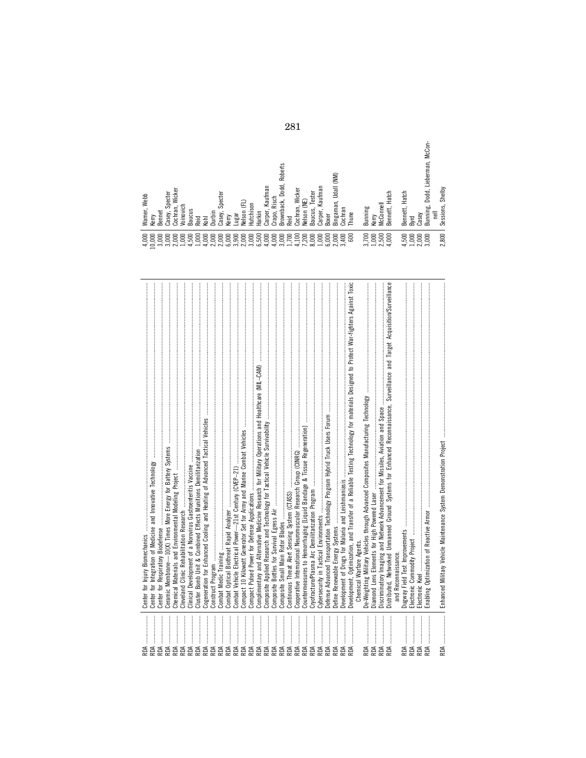| RDA                                                                                                                                                                                                                                                                                                               | Center for Injury Biomechanics manufacturement and an accommentation of the manufacture of the Injury Biomechanics and                                                                                                                                                                                                                                                                                                                                                                                              | 4,000                                                  | Warner, Webb                             |
|-------------------------------------------------------------------------------------------------------------------------------------------------------------------------------------------------------------------------------------------------------------------------------------------------------------------|---------------------------------------------------------------------------------------------------------------------------------------------------------------------------------------------------------------------------------------------------------------------------------------------------------------------------------------------------------------------------------------------------------------------------------------------------------------------------------------------------------------------|--------------------------------------------------------|------------------------------------------|
|                                                                                                                                                                                                                                                                                                                   | Center for Integ                                                                                                                                                                                                                                                                                                                                                                                                                                                                                                    | 10,000                                                 | Kerry                                    |
|                                                                                                                                                                                                                                                                                                                   | Center for Respiratory Biodefense                                                                                                                                                                                                                                                                                                                                                                                                                                                                                   | 3,000                                                  | <b>Bennet</b>                            |
|                                                                                                                                                                                                                                                                                                                   | Ceramic Memb                                                                                                                                                                                                                                                                                                                                                                                                                                                                                                        | 3,000                                                  | Casey, Specter                           |
|                                                                                                                                                                                                                                                                                                                   | Chemical Mate                                                                                                                                                                                                                                                                                                                                                                                                                                                                                                       | 2,000                                                  | Cochran, Wicker                          |
| <b>AREA</b>                                                                                                                                                                                                                                                                                                       | Cleveland Clin                                                                                                                                                                                                                                                                                                                                                                                                                                                                                                      | 1,000                                                  | Voinovich                                |
|                                                                                                                                                                                                                                                                                                                   | Clinical Develo                                                                                                                                                                                                                                                                                                                                                                                                                                                                                                     | 4,500                                                  | <b>Baucus</b>                            |
| RDA                                                                                                                                                                                                                                                                                                               | Cluster Bomb                                                                                                                                                                                                                                                                                                                                                                                                                                                                                                        | 1,000                                                  | Reid                                     |
|                                                                                                                                                                                                                                                                                                                   |                                                                                                                                                                                                                                                                                                                                                                                                                                                                                                                     | 4,000                                                  | Kohl                                     |
|                                                                                                                                                                                                                                                                                                                   | <b>2011</b> — политический политический политический политический политический политический политический политический<br>Construct Progr                                                                                                                                                                                                                                                                                                                                                                            | 2,000                                                  | Durbin                                   |
|                                                                                                                                                                                                                                                                                                                   | $\textbf{[righting}\textbf{ }\textit{num} \textit{num} \textit{num} \textit{num} \textit{num} \textit{num} \textit{num} \textit{num} \textit{num} \textit{num} \textit{num} \textit{num} \textit{num} \textit{num} \textit{num} \textit{num} \textit{num} \textit{num} \textit{num} \textit{num} \textit{num} \textit{num} \textit{num} \textit{num} \textit{num} \textit{num} \textit{num} \textit{num} \textit{num} \textit{num} \textit{num} \textit{num} \textit{num} \textit{num} \textit{num$<br>Combat Medic | 2,000                                                  |                                          |
|                                                                                                                                                                                                                                                                                                                   | Combat Optica                                                                                                                                                                                                                                                                                                                                                                                                                                                                                                       | 6,000                                                  | Casey, Specter<br>Kerry                  |
| $\begin{tabular}{c} 1 & 1 & 1 & 1\\ \hline 2 & 3 & 1 & 1\\ 3 & 4 & 5 & 1\\ 4 & 5 & 1 & 1\\ 5 & 6 & 1 & 1\\ 6 & 1 & 1 & 1\\ 7 & 1 & 1 & 1\\ 8 & 1 & 1 & 1\\ 9 & 1 & 1 & 1\\ 1 & 1 & 1 & 1\\ 1 & 1 & 1 & 1\\ 1 & 1 & 1 & 1\\ 1 & 1 & 1 & 1\\ 1 & 1 & 1 & 1\\ 1 & 1 & 1 & 1\\ 1 & 1 & 1 & 1 & 1\\ 1 & 1 & 1 & 1 & 1$ | Combat Vehicle                                                                                                                                                                                                                                                                                                                                                                                                                                                                                                      |                                                        | ugar                                     |
| RDA                                                                                                                                                                                                                                                                                                               | Compact 10 Kil                                                                                                                                                                                                                                                                                                                                                                                                                                                                                                      | 3,900<br>2,000                                         | Nelson (FL)                              |
| RDA                                                                                                                                                                                                                                                                                                               |                                                                                                                                                                                                                                                                                                                                                                                                                                                                                                                     | 3,000                                                  | Hutchison                                |
| RDA                                                                                                                                                                                                                                                                                                               | Complimentary                                                                                                                                                                                                                                                                                                                                                                                                                                                                                                       | 6,500                                                  | Harkin                                   |
| RDA                                                                                                                                                                                                                                                                                                               | Composite App                                                                                                                                                                                                                                                                                                                                                                                                                                                                                                       | 4,000                                                  | Carper, Kaufman                          |
|                                                                                                                                                                                                                                                                                                                   | Composite Bott                                                                                                                                                                                                                                                                                                                                                                                                                                                                                                      | 4,000                                                  | Crapo, Risch                             |
|                                                                                                                                                                                                                                                                                                                   |                                                                                                                                                                                                                                                                                                                                                                                                                                                                                                                     | 3,000                                                  |                                          |
| <b>ASE</b>                                                                                                                                                                                                                                                                                                        | Continuous Thr                                                                                                                                                                                                                                                                                                                                                                                                                                                                                                      | 1,700                                                  | Brownback, Dodd, Roberts<br>Reid         |
| RDA                                                                                                                                                                                                                                                                                                               | Cooperative Int                                                                                                                                                                                                                                                                                                                                                                                                                                                                                                     | 4,100                                                  | Cochran, Wicker                          |
| RDA                                                                                                                                                                                                                                                                                                               | Countermeasur                                                                                                                                                                                                                                                                                                                                                                                                                                                                                                       | 7,200                                                  | Velson (NE)                              |
| RDA                                                                                                                                                                                                                                                                                                               |                                                                                                                                                                                                                                                                                                                                                                                                                                                                                                                     | 8,000                                                  | Baucus, Tester                           |
|                                                                                                                                                                                                                                                                                                                   | Cybersecurity in                                                                                                                                                                                                                                                                                                                                                                                                                                                                                                    | 1,000                                                  | Carper, Kaufman                          |
|                                                                                                                                                                                                                                                                                                                   | Defense Advano                                                                                                                                                                                                                                                                                                                                                                                                                                                                                                      | 6,000                                                  | <b>Boxer</b>                             |
|                                                                                                                                                                                                                                                                                                                   | Jefine Renewa                                                                                                                                                                                                                                                                                                                                                                                                                                                                                                       | 2,000                                                  | Bingaman, Udall (NM)                     |
|                                                                                                                                                                                                                                                                                                                   | Development of                                                                                                                                                                                                                                                                                                                                                                                                                                                                                                      | 3,400                                                  | Cochran                                  |
|                                                                                                                                                                                                                                                                                                                   | Optimization, and Transfer of a Reliable Testing Technology for materials Designed to Protect War-fighters Against Toxic<br>Development,                                                                                                                                                                                                                                                                                                                                                                            |                                                        | Thune                                    |
|                                                                                                                                                                                                                                                                                                                   | Chemical Warfare Agents.                                                                                                                                                                                                                                                                                                                                                                                                                                                                                            |                                                        |                                          |
| RDA                                                                                                                                                                                                                                                                                                               | De-Weighting M                                                                                                                                                                                                                                                                                                                                                                                                                                                                                                      | 3,700                                                  | Bunning                                  |
| RDA                                                                                                                                                                                                                                                                                                               | Elements for High Powered Laser<br>Diamond Lens                                                                                                                                                                                                                                                                                                                                                                                                                                                                     |                                                        | Kerry                                    |
|                                                                                                                                                                                                                                                                                                                   | Distributed, Networked Unmanned Ground Systems for Enhanced Reconnaissance, Surveillance and Target Acquisition/Surveillance<br>Discriminatory                                                                                                                                                                                                                                                                                                                                                                      | $\begin{array}{c} 1,000 \\ 2,500 \\ 4,000 \end{array}$ | Bennett, Hatch<br><b>McConnell</b>       |
|                                                                                                                                                                                                                                                                                                                   | and Reconnaissance.                                                                                                                                                                                                                                                                                                                                                                                                                                                                                                 |                                                        |                                          |
| RDA                                                                                                                                                                                                                                                                                                               | Dugway Field T                                                                                                                                                                                                                                                                                                                                                                                                                                                                                                      | 4,500                                                  | Bennett, Hatch                           |
| RDA                                                                                                                                                                                                                                                                                                               | Electronic Com                                                                                                                                                                                                                                                                                                                                                                                                                                                                                                      | 1,000                                                  | Byrd                                     |
| RDA                                                                                                                                                                                                                                                                                                               | Electronic Keel                                                                                                                                                                                                                                                                                                                                                                                                                                                                                                     | 2,000                                                  | Casey                                    |
|                                                                                                                                                                                                                                                                                                                   | Enabling Optim                                                                                                                                                                                                                                                                                                                                                                                                                                                                                                      | 3,000                                                  | Bunning, Dodd, Lieberman, McCon-<br>nell |
|                                                                                                                                                                                                                                                                                                                   | Enhanced Milit                                                                                                                                                                                                                                                                                                                                                                                                                                                                                                      |                                                        | 2,800 Sessions, Shelby                   |

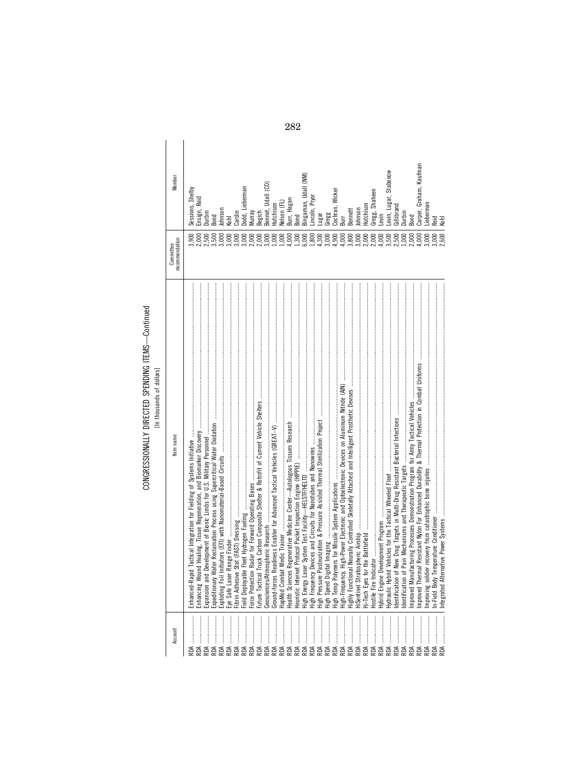### CONGRESSIONALLY DIRECTED SPENDING ITEMS-Continued<br>[In thousands of dollars] CONGRESSIONALLY DIRECTED SPENDING ITEMS—Continued [In thousands of dollars]

| Member                      | Carper, Graham, Kaufman<br>Levin, Lugar, Stabenow<br>ingaman, Udall (NM)<br>ennet, Udall (CO)<br>odd, Lieberman<br>Sessions, Shelby<br>Cochran, Wicker<br>Gregg, Shaheen<br>.incoln, Pryor<br>insign, Reid<br>Burr, Hagan<br>lelson (FL)<br>.ieberman<br>Hutchison<br>Gillibrand<br>Hutchison<br>lohnson<br>Bennett<br>ohnson<br>Durbin<br>ardin<br>Burr<br>lurray<br>legich<br>lurbin<br>Gregg<br>avin-<br><b>Tand</b><br>ng<br>S<br>Bond<br>高<br><b>Reid</b>                                                                                                                        | Kohl    |
|-----------------------------|---------------------------------------------------------------------------------------------------------------------------------------------------------------------------------------------------------------------------------------------------------------------------------------------------------------------------------------------------------------------------------------------------------------------------------------------------------------------------------------------------------------------------------------------------------------------------------------|---------|
| recommendation<br>Committee | 4,900<br>4,000<br>3,500<br>2,500<br>4,000<br>3,000<br>3,000<br>2,000<br>3,000<br>1,000<br>1,000<br>1,300<br>6,000<br>1,800<br>4,300<br>3,000<br>4,000<br>3,800<br>3,000<br>2,000<br>2,000<br>1,000<br>2,000<br>3,000<br>3,000<br>3,000<br>2,000<br>4,000<br>3,000<br>3,500                                                                                                                                                                                                                                                                                                            |         |
| tem name                    | Expansion and Development of Bionic Limbs for U.S. Military Personnel with an annon-annon-annon-annon-annon-annon-annon-annon-annon-annon-annon-annon-annon-annon-annon-annon-annon-anno<br>. Eyes for the Battlefield was an announcement and an announcement and an announcement and are an announcement<br>Explodin<br>Force P<br>Improvi<br>Expedit<br>Improve<br>Eye Sar<br>Heurist<br>Hostile<br>Enhand<br>Future<br>11월 12일<br>11월 12일<br>11월 12일 12월 12일<br>Hi-Tech<br>Hydrau<br>Geoscie<br>Health<br>ldentif<br>ldentif<br>Fibrin<br>HiSent<br>$n$ -Fiel<br>Highly<br>Hybrid | ntegraf |
| Account                     | ទ្ធទ្ធទ្ន<br><b>ROA</b><br>RDA<br>RDA<br>RDA<br><b>RDA</b><br>RDA<br>RDA<br>RDA<br>RDA<br>RDA<br>RDA<br>RDA<br>RDA<br>RDA<br>RDA<br>RDA<br>RDA<br>RDA<br>RDA<br>RDA<br>RDA                                                                                                                                                                                                                                                                                                                                                                                                            |         |

282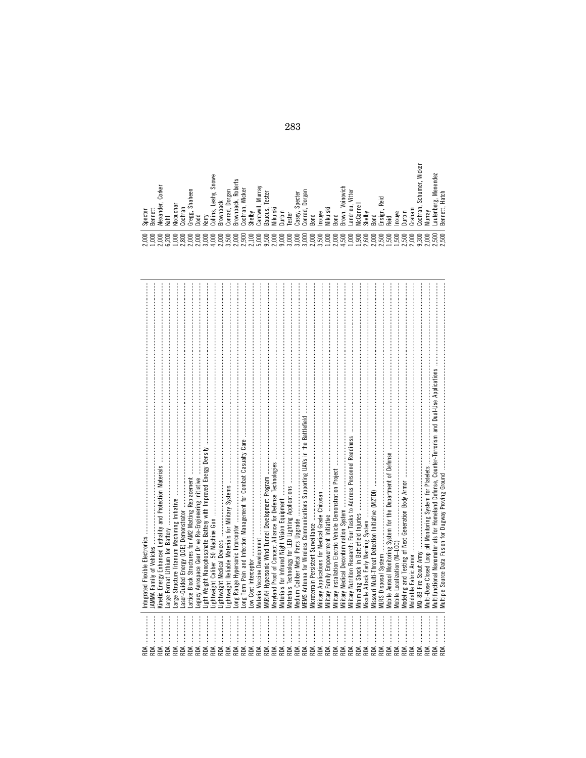| RDA.<br>RDA.<br>AOR<br>УQ | Kinetic Energy Enhanced Lethality and Protection Materials<br>AMMA Family of Vehicles<br>arge Format Lithium Ion Battery<br>ntegrated Flexible Electronics                                                                                                                                                                                                                                                                                                                                                                                                                                      |
|---------------------------|-------------------------------------------------------------------------------------------------------------------------------------------------------------------------------------------------------------------------------------------------------------------------------------------------------------------------------------------------------------------------------------------------------------------------------------------------------------------------------------------------------------------------------------------------------------------------------------------------|
| RDA<br>RDA                | arge Structure Titanium Machining Initiative<br>aser-Guided Energy (LGE) Demonstrator                                                                                                                                                                                                                                                                                                                                                                                                                                                                                                           |
| RDA<br>RDA                | attice Block Structures for AM2 Matting Replacement                                                                                                                                                                                                                                                                                                                                                                                                                                                                                                                                             |
| RDA.                      | Light Weight Nanophosphate Battery with Improved Energy Density<br>egacy Aerospace Gear Drive Re-Engineering Initiative                                                                                                                                                                                                                                                                                                                                                                                                                                                                         |
| RDA<br>RDA                | Lightweight Caliber .50 Machine Gun<br>Lightweight Medical Devices                                                                                                                                                                                                                                                                                                                                                                                                                                                                                                                              |
| RDA.<br>RDA               | $\label{def:1} \begin{minipage}{0.9\linewidth} \begin{minipage}{0.9\linewidth} \begin{minipage}{0.9\linewidth} \begin{minipage}{0.9\linewidth} \end{minipage} \begin{minipage}{0.9\linewidth} \begin{minipage}{0.9\linewidth} \end{minipage} \end{minipage} \begin{minipage}{0.9\linewidth} \begin{minipage}{0.9\linewidth} \begin{minipage}{0.9\linewidth} \end{minipage} \end{minipage} \end{minipage} \begin{minipage}{0.9\linewidth} \begin{minipage}{0.9\linewidth} \begin{minipage}{0.9\linewidth} \end{minipage} \end{minipage} \$<br>ightweight Reliable Materials for Military Systems |
|                           | ong Term Pain and Infection Management for Combat Casualty Care                                                                                                                                                                                                                                                                                                                                                                                                                                                                                                                                 |
|                           | .ow Cost Interceptor                                                                                                                                                                                                                                                                                                                                                                                                                                                                                                                                                                            |
| RDA.                      | MARIAH Hypersonic Wind Tunnel Development Program<br>Malaria Vaccine Development                                                                                                                                                                                                                                                                                                                                                                                                                                                                                                                |
| RDA                       | Maryland Proof of Concept Alliance for Defense Technologies                                                                                                                                                                                                                                                                                                                                                                                                                                                                                                                                     |
| $\vdots$<br>RDA           | Materials for Infrared Night Vision Equipment                                                                                                                                                                                                                                                                                                                                                                                                                                                                                                                                                   |
|                           | Materials Technology for LED Lighting Applications                                                                                                                                                                                                                                                                                                                                                                                                                                                                                                                                              |
|                           | Medium Caliber Metal Parts Upgrade                                                                                                                                                                                                                                                                                                                                                                                                                                                                                                                                                              |
|                           | <b>VIEMS</b> Antenna for Wireless Communications Supporting UAVs in the Battlefield                                                                                                                                                                                                                                                                                                                                                                                                                                                                                                             |
| RDA.                      | Microterrain Persistent Surveillance                                                                                                                                                                                                                                                                                                                                                                                                                                                                                                                                                            |
| RDA<br><b>RDA</b>         | Vilitary Applications for Medical Grade Chitosan<br>Military Family Empowerment Initiative                                                                                                                                                                                                                                                                                                                                                                                                                                                                                                      |
|                           | Military Installation Electric Vehicle Demonstration Project                                                                                                                                                                                                                                                                                                                                                                                                                                                                                                                                    |
|                           | Vilitary Medical Decontamination System                                                                                                                                                                                                                                                                                                                                                                                                                                                                                                                                                         |
|                           | Military Nutrition Research: Four Tasks to Address Personnel Readiness                                                                                                                                                                                                                                                                                                                                                                                                                                                                                                                          |
| RDA.                      | Minimizing Shock in Battlefield Injuries                                                                                                                                                                                                                                                                                                                                                                                                                                                                                                                                                        |
| RDA<br>AŒ                 | Viissouri Multi-Threat Detection Initiative (M2TDI)<br>Missile Attack Early Warning System                                                                                                                                                                                                                                                                                                                                                                                                                                                                                                      |
| RDA                       |                                                                                                                                                                                                                                                                                                                                                                                                                                                                                                                                                                                                 |
| AOK.                      | Mobile Aerosol Monitoring System for the Department of Defense                                                                                                                                                                                                                                                                                                                                                                                                                                                                                                                                  |
| λDΑ.                      | Mobile Localization (M-LOC)                                                                                                                                                                                                                                                                                                                                                                                                                                                                                                                                                                     |
| RDA.<br>RDA               | Modeling and Testing of Next Generation Body Armor<br>Moldable Fabric Armor                                                                                                                                                                                                                                                                                                                                                                                                                                                                                                                     |
| AOR                       |                                                                                                                                                                                                                                                                                                                                                                                                                                                                                                                                                                                                 |
| AŒ                        | Multi-Dose Closed Loop pH Monitoring System for Platelets                                                                                                                                                                                                                                                                                                                                                                                                                                                                                                                                       |
| AOR                       | Multifunctional Nanomaterials for Homeland Defense, Counter-Terrorism and Dual-Use Applications<br>Multiple Source Data Fusion for Dugway Proving Ground                                                                                                                                                                                                                                                                                                                                                                                                                                        |
|                           |                                                                                                                                                                                                                                                                                                                                                                                                                                                                                                                                                                                                 |

Kiobuchar<br>Cochran<br>Gregg, Shaheen<br>Gregg, Shaheen<br>Brownback<br>Brownback<br>Brownback<br>Collins, Leahy, Snowe<br>Browna, Wicker<br>Contain, Multiski<br>Casey, Specter<br>Mikulski<br>Mikulski<br>Mikulski<br>Bond Landrieu, Witter<br>Moonell<br>Multiski<br>Brown, V Murray<br>Lautenberg, Menendez<br>Bennett, Hatch Specter<br>Bennett<br>Alexander, Corker<br>Kohl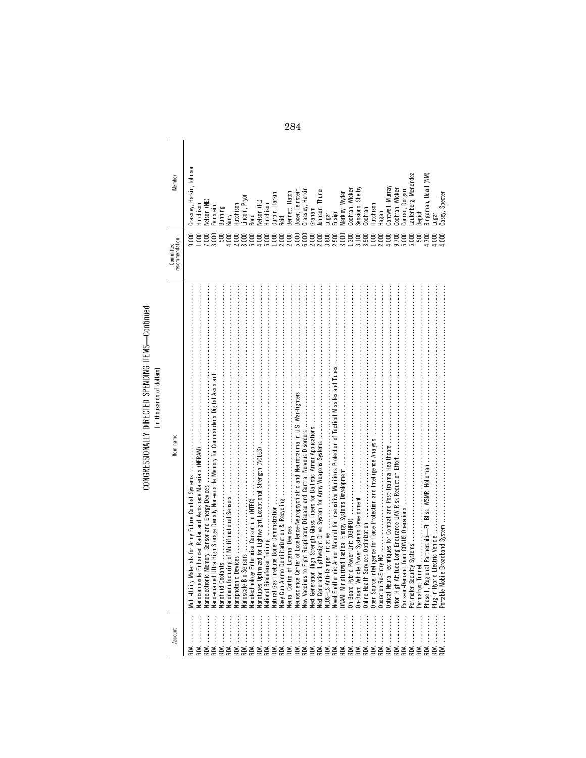# CONGRESSIONALLY DIRECTED SPENDING ITEMS-Continued<br>[In thousands of dollars]

| $\overline{\phantom{a}}$<br>֦֧֦֦֧֧֧֦֧֦֧֧֧֧֧֧֧֦֧֧֧֚֝֬֝֬֓֓֕֓֓֬֓֓֬֓֓֬֝֓֬֓֓֬֓֓֬֓֓֬֓֓֬֓֓֬֓֓֓֓֓֓֓֓֬֓֓֓֓֬֓֓֓֓֬֓֓֓֬֬֓֓֓֓֝֬֝ |  |  |
|---------------------------------------------------------------------------------------------------------------------|--|--|
| 5                                                                                                                   |  |  |
| 5<br>ׇ֚֕                                                                                                            |  |  |
|                                                                                                                     |  |  |

| Member                               | Grassley, Harkin, Johnson<br>Velson (NE)<br>utchison | einstein<br>Bunning | Hutchison<br>erry | incoln, Pryor | Velson (FL)<br>$3$ ond | Hutchison | Jurbin, Harkin | Bennett, Hatch | Boxer, Feinsteir | Grassley, Harkin                                                                                     | Graham | ohnson, Thune | ngar  | Ensign | Cochran, Wicker<br>Wyden<br>Merkley, V | Sessions, Shelby | Cochran | Hutchison | Hagan | Cantwell, Murray | Cochran, Wicker | Conrad, Dorgan | Lautenberg, Menendez | Begich | Bingaman, Udall (NM) | Casey, Specter |  |
|--------------------------------------|------------------------------------------------------|---------------------|-------------------|---------------|------------------------|-----------|----------------|----------------|------------------|------------------------------------------------------------------------------------------------------|--------|---------------|-------|--------|----------------------------------------|------------------|---------|-----------|-------|------------------|-----------------|----------------|----------------------|--------|----------------------|----------------|--|
| recommendation<br><b>COMMUNICATE</b> | $000$ .<br>000 <sub>i</sub><br>600                   | 3,000<br>500        | 1,000<br>2,000    | 3,000         |                        |           |                |                | 5,000            | 6,000                                                                                                | 2,000  | 2,000         | 3,800 | 2,500  | 3,000<br>1,300<br>3,100                |                  | 3,900   | 000       | 2,000 | 4,000            | 9,700           | 5,000          |                      | 500    | 1,700                | 4,000<br>000   |  |
| Item name                            |                                                      |                     |                   |               |                        |           |                |                |                  | New Yaccines to Fight Respiratory Disease and Central Nervous Disorders ………………………………………………………………………… |        |               |       |        |                                        |                  |         |           |       |                  |                 |                |                      |        |                      |                |  |
| Account                              |                                                      |                     |                   |               |                        |           |                |                |                  |                                                                                                      |        |               |       |        |                                        |                  |         |           |       |                  |                 |                |                      |        |                      |                |  |

284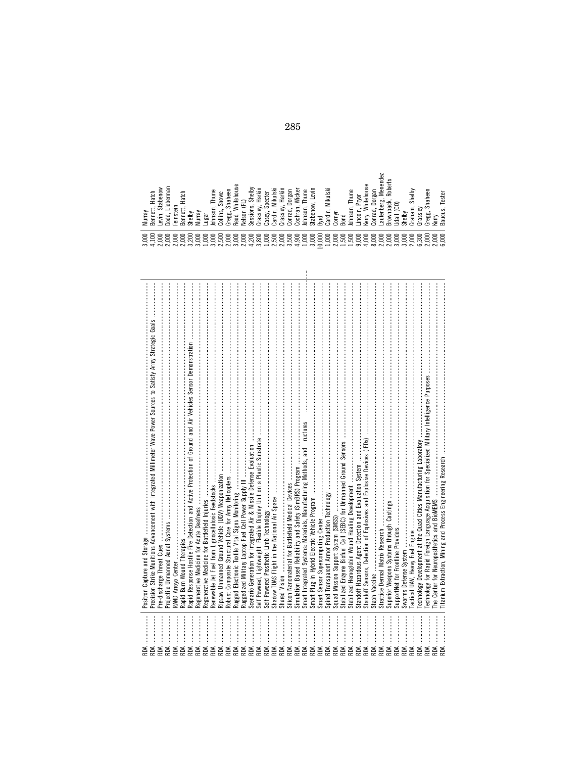| .ieberman<br>Stabenow<br>Hatch<br>Murray<br>Bennet<br>evin<br>명 | Hatch<br>einstein<br>helby<br>ennei<br>൶                                                 | urray<br>ugar<br>⋝              | Thune<br>Johnson,             | Snowe<br>Collins,   | tehouse<br>aheen<br>ऊँ<br>₹<br>Gregg<br>Reed,    | elso<br>₹   | Shelby<br>ons,<br>essi<br>$\sim$ | Harkin<br>$\sim$<br>₫<br>Grassl | ecter<br>க<br>asey   | ikulski<br>⋝<br>ardin,<br>C <sub>D</sub><br>c     | Harki<br>rassley<br>د م | Wicker<br>orgal<br>ochran,<br>⋼<br>onra<br>Ō | Thune<br>$\sim$<br>ohnson, | evin<br>$\sim$<br>now<br>Stabel  | Byrd                                            | Mikulski<br>$\epsilon$<br>ardi<br>c٦ | ⋍<br>orny<br>Bond<br>c٦                             | Thune<br>lohnson, | Pryor<br>.incoln,           | hitehouse<br>Kerry, | Dorgan<br>с<br>onra | Menend<br>قە<br>autenber | Rober<br>نحد<br>ت<br>ន<br>rown<br>$\sim$ | $\circ$<br>¶eb<br>– | helby<br>$\overline{\phantom{a}}$ | Shelby<br>Ε<br>Graha | rassley<br>C <sub>D</sub> | Shaheen<br>Gregg | erry<br>≌ ∞                      | Tester<br>×.<br>aucus, |
|-----------------------------------------------------------------|------------------------------------------------------------------------------------------|---------------------------------|-------------------------------|---------------------|--------------------------------------------------|-------------|----------------------------------|---------------------------------|----------------------|---------------------------------------------------|-------------------------|----------------------------------------------|----------------------------|----------------------------------|-------------------------------------------------|--------------------------------------|-----------------------------------------------------|-------------------|-----------------------------|---------------------|---------------------|--------------------------|------------------------------------------|---------------------|-----------------------------------|----------------------|---------------------------|------------------|----------------------------------|------------------------|
| 8<br>8<br>8<br>8<br>っ<br>▭<br>$\supset$<br>$\vec{f}$<br>$\sim$  | 8<br>8<br>$\circ$<br>$\sim$<br>$\ddot{\Omega} \ddot{\Omega} \ddot{\Omega} \ddot{\Omega}$ | 8<br>≍<br>3,0<br>$\supset$<br>ੜ | 8<br>っ<br>$\overline{\omega}$ | 8<br>ம்<br>$\alpha$ | 8<br>8<br>$\circ$<br>$\supset$<br>$\overline{S}$ | 8<br>っ<br>ಸ | ⊂<br>≍<br>$\ddot{ }$             | っ<br>ద<br>$\infty$<br>$\sim$    | 8<br>$\supset$<br>G. | 8<br>8<br>ທ<br>$\circ$<br>ಸ<br>$\vec{\mathbf{a}}$ | 8<br>ທ                  | っ<br>≍<br>ക<br>ಈ<br>$\sim$                   | っ<br>ద<br>$\supset$<br>국   | ≍<br>$\supset$<br>$\overline{z}$ | 8<br>ē<br>$\tilde{\phantom{a}}$<br>$\circ$<br>- | 8<br>っ<br>극                          | 8<br>8<br>っ<br>صا<br>ಸ್<br>$\overline{\phantom{0}}$ | っ<br>ద<br>⊷<br>÷  | ≍<br>$\supset$<br>$\vec{a}$ | 8<br>っ<br>÷         | 8<br>⊖<br>$\infty$  | 8<br>$\circ$<br>้จ๋จ๋ต้  | 8<br>0                                   | 8<br>$\circ$        | っ<br>≍                            | 8                    | 8<br>ತ್ತಿತ್ತವೆ<br>ನನ್ನೂ   | 8                | ద<br>$\supset$<br>$\overline{Q}$ | 8<br>C.                |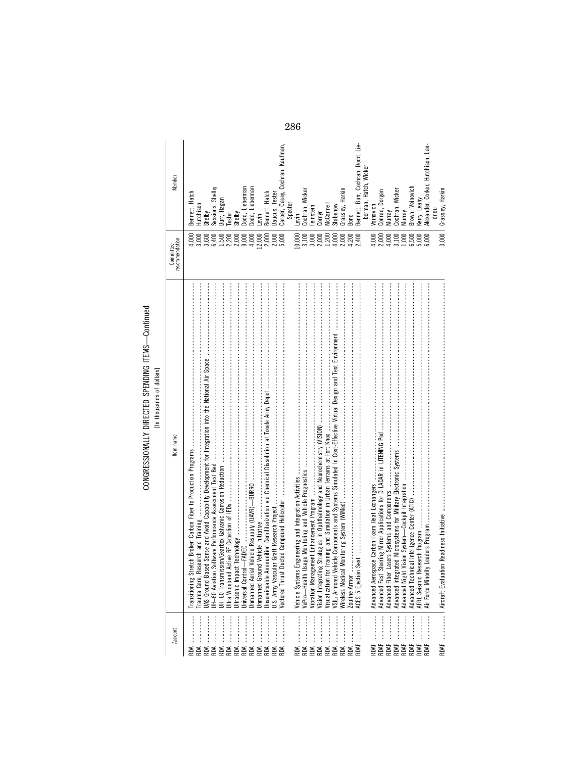### CONGRESSIONALLY DIRECTED SPENDING ITEMS-Continued<br>[In thousands of dollars] CONGRESSIONALLY DIRECTED SPENDING ITEMS—Continued [In thousands of dollars]

| Member                      | Bennett, Hatch<br>Hutchison<br>3,000<br>1,000 | Shelby<br>3,600 | Sessions, Shelby<br>6,400 | Burr, Hagan<br>1,500<br>2,200 | Tester     | Shelby<br>2,000   | Dodd, Lieberman<br>9,000 | 4,000           | Dodd, Lieberman<br>Levin<br>12,000 | Bennett, Hatch<br>2,000 | Baucus, Tester<br>2,000<br>5,000 | Carper, Casey, Cochran, Kaufman, | Specter | Levin<br>10,000 | Cochran, Wicker<br>$3,000$<br>$3,000$<br>$2,000$ | Feinstein |                    | Cornyn<br>McConnell<br>1,200 | Stabenow<br>4,000 | Grassley, Harkin<br>Bond<br>2,000 | 4,200         | Bennett, Burr, Cochran, Dodd, Lie-<br>2,400                                                                                                                                                                                                               | berman, Hatch, Wicker | Voinovich<br>4,000 | Conrad, Dorgan<br>2,000 | Murray<br>4,000 | Cochran, Wicker<br>3,100 | Murray<br>1,000 | Brown, Voinovich<br>6,500 | Kerry, Leahy<br>5,000 | Alexander, Corker, Hutchison, Lan-<br>6,000 | Grassley, Harkin<br>drieu<br>3,000 |
|-----------------------------|-----------------------------------------------|-----------------|---------------------------|-------------------------------|------------|-------------------|--------------------------|-----------------|------------------------------------|-------------------------|----------------------------------|----------------------------------|---------|-----------------|--------------------------------------------------|-----------|--------------------|------------------------------|-------------------|-----------------------------------|---------------|-----------------------------------------------------------------------------------------------------------------------------------------------------------------------------------------------------------------------------------------------------------|-----------------------|--------------------|-------------------------|-----------------|--------------------------|-----------------|---------------------------|-----------------------|---------------------------------------------|------------------------------------|
| recommendation<br>Committee |                                               |                 |                           |                               |            |                   |                          |                 |                                    |                         |                                  |                                  |         |                 |                                                  |           |                    |                              |                   |                                   |               |                                                                                                                                                                                                                                                           |                       |                    |                         |                 |                          |                 |                           |                       |                                             |                                    |
| tem name                    | Trauma Care, Research and Training            |                 |                           |                               |            | Ultrasonic Impact | Universal Control        | Unmanned Aerial | Unmanned Groun                     | Jnserviceable An        |                                  |                                  |         |                 |                                                  |           | Vision Integrating | Visualization for            | VSIL: Armored Vel | <b>Nireless Medical</b>           | Zouline Armor | $3e$ d $\,$ , поставленно поставленно поставленно поставленно поставленно поставленно поставленно поставленно поставление поставление и поставление поставление поставление и поставление поставление и поставление и поставлен<br><b>ACES 5 Ejection</b> |                       |                    |                         |                 | Advanced Integrat        |                 |                           | AFRL Seismic Res      | Air Force Minority                          |                                    |
| Account                     |                                               | RDA             | RDA                       | <b>RDA</b>                    | <b>RDA</b> | <b>RDA</b>        | RDA                      |                 |                                    |                         |                                  |                                  |         |                 |                                                  |           |                    | RDA                          | RDA               | <b>RDA</b>                        |               | <b>RDAF</b>                                                                                                                                                                                                                                               |                       | <b>RDAF</b>        | RDAF                    | <b>RDAF</b>     | RDAF                     | RDAF            | <b>RDAF</b>               | <b>RDAF</b>           | <b>AR</b>                                   | <b>RDAF</b>                        |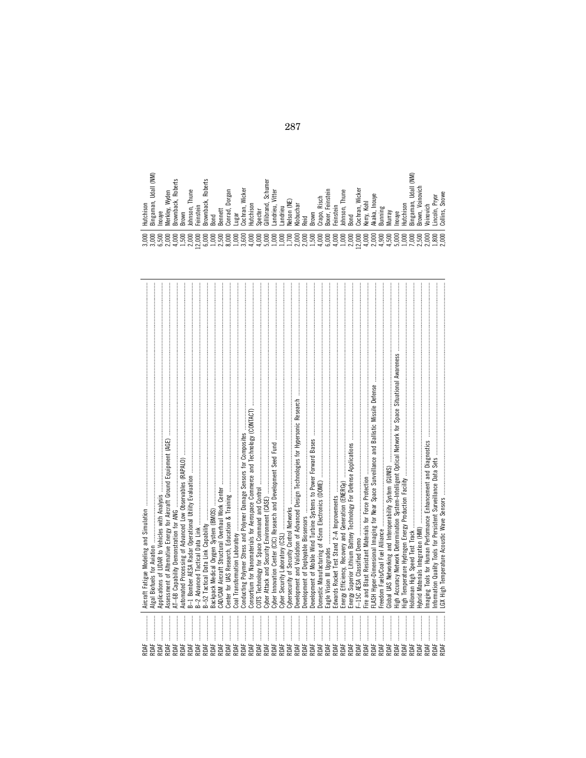| RDAF                     |                                                                                                        |
|--------------------------|--------------------------------------------------------------------------------------------------------|
| RDAF                     | <b>Algal Biofuels for Aviation</b>                                                                     |
| RDAF                     | Applications of LIDAR to Vehicles with Analysis                                                        |
| RDAF<br>RDAF             |                                                                                                        |
| RDAF                     |                                                                                                        |
| RDAF                     |                                                                                                        |
| RDAF                     |                                                                                                        |
| RDAF                     |                                                                                                        |
| RDAF                     |                                                                                                        |
| RDAF                     |                                                                                                        |
| RDAF                     |                                                                                                        |
| RDAF                     |                                                                                                        |
| RDAF                     |                                                                                                        |
| RDAF                     | Consortium for Nanomaterials for Aerospace Commerce and Technology (CONTACT)                           |
| RDAF                     |                                                                                                        |
| RDAF                     | Cyber                                                                                                  |
| RDAF                     |                                                                                                        |
| RDAF                     |                                                                                                        |
| RDAF                     |                                                                                                        |
| RDAF                     |                                                                                                        |
| RDAF                     |                                                                                                        |
| RDAF                     |                                                                                                        |
| RDAF                     |                                                                                                        |
| RDAF                     |                                                                                                        |
| RDAF                     | Edwards Rocket Test Stand 2-A Improvements www.manual.communications.communications.com/               |
| RDAF                     |                                                                                                        |
| RDAF                     |                                                                                                        |
| RDAF                     |                                                                                                        |
| RDAF                     |                                                                                                        |
| RDAF                     |                                                                                                        |
| RDAF                     |                                                                                                        |
| <b>AUG</b>               | <b>GUNIS</b> UAS Networking and Interoperability System (GUNIS)                                        |
| RDAF                     | High Accuracy Network Determination System-Intelligent Optical Network for Space Situational Awareness |
| RDAF                     |                                                                                                        |
| RDAF                     |                                                                                                        |
| RDAF                     |                                                                                                        |
| <b>AR</b><br><b>ADAF</b> |                                                                                                        |
|                          |                                                                                                        |
| <b>ADAF</b>              |                                                                                                        |
|                          |                                                                                                        |
|                          |                                                                                                        |
|                          |                                                                                                        |
|                          |                                                                                                        |

| (NK)<br>Udall<br>$\sim$<br>man,<br>ison<br>utchi<br>Inga<br>Inouy<br>$\sim$         | 2<br>តា<br>8<br>=<br>Wydei<br>œ<br>ΞŚ,<br>Ξ<br>⋧<br>rown<br>rown<br>ēΚ<br>₹<br>$\infty$<br>$\infty$   | Thune<br>⋍<br>$\sim$<br>등<br>einsteil<br>Johns<br>u. | 흥<br>œ<br>ż<br>د<br>᠊ᢆ<br>≏<br>rown<br>$\infty$<br>൶ | ennet<br>g<br>$\mathbf{a}$             | orgal<br>Ō<br>ᇰ<br>ᢌ<br>āπ<br>د: | Wicker<br>등<br>uga<br>듛<br>c                                        | ison<br>C)<br>g<br>ള<br>ᆂ<br>$\sim$                        | ត<br>Ξ<br>Š<br>U<br>an<br>⊂<br>≔<br>$=$<br>c | Vitter<br>글<br>ang | and<br>ಕ<br>ż                                        | 흡<br>↽                | eid<br>$\infty$<br>$\sim$                            | sch<br>æ<br>rown<br>rapo<br>$\circ$                                       | nstei<br>تة·<br>$\alpha$<br>൶          | eins <sup>+</sup>      | ω<br>Thun<br>등<br>ohns<br>σm<br>൶                           | Wicker<br>ā<br>ochr<br>دے        | ਨ<br>еrry<br>≍                                      | ◠<br>Ξ<br>≹<br>$\infty$<br>$\tau$                                                  | ≣<br>⋝                                  | a:<br>Inouy                       | Son<br>합<br>ᆂ                                             | ⋚<br>흐<br><b>Udall</b><br>る<br>۰.<br>0<br>ā<br>inga<br><b>TOW</b><br>$\infty$<br>$\infty$    | Έ                                       | $\overline{\text{P}}$<br>jа<br>௨<br>$\sim$<br>s<br>0         |  |
|-------------------------------------------------------------------------------------|-------------------------------------------------------------------------------------------------------|------------------------------------------------------|------------------------------------------------------|----------------------------------------|----------------------------------|---------------------------------------------------------------------|------------------------------------------------------------|----------------------------------------------|--------------------|------------------------------------------------------|-----------------------|------------------------------------------------------|---------------------------------------------------------------------------|----------------------------------------|------------------------|-------------------------------------------------------------|----------------------------------|-----------------------------------------------------|------------------------------------------------------------------------------------|-----------------------------------------|-----------------------------------|-----------------------------------------------------------|----------------------------------------------------------------------------------------------|-----------------------------------------|--------------------------------------------------------------|--|
| っ<br>っ<br>$\circ$<br>≘<br>っ<br>っ<br>っ<br>ഹ<br>っ<br>$\sim$ $\sim$ $\sim$<br>$\infty$ | 8<br>▭<br>8<br>$\supset$<br>5<br>$\circ$<br>$\sim$<br>۰<br>$\overline{\phantom{0}}$<br>$\overline{ }$ | 8<br>≘<br>⊖<br>$\circ$<br>≘<br>$\sim$<br>$\sim$<br>- | 8<br>$\circ$<br>っ<br>っ<br>$\circ$<br>۰.<br>$\circ$   | $\circ$<br>っ<br>ഹ<br>극<br>۰.<br>$\sim$ | っ<br>っ<br>っ<br>$\infty$          | $\circ$<br>▭<br>っ<br>っ<br>ص<br>っ<br>۰<br>۰.<br>$\rightarrow \infty$ | 8<br>8<br>$\supset$<br>っ<br>ਚੇ<br>$\overline{\phantom{a}}$ | $\circ$<br>っ<br>っ<br>$\sim$                  | $\circ$<br>っ<br>っ  | 8<br>8<br>っ<br>$\overline{\phantom{0}}$<br>ಲ್ಲಿ ಕ್ಷಾ | 8<br>0<br>ъ<br>$\sim$ | $\circ$<br>$\circ$<br>っ<br>っ<br>$\supset$<br>ഹ<br>ಸ್ | 8<br>$\supset$<br>ਚੇ<br>$\tilde{\phantom{a}}$<br>$\overline{\phantom{0}}$ | $\circ$<br>っ<br>$\circ$<br>$\sim$<br>ص | 8<br>$\circ$<br>۰<br>ਚ | $\circ$<br>$\circ$<br>っ<br>っ<br>っ<br>$\circ$<br>극<br>$\sim$ | 8<br>$\circ$<br>$\sim$<br>$\sim$ | $\circ$<br>っ<br>$\circ$<br>$\overline{\phantom{a}}$ | $\circ$<br>$\circ$<br>っ<br>⊖<br>$\circ$<br>െ<br>$\sim$<br>$\overline{\phantom{a}}$ | $\circ$<br>っ<br>ഥ<br>۰<br>$\rightarrow$ | $\circ$<br>ర<br>$\circ$<br>۰<br>5 | $\circ$<br>っ<br>$\circ$<br>۰.<br>$\overline{\phantom{0}}$ | $\circ$<br>$\circ$<br>っ<br>⊖<br>່ ທີ່<br>$\circ$<br>۰.<br>$\sim$<br>$\overline{\phantom{0}}$ | $\circ$<br>っ<br>$\circ$<br>$\vec{\sim}$ | 8<br>$\circ$<br>⊖<br>$\infty$<br>$\supset$<br>$\overline{z}$ |  |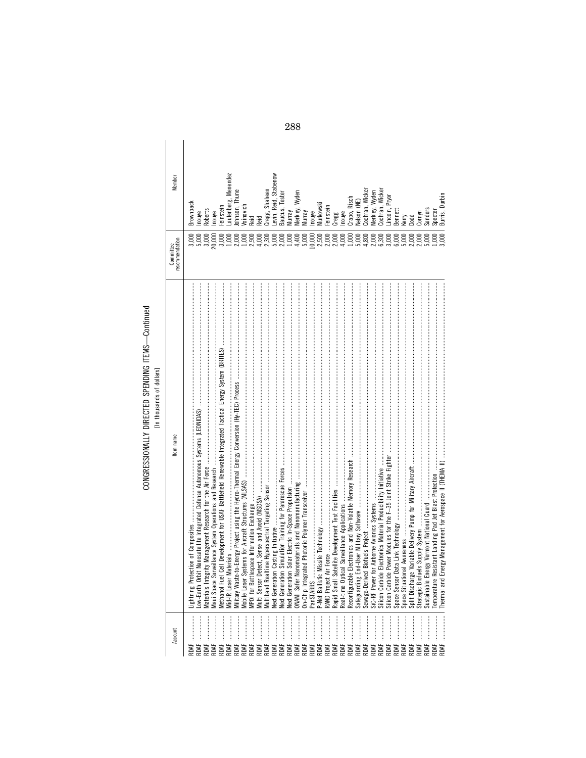# CONGRESSIONALLY DIRECTED SPENDING ITEMS-Continued<br>[In thousands of dollars]

| j                   |  |  |
|---------------------|--|--|
| 5                   |  |  |
| ì<br>$\overline{1}$ |  |  |
| Ξ                   |  |  |
|                     |  |  |
|                     |  |  |

| Member         | <b>Brownback</b> | nouye            | Roberts          |       | Inouye<br>Feinstein | Lautenberg, Menendez<br>Johnson, Thune<br>Voinovich<br>Reid |  | Reid |                                   | Gregg, Shaheen<br>Levin, Reid, Stabenow | Baucus, Tester | Murray<br>Merkley, Wyden |          | Murray | Inouye | Murkowski | Feinstein               | Gregg | Inouye | Crapo, Risch<br>Nelson (NE) |  | Cochran, Wicker<br>Merkley, Wyden<br>Cochran, Wicker | .incoln, Pryor | Bennett | Kerry | <b>Dodd</b>                                        | Cornyn                 | Sanders   | Specter  | Burris, Durbin |
|----------------|------------------|------------------|------------------|-------|---------------------|-------------------------------------------------------------|--|------|-----------------------------------|-----------------------------------------|----------------|--------------------------|----------|--------|--------|-----------|-------------------------|-------|--------|-----------------------------|--|------------------------------------------------------|----------------|---------|-------|----------------------------------------------------|------------------------|-----------|----------|----------------|
| recommendation |                  | 5,000            | 3,000            | 0,000 |                     |                                                             |  |      |                                   |                                         |                | 1,000                    | 4,400    | 5,000  |        |           | 0,000<br>0,000<br>0,000 | 2,000 |        |                             |  |                                                      |                |         |       |                                                    | 2,000                  | 5,000     | 0001     | 000;           |
| Item name      | Lightning        | Low-Earth        | <b>Materials</b> |       | Methanol            |                                                             |  |      |                                   |                                         |                |                          | DNAMI Sa |        |        |           |                         |       |        |                             |  |                                                      |                |         |       |                                                    | Strategic <sup>1</sup> | Sustainab | Temperat | <b>Ihermal</b> |
| Account        | <b>RDAF</b>      | $\vdots$<br>RDAF | ROAF             |       |                     |                                                             |  |      | ***************<br>RRRBRRBBRBBBBB |                                         |                |                          |          |        |        |           | RDAF                    | RDAF  | RDAF   |                             |  |                                                      |                |         |       | ድል።<br>ይልጅ ትርት አይል<br>የአይል አይል አይል<br>የአይል አይል አይል |                        | RDAF      | ROAF     | <b>AR</b>      |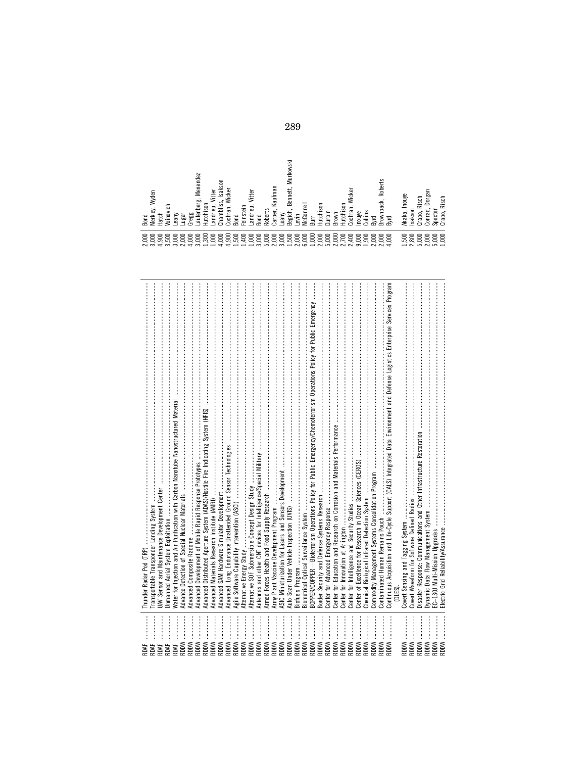| ₩Œ          | Thunder Radar Pod (TRP)                                                                                                            |
|-------------|------------------------------------------------------------------------------------------------------------------------------------|
| <b>AR</b>   | Transportable Transponder Landing System                                                                                           |
| <b>ARE</b>  | JAV Sensor and Maintenance Development Center                                                                                      |
| ROAF        | <b>Jnmanned Aerial System Exploitation</b>                                                                                         |
| ROAF        | Nater for Injection and Air Purification with Carbon Nanotube Nanostructured Material                                              |
| MOQ&        | Advance Detection of Special Nuclear Materials                                                                                     |
| MIOR        | Advanced Composite Radome                                                                                                          |
| MIQQ        | Advanced Development of Mobile Rapid Response Prototypes                                                                           |
| MIQE        | Advanced Distributed Aperture System (ADAS)/Hostile Fire Indicating System (HFIS)                                                  |
| Maas        | Advanced Materials Research Institute (AMRI)                                                                                       |
| MIQE        | Advanced SAM Hardware Simulator Development                                                                                        |
| MOQ         | Advanced, Long Endurance Unattended Ground Sensor Technologies                                                                     |
| MIOR        | Agile Software Capability Intervention (ASCI)                                                                                      |
| MIQS        |                                                                                                                                    |
| MIQ         | Alternative SOF Submersible Concept Design Study                                                                                   |
| MIQQ        | Antennas and other CNT devices for Intelligence/Special Military                                                                   |
| MIQE        | Armed Forces Health and Food Supply Research                                                                                       |
| MOQ         | Army Plant Vaccine Development Program                                                                                             |
| MIQR        | ASIC Miniaturization for Lasers and Sensors Development                                                                            |
| MIQE        | Auto Scan Under Vehicle Inspection (UVIS)                                                                                          |
| MIQR        | Biofuels Program                                                                                                                   |
| NOO         |                                                                                                                                    |
| MIQS        | BOPPER/COPPER—Bioterrorism Operations Policy for Public Emergency/Chemoterrorism Operations Policy for Public Emergency            |
| MIQ         | Border Security and Defense Systems Research                                                                                       |
| MIQQ        | Center for Advanced Emergency Response                                                                                             |
| MIQR        | for Education and Research on Corrosion and Materials Performance<br>Center 1                                                      |
| MOQ         | Center for Innovation at Arlington                                                                                                 |
| MIQQ        | Center for Intelligence and Security Studies                                                                                       |
| MIQ         | Center of Excellence for Research in Ocean Sciences (CEROS)                                                                        |
| NOO         | Chemical Biological Infrared Detection System                                                                                      |
| MOQ         | Commodity Management Systems Consolidation Program                                                                                 |
| MIQ         | Contaminated Human Remains Pouch                                                                                                   |
| MOQR        | Continuous Acquisition and Life-Cycle Support (CALS) Integrated Data Environment and Defense Logistics Enterprise Services Program |
|             | (DLES).                                                                                                                            |
| MIQE        | Covert Sensing and Tagging System                                                                                                  |
| NOO         | Covert Waveform for Software Defined Radios                                                                                        |
| MIQE        | Disaster Response: Communications and Other Infrastructure Restoration                                                             |
| MIQS        | Dynamic Data Flow Management System                                                                                                |
| <b>RDDW</b> | EC-130J Multi-Mission Upgrades                                                                                                     |
| MOOR        | Electric Grid Reliability/Assurance                                                                                                |

| 1,500<br>2,800<br>5,000<br>្តិ<br>ភូមិ<br>ភូមិ ភូមិ<br>8<br>8<br>8<br>3,0(<br>$\overline{1,0}$<br>$\frac{5}{1}$ $\frac{5}{1}$ $\frac{5}{1}$ $\frac{5}{1}$<br>$2.74$<br>$2.74$<br>್ಲೆ ರ<br>ಸ<br>4,0<br>3,0<br>$\frac{3}{10}$<br>1.5<br>⇉<br>3,0<br>$5,0$<br>2.0<br>3,0<br>ុក្ខខ្ពុំ<br>ក្នុងឆ្នាំ<br>$\frac{5}{2}$ $\frac{5}{2}$<br>$^{4,9}$<br>3.5<br>4,0<br>ూ<br>9,0<br>2,0<br>Ċ<br>2,0<br>Ċ |
|-----------------------------------------------------------------------------------------------------------------------------------------------------------------------------------------------------------------------------------------------------------------------------------------------------------------------------------------------------------------------------------------------|
|-----------------------------------------------------------------------------------------------------------------------------------------------------------------------------------------------------------------------------------------------------------------------------------------------------------------------------------------------------------------------------------------------|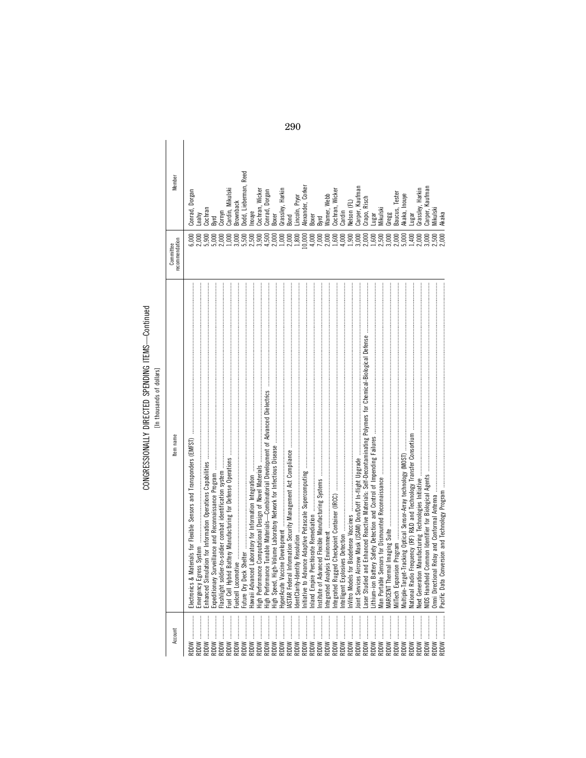## CONGRESSIONALLY DIRECTED SPENDING ITEMS-Continued<br>[In thousands of dollars] CONGRESSIONALLY DIRECTED SPENDING ITEMS—Continued [In thousands of dollars]

| Member                     | Reed<br>Oodd, Lieberman,<br>Alexander, Corker<br>Carper, Kaufman<br>Carper, Kaufman<br>Grassley, Harkin<br>Grassley, Harkin<br>Cardin, Mikulski<br>Cochran, Wicker<br>Cochran, Wicker<br>Conrad, Dorgan<br>Conrad, Dorgan<br><b>Baucus, Tester</b><br>Lincoln, Pryor<br>Akaka, Inouye<br>Narner, Webb<br>Crapo, Risch<br>Velson (FL)<br>3 rown back<br>Cochran<br>Mikulski<br>Viikulski<br>Cardin<br>Cornyn<br>nouye<br>3 ond<br>3oxer<br>Gaar<br>ugar<br>ugar<br>3 <sub>oxer</sub><br><b>Syrd</b><br>3yrd | Akaka                                                                             |
|----------------------------|------------------------------------------------------------------------------------------------------------------------------------------------------------------------------------------------------------------------------------------------------------------------------------------------------------------------------------------------------------------------------------------------------------------------------------------------------------------------------------------------------------|-----------------------------------------------------------------------------------|
| ecommendation<br>Committee | 1,800<br>0,000<br>1,600<br>4,000<br>3,000<br>5,000<br>1,400<br>2,000<br>6,000<br>3,000<br>5,500<br>2,500<br>3,900<br>4,500<br>0001<br>2,000<br>4,000<br>2,000<br>1,900<br>2,000<br>2,500<br>2,000<br>9,000<br>5,900<br>000<br>2,000<br>7,000<br>1,600<br>3,000<br>2,000<br>5,000<br>2,000<br>.500                                                                                                                                                                                                          | 000                                                                               |
| tem name                   | Hawaii Advanced Laboratory for Information Integration ……………………………………………………………………<br>recommunications of the communications of the communications of the contract of the contract of the contract of the contract of the contract of the contract of the contract of the contract of the contract of the contract o                                                                                                                                                                                        | Pacific Data Conversion and Technology Program ………………………………………………………………………………………… |
| Account                    | RDDW<br>:<br>:<br>:<br>:<br>RDDW<br><b>RDDW</b><br>MOOS<br>MOQR<br>MOQR<br>RDDW<br>MOQR<br>MOOS<br>MOQR<br>MOQS<br>MIQQ<br><b>NOOX</b>                                                                                                                                                                                                                                                                                                                                                                     | MOOS                                                                              |

290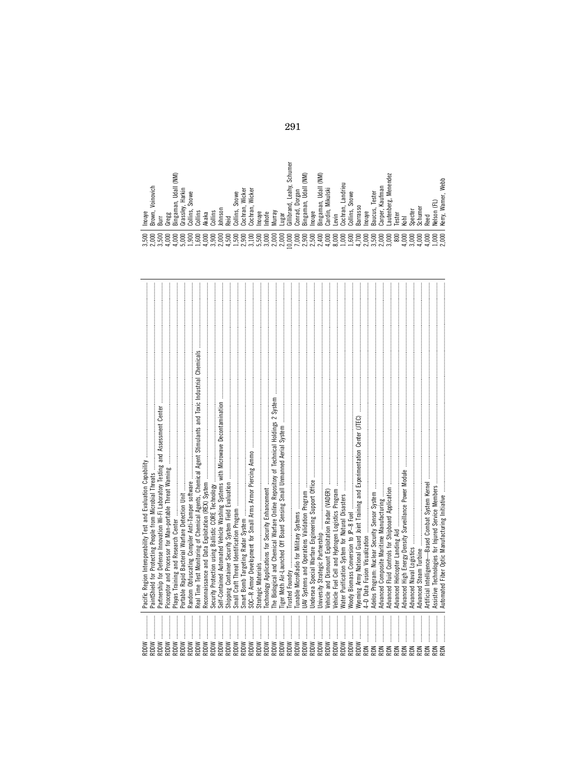| Noody Biomass Conversion to JP-8 Fuel warmand and an annual contract and an approximation of the first contract of the contract of the contract of the contract of the contract of the contract of the contract of the contrac<br>Partnership for Defense Innovation Wi-Fi Laboratory Testing and Assessment Center<br>PaintShield for Protecting People from Microbial Threats<br>Reconnaissance and Data Exploitation (REX) System<br>Artificial Intelligence-Based Combat System Kernel<br>Assistive Technologies for Injured Service Members<br>Jniversity Strategic Partnership<br>4-D Data Fusion Visualization<br>Strategic Materials<br>Picoceptor and<br><br>MIQR<br>MIQR<br>MOOR<br>MIQR<br>MIOR<br>MOQ&<br>MOQ&<br><b>RDDW</b><br>MIQR<br><b>RDDW</b><br>MIQR<br><b>RDDW</b><br>MIQR<br><b>RDDW</b><br>MIOR<br>MOOR<br>MIQR<br>MIQR<br>MIOR<br>MIQR<br>MIQR<br>MIQR<br>MIQR<br>MIQE<br>MIQR<br>MIQR<br>MIQR<br>MIQR<br>NOR<br>NŒ<br><b>RDN</b><br><b>NOR</b><br>NQ<br>NŒ<br><b>NO</b> R<br>NŒ<br>NQ<br>NŒ | Interoperability Test and Evaluation Capability<br>Pacific Region |  |
|----------------------------------------------------------------------------------------------------------------------------------------------------------------------------------------------------------------------------------------------------------------------------------------------------------------------------------------------------------------------------------------------------------------------------------------------------------------------------------------------------------------------------------------------------------------------------------------------------------------------------------------------------------------------------------------------------------------------------------------------------------------------------------------------------------------------------------------------------------------------------------------------------------------------------------------------------------------------------------------------------------------------|-------------------------------------------------------------------|--|
|                                                                                                                                                                                                                                                                                                                                                                                                                                                                                                                                                                                                                                                                                                                                                                                                                                                                                                                                                                                                                      |                                                                   |  |
|                                                                                                                                                                                                                                                                                                                                                                                                                                                                                                                                                                                                                                                                                                                                                                                                                                                                                                                                                                                                                      |                                                                   |  |
|                                                                                                                                                                                                                                                                                                                                                                                                                                                                                                                                                                                                                                                                                                                                                                                                                                                                                                                                                                                                                      |                                                                   |  |
|                                                                                                                                                                                                                                                                                                                                                                                                                                                                                                                                                                                                                                                                                                                                                                                                                                                                                                                                                                                                                      |                                                                   |  |
|                                                                                                                                                                                                                                                                                                                                                                                                                                                                                                                                                                                                                                                                                                                                                                                                                                                                                                                                                                                                                      |                                                                   |  |
|                                                                                                                                                                                                                                                                                                                                                                                                                                                                                                                                                                                                                                                                                                                                                                                                                                                                                                                                                                                                                      |                                                                   |  |
|                                                                                                                                                                                                                                                                                                                                                                                                                                                                                                                                                                                                                                                                                                                                                                                                                                                                                                                                                                                                                      |                                                                   |  |
|                                                                                                                                                                                                                                                                                                                                                                                                                                                                                                                                                                                                                                                                                                                                                                                                                                                                                                                                                                                                                      |                                                                   |  |
|                                                                                                                                                                                                                                                                                                                                                                                                                                                                                                                                                                                                                                                                                                                                                                                                                                                                                                                                                                                                                      |                                                                   |  |
|                                                                                                                                                                                                                                                                                                                                                                                                                                                                                                                                                                                                                                                                                                                                                                                                                                                                                                                                                                                                                      |                                                                   |  |
|                                                                                                                                                                                                                                                                                                                                                                                                                                                                                                                                                                                                                                                                                                                                                                                                                                                                                                                                                                                                                      |                                                                   |  |
|                                                                                                                                                                                                                                                                                                                                                                                                                                                                                                                                                                                                                                                                                                                                                                                                                                                                                                                                                                                                                      |                                                                   |  |
|                                                                                                                                                                                                                                                                                                                                                                                                                                                                                                                                                                                                                                                                                                                                                                                                                                                                                                                                                                                                                      |                                                                   |  |
|                                                                                                                                                                                                                                                                                                                                                                                                                                                                                                                                                                                                                                                                                                                                                                                                                                                                                                                                                                                                                      |                                                                   |  |
|                                                                                                                                                                                                                                                                                                                                                                                                                                                                                                                                                                                                                                                                                                                                                                                                                                                                                                                                                                                                                      |                                                                   |  |
|                                                                                                                                                                                                                                                                                                                                                                                                                                                                                                                                                                                                                                                                                                                                                                                                                                                                                                                                                                                                                      |                                                                   |  |
|                                                                                                                                                                                                                                                                                                                                                                                                                                                                                                                                                                                                                                                                                                                                                                                                                                                                                                                                                                                                                      |                                                                   |  |
|                                                                                                                                                                                                                                                                                                                                                                                                                                                                                                                                                                                                                                                                                                                                                                                                                                                                                                                                                                                                                      |                                                                   |  |
|                                                                                                                                                                                                                                                                                                                                                                                                                                                                                                                                                                                                                                                                                                                                                                                                                                                                                                                                                                                                                      |                                                                   |  |
|                                                                                                                                                                                                                                                                                                                                                                                                                                                                                                                                                                                                                                                                                                                                                                                                                                                                                                                                                                                                                      |                                                                   |  |
|                                                                                                                                                                                                                                                                                                                                                                                                                                                                                                                                                                                                                                                                                                                                                                                                                                                                                                                                                                                                                      |                                                                   |  |
|                                                                                                                                                                                                                                                                                                                                                                                                                                                                                                                                                                                                                                                                                                                                                                                                                                                                                                                                                                                                                      |                                                                   |  |
|                                                                                                                                                                                                                                                                                                                                                                                                                                                                                                                                                                                                                                                                                                                                                                                                                                                                                                                                                                                                                      |                                                                   |  |
|                                                                                                                                                                                                                                                                                                                                                                                                                                                                                                                                                                                                                                                                                                                                                                                                                                                                                                                                                                                                                      |                                                                   |  |
|                                                                                                                                                                                                                                                                                                                                                                                                                                                                                                                                                                                                                                                                                                                                                                                                                                                                                                                                                                                                                      |                                                                   |  |
|                                                                                                                                                                                                                                                                                                                                                                                                                                                                                                                                                                                                                                                                                                                                                                                                                                                                                                                                                                                                                      |                                                                   |  |
|                                                                                                                                                                                                                                                                                                                                                                                                                                                                                                                                                                                                                                                                                                                                                                                                                                                                                                                                                                                                                      |                                                                   |  |
|                                                                                                                                                                                                                                                                                                                                                                                                                                                                                                                                                                                                                                                                                                                                                                                                                                                                                                                                                                                                                      |                                                                   |  |
|                                                                                                                                                                                                                                                                                                                                                                                                                                                                                                                                                                                                                                                                                                                                                                                                                                                                                                                                                                                                                      |                                                                   |  |
|                                                                                                                                                                                                                                                                                                                                                                                                                                                                                                                                                                                                                                                                                                                                                                                                                                                                                                                                                                                                                      |                                                                   |  |
|                                                                                                                                                                                                                                                                                                                                                                                                                                                                                                                                                                                                                                                                                                                                                                                                                                                                                                                                                                                                                      |                                                                   |  |
|                                                                                                                                                                                                                                                                                                                                                                                                                                                                                                                                                                                                                                                                                                                                                                                                                                                                                                                                                                                                                      |                                                                   |  |
|                                                                                                                                                                                                                                                                                                                                                                                                                                                                                                                                                                                                                                                                                                                                                                                                                                                                                                                                                                                                                      |                                                                   |  |
|                                                                                                                                                                                                                                                                                                                                                                                                                                                                                                                                                                                                                                                                                                                                                                                                                                                                                                                                                                                                                      |                                                                   |  |
|                                                                                                                                                                                                                                                                                                                                                                                                                                                                                                                                                                                                                                                                                                                                                                                                                                                                                                                                                                                                                      |                                                                   |  |
|                                                                                                                                                                                                                                                                                                                                                                                                                                                                                                                                                                                                                                                                                                                                                                                                                                                                                                                                                                                                                      |                                                                   |  |
|                                                                                                                                                                                                                                                                                                                                                                                                                                                                                                                                                                                                                                                                                                                                                                                                                                                                                                                                                                                                                      |                                                                   |  |
|                                                                                                                                                                                                                                                                                                                                                                                                                                                                                                                                                                                                                                                                                                                                                                                                                                                                                                                                                                                                                      |                                                                   |  |
|                                                                                                                                                                                                                                                                                                                                                                                                                                                                                                                                                                                                                                                                                                                                                                                                                                                                                                                                                                                                                      |                                                                   |  |
|                                                                                                                                                                                                                                                                                                                                                                                                                                                                                                                                                                                                                                                                                                                                                                                                                                                                                                                                                                                                                      |                                                                   |  |
|                                                                                                                                                                                                                                                                                                                                                                                                                                                                                                                                                                                                                                                                                                                                                                                                                                                                                                                                                                                                                      |                                                                   |  |

| (NM)<br>Voinovich<br>Udall<br>Harkin<br><sup>)</sup> ''' c<br>`rassley, <sub>''∼</sub><br>``∽° Snowe<br>ingaman,<br>Johnson<br>Brown,<br>ollins<br>ollins<br>Inouye<br>Akaka<br>regg<br>Ë<br>$\mathbf{a}$<br>$\sim$<br>ت<br>అ<br>ده<br>دے<br>د | Schumer<br>(NM)<br>(NM)<br>Leahy,<br>᠊ᢛ<br>Udall<br>Mikulski<br>Wicker<br>Wicker<br>Dorgan<br>nowe<br>З<br>ingaman,<br>$\overline{\phantom{a}}$<br>ingaman<br>ج<br>ilibrand<br>āΠ,<br>Cochran,<br>onrad,<br>Collins,<br>ardin,<br>Murray<br>Inouye<br>Inouye<br>nhofe<br>ochr:<br>ugar<br>Reid<br>$\sim$<br>$\sim$<br>ت<br>c<br>د<br>دے | Menendez<br>Landrieu<br>Kaufman<br>Tester<br>.e.<br>Cochran,<br><sup>-----</sup> -- Snowe<br>ъö<br>autenber<br>arrasso<br>Schumer<br>÷<br>aucus,<br>Specter<br>arper,<br>Inouye<br>ester<br>evin<br>Kohl<br>$\sim$<br>മ<br>ده<br>دے               | Webb<br>Warner,<br>E<br>elson<br>erry,<br>Reed<br>ż        |
|------------------------------------------------------------------------------------------------------------------------------------------------------------------------------------------------------------------------------------------------|-----------------------------------------------------------------------------------------------------------------------------------------------------------------------------------------------------------------------------------------------------------------------------------------------------------------------------------------|---------------------------------------------------------------------------------------------------------------------------------------------------------------------------------------------------------------------------------------------------|------------------------------------------------------------|
| 8<br>8<br>8<br>8<br>8<br>8<br>8<br>8<br>8<br>8<br>8<br>2,0<br>$\frac{6}{4}$<br>2,0<br>3.5<br>5,0<br>4,0<br>1,6<br>4,0<br>రా<br>రా<br>د<br>$\ddot{\delta}$<br>ੜ<br>$\infty$                                                                     | 8<br>8<br>8<br>8<br>8<br>8<br>8<br>8<br>8<br>8<br>8<br>8<br>8<br>8<br>2,01<br>್ಲೆ ನ್ನ<br>2,0<br>$\frac{5}{2}$ $\frac{4}{1}$<br>4,0<br>4,5<br>ూ<br>5,5<br>$\mathbf{5}$<br>3,0<br>$\mathbf{S}^{\mathbf{0}}$<br>$\overline{\phantom{0}}$<br>$\sim$<br>$\tilde{\sim}$                                                                       | 8<br>8<br>8<br>8<br>8<br>8<br>8<br>8<br>8<br>8<br>0<br>8<br>0<br>$\tilde{8}$<br>ē<br>ō<br>3,0<br>3.5<br>2,0<br>$\infty$<br>ص<br>2,0<br>4,0<br>$\overline{1,0}$<br>$\overline{\phantom{0}}$<br>∼<br>$\rightarrow$<br>국<br>$\overline{ }$<br>$\sim$ | 8<br>8<br>4,000<br>ē<br>Ċ<br>Ñ<br>$\overline{\phantom{0}}$ |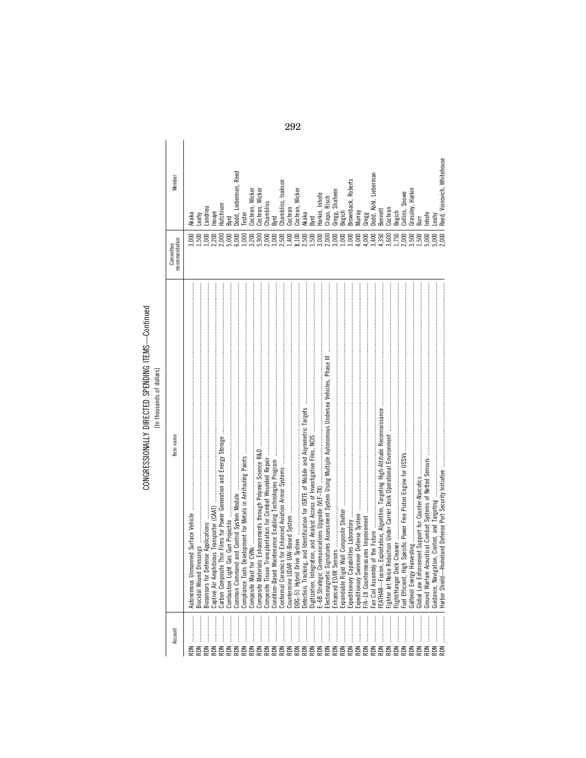## CONGRESSIONALLY DIRECTED SPENDING ITEMS-Continued<br>[In thousands of dollars]

| J                                                                                |  |  |
|----------------------------------------------------------------------------------|--|--|
|                                                                                  |  |  |
| ֚֚֬                                                                              |  |  |
|                                                                                  |  |  |
| ֚֚֬֕<br>ì                                                                        |  |  |
|                                                                                  |  |  |
| :                                                                                |  |  |
|                                                                                  |  |  |
| ֺ֖֖֖֖֖֖֖֖֖֖ׅ֖ׅ֖ׅ֖ׅ֖ׅ֖֖֪ׅ֖ׅ֖֖֧֖֧֖֧֪ׅ֖֧֪֪֪֪֧֖֧֚֚֚֚֚֚֚֚֚֚֚֚֚֚֚֚֚֚֚֚֚֝֝֓֞֝֝֓֞֝֞֞֝֝֝֬ |  |  |
|                                                                                  |  |  |
|                                                                                  |  |  |
|                                                                                  |  |  |
|                                                                                  |  |  |
|                                                                                  |  |  |
|                                                                                  |  |  |
|                                                                                  |  |  |
|                                                                                  |  |  |
|                                                                                  |  |  |

|                       | tem name                   | recommendation<br><b>CONNINGINAL</b> | Member                      |
|-----------------------|----------------------------|--------------------------------------|-----------------------------|
| Autonomous Un         |                            | 000                                  | Akaka                       |
| <b>Biocidal Wound</b> |                            |                                      | <b>eahy</b>                 |
| Biosensors for D      |                            | 000                                  | andrieu                     |
| Captive Air Amp       | iibious Transporter (CAAT) |                                      | Inouye                      |
| Carbon Composi        |                            |                                      |                             |
| Combustion Lig        |                            | 2000<br>2000<br>2000                 | Hutchison<br>Byrd           |
| Common Comma          |                            |                                      | Dodd, Lieberman, Reed       |
| Compliance Tools      |                            | 1,000                                | Tester                      |
|                       |                            |                                      | Cochran, Wicker             |
|                       |                            | $3,200$<br>$5,900$                   | Cochran, Wicker             |
|                       |                            | 2,000                                | Chambliss                   |
| Condition-Based       |                            | 3,000                                | <b>B</b>                    |
| Conformal Cera        |                            | 2,500                                | Chambliss, Isakson          |
| Countermine LID       |                            |                                      | Cochran                     |
| $DDG-51$ Hybrid       |                            |                                      | Cochran, Wicker             |
| Detection, Tracki     |                            | $1,400$<br>$3,500$<br>$2,500$        | Akaka                       |
| Digitization, Integ   |                            |                                      |                             |
| E-6B Strategic I      |                            |                                      | Harkin, Inhofe              |
| Electromagnetic       |                            | $1,5000$<br>$3,0000$<br>$3,0000$     | Crapo, Risch                |
| Enhanced EO/IR        |                            |                                      |                             |
|                       | Expandable Rigid           |                                      | Gregg, Shaheen<br>Begich    |
| Expeditionary Ca      |                            | $1,000$<br>$3,000$                   | Brownback, Roberts          |
| Expeditionary Sw      |                            | 4,000                                | Murray                      |
| F/A-18 Counter        |                            | 4,000                                | Gregg                       |
| Fan Coil Assemb       |                            | 3,400                                | Dodd, Kohl, Lieberman       |
| FEATHAR-Fusio         |                            | 4,350                                | Bennett                     |
| Fighter Jet Noise     |                            | 3,600                                | Cochran                     |
| Flight/Hangar De      |                            | 1,750                                | Begich                      |
| Fuel Efficient, H     |                            | 2,000<br>3,500                       | Collins, Snowe              |
| Galfenol Energy       | 18.1088.htm                |                                      |                             |
| Global Law Enfo       |                            | 1,500                                | Grassley, Harkin<br>Burr    |
| Ground Warfare        |                            | ,000                                 | Inhofe                      |
| Guidance, Naviga      |                            |                                      | eahy                        |
|                       |                            | 5,000                                | Reed, Voinovich, Whitehouse |
|                       | Harbor Shield-             |                                      |                             |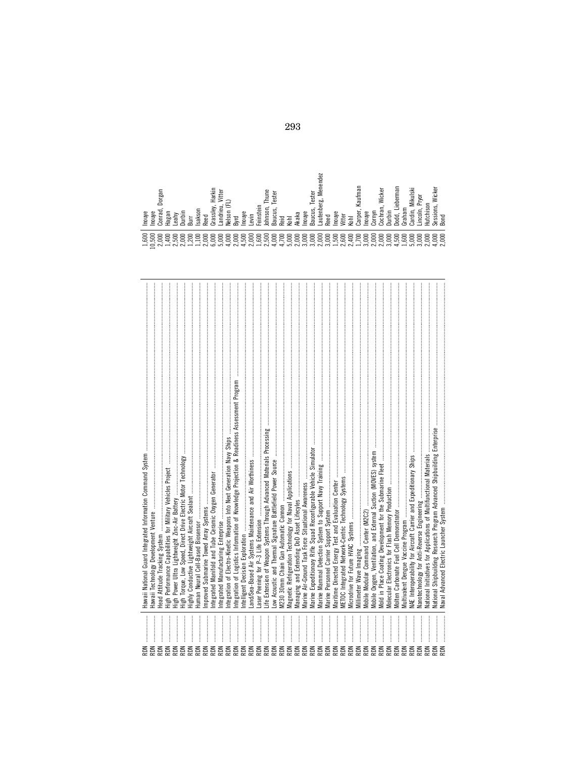| Head Attitude Tracking System<br>NŒ<br><b>RON</b><br>NŒ<br>NQ<br>NOR<br>NOR<br>NOR<br>NŒ<br><b>RDN</b><br><b>RDN</b><br>NOR<br>NOR<br>NOR<br><b>RDN</b><br>NOR<br>NOR<br>NOR<br><b>RDN</b><br>RDN<br>NŒ<br><b>RDN</b> | $\label{def:1} \begin{minipage}{0.9\textwidth} \begin{minipage}{0.9\textwidth} \begin{itemize} \textbf{0.9\textwidth} \begin{itemize} \textbf{0.9\textwidth} \begin{itemize} \textbf{0.9\textwidth} \begin{itemize} \textbf{0.9\textwidth} \begin{itemize} \textbf{0.9\textwidth} \begin{itemize} \textbf{0.9\textwidth} \begin{itemize} \textbf{0.9\textwidth} \begin{itemize} \textbf{0.9\textwidth} \begin{itemize} \textbf{0.9\textwidth} \begin{itemize} \textbf{0.9\textwidth} \begin{itemize} \textbf{0.9\text$<br>ntegration of Logistics Information of Knowledge Projection & Readiness Assessment Program<br>High Torque, Low Speed, Direct Drive Electric Motor Technology<br>and/Sea-Based Air Systems Maintenance and Air Worthiness<br>Highly Conductive Lightweight Aircraft Sealant<br>VI230 30mm Chain Gun Automatic Cannon |
|-----------------------------------------------------------------------------------------------------------------------------------------------------------------------------------------------------------------------|-----------------------------------------------------------------------------------------------------------------------------------------------------------------------------------------------------------------------------------------------------------------------------------------------------------------------------------------------------------------------------------------------------------------------------------------------------------------------------------------------------------------------------------------------------------------------------------------------------------------------------------------------------------------------------------------------------------------------------------------------------------------------------------------------------------------------------------------------|
|                                                                                                                                                                                                                       |                                                                                                                                                                                                                                                                                                                                                                                                                                                                                                                                                                                                                                                                                                                                                                                                                                               |
|                                                                                                                                                                                                                       |                                                                                                                                                                                                                                                                                                                                                                                                                                                                                                                                                                                                                                                                                                                                                                                                                                               |
|                                                                                                                                                                                                                       |                                                                                                                                                                                                                                                                                                                                                                                                                                                                                                                                                                                                                                                                                                                                                                                                                                               |
|                                                                                                                                                                                                                       |                                                                                                                                                                                                                                                                                                                                                                                                                                                                                                                                                                                                                                                                                                                                                                                                                                               |
|                                                                                                                                                                                                                       |                                                                                                                                                                                                                                                                                                                                                                                                                                                                                                                                                                                                                                                                                                                                                                                                                                               |
|                                                                                                                                                                                                                       |                                                                                                                                                                                                                                                                                                                                                                                                                                                                                                                                                                                                                                                                                                                                                                                                                                               |
|                                                                                                                                                                                                                       |                                                                                                                                                                                                                                                                                                                                                                                                                                                                                                                                                                                                                                                                                                                                                                                                                                               |
|                                                                                                                                                                                                                       |                                                                                                                                                                                                                                                                                                                                                                                                                                                                                                                                                                                                                                                                                                                                                                                                                                               |
|                                                                                                                                                                                                                       |                                                                                                                                                                                                                                                                                                                                                                                                                                                                                                                                                                                                                                                                                                                                                                                                                                               |
|                                                                                                                                                                                                                       |                                                                                                                                                                                                                                                                                                                                                                                                                                                                                                                                                                                                                                                                                                                                                                                                                                               |
|                                                                                                                                                                                                                       |                                                                                                                                                                                                                                                                                                                                                                                                                                                                                                                                                                                                                                                                                                                                                                                                                                               |
|                                                                                                                                                                                                                       |                                                                                                                                                                                                                                                                                                                                                                                                                                                                                                                                                                                                                                                                                                                                                                                                                                               |
|                                                                                                                                                                                                                       |                                                                                                                                                                                                                                                                                                                                                                                                                                                                                                                                                                                                                                                                                                                                                                                                                                               |
|                                                                                                                                                                                                                       |                                                                                                                                                                                                                                                                                                                                                                                                                                                                                                                                                                                                                                                                                                                                                                                                                                               |
|                                                                                                                                                                                                                       |                                                                                                                                                                                                                                                                                                                                                                                                                                                                                                                                                                                                                                                                                                                                                                                                                                               |
|                                                                                                                                                                                                                       |                                                                                                                                                                                                                                                                                                                                                                                                                                                                                                                                                                                                                                                                                                                                                                                                                                               |
|                                                                                                                                                                                                                       |                                                                                                                                                                                                                                                                                                                                                                                                                                                                                                                                                                                                                                                                                                                                                                                                                                               |
|                                                                                                                                                                                                                       |                                                                                                                                                                                                                                                                                                                                                                                                                                                                                                                                                                                                                                                                                                                                                                                                                                               |
|                                                                                                                                                                                                                       |                                                                                                                                                                                                                                                                                                                                                                                                                                                                                                                                                                                                                                                                                                                                                                                                                                               |
|                                                                                                                                                                                                                       | Vlarine Air-Ground Task Force Situational Awareness                                                                                                                                                                                                                                                                                                                                                                                                                                                                                                                                                                                                                                                                                                                                                                                           |
| NŒ                                                                                                                                                                                                                    |                                                                                                                                                                                                                                                                                                                                                                                                                                                                                                                                                                                                                                                                                                                                                                                                                                               |
| NŒ                                                                                                                                                                                                                    |                                                                                                                                                                                                                                                                                                                                                                                                                                                                                                                                                                                                                                                                                                                                                                                                                                               |
| NŒ                                                                                                                                                                                                                    |                                                                                                                                                                                                                                                                                                                                                                                                                                                                                                                                                                                                                                                                                                                                                                                                                                               |
| NŒ                                                                                                                                                                                                                    |                                                                                                                                                                                                                                                                                                                                                                                                                                                                                                                                                                                                                                                                                                                                                                                                                                               |
| NŒ                                                                                                                                                                                                                    |                                                                                                                                                                                                                                                                                                                                                                                                                                                                                                                                                                                                                                                                                                                                                                                                                                               |
| <b>RDN</b>                                                                                                                                                                                                            |                                                                                                                                                                                                                                                                                                                                                                                                                                                                                                                                                                                                                                                                                                                                                                                                                                               |
| Millimeter Wave Imaging<br>NŒ                                                                                                                                                                                         |                                                                                                                                                                                                                                                                                                                                                                                                                                                                                                                                                                                                                                                                                                                                                                                                                                               |
| Mobile Modular Command Center (M2C2)<br>NOR                                                                                                                                                                           |                                                                                                                                                                                                                                                                                                                                                                                                                                                                                                                                                                                                                                                                                                                                                                                                                                               |
| NOR                                                                                                                                                                                                                   |                                                                                                                                                                                                                                                                                                                                                                                                                                                                                                                                                                                                                                                                                                                                                                                                                                               |
| NŒ                                                                                                                                                                                                                    |                                                                                                                                                                                                                                                                                                                                                                                                                                                                                                                                                                                                                                                                                                                                                                                                                                               |
| <b>RDN</b>                                                                                                                                                                                                            |                                                                                                                                                                                                                                                                                                                                                                                                                                                                                                                                                                                                                                                                                                                                                                                                                                               |
| NQ                                                                                                                                                                                                                    |                                                                                                                                                                                                                                                                                                                                                                                                                                                                                                                                                                                                                                                                                                                                                                                                                                               |
| NO                                                                                                                                                                                                                    |                                                                                                                                                                                                                                                                                                                                                                                                                                                                                                                                                                                                                                                                                                                                                                                                                                               |
| NOR                                                                                                                                                                                                                   |                                                                                                                                                                                                                                                                                                                                                                                                                                                                                                                                                                                                                                                                                                                                                                                                                                               |
| <b>RDN</b>                                                                                                                                                                                                            |                                                                                                                                                                                                                                                                                                                                                                                                                                                                                                                                                                                                                                                                                                                                                                                                                                               |
| NO                                                                                                                                                                                                                    | Vational Initiatives for Applications of Multifunctional Materials                                                                                                                                                                                                                                                                                                                                                                                                                                                                                                                                                                                                                                                                                                                                                                            |
| NO                                                                                                                                                                                                                    |                                                                                                                                                                                                                                                                                                                                                                                                                                                                                                                                                                                                                                                                                                                                                                                                                                               |
| Vaval Advanced Electric Launcher System                                                                                                                                                                               |                                                                                                                                                                                                                                                                                                                                                                                                                                                                                                                                                                                                                                                                                                                                                                                                                                               |

| ⋍<br>Dorga<br>nouye<br>nouye<br>aga<br>Ĕ<br>డై<br>≒                           | aks<br>eg<br>Вuт<br>s<br>∼ | Harkin<br>Ξ<br>Gras                                    | nou<br>မိ<br>Byrd<br>₹                                                                                        | eins<br>evin | Ē<br>Johns | este<br>₹<br>تة·<br>$\sim$<br>ہ                    | Akaka<br>Kohl                                 | nouy | ₽<br>ester<br>قە<br>aucu<br>aute<br>m | €g<br>nou | itte | Kaufma<br>arpe<br>Коhl | nouy<br>orny         | Wicker<br>ᢍ<br>ā<br>S | Ê      | 등<br>ieberma<br>ੲ<br>ై<br>$\sim$ | Mikuls<br>믋             | jок<br>$\sim$<br>Ξ                 | Wicker<br>ť       | σm<br>ess<br>ഗൈ                           |
|-------------------------------------------------------------------------------|----------------------------|--------------------------------------------------------|---------------------------------------------------------------------------------------------------------------|--------------|------------|----------------------------------------------------|-----------------------------------------------|------|---------------------------------------|-----------|------|------------------------|----------------------|-----------------------|--------|----------------------------------|-------------------------|------------------------------------|-------------------|-------------------------------------------|
| 8<br>8<br>88<br>8<br>$\bar{\bullet}$<br>HOMHNNHHN<br>$\overline{\phantom{0}}$ | 8<br>8<br>$\circ$<br>っ     | 8<br>$\circ$<br>っ<br>$\circ$<br>$\circ$<br>မြင်<br>್ಣಾ | 8<br>$\circ$<br>$\circ$<br>$\overline{\phantom{0}}$<br>っ<br>885885<br>ਤੰਨੀਤੀ ਨਾਂ ਜੀ ਨਾਂ<br>ਚੰਨੀ ਤੀ ਨਾਂ ਜੀ ਨਾਂ | 8<br>8       | 8          | 8<br>8<br>$\circ$<br>$\sim$<br>$\rightarrow$<br>ਚੇ | 8<br>8<br>ុគ្គីគីគីគីគី<br>ស្រុកឆ្នាំង<br>. ò | 8    | 8<br>8                                | 8<br>8    | 8    | $\circ$<br>ᇹ           | 88<br>8<br>wednesesi | 8                     | 8<br>8 | 8<br>ت ما<br>$\rightarrow$       | $\circ$<br>っ<br>$\circ$ | $\circ$<br>っ<br>$\circ$<br>$-5.50$ | 8<br>っ<br>$\circ$ | 00<br>$\circ$<br>$\circ$<br>$\frac{1}{2}$ |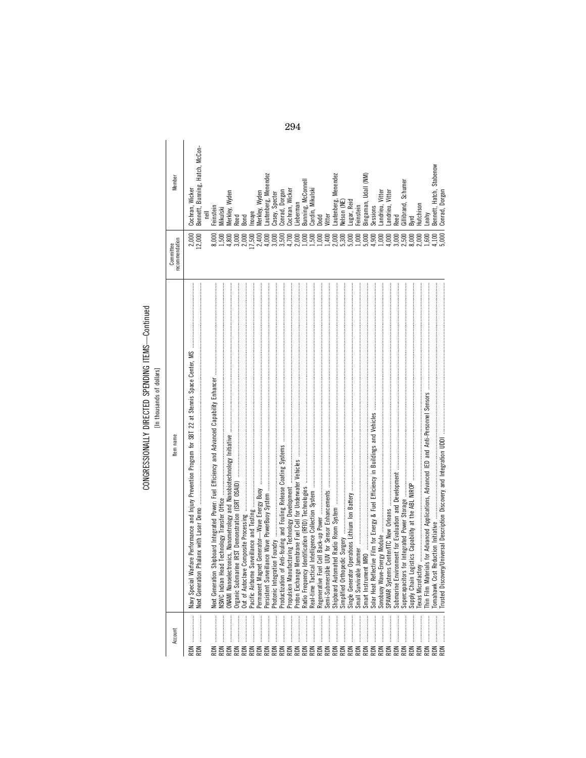## CONGRESSIONALLY DIRECTED SPENDING ITEMS-Continued<br>[In thousands of dollars]

 $\overline{\phantom{a}}$ 

| Member                      | Bennett, Bunning, Hatch, McCon-<br>Cochran, Wicker | einstein              | Mikulski             | Merkley, Wyden | Peed       | <b>Bond</b>     | nouye            | <b>Merkley, Wyden</b> |                 | Lautenberg, Menendez<br>Casey, Specter | Conrad, Dorgan | Cochran, Wicker | _ieberman | Bunning, McConnell | Cardin, Mikulski | Dodd           | litter        |                | Lautenberg, Menendez<br>Nelson (NE) | Lugar, Reid | Feinstein      | Bingaman, Udall (NM)                   | Sessions        | andrieu, Vitter | Landrieu, Vitter | λeed          | Gillibrand, Schumer | Byrd         | Hutchison              | -eahy      | Bennett, Hatch, Stabenow | Conrad Dorgan |
|-----------------------------|----------------------------------------------------|-----------------------|----------------------|----------------|------------|-----------------|------------------|-----------------------|-----------------|----------------------------------------|----------------|-----------------|-----------|--------------------|------------------|----------------|---------------|----------------|-------------------------------------|-------------|----------------|----------------------------------------|-----------------|-----------------|------------------|---------------|---------------------|--------------|------------------------|------------|--------------------------|---------------|
| recommendation<br>Committee | 2,000                                              | 8,000                 | 1,500                | 4,800          | 3,000      | 2,000           | 17,500           | 2,400                 | 4,000           | 3,000                                  | 3,500          | 4,700           | 2,000     | 1,000              | 1,500            | 1,000          | 1,400         | 2,000          | 5,300                               | 5,000       | 000            | 5,000                                  | 1,900           | 000,            | 4,000            | 3,000         | 2,500               | 8,000        | 2,000                  | 600        | 1,100                    | 5000          |
| tem name                    | Next Generation<br>Navy Special W                  | <b>Jext Generatio</b> | <b>VSWC</b> Indian H |                |            | Out of Autoclay | Pacific Airborne | Permanent Mag         | Persistent Surv | ation Foundry<br>Photonic Integr       |                |                 |           |                    | Real-time Tact   | Regenerative F | Semi-Submersi | Shipboard Auto | Simplified Orth                     |             | Small Survivab | Smart Instrument MRO                   | Solar Heat Refl |                 |                  | Submarine Env | Supercapacitors     | Supply Chain | <b>Texas Microfact</b> |            |                          |               |
| Account                     | <b>RDN</b>                                         |                       |                      |                | <b>RDN</b> |                 |                  |                       |                 |                                        |                |                 |           |                    |                  |                |               | RDN            |                                     |             |                | E E E E E E E E E<br>E E E E E E E E E |                 |                 |                  |               |                     | <b>RDN</b>   | <b>RDN</b>             | <b>RDN</b> | <b>RDN</b>               |               |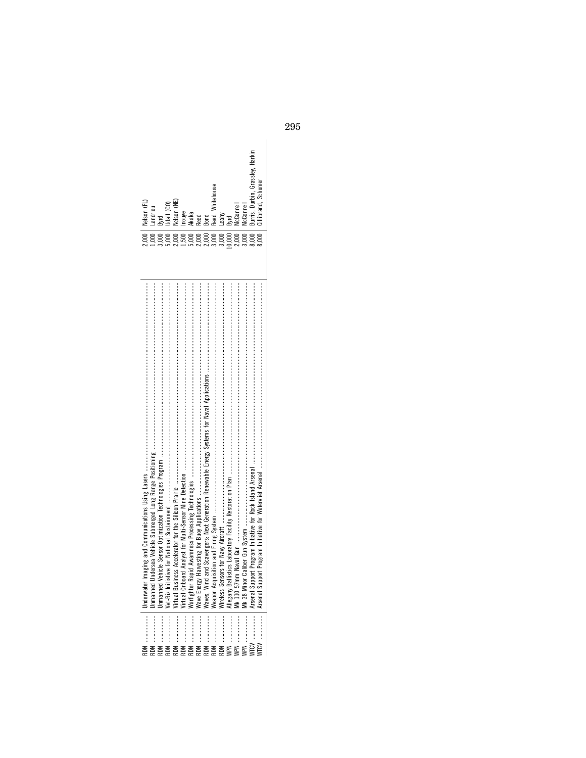| 2,000   Nelson (FL) | Landrieu | Bwrd    | Udall (CO)       | Velson (NE)   | nouye | Akaka | <b>Reed</b> | Bond       | Reed. Whitehouse | Leahy                |              | AcConnel     | AcConnell         | Burris, Durbin, Grassley, Harkin<br>Gillibrand, Schumer |              |
|---------------------|----------|---------|------------------|---------------|-------|-------|-------------|------------|------------------|----------------------|--------------|--------------|-------------------|---------------------------------------------------------|--------------|
|                     |          |         | 000 <sub>1</sub> |               | 500   |       | 2,000       | 2,000      | 3,000            | 3,000                | 0.000        | 2,000        | 3,000             | 8,000<br>3,000                                          |              |
|                     | nmanner  | nmanned | Vet-Biz Initia   | 'irtual Busii |       |       | Wave Energ  | Waves, Win | Veapon Acq       | <b>Wireless Sens</b> | Allegany Bai | Mk 110 57 mu | $\overline{k}$ 38 | Arsenal Supp                                            | Arsenal Supp |
|                     |          |         |                  |               |       |       |             |            |                  |                      |              |              |                   |                                                         |              |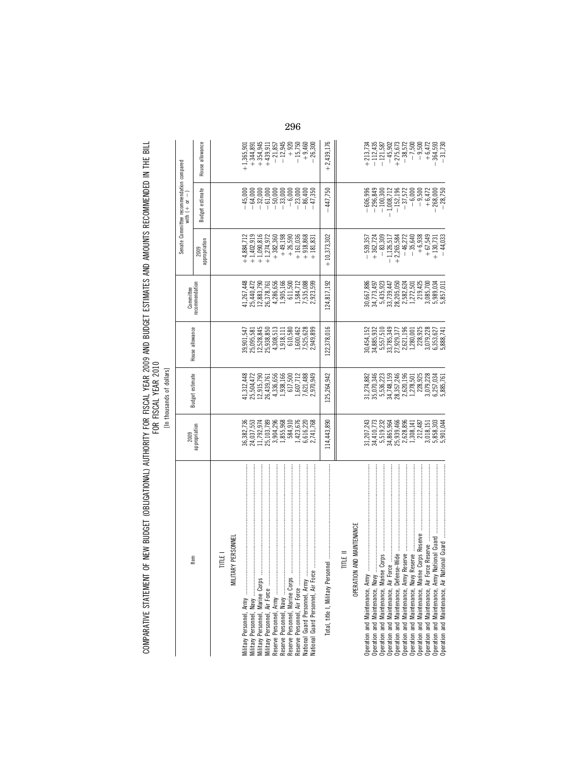| A SEN BUNGET (ORLIGATIONAL) ALTERNATA EUR EISCAL VEAR 2000 AND RUIDET ECTRATEC AND AMAINTE DECOMMATING IN THE DU<br>יוו שבושות השל היה להתוכנית היה את ה |                                             |
|----------------------------------------------------------------------------------------------------------------------------------------------------------|---------------------------------------------|
|                                                                                                                                                          |                                             |
|                                                                                                                                                          |                                             |
|                                                                                                                                                          | こうこうこう<br>י בטב                             |
|                                                                                                                                                          | ווי שונים וועטון וועט<br><b>-----------</b> |
|                                                                                                                                                          |                                             |
| ļ<br>$\frac{1}{2}$                                                                                                                                       |                                             |
| Ì                                                                                                                                                        |                                             |
|                                                                                                                                                          |                                             |
|                                                                                                                                                          |                                             |

| H<br>H | ollars<br>ъ |
|--------|-------------|
| ŗ      | nousands    |
|        |             |

|                                                                                                                                                                                                                                               | 2009                                                                                                                                                                                                                                                       | <b>Budget estimate</b>                                                                                                                                                                       |                                                                                                                                                                                                                                                             | Committee                                                                                                                                                                                      |                                                                                                                                                                                                                                                                                                               | Senate Committee recommendation compared<br>with $(+)$ or $-)$                                                                                                                                                                                                                                       |                                                                                                                                                                                             |
|-----------------------------------------------------------------------------------------------------------------------------------------------------------------------------------------------------------------------------------------------|------------------------------------------------------------------------------------------------------------------------------------------------------------------------------------------------------------------------------------------------------------|----------------------------------------------------------------------------------------------------------------------------------------------------------------------------------------------|-------------------------------------------------------------------------------------------------------------------------------------------------------------------------------------------------------------------------------------------------------------|------------------------------------------------------------------------------------------------------------------------------------------------------------------------------------------------|---------------------------------------------------------------------------------------------------------------------------------------------------------------------------------------------------------------------------------------------------------------------------------------------------------------|------------------------------------------------------------------------------------------------------------------------------------------------------------------------------------------------------------------------------------------------------------------------------------------------------|---------------------------------------------------------------------------------------------------------------------------------------------------------------------------------------------|
| Item                                                                                                                                                                                                                                          | appropriation                                                                                                                                                                                                                                              |                                                                                                                                                                                              | House allowance                                                                                                                                                                                                                                             | recommendation                                                                                                                                                                                 | appropriation<br>2009                                                                                                                                                                                                                                                                                         | Budget estimate                                                                                                                                                                                                                                                                                      | House allowance                                                                                                                                                                             |
| TITLE I                                                                                                                                                                                                                                       |                                                                                                                                                                                                                                                            |                                                                                                                                                                                              |                                                                                                                                                                                                                                                             |                                                                                                                                                                                                |                                                                                                                                                                                                                                                                                                               |                                                                                                                                                                                                                                                                                                      |                                                                                                                                                                                             |
| MILITARY PERSONNEL                                                                                                                                                                                                                            |                                                                                                                                                                                                                                                            |                                                                                                                                                                                              |                                                                                                                                                                                                                                                             |                                                                                                                                                                                                |                                                                                                                                                                                                                                                                                                               |                                                                                                                                                                                                                                                                                                      |                                                                                                                                                                                             |
|                                                                                                                                                                                                                                               |                                                                                                                                                                                                                                                            |                                                                                                                                                                                              |                                                                                                                                                                                                                                                             |                                                                                                                                                                                                | $+4,884,71$                                                                                                                                                                                                                                                                                                   |                                                                                                                                                                                                                                                                                                      | $+1,365,90$                                                                                                                                                                                 |
|                                                                                                                                                                                                                                               |                                                                                                                                                                                                                                                            |                                                                                                                                                                                              |                                                                                                                                                                                                                                                             |                                                                                                                                                                                                |                                                                                                                                                                                                                                                                                                               |                                                                                                                                                                                                                                                                                                      |                                                                                                                                                                                             |
|                                                                                                                                                                                                                                               |                                                                                                                                                                                                                                                            |                                                                                                                                                                                              |                                                                                                                                                                                                                                                             |                                                                                                                                                                                                |                                                                                                                                                                                                                                                                                                               |                                                                                                                                                                                                                                                                                                      |                                                                                                                                                                                             |
|                                                                                                                                                                                                                                               | $\begin{array}{l} 36,382,736\\ 24,037,553\\ 11,792,974\\ 25,103,789\\ 3,904,296\\ 584,910\\ 6,616,220\\ 2,741,792\\ 6,616,220\\ 2,741,768\\ \end{array}$                                                                                                   | $\begin{array}{l} 41, 312, 443\\ 25, 504, 472\\ 25, 504, 472\\ 26, 439, 761\\ 26, 433, 656\\ 1, 338, 166\\ 617, 500\\ 1, 607, 712\\ 7, 621, 488\\ 2, 970, 949\\ \end{array}$                 | $\begin{array}{l} 39,901,547\\ 25,095,581\\ 25,528,845\\ 25,528,845\\ 25,528,850\\ 4,308,513\\ 1,111\\ 6\,10,580\\ 1,600,462\\ 7,525,628\\ 2,949,899 \end{array}$                                                                                           | $\begin{array}{l} 41.267,448\\ 25,440,472\\ 26,378,780\\ 26,378,761\\ 4,288,565\\ 611,500\\ 11,584,712\\ 11,584,712\\ 1,585,088\\ 1,585,088\\ \end{array}$                                     | $\begin{array}{l} +1,4\,02,919\\ +1,9\,090,816\\ +1,2\,74,9\,72\\ +3\,82,360\\ +4\,9,1\,98\\ +2\,6,5\,90\\ +1\,61,036\\ +1\,61,036\\ +1\,61,036\\ +1\,61,036\\ +1\,61,036\\ +1\,61,036\\ +1\,61,036\\ +1\,61,036\\ +1\,61,036\\ +1\,61,036\\ +1\,61,036\\ +1\,61,036\\ +1\,$                                  | $\begin{array}{r} -64,000\\ -32,000\\ -1,000\\ -1,000\\ -1,000\\ -1,000\\ -1,000\\ -1,000\\ -1,000\\ -1,000\\ -1,000\\ -1,000\\ -1,000\\ -1,000\\ -1,000\\ -1,000\\ -1,000\\ -1,000\\ -1,000\\ -1,000\\ -1,000\\ -1,000\\ -1,000\\ -1,000\\ -1,000\\ -1,000\\ -1,000\\ -1,000\\ -1,000\\ -1,000\\ -$ | $\begin{array}{r} + \, 344,891\\ + \, 354,945\\ + \, 439,911\\ - \, 21,857\\ - \, 12,945\\ - \, 12,945\\ - \, 12,945\\ - \, 15,750\\ - \, 15,750\\ - \, 15,750\\ - \, 26,300\\ \end{array}$ |
|                                                                                                                                                                                                                                               |                                                                                                                                                                                                                                                            |                                                                                                                                                                                              |                                                                                                                                                                                                                                                             |                                                                                                                                                                                                |                                                                                                                                                                                                                                                                                                               |                                                                                                                                                                                                                                                                                                      |                                                                                                                                                                                             |
|                                                                                                                                                                                                                                               |                                                                                                                                                                                                                                                            |                                                                                                                                                                                              |                                                                                                                                                                                                                                                             |                                                                                                                                                                                                |                                                                                                                                                                                                                                                                                                               |                                                                                                                                                                                                                                                                                                      |                                                                                                                                                                                             |
|                                                                                                                                                                                                                                               |                                                                                                                                                                                                                                                            |                                                                                                                                                                                              |                                                                                                                                                                                                                                                             |                                                                                                                                                                                                |                                                                                                                                                                                                                                                                                                               |                                                                                                                                                                                                                                                                                                      |                                                                                                                                                                                             |
|                                                                                                                                                                                                                                               |                                                                                                                                                                                                                                                            |                                                                                                                                                                                              |                                                                                                                                                                                                                                                             |                                                                                                                                                                                                |                                                                                                                                                                                                                                                                                                               |                                                                                                                                                                                                                                                                                                      |                                                                                                                                                                                             |
|                                                                                                                                                                                                                                               |                                                                                                                                                                                                                                                            |                                                                                                                                                                                              |                                                                                                                                                                                                                                                             |                                                                                                                                                                                                |                                                                                                                                                                                                                                                                                                               |                                                                                                                                                                                                                                                                                                      |                                                                                                                                                                                             |
|                                                                                                                                                                                                                                               | 114,443,890                                                                                                                                                                                                                                                | 125,264,942                                                                                                                                                                                  | 122,378,016                                                                                                                                                                                                                                                 | 124,817,192                                                                                                                                                                                    | $+10,373,302$                                                                                                                                                                                                                                                                                                 | $-447,750$                                                                                                                                                                                                                                                                                           | $+2,439,176$                                                                                                                                                                                |
| TITLE II                                                                                                                                                                                                                                      |                                                                                                                                                                                                                                                            |                                                                                                                                                                                              |                                                                                                                                                                                                                                                             |                                                                                                                                                                                                |                                                                                                                                                                                                                                                                                                               |                                                                                                                                                                                                                                                                                                      |                                                                                                                                                                                             |
| OPERATION AND MAINTENANCE                                                                                                                                                                                                                     |                                                                                                                                                                                                                                                            |                                                                                                                                                                                              |                                                                                                                                                                                                                                                             |                                                                                                                                                                                                |                                                                                                                                                                                                                                                                                                               |                                                                                                                                                                                                                                                                                                      |                                                                                                                                                                                             |
| Operation and Maintenance, Army                                                                                                                                                                                                               |                                                                                                                                                                                                                                                            |                                                                                                                                                                                              |                                                                                                                                                                                                                                                             |                                                                                                                                                                                                | $-539,357$                                                                                                                                                                                                                                                                                                    |                                                                                                                                                                                                                                                                                                      |                                                                                                                                                                                             |
|                                                                                                                                                                                                                                               |                                                                                                                                                                                                                                                            |                                                                                                                                                                                              |                                                                                                                                                                                                                                                             |                                                                                                                                                                                                | $+362,724$                                                                                                                                                                                                                                                                                                    |                                                                                                                                                                                                                                                                                                      |                                                                                                                                                                                             |
|                                                                                                                                                                                                                                               |                                                                                                                                                                                                                                                            |                                                                                                                                                                                              |                                                                                                                                                                                                                                                             |                                                                                                                                                                                                |                                                                                                                                                                                                                                                                                                               |                                                                                                                                                                                                                                                                                                      |                                                                                                                                                                                             |
|                                                                                                                                                                                                                                               |                                                                                                                                                                                                                                                            |                                                                                                                                                                                              |                                                                                                                                                                                                                                                             |                                                                                                                                                                                                |                                                                                                                                                                                                                                                                                                               |                                                                                                                                                                                                                                                                                                      |                                                                                                                                                                                             |
|                                                                                                                                                                                                                                               |                                                                                                                                                                                                                                                            |                                                                                                                                                                                              |                                                                                                                                                                                                                                                             |                                                                                                                                                                                                |                                                                                                                                                                                                                                                                                                               |                                                                                                                                                                                                                                                                                                      |                                                                                                                                                                                             |
|                                                                                                                                                                                                                                               |                                                                                                                                                                                                                                                            |                                                                                                                                                                                              |                                                                                                                                                                                                                                                             |                                                                                                                                                                                                |                                                                                                                                                                                                                                                                                                               |                                                                                                                                                                                                                                                                                                      |                                                                                                                                                                                             |
|                                                                                                                                                                                                                                               |                                                                                                                                                                                                                                                            |                                                                                                                                                                                              |                                                                                                                                                                                                                                                             |                                                                                                                                                                                                |                                                                                                                                                                                                                                                                                                               |                                                                                                                                                                                                                                                                                                      |                                                                                                                                                                                             |
|                                                                                                                                                                                                                                               |                                                                                                                                                                                                                                                            |                                                                                                                                                                                              |                                                                                                                                                                                                                                                             |                                                                                                                                                                                                |                                                                                                                                                                                                                                                                                                               |                                                                                                                                                                                                                                                                                                      |                                                                                                                                                                                             |
|                                                                                                                                                                                                                                               |                                                                                                                                                                                                                                                            |                                                                                                                                                                                              |                                                                                                                                                                                                                                                             |                                                                                                                                                                                                |                                                                                                                                                                                                                                                                                                               |                                                                                                                                                                                                                                                                                                      |                                                                                                                                                                                             |
| Operation and Maintenance, Navy<br>Operation and Maintenance, Marine Corps<br>Operation and Maintenance, Air Force<br>Operation and Maintenance, Air Force<br>Operation and Maintenance, Airny Reserve<br>Operation and Maintenance, Navy Res | $\begin{array}{l} 31.207,243\\ 34.410,773\\ 5,519,232\\ 5,519,232\\ 25,628,896\\ 2,628,896\\ 1,308,141\\ 212,487\\ 30,896\\ 5,898,830\\ 5,808,303\\ 5,8030\\ 5,901,044\\ 5,9001,044\\ 5,901,044\\ 5,9001,044\\ 5,901,044\\ 5,9001,044\\ 5,901,044\\ 5,900$ | $\begin{array}{l} 31, 274, 882\\ 35, 070, 346\\ 5, 536, 223\\ 24, 748, 159\\ 28, 357, 246\\ 2, 620, 196\\ 1, 278, 501\\ 3, 079, 228\\ 3, 079, 228\\ 5, 885, 761\\ 5, 885, 761\\ \end{array}$ | $\begin{array}{l} 30,454,152\\ 36,85,937\\ 37,85,7\\ 55,7\\ 85,39,7\\ 7,9,29,31\\ 1,19\\ 2,62,1,19\\ 2,62,1,19\\ 2,80,02,02\\ 2,80,02,02\\ 3,35,62,7\\ 4,19\\ 5,888,741\\ 5,888,741\\ 5,888,741\\ 5,888,741\\ 5,888,741\\ 5,888,741\\ 5,888,741\\ 5,888,74$ | $\begin{array}{l} 30,667,886\\ 34,773,497\\ 5,435,923\\ 5,733,9447\\ 28,205,050\\ 2,582,624\\ 1,272,501\\ 1,272,501\\ 3,085,700\\ 5,989,034\\ 5,857,011\\ 5,857,011\\ 5,857,011\\ \end{array}$ | $\begin{array}{r} -83,309 \\ -1,126,517 \\ +2,265,584 \\ +6,272 \\ +65,640 \\ +65,938 \\ +65,938 \\ +67,549 \\ +7,130,731 \\ +130,731 \\ +130,731 \\ +130,731 \\ +130,731 \\ +130,731 \\ +130,731 \\ +130,731 \\ +130,731 \\ +130,731 \\ +130,731 \\ +130,731 \\ +130,731 \\ +130,731 \\ +130,731 \\ +130,73$ | $\begin{array}{r} -606.996\\ -606.996\\ -236.849\\ -100.310\\ -1,008.712\\ -1,008.712\\ -1,008.712\\ -1,008.712\\ -1,000\\ -1,000\\ -1,000\\ -2,000\\ -2,000\\ -2,000\\ -2,000\\ -2,000\\ -2,000\\ -2,000\\ -2,000\\ -2,000\\ -2,000\\ -2,000\\ -2,000\\ -2,000\\ -2,000\\ -2,000\\ -2,000\\$        |                                                                                                                                                                                             |
|                                                                                                                                                                                                                                               |                                                                                                                                                                                                                                                            |                                                                                                                                                                                              |                                                                                                                                                                                                                                                             |                                                                                                                                                                                                |                                                                                                                                                                                                                                                                                                               |                                                                                                                                                                                                                                                                                                      |                                                                                                                                                                                             |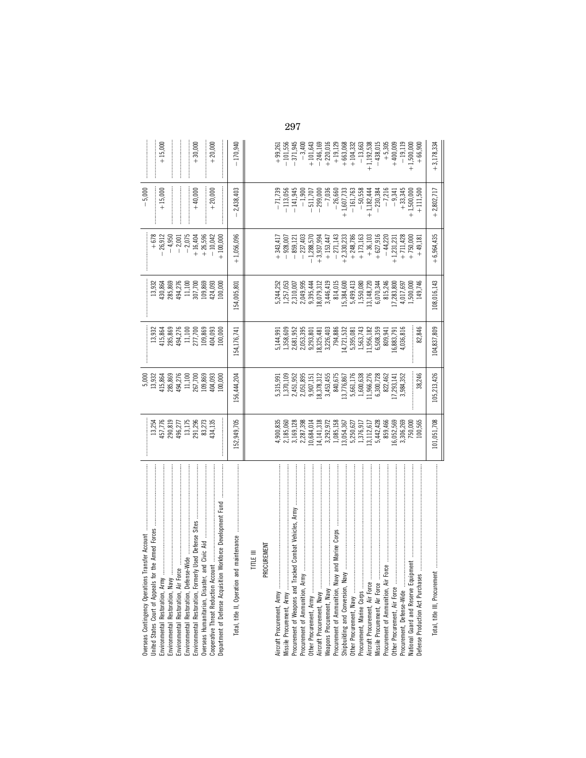| Overseas Contingency Operations Transfer Account             |                                                                                                                                                                           | 5,000                                                                                                 |                                                                                                                                         |                                                                                                                                                                                                                                                          |                                                                                                                                                                                                                                                              | $-5,000$                                                                                                                                           |                                                                                                                                                                                                                                                                                |
|--------------------------------------------------------------|---------------------------------------------------------------------------------------------------------------------------------------------------------------------------|-------------------------------------------------------------------------------------------------------|-----------------------------------------------------------------------------------------------------------------------------------------|----------------------------------------------------------------------------------------------------------------------------------------------------------------------------------------------------------------------------------------------------------|--------------------------------------------------------------------------------------------------------------------------------------------------------------------------------------------------------------------------------------------------------------|----------------------------------------------------------------------------------------------------------------------------------------------------|--------------------------------------------------------------------------------------------------------------------------------------------------------------------------------------------------------------------------------------------------------------------------------|
| United States Court of Appeals for the Armed Forces          |                                                                                                                                                                           | 13,932                                                                                                | 13,932                                                                                                                                  | 13,932                                                                                                                                                                                                                                                   |                                                                                                                                                                                                                                                              |                                                                                                                                                    |                                                                                                                                                                                                                                                                                |
| Environmental Restoration, Army                              |                                                                                                                                                                           | 115,864                                                                                               |                                                                                                                                         |                                                                                                                                                                                                                                                          |                                                                                                                                                                                                                                                              | $+15,000$                                                                                                                                          | $+15,000$                                                                                                                                                                                                                                                                      |
|                                                              |                                                                                                                                                                           | 285,869<br>494,276<br>11,100<br>267,700                                                               |                                                                                                                                         |                                                                                                                                                                                                                                                          |                                                                                                                                                                                                                                                              |                                                                                                                                                    |                                                                                                                                                                                                                                                                                |
|                                                              |                                                                                                                                                                           |                                                                                                       |                                                                                                                                         |                                                                                                                                                                                                                                                          |                                                                                                                                                                                                                                                              |                                                                                                                                                    |                                                                                                                                                                                                                                                                                |
|                                                              |                                                                                                                                                                           |                                                                                                       |                                                                                                                                         |                                                                                                                                                                                                                                                          |                                                                                                                                                                                                                                                              |                                                                                                                                                    |                                                                                                                                                                                                                                                                                |
|                                                              | 13,254<br>457,776<br>290,819<br>13,175<br>13,175<br>291,296<br>83,273                                                                                                     |                                                                                                       | 415,864<br>285,869<br>494,276<br>11,100<br>277,700<br>109,869                                                                           | 430,864<br>285,869<br>1494,276<br>11,100<br>109,869                                                                                                                                                                                                      | $\begin{array}{r} +678 \\ +26,912 \\ -4,950 \\ -2,001 \\ -2,075 \\ +16,404 \\ +16,404 \end{array}$                                                                                                                                                           | $+40,000$                                                                                                                                          | $+30,000$                                                                                                                                                                                                                                                                      |
|                                                              |                                                                                                                                                                           | 109,869                                                                                               |                                                                                                                                         |                                                                                                                                                                                                                                                          |                                                                                                                                                                                                                                                              |                                                                                                                                                    |                                                                                                                                                                                                                                                                                |
|                                                              | 134,135                                                                                                                                                                   | 404,093                                                                                               | 404,093                                                                                                                                 | 124,093                                                                                                                                                                                                                                                  | $-10,042$                                                                                                                                                                                                                                                    | $+20,000$                                                                                                                                          | $+20,000$                                                                                                                                                                                                                                                                      |
| Department of Defense Acquisition Workforce Development Fund |                                                                                                                                                                           | .00,000                                                                                               | 00,000                                                                                                                                  | 00,000                                                                                                                                                                                                                                                   | $+100,000$                                                                                                                                                                                                                                                   |                                                                                                                                                    |                                                                                                                                                                                                                                                                                |
| Total, title II, Operation and                               | 152,949,705                                                                                                                                                               | 56,444,204                                                                                            | 54,176,741                                                                                                                              | 54,005.801                                                                                                                                                                                                                                               | $+1,056,096$                                                                                                                                                                                                                                                 | $-2.438,403$                                                                                                                                       | $-170,940$                                                                                                                                                                                                                                                                     |
| TITLE III                                                    |                                                                                                                                                                           |                                                                                                       |                                                                                                                                         |                                                                                                                                                                                                                                                          |                                                                                                                                                                                                                                                              |                                                                                                                                                    |                                                                                                                                                                                                                                                                                |
| PROCUREMENT                                                  |                                                                                                                                                                           |                                                                                                       |                                                                                                                                         |                                                                                                                                                                                                                                                          |                                                                                                                                                                                                                                                              |                                                                                                                                                    |                                                                                                                                                                                                                                                                                |
|                                                              |                                                                                                                                                                           |                                                                                                       |                                                                                                                                         |                                                                                                                                                                                                                                                          | $+343,41$                                                                                                                                                                                                                                                    | $-71,735$                                                                                                                                          |                                                                                                                                                                                                                                                                                |
|                                                              |                                                                                                                                                                           |                                                                                                       |                                                                                                                                         |                                                                                                                                                                                                                                                          | $-928,007$                                                                                                                                                                                                                                                   | $-113,056$                                                                                                                                         |                                                                                                                                                                                                                                                                                |
|                                                              | $4,900,835$<br>$2,185,060$<br>$3,169,128$<br>$2,287,398$                                                                                                                  | 5,315,991<br>1,370,109<br>1,370,109<br>2,451,952<br>2,051,895<br>9,453,455<br>3,453,455<br>3,453,455  | $\begin{array}{l} 5,144,991 \\ 1,358,609 \\ 2,681,952 \\ 2,681,955 \\ 2,053,395 \\ 9,293,801 \\ 18,325,481 \\ 3,226,403 \\ \end{array}$ | $\begin{array}{l} 5,244,252\\ 5,57,053\\ 1,257,093\\ 2,310,093\\ 3,446,441\\ 4,45,010\\ 3,446,412\\ 4,51,015\\ 5,384,80\\ 7,46,101\\ 8,11,12,14,27\\ 1,13,14,27,28\\ 1,13,13,14,28\\ 1,13,13,14,28\\ 1,13,12,13,14\\ 1,13,13,14,28\\ 1,13,14,24,24\\ 1,$ | $-859,121$                                                                                                                                                                                                                                                   | $-141,94!$                                                                                                                                         | $\begin{array}{r} -101,556\\ -371,945\\ -371,945\\ +101,643\\ +220,016\\ +191,129\\ +191,29\\ +191,29\\ -136,363\\ -136,363\\ -136,363\\ +191,129,538\\ +191,129,538\\ +191,129,538\\ +191,129,538\\ +191,129,538\\ +191,129,538\\ +191,129,538\\ +191,129,538\\ +191,129,538$ |
| Procurement of Ammunition, Army                              |                                                                                                                                                                           |                                                                                                       |                                                                                                                                         |                                                                                                                                                                                                                                                          | $-237,403$                                                                                                                                                                                                                                                   |                                                                                                                                                    |                                                                                                                                                                                                                                                                                |
| Other Procurement, Army                                      | 10,684,014                                                                                                                                                                |                                                                                                       |                                                                                                                                         |                                                                                                                                                                                                                                                          |                                                                                                                                                                                                                                                              |                                                                                                                                                    |                                                                                                                                                                                                                                                                                |
|                                                              |                                                                                                                                                                           |                                                                                                       |                                                                                                                                         |                                                                                                                                                                                                                                                          |                                                                                                                                                                                                                                                              |                                                                                                                                                    |                                                                                                                                                                                                                                                                                |
|                                                              |                                                                                                                                                                           |                                                                                                       |                                                                                                                                         |                                                                                                                                                                                                                                                          |                                                                                                                                                                                                                                                              |                                                                                                                                                    |                                                                                                                                                                                                                                                                                |
|                                                              | $\begin{array}{l} 14,141,318\\ \,3.292.972\\ \,1.085,158\\ \,1.085,158\\ \,1.3054,357\\ \,5.250,627\\ \,1.376,917\\ \,1.3112,617\\ \,5.442,428\\ \,859,466\\ \end{array}$ |                                                                                                       |                                                                                                                                         |                                                                                                                                                                                                                                                          | $\begin{array}{r} -1.288\,507\\ -1.3937\,994\\ +3.937\,994\\ +153\,447\\ +2.43\,878\\ +2.43\,978\\ +2.43\,978\\ +173\,103\\ +173\,103\\ +6.47\,103\\ +6.47\,103\\ +6.47\,103\\ +6.47\,103\\ +6.47\,103\\ +6.47\,103\\ +6.47\,103\\ +6.49\,181\\ \end{array}$ | $\begin{array}{r} -1,900 \\ -511,707 \\ -299,000 \\ -7,036 \\ -7,036 \\ -26,660 \\ +1,607,733 \\ +1,607,733 \\ -161,763 \\ -60,658 \\ \end{array}$ |                                                                                                                                                                                                                                                                                |
|                                                              |                                                                                                                                                                           | $\begin{array}{l} 13,776,867\\ 5,661,176\\ 1,600,638\\ 1,966,276\\ 6,300,728\\ 6,300,728 \end{array}$ | $\begin{array}{l} 14, 721, 532\\ 5, 395, 081\\ 1, 563, 743\\ 11, 956, 182\\ 6, 508, 359\\ 6, 508, 359\\ 809, 941 \end{array}$           |                                                                                                                                                                                                                                                          |                                                                                                                                                                                                                                                              |                                                                                                                                                    |                                                                                                                                                                                                                                                                                |
|                                                              |                                                                                                                                                                           |                                                                                                       |                                                                                                                                         |                                                                                                                                                                                                                                                          |                                                                                                                                                                                                                                                              |                                                                                                                                                    |                                                                                                                                                                                                                                                                                |
|                                                              |                                                                                                                                                                           |                                                                                                       |                                                                                                                                         |                                                                                                                                                                                                                                                          |                                                                                                                                                                                                                                                              |                                                                                                                                                    |                                                                                                                                                                                                                                                                                |
|                                                              |                                                                                                                                                                           |                                                                                                       |                                                                                                                                         |                                                                                                                                                                                                                                                          |                                                                                                                                                                                                                                                              |                                                                                                                                                    |                                                                                                                                                                                                                                                                                |
| Missile Procurement, Air Force                               |                                                                                                                                                                           |                                                                                                       |                                                                                                                                         |                                                                                                                                                                                                                                                          |                                                                                                                                                                                                                                                              |                                                                                                                                                    |                                                                                                                                                                                                                                                                                |
|                                                              |                                                                                                                                                                           |                                                                                                       |                                                                                                                                         |                                                                                                                                                                                                                                                          |                                                                                                                                                                                                                                                              | $+1,182,444$<br>$-230,384$<br>$-7,216$<br>$-9,341$                                                                                                 |                                                                                                                                                                                                                                                                                |
|                                                              | 6,052,569                                                                                                                                                                 | 7,293,141                                                                                             | 16,883,791<br>4,036,816                                                                                                                 |                                                                                                                                                                                                                                                          |                                                                                                                                                                                                                                                              |                                                                                                                                                    | $+400,000$                                                                                                                                                                                                                                                                     |
| Procurement, Defense-Wide                                    | 3,306,269                                                                                                                                                                 | 3,984,352                                                                                             |                                                                                                                                         |                                                                                                                                                                                                                                                          |                                                                                                                                                                                                                                                              | $+33,345$                                                                                                                                          | $-19,119$                                                                                                                                                                                                                                                                      |
|                                                              | 750,000<br>100,565                                                                                                                                                        |                                                                                                       |                                                                                                                                         |                                                                                                                                                                                                                                                          |                                                                                                                                                                                                                                                              | $+1,500,000$<br>+ 111,500                                                                                                                          | $+1,500,000$                                                                                                                                                                                                                                                                   |
| Defense Production Act Purchases                             |                                                                                                                                                                           | 38,246                                                                                                | 82,846                                                                                                                                  |                                                                                                                                                                                                                                                          |                                                                                                                                                                                                                                                              |                                                                                                                                                    | $+66,900$                                                                                                                                                                                                                                                                      |
| Total, title III, Procurement                                | 101,051,708                                                                                                                                                               | 105,213,426                                                                                           | 104,837,809                                                                                                                             | 108,016,143                                                                                                                                                                                                                                              | $+6,964,435$                                                                                                                                                                                                                                                 | $+2,802,717$                                                                                                                                       | $+3,178,334$                                                                                                                                                                                                                                                                   |

297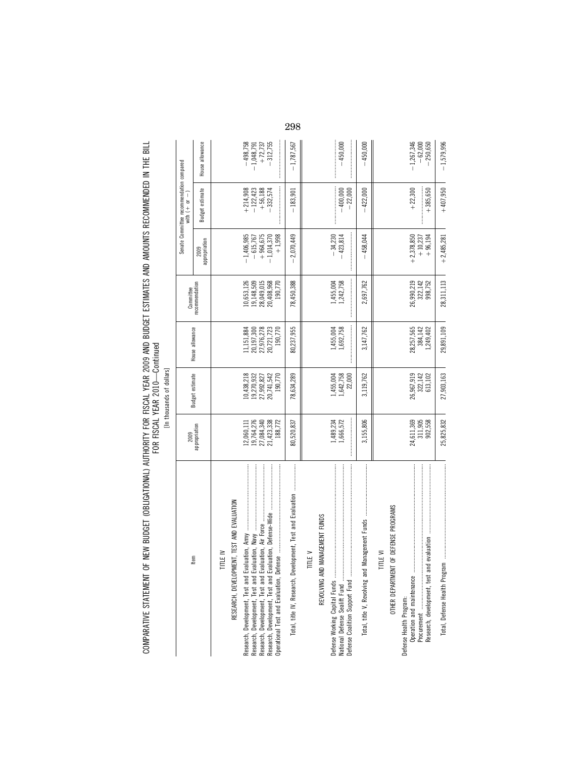COMPARATIVE STATEMENT OF NEW BUDGET (OBLIGATIONAL) AUTHORITY FOR FISCAL YEAR 2009 AND BUDGET ESTIMATES AND AMOUNTS RECOMMENDED IN THE BILL<br>FOR FISCAL YEAR COMPARATIVE STATEMENT OF NEW BUDGET (OBLIGATIONAL) AUTHORITY FOR FISCAL YEAR 2009 AND BUDGET ESTIMATES AND AMOUNTS RECOMMENDED IN THE BILL FOR FISCAL YEAR 2010—Continued

| ۱<br>š    |
|-----------|
|           |
| ֞֘֟֘֟֘֝֟׆ |
|           |

|                                                             |                          | Lill tillbaallus ol ulallais. |                          |                          |                          |                                                                |                         |
|-------------------------------------------------------------|--------------------------|-------------------------------|--------------------------|--------------------------|--------------------------|----------------------------------------------------------------|-------------------------|
| Item                                                        | 2009                     | Budget estimate               | House allowance          | Committee                |                          | Senate Committee recommendation compared<br>with $(+)$ or $-)$ |                         |
|                                                             | appropriation            |                               |                          | recommendation           | appropriation<br>2009    | Budget estimate                                                | House allowance         |
| <b>TITLE IV</b>                                             |                          |                               |                          |                          |                          |                                                                |                         |
| RESEARCH, DEVELOPMENT, TEST AND EVALUATION                  |                          |                               |                          |                          |                          |                                                                |                         |
|                                                             | 2,060,111                | 10,438,218                    | .1,151,884               | 10,653,126               | $-1,406,985$             |                                                                | $-498,758$              |
|                                                             | 19,764,276<br>27,084,340 | 19,270,932<br>27,992,827      | 20,197,300<br>27,976,278 | 19,148,509<br>28,049,015 | $+964,675$<br>$-615,767$ | $\begin{array}{r} +214,908 \\ -122,423 \\ +56,188 \end{array}$ | 1,048,791<br>$+ 72,737$ |
|                                                             | 21,423,338               | 20,741,542                    | 20,721,723               | 20,408,968               | $-1,014,370$             | $-332,574$                                                     | $-312,755$              |
|                                                             | 188,772                  | 190,770                       | 190,770                  | 190,770                  | $+1,998$                 |                                                                |                         |
| Total, title IV, Research, Development, Test and Evaluation | 80,520,837               | 78,634,289                    | 80,237,955               | 78,450,388               | $-2,070,449$             | $-183,901$                                                     | $-1,787,567$            |
| TITLE V                                                     |                          |                               |                          |                          |                          |                                                                |                         |
| MANAGEMENT FUNDS<br>REVOLVING AND                           |                          |                               |                          |                          |                          |                                                                |                         |
|                                                             | 1,489,234<br>1,666,572   | 1,455,004<br>1,642,758        | 1,455,004<br>1,692,758   | 1,242,758<br>1,455,004   | $-34,230$<br>$-423,814$  | $-400,000$                                                     | $-450,000$              |
|                                                             |                          | 22,000                        |                          |                          |                          | $-22,000$                                                      |                         |
| Total, title V, Revolving and                               | 3,155,806                | 3,119,762                     | 3,147,762                | 2,697,762                | $-458,044$               | $-422,000$                                                     | $-450,000$              |
| <b>TTLE VI</b>                                              |                          |                               |                          |                          |                          |                                                                |                         |
| OTHER DEPARTMENT OF DEFENSE PROGRAMS                        |                          |                               |                          |                          |                          |                                                                |                         |
| Defense Health Program:                                     | 24,611,369               | 26,967,919                    | 28,257,565               | 26,990,219               | $+2,378,850$             | $+22,300$                                                      | $-1,267,346$            |
|                                                             |                          | 322,142                       | 384,142                  | 322,142                  | $+10,237$                |                                                                | $-62,000$               |
| Procurement<br>Research, development, test and evaluation   | 311,905<br>902,558       | 613,102                       | 1,249,402                | 998,752                  | $+96,194$                | $+385,650$                                                     | $-250,650$              |
|                                                             | 25,825,832               | 27,903,163                    | 29,891,109               | 28,311,113               | $+2,485,281$             | $+407,950$                                                     | $-1,579,996$            |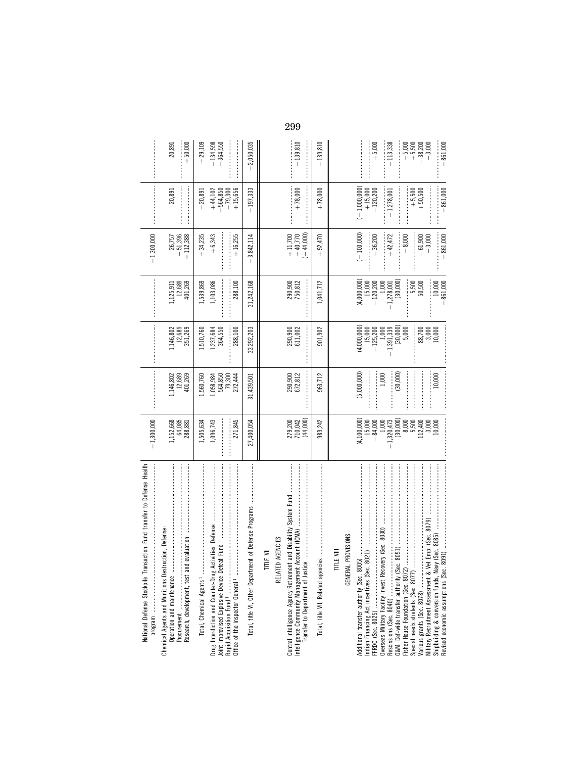| National Defense Stockpile Transaction Fund transfer to Defense Health                                                                                                                                      | $-1,300,000$                                                                                                                      |                                                                |                                                                                                                  |                                                                                                                           | $+1,300,000$                                                                              |                                                                                                      |                                                                                       |
|-------------------------------------------------------------------------------------------------------------------------------------------------------------------------------------------------------------|-----------------------------------------------------------------------------------------------------------------------------------|----------------------------------------------------------------|------------------------------------------------------------------------------------------------------------------|---------------------------------------------------------------------------------------------------------------------------|-------------------------------------------------------------------------------------------|------------------------------------------------------------------------------------------------------|---------------------------------------------------------------------------------------|
| Chemical Agents and Munitions Destruction, Defense:<br>Operation and maintenance                                                                                                                            | 1,152,668<br>64,085<br>288,881                                                                                                    | 1,146,802<br>12,689<br>401,269                                 | 1,146,802<br>12,689<br>351,269                                                                                   | 1,125,911<br>12,689<br>401,269                                                                                            | $-26,757$<br>$-51,396$<br>$+112,388$                                                      | $-20,891$                                                                                            | $+50,000$<br>20,891                                                                   |
| Total, Chemical Agents <sup>1</sup>                                                                                                                                                                         | 271,845<br>1,096,743<br>1,505,634                                                                                                 | 1,560,760<br>$1,058,984$<br>564,850<br>79,300<br>272,444       | ,510,760<br>288,100<br>1,237,684<br>364,550                                                                      | 1,539,869<br>1,103,086<br>288,100                                                                                         | $+16,255$<br>$+34,235$<br>$+6,343$<br>$\frac{1}{2}$                                       | $+44,102$<br>$-564,850$<br>$-79,300$<br>$+15,656$<br>$-20,891$                                       | $+29,109$<br>$-134,598$<br>$-364,550$                                                 |
| Total, title VI, Other Department of Defense Programs                                                                                                                                                       | 27,400,054                                                                                                                        | 31,439,501                                                     | 33,292,203                                                                                                       | 31,242,168                                                                                                                | $+3,842,114$                                                                              | $-197,333$                                                                                           | $-2,050,035$                                                                          |
| Central Intelligence Agency Retirement and Disability System Fund<br>RELATED AGENCIES<br>TITLE VII                                                                                                          | (44,000)<br>279,200<br>710,042                                                                                                    | 290,900<br>672,812                                             | 290,900<br>611,002                                                                                               | 290,900<br>750,812                                                                                                        | $-44,000$<br>$+11,700$<br>+40,770                                                         | $+78,000$                                                                                            | $+139.810$                                                                            |
|                                                                                                                                                                                                             | 989,242                                                                                                                           | 963,712                                                        | 901,902                                                                                                          | 1,041,712                                                                                                                 | $+52,470$                                                                                 | $+78,000$                                                                                            | $+139,810$                                                                            |
| FFRDC (Sec. 8025)<br>Overseas Military Facility Invest Recovery (Sec. 8030)<br>Additional transfer authority (Sec. 8005)<br>GENERAL PROVISIONS<br>TITLE VIII<br>0.8091<br>Revised economic assumptions (Sec | $(30,000)$<br>$8,000$<br>$5,500$<br>$(4,100,000)$<br>$15,000$<br>$-84,000$<br>1,320,473<br>12,400<br>$3,000$<br>$10,000$<br>1,000 | (5,000,000)<br>(30,000)<br>1,000<br>10,000<br>İ<br>:<br>:<br>İ | $-1,391,339$<br>(30,000)<br>5,000<br>(4,000,000)<br>88,700<br>3,000<br>10,000<br>$15,000$<br>$-125,200$<br>1,000 | (4,000,000)<br>$-1,278,001$<br>(30,000)<br>$10,000$<br>-861,000<br>$5,500$<br>$50,500$<br>$15,000$<br>$-120,200$<br>1,000 | $(-100,000)$<br>$-861,000$<br>$+42,472$<br>$-8,000$<br>$-36,200$<br>$-61,900$<br>$-3,000$ | $(-1,000,000)$<br>$-861,000$<br>$+15,000$<br>$-120,200$<br>$+ 5,500$<br>+ 50,500<br>$-1,278,001$<br> | $-861,000$<br>$+5,000$<br>$-5,500$<br>$+5,500$<br>$+3,200$<br>$-38,700$<br>$+113,338$ |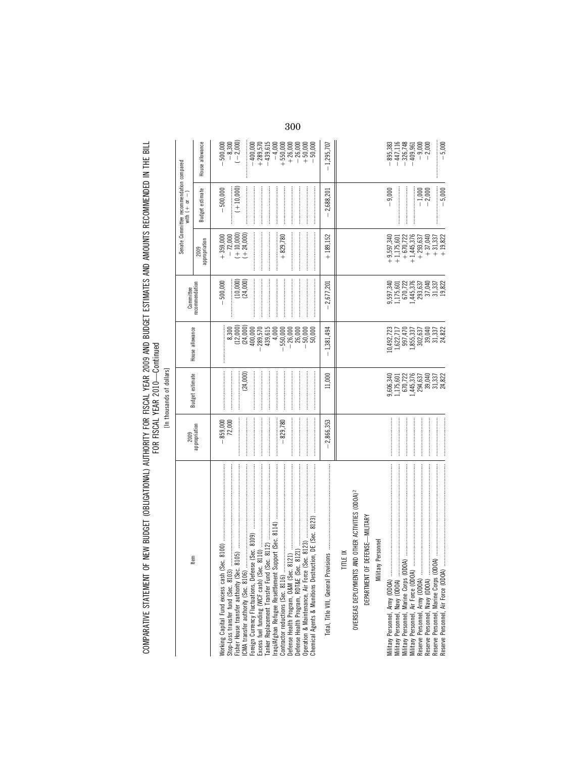| ;<br>;<br>;                                                                                                           |                                              |
|-----------------------------------------------------------------------------------------------------------------------|----------------------------------------------|
|                                                                                                                       |                                              |
| <b>NATIONAL INTERNATIONAL INTERNATIONAL INTERNATIONAL INTERNATIONAL INTERNATIONAL INTERNATIONAL INTERNATIONAL INT</b> |                                              |
|                                                                                                                       |                                              |
|                                                                                                                       |                                              |
|                                                                                                                       |                                              |
|                                                                                                                       |                                              |
|                                                                                                                       | くちく しょしご こくしこ しくし<br><b>DISTRIBUTE LEWIS</b> |
|                                                                                                                       |                                              |
|                                                                                                                       |                                              |
|                                                                                                                       |                                              |
| JF NEW BUDGEI (UBLIG"                                                                                                 |                                              |
|                                                                                                                       |                                              |
|                                                                                                                       |                                              |
|                                                                                                                       |                                              |
|                                                                                                                       |                                              |

BILL

| ۱      |
|--------|
| Ş      |
| ı<br>ė |
|        |
| í      |
| ۶<br>h |
|        |
| ֠<br>١ |
|        |
|        |
| í      |
| í      |

|                                                                                                                                                                                                                                                                                 | 2009                               |                                                                                         |                                                                                                                                             |                                                                                         |                                                                                                                                        | Senate Committee recommendation compared<br>with $(+\phantom{a}or\phantom{a}-)$ |                                                                                                                                                                                              |
|---------------------------------------------------------------------------------------------------------------------------------------------------------------------------------------------------------------------------------------------------------------------------------|------------------------------------|-----------------------------------------------------------------------------------------|---------------------------------------------------------------------------------------------------------------------------------------------|-----------------------------------------------------------------------------------------|----------------------------------------------------------------------------------------------------------------------------------------|---------------------------------------------------------------------------------|----------------------------------------------------------------------------------------------------------------------------------------------------------------------------------------------|
| ltem                                                                                                                                                                                                                                                                            | appropriation                      | Budget estimate                                                                         | House allowance                                                                                                                             | Committee<br>recommendation                                                             | appropriation<br>2009                                                                                                                  | Budget estimate                                                                 | House allowance                                                                                                                                                                              |
| Fisher House transfer authority (Sec. 8105)<br>LCMA transfer authority (Sec. 8106)<br>LCMA transfer authority (Sec. 8106)<br>Evergo Currency Fluctuations, Defense (Sec. 8109)<br>Earlier Applacement Transfer Furd (Sec. 8112)<br>Trans<br>Stop-Loss transfer fund (Sec. 8103) | $-859,000$<br>72,000<br>$-829,780$ | (24,000)                                                                                | $(12,000)$<br>$(24,000)$<br>$400,000$<br>439,615<br>8,300<br>289,570<br>26,000<br>50,000<br>4,000<br>$-550,000$<br>$-26,000$<br>50,000<br>I | $(10,000)$<br>$(24,000)$<br>$-500,000$                                                  | $+359,000$<br>$-72,000$<br>$(+10,000)$<br>$(+24,000)$<br>$+829,780$                                                                    | $(+ 10,000)$<br>$-500,000$                                                      | $-8,300$<br>$(-2,000)$<br>500,000<br>$-400,000$<br>+289,570<br>+439,615<br>$\begin{array}{r} +\, 550,000 \\ +\, 26,000 \\ +\, 50,000 \\ +\, 50,000 \\ +\, 50,000 \\ \end{array}$<br>$-4,000$ |
| Total, Title VIII, General Prov                                                                                                                                                                                                                                                 | $-2,866,353$                       | 11,000                                                                                  | $-1,381,494$                                                                                                                                | $-2,677,201$                                                                            | $+189.152$                                                                                                                             | $-2,688,201$                                                                    | $-1,295,707$                                                                                                                                                                                 |
| OVERSEAS DEPLOYMENTS AND OTHER ACTIVITIES (ODOA) <sup>2</sup><br>DEFENSE-MILITARY<br><b>Military Personnel</b><br><b>TITLE IX</b><br>DEPARTMENT OF                                                                                                                              |                                    |                                                                                         |                                                                                                                                             |                                                                                         |                                                                                                                                        |                                                                                 |                                                                                                                                                                                              |
| Military Personnel, Navy (DDOA)<br>Military Personnel, Marine Corps (DDOA)<br>Military Personnel, Airr (DDOA)<br>Reserve Personnel, Airry (DDOA)<br>Reserve Personnel, Marine Corps (DDOA)<br>Reserve Personnel, Marine Corps (DDOA)                                            |                                    | 9,606,340<br>1,175,601<br>670,722<br>1,445,376<br>294,637<br>39,040<br>31,337<br>24,822 | $\begin{array}{l} 10,492,723\\ 1,622,711\\ 1,622,711\\ 997,470\\ 1,855,337\\ 302,640\\ 399,040\\ 399,133\\ 31,337\\ 24,822 \end{array}$     | 9,597,340<br>1,175,601<br>670,722<br>1,445,376<br>293,637<br>37,040<br>31,337<br>19,822 | $+9,597,340$<br>+1,175,601<br>$+1,445,376$<br>$\begin{array}{c} +37,040 \\ +31,337 \\ +19,822 \end{array}$<br>$+670,722$<br>$+293,637$ | $-9,000$<br>$-5,000$<br>$-1,000$<br>-2,000                                      | 895,383<br>$-447,116$<br>$-326,748$<br><br>$-5,000$<br>$-409,961$<br>$-9,000$<br>$-2,000$                                                                                                    |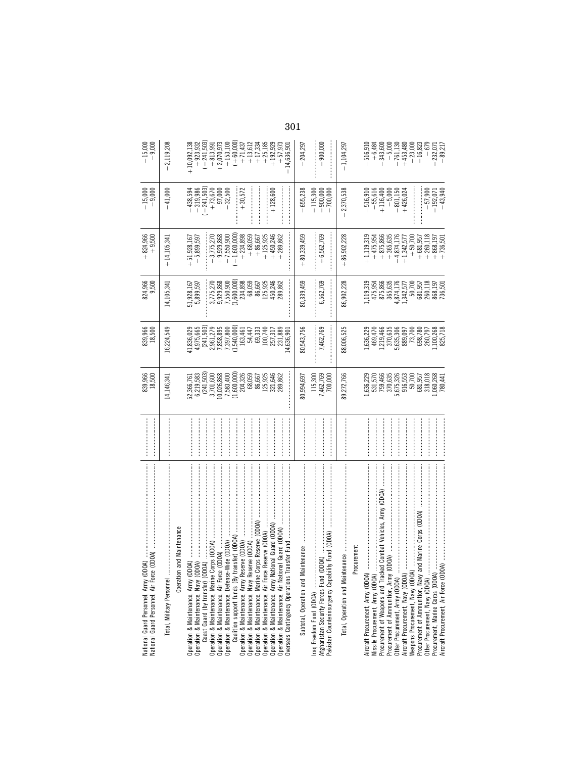| $-15,000$<br>$-9,000$                                                               | 2,119,208     |                           | $+10,092,138$<br>$+923,932$                                                  |                                  | $\begin{array}{c} (-241,503) \\ +813,991 \\ +2,070,973 \end{array}$   | $+153,100$              | $(+60,000)$<br>+71,437<br>+13,612                                                            |                                              | $+17,334$<br>+25,185                                 | $+192,929$                                        | $+57,973$                                                                                                 | 301<br>14,636,901                             | $-204,297$                          | 900,000<br>$\overline{\phantom{a}}$                  | $-1,104,297$                     |            | $\begin{array}{r} -516,910 \\ +6,484 \\ -343,600 \\ -5,000 \end{array}$    |                                                                 | $-761,130$                       | $+453,480\n-23,000\n-16,823$ | $-679$                   | $-232,071$<br>$-89,217$                |
|-------------------------------------------------------------------------------------|---------------|---------------------------|------------------------------------------------------------------------------|----------------------------------|-----------------------------------------------------------------------|-------------------------|----------------------------------------------------------------------------------------------|----------------------------------------------|------------------------------------------------------|---------------------------------------------------|-----------------------------------------------------------------------------------------------------------|-----------------------------------------------|-------------------------------------|------------------------------------------------------|----------------------------------|------------|----------------------------------------------------------------------------|-----------------------------------------------------------------|----------------------------------|------------------------------|--------------------------|----------------------------------------|
| $-15,000$<br>$-9,000$                                                               | $-41,000$     |                           | $-438,594$<br>$-319,986$                                                     |                                  | $(-241, 503)$<br>+ 73, 670<br>- 97, 000<br>- 32, 500                  |                         | $+30,572$                                                                                    |                                              |                                                      | $+128,600$                                        |                                                                                                           |                                               | $-655,238$                          | $-115,300$<br>$-900,000$<br>$-700,000$               | 2,370,538                        |            | $-516,910$<br>$-55,616$                                                    | $+116,400$<br>$-5,000$                                          | $-801,150$<br>+426,024           |                              |                          | $-57,900$<br>$-192,071$<br>$-43,940$   |
| $+824,966$<br>$+9,500$                                                              | $+14,105,341$ |                           | $+51,928,167$<br>+5,899,597                                                  |                                  | $\begin{array}{r} +3,775,270 \\ +9,929,868 \\ +7,550,900 \end{array}$ |                         | $(+1,600,000)$                                                                               | $+234,898$<br>+68,059                        | $+86,667$<br>86,667<br>125,925                       | $+125,925$<br>$+450,246$                          | $+289,862$<br>289,862                                                                                     |                                               | $+80,339,459$                       | $+6,562,769$                                         | $+86,902,228$                    |            | $+1,119,319$<br>$+475,954$                                                 | $+875,866$<br>+365,635                                          | $+4,874,176$                     | $+1,342,577$<br>+50,700      | $+260,118$<br>$+681,957$ | $+868,197$<br>$+736,501$               |
| 824,966<br>9,500<br>839,966<br>18,500                                               | 14,105,341    |                           | 51,928,167<br>5,899,597                                                      |                                  | 3,775,270                                                             | 9,929,868<br>7,550,900  | $(1,600,000)$<br>$234,898$<br>$68,059$                                                       | 54,447                                       | 69,333                                               |                                                   | 450,246                                                                                                   |                                               | 80,339,459                          | 6,562,769                                            | 86,902,228                       |            | 1,119,319<br>475,954<br>875,866<br>365,635                                 |                                                                 | 1,874,176<br>1,342,577<br>50,700 |                              | 681,957                  | 260,118<br>868,197<br>736,501          |
|                                                                                     | 16,224,549    |                           | 41,836,029<br>4,975,665                                                      | $(241,503)$<br>$2,961,279$       |                                                                       | 7,858,895<br>7,397,800  | (1,540,000)<br>163,461                                                                       |                                              | 86,667<br>125,925                                    | 100,740                                           | 231,889<br>257,317                                                                                        | 14,636,901                                    | 80,543,756                          | 7,462,769                                            | 88,006,525                       |            | ,636,229<br>469,470                                                        | 1,219,466<br>370,635                                            | 5,635,306<br>889,097<br>73,700   |                              | 698,780<br>260,797       | 1,100,268                              |
| 839,966<br>18,500                                                                   | 14,146,341    |                           | $52,366,761$<br>$6,219,583$<br>$(241,503)$<br>$3,701,600$                    |                                  |                                                                       | 10,026,868<br>7,583,400 | $(1,600,0000)$<br>$204,326$<br>$68,059$                                                      |                                              |                                                      | 321,646                                           | 289,862                                                                                                   |                                               | 80,994,697                          | 115,300<br>7,462,769<br>700,000                      | 89,272,766                       |            | 1,636,229<br>531,570<br>759,466<br>370,6336<br>56,5326<br>50,700<br>50,700 |                                                                 |                                  |                              | 681,957                  | 318,018<br>,060,268<br>780,441         |
| ļ                                                                                   |               |                           |                                                                              |                                  |                                                                       |                         |                                                                                              |                                              |                                                      |                                                   |                                                                                                           |                                               |                                     |                                                      |                                  |            |                                                                            |                                                                 |                                  |                              |                          |                                        |
| National Guard Personnel, Army (ODOA)<br>National Guard Personnel, Air Force (ODOA) |               | Operation and Maintenance | Operation & Maintenance, Army (ODOA)<br>Operation & Maintenance, Navy (ODOA) | Coast Guard (by transfer) (ODOA) | Operation & Maintenance, Air Force (ODOA)                             |                         | Coalition support funds (By transfer) (ODOA)<br>Operation & Maintenance, Army Reserve (ODOA) | Operation & Maintenance, Navy Reserve (ODOA) | Operation & Maintenance, Marine Corps Reserve (ODOA) | Operation & Maintenance, Air Force Reserve (ODOA) | Operation & Maintenance, Army National Guard (ODOA)<br>Operation & Maintenance, Air National Guard (ODOA) | Overseas Contingency Operations Transfer Fund | Subtotal, Operation and Maintenance | (000A)<br>Pakistan Counterinsurgency Capability Fund | Total, Operation and Maintenance | Procuremen | Aircraft Procurement, Army (ODOA)                                          | Procurement of Weapons and Tracked Combat Vehicles, Army (ODOA) |                                  |                              |                          | Aircraft Procurement, Air Force (ODOA) |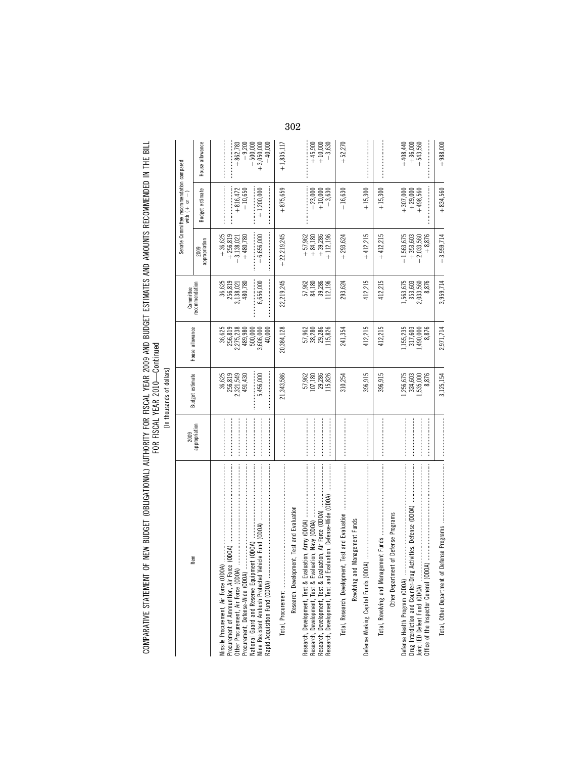COMPARATIVE STATEMENT OF NEW BUDGET (OBLIGATIONAL) AUTHORITY FOR FISCAL YEAR 2009 AND BUDGET ESTIMATES AND AMOUNTS RECOMMENDED IN THE BILL<br>FOR FISCAL YEAR COMPARATIVE STATEMENT OF NEW BUDGET (OBLIGATIONAL) AUTHORITY FOR FISCAL YEAR 2009 AND BUDGET ESTIMATES AND AMOUNTS RECOMMENDED IN THE BILL FOR FISCAL YEAR 2010—Continued

| ۱<br>š |
|--------|
| ۰      |
| ť<br>ė |
| í      |

|                                                                                                                                                                                                                                                                                                                                                                                                                                                                                                                                                                                                                                                                                                                       | 2009          |                                           |                                                      | Committee                                 |                                                       | Senate Committee recommendation compared<br>with $(+)$ or $-1$ |                                      |
|-----------------------------------------------------------------------------------------------------------------------------------------------------------------------------------------------------------------------------------------------------------------------------------------------------------------------------------------------------------------------------------------------------------------------------------------------------------------------------------------------------------------------------------------------------------------------------------------------------------------------------------------------------------------------------------------------------------------------|---------------|-------------------------------------------|------------------------------------------------------|-------------------------------------------|-------------------------------------------------------|----------------------------------------------------------------|--------------------------------------|
| Item                                                                                                                                                                                                                                                                                                                                                                                                                                                                                                                                                                                                                                                                                                                  | appropriation | <b>Budget estimate</b>                    | House allowance                                      | recommendation                            | appropriation                                         | Budget estimate                                                | House allowance                      |
| $\label{def:1} \begin{minipage}{0.9\linewidth} \begin{minipage}{0.9\linewidth} \begin{minipage}{0.9\linewidth} \begin{minipage}{0.9\linewidth} \end{minipage} \begin{minipage}{0.9\linewidth} \begin{minipage}{0.9\linewidth} \end{minipage} \end{minipage} \begin{minipage}{0.9\linewidth} \begin{minipage}{0.9\linewidth} \begin{minipage}{0.9\linewidth} \end{minipage} \end{minipage} \begin{minipage}{0.9\linewidth} \begin{minipage}{0.9\linewidth} \end{minipage} \end{minipage} \begin{minipage}{0.9\linewidth} \begin{minipage}{0$<br>National Guard and Reserve Equipment (ODOA)<br>Procurement of Ammunition, Air Force (ODOA)<br>Other Procurement, Air Force (ODOA)<br>Procurement, Defense-Wide (ODOA). |               | 256,819<br>36,625<br>2,321,549<br>491,430 | 256,819<br>36,625<br>2,275,238<br>489,980<br>500,000 | 256,819<br>3,138,021<br>480,780<br>36,625 | $+256,819$<br>$+36,625$<br>$+480,780$<br>$+3,138,021$ | $+816,472$<br>$-10,650$                                        | $+862,783$<br>$-9,200$<br>$-500,000$ |
| Mine Resistant Ambush Protected Vehicle Fund (ODOA)<br>Rapid Acquisition Fund (ODOA)                                                                                                                                                                                                                                                                                                                                                                                                                                                                                                                                                                                                                                  |               | 5,456,000                                 | 3,606,000<br>40,000                                  | 6,656,000                                 | $+6,656,000$                                          | $+1,200,000$                                                   | $+3,050,000$<br>$-40,000$            |
|                                                                                                                                                                                                                                                                                                                                                                                                                                                                                                                                                                                                                                                                                                                       |               | 21,343,586                                | 20,384,128                                           | 22,219,245                                | $+22,219,245$                                         | $+875,659$                                                     | $+1,835,117$                         |
| Research, Development, Test and Evaluation                                                                                                                                                                                                                                                                                                                                                                                                                                                                                                                                                                                                                                                                            |               |                                           |                                                      |                                           |                                                       |                                                                |                                      |
|                                                                                                                                                                                                                                                                                                                                                                                                                                                                                                                                                                                                                                                                                                                       |               | 57,962<br>107,180                         | 57,962<br>38,280                                     | 57,962<br>54,180<br>53,286<br>112,196     | $+57,962$<br>$+ 84,180$<br>$+ 39,286$                 | $-23,000$                                                      |                                      |
|                                                                                                                                                                                                                                                                                                                                                                                                                                                                                                                                                                                                                                                                                                                       |               | 29,286<br>115,826                         | 29,286<br>115,826                                    |                                           | $+112,196$                                            | $+10,000$<br>$-3,630$                                          | $+45,900$<br>$+10,000$<br>$-3,630$   |
| $\label{def:1} \centering \begin{minipage}{0.9\linewidth} \begin{minipage}{0.9\linewidth} \begin{minipage}{0.9\linewidth} \begin{minipage}{0.9\linewidth} \end{minipage} \end{minipage} \end{minipage} \begin{minipage}{0.9\linewidth} \begin{minipage}{0.9\linewidth} \begin{minipage}{0.9\linewidth} \begin{minipage}{0.9\linewidth} \end{minipage} \end{minipage} \end{minipage} \end{minipage} \begin{minipage}{0.9\linewidth} \begin{minipage}{0.9\linewidth} \begin{minipage}{0.9\linewidth} \end{minipage} \end{minipage} \end{min$<br>Total, Research, Development, Test and Evaluation                                                                                                                       |               | 310,254                                   | 241,354                                              | 293,624                                   | $+293,624$                                            | $-16,630$                                                      | $+52,270$                            |
| Revolving and Management Funds<br>ЭÁ<br>Defense Working Capital Funds (ODC                                                                                                                                                                                                                                                                                                                                                                                                                                                                                                                                                                                                                                            |               | 396,915                                   | 412,215                                              | 412,215                                   | $+412,215$                                            | $+15,300$                                                      |                                      |
|                                                                                                                                                                                                                                                                                                                                                                                                                                                                                                                                                                                                                                                                                                                       |               | 396,915                                   | 412,215                                              | 412,215                                   | $+412,215$                                            | $+15,300$                                                      |                                      |
| Other Department of Defense Programs                                                                                                                                                                                                                                                                                                                                                                                                                                                                                                                                                                                                                                                                                  |               |                                           |                                                      |                                           |                                                       |                                                                |                                      |
| Activities, Defense (ODOA)<br>Defense Health Program (ODOA)                                                                                                                                                                                                                                                                                                                                                                                                                                                                                                                                                                                                                                                           |               | 1,256,675<br>324,603                      | 1,155,235<br>317,603                                 | 1,563,675<br>353,603                      | $+1,563,675$<br>$+353,603$                            | $+307,000$                                                     | $+408,440$<br>$+36,000$              |
| Drug Interdiction and Counter-Drug .<br>Joint IED Defeat Fund (ODOA)                                                                                                                                                                                                                                                                                                                                                                                                                                                                                                                                                                                                                                                  |               | 8,876<br>1,535,000                        | 8,876<br>1,490,000                                   | 8,876<br>2,033,560                        | $+8,876$<br>$+2,033,560$                              | $+29,000$<br>+498,560                                          | $+543,560$                           |
| Total, Other Department of                                                                                                                                                                                                                                                                                                                                                                                                                                                                                                                                                                                                                                                                                            |               | 3,125,154                                 | 2,971,714                                            | 3,959,714                                 | $+3,959,714$                                          | $+834,560$                                                     | $+988,000$                           |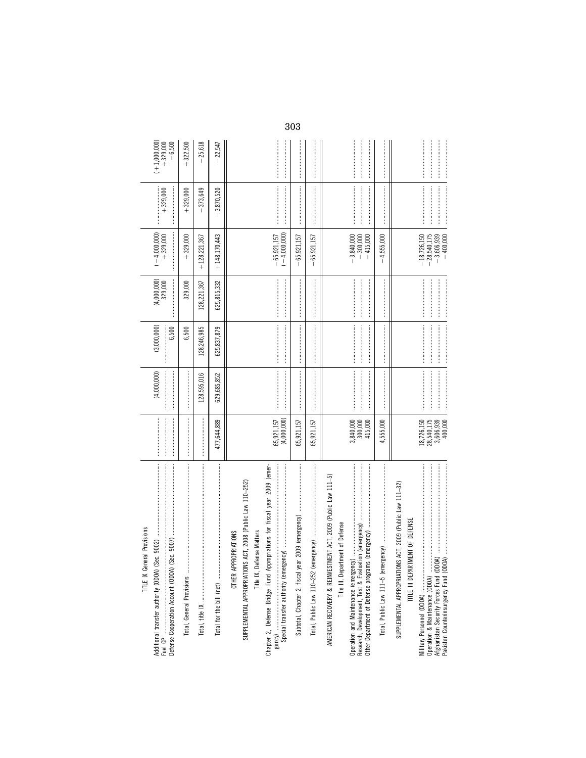| <b>TITLE IX General Provisions</b>                                                                              |                                                  |                                                                                                                                                                                                                                                                                                                                                                                                                                                                                                                                          |                                                                                                                                                                                                                                                                                                                                                                                                                                                                                                                                       |                          |                                                |                                                                                                                                                                                                                                                                                                                                                                                                                                                                                                                                                         |                        |
|-----------------------------------------------------------------------------------------------------------------|--------------------------------------------------|------------------------------------------------------------------------------------------------------------------------------------------------------------------------------------------------------------------------------------------------------------------------------------------------------------------------------------------------------------------------------------------------------------------------------------------------------------------------------------------------------------------------------------------|---------------------------------------------------------------------------------------------------------------------------------------------------------------------------------------------------------------------------------------------------------------------------------------------------------------------------------------------------------------------------------------------------------------------------------------------------------------------------------------------------------------------------------------|--------------------------|------------------------------------------------|---------------------------------------------------------------------------------------------------------------------------------------------------------------------------------------------------------------------------------------------------------------------------------------------------------------------------------------------------------------------------------------------------------------------------------------------------------------------------------------------------------------------------------------------------------|------------------------|
| Additional transfer authority (ODOA) (Sec. 9002)                                                                |                                                  | (4,000,000)                                                                                                                                                                                                                                                                                                                                                                                                                                                                                                                              | (3,000,000)                                                                                                                                                                                                                                                                                                                                                                                                                                                                                                                           | $(4,000,000)$<br>329,000 | $(+4,000,000)$<br>+329,000                     | $+329,000$                                                                                                                                                                                                                                                                                                                                                                                                                                                                                                                                              | $(+1,000,000)$         |
|                                                                                                                 |                                                  |                                                                                                                                                                                                                                                                                                                                                                                                                                                                                                                                          | 6,500                                                                                                                                                                                                                                                                                                                                                                                                                                                                                                                                 |                          |                                                |                                                                                                                                                                                                                                                                                                                                                                                                                                                                                                                                                         | $+329,000$<br>$-6,500$ |
|                                                                                                                 |                                                  |                                                                                                                                                                                                                                                                                                                                                                                                                                                                                                                                          | 6,500                                                                                                                                                                                                                                                                                                                                                                                                                                                                                                                                 | 329,000                  | $+329,000$                                     | $+329,000$                                                                                                                                                                                                                                                                                                                                                                                                                                                                                                                                              | $+322,500$             |
|                                                                                                                 |                                                  | 128,595,016                                                                                                                                                                                                                                                                                                                                                                                                                                                                                                                              | 128,246,985                                                                                                                                                                                                                                                                                                                                                                                                                                                                                                                           | 128,221,367              | $+128,221,367$                                 | 373,649                                                                                                                                                                                                                                                                                                                                                                                                                                                                                                                                                 | 25,618                 |
|                                                                                                                 | 477,644,889                                      | 629,685,852                                                                                                                                                                                                                                                                                                                                                                                                                                                                                                                              | 625,837,879                                                                                                                                                                                                                                                                                                                                                                                                                                                                                                                           | 625,815,332              | $+148.170.443$                                 | 3,870,520                                                                                                                                                                                                                                                                                                                                                                                                                                                                                                                                               | 22,547                 |
| SUPPLEMENTAL APPROPRIATIONS ACT, 2008 (Public Law 110-252)<br>Title IX, Defense Matters<br>OTHER APPROPRIATIONS |                                                  |                                                                                                                                                                                                                                                                                                                                                                                                                                                                                                                                          |                                                                                                                                                                                                                                                                                                                                                                                                                                                                                                                                       |                          |                                                |                                                                                                                                                                                                                                                                                                                                                                                                                                                                                                                                                         |                        |
| Chapter 2, Defense Bridge Fund Appropriations for fiscal year 2009 (emer-                                       |                                                  |                                                                                                                                                                                                                                                                                                                                                                                                                                                                                                                                          |                                                                                                                                                                                                                                                                                                                                                                                                                                                                                                                                       |                          |                                                |                                                                                                                                                                                                                                                                                                                                                                                                                                                                                                                                                         |                        |
| gency)<br>Special transfer authority (emergency) …………………………………………………………………………………………                             | 65,921,157<br>(4,000,000)                        |                                                                                                                                                                                                                                                                                                                                                                                                                                                                                                                                          |                                                                                                                                                                                                                                                                                                                                                                                                                                                                                                                                       |                          | $-65,921,157$<br>$(-4,000,000)$                |                                                                                                                                                                                                                                                                                                                                                                                                                                                                                                                                                         |                        |
| Subtotal, Chapter 2, fiscal year 2009 (emergency)                                                               | 65,921,157                                       |                                                                                                                                                                                                                                                                                                                                                                                                                                                                                                                                          |                                                                                                                                                                                                                                                                                                                                                                                                                                                                                                                                       |                          | 65, 921, 157                                   |                                                                                                                                                                                                                                                                                                                                                                                                                                                                                                                                                         |                        |
|                                                                                                                 | 65,921,157                                       |                                                                                                                                                                                                                                                                                                                                                                                                                                                                                                                                          |                                                                                                                                                                                                                                                                                                                                                                                                                                                                                                                                       |                          | 65,921,157                                     |                                                                                                                                                                                                                                                                                                                                                                                                                                                                                                                                                         |                        |
| AMERICAN RECOVERY & REINVESTMENT ACT, 2009 (Public Law 111-5)<br>Title III, Department of Defense               |                                                  |                                                                                                                                                                                                                                                                                                                                                                                                                                                                                                                                          |                                                                                                                                                                                                                                                                                                                                                                                                                                                                                                                                       |                          |                                                |                                                                                                                                                                                                                                                                                                                                                                                                                                                                                                                                                         |                        |
|                                                                                                                 | 3,840,000<br>300,000<br>415,000                  | $\label{def:1} \begin{aligned} \text{Tr}(\mathcal{L}(\mathcal{L}(\mathcal{L}(\mathcal{L}(\mathcal{L}(\mathcal{L}(\mathcal{L}(\mathcal{L}(\mathcal{L}(\mathcal{L}(\mathcal{L}(\mathcal{L}(\mathcal{L}(\mathcal{L}(\mathcal{L}(\mathcal{L}(\mathcal{L}(\mathcal{L}(\mathcal{L}(\mathcal{L}(\mathcal{L}(\mathcal{L}(\mathcal{L}(\mathcal{L}(\mathcal{L}(\mathcal{L}(\mathcal{L}(\mathcal{L}(\mathcal{L}(\mathcal{L}(\mathcal{L}(\mathcal{L}(\mathcal{L}(\mathcal{L$                                                                         |                                                                                                                                                                                                                                                                                                                                                                                                                                                                                                                                       |                          | $-3,840,000$<br>$-300,000$<br>$-415,000$       |                                                                                                                                                                                                                                                                                                                                                                                                                                                                                                                                                         |                        |
| Total, Public Law 111-5 (eme                                                                                    | 4,555,000                                        |                                                                                                                                                                                                                                                                                                                                                                                                                                                                                                                                          |                                                                                                                                                                                                                                                                                                                                                                                                                                                                                                                                       |                          | 4,555,000<br>$\mathbf{I}$                      |                                                                                                                                                                                                                                                                                                                                                                                                                                                                                                                                                         |                        |
| SUPPLEMENTAL APPROPRIATIONS ACT, 2009 (Public Law 111-32)<br>TITLE III DEPARTMENT OF DEFENSE                    |                                                  |                                                                                                                                                                                                                                                                                                                                                                                                                                                                                                                                          |                                                                                                                                                                                                                                                                                                                                                                                                                                                                                                                                       |                          |                                                |                                                                                                                                                                                                                                                                                                                                                                                                                                                                                                                                                         |                        |
|                                                                                                                 | 28,540,175<br>18,726,150<br>3,606,939<br>400,000 |                                                                                                                                                                                                                                                                                                                                                                                                                                                                                                                                          |                                                                                                                                                                                                                                                                                                                                                                                                                                                                                                                                       |                          | $-28,540,175$<br>$-18,726,150$<br>$-3,606,939$ |                                                                                                                                                                                                                                                                                                                                                                                                                                                                                                                                                         |                        |
|                                                                                                                 |                                                  | $\label{def:main} \begin{minipage}{0.9\linewidth} \begin{minipage}{0.9\linewidth} \begin{minipage}{0.9\linewidth} \begin{minipage}{0.9\linewidth} \end{minipage} \end{minipage} \end{minipage} \begin{minipage}{0.9\linewidth} \begin{minipage}{0.9\linewidth} \begin{minipage}{0.9\linewidth} \begin{minipage}{0.9\linewidth} \end{minipage} \end{minipage} \end{minipage} \end{minipage} \begin{minipage}{0.9\linewidth} \begin{minipage}{0.9\linewidth} \begin{minipage}{0.9\linewidth} \end{minipage} \end{minipage} \end{minipage}$ | $\label{def:1} \begin{minipage}{0.9\linewidth} \begin{minipage}{0.9\linewidth} \begin{minipage}{0.9\linewidth} \begin{minipage}{0.9\linewidth} \end{minipage} \end{minipage} \end{minipage} \begin{minipage}{0.9\linewidth} \begin{minipage}{0.9\linewidth} \begin{minipage}{0.9\linewidth} \begin{minipage}{0.9\linewidth} \end{minipage} \end{minipage} \end{minipage} \end{minipage} \begin{minipage}{0.9\linewidth} \begin{minipage}{0.9\linewidth} \begin{minipage}{0.9\linewidth} \end{minipage} \end{minipage} \end{minipage}$ |                          | $-400,000$                                     | $\label{def:conformal} \begin{minipage}{0.9\textwidth} \centering \begin{minipage}{0.9\textwidth} \centering \end{minipage} \begin{minipage}{0.9\textwidth} \centering \begin{minipage}{0.9\textwidth} \centering \end{minipage} \begin{minipage}{0.9\textwidth} \centering \end{minipage} \begin{minipage}{0.9\textwidth} \centering \end{minipage} \begin{minipage}{0.9\textwidth} \centering \end{minipage} \begin{minipage}{0.9\textwidth} \centering \end{minipage} \begin{minipage}{0.9\textwidth} \centering \end{minipage} \begin{minipage}{0.$ |                        |